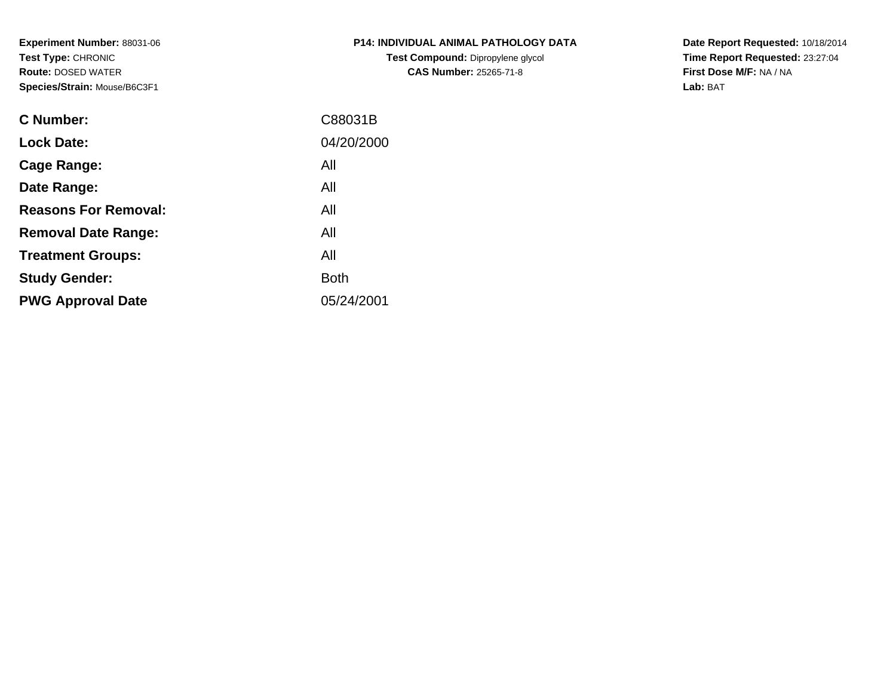**Experiment Number:** 88031-06**Test Type:** CHRONIC **Route:** DOSED WATER**Species/Strain:** Mouse/B6C3F1

| <b>P14: INDIVIDUAL ANIMAL PATHOLOGY DATA</b> |
|----------------------------------------------|
| Test Compound: Dipropylene glycol            |
| <b>CAS Number: 25265-71-8</b>                |

**Date Report Requested:** 10/18/2014 **Time Report Requested:** 23:27:04**First Dose M/F:** NA / NA**Lab:** BAT

| C88031B     |
|-------------|
| 04/20/2000  |
| All         |
| All         |
| All         |
| All         |
| All         |
| <b>Both</b> |
| 05/24/2001  |
|             |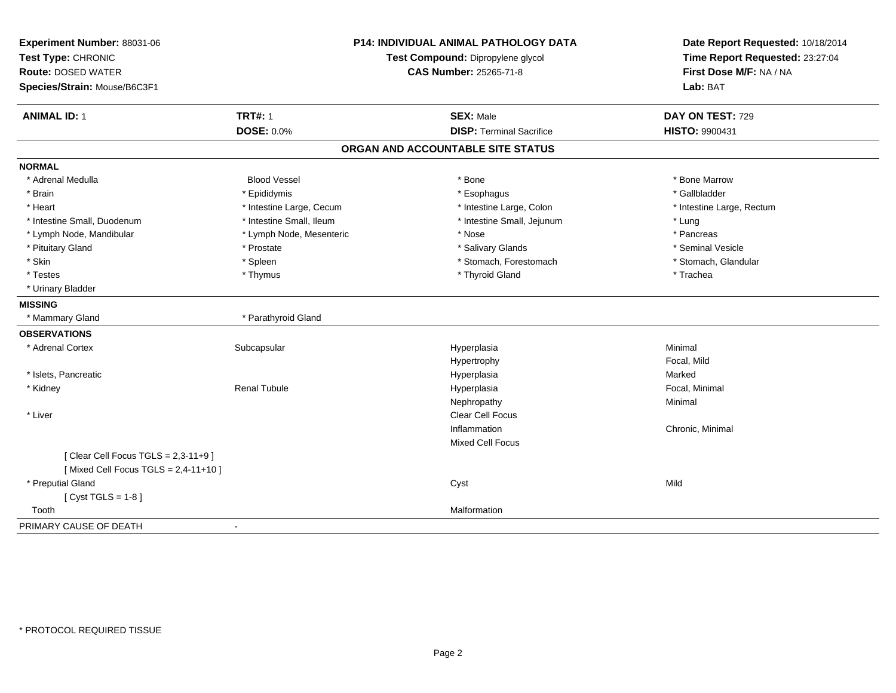| Experiment Number: 88031-06<br>Test Type: CHRONIC<br><b>Route: DOSED WATER</b><br>Species/Strain: Mouse/B6C3F1 |                          | P14: INDIVIDUAL ANIMAL PATHOLOGY DATA<br>Test Compound: Dipropylene glycol<br>CAS Number: 25265-71-8 | Date Report Requested: 10/18/2014<br>Time Report Requested: 23:27:04<br>First Dose M/F: NA / NA<br>Lab: BAT |
|----------------------------------------------------------------------------------------------------------------|--------------------------|------------------------------------------------------------------------------------------------------|-------------------------------------------------------------------------------------------------------------|
| <b>ANIMAL ID: 1</b>                                                                                            | <b>TRT#: 1</b>           | <b>SEX: Male</b>                                                                                     | DAY ON TEST: 729                                                                                            |
|                                                                                                                | <b>DOSE: 0.0%</b>        | <b>DISP: Terminal Sacrifice</b>                                                                      | <b>HISTO: 9900431</b>                                                                                       |
|                                                                                                                |                          | ORGAN AND ACCOUNTABLE SITE STATUS                                                                    |                                                                                                             |
| <b>NORMAL</b>                                                                                                  |                          |                                                                                                      |                                                                                                             |
| * Adrenal Medulla                                                                                              | <b>Blood Vessel</b>      | * Bone                                                                                               | * Bone Marrow                                                                                               |
| * Brain                                                                                                        | * Epididymis             | * Esophagus                                                                                          | * Gallbladder                                                                                               |
| * Heart                                                                                                        | * Intestine Large, Cecum | * Intestine Large, Colon                                                                             | * Intestine Large, Rectum                                                                                   |
| * Intestine Small, Duodenum                                                                                    | * Intestine Small, Ileum | * Intestine Small, Jejunum                                                                           | * Lung                                                                                                      |
| * Lymph Node, Mandibular                                                                                       | * Lymph Node, Mesenteric | * Nose                                                                                               | * Pancreas                                                                                                  |
| * Pituitary Gland                                                                                              | * Prostate               | * Salivary Glands                                                                                    | * Seminal Vesicle                                                                                           |
| * Skin                                                                                                         | * Spleen                 | * Stomach, Forestomach                                                                               | * Stomach, Glandular                                                                                        |
| * Testes                                                                                                       | * Thymus                 | * Thyroid Gland                                                                                      | * Trachea                                                                                                   |
| * Urinary Bladder                                                                                              |                          |                                                                                                      |                                                                                                             |
| <b>MISSING</b>                                                                                                 |                          |                                                                                                      |                                                                                                             |
| * Mammary Gland                                                                                                | * Parathyroid Gland      |                                                                                                      |                                                                                                             |
| <b>OBSERVATIONS</b>                                                                                            |                          |                                                                                                      |                                                                                                             |
| * Adrenal Cortex                                                                                               | Subcapsular              | Hyperplasia                                                                                          | Minimal                                                                                                     |
|                                                                                                                |                          | Hypertrophy                                                                                          | Focal, Mild                                                                                                 |
| * Islets, Pancreatic                                                                                           |                          | Hyperplasia                                                                                          | Marked                                                                                                      |
| * Kidney                                                                                                       | <b>Renal Tubule</b>      | Hyperplasia                                                                                          | Focal, Minimal                                                                                              |
|                                                                                                                |                          | Nephropathy                                                                                          | Minimal                                                                                                     |
| * Liver                                                                                                        |                          | Clear Cell Focus                                                                                     |                                                                                                             |
|                                                                                                                |                          | Inflammation                                                                                         | Chronic, Minimal                                                                                            |
|                                                                                                                |                          | Mixed Cell Focus                                                                                     |                                                                                                             |
| [Clear Cell Focus TGLS = $2,3-11+9$ ]<br>[Mixed Cell Focus TGLS = $2,4-11+10$ ]                                |                          |                                                                                                      |                                                                                                             |
| * Preputial Gland                                                                                              |                          | Cyst                                                                                                 | Mild                                                                                                        |
| [Cyst TGLS = $1-8$ ]                                                                                           |                          |                                                                                                      |                                                                                                             |
| Tooth                                                                                                          |                          | Malformation                                                                                         |                                                                                                             |
| PRIMARY CAUSE OF DEATH                                                                                         |                          |                                                                                                      |                                                                                                             |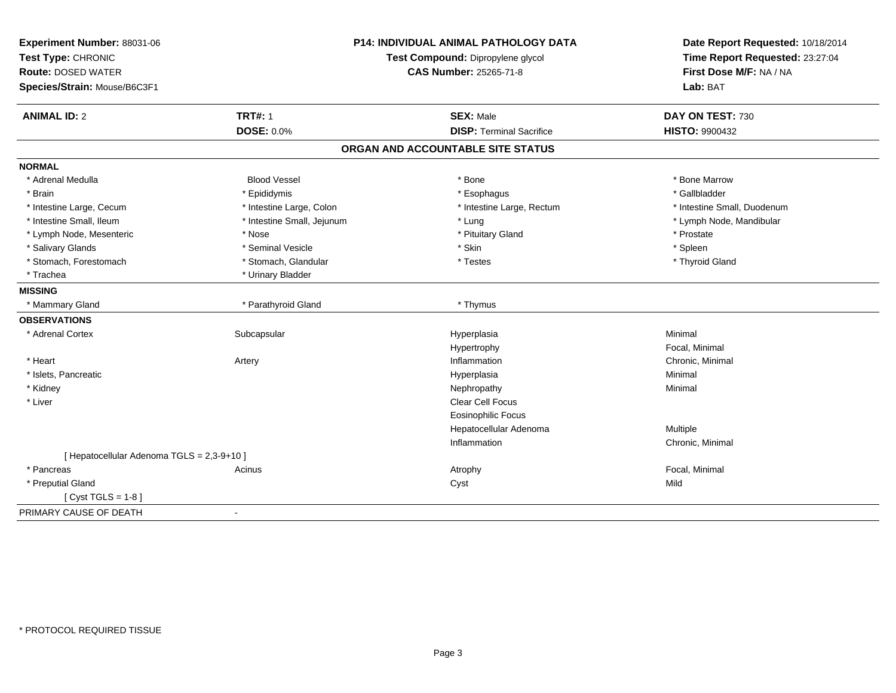| Experiment Number: 88031-06                |                                   | <b>P14: INDIVIDUAL ANIMAL PATHOLOGY DATA</b> | Date Report Requested: 10/18/2014 |
|--------------------------------------------|-----------------------------------|----------------------------------------------|-----------------------------------|
| Test Type: CHRONIC                         | Test Compound: Dipropylene glycol |                                              | Time Report Requested: 23:27:04   |
| <b>Route: DOSED WATER</b>                  |                                   | CAS Number: 25265-71-8                       | First Dose M/F: NA / NA           |
| Species/Strain: Mouse/B6C3F1               |                                   |                                              | Lab: BAT                          |
| <b>ANIMAL ID: 2</b>                        | <b>TRT#: 1</b>                    | <b>SEX: Male</b>                             | DAY ON TEST: 730                  |
|                                            | <b>DOSE: 0.0%</b>                 | <b>DISP: Terminal Sacrifice</b>              | <b>HISTO: 9900432</b>             |
|                                            |                                   | ORGAN AND ACCOUNTABLE SITE STATUS            |                                   |
| <b>NORMAL</b>                              |                                   |                                              |                                   |
| * Adrenal Medulla                          | <b>Blood Vessel</b>               | * Bone                                       | * Bone Marrow                     |
| * Brain                                    | * Epididymis                      | * Esophagus                                  | * Gallbladder                     |
| * Intestine Large, Cecum                   | * Intestine Large, Colon          | * Intestine Large, Rectum                    | * Intestine Small, Duodenum       |
| * Intestine Small, Ileum                   | * Intestine Small, Jejunum        | * Lung                                       | * Lymph Node, Mandibular          |
| * Lymph Node, Mesenteric                   | * Nose                            | * Pituitary Gland                            | * Prostate                        |
| * Salivary Glands                          | * Seminal Vesicle                 | * Skin                                       | * Spleen                          |
| * Stomach, Forestomach                     | * Stomach, Glandular              | * Testes                                     | * Thyroid Gland                   |
| * Trachea                                  | * Urinary Bladder                 |                                              |                                   |
| <b>MISSING</b>                             |                                   |                                              |                                   |
| * Mammary Gland                            | * Parathyroid Gland               | * Thymus                                     |                                   |
| <b>OBSERVATIONS</b>                        |                                   |                                              |                                   |
| * Adrenal Cortex                           | Subcapsular                       | Hyperplasia                                  | Minimal                           |
|                                            |                                   | Hypertrophy                                  | Focal, Minimal                    |
| * Heart                                    | Artery                            | Inflammation                                 | Chronic, Minimal                  |
| * Islets, Pancreatic                       |                                   | Hyperplasia                                  | Minimal                           |
| * Kidney                                   |                                   | Nephropathy                                  | Minimal                           |
| * Liver                                    |                                   | Clear Cell Focus                             |                                   |
|                                            |                                   | <b>Eosinophilic Focus</b>                    |                                   |
|                                            |                                   | Hepatocellular Adenoma                       | Multiple                          |
|                                            |                                   | Inflammation                                 | Chronic, Minimal                  |
| [ Hepatocellular Adenoma TGLS = 2,3-9+10 ] |                                   |                                              |                                   |
| * Pancreas                                 | Acinus                            | Atrophy                                      | Focal, Minimal                    |
| * Preputial Gland                          |                                   | Cyst                                         | Mild                              |
| [Cyst TGLS = $1-8$ ]                       |                                   |                                              |                                   |
| PRIMARY CAUSE OF DEATH                     | $\blacksquare$                    |                                              |                                   |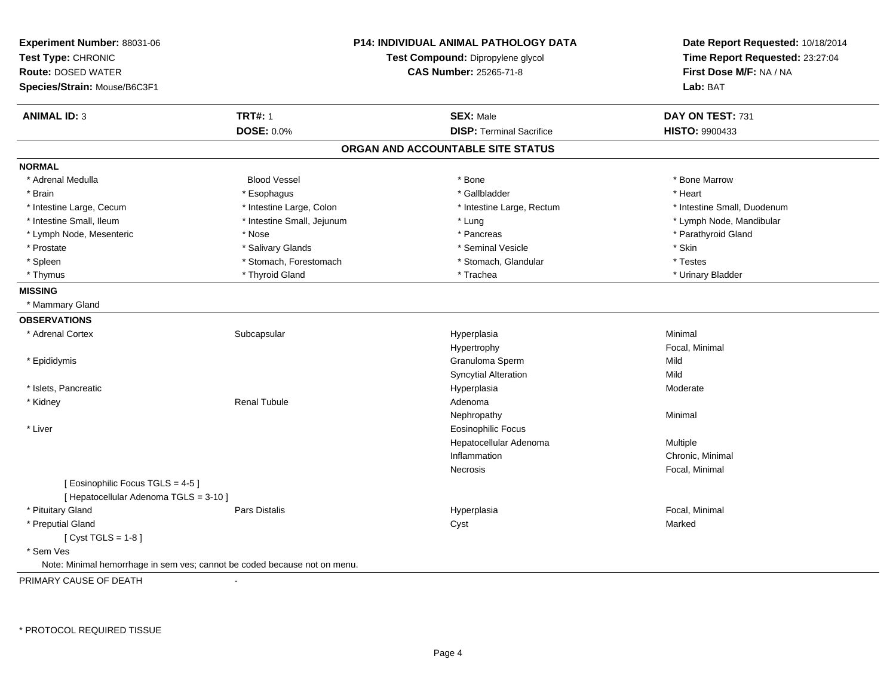| Experiment Number: 88031-06<br>Test Type: CHRONIC<br><b>Route: DOSED WATER</b><br>Species/Strain: Mouse/B6C3F1 |                            | <b>P14: INDIVIDUAL ANIMAL PATHOLOGY DATA</b><br>Test Compound: Dipropylene glycol<br><b>CAS Number: 25265-71-8</b> | Date Report Requested: 10/18/2014<br>Time Report Requested: 23:27:04<br>First Dose M/F: NA / NA<br>Lab: BAT |
|----------------------------------------------------------------------------------------------------------------|----------------------------|--------------------------------------------------------------------------------------------------------------------|-------------------------------------------------------------------------------------------------------------|
| <b>ANIMAL ID: 3</b>                                                                                            | <b>TRT#: 1</b>             | <b>SEX: Male</b>                                                                                                   | DAY ON TEST: 731                                                                                            |
|                                                                                                                | <b>DOSE: 0.0%</b>          | <b>DISP: Terminal Sacrifice</b>                                                                                    | HISTO: 9900433                                                                                              |
|                                                                                                                |                            | ORGAN AND ACCOUNTABLE SITE STATUS                                                                                  |                                                                                                             |
| <b>NORMAL</b>                                                                                                  |                            |                                                                                                                    |                                                                                                             |
| * Adrenal Medulla                                                                                              | <b>Blood Vessel</b>        | * Bone                                                                                                             | * Bone Marrow                                                                                               |
| * Brain                                                                                                        | * Esophagus                | * Gallbladder                                                                                                      | * Heart                                                                                                     |
| * Intestine Large, Cecum                                                                                       | * Intestine Large, Colon   | * Intestine Large, Rectum                                                                                          | * Intestine Small, Duodenum                                                                                 |
| * Intestine Small, Ileum                                                                                       | * Intestine Small, Jejunum | * Lung                                                                                                             | * Lymph Node, Mandibular                                                                                    |
| * Lymph Node, Mesenteric                                                                                       | * Nose                     | * Pancreas                                                                                                         | * Parathyroid Gland                                                                                         |
| * Prostate                                                                                                     | * Salivary Glands          | * Seminal Vesicle                                                                                                  | * Skin                                                                                                      |
| * Spleen                                                                                                       | * Stomach, Forestomach     | * Stomach, Glandular                                                                                               | * Testes                                                                                                    |
| * Thymus                                                                                                       | * Thyroid Gland            | * Trachea                                                                                                          | * Urinary Bladder                                                                                           |
| <b>MISSING</b>                                                                                                 |                            |                                                                                                                    |                                                                                                             |
| * Mammary Gland                                                                                                |                            |                                                                                                                    |                                                                                                             |
| <b>OBSERVATIONS</b>                                                                                            |                            |                                                                                                                    |                                                                                                             |
| * Adrenal Cortex                                                                                               | Subcapsular                | Hyperplasia                                                                                                        | Minimal                                                                                                     |
|                                                                                                                |                            | Hypertrophy                                                                                                        | Focal, Minimal                                                                                              |
| * Epididymis                                                                                                   |                            | Granuloma Sperm                                                                                                    | Mild                                                                                                        |
|                                                                                                                |                            | <b>Syncytial Alteration</b>                                                                                        | Mild                                                                                                        |
| * Islets, Pancreatic                                                                                           |                            | Hyperplasia                                                                                                        | Moderate                                                                                                    |
| * Kidney                                                                                                       | Renal Tubule               | Adenoma                                                                                                            |                                                                                                             |
|                                                                                                                |                            | Nephropathy                                                                                                        | Minimal                                                                                                     |
| * Liver                                                                                                        |                            | <b>Eosinophilic Focus</b>                                                                                          |                                                                                                             |
|                                                                                                                |                            | Hepatocellular Adenoma                                                                                             | Multiple                                                                                                    |
|                                                                                                                |                            | Inflammation                                                                                                       | Chronic, Minimal                                                                                            |
|                                                                                                                |                            | Necrosis                                                                                                           | Focal, Minimal                                                                                              |
| [Eosinophilic Focus TGLS = 4-5]<br>[ Hepatocellular Adenoma TGLS = 3-10 ]                                      |                            |                                                                                                                    |                                                                                                             |
| * Pituitary Gland                                                                                              | Pars Distalis              | Hyperplasia                                                                                                        | Focal, Minimal                                                                                              |
| * Preputial Gland                                                                                              |                            | Cyst                                                                                                               | Marked                                                                                                      |
| [Cyst TGLS = $1-8$ ]                                                                                           |                            |                                                                                                                    |                                                                                                             |
| * Sem Ves                                                                                                      |                            |                                                                                                                    |                                                                                                             |
| Note: Minimal hemorrhage in sem ves; cannot be coded because not on menu.                                      |                            |                                                                                                                    |                                                                                                             |
| PRIMARY CAUSE OF DEATH                                                                                         |                            |                                                                                                                    |                                                                                                             |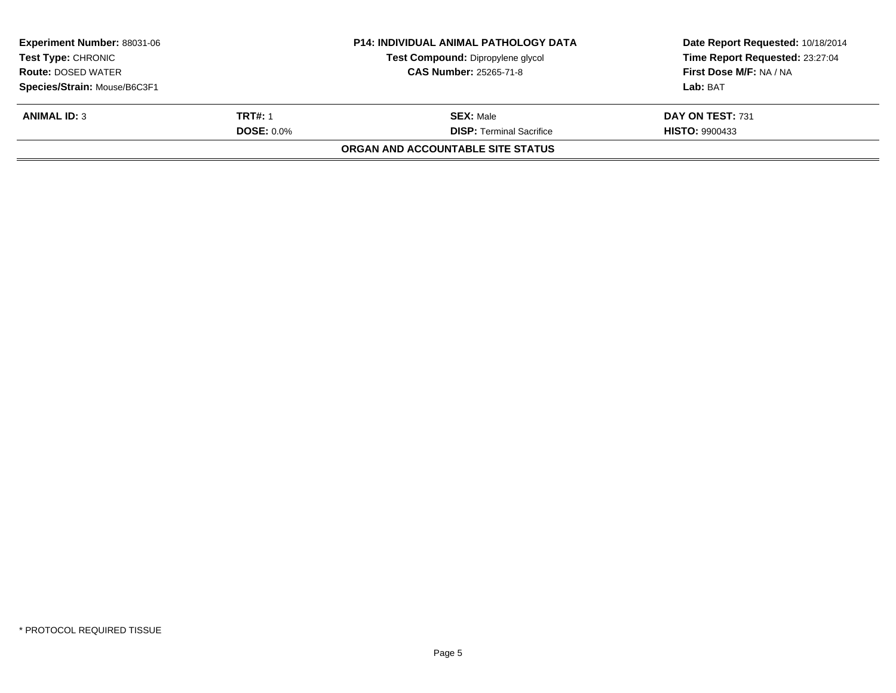| <b>Experiment Number: 88031-06</b><br><b>Test Type: CHRONIC</b><br><b>Route: DOSED WATER</b><br>Species/Strain: Mouse/B6C3F1 |                                     | <b>P14: INDIVIDUAL ANIMAL PATHOLOGY DATA</b><br>Test Compound: Dipropylene glycol<br><b>CAS Number: 25265-71-8</b> | Date Report Requested: 10/18/2014<br>Time Report Requested: 23:27:04<br>First Dose M/F: NA / NA<br>Lab: BAT |
|------------------------------------------------------------------------------------------------------------------------------|-------------------------------------|--------------------------------------------------------------------------------------------------------------------|-------------------------------------------------------------------------------------------------------------|
| <b>ANIMAL ID: 3</b>                                                                                                          | <b>TRT#: 1</b><br><b>DOSE: 0.0%</b> | <b>SEX: Male</b><br><b>DISP:</b> Terminal Sacrifice<br>ORGAN AND ACCOUNTABLE SITE STATUS                           | DAY ON TEST: 731<br><b>HISTO: 9900433</b>                                                                   |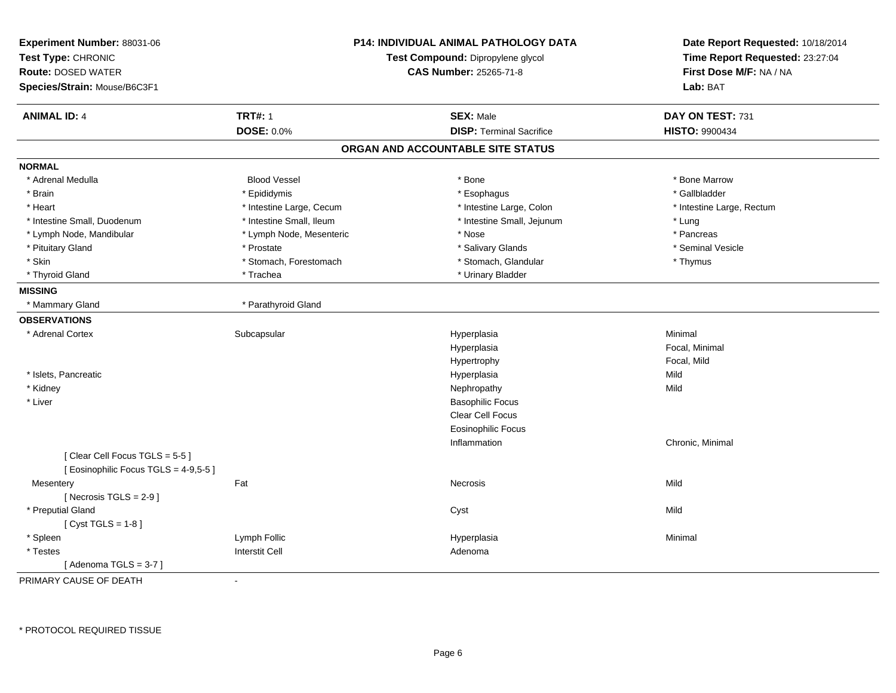| Experiment Number: 88031-06<br>Test Type: CHRONIC<br><b>Route: DOSED WATER</b> |                          | <b>P14: INDIVIDUAL ANIMAL PATHOLOGY DATA</b><br>Test Compound: Dipropylene glycol<br><b>CAS Number: 25265-71-8</b> | Date Report Requested: 10/18/2014<br>Time Report Requested: 23:27:04<br>First Dose M/F: NA / NA |
|--------------------------------------------------------------------------------|--------------------------|--------------------------------------------------------------------------------------------------------------------|-------------------------------------------------------------------------------------------------|
| Species/Strain: Mouse/B6C3F1                                                   |                          |                                                                                                                    | Lab: BAT                                                                                        |
| <b>ANIMAL ID: 4</b>                                                            | <b>TRT#: 1</b>           | <b>SEX: Male</b>                                                                                                   | DAY ON TEST: 731                                                                                |
|                                                                                | DOSE: 0.0%               | <b>DISP: Terminal Sacrifice</b>                                                                                    | <b>HISTO: 9900434</b>                                                                           |
|                                                                                |                          | ORGAN AND ACCOUNTABLE SITE STATUS                                                                                  |                                                                                                 |
| <b>NORMAL</b>                                                                  |                          |                                                                                                                    |                                                                                                 |
| * Adrenal Medulla                                                              | <b>Blood Vessel</b>      | * Bone                                                                                                             | * Bone Marrow                                                                                   |
| * Brain                                                                        | * Epididymis             | * Esophagus                                                                                                        | * Gallbladder                                                                                   |
| * Heart                                                                        | * Intestine Large, Cecum | * Intestine Large, Colon                                                                                           | * Intestine Large, Rectum                                                                       |
| * Intestine Small, Duodenum                                                    | * Intestine Small, Ileum | * Intestine Small, Jejunum                                                                                         | * Lung                                                                                          |
| * Lymph Node, Mandibular                                                       | * Lymph Node, Mesenteric | * Nose                                                                                                             | * Pancreas                                                                                      |
| * Pituitary Gland                                                              | * Prostate               | * Salivary Glands                                                                                                  | * Seminal Vesicle                                                                               |
| * Skin                                                                         | * Stomach, Forestomach   | * Stomach, Glandular                                                                                               | * Thymus                                                                                        |
| * Thyroid Gland                                                                | * Trachea                | * Urinary Bladder                                                                                                  |                                                                                                 |
| <b>MISSING</b>                                                                 |                          |                                                                                                                    |                                                                                                 |
| * Mammary Gland                                                                | * Parathyroid Gland      |                                                                                                                    |                                                                                                 |
| <b>OBSERVATIONS</b>                                                            |                          |                                                                                                                    |                                                                                                 |
| * Adrenal Cortex                                                               | Subcapsular              | Hyperplasia                                                                                                        | Minimal                                                                                         |
|                                                                                |                          | Hyperplasia                                                                                                        | Focal, Minimal                                                                                  |
|                                                                                |                          | Hypertrophy                                                                                                        | Focal, Mild                                                                                     |
| * Islets, Pancreatic                                                           |                          | Hyperplasia                                                                                                        | Mild                                                                                            |
| * Kidney                                                                       |                          | Nephropathy                                                                                                        | Mild                                                                                            |
| * Liver                                                                        |                          | <b>Basophilic Focus</b>                                                                                            |                                                                                                 |
|                                                                                |                          | Clear Cell Focus                                                                                                   |                                                                                                 |
|                                                                                |                          | <b>Eosinophilic Focus</b>                                                                                          |                                                                                                 |
|                                                                                |                          | Inflammation                                                                                                       | Chronic, Minimal                                                                                |
| [Clear Cell Focus TGLS = 5-5]<br>[Eosinophilic Focus TGLS = 4-9,5-5]           |                          |                                                                                                                    |                                                                                                 |
| Mesentery                                                                      | Fat                      | Necrosis                                                                                                           | Mild                                                                                            |
| [Necrosis $TGLS = 2-9$ ]                                                       |                          |                                                                                                                    |                                                                                                 |
| * Preputial Gland                                                              |                          | Cyst                                                                                                               | Mild                                                                                            |
| [Cyst TGLS = $1-8$ ]                                                           |                          |                                                                                                                    |                                                                                                 |
| * Spleen                                                                       | Lymph Follic             | Hyperplasia                                                                                                        | Minimal                                                                                         |
| * Testes                                                                       | <b>Interstit Cell</b>    | Adenoma                                                                                                            |                                                                                                 |
|                                                                                |                          |                                                                                                                    |                                                                                                 |
| [Adenoma TGLS = $3-7$ ]<br><b>DOILIADY OALIGE OF BEATLE</b>                    |                          |                                                                                                                    |                                                                                                 |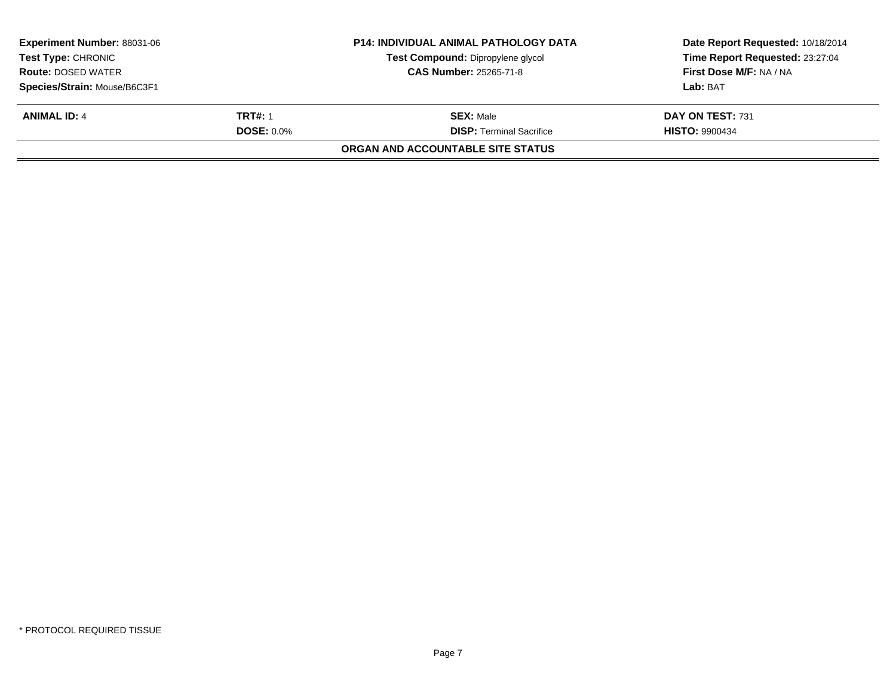| <b>Experiment Number: 88031-06</b><br><b>Test Type: CHRONIC</b><br><b>Route: DOSED WATER</b><br>Species/Strain: Mouse/B6C3F1 |                                     | <b>P14: INDIVIDUAL ANIMAL PATHOLOGY DATA</b><br>Test Compound: Dipropylene glycol<br><b>CAS Number: 25265-71-8</b> | Date Report Requested: 10/18/2014<br>Time Report Requested: 23:27:04<br>First Dose M/F: NA / NA<br>Lab: BAT |
|------------------------------------------------------------------------------------------------------------------------------|-------------------------------------|--------------------------------------------------------------------------------------------------------------------|-------------------------------------------------------------------------------------------------------------|
| <b>ANIMAL ID: 4</b>                                                                                                          | <b>TRT#: 1</b><br><b>DOSE: 0.0%</b> | <b>SEX: Male</b><br><b>DISP:</b> Terminal Sacrifice<br>ORGAN AND ACCOUNTABLE SITE STATUS                           | DAY ON TEST: 731<br><b>HISTO: 9900434</b>                                                                   |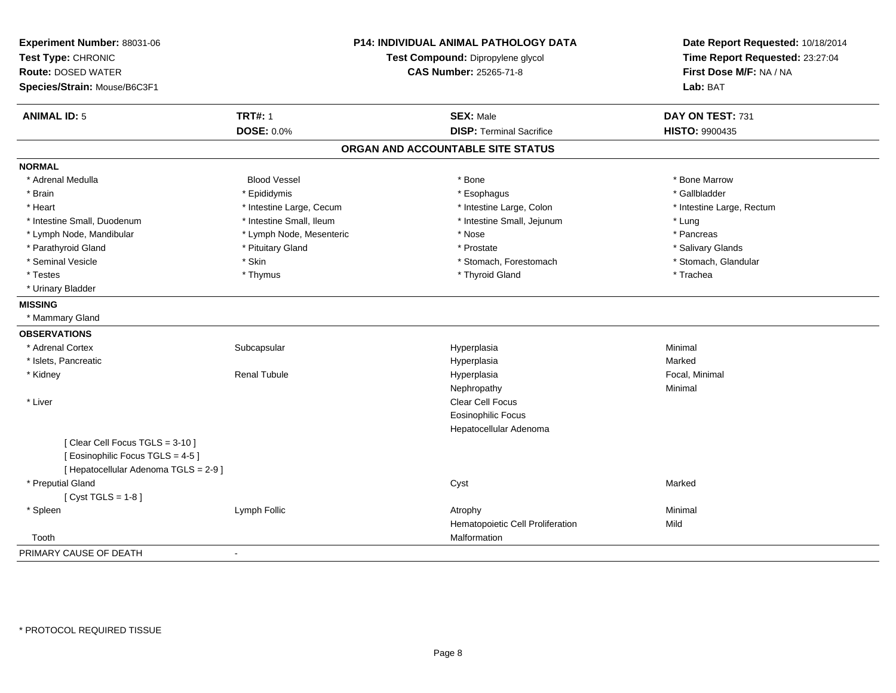| Experiment Number: 88031-06<br>Test Type: CHRONIC<br><b>Route: DOSED WATER</b><br>Species/Strain: Mouse/B6C3F1 |                          | <b>P14: INDIVIDUAL ANIMAL PATHOLOGY DATA</b><br>Test Compound: Dipropylene glycol<br><b>CAS Number: 25265-71-8</b> | Date Report Requested: 10/18/2014<br>Time Report Requested: 23:27:04<br>First Dose M/F: NA / NA<br>Lab: BAT |
|----------------------------------------------------------------------------------------------------------------|--------------------------|--------------------------------------------------------------------------------------------------------------------|-------------------------------------------------------------------------------------------------------------|
| <b>ANIMAL ID: 5</b>                                                                                            | <b>TRT#: 1</b>           | <b>SEX: Male</b>                                                                                                   | DAY ON TEST: 731                                                                                            |
|                                                                                                                | <b>DOSE: 0.0%</b>        | <b>DISP: Terminal Sacrifice</b>                                                                                    | <b>HISTO: 9900435</b>                                                                                       |
|                                                                                                                |                          | ORGAN AND ACCOUNTABLE SITE STATUS                                                                                  |                                                                                                             |
| <b>NORMAL</b>                                                                                                  |                          |                                                                                                                    |                                                                                                             |
| * Adrenal Medulla                                                                                              | <b>Blood Vessel</b>      | * Bone                                                                                                             | * Bone Marrow                                                                                               |
| * Brain                                                                                                        | * Epididymis             | * Esophagus                                                                                                        | * Gallbladder                                                                                               |
| * Heart                                                                                                        | * Intestine Large, Cecum | * Intestine Large, Colon                                                                                           | * Intestine Large, Rectum                                                                                   |
| * Intestine Small, Duodenum                                                                                    | * Intestine Small, Ileum | * Intestine Small, Jejunum                                                                                         | * Lung                                                                                                      |
| * Lymph Node, Mandibular                                                                                       | * Lymph Node, Mesenteric | * Nose                                                                                                             | * Pancreas                                                                                                  |
| * Parathyroid Gland                                                                                            | * Pituitary Gland        | * Prostate                                                                                                         | * Salivary Glands                                                                                           |
| * Seminal Vesicle                                                                                              | * Skin                   | * Stomach, Forestomach                                                                                             | * Stomach, Glandular                                                                                        |
| * Testes                                                                                                       | * Thymus                 | * Thyroid Gland                                                                                                    | * Trachea                                                                                                   |
| * Urinary Bladder                                                                                              |                          |                                                                                                                    |                                                                                                             |
| <b>MISSING</b>                                                                                                 |                          |                                                                                                                    |                                                                                                             |
| * Mammary Gland                                                                                                |                          |                                                                                                                    |                                                                                                             |
| <b>OBSERVATIONS</b>                                                                                            |                          |                                                                                                                    |                                                                                                             |
| * Adrenal Cortex                                                                                               | Subcapsular              | Hyperplasia                                                                                                        | Minimal                                                                                                     |
| * Islets, Pancreatic                                                                                           |                          | Hyperplasia                                                                                                        | Marked                                                                                                      |
| * Kidney                                                                                                       | <b>Renal Tubule</b>      | Hyperplasia                                                                                                        | Focal, Minimal                                                                                              |
|                                                                                                                |                          | Nephropathy                                                                                                        | Minimal                                                                                                     |
| * Liver                                                                                                        |                          | <b>Clear Cell Focus</b>                                                                                            |                                                                                                             |
|                                                                                                                |                          | <b>Eosinophilic Focus</b>                                                                                          |                                                                                                             |
|                                                                                                                |                          | Hepatocellular Adenoma                                                                                             |                                                                                                             |
| [Clear Cell Focus TGLS = 3-10]<br>[Eosinophilic Focus TGLS = 4-5]<br>[ Hepatocellular Adenoma TGLS = 2-9 ]     |                          |                                                                                                                    |                                                                                                             |
| * Preputial Gland                                                                                              |                          | Cyst                                                                                                               | Marked                                                                                                      |
| [Cyst TGLS = $1-8$ ]                                                                                           |                          |                                                                                                                    |                                                                                                             |
| * Spleen                                                                                                       | Lymph Follic             | Atrophy                                                                                                            | Minimal                                                                                                     |
|                                                                                                                |                          | Hematopoietic Cell Proliferation                                                                                   | Mild                                                                                                        |
| Tooth                                                                                                          |                          | Malformation                                                                                                       |                                                                                                             |
| PRIMARY CAUSE OF DEATH                                                                                         | $\blacksquare$           |                                                                                                                    |                                                                                                             |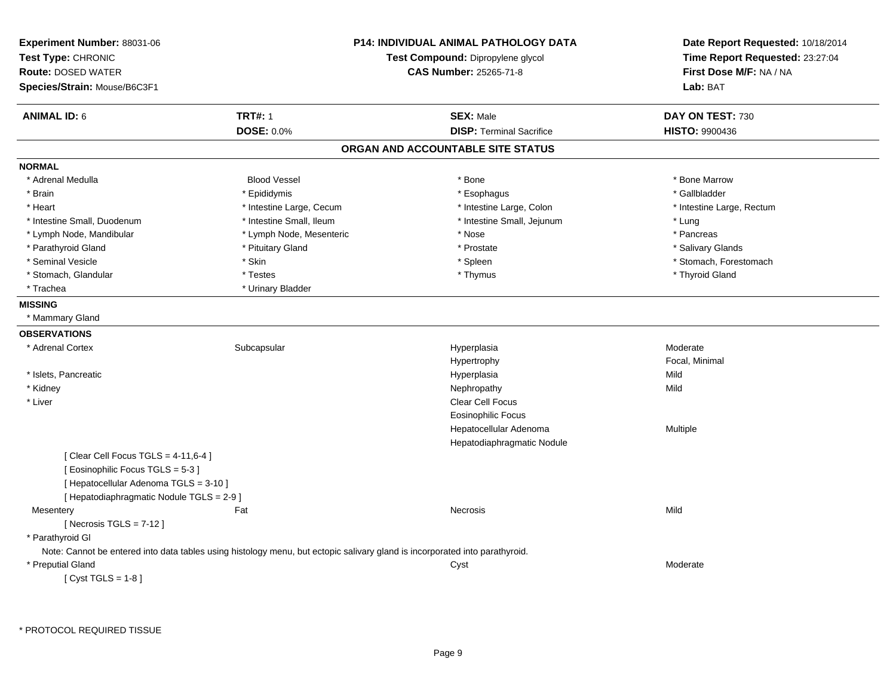| <b>Experiment Number: 88031-06</b><br>Test Type: CHRONIC<br><b>Route: DOSED WATER</b><br>Species/Strain: Mouse/B6C3F1 |                                                                                                                             | <b>P14: INDIVIDUAL ANIMAL PATHOLOGY DATA</b><br>Test Compound: Dipropylene glycol<br><b>CAS Number: 25265-71-8</b> | Date Report Requested: 10/18/2014<br>Time Report Requested: 23:27:04<br>First Dose M/F: NA / NA<br>Lab: BAT |
|-----------------------------------------------------------------------------------------------------------------------|-----------------------------------------------------------------------------------------------------------------------------|--------------------------------------------------------------------------------------------------------------------|-------------------------------------------------------------------------------------------------------------|
| <b>ANIMAL ID: 6</b>                                                                                                   | <b>TRT#: 1</b>                                                                                                              | <b>SEX: Male</b>                                                                                                   | DAY ON TEST: 730                                                                                            |
|                                                                                                                       | DOSE: 0.0%                                                                                                                  | <b>DISP: Terminal Sacrifice</b>                                                                                    | <b>HISTO: 9900436</b>                                                                                       |
|                                                                                                                       |                                                                                                                             | ORGAN AND ACCOUNTABLE SITE STATUS                                                                                  |                                                                                                             |
| <b>NORMAL</b>                                                                                                         |                                                                                                                             |                                                                                                                    |                                                                                                             |
| * Adrenal Medulla                                                                                                     | <b>Blood Vessel</b>                                                                                                         | * Bone                                                                                                             | * Bone Marrow                                                                                               |
| * Brain                                                                                                               | * Epididymis                                                                                                                | * Esophagus                                                                                                        | * Gallbladder                                                                                               |
| * Heart                                                                                                               | * Intestine Large, Cecum                                                                                                    | * Intestine Large, Colon                                                                                           | * Intestine Large, Rectum                                                                                   |
| * Intestine Small, Duodenum                                                                                           | * Intestine Small, Ileum                                                                                                    | * Intestine Small, Jejunum                                                                                         | * Lung                                                                                                      |
| * Lymph Node, Mandibular                                                                                              | * Lymph Node, Mesenteric                                                                                                    | * Nose                                                                                                             | * Pancreas                                                                                                  |
| * Parathyroid Gland                                                                                                   | * Pituitary Gland                                                                                                           | * Prostate                                                                                                         | * Salivary Glands                                                                                           |
| * Seminal Vesicle                                                                                                     | * Skin                                                                                                                      | * Spleen                                                                                                           | * Stomach, Forestomach                                                                                      |
| * Stomach, Glandular                                                                                                  | * Testes                                                                                                                    | * Thymus                                                                                                           | * Thyroid Gland                                                                                             |
| * Trachea                                                                                                             | * Urinary Bladder                                                                                                           |                                                                                                                    |                                                                                                             |
| <b>MISSING</b>                                                                                                        |                                                                                                                             |                                                                                                                    |                                                                                                             |
| * Mammary Gland                                                                                                       |                                                                                                                             |                                                                                                                    |                                                                                                             |
| <b>OBSERVATIONS</b>                                                                                                   |                                                                                                                             |                                                                                                                    |                                                                                                             |
| * Adrenal Cortex                                                                                                      | Subcapsular                                                                                                                 | Hyperplasia                                                                                                        | Moderate                                                                                                    |
|                                                                                                                       |                                                                                                                             | Hypertrophy                                                                                                        | Focal, Minimal                                                                                              |
| * Islets, Pancreatic                                                                                                  |                                                                                                                             | Hyperplasia                                                                                                        | Mild                                                                                                        |
| * Kidney                                                                                                              |                                                                                                                             | Nephropathy                                                                                                        | Mild                                                                                                        |
| * Liver                                                                                                               |                                                                                                                             | Clear Cell Focus                                                                                                   |                                                                                                             |
|                                                                                                                       |                                                                                                                             | <b>Eosinophilic Focus</b>                                                                                          |                                                                                                             |
|                                                                                                                       |                                                                                                                             | Hepatocellular Adenoma                                                                                             | Multiple                                                                                                    |
|                                                                                                                       |                                                                                                                             | Hepatodiaphragmatic Nodule                                                                                         |                                                                                                             |
| [ Clear Cell Focus TGLS = $4-11,6-4$ ]                                                                                |                                                                                                                             |                                                                                                                    |                                                                                                             |
| [ Eosinophilic Focus TGLS = 5-3 ]                                                                                     |                                                                                                                             |                                                                                                                    |                                                                                                             |
| [ Hepatocellular Adenoma TGLS = 3-10 ]                                                                                |                                                                                                                             |                                                                                                                    |                                                                                                             |
| [ Hepatodiaphragmatic Nodule TGLS = 2-9 ]                                                                             |                                                                                                                             |                                                                                                                    |                                                                                                             |
| Mesentery                                                                                                             | Fat                                                                                                                         | Necrosis                                                                                                           | Mild                                                                                                        |
| [Necrosis TGLS = $7-12$ ]                                                                                             |                                                                                                                             |                                                                                                                    |                                                                                                             |
| * Parathyroid GI                                                                                                      |                                                                                                                             |                                                                                                                    |                                                                                                             |
|                                                                                                                       | Note: Cannot be entered into data tables using histology menu, but ectopic salivary gland is incorporated into parathyroid. |                                                                                                                    |                                                                                                             |
| * Preputial Gland                                                                                                     |                                                                                                                             | Cyst                                                                                                               | Moderate                                                                                                    |
| [Cyst TGLS = $1-8$ ]                                                                                                  |                                                                                                                             |                                                                                                                    |                                                                                                             |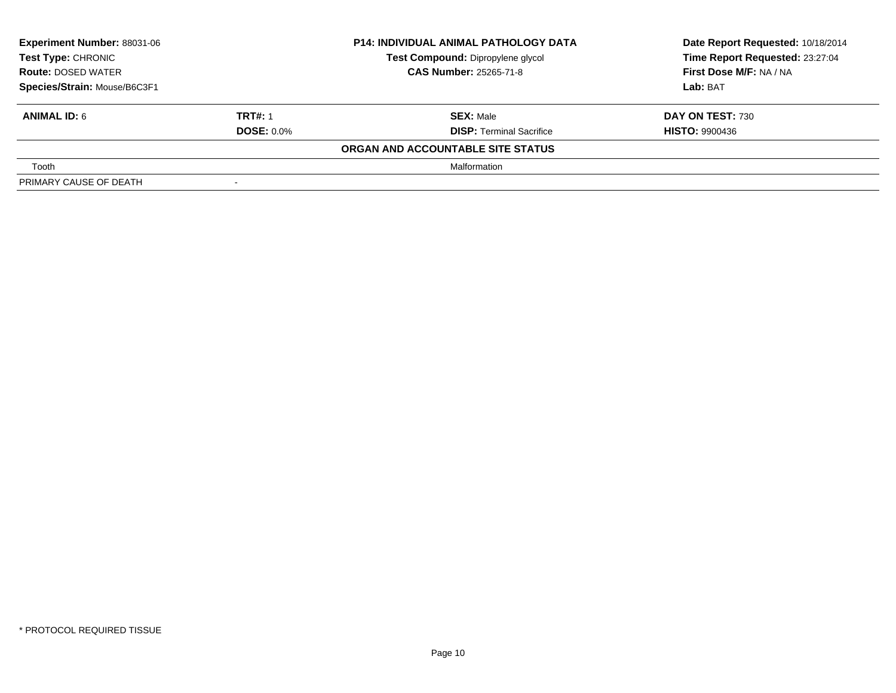| Experiment Number: 88031-06                     |                          | <b>P14: INDIVIDUAL ANIMAL PATHOLOGY DATA</b> | Date Report Requested: 10/18/2014 |
|-------------------------------------------------|--------------------------|----------------------------------------------|-----------------------------------|
| Test Type: CHRONIC<br><b>Route: DOSED WATER</b> |                          | Test Compound: Dipropylene glycol            | Time Report Requested: 23:27:04   |
|                                                 |                          | <b>CAS Number: 25265-71-8</b>                | First Dose M/F: NA / NA           |
| Species/Strain: Mouse/B6C3F1                    |                          |                                              | Lab: BAT                          |
| <b>ANIMAL ID: 6</b>                             | <b>TRT#: 1</b>           | <b>SEX: Male</b>                             | DAY ON TEST: 730                  |
|                                                 | <b>DOSE: 0.0%</b>        | <b>DISP: Terminal Sacrifice</b>              | <b>HISTO: 9900436</b>             |
|                                                 |                          | ORGAN AND ACCOUNTABLE SITE STATUS            |                                   |
| Tooth                                           |                          | Malformation                                 |                                   |
| PRIMARY CAUSE OF DEATH                          | $\overline{\phantom{a}}$ |                                              |                                   |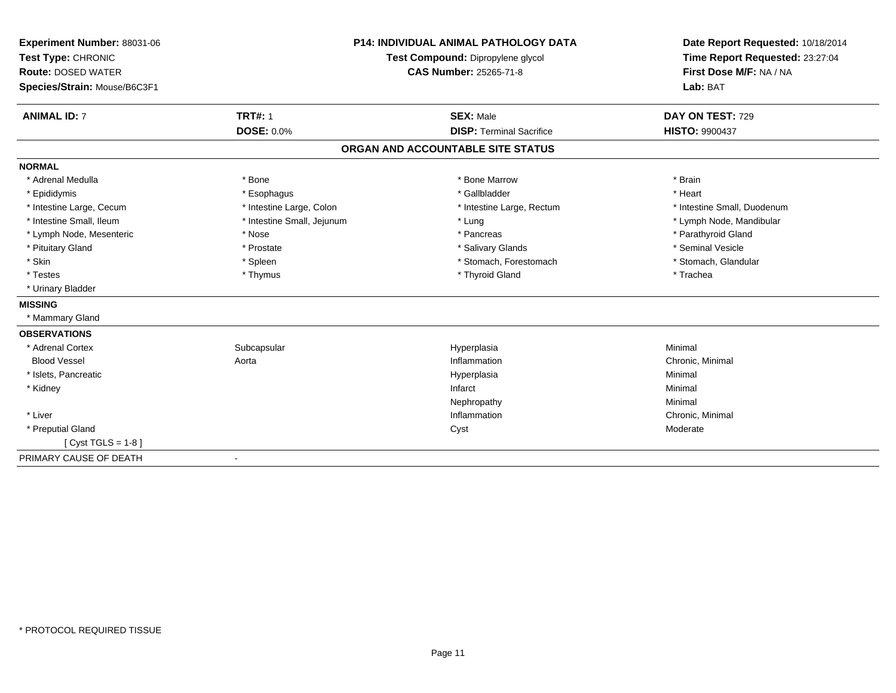| Experiment Number: 88031-06<br>Test Type: CHRONIC<br><b>Route: DOSED WATER</b><br>Species/Strain: Mouse/B6C3F1 |                            | <b>P14: INDIVIDUAL ANIMAL PATHOLOGY DATA</b><br>Test Compound: Dipropylene glycol<br><b>CAS Number: 25265-71-8</b> | Date Report Requested: 10/18/2014<br>Time Report Requested: 23:27:04<br>First Dose M/F: NA / NA<br>Lab: BAT |
|----------------------------------------------------------------------------------------------------------------|----------------------------|--------------------------------------------------------------------------------------------------------------------|-------------------------------------------------------------------------------------------------------------|
|                                                                                                                |                            |                                                                                                                    |                                                                                                             |
| <b>ANIMAL ID: 7</b>                                                                                            | <b>TRT#: 1</b>             | <b>SEX: Male</b>                                                                                                   | DAY ON TEST: 729                                                                                            |
|                                                                                                                | <b>DOSE: 0.0%</b>          | <b>DISP: Terminal Sacrifice</b>                                                                                    | <b>HISTO: 9900437</b>                                                                                       |
|                                                                                                                |                            | ORGAN AND ACCOUNTABLE SITE STATUS                                                                                  |                                                                                                             |
| <b>NORMAL</b>                                                                                                  |                            |                                                                                                                    |                                                                                                             |
| * Adrenal Medulla                                                                                              | * Bone                     | * Bone Marrow                                                                                                      | * Brain                                                                                                     |
| * Epididymis                                                                                                   | * Esophagus                | * Gallbladder                                                                                                      | * Heart                                                                                                     |
| * Intestine Large, Cecum                                                                                       | * Intestine Large, Colon   | * Intestine Large, Rectum                                                                                          | * Intestine Small, Duodenum                                                                                 |
| * Intestine Small, Ileum                                                                                       | * Intestine Small, Jejunum | * Lung                                                                                                             | * Lymph Node, Mandibular                                                                                    |
| * Lymph Node, Mesenteric                                                                                       | * Nose                     | * Pancreas                                                                                                         | * Parathyroid Gland                                                                                         |
| * Pituitary Gland                                                                                              | * Prostate                 | * Salivary Glands                                                                                                  | * Seminal Vesicle                                                                                           |
| * Skin                                                                                                         | * Spleen                   | * Stomach, Forestomach                                                                                             | * Stomach, Glandular                                                                                        |
| * Testes                                                                                                       | * Thymus                   | * Thyroid Gland                                                                                                    | * Trachea                                                                                                   |
| * Urinary Bladder                                                                                              |                            |                                                                                                                    |                                                                                                             |
| <b>MISSING</b>                                                                                                 |                            |                                                                                                                    |                                                                                                             |
| * Mammary Gland                                                                                                |                            |                                                                                                                    |                                                                                                             |
| <b>OBSERVATIONS</b>                                                                                            |                            |                                                                                                                    |                                                                                                             |
| * Adrenal Cortex                                                                                               | Subcapsular                | Hyperplasia                                                                                                        | Minimal                                                                                                     |
| <b>Blood Vessel</b>                                                                                            | Aorta                      | Inflammation                                                                                                       | Chronic, Minimal                                                                                            |
| * Islets, Pancreatic                                                                                           |                            | Hyperplasia                                                                                                        | Minimal                                                                                                     |
| * Kidney                                                                                                       |                            | Infarct                                                                                                            | Minimal                                                                                                     |
|                                                                                                                |                            | Nephropathy                                                                                                        | Minimal                                                                                                     |
| * Liver                                                                                                        |                            | Inflammation                                                                                                       | Chronic, Minimal                                                                                            |
| * Preputial Gland                                                                                              |                            | Cyst                                                                                                               | Moderate                                                                                                    |
| [ $Cyst TGLS = 1-8$ ]                                                                                          |                            |                                                                                                                    |                                                                                                             |
| PRIMARY CAUSE OF DEATH                                                                                         | $\overline{\phantom{a}}$   |                                                                                                                    |                                                                                                             |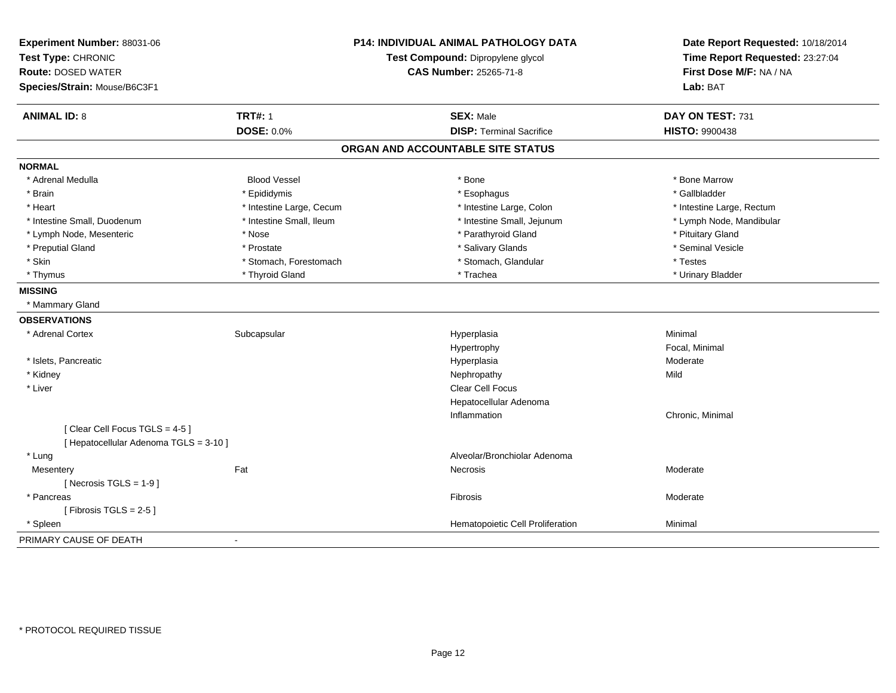| Experiment Number: 88031-06<br>Test Type: CHRONIC<br><b>Route: DOSED WATER</b> |                          | <b>P14: INDIVIDUAL ANIMAL PATHOLOGY DATA</b><br>Test Compound: Dipropylene glycol<br><b>CAS Number: 25265-71-8</b> | Date Report Requested: 10/18/2014<br>Time Report Requested: 23:27:04<br>First Dose M/F: NA / NA |
|--------------------------------------------------------------------------------|--------------------------|--------------------------------------------------------------------------------------------------------------------|-------------------------------------------------------------------------------------------------|
| Species/Strain: Mouse/B6C3F1                                                   |                          |                                                                                                                    | Lab: BAT                                                                                        |
| <b>ANIMAL ID: 8</b>                                                            | <b>TRT#: 1</b>           | <b>SEX: Male</b>                                                                                                   | DAY ON TEST: 731                                                                                |
|                                                                                | <b>DOSE: 0.0%</b>        | <b>DISP: Terminal Sacrifice</b>                                                                                    | <b>HISTO: 9900438</b>                                                                           |
|                                                                                |                          | ORGAN AND ACCOUNTABLE SITE STATUS                                                                                  |                                                                                                 |
| <b>NORMAL</b>                                                                  |                          |                                                                                                                    |                                                                                                 |
| * Adrenal Medulla                                                              | <b>Blood Vessel</b>      | * Bone                                                                                                             | * Bone Marrow                                                                                   |
| * Brain                                                                        | * Epididymis             | * Esophagus                                                                                                        | * Gallbladder                                                                                   |
| * Heart                                                                        | * Intestine Large, Cecum | * Intestine Large, Colon                                                                                           | * Intestine Large, Rectum                                                                       |
| * Intestine Small, Duodenum                                                    | * Intestine Small, Ileum | * Intestine Small, Jejunum                                                                                         | * Lymph Node, Mandibular                                                                        |
| * Lymph Node, Mesenteric                                                       | * Nose                   | * Parathyroid Gland                                                                                                | * Pituitary Gland                                                                               |
| * Preputial Gland                                                              | * Prostate               | * Salivary Glands                                                                                                  | * Seminal Vesicle                                                                               |
| * Skin                                                                         | * Stomach, Forestomach   | * Stomach, Glandular                                                                                               | * Testes                                                                                        |
| * Thymus                                                                       | * Thyroid Gland          | * Trachea                                                                                                          | * Urinary Bladder                                                                               |
| <b>MISSING</b>                                                                 |                          |                                                                                                                    |                                                                                                 |
| * Mammary Gland                                                                |                          |                                                                                                                    |                                                                                                 |
| <b>OBSERVATIONS</b>                                                            |                          |                                                                                                                    |                                                                                                 |
| * Adrenal Cortex                                                               | Subcapsular              | Hyperplasia                                                                                                        | Minimal                                                                                         |
|                                                                                |                          | Hypertrophy                                                                                                        | Focal, Minimal                                                                                  |
| * Islets, Pancreatic                                                           |                          | Hyperplasia                                                                                                        | Moderate                                                                                        |
| * Kidney                                                                       |                          | Nephropathy                                                                                                        | Mild                                                                                            |
| * Liver                                                                        |                          | <b>Clear Cell Focus</b>                                                                                            |                                                                                                 |
|                                                                                |                          | Hepatocellular Adenoma                                                                                             |                                                                                                 |
|                                                                                |                          | Inflammation                                                                                                       | Chronic, Minimal                                                                                |
| [Clear Cell Focus TGLS = 4-5]                                                  |                          |                                                                                                                    |                                                                                                 |
| [ Hepatocellular Adenoma TGLS = 3-10 ]                                         |                          |                                                                                                                    |                                                                                                 |
| * Lung                                                                         |                          | Alveolar/Bronchiolar Adenoma                                                                                       |                                                                                                 |
| Mesentery                                                                      | Fat                      | <b>Necrosis</b>                                                                                                    | Moderate                                                                                        |
| [ Necrosis $TGLS = 1-9$ ]                                                      |                          |                                                                                                                    |                                                                                                 |
| * Pancreas                                                                     |                          | Fibrosis                                                                                                           | Moderate                                                                                        |
| [Fibrosis TGLS = $2-5$ ]                                                       |                          |                                                                                                                    |                                                                                                 |
| * Spleen                                                                       |                          | Hematopoietic Cell Proliferation                                                                                   | Minimal                                                                                         |
| PRIMARY CAUSE OF DEATH                                                         | $\blacksquare$           |                                                                                                                    |                                                                                                 |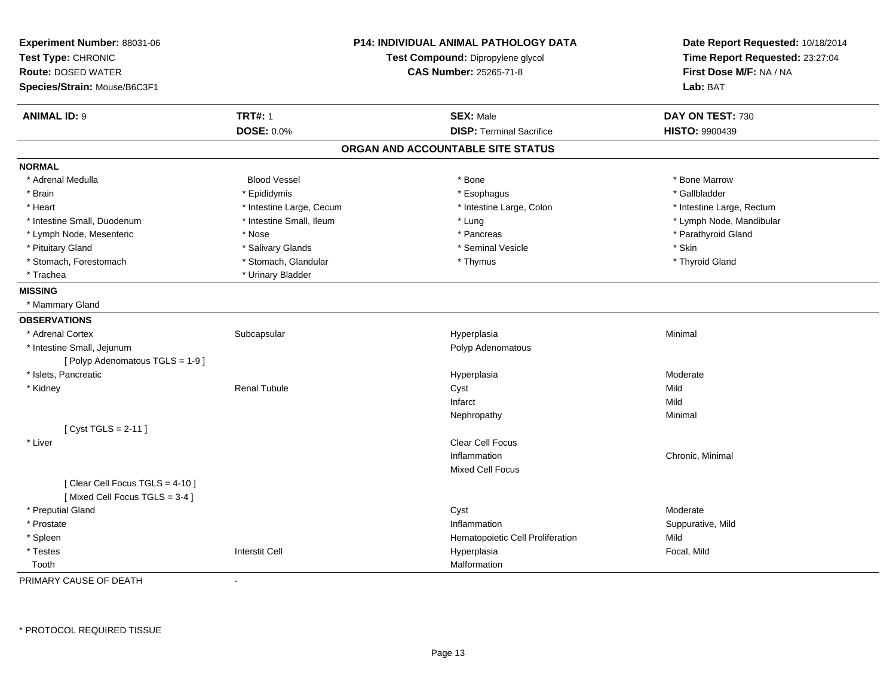| Experiment Number: 88031-06<br>Test Type: CHRONIC<br><b>Route: DOSED WATER</b><br>Species/Strain: Mouse/B6C3F1 |                          | <b>P14: INDIVIDUAL ANIMAL PATHOLOGY DATA</b><br>Test Compound: Dipropylene glycol<br><b>CAS Number: 25265-71-8</b> | Date Report Requested: 10/18/2014<br>Time Report Requested: 23:27:04<br>First Dose M/F: NA / NA<br>Lab: BAT |
|----------------------------------------------------------------------------------------------------------------|--------------------------|--------------------------------------------------------------------------------------------------------------------|-------------------------------------------------------------------------------------------------------------|
| <b>ANIMAL ID: 9</b>                                                                                            | <b>TRT#: 1</b>           | <b>SEX: Male</b>                                                                                                   | DAY ON TEST: 730                                                                                            |
|                                                                                                                | <b>DOSE: 0.0%</b>        | <b>DISP: Terminal Sacrifice</b>                                                                                    | <b>HISTO: 9900439</b>                                                                                       |
|                                                                                                                |                          | ORGAN AND ACCOUNTABLE SITE STATUS                                                                                  |                                                                                                             |
| <b>NORMAL</b>                                                                                                  |                          |                                                                                                                    |                                                                                                             |
| * Adrenal Medulla                                                                                              | <b>Blood Vessel</b>      | * Bone                                                                                                             | * Bone Marrow                                                                                               |
| * Brain                                                                                                        | * Epididymis             | * Esophagus                                                                                                        | * Gallbladder                                                                                               |
| * Heart                                                                                                        | * Intestine Large, Cecum | * Intestine Large, Colon                                                                                           | * Intestine Large, Rectum                                                                                   |
| * Intestine Small, Duodenum                                                                                    | * Intestine Small, Ileum | * Lung                                                                                                             | * Lymph Node, Mandibular                                                                                    |
| * Lymph Node, Mesenteric                                                                                       | * Nose                   | * Pancreas                                                                                                         | * Parathyroid Gland                                                                                         |
| * Pituitary Gland                                                                                              | * Salivary Glands        | * Seminal Vesicle                                                                                                  | * Skin                                                                                                      |
| * Stomach, Forestomach                                                                                         | * Stomach, Glandular     | * Thymus                                                                                                           | * Thyroid Gland                                                                                             |
| * Trachea                                                                                                      | * Urinary Bladder        |                                                                                                                    |                                                                                                             |
| <b>MISSING</b>                                                                                                 |                          |                                                                                                                    |                                                                                                             |
| * Mammary Gland                                                                                                |                          |                                                                                                                    |                                                                                                             |
| <b>OBSERVATIONS</b>                                                                                            |                          |                                                                                                                    |                                                                                                             |
| * Adrenal Cortex                                                                                               | Subcapsular              | Hyperplasia                                                                                                        | Minimal                                                                                                     |
| * Intestine Small, Jejunum                                                                                     |                          | Polyp Adenomatous                                                                                                  |                                                                                                             |
| [Polyp Adenomatous TGLS = 1-9]                                                                                 |                          |                                                                                                                    |                                                                                                             |
| * Islets. Pancreatic                                                                                           |                          | Hyperplasia                                                                                                        | Moderate                                                                                                    |
| * Kidney                                                                                                       | <b>Renal Tubule</b>      | Cyst                                                                                                               | Mild                                                                                                        |
|                                                                                                                |                          | Infarct                                                                                                            | Mild                                                                                                        |
|                                                                                                                |                          | Nephropathy                                                                                                        | Minimal                                                                                                     |
| [Cyst TGLS = $2-11$ ]                                                                                          |                          |                                                                                                                    |                                                                                                             |
| * Liver                                                                                                        |                          | <b>Clear Cell Focus</b>                                                                                            |                                                                                                             |
|                                                                                                                |                          | Inflammation                                                                                                       | Chronic, Minimal                                                                                            |
|                                                                                                                |                          | <b>Mixed Cell Focus</b>                                                                                            |                                                                                                             |
| [Clear Cell Focus TGLS = 4-10]<br>[Mixed Cell Focus TGLS = 3-4]                                                |                          |                                                                                                                    |                                                                                                             |
| * Preputial Gland                                                                                              |                          | Cyst                                                                                                               | Moderate                                                                                                    |
| * Prostate                                                                                                     |                          | Inflammation                                                                                                       | Suppurative, Mild                                                                                           |
| * Spleen                                                                                                       |                          | Hematopoietic Cell Proliferation                                                                                   | Mild                                                                                                        |
| * Testes                                                                                                       | <b>Interstit Cell</b>    | Hyperplasia                                                                                                        | Focal, Mild                                                                                                 |
| Tooth                                                                                                          |                          | Malformation                                                                                                       |                                                                                                             |

PRIMARY CAUSE OF DEATH-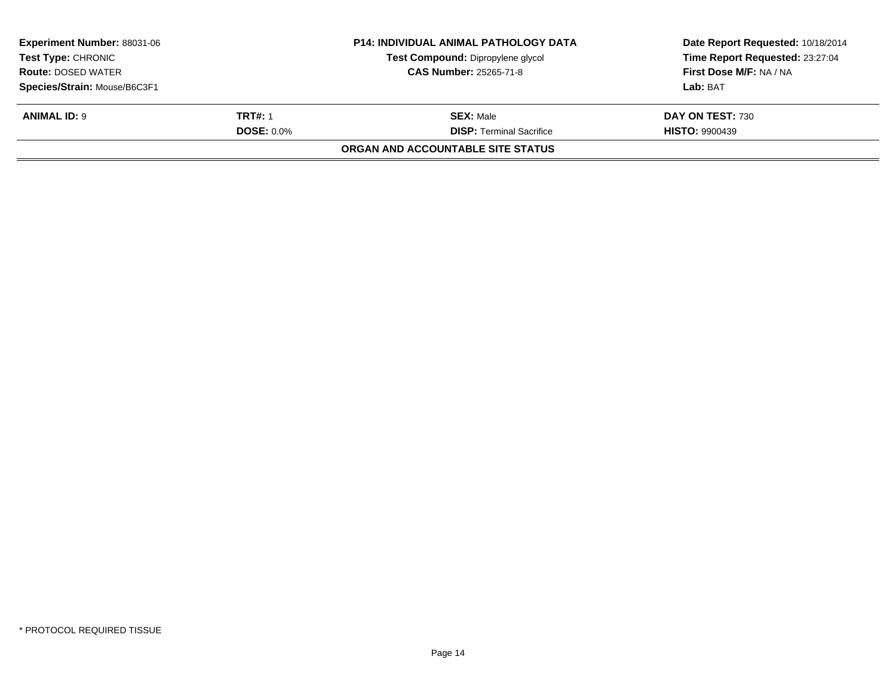| <b>Experiment Number: 88031-06</b><br><b>Test Type: CHRONIC</b><br><b>Route: DOSED WATER</b><br>Species/Strain: Mouse/B6C3F1 |                                     | <b>P14: INDIVIDUAL ANIMAL PATHOLOGY DATA</b><br>Test Compound: Dipropylene glycol<br><b>CAS Number: 25265-71-8</b> | Date Report Requested: 10/18/2014<br>Time Report Requested: 23:27:04<br>First Dose M/F: NA / NA<br>Lab: BAT |
|------------------------------------------------------------------------------------------------------------------------------|-------------------------------------|--------------------------------------------------------------------------------------------------------------------|-------------------------------------------------------------------------------------------------------------|
| <b>ANIMAL ID: 9</b>                                                                                                          | <b>TRT#: 1</b><br><b>DOSE: 0.0%</b> | <b>SEX: Male</b><br><b>DISP:</b> Terminal Sacrifice<br>ORGAN AND ACCOUNTABLE SITE STATUS                           | DAY ON TEST: 730<br><b>HISTO: 9900439</b>                                                                   |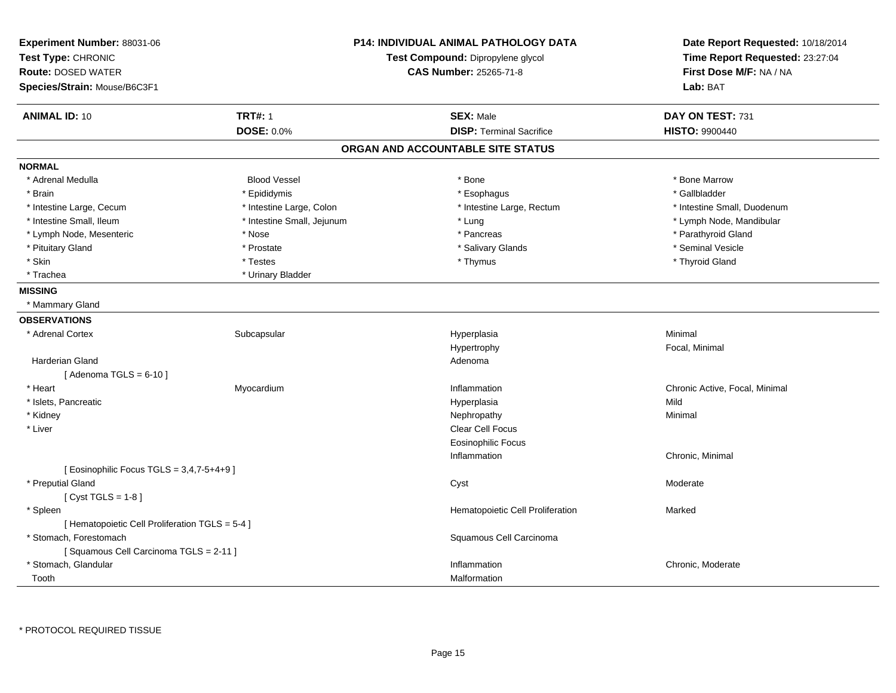| Experiment Number: 88031-06                     | <b>P14: INDIVIDUAL ANIMAL PATHOLOGY DATA</b><br>Test Compound: Dipropylene glycol |                                   | Date Report Requested: 10/18/2014 |
|-------------------------------------------------|-----------------------------------------------------------------------------------|-----------------------------------|-----------------------------------|
| Test Type: CHRONIC                              |                                                                                   |                                   | Time Report Requested: 23:27:04   |
| <b>Route: DOSED WATER</b>                       |                                                                                   | <b>CAS Number: 25265-71-8</b>     | First Dose M/F: NA / NA           |
| Species/Strain: Mouse/B6C3F1                    |                                                                                   |                                   | Lab: BAT                          |
| <b>ANIMAL ID: 10</b>                            | <b>TRT#: 1</b>                                                                    | <b>SEX: Male</b>                  | DAY ON TEST: 731                  |
|                                                 | <b>DOSE: 0.0%</b>                                                                 | <b>DISP: Terminal Sacrifice</b>   | <b>HISTO: 9900440</b>             |
|                                                 |                                                                                   | ORGAN AND ACCOUNTABLE SITE STATUS |                                   |
| <b>NORMAL</b>                                   |                                                                                   |                                   |                                   |
| * Adrenal Medulla                               | <b>Blood Vessel</b>                                                               | * Bone                            | * Bone Marrow                     |
| * Brain                                         | * Epididymis                                                                      | * Esophagus                       | * Gallbladder                     |
| * Intestine Large, Cecum                        | * Intestine Large, Colon                                                          | * Intestine Large, Rectum         | * Intestine Small, Duodenum       |
| * Intestine Small, Ileum                        | * Intestine Small, Jejunum                                                        | * Lung                            | * Lymph Node, Mandibular          |
| * Lymph Node, Mesenteric                        | * Nose                                                                            | * Pancreas                        | * Parathyroid Gland               |
| * Pituitary Gland                               | * Prostate                                                                        | * Salivary Glands                 | * Seminal Vesicle                 |
| * Skin                                          | * Testes                                                                          | * Thymus                          | * Thyroid Gland                   |
| * Trachea                                       | * Urinary Bladder                                                                 |                                   |                                   |
| <b>MISSING</b>                                  |                                                                                   |                                   |                                   |
| * Mammary Gland                                 |                                                                                   |                                   |                                   |
| <b>OBSERVATIONS</b>                             |                                                                                   |                                   |                                   |
| * Adrenal Cortex                                | Subcapsular                                                                       | Hyperplasia                       | Minimal                           |
|                                                 |                                                                                   | Hypertrophy                       | Focal, Minimal                    |
| Harderian Gland                                 |                                                                                   | Adenoma                           |                                   |
| [Adenoma TGLS = $6-10$ ]                        |                                                                                   |                                   |                                   |
| * Heart                                         | Myocardium                                                                        | Inflammation                      | Chronic Active, Focal, Minimal    |
| * Islets, Pancreatic                            |                                                                                   | Hyperplasia                       | Mild                              |
| * Kidney                                        |                                                                                   | Nephropathy                       | Minimal                           |
| * Liver                                         |                                                                                   | Clear Cell Focus                  |                                   |
|                                                 |                                                                                   | <b>Eosinophilic Focus</b>         |                                   |
|                                                 |                                                                                   | Inflammation                      | Chronic, Minimal                  |
| [ Eosinophilic Focus TGLS = 3,4,7-5+4+9 ]       |                                                                                   |                                   |                                   |
| * Preputial Gland                               |                                                                                   | Cyst                              | Moderate                          |
| [Cyst TGLS = $1-8$ ]                            |                                                                                   |                                   |                                   |
| * Spleen                                        |                                                                                   | Hematopoietic Cell Proliferation  | Marked                            |
| [ Hematopoietic Cell Proliferation TGLS = 5-4 ] |                                                                                   |                                   |                                   |
| * Stomach, Forestomach                          |                                                                                   | Squamous Cell Carcinoma           |                                   |
| [Squamous Cell Carcinoma TGLS = 2-11]           |                                                                                   |                                   |                                   |
| * Stomach, Glandular                            |                                                                                   | Inflammation                      | Chronic, Moderate                 |
| Tooth                                           |                                                                                   | Malformation                      |                                   |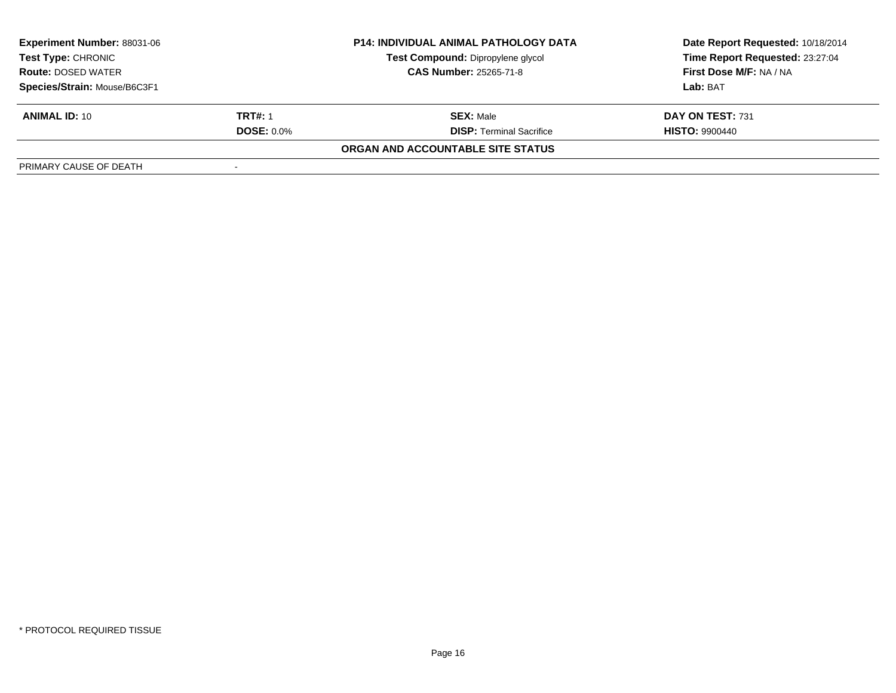| <b>Experiment Number: 88031-06</b>                     |                   | <b>P14: INDIVIDUAL ANIMAL PATHOLOGY DATA</b> | Date Report Requested: 10/18/2014 |  |
|--------------------------------------------------------|-------------------|----------------------------------------------|-----------------------------------|--|
| <b>Test Type: CHRONIC</b><br><b>Route: DOSED WATER</b> |                   | Test Compound: Dipropylene glycol            | Time Report Requested: 23:27:04   |  |
|                                                        |                   | <b>CAS Number: 25265-71-8</b>                | First Dose M/F: NA / NA           |  |
| Species/Strain: Mouse/B6C3F1                           |                   |                                              | Lab: BAT                          |  |
| <b>ANIMAL ID: 10</b>                                   | <b>TRT#: 1</b>    | <b>SEX: Male</b>                             | DAY ON TEST: 731                  |  |
|                                                        | <b>DOSE: 0.0%</b> | <b>DISP:</b> Terminal Sacrifice              | <b>HISTO: 9900440</b>             |  |
|                                                        |                   | ORGAN AND ACCOUNTABLE SITE STATUS            |                                   |  |
| PRIMARY CAUSE OF DEATH                                 |                   |                                              |                                   |  |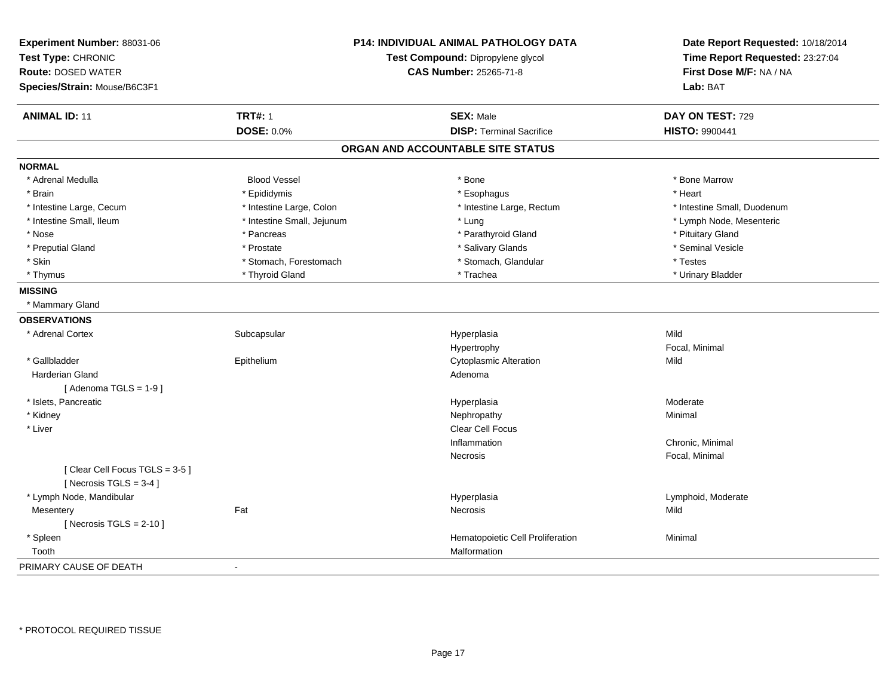| Experiment Number: 88031-06<br>Test Type: CHRONIC<br><b>Route: DOSED WATER</b><br>Species/Strain: Mouse/B6C3F1 |                            | P14: INDIVIDUAL ANIMAL PATHOLOGY DATA<br>Test Compound: Dipropylene glycol<br><b>CAS Number: 25265-71-8</b> | Date Report Requested: 10/18/2014<br>Time Report Requested: 23:27:04<br>First Dose M/F: NA / NA<br>Lab: BAT |
|----------------------------------------------------------------------------------------------------------------|----------------------------|-------------------------------------------------------------------------------------------------------------|-------------------------------------------------------------------------------------------------------------|
| <b>ANIMAL ID: 11</b>                                                                                           | <b>TRT#: 1</b>             | <b>SEX: Male</b>                                                                                            | DAY ON TEST: 729                                                                                            |
|                                                                                                                | <b>DOSE: 0.0%</b>          | <b>DISP: Terminal Sacrifice</b>                                                                             | <b>HISTO: 9900441</b>                                                                                       |
|                                                                                                                |                            | ORGAN AND ACCOUNTABLE SITE STATUS                                                                           |                                                                                                             |
| <b>NORMAL</b>                                                                                                  |                            |                                                                                                             |                                                                                                             |
| * Adrenal Medulla                                                                                              | <b>Blood Vessel</b>        | * Bone                                                                                                      | * Bone Marrow                                                                                               |
| * Brain                                                                                                        | * Epididymis               | * Esophagus                                                                                                 | * Heart                                                                                                     |
| * Intestine Large, Cecum                                                                                       | * Intestine Large, Colon   | * Intestine Large, Rectum                                                                                   | * Intestine Small, Duodenum                                                                                 |
| * Intestine Small, Ileum                                                                                       | * Intestine Small, Jejunum | * Lung                                                                                                      | * Lymph Node, Mesenteric                                                                                    |
| * Nose                                                                                                         | * Pancreas                 | * Parathyroid Gland                                                                                         | * Pituitary Gland                                                                                           |
| * Preputial Gland                                                                                              | * Prostate                 | * Salivary Glands                                                                                           | * Seminal Vesicle                                                                                           |
| * Skin                                                                                                         | * Stomach, Forestomach     | * Stomach, Glandular                                                                                        | * Testes                                                                                                    |
| * Thymus                                                                                                       | * Thyroid Gland            | * Trachea                                                                                                   | * Urinary Bladder                                                                                           |
| <b>MISSING</b>                                                                                                 |                            |                                                                                                             |                                                                                                             |
| * Mammary Gland                                                                                                |                            |                                                                                                             |                                                                                                             |
| <b>OBSERVATIONS</b>                                                                                            |                            |                                                                                                             |                                                                                                             |
| * Adrenal Cortex                                                                                               | Subcapsular                | Hyperplasia                                                                                                 | Mild                                                                                                        |
|                                                                                                                |                            | Hypertrophy                                                                                                 | Focal, Minimal                                                                                              |
| * Gallbladder                                                                                                  | Epithelium                 | <b>Cytoplasmic Alteration</b>                                                                               | Mild                                                                                                        |
| <b>Harderian Gland</b>                                                                                         |                            | Adenoma                                                                                                     |                                                                                                             |
| [Adenoma TGLS = $1-9$ ]                                                                                        |                            |                                                                                                             |                                                                                                             |
| * Islets, Pancreatic                                                                                           |                            | Hyperplasia                                                                                                 | Moderate                                                                                                    |
| * Kidney                                                                                                       |                            | Nephropathy                                                                                                 | Minimal                                                                                                     |
| * Liver                                                                                                        |                            | Clear Cell Focus                                                                                            |                                                                                                             |
|                                                                                                                |                            | Inflammation                                                                                                | Chronic, Minimal                                                                                            |
| [Clear Cell Focus TGLS = 3-5]<br>[ Necrosis $TGLS = 3-4$ ]                                                     |                            | Necrosis                                                                                                    | Focal, Minimal                                                                                              |
| * Lymph Node, Mandibular                                                                                       |                            | Hyperplasia                                                                                                 | Lymphoid, Moderate                                                                                          |
| Mesentery                                                                                                      | Fat                        | Necrosis                                                                                                    | Mild                                                                                                        |
| [ Necrosis $TGLS = 2-10$ ]                                                                                     |                            |                                                                                                             |                                                                                                             |
| * Spleen                                                                                                       |                            | Hematopoietic Cell Proliferation                                                                            | Minimal                                                                                                     |
| Tooth                                                                                                          |                            | Malformation                                                                                                |                                                                                                             |
| PRIMARY CAUSE OF DEATH                                                                                         | $\blacksquare$             |                                                                                                             |                                                                                                             |
|                                                                                                                |                            |                                                                                                             |                                                                                                             |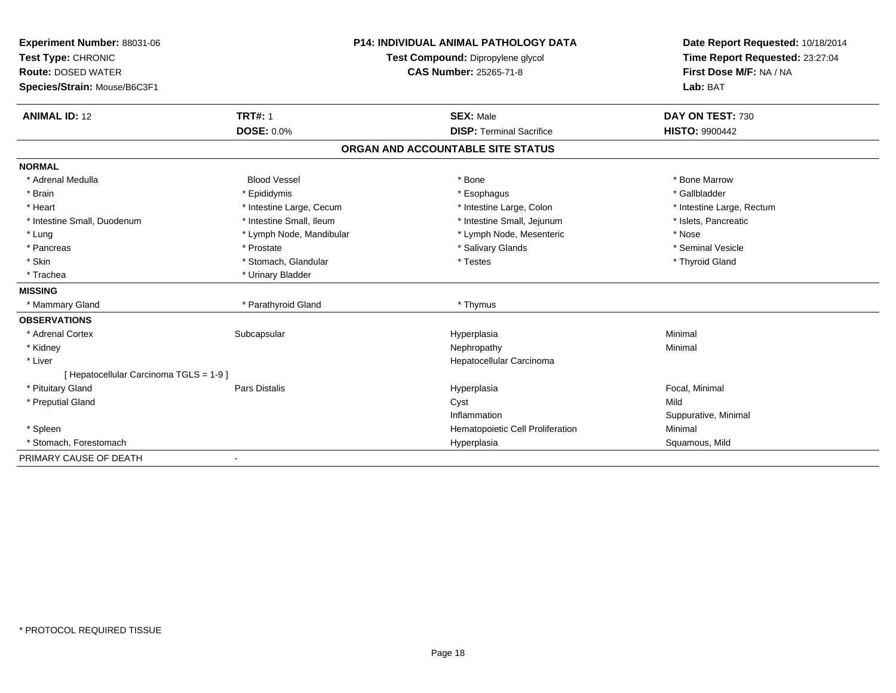| Experiment Number: 88031-06             |                          | <b>P14: INDIVIDUAL ANIMAL PATHOLOGY DATA</b> | Date Report Requested: 10/18/2014 |
|-----------------------------------------|--------------------------|----------------------------------------------|-----------------------------------|
| Test Type: CHRONIC                      |                          | Test Compound: Dipropylene glycol            | Time Report Requested: 23:27:04   |
| <b>Route: DOSED WATER</b>               |                          | <b>CAS Number: 25265-71-8</b>                | First Dose M/F: NA / NA           |
| Species/Strain: Mouse/B6C3F1            |                          |                                              | Lab: BAT                          |
|                                         |                          |                                              |                                   |
| <b>ANIMAL ID: 12</b>                    | <b>TRT#: 1</b>           | <b>SEX: Male</b>                             | DAY ON TEST: 730                  |
|                                         | <b>DOSE: 0.0%</b>        | <b>DISP: Terminal Sacrifice</b>              | <b>HISTO: 9900442</b>             |
|                                         |                          | ORGAN AND ACCOUNTABLE SITE STATUS            |                                   |
| <b>NORMAL</b>                           |                          |                                              |                                   |
| * Adrenal Medulla                       | <b>Blood Vessel</b>      | * Bone                                       | * Bone Marrow                     |
| * Brain                                 | * Epididymis             | * Esophagus                                  | * Gallbladder                     |
| * Heart                                 | * Intestine Large, Cecum | * Intestine Large, Colon                     | * Intestine Large, Rectum         |
| * Intestine Small, Duodenum             | * Intestine Small, Ileum | * Intestine Small, Jejunum                   | * Islets, Pancreatic              |
| * Lung                                  | * Lymph Node, Mandibular | * Lymph Node, Mesenteric                     | * Nose                            |
| * Pancreas                              | * Prostate               | * Salivary Glands                            | * Seminal Vesicle                 |
| * Skin                                  | * Stomach, Glandular     | * Testes                                     | * Thyroid Gland                   |
| * Trachea                               | * Urinary Bladder        |                                              |                                   |
| <b>MISSING</b>                          |                          |                                              |                                   |
| * Mammary Gland                         | * Parathyroid Gland      | * Thymus                                     |                                   |
| <b>OBSERVATIONS</b>                     |                          |                                              |                                   |
| * Adrenal Cortex                        | Subcapsular              | Hyperplasia                                  | Minimal                           |
| * Kidney                                |                          | Nephropathy                                  | Minimal                           |
| * Liver                                 |                          | Hepatocellular Carcinoma                     |                                   |
| [ Hepatocellular Carcinoma TGLS = 1-9 ] |                          |                                              |                                   |
| * Pituitary Gland                       | <b>Pars Distalis</b>     | Hyperplasia                                  | Focal, Minimal                    |
| * Preputial Gland                       |                          | Cyst                                         | Mild                              |
|                                         |                          | Inflammation                                 | Suppurative, Minimal              |
| * Spleen                                |                          | Hematopoietic Cell Proliferation             | Minimal                           |
| * Stomach, Forestomach                  |                          | Hyperplasia                                  | Squamous, Mild                    |
| PRIMARY CAUSE OF DEATH                  | $\blacksquare$           |                                              |                                   |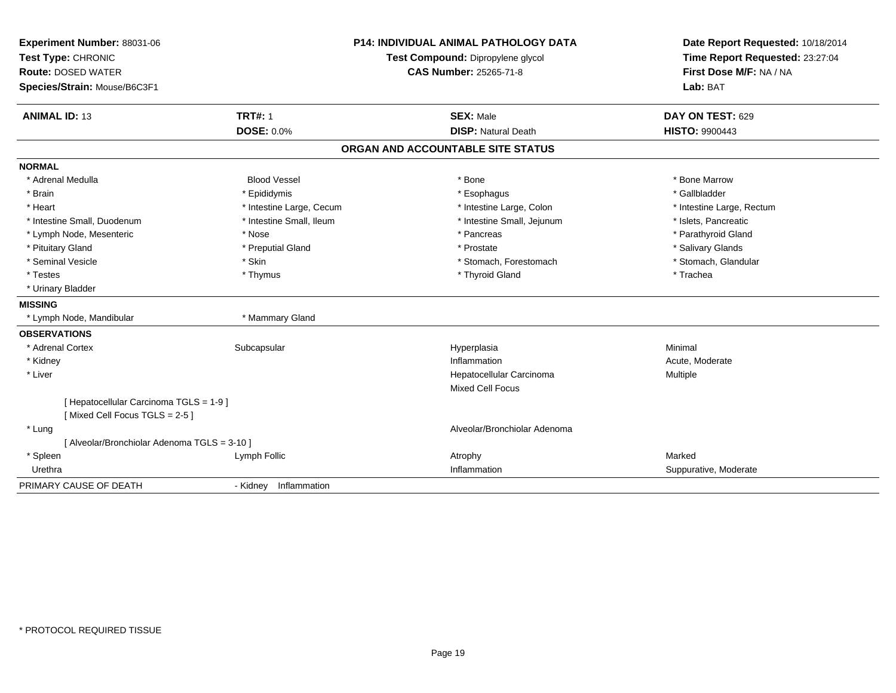| Experiment Number: 88031-06<br>Test Type: CHRONIC<br><b>Route: DOSED WATER</b><br>Species/Strain: Mouse/B6C3F1 |                          | <b>P14: INDIVIDUAL ANIMAL PATHOLOGY DATA</b><br>Test Compound: Dipropylene glycol<br><b>CAS Number: 25265-71-8</b> | Date Report Requested: 10/18/2014<br>Time Report Requested: 23:27:04<br>First Dose M/F: NA / NA<br>Lab: BAT |
|----------------------------------------------------------------------------------------------------------------|--------------------------|--------------------------------------------------------------------------------------------------------------------|-------------------------------------------------------------------------------------------------------------|
| <b>ANIMAL ID: 13</b>                                                                                           | <b>TRT#: 1</b>           | <b>SEX: Male</b>                                                                                                   | DAY ON TEST: 629                                                                                            |
|                                                                                                                | <b>DOSE: 0.0%</b>        | <b>DISP: Natural Death</b>                                                                                         | <b>HISTO: 9900443</b>                                                                                       |
|                                                                                                                |                          | ORGAN AND ACCOUNTABLE SITE STATUS                                                                                  |                                                                                                             |
| <b>NORMAL</b>                                                                                                  |                          |                                                                                                                    |                                                                                                             |
| * Adrenal Medulla                                                                                              | <b>Blood Vessel</b>      | * Bone                                                                                                             | * Bone Marrow                                                                                               |
| * Brain                                                                                                        | * Epididymis             | * Esophagus                                                                                                        | * Gallbladder                                                                                               |
| * Heart                                                                                                        | * Intestine Large, Cecum | * Intestine Large, Colon                                                                                           | * Intestine Large, Rectum                                                                                   |
| * Intestine Small, Duodenum                                                                                    | * Intestine Small, Ileum | * Intestine Small, Jejunum                                                                                         | * Islets, Pancreatic                                                                                        |
| * Lymph Node, Mesenteric                                                                                       | * Nose                   | * Pancreas                                                                                                         | * Parathyroid Gland                                                                                         |
| * Pituitary Gland                                                                                              | * Preputial Gland        | * Prostate                                                                                                         | * Salivary Glands                                                                                           |
| * Seminal Vesicle                                                                                              | * Skin                   | * Stomach, Forestomach                                                                                             | * Stomach, Glandular                                                                                        |
| * Testes                                                                                                       | * Thymus                 | * Thyroid Gland                                                                                                    | * Trachea                                                                                                   |
| * Urinary Bladder                                                                                              |                          |                                                                                                                    |                                                                                                             |
| <b>MISSING</b>                                                                                                 |                          |                                                                                                                    |                                                                                                             |
| * Lymph Node, Mandibular                                                                                       | * Mammary Gland          |                                                                                                                    |                                                                                                             |
| <b>OBSERVATIONS</b>                                                                                            |                          |                                                                                                                    |                                                                                                             |
| * Adrenal Cortex                                                                                               | Subcapsular              | Hyperplasia                                                                                                        | Minimal                                                                                                     |
| * Kidney                                                                                                       |                          | Inflammation                                                                                                       | Acute, Moderate                                                                                             |
| * Liver                                                                                                        |                          | Hepatocellular Carcinoma                                                                                           | Multiple                                                                                                    |
|                                                                                                                |                          | Mixed Cell Focus                                                                                                   |                                                                                                             |
| [ Hepatocellular Carcinoma TGLS = 1-9 ]<br>[Mixed Cell Focus TGLS = 2-5]                                       |                          |                                                                                                                    |                                                                                                             |
| * Lung                                                                                                         |                          | Alveolar/Bronchiolar Adenoma                                                                                       |                                                                                                             |
| [ Alveolar/Bronchiolar Adenoma TGLS = 3-10 ]                                                                   |                          |                                                                                                                    |                                                                                                             |
| * Spleen                                                                                                       | Lymph Follic             | Atrophy                                                                                                            | Marked                                                                                                      |
| Urethra                                                                                                        |                          | Inflammation                                                                                                       | Suppurative, Moderate                                                                                       |
| PRIMARY CAUSE OF DEATH                                                                                         | - Kidney Inflammation    |                                                                                                                    |                                                                                                             |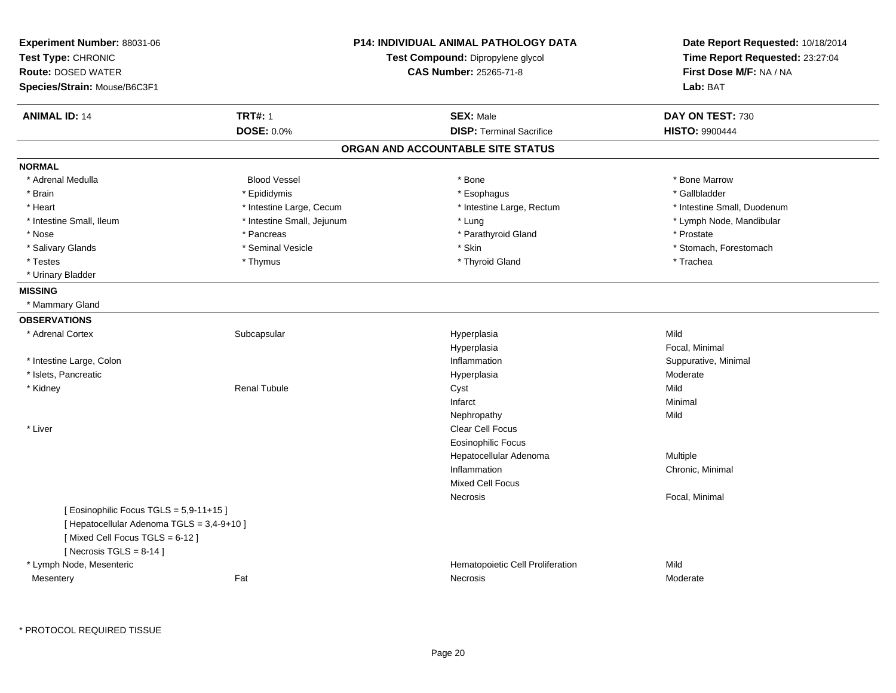| Experiment Number: 88031-06<br>Test Type: CHRONIC<br><b>Route: DOSED WATER</b><br>Species/Strain: Mouse/B6C3F1                                                                 |                            | <b>P14: INDIVIDUAL ANIMAL PATHOLOGY DATA</b><br>Test Compound: Dipropylene glycol<br><b>CAS Number: 25265-71-8</b> | Date Report Requested: 10/18/2014<br>Time Report Requested: 23:27:04<br>First Dose M/F: NA / NA<br>Lab: BAT |
|--------------------------------------------------------------------------------------------------------------------------------------------------------------------------------|----------------------------|--------------------------------------------------------------------------------------------------------------------|-------------------------------------------------------------------------------------------------------------|
| <b>ANIMAL ID: 14</b>                                                                                                                                                           | <b>TRT#: 1</b>             | <b>SEX: Male</b>                                                                                                   | DAY ON TEST: 730                                                                                            |
|                                                                                                                                                                                | <b>DOSE: 0.0%</b>          | <b>DISP: Terminal Sacrifice</b>                                                                                    | <b>HISTO: 9900444</b>                                                                                       |
|                                                                                                                                                                                |                            | ORGAN AND ACCOUNTABLE SITE STATUS                                                                                  |                                                                                                             |
| <b>NORMAL</b>                                                                                                                                                                  |                            |                                                                                                                    |                                                                                                             |
| * Adrenal Medulla                                                                                                                                                              | <b>Blood Vessel</b>        | * Bone                                                                                                             | * Bone Marrow                                                                                               |
| * Brain                                                                                                                                                                        | * Epididymis               | * Esophagus                                                                                                        | * Gallbladder                                                                                               |
| * Heart                                                                                                                                                                        | * Intestine Large, Cecum   | * Intestine Large, Rectum                                                                                          | * Intestine Small, Duodenum                                                                                 |
| * Intestine Small, Ileum                                                                                                                                                       | * Intestine Small, Jejunum | * Lung                                                                                                             | * Lymph Node, Mandibular                                                                                    |
| * Nose                                                                                                                                                                         | * Pancreas                 | * Parathyroid Gland                                                                                                | * Prostate                                                                                                  |
| * Salivary Glands                                                                                                                                                              | * Seminal Vesicle          | * Skin                                                                                                             | * Stomach, Forestomach                                                                                      |
| * Testes                                                                                                                                                                       | * Thymus                   | * Thyroid Gland                                                                                                    | * Trachea                                                                                                   |
| * Urinary Bladder                                                                                                                                                              |                            |                                                                                                                    |                                                                                                             |
| <b>MISSING</b>                                                                                                                                                                 |                            |                                                                                                                    |                                                                                                             |
| * Mammary Gland                                                                                                                                                                |                            |                                                                                                                    |                                                                                                             |
| <b>OBSERVATIONS</b>                                                                                                                                                            |                            |                                                                                                                    |                                                                                                             |
| * Adrenal Cortex                                                                                                                                                               | Subcapsular                | Hyperplasia                                                                                                        | Mild                                                                                                        |
|                                                                                                                                                                                |                            | Hyperplasia                                                                                                        | Focal, Minimal                                                                                              |
| * Intestine Large, Colon                                                                                                                                                       |                            | Inflammation                                                                                                       | Suppurative, Minimal                                                                                        |
| * Islets, Pancreatic                                                                                                                                                           |                            | Hyperplasia                                                                                                        | Moderate                                                                                                    |
| * Kidney                                                                                                                                                                       | <b>Renal Tubule</b>        | Cyst                                                                                                               | Mild                                                                                                        |
|                                                                                                                                                                                |                            | Infarct                                                                                                            | Minimal                                                                                                     |
|                                                                                                                                                                                |                            | Nephropathy                                                                                                        | Mild                                                                                                        |
| * Liver                                                                                                                                                                        |                            | Clear Cell Focus                                                                                                   |                                                                                                             |
|                                                                                                                                                                                |                            | Eosinophilic Focus                                                                                                 |                                                                                                             |
|                                                                                                                                                                                |                            | Hepatocellular Adenoma                                                                                             | Multiple                                                                                                    |
|                                                                                                                                                                                |                            | Inflammation                                                                                                       | Chronic, Minimal                                                                                            |
|                                                                                                                                                                                |                            | <b>Mixed Cell Focus</b>                                                                                            |                                                                                                             |
|                                                                                                                                                                                |                            | Necrosis                                                                                                           | Focal, Minimal                                                                                              |
| [Eosinophilic Focus TGLS = 5,9-11+15]<br>[ Hepatocellular Adenoma TGLS = 3,4-9+10 ]<br>[Mixed Cell Focus TGLS = 6-12]<br>[Necrosis TGLS = $8-14$ ]<br>* Lymph Node, Mesenteric |                            | Hematopoietic Cell Proliferation                                                                                   | Mild                                                                                                        |
|                                                                                                                                                                                | Fat                        |                                                                                                                    |                                                                                                             |
| Mesentery                                                                                                                                                                      |                            | Necrosis                                                                                                           | Moderate                                                                                                    |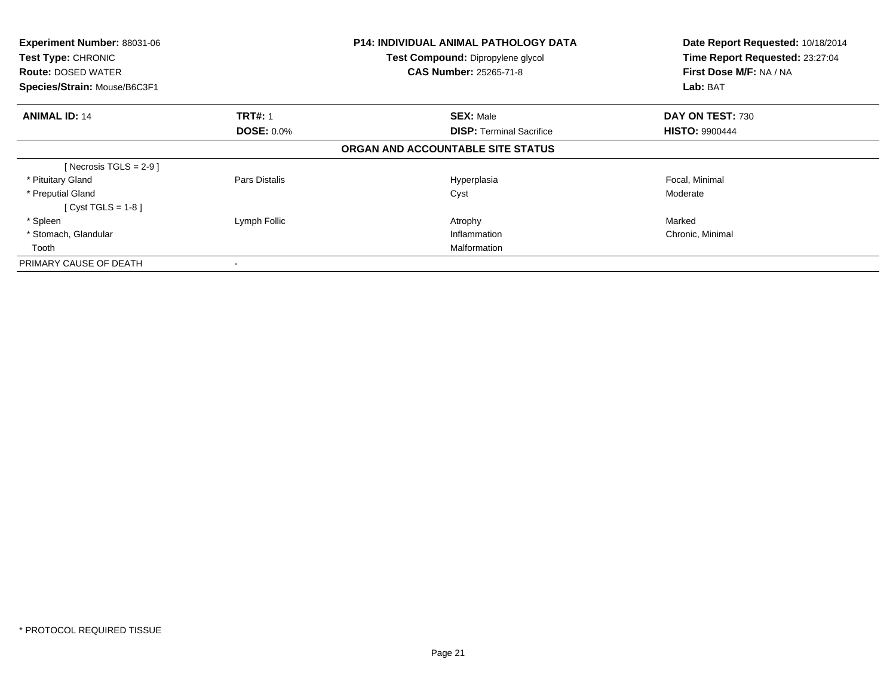| Experiment Number: 88031-06<br>Test Type: CHRONIC<br><b>Route: DOSED WATER</b><br>Species/Strain: Mouse/B6C3F1 |                   | <b>P14: INDIVIDUAL ANIMAL PATHOLOGY DATA</b><br>Test Compound: Dipropylene glycol<br><b>CAS Number: 25265-71-8</b> | Date Report Requested: 10/18/2014<br>Time Report Requested: 23:27:04<br>First Dose M/F: NA / NA<br>Lab: BAT |
|----------------------------------------------------------------------------------------------------------------|-------------------|--------------------------------------------------------------------------------------------------------------------|-------------------------------------------------------------------------------------------------------------|
|                                                                                                                |                   |                                                                                                                    |                                                                                                             |
| <b>ANIMAL ID: 14</b>                                                                                           | <b>TRT#: 1</b>    | <b>SEX: Male</b>                                                                                                   | DAY ON TEST: 730                                                                                            |
|                                                                                                                | <b>DOSE: 0.0%</b> | <b>DISP:</b> Terminal Sacrifice                                                                                    | <b>HISTO: 9900444</b>                                                                                       |
|                                                                                                                |                   | ORGAN AND ACCOUNTABLE SITE STATUS                                                                                  |                                                                                                             |
| [ Necrosis TGLS = $2-9$ ]                                                                                      |                   |                                                                                                                    |                                                                                                             |
| * Pituitary Gland                                                                                              | Pars Distalis     | Hyperplasia                                                                                                        | Focal, Minimal                                                                                              |
| * Preputial Gland                                                                                              |                   | Cyst                                                                                                               | Moderate                                                                                                    |
| $Cyst TGLS = 1-8$                                                                                              |                   |                                                                                                                    |                                                                                                             |
| * Spleen                                                                                                       | Lymph Follic      | Atrophy                                                                                                            | Marked                                                                                                      |
| * Stomach, Glandular                                                                                           |                   | Inflammation                                                                                                       | Chronic, Minimal                                                                                            |
| Tooth                                                                                                          |                   | Malformation                                                                                                       |                                                                                                             |
| PRIMARY CAUSE OF DEATH                                                                                         |                   |                                                                                                                    |                                                                                                             |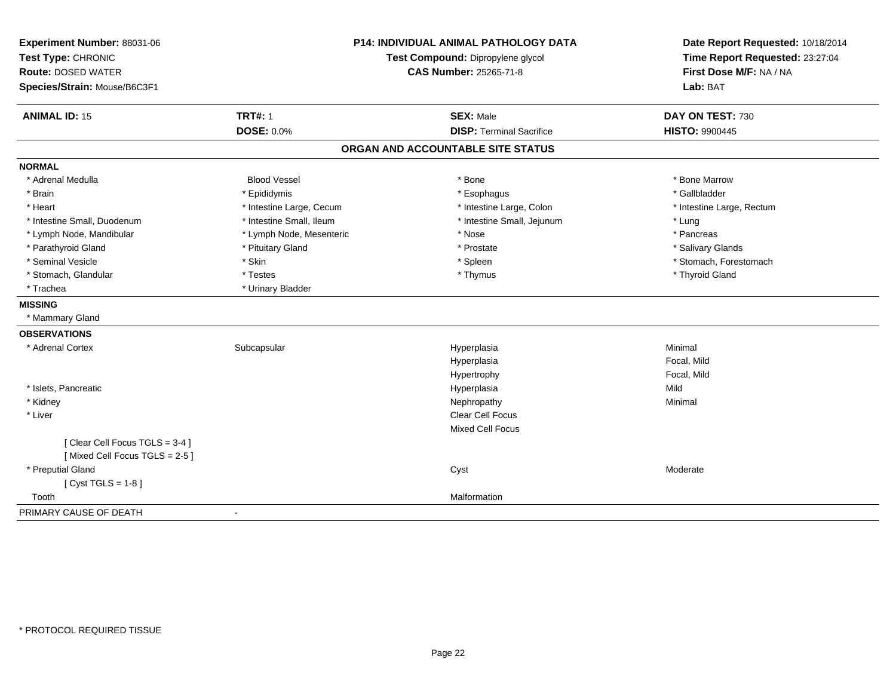| Experiment Number: 88031-06   |                                   | <b>P14: INDIVIDUAL ANIMAL PATHOLOGY DATA</b> | Date Report Requested: 10/18/2014 |
|-------------------------------|-----------------------------------|----------------------------------------------|-----------------------------------|
| Test Type: CHRONIC            | Test Compound: Dipropylene glycol |                                              | Time Report Requested: 23:27:04   |
| <b>Route: DOSED WATER</b>     |                                   | <b>CAS Number: 25265-71-8</b>                | First Dose M/F: NA / NA           |
| Species/Strain: Mouse/B6C3F1  |                                   |                                              | Lab: BAT                          |
| <b>ANIMAL ID: 15</b>          | <b>TRT#: 1</b>                    | <b>SEX: Male</b>                             | DAY ON TEST: 730                  |
|                               | <b>DOSE: 0.0%</b>                 | <b>DISP: Terminal Sacrifice</b>              | <b>HISTO: 9900445</b>             |
|                               |                                   | ORGAN AND ACCOUNTABLE SITE STATUS            |                                   |
| <b>NORMAL</b>                 |                                   |                                              |                                   |
| * Adrenal Medulla             | <b>Blood Vessel</b>               | * Bone                                       | * Bone Marrow                     |
| * Brain                       | * Epididymis                      | * Esophagus                                  | * Gallbladder                     |
| * Heart                       | * Intestine Large, Cecum          | * Intestine Large, Colon                     | * Intestine Large, Rectum         |
| * Intestine Small, Duodenum   | * Intestine Small, Ileum          | * Intestine Small, Jejunum                   | * Lung                            |
| * Lymph Node, Mandibular      | * Lymph Node, Mesenteric          | * Nose                                       | * Pancreas                        |
| * Parathyroid Gland           | * Pituitary Gland                 | * Prostate                                   | * Salivary Glands                 |
| * Seminal Vesicle             | * Skin                            | * Spleen                                     | * Stomach, Forestomach            |
| * Stomach, Glandular          | * Testes                          | * Thymus                                     | * Thyroid Gland                   |
| * Trachea                     | * Urinary Bladder                 |                                              |                                   |
| <b>MISSING</b>                |                                   |                                              |                                   |
| * Mammary Gland               |                                   |                                              |                                   |
| <b>OBSERVATIONS</b>           |                                   |                                              |                                   |
| * Adrenal Cortex              | Subcapsular                       | Hyperplasia                                  | Minimal                           |
|                               |                                   | Hyperplasia                                  | Focal, Mild                       |
|                               |                                   | Hypertrophy                                  | Focal, Mild                       |
| * Islets, Pancreatic          |                                   | Hyperplasia                                  | Mild                              |
| * Kidney                      |                                   | Nephropathy                                  | Minimal                           |
| * Liver                       |                                   | <b>Clear Cell Focus</b>                      |                                   |
|                               |                                   | <b>Mixed Cell Focus</b>                      |                                   |
| [Clear Cell Focus TGLS = 3-4] |                                   |                                              |                                   |
| [Mixed Cell Focus TGLS = 2-5] |                                   |                                              |                                   |
| * Preputial Gland             |                                   | Cyst                                         | Moderate                          |
| [ $Cyst TGLS = 1-8$ ]         |                                   |                                              |                                   |
| Tooth                         |                                   | Malformation                                 |                                   |
| PRIMARY CAUSE OF DEATH        | $\blacksquare$                    |                                              |                                   |
|                               |                                   |                                              |                                   |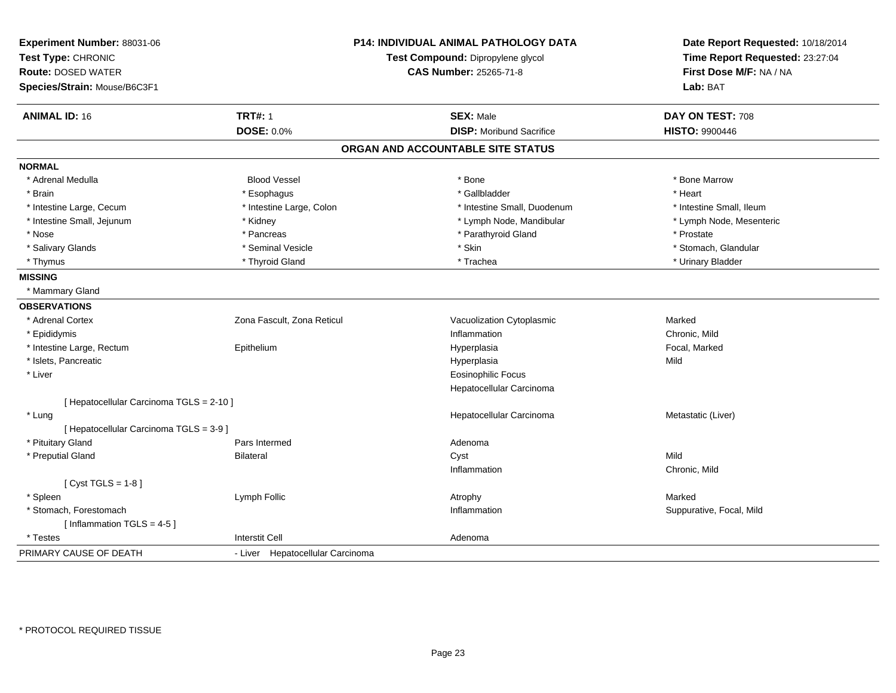| Experiment Number: 88031-06<br>Test Type: CHRONIC<br><b>Route: DOSED WATER</b> |                                  | <b>P14: INDIVIDUAL ANIMAL PATHOLOGY DATA</b><br>Test Compound: Dipropylene glycol<br><b>CAS Number: 25265-71-8</b> | Date Report Requested: 10/18/2014<br>Time Report Requested: 23:27:04<br>First Dose M/F: NA / NA |
|--------------------------------------------------------------------------------|----------------------------------|--------------------------------------------------------------------------------------------------------------------|-------------------------------------------------------------------------------------------------|
| Species/Strain: Mouse/B6C3F1                                                   |                                  |                                                                                                                    | Lab: BAT                                                                                        |
| <b>ANIMAL ID: 16</b>                                                           | <b>TRT#: 1</b>                   | <b>SEX: Male</b>                                                                                                   | DAY ON TEST: 708                                                                                |
|                                                                                | <b>DOSE: 0.0%</b>                | <b>DISP: Moribund Sacrifice</b>                                                                                    | <b>HISTO: 9900446</b>                                                                           |
|                                                                                |                                  | ORGAN AND ACCOUNTABLE SITE STATUS                                                                                  |                                                                                                 |
| <b>NORMAL</b>                                                                  |                                  |                                                                                                                    |                                                                                                 |
| * Adrenal Medulla                                                              | <b>Blood Vessel</b>              | * Bone                                                                                                             | * Bone Marrow                                                                                   |
| * Brain                                                                        | * Esophagus                      | * Gallbladder                                                                                                      | * Heart                                                                                         |
| * Intestine Large, Cecum                                                       | * Intestine Large, Colon         | * Intestine Small, Duodenum                                                                                        | * Intestine Small, Ileum                                                                        |
| * Intestine Small, Jejunum                                                     | * Kidney                         | * Lymph Node, Mandibular                                                                                           | * Lymph Node, Mesenteric                                                                        |
| * Nose                                                                         | * Pancreas                       | * Parathyroid Gland                                                                                                | * Prostate                                                                                      |
| * Salivary Glands                                                              | * Seminal Vesicle                | * Skin                                                                                                             | * Stomach, Glandular                                                                            |
| * Thymus                                                                       | * Thyroid Gland                  | * Trachea                                                                                                          | * Urinary Bladder                                                                               |
| <b>MISSING</b>                                                                 |                                  |                                                                                                                    |                                                                                                 |
| * Mammary Gland                                                                |                                  |                                                                                                                    |                                                                                                 |
| <b>OBSERVATIONS</b>                                                            |                                  |                                                                                                                    |                                                                                                 |
| * Adrenal Cortex                                                               | Zona Fascult, Zona Reticul       | Vacuolization Cytoplasmic                                                                                          | Marked                                                                                          |
| * Epididymis                                                                   |                                  | Inflammation                                                                                                       | Chronic, Mild                                                                                   |
| * Intestine Large, Rectum                                                      | Epithelium                       | Hyperplasia                                                                                                        | Focal, Marked                                                                                   |
| * Islets, Pancreatic                                                           |                                  | Hyperplasia                                                                                                        | Mild                                                                                            |
| * Liver                                                                        |                                  | <b>Eosinophilic Focus</b>                                                                                          |                                                                                                 |
|                                                                                |                                  | Hepatocellular Carcinoma                                                                                           |                                                                                                 |
| [ Hepatocellular Carcinoma TGLS = 2-10 ]                                       |                                  |                                                                                                                    |                                                                                                 |
| * Lung                                                                         |                                  | Hepatocellular Carcinoma                                                                                           | Metastatic (Liver)                                                                              |
| [ Hepatocellular Carcinoma TGLS = 3-9 ]                                        |                                  |                                                                                                                    |                                                                                                 |
| * Pituitary Gland                                                              | Pars Intermed                    | Adenoma                                                                                                            |                                                                                                 |
| * Preputial Gland                                                              | <b>Bilateral</b>                 | Cyst                                                                                                               | Mild                                                                                            |
|                                                                                |                                  | Inflammation                                                                                                       | Chronic, Mild                                                                                   |
| [Cyst TGLS = $1-8$ ]                                                           |                                  |                                                                                                                    |                                                                                                 |
| * Spleen                                                                       | Lymph Follic                     | Atrophy                                                                                                            | Marked                                                                                          |
| * Stomach, Forestomach                                                         |                                  | Inflammation                                                                                                       | Suppurative, Focal, Mild                                                                        |
| [Inflammation TGLS = $4-5$ ]                                                   |                                  |                                                                                                                    |                                                                                                 |
| * Testes                                                                       | <b>Interstit Cell</b>            | Adenoma                                                                                                            |                                                                                                 |
| PRIMARY CAUSE OF DEATH                                                         | - Liver Hepatocellular Carcinoma |                                                                                                                    |                                                                                                 |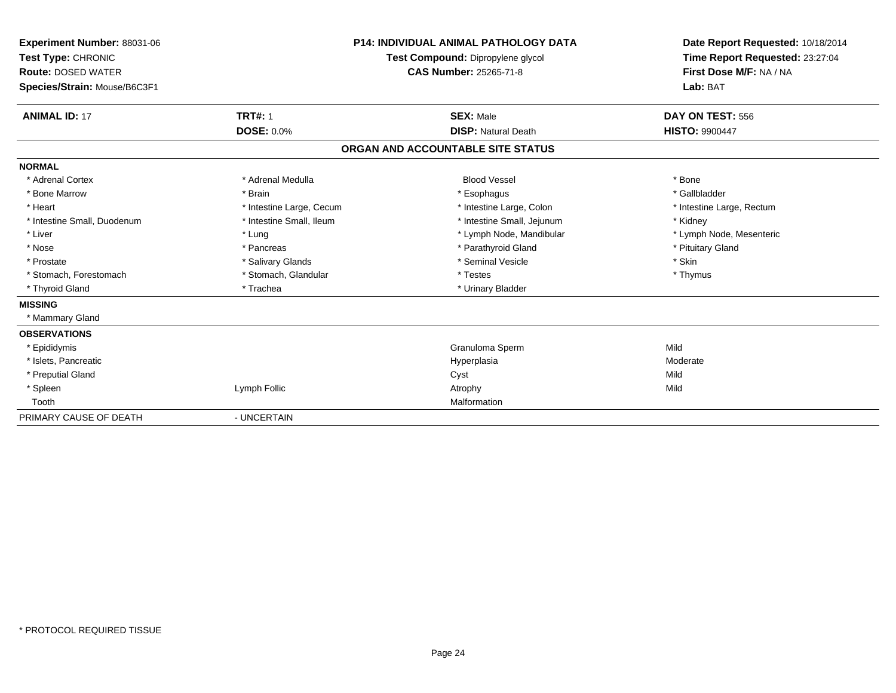| Experiment Number: 88031-06<br>Test Type: CHRONIC<br><b>Route: DOSED WATER</b><br>Species/Strain: Mouse/B6C3F1 |                          | <b>P14: INDIVIDUAL ANIMAL PATHOLOGY DATA</b><br>Test Compound: Dipropylene glycol<br>CAS Number: 25265-71-8 | Date Report Requested: 10/18/2014<br>Time Report Requested: 23:27:04<br>First Dose M/F: NA / NA<br>Lab: BAT |
|----------------------------------------------------------------------------------------------------------------|--------------------------|-------------------------------------------------------------------------------------------------------------|-------------------------------------------------------------------------------------------------------------|
| <b>ANIMAL ID: 17</b>                                                                                           | <b>TRT#: 1</b>           | <b>SEX: Male</b>                                                                                            | DAY ON TEST: 556                                                                                            |
|                                                                                                                | <b>DOSE: 0.0%</b>        | <b>DISP: Natural Death</b>                                                                                  | <b>HISTO: 9900447</b>                                                                                       |
|                                                                                                                |                          | ORGAN AND ACCOUNTABLE SITE STATUS                                                                           |                                                                                                             |
| <b>NORMAL</b>                                                                                                  |                          |                                                                                                             |                                                                                                             |
| * Adrenal Cortex                                                                                               | * Adrenal Medulla        | <b>Blood Vessel</b>                                                                                         | * Bone                                                                                                      |
| * Bone Marrow                                                                                                  | * Brain                  | * Esophagus                                                                                                 | * Gallbladder                                                                                               |
| * Heart                                                                                                        | * Intestine Large, Cecum | * Intestine Large, Colon                                                                                    | * Intestine Large, Rectum                                                                                   |
| * Intestine Small, Duodenum                                                                                    | * Intestine Small, Ileum | * Intestine Small, Jejunum                                                                                  | * Kidney                                                                                                    |
| * Liver                                                                                                        | * Lung                   | * Lymph Node, Mandibular                                                                                    | * Lymph Node, Mesenteric                                                                                    |
| * Nose                                                                                                         | * Pancreas               | * Parathyroid Gland                                                                                         | * Pituitary Gland                                                                                           |
| * Prostate                                                                                                     | * Salivary Glands        | * Seminal Vesicle                                                                                           | * Skin                                                                                                      |
| * Stomach, Forestomach                                                                                         | * Stomach, Glandular     | * Testes                                                                                                    | * Thymus                                                                                                    |
| * Thyroid Gland                                                                                                | * Trachea                | * Urinary Bladder                                                                                           |                                                                                                             |
| <b>MISSING</b>                                                                                                 |                          |                                                                                                             |                                                                                                             |
| * Mammary Gland                                                                                                |                          |                                                                                                             |                                                                                                             |
| <b>OBSERVATIONS</b>                                                                                            |                          |                                                                                                             |                                                                                                             |
| * Epididymis                                                                                                   |                          | Granuloma Sperm                                                                                             | Mild                                                                                                        |
| * Islets. Pancreatic                                                                                           |                          | Hyperplasia                                                                                                 | Moderate                                                                                                    |
| * Preputial Gland                                                                                              |                          | Cyst                                                                                                        | Mild                                                                                                        |
| * Spleen                                                                                                       | Lymph Follic             | Atrophy                                                                                                     | Mild                                                                                                        |
| Tooth                                                                                                          |                          | Malformation                                                                                                |                                                                                                             |
| PRIMARY CAUSE OF DEATH                                                                                         | - UNCERTAIN              |                                                                                                             |                                                                                                             |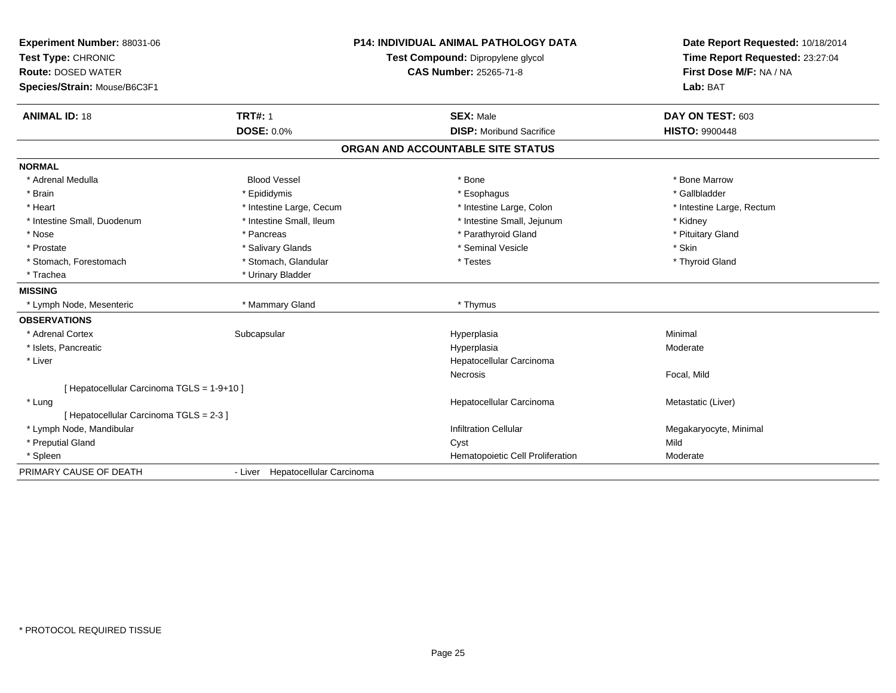| Experiment Number: 88031-06<br>Test Type: CHRONIC |                                  | <b>P14: INDIVIDUAL ANIMAL PATHOLOGY DATA</b> | Date Report Requested: 10/18/2014 |
|---------------------------------------------------|----------------------------------|----------------------------------------------|-----------------------------------|
|                                                   |                                  | Test Compound: Dipropylene glycol            | Time Report Requested: 23:27:04   |
| <b>Route: DOSED WATER</b>                         |                                  | <b>CAS Number: 25265-71-8</b>                | First Dose M/F: NA / NA           |
| Species/Strain: Mouse/B6C3F1                      |                                  |                                              | Lab: BAT                          |
| <b>ANIMAL ID: 18</b>                              | <b>TRT#: 1</b>                   | <b>SEX: Male</b>                             | DAY ON TEST: 603                  |
|                                                   | <b>DOSE: 0.0%</b>                | <b>DISP:</b> Moribund Sacrifice              | <b>HISTO: 9900448</b>             |
|                                                   |                                  | ORGAN AND ACCOUNTABLE SITE STATUS            |                                   |
| <b>NORMAL</b>                                     |                                  |                                              |                                   |
| * Adrenal Medulla                                 | <b>Blood Vessel</b>              | * Bone                                       | * Bone Marrow                     |
| * Brain                                           | * Epididymis                     | * Esophagus                                  | * Gallbladder                     |
| * Heart                                           | * Intestine Large, Cecum         | * Intestine Large, Colon                     | * Intestine Large, Rectum         |
| * Intestine Small, Duodenum                       | * Intestine Small, Ileum         | * Intestine Small, Jejunum                   | * Kidney                          |
| * Nose                                            | * Pancreas                       | * Parathyroid Gland                          | * Pituitary Gland                 |
| * Prostate                                        | * Salivary Glands                | * Seminal Vesicle                            | * Skin                            |
| * Stomach, Forestomach                            | * Stomach, Glandular             | * Testes                                     | * Thyroid Gland                   |
| * Trachea                                         | * Urinary Bladder                |                                              |                                   |
| <b>MISSING</b>                                    |                                  |                                              |                                   |
| * Lymph Node, Mesenteric                          | * Mammary Gland                  | * Thymus                                     |                                   |
| <b>OBSERVATIONS</b>                               |                                  |                                              |                                   |
| * Adrenal Cortex                                  | Subcapsular                      | Hyperplasia                                  | Minimal                           |
| * Islets, Pancreatic                              |                                  | Hyperplasia                                  | Moderate                          |
| * Liver                                           |                                  | Hepatocellular Carcinoma                     |                                   |
|                                                   |                                  | Necrosis                                     | Focal, Mild                       |
| [ Hepatocellular Carcinoma TGLS = 1-9+10 ]        |                                  |                                              |                                   |
| * Lung                                            |                                  | Hepatocellular Carcinoma                     | Metastatic (Liver)                |
| [ Hepatocellular Carcinoma TGLS = 2-3 ]           |                                  |                                              |                                   |
| * Lymph Node, Mandibular                          |                                  | <b>Infiltration Cellular</b>                 | Megakaryocyte, Minimal            |
| * Preputial Gland                                 |                                  | Cyst                                         | Mild                              |
| * Spleen                                          |                                  | Hematopoietic Cell Proliferation             | Moderate                          |
| PRIMARY CAUSE OF DEATH                            | - Liver Hepatocellular Carcinoma |                                              |                                   |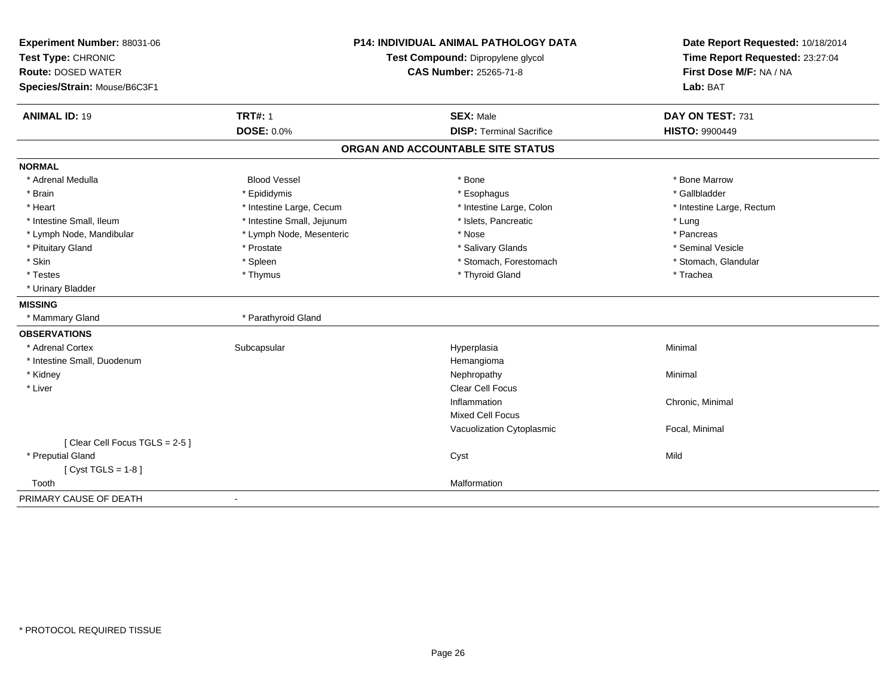| Experiment Number: 88031-06   | <b>P14: INDIVIDUAL ANIMAL PATHOLOGY DATA</b><br>Test Compound: Dipropylene glycol |                                   | Date Report Requested: 10/18/2014 |  |
|-------------------------------|-----------------------------------------------------------------------------------|-----------------------------------|-----------------------------------|--|
| Test Type: CHRONIC            |                                                                                   |                                   | Time Report Requested: 23:27:04   |  |
| <b>Route: DOSED WATER</b>     |                                                                                   | CAS Number: 25265-71-8            | First Dose M/F: NA / NA           |  |
| Species/Strain: Mouse/B6C3F1  |                                                                                   |                                   | Lab: BAT                          |  |
| <b>ANIMAL ID: 19</b>          | <b>TRT#: 1</b>                                                                    | <b>SEX: Male</b>                  | DAY ON TEST: 731                  |  |
|                               | <b>DOSE: 0.0%</b>                                                                 | <b>DISP: Terminal Sacrifice</b>   | <b>HISTO: 9900449</b>             |  |
|                               |                                                                                   | ORGAN AND ACCOUNTABLE SITE STATUS |                                   |  |
| <b>NORMAL</b>                 |                                                                                   |                                   |                                   |  |
| * Adrenal Medulla             | <b>Blood Vessel</b>                                                               | * Bone                            | * Bone Marrow                     |  |
| * Brain                       | * Epididymis                                                                      | * Esophagus                       | * Gallbladder                     |  |
| * Heart                       | * Intestine Large, Cecum                                                          | * Intestine Large, Colon          | * Intestine Large, Rectum         |  |
| * Intestine Small, Ileum      | * Intestine Small, Jejunum                                                        | * Islets, Pancreatic              | * Lung                            |  |
| * Lymph Node, Mandibular      | * Lymph Node, Mesenteric                                                          | * Nose                            | * Pancreas                        |  |
| * Pituitary Gland             | * Prostate                                                                        | * Salivary Glands                 | * Seminal Vesicle                 |  |
| * Skin                        | * Spleen                                                                          | * Stomach, Forestomach            | * Stomach, Glandular              |  |
| * Testes                      | * Thymus                                                                          | * Thyroid Gland                   | * Trachea                         |  |
| * Urinary Bladder             |                                                                                   |                                   |                                   |  |
| <b>MISSING</b>                |                                                                                   |                                   |                                   |  |
| * Mammary Gland               | * Parathyroid Gland                                                               |                                   |                                   |  |
| <b>OBSERVATIONS</b>           |                                                                                   |                                   |                                   |  |
| * Adrenal Cortex              | Subcapsular                                                                       | Hyperplasia                       | Minimal                           |  |
| * Intestine Small, Duodenum   |                                                                                   | Hemangioma                        |                                   |  |
| * Kidney                      |                                                                                   | Nephropathy                       | Minimal                           |  |
| * Liver                       |                                                                                   | <b>Clear Cell Focus</b>           |                                   |  |
|                               |                                                                                   | Inflammation                      | Chronic, Minimal                  |  |
|                               |                                                                                   | <b>Mixed Cell Focus</b>           |                                   |  |
|                               |                                                                                   | Vacuolization Cytoplasmic         | Focal, Minimal                    |  |
| [Clear Cell Focus TGLS = 2-5] |                                                                                   |                                   |                                   |  |
| * Preputial Gland             |                                                                                   | Cyst                              | Mild                              |  |
| [ $Cyst TGLS = 1-8$ ]         |                                                                                   |                                   |                                   |  |
| Tooth                         |                                                                                   | Malformation                      |                                   |  |
| PRIMARY CAUSE OF DEATH        |                                                                                   |                                   |                                   |  |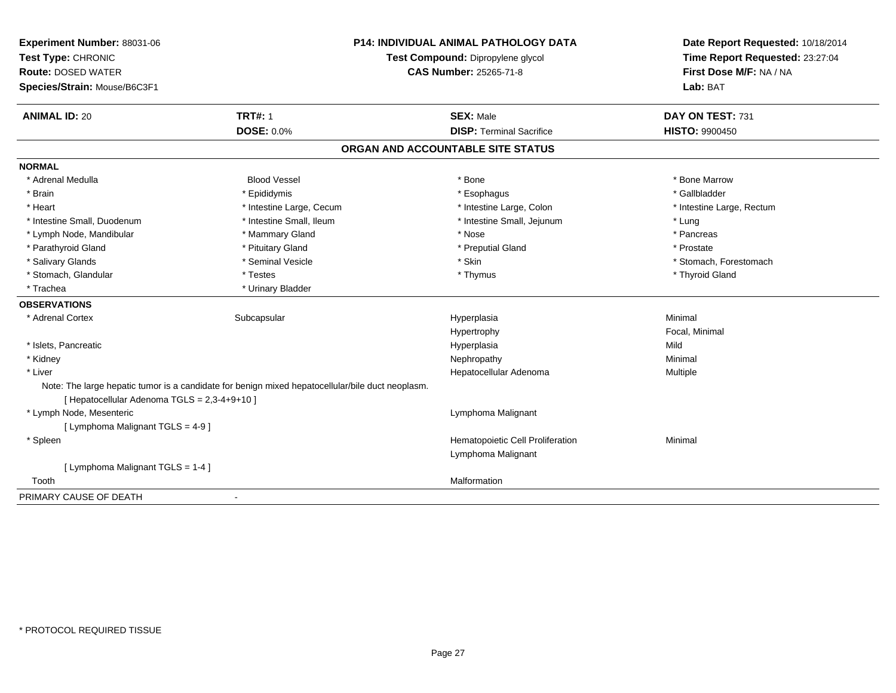| Experiment Number: 88031-06                  | <b>P14: INDIVIDUAL ANIMAL PATHOLOGY DATA</b>                                                     |                                   | Date Report Requested: 10/18/2014                          |
|----------------------------------------------|--------------------------------------------------------------------------------------------------|-----------------------------------|------------------------------------------------------------|
| Test Type: CHRONIC                           |                                                                                                  | Test Compound: Dipropylene glycol | Time Report Requested: 23:27:04<br>First Dose M/F: NA / NA |
| <b>Route: DOSED WATER</b>                    |                                                                                                  | <b>CAS Number: 25265-71-8</b>     |                                                            |
| Species/Strain: Mouse/B6C3F1                 |                                                                                                  |                                   | Lab: BAT                                                   |
| <b>ANIMAL ID: 20</b>                         | <b>TRT#: 1</b>                                                                                   | <b>SEX: Male</b>                  | DAY ON TEST: 731                                           |
|                                              | <b>DOSE: 0.0%</b>                                                                                | <b>DISP: Terminal Sacrifice</b>   | <b>HISTO: 9900450</b>                                      |
|                                              |                                                                                                  | ORGAN AND ACCOUNTABLE SITE STATUS |                                                            |
| <b>NORMAL</b>                                |                                                                                                  |                                   |                                                            |
| * Adrenal Medulla                            | <b>Blood Vessel</b>                                                                              | * Bone                            | * Bone Marrow                                              |
| * Brain                                      | * Epididymis                                                                                     | * Esophagus                       | * Gallbladder                                              |
| * Heart                                      | * Intestine Large, Cecum                                                                         | * Intestine Large, Colon          | * Intestine Large, Rectum                                  |
| * Intestine Small, Duodenum                  | * Intestine Small, Ileum                                                                         | * Intestine Small, Jejunum        | * Lung                                                     |
| * Lymph Node, Mandibular                     | * Mammary Gland                                                                                  | * Nose                            | * Pancreas                                                 |
| * Parathyroid Gland                          | * Pituitary Gland                                                                                | * Preputial Gland                 | * Prostate                                                 |
| * Salivary Glands                            | * Seminal Vesicle                                                                                | * Skin                            | * Stomach, Forestomach                                     |
| * Stomach, Glandular                         | * Testes                                                                                         | * Thymus                          | * Thyroid Gland                                            |
| * Trachea                                    | * Urinary Bladder                                                                                |                                   |                                                            |
| <b>OBSERVATIONS</b>                          |                                                                                                  |                                   |                                                            |
| * Adrenal Cortex                             | Subcapsular                                                                                      | Hyperplasia                       | Minimal                                                    |
|                                              |                                                                                                  | Hypertrophy                       | Focal, Minimal                                             |
| * Islets, Pancreatic                         |                                                                                                  | Hyperplasia                       | Mild                                                       |
| * Kidney                                     |                                                                                                  | Nephropathy                       | Minimal                                                    |
| * Liver                                      |                                                                                                  | Hepatocellular Adenoma            | Multiple                                                   |
|                                              | Note: The large hepatic tumor is a candidate for benign mixed hepatocellular/bile duct neoplasm. |                                   |                                                            |
| [ Hepatocellular Adenoma TGLS = 2,3-4+9+10 ] |                                                                                                  |                                   |                                                            |
| * Lymph Node, Mesenteric                     |                                                                                                  | Lymphoma Malignant                |                                                            |
| [ Lymphoma Malignant TGLS = 4-9 ]            |                                                                                                  |                                   |                                                            |
| * Spleen                                     |                                                                                                  | Hematopoietic Cell Proliferation  | Minimal                                                    |
|                                              |                                                                                                  | Lymphoma Malignant                |                                                            |
| [ Lymphoma Malignant TGLS = 1-4 ]            |                                                                                                  |                                   |                                                            |
| Tooth                                        |                                                                                                  | Malformation                      |                                                            |
| PRIMARY CAUSE OF DEATH                       | $\blacksquare$                                                                                   |                                   |                                                            |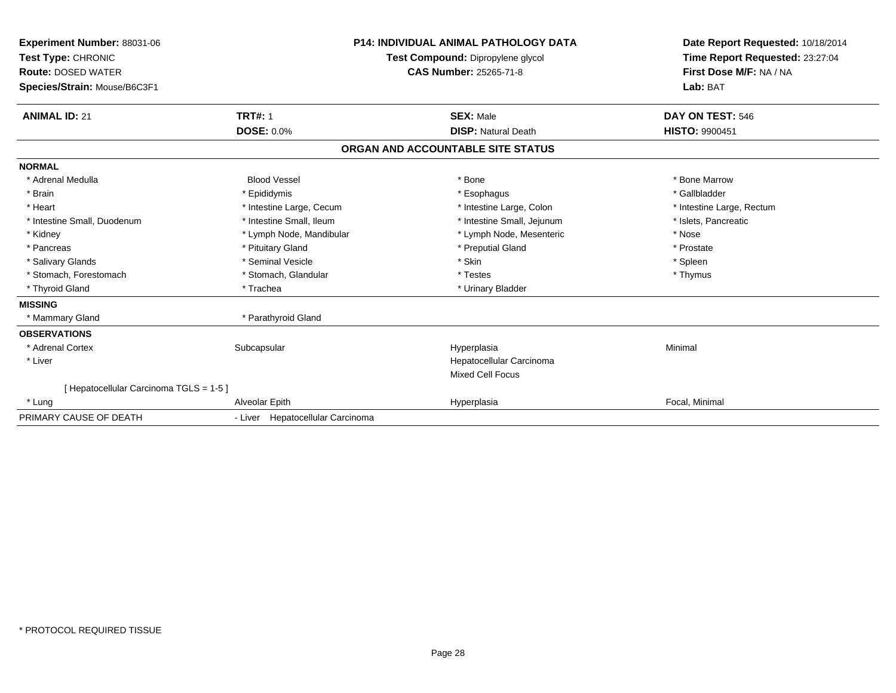| <b>Experiment Number: 88031-06</b><br>Test Type: CHRONIC<br><b>Route: DOSED WATER</b><br>Species/Strain: Mouse/B6C3F1 |                                  | P14: INDIVIDUAL ANIMAL PATHOLOGY DATA<br>Test Compound: Dipropylene glycol<br>CAS Number: 25265-71-8 | Date Report Requested: 10/18/2014<br>Time Report Requested: 23:27:04<br>First Dose M/F: NA / NA<br>Lab: BAT |
|-----------------------------------------------------------------------------------------------------------------------|----------------------------------|------------------------------------------------------------------------------------------------------|-------------------------------------------------------------------------------------------------------------|
| <b>ANIMAL ID: 21</b>                                                                                                  | <b>TRT#: 1</b>                   | <b>SEX: Male</b>                                                                                     | DAY ON TEST: 546                                                                                            |
|                                                                                                                       | <b>DOSE: 0.0%</b>                | <b>DISP: Natural Death</b>                                                                           | <b>HISTO: 9900451</b>                                                                                       |
|                                                                                                                       |                                  | ORGAN AND ACCOUNTABLE SITE STATUS                                                                    |                                                                                                             |
| <b>NORMAL</b>                                                                                                         |                                  |                                                                                                      |                                                                                                             |
| * Adrenal Medulla                                                                                                     | <b>Blood Vessel</b>              | * Bone                                                                                               | * Bone Marrow                                                                                               |
| * Brain                                                                                                               | * Epididymis                     | * Esophagus                                                                                          | * Gallbladder                                                                                               |
| * Heart                                                                                                               | * Intestine Large, Cecum         | * Intestine Large, Colon                                                                             | * Intestine Large, Rectum                                                                                   |
| * Intestine Small, Duodenum                                                                                           | * Intestine Small, Ileum         | * Intestine Small, Jejunum                                                                           | * Islets, Pancreatic                                                                                        |
| * Kidney                                                                                                              | * Lymph Node, Mandibular         | * Lymph Node, Mesenteric                                                                             | * Nose                                                                                                      |
| * Pancreas                                                                                                            | * Pituitary Gland                | * Preputial Gland                                                                                    | * Prostate                                                                                                  |
| * Salivary Glands                                                                                                     | * Seminal Vesicle                | * Skin                                                                                               | * Spleen                                                                                                    |
| * Stomach, Forestomach                                                                                                | * Stomach, Glandular             | * Testes                                                                                             | * Thymus                                                                                                    |
| * Thyroid Gland                                                                                                       | * Trachea                        | * Urinary Bladder                                                                                    |                                                                                                             |
| <b>MISSING</b>                                                                                                        |                                  |                                                                                                      |                                                                                                             |
| * Mammary Gland                                                                                                       | * Parathyroid Gland              |                                                                                                      |                                                                                                             |
| <b>OBSERVATIONS</b>                                                                                                   |                                  |                                                                                                      |                                                                                                             |
| * Adrenal Cortex                                                                                                      | Subcapsular                      | Hyperplasia                                                                                          | Minimal                                                                                                     |
| * Liver                                                                                                               |                                  | Hepatocellular Carcinoma                                                                             |                                                                                                             |
|                                                                                                                       |                                  | Mixed Cell Focus                                                                                     |                                                                                                             |
| [ Hepatocellular Carcinoma TGLS = 1-5 ]                                                                               |                                  |                                                                                                      |                                                                                                             |
| * Lung                                                                                                                | Alveolar Epith                   | Hyperplasia                                                                                          | Focal, Minimal                                                                                              |
| PRIMARY CAUSE OF DEATH                                                                                                | - Liver Hepatocellular Carcinoma |                                                                                                      |                                                                                                             |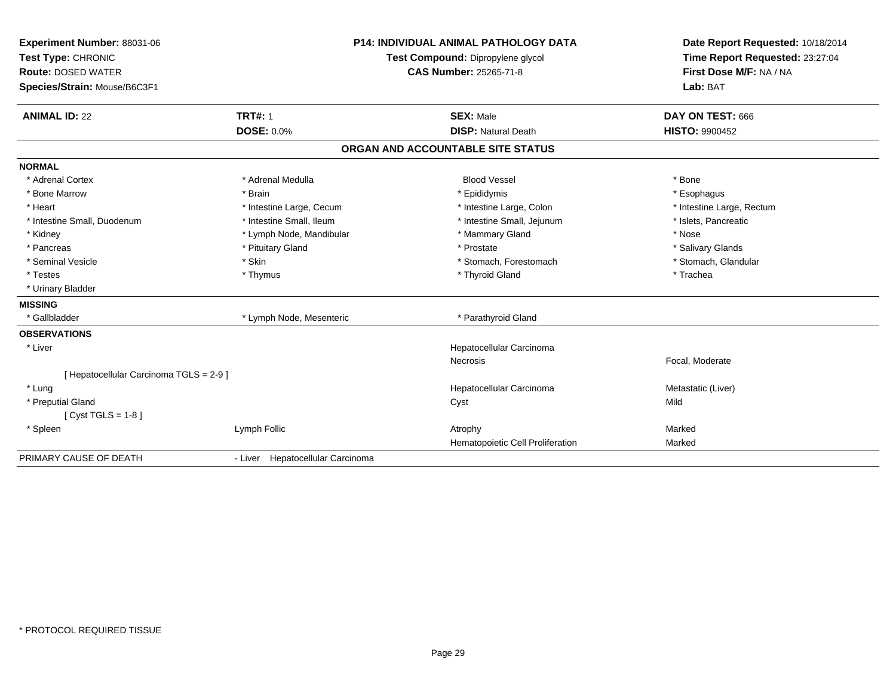| <b>P14: INDIVIDUAL ANIMAL PATHOLOGY DATA</b><br>Experiment Number: 88031-06<br>Test Type: CHRONIC<br>Test Compound: Dipropylene glycol<br><b>Route: DOSED WATER</b><br><b>CAS Number: 25265-71-8</b><br>Species/Strain: Mouse/B6C3F1 |                                  | Date Report Requested: 10/18/2014<br>Time Report Requested: 23:27:04<br>First Dose M/F: NA / NA<br>Lab: BAT |                           |
|--------------------------------------------------------------------------------------------------------------------------------------------------------------------------------------------------------------------------------------|----------------------------------|-------------------------------------------------------------------------------------------------------------|---------------------------|
| <b>ANIMAL ID: 22</b>                                                                                                                                                                                                                 | <b>TRT#: 1</b>                   | <b>SEX: Male</b>                                                                                            | DAY ON TEST: 666          |
|                                                                                                                                                                                                                                      | <b>DOSE: 0.0%</b>                | <b>DISP: Natural Death</b>                                                                                  | <b>HISTO: 9900452</b>     |
|                                                                                                                                                                                                                                      |                                  | ORGAN AND ACCOUNTABLE SITE STATUS                                                                           |                           |
| <b>NORMAL</b>                                                                                                                                                                                                                        |                                  |                                                                                                             |                           |
| * Adrenal Cortex                                                                                                                                                                                                                     | * Adrenal Medulla                | <b>Blood Vessel</b>                                                                                         | * Bone                    |
| * Bone Marrow                                                                                                                                                                                                                        | * Brain                          | * Epididymis                                                                                                | * Esophagus               |
| * Heart                                                                                                                                                                                                                              | * Intestine Large, Cecum         | * Intestine Large, Colon                                                                                    | * Intestine Large, Rectum |
| * Intestine Small, Duodenum                                                                                                                                                                                                          | * Intestine Small, Ileum         | * Intestine Small, Jejunum                                                                                  | * Islets, Pancreatic      |
| * Kidney                                                                                                                                                                                                                             | * Lymph Node, Mandibular         | * Mammary Gland                                                                                             | * Nose                    |
| * Pancreas                                                                                                                                                                                                                           | * Pituitary Gland                | * Prostate                                                                                                  | * Salivary Glands         |
| * Seminal Vesicle                                                                                                                                                                                                                    | * Skin                           | * Stomach, Forestomach                                                                                      | * Stomach, Glandular      |
| * Testes                                                                                                                                                                                                                             | * Thymus                         | * Thyroid Gland                                                                                             | * Trachea                 |
| * Urinary Bladder                                                                                                                                                                                                                    |                                  |                                                                                                             |                           |
| <b>MISSING</b>                                                                                                                                                                                                                       |                                  |                                                                                                             |                           |
| * Gallbladder                                                                                                                                                                                                                        | * Lymph Node, Mesenteric         | * Parathyroid Gland                                                                                         |                           |
| <b>OBSERVATIONS</b>                                                                                                                                                                                                                  |                                  |                                                                                                             |                           |
| * Liver                                                                                                                                                                                                                              |                                  | Hepatocellular Carcinoma                                                                                    |                           |
|                                                                                                                                                                                                                                      |                                  | Necrosis                                                                                                    | Focal, Moderate           |
| [ Hepatocellular Carcinoma TGLS = 2-9 ]                                                                                                                                                                                              |                                  |                                                                                                             |                           |
| * Lung                                                                                                                                                                                                                               |                                  | Hepatocellular Carcinoma                                                                                    | Metastatic (Liver)        |
| * Preputial Gland                                                                                                                                                                                                                    |                                  | Cyst                                                                                                        | Mild                      |
| [ $Cyst TGLS = 1-8$ ]                                                                                                                                                                                                                |                                  |                                                                                                             |                           |
| * Spleen                                                                                                                                                                                                                             | Lymph Follic                     | Atrophy                                                                                                     | Marked                    |
|                                                                                                                                                                                                                                      |                                  | Hematopoietic Cell Proliferation                                                                            | Marked                    |
| PRIMARY CAUSE OF DEATH                                                                                                                                                                                                               | - Liver Hepatocellular Carcinoma |                                                                                                             |                           |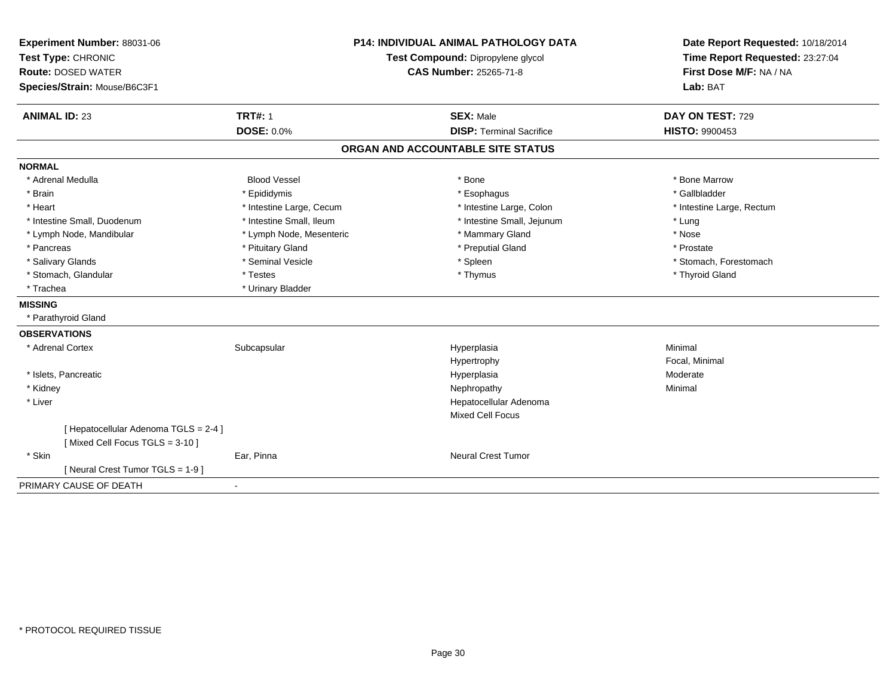| Experiment Number: 88031-06                                             |                                                             | <b>P14: INDIVIDUAL ANIMAL PATHOLOGY DATA</b> | Date Report Requested: 10/18/2014                          |
|-------------------------------------------------------------------------|-------------------------------------------------------------|----------------------------------------------|------------------------------------------------------------|
| Test Type: CHRONIC                                                      | Test Compound: Dipropylene glycol<br>CAS Number: 25265-71-8 |                                              | Time Report Requested: 23:27:04<br>First Dose M/F: NA / NA |
| <b>Route: DOSED WATER</b>                                               |                                                             |                                              |                                                            |
| Species/Strain: Mouse/B6C3F1                                            |                                                             |                                              | Lab: BAT                                                   |
| <b>ANIMAL ID: 23</b>                                                    | <b>TRT#: 1</b>                                              | <b>SEX: Male</b>                             | DAY ON TEST: 729                                           |
|                                                                         | <b>DOSE: 0.0%</b>                                           | <b>DISP: Terminal Sacrifice</b>              | <b>HISTO: 9900453</b>                                      |
|                                                                         |                                                             | ORGAN AND ACCOUNTABLE SITE STATUS            |                                                            |
| <b>NORMAL</b>                                                           |                                                             |                                              |                                                            |
| * Adrenal Medulla                                                       | <b>Blood Vessel</b>                                         | * Bone                                       | * Bone Marrow                                              |
| * Brain                                                                 | * Epididymis                                                | * Esophagus                                  | * Gallbladder                                              |
| * Heart                                                                 | * Intestine Large, Cecum                                    | * Intestine Large, Colon                     | * Intestine Large, Rectum                                  |
| * Intestine Small, Duodenum                                             | * Intestine Small, Ileum                                    | * Intestine Small, Jejunum                   | * Lung                                                     |
| * Lymph Node, Mandibular                                                | * Lymph Node, Mesenteric                                    | * Mammary Gland                              | * Nose                                                     |
| * Pancreas                                                              | * Pituitary Gland                                           | * Preputial Gland                            | * Prostate                                                 |
| * Salivary Glands                                                       | * Seminal Vesicle                                           | * Spleen                                     | * Stomach, Forestomach                                     |
| * Stomach, Glandular                                                    | * Testes                                                    | * Thymus                                     | * Thyroid Gland                                            |
| * Trachea                                                               | * Urinary Bladder                                           |                                              |                                                            |
| <b>MISSING</b>                                                          |                                                             |                                              |                                                            |
| * Parathyroid Gland                                                     |                                                             |                                              |                                                            |
| <b>OBSERVATIONS</b>                                                     |                                                             |                                              |                                                            |
| * Adrenal Cortex                                                        | Subcapsular                                                 | Hyperplasia                                  | Minimal                                                    |
|                                                                         |                                                             | Hypertrophy                                  | Focal, Minimal                                             |
| * Islets, Pancreatic                                                    |                                                             | Hyperplasia                                  | Moderate                                                   |
| * Kidney                                                                |                                                             | Nephropathy                                  | Minimal                                                    |
| * Liver                                                                 |                                                             | Hepatocellular Adenoma                       |                                                            |
|                                                                         |                                                             | <b>Mixed Cell Focus</b>                      |                                                            |
| [ Hepatocellular Adenoma TGLS = 2-4 ]<br>[Mixed Cell Focus TGLS = 3-10] |                                                             |                                              |                                                            |
| * Skin                                                                  | Ear, Pinna                                                  | <b>Neural Crest Tumor</b>                    |                                                            |
| [ Neural Crest Tumor TGLS = 1-9 ]                                       |                                                             |                                              |                                                            |
| PRIMARY CAUSE OF DEATH                                                  | $\sim$                                                      |                                              |                                                            |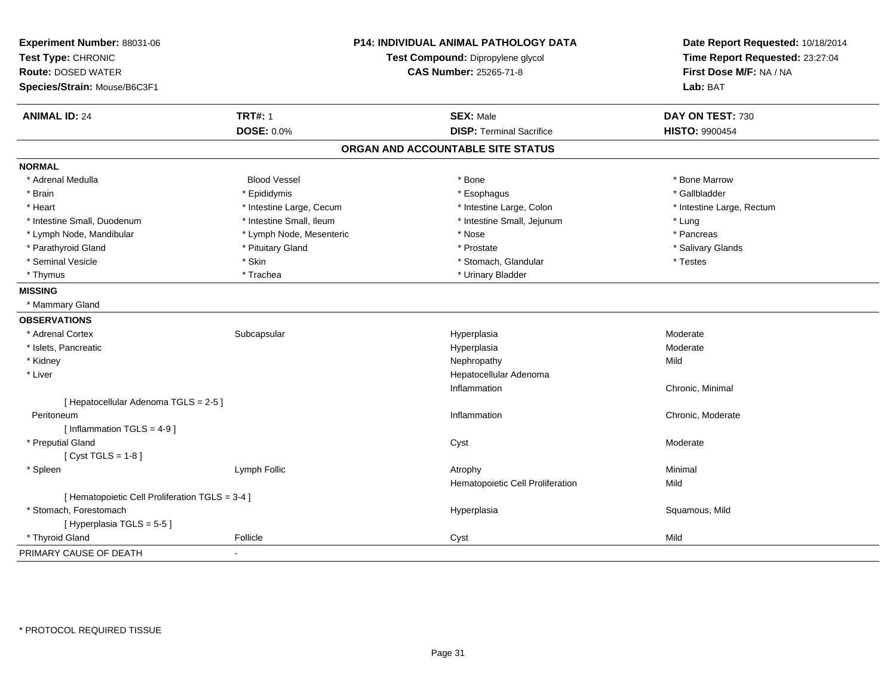| Experiment Number: 88031-06<br>Test Type: CHRONIC<br><b>Route: DOSED WATER</b><br>Species/Strain: Mouse/B6C3F1 |                          | P14: INDIVIDUAL ANIMAL PATHOLOGY DATA<br>Test Compound: Dipropylene glycol<br><b>CAS Number: 25265-71-8</b> | Date Report Requested: 10/18/2014<br>Time Report Requested: 23:27:04<br>First Dose M/F: NA / NA<br>Lab: BAT |
|----------------------------------------------------------------------------------------------------------------|--------------------------|-------------------------------------------------------------------------------------------------------------|-------------------------------------------------------------------------------------------------------------|
| <b>ANIMAL ID: 24</b>                                                                                           | <b>TRT#: 1</b>           | <b>SEX: Male</b>                                                                                            | DAY ON TEST: 730                                                                                            |
|                                                                                                                | <b>DOSE: 0.0%</b>        | <b>DISP: Terminal Sacrifice</b>                                                                             | <b>HISTO: 9900454</b>                                                                                       |
|                                                                                                                |                          | ORGAN AND ACCOUNTABLE SITE STATUS                                                                           |                                                                                                             |
| <b>NORMAL</b>                                                                                                  |                          |                                                                                                             |                                                                                                             |
| * Adrenal Medulla                                                                                              | <b>Blood Vessel</b>      | * Bone                                                                                                      | * Bone Marrow                                                                                               |
| * Brain                                                                                                        | * Epididymis             | * Esophagus                                                                                                 | * Gallbladder                                                                                               |
| * Heart                                                                                                        | * Intestine Large, Cecum | * Intestine Large, Colon                                                                                    | * Intestine Large, Rectum                                                                                   |
| * Intestine Small, Duodenum                                                                                    | * Intestine Small, Ileum | * Intestine Small, Jejunum                                                                                  | * Lung                                                                                                      |
| * Lymph Node, Mandibular                                                                                       | * Lymph Node, Mesenteric | * Nose                                                                                                      | * Pancreas                                                                                                  |
| * Parathyroid Gland                                                                                            | * Pituitary Gland        | * Prostate                                                                                                  | * Salivary Glands                                                                                           |
| * Seminal Vesicle                                                                                              | * Skin                   | * Stomach, Glandular                                                                                        | * Testes                                                                                                    |
| * Thymus                                                                                                       | * Trachea                | * Urinary Bladder                                                                                           |                                                                                                             |
| <b>MISSING</b>                                                                                                 |                          |                                                                                                             |                                                                                                             |
| * Mammary Gland                                                                                                |                          |                                                                                                             |                                                                                                             |
| <b>OBSERVATIONS</b>                                                                                            |                          |                                                                                                             |                                                                                                             |
| * Adrenal Cortex                                                                                               | Subcapsular              | Hyperplasia                                                                                                 | Moderate                                                                                                    |
| * Islets, Pancreatic                                                                                           |                          | Hyperplasia                                                                                                 | Moderate                                                                                                    |
| * Kidney                                                                                                       |                          | Nephropathy                                                                                                 | Mild                                                                                                        |
| * Liver                                                                                                        |                          | Hepatocellular Adenoma                                                                                      |                                                                                                             |
|                                                                                                                |                          | Inflammation                                                                                                | Chronic, Minimal                                                                                            |
| [ Hepatocellular Adenoma TGLS = 2-5 ]                                                                          |                          |                                                                                                             |                                                                                                             |
| Peritoneum                                                                                                     |                          | Inflammation                                                                                                | Chronic, Moderate                                                                                           |
| [Inflammation TGLS = $4-9$ ]                                                                                   |                          |                                                                                                             |                                                                                                             |
| * Preputial Gland                                                                                              |                          | Cyst                                                                                                        | Moderate                                                                                                    |
| [Cyst TGLS = $1-8$ ]                                                                                           |                          |                                                                                                             |                                                                                                             |
| * Spleen                                                                                                       | Lymph Follic             | Atrophy                                                                                                     | Minimal                                                                                                     |
|                                                                                                                |                          | Hematopoietic Cell Proliferation                                                                            | Mild                                                                                                        |
| [ Hematopoietic Cell Proliferation TGLS = 3-4 ]                                                                |                          |                                                                                                             |                                                                                                             |
| * Stomach. Forestomach                                                                                         |                          | Hyperplasia                                                                                                 | Squamous, Mild                                                                                              |
| [Hyperplasia TGLS = 5-5]                                                                                       |                          |                                                                                                             |                                                                                                             |
| * Thyroid Gland                                                                                                | Follicle                 | Cyst                                                                                                        | Mild                                                                                                        |
| PRIMARY CAUSE OF DEATH                                                                                         | $\sim$                   |                                                                                                             |                                                                                                             |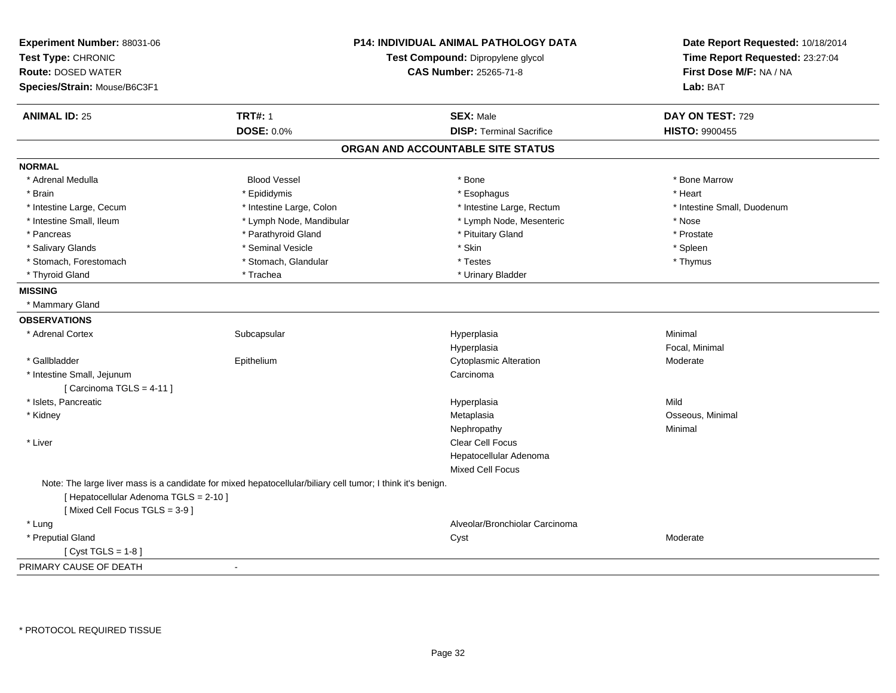| Experiment Number: 88031-06<br>Test Type: CHRONIC | P14: INDIVIDUAL ANIMAL PATHOLOGY DATA<br>Test Compound: Dipropylene glycol                                  |                                   | Date Report Requested: 10/18/2014<br>Time Report Requested: 23:27:04 |
|---------------------------------------------------|-------------------------------------------------------------------------------------------------------------|-----------------------------------|----------------------------------------------------------------------|
| <b>Route: DOSED WATER</b>                         |                                                                                                             | <b>CAS Number: 25265-71-8</b>     | First Dose M/F: NA / NA                                              |
| Species/Strain: Mouse/B6C3F1                      |                                                                                                             |                                   | Lab: BAT                                                             |
| <b>ANIMAL ID: 25</b>                              | <b>TRT#: 1</b>                                                                                              | <b>SEX: Male</b>                  | DAY ON TEST: 729                                                     |
|                                                   | DOSE: 0.0%                                                                                                  | <b>DISP: Terminal Sacrifice</b>   | HISTO: 9900455                                                       |
|                                                   |                                                                                                             | ORGAN AND ACCOUNTABLE SITE STATUS |                                                                      |
| <b>NORMAL</b>                                     |                                                                                                             |                                   |                                                                      |
| * Adrenal Medulla                                 | <b>Blood Vessel</b>                                                                                         | * Bone                            | * Bone Marrow                                                        |
| * Brain                                           | * Epididymis                                                                                                | * Esophagus                       | * Heart                                                              |
| * Intestine Large, Cecum                          | * Intestine Large, Colon                                                                                    | * Intestine Large, Rectum         | * Intestine Small, Duodenum                                          |
| * Intestine Small, Ileum                          | * Lymph Node, Mandibular                                                                                    | * Lymph Node, Mesenteric          | * Nose                                                               |
| * Pancreas                                        | * Parathyroid Gland                                                                                         | * Pituitary Gland                 | * Prostate                                                           |
| * Salivary Glands                                 | * Seminal Vesicle                                                                                           | * Skin                            | * Spleen                                                             |
| * Stomach, Forestomach                            | * Stomach, Glandular                                                                                        | * Testes                          | * Thymus                                                             |
| * Thyroid Gland                                   | * Trachea                                                                                                   | * Urinary Bladder                 |                                                                      |
| <b>MISSING</b>                                    |                                                                                                             |                                   |                                                                      |
| * Mammary Gland                                   |                                                                                                             |                                   |                                                                      |
| <b>OBSERVATIONS</b>                               |                                                                                                             |                                   |                                                                      |
| * Adrenal Cortex                                  | Subcapsular                                                                                                 | Hyperplasia                       | Minimal                                                              |
|                                                   |                                                                                                             | Hyperplasia                       | Focal, Minimal                                                       |
| * Gallbladder                                     | Epithelium                                                                                                  | <b>Cytoplasmic Alteration</b>     | Moderate                                                             |
| * Intestine Small, Jejunum                        |                                                                                                             | Carcinoma                         |                                                                      |
| [ Carcinoma TGLS = $4-11$ ]                       |                                                                                                             |                                   |                                                                      |
| * Islets, Pancreatic                              |                                                                                                             | Hyperplasia                       | Mild                                                                 |
| * Kidney                                          |                                                                                                             | Metaplasia                        | Osseous, Minimal                                                     |
|                                                   |                                                                                                             | Nephropathy                       | Minimal                                                              |
| * Liver                                           |                                                                                                             | Clear Cell Focus                  |                                                                      |
|                                                   |                                                                                                             | Hepatocellular Adenoma            |                                                                      |
|                                                   |                                                                                                             | <b>Mixed Cell Focus</b>           |                                                                      |
|                                                   | Note: The large liver mass is a candidate for mixed hepatocellular/biliary cell tumor; I think it's benign. |                                   |                                                                      |
| [ Hepatocellular Adenoma TGLS = 2-10 ]            |                                                                                                             |                                   |                                                                      |
| [Mixed Cell Focus TGLS = 3-9]                     |                                                                                                             |                                   |                                                                      |
| * Lung                                            |                                                                                                             | Alveolar/Bronchiolar Carcinoma    |                                                                      |
| * Preputial Gland                                 |                                                                                                             | Cyst                              | Moderate                                                             |
| [Cyst TGLS = $1-8$ ]                              |                                                                                                             |                                   |                                                                      |
| PRIMARY CAUSE OF DEATH                            | $\sim$                                                                                                      |                                   |                                                                      |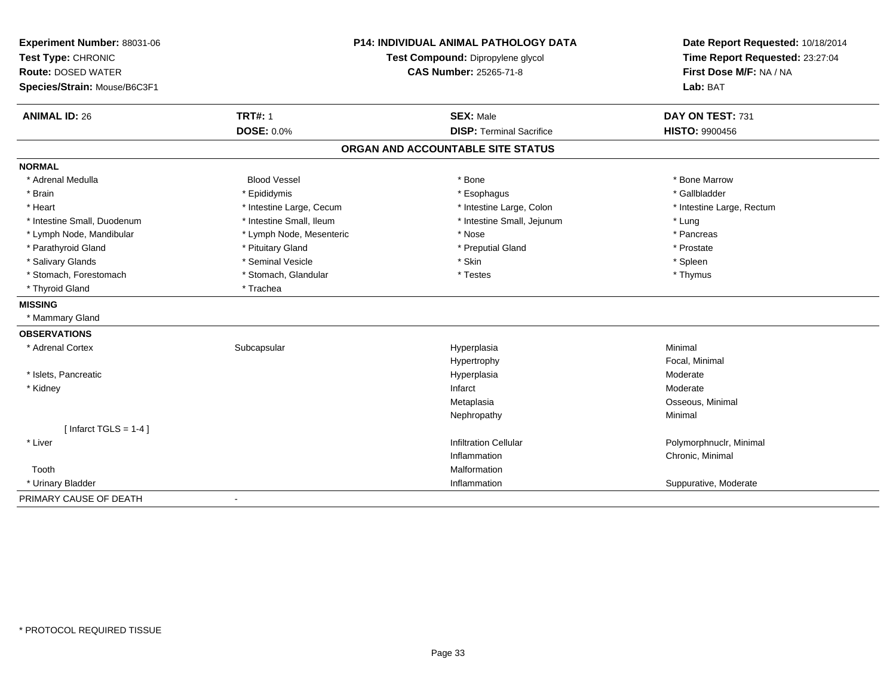| Experiment Number: 88031-06<br>Test Type: CHRONIC<br><b>Route: DOSED WATER</b><br>Species/Strain: Mouse/B6C3F1 | <b>P14: INDIVIDUAL ANIMAL PATHOLOGY DATA</b><br>Test Compound: Dipropylene glycol<br><b>CAS Number: 25265-71-8</b> |                                   | Date Report Requested: 10/18/2014<br>Time Report Requested: 23:27:04<br>First Dose M/F: NA / NA<br>Lab: BAT |
|----------------------------------------------------------------------------------------------------------------|--------------------------------------------------------------------------------------------------------------------|-----------------------------------|-------------------------------------------------------------------------------------------------------------|
| <b>ANIMAL ID: 26</b>                                                                                           | <b>TRT#: 1</b>                                                                                                     | <b>SEX: Male</b>                  | DAY ON TEST: 731                                                                                            |
|                                                                                                                | <b>DOSE: 0.0%</b>                                                                                                  | <b>DISP: Terminal Sacrifice</b>   | <b>HISTO: 9900456</b>                                                                                       |
|                                                                                                                |                                                                                                                    | ORGAN AND ACCOUNTABLE SITE STATUS |                                                                                                             |
| <b>NORMAL</b>                                                                                                  |                                                                                                                    |                                   |                                                                                                             |
| * Adrenal Medulla                                                                                              | <b>Blood Vessel</b>                                                                                                | * Bone                            | * Bone Marrow                                                                                               |
| * Brain                                                                                                        | * Epididymis                                                                                                       | * Esophagus                       | * Gallbladder                                                                                               |
| * Heart                                                                                                        | * Intestine Large, Cecum                                                                                           | * Intestine Large, Colon          | * Intestine Large, Rectum                                                                                   |
| * Intestine Small, Duodenum                                                                                    | * Intestine Small, Ileum                                                                                           | * Intestine Small, Jejunum        | * Lung                                                                                                      |
| * Lymph Node, Mandibular                                                                                       | * Lymph Node, Mesenteric                                                                                           | * Nose                            | * Pancreas                                                                                                  |
| * Parathyroid Gland                                                                                            | * Pituitary Gland                                                                                                  | * Preputial Gland                 | * Prostate                                                                                                  |
| * Salivary Glands                                                                                              | * Seminal Vesicle                                                                                                  | * Skin                            | * Spleen                                                                                                    |
| * Stomach, Forestomach                                                                                         | * Stomach, Glandular                                                                                               | * Testes                          | * Thymus                                                                                                    |
| * Thyroid Gland                                                                                                | * Trachea                                                                                                          |                                   |                                                                                                             |
| <b>MISSING</b>                                                                                                 |                                                                                                                    |                                   |                                                                                                             |
| * Mammary Gland                                                                                                |                                                                                                                    |                                   |                                                                                                             |
| <b>OBSERVATIONS</b>                                                                                            |                                                                                                                    |                                   |                                                                                                             |
| * Adrenal Cortex                                                                                               | Subcapsular                                                                                                        | Hyperplasia                       | Minimal                                                                                                     |
|                                                                                                                |                                                                                                                    | Hypertrophy                       | Focal, Minimal                                                                                              |
| * Islets, Pancreatic                                                                                           |                                                                                                                    | Hyperplasia                       | Moderate                                                                                                    |
| * Kidney                                                                                                       |                                                                                                                    | Infarct                           | Moderate                                                                                                    |
|                                                                                                                |                                                                                                                    | Metaplasia                        | Osseous, Minimal                                                                                            |
|                                                                                                                |                                                                                                                    | Nephropathy                       | Minimal                                                                                                     |
| [Infarct TGLS = $1-4$ ]                                                                                        |                                                                                                                    |                                   |                                                                                                             |
| * Liver                                                                                                        |                                                                                                                    | <b>Infiltration Cellular</b>      | Polymorphnuclr, Minimal                                                                                     |
|                                                                                                                |                                                                                                                    | Inflammation                      | Chronic, Minimal                                                                                            |
| Tooth                                                                                                          |                                                                                                                    | Malformation                      |                                                                                                             |
| * Urinary Bladder                                                                                              |                                                                                                                    | Inflammation                      | Suppurative, Moderate                                                                                       |
| PRIMARY CAUSE OF DEATH                                                                                         |                                                                                                                    |                                   |                                                                                                             |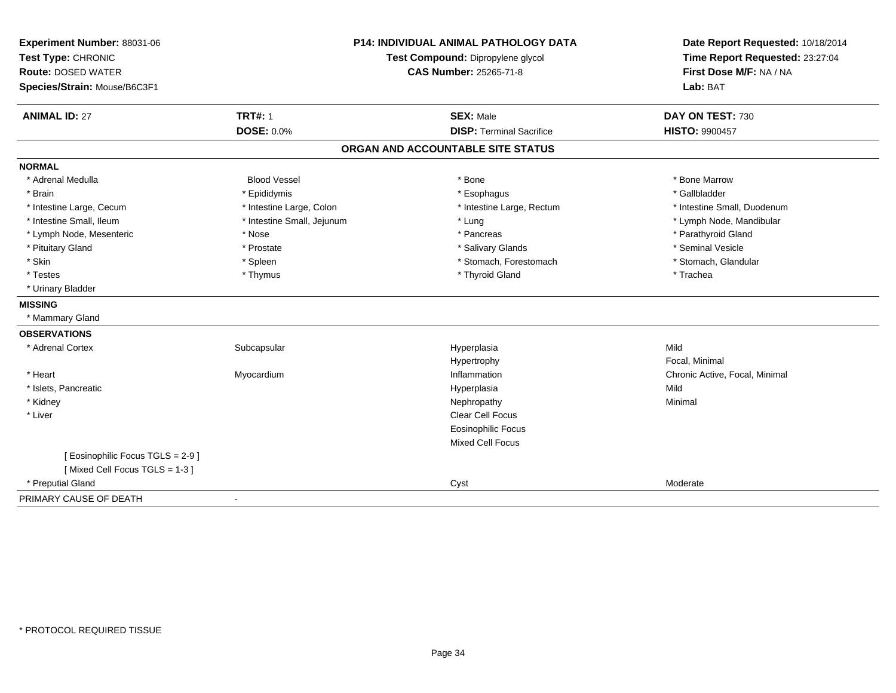| Experiment Number: 88031-06       | <b>P14: INDIVIDUAL ANIMAL PATHOLOGY DATA</b><br>Test Compound: Dipropylene glycol |                                   | Date Report Requested: 10/18/2014 |
|-----------------------------------|-----------------------------------------------------------------------------------|-----------------------------------|-----------------------------------|
| Test Type: CHRONIC                |                                                                                   |                                   | Time Report Requested: 23:27:04   |
| <b>Route: DOSED WATER</b>         |                                                                                   | <b>CAS Number: 25265-71-8</b>     | First Dose M/F: NA / NA           |
| Species/Strain: Mouse/B6C3F1      |                                                                                   |                                   | Lab: BAT                          |
| <b>ANIMAL ID: 27</b>              | <b>TRT#: 1</b>                                                                    | <b>SEX: Male</b>                  | DAY ON TEST: 730                  |
|                                   | <b>DOSE: 0.0%</b>                                                                 | <b>DISP: Terminal Sacrifice</b>   | <b>HISTO: 9900457</b>             |
|                                   |                                                                                   | ORGAN AND ACCOUNTABLE SITE STATUS |                                   |
| <b>NORMAL</b>                     |                                                                                   |                                   |                                   |
| * Adrenal Medulla                 | <b>Blood Vessel</b>                                                               | * Bone                            | * Bone Marrow                     |
| * Brain                           | * Epididymis                                                                      | * Esophagus                       | * Gallbladder                     |
| * Intestine Large, Cecum          | * Intestine Large, Colon                                                          | * Intestine Large, Rectum         | * Intestine Small, Duodenum       |
| * Intestine Small, Ileum          | * Intestine Small, Jejunum                                                        | * Lung                            | * Lymph Node, Mandibular          |
| * Lymph Node, Mesenteric          | * Nose                                                                            | * Pancreas                        | * Parathyroid Gland               |
| * Pituitary Gland                 | * Prostate                                                                        | * Salivary Glands                 | * Seminal Vesicle                 |
| * Skin                            | * Spleen                                                                          | * Stomach, Forestomach            | * Stomach, Glandular              |
| * Testes                          | * Thymus                                                                          | * Thyroid Gland                   | * Trachea                         |
| * Urinary Bladder                 |                                                                                   |                                   |                                   |
| <b>MISSING</b>                    |                                                                                   |                                   |                                   |
| * Mammary Gland                   |                                                                                   |                                   |                                   |
| <b>OBSERVATIONS</b>               |                                                                                   |                                   |                                   |
| * Adrenal Cortex                  | Subcapsular                                                                       | Hyperplasia                       | Mild                              |
|                                   |                                                                                   | Hypertrophy                       | Focal, Minimal                    |
| * Heart                           | Myocardium                                                                        | Inflammation                      | Chronic Active, Focal, Minimal    |
| * Islets, Pancreatic              |                                                                                   | Hyperplasia                       | Mild                              |
| * Kidney                          |                                                                                   | Nephropathy                       | Minimal                           |
| * Liver                           |                                                                                   | Clear Cell Focus                  |                                   |
|                                   |                                                                                   | <b>Eosinophilic Focus</b>         |                                   |
|                                   |                                                                                   | Mixed Cell Focus                  |                                   |
| [ Eosinophilic Focus TGLS = 2-9 ] |                                                                                   |                                   |                                   |
| [Mixed Cell Focus TGLS = 1-3]     |                                                                                   |                                   |                                   |
| * Preputial Gland                 |                                                                                   | Cyst                              | Moderate                          |
| PRIMARY CAUSE OF DEATH            |                                                                                   |                                   |                                   |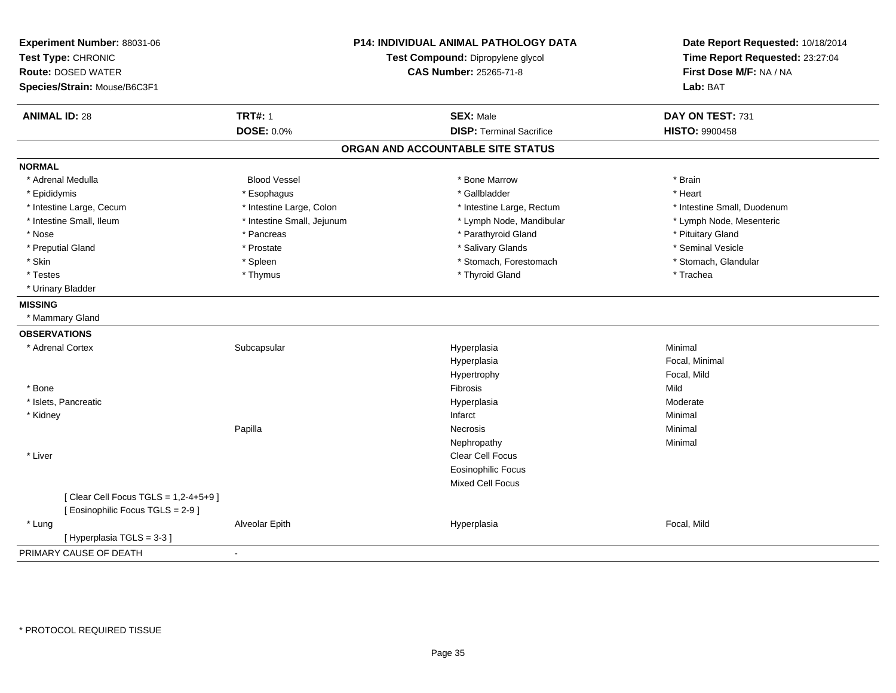| Experiment Number: 88031-06<br>Test Type: CHRONIC<br><b>Route: DOSED WATER</b><br>Species/Strain: Mouse/B6C3F1 | P14: INDIVIDUAL ANIMAL PATHOLOGY DATA<br>Test Compound: Dipropylene glycol<br><b>CAS Number: 25265-71-8</b> |                                   | Date Report Requested: 10/18/2014<br>Time Report Requested: 23:27:04<br>First Dose M/F: NA / NA<br>Lab: BAT |
|----------------------------------------------------------------------------------------------------------------|-------------------------------------------------------------------------------------------------------------|-----------------------------------|-------------------------------------------------------------------------------------------------------------|
| <b>ANIMAL ID: 28</b>                                                                                           | <b>TRT#: 1</b>                                                                                              | <b>SEX: Male</b>                  | DAY ON TEST: 731                                                                                            |
|                                                                                                                | <b>DOSE: 0.0%</b>                                                                                           | <b>DISP: Terminal Sacrifice</b>   | <b>HISTO: 9900458</b>                                                                                       |
|                                                                                                                |                                                                                                             | ORGAN AND ACCOUNTABLE SITE STATUS |                                                                                                             |
| <b>NORMAL</b>                                                                                                  |                                                                                                             |                                   |                                                                                                             |
| * Adrenal Medulla                                                                                              | <b>Blood Vessel</b>                                                                                         | * Bone Marrow                     | * Brain                                                                                                     |
| * Epididymis                                                                                                   | * Esophagus                                                                                                 | * Gallbladder                     | * Heart                                                                                                     |
| * Intestine Large, Cecum                                                                                       | * Intestine Large, Colon                                                                                    | * Intestine Large, Rectum         | * Intestine Small, Duodenum                                                                                 |
| * Intestine Small, Ileum                                                                                       | * Intestine Small, Jejunum                                                                                  | * Lymph Node, Mandibular          | * Lymph Node, Mesenteric                                                                                    |
| * Nose                                                                                                         | * Pancreas                                                                                                  | * Parathyroid Gland               | * Pituitary Gland                                                                                           |
| * Preputial Gland                                                                                              | * Prostate                                                                                                  | * Salivary Glands                 | * Seminal Vesicle                                                                                           |
| * Skin                                                                                                         | * Spleen                                                                                                    | * Stomach, Forestomach            | * Stomach, Glandular                                                                                        |
| * Testes                                                                                                       | * Thymus                                                                                                    | * Thyroid Gland                   | * Trachea                                                                                                   |
| * Urinary Bladder                                                                                              |                                                                                                             |                                   |                                                                                                             |
| <b>MISSING</b>                                                                                                 |                                                                                                             |                                   |                                                                                                             |
| * Mammary Gland                                                                                                |                                                                                                             |                                   |                                                                                                             |
| <b>OBSERVATIONS</b>                                                                                            |                                                                                                             |                                   |                                                                                                             |
| * Adrenal Cortex                                                                                               | Subcapsular                                                                                                 | Hyperplasia                       | Minimal                                                                                                     |
|                                                                                                                |                                                                                                             | Hyperplasia                       | Focal, Minimal                                                                                              |
|                                                                                                                |                                                                                                             | Hypertrophy                       | Focal, Mild                                                                                                 |
| * Bone                                                                                                         |                                                                                                             | Fibrosis                          | Mild                                                                                                        |
| * Islets, Pancreatic                                                                                           |                                                                                                             | Hyperplasia                       | Moderate                                                                                                    |
| * Kidney                                                                                                       |                                                                                                             | Infarct                           | Minimal                                                                                                     |
|                                                                                                                | Papilla                                                                                                     | Necrosis                          | Minimal                                                                                                     |
|                                                                                                                |                                                                                                             | Nephropathy                       | Minimal                                                                                                     |
| * Liver                                                                                                        |                                                                                                             | Clear Cell Focus                  |                                                                                                             |
|                                                                                                                |                                                                                                             | <b>Eosinophilic Focus</b>         |                                                                                                             |
|                                                                                                                |                                                                                                             | <b>Mixed Cell Focus</b>           |                                                                                                             |
| [ Clear Cell Focus TGLS = 1,2-4+5+9 ]<br>[ Eosinophilic Focus TGLS = 2-9 ]                                     |                                                                                                             |                                   |                                                                                                             |
| * Lung                                                                                                         | Alveolar Epith                                                                                              | Hyperplasia                       | Focal, Mild                                                                                                 |
| [Hyperplasia TGLS = 3-3]                                                                                       |                                                                                                             |                                   |                                                                                                             |
| PRIMARY CAUSE OF DEATH                                                                                         | $\blacksquare$                                                                                              |                                   |                                                                                                             |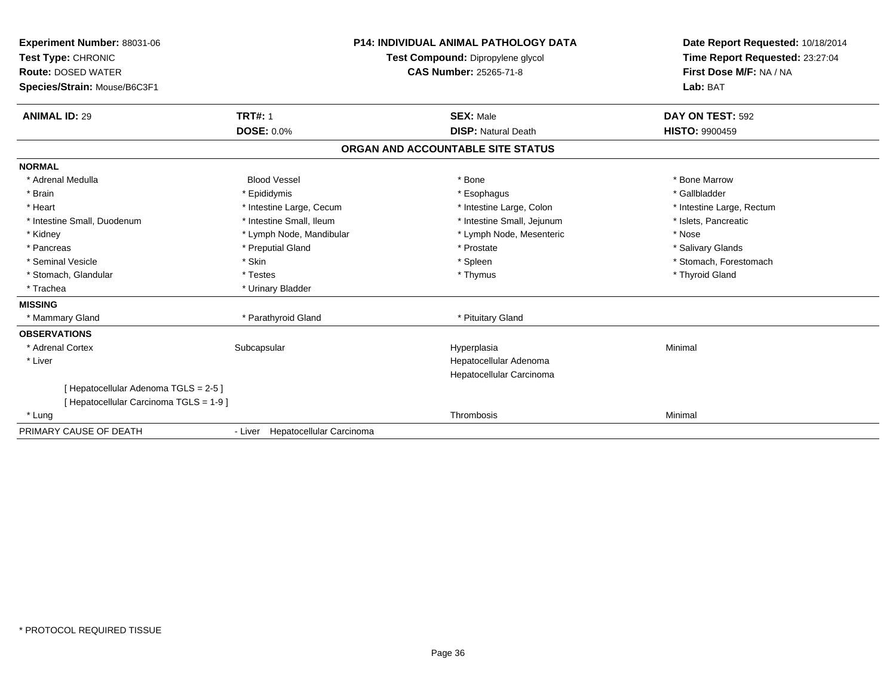| Experiment Number: 88031-06<br>Test Type: CHRONIC<br><b>Route: DOSED WATER</b><br>Species/Strain: Mouse/B6C3F1<br><b>ANIMAL ID: 29</b> | <b>TRT#: 1</b>                   | <b>P14: INDIVIDUAL ANIMAL PATHOLOGY DATA</b><br>Test Compound: Dipropylene glycol<br><b>CAS Number: 25265-71-8</b><br><b>SEX: Male</b> | Date Report Requested: 10/18/2014<br>Time Report Requested: 23:27:04<br>First Dose M/F: NA / NA<br>Lab: BAT<br>DAY ON TEST: 592 |
|----------------------------------------------------------------------------------------------------------------------------------------|----------------------------------|----------------------------------------------------------------------------------------------------------------------------------------|---------------------------------------------------------------------------------------------------------------------------------|
|                                                                                                                                        | <b>DOSE: 0.0%</b>                | <b>DISP: Natural Death</b>                                                                                                             | <b>HISTO: 9900459</b>                                                                                                           |
|                                                                                                                                        |                                  | ORGAN AND ACCOUNTABLE SITE STATUS                                                                                                      |                                                                                                                                 |
| <b>NORMAL</b>                                                                                                                          |                                  |                                                                                                                                        |                                                                                                                                 |
| * Adrenal Medulla                                                                                                                      | <b>Blood Vessel</b>              | * Bone                                                                                                                                 | * Bone Marrow                                                                                                                   |
| * Brain                                                                                                                                | * Epididymis                     | * Esophagus                                                                                                                            | * Gallbladder                                                                                                                   |
| * Heart                                                                                                                                | * Intestine Large, Cecum         | * Intestine Large, Colon                                                                                                               | * Intestine Large, Rectum                                                                                                       |
| * Intestine Small, Duodenum                                                                                                            | * Intestine Small, Ileum         | * Intestine Small, Jejunum                                                                                                             | * Islets, Pancreatic                                                                                                            |
| * Kidney                                                                                                                               | * Lymph Node, Mandibular         | * Lymph Node, Mesenteric                                                                                                               | * Nose                                                                                                                          |
| * Pancreas                                                                                                                             | * Preputial Gland                | * Prostate                                                                                                                             | * Salivary Glands                                                                                                               |
| * Seminal Vesicle                                                                                                                      | * Skin                           | * Spleen                                                                                                                               | * Stomach, Forestomach                                                                                                          |
| * Stomach, Glandular                                                                                                                   | * Testes                         | * Thymus                                                                                                                               | * Thyroid Gland                                                                                                                 |
| * Trachea                                                                                                                              | * Urinary Bladder                |                                                                                                                                        |                                                                                                                                 |
| <b>MISSING</b>                                                                                                                         |                                  |                                                                                                                                        |                                                                                                                                 |
| * Mammary Gland                                                                                                                        | * Parathyroid Gland              | * Pituitary Gland                                                                                                                      |                                                                                                                                 |
| <b>OBSERVATIONS</b>                                                                                                                    |                                  |                                                                                                                                        |                                                                                                                                 |
| * Adrenal Cortex                                                                                                                       | Subcapsular                      | Hyperplasia                                                                                                                            | Minimal                                                                                                                         |
| * Liver                                                                                                                                |                                  | Hepatocellular Adenoma<br>Hepatocellular Carcinoma                                                                                     |                                                                                                                                 |
| [ Hepatocellular Adenoma TGLS = 2-5 ]<br>[ Hepatocellular Carcinoma TGLS = 1-9 ]                                                       |                                  |                                                                                                                                        |                                                                                                                                 |
| * Lung                                                                                                                                 |                                  | Thrombosis                                                                                                                             | Minimal                                                                                                                         |
| PRIMARY CAUSE OF DEATH                                                                                                                 | - Liver Hepatocellular Carcinoma |                                                                                                                                        |                                                                                                                                 |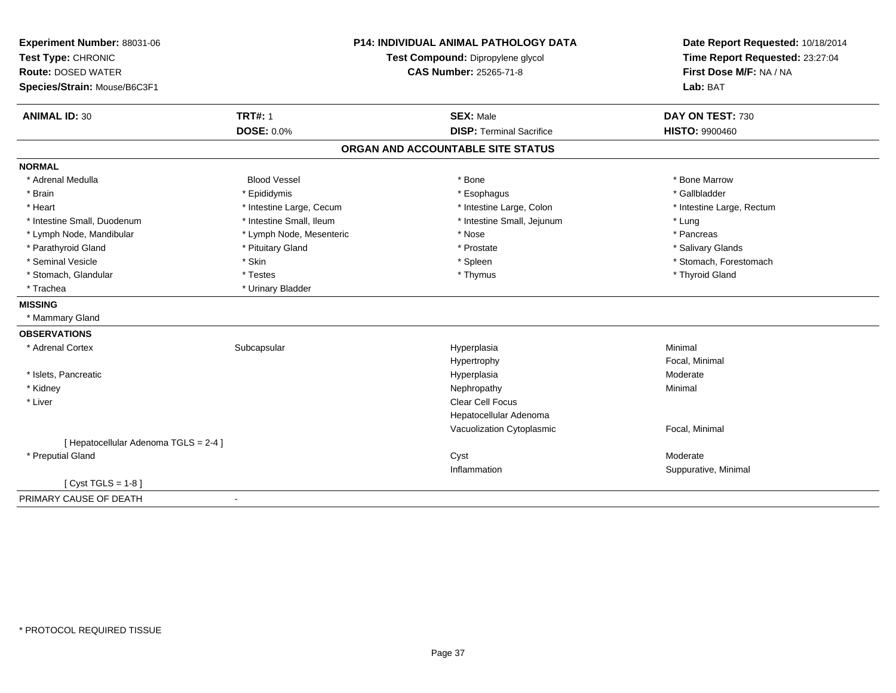| Experiment Number: 88031-06           | <b>P14: INDIVIDUAL ANIMAL PATHOLOGY DATA</b><br>Test Compound: Dipropylene glycol |                                   | Date Report Requested: 10/18/2014 |
|---------------------------------------|-----------------------------------------------------------------------------------|-----------------------------------|-----------------------------------|
| Test Type: CHRONIC                    |                                                                                   |                                   | Time Report Requested: 23:27:04   |
| <b>Route: DOSED WATER</b>             |                                                                                   | <b>CAS Number: 25265-71-8</b>     | First Dose M/F: NA / NA           |
| Species/Strain: Mouse/B6C3F1          |                                                                                   |                                   | Lab: BAT                          |
| <b>ANIMAL ID: 30</b>                  | <b>TRT#: 1</b>                                                                    | <b>SEX: Male</b>                  | DAY ON TEST: 730                  |
|                                       | <b>DOSE: 0.0%</b>                                                                 | <b>DISP: Terminal Sacrifice</b>   | <b>HISTO: 9900460</b>             |
|                                       |                                                                                   | ORGAN AND ACCOUNTABLE SITE STATUS |                                   |
| <b>NORMAL</b>                         |                                                                                   |                                   |                                   |
| * Adrenal Medulla                     | <b>Blood Vessel</b>                                                               | * Bone                            | * Bone Marrow                     |
| * Brain                               | * Epididymis                                                                      | * Esophagus                       | * Gallbladder                     |
| * Heart                               | * Intestine Large, Cecum                                                          | * Intestine Large, Colon          | * Intestine Large, Rectum         |
| * Intestine Small, Duodenum           | * Intestine Small, Ileum                                                          | * Intestine Small, Jejunum        | * Lung                            |
| * Lymph Node, Mandibular              | * Lymph Node, Mesenteric                                                          | * Nose                            | * Pancreas                        |
| * Parathyroid Gland                   | * Pituitary Gland                                                                 | * Prostate                        | * Salivary Glands                 |
| * Seminal Vesicle                     | * Skin                                                                            | * Spleen                          | * Stomach, Forestomach            |
| * Stomach, Glandular                  | * Testes                                                                          | * Thymus                          | * Thyroid Gland                   |
| * Trachea                             | * Urinary Bladder                                                                 |                                   |                                   |
| <b>MISSING</b>                        |                                                                                   |                                   |                                   |
| * Mammary Gland                       |                                                                                   |                                   |                                   |
| <b>OBSERVATIONS</b>                   |                                                                                   |                                   |                                   |
| * Adrenal Cortex                      | Subcapsular                                                                       | Hyperplasia                       | Minimal                           |
|                                       |                                                                                   | Hypertrophy                       | Focal, Minimal                    |
| * Islets, Pancreatic                  |                                                                                   | Hyperplasia                       | Moderate                          |
| * Kidney                              |                                                                                   | Nephropathy                       | Minimal                           |
| * Liver                               |                                                                                   | Clear Cell Focus                  |                                   |
|                                       |                                                                                   | Hepatocellular Adenoma            |                                   |
|                                       |                                                                                   | Vacuolization Cytoplasmic         | Focal, Minimal                    |
| [ Hepatocellular Adenoma TGLS = 2-4 ] |                                                                                   |                                   |                                   |
| * Preputial Gland                     |                                                                                   | Cyst                              | Moderate                          |
|                                       |                                                                                   | Inflammation                      | Suppurative, Minimal              |
| [ $Cyst TGLS = 1-8$ ]                 |                                                                                   |                                   |                                   |
| PRIMARY CAUSE OF DEATH                |                                                                                   |                                   |                                   |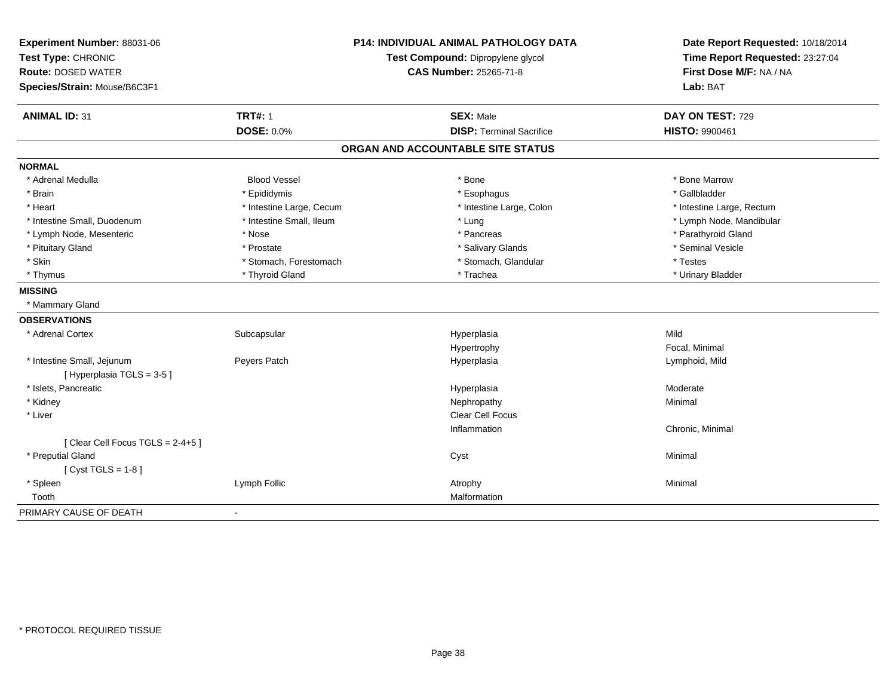| Experiment Number: 88031-06     |                                   | <b>P14: INDIVIDUAL ANIMAL PATHOLOGY DATA</b> | Date Report Requested: 10/18/2014 |
|---------------------------------|-----------------------------------|----------------------------------------------|-----------------------------------|
| Test Type: CHRONIC              | Test Compound: Dipropylene glycol |                                              | Time Report Requested: 23:27:04   |
| <b>Route: DOSED WATER</b>       |                                   | <b>CAS Number: 25265-71-8</b>                | First Dose M/F: NA / NA           |
| Species/Strain: Mouse/B6C3F1    |                                   |                                              | Lab: BAT                          |
| <b>ANIMAL ID: 31</b>            | <b>TRT#: 1</b>                    | <b>SEX: Male</b>                             | DAY ON TEST: 729                  |
|                                 | <b>DOSE: 0.0%</b>                 | <b>DISP: Terminal Sacrifice</b>              | HISTO: 9900461                    |
|                                 |                                   | ORGAN AND ACCOUNTABLE SITE STATUS            |                                   |
| <b>NORMAL</b>                   |                                   |                                              |                                   |
| * Adrenal Medulla               | <b>Blood Vessel</b>               | * Bone                                       | * Bone Marrow                     |
| * Brain                         | * Epididymis                      | * Esophagus                                  | * Gallbladder                     |
| * Heart                         | * Intestine Large, Cecum          | * Intestine Large, Colon                     | * Intestine Large, Rectum         |
| * Intestine Small, Duodenum     | * Intestine Small, Ileum          | * Lung                                       | * Lymph Node, Mandibular          |
| * Lymph Node, Mesenteric        | * Nose                            | * Pancreas                                   | * Parathyroid Gland               |
| * Pituitary Gland               | * Prostate                        | * Salivary Glands                            | * Seminal Vesicle                 |
| * Skin                          | * Stomach, Forestomach            | * Stomach, Glandular                         | * Testes                          |
| * Thymus                        | * Thyroid Gland                   | * Trachea                                    | * Urinary Bladder                 |
| <b>MISSING</b>                  |                                   |                                              |                                   |
| * Mammary Gland                 |                                   |                                              |                                   |
| <b>OBSERVATIONS</b>             |                                   |                                              |                                   |
| * Adrenal Cortex                | Subcapsular                       | Hyperplasia                                  | Mild                              |
|                                 |                                   | Hypertrophy                                  | Focal, Minimal                    |
| * Intestine Small, Jejunum      | Peyers Patch                      | Hyperplasia                                  | Lymphoid, Mild                    |
| [Hyperplasia TGLS = 3-5]        |                                   |                                              |                                   |
| * Islets, Pancreatic            |                                   | Hyperplasia                                  | Moderate                          |
| * Kidney                        |                                   | Nephropathy                                  | Minimal                           |
| * Liver                         |                                   | Clear Cell Focus                             |                                   |
|                                 |                                   | Inflammation                                 | Chronic, Minimal                  |
| [Clear Cell Focus TGLS = 2-4+5] |                                   |                                              |                                   |
| * Preputial Gland               |                                   | Cyst                                         | Minimal                           |
| [Cyst TGLS = $1-8$ ]            |                                   |                                              |                                   |
| * Spleen                        | Lymph Follic                      | Atrophy                                      | Minimal                           |
| Tooth                           |                                   | Malformation                                 |                                   |
| PRIMARY CAUSE OF DEATH          | $\blacksquare$                    |                                              |                                   |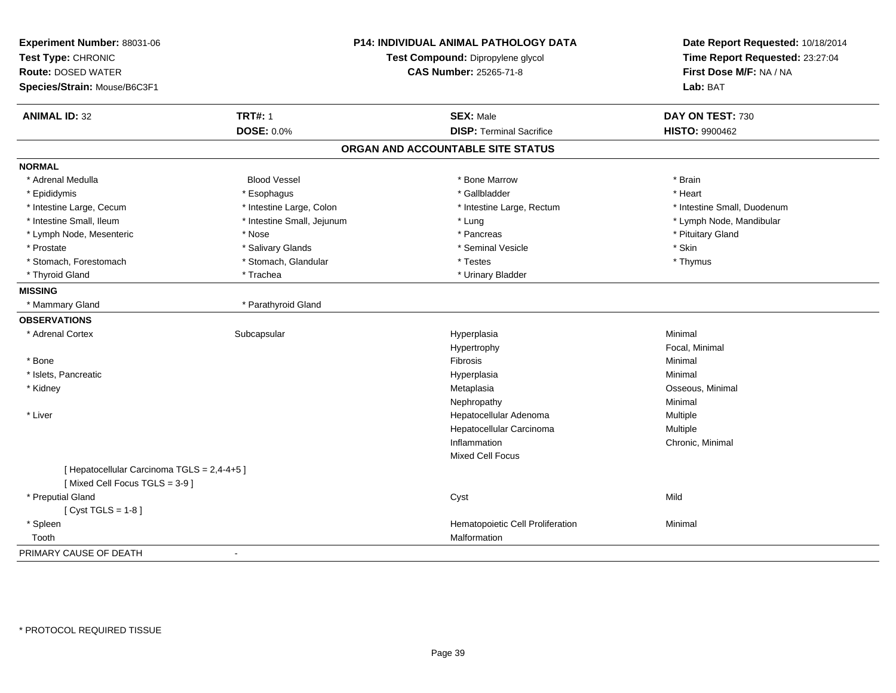| Experiment Number: 88031-06<br>Test Type: CHRONIC<br><b>Route: DOSED WATER</b><br>Species/Strain: Mouse/B6C3F1 |                            | <b>P14: INDIVIDUAL ANIMAL PATHOLOGY DATA</b><br>Test Compound: Dipropylene glycol<br><b>CAS Number: 25265-71-8</b> | Date Report Requested: 10/18/2014<br>Time Report Requested: 23:27:04<br>First Dose M/F: NA / NA<br>Lab: BAT |
|----------------------------------------------------------------------------------------------------------------|----------------------------|--------------------------------------------------------------------------------------------------------------------|-------------------------------------------------------------------------------------------------------------|
| <b>ANIMAL ID: 32</b>                                                                                           | <b>TRT#: 1</b>             | <b>SEX: Male</b>                                                                                                   | DAY ON TEST: 730                                                                                            |
|                                                                                                                | <b>DOSE: 0.0%</b>          | <b>DISP: Terminal Sacrifice</b>                                                                                    | <b>HISTO: 9900462</b>                                                                                       |
|                                                                                                                |                            | ORGAN AND ACCOUNTABLE SITE STATUS                                                                                  |                                                                                                             |
| <b>NORMAL</b>                                                                                                  |                            |                                                                                                                    |                                                                                                             |
| * Adrenal Medulla                                                                                              | <b>Blood Vessel</b>        | * Bone Marrow                                                                                                      | * Brain                                                                                                     |
| * Epididymis                                                                                                   | * Esophagus                | * Gallbladder                                                                                                      | * Heart                                                                                                     |
| * Intestine Large, Cecum                                                                                       | * Intestine Large, Colon   | * Intestine Large, Rectum                                                                                          | * Intestine Small, Duodenum                                                                                 |
| * Intestine Small, Ileum                                                                                       | * Intestine Small, Jejunum | * Lung                                                                                                             | * Lymph Node, Mandibular                                                                                    |
| * Lymph Node, Mesenteric                                                                                       | * Nose                     | * Pancreas                                                                                                         | * Pituitary Gland                                                                                           |
| * Prostate                                                                                                     | * Salivary Glands          | * Seminal Vesicle                                                                                                  | * Skin                                                                                                      |
| * Stomach, Forestomach                                                                                         | * Stomach, Glandular       | * Testes                                                                                                           | * Thymus                                                                                                    |
| * Thyroid Gland                                                                                                | * Trachea                  | * Urinary Bladder                                                                                                  |                                                                                                             |
| <b>MISSING</b>                                                                                                 |                            |                                                                                                                    |                                                                                                             |
| * Mammary Gland                                                                                                | * Parathyroid Gland        |                                                                                                                    |                                                                                                             |
| <b>OBSERVATIONS</b>                                                                                            |                            |                                                                                                                    |                                                                                                             |
| * Adrenal Cortex                                                                                               | Subcapsular                | Hyperplasia                                                                                                        | Minimal                                                                                                     |
|                                                                                                                |                            | Hypertrophy                                                                                                        | Focal, Minimal                                                                                              |
| * Bone                                                                                                         |                            | Fibrosis                                                                                                           | Minimal                                                                                                     |
| * Islets, Pancreatic                                                                                           |                            | Hyperplasia                                                                                                        | Minimal                                                                                                     |
| * Kidney                                                                                                       |                            | Metaplasia                                                                                                         | Osseous, Minimal                                                                                            |
|                                                                                                                |                            | Nephropathy                                                                                                        | Minimal                                                                                                     |
| * Liver                                                                                                        |                            | Hepatocellular Adenoma                                                                                             | Multiple                                                                                                    |
|                                                                                                                |                            | Hepatocellular Carcinoma                                                                                           | Multiple                                                                                                    |
|                                                                                                                |                            | Inflammation                                                                                                       | Chronic, Minimal                                                                                            |
|                                                                                                                |                            | <b>Mixed Cell Focus</b>                                                                                            |                                                                                                             |
| [ Hepatocellular Carcinoma TGLS = 2,4-4+5 ]<br>[Mixed Cell Focus TGLS = 3-9]                                   |                            |                                                                                                                    |                                                                                                             |
| * Preputial Gland                                                                                              |                            | Cyst                                                                                                               | Mild                                                                                                        |
| [Cyst TGLS = $1-8$ ]                                                                                           |                            |                                                                                                                    |                                                                                                             |
| * Spleen                                                                                                       |                            | Hematopoietic Cell Proliferation                                                                                   | Minimal                                                                                                     |
| Tooth                                                                                                          |                            | Malformation                                                                                                       |                                                                                                             |
| PRIMARY CAUSE OF DEATH                                                                                         | $\sim$                     |                                                                                                                    |                                                                                                             |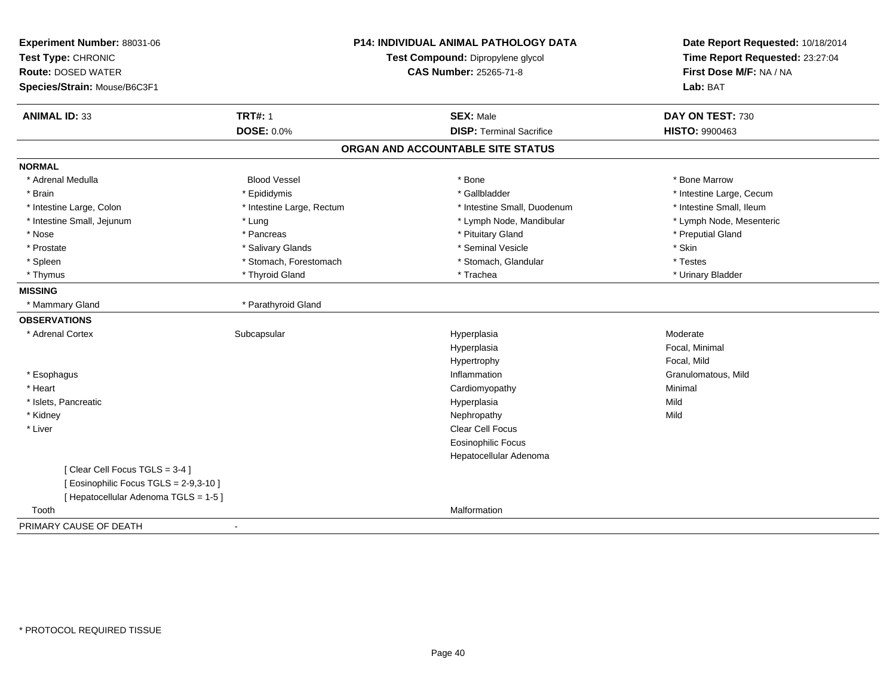| Experiment Number: 88031-06<br>Test Type: CHRONIC<br><b>Route: DOSED WATER</b><br>Species/Strain: Mouse/B6C3F1 |                           | P14: INDIVIDUAL ANIMAL PATHOLOGY DATA<br>Test Compound: Dipropylene glycol<br><b>CAS Number: 25265-71-8</b> | Date Report Requested: 10/18/2014<br>Time Report Requested: 23:27:04<br>First Dose M/F: NA / NA<br>Lab: BAT |
|----------------------------------------------------------------------------------------------------------------|---------------------------|-------------------------------------------------------------------------------------------------------------|-------------------------------------------------------------------------------------------------------------|
| <b>ANIMAL ID: 33</b>                                                                                           | <b>TRT#: 1</b>            | <b>SEX: Male</b>                                                                                            | DAY ON TEST: 730                                                                                            |
|                                                                                                                | <b>DOSE: 0.0%</b>         | <b>DISP: Terminal Sacrifice</b>                                                                             | HISTO: 9900463                                                                                              |
|                                                                                                                |                           | ORGAN AND ACCOUNTABLE SITE STATUS                                                                           |                                                                                                             |
| <b>NORMAL</b>                                                                                                  |                           |                                                                                                             |                                                                                                             |
| * Adrenal Medulla                                                                                              | <b>Blood Vessel</b>       | * Bone                                                                                                      | * Bone Marrow                                                                                               |
| * Brain                                                                                                        | * Epididymis              | * Gallbladder                                                                                               | * Intestine Large, Cecum                                                                                    |
| * Intestine Large, Colon                                                                                       | * Intestine Large, Rectum | * Intestine Small, Duodenum                                                                                 | * Intestine Small, Ileum                                                                                    |
| * Intestine Small, Jejunum                                                                                     | * Lung                    | * Lymph Node, Mandibular                                                                                    | * Lymph Node, Mesenteric                                                                                    |
| * Nose                                                                                                         | * Pancreas                | * Pituitary Gland                                                                                           | * Preputial Gland                                                                                           |
| * Prostate                                                                                                     | * Salivary Glands         | * Seminal Vesicle                                                                                           | * Skin                                                                                                      |
| * Spleen                                                                                                       | * Stomach, Forestomach    | * Stomach, Glandular                                                                                        | * Testes                                                                                                    |
| * Thymus                                                                                                       | * Thyroid Gland           | * Trachea                                                                                                   | * Urinary Bladder                                                                                           |
| <b>MISSING</b>                                                                                                 |                           |                                                                                                             |                                                                                                             |
| * Mammary Gland                                                                                                | * Parathyroid Gland       |                                                                                                             |                                                                                                             |
| <b>OBSERVATIONS</b>                                                                                            |                           |                                                                                                             |                                                                                                             |
| * Adrenal Cortex                                                                                               | Subcapsular               | Hyperplasia                                                                                                 | Moderate                                                                                                    |
|                                                                                                                |                           | Hyperplasia                                                                                                 | Focal, Minimal                                                                                              |
|                                                                                                                |                           | Hypertrophy                                                                                                 | Focal, Mild                                                                                                 |
| * Esophagus                                                                                                    |                           | Inflammation                                                                                                | Granulomatous, Mild                                                                                         |
| * Heart                                                                                                        |                           | Cardiomyopathy                                                                                              | Minimal                                                                                                     |
| * Islets, Pancreatic                                                                                           |                           | Hyperplasia                                                                                                 | Mild                                                                                                        |
| * Kidney                                                                                                       |                           | Nephropathy                                                                                                 | Mild                                                                                                        |
| * Liver                                                                                                        |                           | Clear Cell Focus                                                                                            |                                                                                                             |
|                                                                                                                |                           | <b>Eosinophilic Focus</b>                                                                                   |                                                                                                             |
|                                                                                                                |                           | Hepatocellular Adenoma                                                                                      |                                                                                                             |
| [Clear Cell Focus TGLS = 3-4]                                                                                  |                           |                                                                                                             |                                                                                                             |
| [ Eosinophilic Focus TGLS = 2-9,3-10 ]                                                                         |                           |                                                                                                             |                                                                                                             |
| [ Hepatocellular Adenoma TGLS = 1-5 ]                                                                          |                           |                                                                                                             |                                                                                                             |
| Tooth                                                                                                          |                           | Malformation                                                                                                |                                                                                                             |
| PRIMARY CAUSE OF DEATH                                                                                         |                           |                                                                                                             |                                                                                                             |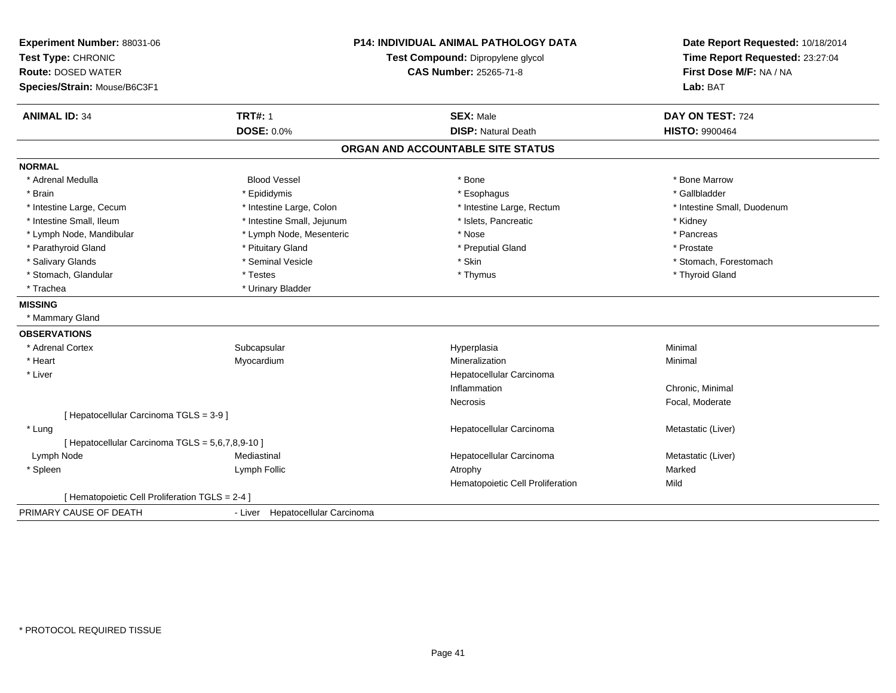| Experiment Number: 88031-06<br>Test Type: CHRONIC<br><b>Route: DOSED WATER</b><br>Species/Strain: Mouse/B6C3F1 |                                  | <b>P14: INDIVIDUAL ANIMAL PATHOLOGY DATA</b><br>Test Compound: Dipropylene glycol<br>CAS Number: 25265-71-8 | Date Report Requested: 10/18/2014<br>Time Report Requested: 23:27:04<br>First Dose M/F: NA / NA<br>Lab: BAT |
|----------------------------------------------------------------------------------------------------------------|----------------------------------|-------------------------------------------------------------------------------------------------------------|-------------------------------------------------------------------------------------------------------------|
| <b>ANIMAL ID: 34</b>                                                                                           | <b>TRT#: 1</b>                   | <b>SEX: Male</b>                                                                                            | DAY ON TEST: 724                                                                                            |
|                                                                                                                | <b>DOSE: 0.0%</b>                | <b>DISP: Natural Death</b>                                                                                  | <b>HISTO: 9900464</b>                                                                                       |
|                                                                                                                |                                  | ORGAN AND ACCOUNTABLE SITE STATUS                                                                           |                                                                                                             |
| <b>NORMAL</b>                                                                                                  |                                  |                                                                                                             |                                                                                                             |
| * Adrenal Medulla                                                                                              | <b>Blood Vessel</b>              | * Bone                                                                                                      | * Bone Marrow                                                                                               |
| * Brain                                                                                                        | * Epididymis                     | * Esophagus                                                                                                 | * Gallbladder                                                                                               |
| * Intestine Large, Cecum                                                                                       | * Intestine Large, Colon         | * Intestine Large, Rectum                                                                                   | * Intestine Small, Duodenum                                                                                 |
| * Intestine Small, Ileum                                                                                       | * Intestine Small, Jejunum       | * Islets, Pancreatic                                                                                        | * Kidney                                                                                                    |
| * Lymph Node, Mandibular                                                                                       | * Lymph Node, Mesenteric         | * Nose                                                                                                      | * Pancreas                                                                                                  |
| * Parathyroid Gland                                                                                            | * Pituitary Gland                | * Preputial Gland                                                                                           | * Prostate                                                                                                  |
| * Salivary Glands                                                                                              | * Seminal Vesicle                | * Skin                                                                                                      | * Stomach, Forestomach                                                                                      |
| * Stomach, Glandular                                                                                           | * Testes                         | * Thymus                                                                                                    | * Thyroid Gland                                                                                             |
| * Trachea                                                                                                      | * Urinary Bladder                |                                                                                                             |                                                                                                             |
| <b>MISSING</b>                                                                                                 |                                  |                                                                                                             |                                                                                                             |
| * Mammary Gland                                                                                                |                                  |                                                                                                             |                                                                                                             |
| <b>OBSERVATIONS</b>                                                                                            |                                  |                                                                                                             |                                                                                                             |
| * Adrenal Cortex                                                                                               | Subcapsular                      | Hyperplasia                                                                                                 | Minimal                                                                                                     |
| * Heart                                                                                                        | Myocardium                       | Mineralization                                                                                              | Minimal                                                                                                     |
| * Liver                                                                                                        |                                  | Hepatocellular Carcinoma                                                                                    |                                                                                                             |
|                                                                                                                |                                  | Inflammation                                                                                                | Chronic, Minimal                                                                                            |
|                                                                                                                |                                  | <b>Necrosis</b>                                                                                             | Focal, Moderate                                                                                             |
| [ Hepatocellular Carcinoma TGLS = 3-9 ]                                                                        |                                  |                                                                                                             |                                                                                                             |
| * Lung                                                                                                         |                                  | Hepatocellular Carcinoma                                                                                    | Metastatic (Liver)                                                                                          |
| [ Hepatocellular Carcinoma TGLS = 5,6,7,8,9-10 ]                                                               |                                  |                                                                                                             |                                                                                                             |
| Lymph Node                                                                                                     | Mediastinal                      | Hepatocellular Carcinoma                                                                                    | Metastatic (Liver)                                                                                          |
| * Spleen                                                                                                       | Lymph Follic                     | Atrophy                                                                                                     | Marked                                                                                                      |
|                                                                                                                |                                  | Hematopoietic Cell Proliferation                                                                            | Mild                                                                                                        |
| [ Hematopoietic Cell Proliferation TGLS = 2-4 ]                                                                |                                  |                                                                                                             |                                                                                                             |
| PRIMARY CAUSE OF DEATH                                                                                         | - Liver Hepatocellular Carcinoma |                                                                                                             |                                                                                                             |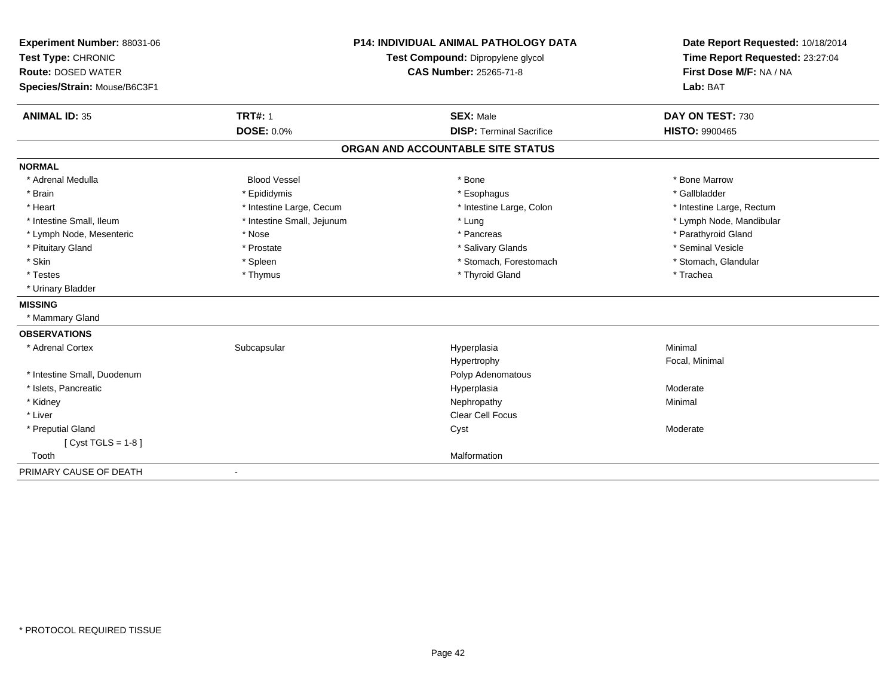| Experiment Number: 88031-06  |                            | <b>P14: INDIVIDUAL ANIMAL PATHOLOGY DATA</b> | Date Report Requested: 10/18/2014                          |
|------------------------------|----------------------------|----------------------------------------------|------------------------------------------------------------|
| Test Type: CHRONIC           |                            | Test Compound: Dipropylene glycol            | Time Report Requested: 23:27:04<br>First Dose M/F: NA / NA |
| <b>Route: DOSED WATER</b>    |                            | <b>CAS Number: 25265-71-8</b>                |                                                            |
| Species/Strain: Mouse/B6C3F1 |                            |                                              | Lab: BAT                                                   |
| <b>ANIMAL ID: 35</b>         | <b>TRT#: 1</b>             | <b>SEX: Male</b>                             | DAY ON TEST: 730                                           |
|                              | <b>DOSE: 0.0%</b>          | <b>DISP: Terminal Sacrifice</b>              | <b>HISTO: 9900465</b>                                      |
|                              |                            | ORGAN AND ACCOUNTABLE SITE STATUS            |                                                            |
| <b>NORMAL</b>                |                            |                                              |                                                            |
| * Adrenal Medulla            | <b>Blood Vessel</b>        | * Bone                                       | * Bone Marrow                                              |
| * Brain                      | * Epididymis               | * Esophagus                                  | * Gallbladder                                              |
| * Heart                      | * Intestine Large, Cecum   | * Intestine Large, Colon                     | * Intestine Large, Rectum                                  |
| * Intestine Small, Ileum     | * Intestine Small, Jejunum | * Lung                                       | * Lymph Node, Mandibular                                   |
| * Lymph Node, Mesenteric     | * Nose                     | * Pancreas                                   | * Parathyroid Gland                                        |
| * Pituitary Gland            | * Prostate                 | * Salivary Glands                            | * Seminal Vesicle                                          |
| * Skin                       | * Spleen                   | * Stomach, Forestomach                       | * Stomach, Glandular                                       |
| * Testes                     | * Thymus                   | * Thyroid Gland                              | * Trachea                                                  |
| * Urinary Bladder            |                            |                                              |                                                            |
| <b>MISSING</b>               |                            |                                              |                                                            |
| * Mammary Gland              |                            |                                              |                                                            |
| <b>OBSERVATIONS</b>          |                            |                                              |                                                            |
| * Adrenal Cortex             | Subcapsular                | Hyperplasia                                  | Minimal                                                    |
|                              |                            | Hypertrophy                                  | Focal, Minimal                                             |
| * Intestine Small, Duodenum  |                            | Polyp Adenomatous                            |                                                            |
| * Islets, Pancreatic         |                            | Hyperplasia                                  | Moderate                                                   |
| * Kidney                     |                            | Nephropathy                                  | Minimal                                                    |
| * Liver                      |                            | <b>Clear Cell Focus</b>                      |                                                            |
| * Preputial Gland            |                            | Cyst                                         | Moderate                                                   |
| [Cyst TGLS = $1-8$ ]         |                            |                                              |                                                            |
| Tooth                        |                            | Malformation                                 |                                                            |
| PRIMARY CAUSE OF DEATH       | $\overline{\phantom{a}}$   |                                              |                                                            |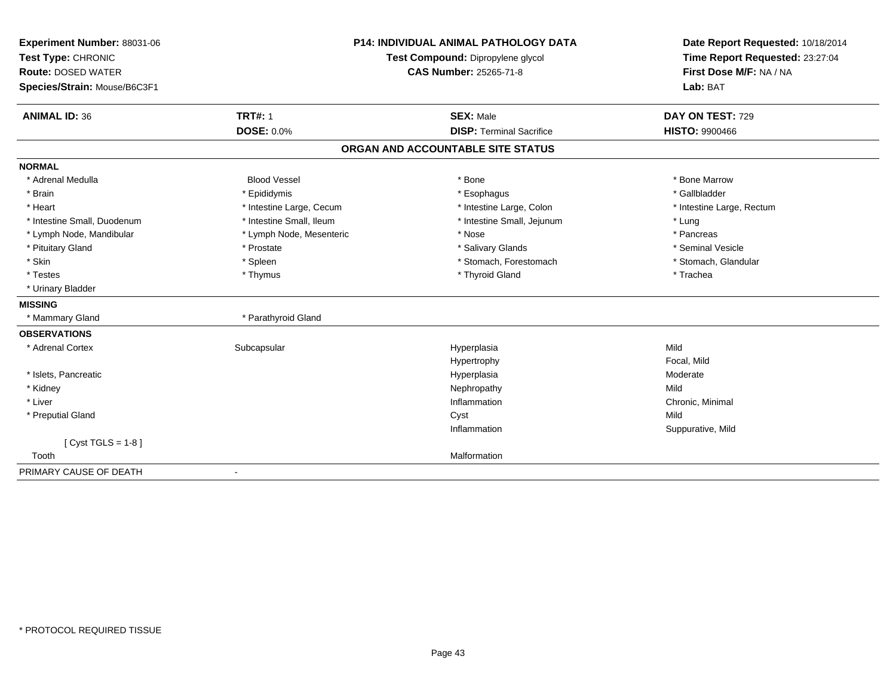| Experiment Number: 88031-06  | <b>P14: INDIVIDUAL ANIMAL PATHOLOGY DATA</b> |                                   | Date Report Requested: 10/18/2014                          |
|------------------------------|----------------------------------------------|-----------------------------------|------------------------------------------------------------|
| Test Type: CHRONIC           |                                              | Test Compound: Dipropylene glycol | Time Report Requested: 23:27:04<br>First Dose M/F: NA / NA |
| <b>Route: DOSED WATER</b>    |                                              | <b>CAS Number: 25265-71-8</b>     |                                                            |
| Species/Strain: Mouse/B6C3F1 |                                              |                                   | Lab: BAT                                                   |
| <b>ANIMAL ID: 36</b>         | <b>TRT#: 1</b>                               | <b>SEX: Male</b>                  | DAY ON TEST: 729                                           |
|                              | <b>DOSE: 0.0%</b>                            | <b>DISP: Terminal Sacrifice</b>   | HISTO: 9900466                                             |
|                              |                                              | ORGAN AND ACCOUNTABLE SITE STATUS |                                                            |
| <b>NORMAL</b>                |                                              |                                   |                                                            |
| * Adrenal Medulla            | <b>Blood Vessel</b>                          | * Bone                            | * Bone Marrow                                              |
| * Brain                      | * Epididymis                                 | * Esophagus                       | * Gallbladder                                              |
| * Heart                      | * Intestine Large, Cecum                     | * Intestine Large, Colon          | * Intestine Large, Rectum                                  |
| * Intestine Small, Duodenum  | * Intestine Small, Ileum                     | * Intestine Small, Jejunum        | * Lung                                                     |
| * Lymph Node, Mandibular     | * Lymph Node, Mesenteric                     | * Nose                            | * Pancreas                                                 |
| * Pituitary Gland            | * Prostate                                   | * Salivary Glands                 | * Seminal Vesicle                                          |
| * Skin                       | * Spleen                                     | * Stomach, Forestomach            | * Stomach, Glandular                                       |
| * Testes                     | * Thymus                                     | * Thyroid Gland                   | * Trachea                                                  |
| * Urinary Bladder            |                                              |                                   |                                                            |
| <b>MISSING</b>               |                                              |                                   |                                                            |
| * Mammary Gland              | * Parathyroid Gland                          |                                   |                                                            |
| <b>OBSERVATIONS</b>          |                                              |                                   |                                                            |
| * Adrenal Cortex             | Subcapsular                                  | Hyperplasia                       | Mild                                                       |
|                              |                                              | Hypertrophy                       | Focal, Mild                                                |
| * Islets, Pancreatic         |                                              | Hyperplasia                       | Moderate                                                   |
| * Kidney                     |                                              | Nephropathy                       | Mild                                                       |
| * Liver                      |                                              | Inflammation                      | Chronic, Minimal                                           |
| * Preputial Gland            |                                              | Cyst                              | Mild                                                       |
|                              |                                              | Inflammation                      | Suppurative, Mild                                          |
| [Cyst TGLS = $1-8$ ]         |                                              |                                   |                                                            |
| Tooth                        |                                              | Malformation                      |                                                            |
| PRIMARY CAUSE OF DEATH       | $\overline{\phantom{a}}$                     |                                   |                                                            |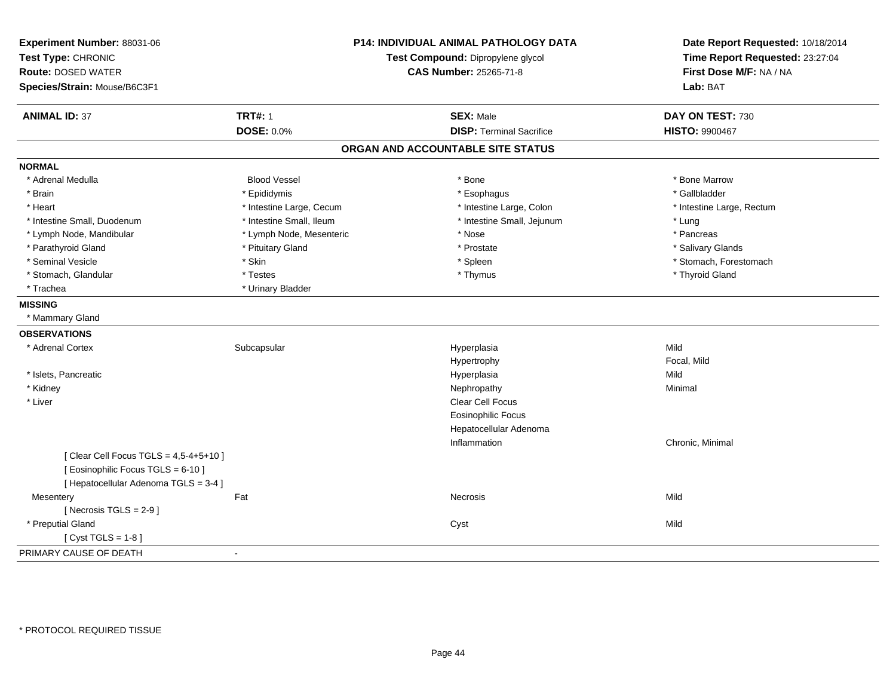| Experiment Number: 88031-06<br>Test Type: CHRONIC<br><b>Route: DOSED WATER</b><br>Species/Strain: Mouse/B6C3F1 |                          | <b>P14: INDIVIDUAL ANIMAL PATHOLOGY DATA</b><br>Test Compound: Dipropylene glycol<br><b>CAS Number: 25265-71-8</b> | Date Report Requested: 10/18/2014<br>Time Report Requested: 23:27:04<br>First Dose M/F: NA / NA<br>Lab: BAT |
|----------------------------------------------------------------------------------------------------------------|--------------------------|--------------------------------------------------------------------------------------------------------------------|-------------------------------------------------------------------------------------------------------------|
| <b>ANIMAL ID: 37</b>                                                                                           | <b>TRT#: 1</b>           | <b>SEX: Male</b>                                                                                                   | DAY ON TEST: 730                                                                                            |
|                                                                                                                | <b>DOSE: 0.0%</b>        | <b>DISP: Terminal Sacrifice</b>                                                                                    | <b>HISTO: 9900467</b>                                                                                       |
|                                                                                                                |                          | ORGAN AND ACCOUNTABLE SITE STATUS                                                                                  |                                                                                                             |
| <b>NORMAL</b>                                                                                                  |                          |                                                                                                                    |                                                                                                             |
| * Adrenal Medulla                                                                                              | <b>Blood Vessel</b>      | * Bone                                                                                                             | * Bone Marrow                                                                                               |
| * Brain                                                                                                        | * Epididymis             | * Esophagus                                                                                                        | * Gallbladder                                                                                               |
| * Heart                                                                                                        | * Intestine Large, Cecum | * Intestine Large, Colon                                                                                           | * Intestine Large, Rectum                                                                                   |
| * Intestine Small, Duodenum                                                                                    | * Intestine Small, Ileum | * Intestine Small, Jejunum                                                                                         | * Lung                                                                                                      |
| * Lymph Node, Mandibular                                                                                       | * Lymph Node, Mesenteric | * Nose                                                                                                             | * Pancreas                                                                                                  |
| * Parathyroid Gland                                                                                            | * Pituitary Gland        | * Prostate                                                                                                         | * Salivary Glands                                                                                           |
| * Seminal Vesicle                                                                                              | * Skin                   | * Spleen                                                                                                           | * Stomach, Forestomach                                                                                      |
| * Stomach, Glandular                                                                                           | * Testes                 | * Thymus                                                                                                           | * Thyroid Gland                                                                                             |
| * Trachea                                                                                                      | * Urinary Bladder        |                                                                                                                    |                                                                                                             |
| <b>MISSING</b>                                                                                                 |                          |                                                                                                                    |                                                                                                             |
| * Mammary Gland                                                                                                |                          |                                                                                                                    |                                                                                                             |
| <b>OBSERVATIONS</b>                                                                                            |                          |                                                                                                                    |                                                                                                             |
| * Adrenal Cortex                                                                                               | Subcapsular              | Hyperplasia                                                                                                        | Mild                                                                                                        |
|                                                                                                                |                          | Hypertrophy                                                                                                        | Focal, Mild                                                                                                 |
| * Islets, Pancreatic                                                                                           |                          | Hyperplasia                                                                                                        | Mild                                                                                                        |
| * Kidney                                                                                                       |                          | Nephropathy                                                                                                        | Minimal                                                                                                     |
| * Liver                                                                                                        |                          | Clear Cell Focus                                                                                                   |                                                                                                             |
|                                                                                                                |                          | <b>Eosinophilic Focus</b>                                                                                          |                                                                                                             |
|                                                                                                                |                          | Hepatocellular Adenoma                                                                                             |                                                                                                             |
|                                                                                                                |                          | Inflammation                                                                                                       | Chronic, Minimal                                                                                            |
| [ Clear Cell Focus TGLS = 4,5-4+5+10 ]                                                                         |                          |                                                                                                                    |                                                                                                             |
| [ Eosinophilic Focus TGLS = 6-10 ]                                                                             |                          |                                                                                                                    |                                                                                                             |
| [ Hepatocellular Adenoma TGLS = 3-4 ]                                                                          |                          |                                                                                                                    |                                                                                                             |
| Mesentery                                                                                                      | Fat                      | Necrosis                                                                                                           | Mild                                                                                                        |
| [Necrosis $TGLS = 2-9$ ]                                                                                       |                          |                                                                                                                    |                                                                                                             |
| * Preputial Gland                                                                                              |                          | Cyst                                                                                                               | Mild                                                                                                        |
| [Cyst TGLS = $1-8$ ]                                                                                           |                          |                                                                                                                    |                                                                                                             |
| PRIMARY CAUSE OF DEATH                                                                                         | $\blacksquare$           |                                                                                                                    |                                                                                                             |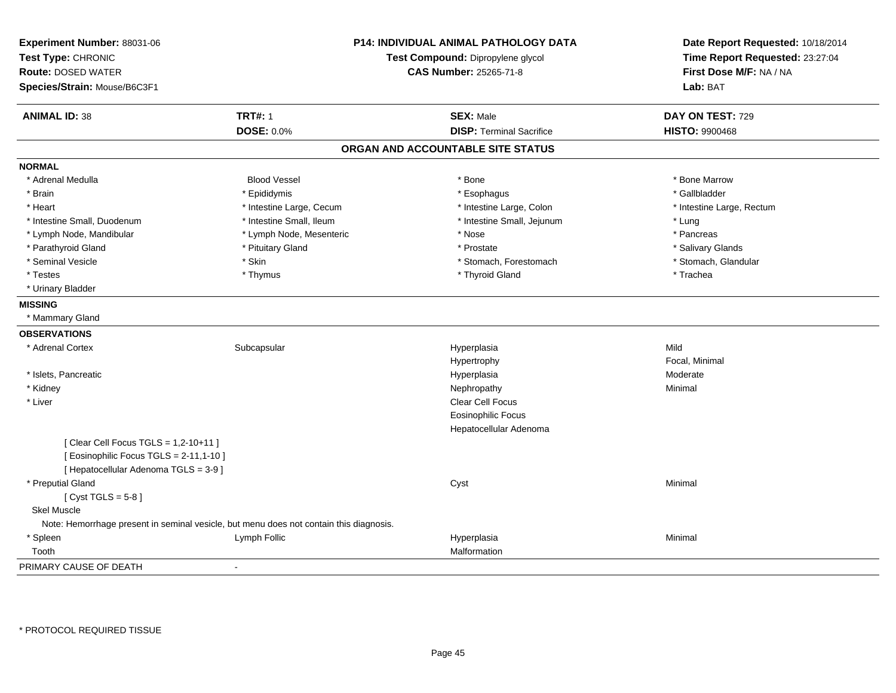| Experiment Number: 88031-06             | P14: INDIVIDUAL ANIMAL PATHOLOGY DATA                                                  |                                   | Date Report Requested: 10/18/2014 |
|-----------------------------------------|----------------------------------------------------------------------------------------|-----------------------------------|-----------------------------------|
| Test Type: CHRONIC                      |                                                                                        | Test Compound: Dipropylene glycol | Time Report Requested: 23:27:04   |
| <b>Route: DOSED WATER</b>               |                                                                                        | <b>CAS Number: 25265-71-8</b>     | First Dose M/F: NA / NA           |
| Species/Strain: Mouse/B6C3F1            |                                                                                        |                                   | Lab: BAT                          |
| <b>ANIMAL ID: 38</b>                    | <b>TRT#: 1</b>                                                                         | <b>SEX: Male</b>                  | DAY ON TEST: 729                  |
|                                         | DOSE: 0.0%                                                                             | <b>DISP: Terminal Sacrifice</b>   | <b>HISTO: 9900468</b>             |
|                                         |                                                                                        | ORGAN AND ACCOUNTABLE SITE STATUS |                                   |
| <b>NORMAL</b>                           |                                                                                        |                                   |                                   |
| * Adrenal Medulla                       | <b>Blood Vessel</b>                                                                    | * Bone                            | * Bone Marrow                     |
| * Brain                                 | * Epididymis                                                                           | * Esophagus                       | * Gallbladder                     |
| * Heart                                 | * Intestine Large, Cecum                                                               | * Intestine Large, Colon          | * Intestine Large, Rectum         |
| * Intestine Small, Duodenum             | * Intestine Small, Ileum                                                               | * Intestine Small, Jejunum        | * Lung                            |
| * Lymph Node, Mandibular                | * Lymph Node, Mesenteric                                                               | * Nose                            | * Pancreas                        |
| * Parathyroid Gland                     | * Pituitary Gland                                                                      | * Prostate                        | * Salivary Glands                 |
| * Seminal Vesicle                       | * Skin                                                                                 | * Stomach, Forestomach            | * Stomach, Glandular              |
| * Testes                                | * Thymus                                                                               | * Thyroid Gland                   | * Trachea                         |
| * Urinary Bladder                       |                                                                                        |                                   |                                   |
| <b>MISSING</b>                          |                                                                                        |                                   |                                   |
| * Mammary Gland                         |                                                                                        |                                   |                                   |
| <b>OBSERVATIONS</b>                     |                                                                                        |                                   |                                   |
| * Adrenal Cortex                        | Subcapsular                                                                            | Hyperplasia                       | Mild                              |
|                                         |                                                                                        | Hypertrophy                       | Focal, Minimal                    |
| * Islets, Pancreatic                    |                                                                                        | Hyperplasia                       | Moderate                          |
| * Kidney                                |                                                                                        | Nephropathy                       | Minimal                           |
| * Liver                                 |                                                                                        | Clear Cell Focus                  |                                   |
|                                         |                                                                                        | <b>Eosinophilic Focus</b>         |                                   |
|                                         |                                                                                        | Hepatocellular Adenoma            |                                   |
| [ Clear Cell Focus TGLS = 1,2-10+11 ]   |                                                                                        |                                   |                                   |
| [ Eosinophilic Focus TGLS = 2-11,1-10 ] |                                                                                        |                                   |                                   |
| [ Hepatocellular Adenoma TGLS = 3-9]    |                                                                                        |                                   |                                   |
| * Preputial Gland                       |                                                                                        | Cyst                              | Minimal                           |
| [Cyst TGLS = $5-8$ ]                    |                                                                                        |                                   |                                   |
| Skel Muscle                             |                                                                                        |                                   |                                   |
|                                         | Note: Hemorrhage present in seminal vesicle, but menu does not contain this diagnosis. |                                   |                                   |
| * Spleen                                | Lymph Follic                                                                           | Hyperplasia                       | Minimal                           |
| Tooth                                   |                                                                                        | Malformation                      |                                   |
| PRIMARY CAUSE OF DEATH                  |                                                                                        |                                   |                                   |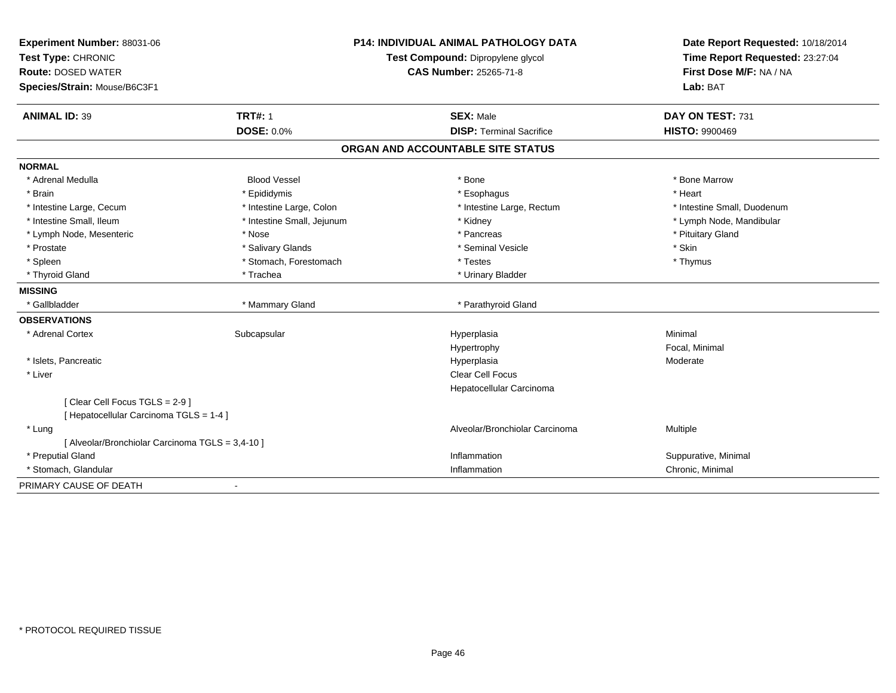| Experiment Number: 88031-06                      | <b>P14: INDIVIDUAL ANIMAL PATHOLOGY DATA</b> |                                   | Date Report Requested: 10/18/2014                          |
|--------------------------------------------------|----------------------------------------------|-----------------------------------|------------------------------------------------------------|
| Test Type: CHRONIC                               |                                              | Test Compound: Dipropylene glycol | Time Report Requested: 23:27:04<br>First Dose M/F: NA / NA |
| <b>Route: DOSED WATER</b>                        |                                              | <b>CAS Number: 25265-71-8</b>     |                                                            |
| Species/Strain: Mouse/B6C3F1                     |                                              |                                   | Lab: BAT                                                   |
| <b>ANIMAL ID: 39</b>                             | <b>TRT#: 1</b>                               | <b>SEX: Male</b>                  | DAY ON TEST: 731                                           |
|                                                  | <b>DOSE: 0.0%</b>                            | <b>DISP: Terminal Sacrifice</b>   | <b>HISTO: 9900469</b>                                      |
|                                                  |                                              | ORGAN AND ACCOUNTABLE SITE STATUS |                                                            |
| <b>NORMAL</b>                                    |                                              |                                   |                                                            |
| * Adrenal Medulla                                | <b>Blood Vessel</b>                          | * Bone                            | * Bone Marrow                                              |
| * Brain                                          | * Epididymis                                 | * Esophagus                       | * Heart                                                    |
| * Intestine Large, Cecum                         | * Intestine Large, Colon                     | * Intestine Large, Rectum         | * Intestine Small, Duodenum                                |
| * Intestine Small, Ileum                         | * Intestine Small, Jejunum                   | * Kidney                          | * Lymph Node, Mandibular                                   |
| * Lymph Node, Mesenteric                         | * Nose                                       | * Pancreas                        | * Pituitary Gland                                          |
| * Prostate                                       | * Salivary Glands                            | * Seminal Vesicle                 | * Skin                                                     |
| * Spleen                                         | * Stomach, Forestomach                       | * Testes                          | * Thymus                                                   |
| * Thyroid Gland                                  | * Trachea                                    | * Urinary Bladder                 |                                                            |
| <b>MISSING</b>                                   |                                              |                                   |                                                            |
| * Gallbladder                                    | * Mammary Gland                              | * Parathyroid Gland               |                                                            |
| <b>OBSERVATIONS</b>                              |                                              |                                   |                                                            |
| * Adrenal Cortex                                 | Subcapsular                                  | Hyperplasia                       | Minimal                                                    |
|                                                  |                                              | Hypertrophy                       | Focal, Minimal                                             |
| * Islets, Pancreatic                             |                                              | Hyperplasia                       | Moderate                                                   |
| * Liver                                          |                                              | Clear Cell Focus                  |                                                            |
|                                                  |                                              | Hepatocellular Carcinoma          |                                                            |
| [Clear Cell Focus TGLS = 2-9]                    |                                              |                                   |                                                            |
| [ Hepatocellular Carcinoma TGLS = 1-4 ]          |                                              |                                   |                                                            |
| * Lung                                           |                                              | Alveolar/Bronchiolar Carcinoma    | Multiple                                                   |
| [ Alveolar/Bronchiolar Carcinoma TGLS = 3,4-10 ] |                                              |                                   |                                                            |
| * Preputial Gland                                |                                              | Inflammation                      | Suppurative, Minimal                                       |
| * Stomach, Glandular                             |                                              | Inflammation                      | Chronic, Minimal                                           |
| PRIMARY CAUSE OF DEATH                           |                                              |                                   |                                                            |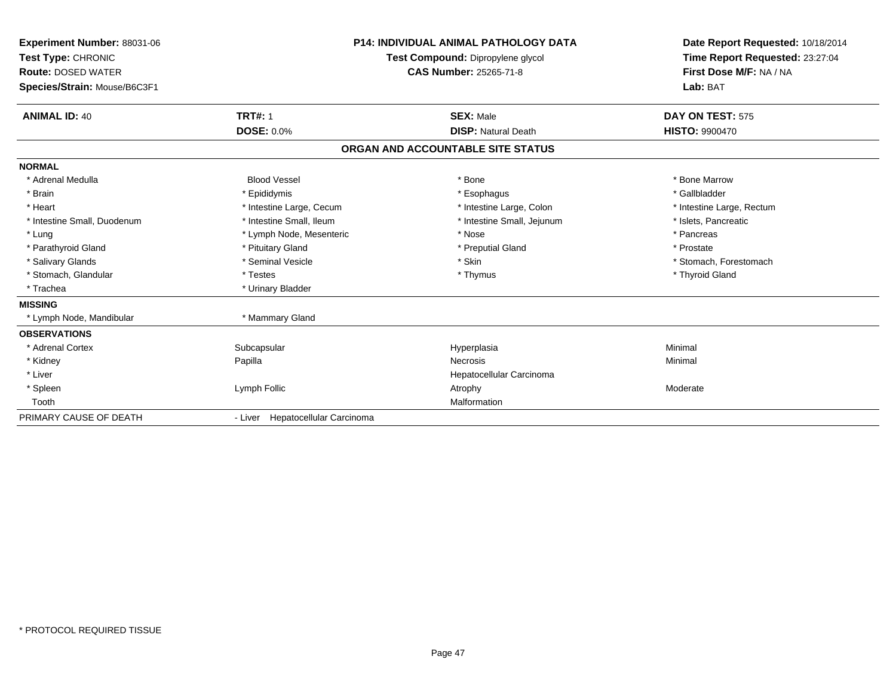| Experiment Number: 88031-06<br>Test Type: CHRONIC<br><b>Route: DOSED WATER</b><br>Species/Strain: Mouse/B6C3F1 |                                  | <b>P14: INDIVIDUAL ANIMAL PATHOLOGY DATA</b><br>Test Compound: Dipropylene glycol<br><b>CAS Number: 25265-71-8</b> | Date Report Requested: 10/18/2014<br>Time Report Requested: 23:27:04<br>First Dose M/F: NA / NA<br>Lab: BAT |
|----------------------------------------------------------------------------------------------------------------|----------------------------------|--------------------------------------------------------------------------------------------------------------------|-------------------------------------------------------------------------------------------------------------|
| <b>ANIMAL ID: 40</b>                                                                                           | <b>TRT#: 1</b>                   | <b>SEX: Male</b>                                                                                                   | DAY ON TEST: 575                                                                                            |
|                                                                                                                | <b>DOSE: 0.0%</b>                | <b>DISP: Natural Death</b>                                                                                         | <b>HISTO: 9900470</b>                                                                                       |
|                                                                                                                |                                  | ORGAN AND ACCOUNTABLE SITE STATUS                                                                                  |                                                                                                             |
| <b>NORMAL</b>                                                                                                  |                                  |                                                                                                                    |                                                                                                             |
| * Adrenal Medulla                                                                                              | <b>Blood Vessel</b>              | * Bone                                                                                                             | * Bone Marrow                                                                                               |
| * Brain                                                                                                        | * Epididymis                     | * Esophagus                                                                                                        | * Gallbladder                                                                                               |
| * Heart                                                                                                        | * Intestine Large, Cecum         | * Intestine Large, Colon                                                                                           | * Intestine Large, Rectum                                                                                   |
| * Intestine Small, Duodenum                                                                                    | * Intestine Small, Ileum         | * Intestine Small, Jejunum                                                                                         | * Islets, Pancreatic                                                                                        |
| * Lung                                                                                                         | * Lymph Node, Mesenteric         | * Nose                                                                                                             | * Pancreas                                                                                                  |
| * Parathyroid Gland                                                                                            | * Pituitary Gland                | * Preputial Gland                                                                                                  | * Prostate                                                                                                  |
| * Salivary Glands                                                                                              | * Seminal Vesicle                | * Skin                                                                                                             | * Stomach, Forestomach                                                                                      |
| * Stomach, Glandular                                                                                           | * Testes                         | * Thymus                                                                                                           | * Thyroid Gland                                                                                             |
| * Trachea                                                                                                      | * Urinary Bladder                |                                                                                                                    |                                                                                                             |
| <b>MISSING</b>                                                                                                 |                                  |                                                                                                                    |                                                                                                             |
| * Lymph Node, Mandibular                                                                                       | * Mammary Gland                  |                                                                                                                    |                                                                                                             |
| <b>OBSERVATIONS</b>                                                                                            |                                  |                                                                                                                    |                                                                                                             |
| * Adrenal Cortex                                                                                               | Subcapsular                      | Hyperplasia                                                                                                        | Minimal                                                                                                     |
| * Kidney                                                                                                       | Papilla                          | Necrosis                                                                                                           | Minimal                                                                                                     |
| * Liver                                                                                                        |                                  | Hepatocellular Carcinoma                                                                                           |                                                                                                             |
| * Spleen                                                                                                       | Lymph Follic                     | Atrophy                                                                                                            | Moderate                                                                                                    |
| Tooth                                                                                                          |                                  | Malformation                                                                                                       |                                                                                                             |
| PRIMARY CAUSE OF DEATH                                                                                         | - Liver Hepatocellular Carcinoma |                                                                                                                    |                                                                                                             |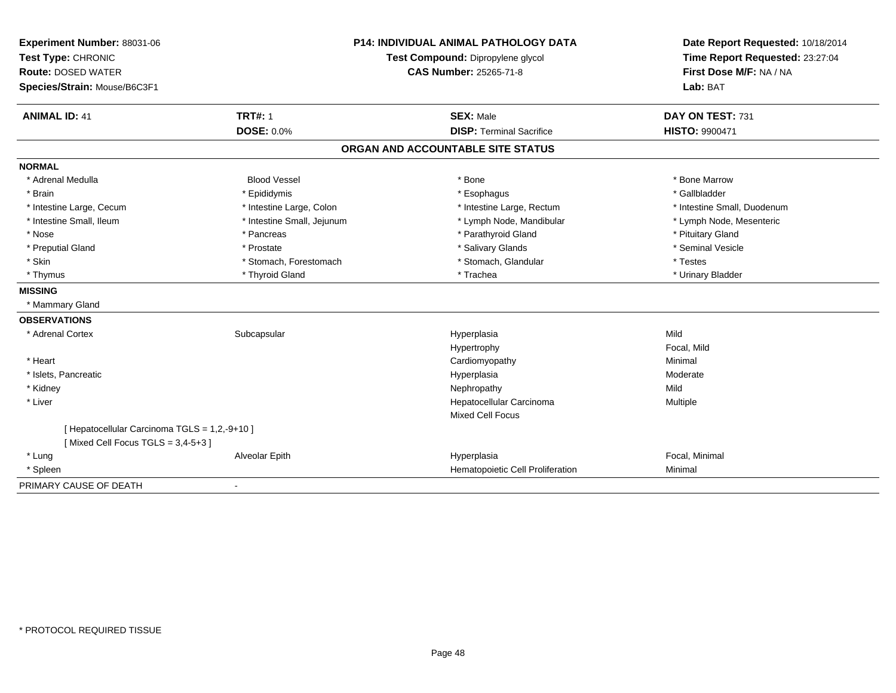| Experiment Number: 88031-06                   | <b>P14: INDIVIDUAL ANIMAL PATHOLOGY DATA</b> |                                   | Date Report Requested: 10/18/2014                          |
|-----------------------------------------------|----------------------------------------------|-----------------------------------|------------------------------------------------------------|
| Test Type: CHRONIC                            |                                              | Test Compound: Dipropylene glycol | Time Report Requested: 23:27:04<br>First Dose M/F: NA / NA |
| <b>Route: DOSED WATER</b>                     |                                              | <b>CAS Number: 25265-71-8</b>     |                                                            |
| Species/Strain: Mouse/B6C3F1                  |                                              |                                   | Lab: BAT                                                   |
| <b>ANIMAL ID: 41</b>                          | <b>TRT#: 1</b>                               | <b>SEX: Male</b>                  | DAY ON TEST: 731                                           |
|                                               | <b>DOSE: 0.0%</b>                            | <b>DISP: Terminal Sacrifice</b>   | <b>HISTO: 9900471</b>                                      |
|                                               |                                              | ORGAN AND ACCOUNTABLE SITE STATUS |                                                            |
| <b>NORMAL</b>                                 |                                              |                                   |                                                            |
| * Adrenal Medulla                             | <b>Blood Vessel</b>                          | * Bone                            | * Bone Marrow                                              |
| * Brain                                       | * Epididymis                                 | * Esophagus                       | * Gallbladder                                              |
| * Intestine Large, Cecum                      | * Intestine Large, Colon                     | * Intestine Large, Rectum         | * Intestine Small, Duodenum                                |
| * Intestine Small, Ileum                      | * Intestine Small, Jejunum                   | * Lymph Node, Mandibular          | * Lymph Node, Mesenteric                                   |
| * Nose                                        | * Pancreas                                   | * Parathyroid Gland               | * Pituitary Gland                                          |
| * Preputial Gland                             | * Prostate                                   | * Salivary Glands                 | * Seminal Vesicle                                          |
| * Skin                                        | * Stomach, Forestomach                       | * Stomach, Glandular              | * Testes                                                   |
| * Thymus                                      | * Thyroid Gland                              | * Trachea                         | * Urinary Bladder                                          |
| <b>MISSING</b>                                |                                              |                                   |                                                            |
| * Mammary Gland                               |                                              |                                   |                                                            |
| <b>OBSERVATIONS</b>                           |                                              |                                   |                                                            |
| * Adrenal Cortex                              | Subcapsular                                  | Hyperplasia                       | Mild                                                       |
|                                               |                                              | Hypertrophy                       | Focal, Mild                                                |
| * Heart                                       |                                              | Cardiomyopathy                    | Minimal                                                    |
| * Islets, Pancreatic                          |                                              | Hyperplasia                       | Moderate                                                   |
| * Kidney                                      |                                              | Nephropathy                       | Mild                                                       |
| * Liver                                       |                                              | Hepatocellular Carcinoma          | Multiple                                                   |
|                                               |                                              | <b>Mixed Cell Focus</b>           |                                                            |
| [ Hepatocellular Carcinoma TGLS = 1,2,-9+10 ] |                                              |                                   |                                                            |
| [Mixed Cell Focus TGLS = $3,4-5+3$ ]          |                                              |                                   |                                                            |
| * Lung                                        | Alveolar Epith                               | Hyperplasia                       | Focal, Minimal                                             |
| * Spleen                                      |                                              | Hematopoietic Cell Proliferation  | Minimal                                                    |
| PRIMARY CAUSE OF DEATH                        | $\blacksquare$                               |                                   |                                                            |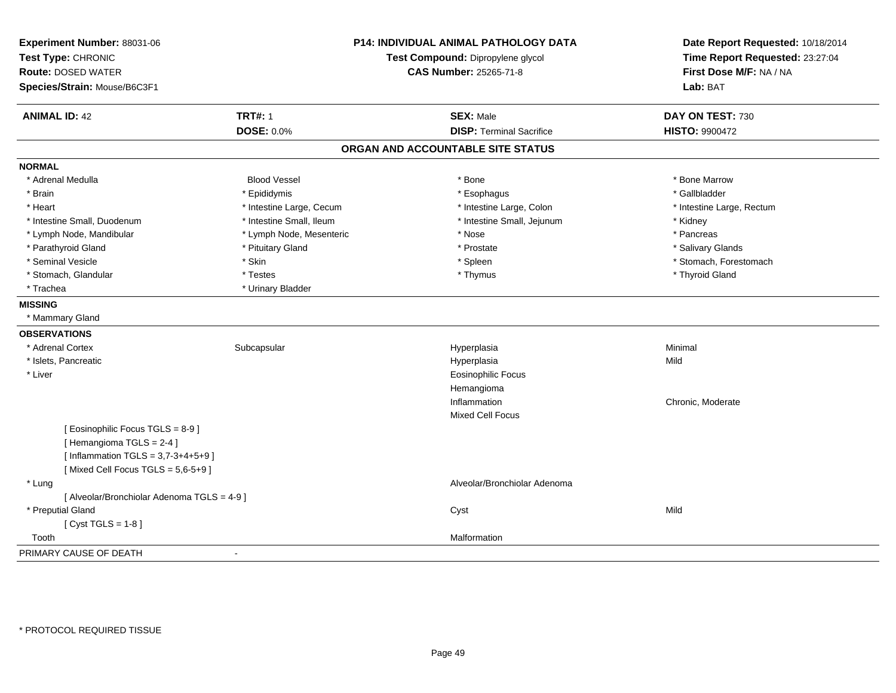| Experiment Number: 88031-06<br>Test Type: CHRONIC<br><b>Route: DOSED WATER</b><br>Species/Strain: Mouse/B6C3F1 |                          | <b>P14: INDIVIDUAL ANIMAL PATHOLOGY DATA</b><br>Test Compound: Dipropylene glycol<br><b>CAS Number: 25265-71-8</b> | Date Report Requested: 10/18/2014<br>Time Report Requested: 23:27:04<br>First Dose M/F: NA / NA<br>Lab: BAT |
|----------------------------------------------------------------------------------------------------------------|--------------------------|--------------------------------------------------------------------------------------------------------------------|-------------------------------------------------------------------------------------------------------------|
| <b>ANIMAL ID: 42</b>                                                                                           | <b>TRT#: 1</b>           | <b>SEX: Male</b>                                                                                                   | DAY ON TEST: 730                                                                                            |
|                                                                                                                | <b>DOSE: 0.0%</b>        | <b>DISP: Terminal Sacrifice</b>                                                                                    | <b>HISTO: 9900472</b>                                                                                       |
|                                                                                                                |                          | ORGAN AND ACCOUNTABLE SITE STATUS                                                                                  |                                                                                                             |
| <b>NORMAL</b>                                                                                                  |                          |                                                                                                                    |                                                                                                             |
| * Adrenal Medulla                                                                                              | <b>Blood Vessel</b>      | * Bone                                                                                                             | * Bone Marrow                                                                                               |
| * Brain                                                                                                        | * Epididymis             | * Esophagus                                                                                                        | * Gallbladder                                                                                               |
| * Heart                                                                                                        | * Intestine Large, Cecum | * Intestine Large, Colon                                                                                           | * Intestine Large, Rectum                                                                                   |
| * Intestine Small, Duodenum                                                                                    | * Intestine Small, Ileum | * Intestine Small, Jejunum                                                                                         | * Kidney                                                                                                    |
| * Lymph Node, Mandibular                                                                                       | * Lymph Node, Mesenteric | * Nose                                                                                                             | * Pancreas                                                                                                  |
| * Parathyroid Gland                                                                                            | * Pituitary Gland        | * Prostate                                                                                                         | * Salivary Glands                                                                                           |
| * Seminal Vesicle                                                                                              | * Skin                   | * Spleen                                                                                                           | * Stomach, Forestomach                                                                                      |
| * Stomach, Glandular                                                                                           | * Testes                 | * Thymus                                                                                                           | * Thyroid Gland                                                                                             |
| * Trachea                                                                                                      | * Urinary Bladder        |                                                                                                                    |                                                                                                             |
| <b>MISSING</b>                                                                                                 |                          |                                                                                                                    |                                                                                                             |
| * Mammary Gland                                                                                                |                          |                                                                                                                    |                                                                                                             |
| <b>OBSERVATIONS</b>                                                                                            |                          |                                                                                                                    |                                                                                                             |
| * Adrenal Cortex                                                                                               | Subcapsular              | Hyperplasia                                                                                                        | Minimal                                                                                                     |
| * Islets, Pancreatic                                                                                           |                          | Hyperplasia                                                                                                        | Mild                                                                                                        |
| * Liver                                                                                                        |                          | <b>Eosinophilic Focus</b>                                                                                          |                                                                                                             |
|                                                                                                                |                          | Hemangioma                                                                                                         |                                                                                                             |
|                                                                                                                |                          | Inflammation                                                                                                       | Chronic, Moderate                                                                                           |
|                                                                                                                |                          | Mixed Cell Focus                                                                                                   |                                                                                                             |
| [Eosinophilic Focus TGLS = 8-9]                                                                                |                          |                                                                                                                    |                                                                                                             |
| [Hemangioma TGLS = 2-4]                                                                                        |                          |                                                                                                                    |                                                                                                             |
| [Inflammation TGLS = $3,7-3+4+5+9$ ]                                                                           |                          |                                                                                                                    |                                                                                                             |
| [Mixed Cell Focus TGLS = $5,6-5+9$ ]                                                                           |                          |                                                                                                                    |                                                                                                             |
| * Lung                                                                                                         |                          | Alveolar/Bronchiolar Adenoma                                                                                       |                                                                                                             |
| [ Alveolar/Bronchiolar Adenoma TGLS = 4-9 ]                                                                    |                          |                                                                                                                    |                                                                                                             |
| * Preputial Gland                                                                                              |                          | Cyst                                                                                                               | Mild                                                                                                        |
| [Cyst TGLS = $1-8$ ]                                                                                           |                          |                                                                                                                    |                                                                                                             |
| Tooth                                                                                                          |                          | Malformation                                                                                                       |                                                                                                             |
| PRIMARY CAUSE OF DEATH                                                                                         | $\overline{\phantom{a}}$ |                                                                                                                    |                                                                                                             |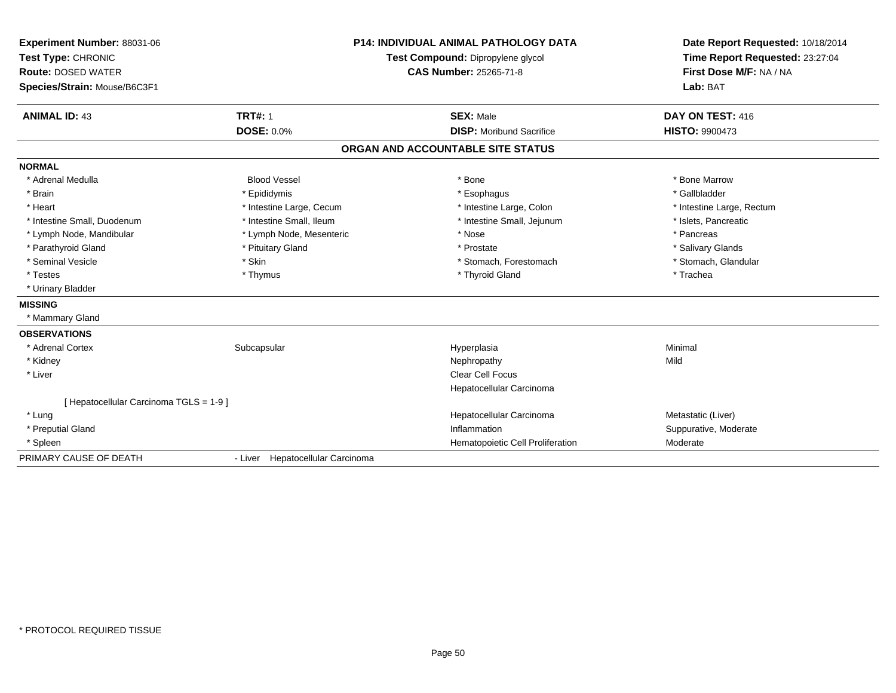| Experiment Number: 88031-06<br>Test Type: CHRONIC<br><b>Route: DOSED WATER</b><br>Species/Strain: Mouse/B6C3F1<br><b>ANIMAL ID: 43</b> | <b>TRT#: 1</b>                   | <b>P14: INDIVIDUAL ANIMAL PATHOLOGY DATA</b><br>Test Compound: Dipropylene glycol<br><b>CAS Number: 25265-71-8</b><br><b>SEX: Male</b> | Date Report Requested: 10/18/2014<br>Time Report Requested: 23:27:04<br>First Dose M/F: NA / NA<br>Lab: BAT<br>DAY ON TEST: 416 |
|----------------------------------------------------------------------------------------------------------------------------------------|----------------------------------|----------------------------------------------------------------------------------------------------------------------------------------|---------------------------------------------------------------------------------------------------------------------------------|
|                                                                                                                                        | <b>DOSE: 0.0%</b>                | <b>DISP:</b> Moribund Sacrifice                                                                                                        | <b>HISTO: 9900473</b>                                                                                                           |
|                                                                                                                                        |                                  | ORGAN AND ACCOUNTABLE SITE STATUS                                                                                                      |                                                                                                                                 |
| <b>NORMAL</b>                                                                                                                          |                                  |                                                                                                                                        |                                                                                                                                 |
| * Adrenal Medulla                                                                                                                      | <b>Blood Vessel</b>              | * Bone                                                                                                                                 | * Bone Marrow                                                                                                                   |
| * Brain                                                                                                                                | * Epididymis                     | * Esophagus                                                                                                                            | * Gallbladder                                                                                                                   |
| * Heart                                                                                                                                | * Intestine Large, Cecum         | * Intestine Large, Colon                                                                                                               | * Intestine Large, Rectum                                                                                                       |
| * Intestine Small, Duodenum                                                                                                            | * Intestine Small, Ileum         | * Intestine Small, Jejunum                                                                                                             | * Islets, Pancreatic                                                                                                            |
| * Lymph Node, Mandibular                                                                                                               | * Lymph Node, Mesenteric         | * Nose                                                                                                                                 | * Pancreas                                                                                                                      |
| * Parathyroid Gland                                                                                                                    | * Pituitary Gland                | * Prostate                                                                                                                             | * Salivary Glands                                                                                                               |
| * Seminal Vesicle                                                                                                                      | * Skin                           | * Stomach, Forestomach                                                                                                                 | * Stomach, Glandular                                                                                                            |
| * Testes                                                                                                                               | * Thymus                         | * Thyroid Gland                                                                                                                        | * Trachea                                                                                                                       |
| * Urinary Bladder                                                                                                                      |                                  |                                                                                                                                        |                                                                                                                                 |
| <b>MISSING</b>                                                                                                                         |                                  |                                                                                                                                        |                                                                                                                                 |
| * Mammary Gland                                                                                                                        |                                  |                                                                                                                                        |                                                                                                                                 |
| <b>OBSERVATIONS</b>                                                                                                                    |                                  |                                                                                                                                        |                                                                                                                                 |
| * Adrenal Cortex                                                                                                                       | Subcapsular                      | Hyperplasia                                                                                                                            | Minimal                                                                                                                         |
| * Kidney                                                                                                                               |                                  | Nephropathy                                                                                                                            | Mild                                                                                                                            |
| * Liver                                                                                                                                |                                  | <b>Clear Cell Focus</b>                                                                                                                |                                                                                                                                 |
|                                                                                                                                        |                                  | Hepatocellular Carcinoma                                                                                                               |                                                                                                                                 |
| [ Hepatocellular Carcinoma TGLS = 1-9 ]                                                                                                |                                  |                                                                                                                                        |                                                                                                                                 |
| * Lung                                                                                                                                 |                                  | Hepatocellular Carcinoma                                                                                                               | Metastatic (Liver)                                                                                                              |
| * Preputial Gland                                                                                                                      |                                  | Inflammation                                                                                                                           | Suppurative, Moderate                                                                                                           |
| * Spleen                                                                                                                               |                                  | Hematopoietic Cell Proliferation                                                                                                       | Moderate                                                                                                                        |
| PRIMARY CAUSE OF DEATH                                                                                                                 | - Liver Hepatocellular Carcinoma |                                                                                                                                        |                                                                                                                                 |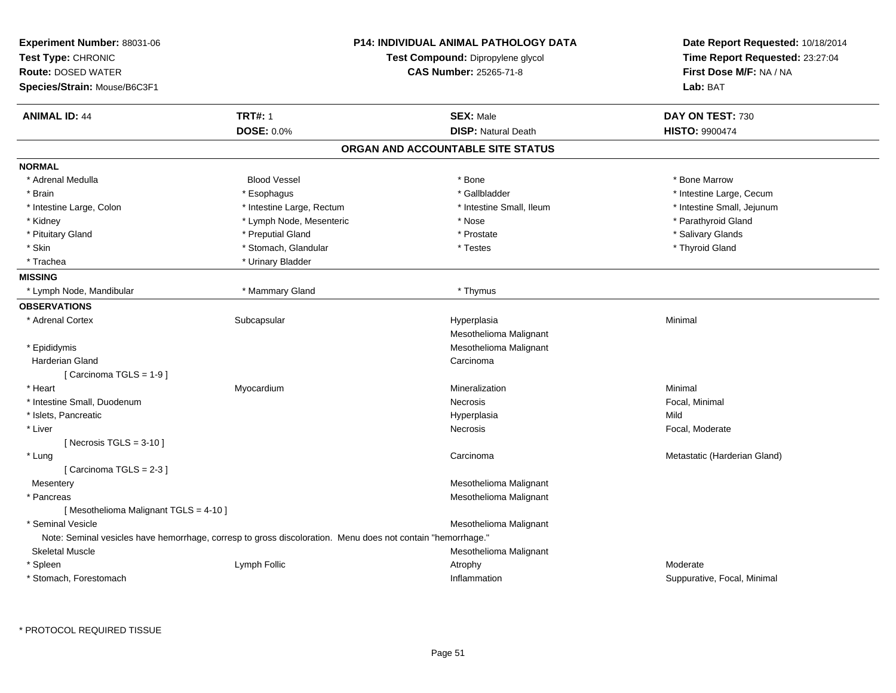| Experiment Number: 88031-06<br>Test Type: CHRONIC<br><b>Route: DOSED WATER</b><br>Species/Strain: Mouse/B6C3F1 |                                                                                                             | <b>P14: INDIVIDUAL ANIMAL PATHOLOGY DATA</b><br>Test Compound: Dipropylene glycol<br>CAS Number: 25265-71-8 | Date Report Requested: 10/18/2014<br>Time Report Requested: 23:27:04<br>First Dose M/F: NA / NA<br>Lab: BAT |  |
|----------------------------------------------------------------------------------------------------------------|-------------------------------------------------------------------------------------------------------------|-------------------------------------------------------------------------------------------------------------|-------------------------------------------------------------------------------------------------------------|--|
| <b>ANIMAL ID: 44</b>                                                                                           | <b>TRT#: 1</b>                                                                                              | <b>SEX: Male</b>                                                                                            | DAY ON TEST: 730                                                                                            |  |
|                                                                                                                | DOSE: 0.0%                                                                                                  | <b>DISP: Natural Death</b>                                                                                  | <b>HISTO: 9900474</b>                                                                                       |  |
|                                                                                                                |                                                                                                             | ORGAN AND ACCOUNTABLE SITE STATUS                                                                           |                                                                                                             |  |
| <b>NORMAL</b>                                                                                                  |                                                                                                             |                                                                                                             |                                                                                                             |  |
| * Adrenal Medulla                                                                                              | <b>Blood Vessel</b>                                                                                         | * Bone                                                                                                      | * Bone Marrow                                                                                               |  |
| * Brain                                                                                                        | * Esophagus                                                                                                 | * Gallbladder                                                                                               | * Intestine Large, Cecum                                                                                    |  |
| * Intestine Large, Colon                                                                                       | * Intestine Large, Rectum                                                                                   | * Intestine Small, Ileum                                                                                    | * Intestine Small, Jejunum                                                                                  |  |
| * Kidney                                                                                                       | * Lymph Node, Mesenteric                                                                                    | * Nose                                                                                                      | * Parathyroid Gland                                                                                         |  |
| * Pituitary Gland                                                                                              | * Preputial Gland                                                                                           | * Prostate                                                                                                  | * Salivary Glands                                                                                           |  |
| * Skin                                                                                                         | * Stomach, Glandular                                                                                        | * Testes                                                                                                    | * Thyroid Gland                                                                                             |  |
| * Trachea                                                                                                      | * Urinary Bladder                                                                                           |                                                                                                             |                                                                                                             |  |
| <b>MISSING</b>                                                                                                 |                                                                                                             |                                                                                                             |                                                                                                             |  |
| * Lymph Node, Mandibular                                                                                       | * Mammary Gland                                                                                             | * Thymus                                                                                                    |                                                                                                             |  |
| <b>OBSERVATIONS</b>                                                                                            |                                                                                                             |                                                                                                             |                                                                                                             |  |
| * Adrenal Cortex                                                                                               | Subcapsular                                                                                                 | Hyperplasia                                                                                                 | Minimal                                                                                                     |  |
|                                                                                                                |                                                                                                             | Mesothelioma Malignant                                                                                      |                                                                                                             |  |
| * Epididymis                                                                                                   |                                                                                                             | Mesothelioma Malignant                                                                                      |                                                                                                             |  |
| Harderian Gland                                                                                                |                                                                                                             | Carcinoma                                                                                                   |                                                                                                             |  |
| [Carcinoma TGLS = 1-9]                                                                                         |                                                                                                             |                                                                                                             |                                                                                                             |  |
| * Heart                                                                                                        | Myocardium                                                                                                  | Mineralization                                                                                              | Minimal                                                                                                     |  |
| * Intestine Small, Duodenum                                                                                    |                                                                                                             | Necrosis                                                                                                    | Focal, Minimal                                                                                              |  |
| * Islets, Pancreatic                                                                                           |                                                                                                             | Hyperplasia                                                                                                 | Mild                                                                                                        |  |
| * Liver                                                                                                        |                                                                                                             | Necrosis                                                                                                    | Focal, Moderate                                                                                             |  |
| [Necrosis TGLS = $3-10$ ]                                                                                      |                                                                                                             |                                                                                                             |                                                                                                             |  |
| * Lung                                                                                                         |                                                                                                             | Carcinoma                                                                                                   | Metastatic (Harderian Gland)                                                                                |  |
| [Carcinoma TGLS = 2-3]                                                                                         |                                                                                                             |                                                                                                             |                                                                                                             |  |
| Mesentery                                                                                                      |                                                                                                             | Mesothelioma Malignant                                                                                      |                                                                                                             |  |
| * Pancreas                                                                                                     |                                                                                                             | Mesothelioma Malignant                                                                                      |                                                                                                             |  |
| [Mesothelioma Malignant TGLS = 4-10]                                                                           |                                                                                                             |                                                                                                             |                                                                                                             |  |
| * Seminal Vesicle                                                                                              |                                                                                                             | Mesothelioma Malignant                                                                                      |                                                                                                             |  |
|                                                                                                                | Note: Seminal vesicles have hemorrhage, corresp to gross discoloration. Menu does not contain "hemorrhage." |                                                                                                             |                                                                                                             |  |
| <b>Skeletal Muscle</b>                                                                                         |                                                                                                             | Mesothelioma Malignant                                                                                      |                                                                                                             |  |
| * Spleen                                                                                                       | Lymph Follic                                                                                                | Atrophy                                                                                                     | Moderate                                                                                                    |  |
| * Stomach, Forestomach                                                                                         |                                                                                                             | Inflammation                                                                                                | Suppurative, Focal, Minimal                                                                                 |  |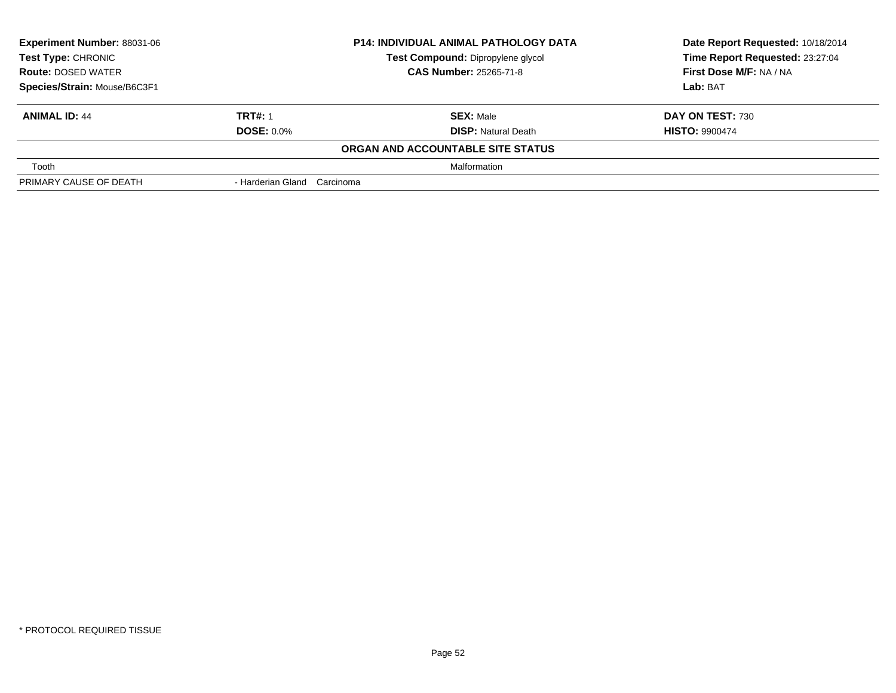| <b>Experiment Number: 88031-06</b><br><b>Test Type: CHRONIC</b><br><b>Route: DOSED WATER</b> |                             | <b>P14: INDIVIDUAL ANIMAL PATHOLOGY DATA</b> | Date Report Requested: 10/18/2014 |  |
|----------------------------------------------------------------------------------------------|-----------------------------|----------------------------------------------|-----------------------------------|--|
|                                                                                              |                             | Test Compound: Dipropylene glycol            | Time Report Requested: 23:27:04   |  |
|                                                                                              |                             | <b>CAS Number: 25265-71-8</b>                | First Dose M/F: NA / NA           |  |
| Species/Strain: Mouse/B6C3F1                                                                 |                             |                                              | Lab: BAT                          |  |
| <b>ANIMAL ID: 44</b>                                                                         | <b>TRT#: 1</b>              | <b>SEX: Male</b>                             | DAY ON TEST: 730                  |  |
|                                                                                              | <b>DOSE: 0.0%</b>           | <b>DISP:</b> Natural Death                   | <b>HISTO: 9900474</b>             |  |
|                                                                                              |                             | ORGAN AND ACCOUNTABLE SITE STATUS            |                                   |  |
| Tooth                                                                                        |                             | Malformation                                 |                                   |  |
| PRIMARY CAUSE OF DEATH                                                                       | - Harderian Gland Carcinoma |                                              |                                   |  |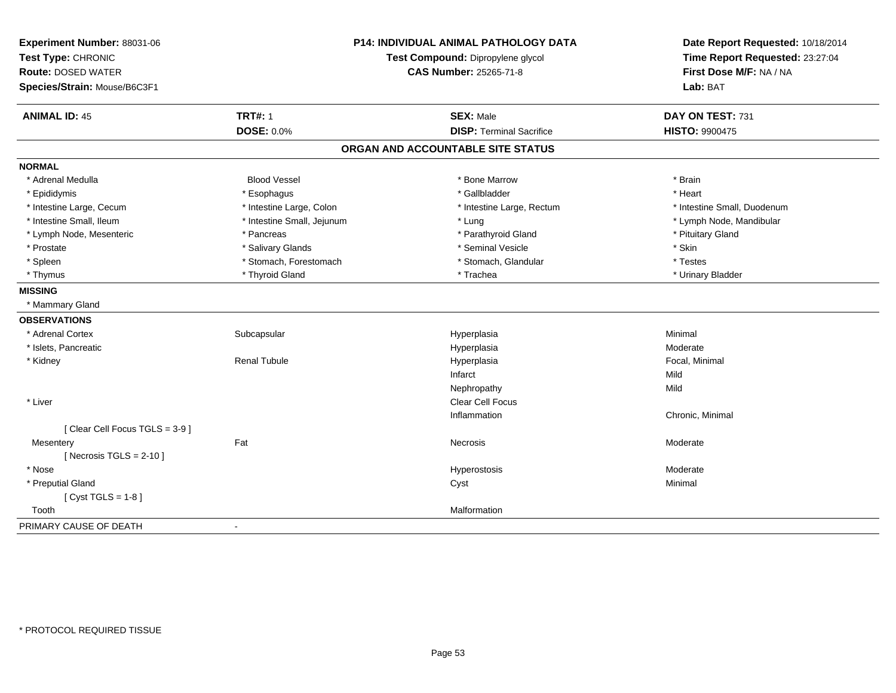| Experiment Number: 88031-06<br>Test Type: CHRONIC | <b>P14: INDIVIDUAL ANIMAL PATHOLOGY DATA</b><br>Test Compound: Dipropylene glycol<br><b>CAS Number: 25265-71-8</b> |                                   | Date Report Requested: 10/18/2014<br>Time Report Requested: 23:27:04 |
|---------------------------------------------------|--------------------------------------------------------------------------------------------------------------------|-----------------------------------|----------------------------------------------------------------------|
| <b>Route: DOSED WATER</b>                         |                                                                                                                    |                                   | First Dose M/F: NA / NA                                              |
| Species/Strain: Mouse/B6C3F1                      |                                                                                                                    |                                   | Lab: BAT                                                             |
| <b>ANIMAL ID: 45</b>                              | <b>TRT#: 1</b>                                                                                                     | <b>SEX: Male</b>                  | DAY ON TEST: 731                                                     |
|                                                   | <b>DOSE: 0.0%</b>                                                                                                  | <b>DISP: Terminal Sacrifice</b>   | <b>HISTO: 9900475</b>                                                |
|                                                   |                                                                                                                    | ORGAN AND ACCOUNTABLE SITE STATUS |                                                                      |
| <b>NORMAL</b>                                     |                                                                                                                    |                                   |                                                                      |
| * Adrenal Medulla                                 | <b>Blood Vessel</b>                                                                                                | * Bone Marrow                     | * Brain                                                              |
| * Epididymis                                      | * Esophagus                                                                                                        | * Gallbladder                     | * Heart                                                              |
| * Intestine Large, Cecum                          | * Intestine Large, Colon                                                                                           | * Intestine Large, Rectum         | * Intestine Small, Duodenum                                          |
| * Intestine Small, Ileum                          | * Intestine Small, Jejunum                                                                                         | * Lung                            | * Lymph Node, Mandibular                                             |
| * Lymph Node, Mesenteric                          | * Pancreas                                                                                                         | * Parathyroid Gland               | * Pituitary Gland                                                    |
| * Prostate                                        | * Salivary Glands                                                                                                  | * Seminal Vesicle                 | * Skin                                                               |
| * Spleen                                          | * Stomach, Forestomach                                                                                             | * Stomach, Glandular              | * Testes                                                             |
| * Thymus                                          | * Thyroid Gland                                                                                                    | * Trachea                         | * Urinary Bladder                                                    |
| <b>MISSING</b>                                    |                                                                                                                    |                                   |                                                                      |
| * Mammary Gland                                   |                                                                                                                    |                                   |                                                                      |
| <b>OBSERVATIONS</b>                               |                                                                                                                    |                                   |                                                                      |
| * Adrenal Cortex                                  | Subcapsular                                                                                                        | Hyperplasia                       | Minimal                                                              |
| * Islets, Pancreatic                              |                                                                                                                    | Hyperplasia                       | Moderate                                                             |
| * Kidney                                          | Renal Tubule                                                                                                       | Hyperplasia                       | Focal, Minimal                                                       |
|                                                   |                                                                                                                    | Infarct                           | Mild                                                                 |
|                                                   |                                                                                                                    | Nephropathy                       | Mild                                                                 |
| * Liver                                           |                                                                                                                    | Clear Cell Focus                  |                                                                      |
|                                                   |                                                                                                                    | Inflammation                      | Chronic, Minimal                                                     |
| [Clear Cell Focus TGLS = 3-9]                     |                                                                                                                    |                                   |                                                                      |
| Mesentery                                         | Fat                                                                                                                | Necrosis                          | Moderate                                                             |
| [Necrosis TGLS = $2-10$ ]                         |                                                                                                                    |                                   |                                                                      |
| * Nose                                            |                                                                                                                    | Hyperostosis                      | Moderate                                                             |
| * Preputial Gland                                 |                                                                                                                    | Cyst                              | Minimal                                                              |
| [Cyst TGLS = $1-8$ ]                              |                                                                                                                    |                                   |                                                                      |
| Tooth                                             |                                                                                                                    | Malformation                      |                                                                      |
| PRIMARY CAUSE OF DEATH                            | ÷.                                                                                                                 |                                   |                                                                      |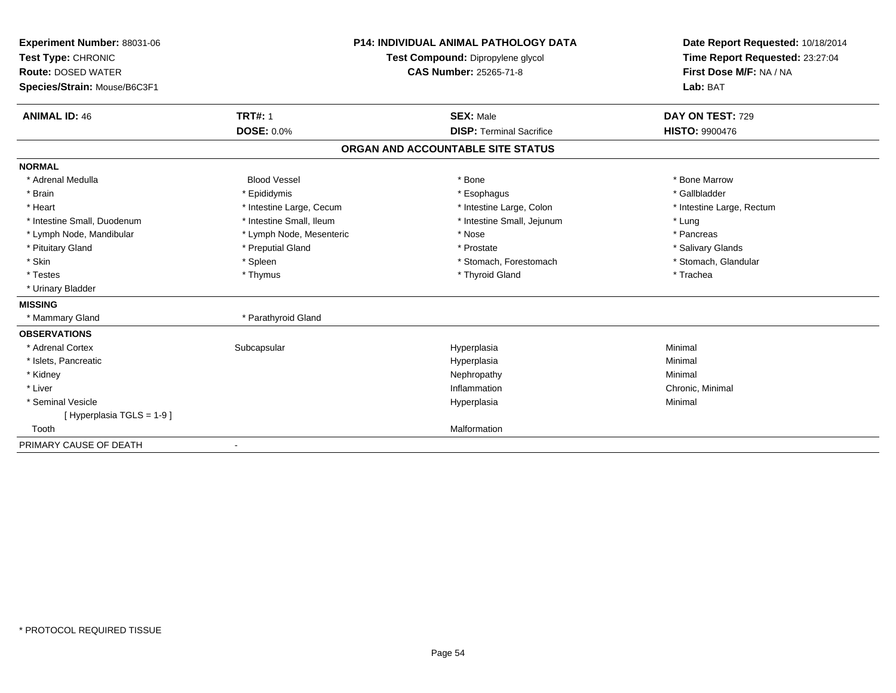| Experiment Number: 88031-06  | <b>P14: INDIVIDUAL ANIMAL PATHOLOGY DATA</b> |                                   | Date Report Requested: 10/18/2014 |  |  |
|------------------------------|----------------------------------------------|-----------------------------------|-----------------------------------|--|--|
| Test Type: CHRONIC           |                                              | Test Compound: Dipropylene glycol | Time Report Requested: 23:27:04   |  |  |
| <b>Route: DOSED WATER</b>    |                                              | <b>CAS Number: 25265-71-8</b>     | First Dose M/F: NA / NA           |  |  |
| Species/Strain: Mouse/B6C3F1 |                                              |                                   | Lab: BAT                          |  |  |
| <b>ANIMAL ID: 46</b>         | <b>TRT#: 1</b>                               | <b>SEX: Male</b>                  | DAY ON TEST: 729                  |  |  |
|                              | <b>DOSE: 0.0%</b>                            | <b>DISP: Terminal Sacrifice</b>   | <b>HISTO: 9900476</b>             |  |  |
|                              |                                              | ORGAN AND ACCOUNTABLE SITE STATUS |                                   |  |  |
| <b>NORMAL</b>                |                                              |                                   |                                   |  |  |
| * Adrenal Medulla            | <b>Blood Vessel</b>                          | * Bone                            | * Bone Marrow                     |  |  |
| * Brain                      | * Epididymis                                 | * Esophagus                       | * Gallbladder                     |  |  |
| * Heart                      | * Intestine Large, Cecum                     | * Intestine Large, Colon          | * Intestine Large, Rectum         |  |  |
| * Intestine Small, Duodenum  | * Intestine Small, Ileum                     | * Intestine Small, Jejunum        | * Lung                            |  |  |
| * Lymph Node, Mandibular     | * Lymph Node, Mesenteric                     | * Nose                            | * Pancreas                        |  |  |
| * Pituitary Gland            | * Preputial Gland                            | * Prostate                        | * Salivary Glands                 |  |  |
| * Skin                       | * Spleen                                     | * Stomach, Forestomach            | * Stomach, Glandular              |  |  |
| * Testes                     | * Thymus                                     | * Thyroid Gland                   | * Trachea                         |  |  |
| * Urinary Bladder            |                                              |                                   |                                   |  |  |
| <b>MISSING</b>               |                                              |                                   |                                   |  |  |
| * Mammary Gland              | * Parathyroid Gland                          |                                   |                                   |  |  |
| <b>OBSERVATIONS</b>          |                                              |                                   |                                   |  |  |
| * Adrenal Cortex             | Subcapsular                                  | Hyperplasia                       | Minimal                           |  |  |
| * Islets, Pancreatic         |                                              | Hyperplasia                       | Minimal                           |  |  |
| * Kidney                     |                                              | Nephropathy                       | Minimal                           |  |  |
| * Liver                      |                                              | Inflammation                      | Chronic, Minimal                  |  |  |
| * Seminal Vesicle            |                                              | Hyperplasia                       | Minimal                           |  |  |
| [Hyperplasia TGLS = $1-9$ ]  |                                              |                                   |                                   |  |  |
| Tooth                        |                                              | Malformation                      |                                   |  |  |
| PRIMARY CAUSE OF DEATH       |                                              |                                   |                                   |  |  |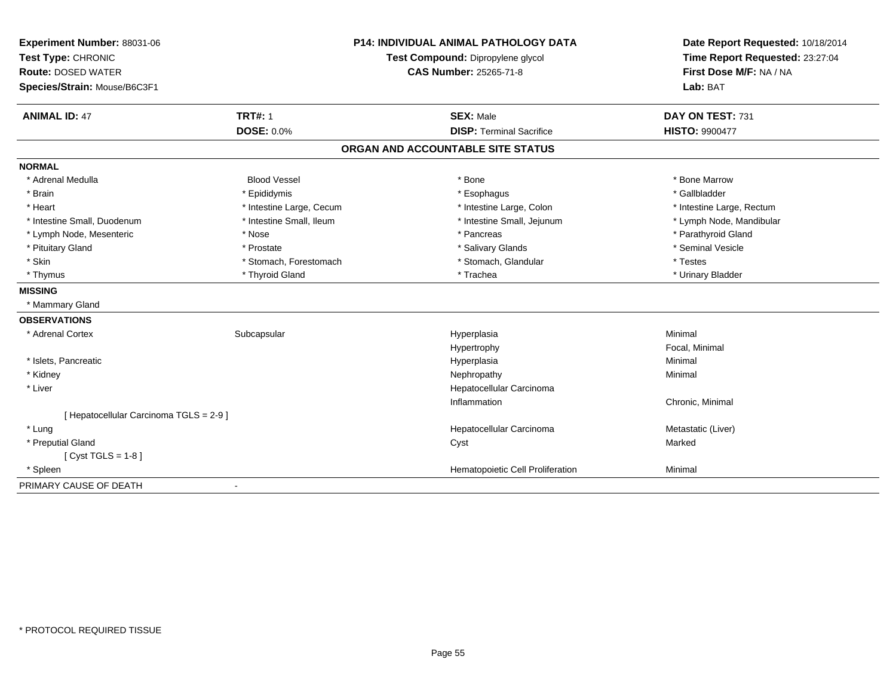| Experiment Number: 88031-06             |                          | <b>P14: INDIVIDUAL ANIMAL PATHOLOGY DATA</b> | Date Report Requested: 10/18/2014                          |  |
|-----------------------------------------|--------------------------|----------------------------------------------|------------------------------------------------------------|--|
| Test Type: CHRONIC                      |                          | Test Compound: Dipropylene glycol            | Time Report Requested: 23:27:04<br>First Dose M/F: NA / NA |  |
| <b>Route: DOSED WATER</b>               |                          | <b>CAS Number: 25265-71-8</b>                |                                                            |  |
| Species/Strain: Mouse/B6C3F1            |                          |                                              | Lab: BAT                                                   |  |
| <b>ANIMAL ID: 47</b>                    | <b>TRT#: 1</b>           | <b>SEX: Male</b>                             | DAY ON TEST: 731                                           |  |
|                                         | <b>DOSE: 0.0%</b>        | <b>DISP: Terminal Sacrifice</b>              | <b>HISTO: 9900477</b>                                      |  |
|                                         |                          | ORGAN AND ACCOUNTABLE SITE STATUS            |                                                            |  |
| <b>NORMAL</b>                           |                          |                                              |                                                            |  |
| * Adrenal Medulla                       | <b>Blood Vessel</b>      | * Bone                                       | * Bone Marrow                                              |  |
| * Brain                                 | * Epididymis             | * Esophagus                                  | * Gallbladder                                              |  |
| * Heart                                 | * Intestine Large, Cecum | * Intestine Large, Colon                     | * Intestine Large, Rectum                                  |  |
| * Intestine Small, Duodenum             | * Intestine Small, Ileum | * Intestine Small, Jejunum                   | * Lymph Node, Mandibular                                   |  |
| * Lymph Node, Mesenteric                | * Nose                   | * Pancreas                                   | * Parathyroid Gland                                        |  |
| * Pituitary Gland                       | * Prostate               | * Salivary Glands                            | * Seminal Vesicle                                          |  |
| * Skin                                  | * Stomach, Forestomach   | * Stomach, Glandular                         | * Testes                                                   |  |
| * Thymus                                | * Thyroid Gland          | * Trachea                                    | * Urinary Bladder                                          |  |
| <b>MISSING</b>                          |                          |                                              |                                                            |  |
| * Mammary Gland                         |                          |                                              |                                                            |  |
| <b>OBSERVATIONS</b>                     |                          |                                              |                                                            |  |
| * Adrenal Cortex                        | Subcapsular              | Hyperplasia                                  | Minimal                                                    |  |
|                                         |                          | Hypertrophy                                  | Focal, Minimal                                             |  |
| * Islets, Pancreatic                    |                          | Hyperplasia                                  | Minimal                                                    |  |
| * Kidney                                |                          | Nephropathy                                  | Minimal                                                    |  |
| * Liver                                 |                          | Hepatocellular Carcinoma                     |                                                            |  |
|                                         |                          | Inflammation                                 | Chronic, Minimal                                           |  |
| [ Hepatocellular Carcinoma TGLS = 2-9 ] |                          |                                              |                                                            |  |
| * Lung                                  |                          | Hepatocellular Carcinoma                     | Metastatic (Liver)                                         |  |
| * Preputial Gland                       |                          | Cyst                                         | Marked                                                     |  |
| [ $Cyst TGLS = 1-8$ ]                   |                          |                                              |                                                            |  |
| * Spleen                                |                          | Hematopoietic Cell Proliferation             | Minimal                                                    |  |
| PRIMARY CAUSE OF DEATH                  |                          |                                              |                                                            |  |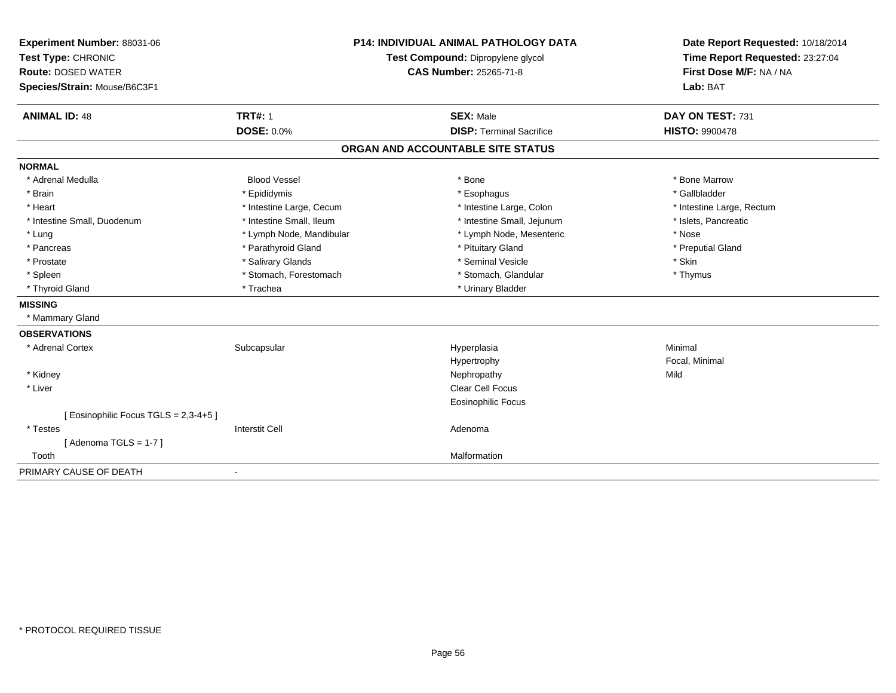| Experiment Number: 88031-06<br>Test Type: CHRONIC<br><b>Route: DOSED WATER</b><br>Species/Strain: Mouse/B6C3F1 | <b>TRT#: 1</b>           | <b>P14: INDIVIDUAL ANIMAL PATHOLOGY DATA</b><br>Test Compound: Dipropylene glycol<br><b>CAS Number: 25265-71-8</b> | Date Report Requested: 10/18/2014<br>Time Report Requested: 23:27:04<br>First Dose M/F: NA / NA<br>Lab: BAT<br>DAY ON TEST: 731 |  |
|----------------------------------------------------------------------------------------------------------------|--------------------------|--------------------------------------------------------------------------------------------------------------------|---------------------------------------------------------------------------------------------------------------------------------|--|
| <b>ANIMAL ID: 48</b>                                                                                           | <b>DOSE: 0.0%</b>        | <b>SEX: Male</b><br><b>DISP: Terminal Sacrifice</b>                                                                | <b>HISTO: 9900478</b>                                                                                                           |  |
|                                                                                                                |                          | ORGAN AND ACCOUNTABLE SITE STATUS                                                                                  |                                                                                                                                 |  |
| <b>NORMAL</b>                                                                                                  |                          |                                                                                                                    |                                                                                                                                 |  |
| * Adrenal Medulla                                                                                              | <b>Blood Vessel</b>      | * Bone                                                                                                             | * Bone Marrow                                                                                                                   |  |
| * Brain                                                                                                        | * Epididymis             | * Esophagus                                                                                                        | * Gallbladder                                                                                                                   |  |
| * Heart                                                                                                        | * Intestine Large, Cecum | * Intestine Large, Colon                                                                                           | * Intestine Large, Rectum                                                                                                       |  |
| * Intestine Small, Duodenum                                                                                    | * Intestine Small, Ileum | * Intestine Small, Jejunum                                                                                         | * Islets, Pancreatic                                                                                                            |  |
| * Lung                                                                                                         | * Lymph Node, Mandibular | * Lymph Node, Mesenteric                                                                                           | * Nose                                                                                                                          |  |
| * Pancreas                                                                                                     | * Parathyroid Gland      | * Pituitary Gland                                                                                                  | * Preputial Gland                                                                                                               |  |
| * Prostate                                                                                                     | * Salivary Glands        | * Seminal Vesicle                                                                                                  | * Skin                                                                                                                          |  |
| * Spleen                                                                                                       | * Stomach, Forestomach   | * Stomach, Glandular                                                                                               | * Thymus                                                                                                                        |  |
| * Thyroid Gland                                                                                                | * Trachea                | * Urinary Bladder                                                                                                  |                                                                                                                                 |  |
| <b>MISSING</b>                                                                                                 |                          |                                                                                                                    |                                                                                                                                 |  |
| * Mammary Gland                                                                                                |                          |                                                                                                                    |                                                                                                                                 |  |
| <b>OBSERVATIONS</b>                                                                                            |                          |                                                                                                                    |                                                                                                                                 |  |
| * Adrenal Cortex                                                                                               | Subcapsular              | Hyperplasia                                                                                                        | Minimal                                                                                                                         |  |
|                                                                                                                |                          | Hypertrophy                                                                                                        | Focal, Minimal                                                                                                                  |  |
| * Kidney                                                                                                       |                          | Nephropathy                                                                                                        | Mild                                                                                                                            |  |
| * Liver                                                                                                        |                          | Clear Cell Focus                                                                                                   |                                                                                                                                 |  |
|                                                                                                                |                          | <b>Eosinophilic Focus</b>                                                                                          |                                                                                                                                 |  |
| [Eosinophilic Focus TGLS = 2,3-4+5]                                                                            |                          |                                                                                                                    |                                                                                                                                 |  |
| * Testes                                                                                                       | <b>Interstit Cell</b>    | Adenoma                                                                                                            |                                                                                                                                 |  |
| [Adenoma TGLS = $1-7$ ]                                                                                        |                          |                                                                                                                    |                                                                                                                                 |  |
| Tooth                                                                                                          |                          | Malformation                                                                                                       |                                                                                                                                 |  |
| PRIMARY CAUSE OF DEATH                                                                                         | $\blacksquare$           |                                                                                                                    |                                                                                                                                 |  |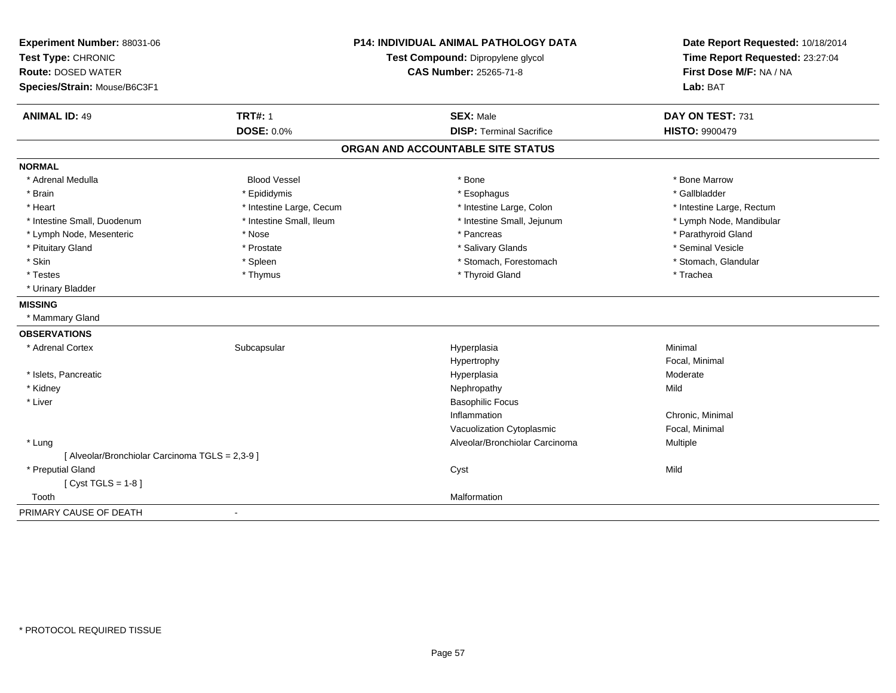| Experiment Number: 88031-06<br>Test Type: CHRONIC<br><b>Route: DOSED WATER</b> |                          | <b>P14: INDIVIDUAL ANIMAL PATHOLOGY DATA</b><br>Test Compound: Dipropylene glycol | Date Report Requested: 10/18/2014<br>Time Report Requested: 23:27:04 |  |
|--------------------------------------------------------------------------------|--------------------------|-----------------------------------------------------------------------------------|----------------------------------------------------------------------|--|
|                                                                                |                          | <b>CAS Number: 25265-71-8</b>                                                     | First Dose M/F: NA / NA                                              |  |
| Species/Strain: Mouse/B6C3F1                                                   |                          |                                                                                   | Lab: BAT                                                             |  |
| <b>ANIMAL ID: 49</b>                                                           | <b>TRT#: 1</b>           | <b>SEX: Male</b>                                                                  | DAY ON TEST: 731                                                     |  |
|                                                                                | DOSE: 0.0%               | <b>DISP: Terminal Sacrifice</b>                                                   | <b>HISTO: 9900479</b>                                                |  |
|                                                                                |                          | ORGAN AND ACCOUNTABLE SITE STATUS                                                 |                                                                      |  |
| <b>NORMAL</b>                                                                  |                          |                                                                                   |                                                                      |  |
| * Adrenal Medulla                                                              | <b>Blood Vessel</b>      | * Bone                                                                            | * Bone Marrow                                                        |  |
| * Brain                                                                        | * Epididymis             | * Esophagus                                                                       | * Gallbladder                                                        |  |
| * Heart                                                                        | * Intestine Large, Cecum | * Intestine Large, Colon                                                          | * Intestine Large, Rectum                                            |  |
| * Intestine Small, Duodenum                                                    | * Intestine Small, Ileum | * Intestine Small, Jejunum                                                        | * Lymph Node, Mandibular                                             |  |
| * Lymph Node, Mesenteric                                                       | * Nose                   | * Pancreas                                                                        | * Parathyroid Gland                                                  |  |
| * Pituitary Gland                                                              | * Prostate               | * Salivary Glands                                                                 | * Seminal Vesicle                                                    |  |
| * Skin                                                                         | * Spleen                 | * Stomach, Forestomach                                                            | * Stomach, Glandular                                                 |  |
| * Testes                                                                       | * Thymus                 | * Thyroid Gland                                                                   | * Trachea                                                            |  |
| * Urinary Bladder                                                              |                          |                                                                                   |                                                                      |  |
| <b>MISSING</b>                                                                 |                          |                                                                                   |                                                                      |  |
| * Mammary Gland                                                                |                          |                                                                                   |                                                                      |  |
| <b>OBSERVATIONS</b>                                                            |                          |                                                                                   |                                                                      |  |
| * Adrenal Cortex                                                               | Subcapsular              | Hyperplasia                                                                       | Minimal                                                              |  |
|                                                                                |                          | Hypertrophy                                                                       | Focal, Minimal                                                       |  |
| * Islets, Pancreatic                                                           |                          | Hyperplasia                                                                       | Moderate                                                             |  |
| * Kidney                                                                       |                          | Nephropathy                                                                       | Mild                                                                 |  |
| * Liver                                                                        |                          | <b>Basophilic Focus</b>                                                           |                                                                      |  |
|                                                                                |                          | Inflammation                                                                      | Chronic, Minimal                                                     |  |
|                                                                                |                          | Vacuolization Cytoplasmic                                                         | Focal, Minimal                                                       |  |
| * Lung                                                                         |                          | Alveolar/Bronchiolar Carcinoma                                                    | Multiple                                                             |  |
| [ Alveolar/Bronchiolar Carcinoma TGLS = 2,3-9 ]                                |                          |                                                                                   |                                                                      |  |
| * Preputial Gland                                                              |                          | Cyst                                                                              | Mild                                                                 |  |
| [Cyst TGLS = $1-8$ ]                                                           |                          |                                                                                   |                                                                      |  |
| Tooth                                                                          |                          | Malformation                                                                      |                                                                      |  |
| PRIMARY CAUSE OF DEATH                                                         | $\blacksquare$           |                                                                                   |                                                                      |  |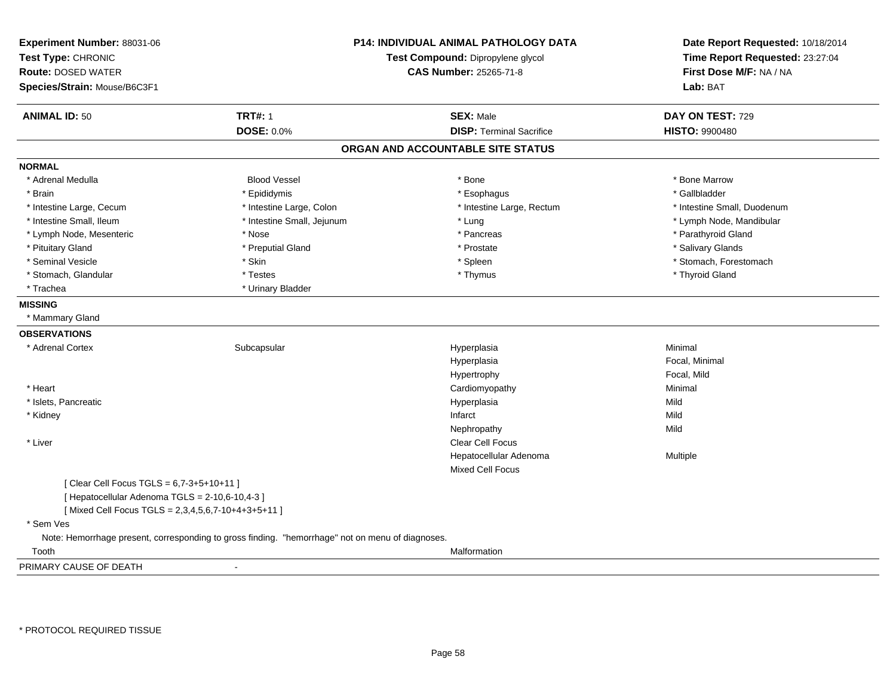| Test Type: CHRONIC<br><b>Route: DOSED WATER</b><br>Species/Strain: Mouse/B6C3F1<br><b>TRT#: 1</b><br><b>ANIMAL ID: 50</b><br>DOSE: 0.0% | Test Compound: Dipropylene glycol<br><b>CAS Number: 25265-71-8</b><br><b>SEX: Male</b><br><b>DISP: Terminal Sacrifice</b> | Time Report Requested: 23:27:04<br>First Dose M/F: NA / NA<br>Lab: BAT<br>DAY ON TEST: 729 |
|-----------------------------------------------------------------------------------------------------------------------------------------|---------------------------------------------------------------------------------------------------------------------------|--------------------------------------------------------------------------------------------|
|                                                                                                                                         |                                                                                                                           |                                                                                            |
|                                                                                                                                         |                                                                                                                           |                                                                                            |
|                                                                                                                                         |                                                                                                                           |                                                                                            |
|                                                                                                                                         |                                                                                                                           |                                                                                            |
|                                                                                                                                         |                                                                                                                           | <b>HISTO: 9900480</b>                                                                      |
|                                                                                                                                         | ORGAN AND ACCOUNTABLE SITE STATUS                                                                                         |                                                                                            |
| <b>NORMAL</b>                                                                                                                           |                                                                                                                           |                                                                                            |
| <b>Blood Vessel</b><br>* Adrenal Medulla                                                                                                | $*$ Bone                                                                                                                  | * Bone Marrow                                                                              |
| * Brain<br>* Epididymis                                                                                                                 | * Esophagus                                                                                                               | * Gallbladder                                                                              |
| * Intestine Large, Cecum<br>* Intestine Large, Colon                                                                                    | * Intestine Large, Rectum                                                                                                 | * Intestine Small, Duodenum                                                                |
| * Intestine Small, Ileum<br>* Intestine Small, Jejunum                                                                                  | * Lung                                                                                                                    | * Lymph Node, Mandibular                                                                   |
| * Lymph Node, Mesenteric<br>* Nose                                                                                                      | * Pancreas                                                                                                                | * Parathyroid Gland                                                                        |
| * Preputial Gland<br>* Pituitary Gland                                                                                                  | * Prostate                                                                                                                | * Salivary Glands                                                                          |
| * Seminal Vesicle<br>* Skin                                                                                                             | * Spleen                                                                                                                  | * Stomach, Forestomach                                                                     |
| * Stomach, Glandular<br>* Testes                                                                                                        | * Thymus                                                                                                                  | * Thyroid Gland                                                                            |
| * Trachea<br>* Urinary Bladder                                                                                                          |                                                                                                                           |                                                                                            |
| <b>MISSING</b>                                                                                                                          |                                                                                                                           |                                                                                            |
| * Mammary Gland                                                                                                                         |                                                                                                                           |                                                                                            |
| <b>OBSERVATIONS</b>                                                                                                                     |                                                                                                                           |                                                                                            |
| * Adrenal Cortex<br>Subcapsular                                                                                                         | Hyperplasia                                                                                                               | Minimal                                                                                    |
|                                                                                                                                         | Hyperplasia                                                                                                               | Focal, Minimal                                                                             |
|                                                                                                                                         | Hypertrophy                                                                                                               | Focal, Mild                                                                                |
| * Heart                                                                                                                                 | Cardiomyopathy                                                                                                            | Minimal                                                                                    |
| * Islets, Pancreatic                                                                                                                    | Hyperplasia                                                                                                               | Mild                                                                                       |
| * Kidney                                                                                                                                | Infarct                                                                                                                   | Mild                                                                                       |
|                                                                                                                                         | Nephropathy                                                                                                               | Mild                                                                                       |
| * Liver                                                                                                                                 | Clear Cell Focus                                                                                                          |                                                                                            |
|                                                                                                                                         | Hepatocellular Adenoma                                                                                                    | Multiple                                                                                   |
|                                                                                                                                         | <b>Mixed Cell Focus</b>                                                                                                   |                                                                                            |
| [ Clear Cell Focus TGLS = 6,7-3+5+10+11 ]                                                                                               |                                                                                                                           |                                                                                            |
| [ Hepatocellular Adenoma TGLS = 2-10,6-10,4-3 ]                                                                                         |                                                                                                                           |                                                                                            |
| [Mixed Cell Focus TGLS = 2,3,4,5,6,7-10+4+3+5+11 ]                                                                                      |                                                                                                                           |                                                                                            |
| * Sem Ves                                                                                                                               |                                                                                                                           |                                                                                            |
| Note: Hemorrhage present, corresponding to gross finding. "hemorrhage" not on menu of diagnoses.                                        |                                                                                                                           |                                                                                            |
| Tooth                                                                                                                                   | Malformation                                                                                                              |                                                                                            |
| PRIMARY CAUSE OF DEATH<br>$\overline{\phantom{a}}$                                                                                      |                                                                                                                           |                                                                                            |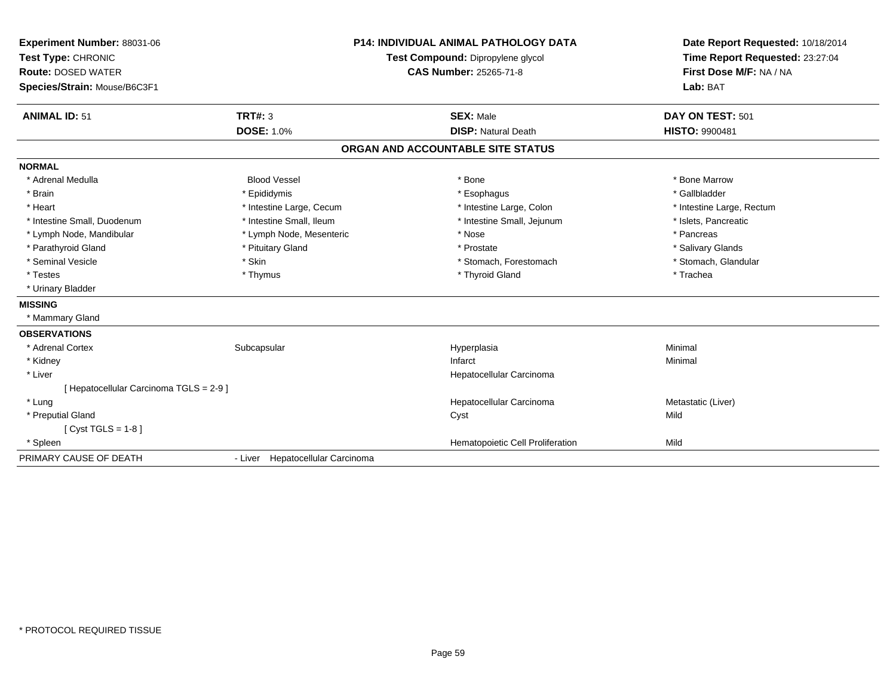| Experiment Number: 88031-06<br>Test Type: CHRONIC<br><b>Route: DOSED WATER</b><br>Species/Strain: Mouse/B6C3F1 |                                  | <b>P14: INDIVIDUAL ANIMAL PATHOLOGY DATA</b><br>Test Compound: Dipropylene glycol<br><b>CAS Number: 25265-71-8</b> | Date Report Requested: 10/18/2014<br>Time Report Requested: 23:27:04<br>First Dose M/F: NA / NA<br>Lab: BAT |
|----------------------------------------------------------------------------------------------------------------|----------------------------------|--------------------------------------------------------------------------------------------------------------------|-------------------------------------------------------------------------------------------------------------|
| <b>ANIMAL ID: 51</b>                                                                                           | TRT#: 3                          | <b>SEX: Male</b>                                                                                                   | DAY ON TEST: 501                                                                                            |
|                                                                                                                | <b>DOSE: 1.0%</b>                | <b>DISP: Natural Death</b>                                                                                         | <b>HISTO: 9900481</b>                                                                                       |
|                                                                                                                |                                  | ORGAN AND ACCOUNTABLE SITE STATUS                                                                                  |                                                                                                             |
| <b>NORMAL</b>                                                                                                  |                                  |                                                                                                                    |                                                                                                             |
| * Adrenal Medulla                                                                                              | <b>Blood Vessel</b>              | * Bone                                                                                                             | * Bone Marrow                                                                                               |
| * Brain                                                                                                        | * Epididymis                     | * Esophagus                                                                                                        | * Gallbladder                                                                                               |
| * Heart                                                                                                        | * Intestine Large, Cecum         | * Intestine Large, Colon                                                                                           | * Intestine Large, Rectum                                                                                   |
| * Intestine Small, Duodenum                                                                                    | * Intestine Small, Ileum         | * Intestine Small, Jejunum                                                                                         | * Islets, Pancreatic                                                                                        |
| * Lymph Node, Mandibular                                                                                       | * Lymph Node, Mesenteric         | * Nose                                                                                                             | * Pancreas                                                                                                  |
| * Parathyroid Gland                                                                                            | * Pituitary Gland                | * Prostate                                                                                                         | * Salivary Glands                                                                                           |
| * Seminal Vesicle                                                                                              | * Skin                           | * Stomach, Forestomach                                                                                             | * Stomach, Glandular                                                                                        |
| * Testes                                                                                                       | * Thymus                         | * Thyroid Gland                                                                                                    | * Trachea                                                                                                   |
| * Urinary Bladder                                                                                              |                                  |                                                                                                                    |                                                                                                             |
| <b>MISSING</b>                                                                                                 |                                  |                                                                                                                    |                                                                                                             |
| * Mammary Gland                                                                                                |                                  |                                                                                                                    |                                                                                                             |
| <b>OBSERVATIONS</b>                                                                                            |                                  |                                                                                                                    |                                                                                                             |
| * Adrenal Cortex                                                                                               | Subcapsular                      | Hyperplasia                                                                                                        | Minimal                                                                                                     |
| * Kidney                                                                                                       |                                  | Infarct                                                                                                            | Minimal                                                                                                     |
| * Liver                                                                                                        |                                  | Hepatocellular Carcinoma                                                                                           |                                                                                                             |
| [ Hepatocellular Carcinoma TGLS = 2-9 ]                                                                        |                                  |                                                                                                                    |                                                                                                             |
| * Lung                                                                                                         |                                  | Hepatocellular Carcinoma                                                                                           | Metastatic (Liver)                                                                                          |
| * Preputial Gland                                                                                              |                                  | Cyst                                                                                                               | Mild                                                                                                        |
| [ Cyst TGLS = $1-8$ ]                                                                                          |                                  |                                                                                                                    |                                                                                                             |
| * Spleen                                                                                                       |                                  | Hematopoietic Cell Proliferation                                                                                   | Mild                                                                                                        |
| PRIMARY CAUSE OF DEATH                                                                                         | - Liver Hepatocellular Carcinoma |                                                                                                                    |                                                                                                             |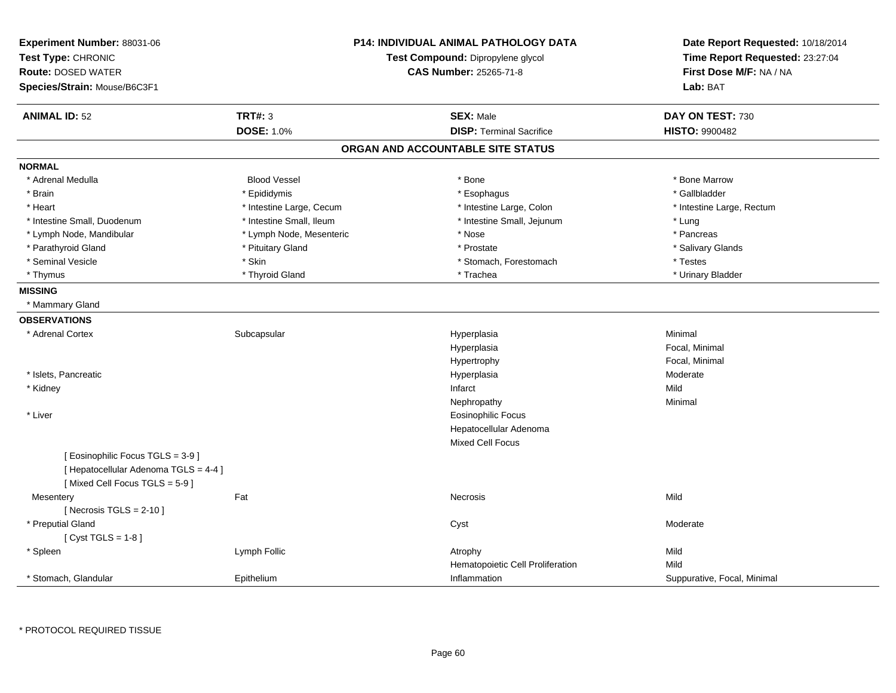| Experiment Number: 88031-06<br>Test Type: CHRONIC<br><b>Route: DOSED WATER</b><br>Species/Strain: Mouse/B6C3F1 | <b>P14: INDIVIDUAL ANIMAL PATHOLOGY DATA</b><br>Test Compound: Dipropylene glycol<br><b>CAS Number: 25265-71-8</b> |  | Date Report Requested: 10/18/2014<br>Time Report Requested: 23:27:04<br>First Dose M/F: NA / NA<br>Lab: BAT |                             |
|----------------------------------------------------------------------------------------------------------------|--------------------------------------------------------------------------------------------------------------------|--|-------------------------------------------------------------------------------------------------------------|-----------------------------|
| <b>ANIMAL ID: 52</b>                                                                                           | <b>TRT#: 3</b>                                                                                                     |  | <b>SEX: Male</b>                                                                                            | DAY ON TEST: 730            |
|                                                                                                                | <b>DOSE: 1.0%</b>                                                                                                  |  | <b>DISP: Terminal Sacrifice</b>                                                                             | <b>HISTO: 9900482</b>       |
|                                                                                                                |                                                                                                                    |  | ORGAN AND ACCOUNTABLE SITE STATUS                                                                           |                             |
| <b>NORMAL</b>                                                                                                  |                                                                                                                    |  |                                                                                                             |                             |
| * Adrenal Medulla                                                                                              | <b>Blood Vessel</b>                                                                                                |  | * Bone                                                                                                      | * Bone Marrow               |
| * Brain                                                                                                        | * Epididymis                                                                                                       |  | * Esophagus                                                                                                 | * Gallbladder               |
| * Heart                                                                                                        | * Intestine Large, Cecum                                                                                           |  | * Intestine Large, Colon                                                                                    | * Intestine Large, Rectum   |
| * Intestine Small, Duodenum                                                                                    | * Intestine Small, Ileum                                                                                           |  | * Intestine Small, Jejunum                                                                                  | * Lung                      |
| * Lymph Node, Mandibular                                                                                       | * Lymph Node, Mesenteric                                                                                           |  | * Nose                                                                                                      | * Pancreas                  |
| * Parathyroid Gland                                                                                            | * Pituitary Gland                                                                                                  |  | * Prostate                                                                                                  | * Salivary Glands           |
| * Seminal Vesicle                                                                                              | * Skin                                                                                                             |  | * Stomach, Forestomach                                                                                      | * Testes                    |
| * Thymus                                                                                                       | * Thyroid Gland                                                                                                    |  | * Trachea                                                                                                   | * Urinary Bladder           |
| <b>MISSING</b>                                                                                                 |                                                                                                                    |  |                                                                                                             |                             |
| * Mammary Gland                                                                                                |                                                                                                                    |  |                                                                                                             |                             |
| <b>OBSERVATIONS</b>                                                                                            |                                                                                                                    |  |                                                                                                             |                             |
| * Adrenal Cortex                                                                                               | Subcapsular                                                                                                        |  | Hyperplasia                                                                                                 | Minimal                     |
|                                                                                                                |                                                                                                                    |  | Hyperplasia                                                                                                 | Focal, Minimal              |
|                                                                                                                |                                                                                                                    |  | Hypertrophy                                                                                                 | Focal, Minimal              |
| * Islets, Pancreatic                                                                                           |                                                                                                                    |  | Hyperplasia                                                                                                 | Moderate                    |
| * Kidney                                                                                                       |                                                                                                                    |  | Infarct                                                                                                     | Mild                        |
|                                                                                                                |                                                                                                                    |  | Nephropathy                                                                                                 | Minimal                     |
| * Liver                                                                                                        |                                                                                                                    |  | Eosinophilic Focus                                                                                          |                             |
|                                                                                                                |                                                                                                                    |  | Hepatocellular Adenoma                                                                                      |                             |
|                                                                                                                |                                                                                                                    |  | <b>Mixed Cell Focus</b>                                                                                     |                             |
| [ Eosinophilic Focus TGLS = 3-9 ]                                                                              |                                                                                                                    |  |                                                                                                             |                             |
| [ Hepatocellular Adenoma TGLS = 4-4 ]                                                                          |                                                                                                                    |  |                                                                                                             |                             |
| [Mixed Cell Focus TGLS = 5-9]                                                                                  |                                                                                                                    |  |                                                                                                             |                             |
| Mesentery                                                                                                      | Fat                                                                                                                |  | Necrosis                                                                                                    | Mild                        |
| [ Necrosis $TGLS = 2-10$ ]                                                                                     |                                                                                                                    |  |                                                                                                             |                             |
| * Preputial Gland                                                                                              |                                                                                                                    |  | Cyst                                                                                                        | Moderate                    |
| [Cyst TGLS = $1-8$ ]                                                                                           |                                                                                                                    |  |                                                                                                             |                             |
| * Spleen                                                                                                       | Lymph Follic                                                                                                       |  | Atrophy                                                                                                     | Mild                        |
|                                                                                                                |                                                                                                                    |  | Hematopoietic Cell Proliferation                                                                            | Mild                        |
| * Stomach, Glandular                                                                                           | Epithelium                                                                                                         |  | Inflammation                                                                                                | Suppurative, Focal, Minimal |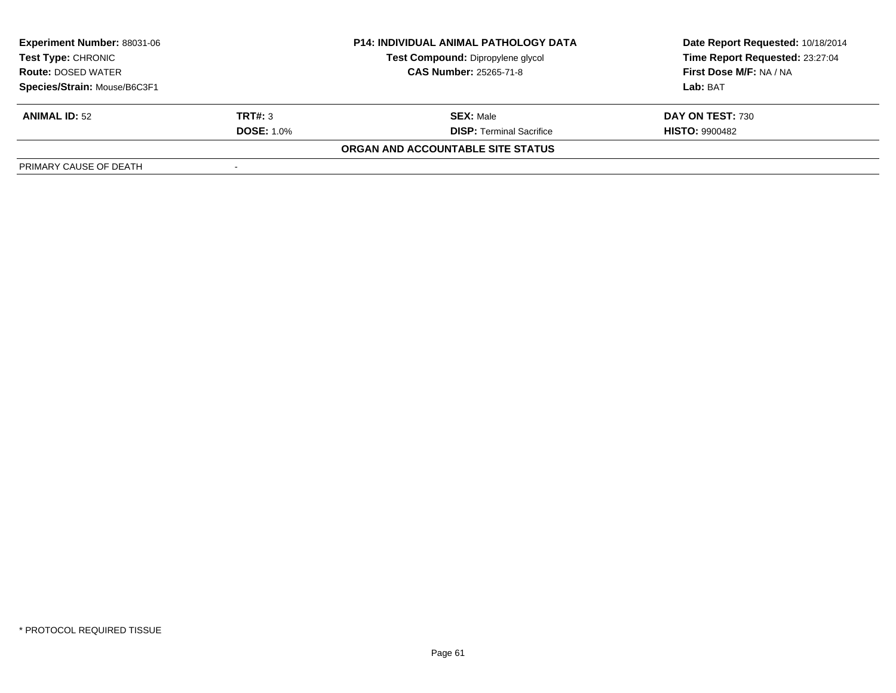| <b>Experiment Number: 88031-06</b> |                   | <b>P14: INDIVIDUAL ANIMAL PATHOLOGY DATA</b> | Date Report Requested: 10/18/2014 |
|------------------------------------|-------------------|----------------------------------------------|-----------------------------------|
| Test Type: CHRONIC                 |                   | Test Compound: Dipropylene glycol            | Time Report Requested: 23:27:04   |
| <b>Route: DOSED WATER</b>          |                   | <b>CAS Number: 25265-71-8</b>                | First Dose M/F: NA / NA           |
| Species/Strain: Mouse/B6C3F1       |                   |                                              | Lab: BAT                          |
| <b>ANIMAL ID: 52</b>               | TRT#: 3           | <b>SEX: Male</b>                             | DAY ON TEST: 730                  |
|                                    | <b>DOSE: 1.0%</b> | <b>DISP: Terminal Sacrifice</b>              | <b>HISTO: 9900482</b>             |
|                                    |                   | ORGAN AND ACCOUNTABLE SITE STATUS            |                                   |
| PRIMARY CAUSE OF DEATH             |                   |                                              |                                   |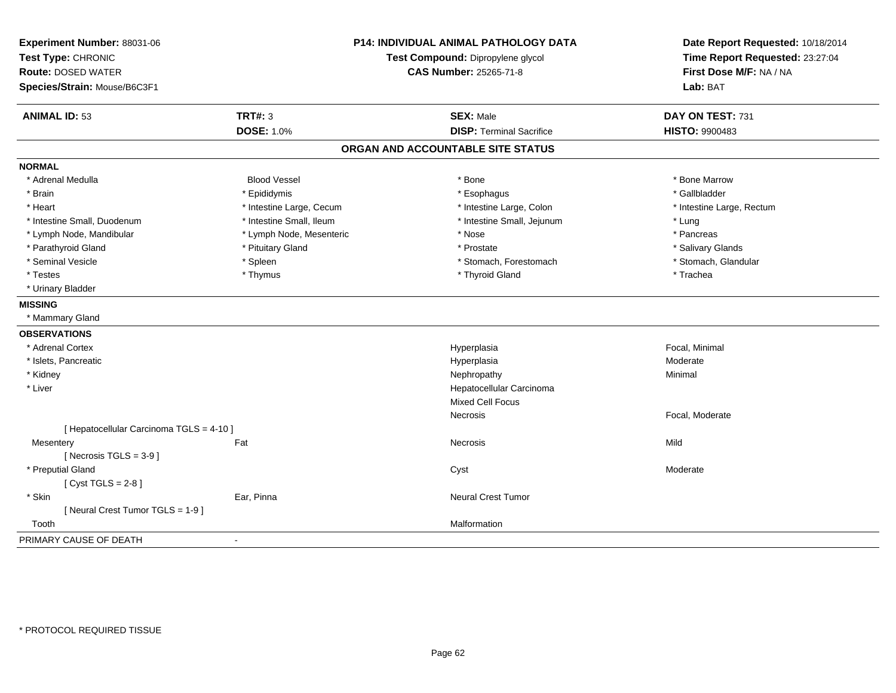| Experiment Number: 88031-06<br>Test Type: CHRONIC<br><b>Route: DOSED WATER</b><br>Species/Strain: Mouse/B6C3F1 |                          | P14: INDIVIDUAL ANIMAL PATHOLOGY DATA<br>Test Compound: Dipropylene glycol<br><b>CAS Number: 25265-71-8</b> | Date Report Requested: 10/18/2014<br>Time Report Requested: 23:27:04<br>First Dose M/F: NA / NA<br>Lab: BAT |
|----------------------------------------------------------------------------------------------------------------|--------------------------|-------------------------------------------------------------------------------------------------------------|-------------------------------------------------------------------------------------------------------------|
| <b>ANIMAL ID: 53</b>                                                                                           | <b>TRT#: 3</b>           | <b>SEX: Male</b>                                                                                            | DAY ON TEST: 731                                                                                            |
|                                                                                                                | <b>DOSE: 1.0%</b>        | <b>DISP: Terminal Sacrifice</b>                                                                             | <b>HISTO: 9900483</b>                                                                                       |
|                                                                                                                |                          | ORGAN AND ACCOUNTABLE SITE STATUS                                                                           |                                                                                                             |
| <b>NORMAL</b>                                                                                                  |                          |                                                                                                             |                                                                                                             |
| * Adrenal Medulla                                                                                              | <b>Blood Vessel</b>      | * Bone                                                                                                      | * Bone Marrow                                                                                               |
| * Brain                                                                                                        | * Epididymis             | * Esophagus                                                                                                 | * Gallbladder                                                                                               |
| * Heart                                                                                                        | * Intestine Large, Cecum | * Intestine Large, Colon                                                                                    | * Intestine Large, Rectum                                                                                   |
| * Intestine Small, Duodenum                                                                                    | * Intestine Small, Ileum | * Intestine Small, Jejunum                                                                                  | * Lung                                                                                                      |
| * Lymph Node, Mandibular                                                                                       | * Lymph Node, Mesenteric | * Nose                                                                                                      | * Pancreas                                                                                                  |
| * Parathyroid Gland                                                                                            | * Pituitary Gland        | * Prostate                                                                                                  | * Salivary Glands                                                                                           |
| * Seminal Vesicle                                                                                              | * Spleen                 | * Stomach, Forestomach                                                                                      | * Stomach, Glandular                                                                                        |
| * Testes                                                                                                       | * Thymus                 | * Thyroid Gland                                                                                             | * Trachea                                                                                                   |
| * Urinary Bladder                                                                                              |                          |                                                                                                             |                                                                                                             |
| <b>MISSING</b>                                                                                                 |                          |                                                                                                             |                                                                                                             |
| * Mammary Gland                                                                                                |                          |                                                                                                             |                                                                                                             |
| <b>OBSERVATIONS</b>                                                                                            |                          |                                                                                                             |                                                                                                             |
| * Adrenal Cortex                                                                                               |                          | Hyperplasia                                                                                                 | Focal, Minimal                                                                                              |
| * Islets, Pancreatic                                                                                           |                          | Hyperplasia                                                                                                 | Moderate                                                                                                    |
| * Kidney                                                                                                       |                          | Nephropathy                                                                                                 | Minimal                                                                                                     |
| * Liver                                                                                                        |                          | Hepatocellular Carcinoma                                                                                    |                                                                                                             |
|                                                                                                                |                          | <b>Mixed Cell Focus</b>                                                                                     |                                                                                                             |
|                                                                                                                |                          | Necrosis                                                                                                    | Focal, Moderate                                                                                             |
| [ Hepatocellular Carcinoma TGLS = 4-10 ]                                                                       |                          |                                                                                                             |                                                                                                             |
| Mesentery                                                                                                      | Fat                      | Necrosis                                                                                                    | Mild                                                                                                        |
| [Necrosis $TGLS = 3-9$ ]                                                                                       |                          |                                                                                                             |                                                                                                             |
| * Preputial Gland                                                                                              |                          | Cyst                                                                                                        | Moderate                                                                                                    |
| [Cyst TGLS = $2-8$ ]                                                                                           |                          |                                                                                                             |                                                                                                             |
| * Skin                                                                                                         | Ear, Pinna               | Neural Crest Tumor                                                                                          |                                                                                                             |
| [Neural Crest Tumor TGLS = 1-9]                                                                                |                          |                                                                                                             |                                                                                                             |
| Tooth                                                                                                          |                          | Malformation                                                                                                |                                                                                                             |
| PRIMARY CAUSE OF DEATH                                                                                         | $\sim$                   |                                                                                                             |                                                                                                             |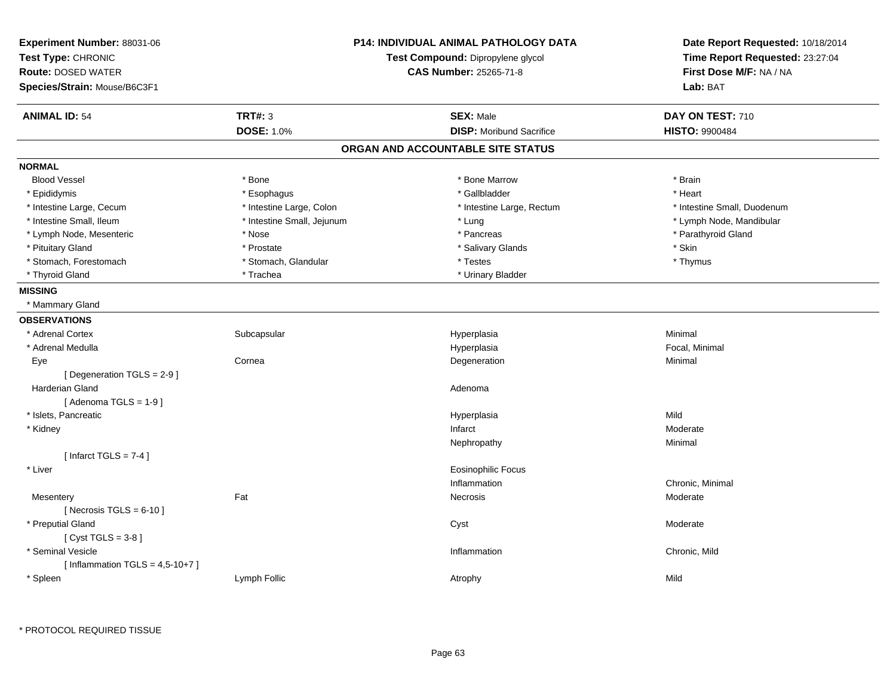| Experiment Number: 88031-06<br>Test Type: CHRONIC<br><b>Route: DOSED WATER</b> |                            | <b>P14: INDIVIDUAL ANIMAL PATHOLOGY DATA</b><br>Test Compound: Dipropylene glycol<br>CAS Number: 25265-71-8 | Date Report Requested: 10/18/2014<br>Time Report Requested: 23:27:04<br>First Dose M/F: NA / NA |
|--------------------------------------------------------------------------------|----------------------------|-------------------------------------------------------------------------------------------------------------|-------------------------------------------------------------------------------------------------|
| Species/Strain: Mouse/B6C3F1                                                   |                            |                                                                                                             | Lab: BAT                                                                                        |
| <b>ANIMAL ID: 54</b>                                                           | <b>TRT#: 3</b>             | <b>SEX: Male</b>                                                                                            | DAY ON TEST: 710                                                                                |
|                                                                                | <b>DOSE: 1.0%</b>          | <b>DISP:</b> Moribund Sacrifice                                                                             | <b>HISTO: 9900484</b>                                                                           |
|                                                                                |                            | ORGAN AND ACCOUNTABLE SITE STATUS                                                                           |                                                                                                 |
| <b>NORMAL</b>                                                                  |                            |                                                                                                             |                                                                                                 |
| <b>Blood Vessel</b>                                                            | * Bone                     | * Bone Marrow                                                                                               | * Brain                                                                                         |
| * Epididymis                                                                   | * Esophagus                | * Gallbladder                                                                                               | * Heart                                                                                         |
| * Intestine Large, Cecum                                                       | * Intestine Large, Colon   | * Intestine Large, Rectum                                                                                   | * Intestine Small, Duodenum                                                                     |
| * Intestine Small, Ileum                                                       | * Intestine Small, Jejunum | * Lung                                                                                                      | * Lymph Node, Mandibular                                                                        |
| * Lymph Node, Mesenteric                                                       | * Nose                     | * Pancreas                                                                                                  | * Parathyroid Gland                                                                             |
| * Pituitary Gland                                                              | * Prostate                 | * Salivary Glands                                                                                           | * Skin                                                                                          |
| * Stomach, Forestomach                                                         | * Stomach, Glandular       | * Testes                                                                                                    | * Thymus                                                                                        |
| * Thyroid Gland                                                                | * Trachea                  | * Urinary Bladder                                                                                           |                                                                                                 |
| <b>MISSING</b>                                                                 |                            |                                                                                                             |                                                                                                 |
| * Mammary Gland                                                                |                            |                                                                                                             |                                                                                                 |
| <b>OBSERVATIONS</b>                                                            |                            |                                                                                                             |                                                                                                 |
| * Adrenal Cortex                                                               | Subcapsular                | Hyperplasia                                                                                                 | Minimal                                                                                         |
| * Adrenal Medulla                                                              |                            | Hyperplasia                                                                                                 | Focal, Minimal                                                                                  |
| Eye                                                                            | Cornea                     | Degeneration                                                                                                | Minimal                                                                                         |
| [Degeneration TGLS = 2-9]                                                      |                            |                                                                                                             |                                                                                                 |
| <b>Harderian Gland</b>                                                         |                            | Adenoma                                                                                                     |                                                                                                 |
| [Adenoma TGLS = $1-9$ ]                                                        |                            |                                                                                                             |                                                                                                 |
| * Islets, Pancreatic                                                           |                            | Hyperplasia                                                                                                 | Mild                                                                                            |
| * Kidney                                                                       |                            | Infarct                                                                                                     | Moderate                                                                                        |
|                                                                                |                            | Nephropathy                                                                                                 | Minimal                                                                                         |
| [Infarct TGLS = $7-4$ ]                                                        |                            |                                                                                                             |                                                                                                 |
| * Liver                                                                        |                            | <b>Eosinophilic Focus</b>                                                                                   |                                                                                                 |
|                                                                                |                            | Inflammation                                                                                                | Chronic, Minimal                                                                                |
| Mesentery                                                                      | Fat                        | Necrosis                                                                                                    | Moderate                                                                                        |
| [Necrosis TGLS = $6-10$ ]                                                      |                            |                                                                                                             |                                                                                                 |
| * Preputial Gland                                                              |                            | Cyst                                                                                                        | Moderate                                                                                        |
| [Cyst TGLS = $3-8$ ]                                                           |                            |                                                                                                             |                                                                                                 |
| * Seminal Vesicle                                                              |                            | Inflammation                                                                                                | Chronic, Mild                                                                                   |
| [Inflammation TGLS = $4,5-10+7$ ]                                              |                            |                                                                                                             |                                                                                                 |
| * Spleen                                                                       | Lymph Follic               | Atrophy                                                                                                     | Mild                                                                                            |
|                                                                                |                            |                                                                                                             |                                                                                                 |

\* PROTOCOL REQUIRED TISSUE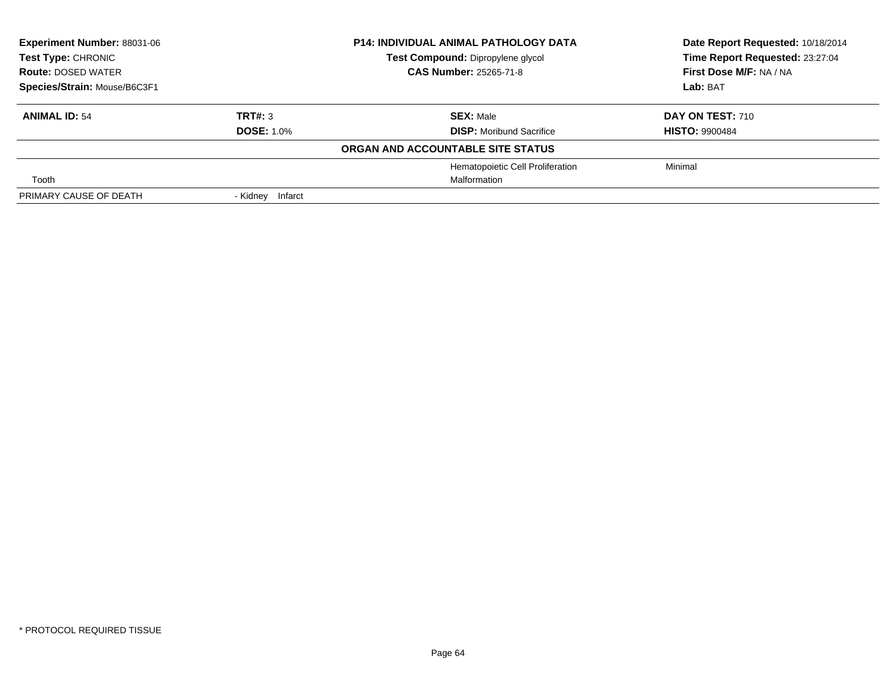| <b>Experiment Number: 88031-06</b><br><b>Test Type: CHRONIC</b> |                   | <b>P14: INDIVIDUAL ANIMAL PATHOLOGY DATA</b> | Date Report Requested: 10/18/2014 |
|-----------------------------------------------------------------|-------------------|----------------------------------------------|-----------------------------------|
|                                                                 |                   | Test Compound: Dipropylene glycol            | Time Report Requested: 23:27:04   |
| <b>Route: DOSED WATER</b>                                       |                   | <b>CAS Number: 25265-71-8</b>                | First Dose M/F: NA / NA           |
| Species/Strain: Mouse/B6C3F1                                    |                   |                                              | Lab: BAT                          |
| <b>ANIMAL ID: 54</b>                                            | TRT#: 3           | <b>SEX: Male</b>                             | <b>DAY ON TEST: 710</b>           |
|                                                                 | <b>DOSE: 1.0%</b> | <b>DISP:</b> Moribund Sacrifice              | <b>HISTO: 9900484</b>             |
|                                                                 |                   | ORGAN AND ACCOUNTABLE SITE STATUS            |                                   |
|                                                                 |                   | Hematopoietic Cell Proliferation             | Minimal                           |
| Tooth                                                           |                   | Malformation                                 |                                   |
| PRIMARY CAUSE OF DEATH                                          | - Kidney Infarct  |                                              |                                   |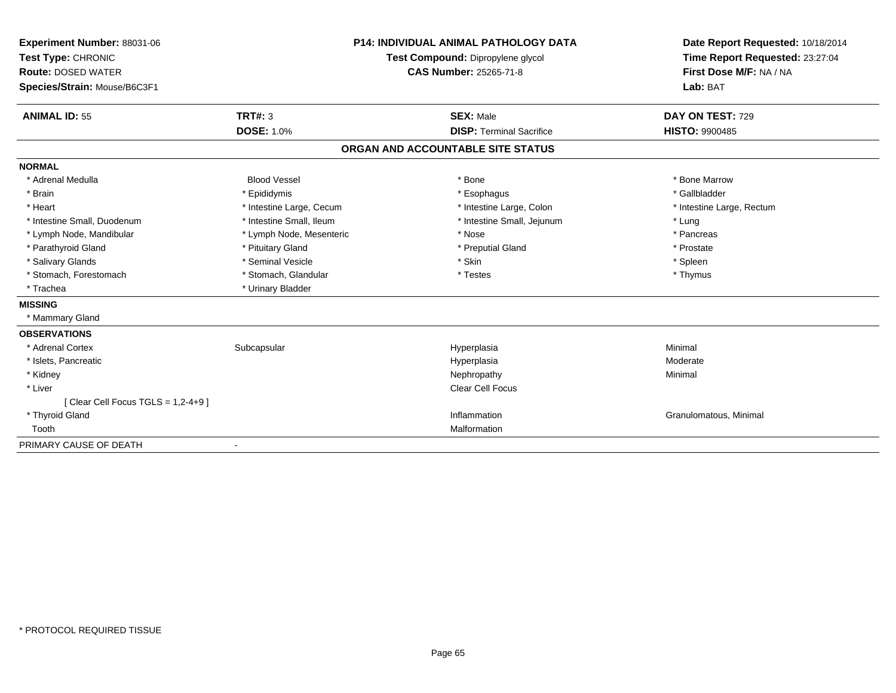| Experiment Number: 88031-06           |                          | <b>P14: INDIVIDUAL ANIMAL PATHOLOGY DATA</b> | Date Report Requested: 10/18/2014 |
|---------------------------------------|--------------------------|----------------------------------------------|-----------------------------------|
| Test Type: CHRONIC                    |                          | Test Compound: Dipropylene glycol            | Time Report Requested: 23:27:04   |
| <b>Route: DOSED WATER</b>             |                          | <b>CAS Number: 25265-71-8</b>                | First Dose M/F: NA / NA           |
| Species/Strain: Mouse/B6C3F1          |                          |                                              | Lab: BAT                          |
| <b>ANIMAL ID: 55</b>                  | TRT#: 3                  | <b>SEX: Male</b>                             | DAY ON TEST: 729                  |
|                                       | <b>DOSE: 1.0%</b>        | <b>DISP: Terminal Sacrifice</b>              | <b>HISTO: 9900485</b>             |
|                                       |                          | ORGAN AND ACCOUNTABLE SITE STATUS            |                                   |
| <b>NORMAL</b>                         |                          |                                              |                                   |
| * Adrenal Medulla                     | <b>Blood Vessel</b>      | * Bone                                       | * Bone Marrow                     |
| * Brain                               | * Epididymis             | * Esophagus                                  | * Gallbladder                     |
| * Heart                               | * Intestine Large, Cecum | * Intestine Large, Colon                     | * Intestine Large, Rectum         |
| * Intestine Small, Duodenum           | * Intestine Small, Ileum | * Intestine Small, Jejunum                   | * Lung                            |
| * Lymph Node, Mandibular              | * Lymph Node, Mesenteric | * Nose                                       | * Pancreas                        |
| * Parathyroid Gland                   | * Pituitary Gland        | * Preputial Gland                            | * Prostate                        |
| * Salivary Glands                     | * Seminal Vesicle        | * Skin                                       | * Spleen                          |
| * Stomach, Forestomach                | * Stomach, Glandular     | * Testes                                     | * Thymus                          |
| * Trachea                             | * Urinary Bladder        |                                              |                                   |
| <b>MISSING</b>                        |                          |                                              |                                   |
| * Mammary Gland                       |                          |                                              |                                   |
| <b>OBSERVATIONS</b>                   |                          |                                              |                                   |
| * Adrenal Cortex                      | Subcapsular              | Hyperplasia                                  | Minimal                           |
| * Islets, Pancreatic                  |                          | Hyperplasia                                  | Moderate                          |
| * Kidney                              |                          | Nephropathy                                  | Minimal                           |
| * Liver                               |                          | Clear Cell Focus                             |                                   |
| [ Clear Cell Focus TGLS = $1,2-4+9$ ] |                          |                                              |                                   |
| * Thyroid Gland                       |                          | Inflammation                                 | Granulomatous, Minimal            |
| Tooth                                 |                          | Malformation                                 |                                   |
| PRIMARY CAUSE OF DEATH                |                          |                                              |                                   |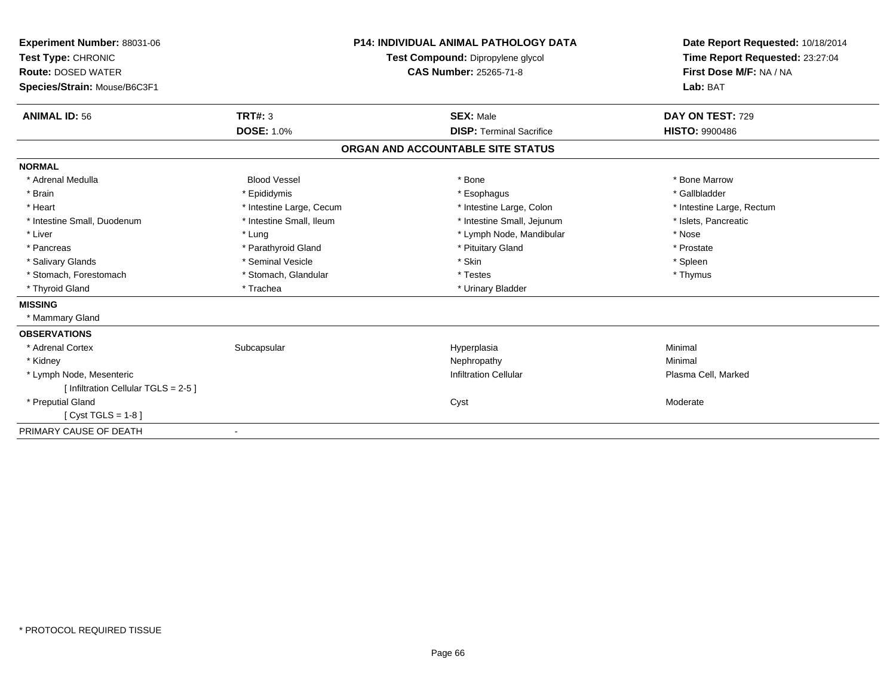| Experiment Number: 88031-06<br>Test Type: CHRONIC<br><b>Route: DOSED WATER</b><br>Species/Strain: Mouse/B6C3F1<br><b>ANIMAL ID: 56</b> | <b>TRT#: 3</b>           | <b>P14: INDIVIDUAL ANIMAL PATHOLOGY DATA</b><br>Test Compound: Dipropylene glycol<br><b>CAS Number: 25265-71-8</b><br><b>SEX: Male</b> | Date Report Requested: 10/18/2014<br>Time Report Requested: 23:27:04<br>First Dose M/F: NA / NA<br>Lab: BAT<br>DAY ON TEST: 729 |
|----------------------------------------------------------------------------------------------------------------------------------------|--------------------------|----------------------------------------------------------------------------------------------------------------------------------------|---------------------------------------------------------------------------------------------------------------------------------|
|                                                                                                                                        | <b>DOSE: 1.0%</b>        | <b>DISP: Terminal Sacrifice</b>                                                                                                        | <b>HISTO: 9900486</b>                                                                                                           |
|                                                                                                                                        |                          | ORGAN AND ACCOUNTABLE SITE STATUS                                                                                                      |                                                                                                                                 |
| <b>NORMAL</b>                                                                                                                          |                          |                                                                                                                                        |                                                                                                                                 |
| * Adrenal Medulla                                                                                                                      | <b>Blood Vessel</b>      | * Bone                                                                                                                                 | * Bone Marrow                                                                                                                   |
| * Brain                                                                                                                                | * Epididymis             | * Esophagus                                                                                                                            | * Gallbladder                                                                                                                   |
| * Heart                                                                                                                                | * Intestine Large, Cecum | * Intestine Large, Colon                                                                                                               | * Intestine Large, Rectum                                                                                                       |
| * Intestine Small, Duodenum                                                                                                            | * Intestine Small, Ileum | * Intestine Small, Jejunum                                                                                                             | * Islets, Pancreatic                                                                                                            |
| * Liver                                                                                                                                | * Lung                   | * Lymph Node, Mandibular                                                                                                               | * Nose                                                                                                                          |
| * Pancreas                                                                                                                             | * Parathyroid Gland      | * Pituitary Gland                                                                                                                      | * Prostate                                                                                                                      |
| * Salivary Glands                                                                                                                      | * Seminal Vesicle        | * Skin                                                                                                                                 | * Spleen                                                                                                                        |
| * Stomach, Forestomach                                                                                                                 | * Stomach, Glandular     | * Testes                                                                                                                               | * Thymus                                                                                                                        |
| * Thyroid Gland                                                                                                                        | * Trachea                | * Urinary Bladder                                                                                                                      |                                                                                                                                 |
| <b>MISSING</b>                                                                                                                         |                          |                                                                                                                                        |                                                                                                                                 |
| * Mammary Gland                                                                                                                        |                          |                                                                                                                                        |                                                                                                                                 |
| <b>OBSERVATIONS</b>                                                                                                                    |                          |                                                                                                                                        |                                                                                                                                 |
| * Adrenal Cortex                                                                                                                       | Subcapsular              | Hyperplasia                                                                                                                            | Minimal                                                                                                                         |
| * Kidney                                                                                                                               |                          | Nephropathy                                                                                                                            | Minimal                                                                                                                         |
| * Lymph Node, Mesenteric                                                                                                               |                          | <b>Infiltration Cellular</b>                                                                                                           | Plasma Cell, Marked                                                                                                             |
| [ Infiltration Cellular TGLS = 2-5 ]                                                                                                   |                          |                                                                                                                                        |                                                                                                                                 |
| * Preputial Gland                                                                                                                      |                          | Cyst                                                                                                                                   | Moderate                                                                                                                        |
| $Cvst TGLS = 1-8$                                                                                                                      |                          |                                                                                                                                        |                                                                                                                                 |
| PRIMARY CAUSE OF DEATH                                                                                                                 |                          |                                                                                                                                        |                                                                                                                                 |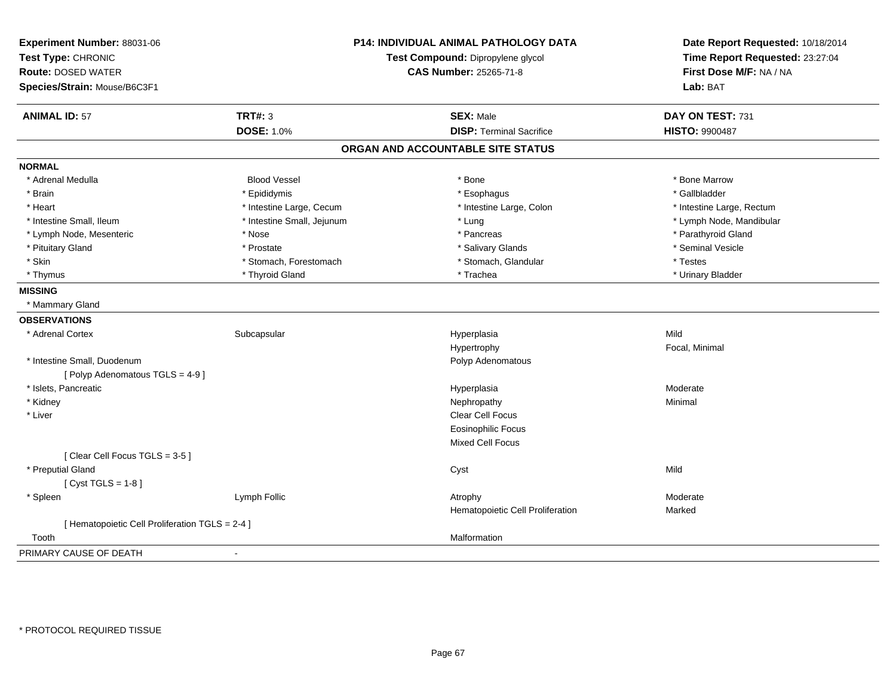| Experiment Number: 88031-06<br>Test Type: CHRONIC |                            | <b>P14: INDIVIDUAL ANIMAL PATHOLOGY DATA</b><br>Test Compound: Dipropylene glycol | Date Report Requested: 10/18/2014<br>Time Report Requested: 23:27:04 |
|---------------------------------------------------|----------------------------|-----------------------------------------------------------------------------------|----------------------------------------------------------------------|
| <b>Route: DOSED WATER</b>                         |                            | <b>CAS Number: 25265-71-8</b>                                                     | First Dose M/F: NA / NA                                              |
| Species/Strain: Mouse/B6C3F1                      |                            |                                                                                   | Lab: BAT                                                             |
| <b>ANIMAL ID: 57</b>                              | <b>TRT#: 3</b>             | <b>SEX: Male</b>                                                                  | DAY ON TEST: 731                                                     |
|                                                   | <b>DOSE: 1.0%</b>          | <b>DISP: Terminal Sacrifice</b>                                                   | <b>HISTO: 9900487</b>                                                |
|                                                   |                            | ORGAN AND ACCOUNTABLE SITE STATUS                                                 |                                                                      |
| <b>NORMAL</b>                                     |                            |                                                                                   |                                                                      |
| * Adrenal Medulla                                 | <b>Blood Vessel</b>        | * Bone                                                                            | * Bone Marrow                                                        |
| * Brain                                           | * Epididymis               | * Esophagus                                                                       | * Gallbladder                                                        |
| * Heart                                           | * Intestine Large, Cecum   | * Intestine Large, Colon                                                          | * Intestine Large, Rectum                                            |
| * Intestine Small, Ileum                          | * Intestine Small, Jejunum | * Lung                                                                            | * Lymph Node, Mandibular                                             |
| * Lymph Node, Mesenteric                          | * Nose                     | * Pancreas                                                                        | * Parathyroid Gland                                                  |
| * Pituitary Gland                                 | * Prostate                 | * Salivary Glands                                                                 | * Seminal Vesicle                                                    |
| * Skin                                            | * Stomach, Forestomach     | * Stomach, Glandular                                                              | * Testes                                                             |
| * Thymus                                          | * Thyroid Gland            | * Trachea                                                                         | * Urinary Bladder                                                    |
| <b>MISSING</b>                                    |                            |                                                                                   |                                                                      |
| * Mammary Gland                                   |                            |                                                                                   |                                                                      |
| <b>OBSERVATIONS</b>                               |                            |                                                                                   |                                                                      |
| * Adrenal Cortex                                  | Subcapsular                | Hyperplasia                                                                       | Mild                                                                 |
|                                                   |                            | Hypertrophy                                                                       | Focal, Minimal                                                       |
| * Intestine Small, Duodenum                       |                            | Polyp Adenomatous                                                                 |                                                                      |
| [Polyp Adenomatous TGLS = 4-9]                    |                            |                                                                                   |                                                                      |
| * Islets, Pancreatic                              |                            | Hyperplasia                                                                       | Moderate                                                             |
| * Kidney                                          |                            | Nephropathy                                                                       | Minimal                                                              |
| * Liver                                           |                            | Clear Cell Focus                                                                  |                                                                      |
|                                                   |                            | <b>Eosinophilic Focus</b>                                                         |                                                                      |
|                                                   |                            | Mixed Cell Focus                                                                  |                                                                      |
| [Clear Cell Focus TGLS = 3-5]                     |                            |                                                                                   |                                                                      |
| * Preputial Gland                                 |                            | Cyst                                                                              | Mild                                                                 |
| [Cyst TGLS = $1-8$ ]                              |                            |                                                                                   |                                                                      |
| * Spleen                                          | Lymph Follic               | Atrophy                                                                           | Moderate                                                             |
|                                                   |                            | Hematopoietic Cell Proliferation                                                  | Marked                                                               |
| [ Hematopoietic Cell Proliferation TGLS = 2-4 ]   |                            |                                                                                   |                                                                      |
| Tooth                                             |                            | Malformation                                                                      |                                                                      |
| PRIMARY CAUSE OF DEATH                            | ÷,                         |                                                                                   |                                                                      |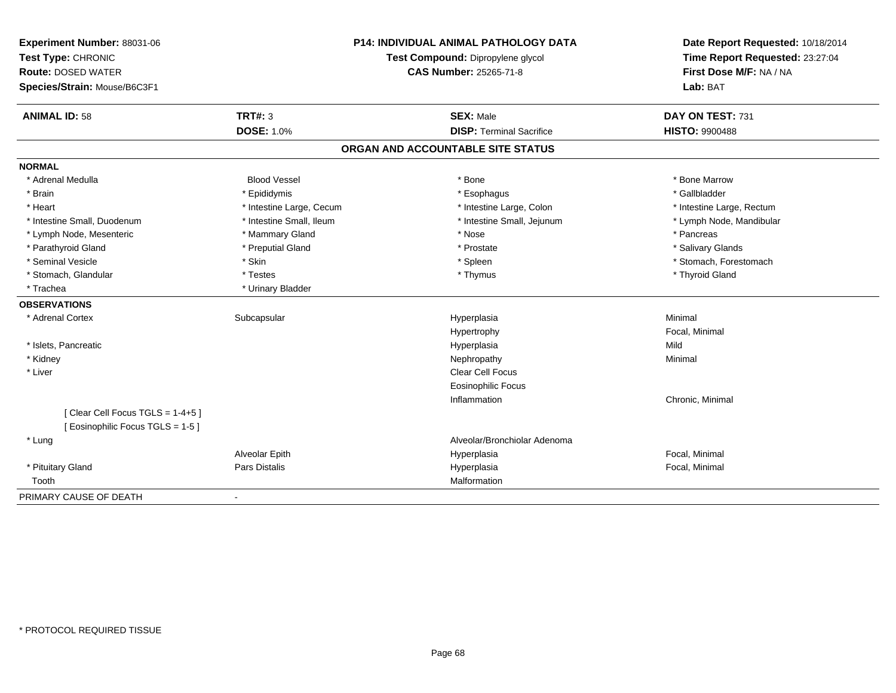| Experiment Number: 88031-06<br>Test Type: CHRONIC<br><b>Route: DOSED WATER</b> | <b>P14: INDIVIDUAL ANIMAL PATHOLOGY DATA</b><br>Test Compound: Dipropylene glycol<br>CAS Number: 25265-71-8 |                                   | Date Report Requested: 10/18/2014<br>Time Report Requested: 23:27:04<br>First Dose M/F: NA / NA |
|--------------------------------------------------------------------------------|-------------------------------------------------------------------------------------------------------------|-----------------------------------|-------------------------------------------------------------------------------------------------|
| Species/Strain: Mouse/B6C3F1                                                   |                                                                                                             |                                   | Lab: BAT                                                                                        |
| <b>ANIMAL ID: 58</b>                                                           | <b>TRT#: 3</b>                                                                                              | <b>SEX: Male</b>                  | DAY ON TEST: 731                                                                                |
|                                                                                | <b>DOSE: 1.0%</b>                                                                                           | <b>DISP: Terminal Sacrifice</b>   | <b>HISTO: 9900488</b>                                                                           |
|                                                                                |                                                                                                             | ORGAN AND ACCOUNTABLE SITE STATUS |                                                                                                 |
| <b>NORMAL</b>                                                                  |                                                                                                             |                                   |                                                                                                 |
| * Adrenal Medulla                                                              | <b>Blood Vessel</b>                                                                                         | * Bone                            | * Bone Marrow                                                                                   |
| * Brain                                                                        | * Epididymis                                                                                                | * Esophagus                       | * Gallbladder                                                                                   |
| * Heart                                                                        | * Intestine Large, Cecum                                                                                    | * Intestine Large, Colon          | * Intestine Large, Rectum                                                                       |
| * Intestine Small, Duodenum                                                    | * Intestine Small. Ileum                                                                                    | * Intestine Small, Jejunum        | * Lymph Node, Mandibular                                                                        |
| * Lymph Node, Mesenteric                                                       | * Mammary Gland                                                                                             | * Nose                            | * Pancreas                                                                                      |
| * Parathyroid Gland                                                            | * Preputial Gland                                                                                           | * Prostate                        | * Salivary Glands                                                                               |
| * Seminal Vesicle                                                              | * Skin                                                                                                      | * Spleen                          | * Stomach, Forestomach                                                                          |
| * Stomach, Glandular                                                           | * Testes                                                                                                    | * Thymus                          | * Thyroid Gland                                                                                 |
| * Trachea                                                                      | * Urinary Bladder                                                                                           |                                   |                                                                                                 |
| <b>OBSERVATIONS</b>                                                            |                                                                                                             |                                   |                                                                                                 |
| * Adrenal Cortex                                                               | Subcapsular                                                                                                 | Hyperplasia                       | Minimal                                                                                         |
|                                                                                |                                                                                                             | Hypertrophy                       | Focal, Minimal                                                                                  |
| * Islets, Pancreatic                                                           |                                                                                                             | Hyperplasia                       | Mild                                                                                            |
| * Kidney                                                                       |                                                                                                             | Nephropathy                       | Minimal                                                                                         |
| * Liver                                                                        |                                                                                                             | Clear Cell Focus                  |                                                                                                 |
|                                                                                |                                                                                                             | <b>Eosinophilic Focus</b>         |                                                                                                 |
|                                                                                |                                                                                                             | Inflammation                      | Chronic, Minimal                                                                                |
| [Clear Cell Focus TGLS = 1-4+5]<br>[ Eosinophilic Focus TGLS = 1-5 ]           |                                                                                                             |                                   |                                                                                                 |
| * Lung                                                                         |                                                                                                             | Alveolar/Bronchiolar Adenoma      |                                                                                                 |
|                                                                                | Alveolar Epith                                                                                              | Hyperplasia                       | Focal, Minimal                                                                                  |
| * Pituitary Gland                                                              | Pars Distalis                                                                                               | Hyperplasia                       | Focal, Minimal                                                                                  |
| Tooth                                                                          |                                                                                                             | Malformation                      |                                                                                                 |
| PRIMARY CAUSE OF DEATH                                                         | $\blacksquare$                                                                                              |                                   |                                                                                                 |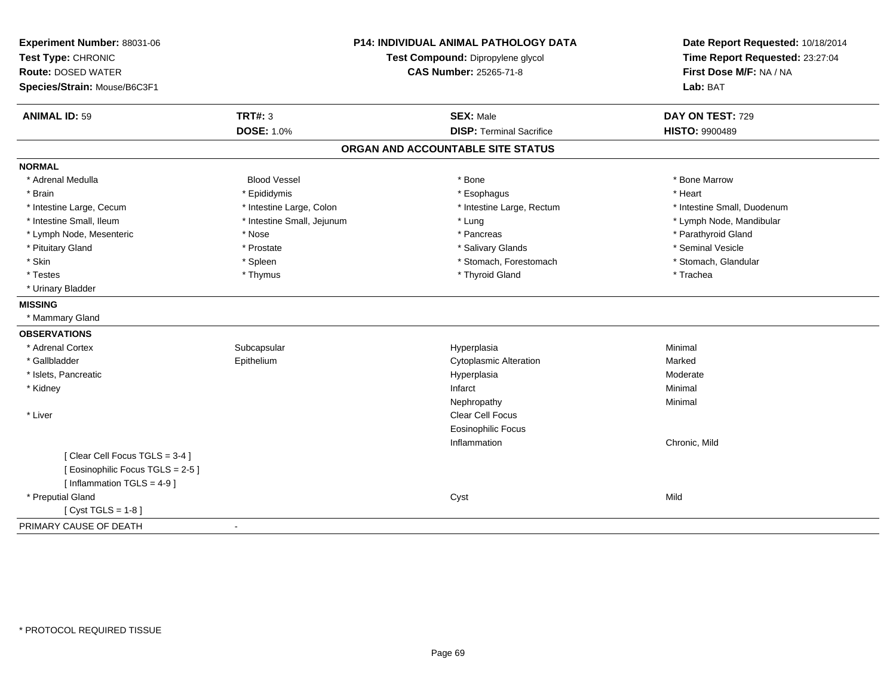| Experiment Number: 88031-06<br>Test Type: CHRONIC<br><b>Route: DOSED WATER</b><br>Species/Strain: Mouse/B6C3F1 |                            | P14: INDIVIDUAL ANIMAL PATHOLOGY DATA<br>Test Compound: Dipropylene glycol<br>CAS Number: 25265-71-8 | Date Report Requested: 10/18/2014<br>Time Report Requested: 23:27:04<br>First Dose M/F: NA / NA<br>Lab: BAT |
|----------------------------------------------------------------------------------------------------------------|----------------------------|------------------------------------------------------------------------------------------------------|-------------------------------------------------------------------------------------------------------------|
| <b>ANIMAL ID: 59</b>                                                                                           | TRT#: 3                    | <b>SEX: Male</b>                                                                                     | DAY ON TEST: 729                                                                                            |
|                                                                                                                | <b>DOSE: 1.0%</b>          | <b>DISP: Terminal Sacrifice</b>                                                                      | <b>HISTO: 9900489</b>                                                                                       |
|                                                                                                                |                            | ORGAN AND ACCOUNTABLE SITE STATUS                                                                    |                                                                                                             |
| <b>NORMAL</b>                                                                                                  |                            |                                                                                                      |                                                                                                             |
| * Adrenal Medulla                                                                                              | <b>Blood Vessel</b>        | * Bone                                                                                               | * Bone Marrow                                                                                               |
| * Brain                                                                                                        | * Epididymis               | * Esophagus                                                                                          | * Heart                                                                                                     |
| * Intestine Large, Cecum                                                                                       | * Intestine Large, Colon   | * Intestine Large, Rectum                                                                            | * Intestine Small, Duodenum                                                                                 |
| * Intestine Small, Ileum                                                                                       | * Intestine Small, Jejunum | * Lung                                                                                               | * Lymph Node, Mandibular                                                                                    |
| * Lymph Node, Mesenteric                                                                                       | * Nose                     | * Pancreas                                                                                           | * Parathyroid Gland                                                                                         |
| * Pituitary Gland                                                                                              | * Prostate                 | * Salivary Glands                                                                                    | * Seminal Vesicle                                                                                           |
| * Skin                                                                                                         | * Spleen                   | * Stomach, Forestomach                                                                               | * Stomach, Glandular                                                                                        |
| * Testes                                                                                                       | * Thymus                   | * Thyroid Gland                                                                                      | * Trachea                                                                                                   |
| * Urinary Bladder                                                                                              |                            |                                                                                                      |                                                                                                             |
| <b>MISSING</b>                                                                                                 |                            |                                                                                                      |                                                                                                             |
| * Mammary Gland                                                                                                |                            |                                                                                                      |                                                                                                             |
| <b>OBSERVATIONS</b>                                                                                            |                            |                                                                                                      |                                                                                                             |
| * Adrenal Cortex                                                                                               | Subcapsular                | Hyperplasia                                                                                          | Minimal                                                                                                     |
| * Gallbladder                                                                                                  | Epithelium                 | <b>Cytoplasmic Alteration</b>                                                                        | Marked                                                                                                      |
| * Islets, Pancreatic                                                                                           |                            | Hyperplasia                                                                                          | Moderate                                                                                                    |
| * Kidney                                                                                                       |                            | Infarct                                                                                              | Minimal                                                                                                     |
|                                                                                                                |                            | Nephropathy                                                                                          | Minimal                                                                                                     |
| * Liver                                                                                                        |                            | Clear Cell Focus                                                                                     |                                                                                                             |
|                                                                                                                |                            | <b>Eosinophilic Focus</b>                                                                            |                                                                                                             |
|                                                                                                                |                            | Inflammation                                                                                         | Chronic, Mild                                                                                               |
| [Clear Cell Focus TGLS = 3-4]                                                                                  |                            |                                                                                                      |                                                                                                             |
| [Eosinophilic Focus TGLS = 2-5]                                                                                |                            |                                                                                                      |                                                                                                             |
| [Inflammation TGLS = $4-9$ ]                                                                                   |                            |                                                                                                      |                                                                                                             |
| * Preputial Gland                                                                                              |                            | Cyst                                                                                                 | Mild                                                                                                        |
| [ $Cyst TGLS = 1-8$ ]                                                                                          |                            |                                                                                                      |                                                                                                             |
| PRIMARY CAUSE OF DEATH                                                                                         |                            |                                                                                                      |                                                                                                             |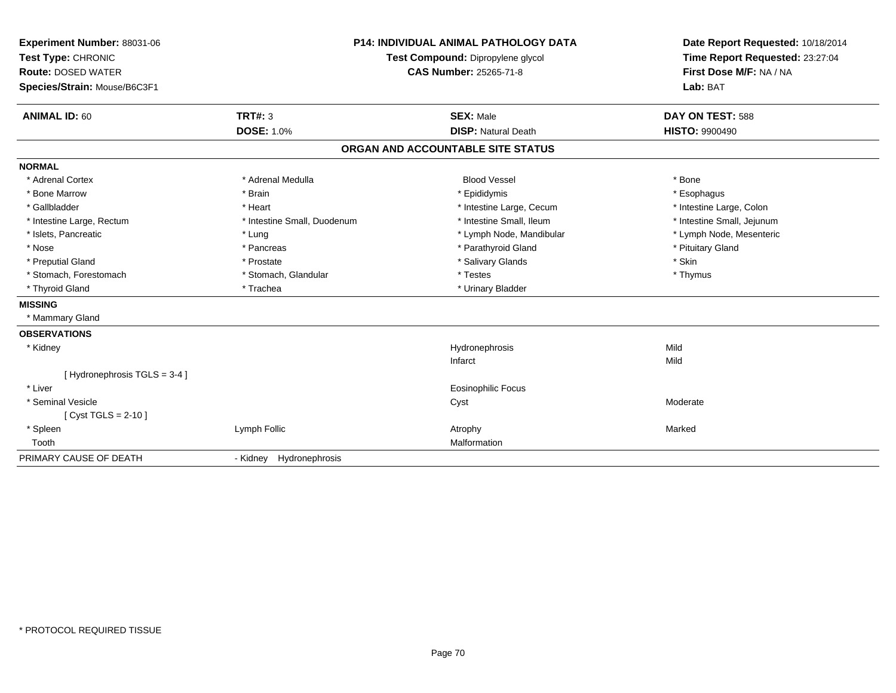| Experiment Number: 88031-06<br>Test Type: CHRONIC<br><b>Route: DOSED WATER</b><br>Species/Strain: Mouse/B6C3F1 |                             | <b>P14: INDIVIDUAL ANIMAL PATHOLOGY DATA</b><br>Test Compound: Dipropylene glycol<br><b>CAS Number: 25265-71-8</b> | Date Report Requested: 10/18/2014<br>Time Report Requested: 23:27:04<br>First Dose M/F: NA / NA<br>Lab: BAT |
|----------------------------------------------------------------------------------------------------------------|-----------------------------|--------------------------------------------------------------------------------------------------------------------|-------------------------------------------------------------------------------------------------------------|
| <b>ANIMAL ID: 60</b>                                                                                           | TRT#: 3                     | <b>SEX: Male</b>                                                                                                   | DAY ON TEST: 588                                                                                            |
|                                                                                                                | <b>DOSE: 1.0%</b>           | <b>DISP: Natural Death</b>                                                                                         | <b>HISTO: 9900490</b>                                                                                       |
|                                                                                                                |                             | ORGAN AND ACCOUNTABLE SITE STATUS                                                                                  |                                                                                                             |
| <b>NORMAL</b>                                                                                                  |                             |                                                                                                                    |                                                                                                             |
| * Adrenal Cortex                                                                                               | * Adrenal Medulla           | <b>Blood Vessel</b>                                                                                                | * Bone                                                                                                      |
| * Bone Marrow                                                                                                  | * Brain                     | * Epididymis                                                                                                       | * Esophagus                                                                                                 |
| * Gallbladder                                                                                                  | * Heart                     | * Intestine Large, Cecum                                                                                           | * Intestine Large, Colon                                                                                    |
| * Intestine Large, Rectum                                                                                      | * Intestine Small, Duodenum | * Intestine Small, Ileum                                                                                           | * Intestine Small, Jejunum                                                                                  |
| * Islets, Pancreatic                                                                                           | * Lung                      | * Lymph Node, Mandibular                                                                                           | * Lymph Node, Mesenteric                                                                                    |
| * Nose                                                                                                         | * Pancreas                  | * Parathyroid Gland                                                                                                | * Pituitary Gland                                                                                           |
| * Preputial Gland                                                                                              | * Prostate                  | * Salivary Glands                                                                                                  | * Skin                                                                                                      |
| * Stomach, Forestomach                                                                                         | * Stomach, Glandular        | * Testes                                                                                                           | * Thymus                                                                                                    |
| * Thyroid Gland                                                                                                | * Trachea                   | * Urinary Bladder                                                                                                  |                                                                                                             |
| <b>MISSING</b>                                                                                                 |                             |                                                                                                                    |                                                                                                             |
| * Mammary Gland                                                                                                |                             |                                                                                                                    |                                                                                                             |
| <b>OBSERVATIONS</b>                                                                                            |                             |                                                                                                                    |                                                                                                             |
| * Kidney                                                                                                       |                             | Hydronephrosis                                                                                                     | Mild                                                                                                        |
|                                                                                                                |                             | Infarct                                                                                                            | Mild                                                                                                        |
| [Hydronephrosis TGLS = 3-4]                                                                                    |                             |                                                                                                                    |                                                                                                             |
| * Liver                                                                                                        |                             | <b>Eosinophilic Focus</b>                                                                                          |                                                                                                             |
| * Seminal Vesicle                                                                                              |                             | Cyst                                                                                                               | Moderate                                                                                                    |
| [ $Cyst TGLS = 2-10$ ]                                                                                         |                             |                                                                                                                    |                                                                                                             |
| * Spleen                                                                                                       | Lymph Follic                | Atrophy                                                                                                            | Marked                                                                                                      |
| Tooth                                                                                                          |                             | Malformation                                                                                                       |                                                                                                             |
| PRIMARY CAUSE OF DEATH                                                                                         | - Kidney Hydronephrosis     |                                                                                                                    |                                                                                                             |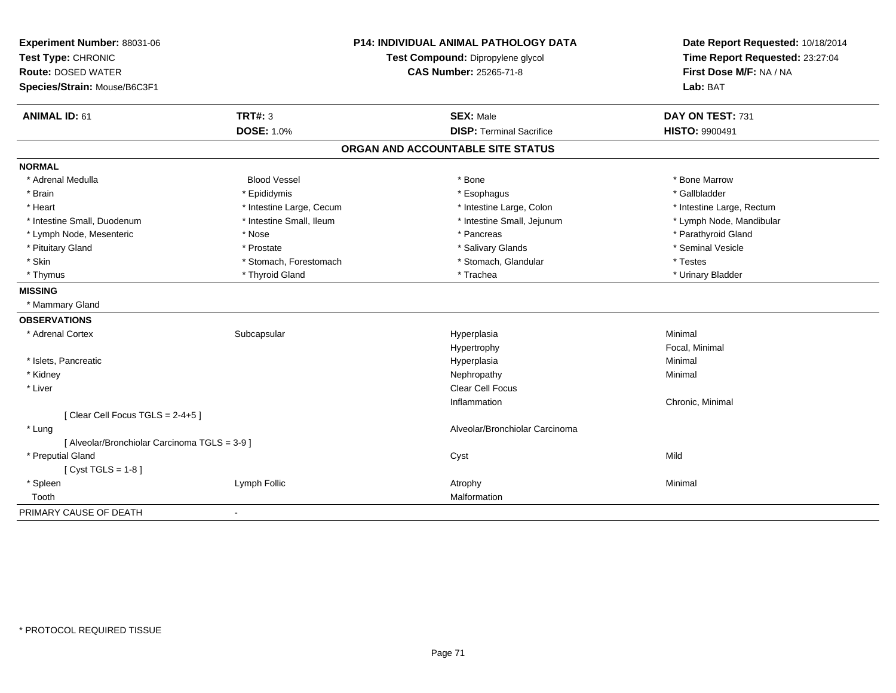| Experiment Number: 88031-06                   |                          | <b>P14: INDIVIDUAL ANIMAL PATHOLOGY DATA</b> | Date Report Requested: 10/18/2014 |
|-----------------------------------------------|--------------------------|----------------------------------------------|-----------------------------------|
| Test Type: CHRONIC                            |                          | Test Compound: Dipropylene glycol            | Time Report Requested: 23:27:04   |
| <b>Route: DOSED WATER</b>                     |                          | <b>CAS Number: 25265-71-8</b>                | First Dose M/F: NA / NA           |
| Species/Strain: Mouse/B6C3F1                  |                          |                                              | Lab: BAT                          |
| <b>ANIMAL ID: 61</b>                          | <b>TRT#: 3</b>           | <b>SEX: Male</b>                             | DAY ON TEST: 731                  |
|                                               | <b>DOSE: 1.0%</b>        | <b>DISP: Terminal Sacrifice</b>              | HISTO: 9900491                    |
|                                               |                          | ORGAN AND ACCOUNTABLE SITE STATUS            |                                   |
| <b>NORMAL</b>                                 |                          |                                              |                                   |
| * Adrenal Medulla                             | <b>Blood Vessel</b>      | * Bone                                       | * Bone Marrow                     |
| * Brain                                       | * Epididymis             | * Esophagus                                  | * Gallbladder                     |
| * Heart                                       | * Intestine Large, Cecum | * Intestine Large, Colon                     | * Intestine Large, Rectum         |
| * Intestine Small, Duodenum                   | * Intestine Small, Ileum | * Intestine Small, Jejunum                   | * Lymph Node, Mandibular          |
| * Lymph Node, Mesenteric                      | * Nose                   | * Pancreas                                   | * Parathyroid Gland               |
| * Pituitary Gland                             | * Prostate               | * Salivary Glands                            | * Seminal Vesicle                 |
| * Skin                                        | * Stomach, Forestomach   | * Stomach, Glandular                         | * Testes                          |
| * Thymus                                      | * Thyroid Gland          | * Trachea                                    | * Urinary Bladder                 |
| <b>MISSING</b>                                |                          |                                              |                                   |
| * Mammary Gland                               |                          |                                              |                                   |
| <b>OBSERVATIONS</b>                           |                          |                                              |                                   |
| * Adrenal Cortex                              | Subcapsular              | Hyperplasia                                  | Minimal                           |
|                                               |                          | Hypertrophy                                  | Focal, Minimal                    |
| * Islets, Pancreatic                          |                          | Hyperplasia                                  | Minimal                           |
| * Kidney                                      |                          | Nephropathy                                  | Minimal                           |
| * Liver                                       |                          | <b>Clear Cell Focus</b>                      |                                   |
|                                               |                          | Inflammation                                 | Chronic, Minimal                  |
| [Clear Cell Focus TGLS = 2-4+5]               |                          |                                              |                                   |
| * Lung                                        |                          | Alveolar/Bronchiolar Carcinoma               |                                   |
| [ Alveolar/Bronchiolar Carcinoma TGLS = 3-9 ] |                          |                                              |                                   |
| * Preputial Gland                             |                          | Cyst                                         | Mild                              |
| [ $Cyst TGLS = 1-8$ ]                         |                          |                                              |                                   |
| * Spleen                                      | Lymph Follic             | Atrophy                                      | Minimal                           |
| Tooth                                         |                          | Malformation                                 |                                   |
| PRIMARY CAUSE OF DEATH                        | $\blacksquare$           |                                              |                                   |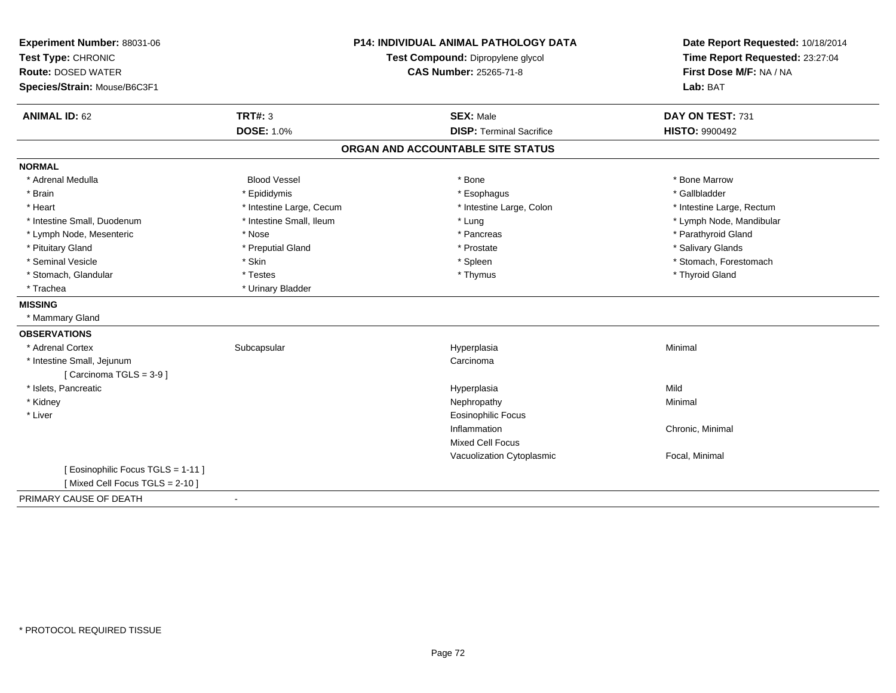| Experiment Number: 88031-06<br>Test Type: CHRONIC |                          | <b>P14: INDIVIDUAL ANIMAL PATHOLOGY DATA</b><br>Test Compound: Dipropylene glycol | Date Report Requested: 10/18/2014<br>Time Report Requested: 23:27:04<br>First Dose M/F: NA / NA |
|---------------------------------------------------|--------------------------|-----------------------------------------------------------------------------------|-------------------------------------------------------------------------------------------------|
| <b>Route: DOSED WATER</b>                         |                          | CAS Number: 25265-71-8                                                            |                                                                                                 |
| Species/Strain: Mouse/B6C3F1                      |                          |                                                                                   | Lab: BAT                                                                                        |
| <b>ANIMAL ID: 62</b>                              | <b>TRT#: 3</b>           | <b>SEX: Male</b>                                                                  | DAY ON TEST: 731                                                                                |
|                                                   | <b>DOSE: 1.0%</b>        | <b>DISP: Terminal Sacrifice</b>                                                   | <b>HISTO: 9900492</b>                                                                           |
|                                                   |                          | ORGAN AND ACCOUNTABLE SITE STATUS                                                 |                                                                                                 |
| <b>NORMAL</b>                                     |                          |                                                                                   |                                                                                                 |
| * Adrenal Medulla                                 | <b>Blood Vessel</b>      | * Bone                                                                            | * Bone Marrow                                                                                   |
| * Brain                                           | * Epididymis             | * Esophagus                                                                       | * Gallbladder                                                                                   |
| * Heart                                           | * Intestine Large, Cecum | * Intestine Large, Colon                                                          | * Intestine Large, Rectum                                                                       |
| * Intestine Small, Duodenum                       | * Intestine Small, Ileum | * Lung                                                                            | * Lymph Node, Mandibular                                                                        |
| * Lymph Node, Mesenteric                          | * Nose                   | * Pancreas                                                                        | * Parathyroid Gland                                                                             |
| * Pituitary Gland                                 | * Preputial Gland        | * Prostate                                                                        | * Salivary Glands                                                                               |
| * Seminal Vesicle                                 | * Skin                   | * Spleen                                                                          | * Stomach, Forestomach                                                                          |
| * Stomach, Glandular                              | * Testes                 | * Thymus                                                                          | * Thyroid Gland                                                                                 |
| * Trachea                                         | * Urinary Bladder        |                                                                                   |                                                                                                 |
| <b>MISSING</b>                                    |                          |                                                                                   |                                                                                                 |
| * Mammary Gland                                   |                          |                                                                                   |                                                                                                 |
| <b>OBSERVATIONS</b>                               |                          |                                                                                   |                                                                                                 |
| * Adrenal Cortex                                  | Subcapsular              | Hyperplasia                                                                       | Minimal                                                                                         |
| * Intestine Small, Jejunum                        |                          | Carcinoma                                                                         |                                                                                                 |
| [Carcinoma TGLS = 3-9]                            |                          |                                                                                   |                                                                                                 |
| * Islets, Pancreatic                              |                          | Hyperplasia                                                                       | Mild                                                                                            |
| * Kidney                                          |                          | Nephropathy                                                                       | Minimal                                                                                         |
| * Liver                                           |                          | <b>Eosinophilic Focus</b>                                                         |                                                                                                 |
|                                                   |                          | Inflammation                                                                      | Chronic, Minimal                                                                                |
|                                                   |                          | <b>Mixed Cell Focus</b>                                                           |                                                                                                 |
|                                                   |                          | Vacuolization Cytoplasmic                                                         | Focal, Minimal                                                                                  |
| [ Eosinophilic Focus TGLS = 1-11 ]                |                          |                                                                                   |                                                                                                 |
| [Mixed Cell Focus TGLS = 2-10]                    |                          |                                                                                   |                                                                                                 |
| PRIMARY CAUSE OF DEATH                            | $\blacksquare$           |                                                                                   |                                                                                                 |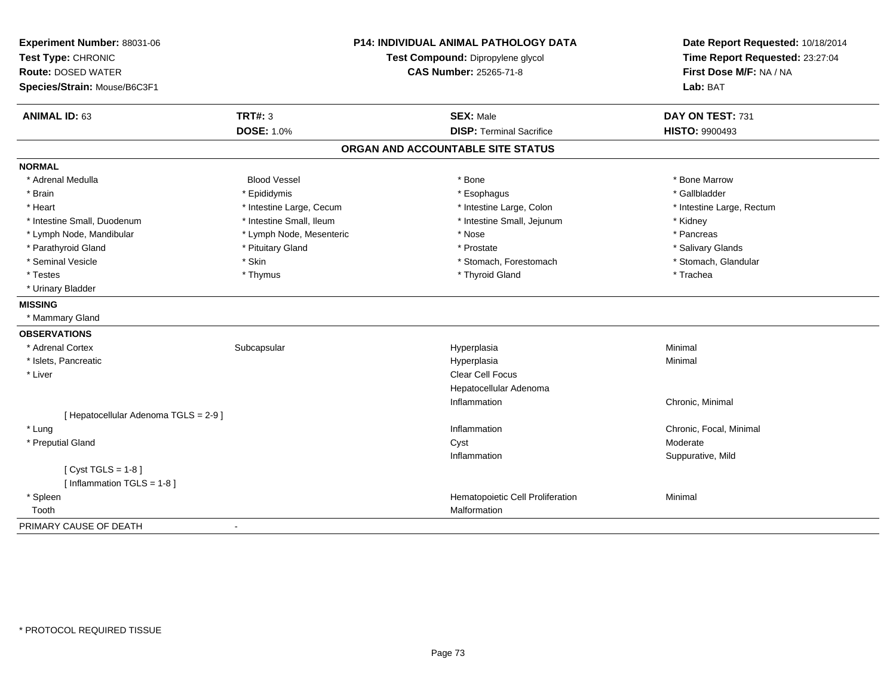| Experiment Number: 88031-06<br>Test Type: CHRONIC<br><b>Route: DOSED WATER</b><br>Species/Strain: Mouse/B6C3F1 | <b>P14: INDIVIDUAL ANIMAL PATHOLOGY DATA</b><br>Test Compound: Dipropylene glycol<br><b>CAS Number: 25265-71-8</b> |                                   | Date Report Requested: 10/18/2014<br>Time Report Requested: 23:27:04<br>First Dose M/F: NA / NA<br>Lab: BAT |  |
|----------------------------------------------------------------------------------------------------------------|--------------------------------------------------------------------------------------------------------------------|-----------------------------------|-------------------------------------------------------------------------------------------------------------|--|
| <b>ANIMAL ID: 63</b>                                                                                           | <b>TRT#: 3</b>                                                                                                     | <b>SEX: Male</b>                  | DAY ON TEST: 731                                                                                            |  |
|                                                                                                                | <b>DOSE: 1.0%</b>                                                                                                  | <b>DISP: Terminal Sacrifice</b>   | <b>HISTO: 9900493</b>                                                                                       |  |
|                                                                                                                |                                                                                                                    | ORGAN AND ACCOUNTABLE SITE STATUS |                                                                                                             |  |
| <b>NORMAL</b>                                                                                                  |                                                                                                                    |                                   |                                                                                                             |  |
| * Adrenal Medulla                                                                                              | <b>Blood Vessel</b>                                                                                                | * Bone                            | * Bone Marrow                                                                                               |  |
| * Brain                                                                                                        | * Epididymis                                                                                                       | * Esophagus                       | * Gallbladder                                                                                               |  |
| * Heart                                                                                                        | * Intestine Large, Cecum                                                                                           | * Intestine Large, Colon          | * Intestine Large, Rectum                                                                                   |  |
| * Intestine Small, Duodenum                                                                                    | * Intestine Small, Ileum                                                                                           | * Intestine Small, Jejunum        | * Kidney                                                                                                    |  |
| * Lymph Node, Mandibular                                                                                       | * Lymph Node, Mesenteric                                                                                           | * Nose                            | * Pancreas                                                                                                  |  |
| * Parathyroid Gland                                                                                            | * Pituitary Gland                                                                                                  | * Prostate                        | * Salivary Glands                                                                                           |  |
| * Seminal Vesicle                                                                                              | * Skin                                                                                                             | * Stomach, Forestomach            | * Stomach, Glandular                                                                                        |  |
| * Testes                                                                                                       | * Thymus                                                                                                           | * Thyroid Gland                   | * Trachea                                                                                                   |  |
| * Urinary Bladder                                                                                              |                                                                                                                    |                                   |                                                                                                             |  |
| <b>MISSING</b>                                                                                                 |                                                                                                                    |                                   |                                                                                                             |  |
| * Mammary Gland                                                                                                |                                                                                                                    |                                   |                                                                                                             |  |
| <b>OBSERVATIONS</b>                                                                                            |                                                                                                                    |                                   |                                                                                                             |  |
| * Adrenal Cortex                                                                                               | Subcapsular                                                                                                        | Hyperplasia                       | Minimal                                                                                                     |  |
| * Islets, Pancreatic                                                                                           |                                                                                                                    | Hyperplasia                       | Minimal                                                                                                     |  |
| * Liver                                                                                                        |                                                                                                                    | Clear Cell Focus                  |                                                                                                             |  |
|                                                                                                                |                                                                                                                    | Hepatocellular Adenoma            |                                                                                                             |  |
|                                                                                                                |                                                                                                                    | Inflammation                      | Chronic, Minimal                                                                                            |  |
| [ Hepatocellular Adenoma TGLS = 2-9 ]                                                                          |                                                                                                                    |                                   |                                                                                                             |  |
| * Lung                                                                                                         |                                                                                                                    | Inflammation                      | Chronic, Focal, Minimal                                                                                     |  |
| * Preputial Gland                                                                                              |                                                                                                                    | Cyst                              | Moderate                                                                                                    |  |
|                                                                                                                |                                                                                                                    | Inflammation                      | Suppurative, Mild                                                                                           |  |
| [Cyst TGLS = $1-8$ ]                                                                                           |                                                                                                                    |                                   |                                                                                                             |  |
| [Inflammation TGLS = $1-8$ ]                                                                                   |                                                                                                                    |                                   |                                                                                                             |  |
| * Spleen                                                                                                       |                                                                                                                    | Hematopoietic Cell Proliferation  | Minimal                                                                                                     |  |
| Tooth                                                                                                          |                                                                                                                    | Malformation                      |                                                                                                             |  |
| PRIMARY CAUSE OF DEATH                                                                                         |                                                                                                                    |                                   |                                                                                                             |  |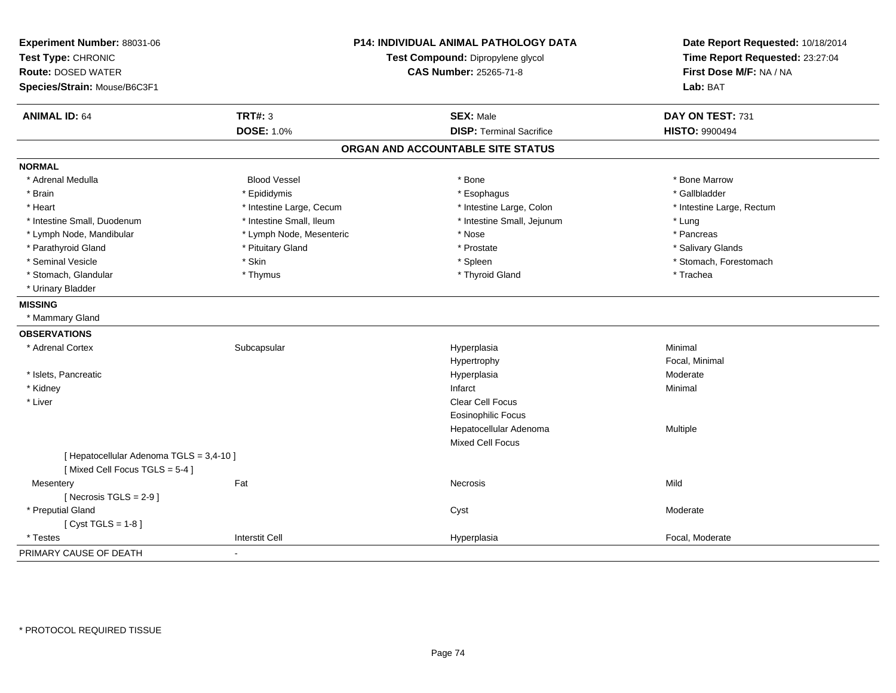| Experiment Number: 88031-06<br>Test Type: CHRONIC<br><b>Route: DOSED WATER</b><br>Species/Strain: Mouse/B6C3F1 | <b>P14: INDIVIDUAL ANIMAL PATHOLOGY DATA</b><br>Test Compound: Dipropylene glycol<br><b>CAS Number: 25265-71-8</b> |                                   | Date Report Requested: 10/18/2014<br>Time Report Requested: 23:27:04<br>First Dose M/F: NA / NA<br>Lab: BAT |
|----------------------------------------------------------------------------------------------------------------|--------------------------------------------------------------------------------------------------------------------|-----------------------------------|-------------------------------------------------------------------------------------------------------------|
| <b>ANIMAL ID: 64</b>                                                                                           | <b>TRT#: 3</b>                                                                                                     | <b>SEX: Male</b>                  | DAY ON TEST: 731                                                                                            |
|                                                                                                                | <b>DOSE: 1.0%</b>                                                                                                  | <b>DISP: Terminal Sacrifice</b>   | <b>HISTO: 9900494</b>                                                                                       |
|                                                                                                                |                                                                                                                    | ORGAN AND ACCOUNTABLE SITE STATUS |                                                                                                             |
| <b>NORMAL</b>                                                                                                  |                                                                                                                    |                                   |                                                                                                             |
| * Adrenal Medulla                                                                                              | <b>Blood Vessel</b>                                                                                                | * Bone                            | * Bone Marrow                                                                                               |
| * Brain                                                                                                        | * Epididymis                                                                                                       | * Esophagus                       | * Gallbladder                                                                                               |
| * Heart                                                                                                        | * Intestine Large, Cecum                                                                                           | * Intestine Large, Colon          | * Intestine Large, Rectum                                                                                   |
| * Intestine Small, Duodenum                                                                                    | * Intestine Small, Ileum                                                                                           | * Intestine Small, Jejunum        | * Lung                                                                                                      |
| * Lymph Node, Mandibular                                                                                       | * Lymph Node, Mesenteric                                                                                           | * Nose                            | * Pancreas                                                                                                  |
| * Parathyroid Gland                                                                                            | * Pituitary Gland                                                                                                  | * Prostate                        | * Salivary Glands                                                                                           |
| * Seminal Vesicle                                                                                              | * Skin                                                                                                             | * Spleen                          | * Stomach, Forestomach                                                                                      |
| * Stomach, Glandular                                                                                           | * Thymus                                                                                                           | * Thyroid Gland                   | * Trachea                                                                                                   |
| * Urinary Bladder                                                                                              |                                                                                                                    |                                   |                                                                                                             |
| <b>MISSING</b>                                                                                                 |                                                                                                                    |                                   |                                                                                                             |
| * Mammary Gland                                                                                                |                                                                                                                    |                                   |                                                                                                             |
| <b>OBSERVATIONS</b>                                                                                            |                                                                                                                    |                                   |                                                                                                             |
| * Adrenal Cortex                                                                                               | Subcapsular                                                                                                        | Hyperplasia                       | Minimal                                                                                                     |
|                                                                                                                |                                                                                                                    | Hypertrophy                       | Focal, Minimal                                                                                              |
| * Islets, Pancreatic                                                                                           |                                                                                                                    | Hyperplasia                       | Moderate                                                                                                    |
| * Kidney                                                                                                       |                                                                                                                    | Infarct                           | Minimal                                                                                                     |
| * Liver                                                                                                        |                                                                                                                    | Clear Cell Focus                  |                                                                                                             |
|                                                                                                                |                                                                                                                    | <b>Eosinophilic Focus</b>         |                                                                                                             |
|                                                                                                                |                                                                                                                    | Hepatocellular Adenoma            | Multiple                                                                                                    |
|                                                                                                                |                                                                                                                    | <b>Mixed Cell Focus</b>           |                                                                                                             |
| [ Hepatocellular Adenoma TGLS = 3,4-10 ]<br>[Mixed Cell Focus TGLS = 5-4]                                      |                                                                                                                    |                                   |                                                                                                             |
| Mesentery                                                                                                      | Fat                                                                                                                | <b>Necrosis</b>                   | Mild                                                                                                        |
| [Necrosis TGLS = $2-9$ ]                                                                                       |                                                                                                                    |                                   |                                                                                                             |
| * Preputial Gland                                                                                              |                                                                                                                    | Cyst                              | Moderate                                                                                                    |
| [Cyst TGLS = $1-8$ ]                                                                                           |                                                                                                                    |                                   |                                                                                                             |
| * Testes                                                                                                       | <b>Interstit Cell</b>                                                                                              | Hyperplasia                       | Focal, Moderate                                                                                             |
| PRIMARY CAUSE OF DEATH                                                                                         | $\blacksquare$                                                                                                     |                                   |                                                                                                             |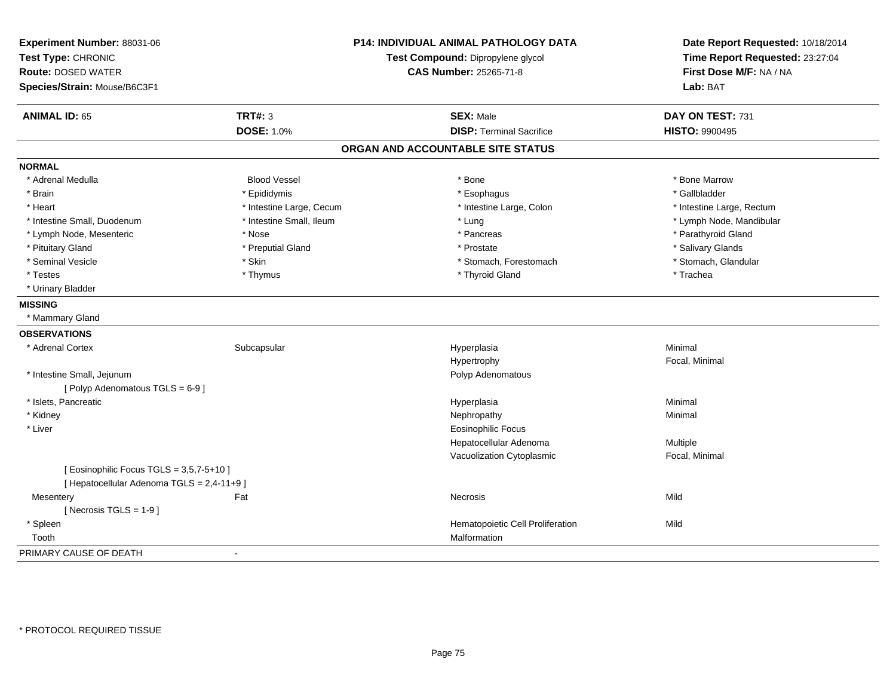| Experiment Number: 88031-06<br>Test Type: CHRONIC<br><b>Route: DOSED WATER</b><br>Species/Strain: Mouse/B6C3F1 |                          | P14: INDIVIDUAL ANIMAL PATHOLOGY DATA<br>Test Compound: Dipropylene glycol<br><b>CAS Number: 25265-71-8</b> | Date Report Requested: 10/18/2014<br>Time Report Requested: 23:27:04<br>First Dose M/F: NA / NA<br>Lab: BAT |
|----------------------------------------------------------------------------------------------------------------|--------------------------|-------------------------------------------------------------------------------------------------------------|-------------------------------------------------------------------------------------------------------------|
| <b>ANIMAL ID: 65</b>                                                                                           | <b>TRT#: 3</b>           | <b>SEX: Male</b>                                                                                            | DAY ON TEST: 731                                                                                            |
|                                                                                                                | <b>DOSE: 1.0%</b>        | <b>DISP: Terminal Sacrifice</b>                                                                             | <b>HISTO: 9900495</b>                                                                                       |
|                                                                                                                |                          | ORGAN AND ACCOUNTABLE SITE STATUS                                                                           |                                                                                                             |
| <b>NORMAL</b>                                                                                                  |                          |                                                                                                             |                                                                                                             |
| * Adrenal Medulla                                                                                              | <b>Blood Vessel</b>      | * Bone                                                                                                      | * Bone Marrow                                                                                               |
| * Brain                                                                                                        | * Epididymis             | * Esophagus                                                                                                 | * Gallbladder                                                                                               |
| * Heart                                                                                                        | * Intestine Large, Cecum | * Intestine Large, Colon                                                                                    | * Intestine Large, Rectum                                                                                   |
| * Intestine Small, Duodenum                                                                                    | * Intestine Small, Ileum | * Lung                                                                                                      | * Lymph Node, Mandibular                                                                                    |
| * Lymph Node, Mesenteric                                                                                       | * Nose                   | * Pancreas                                                                                                  | * Parathyroid Gland                                                                                         |
| * Pituitary Gland                                                                                              | * Preputial Gland        | * Prostate                                                                                                  | * Salivary Glands                                                                                           |
| * Seminal Vesicle                                                                                              | * Skin                   | * Stomach, Forestomach                                                                                      | * Stomach, Glandular                                                                                        |
| * Testes                                                                                                       | * Thymus                 | * Thyroid Gland                                                                                             | * Trachea                                                                                                   |
| * Urinary Bladder                                                                                              |                          |                                                                                                             |                                                                                                             |
| <b>MISSING</b>                                                                                                 |                          |                                                                                                             |                                                                                                             |
| * Mammary Gland                                                                                                |                          |                                                                                                             |                                                                                                             |
| <b>OBSERVATIONS</b>                                                                                            |                          |                                                                                                             |                                                                                                             |
| * Adrenal Cortex                                                                                               | Subcapsular              | Hyperplasia                                                                                                 | Minimal                                                                                                     |
|                                                                                                                |                          | Hypertrophy                                                                                                 | Focal, Minimal                                                                                              |
| * Intestine Small, Jejunum                                                                                     |                          | Polyp Adenomatous                                                                                           |                                                                                                             |
| [Polyp Adenomatous TGLS = 6-9]                                                                                 |                          |                                                                                                             |                                                                                                             |
| * Islets, Pancreatic                                                                                           |                          | Hyperplasia                                                                                                 | Minimal                                                                                                     |
| * Kidney                                                                                                       |                          | Nephropathy                                                                                                 | Minimal                                                                                                     |
| * Liver                                                                                                        |                          | <b>Eosinophilic Focus</b>                                                                                   |                                                                                                             |
|                                                                                                                |                          | Hepatocellular Adenoma                                                                                      | Multiple                                                                                                    |
|                                                                                                                |                          | Vacuolization Cytoplasmic                                                                                   | Focal, Minimal                                                                                              |
| [ Eosinophilic Focus TGLS = 3,5,7-5+10 ]                                                                       |                          |                                                                                                             |                                                                                                             |
| [ Hepatocellular Adenoma TGLS = 2,4-11+9 ]                                                                     |                          |                                                                                                             |                                                                                                             |
| Mesentery                                                                                                      | Fat                      | Necrosis                                                                                                    | Mild                                                                                                        |
| [ Necrosis $TGLS = 1-9$ ]                                                                                      |                          |                                                                                                             |                                                                                                             |
| * Spleen                                                                                                       |                          | Hematopoietic Cell Proliferation                                                                            | Mild                                                                                                        |
| Tooth                                                                                                          |                          | Malformation                                                                                                |                                                                                                             |
| PRIMARY CAUSE OF DEATH                                                                                         |                          |                                                                                                             |                                                                                                             |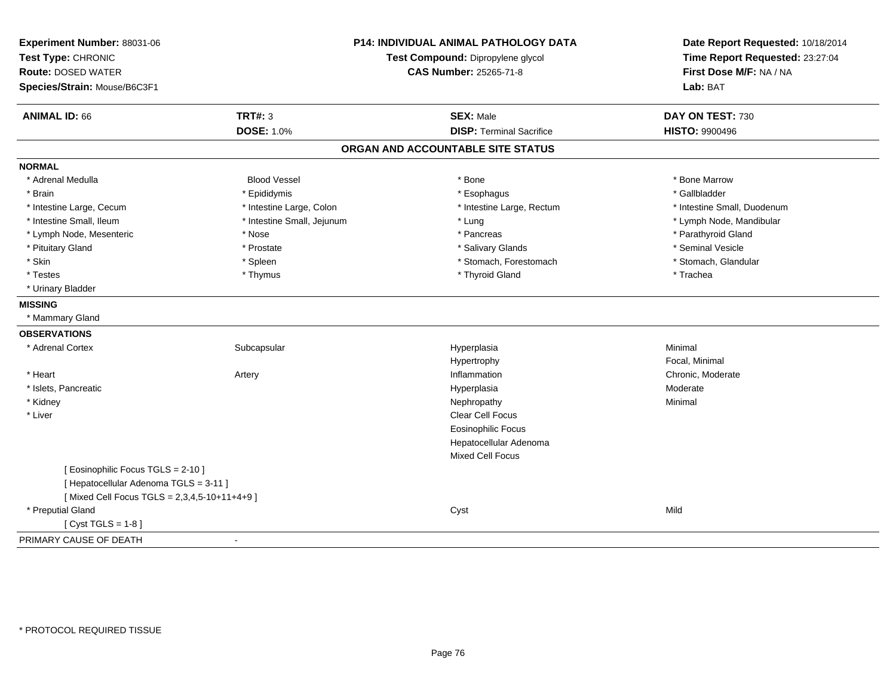| Experiment Number: 88031-06<br>Test Type: CHRONIC<br><b>Route: DOSED WATER</b><br>Species/Strain: Mouse/B6C3F1 |                            | <b>P14: INDIVIDUAL ANIMAL PATHOLOGY DATA</b><br>Test Compound: Dipropylene glycol<br><b>CAS Number: 25265-71-8</b> |                             |
|----------------------------------------------------------------------------------------------------------------|----------------------------|--------------------------------------------------------------------------------------------------------------------|-----------------------------|
| <b>ANIMAL ID: 66</b>                                                                                           | <b>TRT#: 3</b>             | <b>SEX: Male</b>                                                                                                   | DAY ON TEST: 730            |
|                                                                                                                | <b>DOSE: 1.0%</b>          | <b>DISP: Terminal Sacrifice</b>                                                                                    | <b>HISTO: 9900496</b>       |
|                                                                                                                |                            | ORGAN AND ACCOUNTABLE SITE STATUS                                                                                  |                             |
| <b>NORMAL</b>                                                                                                  |                            |                                                                                                                    |                             |
| * Adrenal Medulla                                                                                              | <b>Blood Vessel</b>        | * Bone                                                                                                             | * Bone Marrow               |
| * Brain                                                                                                        | * Epididymis               | * Esophagus                                                                                                        | * Gallbladder               |
| * Intestine Large, Cecum                                                                                       | * Intestine Large, Colon   | * Intestine Large, Rectum                                                                                          | * Intestine Small, Duodenum |
| * Intestine Small, Ileum                                                                                       | * Intestine Small, Jejunum | * Lung                                                                                                             | * Lymph Node, Mandibular    |
| * Lymph Node, Mesenteric                                                                                       | * Nose                     | * Pancreas                                                                                                         | * Parathyroid Gland         |
| * Pituitary Gland                                                                                              | * Prostate                 | * Salivary Glands                                                                                                  | * Seminal Vesicle           |
| * Skin                                                                                                         | * Spleen                   | * Stomach, Forestomach                                                                                             | * Stomach, Glandular        |
| * Testes                                                                                                       | * Thymus                   | * Thyroid Gland                                                                                                    | * Trachea                   |
| * Urinary Bladder                                                                                              |                            |                                                                                                                    |                             |
| <b>MISSING</b>                                                                                                 |                            |                                                                                                                    |                             |
| * Mammary Gland                                                                                                |                            |                                                                                                                    |                             |
| <b>OBSERVATIONS</b>                                                                                            |                            |                                                                                                                    |                             |
| * Adrenal Cortex                                                                                               | Subcapsular                | Hyperplasia                                                                                                        | Minimal                     |
|                                                                                                                |                            | Hypertrophy                                                                                                        | Focal, Minimal              |
| * Heart                                                                                                        | Artery                     | Inflammation                                                                                                       | Chronic, Moderate           |
| * Islets, Pancreatic                                                                                           |                            | Hyperplasia                                                                                                        | Moderate                    |
| * Kidney                                                                                                       |                            | Nephropathy                                                                                                        | Minimal                     |
| * Liver                                                                                                        |                            | Clear Cell Focus                                                                                                   |                             |
|                                                                                                                |                            | <b>Eosinophilic Focus</b>                                                                                          |                             |
|                                                                                                                |                            | Hepatocellular Adenoma                                                                                             |                             |
|                                                                                                                |                            | Mixed Cell Focus                                                                                                   |                             |
| [ Eosinophilic Focus TGLS = 2-10 ]                                                                             |                            |                                                                                                                    |                             |
| [ Hepatocellular Adenoma TGLS = 3-11 ]                                                                         |                            |                                                                                                                    |                             |
| [Mixed Cell Focus TGLS = 2,3,4,5-10+11+4+9]                                                                    |                            |                                                                                                                    |                             |
| * Preputial Gland                                                                                              |                            | Cyst                                                                                                               | Mild                        |
| [ $Cyst TGLS = 1-8$ ]                                                                                          |                            |                                                                                                                    |                             |
| PRIMARY CAUSE OF DEATH                                                                                         |                            |                                                                                                                    |                             |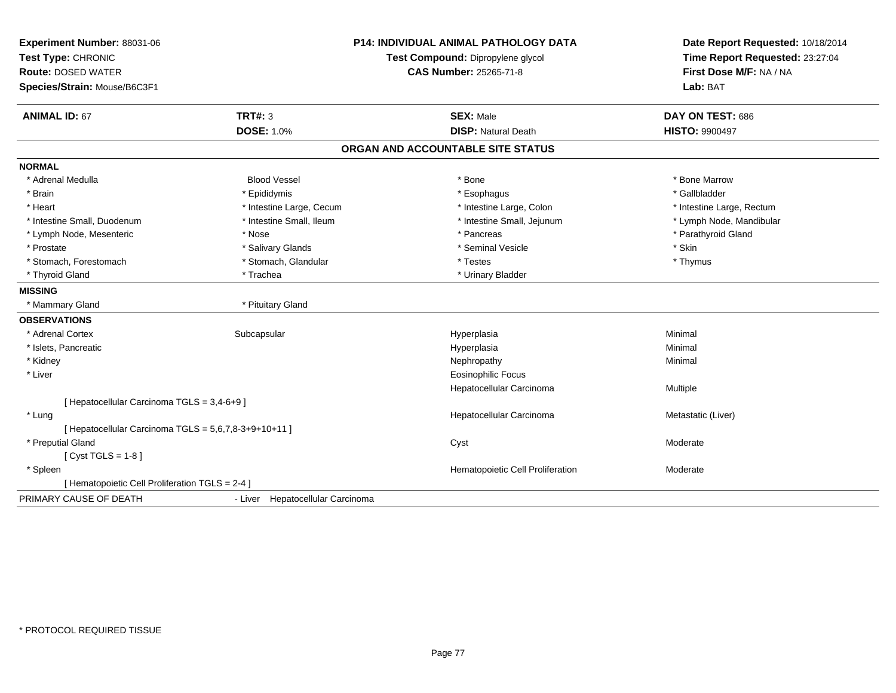| Experiment Number: 88031-06                           |                                   | <b>P14: INDIVIDUAL ANIMAL PATHOLOGY DATA</b> | Date Report Requested: 10/18/2014<br>Time Report Requested: 23:27:04 |
|-------------------------------------------------------|-----------------------------------|----------------------------------------------|----------------------------------------------------------------------|
| Test Type: CHRONIC                                    | Test Compound: Dipropylene glycol |                                              |                                                                      |
| <b>Route: DOSED WATER</b>                             |                                   | <b>CAS Number: 25265-71-8</b>                | First Dose M/F: NA / NA                                              |
| Species/Strain: Mouse/B6C3F1                          |                                   |                                              | Lab: BAT                                                             |
| <b>ANIMAL ID: 67</b>                                  | TRT#: 3                           | <b>SEX: Male</b>                             | DAY ON TEST: 686                                                     |
|                                                       | <b>DOSE: 1.0%</b>                 | <b>DISP: Natural Death</b>                   | <b>HISTO: 9900497</b>                                                |
|                                                       |                                   | ORGAN AND ACCOUNTABLE SITE STATUS            |                                                                      |
| <b>NORMAL</b>                                         |                                   |                                              |                                                                      |
| * Adrenal Medulla                                     | <b>Blood Vessel</b>               | * Bone                                       | * Bone Marrow                                                        |
| * Brain                                               | * Epididymis                      | * Esophagus                                  | * Gallbladder                                                        |
| * Heart                                               | * Intestine Large, Cecum          | * Intestine Large, Colon                     | * Intestine Large, Rectum                                            |
| * Intestine Small, Duodenum                           | * Intestine Small, Ileum          | * Intestine Small, Jejunum                   | * Lymph Node, Mandibular                                             |
| * Lymph Node, Mesenteric                              | * Nose                            | * Pancreas                                   | * Parathyroid Gland                                                  |
| * Prostate                                            | * Salivary Glands                 | * Seminal Vesicle                            | * Skin                                                               |
| * Stomach, Forestomach                                | * Stomach, Glandular              | * Testes                                     | * Thymus                                                             |
| * Thyroid Gland                                       | * Trachea                         | * Urinary Bladder                            |                                                                      |
| <b>MISSING</b>                                        |                                   |                                              |                                                                      |
| * Mammary Gland                                       | * Pituitary Gland                 |                                              |                                                                      |
| <b>OBSERVATIONS</b>                                   |                                   |                                              |                                                                      |
| * Adrenal Cortex                                      | Subcapsular                       | Hyperplasia                                  | Minimal                                                              |
| * Islets, Pancreatic                                  |                                   | Hyperplasia                                  | Minimal                                                              |
| * Kidney                                              |                                   | Nephropathy                                  | Minimal                                                              |
| * Liver                                               |                                   | <b>Eosinophilic Focus</b>                    |                                                                      |
|                                                       |                                   | Hepatocellular Carcinoma                     | Multiple                                                             |
| [ Hepatocellular Carcinoma TGLS = 3,4-6+9 ]           |                                   |                                              |                                                                      |
| * Lung                                                |                                   | Hepatocellular Carcinoma                     | Metastatic (Liver)                                                   |
| [ Hepatocellular Carcinoma TGLS = 5,6,7,8-3+9+10+11 ] |                                   |                                              |                                                                      |
| * Preputial Gland                                     |                                   | Cyst                                         | Moderate                                                             |
| $[Cyst TGLS = 1-8]$                                   |                                   |                                              |                                                                      |
| * Spleen                                              |                                   | Hematopoietic Cell Proliferation             | Moderate                                                             |
| [ Hematopoietic Cell Proliferation TGLS = 2-4 ]       |                                   |                                              |                                                                      |
| PRIMARY CAUSE OF DEATH                                | - Liver Hepatocellular Carcinoma  |                                              |                                                                      |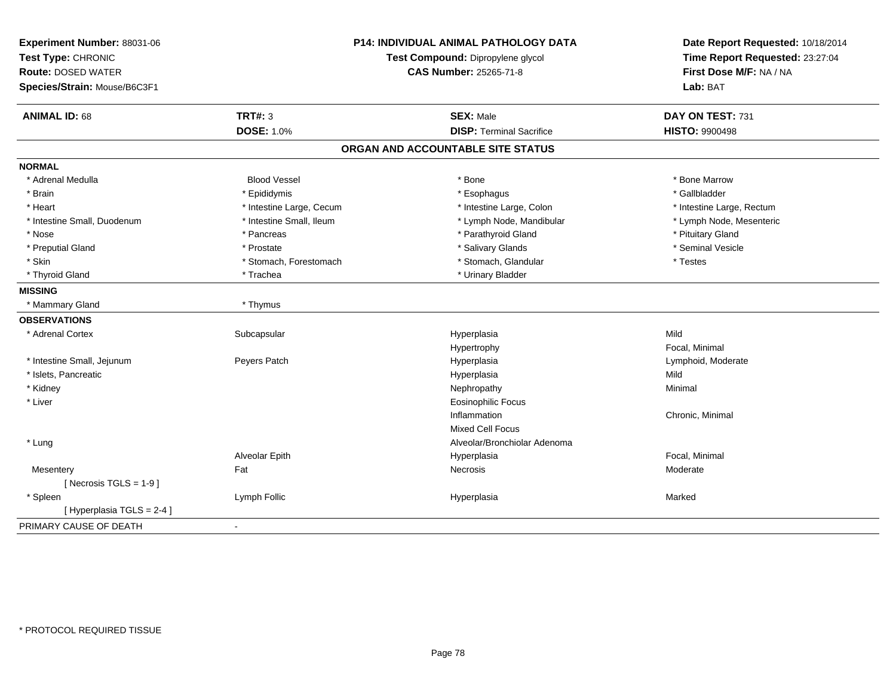| Experiment Number: 88031-06<br>Test Type: CHRONIC<br><b>Route: DOSED WATER</b><br>Species/Strain: Mouse/B6C3F1 |                          | <b>P14: INDIVIDUAL ANIMAL PATHOLOGY DATA</b><br>Test Compound: Dipropylene glycol<br><b>CAS Number: 25265-71-8</b> | Date Report Requested: 10/18/2014<br>Time Report Requested: 23:27:04<br>First Dose M/F: NA / NA<br>Lab: BAT |
|----------------------------------------------------------------------------------------------------------------|--------------------------|--------------------------------------------------------------------------------------------------------------------|-------------------------------------------------------------------------------------------------------------|
| <b>ANIMAL ID: 68</b>                                                                                           | <b>TRT#: 3</b>           | <b>SEX: Male</b>                                                                                                   | DAY ON TEST: 731                                                                                            |
|                                                                                                                | <b>DOSE: 1.0%</b>        | <b>DISP: Terminal Sacrifice</b>                                                                                    | <b>HISTO: 9900498</b>                                                                                       |
|                                                                                                                |                          | ORGAN AND ACCOUNTABLE SITE STATUS                                                                                  |                                                                                                             |
| <b>NORMAL</b>                                                                                                  |                          |                                                                                                                    |                                                                                                             |
| * Adrenal Medulla                                                                                              | <b>Blood Vessel</b>      | * Bone                                                                                                             | * Bone Marrow                                                                                               |
| * Brain                                                                                                        | * Epididymis             | * Esophagus                                                                                                        | * Gallbladder                                                                                               |
| * Heart                                                                                                        | * Intestine Large, Cecum | * Intestine Large, Colon                                                                                           | * Intestine Large, Rectum                                                                                   |
| * Intestine Small, Duodenum                                                                                    | * Intestine Small, Ileum | * Lymph Node, Mandibular                                                                                           | * Lymph Node, Mesenteric                                                                                    |
| * Nose                                                                                                         | * Pancreas               | * Parathyroid Gland                                                                                                | * Pituitary Gland                                                                                           |
| * Preputial Gland                                                                                              | * Prostate               | * Salivary Glands                                                                                                  | * Seminal Vesicle                                                                                           |
| * Skin                                                                                                         | * Stomach, Forestomach   | * Stomach, Glandular                                                                                               | * Testes                                                                                                    |
| * Thyroid Gland                                                                                                | * Trachea                | * Urinary Bladder                                                                                                  |                                                                                                             |
| <b>MISSING</b>                                                                                                 |                          |                                                                                                                    |                                                                                                             |
| * Mammary Gland                                                                                                | * Thymus                 |                                                                                                                    |                                                                                                             |
| <b>OBSERVATIONS</b>                                                                                            |                          |                                                                                                                    |                                                                                                             |
| * Adrenal Cortex                                                                                               | Subcapsular              | Hyperplasia                                                                                                        | Mild                                                                                                        |
|                                                                                                                |                          | Hypertrophy                                                                                                        | Focal, Minimal                                                                                              |
| * Intestine Small, Jejunum                                                                                     | Peyers Patch             | Hyperplasia                                                                                                        | Lymphoid, Moderate                                                                                          |
| * Islets, Pancreatic                                                                                           |                          | Hyperplasia                                                                                                        | Mild                                                                                                        |
| * Kidney                                                                                                       |                          | Nephropathy                                                                                                        | Minimal                                                                                                     |
| * Liver                                                                                                        |                          | <b>Eosinophilic Focus</b>                                                                                          |                                                                                                             |
|                                                                                                                |                          | Inflammation                                                                                                       | Chronic, Minimal                                                                                            |
|                                                                                                                |                          | <b>Mixed Cell Focus</b>                                                                                            |                                                                                                             |
| * Lung                                                                                                         |                          | Alveolar/Bronchiolar Adenoma                                                                                       |                                                                                                             |
|                                                                                                                | Alveolar Epith           | Hyperplasia                                                                                                        | Focal, Minimal                                                                                              |
| Mesentery                                                                                                      | Fat                      | Necrosis                                                                                                           | Moderate                                                                                                    |
| [Necrosis TGLS = $1-9$ ]                                                                                       |                          |                                                                                                                    |                                                                                                             |
| * Spleen                                                                                                       | Lymph Follic             | Hyperplasia                                                                                                        | Marked                                                                                                      |
| [ Hyperplasia TGLS = 2-4 ]                                                                                     |                          |                                                                                                                    |                                                                                                             |
| PRIMARY CAUSE OF DEATH                                                                                         |                          |                                                                                                                    |                                                                                                             |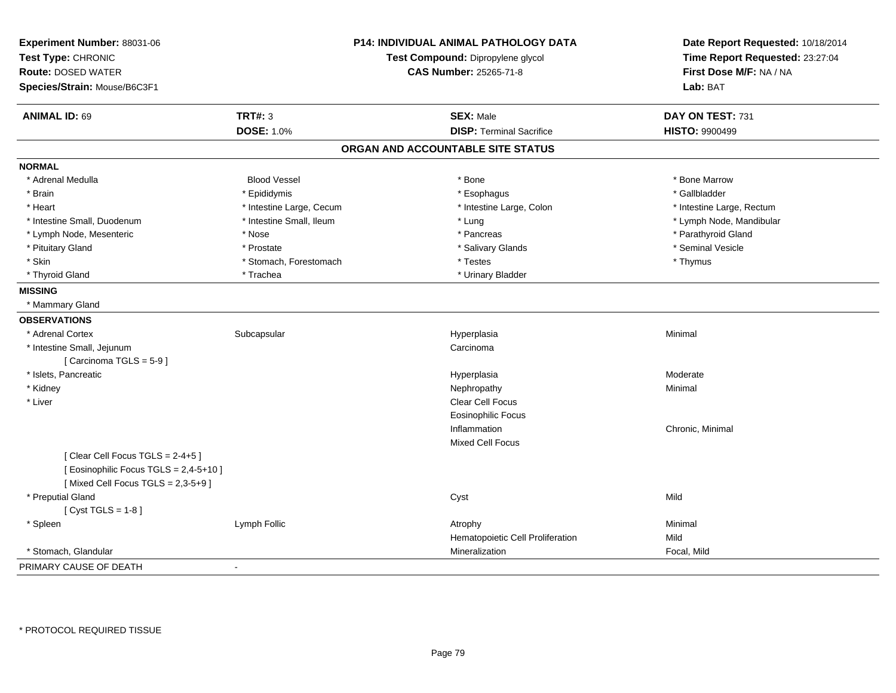| Experiment Number: 88031-06<br>Test Type: CHRONIC<br><b>Route: DOSED WATER</b><br>Species/Strain: Mouse/B6C3F1    |                          | <b>P14: INDIVIDUAL ANIMAL PATHOLOGY DATA</b><br>Test Compound: Dipropylene glycol<br><b>CAS Number: 25265-71-8</b> | Date Report Requested: 10/18/2014<br>Time Report Requested: 23:27:04<br>First Dose M/F: NA / NA<br>Lab: BAT |
|-------------------------------------------------------------------------------------------------------------------|--------------------------|--------------------------------------------------------------------------------------------------------------------|-------------------------------------------------------------------------------------------------------------|
| <b>ANIMAL ID: 69</b>                                                                                              | <b>TRT#: 3</b>           | <b>SEX: Male</b>                                                                                                   | DAY ON TEST: 731                                                                                            |
|                                                                                                                   | <b>DOSE: 1.0%</b>        | <b>DISP: Terminal Sacrifice</b>                                                                                    | <b>HISTO: 9900499</b>                                                                                       |
|                                                                                                                   |                          | ORGAN AND ACCOUNTABLE SITE STATUS                                                                                  |                                                                                                             |
| <b>NORMAL</b>                                                                                                     |                          |                                                                                                                    |                                                                                                             |
| * Adrenal Medulla                                                                                                 | <b>Blood Vessel</b>      | * Bone                                                                                                             | * Bone Marrow                                                                                               |
| * Brain                                                                                                           | * Epididymis             | * Esophagus                                                                                                        | * Gallbladder                                                                                               |
| * Heart                                                                                                           | * Intestine Large, Cecum | * Intestine Large, Colon                                                                                           | * Intestine Large, Rectum                                                                                   |
| * Intestine Small, Duodenum                                                                                       | * Intestine Small, Ileum | * Lung                                                                                                             | * Lymph Node, Mandibular                                                                                    |
| * Lymph Node, Mesenteric                                                                                          | * Nose                   | * Pancreas                                                                                                         | * Parathyroid Gland                                                                                         |
| * Pituitary Gland                                                                                                 | * Prostate               | * Salivary Glands                                                                                                  | * Seminal Vesicle                                                                                           |
| * Skin                                                                                                            | * Stomach, Forestomach   | * Testes                                                                                                           | * Thymus                                                                                                    |
| * Thyroid Gland                                                                                                   | * Trachea                | * Urinary Bladder                                                                                                  |                                                                                                             |
| <b>MISSING</b>                                                                                                    |                          |                                                                                                                    |                                                                                                             |
| * Mammary Gland                                                                                                   |                          |                                                                                                                    |                                                                                                             |
| <b>OBSERVATIONS</b>                                                                                               |                          |                                                                                                                    |                                                                                                             |
| * Adrenal Cortex                                                                                                  | Subcapsular              | Hyperplasia                                                                                                        | Minimal                                                                                                     |
| * Intestine Small, Jejunum                                                                                        |                          | Carcinoma                                                                                                          |                                                                                                             |
| [Carcinoma TGLS = 5-9]                                                                                            |                          |                                                                                                                    |                                                                                                             |
| * Islets, Pancreatic                                                                                              |                          | Hyperplasia                                                                                                        | Moderate                                                                                                    |
| * Kidney                                                                                                          |                          | Nephropathy                                                                                                        | Minimal                                                                                                     |
| * Liver                                                                                                           |                          | Clear Cell Focus                                                                                                   |                                                                                                             |
|                                                                                                                   |                          | <b>Eosinophilic Focus</b>                                                                                          |                                                                                                             |
|                                                                                                                   |                          | Inflammation                                                                                                       | Chronic, Minimal                                                                                            |
|                                                                                                                   |                          | <b>Mixed Cell Focus</b>                                                                                            |                                                                                                             |
| [Clear Cell Focus TGLS = 2-4+5]<br>[ Eosinophilic Focus TGLS = 2,4-5+10 ]<br>[Mixed Cell Focus TGLS = $2,3-5+9$ ] |                          |                                                                                                                    |                                                                                                             |
| * Preputial Gland                                                                                                 |                          | Cyst                                                                                                               | Mild                                                                                                        |
| [Cyst TGLS = $1-8$ ]                                                                                              |                          |                                                                                                                    |                                                                                                             |
| * Spleen                                                                                                          | Lymph Follic             | Atrophy                                                                                                            | Minimal                                                                                                     |
|                                                                                                                   |                          | Hematopoietic Cell Proliferation                                                                                   | Mild                                                                                                        |
| * Stomach, Glandular                                                                                              |                          | Mineralization                                                                                                     | Focal, Mild                                                                                                 |
| PRIMARY CAUSE OF DEATH                                                                                            | $\blacksquare$           |                                                                                                                    |                                                                                                             |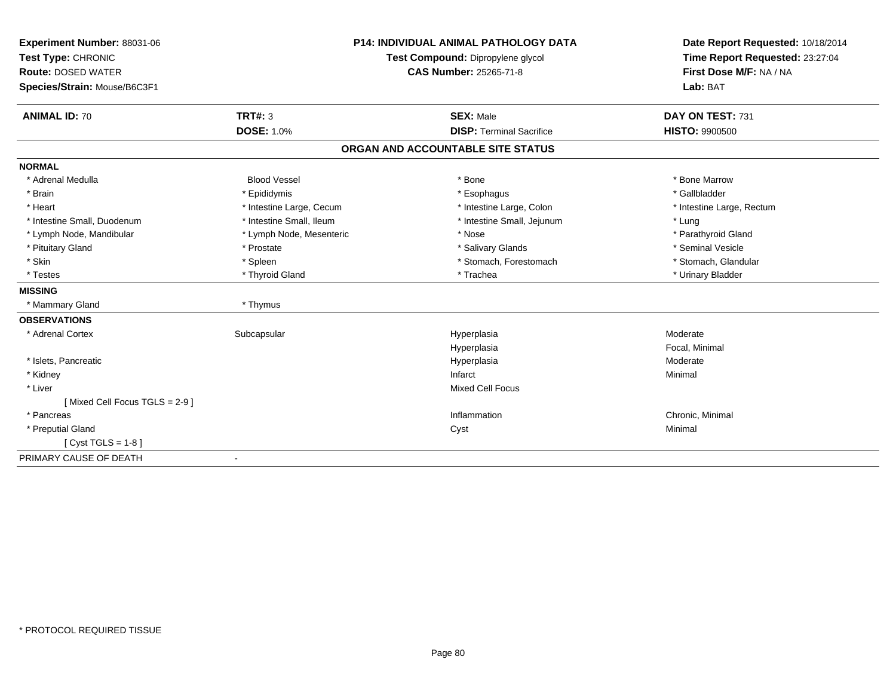| Experiment Number: 88031-06   | <b>P14: INDIVIDUAL ANIMAL PATHOLOGY DATA</b><br>Test Compound: Dipropylene glycol<br><b>CAS Number: 25265-71-8</b> |                                   | Date Report Requested: 10/18/2014<br>Time Report Requested: 23:27:04<br>First Dose M/F: NA / NA |
|-------------------------------|--------------------------------------------------------------------------------------------------------------------|-----------------------------------|-------------------------------------------------------------------------------------------------|
| Test Type: CHRONIC            |                                                                                                                    |                                   |                                                                                                 |
| <b>Route: DOSED WATER</b>     |                                                                                                                    |                                   |                                                                                                 |
| Species/Strain: Mouse/B6C3F1  |                                                                                                                    |                                   | Lab: BAT                                                                                        |
|                               |                                                                                                                    |                                   |                                                                                                 |
| <b>ANIMAL ID: 70</b>          | <b>TRT#: 3</b>                                                                                                     | <b>SEX: Male</b>                  | DAY ON TEST: 731                                                                                |
|                               | <b>DOSE: 1.0%</b>                                                                                                  | <b>DISP: Terminal Sacrifice</b>   | <b>HISTO: 9900500</b>                                                                           |
|                               |                                                                                                                    | ORGAN AND ACCOUNTABLE SITE STATUS |                                                                                                 |
| <b>NORMAL</b>                 |                                                                                                                    |                                   |                                                                                                 |
| * Adrenal Medulla             | <b>Blood Vessel</b>                                                                                                | * Bone                            | * Bone Marrow                                                                                   |
| * Brain                       | * Epididymis                                                                                                       | * Esophagus                       | * Gallbladder                                                                                   |
| * Heart                       | * Intestine Large, Cecum                                                                                           | * Intestine Large, Colon          | * Intestine Large, Rectum                                                                       |
| * Intestine Small, Duodenum   | * Intestine Small, Ileum                                                                                           | * Intestine Small, Jejunum        | * Lung                                                                                          |
| * Lymph Node, Mandibular      | * Lymph Node, Mesenteric                                                                                           | * Nose                            | * Parathyroid Gland                                                                             |
| * Pituitary Gland             | * Prostate                                                                                                         | * Salivary Glands                 | * Seminal Vesicle                                                                               |
| * Skin                        | * Spleen                                                                                                           | * Stomach, Forestomach            | * Stomach, Glandular                                                                            |
| * Testes                      | * Thyroid Gland                                                                                                    | * Trachea                         | * Urinary Bladder                                                                               |
| <b>MISSING</b>                |                                                                                                                    |                                   |                                                                                                 |
| * Mammary Gland               | * Thymus                                                                                                           |                                   |                                                                                                 |
| <b>OBSERVATIONS</b>           |                                                                                                                    |                                   |                                                                                                 |
| * Adrenal Cortex              | Subcapsular                                                                                                        | Hyperplasia                       | Moderate                                                                                        |
|                               |                                                                                                                    | Hyperplasia                       | Focal, Minimal                                                                                  |
| * Islets, Pancreatic          |                                                                                                                    | Hyperplasia                       | Moderate                                                                                        |
| * Kidney                      |                                                                                                                    | Infarct                           | Minimal                                                                                         |
| * Liver                       |                                                                                                                    | <b>Mixed Cell Focus</b>           |                                                                                                 |
| [Mixed Cell Focus TGLS = 2-9] |                                                                                                                    |                                   |                                                                                                 |
| * Pancreas                    |                                                                                                                    | Inflammation                      | Chronic, Minimal                                                                                |
| * Preputial Gland             |                                                                                                                    | Cyst                              | Minimal                                                                                         |
| [Cyst TGLS = $1-8$ ]          |                                                                                                                    |                                   |                                                                                                 |
| PRIMARY CAUSE OF DEATH        | ٠                                                                                                                  |                                   |                                                                                                 |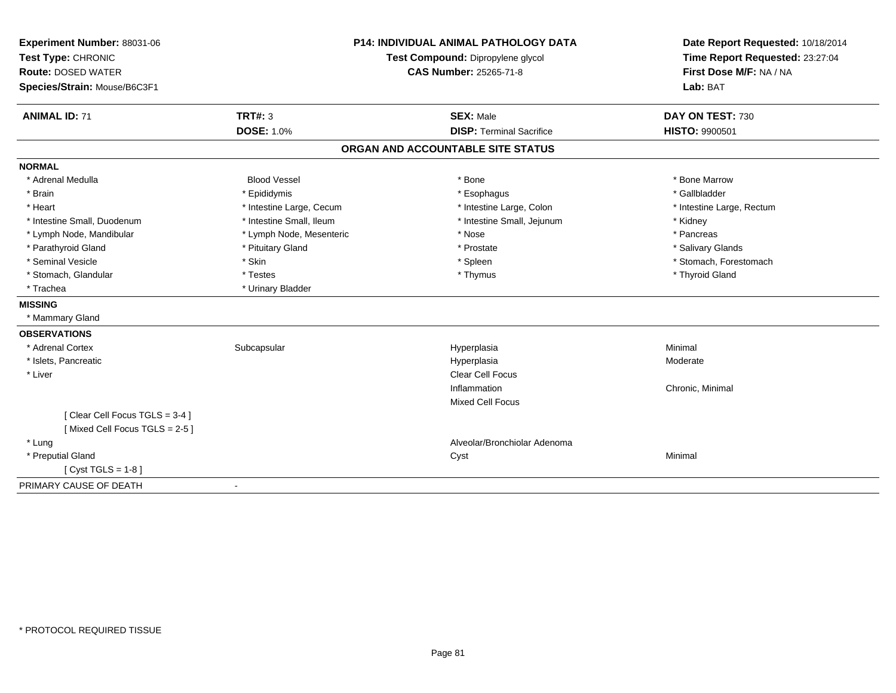| Experiment Number: 88031-06   |                          | <b>P14: INDIVIDUAL ANIMAL PATHOLOGY DATA</b> | Date Report Requested: 10/18/2014                          |
|-------------------------------|--------------------------|----------------------------------------------|------------------------------------------------------------|
| Test Type: CHRONIC            |                          | Test Compound: Dipropylene glycol            | Time Report Requested: 23:27:04<br>First Dose M/F: NA / NA |
| <b>Route: DOSED WATER</b>     |                          | CAS Number: 25265-71-8                       |                                                            |
| Species/Strain: Mouse/B6C3F1  |                          |                                              | Lab: BAT                                                   |
| <b>ANIMAL ID: 71</b>          | <b>TRT#: 3</b>           | <b>SEX: Male</b>                             | DAY ON TEST: 730                                           |
|                               | <b>DOSE: 1.0%</b>        | <b>DISP: Terminal Sacrifice</b>              | HISTO: 9900501                                             |
|                               |                          | ORGAN AND ACCOUNTABLE SITE STATUS            |                                                            |
| <b>NORMAL</b>                 |                          |                                              |                                                            |
| * Adrenal Medulla             | <b>Blood Vessel</b>      | * Bone                                       | * Bone Marrow                                              |
| * Brain                       | * Epididymis             | * Esophagus                                  | * Gallbladder                                              |
| * Heart                       | * Intestine Large, Cecum | * Intestine Large, Colon                     | * Intestine Large, Rectum                                  |
| * Intestine Small. Duodenum   | * Intestine Small, Ileum | * Intestine Small, Jejunum                   | * Kidney                                                   |
| * Lymph Node, Mandibular      | * Lymph Node, Mesenteric | * Nose                                       | * Pancreas                                                 |
| * Parathyroid Gland           | * Pituitary Gland        | * Prostate                                   | * Salivary Glands                                          |
| * Seminal Vesicle             | * Skin                   | * Spleen                                     | * Stomach, Forestomach                                     |
| * Stomach, Glandular          | * Testes                 | * Thymus                                     | * Thyroid Gland                                            |
| * Trachea                     | * Urinary Bladder        |                                              |                                                            |
| <b>MISSING</b>                |                          |                                              |                                                            |
| * Mammary Gland               |                          |                                              |                                                            |
| <b>OBSERVATIONS</b>           |                          |                                              |                                                            |
| * Adrenal Cortex              | Subcapsular              | Hyperplasia                                  | Minimal                                                    |
| * Islets, Pancreatic          |                          | Hyperplasia                                  | Moderate                                                   |
| * Liver                       |                          | Clear Cell Focus                             |                                                            |
|                               |                          | Inflammation                                 | Chronic, Minimal                                           |
|                               |                          | <b>Mixed Cell Focus</b>                      |                                                            |
| [Clear Cell Focus TGLS = 3-4] |                          |                                              |                                                            |
| [Mixed Cell Focus TGLS = 2-5] |                          |                                              |                                                            |
| * Lung                        |                          | Alveolar/Bronchiolar Adenoma                 |                                                            |
| * Preputial Gland             |                          | Cyst                                         | Minimal                                                    |
| [Cyst TGLS = $1-8$ ]          |                          |                                              |                                                            |
| PRIMARY CAUSE OF DEATH        |                          |                                              |                                                            |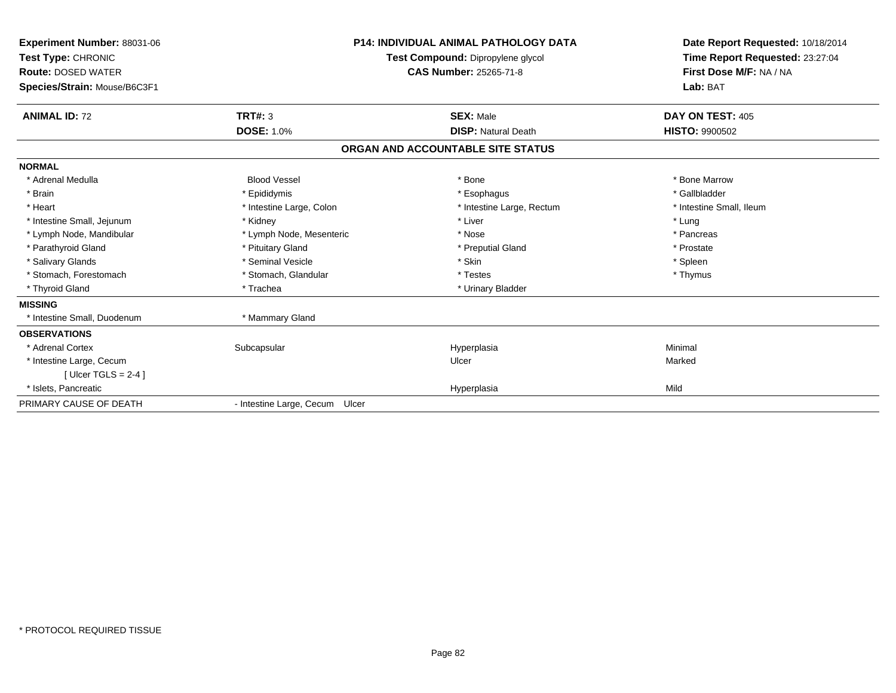| <b>Experiment Number: 88031-06</b><br>Test Type: CHRONIC<br><b>Route: DOSED WATER</b><br>Species/Strain: Mouse/B6C3F1 |                                | <b>P14: INDIVIDUAL ANIMAL PATHOLOGY DATA</b><br>Test Compound: Dipropylene glycol<br><b>CAS Number: 25265-71-8</b> | Date Report Requested: 10/18/2014<br>Time Report Requested: 23:27:04<br>First Dose M/F: NA / NA<br>Lab: BAT |
|-----------------------------------------------------------------------------------------------------------------------|--------------------------------|--------------------------------------------------------------------------------------------------------------------|-------------------------------------------------------------------------------------------------------------|
| <b>ANIMAL ID: 72</b>                                                                                                  | TRT#: 3                        | <b>SEX: Male</b>                                                                                                   | DAY ON TEST: 405                                                                                            |
|                                                                                                                       | <b>DOSE: 1.0%</b>              | <b>DISP: Natural Death</b>                                                                                         | <b>HISTO: 9900502</b>                                                                                       |
|                                                                                                                       |                                | ORGAN AND ACCOUNTABLE SITE STATUS                                                                                  |                                                                                                             |
| <b>NORMAL</b>                                                                                                         |                                |                                                                                                                    |                                                                                                             |
| * Adrenal Medulla                                                                                                     | <b>Blood Vessel</b>            | * Bone                                                                                                             | * Bone Marrow                                                                                               |
| * Brain                                                                                                               | * Epididymis                   | * Esophagus                                                                                                        | * Gallbladder                                                                                               |
| * Heart                                                                                                               | * Intestine Large, Colon       | * Intestine Large, Rectum                                                                                          | * Intestine Small, Ileum                                                                                    |
| * Intestine Small, Jejunum                                                                                            | * Kidney                       | * Liver                                                                                                            | * Lung                                                                                                      |
| * Lymph Node, Mandibular                                                                                              | * Lymph Node, Mesenteric       | * Nose                                                                                                             | * Pancreas                                                                                                  |
| * Parathyroid Gland                                                                                                   | * Pituitary Gland              | * Preputial Gland                                                                                                  | * Prostate                                                                                                  |
| * Salivary Glands                                                                                                     | * Seminal Vesicle              | * Skin                                                                                                             | * Spleen                                                                                                    |
| * Stomach, Forestomach                                                                                                | * Stomach, Glandular           | * Testes                                                                                                           | * Thymus                                                                                                    |
| * Thyroid Gland                                                                                                       | * Trachea                      | * Urinary Bladder                                                                                                  |                                                                                                             |
| <b>MISSING</b>                                                                                                        |                                |                                                                                                                    |                                                                                                             |
| * Intestine Small, Duodenum                                                                                           | * Mammary Gland                |                                                                                                                    |                                                                                                             |
| <b>OBSERVATIONS</b>                                                                                                   |                                |                                                                                                                    |                                                                                                             |
| * Adrenal Cortex                                                                                                      | Subcapsular                    | Hyperplasia                                                                                                        | Minimal                                                                                                     |
| * Intestine Large, Cecum                                                                                              |                                | Ulcer                                                                                                              | Marked                                                                                                      |
| [ Ulcer TGLS = $2-4$ ]                                                                                                |                                |                                                                                                                    |                                                                                                             |
| * Islets. Pancreatic                                                                                                  |                                | Hyperplasia                                                                                                        | Mild                                                                                                        |
| PRIMARY CAUSE OF DEATH                                                                                                | - Intestine Large, Cecum Ulcer |                                                                                                                    |                                                                                                             |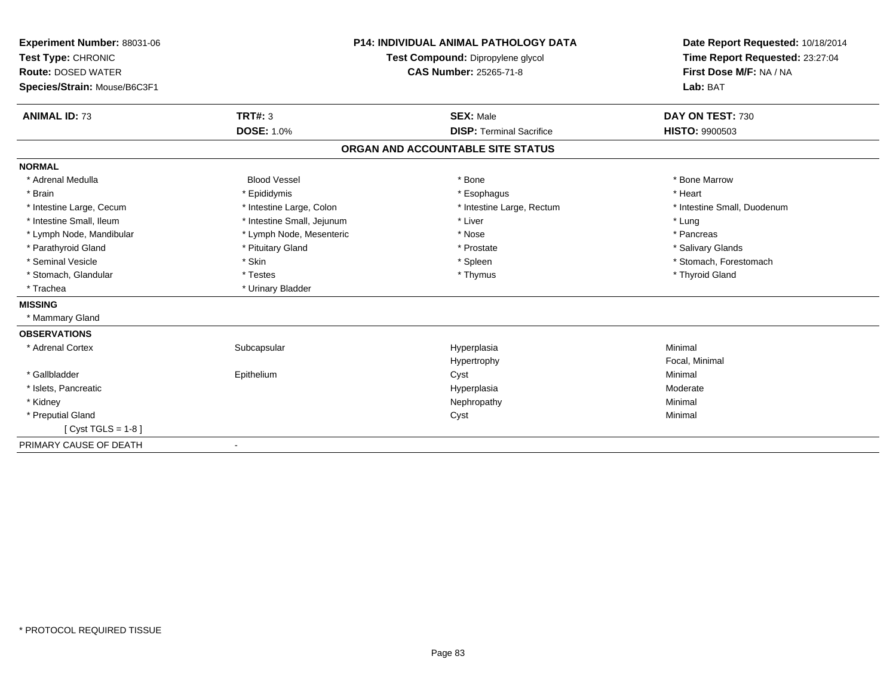| Experiment Number: 88031-06<br>Test Type: CHRONIC<br><b>Route: DOSED WATER</b> |                            | <b>P14: INDIVIDUAL ANIMAL PATHOLOGY DATA</b><br>Test Compound: Dipropylene glycol<br><b>CAS Number: 25265-71-8</b> | Date Report Requested: 10/18/2014<br>Time Report Requested: 23:27:04<br>First Dose M/F: NA / NA |
|--------------------------------------------------------------------------------|----------------------------|--------------------------------------------------------------------------------------------------------------------|-------------------------------------------------------------------------------------------------|
| Species/Strain: Mouse/B6C3F1                                                   |                            |                                                                                                                    | Lab: BAT                                                                                        |
| <b>ANIMAL ID: 73</b>                                                           | TRT#: 3                    | <b>SEX: Male</b>                                                                                                   | DAY ON TEST: 730                                                                                |
|                                                                                | <b>DOSE: 1.0%</b>          | <b>DISP: Terminal Sacrifice</b>                                                                                    | <b>HISTO: 9900503</b>                                                                           |
|                                                                                |                            | ORGAN AND ACCOUNTABLE SITE STATUS                                                                                  |                                                                                                 |
| <b>NORMAL</b>                                                                  |                            |                                                                                                                    |                                                                                                 |
| * Adrenal Medulla                                                              | <b>Blood Vessel</b>        | * Bone                                                                                                             | * Bone Marrow                                                                                   |
| * Brain                                                                        | * Epididymis               | * Esophagus                                                                                                        | * Heart                                                                                         |
| * Intestine Large, Cecum                                                       | * Intestine Large, Colon   | * Intestine Large, Rectum                                                                                          | * Intestine Small, Duodenum                                                                     |
| * Intestine Small, Ileum                                                       | * Intestine Small, Jejunum | * Liver                                                                                                            | * Lung                                                                                          |
| * Lymph Node, Mandibular                                                       | * Lymph Node, Mesenteric   | * Nose                                                                                                             | * Pancreas                                                                                      |
| * Parathyroid Gland                                                            | * Pituitary Gland          | * Prostate                                                                                                         | * Salivary Glands                                                                               |
| * Seminal Vesicle                                                              | * Skin                     | * Spleen                                                                                                           | * Stomach, Forestomach                                                                          |
| * Stomach, Glandular                                                           | * Testes                   | * Thymus                                                                                                           | * Thyroid Gland                                                                                 |
| * Trachea                                                                      | * Urinary Bladder          |                                                                                                                    |                                                                                                 |
| <b>MISSING</b>                                                                 |                            |                                                                                                                    |                                                                                                 |
| * Mammary Gland                                                                |                            |                                                                                                                    |                                                                                                 |
| <b>OBSERVATIONS</b>                                                            |                            |                                                                                                                    |                                                                                                 |
| * Adrenal Cortex                                                               | Subcapsular                | Hyperplasia                                                                                                        | Minimal                                                                                         |
|                                                                                |                            | Hypertrophy                                                                                                        | Focal, Minimal                                                                                  |
| * Gallbladder                                                                  | Epithelium                 | Cyst                                                                                                               | Minimal                                                                                         |
| * Islets, Pancreatic                                                           |                            | Hyperplasia                                                                                                        | Moderate                                                                                        |
| * Kidney                                                                       |                            | Nephropathy                                                                                                        | Minimal                                                                                         |
| * Preputial Gland                                                              |                            | Cyst                                                                                                               | Minimal                                                                                         |
| [ $Cyst TGLS = 1-8$ ]                                                          |                            |                                                                                                                    |                                                                                                 |
| PRIMARY CAUSE OF DEATH                                                         |                            |                                                                                                                    |                                                                                                 |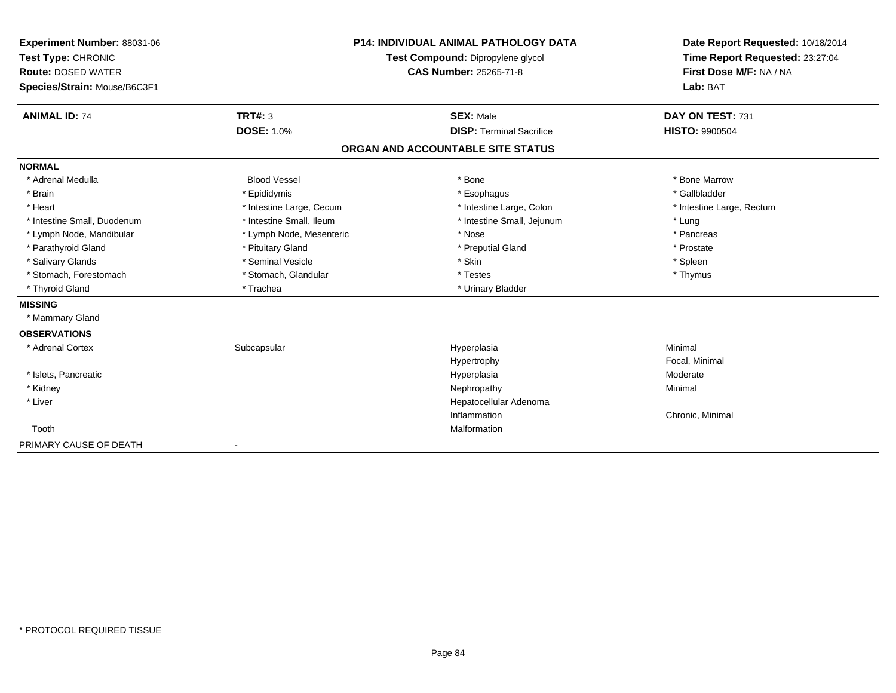| Experiment Number: 88031-06  | <b>P14: INDIVIDUAL ANIMAL PATHOLOGY DATA</b> |                                   | Date Report Requested: 10/18/2014<br>Time Report Requested: 23:27:04 |
|------------------------------|----------------------------------------------|-----------------------------------|----------------------------------------------------------------------|
| Test Type: CHRONIC           |                                              | Test Compound: Dipropylene glycol |                                                                      |
| <b>Route: DOSED WATER</b>    | <b>CAS Number: 25265-71-8</b>                |                                   | First Dose M/F: NA / NA                                              |
| Species/Strain: Mouse/B6C3F1 |                                              |                                   | Lab: BAT                                                             |
| <b>ANIMAL ID: 74</b>         | TRT#: 3                                      | <b>SEX: Male</b>                  | DAY ON TEST: 731                                                     |
|                              | <b>DOSE: 1.0%</b>                            | <b>DISP: Terminal Sacrifice</b>   | <b>HISTO: 9900504</b>                                                |
|                              |                                              | ORGAN AND ACCOUNTABLE SITE STATUS |                                                                      |
| <b>NORMAL</b>                |                                              |                                   |                                                                      |
| * Adrenal Medulla            | <b>Blood Vessel</b>                          | * Bone                            | * Bone Marrow                                                        |
| * Brain                      | * Epididymis                                 | * Esophagus                       | * Gallbladder                                                        |
| * Heart                      | * Intestine Large, Cecum                     | * Intestine Large, Colon          | * Intestine Large, Rectum                                            |
| * Intestine Small, Duodenum  | * Intestine Small, Ileum                     | * Intestine Small, Jejunum        | * Lung                                                               |
| * Lymph Node, Mandibular     | * Lymph Node, Mesenteric                     | * Nose                            | * Pancreas                                                           |
| * Parathyroid Gland          | * Pituitary Gland                            | * Preputial Gland                 | * Prostate                                                           |
| * Salivary Glands            | * Seminal Vesicle                            | * Skin                            | * Spleen                                                             |
| * Stomach, Forestomach       | * Stomach, Glandular                         | * Testes                          | * Thymus                                                             |
| * Thyroid Gland              | * Trachea                                    | * Urinary Bladder                 |                                                                      |
| <b>MISSING</b>               |                                              |                                   |                                                                      |
| * Mammary Gland              |                                              |                                   |                                                                      |
| <b>OBSERVATIONS</b>          |                                              |                                   |                                                                      |
| * Adrenal Cortex             | Subcapsular                                  | Hyperplasia                       | Minimal                                                              |
|                              |                                              | Hypertrophy                       | Focal, Minimal                                                       |
| * Islets, Pancreatic         |                                              | Hyperplasia                       | Moderate                                                             |
| * Kidney                     |                                              | Nephropathy                       | Minimal                                                              |
| * Liver                      |                                              | Hepatocellular Adenoma            |                                                                      |
|                              |                                              | Inflammation                      | Chronic, Minimal                                                     |
| Tooth                        |                                              | Malformation                      |                                                                      |
| PRIMARY CAUSE OF DEATH       | $\overline{\phantom{a}}$                     |                                   |                                                                      |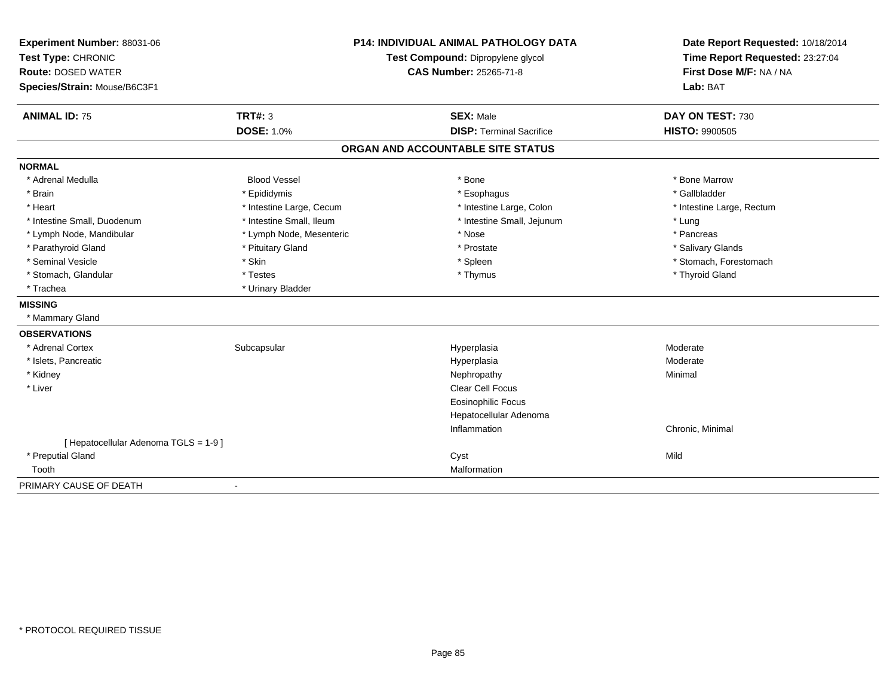| Experiment Number: 88031-06           | <b>P14: INDIVIDUAL ANIMAL PATHOLOGY DATA</b> |                                   | Date Report Requested: 10/18/2014                          |  |
|---------------------------------------|----------------------------------------------|-----------------------------------|------------------------------------------------------------|--|
| Test Type: CHRONIC                    |                                              | Test Compound: Dipropylene glycol | Time Report Requested: 23:27:04<br>First Dose M/F: NA / NA |  |
| <b>Route: DOSED WATER</b>             |                                              | <b>CAS Number: 25265-71-8</b>     |                                                            |  |
| Species/Strain: Mouse/B6C3F1          |                                              |                                   | Lab: BAT                                                   |  |
| <b>ANIMAL ID: 75</b>                  | <b>TRT#: 3</b>                               | <b>SEX: Male</b>                  | DAY ON TEST: 730                                           |  |
|                                       | <b>DOSE: 1.0%</b>                            | <b>DISP: Terminal Sacrifice</b>   | <b>HISTO: 9900505</b>                                      |  |
|                                       |                                              | ORGAN AND ACCOUNTABLE SITE STATUS |                                                            |  |
| <b>NORMAL</b>                         |                                              |                                   |                                                            |  |
| * Adrenal Medulla                     | <b>Blood Vessel</b>                          | * Bone                            | * Bone Marrow                                              |  |
| * Brain                               | * Epididymis                                 | * Esophagus                       | * Gallbladder                                              |  |
| * Heart                               | * Intestine Large, Cecum                     | * Intestine Large, Colon          | * Intestine Large, Rectum                                  |  |
| * Intestine Small, Duodenum           | * Intestine Small, Ileum                     | * Intestine Small, Jejunum        | * Lung                                                     |  |
| * Lymph Node, Mandibular              | * Lymph Node, Mesenteric                     | * Nose                            | * Pancreas                                                 |  |
| * Parathyroid Gland                   | * Pituitary Gland                            | * Prostate                        | * Salivary Glands                                          |  |
| * Seminal Vesicle                     | * Skin                                       | * Spleen                          | * Stomach, Forestomach                                     |  |
| * Stomach, Glandular                  | * Testes                                     | * Thymus                          | * Thyroid Gland                                            |  |
| * Trachea                             | * Urinary Bladder                            |                                   |                                                            |  |
| <b>MISSING</b>                        |                                              |                                   |                                                            |  |
| * Mammary Gland                       |                                              |                                   |                                                            |  |
| <b>OBSERVATIONS</b>                   |                                              |                                   |                                                            |  |
| * Adrenal Cortex                      | Subcapsular                                  | Hyperplasia                       | Moderate                                                   |  |
| * Islets, Pancreatic                  |                                              | Hyperplasia                       | Moderate                                                   |  |
| * Kidney                              |                                              | Nephropathy                       | Minimal                                                    |  |
| * Liver                               |                                              | <b>Clear Cell Focus</b>           |                                                            |  |
|                                       |                                              | <b>Eosinophilic Focus</b>         |                                                            |  |
|                                       |                                              | Hepatocellular Adenoma            |                                                            |  |
|                                       |                                              | Inflammation                      | Chronic, Minimal                                           |  |
| [ Hepatocellular Adenoma TGLS = 1-9 ] |                                              |                                   |                                                            |  |
| * Preputial Gland                     |                                              | Cyst                              | Mild                                                       |  |
| Tooth                                 |                                              | Malformation                      |                                                            |  |
| PRIMARY CAUSE OF DEATH                |                                              |                                   |                                                            |  |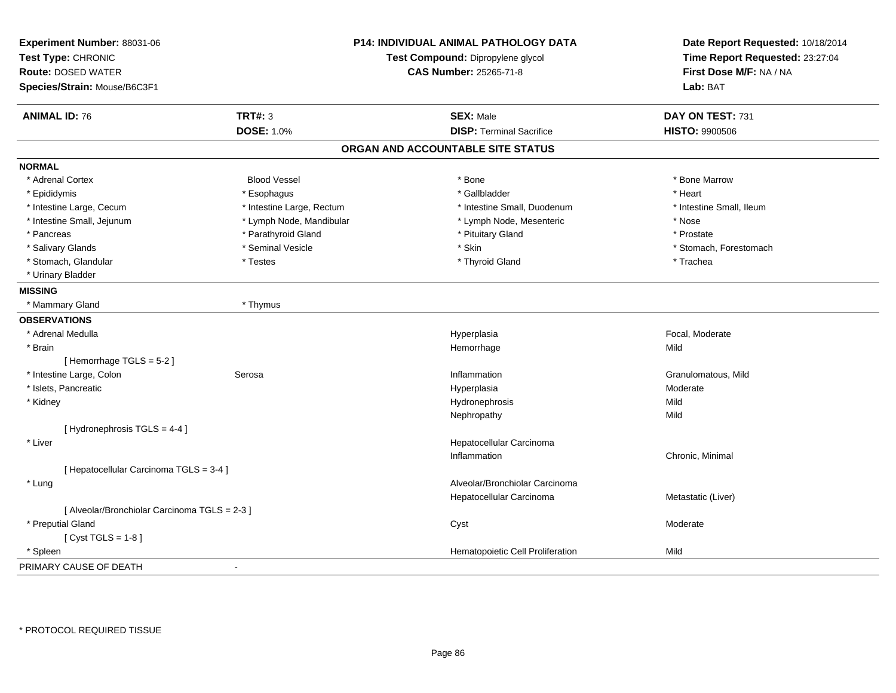| Test Type: CHRONIC<br><b>Route: DOSED WATER</b><br>Species/Strain: Mouse/B6C3F1 | P14: INDIVIDUAL ANIMAL PATHOLOGY DATA<br>Test Compound: Dipropylene glycol<br><b>CAS Number: 25265-71-8</b> | Date Report Requested: 10/18/2014<br>Time Report Requested: 23:27:04<br>First Dose M/F: NA / NA<br>Lab: BAT |
|---------------------------------------------------------------------------------|-------------------------------------------------------------------------------------------------------------|-------------------------------------------------------------------------------------------------------------|
| <b>TRT#: 3</b>                                                                  | <b>SEX: Male</b>                                                                                            |                                                                                                             |
| <b>ANIMAL ID: 76</b><br><b>DOSE: 1.0%</b>                                       | <b>DISP: Terminal Sacrifice</b>                                                                             | DAY ON TEST: 731<br><b>HISTO: 9900506</b>                                                                   |
|                                                                                 | ORGAN AND ACCOUNTABLE SITE STATUS                                                                           |                                                                                                             |
| <b>NORMAL</b>                                                                   |                                                                                                             |                                                                                                             |
| <b>Blood Vessel</b><br>* Adrenal Cortex                                         | * Bone                                                                                                      | * Bone Marrow                                                                                               |
| * Epididymis<br>* Esophagus                                                     | * Gallbladder                                                                                               | * Heart                                                                                                     |
| * Intestine Large, Cecum<br>* Intestine Large, Rectum                           | * Intestine Small, Duodenum                                                                                 | * Intestine Small, Ileum                                                                                    |
| * Intestine Small, Jejunum<br>* Lymph Node, Mandibular                          | * Lymph Node, Mesenteric                                                                                    | * Nose                                                                                                      |
| * Parathyroid Gland<br>* Pancreas                                               | * Pituitary Gland                                                                                           | * Prostate                                                                                                  |
| * Salivary Glands<br>* Seminal Vesicle                                          | * Skin                                                                                                      | * Stomach, Forestomach                                                                                      |
| * Stomach, Glandular<br>* Testes                                                | * Thyroid Gland                                                                                             | * Trachea                                                                                                   |
| * Urinary Bladder                                                               |                                                                                                             |                                                                                                             |
| <b>MISSING</b>                                                                  |                                                                                                             |                                                                                                             |
| * Mammary Gland<br>* Thymus                                                     |                                                                                                             |                                                                                                             |
| <b>OBSERVATIONS</b>                                                             |                                                                                                             |                                                                                                             |
| * Adrenal Medulla                                                               | Hyperplasia                                                                                                 | Focal, Moderate                                                                                             |
| * Brain                                                                         | Hemorrhage                                                                                                  | Mild                                                                                                        |
| [Hemorrhage TGLS = 5-2]                                                         |                                                                                                             |                                                                                                             |
| * Intestine Large, Colon<br>Serosa                                              | Inflammation                                                                                                | Granulomatous, Mild                                                                                         |
| * Islets, Pancreatic                                                            |                                                                                                             | Moderate                                                                                                    |
|                                                                                 | Hyperplasia                                                                                                 | Mild                                                                                                        |
| * Kidney                                                                        | Hydronephrosis                                                                                              | Mild                                                                                                        |
| [Hydronephrosis TGLS = 4-4]                                                     | Nephropathy                                                                                                 |                                                                                                             |
| * Liver                                                                         | Hepatocellular Carcinoma                                                                                    |                                                                                                             |
|                                                                                 | Inflammation                                                                                                | Chronic, Minimal                                                                                            |
| [ Hepatocellular Carcinoma TGLS = 3-4 ]                                         |                                                                                                             |                                                                                                             |
| * Lung                                                                          | Alveolar/Bronchiolar Carcinoma                                                                              |                                                                                                             |
|                                                                                 | Hepatocellular Carcinoma                                                                                    | Metastatic (Liver)                                                                                          |
| [ Alveolar/Bronchiolar Carcinoma TGLS = 2-3 ]                                   |                                                                                                             |                                                                                                             |
| * Preputial Gland                                                               | Cyst                                                                                                        | Moderate                                                                                                    |
| [Cyst TGLS = $1-8$ ]                                                            |                                                                                                             |                                                                                                             |
| * Spleen                                                                        | Hematopoietic Cell Proliferation                                                                            | Mild                                                                                                        |
| PRIMARY CAUSE OF DEATH<br>$\blacksquare$                                        |                                                                                                             |                                                                                                             |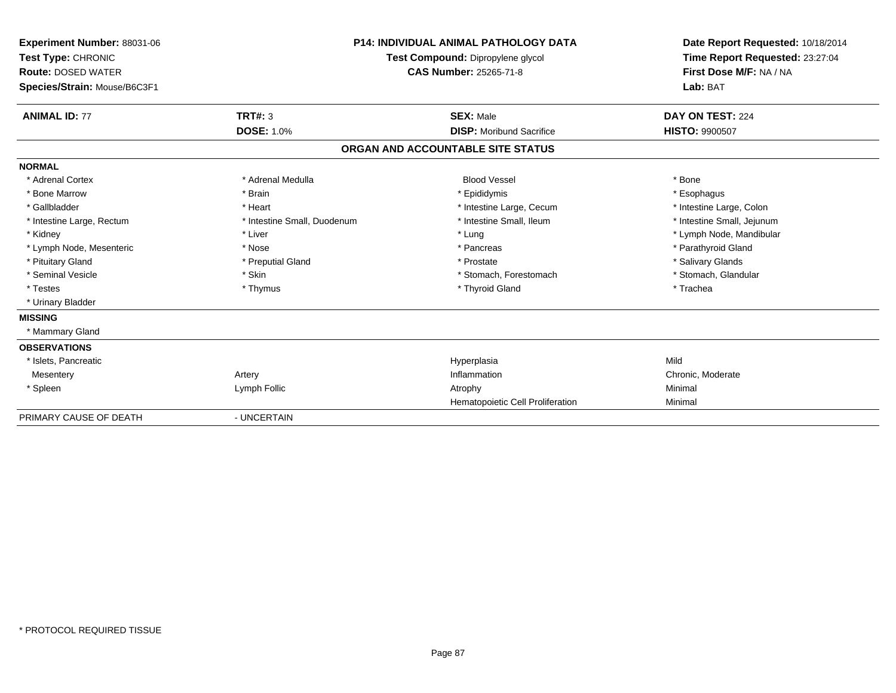| <b>Experiment Number: 88031-06</b><br>Test Type: CHRONIC<br><b>Route: DOSED WATER</b><br>Species/Strain: Mouse/B6C3F1 |                             | <b>P14: INDIVIDUAL ANIMAL PATHOLOGY DATA</b><br>Test Compound: Dipropylene glycol<br><b>CAS Number: 25265-71-8</b> | Date Report Requested: 10/18/2014<br>Time Report Requested: 23:27:04<br>First Dose M/F: NA / NA<br>Lab: BAT |
|-----------------------------------------------------------------------------------------------------------------------|-----------------------------|--------------------------------------------------------------------------------------------------------------------|-------------------------------------------------------------------------------------------------------------|
| <b>ANIMAL ID: 77</b>                                                                                                  | <b>TRT#: 3</b>              | <b>SEX: Male</b>                                                                                                   | DAY ON TEST: 224                                                                                            |
|                                                                                                                       | <b>DOSE: 1.0%</b>           | <b>DISP: Moribund Sacrifice</b>                                                                                    | <b>HISTO: 9900507</b>                                                                                       |
|                                                                                                                       |                             | ORGAN AND ACCOUNTABLE SITE STATUS                                                                                  |                                                                                                             |
| <b>NORMAL</b>                                                                                                         |                             |                                                                                                                    |                                                                                                             |
| * Adrenal Cortex                                                                                                      | * Adrenal Medulla           | <b>Blood Vessel</b>                                                                                                | * Bone                                                                                                      |
| * Bone Marrow                                                                                                         | * Brain                     | * Epididymis                                                                                                       | * Esophagus                                                                                                 |
| * Gallbladder                                                                                                         | * Heart                     | * Intestine Large, Cecum                                                                                           | * Intestine Large, Colon                                                                                    |
| * Intestine Large, Rectum                                                                                             | * Intestine Small, Duodenum | * Intestine Small. Ileum                                                                                           | * Intestine Small, Jejunum                                                                                  |
| * Kidney                                                                                                              | * Liver                     | * Lung                                                                                                             | * Lymph Node, Mandibular                                                                                    |
| * Lymph Node, Mesenteric                                                                                              | * Nose                      | * Pancreas                                                                                                         | * Parathyroid Gland                                                                                         |
| * Pituitary Gland                                                                                                     | * Preputial Gland           | * Prostate                                                                                                         | * Salivary Glands                                                                                           |
| * Seminal Vesicle                                                                                                     | * Skin                      | * Stomach. Forestomach                                                                                             | * Stomach, Glandular                                                                                        |
| * Testes                                                                                                              | * Thymus                    | * Thyroid Gland                                                                                                    | * Trachea                                                                                                   |
| * Urinary Bladder                                                                                                     |                             |                                                                                                                    |                                                                                                             |
| <b>MISSING</b>                                                                                                        |                             |                                                                                                                    |                                                                                                             |
| * Mammary Gland                                                                                                       |                             |                                                                                                                    |                                                                                                             |
| <b>OBSERVATIONS</b>                                                                                                   |                             |                                                                                                                    |                                                                                                             |
| * Islets, Pancreatic                                                                                                  |                             | Hyperplasia                                                                                                        | Mild                                                                                                        |
| Mesentery                                                                                                             | Artery                      | Inflammation                                                                                                       | Chronic, Moderate                                                                                           |
| * Spleen                                                                                                              | Lymph Follic                | Atrophy                                                                                                            | Minimal                                                                                                     |
|                                                                                                                       |                             | Hematopoietic Cell Proliferation                                                                                   | Minimal                                                                                                     |
| PRIMARY CAUSE OF DEATH                                                                                                | - UNCERTAIN                 |                                                                                                                    |                                                                                                             |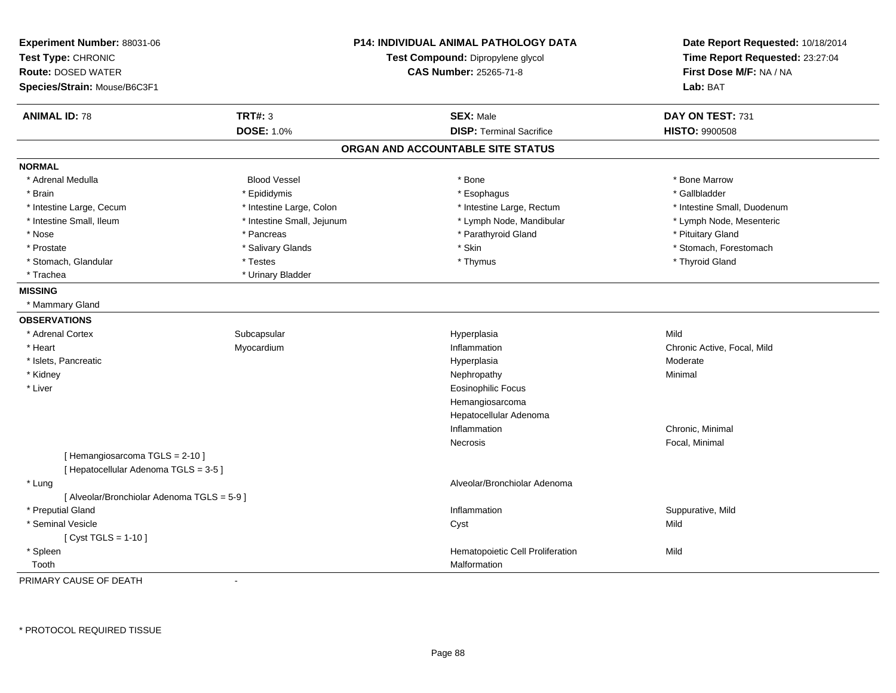| Experiment Number: 88031-06<br>Test Type: CHRONIC<br><b>Route: DOSED WATER</b><br>Species/Strain: Mouse/B6C3F1 |                            | <b>P14: INDIVIDUAL ANIMAL PATHOLOGY DATA</b><br>Test Compound: Dipropylene glycol<br><b>CAS Number: 25265-71-8</b> | Date Report Requested: 10/18/2014<br>Time Report Requested: 23:27:04<br>First Dose M/F: NA / NA<br>Lab: BAT |
|----------------------------------------------------------------------------------------------------------------|----------------------------|--------------------------------------------------------------------------------------------------------------------|-------------------------------------------------------------------------------------------------------------|
| <b>ANIMAL ID: 78</b>                                                                                           | <b>TRT#: 3</b>             | <b>SEX: Male</b>                                                                                                   | DAY ON TEST: 731                                                                                            |
|                                                                                                                | <b>DOSE: 1.0%</b>          | <b>DISP: Terminal Sacrifice</b>                                                                                    | <b>HISTO: 9900508</b>                                                                                       |
|                                                                                                                |                            | ORGAN AND ACCOUNTABLE SITE STATUS                                                                                  |                                                                                                             |
| <b>NORMAL</b>                                                                                                  |                            |                                                                                                                    |                                                                                                             |
| * Adrenal Medulla                                                                                              | <b>Blood Vessel</b>        | * Bone                                                                                                             | * Bone Marrow                                                                                               |
| * Brain                                                                                                        | * Epididymis               | * Esophagus                                                                                                        | * Gallbladder                                                                                               |
| * Intestine Large, Cecum                                                                                       | * Intestine Large, Colon   | * Intestine Large, Rectum                                                                                          | * Intestine Small, Duodenum                                                                                 |
| * Intestine Small, Ileum                                                                                       | * Intestine Small, Jejunum | * Lymph Node, Mandibular                                                                                           | * Lymph Node, Mesenteric                                                                                    |
| * Nose                                                                                                         | * Pancreas                 | * Parathyroid Gland                                                                                                | * Pituitary Gland                                                                                           |
| * Prostate                                                                                                     | * Salivary Glands          | * Skin                                                                                                             | * Stomach, Forestomach                                                                                      |
| * Stomach, Glandular                                                                                           | * Testes                   | * Thymus                                                                                                           | * Thyroid Gland                                                                                             |
| * Trachea                                                                                                      | * Urinary Bladder          |                                                                                                                    |                                                                                                             |
| <b>MISSING</b>                                                                                                 |                            |                                                                                                                    |                                                                                                             |
| * Mammary Gland                                                                                                |                            |                                                                                                                    |                                                                                                             |
| <b>OBSERVATIONS</b>                                                                                            |                            |                                                                                                                    |                                                                                                             |
| * Adrenal Cortex                                                                                               | Subcapsular                | Hyperplasia                                                                                                        | Mild                                                                                                        |
| * Heart                                                                                                        | Myocardium                 | Inflammation                                                                                                       | Chronic Active, Focal, Mild                                                                                 |
| * Islets, Pancreatic                                                                                           |                            | Hyperplasia                                                                                                        | Moderate                                                                                                    |
| * Kidney                                                                                                       |                            | Nephropathy                                                                                                        | Minimal                                                                                                     |
| * Liver                                                                                                        |                            | <b>Eosinophilic Focus</b>                                                                                          |                                                                                                             |
|                                                                                                                |                            | Hemangiosarcoma                                                                                                    |                                                                                                             |
|                                                                                                                |                            | Hepatocellular Adenoma                                                                                             |                                                                                                             |
|                                                                                                                |                            | Inflammation                                                                                                       | Chronic, Minimal                                                                                            |
|                                                                                                                |                            | Necrosis                                                                                                           | Focal, Minimal                                                                                              |
| [Hemangiosarcoma TGLS = 2-10]                                                                                  |                            |                                                                                                                    |                                                                                                             |
| [ Hepatocellular Adenoma TGLS = 3-5 ]                                                                          |                            |                                                                                                                    |                                                                                                             |
| * Lung                                                                                                         |                            | Alveolar/Bronchiolar Adenoma                                                                                       |                                                                                                             |
| [ Alveolar/Bronchiolar Adenoma TGLS = 5-9 ]                                                                    |                            |                                                                                                                    |                                                                                                             |
| * Preputial Gland                                                                                              |                            | Inflammation                                                                                                       | Suppurative, Mild                                                                                           |
| * Seminal Vesicle                                                                                              |                            | Cyst                                                                                                               | Mild                                                                                                        |
| [ $Cyst TGLS = 1-10$ ]                                                                                         |                            |                                                                                                                    |                                                                                                             |
| * Spleen                                                                                                       |                            | Hematopoietic Cell Proliferation                                                                                   | Mild                                                                                                        |
| Tooth                                                                                                          |                            | Malformation                                                                                                       |                                                                                                             |

PRIMARY CAUSE OF DEATH-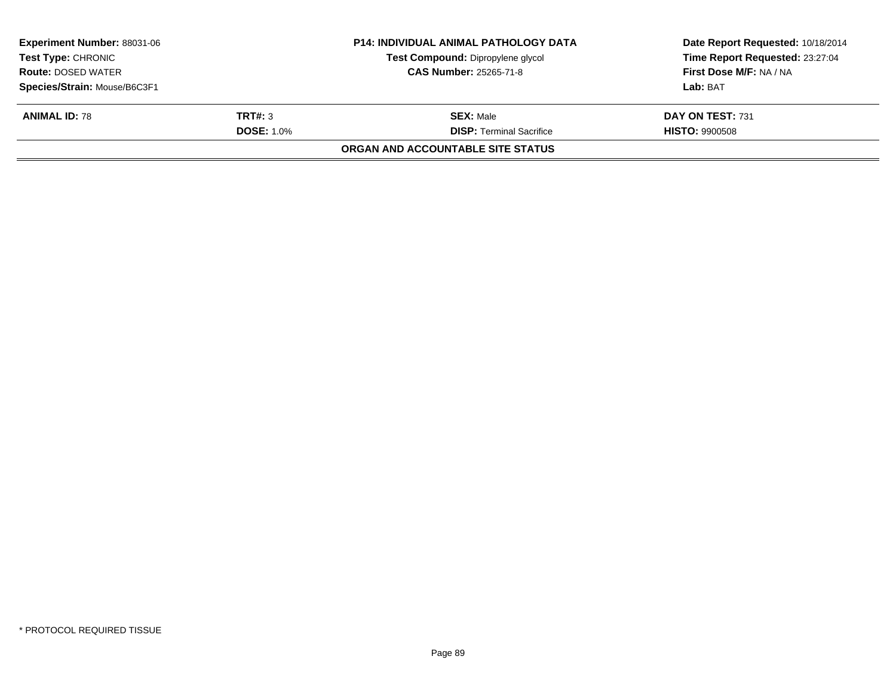| <b>Experiment Number: 88031-06</b><br><b>Test Type: CHRONIC</b><br><b>Route: DOSED WATER</b><br>Species/Strain: Mouse/B6C3F1 |  | <b>P14: INDIVIDUAL ANIMAL PATHOLOGY DATA</b><br>Test Compound: Dipropylene glycol<br><b>CAS Number: 25265-71-8</b> | Date Report Requested: 10/18/2014<br>Time Report Requested: 23:27:04<br>First Dose M/F: NA / NA<br>Lab: BAT |  |
|------------------------------------------------------------------------------------------------------------------------------|--|--------------------------------------------------------------------------------------------------------------------|-------------------------------------------------------------------------------------------------------------|--|
| <b>ANIMAL ID: 78</b><br>TRT#: 3<br><b>DOSE: 1.0%</b>                                                                         |  | <b>SEX: Male</b><br><b>DISP: Terminal Sacrifice</b><br>ORGAN AND ACCOUNTABLE SITE STATUS                           | DAY ON TEST: 731<br><b>HISTO: 9900508</b>                                                                   |  |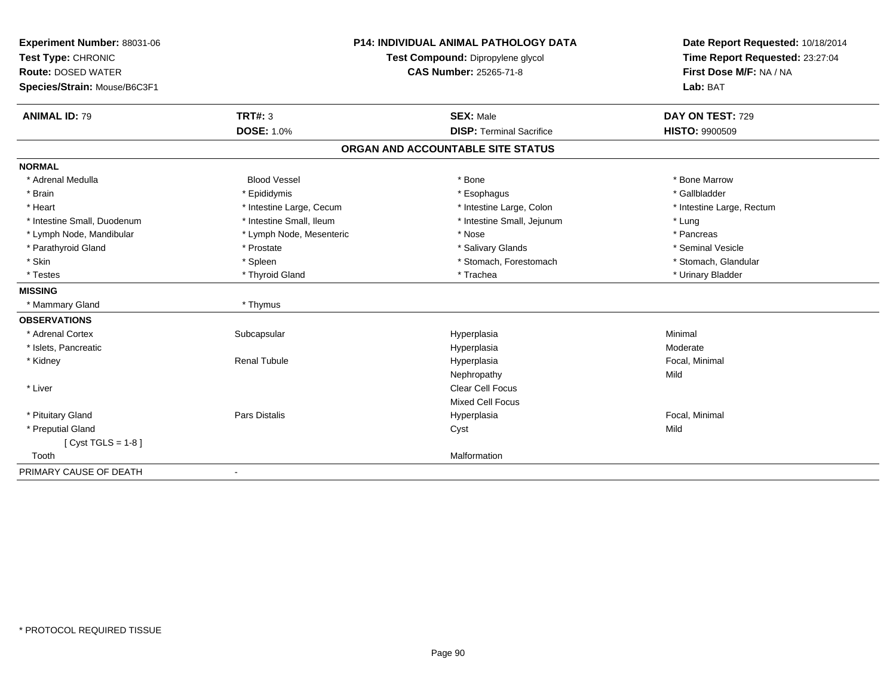| Experiment Number: 88031-06                     | <b>P14: INDIVIDUAL ANIMAL PATHOLOGY DATA</b> |                                   | Date Report Requested: 10/18/2014                          |  |
|-------------------------------------------------|----------------------------------------------|-----------------------------------|------------------------------------------------------------|--|
| Test Type: CHRONIC<br><b>Route: DOSED WATER</b> |                                              | Test Compound: Dipropylene glycol | Time Report Requested: 23:27:04<br>First Dose M/F: NA / NA |  |
|                                                 |                                              | <b>CAS Number: 25265-71-8</b>     |                                                            |  |
| Species/Strain: Mouse/B6C3F1                    |                                              |                                   | Lab: BAT                                                   |  |
| <b>ANIMAL ID: 79</b>                            | <b>TRT#: 3</b>                               | <b>SEX: Male</b>                  | DAY ON TEST: 729                                           |  |
|                                                 | <b>DOSE: 1.0%</b>                            | <b>DISP: Terminal Sacrifice</b>   | <b>HISTO: 9900509</b>                                      |  |
|                                                 |                                              | ORGAN AND ACCOUNTABLE SITE STATUS |                                                            |  |
| <b>NORMAL</b>                                   |                                              |                                   |                                                            |  |
| * Adrenal Medulla                               | <b>Blood Vessel</b>                          | * Bone                            | * Bone Marrow                                              |  |
| * Brain                                         | * Epididymis                                 | * Esophagus                       | * Gallbladder                                              |  |
| * Heart                                         | * Intestine Large, Cecum                     | * Intestine Large, Colon          | * Intestine Large, Rectum                                  |  |
| * Intestine Small, Duodenum                     | * Intestine Small, Ileum                     | * Intestine Small, Jejunum        | * Lung                                                     |  |
| * Lymph Node, Mandibular                        | * Lymph Node, Mesenteric                     | * Nose                            | * Pancreas                                                 |  |
| * Parathyroid Gland                             | * Prostate                                   | * Salivary Glands                 | * Seminal Vesicle                                          |  |
| * Skin                                          | * Spleen                                     | * Stomach, Forestomach            | * Stomach, Glandular                                       |  |
| * Testes                                        | * Thyroid Gland                              | * Trachea                         | * Urinary Bladder                                          |  |
| <b>MISSING</b>                                  |                                              |                                   |                                                            |  |
| * Mammary Gland                                 | * Thymus                                     |                                   |                                                            |  |
| <b>OBSERVATIONS</b>                             |                                              |                                   |                                                            |  |
| * Adrenal Cortex                                | Subcapsular                                  | Hyperplasia                       | Minimal                                                    |  |
| * Islets, Pancreatic                            |                                              | Hyperplasia                       | Moderate                                                   |  |
| * Kidney                                        | <b>Renal Tubule</b>                          | Hyperplasia                       | Focal, Minimal                                             |  |
|                                                 |                                              | Nephropathy                       | Mild                                                       |  |
| * Liver                                         |                                              | Clear Cell Focus                  |                                                            |  |
|                                                 |                                              | <b>Mixed Cell Focus</b>           |                                                            |  |
| * Pituitary Gland                               | Pars Distalis                                | Hyperplasia                       | Focal, Minimal                                             |  |
| * Preputial Gland                               |                                              | Cyst                              | Mild                                                       |  |
| [Cyst TGLS = $1-8$ ]                            |                                              |                                   |                                                            |  |
| Tooth                                           |                                              | Malformation                      |                                                            |  |
| PRIMARY CAUSE OF DEATH                          | $\blacksquare$                               |                                   |                                                            |  |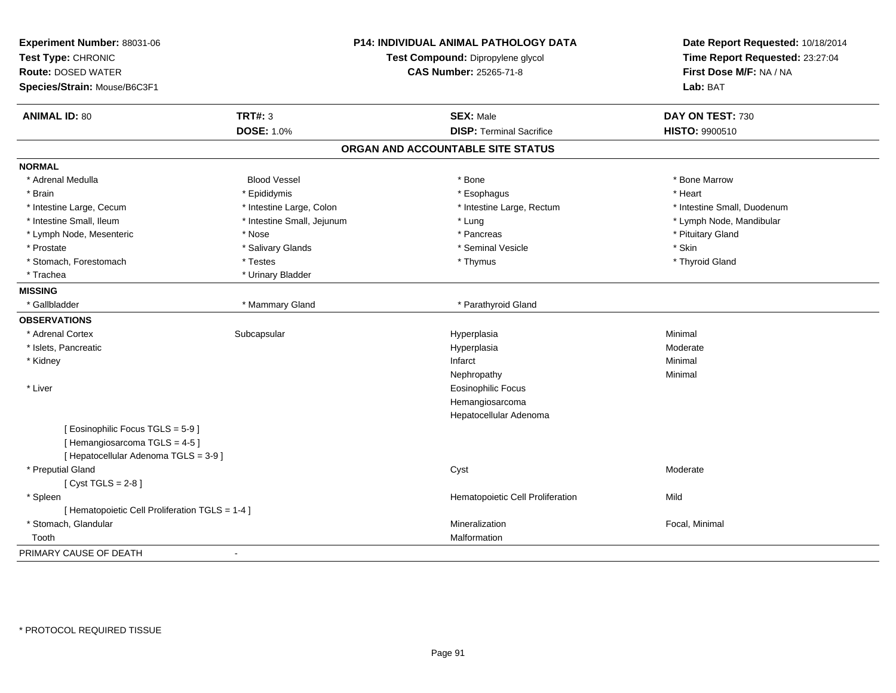| Experiment Number: 88031-06<br>Test Type: CHRONIC<br><b>Route: DOSED WATER</b><br>Species/Strain: Mouse/B6C3F1 |                            | <b>P14: INDIVIDUAL ANIMAL PATHOLOGY DATA</b><br>Test Compound: Dipropylene glycol<br><b>CAS Number: 25265-71-8</b> | Date Report Requested: 10/18/2014<br>Time Report Requested: 23:27:04<br>First Dose M/F: NA / NA<br>Lab: BAT |
|----------------------------------------------------------------------------------------------------------------|----------------------------|--------------------------------------------------------------------------------------------------------------------|-------------------------------------------------------------------------------------------------------------|
| <b>ANIMAL ID: 80</b>                                                                                           | <b>TRT#: 3</b>             | <b>SEX: Male</b>                                                                                                   | DAY ON TEST: 730                                                                                            |
|                                                                                                                | <b>DOSE: 1.0%</b>          | <b>DISP: Terminal Sacrifice</b>                                                                                    | <b>HISTO: 9900510</b>                                                                                       |
|                                                                                                                |                            | ORGAN AND ACCOUNTABLE SITE STATUS                                                                                  |                                                                                                             |
| <b>NORMAL</b>                                                                                                  |                            |                                                                                                                    |                                                                                                             |
| * Adrenal Medulla                                                                                              | <b>Blood Vessel</b>        | * Bone                                                                                                             | * Bone Marrow                                                                                               |
| * Brain                                                                                                        | * Epididymis               | * Esophagus                                                                                                        | * Heart                                                                                                     |
| * Intestine Large, Cecum                                                                                       | * Intestine Large, Colon   | * Intestine Large, Rectum                                                                                          | * Intestine Small, Duodenum                                                                                 |
| * Intestine Small, Ileum                                                                                       | * Intestine Small, Jejunum | * Lung                                                                                                             | * Lymph Node, Mandibular                                                                                    |
| * Lymph Node, Mesenteric                                                                                       | * Nose                     | * Pancreas                                                                                                         | * Pituitary Gland                                                                                           |
| * Prostate                                                                                                     | * Salivary Glands          | * Seminal Vesicle                                                                                                  | * Skin                                                                                                      |
| * Stomach, Forestomach                                                                                         | * Testes                   | * Thymus                                                                                                           | * Thyroid Gland                                                                                             |
| * Trachea                                                                                                      | * Urinary Bladder          |                                                                                                                    |                                                                                                             |
| <b>MISSING</b>                                                                                                 |                            |                                                                                                                    |                                                                                                             |
| * Gallbladder                                                                                                  | * Mammary Gland            | * Parathyroid Gland                                                                                                |                                                                                                             |
| <b>OBSERVATIONS</b>                                                                                            |                            |                                                                                                                    |                                                                                                             |
| * Adrenal Cortex                                                                                               | Subcapsular                | Hyperplasia                                                                                                        | Minimal                                                                                                     |
| * Islets, Pancreatic                                                                                           |                            | Hyperplasia                                                                                                        | Moderate                                                                                                    |
| * Kidney                                                                                                       |                            | Infarct                                                                                                            | Minimal                                                                                                     |
|                                                                                                                |                            | Nephropathy                                                                                                        | Minimal                                                                                                     |
| * Liver                                                                                                        |                            | <b>Eosinophilic Focus</b>                                                                                          |                                                                                                             |
|                                                                                                                |                            | Hemangiosarcoma                                                                                                    |                                                                                                             |
|                                                                                                                |                            | Hepatocellular Adenoma                                                                                             |                                                                                                             |
| [ Eosinophilic Focus TGLS = 5-9 ]                                                                              |                            |                                                                                                                    |                                                                                                             |
| [Hemangiosarcoma TGLS = 4-5]                                                                                   |                            |                                                                                                                    |                                                                                                             |
| [ Hepatocellular Adenoma TGLS = 3-9 ]                                                                          |                            |                                                                                                                    |                                                                                                             |
| * Preputial Gland                                                                                              |                            | Cyst                                                                                                               | Moderate                                                                                                    |
| [Cyst TGLS = $2-8$ ]                                                                                           |                            |                                                                                                                    |                                                                                                             |
| * Spleen                                                                                                       |                            | Hematopoietic Cell Proliferation                                                                                   | Mild                                                                                                        |
| [ Hematopoietic Cell Proliferation TGLS = 1-4 ]                                                                |                            |                                                                                                                    |                                                                                                             |
| * Stomach, Glandular                                                                                           |                            | Mineralization                                                                                                     | Focal, Minimal                                                                                              |
| Tooth                                                                                                          |                            | Malformation                                                                                                       |                                                                                                             |
| PRIMARY CAUSE OF DEATH                                                                                         | $\overline{\phantom{a}}$   |                                                                                                                    |                                                                                                             |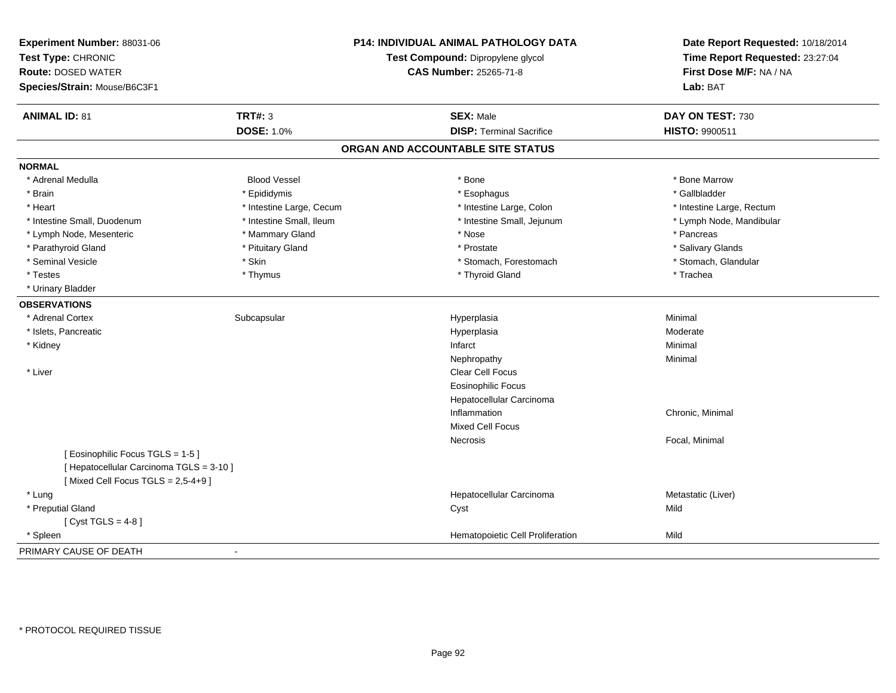| Experiment Number: 88031-06<br>Test Type: CHRONIC<br><b>Route: DOSED WATER</b><br>Species/Strain: Mouse/B6C3F1 |                          | P14: INDIVIDUAL ANIMAL PATHOLOGY DATA<br>Test Compound: Dipropylene glycol<br>CAS Number: 25265-71-8 | Date Report Requested: 10/18/2014<br>Time Report Requested: 23:27:04<br>First Dose M/F: NA / NA<br>Lab: BAT |
|----------------------------------------------------------------------------------------------------------------|--------------------------|------------------------------------------------------------------------------------------------------|-------------------------------------------------------------------------------------------------------------|
| <b>ANIMAL ID: 81</b>                                                                                           | <b>TRT#: 3</b>           | <b>SEX: Male</b>                                                                                     | DAY ON TEST: 730                                                                                            |
|                                                                                                                | <b>DOSE: 1.0%</b>        | <b>DISP: Terminal Sacrifice</b>                                                                      | HISTO: 9900511                                                                                              |
|                                                                                                                |                          | ORGAN AND ACCOUNTABLE SITE STATUS                                                                    |                                                                                                             |
| <b>NORMAL</b>                                                                                                  |                          |                                                                                                      |                                                                                                             |
| * Adrenal Medulla                                                                                              | <b>Blood Vessel</b>      | * Bone                                                                                               | * Bone Marrow                                                                                               |
| * Brain                                                                                                        | * Epididymis             | * Esophagus                                                                                          | * Gallbladder                                                                                               |
| * Heart                                                                                                        | * Intestine Large, Cecum | * Intestine Large, Colon                                                                             | * Intestine Large, Rectum                                                                                   |
| * Intestine Small, Duodenum                                                                                    | * Intestine Small, Ileum | * Intestine Small, Jejunum                                                                           | * Lymph Node, Mandibular                                                                                    |
| * Lymph Node, Mesenteric                                                                                       | * Mammary Gland          | * Nose                                                                                               | * Pancreas                                                                                                  |
| * Parathyroid Gland                                                                                            | * Pituitary Gland        | * Prostate                                                                                           | * Salivary Glands                                                                                           |
| * Seminal Vesicle                                                                                              | * Skin                   | * Stomach, Forestomach                                                                               | * Stomach, Glandular                                                                                        |
| * Testes                                                                                                       | * Thymus                 | * Thyroid Gland                                                                                      | * Trachea                                                                                                   |
| * Urinary Bladder                                                                                              |                          |                                                                                                      |                                                                                                             |
| <b>OBSERVATIONS</b>                                                                                            |                          |                                                                                                      |                                                                                                             |
| * Adrenal Cortex                                                                                               | Subcapsular              | Hyperplasia                                                                                          | Minimal                                                                                                     |
| * Islets, Pancreatic                                                                                           |                          | Hyperplasia                                                                                          | Moderate                                                                                                    |
| * Kidney                                                                                                       |                          | Infarct                                                                                              | Minimal                                                                                                     |
|                                                                                                                |                          | Nephropathy                                                                                          | Minimal                                                                                                     |
| * Liver                                                                                                        |                          | Clear Cell Focus                                                                                     |                                                                                                             |
|                                                                                                                |                          | <b>Eosinophilic Focus</b>                                                                            |                                                                                                             |
|                                                                                                                |                          | Hepatocellular Carcinoma                                                                             |                                                                                                             |
|                                                                                                                |                          | Inflammation                                                                                         | Chronic, Minimal                                                                                            |
|                                                                                                                |                          | <b>Mixed Cell Focus</b>                                                                              |                                                                                                             |
|                                                                                                                |                          | Necrosis                                                                                             | Focal, Minimal                                                                                              |
| [ Eosinophilic Focus TGLS = 1-5 ]                                                                              |                          |                                                                                                      |                                                                                                             |
| [ Hepatocellular Carcinoma TGLS = 3-10 ]                                                                       |                          |                                                                                                      |                                                                                                             |
| [Mixed Cell Focus TGLS = $2,5-4+9$ ]                                                                           |                          |                                                                                                      |                                                                                                             |
| * Lung                                                                                                         |                          | Hepatocellular Carcinoma                                                                             | Metastatic (Liver)                                                                                          |
| * Preputial Gland                                                                                              |                          | Cyst                                                                                                 | Mild                                                                                                        |
| [Cyst TGLS = $4-8$ ]                                                                                           |                          |                                                                                                      |                                                                                                             |
| * Spleen                                                                                                       |                          | Hematopoietic Cell Proliferation                                                                     | Mild                                                                                                        |
| PRIMARY CAUSE OF DEATH                                                                                         | $\blacksquare$           |                                                                                                      |                                                                                                             |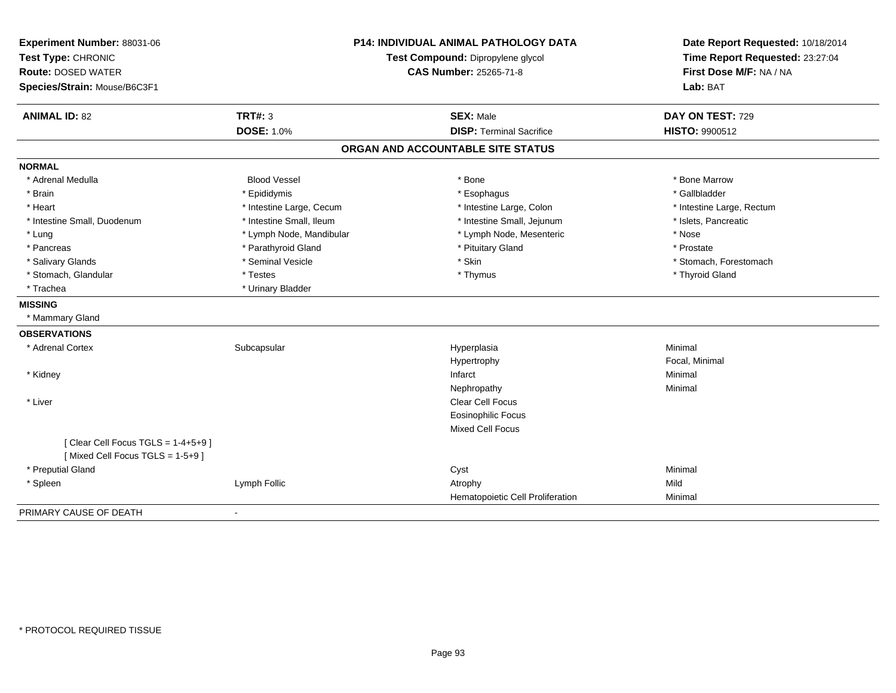| Experiment Number: 88031-06          |                                   | <b>P14: INDIVIDUAL ANIMAL PATHOLOGY DATA</b> | Date Report Requested: 10/18/2014<br>Time Report Requested: 23:27:04 |
|--------------------------------------|-----------------------------------|----------------------------------------------|----------------------------------------------------------------------|
| Test Type: CHRONIC                   | Test Compound: Dipropylene glycol |                                              |                                                                      |
| <b>Route: DOSED WATER</b>            |                                   | CAS Number: 25265-71-8                       | First Dose M/F: NA / NA                                              |
| Species/Strain: Mouse/B6C3F1         |                                   |                                              | Lab: BAT                                                             |
| <b>ANIMAL ID: 82</b>                 | <b>TRT#: 3</b>                    | <b>SEX: Male</b>                             | DAY ON TEST: 729                                                     |
|                                      | <b>DOSE: 1.0%</b>                 | <b>DISP: Terminal Sacrifice</b>              | HISTO: 9900512                                                       |
|                                      |                                   | ORGAN AND ACCOUNTABLE SITE STATUS            |                                                                      |
| <b>NORMAL</b>                        |                                   |                                              |                                                                      |
| * Adrenal Medulla                    | <b>Blood Vessel</b>               | * Bone                                       | * Bone Marrow                                                        |
| * Brain                              | * Epididymis                      | * Esophagus                                  | * Gallbladder                                                        |
| * Heart                              | * Intestine Large, Cecum          | * Intestine Large, Colon                     | * Intestine Large, Rectum                                            |
| * Intestine Small, Duodenum          | * Intestine Small, Ileum          | * Intestine Small, Jejunum                   | * Islets, Pancreatic                                                 |
| * Lung                               | * Lymph Node, Mandibular          | * Lymph Node, Mesenteric                     | * Nose                                                               |
| * Pancreas                           | * Parathyroid Gland               | * Pituitary Gland                            | * Prostate                                                           |
| * Salivary Glands                    | * Seminal Vesicle                 | * Skin                                       | * Stomach, Forestomach                                               |
| * Stomach, Glandular                 | * Testes                          | * Thymus                                     | * Thyroid Gland                                                      |
| * Trachea                            | * Urinary Bladder                 |                                              |                                                                      |
| <b>MISSING</b>                       |                                   |                                              |                                                                      |
| * Mammary Gland                      |                                   |                                              |                                                                      |
| <b>OBSERVATIONS</b>                  |                                   |                                              |                                                                      |
| * Adrenal Cortex                     | Subcapsular                       | Hyperplasia                                  | Minimal                                                              |
|                                      |                                   | Hypertrophy                                  | Focal, Minimal                                                       |
| * Kidney                             |                                   | Infarct                                      | Minimal                                                              |
|                                      |                                   | Nephropathy                                  | Minimal                                                              |
| * Liver                              |                                   | Clear Cell Focus                             |                                                                      |
|                                      |                                   | <b>Eosinophilic Focus</b>                    |                                                                      |
|                                      |                                   | <b>Mixed Cell Focus</b>                      |                                                                      |
| [Clear Cell Focus TGLS = $1-4+5+9$ ] |                                   |                                              |                                                                      |
| [Mixed Cell Focus TGLS = 1-5+9]      |                                   |                                              |                                                                      |
| * Preputial Gland                    |                                   | Cyst                                         | Minimal                                                              |
| * Spleen                             | Lymph Follic                      | Atrophy                                      | Mild                                                                 |
|                                      |                                   | Hematopoietic Cell Proliferation             | Minimal                                                              |
| PRIMARY CAUSE OF DEATH               |                                   |                                              |                                                                      |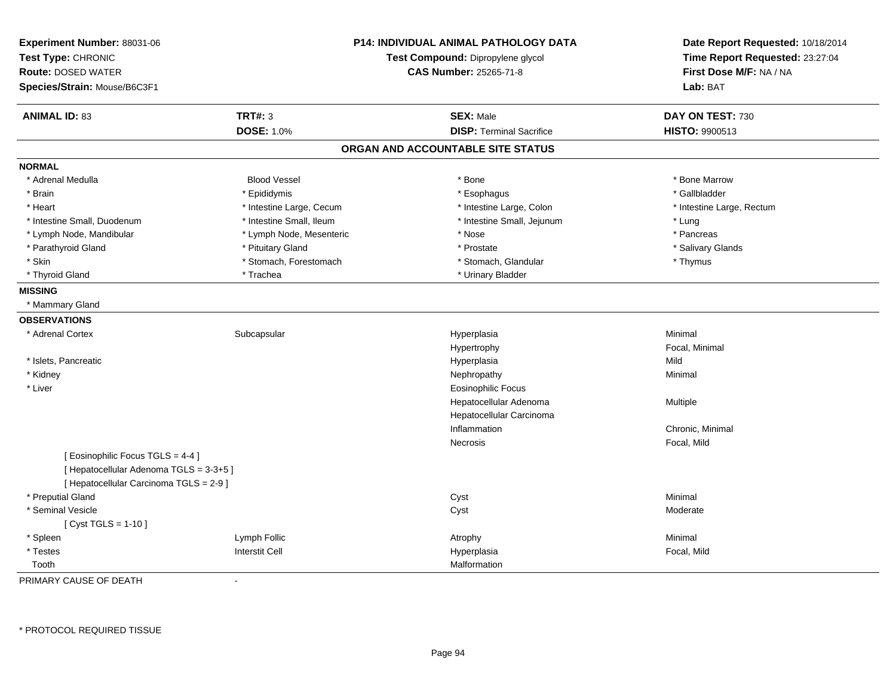| Experiment Number: 88031-06<br>Test Type: CHRONIC<br><b>Route: DOSED WATER</b><br>Species/Strain: Mouse/B6C3F1 | <b>P14: INDIVIDUAL ANIMAL PATHOLOGY DATA</b><br>Test Compound: Dipropylene glycol<br><b>CAS Number: 25265-71-8</b> |                                   | Date Report Requested: 10/18/2014<br>Time Report Requested: 23:27:04<br>First Dose M/F: NA / NA<br>Lab: BAT |
|----------------------------------------------------------------------------------------------------------------|--------------------------------------------------------------------------------------------------------------------|-----------------------------------|-------------------------------------------------------------------------------------------------------------|
| <b>ANIMAL ID: 83</b>                                                                                           | <b>TRT#: 3</b>                                                                                                     | <b>SEX: Male</b>                  | DAY ON TEST: 730                                                                                            |
|                                                                                                                | <b>DOSE: 1.0%</b>                                                                                                  | <b>DISP: Terminal Sacrifice</b>   | HISTO: 9900513                                                                                              |
|                                                                                                                |                                                                                                                    | ORGAN AND ACCOUNTABLE SITE STATUS |                                                                                                             |
| <b>NORMAL</b>                                                                                                  |                                                                                                                    |                                   |                                                                                                             |
| * Adrenal Medulla                                                                                              | <b>Blood Vessel</b>                                                                                                | * Bone                            | * Bone Marrow                                                                                               |
| * Brain                                                                                                        | * Epididymis                                                                                                       | * Esophagus                       | * Gallbladder                                                                                               |
| * Heart                                                                                                        | * Intestine Large, Cecum                                                                                           | * Intestine Large, Colon          | * Intestine Large, Rectum                                                                                   |
| * Intestine Small, Duodenum                                                                                    | * Intestine Small, Ileum                                                                                           | * Intestine Small, Jejunum        | * Lung                                                                                                      |
| * Lymph Node, Mandibular                                                                                       | * Lymph Node, Mesenteric                                                                                           | * Nose                            | * Pancreas                                                                                                  |
| * Parathyroid Gland                                                                                            | * Pituitary Gland                                                                                                  | * Prostate                        | * Salivary Glands                                                                                           |
| * Skin                                                                                                         | * Stomach, Forestomach                                                                                             | * Stomach, Glandular              | * Thymus                                                                                                    |
| * Thyroid Gland                                                                                                | * Trachea                                                                                                          | * Urinary Bladder                 |                                                                                                             |
| <b>MISSING</b>                                                                                                 |                                                                                                                    |                                   |                                                                                                             |
| * Mammary Gland                                                                                                |                                                                                                                    |                                   |                                                                                                             |
| <b>OBSERVATIONS</b>                                                                                            |                                                                                                                    |                                   |                                                                                                             |
| * Adrenal Cortex                                                                                               | Subcapsular                                                                                                        | Hyperplasia                       | Minimal                                                                                                     |
|                                                                                                                |                                                                                                                    | Hypertrophy                       | Focal, Minimal                                                                                              |
| * Islets, Pancreatic                                                                                           |                                                                                                                    | Hyperplasia                       | Mild                                                                                                        |
| * Kidney                                                                                                       |                                                                                                                    | Nephropathy                       | Minimal                                                                                                     |
| * Liver                                                                                                        |                                                                                                                    | <b>Eosinophilic Focus</b>         |                                                                                                             |
|                                                                                                                |                                                                                                                    | Hepatocellular Adenoma            | Multiple                                                                                                    |
|                                                                                                                |                                                                                                                    | Hepatocellular Carcinoma          |                                                                                                             |
|                                                                                                                |                                                                                                                    | Inflammation                      | Chronic, Minimal                                                                                            |
|                                                                                                                |                                                                                                                    | Necrosis                          | Focal, Mild                                                                                                 |
| [ Eosinophilic Focus TGLS = 4-4 ]                                                                              |                                                                                                                    |                                   |                                                                                                             |
| [ Hepatocellular Adenoma TGLS = 3-3+5 ]                                                                        |                                                                                                                    |                                   |                                                                                                             |
| [ Hepatocellular Carcinoma TGLS = 2-9 ]                                                                        |                                                                                                                    |                                   |                                                                                                             |
| * Preputial Gland                                                                                              |                                                                                                                    | Cyst                              | Minimal                                                                                                     |
| * Seminal Vesicle                                                                                              |                                                                                                                    | Cyst                              | Moderate                                                                                                    |
| [ Cyst TGLS = $1-10$ ]                                                                                         |                                                                                                                    |                                   |                                                                                                             |
| * Spleen                                                                                                       | Lymph Follic                                                                                                       | Atrophy                           | Minimal                                                                                                     |
| * Testes                                                                                                       | <b>Interstit Cell</b>                                                                                              | Hyperplasia                       | Focal, Mild                                                                                                 |
| Tooth                                                                                                          |                                                                                                                    | Malformation                      |                                                                                                             |

PRIMARY CAUSE OF DEATH-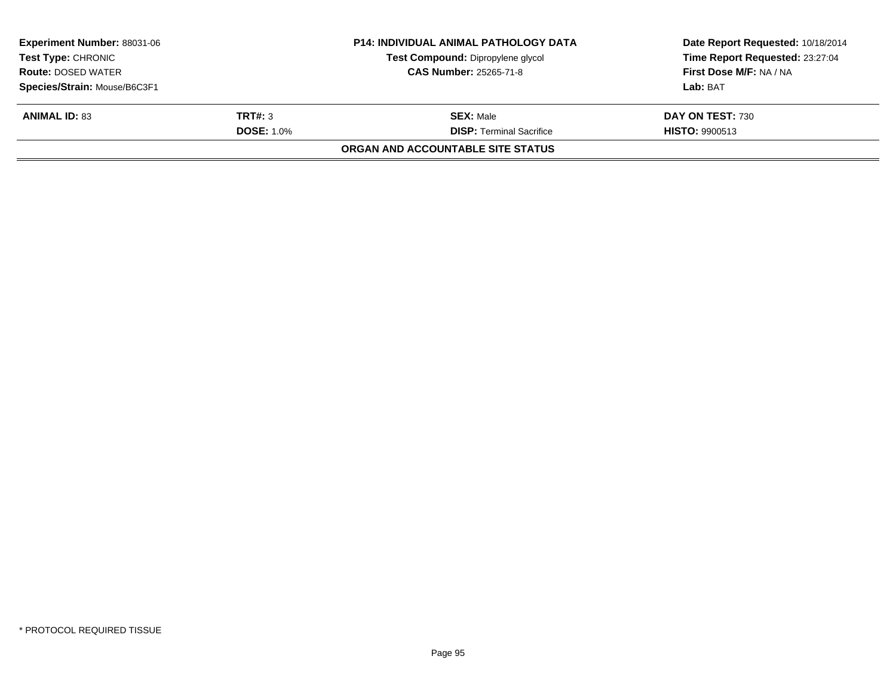| <b>Experiment Number: 88031-06</b> |                   | <b>P14: INDIVIDUAL ANIMAL PATHOLOGY DATA</b> | Date Report Requested: 10/18/2014 |
|------------------------------------|-------------------|----------------------------------------------|-----------------------------------|
| <b>Test Type: CHRONIC</b>          |                   | Test Compound: Dipropylene glycol            | Time Report Requested: 23:27:04   |
| <b>Route: DOSED WATER</b>          |                   | <b>CAS Number: 25265-71-8</b>                | First Dose M/F: NA / NA           |
| Species/Strain: Mouse/B6C3F1       |                   |                                              | Lab: BAT                          |
| <b>ANIMAL ID: 83</b>               | TRT#: 3           | <b>SEX: Male</b>                             | DAY ON TEST: 730                  |
|                                    | <b>DOSE: 1.0%</b> | <b>DISP: Terminal Sacrifice</b>              | <b>HISTO: 9900513</b>             |
|                                    |                   | ORGAN AND ACCOUNTABLE SITE STATUS            |                                   |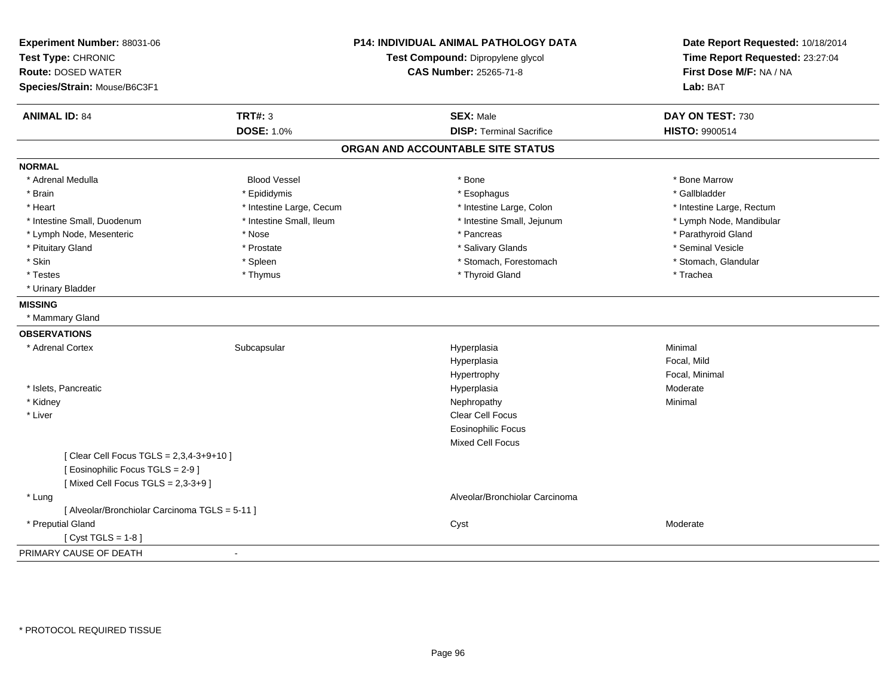| Experiment Number: 88031-06<br>Test Type: CHRONIC<br><b>Route: DOSED WATER</b><br>Species/Strain: Mouse/B6C3F1 |                          | <b>P14: INDIVIDUAL ANIMAL PATHOLOGY DATA</b><br>Test Compound: Dipropylene glycol<br><b>CAS Number: 25265-71-8</b> | Date Report Requested: 10/18/2014<br>Time Report Requested: 23:27:04<br>First Dose M/F: NA / NA<br>Lab: BAT |
|----------------------------------------------------------------------------------------------------------------|--------------------------|--------------------------------------------------------------------------------------------------------------------|-------------------------------------------------------------------------------------------------------------|
| <b>ANIMAL ID: 84</b>                                                                                           | <b>TRT#: 3</b>           | <b>SEX: Male</b>                                                                                                   | DAY ON TEST: 730                                                                                            |
|                                                                                                                | <b>DOSE: 1.0%</b>        | <b>DISP: Terminal Sacrifice</b>                                                                                    | HISTO: 9900514                                                                                              |
|                                                                                                                |                          | ORGAN AND ACCOUNTABLE SITE STATUS                                                                                  |                                                                                                             |
| <b>NORMAL</b>                                                                                                  |                          |                                                                                                                    |                                                                                                             |
| * Adrenal Medulla                                                                                              | <b>Blood Vessel</b>      | * Bone                                                                                                             | * Bone Marrow                                                                                               |
| * Brain                                                                                                        | * Epididymis             | * Esophagus                                                                                                        | * Gallbladder                                                                                               |
| * Heart                                                                                                        | * Intestine Large, Cecum | * Intestine Large, Colon                                                                                           | * Intestine Large, Rectum                                                                                   |
| * Intestine Small, Duodenum                                                                                    | * Intestine Small, Ileum | * Intestine Small, Jejunum                                                                                         | * Lymph Node, Mandibular                                                                                    |
| * Lymph Node, Mesenteric                                                                                       | * Nose                   | * Pancreas                                                                                                         | * Parathyroid Gland                                                                                         |
| * Pituitary Gland                                                                                              | * Prostate               | * Salivary Glands                                                                                                  | * Seminal Vesicle                                                                                           |
| * Skin                                                                                                         | * Spleen                 | * Stomach, Forestomach                                                                                             | * Stomach, Glandular                                                                                        |
| * Testes                                                                                                       | * Thymus                 | * Thyroid Gland                                                                                                    | * Trachea                                                                                                   |
| * Urinary Bladder                                                                                              |                          |                                                                                                                    |                                                                                                             |
| <b>MISSING</b>                                                                                                 |                          |                                                                                                                    |                                                                                                             |
| * Mammary Gland                                                                                                |                          |                                                                                                                    |                                                                                                             |
| <b>OBSERVATIONS</b>                                                                                            |                          |                                                                                                                    |                                                                                                             |
| * Adrenal Cortex                                                                                               | Subcapsular              | Hyperplasia                                                                                                        | Minimal                                                                                                     |
|                                                                                                                |                          | Hyperplasia                                                                                                        | Focal, Mild                                                                                                 |
|                                                                                                                |                          | Hypertrophy                                                                                                        | Focal, Minimal                                                                                              |
| * Islets, Pancreatic                                                                                           |                          | Hyperplasia                                                                                                        | Moderate                                                                                                    |
| * Kidney                                                                                                       |                          | Nephropathy                                                                                                        | Minimal                                                                                                     |
| * Liver                                                                                                        |                          | Clear Cell Focus                                                                                                   |                                                                                                             |
|                                                                                                                |                          | <b>Eosinophilic Focus</b>                                                                                          |                                                                                                             |
|                                                                                                                |                          | <b>Mixed Cell Focus</b>                                                                                            |                                                                                                             |
| [ Clear Cell Focus TGLS = 2,3,4-3+9+10 ]                                                                       |                          |                                                                                                                    |                                                                                                             |
| [Eosinophilic Focus TGLS = 2-9]                                                                                |                          |                                                                                                                    |                                                                                                             |
| [Mixed Cell Focus TGLS = $2,3-3+9$ ]                                                                           |                          |                                                                                                                    |                                                                                                             |
| * Lung                                                                                                         |                          | Alveolar/Bronchiolar Carcinoma                                                                                     |                                                                                                             |
| [ Alveolar/Bronchiolar Carcinoma TGLS = 5-11 ]                                                                 |                          |                                                                                                                    |                                                                                                             |
| * Preputial Gland                                                                                              |                          | Cyst                                                                                                               | Moderate                                                                                                    |
| [Cyst TGLS = $1-8$ ]                                                                                           |                          |                                                                                                                    |                                                                                                             |
| PRIMARY CAUSE OF DEATH                                                                                         | $\blacksquare$           |                                                                                                                    |                                                                                                             |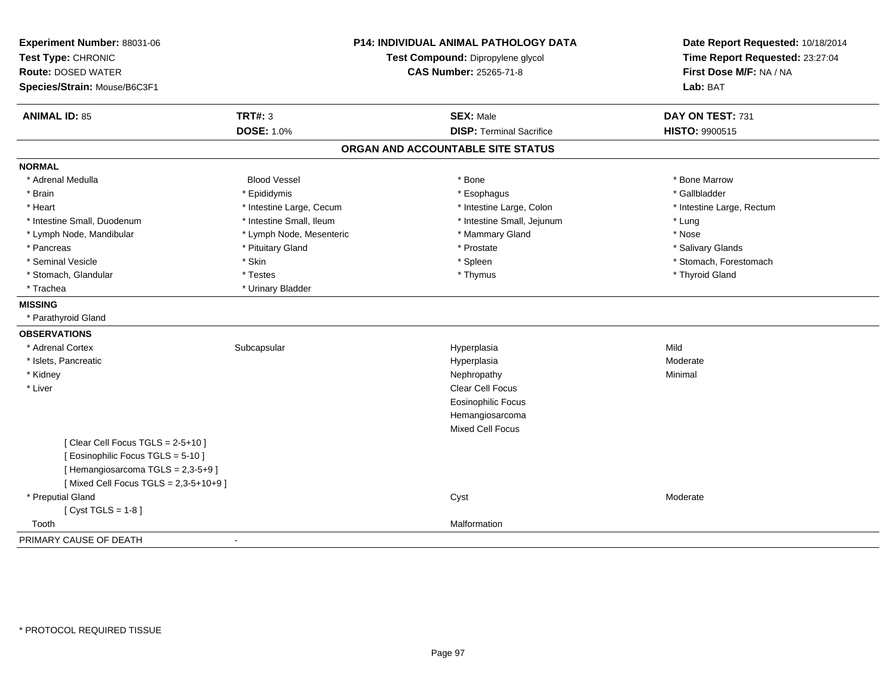| Experiment Number: 88031-06<br>Test Type: CHRONIC<br><b>Route: DOSED WATER</b><br>Species/Strain: Mouse/B6C3F1 |                          | P14: INDIVIDUAL ANIMAL PATHOLOGY DATA<br>Test Compound: Dipropylene glycol<br><b>CAS Number: 25265-71-8</b> | Date Report Requested: 10/18/2014<br>Time Report Requested: 23:27:04<br>First Dose M/F: NA / NA<br>Lab: BAT |
|----------------------------------------------------------------------------------------------------------------|--------------------------|-------------------------------------------------------------------------------------------------------------|-------------------------------------------------------------------------------------------------------------|
| <b>ANIMAL ID: 85</b>                                                                                           | <b>TRT#: 3</b>           | <b>SEX: Male</b>                                                                                            | DAY ON TEST: 731                                                                                            |
|                                                                                                                | <b>DOSE: 1.0%</b>        | <b>DISP: Terminal Sacrifice</b>                                                                             | HISTO: 9900515                                                                                              |
|                                                                                                                |                          | ORGAN AND ACCOUNTABLE SITE STATUS                                                                           |                                                                                                             |
| <b>NORMAL</b>                                                                                                  |                          |                                                                                                             |                                                                                                             |
| * Adrenal Medulla                                                                                              | <b>Blood Vessel</b>      | * Bone                                                                                                      | * Bone Marrow                                                                                               |
| * Brain                                                                                                        | * Epididymis             | * Esophagus                                                                                                 | * Gallbladder                                                                                               |
| * Heart                                                                                                        | * Intestine Large, Cecum | * Intestine Large, Colon                                                                                    | * Intestine Large, Rectum                                                                                   |
| * Intestine Small, Duodenum                                                                                    | * Intestine Small, Ileum | * Intestine Small, Jejunum                                                                                  | * Lung                                                                                                      |
| * Lymph Node, Mandibular                                                                                       | * Lymph Node, Mesenteric | * Mammary Gland                                                                                             | * Nose                                                                                                      |
| * Pancreas                                                                                                     | * Pituitary Gland        | * Prostate                                                                                                  | * Salivary Glands                                                                                           |
| * Seminal Vesicle                                                                                              | * Skin                   | * Spleen                                                                                                    | * Stomach, Forestomach                                                                                      |
| * Stomach, Glandular                                                                                           | * Testes                 | * Thymus                                                                                                    | * Thyroid Gland                                                                                             |
| * Trachea                                                                                                      | * Urinary Bladder        |                                                                                                             |                                                                                                             |
| <b>MISSING</b>                                                                                                 |                          |                                                                                                             |                                                                                                             |
| * Parathyroid Gland                                                                                            |                          |                                                                                                             |                                                                                                             |
| <b>OBSERVATIONS</b>                                                                                            |                          |                                                                                                             |                                                                                                             |
| * Adrenal Cortex                                                                                               | Subcapsular              | Hyperplasia                                                                                                 | Mild                                                                                                        |
| * Islets, Pancreatic                                                                                           |                          | Hyperplasia                                                                                                 | Moderate                                                                                                    |
| * Kidney                                                                                                       |                          | Nephropathy                                                                                                 | Minimal                                                                                                     |
| * Liver                                                                                                        |                          | <b>Clear Cell Focus</b>                                                                                     |                                                                                                             |
|                                                                                                                |                          | <b>Eosinophilic Focus</b>                                                                                   |                                                                                                             |
|                                                                                                                |                          | Hemangiosarcoma                                                                                             |                                                                                                             |
|                                                                                                                |                          | <b>Mixed Cell Focus</b>                                                                                     |                                                                                                             |
| [Clear Cell Focus TGLS = 2-5+10]                                                                               |                          |                                                                                                             |                                                                                                             |
| [ Eosinophilic Focus TGLS = 5-10 ]                                                                             |                          |                                                                                                             |                                                                                                             |
| [Hemangiosarcoma TGLS = 2,3-5+9]                                                                               |                          |                                                                                                             |                                                                                                             |
| [Mixed Cell Focus TGLS = 2,3-5+10+9]                                                                           |                          |                                                                                                             |                                                                                                             |
| * Preputial Gland                                                                                              |                          | Cyst                                                                                                        | Moderate                                                                                                    |
| [Cyst TGLS = $1-8$ ]                                                                                           |                          |                                                                                                             |                                                                                                             |
| Tooth                                                                                                          |                          | Malformation                                                                                                |                                                                                                             |
| PRIMARY CAUSE OF DEATH                                                                                         | $\blacksquare$           |                                                                                                             |                                                                                                             |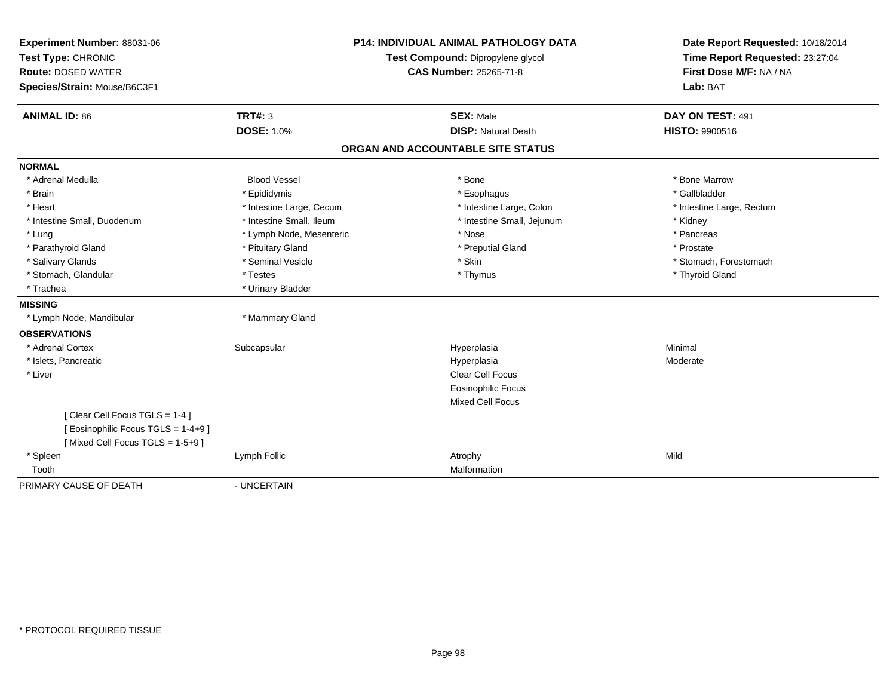| Experiment Number: 88031-06       | <b>P14: INDIVIDUAL ANIMAL PATHOLOGY DATA</b><br>Test Compound: Dipropylene glycol |                                   | Date Report Requested: 10/18/2014 |
|-----------------------------------|-----------------------------------------------------------------------------------|-----------------------------------|-----------------------------------|
| Test Type: CHRONIC                |                                                                                   |                                   | Time Report Requested: 23:27:04   |
| <b>Route: DOSED WATER</b>         |                                                                                   | <b>CAS Number: 25265-71-8</b>     | First Dose M/F: NA / NA           |
| Species/Strain: Mouse/B6C3F1      |                                                                                   |                                   | Lab: BAT                          |
| <b>ANIMAL ID: 86</b>              | <b>TRT#: 3</b>                                                                    | <b>SEX: Male</b>                  | DAY ON TEST: 491                  |
|                                   | <b>DOSE: 1.0%</b>                                                                 | <b>DISP: Natural Death</b>        | HISTO: 9900516                    |
|                                   |                                                                                   | ORGAN AND ACCOUNTABLE SITE STATUS |                                   |
| <b>NORMAL</b>                     |                                                                                   |                                   |                                   |
| * Adrenal Medulla                 | <b>Blood Vessel</b>                                                               | * Bone                            | * Bone Marrow                     |
| * Brain                           | * Epididymis                                                                      | * Esophagus                       | * Gallbladder                     |
| * Heart                           | * Intestine Large, Cecum                                                          | * Intestine Large, Colon          | * Intestine Large, Rectum         |
| * Intestine Small, Duodenum       | * Intestine Small, Ileum                                                          | * Intestine Small, Jejunum        | * Kidney                          |
| * Lung                            | * Lymph Node, Mesenteric                                                          | * Nose                            | * Pancreas                        |
| * Parathyroid Gland               | * Pituitary Gland                                                                 | * Preputial Gland                 | * Prostate                        |
| * Salivary Glands                 | * Seminal Vesicle                                                                 | * Skin                            | * Stomach, Forestomach            |
| * Stomach, Glandular              | * Testes                                                                          | * Thymus                          | * Thyroid Gland                   |
| * Trachea                         | * Urinary Bladder                                                                 |                                   |                                   |
| <b>MISSING</b>                    |                                                                                   |                                   |                                   |
| * Lymph Node, Mandibular          | * Mammary Gland                                                                   |                                   |                                   |
| <b>OBSERVATIONS</b>               |                                                                                   |                                   |                                   |
| * Adrenal Cortex                  | Subcapsular                                                                       | Hyperplasia                       | Minimal                           |
| * Islets, Pancreatic              |                                                                                   | Hyperplasia                       | Moderate                          |
| * Liver                           |                                                                                   | <b>Clear Cell Focus</b>           |                                   |
|                                   |                                                                                   | <b>Eosinophilic Focus</b>         |                                   |
|                                   |                                                                                   | <b>Mixed Cell Focus</b>           |                                   |
| [Clear Cell Focus TGLS = 1-4]     |                                                                                   |                                   |                                   |
| [Eosinophilic Focus TGLS = 1-4+9] |                                                                                   |                                   |                                   |
| [Mixed Cell Focus TGLS = 1-5+9]   |                                                                                   |                                   |                                   |
| * Spleen                          | Lymph Follic                                                                      | Atrophy                           | Mild                              |
| Tooth                             |                                                                                   | Malformation                      |                                   |
| PRIMARY CAUSE OF DEATH            | - UNCERTAIN                                                                       |                                   |                                   |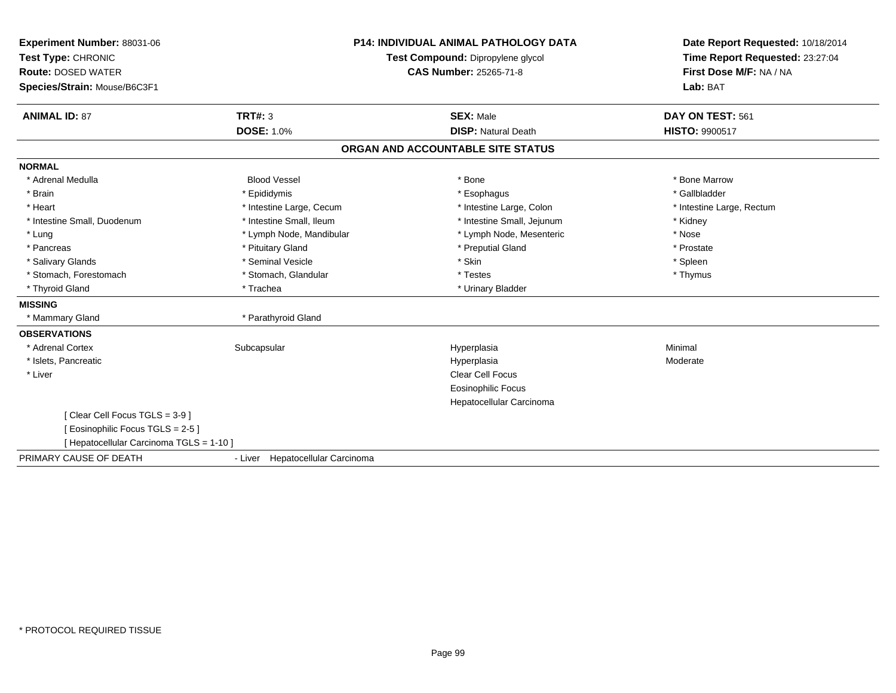| Experiment Number: 88031-06<br>Test Type: CHRONIC |                                  | <b>P14: INDIVIDUAL ANIMAL PATHOLOGY DATA</b><br>Test Compound: Dipropylene glycol | Date Report Requested: 10/18/2014<br>Time Report Requested: 23:27:04 |
|---------------------------------------------------|----------------------------------|-----------------------------------------------------------------------------------|----------------------------------------------------------------------|
| <b>Route: DOSED WATER</b>                         |                                  | <b>CAS Number: 25265-71-8</b>                                                     | First Dose M/F: NA / NA                                              |
| Species/Strain: Mouse/B6C3F1                      |                                  |                                                                                   | Lab: BAT                                                             |
| <b>ANIMAL ID: 87</b>                              | TRT#: 3                          | <b>SEX: Male</b>                                                                  | DAY ON TEST: 561                                                     |
|                                                   | <b>DOSE: 1.0%</b>                | <b>DISP: Natural Death</b>                                                        | <b>HISTO: 9900517</b>                                                |
|                                                   |                                  | ORGAN AND ACCOUNTABLE SITE STATUS                                                 |                                                                      |
| <b>NORMAL</b>                                     |                                  |                                                                                   |                                                                      |
| * Adrenal Medulla                                 | <b>Blood Vessel</b>              | * Bone                                                                            | * Bone Marrow                                                        |
| * Brain                                           | * Epididymis                     | * Esophagus                                                                       | * Gallbladder                                                        |
| * Heart                                           | * Intestine Large, Cecum         | * Intestine Large, Colon                                                          | * Intestine Large, Rectum                                            |
| * Intestine Small, Duodenum                       | * Intestine Small, Ileum         | * Intestine Small, Jejunum                                                        | * Kidney                                                             |
| * Lung                                            | * Lymph Node, Mandibular         | * Lymph Node, Mesenteric                                                          | * Nose                                                               |
| * Pancreas                                        | * Pituitary Gland                | * Preputial Gland                                                                 | * Prostate                                                           |
| * Salivary Glands                                 | * Seminal Vesicle                | * Skin                                                                            | * Spleen                                                             |
| * Stomach, Forestomach                            | * Stomach, Glandular             | * Testes                                                                          | * Thymus                                                             |
| * Thyroid Gland                                   | * Trachea                        | * Urinary Bladder                                                                 |                                                                      |
| <b>MISSING</b>                                    |                                  |                                                                                   |                                                                      |
| * Mammary Gland                                   | * Parathyroid Gland              |                                                                                   |                                                                      |
| <b>OBSERVATIONS</b>                               |                                  |                                                                                   |                                                                      |
| * Adrenal Cortex                                  | Subcapsular                      | Hyperplasia                                                                       | Minimal                                                              |
| * Islets, Pancreatic                              |                                  | Hyperplasia                                                                       | Moderate                                                             |
| * Liver                                           |                                  | <b>Clear Cell Focus</b>                                                           |                                                                      |
|                                                   |                                  | <b>Eosinophilic Focus</b>                                                         |                                                                      |
|                                                   |                                  | Hepatocellular Carcinoma                                                          |                                                                      |
| [Clear Cell Focus TGLS = 3-9]                     |                                  |                                                                                   |                                                                      |
| [Eosinophilic Focus TGLS = 2-5]                   |                                  |                                                                                   |                                                                      |
| [ Hepatocellular Carcinoma TGLS = 1-10 ]          |                                  |                                                                                   |                                                                      |
| PRIMARY CAUSE OF DEATH                            | - Liver Hepatocellular Carcinoma |                                                                                   |                                                                      |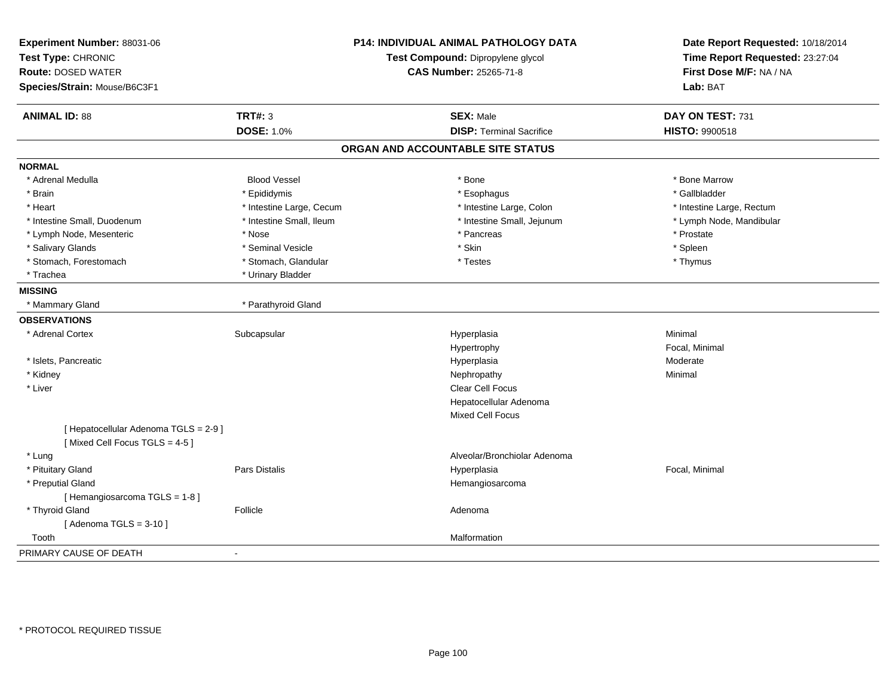| Experiment Number: 88031-06<br>Test Type: CHRONIC<br><b>Route: DOSED WATER</b><br>Species/Strain: Mouse/B6C3F1 |                          | <b>P14: INDIVIDUAL ANIMAL PATHOLOGY DATA</b><br>Test Compound: Dipropylene glycol<br><b>CAS Number: 25265-71-8</b> | Date Report Requested: 10/18/2014<br>Time Report Requested: 23:27:04<br>First Dose M/F: NA / NA<br>Lab: BAT |
|----------------------------------------------------------------------------------------------------------------|--------------------------|--------------------------------------------------------------------------------------------------------------------|-------------------------------------------------------------------------------------------------------------|
| <b>ANIMAL ID: 88</b>                                                                                           | <b>TRT#: 3</b>           | <b>SEX: Male</b>                                                                                                   | DAY ON TEST: 731                                                                                            |
|                                                                                                                | <b>DOSE: 1.0%</b>        | <b>DISP: Terminal Sacrifice</b>                                                                                    | HISTO: 9900518                                                                                              |
|                                                                                                                |                          | ORGAN AND ACCOUNTABLE SITE STATUS                                                                                  |                                                                                                             |
| <b>NORMAL</b>                                                                                                  |                          |                                                                                                                    |                                                                                                             |
| * Adrenal Medulla                                                                                              | <b>Blood Vessel</b>      | * Bone                                                                                                             | * Bone Marrow                                                                                               |
| * Brain                                                                                                        | * Epididymis             | * Esophagus                                                                                                        | * Gallbladder                                                                                               |
| * Heart                                                                                                        | * Intestine Large, Cecum | * Intestine Large, Colon                                                                                           | * Intestine Large, Rectum                                                                                   |
| * Intestine Small, Duodenum                                                                                    | * Intestine Small, Ileum | * Intestine Small, Jejunum                                                                                         | * Lymph Node, Mandibular                                                                                    |
| * Lymph Node, Mesenteric                                                                                       | * Nose                   | * Pancreas                                                                                                         | * Prostate                                                                                                  |
| * Salivary Glands                                                                                              | * Seminal Vesicle        | * Skin                                                                                                             | * Spleen                                                                                                    |
| * Stomach, Forestomach                                                                                         | * Stomach, Glandular     | * Testes                                                                                                           | * Thymus                                                                                                    |
| * Trachea                                                                                                      | * Urinary Bladder        |                                                                                                                    |                                                                                                             |
| <b>MISSING</b>                                                                                                 |                          |                                                                                                                    |                                                                                                             |
| * Mammary Gland                                                                                                | * Parathyroid Gland      |                                                                                                                    |                                                                                                             |
| <b>OBSERVATIONS</b>                                                                                            |                          |                                                                                                                    |                                                                                                             |
| * Adrenal Cortex                                                                                               | Subcapsular              | Hyperplasia                                                                                                        | Minimal                                                                                                     |
|                                                                                                                |                          | Hypertrophy                                                                                                        | Focal, Minimal                                                                                              |
| * Islets, Pancreatic                                                                                           |                          | Hyperplasia                                                                                                        | Moderate                                                                                                    |
| * Kidney                                                                                                       |                          | Nephropathy                                                                                                        | Minimal                                                                                                     |
| * Liver                                                                                                        |                          | Clear Cell Focus                                                                                                   |                                                                                                             |
|                                                                                                                |                          | Hepatocellular Adenoma                                                                                             |                                                                                                             |
|                                                                                                                |                          | <b>Mixed Cell Focus</b>                                                                                            |                                                                                                             |
| [ Hepatocellular Adenoma TGLS = 2-9 ]<br>[Mixed Cell Focus TGLS = 4-5]                                         |                          |                                                                                                                    |                                                                                                             |
| * Lung                                                                                                         |                          | Alveolar/Bronchiolar Adenoma                                                                                       |                                                                                                             |
| * Pituitary Gland                                                                                              | Pars Distalis            | Hyperplasia                                                                                                        | Focal, Minimal                                                                                              |
| * Preputial Gland                                                                                              |                          | Hemangiosarcoma                                                                                                    |                                                                                                             |
| [Hemangiosarcoma TGLS = 1-8]                                                                                   |                          |                                                                                                                    |                                                                                                             |
| * Thyroid Gland                                                                                                | Follicle                 | Adenoma                                                                                                            |                                                                                                             |
| [Adenoma TGLS = $3-10$ ]                                                                                       |                          |                                                                                                                    |                                                                                                             |
| Tooth                                                                                                          |                          | Malformation                                                                                                       |                                                                                                             |
| PRIMARY CAUSE OF DEATH                                                                                         | $\overline{a}$           |                                                                                                                    |                                                                                                             |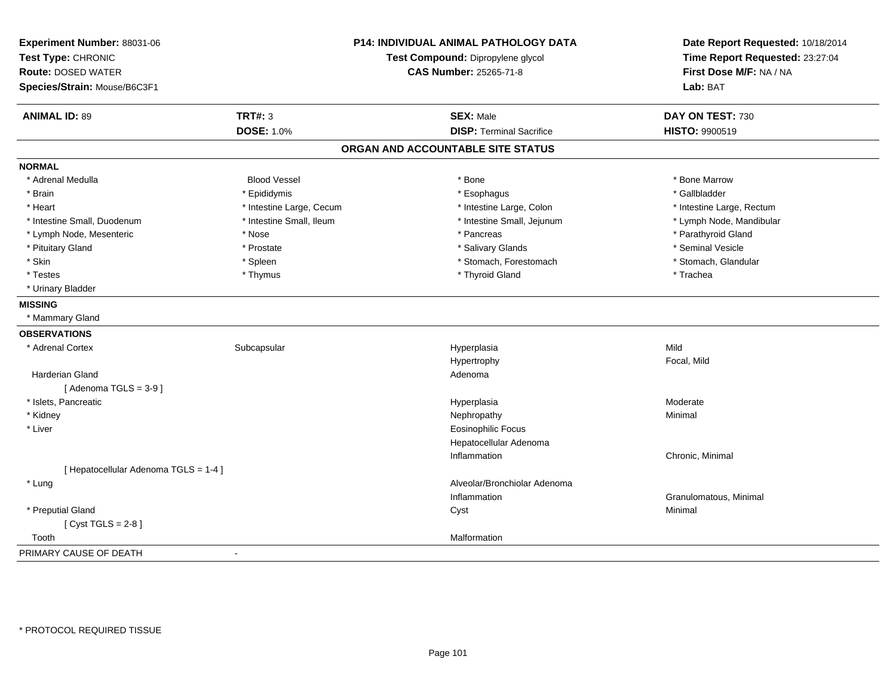| Experiment Number: 88031-06<br>Test Type: CHRONIC<br><b>Route: DOSED WATER</b><br>Species/Strain: Mouse/B6C3F1 | P14: INDIVIDUAL ANIMAL PATHOLOGY DATA<br>Test Compound: Dipropylene glycol<br><b>CAS Number: 25265-71-8</b> |                                   | Date Report Requested: 10/18/2014<br>Time Report Requested: 23:27:04<br>First Dose M/F: NA / NA<br>Lab: BAT |
|----------------------------------------------------------------------------------------------------------------|-------------------------------------------------------------------------------------------------------------|-----------------------------------|-------------------------------------------------------------------------------------------------------------|
| <b>ANIMAL ID: 89</b>                                                                                           | <b>TRT#: 3</b>                                                                                              | <b>SEX: Male</b>                  | DAY ON TEST: 730                                                                                            |
|                                                                                                                | <b>DOSE: 1.0%</b>                                                                                           | <b>DISP: Terminal Sacrifice</b>   | <b>HISTO: 9900519</b>                                                                                       |
|                                                                                                                |                                                                                                             | ORGAN AND ACCOUNTABLE SITE STATUS |                                                                                                             |
| <b>NORMAL</b>                                                                                                  |                                                                                                             |                                   |                                                                                                             |
| * Adrenal Medulla                                                                                              | <b>Blood Vessel</b>                                                                                         | * Bone                            | * Bone Marrow                                                                                               |
| * Brain                                                                                                        | * Epididymis                                                                                                | * Esophagus                       | * Gallbladder                                                                                               |
| * Heart                                                                                                        | * Intestine Large, Cecum                                                                                    | * Intestine Large, Colon          | * Intestine Large, Rectum                                                                                   |
| * Intestine Small, Duodenum                                                                                    | * Intestine Small, Ileum                                                                                    | * Intestine Small, Jejunum        | * Lymph Node, Mandibular                                                                                    |
| * Lymph Node, Mesenteric                                                                                       | * Nose                                                                                                      | * Pancreas                        | * Parathyroid Gland                                                                                         |
| * Pituitary Gland                                                                                              | * Prostate                                                                                                  | * Salivary Glands                 | * Seminal Vesicle                                                                                           |
| * Skin                                                                                                         | * Spleen                                                                                                    | * Stomach, Forestomach            | * Stomach, Glandular                                                                                        |
| * Testes                                                                                                       | * Thymus                                                                                                    | * Thyroid Gland                   | * Trachea                                                                                                   |
| * Urinary Bladder                                                                                              |                                                                                                             |                                   |                                                                                                             |
| <b>MISSING</b>                                                                                                 |                                                                                                             |                                   |                                                                                                             |
| * Mammary Gland                                                                                                |                                                                                                             |                                   |                                                                                                             |
| <b>OBSERVATIONS</b>                                                                                            |                                                                                                             |                                   |                                                                                                             |
| * Adrenal Cortex                                                                                               | Subcapsular                                                                                                 | Hyperplasia                       | Mild                                                                                                        |
|                                                                                                                |                                                                                                             | Hypertrophy                       | Focal, Mild                                                                                                 |
| Harderian Gland                                                                                                |                                                                                                             | Adenoma                           |                                                                                                             |
| [Adenoma TGLS = $3-9$ ]                                                                                        |                                                                                                             |                                   |                                                                                                             |
| * Islets, Pancreatic                                                                                           |                                                                                                             | Hyperplasia                       | Moderate                                                                                                    |
| * Kidney                                                                                                       |                                                                                                             | Nephropathy                       | Minimal                                                                                                     |
| * Liver                                                                                                        |                                                                                                             | <b>Eosinophilic Focus</b>         |                                                                                                             |
|                                                                                                                |                                                                                                             | Hepatocellular Adenoma            |                                                                                                             |
|                                                                                                                |                                                                                                             | Inflammation                      | Chronic, Minimal                                                                                            |
| [ Hepatocellular Adenoma TGLS = 1-4 ]                                                                          |                                                                                                             |                                   |                                                                                                             |
| * Lung                                                                                                         |                                                                                                             | Alveolar/Bronchiolar Adenoma      |                                                                                                             |
|                                                                                                                |                                                                                                             | Inflammation                      | Granulomatous, Minimal                                                                                      |
| * Preputial Gland                                                                                              |                                                                                                             | Cyst                              | Minimal                                                                                                     |
| [Cyst TGLS = $2-8$ ]                                                                                           |                                                                                                             |                                   |                                                                                                             |
| Tooth                                                                                                          |                                                                                                             | Malformation                      |                                                                                                             |
| PRIMARY CAUSE OF DEATH                                                                                         |                                                                                                             |                                   |                                                                                                             |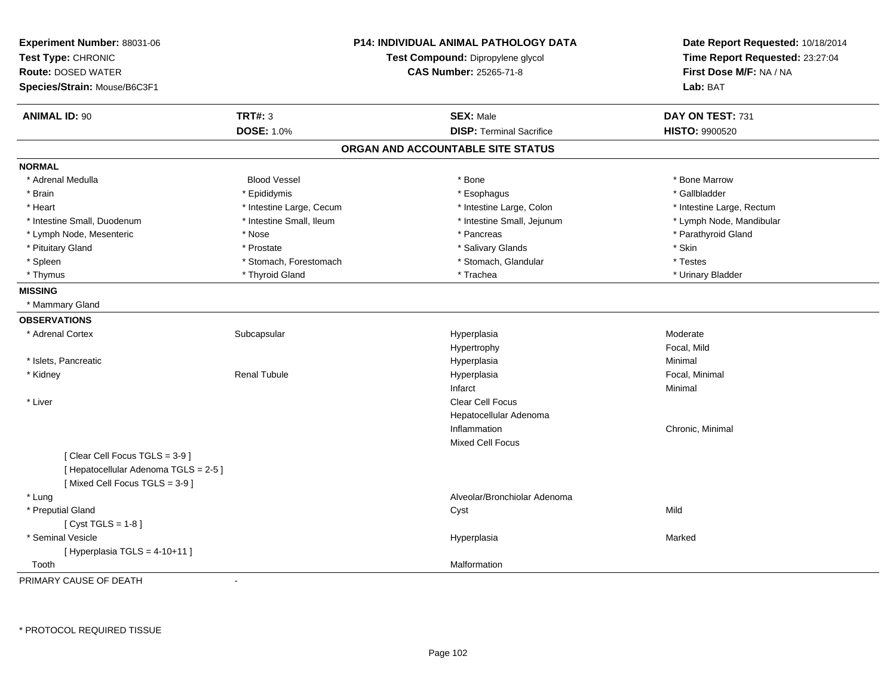| Experiment Number: 88031-06<br>Test Type: CHRONIC<br><b>Route: DOSED WATER</b><br>Species/Strain: Mouse/B6C3F1 |                          | <b>P14: INDIVIDUAL ANIMAL PATHOLOGY DATA</b><br>Test Compound: Dipropylene glycol<br><b>CAS Number: 25265-71-8</b> | Date Report Requested: 10/18/2014<br>Time Report Requested: 23:27:04<br>First Dose M/F: NA / NA<br>Lab: BAT |
|----------------------------------------------------------------------------------------------------------------|--------------------------|--------------------------------------------------------------------------------------------------------------------|-------------------------------------------------------------------------------------------------------------|
| <b>ANIMAL ID: 90</b>                                                                                           | <b>TRT#: 3</b>           | <b>SEX: Male</b>                                                                                                   | DAY ON TEST: 731                                                                                            |
|                                                                                                                | <b>DOSE: 1.0%</b>        | <b>DISP: Terminal Sacrifice</b>                                                                                    | HISTO: 9900520                                                                                              |
|                                                                                                                |                          | ORGAN AND ACCOUNTABLE SITE STATUS                                                                                  |                                                                                                             |
| <b>NORMAL</b>                                                                                                  |                          |                                                                                                                    |                                                                                                             |
| * Adrenal Medulla                                                                                              | <b>Blood Vessel</b>      | * Bone                                                                                                             | * Bone Marrow                                                                                               |
| * Brain                                                                                                        | * Epididymis             | * Esophagus                                                                                                        | * Gallbladder                                                                                               |
| * Heart                                                                                                        | * Intestine Large, Cecum | * Intestine Large, Colon                                                                                           | * Intestine Large, Rectum                                                                                   |
| * Intestine Small, Duodenum                                                                                    | * Intestine Small, Ileum | * Intestine Small, Jejunum                                                                                         | * Lymph Node, Mandibular                                                                                    |
| * Lymph Node, Mesenteric                                                                                       | * Nose                   | * Pancreas                                                                                                         | * Parathyroid Gland                                                                                         |
| * Pituitary Gland                                                                                              | * Prostate               | * Salivary Glands                                                                                                  | * Skin                                                                                                      |
| * Spleen                                                                                                       | * Stomach, Forestomach   | * Stomach, Glandular                                                                                               | * Testes                                                                                                    |
| * Thymus                                                                                                       | * Thyroid Gland          | * Trachea                                                                                                          | * Urinary Bladder                                                                                           |
| <b>MISSING</b><br>* Mammary Gland                                                                              |                          |                                                                                                                    |                                                                                                             |
| <b>OBSERVATIONS</b>                                                                                            |                          |                                                                                                                    |                                                                                                             |
| * Adrenal Cortex                                                                                               | Subcapsular              | Hyperplasia                                                                                                        | Moderate                                                                                                    |
|                                                                                                                |                          | Hypertrophy                                                                                                        | Focal, Mild                                                                                                 |
| * Islets, Pancreatic                                                                                           |                          | Hyperplasia                                                                                                        | Minimal                                                                                                     |
| * Kidney                                                                                                       | <b>Renal Tubule</b>      | Hyperplasia                                                                                                        | Focal, Minimal                                                                                              |
|                                                                                                                |                          | Infarct                                                                                                            | Minimal                                                                                                     |
| * Liver                                                                                                        |                          | Clear Cell Focus                                                                                                   |                                                                                                             |
|                                                                                                                |                          | Hepatocellular Adenoma                                                                                             |                                                                                                             |
|                                                                                                                |                          | Inflammation                                                                                                       | Chronic, Minimal                                                                                            |
|                                                                                                                |                          | Mixed Cell Focus                                                                                                   |                                                                                                             |
| [Clear Cell Focus TGLS = 3-9]<br>[ Hepatocellular Adenoma TGLS = 2-5 ]                                         |                          |                                                                                                                    |                                                                                                             |
| [Mixed Cell Focus TGLS = 3-9]                                                                                  |                          |                                                                                                                    |                                                                                                             |
| * Lung<br>* Preputial Gland                                                                                    |                          | Alveolar/Bronchiolar Adenoma                                                                                       | Mild                                                                                                        |
| [Cyst TGLS = $1-8$ ]                                                                                           |                          | Cyst                                                                                                               |                                                                                                             |
| * Seminal Vesicle                                                                                              |                          | Hyperplasia                                                                                                        | Marked                                                                                                      |
| [Hyperplasia TGLS = 4-10+11]                                                                                   |                          |                                                                                                                    |                                                                                                             |
| Tooth                                                                                                          |                          | Malformation                                                                                                       |                                                                                                             |
| PRIMARY CAUSE OF DEATH                                                                                         | $\sim$                   |                                                                                                                    |                                                                                                             |

-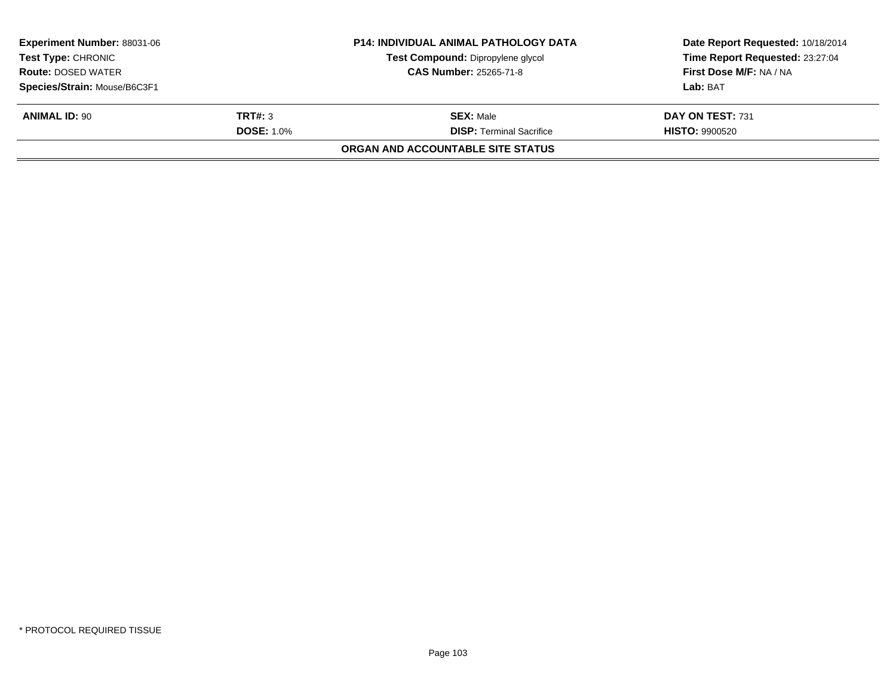| <b>Experiment Number: 88031-06</b><br><b>Test Type: CHRONIC</b><br><b>Route: DOSED WATER</b><br>Species/Strain: Mouse/B6C3F1 |                              | <b>P14: INDIVIDUAL ANIMAL PATHOLOGY DATA</b><br>Test Compound: Dipropylene glycol<br><b>CAS Number: 25265-71-8</b> | Date Report Requested: 10/18/2014<br>Time Report Requested: 23:27:04<br>First Dose M/F: NA / NA<br>Lab: BAT |
|------------------------------------------------------------------------------------------------------------------------------|------------------------------|--------------------------------------------------------------------------------------------------------------------|-------------------------------------------------------------------------------------------------------------|
| <b>ANIMAL ID: 90</b>                                                                                                         | TRT#: 3<br><b>DOSE: 1.0%</b> | <b>SEX: Male</b><br><b>DISP: Terminal Sacrifice</b>                                                                | DAY ON TEST: 731<br><b>HISTO: 9900520</b>                                                                   |
|                                                                                                                              |                              | ORGAN AND ACCOUNTABLE SITE STATUS                                                                                  |                                                                                                             |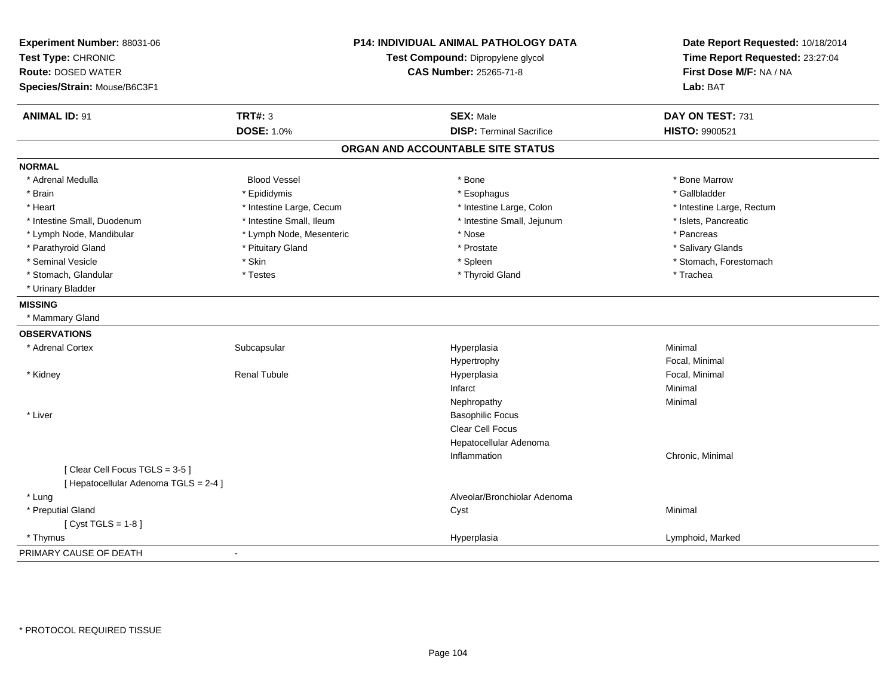| Experiment Number: 88031-06<br>Test Type: CHRONIC<br><b>Route: DOSED WATER</b><br>Species/Strain: Mouse/B6C3F1 |                          | P14: INDIVIDUAL ANIMAL PATHOLOGY DATA<br>Test Compound: Dipropylene glycol<br><b>CAS Number: 25265-71-8</b> | Date Report Requested: 10/18/2014<br>Time Report Requested: 23:27:04<br>First Dose M/F: NA / NA<br>Lab: BAT |
|----------------------------------------------------------------------------------------------------------------|--------------------------|-------------------------------------------------------------------------------------------------------------|-------------------------------------------------------------------------------------------------------------|
| <b>ANIMAL ID: 91</b>                                                                                           | <b>TRT#: 3</b>           | <b>SEX: Male</b>                                                                                            | DAY ON TEST: 731                                                                                            |
|                                                                                                                | <b>DOSE: 1.0%</b>        | <b>DISP: Terminal Sacrifice</b>                                                                             | <b>HISTO: 9900521</b>                                                                                       |
|                                                                                                                |                          | ORGAN AND ACCOUNTABLE SITE STATUS                                                                           |                                                                                                             |
| <b>NORMAL</b>                                                                                                  |                          |                                                                                                             |                                                                                                             |
| * Adrenal Medulla                                                                                              | <b>Blood Vessel</b>      | * Bone                                                                                                      | * Bone Marrow                                                                                               |
| * Brain                                                                                                        | * Epididymis             | * Esophagus                                                                                                 | * Gallbladder                                                                                               |
| * Heart                                                                                                        | * Intestine Large, Cecum | * Intestine Large, Colon                                                                                    | * Intestine Large, Rectum                                                                                   |
| * Intestine Small, Duodenum                                                                                    | * Intestine Small, Ileum | * Intestine Small, Jejunum                                                                                  | * Islets, Pancreatic                                                                                        |
| * Lymph Node, Mandibular                                                                                       | * Lymph Node, Mesenteric | * Nose                                                                                                      | * Pancreas                                                                                                  |
| * Parathyroid Gland                                                                                            | * Pituitary Gland        | * Prostate                                                                                                  | * Salivary Glands                                                                                           |
| * Seminal Vesicle                                                                                              | * Skin                   | * Spleen                                                                                                    | * Stomach, Forestomach                                                                                      |
| * Stomach, Glandular                                                                                           | * Testes                 | * Thyroid Gland                                                                                             | * Trachea                                                                                                   |
| * Urinary Bladder                                                                                              |                          |                                                                                                             |                                                                                                             |
| <b>MISSING</b>                                                                                                 |                          |                                                                                                             |                                                                                                             |
| * Mammary Gland                                                                                                |                          |                                                                                                             |                                                                                                             |
| <b>OBSERVATIONS</b>                                                                                            |                          |                                                                                                             |                                                                                                             |
| * Adrenal Cortex                                                                                               | Subcapsular              | Hyperplasia                                                                                                 | Minimal                                                                                                     |
|                                                                                                                |                          | Hypertrophy                                                                                                 | Focal, Minimal                                                                                              |
| * Kidney                                                                                                       | Renal Tubule             | Hyperplasia                                                                                                 | Focal, Minimal                                                                                              |
|                                                                                                                |                          | Infarct                                                                                                     | Minimal                                                                                                     |
|                                                                                                                |                          | Nephropathy                                                                                                 | Minimal                                                                                                     |
| * Liver                                                                                                        |                          | <b>Basophilic Focus</b>                                                                                     |                                                                                                             |
|                                                                                                                |                          | Clear Cell Focus                                                                                            |                                                                                                             |
|                                                                                                                |                          | Hepatocellular Adenoma                                                                                      |                                                                                                             |
|                                                                                                                |                          | Inflammation                                                                                                | Chronic, Minimal                                                                                            |
| [Clear Cell Focus TGLS = 3-5]<br>[ Hepatocellular Adenoma TGLS = 2-4 ]                                         |                          |                                                                                                             |                                                                                                             |
| * Lung                                                                                                         |                          | Alveolar/Bronchiolar Adenoma                                                                                |                                                                                                             |
| * Preputial Gland                                                                                              |                          | Cyst                                                                                                        | Minimal                                                                                                     |
| [ $Cyst TGLS = 1-8$ ]                                                                                          |                          |                                                                                                             |                                                                                                             |
| * Thymus                                                                                                       |                          | Hyperplasia                                                                                                 | Lymphoid, Marked                                                                                            |
| PRIMARY CAUSE OF DEATH                                                                                         | $\blacksquare$           |                                                                                                             |                                                                                                             |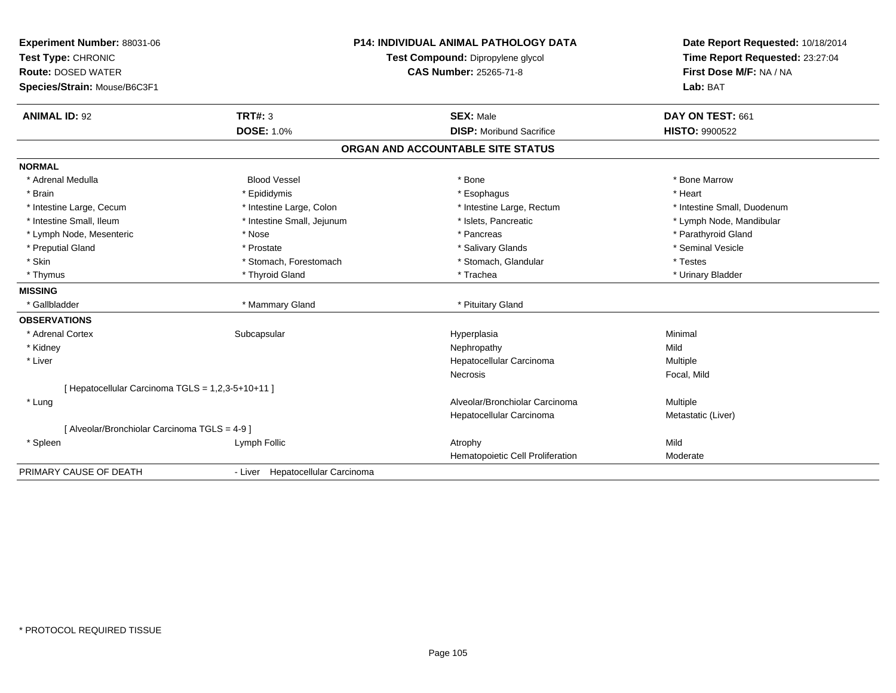| Experiment Number: 88031-06<br>Test Type: CHRONIC |                                  | <b>P14: INDIVIDUAL ANIMAL PATHOLOGY DATA</b> | Date Report Requested: 10/18/2014 |
|---------------------------------------------------|----------------------------------|----------------------------------------------|-----------------------------------|
|                                                   |                                  | Test Compound: Dipropylene glycol            | Time Report Requested: 23:27:04   |
| <b>Route: DOSED WATER</b>                         |                                  | <b>CAS Number: 25265-71-8</b>                | First Dose M/F: NA / NA           |
| Species/Strain: Mouse/B6C3F1                      |                                  |                                              | Lab: BAT                          |
| <b>ANIMAL ID: 92</b>                              | <b>TRT#: 3</b>                   | <b>SEX: Male</b>                             | DAY ON TEST: 661                  |
|                                                   | <b>DOSE: 1.0%</b>                | <b>DISP:</b> Moribund Sacrifice              | <b>HISTO: 9900522</b>             |
|                                                   |                                  | ORGAN AND ACCOUNTABLE SITE STATUS            |                                   |
| <b>NORMAL</b>                                     |                                  |                                              |                                   |
| * Adrenal Medulla                                 | <b>Blood Vessel</b>              | * Bone                                       | * Bone Marrow                     |
| * Brain                                           | * Epididymis                     | * Esophagus                                  | * Heart                           |
| * Intestine Large, Cecum                          | * Intestine Large, Colon         | * Intestine Large, Rectum                    | * Intestine Small, Duodenum       |
| * Intestine Small, Ileum                          | * Intestine Small, Jejunum       | * Islets, Pancreatic                         | * Lymph Node, Mandibular          |
| * Lymph Node, Mesenteric                          | * Nose                           | * Pancreas                                   | * Parathyroid Gland               |
| * Preputial Gland                                 | * Prostate                       | * Salivary Glands                            | * Seminal Vesicle                 |
| * Skin                                            | * Stomach, Forestomach           | * Stomach, Glandular                         | * Testes                          |
| * Thymus                                          | * Thyroid Gland                  | * Trachea                                    | * Urinary Bladder                 |
| <b>MISSING</b>                                    |                                  |                                              |                                   |
| * Gallbladder                                     | * Mammary Gland                  | * Pituitary Gland                            |                                   |
| <b>OBSERVATIONS</b>                               |                                  |                                              |                                   |
| * Adrenal Cortex                                  | Subcapsular                      | Hyperplasia                                  | Minimal                           |
| * Kidney                                          |                                  | Nephropathy                                  | Mild                              |
| * Liver                                           |                                  | Hepatocellular Carcinoma                     | Multiple                          |
|                                                   |                                  | Necrosis                                     | Focal, Mild                       |
| [ Hepatocellular Carcinoma TGLS = 1,2,3-5+10+11 ] |                                  |                                              |                                   |
| * Lung                                            |                                  | Alveolar/Bronchiolar Carcinoma               | Multiple                          |
|                                                   |                                  | Hepatocellular Carcinoma                     | Metastatic (Liver)                |
| [ Alveolar/Bronchiolar Carcinoma TGLS = 4-9 ]     |                                  |                                              |                                   |
| * Spleen                                          | Lymph Follic                     | Atrophy                                      | Mild                              |
|                                                   |                                  | Hematopoietic Cell Proliferation             | Moderate                          |
| PRIMARY CAUSE OF DEATH                            | - Liver Hepatocellular Carcinoma |                                              |                                   |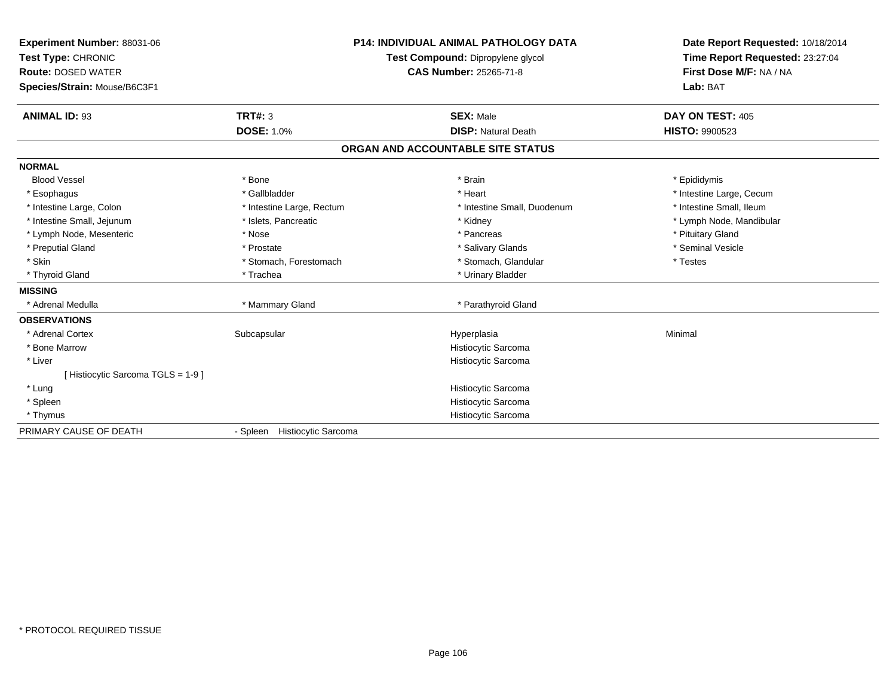| Experiment Number: 88031-06<br>Test Type: CHRONIC<br><b>Route: DOSED WATER</b><br>Species/Strain: Mouse/B6C3F1 |                                        | <b>P14: INDIVIDUAL ANIMAL PATHOLOGY DATA</b><br>Test Compound: Dipropylene glycol<br><b>CAS Number: 25265-71-8</b> | Date Report Requested: 10/18/2014<br>Time Report Requested: 23:27:04<br>First Dose M/F: NA / NA<br>Lab: BAT |
|----------------------------------------------------------------------------------------------------------------|----------------------------------------|--------------------------------------------------------------------------------------------------------------------|-------------------------------------------------------------------------------------------------------------|
| <b>ANIMAL ID: 93</b>                                                                                           | <b>TRT#: 3</b>                         | <b>SEX: Male</b>                                                                                                   | DAY ON TEST: 405                                                                                            |
|                                                                                                                | <b>DOSE: 1.0%</b>                      | <b>DISP: Natural Death</b>                                                                                         | HISTO: 9900523                                                                                              |
|                                                                                                                |                                        | ORGAN AND ACCOUNTABLE SITE STATUS                                                                                  |                                                                                                             |
| <b>NORMAL</b>                                                                                                  |                                        |                                                                                                                    |                                                                                                             |
| <b>Blood Vessel</b>                                                                                            | * Bone                                 | * Brain                                                                                                            | * Epididymis                                                                                                |
| * Esophagus                                                                                                    | * Gallbladder                          | * Heart                                                                                                            | * Intestine Large, Cecum                                                                                    |
| * Intestine Large, Colon                                                                                       | * Intestine Large, Rectum              | * Intestine Small, Duodenum                                                                                        | * Intestine Small, Ileum                                                                                    |
| * Intestine Small, Jejunum                                                                                     | * Islets, Pancreatic                   | * Kidney                                                                                                           | * Lymph Node, Mandibular                                                                                    |
| * Lymph Node, Mesenteric                                                                                       | * Nose                                 | * Pancreas                                                                                                         | * Pituitary Gland                                                                                           |
| * Preputial Gland                                                                                              | * Prostate                             | * Salivary Glands                                                                                                  | * Seminal Vesicle                                                                                           |
| * Skin                                                                                                         | * Stomach. Forestomach                 | * Stomach, Glandular                                                                                               | * Testes                                                                                                    |
| * Thyroid Gland                                                                                                | * Trachea                              | * Urinary Bladder                                                                                                  |                                                                                                             |
| <b>MISSING</b>                                                                                                 |                                        |                                                                                                                    |                                                                                                             |
| * Adrenal Medulla                                                                                              | * Mammary Gland                        | * Parathyroid Gland                                                                                                |                                                                                                             |
| <b>OBSERVATIONS</b>                                                                                            |                                        |                                                                                                                    |                                                                                                             |
| * Adrenal Cortex                                                                                               | Subcapsular                            | Hyperplasia                                                                                                        | Minimal                                                                                                     |
| * Bone Marrow                                                                                                  |                                        | Histiocytic Sarcoma                                                                                                |                                                                                                             |
| * Liver                                                                                                        |                                        | Histiocytic Sarcoma                                                                                                |                                                                                                             |
| [Histiocytic Sarcoma TGLS = 1-9]                                                                               |                                        |                                                                                                                    |                                                                                                             |
| * Lung                                                                                                         |                                        | Histiocytic Sarcoma                                                                                                |                                                                                                             |
| * Spleen                                                                                                       |                                        | Histiocytic Sarcoma                                                                                                |                                                                                                             |
| * Thymus                                                                                                       |                                        | Histiocytic Sarcoma                                                                                                |                                                                                                             |
| PRIMARY CAUSE OF DEATH                                                                                         | <b>Histiocytic Sarcoma</b><br>- Spleen |                                                                                                                    |                                                                                                             |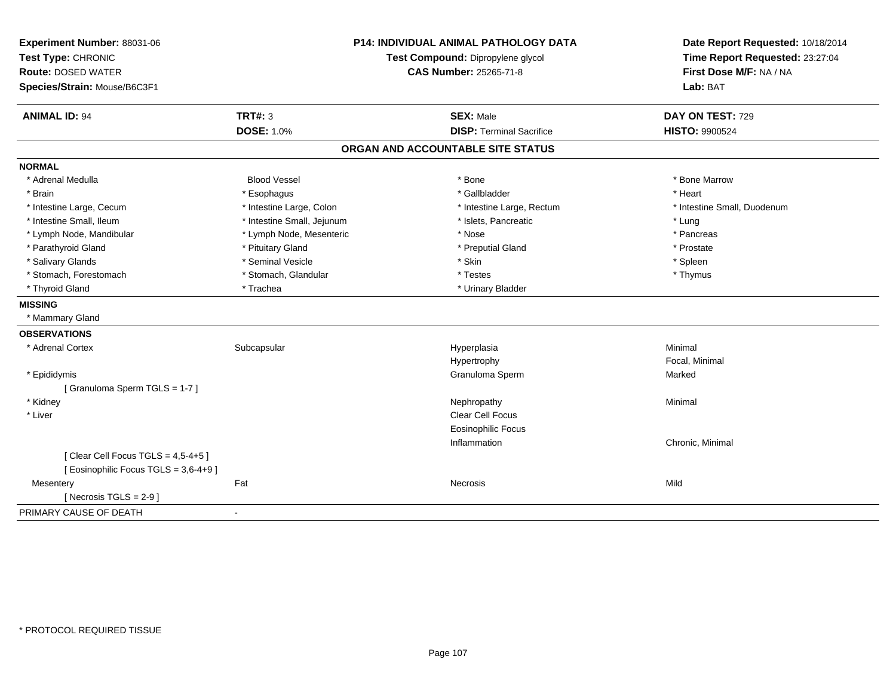| Experiment Number: 88031-06<br>Test Type: CHRONIC |                            | <b>P14: INDIVIDUAL ANIMAL PATHOLOGY DATA</b><br>Test Compound: Dipropylene glycol | Date Report Requested: 10/18/2014 |
|---------------------------------------------------|----------------------------|-----------------------------------------------------------------------------------|-----------------------------------|
| <b>Route: DOSED WATER</b>                         |                            |                                                                                   | Time Report Requested: 23:27:04   |
|                                                   |                            | <b>CAS Number: 25265-71-8</b>                                                     | First Dose M/F: NA / NA           |
| Species/Strain: Mouse/B6C3F1                      |                            |                                                                                   | Lab: BAT                          |
| <b>ANIMAL ID: 94</b>                              | <b>TRT#: 3</b>             | <b>SEX: Male</b>                                                                  | DAY ON TEST: 729                  |
|                                                   | <b>DOSE: 1.0%</b>          | <b>DISP: Terminal Sacrifice</b>                                                   | HISTO: 9900524                    |
|                                                   |                            | ORGAN AND ACCOUNTABLE SITE STATUS                                                 |                                   |
| <b>NORMAL</b>                                     |                            |                                                                                   |                                   |
| * Adrenal Medulla                                 | <b>Blood Vessel</b>        | * Bone                                                                            | * Bone Marrow                     |
| * Brain                                           | * Esophagus                | * Gallbladder                                                                     | * Heart                           |
| * Intestine Large, Cecum                          | * Intestine Large, Colon   | * Intestine Large, Rectum                                                         | * Intestine Small, Duodenum       |
| * Intestine Small, Ileum                          | * Intestine Small, Jejunum | * Islets, Pancreatic                                                              | * Lung                            |
| * Lymph Node, Mandibular                          | * Lymph Node, Mesenteric   | * Nose                                                                            | * Pancreas                        |
| * Parathyroid Gland                               | * Pituitary Gland          | * Preputial Gland                                                                 | * Prostate                        |
| * Salivary Glands                                 | * Seminal Vesicle          | * Skin                                                                            | * Spleen                          |
| * Stomach, Forestomach                            | * Stomach, Glandular       | * Testes                                                                          | * Thymus                          |
| * Thyroid Gland                                   | * Trachea                  | * Urinary Bladder                                                                 |                                   |
| <b>MISSING</b>                                    |                            |                                                                                   |                                   |
| * Mammary Gland                                   |                            |                                                                                   |                                   |
| <b>OBSERVATIONS</b>                               |                            |                                                                                   |                                   |
| * Adrenal Cortex                                  | Subcapsular                | Hyperplasia                                                                       | Minimal                           |
|                                                   |                            | Hypertrophy                                                                       | Focal, Minimal                    |
| * Epididymis                                      |                            | Granuloma Sperm                                                                   | Marked                            |
| [Granuloma Sperm TGLS = 1-7]                      |                            |                                                                                   |                                   |
| * Kidney                                          |                            | Nephropathy                                                                       | Minimal                           |
| * Liver                                           |                            | Clear Cell Focus                                                                  |                                   |
|                                                   |                            | <b>Eosinophilic Focus</b>                                                         |                                   |
|                                                   |                            | Inflammation                                                                      | Chronic, Minimal                  |
| [Clear Cell Focus TGLS = $4,5-4+5$ ]              |                            |                                                                                   |                                   |
| [ Eosinophilic Focus TGLS = 3,6-4+9 ]             |                            |                                                                                   |                                   |
| Mesentery                                         | Fat                        | <b>Necrosis</b>                                                                   | Mild                              |
| [ Necrosis TGLS = $2-9$ ]                         |                            |                                                                                   |                                   |
| PRIMARY CAUSE OF DEATH                            | $\overline{a}$             |                                                                                   |                                   |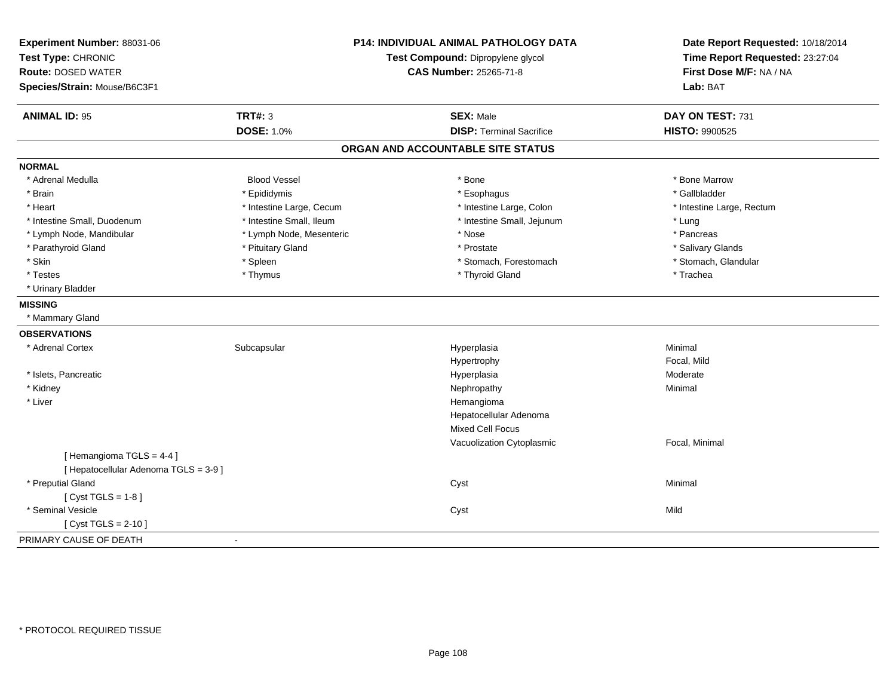| Experiment Number: 88031-06<br>Test Type: CHRONIC<br><b>Route: DOSED WATER</b><br>Species/Strain: Mouse/B6C3F1 |                          | P14: INDIVIDUAL ANIMAL PATHOLOGY DATA<br>Test Compound: Dipropylene glycol<br><b>CAS Number: 25265-71-8</b> | Date Report Requested: 10/18/2014<br>Time Report Requested: 23:27:04<br>First Dose M/F: NA / NA<br>Lab: BAT |
|----------------------------------------------------------------------------------------------------------------|--------------------------|-------------------------------------------------------------------------------------------------------------|-------------------------------------------------------------------------------------------------------------|
| <b>ANIMAL ID: 95</b>                                                                                           | <b>TRT#: 3</b>           | <b>SEX: Male</b>                                                                                            | DAY ON TEST: 731                                                                                            |
|                                                                                                                | <b>DOSE: 1.0%</b>        | <b>DISP: Terminal Sacrifice</b>                                                                             | HISTO: 9900525                                                                                              |
|                                                                                                                |                          | ORGAN AND ACCOUNTABLE SITE STATUS                                                                           |                                                                                                             |
| <b>NORMAL</b>                                                                                                  |                          |                                                                                                             |                                                                                                             |
| * Adrenal Medulla                                                                                              | <b>Blood Vessel</b>      | * Bone                                                                                                      | * Bone Marrow                                                                                               |
| * Brain                                                                                                        | * Epididymis             | * Esophagus                                                                                                 | * Gallbladder                                                                                               |
| * Heart                                                                                                        | * Intestine Large, Cecum | * Intestine Large, Colon                                                                                    | * Intestine Large, Rectum                                                                                   |
| * Intestine Small, Duodenum                                                                                    | * Intestine Small, Ileum | * Intestine Small, Jejunum                                                                                  | * Lung                                                                                                      |
| * Lymph Node, Mandibular                                                                                       | * Lymph Node, Mesenteric | * Nose                                                                                                      | * Pancreas                                                                                                  |
| * Parathyroid Gland                                                                                            | * Pituitary Gland        | * Prostate                                                                                                  | * Salivary Glands                                                                                           |
| * Skin                                                                                                         | * Spleen                 | * Stomach, Forestomach                                                                                      | * Stomach, Glandular                                                                                        |
| * Testes                                                                                                       | * Thymus                 | * Thyroid Gland                                                                                             | * Trachea                                                                                                   |
| * Urinary Bladder                                                                                              |                          |                                                                                                             |                                                                                                             |
| <b>MISSING</b>                                                                                                 |                          |                                                                                                             |                                                                                                             |
| * Mammary Gland                                                                                                |                          |                                                                                                             |                                                                                                             |
| <b>OBSERVATIONS</b>                                                                                            |                          |                                                                                                             |                                                                                                             |
| * Adrenal Cortex                                                                                               | Subcapsular              | Hyperplasia                                                                                                 | Minimal                                                                                                     |
|                                                                                                                |                          | Hypertrophy                                                                                                 | Focal, Mild                                                                                                 |
| * Islets, Pancreatic                                                                                           |                          | Hyperplasia                                                                                                 | Moderate                                                                                                    |
| * Kidney                                                                                                       |                          | Nephropathy                                                                                                 | Minimal                                                                                                     |
| * Liver                                                                                                        |                          | Hemangioma                                                                                                  |                                                                                                             |
|                                                                                                                |                          | Hepatocellular Adenoma                                                                                      |                                                                                                             |
|                                                                                                                |                          | <b>Mixed Cell Focus</b>                                                                                     |                                                                                                             |
|                                                                                                                |                          | Vacuolization Cytoplasmic                                                                                   | Focal, Minimal                                                                                              |
| [Hemangioma TGLS = 4-4]                                                                                        |                          |                                                                                                             |                                                                                                             |
| [ Hepatocellular Adenoma TGLS = 3-9 ]                                                                          |                          |                                                                                                             |                                                                                                             |
| * Preputial Gland                                                                                              |                          | Cyst                                                                                                        | Minimal                                                                                                     |
| [Cyst TGLS = $1-8$ ]                                                                                           |                          |                                                                                                             |                                                                                                             |
| * Seminal Vesicle                                                                                              |                          | Cyst                                                                                                        | Mild                                                                                                        |
| [ $Cyst TGLS = 2-10$ ]                                                                                         |                          |                                                                                                             |                                                                                                             |
| PRIMARY CAUSE OF DEATH                                                                                         | $\sim$                   |                                                                                                             |                                                                                                             |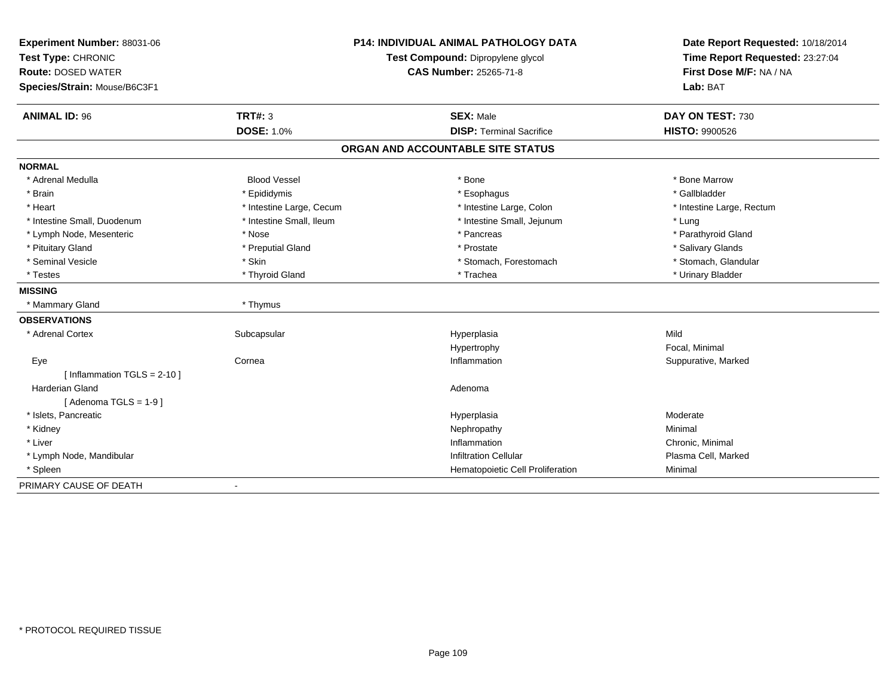| Experiment Number: 88031-06   |                          | <b>P14: INDIVIDUAL ANIMAL PATHOLOGY DATA</b> | Date Report Requested: 10/18/2014                          |  |
|-------------------------------|--------------------------|----------------------------------------------|------------------------------------------------------------|--|
| Test Type: CHRONIC            |                          | Test Compound: Dipropylene glycol            | Time Report Requested: 23:27:04<br>First Dose M/F: NA / NA |  |
| <b>Route: DOSED WATER</b>     |                          | <b>CAS Number: 25265-71-8</b>                |                                                            |  |
| Species/Strain: Mouse/B6C3F1  |                          |                                              | Lab: BAT                                                   |  |
| <b>ANIMAL ID: 96</b>          | <b>TRT#: 3</b>           | <b>SEX: Male</b>                             | DAY ON TEST: 730                                           |  |
|                               | <b>DOSE: 1.0%</b>        | <b>DISP: Terminal Sacrifice</b>              | <b>HISTO: 9900526</b>                                      |  |
|                               |                          | ORGAN AND ACCOUNTABLE SITE STATUS            |                                                            |  |
| <b>NORMAL</b>                 |                          |                                              |                                                            |  |
| * Adrenal Medulla             | <b>Blood Vessel</b>      | * Bone                                       | * Bone Marrow                                              |  |
| * Brain                       | * Epididymis             | * Esophagus                                  | * Gallbladder                                              |  |
| * Heart                       | * Intestine Large, Cecum | * Intestine Large, Colon                     | * Intestine Large, Rectum                                  |  |
| * Intestine Small, Duodenum   | * Intestine Small, Ileum | * Intestine Small, Jejunum                   | * Lung                                                     |  |
| * Lymph Node, Mesenteric      | * Nose                   | * Pancreas                                   | * Parathyroid Gland                                        |  |
| * Pituitary Gland             | * Preputial Gland        | * Prostate                                   | * Salivary Glands                                          |  |
| * Seminal Vesicle             | * Skin                   | * Stomach, Forestomach                       | * Stomach, Glandular                                       |  |
| * Testes                      | * Thyroid Gland          | * Trachea                                    | * Urinary Bladder                                          |  |
| <b>MISSING</b>                |                          |                                              |                                                            |  |
| * Mammary Gland               | * Thymus                 |                                              |                                                            |  |
| <b>OBSERVATIONS</b>           |                          |                                              |                                                            |  |
| * Adrenal Cortex              | Subcapsular              | Hyperplasia                                  | Mild                                                       |  |
|                               |                          | Hypertrophy                                  | Focal, Minimal                                             |  |
| Eye                           | Cornea                   | Inflammation                                 | Suppurative, Marked                                        |  |
| [Inflammation TGLS = $2-10$ ] |                          |                                              |                                                            |  |
| Harderian Gland               |                          | Adenoma                                      |                                                            |  |
| [Adenoma TGLS = $1-9$ ]       |                          |                                              |                                                            |  |
| * Islets, Pancreatic          |                          | Hyperplasia                                  | Moderate                                                   |  |
| * Kidney                      |                          | Nephropathy                                  | Minimal                                                    |  |
| * Liver                       |                          | Inflammation                                 | Chronic, Minimal                                           |  |
| * Lymph Node, Mandibular      |                          | <b>Infiltration Cellular</b>                 | Plasma Cell, Marked                                        |  |
| * Spleen                      |                          | Hematopoietic Cell Proliferation             | Minimal                                                    |  |
| PRIMARY CAUSE OF DEATH        |                          |                                              |                                                            |  |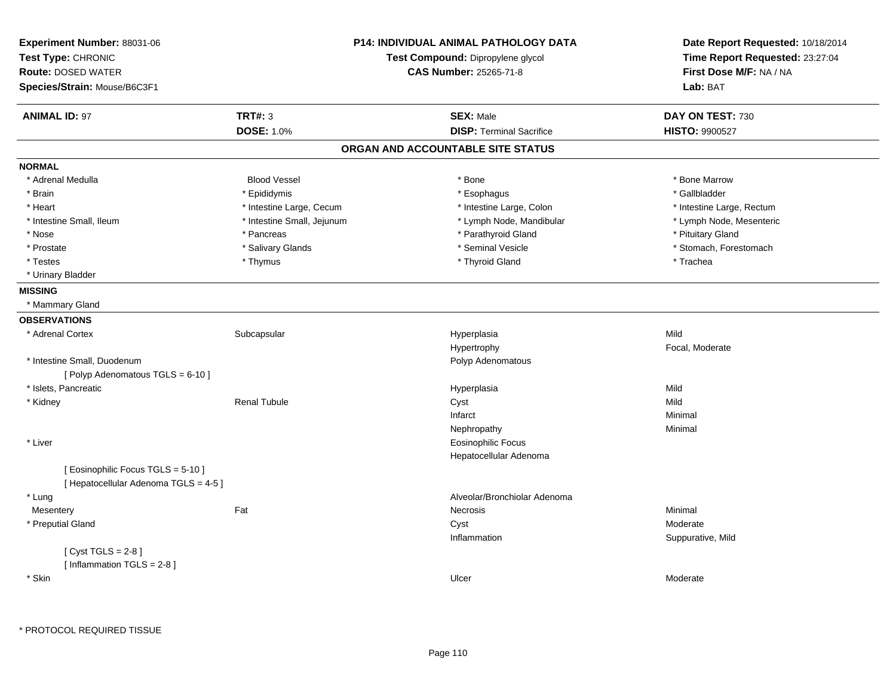| Experiment Number: 88031-06<br>Test Type: CHRONIC |                                                                    |  | <b>P14: INDIVIDUAL ANIMAL PATHOLOGY DATA</b> | Date Report Requested: 10/18/2014<br>Time Report Requested: 23:27:04 |
|---------------------------------------------------|--------------------------------------------------------------------|--|----------------------------------------------|----------------------------------------------------------------------|
| <b>Route: DOSED WATER</b>                         | Test Compound: Dipropylene glycol<br><b>CAS Number: 25265-71-8</b> |  | First Dose M/F: NA / NA                      |                                                                      |
|                                                   |                                                                    |  |                                              |                                                                      |
| Species/Strain: Mouse/B6C3F1                      |                                                                    |  |                                              | Lab: BAT                                                             |
| <b>ANIMAL ID: 97</b>                              | <b>TRT#: 3</b>                                                     |  | <b>SEX: Male</b>                             | DAY ON TEST: 730                                                     |
|                                                   | <b>DOSE: 1.0%</b>                                                  |  | <b>DISP: Terminal Sacrifice</b>              | HISTO: 9900527                                                       |
|                                                   |                                                                    |  | ORGAN AND ACCOUNTABLE SITE STATUS            |                                                                      |
| <b>NORMAL</b>                                     |                                                                    |  |                                              |                                                                      |
| * Adrenal Medulla                                 | <b>Blood Vessel</b>                                                |  | * Bone                                       | * Bone Marrow                                                        |
| * Brain                                           | * Epididymis                                                       |  | * Esophagus                                  | * Gallbladder                                                        |
| * Heart                                           | * Intestine Large, Cecum                                           |  | * Intestine Large, Colon                     | * Intestine Large, Rectum                                            |
| * Intestine Small, Ileum                          | * Intestine Small, Jejunum                                         |  | * Lymph Node, Mandibular                     | * Lymph Node, Mesenteric                                             |
| * Nose                                            | * Pancreas                                                         |  | * Parathyroid Gland                          | * Pituitary Gland                                                    |
| * Prostate                                        | * Salivary Glands                                                  |  | * Seminal Vesicle                            | * Stomach, Forestomach                                               |
| * Testes                                          | * Thymus                                                           |  | * Thyroid Gland                              | * Trachea                                                            |
| * Urinary Bladder                                 |                                                                    |  |                                              |                                                                      |
| <b>MISSING</b>                                    |                                                                    |  |                                              |                                                                      |
| * Mammary Gland                                   |                                                                    |  |                                              |                                                                      |
| <b>OBSERVATIONS</b>                               |                                                                    |  |                                              |                                                                      |
| * Adrenal Cortex                                  | Subcapsular                                                        |  | Hyperplasia                                  | Mild                                                                 |
|                                                   |                                                                    |  | Hypertrophy                                  | Focal, Moderate                                                      |
| * Intestine Small, Duodenum                       |                                                                    |  | Polyp Adenomatous                            |                                                                      |
| [Polyp Adenomatous TGLS = 6-10]                   |                                                                    |  |                                              |                                                                      |
| * Islets, Pancreatic                              |                                                                    |  | Hyperplasia                                  | Mild                                                                 |
| * Kidney                                          | <b>Renal Tubule</b>                                                |  | Cyst                                         | Mild                                                                 |
|                                                   |                                                                    |  | Infarct                                      | Minimal                                                              |
|                                                   |                                                                    |  | Nephropathy                                  | Minimal                                                              |
| * Liver                                           |                                                                    |  | <b>Eosinophilic Focus</b>                    |                                                                      |
|                                                   |                                                                    |  | Hepatocellular Adenoma                       |                                                                      |
| [ Eosinophilic Focus TGLS = 5-10 ]                |                                                                    |  |                                              |                                                                      |
| [ Hepatocellular Adenoma TGLS = 4-5 ]             |                                                                    |  |                                              |                                                                      |
| * Lung                                            |                                                                    |  | Alveolar/Bronchiolar Adenoma                 |                                                                      |
| Mesentery                                         | Fat                                                                |  | Necrosis                                     | Minimal                                                              |
| * Preputial Gland                                 |                                                                    |  | Cyst                                         | Moderate                                                             |
|                                                   |                                                                    |  | Inflammation                                 | Suppurative, Mild                                                    |
| [Cyst TGLS = $2-8$ ]                              |                                                                    |  |                                              |                                                                      |
| [Inflammation $TGLS = 2-8$ ]                      |                                                                    |  |                                              |                                                                      |
| * Skin                                            |                                                                    |  | Ulcer                                        | Moderate                                                             |
|                                                   |                                                                    |  |                                              |                                                                      |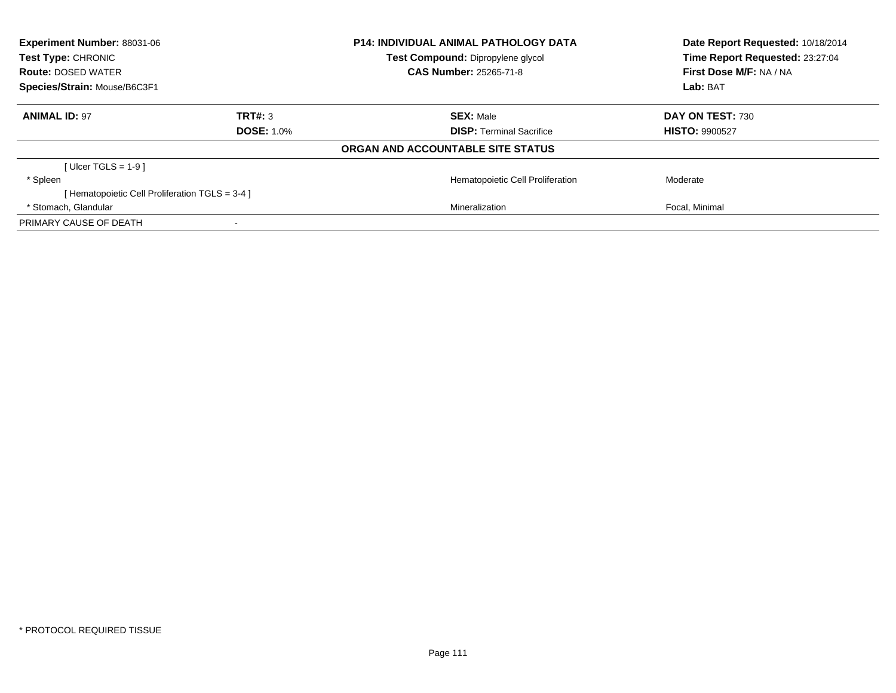| <b>Experiment Number: 88031-06</b><br>Test Type: CHRONIC |                   | <b>P14: INDIVIDUAL ANIMAL PATHOLOGY DATA</b><br>Test Compound: Dipropylene glycol | Date Report Requested: 10/18/2014<br>Time Report Requested: 23:27:04 |
|----------------------------------------------------------|-------------------|-----------------------------------------------------------------------------------|----------------------------------------------------------------------|
| <b>Route: DOSED WATER</b>                                |                   | <b>CAS Number: 25265-71-8</b>                                                     | First Dose M/F: NA / NA                                              |
| Species/Strain: Mouse/B6C3F1                             |                   |                                                                                   | Lab: BAT                                                             |
| <b>ANIMAL ID: 97</b>                                     | TRT#: 3           | <b>SEX: Male</b>                                                                  | DAY ON TEST: 730                                                     |
|                                                          | <b>DOSE: 1.0%</b> | <b>DISP:</b> Terminal Sacrifice                                                   | <b>HISTO: 9900527</b>                                                |
|                                                          |                   | ORGAN AND ACCOUNTABLE SITE STATUS                                                 |                                                                      |
| [ Ulcer TGLS = $1-9$ ]                                   |                   |                                                                                   |                                                                      |
| * Spleen                                                 |                   | Hematopoietic Cell Proliferation                                                  | Moderate                                                             |
| [ Hematopoietic Cell Proliferation TGLS = 3-4 ]          |                   |                                                                                   |                                                                      |
| * Stomach, Glandular                                     |                   | Mineralization                                                                    | Focal, Minimal                                                       |
| PRIMARY CAUSE OF DEATH                                   |                   |                                                                                   |                                                                      |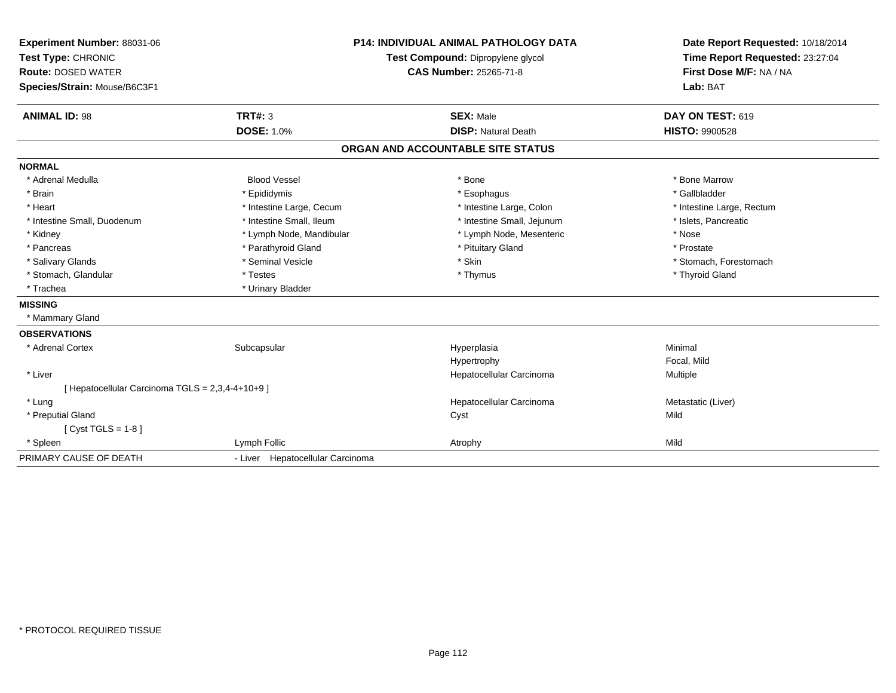| Experiment Number: 88031-06                      |                                  | <b>P14: INDIVIDUAL ANIMAL PATHOLOGY DATA</b> | Date Report Requested: 10/18/2014 |
|--------------------------------------------------|----------------------------------|----------------------------------------------|-----------------------------------|
| Test Type: CHRONIC                               |                                  | Test Compound: Dipropylene glycol            | Time Report Requested: 23:27:04   |
| <b>Route: DOSED WATER</b>                        |                                  | <b>CAS Number: 25265-71-8</b>                | First Dose M/F: NA / NA           |
| Species/Strain: Mouse/B6C3F1                     |                                  |                                              | Lab: BAT                          |
| <b>ANIMAL ID: 98</b>                             | <b>TRT#: 3</b>                   | <b>SEX: Male</b>                             | DAY ON TEST: 619                  |
|                                                  | <b>DOSE: 1.0%</b>                | <b>DISP: Natural Death</b>                   | <b>HISTO: 9900528</b>             |
|                                                  |                                  | ORGAN AND ACCOUNTABLE SITE STATUS            |                                   |
| <b>NORMAL</b>                                    |                                  |                                              |                                   |
| * Adrenal Medulla                                | <b>Blood Vessel</b>              | * Bone                                       | * Bone Marrow                     |
| * Brain                                          | * Epididymis                     | * Esophagus                                  | * Gallbladder                     |
| * Heart                                          | * Intestine Large, Cecum         | * Intestine Large, Colon                     | * Intestine Large, Rectum         |
| * Intestine Small, Duodenum                      | * Intestine Small, Ileum         | * Intestine Small, Jejunum                   | * Islets, Pancreatic              |
| * Kidney                                         | * Lymph Node, Mandibular         | * Lymph Node, Mesenteric                     | * Nose                            |
| * Pancreas                                       | * Parathyroid Gland              | * Pituitary Gland                            | * Prostate                        |
| * Salivary Glands                                | * Seminal Vesicle                | * Skin                                       | * Stomach, Forestomach            |
| * Stomach, Glandular                             | * Testes                         | * Thymus                                     | * Thyroid Gland                   |
| * Trachea                                        | * Urinary Bladder                |                                              |                                   |
| <b>MISSING</b>                                   |                                  |                                              |                                   |
| * Mammary Gland                                  |                                  |                                              |                                   |
| <b>OBSERVATIONS</b>                              |                                  |                                              |                                   |
| * Adrenal Cortex                                 | Subcapsular                      | Hyperplasia                                  | Minimal                           |
|                                                  |                                  | Hypertrophy                                  | Focal, Mild                       |
| * Liver                                          |                                  | Hepatocellular Carcinoma                     | Multiple                          |
| [ Hepatocellular Carcinoma TGLS = 2,3,4-4+10+9 ] |                                  |                                              |                                   |
| * Lung                                           |                                  | Hepatocellular Carcinoma                     | Metastatic (Liver)                |
| * Preputial Gland                                |                                  | Cyst                                         | Mild                              |
| [ $Cyst TGLS = 1-8$ ]                            |                                  |                                              |                                   |
| * Spleen                                         | Lymph Follic                     | Atrophy                                      | Mild                              |
| PRIMARY CAUSE OF DEATH                           | - Liver Hepatocellular Carcinoma |                                              |                                   |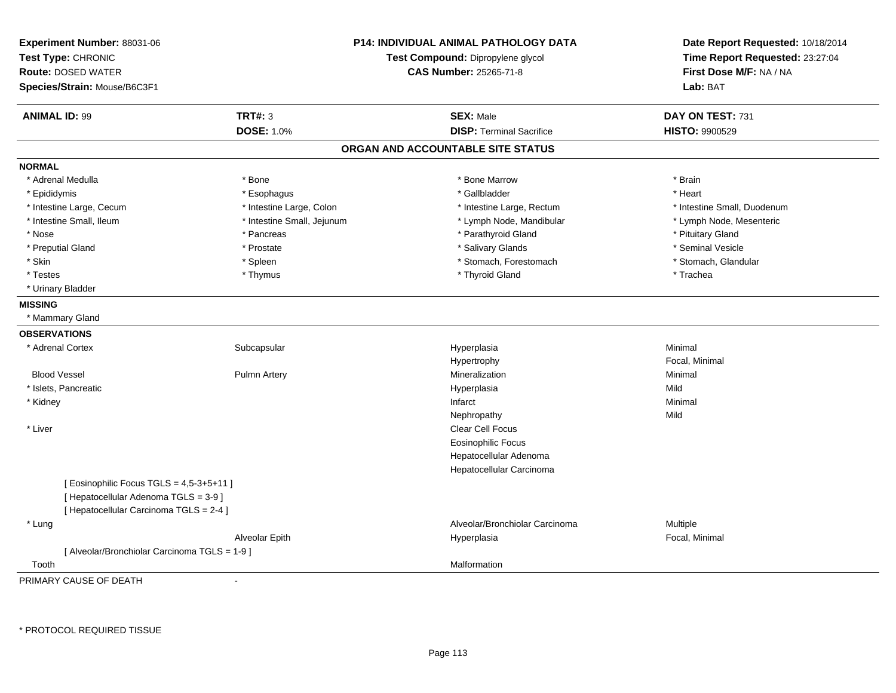| Experiment Number: 88031-06<br>Test Type: CHRONIC<br><b>Route: DOSED WATER</b><br>Species/Strain: Mouse/B6C3F1 |                            | P14: INDIVIDUAL ANIMAL PATHOLOGY DATA<br>Test Compound: Dipropylene glycol<br><b>CAS Number: 25265-71-8</b> | Date Report Requested: 10/18/2014<br>Time Report Requested: 23:27:04<br>First Dose M/F: NA / NA<br>Lab: BAT |
|----------------------------------------------------------------------------------------------------------------|----------------------------|-------------------------------------------------------------------------------------------------------------|-------------------------------------------------------------------------------------------------------------|
| <b>ANIMAL ID: 99</b>                                                                                           | <b>TRT#: 3</b>             | <b>SEX: Male</b>                                                                                            | DAY ON TEST: 731                                                                                            |
|                                                                                                                | <b>DOSE: 1.0%</b>          | <b>DISP: Terminal Sacrifice</b>                                                                             | HISTO: 9900529                                                                                              |
|                                                                                                                |                            | ORGAN AND ACCOUNTABLE SITE STATUS                                                                           |                                                                                                             |
| <b>NORMAL</b>                                                                                                  |                            |                                                                                                             |                                                                                                             |
| * Adrenal Medulla                                                                                              | * Bone                     | * Bone Marrow                                                                                               | * Brain                                                                                                     |
| * Epididymis                                                                                                   | * Esophagus                | * Gallbladder                                                                                               | * Heart                                                                                                     |
| * Intestine Large, Cecum                                                                                       | * Intestine Large, Colon   | * Intestine Large, Rectum                                                                                   | * Intestine Small, Duodenum                                                                                 |
| * Intestine Small, Ileum                                                                                       | * Intestine Small, Jejunum | * Lymph Node, Mandibular                                                                                    | * Lymph Node, Mesenteric                                                                                    |
| * Nose                                                                                                         | * Pancreas                 | * Parathyroid Gland                                                                                         | * Pituitary Gland                                                                                           |
| * Preputial Gland                                                                                              | * Prostate                 | * Salivary Glands                                                                                           | * Seminal Vesicle                                                                                           |
| * Skin                                                                                                         | * Spleen                   | * Stomach, Forestomach                                                                                      | * Stomach, Glandular                                                                                        |
| * Testes                                                                                                       | * Thymus                   | * Thyroid Gland                                                                                             | * Trachea                                                                                                   |
| * Urinary Bladder                                                                                              |                            |                                                                                                             |                                                                                                             |
| <b>MISSING</b>                                                                                                 |                            |                                                                                                             |                                                                                                             |
| * Mammary Gland                                                                                                |                            |                                                                                                             |                                                                                                             |
| <b>OBSERVATIONS</b>                                                                                            |                            |                                                                                                             |                                                                                                             |
| * Adrenal Cortex                                                                                               | Subcapsular                | Hyperplasia                                                                                                 | Minimal                                                                                                     |
|                                                                                                                |                            | Hypertrophy                                                                                                 | Focal, Minimal                                                                                              |
| <b>Blood Vessel</b>                                                                                            | Pulmn Artery               | Mineralization                                                                                              | Minimal                                                                                                     |
| * Islets, Pancreatic                                                                                           |                            | Hyperplasia                                                                                                 | Mild                                                                                                        |
| * Kidney                                                                                                       |                            | Infarct                                                                                                     | Minimal                                                                                                     |
|                                                                                                                |                            | Nephropathy                                                                                                 | Mild                                                                                                        |
| $^{\star}$ Liver                                                                                               |                            | <b>Clear Cell Focus</b>                                                                                     |                                                                                                             |
|                                                                                                                |                            | <b>Eosinophilic Focus</b>                                                                                   |                                                                                                             |
|                                                                                                                |                            | Hepatocellular Adenoma                                                                                      |                                                                                                             |
|                                                                                                                |                            | Hepatocellular Carcinoma                                                                                    |                                                                                                             |
| [ Eosinophilic Focus TGLS = 4,5-3+5+11 ]                                                                       |                            |                                                                                                             |                                                                                                             |
| [ Hepatocellular Adenoma TGLS = 3-9]                                                                           |                            |                                                                                                             |                                                                                                             |
| [ Hepatocellular Carcinoma TGLS = 2-4 ]                                                                        |                            |                                                                                                             |                                                                                                             |
| * Lung                                                                                                         |                            | Alveolar/Bronchiolar Carcinoma                                                                              | Multiple                                                                                                    |
|                                                                                                                | Alveolar Epith             | Hyperplasia                                                                                                 | Focal, Minimal                                                                                              |
| [Alveolar/Bronchiolar Carcinoma TGLS = 1-9]                                                                    |                            |                                                                                                             |                                                                                                             |
| Tooth                                                                                                          |                            | Malformation                                                                                                |                                                                                                             |

\* PROTOCOL REQUIRED TISSUE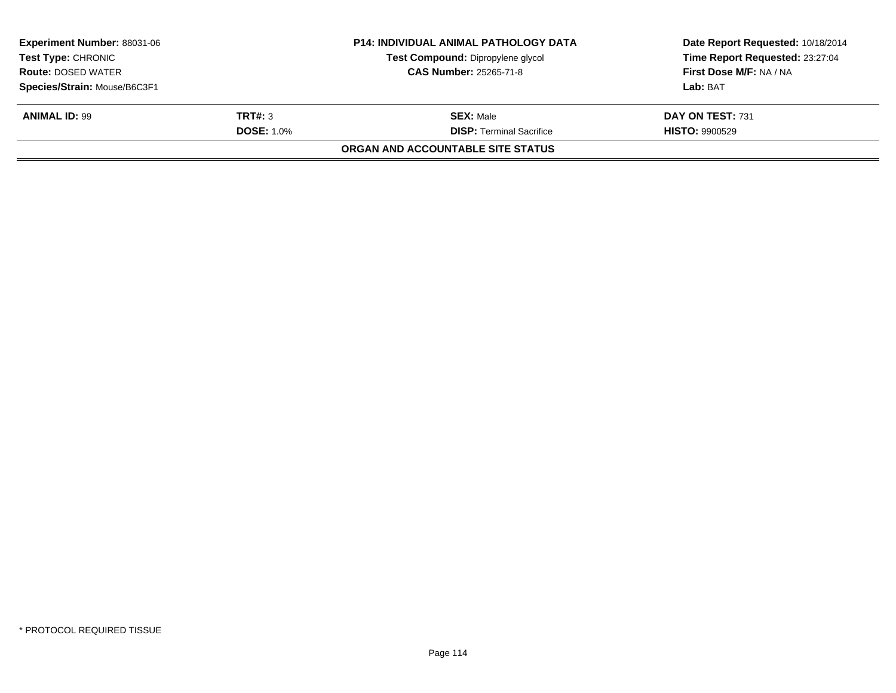| <b>Experiment Number: 88031-06</b><br><b>Test Type: CHRONIC</b><br><b>Route: DOSED WATER</b><br>Species/Strain: Mouse/B6C3F1 |                              | <b>P14: INDIVIDUAL ANIMAL PATHOLOGY DATA</b><br>Test Compound: Dipropylene glycol<br><b>CAS Number: 25265-71-8</b> | Date Report Requested: 10/18/2014<br>Time Report Requested: 23:27:04<br>First Dose M/F: NA / NA<br>Lab: BAT |
|------------------------------------------------------------------------------------------------------------------------------|------------------------------|--------------------------------------------------------------------------------------------------------------------|-------------------------------------------------------------------------------------------------------------|
| <b>ANIMAL ID: 99</b>                                                                                                         | TRT#: 3<br><b>DOSE: 1.0%</b> | <b>SEX: Male</b><br><b>DISP: Terminal Sacrifice</b><br>ORGAN AND ACCOUNTABLE SITE STATUS                           | DAY ON TEST: 731<br><b>HISTO: 9900529</b>                                                                   |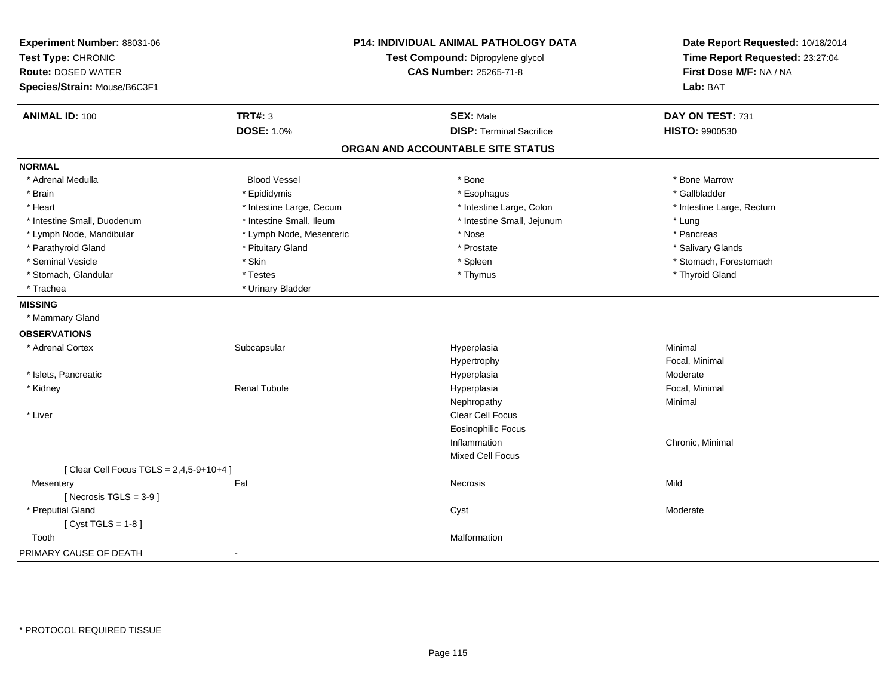| Experiment Number: 88031-06<br>Test Type: CHRONIC<br><b>Route: DOSED WATER</b><br>Species/Strain: Mouse/B6C3F1 |                          | P14: INDIVIDUAL ANIMAL PATHOLOGY DATA<br>Test Compound: Dipropylene glycol<br><b>CAS Number: 25265-71-8</b> | Date Report Requested: 10/18/2014<br>Time Report Requested: 23:27:04<br>First Dose M/F: NA / NA<br>Lab: BAT |
|----------------------------------------------------------------------------------------------------------------|--------------------------|-------------------------------------------------------------------------------------------------------------|-------------------------------------------------------------------------------------------------------------|
| <b>ANIMAL ID: 100</b>                                                                                          | <b>TRT#: 3</b>           | <b>SEX: Male</b>                                                                                            | DAY ON TEST: 731                                                                                            |
|                                                                                                                | <b>DOSE: 1.0%</b>        | <b>DISP: Terminal Sacrifice</b>                                                                             | <b>HISTO: 9900530</b>                                                                                       |
|                                                                                                                |                          | ORGAN AND ACCOUNTABLE SITE STATUS                                                                           |                                                                                                             |
| <b>NORMAL</b>                                                                                                  |                          |                                                                                                             |                                                                                                             |
| * Adrenal Medulla                                                                                              | <b>Blood Vessel</b>      | * Bone                                                                                                      | * Bone Marrow                                                                                               |
| * Brain                                                                                                        | * Epididymis             | * Esophagus                                                                                                 | * Gallbladder                                                                                               |
| * Heart                                                                                                        | * Intestine Large, Cecum | * Intestine Large, Colon                                                                                    | * Intestine Large, Rectum                                                                                   |
| * Intestine Small, Duodenum                                                                                    | * Intestine Small, Ileum | * Intestine Small, Jejunum                                                                                  | * Lung                                                                                                      |
| * Lymph Node, Mandibular                                                                                       | * Lymph Node, Mesenteric | * Nose                                                                                                      | * Pancreas                                                                                                  |
| * Parathyroid Gland                                                                                            | * Pituitary Gland        | * Prostate                                                                                                  | * Salivary Glands                                                                                           |
| * Seminal Vesicle                                                                                              | * Skin                   | * Spleen                                                                                                    | * Stomach, Forestomach                                                                                      |
| * Stomach, Glandular                                                                                           | * Testes                 | * Thymus                                                                                                    | * Thyroid Gland                                                                                             |
| * Trachea                                                                                                      | * Urinary Bladder        |                                                                                                             |                                                                                                             |
| <b>MISSING</b>                                                                                                 |                          |                                                                                                             |                                                                                                             |
| * Mammary Gland                                                                                                |                          |                                                                                                             |                                                                                                             |
| <b>OBSERVATIONS</b>                                                                                            |                          |                                                                                                             |                                                                                                             |
| * Adrenal Cortex                                                                                               | Subcapsular              | Hyperplasia                                                                                                 | Minimal                                                                                                     |
|                                                                                                                |                          | Hypertrophy                                                                                                 | Focal, Minimal                                                                                              |
| * Islets, Pancreatic                                                                                           |                          | Hyperplasia                                                                                                 | Moderate                                                                                                    |
| * Kidney                                                                                                       | <b>Renal Tubule</b>      | Hyperplasia                                                                                                 | Focal, Minimal                                                                                              |
|                                                                                                                |                          | Nephropathy                                                                                                 | Minimal                                                                                                     |
| * Liver                                                                                                        |                          | Clear Cell Focus                                                                                            |                                                                                                             |
|                                                                                                                |                          | <b>Eosinophilic Focus</b>                                                                                   |                                                                                                             |
|                                                                                                                |                          | Inflammation                                                                                                | Chronic, Minimal                                                                                            |
|                                                                                                                |                          | Mixed Cell Focus                                                                                            |                                                                                                             |
| [ Clear Cell Focus TGLS = 2,4,5-9+10+4 ]                                                                       |                          |                                                                                                             |                                                                                                             |
| Mesentery                                                                                                      | Fat                      | Necrosis                                                                                                    | Mild                                                                                                        |
| [Necrosis TGLS = $3-9$ ]                                                                                       |                          |                                                                                                             |                                                                                                             |
| * Preputial Gland                                                                                              |                          | Cyst                                                                                                        | Moderate                                                                                                    |
| [ $Cyst TGLS = 1-8$ ]                                                                                          |                          |                                                                                                             |                                                                                                             |
| Tooth                                                                                                          |                          | Malformation                                                                                                |                                                                                                             |
| PRIMARY CAUSE OF DEATH                                                                                         |                          |                                                                                                             |                                                                                                             |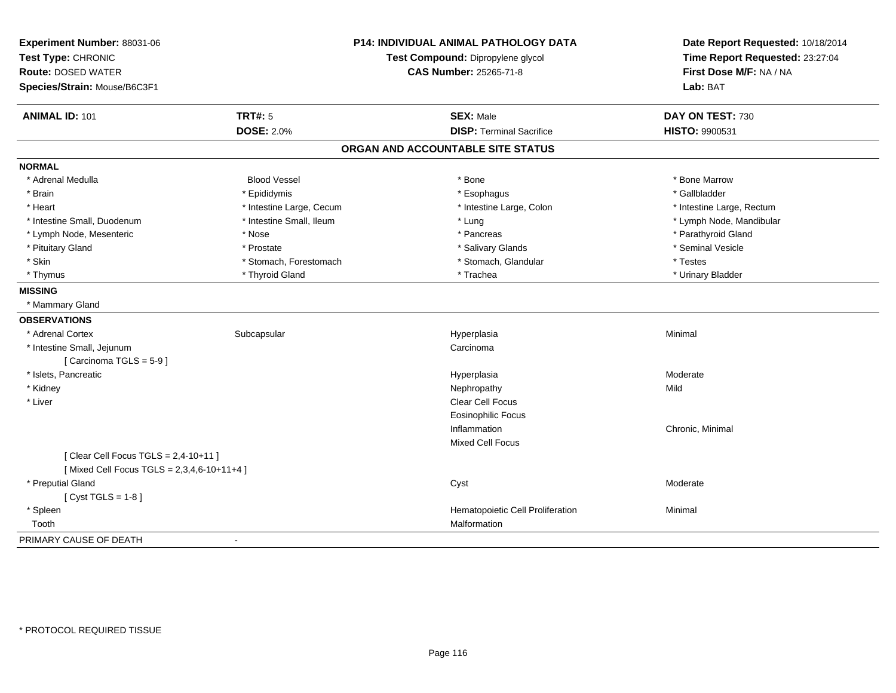| Experiment Number: 88031-06                  |                          | <b>P14: INDIVIDUAL ANIMAL PATHOLOGY DATA</b> | Date Report Requested: 10/18/2014 |
|----------------------------------------------|--------------------------|----------------------------------------------|-----------------------------------|
| Test Type: CHRONIC                           |                          | Test Compound: Dipropylene glycol            | Time Report Requested: 23:27:04   |
| <b>Route: DOSED WATER</b>                    |                          | <b>CAS Number: 25265-71-8</b>                | First Dose M/F: NA / NA           |
| Species/Strain: Mouse/B6C3F1                 |                          |                                              | Lab: BAT                          |
| <b>ANIMAL ID: 101</b>                        | TRT#: 5                  | <b>SEX: Male</b>                             | DAY ON TEST: 730                  |
|                                              | <b>DOSE: 2.0%</b>        | <b>DISP: Terminal Sacrifice</b>              | HISTO: 9900531                    |
|                                              |                          | ORGAN AND ACCOUNTABLE SITE STATUS            |                                   |
| <b>NORMAL</b>                                |                          |                                              |                                   |
| * Adrenal Medulla                            | <b>Blood Vessel</b>      | * Bone                                       | * Bone Marrow                     |
| * Brain                                      | * Epididymis             | * Esophagus                                  | * Gallbladder                     |
| * Heart                                      | * Intestine Large, Cecum | * Intestine Large, Colon                     | * Intestine Large, Rectum         |
| * Intestine Small, Duodenum                  | * Intestine Small, Ileum | * Lung                                       | * Lymph Node, Mandibular          |
| * Lymph Node, Mesenteric                     | * Nose                   | * Pancreas                                   | * Parathyroid Gland               |
| * Pituitary Gland                            | * Prostate               | * Salivary Glands                            | * Seminal Vesicle                 |
| * Skin                                       | * Stomach, Forestomach   | * Stomach, Glandular                         | * Testes                          |
| * Thymus                                     | * Thyroid Gland          | * Trachea                                    | * Urinary Bladder                 |
| <b>MISSING</b>                               |                          |                                              |                                   |
| * Mammary Gland                              |                          |                                              |                                   |
| <b>OBSERVATIONS</b>                          |                          |                                              |                                   |
| * Adrenal Cortex                             | Subcapsular              | Hyperplasia                                  | Minimal                           |
| * Intestine Small, Jejunum                   |                          | Carcinoma                                    |                                   |
| [Carcinoma TGLS = 5-9]                       |                          |                                              |                                   |
| * Islets, Pancreatic                         |                          | Hyperplasia                                  | Moderate                          |
| * Kidney                                     |                          | Nephropathy                                  | Mild                              |
| * Liver                                      |                          | Clear Cell Focus                             |                                   |
|                                              |                          | <b>Eosinophilic Focus</b>                    |                                   |
|                                              |                          | Inflammation                                 | Chronic, Minimal                  |
|                                              |                          | <b>Mixed Cell Focus</b>                      |                                   |
| [ Clear Cell Focus TGLS = $2,4-10+11$ ]      |                          |                                              |                                   |
| [Mixed Cell Focus TGLS = $2,3,4,6-10+11+4$ ] |                          |                                              |                                   |
| * Preputial Gland                            |                          | Cyst                                         | Moderate                          |
| [Cyst TGLS = $1-8$ ]                         |                          |                                              |                                   |
| * Spleen                                     |                          | Hematopoietic Cell Proliferation             | Minimal                           |
| Tooth                                        |                          | Malformation                                 |                                   |
| PRIMARY CAUSE OF DEATH                       |                          |                                              |                                   |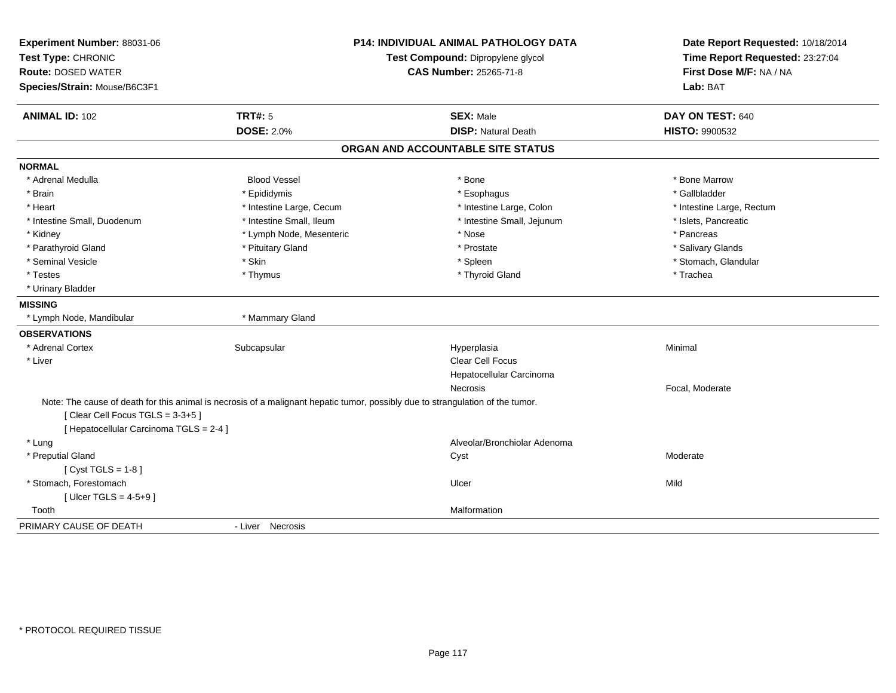| Experiment Number: 88031-06<br>Test Type: CHRONIC<br><b>Route: DOSED WATER</b> |                                                                                                                                | <b>P14: INDIVIDUAL ANIMAL PATHOLOGY DATA</b><br>Test Compound: Dipropylene glycol<br><b>CAS Number: 25265-71-8</b> | Date Report Requested: 10/18/2014<br>Time Report Requested: 23:27:04<br>First Dose M/F: NA / NA |
|--------------------------------------------------------------------------------|--------------------------------------------------------------------------------------------------------------------------------|--------------------------------------------------------------------------------------------------------------------|-------------------------------------------------------------------------------------------------|
| Species/Strain: Mouse/B6C3F1                                                   |                                                                                                                                |                                                                                                                    | Lab: BAT                                                                                        |
| <b>ANIMAL ID: 102</b>                                                          | <b>TRT#: 5</b>                                                                                                                 | <b>SEX: Male</b>                                                                                                   | DAY ON TEST: 640                                                                                |
|                                                                                | <b>DOSE: 2.0%</b>                                                                                                              | <b>DISP: Natural Death</b>                                                                                         | <b>HISTO: 9900532</b>                                                                           |
|                                                                                |                                                                                                                                | ORGAN AND ACCOUNTABLE SITE STATUS                                                                                  |                                                                                                 |
| <b>NORMAL</b>                                                                  |                                                                                                                                |                                                                                                                    |                                                                                                 |
| * Adrenal Medulla                                                              | <b>Blood Vessel</b>                                                                                                            | * Bone                                                                                                             | * Bone Marrow                                                                                   |
| * Brain                                                                        | * Epididymis                                                                                                                   | * Esophagus                                                                                                        | * Gallbladder                                                                                   |
| * Heart                                                                        | * Intestine Large, Cecum                                                                                                       | * Intestine Large, Colon                                                                                           | * Intestine Large, Rectum                                                                       |
| * Intestine Small, Duodenum                                                    | * Intestine Small, Ileum                                                                                                       | * Intestine Small, Jejunum                                                                                         | * Islets, Pancreatic                                                                            |
| * Kidney                                                                       | * Lymph Node, Mesenteric                                                                                                       | * Nose                                                                                                             | * Pancreas                                                                                      |
| * Parathyroid Gland                                                            | * Pituitary Gland                                                                                                              | * Prostate                                                                                                         | * Salivary Glands                                                                               |
| * Seminal Vesicle                                                              | * Skin                                                                                                                         | * Spleen                                                                                                           | * Stomach, Glandular                                                                            |
| * Testes                                                                       | * Thymus                                                                                                                       | * Thyroid Gland                                                                                                    | * Trachea                                                                                       |
| * Urinary Bladder                                                              |                                                                                                                                |                                                                                                                    |                                                                                                 |
| <b>MISSING</b>                                                                 |                                                                                                                                |                                                                                                                    |                                                                                                 |
| * Lymph Node, Mandibular                                                       | * Mammary Gland                                                                                                                |                                                                                                                    |                                                                                                 |
| <b>OBSERVATIONS</b>                                                            |                                                                                                                                |                                                                                                                    |                                                                                                 |
| * Adrenal Cortex                                                               | Subcapsular                                                                                                                    | Hyperplasia                                                                                                        | Minimal                                                                                         |
| * Liver                                                                        |                                                                                                                                | Clear Cell Focus                                                                                                   |                                                                                                 |
|                                                                                |                                                                                                                                | Hepatocellular Carcinoma                                                                                           |                                                                                                 |
|                                                                                |                                                                                                                                | Necrosis                                                                                                           | Focal, Moderate                                                                                 |
|                                                                                | Note: The cause of death for this animal is necrosis of a malignant hepatic tumor, possibly due to strangulation of the tumor. |                                                                                                                    |                                                                                                 |
| [Clear Cell Focus TGLS = 3-3+5]                                                |                                                                                                                                |                                                                                                                    |                                                                                                 |
| [ Hepatocellular Carcinoma TGLS = 2-4 ]                                        |                                                                                                                                |                                                                                                                    |                                                                                                 |
| * Lung                                                                         |                                                                                                                                | Alveolar/Bronchiolar Adenoma                                                                                       |                                                                                                 |
| * Preputial Gland                                                              |                                                                                                                                | Cyst                                                                                                               | Moderate                                                                                        |
| [ $Cyst TGLS = 1-8$ ]                                                          |                                                                                                                                |                                                                                                                    |                                                                                                 |
| * Stomach, Forestomach                                                         |                                                                                                                                | Ulcer                                                                                                              | Mild                                                                                            |
| [ Ulcer TGLS = $4-5+9$ ]                                                       |                                                                                                                                |                                                                                                                    |                                                                                                 |
| Tooth                                                                          |                                                                                                                                | Malformation                                                                                                       |                                                                                                 |
| PRIMARY CAUSE OF DEATH                                                         | - Liver Necrosis                                                                                                               |                                                                                                                    |                                                                                                 |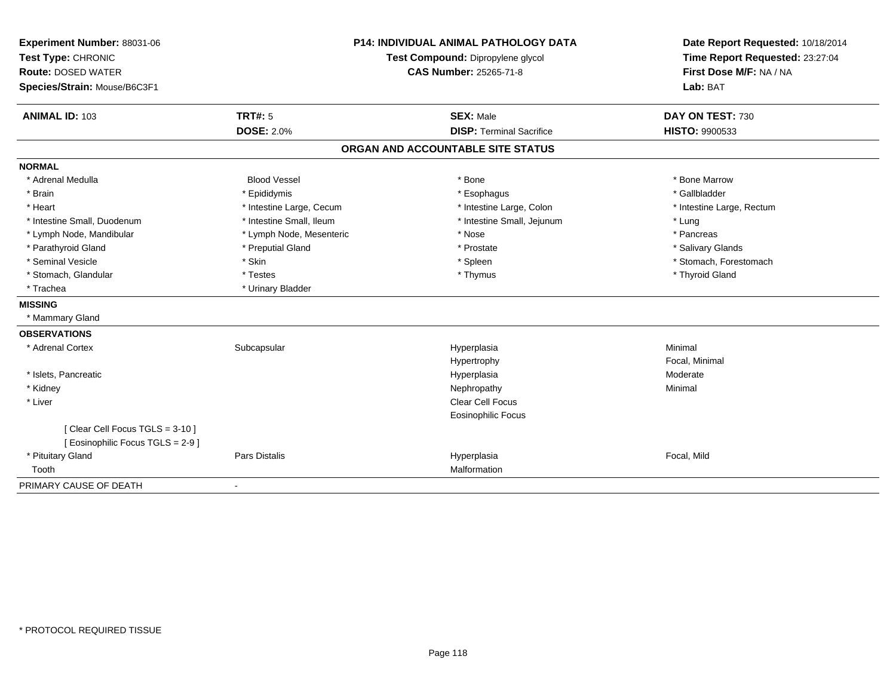| Experiment Number: 88031-06<br>Test Type: CHRONIC                   |                          | <b>P14: INDIVIDUAL ANIMAL PATHOLOGY DATA</b><br>Test Compound: Dipropylene glycol | Date Report Requested: 10/18/2014<br>Time Report Requested: 23:27:04 |  |
|---------------------------------------------------------------------|--------------------------|-----------------------------------------------------------------------------------|----------------------------------------------------------------------|--|
| <b>Route: DOSED WATER</b>                                           |                          | <b>CAS Number: 25265-71-8</b>                                                     | First Dose M/F: NA / NA                                              |  |
| Species/Strain: Mouse/B6C3F1                                        |                          |                                                                                   | Lab: BAT                                                             |  |
| <b>ANIMAL ID: 103</b>                                               | <b>TRT#: 5</b>           | <b>SEX: Male</b>                                                                  | DAY ON TEST: 730                                                     |  |
|                                                                     | <b>DOSE: 2.0%</b>        | <b>DISP: Terminal Sacrifice</b>                                                   | <b>HISTO: 9900533</b>                                                |  |
|                                                                     |                          | ORGAN AND ACCOUNTABLE SITE STATUS                                                 |                                                                      |  |
| <b>NORMAL</b>                                                       |                          |                                                                                   |                                                                      |  |
| * Adrenal Medulla                                                   | <b>Blood Vessel</b>      | * Bone                                                                            | * Bone Marrow                                                        |  |
| * Brain                                                             | * Epididymis             | * Esophagus                                                                       | * Gallbladder                                                        |  |
| * Heart                                                             | * Intestine Large, Cecum | * Intestine Large, Colon                                                          | * Intestine Large, Rectum                                            |  |
| * Intestine Small, Duodenum                                         | * Intestine Small, Ileum | * Intestine Small, Jejunum                                                        | * Lung                                                               |  |
| * Lymph Node, Mandibular                                            | * Lymph Node, Mesenteric | * Nose                                                                            | * Pancreas                                                           |  |
| * Parathyroid Gland                                                 | * Preputial Gland        | * Prostate                                                                        | * Salivary Glands                                                    |  |
| * Seminal Vesicle                                                   | * Skin                   | * Spleen                                                                          | * Stomach, Forestomach                                               |  |
| * Stomach, Glandular                                                | * Testes                 | * Thymus                                                                          | * Thyroid Gland                                                      |  |
| * Trachea                                                           | * Urinary Bladder        |                                                                                   |                                                                      |  |
| <b>MISSING</b>                                                      |                          |                                                                                   |                                                                      |  |
| * Mammary Gland                                                     |                          |                                                                                   |                                                                      |  |
| <b>OBSERVATIONS</b>                                                 |                          |                                                                                   |                                                                      |  |
| * Adrenal Cortex                                                    | Subcapsular              | Hyperplasia                                                                       | Minimal                                                              |  |
|                                                                     |                          | Hypertrophy                                                                       | Focal, Minimal                                                       |  |
| * Islets, Pancreatic                                                |                          | Hyperplasia                                                                       | Moderate                                                             |  |
| * Kidney                                                            |                          | Nephropathy                                                                       | Minimal                                                              |  |
| * Liver                                                             |                          | Clear Cell Focus                                                                  |                                                                      |  |
|                                                                     |                          | Eosinophilic Focus                                                                |                                                                      |  |
| [Clear Cell Focus TGLS = 3-10]<br>[ Eosinophilic Focus TGLS = 2-9 ] |                          |                                                                                   |                                                                      |  |
| * Pituitary Gland                                                   | Pars Distalis            | Hyperplasia                                                                       | Focal, Mild                                                          |  |
| Tooth                                                               |                          | Malformation                                                                      |                                                                      |  |
| PRIMARY CAUSE OF DEATH                                              | $\blacksquare$           |                                                                                   |                                                                      |  |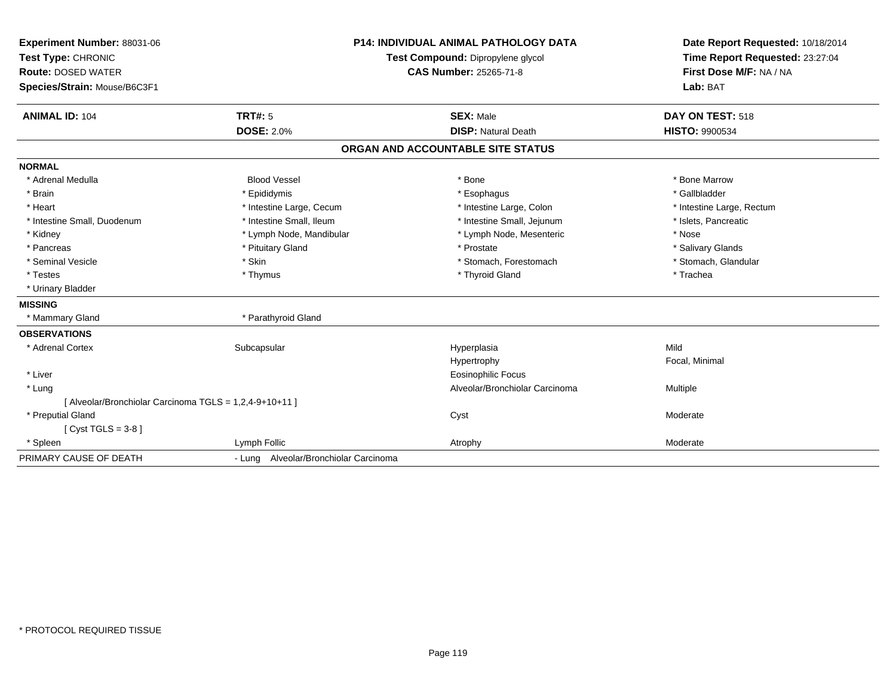| Experiment Number: 88031-06                             | <b>P14: INDIVIDUAL ANIMAL PATHOLOGY DATA</b><br>Test Compound: Dipropylene glycol<br><b>CAS Number: 25265-71-8</b> |                                   | Date Report Requested: 10/18/2014 |
|---------------------------------------------------------|--------------------------------------------------------------------------------------------------------------------|-----------------------------------|-----------------------------------|
| Test Type: CHRONIC                                      |                                                                                                                    |                                   | Time Report Requested: 23:27:04   |
| <b>Route: DOSED WATER</b>                               |                                                                                                                    |                                   | First Dose M/F: NA / NA           |
| Species/Strain: Mouse/B6C3F1                            |                                                                                                                    |                                   | Lab: BAT                          |
| <b>ANIMAL ID: 104</b>                                   | <b>TRT#: 5</b>                                                                                                     | <b>SEX: Male</b>                  | DAY ON TEST: 518                  |
|                                                         | <b>DOSE: 2.0%</b>                                                                                                  | <b>DISP: Natural Death</b>        | <b>HISTO: 9900534</b>             |
|                                                         |                                                                                                                    | ORGAN AND ACCOUNTABLE SITE STATUS |                                   |
| <b>NORMAL</b>                                           |                                                                                                                    |                                   |                                   |
| * Adrenal Medulla                                       | <b>Blood Vessel</b>                                                                                                | * Bone                            | * Bone Marrow                     |
| * Brain                                                 | * Epididymis                                                                                                       | * Esophagus                       | * Gallbladder                     |
| * Heart                                                 | * Intestine Large, Cecum                                                                                           | * Intestine Large, Colon          | * Intestine Large, Rectum         |
| * Intestine Small, Duodenum                             | * Intestine Small, Ileum                                                                                           | * Intestine Small, Jejunum        | * Islets, Pancreatic              |
| * Kidney                                                | * Lymph Node, Mandibular                                                                                           | * Lymph Node, Mesenteric          | * Nose                            |
| * Pancreas                                              | * Pituitary Gland                                                                                                  | * Prostate                        | * Salivary Glands                 |
| * Seminal Vesicle                                       | * Skin                                                                                                             | * Stomach, Forestomach            | * Stomach, Glandular              |
| * Testes                                                | * Thymus                                                                                                           | * Thyroid Gland                   | * Trachea                         |
| * Urinary Bladder                                       |                                                                                                                    |                                   |                                   |
| <b>MISSING</b>                                          |                                                                                                                    |                                   |                                   |
| * Mammary Gland                                         | * Parathyroid Gland                                                                                                |                                   |                                   |
| <b>OBSERVATIONS</b>                                     |                                                                                                                    |                                   |                                   |
| * Adrenal Cortex                                        | Subcapsular                                                                                                        | Hyperplasia                       | Mild                              |
|                                                         |                                                                                                                    | Hypertrophy                       | Focal, Minimal                    |
| * Liver                                                 |                                                                                                                    | <b>Eosinophilic Focus</b>         |                                   |
| * Lung                                                  |                                                                                                                    | Alveolar/Bronchiolar Carcinoma    | Multiple                          |
| [ Alveolar/Bronchiolar Carcinoma TGLS = 1,2,4-9+10+11 ] |                                                                                                                    |                                   |                                   |
| * Preputial Gland                                       |                                                                                                                    | Cyst                              | Moderate                          |
| [Cyst TGLS = $3-8$ ]                                    |                                                                                                                    |                                   |                                   |
| * Spleen                                                | Lymph Follic                                                                                                       | Atrophy                           | Moderate                          |
| PRIMARY CAUSE OF DEATH                                  | - Lung Alveolar/Bronchiolar Carcinoma                                                                              |                                   |                                   |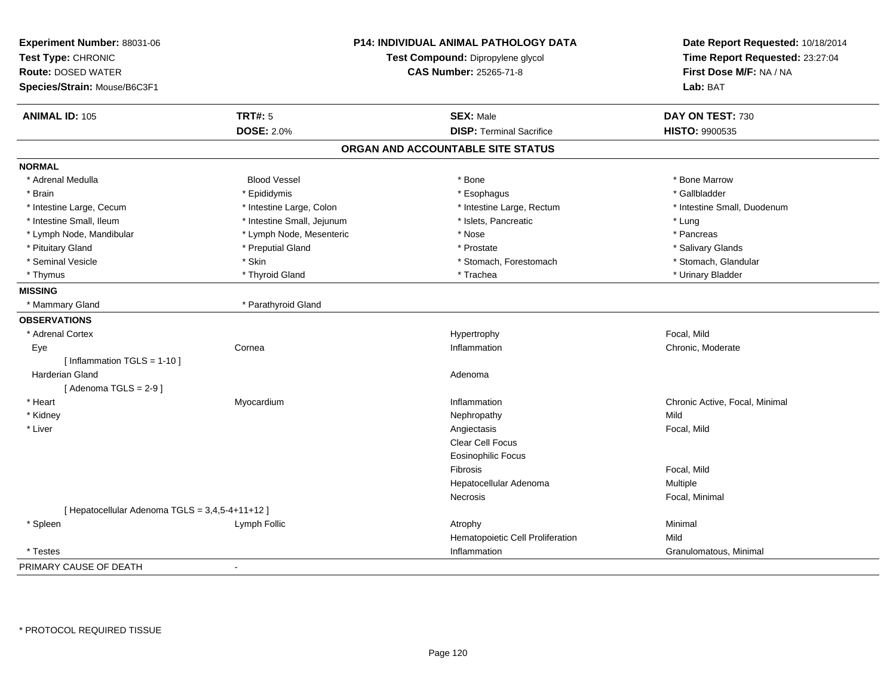| Experiment Number: 88031-06<br>Test Type: CHRONIC<br><b>Route: DOSED WATER</b><br>Species/Strain: Mouse/B6C3F1 |                            | <b>P14: INDIVIDUAL ANIMAL PATHOLOGY DATA</b><br>Test Compound: Dipropylene glycol<br><b>CAS Number: 25265-71-8</b> | Date Report Requested: 10/18/2014<br>Time Report Requested: 23:27:04<br>First Dose M/F: NA / NA<br>Lab: BAT |
|----------------------------------------------------------------------------------------------------------------|----------------------------|--------------------------------------------------------------------------------------------------------------------|-------------------------------------------------------------------------------------------------------------|
| <b>ANIMAL ID: 105</b>                                                                                          | <b>TRT#: 5</b>             | <b>SEX: Male</b>                                                                                                   | DAY ON TEST: 730                                                                                            |
|                                                                                                                | <b>DOSE: 2.0%</b>          | <b>DISP: Terminal Sacrifice</b>                                                                                    | <b>HISTO: 9900535</b>                                                                                       |
|                                                                                                                |                            | ORGAN AND ACCOUNTABLE SITE STATUS                                                                                  |                                                                                                             |
| <b>NORMAL</b>                                                                                                  |                            |                                                                                                                    |                                                                                                             |
| * Adrenal Medulla                                                                                              | <b>Blood Vessel</b>        | * Bone                                                                                                             | * Bone Marrow                                                                                               |
| * Brain                                                                                                        | * Epididymis               | * Esophagus                                                                                                        | * Gallbladder                                                                                               |
| * Intestine Large, Cecum                                                                                       | * Intestine Large, Colon   | * Intestine Large, Rectum                                                                                          | * Intestine Small, Duodenum                                                                                 |
| * Intestine Small, Ileum                                                                                       | * Intestine Small, Jejunum | * Islets, Pancreatic                                                                                               | * Lung                                                                                                      |
| * Lymph Node, Mandibular                                                                                       | * Lymph Node, Mesenteric   | * Nose                                                                                                             | * Pancreas                                                                                                  |
| * Pituitary Gland                                                                                              | * Preputial Gland          | * Prostate                                                                                                         | * Salivary Glands                                                                                           |
| * Seminal Vesicle                                                                                              | * Skin                     | * Stomach, Forestomach                                                                                             | * Stomach, Glandular                                                                                        |
| * Thymus                                                                                                       | * Thyroid Gland            | * Trachea                                                                                                          | * Urinary Bladder                                                                                           |
| <b>MISSING</b>                                                                                                 |                            |                                                                                                                    |                                                                                                             |
| * Mammary Gland                                                                                                | * Parathyroid Gland        |                                                                                                                    |                                                                                                             |
| <b>OBSERVATIONS</b>                                                                                            |                            |                                                                                                                    |                                                                                                             |
| * Adrenal Cortex                                                                                               |                            | Hypertrophy                                                                                                        | Focal, Mild                                                                                                 |
| Eye                                                                                                            | Cornea                     | Inflammation                                                                                                       | Chronic, Moderate                                                                                           |
| [ Inflammation TGLS = 1-10 ]                                                                                   |                            |                                                                                                                    |                                                                                                             |
| Harderian Gland                                                                                                |                            | Adenoma                                                                                                            |                                                                                                             |
| [Adenoma TGLS = $2-9$ ]                                                                                        |                            |                                                                                                                    |                                                                                                             |
| * Heart                                                                                                        | Myocardium                 | Inflammation                                                                                                       | Chronic Active, Focal, Minimal                                                                              |
| * Kidney                                                                                                       |                            | Nephropathy                                                                                                        | Mild                                                                                                        |
| * Liver                                                                                                        |                            | Angiectasis                                                                                                        | Focal, Mild                                                                                                 |
|                                                                                                                |                            | Clear Cell Focus                                                                                                   |                                                                                                             |
|                                                                                                                |                            | <b>Eosinophilic Focus</b>                                                                                          |                                                                                                             |
|                                                                                                                |                            | Fibrosis                                                                                                           | Focal, Mild                                                                                                 |
|                                                                                                                |                            | Hepatocellular Adenoma                                                                                             | Multiple                                                                                                    |
|                                                                                                                |                            | Necrosis                                                                                                           | Focal, Minimal                                                                                              |
| [ Hepatocellular Adenoma TGLS = 3,4,5-4+11+12 ]                                                                |                            |                                                                                                                    |                                                                                                             |
| * Spleen                                                                                                       | Lymph Follic               | Atrophy                                                                                                            | Minimal                                                                                                     |
|                                                                                                                |                            | Hematopoietic Cell Proliferation                                                                                   | Mild                                                                                                        |
| * Testes                                                                                                       |                            | Inflammation                                                                                                       | Granulomatous, Minimal                                                                                      |
| PRIMARY CAUSE OF DEATH                                                                                         | $\sim$                     |                                                                                                                    |                                                                                                             |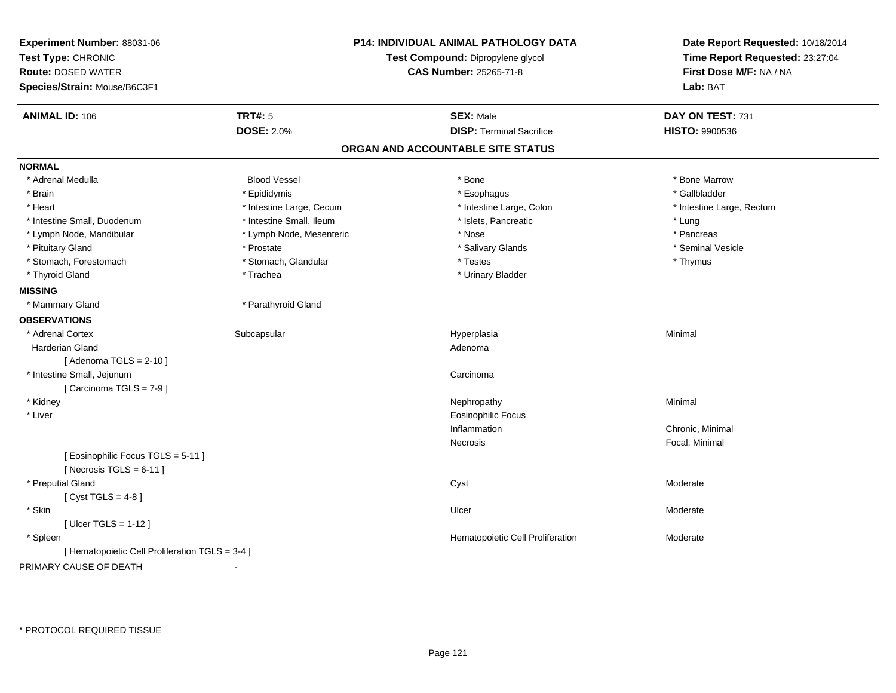| Experiment Number: 88031-06<br>Test Type: CHRONIC<br><b>Route: DOSED WATER</b><br>Species/Strain: Mouse/B6C3F1 |                          | P14: INDIVIDUAL ANIMAL PATHOLOGY DATA<br>Test Compound: Dipropylene glycol<br><b>CAS Number: 25265-71-8</b> | Date Report Requested: 10/18/2014<br>Time Report Requested: 23:27:04<br>First Dose M/F: NA / NA<br>Lab: BAT |
|----------------------------------------------------------------------------------------------------------------|--------------------------|-------------------------------------------------------------------------------------------------------------|-------------------------------------------------------------------------------------------------------------|
| <b>ANIMAL ID: 106</b>                                                                                          | <b>TRT#: 5</b>           | <b>SEX: Male</b>                                                                                            | DAY ON TEST: 731                                                                                            |
|                                                                                                                | <b>DOSE: 2.0%</b>        | <b>DISP: Terminal Sacrifice</b>                                                                             | HISTO: 9900536                                                                                              |
|                                                                                                                |                          | ORGAN AND ACCOUNTABLE SITE STATUS                                                                           |                                                                                                             |
| <b>NORMAL</b>                                                                                                  |                          |                                                                                                             |                                                                                                             |
| * Adrenal Medulla                                                                                              | <b>Blood Vessel</b>      | * Bone                                                                                                      | * Bone Marrow                                                                                               |
| * Brain                                                                                                        | * Epididymis             | * Esophagus                                                                                                 | * Gallbladder                                                                                               |
| * Heart                                                                                                        | * Intestine Large, Cecum | * Intestine Large, Colon                                                                                    | * Intestine Large, Rectum                                                                                   |
| * Intestine Small, Duodenum                                                                                    | * Intestine Small, Ileum | * Islets, Pancreatic                                                                                        | * Lung                                                                                                      |
| * Lymph Node, Mandibular                                                                                       | * Lymph Node, Mesenteric | * Nose                                                                                                      | * Pancreas                                                                                                  |
| * Pituitary Gland                                                                                              | * Prostate               | * Salivary Glands                                                                                           | * Seminal Vesicle                                                                                           |
| * Stomach, Forestomach                                                                                         | * Stomach, Glandular     | * Testes                                                                                                    | * Thymus                                                                                                    |
| * Thyroid Gland                                                                                                | * Trachea                | * Urinary Bladder                                                                                           |                                                                                                             |
| <b>MISSING</b>                                                                                                 |                          |                                                                                                             |                                                                                                             |
| * Mammary Gland                                                                                                | * Parathyroid Gland      |                                                                                                             |                                                                                                             |
| <b>OBSERVATIONS</b>                                                                                            |                          |                                                                                                             |                                                                                                             |
| * Adrenal Cortex                                                                                               | Subcapsular              | Hyperplasia                                                                                                 | Minimal                                                                                                     |
| Harderian Gland                                                                                                |                          | Adenoma                                                                                                     |                                                                                                             |
| [Adenoma TGLS = $2-10$ ]                                                                                       |                          |                                                                                                             |                                                                                                             |
| * Intestine Small, Jejunum                                                                                     |                          | Carcinoma                                                                                                   |                                                                                                             |
| [Carcinoma TGLS = 7-9]                                                                                         |                          |                                                                                                             |                                                                                                             |
| * Kidney                                                                                                       |                          | Nephropathy                                                                                                 | Minimal                                                                                                     |
| * Liver                                                                                                        |                          | <b>Eosinophilic Focus</b>                                                                                   |                                                                                                             |
|                                                                                                                |                          | Inflammation                                                                                                | Chronic, Minimal                                                                                            |
|                                                                                                                |                          | Necrosis                                                                                                    | Focal, Minimal                                                                                              |
| [ Eosinophilic Focus TGLS = 5-11 ]                                                                             |                          |                                                                                                             |                                                                                                             |
| [Necrosis TGLS = $6-11$ ]                                                                                      |                          |                                                                                                             |                                                                                                             |
| * Preputial Gland                                                                                              |                          | Cyst                                                                                                        | Moderate                                                                                                    |
| [Cyst TGLS = $4-8$ ]                                                                                           |                          |                                                                                                             |                                                                                                             |
| * Skin                                                                                                         |                          | Ulcer                                                                                                       | Moderate                                                                                                    |
| [Ulcer TGLS = $1-12$ ]                                                                                         |                          |                                                                                                             |                                                                                                             |
| * Spleen                                                                                                       |                          | Hematopoietic Cell Proliferation                                                                            | Moderate                                                                                                    |
| [ Hematopoietic Cell Proliferation TGLS = 3-4 ]                                                                |                          |                                                                                                             |                                                                                                             |
| PRIMARY CAUSE OF DEATH                                                                                         | $\blacksquare$           |                                                                                                             |                                                                                                             |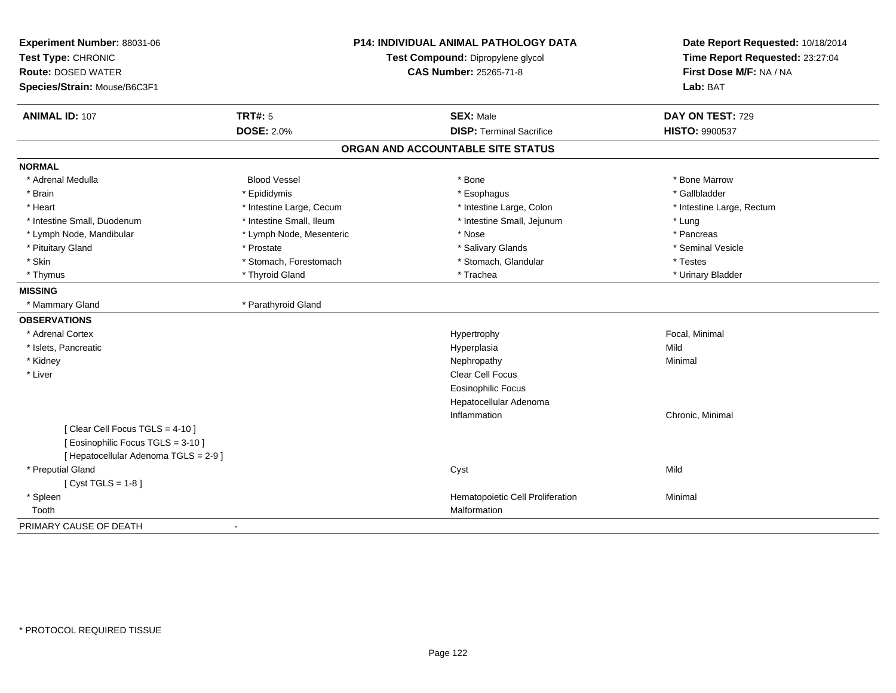| Experiment Number: 88031-06           |                                                                    | P14: INDIVIDUAL ANIMAL PATHOLOGY DATA | Date Report Requested: 10/18/2014 |
|---------------------------------------|--------------------------------------------------------------------|---------------------------------------|-----------------------------------|
| Test Type: CHRONIC                    | Test Compound: Dipropylene glycol<br><b>CAS Number: 25265-71-8</b> |                                       | Time Report Requested: 23:27:04   |
| <b>Route: DOSED WATER</b>             |                                                                    |                                       | First Dose M/F: NA / NA           |
| Species/Strain: Mouse/B6C3F1          |                                                                    |                                       | Lab: BAT                          |
| <b>ANIMAL ID: 107</b>                 | <b>TRT#: 5</b>                                                     | <b>SEX: Male</b>                      | DAY ON TEST: 729                  |
|                                       | <b>DOSE: 2.0%</b>                                                  | <b>DISP: Terminal Sacrifice</b>       | HISTO: 9900537                    |
|                                       |                                                                    | ORGAN AND ACCOUNTABLE SITE STATUS     |                                   |
| <b>NORMAL</b>                         |                                                                    |                                       |                                   |
| * Adrenal Medulla                     | <b>Blood Vessel</b>                                                | * Bone                                | * Bone Marrow                     |
| * Brain                               | * Epididymis                                                       | * Esophagus                           | * Gallbladder                     |
| * Heart                               | * Intestine Large, Cecum                                           | * Intestine Large, Colon              | * Intestine Large, Rectum         |
| * Intestine Small, Duodenum           | * Intestine Small, Ileum                                           | * Intestine Small, Jejunum            | * Lung                            |
| * Lymph Node, Mandibular              | * Lymph Node, Mesenteric                                           | * Nose                                | * Pancreas                        |
| * Pituitary Gland                     | * Prostate                                                         | * Salivary Glands                     | * Seminal Vesicle                 |
| * Skin                                | * Stomach, Forestomach                                             | * Stomach, Glandular                  | * Testes                          |
| * Thymus                              | * Thyroid Gland                                                    | * Trachea                             | * Urinary Bladder                 |
| <b>MISSING</b>                        |                                                                    |                                       |                                   |
| * Mammary Gland                       | * Parathyroid Gland                                                |                                       |                                   |
| <b>OBSERVATIONS</b>                   |                                                                    |                                       |                                   |
| * Adrenal Cortex                      |                                                                    | Hypertrophy                           | Focal, Minimal                    |
| * Islets, Pancreatic                  |                                                                    | Hyperplasia                           | Mild                              |
| * Kidney                              |                                                                    | Nephropathy                           | Minimal                           |
| * Liver                               |                                                                    | Clear Cell Focus                      |                                   |
|                                       |                                                                    | <b>Eosinophilic Focus</b>             |                                   |
|                                       |                                                                    | Hepatocellular Adenoma                |                                   |
|                                       |                                                                    | Inflammation                          | Chronic, Minimal                  |
| [Clear Cell Focus TGLS = 4-10]        |                                                                    |                                       |                                   |
| [ Eosinophilic Focus TGLS = 3-10 ]    |                                                                    |                                       |                                   |
| [ Hepatocellular Adenoma TGLS = 2-9 ] |                                                                    |                                       |                                   |
| * Preputial Gland                     |                                                                    | Cyst                                  | Mild                              |
| [ $Cyst TGLS = 1-8$ ]                 |                                                                    |                                       |                                   |
| * Spleen                              |                                                                    | Hematopoietic Cell Proliferation      | Minimal                           |
| Tooth                                 |                                                                    | Malformation                          |                                   |
| PRIMARY CAUSE OF DEATH                |                                                                    |                                       |                                   |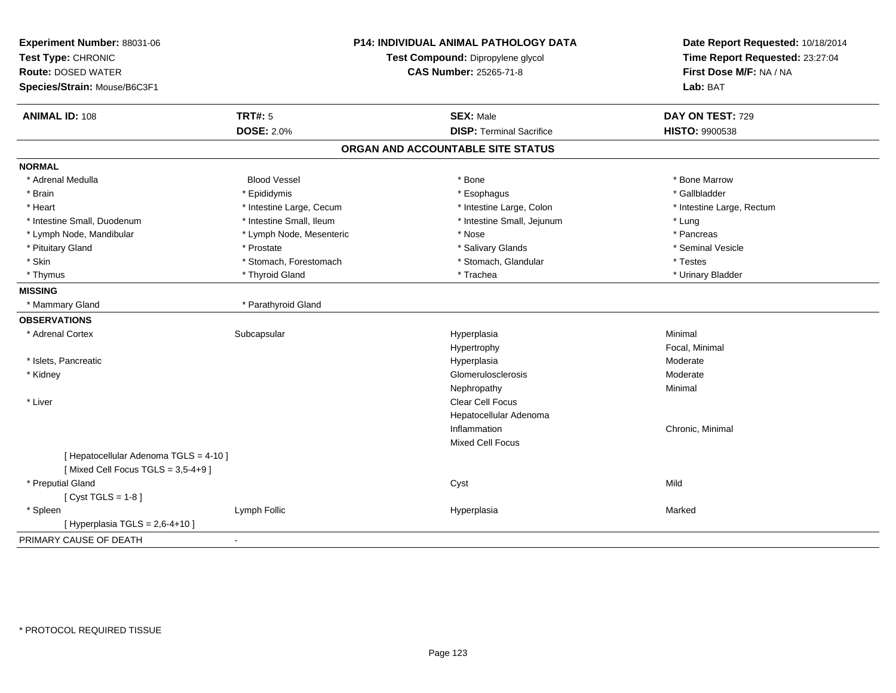| Experiment Number: 88031-06<br>Test Type: CHRONIC<br><b>Route: DOSED WATER</b> |                          | <b>P14: INDIVIDUAL ANIMAL PATHOLOGY DATA</b><br>Test Compound: Dipropylene glycol<br><b>CAS Number: 25265-71-8</b> | Date Report Requested: 10/18/2014<br>Time Report Requested: 23:27:04<br>First Dose M/F: NA / NA |
|--------------------------------------------------------------------------------|--------------------------|--------------------------------------------------------------------------------------------------------------------|-------------------------------------------------------------------------------------------------|
| Species/Strain: Mouse/B6C3F1                                                   |                          |                                                                                                                    | Lab: BAT                                                                                        |
| <b>ANIMAL ID: 108</b>                                                          | <b>TRT#: 5</b>           | <b>SEX: Male</b>                                                                                                   | DAY ON TEST: 729                                                                                |
|                                                                                | <b>DOSE: 2.0%</b>        | <b>DISP: Terminal Sacrifice</b>                                                                                    | <b>HISTO: 9900538</b>                                                                           |
|                                                                                |                          | ORGAN AND ACCOUNTABLE SITE STATUS                                                                                  |                                                                                                 |
| <b>NORMAL</b>                                                                  |                          |                                                                                                                    |                                                                                                 |
| * Adrenal Medulla                                                              | <b>Blood Vessel</b>      | * Bone                                                                                                             | * Bone Marrow                                                                                   |
| * Brain                                                                        | * Epididymis             | * Esophagus                                                                                                        | * Gallbladder                                                                                   |
| * Heart                                                                        | * Intestine Large, Cecum | * Intestine Large, Colon                                                                                           | * Intestine Large, Rectum                                                                       |
| * Intestine Small, Duodenum                                                    | * Intestine Small, Ileum | * Intestine Small, Jejunum                                                                                         | * Lung                                                                                          |
| * Lymph Node, Mandibular                                                       | * Lymph Node, Mesenteric | * Nose                                                                                                             | * Pancreas                                                                                      |
| * Pituitary Gland                                                              | * Prostate               | * Salivary Glands                                                                                                  | * Seminal Vesicle                                                                               |
| * Skin                                                                         | * Stomach, Forestomach   | * Stomach, Glandular                                                                                               | * Testes                                                                                        |
| * Thymus                                                                       | * Thyroid Gland          | * Trachea                                                                                                          | * Urinary Bladder                                                                               |
| <b>MISSING</b>                                                                 |                          |                                                                                                                    |                                                                                                 |
| * Mammary Gland                                                                | * Parathyroid Gland      |                                                                                                                    |                                                                                                 |
| <b>OBSERVATIONS</b>                                                            |                          |                                                                                                                    |                                                                                                 |
| * Adrenal Cortex                                                               | Subcapsular              | Hyperplasia                                                                                                        | Minimal                                                                                         |
|                                                                                |                          | Hypertrophy                                                                                                        | Focal, Minimal                                                                                  |
| * Islets, Pancreatic                                                           |                          | Hyperplasia                                                                                                        | Moderate                                                                                        |
| * Kidney                                                                       |                          | Glomerulosclerosis                                                                                                 | Moderate                                                                                        |
|                                                                                |                          | Nephropathy                                                                                                        | Minimal                                                                                         |
| * Liver                                                                        |                          | <b>Clear Cell Focus</b>                                                                                            |                                                                                                 |
|                                                                                |                          | Hepatocellular Adenoma                                                                                             |                                                                                                 |
|                                                                                |                          | Inflammation                                                                                                       | Chronic, Minimal                                                                                |
|                                                                                |                          | Mixed Cell Focus                                                                                                   |                                                                                                 |
| [ Hepatocellular Adenoma TGLS = 4-10 ]                                         |                          |                                                                                                                    |                                                                                                 |
| [Mixed Cell Focus TGLS = 3,5-4+9]                                              |                          |                                                                                                                    |                                                                                                 |
| * Preputial Gland                                                              |                          | Cyst                                                                                                               | Mild                                                                                            |
| [Cyst TGLS = $1-8$ ]                                                           |                          |                                                                                                                    |                                                                                                 |
| * Spleen                                                                       | Lymph Follic             | Hyperplasia                                                                                                        | Marked                                                                                          |
| [ Hyperplasia TGLS = $2,6-4+10$ ]                                              |                          |                                                                                                                    |                                                                                                 |
| PRIMARY CAUSE OF DEATH                                                         | $\blacksquare$           |                                                                                                                    |                                                                                                 |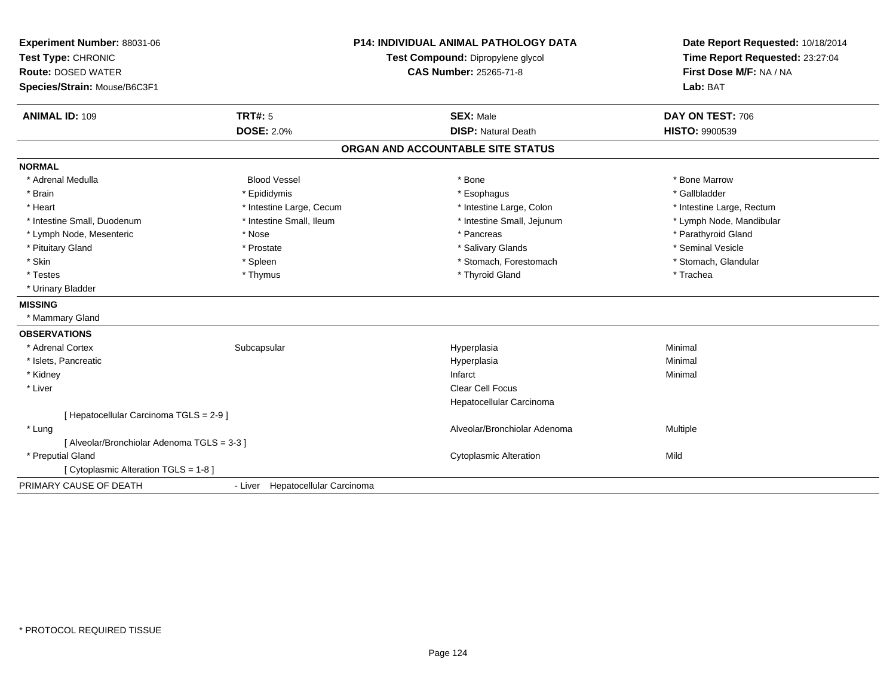| Experiment Number: 88031-06<br>Test Type: CHRONIC<br><b>Route: DOSED WATER</b><br>Species/Strain: Mouse/B6C3F1 |                                  | <b>P14: INDIVIDUAL ANIMAL PATHOLOGY DATA</b><br>Test Compound: Dipropylene glycol<br><b>CAS Number: 25265-71-8</b> | Date Report Requested: 10/18/2014<br>Time Report Requested: 23:27:04<br>First Dose M/F: NA / NA<br>Lab: BAT |
|----------------------------------------------------------------------------------------------------------------|----------------------------------|--------------------------------------------------------------------------------------------------------------------|-------------------------------------------------------------------------------------------------------------|
| <b>ANIMAL ID: 109</b>                                                                                          | TRT#: 5                          | <b>SEX: Male</b>                                                                                                   | DAY ON TEST: 706                                                                                            |
|                                                                                                                | <b>DOSE: 2.0%</b>                | <b>DISP: Natural Death</b>                                                                                         | <b>HISTO: 9900539</b>                                                                                       |
|                                                                                                                |                                  | ORGAN AND ACCOUNTABLE SITE STATUS                                                                                  |                                                                                                             |
| <b>NORMAL</b>                                                                                                  |                                  |                                                                                                                    |                                                                                                             |
| * Adrenal Medulla                                                                                              | <b>Blood Vessel</b>              | * Bone                                                                                                             | * Bone Marrow                                                                                               |
| * Brain                                                                                                        | * Epididymis                     | * Esophagus                                                                                                        | * Gallbladder                                                                                               |
| * Heart                                                                                                        | * Intestine Large, Cecum         | * Intestine Large, Colon                                                                                           | * Intestine Large, Rectum                                                                                   |
| * Intestine Small, Duodenum                                                                                    | * Intestine Small, Ileum         | * Intestine Small, Jejunum                                                                                         | * Lymph Node, Mandibular                                                                                    |
| * Lymph Node, Mesenteric                                                                                       | * Nose                           | * Pancreas                                                                                                         | * Parathyroid Gland                                                                                         |
| * Pituitary Gland                                                                                              | * Prostate                       | * Salivary Glands                                                                                                  | * Seminal Vesicle                                                                                           |
| * Skin                                                                                                         | * Spleen                         | * Stomach, Forestomach                                                                                             | * Stomach, Glandular                                                                                        |
| * Testes                                                                                                       | * Thymus                         | * Thyroid Gland                                                                                                    | * Trachea                                                                                                   |
| * Urinary Bladder                                                                                              |                                  |                                                                                                                    |                                                                                                             |
| <b>MISSING</b>                                                                                                 |                                  |                                                                                                                    |                                                                                                             |
| * Mammary Gland                                                                                                |                                  |                                                                                                                    |                                                                                                             |
| <b>OBSERVATIONS</b>                                                                                            |                                  |                                                                                                                    |                                                                                                             |
| * Adrenal Cortex                                                                                               | Subcapsular                      | Hyperplasia                                                                                                        | Minimal                                                                                                     |
| * Islets, Pancreatic                                                                                           |                                  | Hyperplasia                                                                                                        | Minimal                                                                                                     |
| * Kidney                                                                                                       |                                  | Infarct                                                                                                            | Minimal                                                                                                     |
| * Liver                                                                                                        |                                  | <b>Clear Cell Focus</b>                                                                                            |                                                                                                             |
|                                                                                                                |                                  | Hepatocellular Carcinoma                                                                                           |                                                                                                             |
| [ Hepatocellular Carcinoma TGLS = 2-9 ]                                                                        |                                  |                                                                                                                    |                                                                                                             |
| * Lung                                                                                                         |                                  | Alveolar/Bronchiolar Adenoma                                                                                       | Multiple                                                                                                    |
| [ Alveolar/Bronchiolar Adenoma TGLS = 3-3 ]                                                                    |                                  |                                                                                                                    |                                                                                                             |
| * Preputial Gland                                                                                              |                                  | <b>Cytoplasmic Alteration</b>                                                                                      | Mild                                                                                                        |
| [ Cytoplasmic Alteration TGLS = 1-8 ]                                                                          |                                  |                                                                                                                    |                                                                                                             |
| PRIMARY CAUSE OF DEATH                                                                                         | - Liver Hepatocellular Carcinoma |                                                                                                                    |                                                                                                             |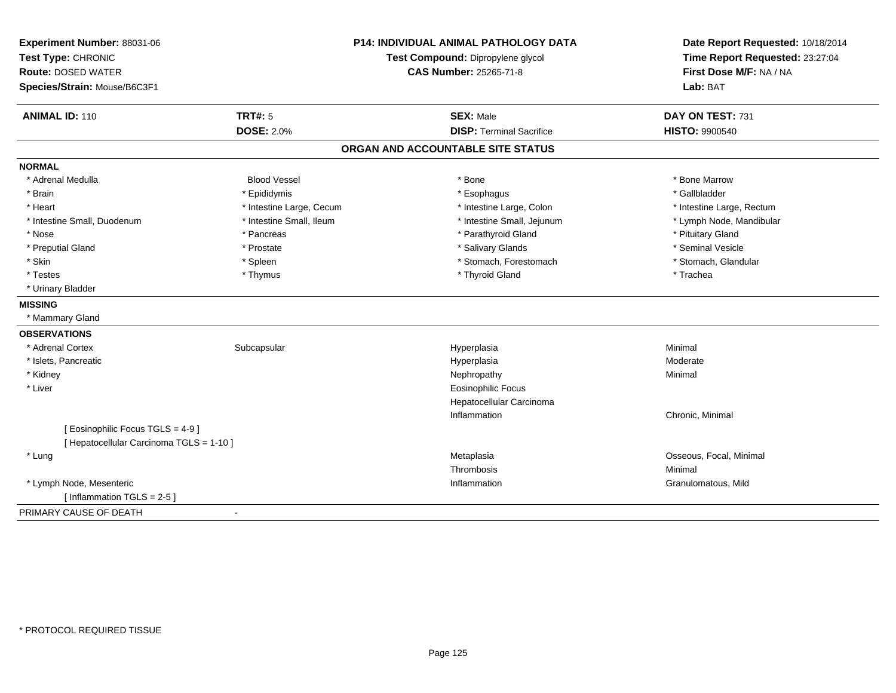| Experiment Number: 88031-06<br>Test Type: CHRONIC<br><b>Route: DOSED WATER</b><br>Species/Strain: Mouse/B6C3F1 |                                     | <b>P14: INDIVIDUAL ANIMAL PATHOLOGY DATA</b><br>Test Compound: Dipropylene glycol<br><b>CAS Number: 25265-71-8</b> | Date Report Requested: 10/18/2014<br>Time Report Requested: 23:27:04<br>First Dose M/F: NA / NA<br>Lab: BAT |
|----------------------------------------------------------------------------------------------------------------|-------------------------------------|--------------------------------------------------------------------------------------------------------------------|-------------------------------------------------------------------------------------------------------------|
| <b>ANIMAL ID: 110</b>                                                                                          | <b>TRT#: 5</b><br><b>DOSE: 2.0%</b> | <b>SEX: Male</b><br><b>DISP: Terminal Sacrifice</b>                                                                | DAY ON TEST: 731<br><b>HISTO: 9900540</b>                                                                   |
|                                                                                                                |                                     | ORGAN AND ACCOUNTABLE SITE STATUS                                                                                  |                                                                                                             |
| <b>NORMAL</b>                                                                                                  |                                     |                                                                                                                    |                                                                                                             |
| * Adrenal Medulla                                                                                              | <b>Blood Vessel</b>                 | * Bone                                                                                                             | * Bone Marrow                                                                                               |
| * Brain                                                                                                        | * Epididymis                        | * Esophagus                                                                                                        | * Gallbladder                                                                                               |
| * Heart                                                                                                        | * Intestine Large, Cecum            | * Intestine Large, Colon                                                                                           | * Intestine Large, Rectum                                                                                   |
| * Intestine Small, Duodenum                                                                                    | * Intestine Small, Ileum            | * Intestine Small, Jejunum                                                                                         | * Lymph Node, Mandibular                                                                                    |
| * Nose                                                                                                         | * Pancreas                          | * Parathyroid Gland                                                                                                | * Pituitary Gland                                                                                           |
| * Preputial Gland                                                                                              | * Prostate                          | * Salivary Glands                                                                                                  | * Seminal Vesicle                                                                                           |
| * Skin                                                                                                         | * Spleen                            | * Stomach, Forestomach                                                                                             | * Stomach, Glandular                                                                                        |
| * Testes                                                                                                       | * Thymus                            | * Thyroid Gland                                                                                                    | * Trachea                                                                                                   |
| * Urinary Bladder                                                                                              |                                     |                                                                                                                    |                                                                                                             |
| <b>MISSING</b>                                                                                                 |                                     |                                                                                                                    |                                                                                                             |
| * Mammary Gland                                                                                                |                                     |                                                                                                                    |                                                                                                             |
| <b>OBSERVATIONS</b>                                                                                            |                                     |                                                                                                                    |                                                                                                             |
| * Adrenal Cortex                                                                                               | Subcapsular                         | Hyperplasia                                                                                                        | Minimal                                                                                                     |
| * Islets, Pancreatic                                                                                           |                                     | Hyperplasia                                                                                                        | Moderate                                                                                                    |
| * Kidney                                                                                                       |                                     | Nephropathy                                                                                                        | Minimal                                                                                                     |
| * Liver                                                                                                        |                                     | <b>Eosinophilic Focus</b>                                                                                          |                                                                                                             |
|                                                                                                                |                                     | Hepatocellular Carcinoma                                                                                           |                                                                                                             |
|                                                                                                                |                                     | Inflammation                                                                                                       | Chronic, Minimal                                                                                            |
| [Eosinophilic Focus TGLS = 4-9]                                                                                |                                     |                                                                                                                    |                                                                                                             |
| [ Hepatocellular Carcinoma TGLS = 1-10 ]                                                                       |                                     |                                                                                                                    |                                                                                                             |
| * Lung                                                                                                         |                                     | Metaplasia                                                                                                         | Osseous, Focal, Minimal                                                                                     |
|                                                                                                                |                                     | Thrombosis                                                                                                         | Minimal                                                                                                     |
| * Lymph Node, Mesenteric                                                                                       |                                     | Inflammation                                                                                                       | Granulomatous, Mild                                                                                         |
| [Inflammation TGLS = $2-5$ ]                                                                                   |                                     |                                                                                                                    |                                                                                                             |
| PRIMARY CAUSE OF DEATH                                                                                         | $\blacksquare$                      |                                                                                                                    |                                                                                                             |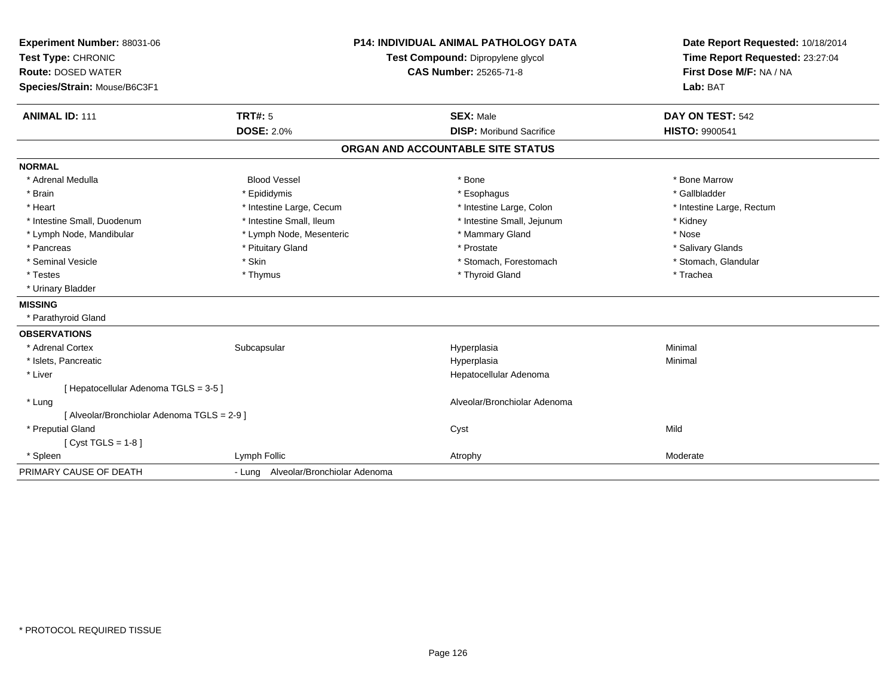| Experiment Number: 88031-06<br>Test Type: CHRONIC<br><b>Route: DOSED WATER</b><br>Species/Strain: Mouse/B6C3F1 |                                     | <b>P14: INDIVIDUAL ANIMAL PATHOLOGY DATA</b><br>Test Compound: Dipropylene glycol<br><b>CAS Number: 25265-71-8</b> | Date Report Requested: 10/18/2014<br>Time Report Requested: 23:27:04<br>First Dose M/F: NA / NA<br>Lab: BAT |
|----------------------------------------------------------------------------------------------------------------|-------------------------------------|--------------------------------------------------------------------------------------------------------------------|-------------------------------------------------------------------------------------------------------------|
| <b>ANIMAL ID: 111</b>                                                                                          | <b>TRT#: 5</b>                      | <b>SEX: Male</b>                                                                                                   | DAY ON TEST: 542                                                                                            |
|                                                                                                                | <b>DOSE: 2.0%</b>                   | <b>DISP:</b> Moribund Sacrifice                                                                                    | <b>HISTO: 9900541</b>                                                                                       |
|                                                                                                                |                                     | ORGAN AND ACCOUNTABLE SITE STATUS                                                                                  |                                                                                                             |
| <b>NORMAL</b>                                                                                                  |                                     |                                                                                                                    |                                                                                                             |
| * Adrenal Medulla                                                                                              | <b>Blood Vessel</b>                 | * Bone                                                                                                             | * Bone Marrow                                                                                               |
| * Brain                                                                                                        | * Epididymis                        | * Esophagus                                                                                                        | * Gallbladder                                                                                               |
| * Heart                                                                                                        | * Intestine Large, Cecum            | * Intestine Large, Colon                                                                                           | * Intestine Large, Rectum                                                                                   |
| * Intestine Small, Duodenum                                                                                    | * Intestine Small, Ileum            | * Intestine Small, Jejunum                                                                                         | * Kidney                                                                                                    |
| * Lymph Node, Mandibular                                                                                       | * Lymph Node, Mesenteric            | * Mammary Gland                                                                                                    | * Nose                                                                                                      |
| * Pancreas                                                                                                     | * Pituitary Gland                   | * Prostate                                                                                                         | * Salivary Glands                                                                                           |
| * Seminal Vesicle                                                                                              | * Skin                              | * Stomach, Forestomach                                                                                             | * Stomach, Glandular                                                                                        |
| * Testes                                                                                                       | * Thymus                            | * Thyroid Gland                                                                                                    | * Trachea                                                                                                   |
| * Urinary Bladder                                                                                              |                                     |                                                                                                                    |                                                                                                             |
| <b>MISSING</b>                                                                                                 |                                     |                                                                                                                    |                                                                                                             |
| * Parathyroid Gland                                                                                            |                                     |                                                                                                                    |                                                                                                             |
| <b>OBSERVATIONS</b>                                                                                            |                                     |                                                                                                                    |                                                                                                             |
| * Adrenal Cortex                                                                                               | Subcapsular                         | Hyperplasia                                                                                                        | Minimal                                                                                                     |
| * Islets, Pancreatic                                                                                           |                                     | Hyperplasia                                                                                                        | Minimal                                                                                                     |
| * Liver                                                                                                        |                                     | Hepatocellular Adenoma                                                                                             |                                                                                                             |
| [ Hepatocellular Adenoma TGLS = 3-5 ]                                                                          |                                     |                                                                                                                    |                                                                                                             |
| * Lung                                                                                                         |                                     | Alveolar/Bronchiolar Adenoma                                                                                       |                                                                                                             |
| [ Alveolar/Bronchiolar Adenoma TGLS = 2-9 ]                                                                    |                                     |                                                                                                                    |                                                                                                             |
| * Preputial Gland                                                                                              |                                     | Cyst                                                                                                               | Mild                                                                                                        |
| [ $Cyst TGLS = 1-8$ ]                                                                                          |                                     |                                                                                                                    |                                                                                                             |
| * Spleen                                                                                                       | Lymph Follic                        | Atrophy                                                                                                            | Moderate                                                                                                    |
| PRIMARY CAUSE OF DEATH                                                                                         | - Lung Alveolar/Bronchiolar Adenoma |                                                                                                                    |                                                                                                             |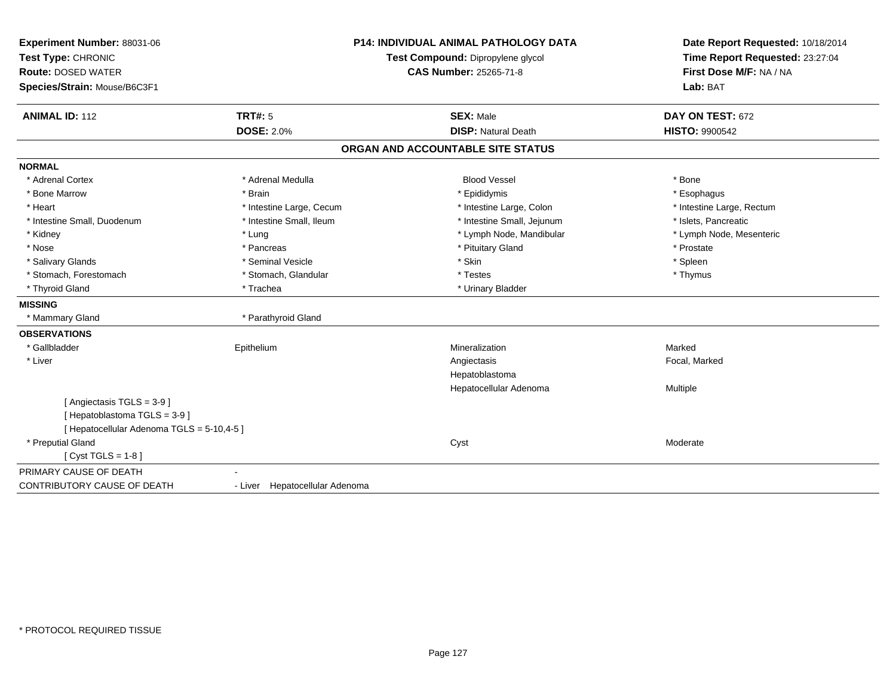| Experiment Number: 88031-06<br>Test Type: CHRONIC<br><b>Route: DOSED WATER</b><br>Species/Strain: Mouse/B6C3F1 |                                | <b>P14: INDIVIDUAL ANIMAL PATHOLOGY DATA</b><br>Test Compound: Dipropylene glycol<br><b>CAS Number: 25265-71-8</b> | Date Report Requested: 10/18/2014<br>Time Report Requested: 23:27:04<br>First Dose M/F: NA / NA<br>Lab: BAT |
|----------------------------------------------------------------------------------------------------------------|--------------------------------|--------------------------------------------------------------------------------------------------------------------|-------------------------------------------------------------------------------------------------------------|
| <b>ANIMAL ID: 112</b>                                                                                          | <b>TRT#: 5</b>                 | <b>SEX: Male</b>                                                                                                   | DAY ON TEST: 672                                                                                            |
|                                                                                                                | <b>DOSE: 2.0%</b>              | <b>DISP: Natural Death</b>                                                                                         | <b>HISTO: 9900542</b>                                                                                       |
|                                                                                                                |                                | ORGAN AND ACCOUNTABLE SITE STATUS                                                                                  |                                                                                                             |
| <b>NORMAL</b>                                                                                                  |                                |                                                                                                                    |                                                                                                             |
| * Adrenal Cortex                                                                                               | * Adrenal Medulla              | <b>Blood Vessel</b>                                                                                                | * Bone                                                                                                      |
| * Bone Marrow                                                                                                  | * Brain                        | * Epididymis                                                                                                       | * Esophagus                                                                                                 |
| * Heart                                                                                                        | * Intestine Large, Cecum       | * Intestine Large, Colon                                                                                           | * Intestine Large, Rectum                                                                                   |
| * Intestine Small, Duodenum                                                                                    | * Intestine Small, Ileum       | * Intestine Small, Jejunum                                                                                         | * Islets, Pancreatic                                                                                        |
| * Kidney                                                                                                       | * Lung                         | * Lymph Node, Mandibular                                                                                           | * Lymph Node, Mesenteric                                                                                    |
| * Nose                                                                                                         | * Pancreas                     | * Pituitary Gland                                                                                                  | * Prostate                                                                                                  |
| * Salivary Glands                                                                                              | * Seminal Vesicle              | * Skin                                                                                                             | * Spleen                                                                                                    |
| * Stomach, Forestomach                                                                                         | * Stomach, Glandular           | * Testes                                                                                                           | * Thymus                                                                                                    |
| * Thyroid Gland                                                                                                | * Trachea                      | * Urinary Bladder                                                                                                  |                                                                                                             |
| <b>MISSING</b>                                                                                                 |                                |                                                                                                                    |                                                                                                             |
| * Mammary Gland                                                                                                | * Parathyroid Gland            |                                                                                                                    |                                                                                                             |
| <b>OBSERVATIONS</b>                                                                                            |                                |                                                                                                                    |                                                                                                             |
| * Gallbladder                                                                                                  | Epithelium                     | Mineralization                                                                                                     | Marked                                                                                                      |
| * Liver                                                                                                        |                                | Angiectasis                                                                                                        | Focal, Marked                                                                                               |
|                                                                                                                |                                | Hepatoblastoma                                                                                                     |                                                                                                             |
|                                                                                                                |                                | Hepatocellular Adenoma                                                                                             | <b>Multiple</b>                                                                                             |
| [Angiectasis TGLS = 3-9]                                                                                       |                                |                                                                                                                    |                                                                                                             |
| [Hepatoblastoma TGLS = 3-9]                                                                                    |                                |                                                                                                                    |                                                                                                             |
| [ Hepatocellular Adenoma TGLS = 5-10,4-5 ]                                                                     |                                |                                                                                                                    |                                                                                                             |
| * Preputial Gland                                                                                              |                                | Cyst                                                                                                               | Moderate                                                                                                    |
| [ $Cyst TGLS = 1-8$ ]                                                                                          |                                |                                                                                                                    |                                                                                                             |
| PRIMARY CAUSE OF DEATH                                                                                         |                                |                                                                                                                    |                                                                                                             |
| CONTRIBUTORY CAUSE OF DEATH                                                                                    | - Liver Hepatocellular Adenoma |                                                                                                                    |                                                                                                             |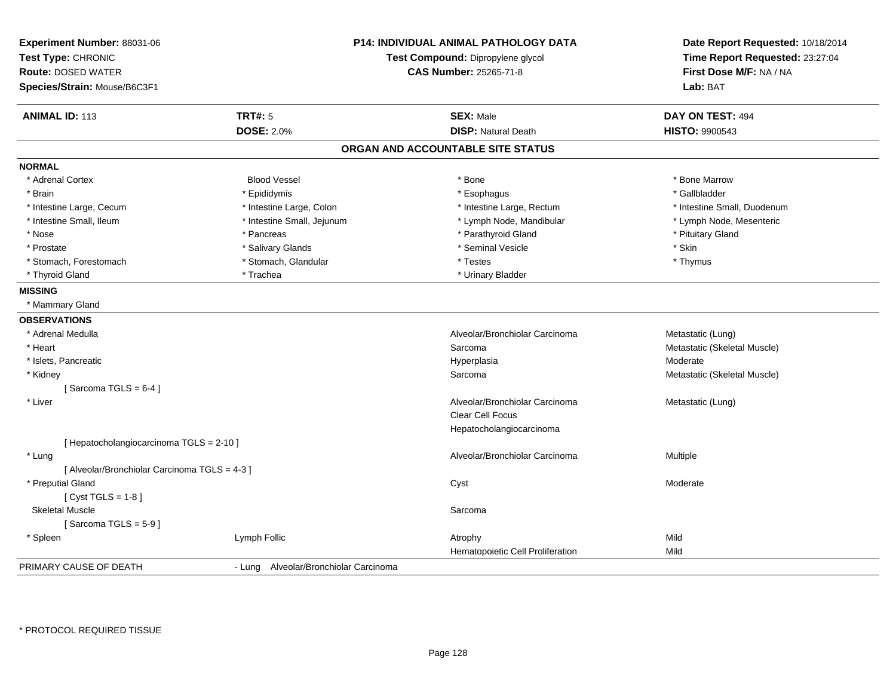| <b>Experiment Number: 88031-06</b><br>Test Type: CHRONIC<br><b>Route: DOSED WATER</b><br>Species/Strain: Mouse/B6C3F1 | <b>P14: INDIVIDUAL ANIMAL PATHOLOGY DATA</b><br>Test Compound: Dipropylene glycol<br><b>CAS Number: 25265-71-8</b> | Date Report Requested: 10/18/2014<br>Time Report Requested: 23:27:04<br>First Dose M/F: NA / NA<br>Lab: BAT |
|-----------------------------------------------------------------------------------------------------------------------|--------------------------------------------------------------------------------------------------------------------|-------------------------------------------------------------------------------------------------------------|
| <b>ANIMAL ID: 113</b><br><b>TRT#: 5</b>                                                                               | <b>SEX: Male</b>                                                                                                   | DAY ON TEST: 494                                                                                            |
| <b>DOSE: 2.0%</b>                                                                                                     | <b>DISP: Natural Death</b>                                                                                         | HISTO: 9900543                                                                                              |
|                                                                                                                       | ORGAN AND ACCOUNTABLE SITE STATUS                                                                                  |                                                                                                             |
| <b>NORMAL</b>                                                                                                         |                                                                                                                    |                                                                                                             |
| * Adrenal Cortex<br><b>Blood Vessel</b>                                                                               | * Bone                                                                                                             | * Bone Marrow                                                                                               |
| * Epididymis<br>* Brain                                                                                               | * Esophagus                                                                                                        | * Gallbladder                                                                                               |
| * Intestine Large, Cecum<br>* Intestine Large, Colon                                                                  | * Intestine Large, Rectum                                                                                          | * Intestine Small, Duodenum                                                                                 |
| * Intestine Small, Ileum<br>* Intestine Small, Jejunum                                                                | * Lymph Node, Mandibular                                                                                           | * Lymph Node, Mesenteric                                                                                    |
| * Nose<br>* Pancreas                                                                                                  | * Parathyroid Gland                                                                                                | * Pituitary Gland                                                                                           |
| * Salivary Glands<br>* Prostate                                                                                       | * Seminal Vesicle                                                                                                  | * Skin                                                                                                      |
| * Stomach, Forestomach<br>* Stomach, Glandular                                                                        | * Testes                                                                                                           | * Thymus                                                                                                    |
| * Thyroid Gland<br>* Trachea                                                                                          | * Urinary Bladder                                                                                                  |                                                                                                             |
| <b>MISSING</b>                                                                                                        |                                                                                                                    |                                                                                                             |
| * Mammary Gland                                                                                                       |                                                                                                                    |                                                                                                             |
| <b>OBSERVATIONS</b>                                                                                                   |                                                                                                                    |                                                                                                             |
| * Adrenal Medulla                                                                                                     | Alveolar/Bronchiolar Carcinoma                                                                                     | Metastatic (Lung)                                                                                           |
| * Heart                                                                                                               | Sarcoma                                                                                                            | Metastatic (Skeletal Muscle)                                                                                |
| * Islets, Pancreatic                                                                                                  | Hyperplasia                                                                                                        | Moderate                                                                                                    |
| * Kidney                                                                                                              | Sarcoma                                                                                                            | Metastatic (Skeletal Muscle)                                                                                |
| [Sarcoma TGLS = $6-4$ ]                                                                                               |                                                                                                                    |                                                                                                             |
| * Liver                                                                                                               | Alveolar/Bronchiolar Carcinoma                                                                                     | Metastatic (Lung)                                                                                           |
|                                                                                                                       | Clear Cell Focus                                                                                                   |                                                                                                             |
|                                                                                                                       | Hepatocholangiocarcinoma                                                                                           |                                                                                                             |
| [ Hepatocholangiocarcinoma TGLS = 2-10 ]                                                                              |                                                                                                                    |                                                                                                             |
| * Lung                                                                                                                | Alveolar/Bronchiolar Carcinoma                                                                                     | <b>Multiple</b>                                                                                             |
| [ Alveolar/Bronchiolar Carcinoma TGLS = 4-3 ]                                                                         |                                                                                                                    |                                                                                                             |
| * Preputial Gland                                                                                                     | Cyst                                                                                                               | Moderate                                                                                                    |
| [Cyst TGLS = $1-8$ ]                                                                                                  |                                                                                                                    |                                                                                                             |
| <b>Skeletal Muscle</b>                                                                                                | Sarcoma                                                                                                            |                                                                                                             |
| [Sarcoma TGLS = $5-9$ ]                                                                                               |                                                                                                                    |                                                                                                             |
| Lymph Follic<br>* Spleen                                                                                              | Atrophy                                                                                                            | Mild                                                                                                        |
|                                                                                                                       | Hematopoietic Cell Proliferation                                                                                   | Mild                                                                                                        |
| PRIMARY CAUSE OF DEATH<br>- Lung Alveolar/Bronchiolar Carcinoma                                                       |                                                                                                                    |                                                                                                             |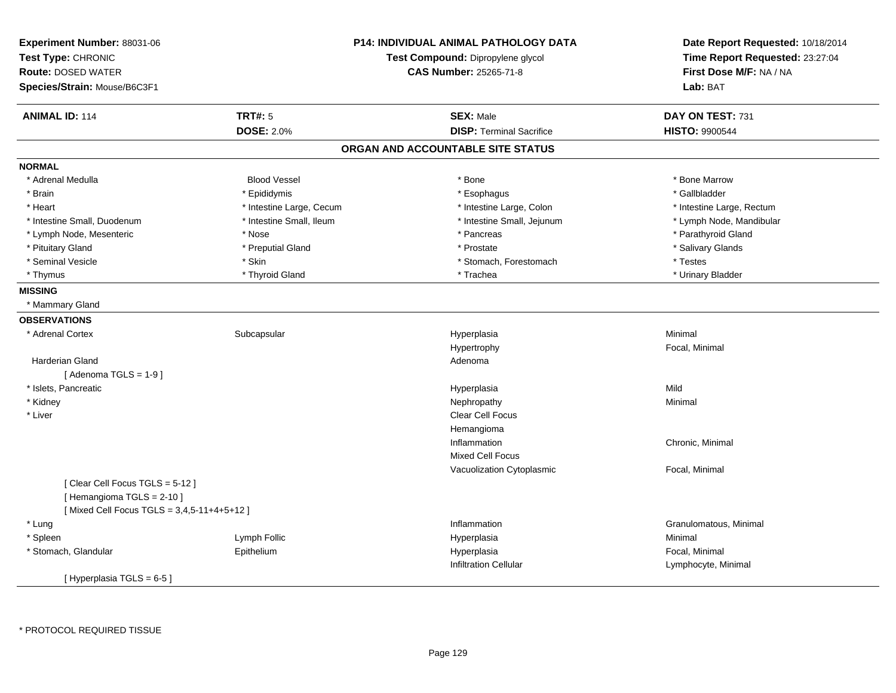| Experiment Number: 88031-06<br>Test Type: CHRONIC |                          | <b>P14: INDIVIDUAL ANIMAL PATHOLOGY DATA</b><br>Test Compound: Dipropylene glycol | Date Report Requested: 10/18/2014<br>Time Report Requested: 23:27:04 |
|---------------------------------------------------|--------------------------|-----------------------------------------------------------------------------------|----------------------------------------------------------------------|
| <b>Route: DOSED WATER</b>                         |                          | <b>CAS Number: 25265-71-8</b>                                                     | First Dose M/F: NA / NA                                              |
| Species/Strain: Mouse/B6C3F1                      |                          |                                                                                   | Lab: BAT                                                             |
| <b>ANIMAL ID: 114</b>                             | <b>TRT#: 5</b>           | <b>SEX: Male</b>                                                                  | DAY ON TEST: 731                                                     |
|                                                   | <b>DOSE: 2.0%</b>        | <b>DISP: Terminal Sacrifice</b>                                                   | <b>HISTO: 9900544</b>                                                |
|                                                   |                          | ORGAN AND ACCOUNTABLE SITE STATUS                                                 |                                                                      |
| <b>NORMAL</b>                                     |                          |                                                                                   |                                                                      |
| * Adrenal Medulla                                 | <b>Blood Vessel</b>      | * Bone                                                                            | * Bone Marrow                                                        |
| * Brain                                           | * Epididymis             | * Esophagus                                                                       | * Gallbladder                                                        |
| * Heart                                           | * Intestine Large, Cecum | * Intestine Large, Colon                                                          | * Intestine Large, Rectum                                            |
| * Intestine Small, Duodenum                       | * Intestine Small, Ileum | * Intestine Small, Jejunum                                                        | * Lymph Node, Mandibular                                             |
| * Lymph Node, Mesenteric                          | * Nose                   | * Pancreas                                                                        | * Parathyroid Gland                                                  |
| * Pituitary Gland                                 | * Preputial Gland        | * Prostate                                                                        | * Salivary Glands                                                    |
| * Seminal Vesicle                                 | * Skin                   | * Stomach, Forestomach                                                            | * Testes                                                             |
| * Thymus                                          | * Thyroid Gland          | * Trachea                                                                         | * Urinary Bladder                                                    |
| <b>MISSING</b>                                    |                          |                                                                                   |                                                                      |
| * Mammary Gland                                   |                          |                                                                                   |                                                                      |
| <b>OBSERVATIONS</b>                               |                          |                                                                                   |                                                                      |
| * Adrenal Cortex                                  | Subcapsular              | Hyperplasia                                                                       | Minimal                                                              |
|                                                   |                          | Hypertrophy                                                                       | Focal, Minimal                                                       |
| <b>Harderian Gland</b>                            |                          | Adenoma                                                                           |                                                                      |
| [Adenoma TGLS = $1-9$ ]                           |                          |                                                                                   |                                                                      |
| * Islets, Pancreatic                              |                          | Hyperplasia                                                                       | Mild                                                                 |
| * Kidney                                          |                          | Nephropathy                                                                       | Minimal                                                              |
| * Liver                                           |                          | <b>Clear Cell Focus</b>                                                           |                                                                      |
|                                                   |                          | Hemangioma                                                                        |                                                                      |
|                                                   |                          | Inflammation                                                                      | Chronic, Minimal                                                     |
|                                                   |                          | <b>Mixed Cell Focus</b>                                                           |                                                                      |
|                                                   |                          | Vacuolization Cytoplasmic                                                         | Focal, Minimal                                                       |
| [Clear Cell Focus TGLS = 5-12]                    |                          |                                                                                   |                                                                      |
| [Hemangioma TGLS = 2-10]                          |                          |                                                                                   |                                                                      |
| [Mixed Cell Focus TGLS = 3,4,5-11+4+5+12]         |                          |                                                                                   |                                                                      |
| * Lung                                            |                          | Inflammation                                                                      | Granulomatous, Minimal                                               |
| * Spleen                                          | Lymph Follic             | Hyperplasia                                                                       | Minimal                                                              |
| * Stomach, Glandular                              | Epithelium               | Hyperplasia                                                                       | Focal, Minimal                                                       |
|                                                   |                          | <b>Infiltration Cellular</b>                                                      | Lymphocyte, Minimal                                                  |
| [Hyperplasia TGLS = 6-5]                          |                          |                                                                                   |                                                                      |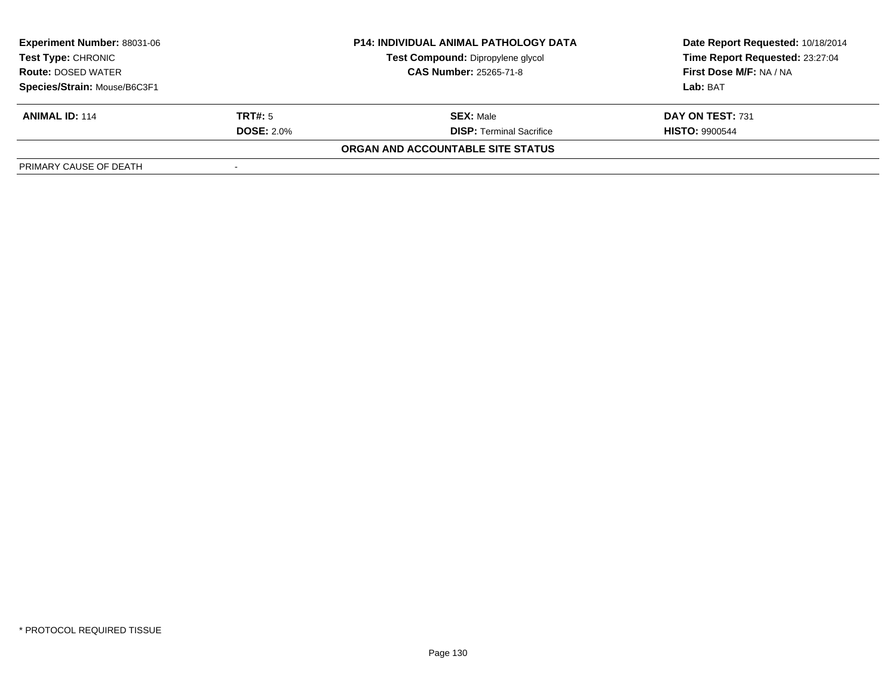| <b>Experiment Number: 88031-06</b>              | <b>P14: INDIVIDUAL ANIMAL PATHOLOGY DATA</b> |                                   | Date Report Requested: 10/18/2014 |  |
|-------------------------------------------------|----------------------------------------------|-----------------------------------|-----------------------------------|--|
| Test Type: CHRONIC<br><b>Route: DOSED WATER</b> |                                              | Test Compound: Dipropylene glycol | Time Report Requested: 23:27:04   |  |
|                                                 |                                              | <b>CAS Number: 25265-71-8</b>     | First Dose M/F: NA / NA           |  |
| Species/Strain: Mouse/B6C3F1                    |                                              |                                   | Lab: BAT                          |  |
| <b>ANIMAL ID: 114</b>                           | <b>TRT#:</b> 5                               | <b>SEX: Male</b>                  | DAY ON TEST: 731                  |  |
|                                                 | <b>DOSE: 2.0%</b>                            | <b>DISP: Terminal Sacrifice</b>   | <b>HISTO: 9900544</b>             |  |
|                                                 |                                              | ORGAN AND ACCOUNTABLE SITE STATUS |                                   |  |
| PRIMARY CAUSE OF DEATH                          |                                              |                                   |                                   |  |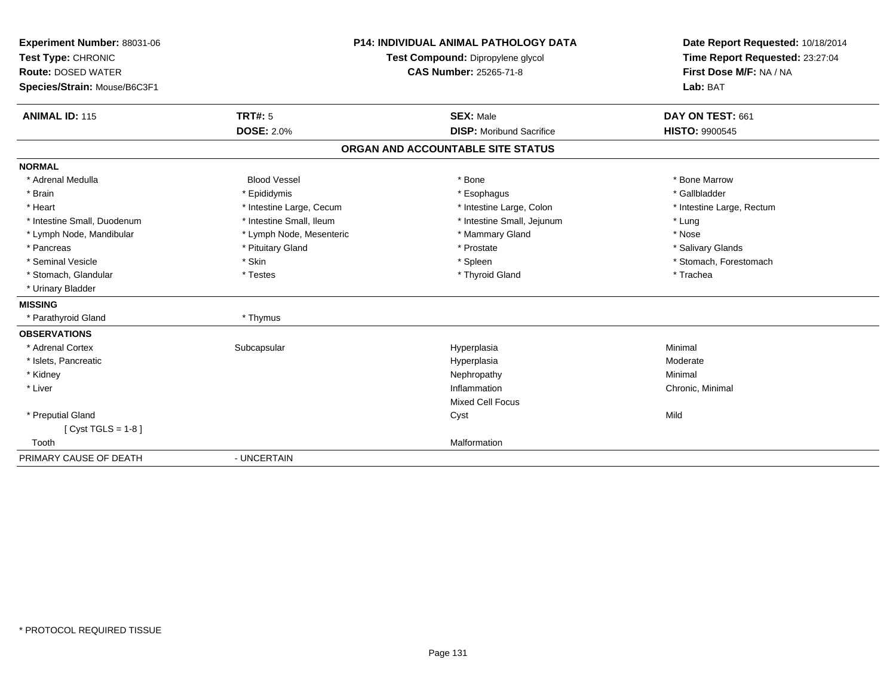| Experiment Number: 88031-06  |                          | <b>P14: INDIVIDUAL ANIMAL PATHOLOGY DATA</b> | Date Report Requested: 10/18/2014 |
|------------------------------|--------------------------|----------------------------------------------|-----------------------------------|
| Test Type: CHRONIC           |                          | Test Compound: Dipropylene glycol            | Time Report Requested: 23:27:04   |
| <b>Route: DOSED WATER</b>    |                          | <b>CAS Number: 25265-71-8</b>                | First Dose M/F: NA / NA           |
| Species/Strain: Mouse/B6C3F1 |                          |                                              | Lab: BAT                          |
|                              |                          |                                              |                                   |
| <b>ANIMAL ID: 115</b>        | TRT#: 5                  | <b>SEX: Male</b>                             | DAY ON TEST: 661                  |
|                              | <b>DOSE: 2.0%</b>        | <b>DISP:</b> Moribund Sacrifice              | <b>HISTO: 9900545</b>             |
|                              |                          | ORGAN AND ACCOUNTABLE SITE STATUS            |                                   |
| <b>NORMAL</b>                |                          |                                              |                                   |
| * Adrenal Medulla            | <b>Blood Vessel</b>      | * Bone                                       | * Bone Marrow                     |
| * Brain                      | * Epididymis             | * Esophagus                                  | * Gallbladder                     |
| * Heart                      | * Intestine Large, Cecum | * Intestine Large, Colon                     | * Intestine Large, Rectum         |
| * Intestine Small, Duodenum  | * Intestine Small, Ileum | * Intestine Small, Jejunum                   | * Lung                            |
| * Lymph Node, Mandibular     | * Lymph Node, Mesenteric | * Mammary Gland                              | * Nose                            |
| * Pancreas                   | * Pituitary Gland        | * Prostate                                   | * Salivary Glands                 |
| * Seminal Vesicle            | * Skin                   | * Spleen                                     | * Stomach, Forestomach            |
| * Stomach, Glandular         | * Testes                 | * Thyroid Gland                              | * Trachea                         |
| * Urinary Bladder            |                          |                                              |                                   |
| <b>MISSING</b>               |                          |                                              |                                   |
| * Parathyroid Gland          | * Thymus                 |                                              |                                   |
| <b>OBSERVATIONS</b>          |                          |                                              |                                   |
| * Adrenal Cortex             | Subcapsular              | Hyperplasia                                  | Minimal                           |
| * Islets, Pancreatic         |                          | Hyperplasia                                  | Moderate                          |
| * Kidney                     |                          | Nephropathy                                  | Minimal                           |
| * Liver                      |                          | Inflammation                                 | Chronic, Minimal                  |
|                              |                          | <b>Mixed Cell Focus</b>                      |                                   |
| * Preputial Gland            |                          | Cyst                                         | Mild                              |
| [ $Cyst TGLS = 1-8$ ]        |                          |                                              |                                   |
| Tooth                        |                          | Malformation                                 |                                   |
| PRIMARY CAUSE OF DEATH       | - UNCERTAIN              |                                              |                                   |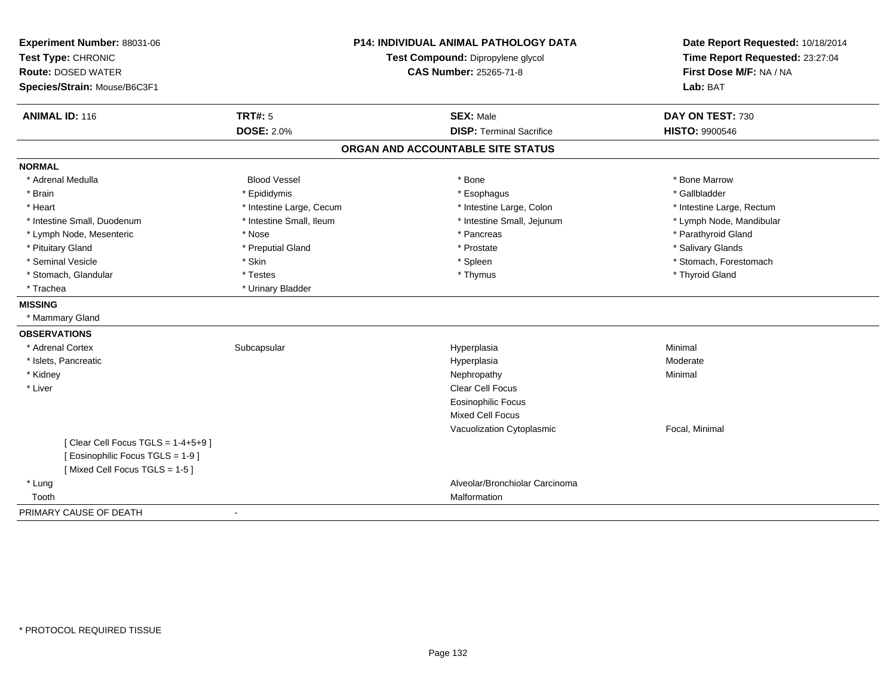| Experiment Number: 88031-06       |                                                                    | <b>P14: INDIVIDUAL ANIMAL PATHOLOGY DATA</b> | Date Report Requested: 10/18/2014                          |
|-----------------------------------|--------------------------------------------------------------------|----------------------------------------------|------------------------------------------------------------|
| Test Type: CHRONIC                | Test Compound: Dipropylene glycol<br><b>CAS Number: 25265-71-8</b> |                                              | Time Report Requested: 23:27:04<br>First Dose M/F: NA / NA |
| <b>Route: DOSED WATER</b>         |                                                                    |                                              |                                                            |
| Species/Strain: Mouse/B6C3F1      |                                                                    |                                              | Lab: BAT                                                   |
| <b>ANIMAL ID: 116</b>             | <b>TRT#: 5</b>                                                     | <b>SEX: Male</b>                             | DAY ON TEST: 730                                           |
|                                   | <b>DOSE: 2.0%</b>                                                  | <b>DISP: Terminal Sacrifice</b>              | <b>HISTO: 9900546</b>                                      |
|                                   |                                                                    | ORGAN AND ACCOUNTABLE SITE STATUS            |                                                            |
| <b>NORMAL</b>                     |                                                                    |                                              |                                                            |
| * Adrenal Medulla                 | <b>Blood Vessel</b>                                                | * Bone                                       | * Bone Marrow                                              |
| * Brain                           | * Epididymis                                                       | * Esophagus                                  | * Gallbladder                                              |
| * Heart                           | * Intestine Large, Cecum                                           | * Intestine Large, Colon                     | * Intestine Large, Rectum                                  |
| * Intestine Small, Duodenum       | * Intestine Small, Ileum                                           | * Intestine Small, Jejunum                   | * Lymph Node, Mandibular                                   |
| * Lymph Node, Mesenteric          | * Nose                                                             | * Pancreas                                   | * Parathyroid Gland                                        |
| * Pituitary Gland                 | * Preputial Gland                                                  | * Prostate                                   | * Salivary Glands                                          |
| * Seminal Vesicle                 | * Skin                                                             | * Spleen                                     | * Stomach, Forestomach                                     |
| * Stomach, Glandular              | * Testes                                                           | * Thymus                                     | * Thyroid Gland                                            |
| * Trachea                         | * Urinary Bladder                                                  |                                              |                                                            |
| <b>MISSING</b>                    |                                                                    |                                              |                                                            |
| * Mammary Gland                   |                                                                    |                                              |                                                            |
| <b>OBSERVATIONS</b>               |                                                                    |                                              |                                                            |
| * Adrenal Cortex                  | Subcapsular                                                        | Hyperplasia                                  | Minimal                                                    |
| * Islets, Pancreatic              |                                                                    | Hyperplasia                                  | Moderate                                                   |
| * Kidney                          |                                                                    | Nephropathy                                  | Minimal                                                    |
| * Liver                           |                                                                    | Clear Cell Focus                             |                                                            |
|                                   |                                                                    | <b>Eosinophilic Focus</b>                    |                                                            |
|                                   |                                                                    | Mixed Cell Focus                             |                                                            |
|                                   |                                                                    | Vacuolization Cytoplasmic                    | Focal, Minimal                                             |
| [Clear Cell Focus TGLS = 1-4+5+9] |                                                                    |                                              |                                                            |
| [ Eosinophilic Focus TGLS = 1-9 ] |                                                                    |                                              |                                                            |
| [Mixed Cell Focus TGLS = 1-5]     |                                                                    |                                              |                                                            |
| * Lung                            |                                                                    | Alveolar/Bronchiolar Carcinoma               |                                                            |
| Tooth                             |                                                                    | Malformation                                 |                                                            |
| PRIMARY CAUSE OF DEATH            | $\blacksquare$                                                     |                                              |                                                            |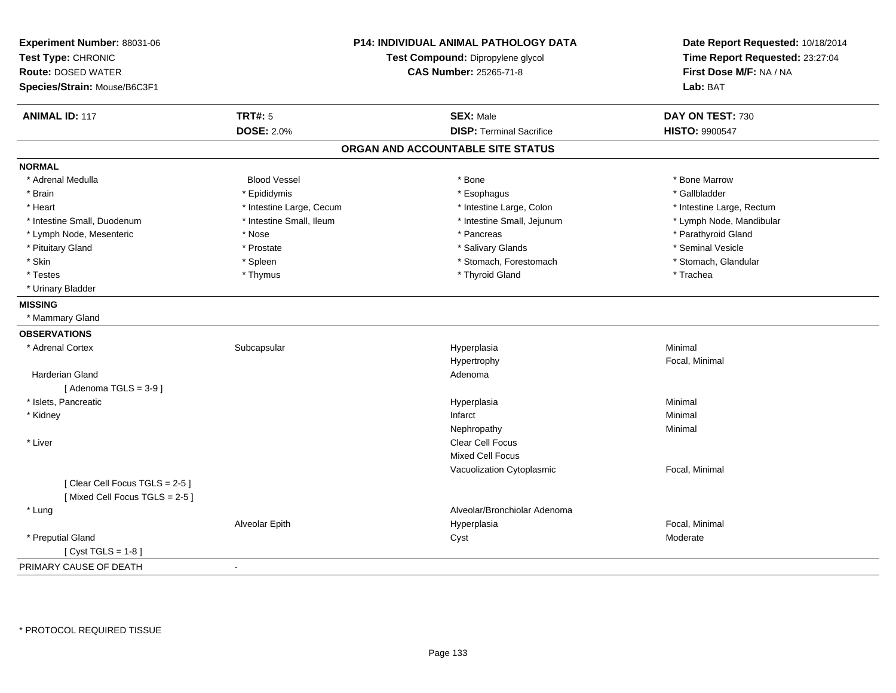| Experiment Number: 88031-06<br>Test Type: CHRONIC<br><b>Route: DOSED WATER</b><br>Species/Strain: Mouse/B6C3F1 |                          | P14: INDIVIDUAL ANIMAL PATHOLOGY DATA<br>Test Compound: Dipropylene glycol<br>CAS Number: 25265-71-8 | Date Report Requested: 10/18/2014<br>Time Report Requested: 23:27:04<br>First Dose M/F: NA / NA<br>Lab: BAT |
|----------------------------------------------------------------------------------------------------------------|--------------------------|------------------------------------------------------------------------------------------------------|-------------------------------------------------------------------------------------------------------------|
| <b>ANIMAL ID: 117</b>                                                                                          | <b>TRT#: 5</b>           | <b>SEX: Male</b>                                                                                     | DAY ON TEST: 730                                                                                            |
|                                                                                                                | <b>DOSE: 2.0%</b>        | <b>DISP: Terminal Sacrifice</b>                                                                      | <b>HISTO: 9900547</b>                                                                                       |
|                                                                                                                |                          | ORGAN AND ACCOUNTABLE SITE STATUS                                                                    |                                                                                                             |
| <b>NORMAL</b>                                                                                                  |                          |                                                                                                      |                                                                                                             |
| * Adrenal Medulla                                                                                              | <b>Blood Vessel</b>      | * Bone                                                                                               | * Bone Marrow                                                                                               |
| * Brain                                                                                                        | * Epididymis             | * Esophagus                                                                                          | * Gallbladder                                                                                               |
| * Heart                                                                                                        | * Intestine Large, Cecum | * Intestine Large, Colon                                                                             | * Intestine Large, Rectum                                                                                   |
| * Intestine Small, Duodenum                                                                                    | * Intestine Small, Ileum | * Intestine Small, Jejunum                                                                           | * Lymph Node, Mandibular                                                                                    |
| * Lymph Node, Mesenteric                                                                                       | * Nose                   | * Pancreas                                                                                           | * Parathyroid Gland                                                                                         |
| * Pituitary Gland                                                                                              | * Prostate               | * Salivary Glands                                                                                    | * Seminal Vesicle                                                                                           |
| * Skin                                                                                                         | * Spleen                 | * Stomach, Forestomach                                                                               | * Stomach, Glandular                                                                                        |
| * Testes                                                                                                       | * Thymus                 | * Thyroid Gland                                                                                      | * Trachea                                                                                                   |
| * Urinary Bladder                                                                                              |                          |                                                                                                      |                                                                                                             |
| <b>MISSING</b>                                                                                                 |                          |                                                                                                      |                                                                                                             |
| * Mammary Gland                                                                                                |                          |                                                                                                      |                                                                                                             |
| <b>OBSERVATIONS</b>                                                                                            |                          |                                                                                                      |                                                                                                             |
| * Adrenal Cortex                                                                                               | Subcapsular              | Hyperplasia                                                                                          | Minimal                                                                                                     |
|                                                                                                                |                          | Hypertrophy                                                                                          | Focal, Minimal                                                                                              |
| <b>Harderian Gland</b>                                                                                         |                          | Adenoma                                                                                              |                                                                                                             |
| [Adenoma TGLS = $3-9$ ]                                                                                        |                          |                                                                                                      |                                                                                                             |
| * Islets, Pancreatic                                                                                           |                          | Hyperplasia                                                                                          | Minimal                                                                                                     |
| * Kidney                                                                                                       |                          | Infarct                                                                                              | Minimal                                                                                                     |
|                                                                                                                |                          | Nephropathy                                                                                          | Minimal                                                                                                     |
| * Liver                                                                                                        |                          | Clear Cell Focus                                                                                     |                                                                                                             |
|                                                                                                                |                          | <b>Mixed Cell Focus</b>                                                                              |                                                                                                             |
|                                                                                                                |                          | Vacuolization Cytoplasmic                                                                            | Focal, Minimal                                                                                              |
| [Clear Cell Focus TGLS = 2-5]                                                                                  |                          |                                                                                                      |                                                                                                             |
| [Mixed Cell Focus TGLS = 2-5]                                                                                  |                          |                                                                                                      |                                                                                                             |
| * Lung                                                                                                         |                          | Alveolar/Bronchiolar Adenoma                                                                         |                                                                                                             |
|                                                                                                                | Alveolar Epith           | Hyperplasia                                                                                          | Focal, Minimal                                                                                              |
| * Preputial Gland                                                                                              |                          | Cyst                                                                                                 | Moderate                                                                                                    |
| [ $Cyst TGLS = 1-8$ ]                                                                                          |                          |                                                                                                      |                                                                                                             |
| PRIMARY CAUSE OF DEATH                                                                                         | $\sim$                   |                                                                                                      |                                                                                                             |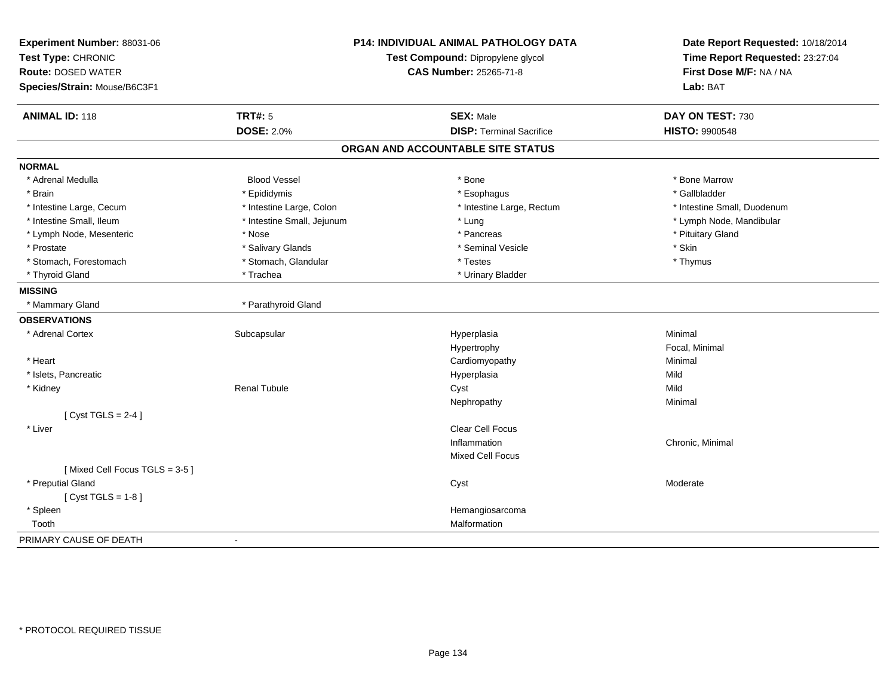| Experiment Number: 88031-06<br>Test Type: CHRONIC |                            | <b>P14: INDIVIDUAL ANIMAL PATHOLOGY DATA</b><br>Test Compound: Dipropylene glycol | Date Report Requested: 10/18/2014<br>Time Report Requested: 23:27:04 |
|---------------------------------------------------|----------------------------|-----------------------------------------------------------------------------------|----------------------------------------------------------------------|
| <b>Route: DOSED WATER</b>                         |                            | <b>CAS Number: 25265-71-8</b>                                                     | First Dose M/F: NA / NA                                              |
| Species/Strain: Mouse/B6C3F1                      |                            |                                                                                   | Lab: BAT                                                             |
| <b>ANIMAL ID: 118</b>                             | <b>TRT#: 5</b>             | <b>SEX: Male</b>                                                                  | DAY ON TEST: 730                                                     |
|                                                   | <b>DOSE: 2.0%</b>          | <b>DISP: Terminal Sacrifice</b>                                                   | <b>HISTO: 9900548</b>                                                |
|                                                   |                            | ORGAN AND ACCOUNTABLE SITE STATUS                                                 |                                                                      |
| <b>NORMAL</b>                                     |                            |                                                                                   |                                                                      |
| * Adrenal Medulla                                 | <b>Blood Vessel</b>        | * Bone                                                                            | * Bone Marrow                                                        |
| * Brain                                           | * Epididymis               | * Esophagus                                                                       | * Gallbladder                                                        |
| * Intestine Large, Cecum                          | * Intestine Large, Colon   | * Intestine Large, Rectum                                                         | * Intestine Small, Duodenum                                          |
| * Intestine Small, Ileum                          | * Intestine Small, Jejunum | * Lung                                                                            | * Lymph Node, Mandibular                                             |
| * Lymph Node, Mesenteric                          | * Nose                     | * Pancreas                                                                        | * Pituitary Gland                                                    |
| * Prostate                                        | * Salivary Glands          | * Seminal Vesicle                                                                 | * Skin                                                               |
| * Stomach, Forestomach                            | * Stomach, Glandular       | * Testes                                                                          | * Thymus                                                             |
| * Thyroid Gland                                   | * Trachea                  | * Urinary Bladder                                                                 |                                                                      |
| <b>MISSING</b>                                    |                            |                                                                                   |                                                                      |
| * Mammary Gland                                   | * Parathyroid Gland        |                                                                                   |                                                                      |
| <b>OBSERVATIONS</b>                               |                            |                                                                                   |                                                                      |
| * Adrenal Cortex                                  | Subcapsular                | Hyperplasia                                                                       | Minimal                                                              |
|                                                   |                            | Hypertrophy                                                                       | Focal, Minimal                                                       |
| * Heart                                           |                            | Cardiomyopathy                                                                    | Minimal                                                              |
| * Islets, Pancreatic                              |                            | Hyperplasia                                                                       | Mild                                                                 |
| * Kidney                                          | <b>Renal Tubule</b>        | Cyst                                                                              | Mild                                                                 |
|                                                   |                            | Nephropathy                                                                       | Minimal                                                              |
| [Cyst TGLS = $2-4$ ]                              |                            |                                                                                   |                                                                      |
| * Liver                                           |                            | Clear Cell Focus                                                                  |                                                                      |
|                                                   |                            | Inflammation                                                                      | Chronic, Minimal                                                     |
|                                                   |                            | <b>Mixed Cell Focus</b>                                                           |                                                                      |
| [Mixed Cell Focus TGLS = 3-5]                     |                            |                                                                                   |                                                                      |
| * Preputial Gland                                 |                            | Cyst                                                                              | Moderate                                                             |
| [Cyst TGLS = $1-8$ ]                              |                            |                                                                                   |                                                                      |
| * Spleen                                          |                            | Hemangiosarcoma                                                                   |                                                                      |
| Tooth                                             |                            | Malformation                                                                      |                                                                      |
| PRIMARY CAUSE OF DEATH                            | $\blacksquare$             |                                                                                   |                                                                      |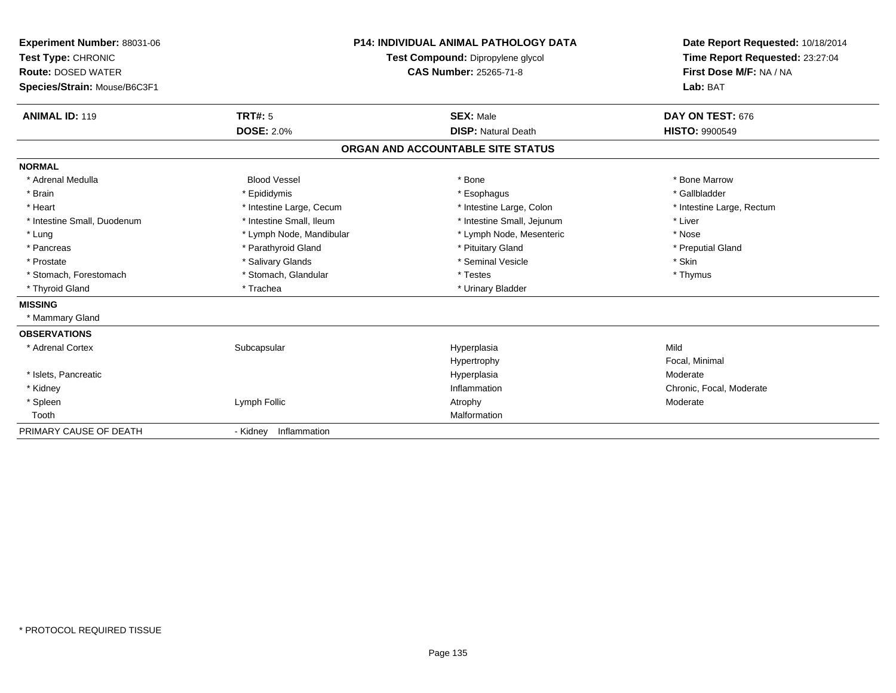| <b>Experiment Number: 88031-06</b><br>Test Type: CHRONIC<br><b>Route: DOSED WATER</b> |                          | <b>P14: INDIVIDUAL ANIMAL PATHOLOGY DATA</b><br>Test Compound: Dipropylene glycol<br><b>CAS Number: 25265-71-8</b> | Date Report Requested: 10/18/2014<br>Time Report Requested: 23:27:04<br>First Dose M/F: NA / NA |
|---------------------------------------------------------------------------------------|--------------------------|--------------------------------------------------------------------------------------------------------------------|-------------------------------------------------------------------------------------------------|
| Species/Strain: Mouse/B6C3F1                                                          |                          |                                                                                                                    | Lab: BAT                                                                                        |
| <b>ANIMAL ID: 119</b>                                                                 | <b>TRT#: 5</b>           | <b>SEX: Male</b>                                                                                                   | DAY ON TEST: 676                                                                                |
|                                                                                       | <b>DOSE: 2.0%</b>        | <b>DISP: Natural Death</b>                                                                                         | <b>HISTO: 9900549</b>                                                                           |
|                                                                                       |                          | ORGAN AND ACCOUNTABLE SITE STATUS                                                                                  |                                                                                                 |
| <b>NORMAL</b>                                                                         |                          |                                                                                                                    |                                                                                                 |
| * Adrenal Medulla                                                                     | <b>Blood Vessel</b>      | * Bone                                                                                                             | * Bone Marrow                                                                                   |
| * Brain                                                                               | * Epididymis             | * Esophagus                                                                                                        | * Gallbladder                                                                                   |
| * Heart                                                                               | * Intestine Large, Cecum | * Intestine Large, Colon                                                                                           | * Intestine Large, Rectum                                                                       |
| * Intestine Small, Duodenum                                                           | * Intestine Small, Ileum | * Intestine Small, Jejunum                                                                                         | * Liver                                                                                         |
| * Lung                                                                                | * Lymph Node, Mandibular | * Lymph Node, Mesenteric                                                                                           | * Nose                                                                                          |
| * Pancreas                                                                            | * Parathyroid Gland      | * Pituitary Gland                                                                                                  | * Preputial Gland                                                                               |
| * Prostate                                                                            | * Salivary Glands        | * Seminal Vesicle                                                                                                  | * Skin                                                                                          |
| * Stomach, Forestomach                                                                | * Stomach, Glandular     | * Testes                                                                                                           | * Thymus                                                                                        |
| * Thyroid Gland                                                                       | * Trachea                | * Urinary Bladder                                                                                                  |                                                                                                 |
| <b>MISSING</b>                                                                        |                          |                                                                                                                    |                                                                                                 |
| * Mammary Gland                                                                       |                          |                                                                                                                    |                                                                                                 |
| <b>OBSERVATIONS</b>                                                                   |                          |                                                                                                                    |                                                                                                 |
| * Adrenal Cortex                                                                      | Subcapsular              | Hyperplasia                                                                                                        | Mild                                                                                            |
|                                                                                       |                          | Hypertrophy                                                                                                        | Focal, Minimal                                                                                  |
| * Islets, Pancreatic                                                                  |                          | Hyperplasia                                                                                                        | Moderate                                                                                        |
| * Kidney                                                                              |                          | Inflammation                                                                                                       | Chronic, Focal, Moderate                                                                        |
| * Spleen                                                                              | Lymph Follic             | Atrophy                                                                                                            | Moderate                                                                                        |
| Tooth                                                                                 |                          | Malformation                                                                                                       |                                                                                                 |
| PRIMARY CAUSE OF DEATH                                                                | - Kidney Inflammation    |                                                                                                                    |                                                                                                 |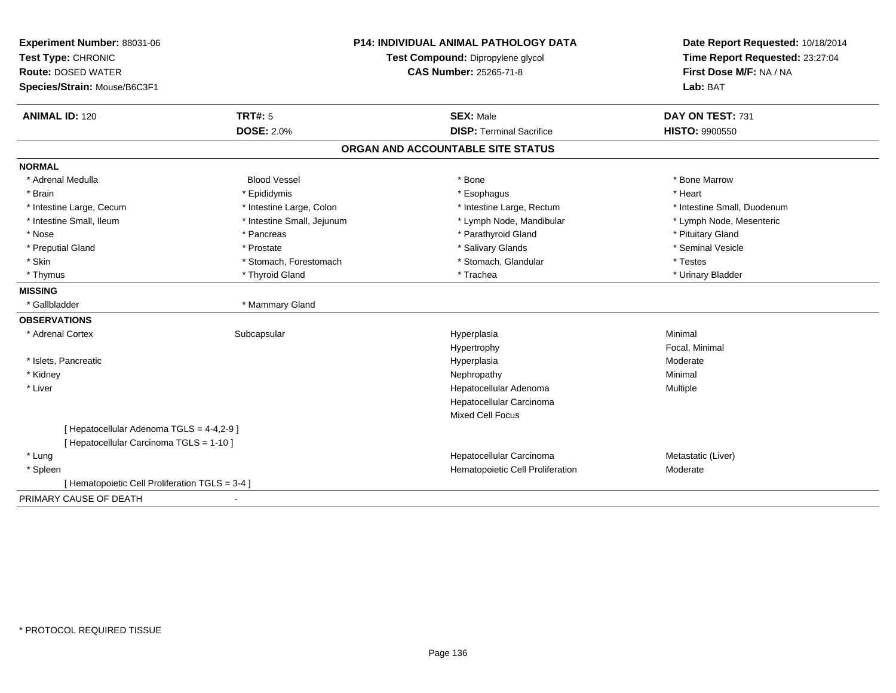| Experiment Number: 88031-06                     |                            | <b>P14: INDIVIDUAL ANIMAL PATHOLOGY DATA</b> |                                                                                                 |
|-------------------------------------------------|----------------------------|----------------------------------------------|-------------------------------------------------------------------------------------------------|
| Test Type: CHRONIC                              |                            | Test Compound: Dipropylene glycol            | Date Report Requested: 10/18/2014<br>Time Report Requested: 23:27:04<br>First Dose M/F: NA / NA |
| <b>Route: DOSED WATER</b>                       |                            | <b>CAS Number: 25265-71-8</b>                |                                                                                                 |
| Species/Strain: Mouse/B6C3F1                    |                            |                                              | Lab: BAT                                                                                        |
| <b>ANIMAL ID: 120</b>                           | <b>TRT#: 5</b>             | <b>SEX: Male</b>                             | DAY ON TEST: 731                                                                                |
|                                                 | <b>DOSE: 2.0%</b>          | <b>DISP: Terminal Sacrifice</b>              | <b>HISTO: 9900550</b>                                                                           |
|                                                 |                            | ORGAN AND ACCOUNTABLE SITE STATUS            |                                                                                                 |
| <b>NORMAL</b>                                   |                            |                                              |                                                                                                 |
| * Adrenal Medulla                               | <b>Blood Vessel</b>        | * Bone                                       | * Bone Marrow                                                                                   |
| * Brain                                         | * Epididymis               | * Esophagus                                  | * Heart                                                                                         |
| * Intestine Large, Cecum                        | * Intestine Large, Colon   | * Intestine Large, Rectum                    | * Intestine Small, Duodenum                                                                     |
| * Intestine Small, Ileum                        | * Intestine Small, Jejunum | * Lymph Node, Mandibular                     | * Lymph Node, Mesenteric                                                                        |
| * Nose                                          | * Pancreas                 | * Parathyroid Gland                          | * Pituitary Gland                                                                               |
| * Preputial Gland                               | * Prostate                 | * Salivary Glands                            | * Seminal Vesicle                                                                               |
| * Skin                                          | * Stomach, Forestomach     | * Stomach, Glandular                         | * Testes                                                                                        |
| * Thymus                                        | * Thyroid Gland            | * Trachea                                    | * Urinary Bladder                                                                               |
| <b>MISSING</b>                                  |                            |                                              |                                                                                                 |
| * Gallbladder                                   | * Mammary Gland            |                                              |                                                                                                 |
| <b>OBSERVATIONS</b>                             |                            |                                              |                                                                                                 |
| * Adrenal Cortex                                | Subcapsular                | Hyperplasia                                  | Minimal                                                                                         |
|                                                 |                            | Hypertrophy                                  | Focal, Minimal                                                                                  |
| * Islets, Pancreatic                            |                            | Hyperplasia                                  | Moderate                                                                                        |
| * Kidney                                        |                            | Nephropathy                                  | Minimal                                                                                         |
| * Liver                                         |                            | Hepatocellular Adenoma                       | Multiple                                                                                        |
|                                                 |                            | Hepatocellular Carcinoma                     |                                                                                                 |
|                                                 |                            | <b>Mixed Cell Focus</b>                      |                                                                                                 |
| [ Hepatocellular Adenoma TGLS = 4-4,2-9 ]       |                            |                                              |                                                                                                 |
| [ Hepatocellular Carcinoma TGLS = 1-10 ]        |                            |                                              |                                                                                                 |
| * Lung                                          |                            | Hepatocellular Carcinoma                     | Metastatic (Liver)                                                                              |
| * Spleen                                        |                            | Hematopoietic Cell Proliferation             | Moderate                                                                                        |
| [ Hematopoietic Cell Proliferation TGLS = 3-4 ] |                            |                                              |                                                                                                 |
| PRIMARY CAUSE OF DEATH                          | ٠                          |                                              |                                                                                                 |
|                                                 |                            |                                              |                                                                                                 |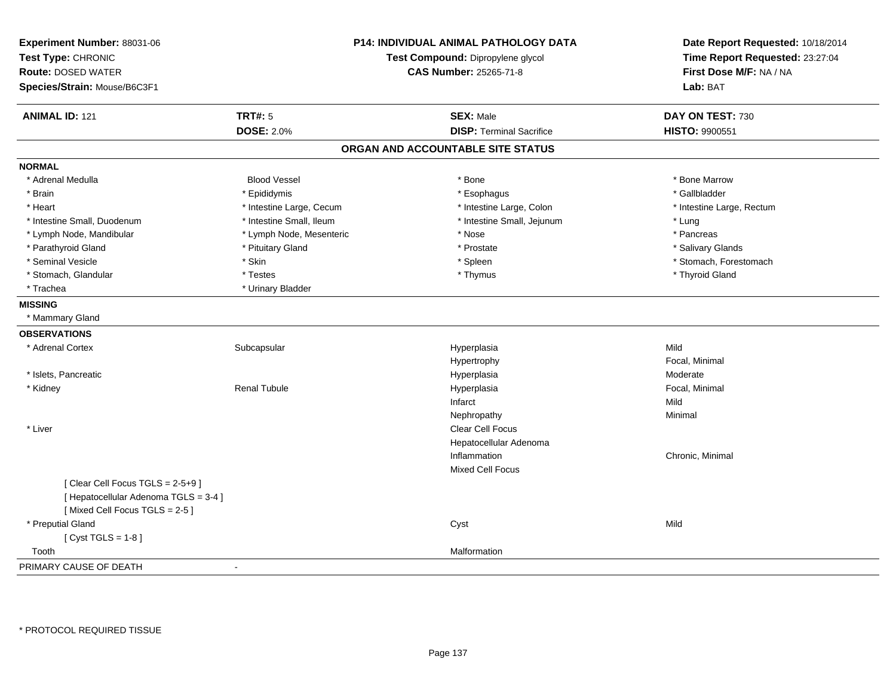| Experiment Number: 88031-06<br>Test Type: CHRONIC<br><b>Route: DOSED WATER</b><br>Species/Strain: Mouse/B6C3F1 |                          | P14: INDIVIDUAL ANIMAL PATHOLOGY DATA<br>Test Compound: Dipropylene glycol<br>CAS Number: 25265-71-8 | Date Report Requested: 10/18/2014<br>Time Report Requested: 23:27:04<br>First Dose M/F: NA / NA<br>Lab: BAT |
|----------------------------------------------------------------------------------------------------------------|--------------------------|------------------------------------------------------------------------------------------------------|-------------------------------------------------------------------------------------------------------------|
| <b>ANIMAL ID: 121</b>                                                                                          | <b>TRT#: 5</b>           | <b>SEX: Male</b>                                                                                     | DAY ON TEST: 730                                                                                            |
|                                                                                                                | <b>DOSE: 2.0%</b>        | <b>DISP: Terminal Sacrifice</b>                                                                      | HISTO: 9900551                                                                                              |
|                                                                                                                |                          | ORGAN AND ACCOUNTABLE SITE STATUS                                                                    |                                                                                                             |
| <b>NORMAL</b>                                                                                                  |                          |                                                                                                      |                                                                                                             |
| * Adrenal Medulla                                                                                              | <b>Blood Vessel</b>      | * Bone                                                                                               | * Bone Marrow                                                                                               |
| * Brain                                                                                                        | * Epididymis             | * Esophagus                                                                                          | * Gallbladder                                                                                               |
| * Heart                                                                                                        | * Intestine Large, Cecum | * Intestine Large, Colon                                                                             | * Intestine Large, Rectum                                                                                   |
| * Intestine Small, Duodenum                                                                                    | * Intestine Small, Ileum | * Intestine Small, Jejunum                                                                           | * Lung                                                                                                      |
| * Lymph Node, Mandibular                                                                                       | * Lymph Node, Mesenteric | $^\star$ Nose                                                                                        | * Pancreas                                                                                                  |
| * Parathyroid Gland                                                                                            | * Pituitary Gland        | * Prostate                                                                                           | * Salivary Glands                                                                                           |
| * Seminal Vesicle                                                                                              | * Skin                   | * Spleen                                                                                             | * Stomach, Forestomach                                                                                      |
| * Stomach, Glandular                                                                                           | * Testes                 | * Thymus                                                                                             | * Thyroid Gland                                                                                             |
| * Trachea                                                                                                      | * Urinary Bladder        |                                                                                                      |                                                                                                             |
| <b>MISSING</b>                                                                                                 |                          |                                                                                                      |                                                                                                             |
| * Mammary Gland                                                                                                |                          |                                                                                                      |                                                                                                             |
| <b>OBSERVATIONS</b>                                                                                            |                          |                                                                                                      |                                                                                                             |
| * Adrenal Cortex                                                                                               | Subcapsular              | Hyperplasia                                                                                          | Mild                                                                                                        |
|                                                                                                                |                          | Hypertrophy                                                                                          | Focal, Minimal                                                                                              |
| * Islets, Pancreatic                                                                                           |                          | Hyperplasia                                                                                          | Moderate                                                                                                    |
| * Kidney                                                                                                       | <b>Renal Tubule</b>      | Hyperplasia                                                                                          | Focal, Minimal                                                                                              |
|                                                                                                                |                          | Infarct                                                                                              | Mild                                                                                                        |
|                                                                                                                |                          | Nephropathy                                                                                          | Minimal                                                                                                     |
| * Liver                                                                                                        |                          | Clear Cell Focus                                                                                     |                                                                                                             |
|                                                                                                                |                          | Hepatocellular Adenoma                                                                               |                                                                                                             |
|                                                                                                                |                          | Inflammation                                                                                         | Chronic, Minimal                                                                                            |
|                                                                                                                |                          | <b>Mixed Cell Focus</b>                                                                              |                                                                                                             |
| [Clear Cell Focus TGLS = 2-5+9]                                                                                |                          |                                                                                                      |                                                                                                             |
| [ Hepatocellular Adenoma TGLS = 3-4 ]                                                                          |                          |                                                                                                      |                                                                                                             |
| [Mixed Cell Focus TGLS = 2-5]                                                                                  |                          |                                                                                                      |                                                                                                             |
| * Preputial Gland                                                                                              |                          | Cyst                                                                                                 | Mild                                                                                                        |
| [Cyst TGLS = $1-8$ ]                                                                                           |                          |                                                                                                      |                                                                                                             |
| Tooth                                                                                                          |                          | Malformation                                                                                         |                                                                                                             |
| PRIMARY CAUSE OF DEATH                                                                                         | $\blacksquare$           |                                                                                                      |                                                                                                             |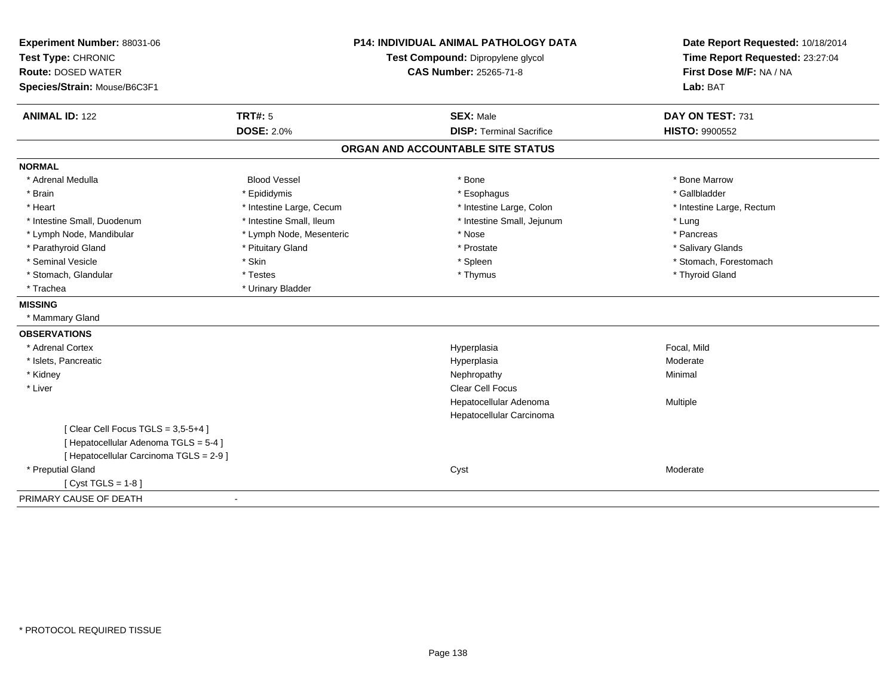| Experiment Number: 88031-06             | <b>P14: INDIVIDUAL ANIMAL PATHOLOGY DATA</b><br>Test Compound: Dipropylene glycol |                                   | Date Report Requested: 10/18/2014 |
|-----------------------------------------|-----------------------------------------------------------------------------------|-----------------------------------|-----------------------------------|
| Test Type: CHRONIC                      |                                                                                   |                                   | Time Report Requested: 23:27:04   |
| <b>Route: DOSED WATER</b>               |                                                                                   | CAS Number: 25265-71-8            | First Dose M/F: NA / NA           |
| Species/Strain: Mouse/B6C3F1            |                                                                                   |                                   | Lab: BAT                          |
| <b>ANIMAL ID: 122</b>                   | <b>TRT#: 5</b>                                                                    | <b>SEX: Male</b>                  | DAY ON TEST: 731                  |
|                                         | <b>DOSE: 2.0%</b>                                                                 | <b>DISP: Terminal Sacrifice</b>   | HISTO: 9900552                    |
|                                         |                                                                                   | ORGAN AND ACCOUNTABLE SITE STATUS |                                   |
| <b>NORMAL</b>                           |                                                                                   |                                   |                                   |
| * Adrenal Medulla                       | <b>Blood Vessel</b>                                                               | * Bone                            | * Bone Marrow                     |
| * Brain                                 | * Epididymis                                                                      | * Esophagus                       | * Gallbladder                     |
| * Heart                                 | * Intestine Large, Cecum                                                          | * Intestine Large, Colon          | * Intestine Large, Rectum         |
| * Intestine Small, Duodenum             | * Intestine Small, Ileum                                                          | * Intestine Small, Jejunum        | * Lung                            |
| * Lymph Node, Mandibular                | * Lymph Node, Mesenteric                                                          | * Nose                            | * Pancreas                        |
| * Parathyroid Gland                     | * Pituitary Gland                                                                 | * Prostate                        | * Salivary Glands                 |
| * Seminal Vesicle                       | * Skin                                                                            | * Spleen                          | * Stomach, Forestomach            |
| * Stomach, Glandular                    | * Testes                                                                          | * Thymus                          | * Thyroid Gland                   |
| * Trachea                               | * Urinary Bladder                                                                 |                                   |                                   |
| <b>MISSING</b>                          |                                                                                   |                                   |                                   |
| * Mammary Gland                         |                                                                                   |                                   |                                   |
| <b>OBSERVATIONS</b>                     |                                                                                   |                                   |                                   |
| * Adrenal Cortex                        |                                                                                   | Hyperplasia                       | Focal, Mild                       |
| * Islets, Pancreatic                    |                                                                                   | Hyperplasia                       | Moderate                          |
| * Kidney                                |                                                                                   | Nephropathy                       | Minimal                           |
| * Liver                                 |                                                                                   | Clear Cell Focus                  |                                   |
|                                         |                                                                                   | Hepatocellular Adenoma            | Multiple                          |
|                                         |                                                                                   | Hepatocellular Carcinoma          |                                   |
| [Clear Cell Focus TGLS = 3,5-5+4]       |                                                                                   |                                   |                                   |
| [ Hepatocellular Adenoma TGLS = 5-4 ]   |                                                                                   |                                   |                                   |
| [ Hepatocellular Carcinoma TGLS = 2-9 ] |                                                                                   |                                   |                                   |
| * Preputial Gland                       |                                                                                   | Cyst                              | Moderate                          |
| [Cyst TGLS = $1-8$ ]                    |                                                                                   |                                   |                                   |
| PRIMARY CAUSE OF DEATH                  | $\overline{\phantom{a}}$                                                          |                                   |                                   |
|                                         |                                                                                   |                                   |                                   |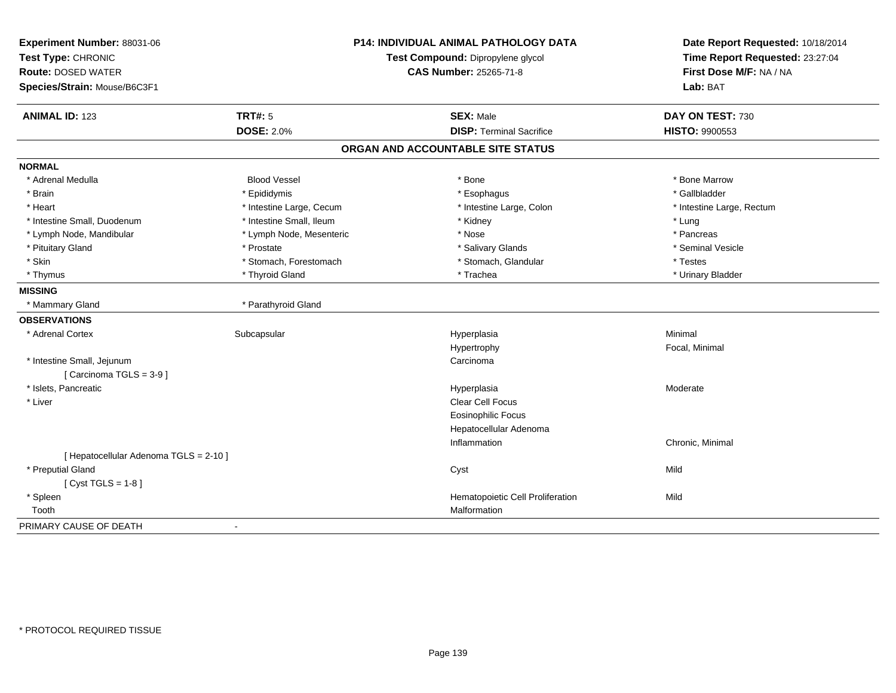| Experiment Number: 88031-06            |                          | P14: INDIVIDUAL ANIMAL PATHOLOGY DATA | Date Report Requested: 10/18/2014 |
|----------------------------------------|--------------------------|---------------------------------------|-----------------------------------|
| Test Type: CHRONIC                     |                          | Test Compound: Dipropylene glycol     | Time Report Requested: 23:27:04   |
| <b>Route: DOSED WATER</b>              | CAS Number: 25265-71-8   |                                       | First Dose M/F: NA / NA           |
| Species/Strain: Mouse/B6C3F1           |                          |                                       | Lab: BAT                          |
| <b>ANIMAL ID: 123</b>                  | <b>TRT#: 5</b>           | <b>SEX: Male</b>                      | DAY ON TEST: 730                  |
|                                        | <b>DOSE: 2.0%</b>        | <b>DISP: Terminal Sacrifice</b>       | HISTO: 9900553                    |
|                                        |                          | ORGAN AND ACCOUNTABLE SITE STATUS     |                                   |
| <b>NORMAL</b>                          |                          |                                       |                                   |
| * Adrenal Medulla                      | <b>Blood Vessel</b>      | * Bone                                | * Bone Marrow                     |
| * Brain                                | * Epididymis             | * Esophagus                           | * Gallbladder                     |
| * Heart                                | * Intestine Large, Cecum | * Intestine Large, Colon              | * Intestine Large, Rectum         |
| * Intestine Small, Duodenum            | * Intestine Small, Ileum | * Kidney                              | * Lung                            |
| * Lymph Node, Mandibular               | * Lymph Node, Mesenteric | * Nose                                | * Pancreas                        |
| * Pituitary Gland                      | * Prostate               | * Salivary Glands                     | * Seminal Vesicle                 |
| * Skin                                 | * Stomach, Forestomach   | * Stomach, Glandular                  | * Testes                          |
| * Thymus                               | * Thyroid Gland          | * Trachea                             | * Urinary Bladder                 |
| <b>MISSING</b>                         |                          |                                       |                                   |
| * Mammary Gland                        | * Parathyroid Gland      |                                       |                                   |
| <b>OBSERVATIONS</b>                    |                          |                                       |                                   |
| * Adrenal Cortex                       | Subcapsular              | Hyperplasia                           | Minimal                           |
|                                        |                          | Hypertrophy                           | Focal, Minimal                    |
| * Intestine Small, Jejunum             |                          | Carcinoma                             |                                   |
| [Carcinoma TGLS = 3-9]                 |                          |                                       |                                   |
| * Islets, Pancreatic                   |                          | Hyperplasia                           | Moderate                          |
| * Liver                                |                          | Clear Cell Focus                      |                                   |
|                                        |                          | <b>Eosinophilic Focus</b>             |                                   |
|                                        |                          | Hepatocellular Adenoma                |                                   |
|                                        |                          | Inflammation                          | Chronic, Minimal                  |
| [ Hepatocellular Adenoma TGLS = 2-10 ] |                          |                                       |                                   |
| * Preputial Gland                      |                          | Cyst                                  | Mild                              |
| [Cyst TGLS = $1-8$ ]                   |                          |                                       |                                   |
| * Spleen                               |                          | Hematopoietic Cell Proliferation      | Mild                              |
| Tooth                                  |                          | Malformation                          |                                   |
| PRIMARY CAUSE OF DEATH                 |                          |                                       |                                   |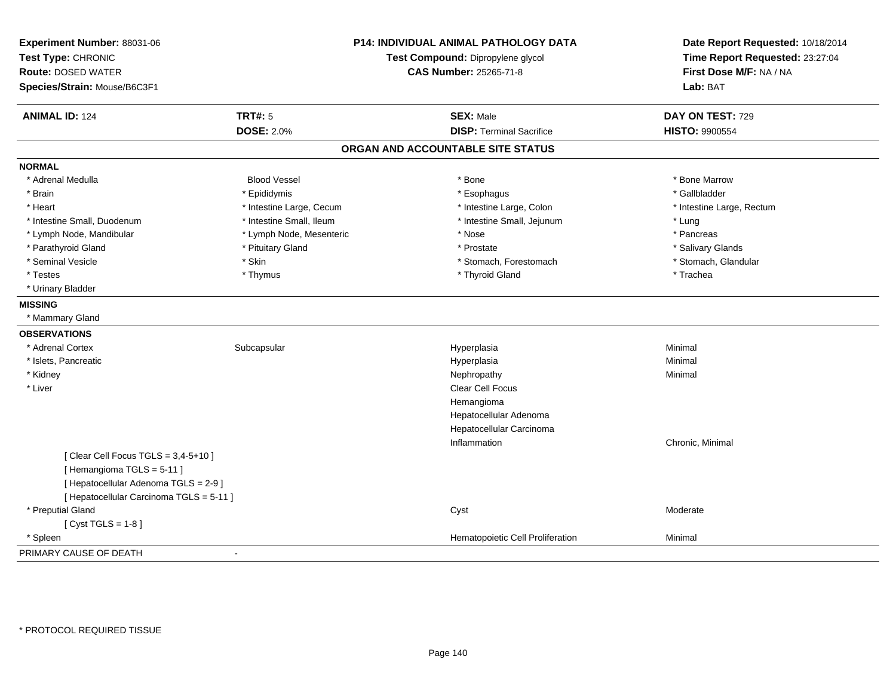| Experiment Number: 88031-06<br>Test Type: CHRONIC<br><b>Route: DOSED WATER</b><br>Species/Strain: Mouse/B6C3F1 |                          | <b>P14: INDIVIDUAL ANIMAL PATHOLOGY DATA</b><br>Test Compound: Dipropylene glycol<br><b>CAS Number: 25265-71-8</b> | Date Report Requested: 10/18/2014<br>Time Report Requested: 23:27:04<br>First Dose M/F: NA / NA<br>Lab: BAT |
|----------------------------------------------------------------------------------------------------------------|--------------------------|--------------------------------------------------------------------------------------------------------------------|-------------------------------------------------------------------------------------------------------------|
| <b>ANIMAL ID: 124</b>                                                                                          | <b>TRT#: 5</b>           | <b>SEX: Male</b>                                                                                                   | DAY ON TEST: 729                                                                                            |
|                                                                                                                | <b>DOSE: 2.0%</b>        | <b>DISP: Terminal Sacrifice</b>                                                                                    | HISTO: 9900554                                                                                              |
|                                                                                                                |                          | ORGAN AND ACCOUNTABLE SITE STATUS                                                                                  |                                                                                                             |
| <b>NORMAL</b>                                                                                                  |                          |                                                                                                                    |                                                                                                             |
| * Adrenal Medulla                                                                                              | <b>Blood Vessel</b>      | * Bone                                                                                                             | * Bone Marrow                                                                                               |
| * Brain                                                                                                        | * Epididymis             | * Esophagus                                                                                                        | * Gallbladder                                                                                               |
| * Heart                                                                                                        | * Intestine Large, Cecum | * Intestine Large, Colon                                                                                           | * Intestine Large, Rectum                                                                                   |
| * Intestine Small, Duodenum                                                                                    | * Intestine Small, Ileum | * Intestine Small, Jejunum                                                                                         | * Lung                                                                                                      |
| * Lymph Node, Mandibular                                                                                       | * Lymph Node, Mesenteric | * Nose                                                                                                             | * Pancreas                                                                                                  |
| * Parathyroid Gland                                                                                            | * Pituitary Gland        | * Prostate                                                                                                         | * Salivary Glands                                                                                           |
| * Seminal Vesicle                                                                                              | * Skin                   | * Stomach, Forestomach                                                                                             | * Stomach, Glandular                                                                                        |
| * Testes                                                                                                       | * Thymus                 | * Thyroid Gland                                                                                                    | * Trachea                                                                                                   |
| * Urinary Bladder                                                                                              |                          |                                                                                                                    |                                                                                                             |
| <b>MISSING</b>                                                                                                 |                          |                                                                                                                    |                                                                                                             |
| * Mammary Gland                                                                                                |                          |                                                                                                                    |                                                                                                             |
| <b>OBSERVATIONS</b>                                                                                            |                          |                                                                                                                    |                                                                                                             |
| * Adrenal Cortex                                                                                               | Subcapsular              | Hyperplasia                                                                                                        | Minimal                                                                                                     |
| * Islets, Pancreatic                                                                                           |                          | Hyperplasia                                                                                                        | Minimal                                                                                                     |
| * Kidney                                                                                                       |                          | Nephropathy                                                                                                        | Minimal                                                                                                     |
| * Liver                                                                                                        |                          | Clear Cell Focus                                                                                                   |                                                                                                             |
|                                                                                                                |                          | Hemangioma                                                                                                         |                                                                                                             |
|                                                                                                                |                          | Hepatocellular Adenoma                                                                                             |                                                                                                             |
|                                                                                                                |                          | Hepatocellular Carcinoma                                                                                           |                                                                                                             |
|                                                                                                                |                          | Inflammation                                                                                                       | Chronic, Minimal                                                                                            |
| [Clear Cell Focus TGLS = $3,4-5+10$ ]                                                                          |                          |                                                                                                                    |                                                                                                             |
| [Hemangioma TGLS = 5-11]                                                                                       |                          |                                                                                                                    |                                                                                                             |
| [ Hepatocellular Adenoma TGLS = 2-9]                                                                           |                          |                                                                                                                    |                                                                                                             |
| [ Hepatocellular Carcinoma TGLS = 5-11 ]                                                                       |                          |                                                                                                                    |                                                                                                             |
| * Preputial Gland                                                                                              |                          | Cyst                                                                                                               | Moderate                                                                                                    |
| [Cyst TGLS = $1-8$ ]                                                                                           |                          |                                                                                                                    |                                                                                                             |
| * Spleen                                                                                                       |                          | Hematopoietic Cell Proliferation                                                                                   | Minimal                                                                                                     |
| PRIMARY CAUSE OF DEATH                                                                                         | $\blacksquare$           |                                                                                                                    |                                                                                                             |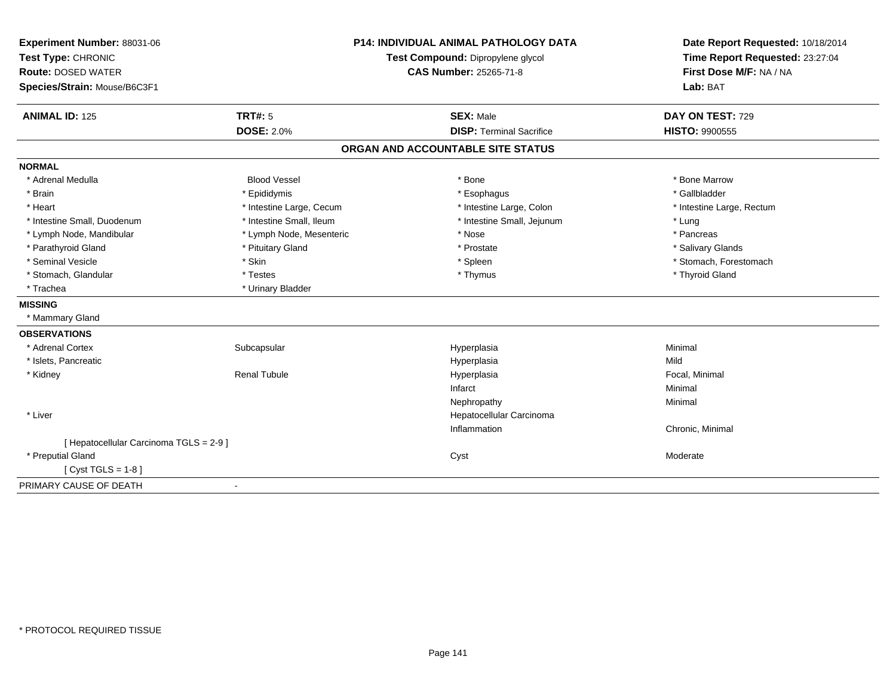| Experiment Number: 88031-06             |                                   | <b>P14: INDIVIDUAL ANIMAL PATHOLOGY DATA</b> | Date Report Requested: 10/18/2014 |
|-----------------------------------------|-----------------------------------|----------------------------------------------|-----------------------------------|
| Test Type: CHRONIC                      | Test Compound: Dipropylene glycol |                                              | Time Report Requested: 23:27:04   |
| <b>Route: DOSED WATER</b>               |                                   | CAS Number: 25265-71-8                       | First Dose M/F: NA / NA           |
| Species/Strain: Mouse/B6C3F1            |                                   |                                              | Lab: BAT                          |
| <b>ANIMAL ID: 125</b>                   | <b>TRT#: 5</b>                    | <b>SEX: Male</b>                             | DAY ON TEST: 729                  |
|                                         | <b>DOSE: 2.0%</b>                 | <b>DISP: Terminal Sacrifice</b>              | <b>HISTO: 9900555</b>             |
|                                         |                                   | ORGAN AND ACCOUNTABLE SITE STATUS            |                                   |
| <b>NORMAL</b>                           |                                   |                                              |                                   |
| * Adrenal Medulla                       | <b>Blood Vessel</b>               | * Bone                                       | * Bone Marrow                     |
| * Brain                                 | * Epididymis                      | * Esophagus                                  | * Gallbladder                     |
| * Heart                                 | * Intestine Large, Cecum          | * Intestine Large, Colon                     | * Intestine Large, Rectum         |
| * Intestine Small, Duodenum             | * Intestine Small, Ileum          | * Intestine Small, Jejunum                   | * Lung                            |
| * Lymph Node, Mandibular                | * Lymph Node, Mesenteric          | * Nose                                       | * Pancreas                        |
| * Parathyroid Gland                     | * Pituitary Gland                 | * Prostate                                   | * Salivary Glands                 |
| * Seminal Vesicle                       | * Skin                            | * Spleen                                     | * Stomach, Forestomach            |
| * Stomach, Glandular                    | * Testes                          | * Thymus                                     | * Thyroid Gland                   |
| * Trachea                               | * Urinary Bladder                 |                                              |                                   |
| <b>MISSING</b>                          |                                   |                                              |                                   |
| * Mammary Gland                         |                                   |                                              |                                   |
| <b>OBSERVATIONS</b>                     |                                   |                                              |                                   |
| * Adrenal Cortex                        | Subcapsular                       | Hyperplasia                                  | Minimal                           |
| * Islets, Pancreatic                    |                                   | Hyperplasia                                  | Mild                              |
| * Kidney                                | <b>Renal Tubule</b>               | Hyperplasia                                  | Focal, Minimal                    |
|                                         |                                   | Infarct                                      | Minimal                           |
|                                         |                                   | Nephropathy                                  | Minimal                           |
| * Liver                                 |                                   | Hepatocellular Carcinoma                     |                                   |
|                                         |                                   | Inflammation                                 | Chronic, Minimal                  |
| [ Hepatocellular Carcinoma TGLS = 2-9 ] |                                   |                                              |                                   |
| * Preputial Gland                       |                                   | Cyst                                         | Moderate                          |
| [ $Cyst TGLS = 1-8$ ]                   |                                   |                                              |                                   |
| PRIMARY CAUSE OF DEATH                  |                                   |                                              |                                   |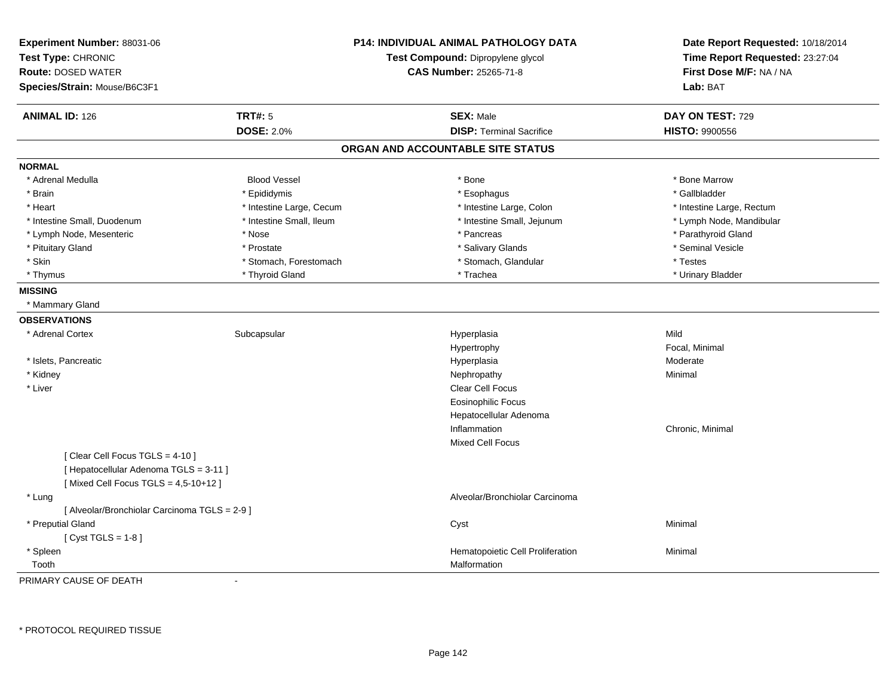| Experiment Number: 88031-06<br>Test Type: CHRONIC<br><b>Route: DOSED WATER</b><br>Species/Strain: Mouse/B6C3F1 |                          | <b>P14: INDIVIDUAL ANIMAL PATHOLOGY DATA</b><br>Test Compound: Dipropylene glycol<br><b>CAS Number: 25265-71-8</b> | Date Report Requested: 10/18/2014<br>Time Report Requested: 23:27:04<br>First Dose M/F: NA / NA<br>Lab: BAT |
|----------------------------------------------------------------------------------------------------------------|--------------------------|--------------------------------------------------------------------------------------------------------------------|-------------------------------------------------------------------------------------------------------------|
| <b>ANIMAL ID: 126</b>                                                                                          | <b>TRT#: 5</b>           | <b>SEX: Male</b>                                                                                                   | DAY ON TEST: 729                                                                                            |
|                                                                                                                | <b>DOSE: 2.0%</b>        | <b>DISP: Terminal Sacrifice</b>                                                                                    | HISTO: 9900556                                                                                              |
|                                                                                                                |                          | ORGAN AND ACCOUNTABLE SITE STATUS                                                                                  |                                                                                                             |
| <b>NORMAL</b>                                                                                                  |                          |                                                                                                                    |                                                                                                             |
| * Adrenal Medulla                                                                                              | <b>Blood Vessel</b>      | * Bone                                                                                                             | * Bone Marrow                                                                                               |
| * Brain                                                                                                        | * Epididymis             | * Esophagus                                                                                                        | * Gallbladder                                                                                               |
| * Heart                                                                                                        | * Intestine Large, Cecum | * Intestine Large, Colon                                                                                           | * Intestine Large, Rectum                                                                                   |
| * Intestine Small, Duodenum                                                                                    | * Intestine Small, Ileum | * Intestine Small, Jejunum                                                                                         | * Lymph Node, Mandibular                                                                                    |
| * Lymph Node, Mesenteric                                                                                       | * Nose                   | * Pancreas                                                                                                         | * Parathyroid Gland                                                                                         |
| * Pituitary Gland                                                                                              | * Prostate               | * Salivary Glands                                                                                                  | * Seminal Vesicle                                                                                           |
| * Skin                                                                                                         | * Stomach, Forestomach   | * Stomach, Glandular                                                                                               | * Testes                                                                                                    |
| * Thymus                                                                                                       | * Thyroid Gland          | * Trachea                                                                                                          | * Urinary Bladder                                                                                           |
| <b>MISSING</b>                                                                                                 |                          |                                                                                                                    |                                                                                                             |
| * Mammary Gland                                                                                                |                          |                                                                                                                    |                                                                                                             |
| <b>OBSERVATIONS</b>                                                                                            |                          |                                                                                                                    |                                                                                                             |
| * Adrenal Cortex                                                                                               | Subcapsular              | Hyperplasia                                                                                                        | Mild                                                                                                        |
|                                                                                                                |                          | Hypertrophy                                                                                                        | Focal, Minimal                                                                                              |
| * Islets, Pancreatic                                                                                           |                          | Hyperplasia                                                                                                        | Moderate                                                                                                    |
| * Kidney                                                                                                       |                          | Nephropathy                                                                                                        | Minimal                                                                                                     |
| * Liver                                                                                                        |                          | Clear Cell Focus                                                                                                   |                                                                                                             |
|                                                                                                                |                          | <b>Eosinophilic Focus</b>                                                                                          |                                                                                                             |
|                                                                                                                |                          | Hepatocellular Adenoma                                                                                             |                                                                                                             |
|                                                                                                                |                          | Inflammation                                                                                                       | Chronic, Minimal                                                                                            |
|                                                                                                                |                          | <b>Mixed Cell Focus</b>                                                                                            |                                                                                                             |
| [ Clear Cell Focus TGLS = 4-10 ]                                                                               |                          |                                                                                                                    |                                                                                                             |
| [ Hepatocellular Adenoma TGLS = 3-11 ]                                                                         |                          |                                                                                                                    |                                                                                                             |
| [Mixed Cell Focus TGLS = 4,5-10+12]                                                                            |                          |                                                                                                                    |                                                                                                             |
| * Lung                                                                                                         |                          | Alveolar/Bronchiolar Carcinoma                                                                                     |                                                                                                             |
| [ Alveolar/Bronchiolar Carcinoma TGLS = 2-9 ]                                                                  |                          |                                                                                                                    |                                                                                                             |
| * Preputial Gland                                                                                              |                          | Cyst                                                                                                               | Minimal                                                                                                     |
| [Cyst TGLS = $1-8$ ]                                                                                           |                          |                                                                                                                    |                                                                                                             |
| * Spleen                                                                                                       |                          | Hematopoietic Cell Proliferation                                                                                   | Minimal                                                                                                     |
| Tooth                                                                                                          |                          | Malformation                                                                                                       |                                                                                                             |

PRIMARY CAUSE OF DEATH-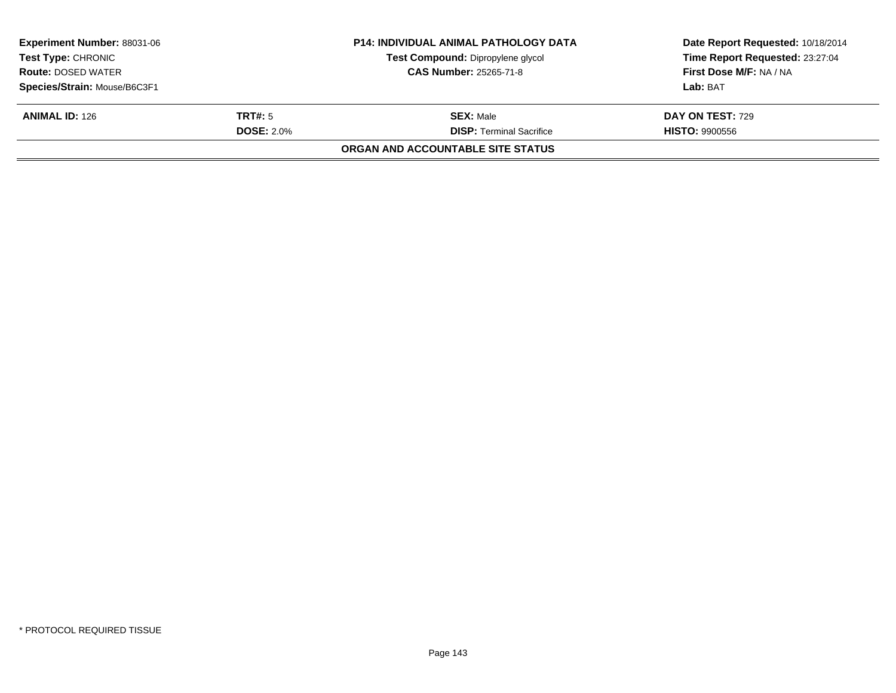| <b>Experiment Number: 88031-06</b> |                   | <b>P14: INDIVIDUAL ANIMAL PATHOLOGY DATA</b> | Date Report Requested: 10/18/2014 |
|------------------------------------|-------------------|----------------------------------------------|-----------------------------------|
| <b>Test Type: CHRONIC</b>          |                   | Test Compound: Dipropylene glycol            | Time Report Requested: 23:27:04   |
| <b>Route: DOSED WATER</b>          |                   | <b>CAS Number: 25265-71-8</b>                | First Dose M/F: NA / NA           |
| Species/Strain: Mouse/B6C3F1       |                   |                                              | Lab: BAT                          |
| <b>ANIMAL ID:</b> $126$            | TRT#: 5           | <b>SEX: Male</b>                             | DAY ON TEST: 729                  |
|                                    | <b>DOSE: 2.0%</b> | <b>DISP:</b> Terminal Sacrifice              | <b>HISTO: 9900556</b>             |
|                                    |                   | ORGAN AND ACCOUNTABLE SITE STATUS            |                                   |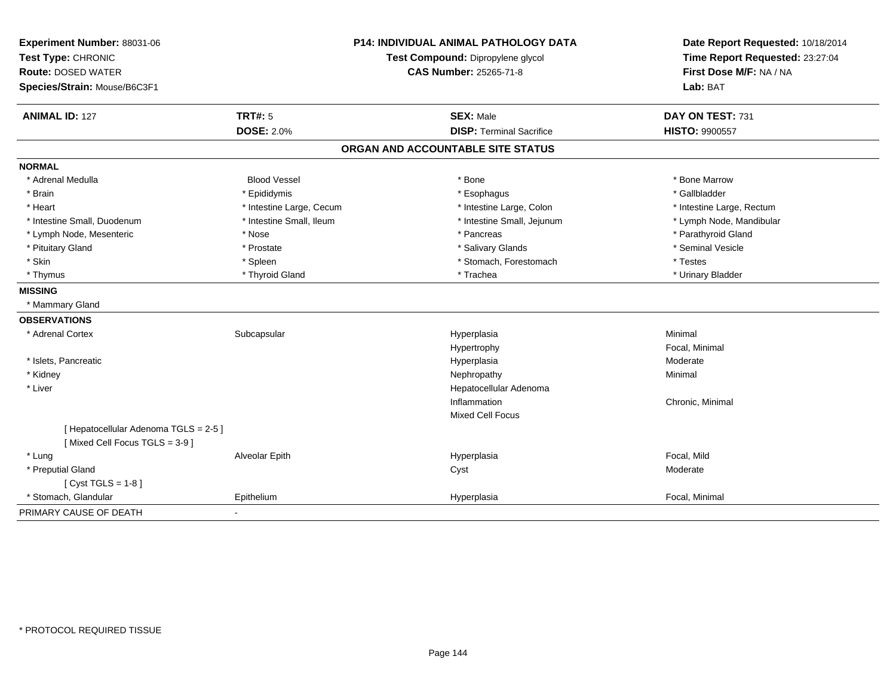| Experiment Number: 88031-06           |                                   | <b>P14: INDIVIDUAL ANIMAL PATHOLOGY DATA</b> | Date Report Requested: 10/18/2014 |
|---------------------------------------|-----------------------------------|----------------------------------------------|-----------------------------------|
| Test Type: CHRONIC                    | Test Compound: Dipropylene glycol |                                              | Time Report Requested: 23:27:04   |
| <b>Route: DOSED WATER</b>             |                                   | <b>CAS Number: 25265-71-8</b>                | First Dose M/F: NA / NA           |
| Species/Strain: Mouse/B6C3F1          |                                   |                                              | Lab: BAT                          |
| <b>ANIMAL ID: 127</b>                 | <b>TRT#: 5</b>                    | <b>SEX: Male</b>                             | DAY ON TEST: 731                  |
|                                       | <b>DOSE: 2.0%</b>                 | <b>DISP: Terminal Sacrifice</b>              | <b>HISTO: 9900557</b>             |
|                                       |                                   | ORGAN AND ACCOUNTABLE SITE STATUS            |                                   |
| <b>NORMAL</b>                         |                                   |                                              |                                   |
| * Adrenal Medulla                     | <b>Blood Vessel</b>               | * Bone                                       | * Bone Marrow                     |
| * Brain                               | * Epididymis                      | * Esophagus                                  | * Gallbladder                     |
| * Heart                               | * Intestine Large, Cecum          | * Intestine Large, Colon                     | * Intestine Large, Rectum         |
| * Intestine Small, Duodenum           | * Intestine Small, Ileum          | * Intestine Small, Jejunum                   | * Lymph Node, Mandibular          |
| * Lymph Node, Mesenteric              | * Nose                            | * Pancreas                                   | * Parathyroid Gland               |
| * Pituitary Gland                     | * Prostate                        | * Salivary Glands                            | * Seminal Vesicle                 |
| * Skin                                | * Spleen                          | * Stomach, Forestomach                       | * Testes                          |
| * Thymus                              | * Thyroid Gland                   | * Trachea                                    | * Urinary Bladder                 |
| <b>MISSING</b>                        |                                   |                                              |                                   |
| * Mammary Gland                       |                                   |                                              |                                   |
| <b>OBSERVATIONS</b>                   |                                   |                                              |                                   |
| * Adrenal Cortex                      | Subcapsular                       | Hyperplasia                                  | Minimal                           |
|                                       |                                   | Hypertrophy                                  | Focal, Minimal                    |
| * Islets, Pancreatic                  |                                   | Hyperplasia                                  | Moderate                          |
| * Kidney                              |                                   | Nephropathy                                  | Minimal                           |
| * Liver                               |                                   | Hepatocellular Adenoma                       |                                   |
|                                       |                                   | Inflammation                                 | Chronic, Minimal                  |
|                                       |                                   | Mixed Cell Focus                             |                                   |
| [ Hepatocellular Adenoma TGLS = 2-5 ] |                                   |                                              |                                   |
| [Mixed Cell Focus TGLS = 3-9]         |                                   |                                              |                                   |
| * Lung                                | Alveolar Epith                    | Hyperplasia                                  | Focal, Mild                       |
| * Preputial Gland                     |                                   | Cyst                                         | Moderate                          |
| [ Cyst TGLS = $1-8$ ]                 |                                   |                                              |                                   |
| * Stomach, Glandular                  | Epithelium                        | Hyperplasia                                  | Focal, Minimal                    |
| PRIMARY CAUSE OF DEATH                |                                   |                                              |                                   |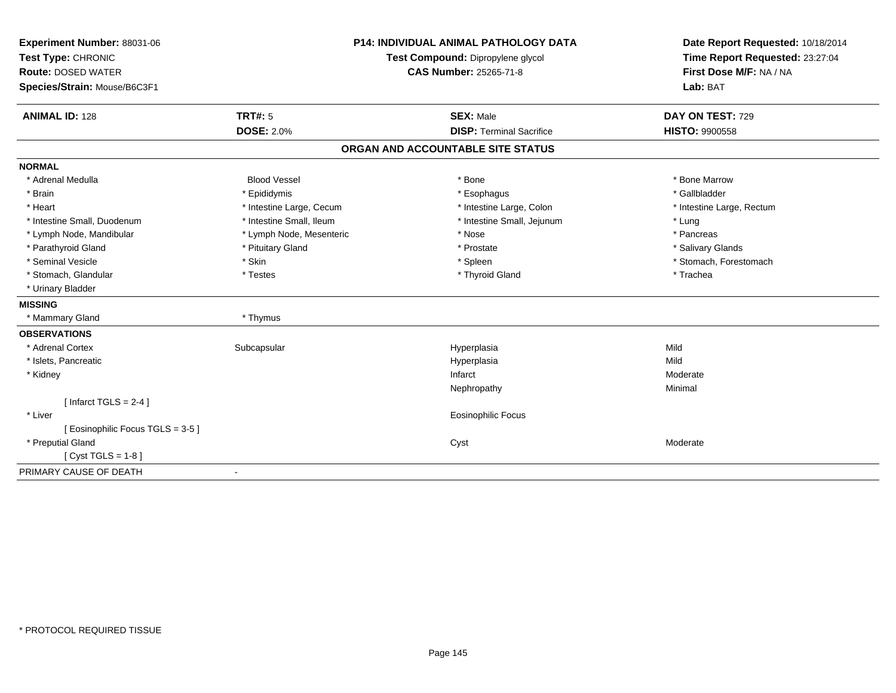| Experiment Number: 88031-06     |                                   | <b>P14: INDIVIDUAL ANIMAL PATHOLOGY DATA</b> | Date Report Requested: 10/18/2014 |
|---------------------------------|-----------------------------------|----------------------------------------------|-----------------------------------|
| Test Type: CHRONIC              | Test Compound: Dipropylene glycol |                                              | Time Report Requested: 23:27:04   |
| <b>Route: DOSED WATER</b>       |                                   | CAS Number: 25265-71-8                       | First Dose M/F: NA / NA           |
| Species/Strain: Mouse/B6C3F1    |                                   |                                              | Lab: BAT                          |
| <b>ANIMAL ID: 128</b>           | <b>TRT#: 5</b>                    | <b>SEX: Male</b>                             | DAY ON TEST: 729                  |
|                                 | <b>DOSE: 2.0%</b>                 | <b>DISP: Terminal Sacrifice</b>              | <b>HISTO: 9900558</b>             |
|                                 |                                   | ORGAN AND ACCOUNTABLE SITE STATUS            |                                   |
| <b>NORMAL</b>                   |                                   |                                              |                                   |
| * Adrenal Medulla               | <b>Blood Vessel</b>               | * Bone                                       | * Bone Marrow                     |
| * Brain                         | * Epididymis                      | * Esophagus                                  | * Gallbladder                     |
| * Heart                         | * Intestine Large, Cecum          | * Intestine Large, Colon                     | * Intestine Large, Rectum         |
| * Intestine Small, Duodenum     | * Intestine Small, Ileum          | * Intestine Small, Jejunum                   | * Lung                            |
| * Lymph Node, Mandibular        | * Lymph Node, Mesenteric          | * Nose                                       | * Pancreas                        |
| * Parathyroid Gland             | * Pituitary Gland                 | * Prostate                                   | * Salivary Glands                 |
| * Seminal Vesicle               | * Skin                            | * Spleen                                     | * Stomach, Forestomach            |
| * Stomach, Glandular            | * Testes                          | * Thyroid Gland                              | * Trachea                         |
| * Urinary Bladder               |                                   |                                              |                                   |
| <b>MISSING</b>                  |                                   |                                              |                                   |
| * Mammary Gland                 | * Thymus                          |                                              |                                   |
| <b>OBSERVATIONS</b>             |                                   |                                              |                                   |
| * Adrenal Cortex                | Subcapsular                       | Hyperplasia                                  | Mild                              |
| * Islets, Pancreatic            |                                   | Hyperplasia                                  | Mild                              |
| * Kidney                        |                                   | Infarct                                      | Moderate                          |
|                                 |                                   | Nephropathy                                  | Minimal                           |
| [Infarct TGLS = $2-4$ ]         |                                   |                                              |                                   |
| * Liver                         |                                   | Eosinophilic Focus                           |                                   |
| [Eosinophilic Focus TGLS = 3-5] |                                   |                                              |                                   |
| * Preputial Gland               |                                   | Cyst                                         | Moderate                          |
| [ $Cyst TGLS = 1-8$ ]           |                                   |                                              |                                   |
| PRIMARY CAUSE OF DEATH          |                                   |                                              |                                   |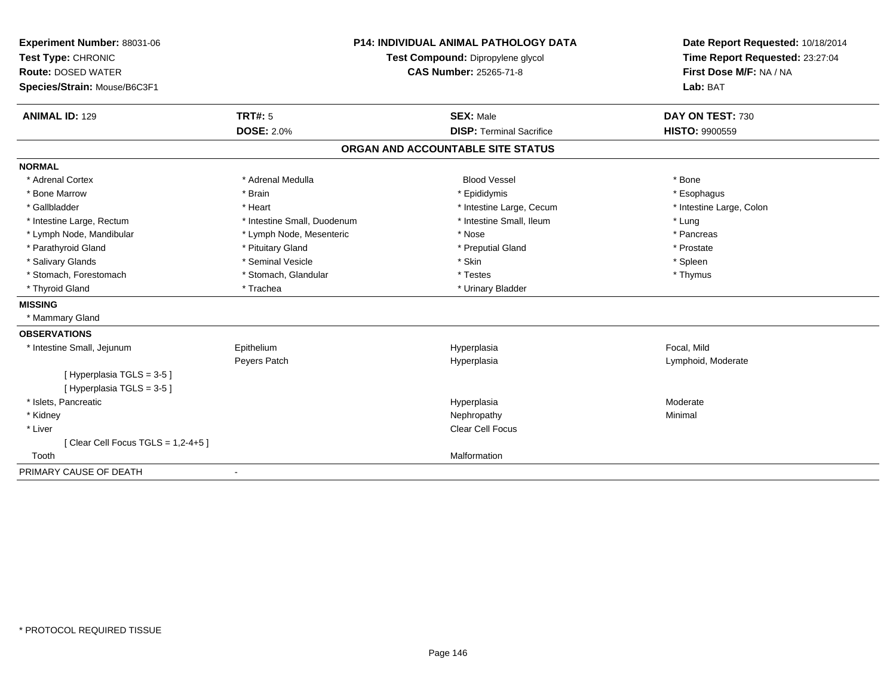| Experiment Number: 88031-06          |                                   | <b>P14: INDIVIDUAL ANIMAL PATHOLOGY DATA</b> | Date Report Requested: 10/18/2014 |
|--------------------------------------|-----------------------------------|----------------------------------------------|-----------------------------------|
| Test Type: CHRONIC                   | Test Compound: Dipropylene glycol |                                              | Time Report Requested: 23:27:04   |
| <b>Route: DOSED WATER</b>            |                                   | <b>CAS Number: 25265-71-8</b>                | First Dose M/F: NA / NA           |
| Species/Strain: Mouse/B6C3F1         |                                   |                                              | Lab: BAT                          |
| <b>ANIMAL ID: 129</b>                | <b>TRT#: 5</b>                    | <b>SEX: Male</b>                             | DAY ON TEST: 730                  |
|                                      | <b>DOSE: 2.0%</b>                 | <b>DISP: Terminal Sacrifice</b>              | <b>HISTO: 9900559</b>             |
|                                      |                                   | ORGAN AND ACCOUNTABLE SITE STATUS            |                                   |
| <b>NORMAL</b>                        |                                   |                                              |                                   |
| * Adrenal Cortex                     | * Adrenal Medulla                 | <b>Blood Vessel</b>                          | * Bone                            |
| * Bone Marrow                        | * Brain                           | * Epididymis                                 | * Esophagus                       |
| * Gallbladder                        | * Heart                           | * Intestine Large, Cecum                     | * Intestine Large, Colon          |
| * Intestine Large, Rectum            | * Intestine Small, Duodenum       | * Intestine Small, Ileum                     | * Lung                            |
| * Lymph Node, Mandibular             | * Lymph Node, Mesenteric          | * Nose                                       | * Pancreas                        |
| * Parathyroid Gland                  | * Pituitary Gland                 | * Preputial Gland                            | * Prostate                        |
| * Salivary Glands                    | * Seminal Vesicle                 | * Skin                                       | * Spleen                          |
| * Stomach, Forestomach               | * Stomach, Glandular              | * Testes                                     | * Thymus                          |
| * Thyroid Gland                      | * Trachea                         | * Urinary Bladder                            |                                   |
| <b>MISSING</b>                       |                                   |                                              |                                   |
| * Mammary Gland                      |                                   |                                              |                                   |
| <b>OBSERVATIONS</b>                  |                                   |                                              |                                   |
| * Intestine Small, Jejunum           | Epithelium                        | Hyperplasia                                  | Focal, Mild                       |
|                                      | Peyers Patch                      | Hyperplasia                                  | Lymphoid, Moderate                |
| [Hyperplasia TGLS = 3-5]             |                                   |                                              |                                   |
| [Hyperplasia TGLS = 3-5]             |                                   |                                              |                                   |
| * Islets, Pancreatic                 |                                   | Hyperplasia                                  | Moderate                          |
| * Kidney                             |                                   | Nephropathy                                  | Minimal                           |
| * Liver                              |                                   | Clear Cell Focus                             |                                   |
| [Clear Cell Focus TGLS = $1,2-4+5$ ] |                                   |                                              |                                   |
| Tooth                                |                                   | Malformation                                 |                                   |
| PRIMARY CAUSE OF DEATH               | $\blacksquare$                    |                                              |                                   |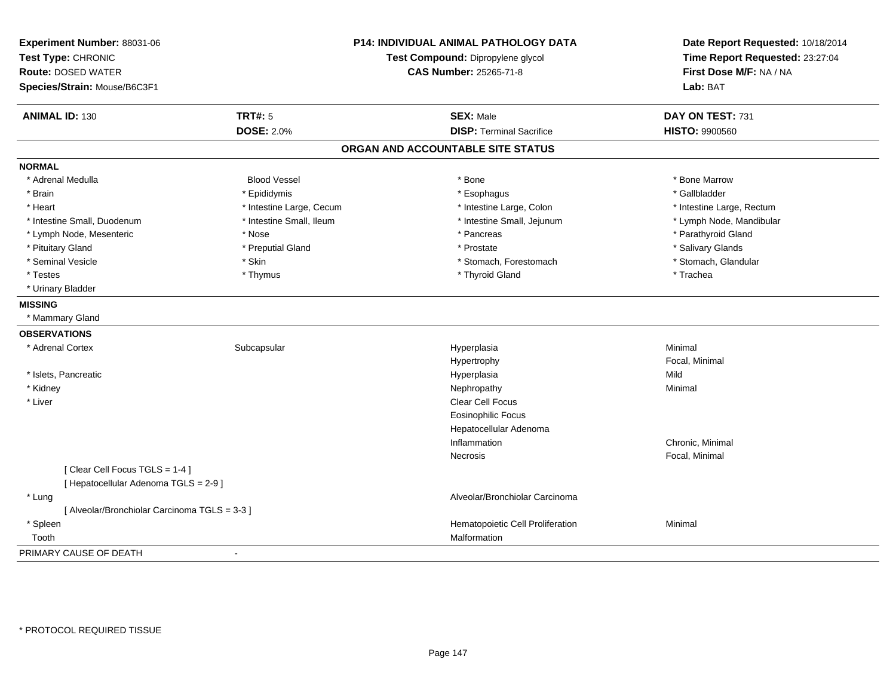| Experiment Number: 88031-06<br>Test Type: CHRONIC<br><b>Route: DOSED WATER</b><br>Species/Strain: Mouse/B6C3F1 |                          | P14: INDIVIDUAL ANIMAL PATHOLOGY DATA<br>Test Compound: Dipropylene glycol<br><b>CAS Number: 25265-71-8</b> | Date Report Requested: 10/18/2014<br>Time Report Requested: 23:27:04<br>First Dose M/F: NA / NA<br>Lab: BAT |
|----------------------------------------------------------------------------------------------------------------|--------------------------|-------------------------------------------------------------------------------------------------------------|-------------------------------------------------------------------------------------------------------------|
| <b>ANIMAL ID: 130</b>                                                                                          | <b>TRT#: 5</b>           | <b>SEX: Male</b>                                                                                            | DAY ON TEST: 731                                                                                            |
|                                                                                                                | <b>DOSE: 2.0%</b>        | <b>DISP: Terminal Sacrifice</b>                                                                             | <b>HISTO: 9900560</b>                                                                                       |
|                                                                                                                |                          | ORGAN AND ACCOUNTABLE SITE STATUS                                                                           |                                                                                                             |
| <b>NORMAL</b>                                                                                                  |                          |                                                                                                             |                                                                                                             |
| * Adrenal Medulla                                                                                              | <b>Blood Vessel</b>      | * Bone                                                                                                      | * Bone Marrow                                                                                               |
| * Brain                                                                                                        | * Epididymis             | * Esophagus                                                                                                 | * Gallbladder                                                                                               |
| * Heart                                                                                                        | * Intestine Large, Cecum | * Intestine Large, Colon                                                                                    | * Intestine Large, Rectum                                                                                   |
| * Intestine Small, Duodenum                                                                                    | * Intestine Small, Ileum | * Intestine Small, Jejunum                                                                                  | * Lymph Node, Mandibular                                                                                    |
| * Lymph Node, Mesenteric                                                                                       | * Nose                   | * Pancreas                                                                                                  | * Parathyroid Gland                                                                                         |
| * Pituitary Gland                                                                                              | * Preputial Gland        | * Prostate                                                                                                  | * Salivary Glands                                                                                           |
| * Seminal Vesicle                                                                                              | * Skin                   | * Stomach, Forestomach                                                                                      | * Stomach, Glandular                                                                                        |
| * Testes                                                                                                       | * Thymus                 | * Thyroid Gland                                                                                             | * Trachea                                                                                                   |
| * Urinary Bladder                                                                                              |                          |                                                                                                             |                                                                                                             |
| <b>MISSING</b>                                                                                                 |                          |                                                                                                             |                                                                                                             |
| * Mammary Gland                                                                                                |                          |                                                                                                             |                                                                                                             |
| <b>OBSERVATIONS</b>                                                                                            |                          |                                                                                                             |                                                                                                             |
| * Adrenal Cortex                                                                                               | Subcapsular              | Hyperplasia                                                                                                 | Minimal                                                                                                     |
|                                                                                                                |                          | Hypertrophy                                                                                                 | Focal, Minimal                                                                                              |
| * Islets, Pancreatic                                                                                           |                          | Hyperplasia                                                                                                 | Mild                                                                                                        |
| * Kidney                                                                                                       |                          | Nephropathy                                                                                                 | Minimal                                                                                                     |
| * Liver                                                                                                        |                          | Clear Cell Focus                                                                                            |                                                                                                             |
|                                                                                                                |                          | <b>Eosinophilic Focus</b>                                                                                   |                                                                                                             |
|                                                                                                                |                          | Hepatocellular Adenoma                                                                                      |                                                                                                             |
|                                                                                                                |                          | Inflammation                                                                                                | Chronic, Minimal                                                                                            |
|                                                                                                                |                          | Necrosis                                                                                                    | Focal, Minimal                                                                                              |
| [Clear Cell Focus TGLS = 1-4]                                                                                  |                          |                                                                                                             |                                                                                                             |
| [ Hepatocellular Adenoma TGLS = 2-9 ]                                                                          |                          |                                                                                                             |                                                                                                             |
| * Lung                                                                                                         |                          | Alveolar/Bronchiolar Carcinoma                                                                              |                                                                                                             |
| [ Alveolar/Bronchiolar Carcinoma TGLS = 3-3 ]                                                                  |                          |                                                                                                             |                                                                                                             |
| * Spleen                                                                                                       |                          | Hematopoietic Cell Proliferation                                                                            | Minimal                                                                                                     |
| Tooth                                                                                                          |                          | Malformation                                                                                                |                                                                                                             |
| PRIMARY CAUSE OF DEATH                                                                                         | ÷,                       |                                                                                                             |                                                                                                             |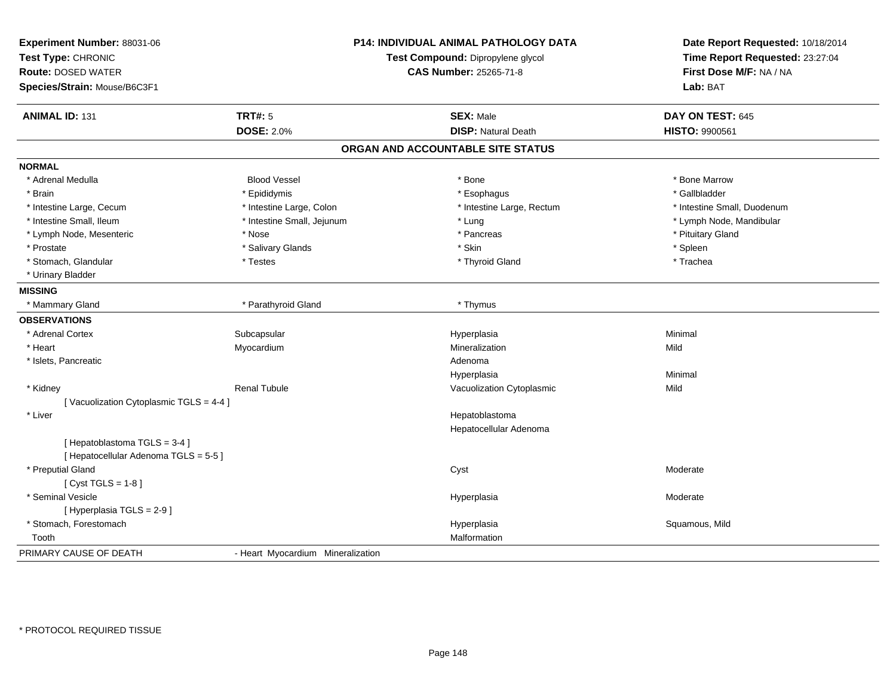| Experiment Number: 88031-06<br>Test Type: CHRONIC<br><b>Route: DOSED WATER</b><br>Species/Strain: Mouse/B6C3F1 |                                   | <b>P14: INDIVIDUAL ANIMAL PATHOLOGY DATA</b><br>Test Compound: Dipropylene glycol<br><b>CAS Number: 25265-71-8</b> | Date Report Requested: 10/18/2014<br>Time Report Requested: 23:27:04<br>First Dose M/F: NA / NA<br>Lab: BAT |
|----------------------------------------------------------------------------------------------------------------|-----------------------------------|--------------------------------------------------------------------------------------------------------------------|-------------------------------------------------------------------------------------------------------------|
| <b>ANIMAL ID: 131</b>                                                                                          | <b>TRT#: 5</b>                    | <b>SEX: Male</b>                                                                                                   | DAY ON TEST: 645                                                                                            |
|                                                                                                                | <b>DOSE: 2.0%</b>                 | <b>DISP: Natural Death</b>                                                                                         | HISTO: 9900561                                                                                              |
|                                                                                                                |                                   | ORGAN AND ACCOUNTABLE SITE STATUS                                                                                  |                                                                                                             |
| <b>NORMAL</b>                                                                                                  |                                   |                                                                                                                    |                                                                                                             |
| * Adrenal Medulla                                                                                              | <b>Blood Vessel</b>               | * Bone                                                                                                             | * Bone Marrow                                                                                               |
| * Brain                                                                                                        | * Epididymis                      | * Esophagus                                                                                                        | * Gallbladder                                                                                               |
| * Intestine Large, Cecum                                                                                       | * Intestine Large, Colon          | * Intestine Large, Rectum                                                                                          | * Intestine Small, Duodenum                                                                                 |
| * Intestine Small, Ileum                                                                                       | * Intestine Small, Jejunum        | * Lung                                                                                                             | * Lymph Node, Mandibular                                                                                    |
| * Lymph Node, Mesenteric                                                                                       | * Nose                            | * Pancreas                                                                                                         | * Pituitary Gland                                                                                           |
| * Prostate                                                                                                     | * Salivary Glands                 | * Skin                                                                                                             | * Spleen                                                                                                    |
| * Stomach, Glandular                                                                                           | * Testes                          | * Thyroid Gland                                                                                                    | * Trachea                                                                                                   |
| * Urinary Bladder                                                                                              |                                   |                                                                                                                    |                                                                                                             |
| <b>MISSING</b>                                                                                                 |                                   |                                                                                                                    |                                                                                                             |
| * Mammary Gland                                                                                                | * Parathyroid Gland               | * Thymus                                                                                                           |                                                                                                             |
| <b>OBSERVATIONS</b>                                                                                            |                                   |                                                                                                                    |                                                                                                             |
| * Adrenal Cortex                                                                                               | Subcapsular                       | Hyperplasia                                                                                                        | Minimal                                                                                                     |
| * Heart                                                                                                        | Myocardium                        | Mineralization                                                                                                     | Mild                                                                                                        |
| * Islets, Pancreatic                                                                                           |                                   | Adenoma                                                                                                            |                                                                                                             |
|                                                                                                                |                                   | Hyperplasia                                                                                                        | Minimal                                                                                                     |
| * Kidney                                                                                                       | <b>Renal Tubule</b>               | Vacuolization Cytoplasmic                                                                                          | Mild                                                                                                        |
| [Vacuolization Cytoplasmic TGLS = 4-4]                                                                         |                                   |                                                                                                                    |                                                                                                             |
| * Liver                                                                                                        |                                   | Hepatoblastoma                                                                                                     |                                                                                                             |
|                                                                                                                |                                   | Hepatocellular Adenoma                                                                                             |                                                                                                             |
| [Hepatoblastoma TGLS = 3-4]                                                                                    |                                   |                                                                                                                    |                                                                                                             |
| [ Hepatocellular Adenoma TGLS = 5-5]                                                                           |                                   |                                                                                                                    |                                                                                                             |
| * Preputial Gland                                                                                              |                                   | Cyst                                                                                                               | Moderate                                                                                                    |
| [Cyst TGLS = $1-8$ ]                                                                                           |                                   |                                                                                                                    |                                                                                                             |
| * Seminal Vesicle                                                                                              |                                   | Hyperplasia                                                                                                        | Moderate                                                                                                    |
| [ Hyperplasia TGLS = 2-9 ]                                                                                     |                                   |                                                                                                                    |                                                                                                             |
| * Stomach, Forestomach                                                                                         |                                   | Hyperplasia                                                                                                        | Squamous, Mild                                                                                              |
| Tooth                                                                                                          |                                   | Malformation                                                                                                       |                                                                                                             |
| PRIMARY CAUSE OF DEATH                                                                                         | - Heart Myocardium Mineralization |                                                                                                                    |                                                                                                             |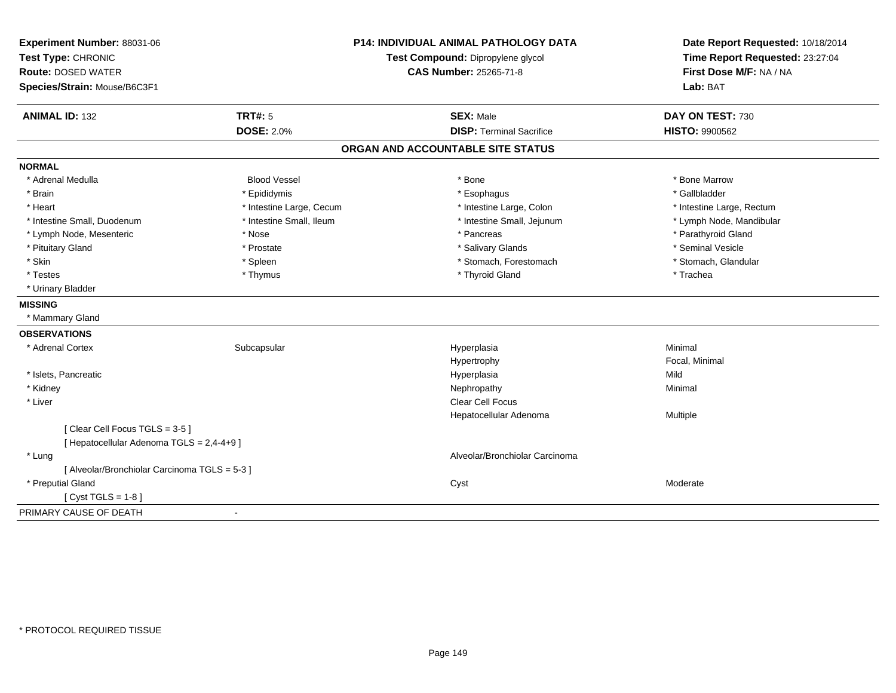| First Dose M/F: NA / NA<br><b>Route: DOSED WATER</b><br><b>CAS Number: 25265-71-8</b><br>Species/Strain: Mouse/B6C3F1<br>Lab: BAT<br><b>ANIMAL ID: 132</b><br><b>TRT#: 5</b><br><b>SEX: Male</b><br>DAY ON TEST: 730<br><b>DOSE: 2.0%</b><br><b>DISP: Terminal Sacrifice</b><br><b>HISTO: 9900562</b><br>ORGAN AND ACCOUNTABLE SITE STATUS<br><b>NORMAL</b><br>* Adrenal Medulla<br><b>Blood Vessel</b><br>* Bone<br>* Bone Marrow<br>* Brain<br>* Epididymis<br>* Gallbladder<br>* Esophagus<br>* Heart<br>* Intestine Large, Cecum<br>* Intestine Large, Colon<br>* Intestine Large, Rectum<br>* Intestine Small, Ileum<br>* Intestine Small, Duodenum<br>* Intestine Small, Jejunum<br>* Lymph Node, Mandibular<br>* Parathyroid Gland<br>* Lymph Node, Mesenteric<br>* Nose<br>* Pancreas<br>* Seminal Vesicle<br>* Pituitary Gland<br>* Prostate<br>* Salivary Glands<br>* Skin<br>* Stomach, Forestomach<br>* Spleen<br>* Stomach, Glandular<br>* Thyroid Gland<br>* Testes<br>* Trachea<br>* Thymus<br>* Urinary Bladder<br><b>MISSING</b><br>* Mammary Gland<br><b>OBSERVATIONS</b><br>Minimal<br>* Adrenal Cortex<br>Subcapsular<br>Hyperplasia<br>Focal, Minimal<br>Hypertrophy<br>* Islets, Pancreatic<br>Mild<br>Hyperplasia<br>* Kidney<br>Nephropathy<br>Minimal<br><b>Clear Cell Focus</b><br>* Liver<br>Hepatocellular Adenoma<br>Multiple<br>[Clear Cell Focus TGLS = 3-5]<br>[ Hepatocellular Adenoma TGLS = 2,4-4+9 ]<br>Alveolar/Bronchiolar Carcinoma<br>* Lung<br>[ Alveolar/Bronchiolar Carcinoma TGLS = 5-3 ] | Experiment Number: 88031-06<br>Test Type: CHRONIC | <b>P14: INDIVIDUAL ANIMAL PATHOLOGY DATA</b><br>Test Compound: Dipropylene glycol | Date Report Requested: 10/18/2014<br>Time Report Requested: 23:27:04 |
|---------------------------------------------------------------------------------------------------------------------------------------------------------------------------------------------------------------------------------------------------------------------------------------------------------------------------------------------------------------------------------------------------------------------------------------------------------------------------------------------------------------------------------------------------------------------------------------------------------------------------------------------------------------------------------------------------------------------------------------------------------------------------------------------------------------------------------------------------------------------------------------------------------------------------------------------------------------------------------------------------------------------------------------------------------------------------------------------------------------------------------------------------------------------------------------------------------------------------------------------------------------------------------------------------------------------------------------------------------------------------------------------------------------------------------------------------------------------------------------------------------------------------------------|---------------------------------------------------|-----------------------------------------------------------------------------------|----------------------------------------------------------------------|
|                                                                                                                                                                                                                                                                                                                                                                                                                                                                                                                                                                                                                                                                                                                                                                                                                                                                                                                                                                                                                                                                                                                                                                                                                                                                                                                                                                                                                                                                                                                                       |                                                   |                                                                                   |                                                                      |
|                                                                                                                                                                                                                                                                                                                                                                                                                                                                                                                                                                                                                                                                                                                                                                                                                                                                                                                                                                                                                                                                                                                                                                                                                                                                                                                                                                                                                                                                                                                                       |                                                   |                                                                                   |                                                                      |
|                                                                                                                                                                                                                                                                                                                                                                                                                                                                                                                                                                                                                                                                                                                                                                                                                                                                                                                                                                                                                                                                                                                                                                                                                                                                                                                                                                                                                                                                                                                                       |                                                   |                                                                                   |                                                                      |
|                                                                                                                                                                                                                                                                                                                                                                                                                                                                                                                                                                                                                                                                                                                                                                                                                                                                                                                                                                                                                                                                                                                                                                                                                                                                                                                                                                                                                                                                                                                                       |                                                   |                                                                                   |                                                                      |
|                                                                                                                                                                                                                                                                                                                                                                                                                                                                                                                                                                                                                                                                                                                                                                                                                                                                                                                                                                                                                                                                                                                                                                                                                                                                                                                                                                                                                                                                                                                                       |                                                   |                                                                                   |                                                                      |
|                                                                                                                                                                                                                                                                                                                                                                                                                                                                                                                                                                                                                                                                                                                                                                                                                                                                                                                                                                                                                                                                                                                                                                                                                                                                                                                                                                                                                                                                                                                                       |                                                   |                                                                                   |                                                                      |
|                                                                                                                                                                                                                                                                                                                                                                                                                                                                                                                                                                                                                                                                                                                                                                                                                                                                                                                                                                                                                                                                                                                                                                                                                                                                                                                                                                                                                                                                                                                                       |                                                   |                                                                                   |                                                                      |
|                                                                                                                                                                                                                                                                                                                                                                                                                                                                                                                                                                                                                                                                                                                                                                                                                                                                                                                                                                                                                                                                                                                                                                                                                                                                                                                                                                                                                                                                                                                                       |                                                   |                                                                                   |                                                                      |
|                                                                                                                                                                                                                                                                                                                                                                                                                                                                                                                                                                                                                                                                                                                                                                                                                                                                                                                                                                                                                                                                                                                                                                                                                                                                                                                                                                                                                                                                                                                                       |                                                   |                                                                                   |                                                                      |
|                                                                                                                                                                                                                                                                                                                                                                                                                                                                                                                                                                                                                                                                                                                                                                                                                                                                                                                                                                                                                                                                                                                                                                                                                                                                                                                                                                                                                                                                                                                                       |                                                   |                                                                                   |                                                                      |
|                                                                                                                                                                                                                                                                                                                                                                                                                                                                                                                                                                                                                                                                                                                                                                                                                                                                                                                                                                                                                                                                                                                                                                                                                                                                                                                                                                                                                                                                                                                                       |                                                   |                                                                                   |                                                                      |
|                                                                                                                                                                                                                                                                                                                                                                                                                                                                                                                                                                                                                                                                                                                                                                                                                                                                                                                                                                                                                                                                                                                                                                                                                                                                                                                                                                                                                                                                                                                                       |                                                   |                                                                                   |                                                                      |
|                                                                                                                                                                                                                                                                                                                                                                                                                                                                                                                                                                                                                                                                                                                                                                                                                                                                                                                                                                                                                                                                                                                                                                                                                                                                                                                                                                                                                                                                                                                                       |                                                   |                                                                                   |                                                                      |
|                                                                                                                                                                                                                                                                                                                                                                                                                                                                                                                                                                                                                                                                                                                                                                                                                                                                                                                                                                                                                                                                                                                                                                                                                                                                                                                                                                                                                                                                                                                                       |                                                   |                                                                                   |                                                                      |
|                                                                                                                                                                                                                                                                                                                                                                                                                                                                                                                                                                                                                                                                                                                                                                                                                                                                                                                                                                                                                                                                                                                                                                                                                                                                                                                                                                                                                                                                                                                                       |                                                   |                                                                                   |                                                                      |
|                                                                                                                                                                                                                                                                                                                                                                                                                                                                                                                                                                                                                                                                                                                                                                                                                                                                                                                                                                                                                                                                                                                                                                                                                                                                                                                                                                                                                                                                                                                                       |                                                   |                                                                                   |                                                                      |
|                                                                                                                                                                                                                                                                                                                                                                                                                                                                                                                                                                                                                                                                                                                                                                                                                                                                                                                                                                                                                                                                                                                                                                                                                                                                                                                                                                                                                                                                                                                                       |                                                   |                                                                                   |                                                                      |
|                                                                                                                                                                                                                                                                                                                                                                                                                                                                                                                                                                                                                                                                                                                                                                                                                                                                                                                                                                                                                                                                                                                                                                                                                                                                                                                                                                                                                                                                                                                                       |                                                   |                                                                                   |                                                                      |
|                                                                                                                                                                                                                                                                                                                                                                                                                                                                                                                                                                                                                                                                                                                                                                                                                                                                                                                                                                                                                                                                                                                                                                                                                                                                                                                                                                                                                                                                                                                                       |                                                   |                                                                                   |                                                                      |
|                                                                                                                                                                                                                                                                                                                                                                                                                                                                                                                                                                                                                                                                                                                                                                                                                                                                                                                                                                                                                                                                                                                                                                                                                                                                                                                                                                                                                                                                                                                                       |                                                   |                                                                                   |                                                                      |
|                                                                                                                                                                                                                                                                                                                                                                                                                                                                                                                                                                                                                                                                                                                                                                                                                                                                                                                                                                                                                                                                                                                                                                                                                                                                                                                                                                                                                                                                                                                                       |                                                   |                                                                                   |                                                                      |
|                                                                                                                                                                                                                                                                                                                                                                                                                                                                                                                                                                                                                                                                                                                                                                                                                                                                                                                                                                                                                                                                                                                                                                                                                                                                                                                                                                                                                                                                                                                                       |                                                   |                                                                                   |                                                                      |
|                                                                                                                                                                                                                                                                                                                                                                                                                                                                                                                                                                                                                                                                                                                                                                                                                                                                                                                                                                                                                                                                                                                                                                                                                                                                                                                                                                                                                                                                                                                                       |                                                   |                                                                                   |                                                                      |
|                                                                                                                                                                                                                                                                                                                                                                                                                                                                                                                                                                                                                                                                                                                                                                                                                                                                                                                                                                                                                                                                                                                                                                                                                                                                                                                                                                                                                                                                                                                                       |                                                   |                                                                                   |                                                                      |
|                                                                                                                                                                                                                                                                                                                                                                                                                                                                                                                                                                                                                                                                                                                                                                                                                                                                                                                                                                                                                                                                                                                                                                                                                                                                                                                                                                                                                                                                                                                                       |                                                   |                                                                                   |                                                                      |
|                                                                                                                                                                                                                                                                                                                                                                                                                                                                                                                                                                                                                                                                                                                                                                                                                                                                                                                                                                                                                                                                                                                                                                                                                                                                                                                                                                                                                                                                                                                                       |                                                   |                                                                                   |                                                                      |
|                                                                                                                                                                                                                                                                                                                                                                                                                                                                                                                                                                                                                                                                                                                                                                                                                                                                                                                                                                                                                                                                                                                                                                                                                                                                                                                                                                                                                                                                                                                                       |                                                   |                                                                                   |                                                                      |
|                                                                                                                                                                                                                                                                                                                                                                                                                                                                                                                                                                                                                                                                                                                                                                                                                                                                                                                                                                                                                                                                                                                                                                                                                                                                                                                                                                                                                                                                                                                                       |                                                   |                                                                                   |                                                                      |
|                                                                                                                                                                                                                                                                                                                                                                                                                                                                                                                                                                                                                                                                                                                                                                                                                                                                                                                                                                                                                                                                                                                                                                                                                                                                                                                                                                                                                                                                                                                                       | * Preputial Gland                                 | Cyst                                                                              | Moderate                                                             |
| [Cyst TGLS = $1-8$ ]                                                                                                                                                                                                                                                                                                                                                                                                                                                                                                                                                                                                                                                                                                                                                                                                                                                                                                                                                                                                                                                                                                                                                                                                                                                                                                                                                                                                                                                                                                                  |                                                   |                                                                                   |                                                                      |
| PRIMARY CAUSE OF DEATH<br>$\blacksquare$                                                                                                                                                                                                                                                                                                                                                                                                                                                                                                                                                                                                                                                                                                                                                                                                                                                                                                                                                                                                                                                                                                                                                                                                                                                                                                                                                                                                                                                                                              |                                                   |                                                                                   |                                                                      |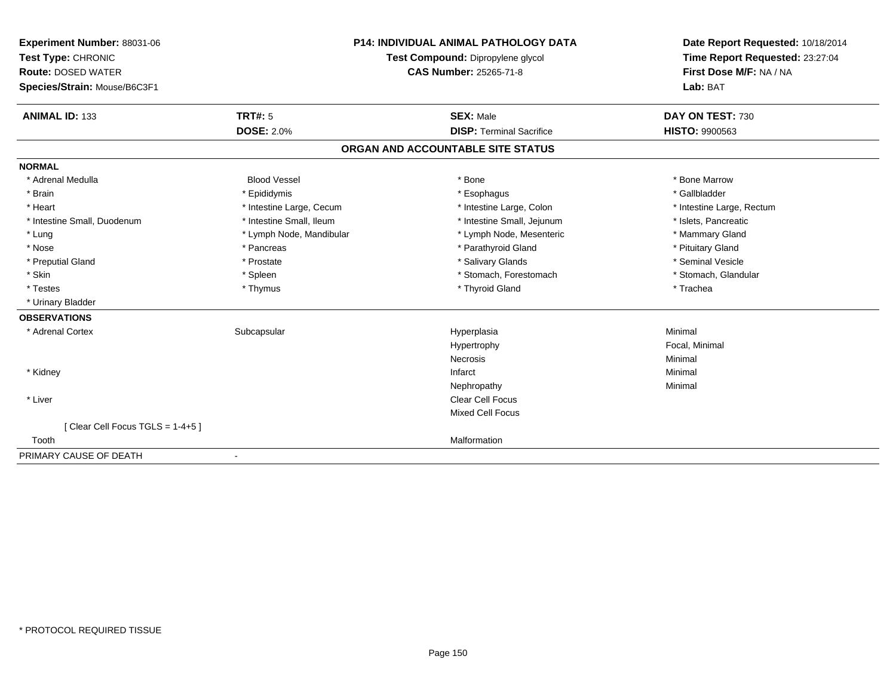| Experiment Number: 88031-06     |                          | <b>P14: INDIVIDUAL ANIMAL PATHOLOGY DATA</b> | Date Report Requested: 10/18/2014 |
|---------------------------------|--------------------------|----------------------------------------------|-----------------------------------|
| Test Type: CHRONIC              |                          | Test Compound: Dipropylene glycol            | Time Report Requested: 23:27:04   |
| <b>Route: DOSED WATER</b>       |                          | <b>CAS Number: 25265-71-8</b>                | First Dose M/F: NA / NA           |
| Species/Strain: Mouse/B6C3F1    |                          |                                              | Lab: BAT                          |
|                                 |                          |                                              |                                   |
| <b>ANIMAL ID: 133</b>           | <b>TRT#: 5</b>           | <b>SEX: Male</b>                             | DAY ON TEST: 730                  |
|                                 | <b>DOSE: 2.0%</b>        | <b>DISP: Terminal Sacrifice</b>              | <b>HISTO: 9900563</b>             |
|                                 |                          | ORGAN AND ACCOUNTABLE SITE STATUS            |                                   |
| <b>NORMAL</b>                   |                          |                                              |                                   |
| * Adrenal Medulla               | <b>Blood Vessel</b>      | * Bone                                       | * Bone Marrow                     |
| * Brain                         | * Epididymis             | * Esophagus                                  | * Gallbladder                     |
| * Heart                         | * Intestine Large, Cecum | * Intestine Large, Colon                     | * Intestine Large, Rectum         |
| * Intestine Small, Duodenum     | * Intestine Small, Ileum | * Intestine Small, Jejunum                   | * Islets, Pancreatic              |
| * Lung                          | * Lymph Node, Mandibular | * Lymph Node, Mesenteric                     | * Mammary Gland                   |
| * Nose                          | * Pancreas               | * Parathyroid Gland                          | * Pituitary Gland                 |
| * Preputial Gland               | * Prostate               | * Salivary Glands                            | * Seminal Vesicle                 |
| * Skin                          | * Spleen                 | * Stomach, Forestomach                       | * Stomach, Glandular              |
| * Testes                        | * Thymus                 | * Thyroid Gland                              | * Trachea                         |
| * Urinary Bladder               |                          |                                              |                                   |
| <b>OBSERVATIONS</b>             |                          |                                              |                                   |
| * Adrenal Cortex                | Subcapsular              | Hyperplasia                                  | Minimal                           |
|                                 |                          | Hypertrophy                                  | Focal, Minimal                    |
|                                 |                          | Necrosis                                     | Minimal                           |
| * Kidney                        |                          | Infarct                                      | Minimal                           |
|                                 |                          | Nephropathy                                  | Minimal                           |
| * Liver                         |                          | <b>Clear Cell Focus</b>                      |                                   |
|                                 |                          | <b>Mixed Cell Focus</b>                      |                                   |
| [Clear Cell Focus TGLS = 1-4+5] |                          |                                              |                                   |
| Tooth                           |                          | Malformation                                 |                                   |
| PRIMARY CAUSE OF DEATH          |                          |                                              |                                   |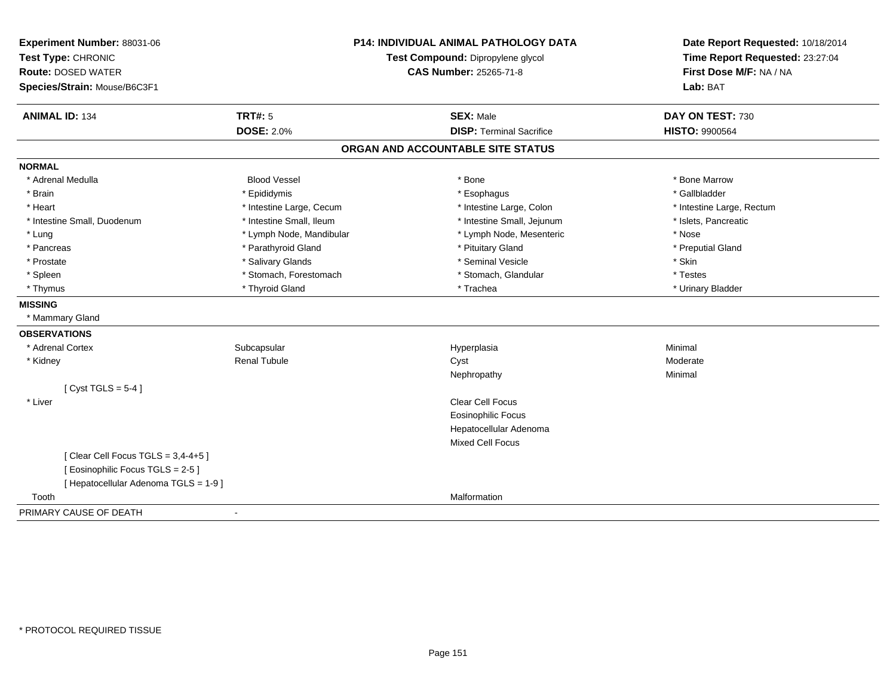| Experiment Number: 88031-06           |                                   | <b>P14: INDIVIDUAL ANIMAL PATHOLOGY DATA</b> | Date Report Requested: 10/18/2014 |
|---------------------------------------|-----------------------------------|----------------------------------------------|-----------------------------------|
| Test Type: CHRONIC                    | Test Compound: Dipropylene glycol |                                              | Time Report Requested: 23:27:04   |
| <b>Route: DOSED WATER</b>             |                                   | <b>CAS Number: 25265-71-8</b>                | First Dose M/F: NA / NA           |
| Species/Strain: Mouse/B6C3F1          |                                   |                                              | Lab: BAT                          |
| <b>ANIMAL ID: 134</b>                 | <b>TRT#: 5</b>                    | <b>SEX: Male</b>                             | DAY ON TEST: 730                  |
|                                       | <b>DOSE: 2.0%</b>                 | <b>DISP: Terminal Sacrifice</b>              | <b>HISTO: 9900564</b>             |
|                                       |                                   | ORGAN AND ACCOUNTABLE SITE STATUS            |                                   |
| <b>NORMAL</b>                         |                                   |                                              |                                   |
| * Adrenal Medulla                     | <b>Blood Vessel</b>               | * Bone                                       | * Bone Marrow                     |
| * Brain                               | * Epididymis                      | * Esophagus                                  | * Gallbladder                     |
| * Heart                               | * Intestine Large, Cecum          | * Intestine Large, Colon                     | * Intestine Large, Rectum         |
| * Intestine Small, Duodenum           | * Intestine Small, Ileum          | * Intestine Small, Jejunum                   | * Islets, Pancreatic              |
| * Lung                                | * Lymph Node, Mandibular          | * Lymph Node, Mesenteric                     | * Nose                            |
| * Pancreas                            | * Parathyroid Gland               | * Pituitary Gland                            | * Preputial Gland                 |
| * Prostate                            | * Salivary Glands                 | * Seminal Vesicle                            | * Skin                            |
| * Spleen                              | * Stomach, Forestomach            | * Stomach, Glandular                         | * Testes                          |
| * Thymus                              | * Thyroid Gland                   | * Trachea                                    | * Urinary Bladder                 |
| <b>MISSING</b>                        |                                   |                                              |                                   |
| * Mammary Gland                       |                                   |                                              |                                   |
| <b>OBSERVATIONS</b>                   |                                   |                                              |                                   |
| * Adrenal Cortex                      | Subcapsular                       | Hyperplasia                                  | Minimal                           |
| * Kidney                              | <b>Renal Tubule</b>               | Cyst                                         | Moderate                          |
|                                       |                                   | Nephropathy                                  | Minimal                           |
| [Cyst TGLS = $5-4$ ]                  |                                   |                                              |                                   |
| * Liver                               |                                   | <b>Clear Cell Focus</b>                      |                                   |
|                                       |                                   | <b>Eosinophilic Focus</b>                    |                                   |
|                                       |                                   | Hepatocellular Adenoma                       |                                   |
|                                       |                                   | <b>Mixed Cell Focus</b>                      |                                   |
| [Clear Cell Focus TGLS = $3,4-4+5$ ]  |                                   |                                              |                                   |
| [ Eosinophilic Focus TGLS = 2-5 ]     |                                   |                                              |                                   |
| [ Hepatocellular Adenoma TGLS = 1-9 ] |                                   |                                              |                                   |
| Tooth                                 |                                   | Malformation                                 |                                   |
| PRIMARY CAUSE OF DEATH                | ÷,                                |                                              |                                   |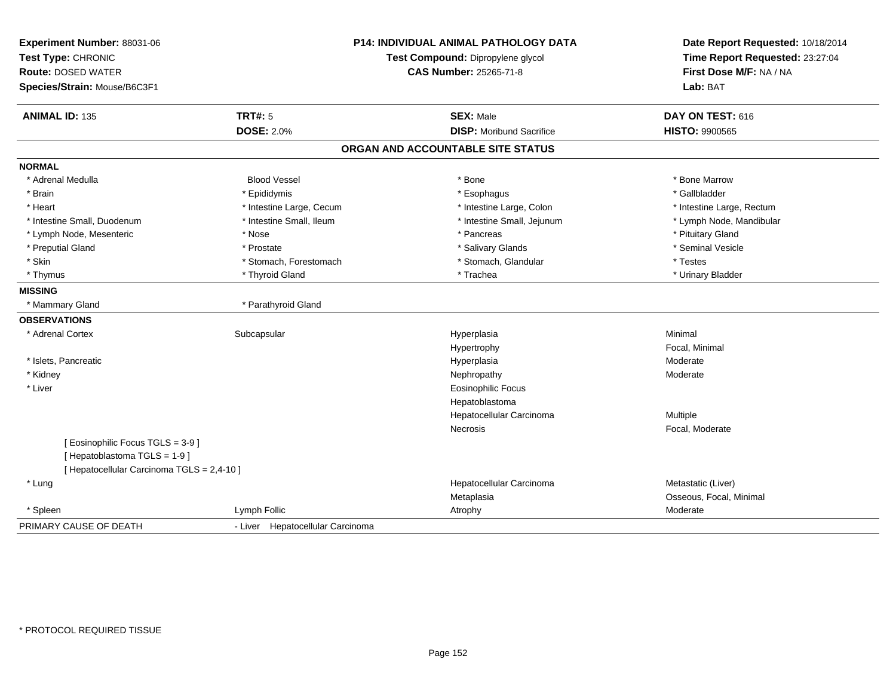| Experiment Number: 88031-06<br>Test Type: CHRONIC<br><b>Route: DOSED WATER</b> |                                  | <b>P14: INDIVIDUAL ANIMAL PATHOLOGY DATA</b><br>Test Compound: Dipropylene glycol<br><b>CAS Number: 25265-71-8</b> | Date Report Requested: 10/18/2014<br>Time Report Requested: 23:27:04<br>First Dose M/F: NA / NA |
|--------------------------------------------------------------------------------|----------------------------------|--------------------------------------------------------------------------------------------------------------------|-------------------------------------------------------------------------------------------------|
| Species/Strain: Mouse/B6C3F1                                                   |                                  |                                                                                                                    | Lab: BAT                                                                                        |
| <b>ANIMAL ID: 135</b>                                                          | <b>TRT#: 5</b>                   | <b>SEX: Male</b>                                                                                                   | DAY ON TEST: 616                                                                                |
|                                                                                | <b>DOSE: 2.0%</b>                | <b>DISP:</b> Moribund Sacrifice                                                                                    | <b>HISTO: 9900565</b>                                                                           |
|                                                                                |                                  | ORGAN AND ACCOUNTABLE SITE STATUS                                                                                  |                                                                                                 |
| <b>NORMAL</b>                                                                  |                                  |                                                                                                                    |                                                                                                 |
| * Adrenal Medulla                                                              | <b>Blood Vessel</b>              | * Bone                                                                                                             | * Bone Marrow                                                                                   |
| * Brain                                                                        | * Epididymis                     | * Esophagus                                                                                                        | * Gallbladder                                                                                   |
| * Heart                                                                        | * Intestine Large, Cecum         | * Intestine Large, Colon                                                                                           | * Intestine Large, Rectum                                                                       |
| * Intestine Small, Duodenum                                                    | * Intestine Small, Ileum         | * Intestine Small, Jejunum                                                                                         | * Lymph Node, Mandibular                                                                        |
| * Lymph Node, Mesenteric                                                       | * Nose                           | * Pancreas                                                                                                         | * Pituitary Gland                                                                               |
| * Preputial Gland                                                              | * Prostate                       | * Salivary Glands                                                                                                  | * Seminal Vesicle                                                                               |
| * Skin                                                                         | * Stomach, Forestomach           | * Stomach, Glandular                                                                                               | * Testes                                                                                        |
| * Thymus                                                                       | * Thyroid Gland                  | * Trachea                                                                                                          | * Urinary Bladder                                                                               |
| <b>MISSING</b>                                                                 |                                  |                                                                                                                    |                                                                                                 |
| * Mammary Gland                                                                | * Parathyroid Gland              |                                                                                                                    |                                                                                                 |
| <b>OBSERVATIONS</b>                                                            |                                  |                                                                                                                    |                                                                                                 |
| * Adrenal Cortex                                                               | Subcapsular                      | Hyperplasia                                                                                                        | Minimal                                                                                         |
|                                                                                |                                  | Hypertrophy                                                                                                        | Focal, Minimal                                                                                  |
| * Islets, Pancreatic                                                           |                                  | Hyperplasia                                                                                                        | Moderate                                                                                        |
| * Kidney                                                                       |                                  | Nephropathy                                                                                                        | Moderate                                                                                        |
| * Liver                                                                        |                                  | <b>Eosinophilic Focus</b>                                                                                          |                                                                                                 |
|                                                                                |                                  | Hepatoblastoma                                                                                                     |                                                                                                 |
|                                                                                |                                  | Hepatocellular Carcinoma                                                                                           | Multiple                                                                                        |
|                                                                                |                                  | Necrosis                                                                                                           | Focal, Moderate                                                                                 |
| [ Eosinophilic Focus TGLS = 3-9 ]                                              |                                  |                                                                                                                    |                                                                                                 |
| [Hepatoblastoma TGLS = 1-9]                                                    |                                  |                                                                                                                    |                                                                                                 |
| [ Hepatocellular Carcinoma TGLS = 2,4-10 ]                                     |                                  |                                                                                                                    |                                                                                                 |
| * Lung                                                                         |                                  | Hepatocellular Carcinoma                                                                                           | Metastatic (Liver)                                                                              |
|                                                                                |                                  | Metaplasia                                                                                                         | Osseous, Focal, Minimal                                                                         |
| * Spleen                                                                       | Lymph Follic                     | Atrophy                                                                                                            | Moderate                                                                                        |
| PRIMARY CAUSE OF DEATH                                                         | - Liver Hepatocellular Carcinoma |                                                                                                                    |                                                                                                 |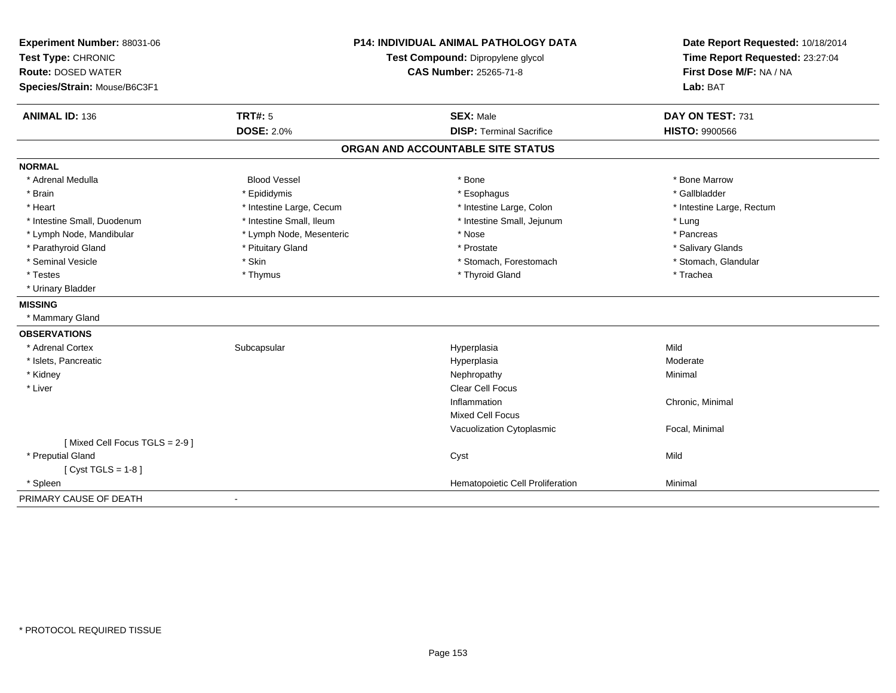| Experiment Number: 88031-06<br>Test Type: CHRONIC |                          | <b>P14: INDIVIDUAL ANIMAL PATHOLOGY DATA</b><br>Test Compound: Dipropylene glycol | Date Report Requested: 10/18/2014<br>Time Report Requested: 23:27:04 |
|---------------------------------------------------|--------------------------|-----------------------------------------------------------------------------------|----------------------------------------------------------------------|
| <b>Route: DOSED WATER</b>                         |                          | <b>CAS Number: 25265-71-8</b>                                                     | First Dose M/F: NA / NA                                              |
| Species/Strain: Mouse/B6C3F1                      |                          |                                                                                   | Lab: BAT                                                             |
| <b>ANIMAL ID: 136</b>                             | <b>TRT#: 5</b>           | <b>SEX: Male</b>                                                                  | DAY ON TEST: 731                                                     |
|                                                   | <b>DOSE: 2.0%</b>        | <b>DISP: Terminal Sacrifice</b>                                                   | <b>HISTO: 9900566</b>                                                |
|                                                   |                          | ORGAN AND ACCOUNTABLE SITE STATUS                                                 |                                                                      |
| <b>NORMAL</b>                                     |                          |                                                                                   |                                                                      |
| * Adrenal Medulla                                 | <b>Blood Vessel</b>      | * Bone                                                                            | * Bone Marrow                                                        |
| * Brain                                           | * Epididymis             | * Esophagus                                                                       | * Gallbladder                                                        |
| * Heart                                           | * Intestine Large, Cecum | * Intestine Large, Colon                                                          | * Intestine Large, Rectum                                            |
| * Intestine Small, Duodenum                       | * Intestine Small, Ileum | * Intestine Small, Jejunum                                                        | * Lung                                                               |
| * Lymph Node, Mandibular                          | * Lymph Node, Mesenteric | * Nose                                                                            | * Pancreas                                                           |
| * Parathyroid Gland                               | * Pituitary Gland        | * Prostate                                                                        | * Salivary Glands                                                    |
| * Seminal Vesicle                                 | * Skin                   | * Stomach, Forestomach                                                            | * Stomach, Glandular                                                 |
| * Testes                                          | * Thymus                 | * Thyroid Gland                                                                   | * Trachea                                                            |
| * Urinary Bladder                                 |                          |                                                                                   |                                                                      |
| <b>MISSING</b>                                    |                          |                                                                                   |                                                                      |
| * Mammary Gland                                   |                          |                                                                                   |                                                                      |
| <b>OBSERVATIONS</b>                               |                          |                                                                                   |                                                                      |
| * Adrenal Cortex                                  | Subcapsular              | Hyperplasia                                                                       | Mild                                                                 |
| * Islets, Pancreatic                              |                          | Hyperplasia                                                                       | Moderate                                                             |
| * Kidney                                          |                          | Nephropathy                                                                       | Minimal                                                              |
| * Liver                                           |                          | <b>Clear Cell Focus</b>                                                           |                                                                      |
|                                                   |                          | Inflammation                                                                      | Chronic, Minimal                                                     |
|                                                   |                          | <b>Mixed Cell Focus</b>                                                           |                                                                      |
|                                                   |                          | Vacuolization Cytoplasmic                                                         | Focal, Minimal                                                       |
| [Mixed Cell Focus TGLS = 2-9]                     |                          |                                                                                   |                                                                      |
| * Preputial Gland                                 |                          | Cyst                                                                              | Mild                                                                 |
| [Cyst TGLS = $1-8$ ]                              |                          |                                                                                   |                                                                      |
| * Spleen                                          |                          | Hematopoietic Cell Proliferation                                                  | Minimal                                                              |
| PRIMARY CAUSE OF DEATH                            |                          |                                                                                   |                                                                      |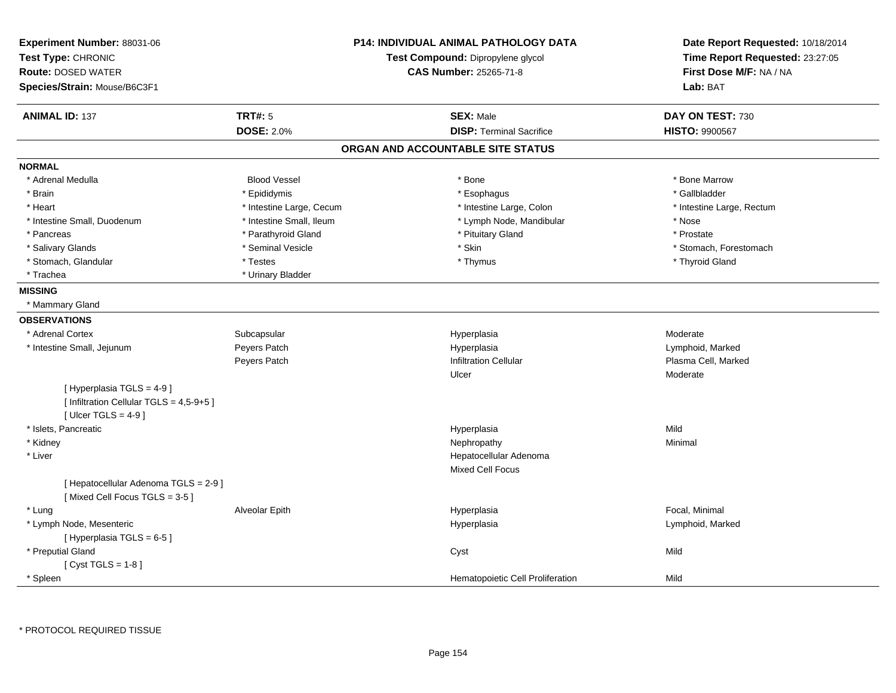| Experiment Number: 88031-06<br>Test Type: CHRONIC                      |                          | <b>P14: INDIVIDUAL ANIMAL PATHOLOGY DATA</b><br>Test Compound: Dipropylene glycol | Date Report Requested: 10/18/2014<br>Time Report Requested: 23:27:05 |
|------------------------------------------------------------------------|--------------------------|-----------------------------------------------------------------------------------|----------------------------------------------------------------------|
| <b>Route: DOSED WATER</b>                                              |                          | <b>CAS Number: 25265-71-8</b>                                                     | First Dose M/F: NA / NA                                              |
| Species/Strain: Mouse/B6C3F1                                           |                          |                                                                                   | Lab: BAT                                                             |
| <b>ANIMAL ID: 137</b>                                                  | <b>TRT#: 5</b>           | <b>SEX: Male</b>                                                                  | DAY ON TEST: 730                                                     |
|                                                                        | <b>DOSE: 2.0%</b>        | <b>DISP: Terminal Sacrifice</b>                                                   | HISTO: 9900567                                                       |
|                                                                        |                          | ORGAN AND ACCOUNTABLE SITE STATUS                                                 |                                                                      |
| <b>NORMAL</b>                                                          |                          |                                                                                   |                                                                      |
| * Adrenal Medulla                                                      | <b>Blood Vessel</b>      | * Bone                                                                            | * Bone Marrow                                                        |
| * Brain                                                                | * Epididymis             | * Esophagus                                                                       | * Gallbladder                                                        |
| * Heart                                                                | * Intestine Large, Cecum | * Intestine Large, Colon                                                          | * Intestine Large, Rectum                                            |
| * Intestine Small, Duodenum                                            | * Intestine Small, Ileum | * Lymph Node, Mandibular                                                          | * Nose                                                               |
| * Pancreas                                                             | * Parathyroid Gland      | * Pituitary Gland                                                                 | * Prostate                                                           |
| * Salivary Glands                                                      | * Seminal Vesicle        | * Skin                                                                            | * Stomach, Forestomach                                               |
| * Stomach, Glandular                                                   | * Testes                 | * Thymus                                                                          | * Thyroid Gland                                                      |
| * Trachea                                                              | * Urinary Bladder        |                                                                                   |                                                                      |
| <b>MISSING</b>                                                         |                          |                                                                                   |                                                                      |
| * Mammary Gland                                                        |                          |                                                                                   |                                                                      |
| <b>OBSERVATIONS</b>                                                    |                          |                                                                                   |                                                                      |
| * Adrenal Cortex                                                       | Subcapsular              | Hyperplasia                                                                       | Moderate                                                             |
| * Intestine Small, Jejunum                                             | Peyers Patch             | Hyperplasia                                                                       | Lymphoid, Marked                                                     |
|                                                                        | Peyers Patch             | <b>Infiltration Cellular</b>                                                      | Plasma Cell, Marked                                                  |
|                                                                        |                          | Ulcer                                                                             | Moderate                                                             |
| [ Hyperplasia TGLS = 4-9 ]                                             |                          |                                                                                   |                                                                      |
| [ Infiltration Cellular TGLS = 4,5-9+5 ]                               |                          |                                                                                   |                                                                      |
| [ Ulcer TGLS = $4-9$ ]                                                 |                          |                                                                                   |                                                                      |
| * Islets, Pancreatic                                                   |                          | Hyperplasia                                                                       | Mild                                                                 |
| * Kidney                                                               |                          | Nephropathy                                                                       | Minimal                                                              |
| * Liver                                                                |                          | Hepatocellular Adenoma                                                            |                                                                      |
|                                                                        |                          | <b>Mixed Cell Focus</b>                                                           |                                                                      |
| [ Hepatocellular Adenoma TGLS = 2-9 ]<br>[Mixed Cell Focus TGLS = 3-5] |                          |                                                                                   |                                                                      |
| * Lung                                                                 | Alveolar Epith           | Hyperplasia                                                                       | Focal, Minimal                                                       |
| * Lymph Node, Mesenteric                                               |                          | Hyperplasia                                                                       | Lymphoid, Marked                                                     |
| [Hyperplasia TGLS = 6-5]                                               |                          |                                                                                   |                                                                      |
| * Preputial Gland                                                      |                          | Cyst                                                                              | Mild                                                                 |
| [Cyst TGLS = $1-8$ ]                                                   |                          |                                                                                   |                                                                      |
| * Spleen                                                               |                          | Hematopoietic Cell Proliferation                                                  | Mild                                                                 |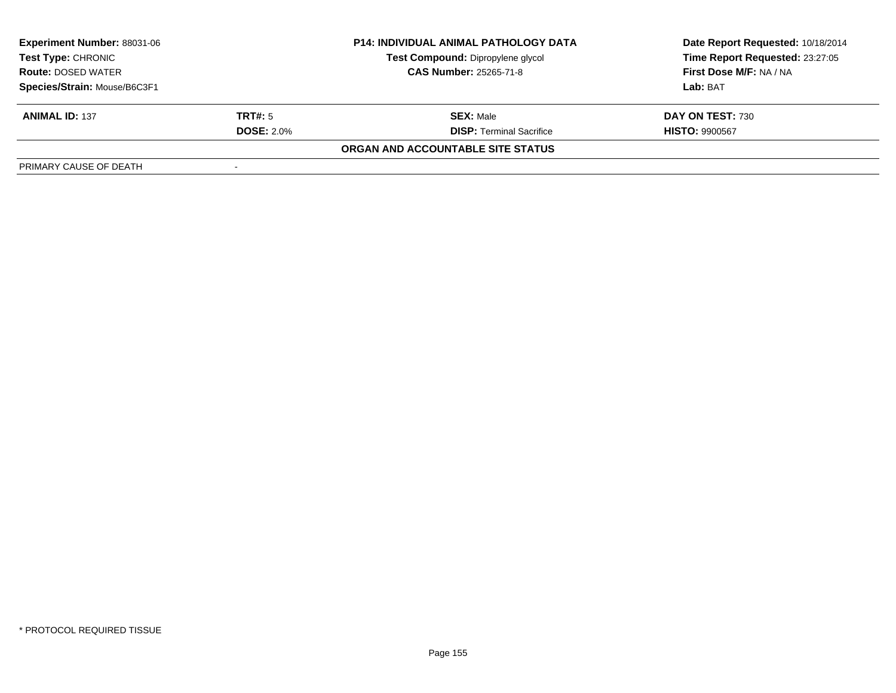| <b>Experiment Number: 88031-06</b> |                   | <b>P14: INDIVIDUAL ANIMAL PATHOLOGY DATA</b> | Date Report Requested: 10/18/2014 |
|------------------------------------|-------------------|----------------------------------------------|-----------------------------------|
| Test Type: CHRONIC                 |                   | Test Compound: Dipropylene glycol            | Time Report Requested: 23:27:05   |
| <b>Route: DOSED WATER</b>          |                   | <b>CAS Number: 25265-71-8</b>                | First Dose M/F: NA / NA           |
| Species/Strain: Mouse/B6C3F1       |                   |                                              | Lab: BAT                          |
| <b>ANIMAL ID: 137</b>              | <b>TRT#:</b> 5    | <b>SEX: Male</b>                             | DAY ON TEST: 730                  |
|                                    | <b>DOSE: 2.0%</b> | <b>DISP: Terminal Sacrifice</b>              | <b>HISTO: 9900567</b>             |
|                                    |                   | ORGAN AND ACCOUNTABLE SITE STATUS            |                                   |
| PRIMARY CAUSE OF DEATH             |                   |                                              |                                   |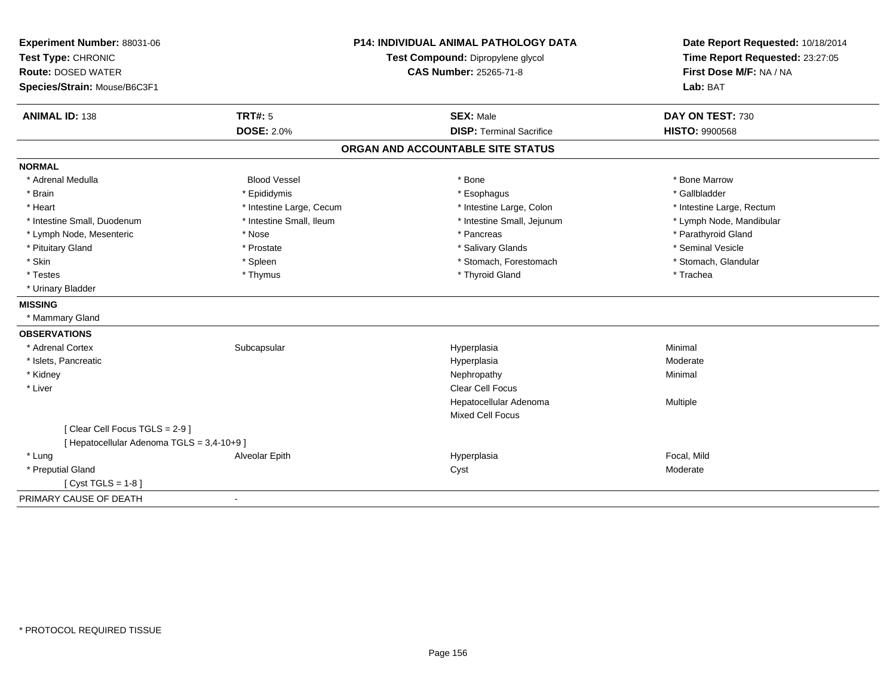| Experiment Number: 88031-06<br>Test Type: CHRONIC<br><b>Route: DOSED WATER</b><br>Species/Strain: Mouse/B6C3F1 |                                     | <b>P14: INDIVIDUAL ANIMAL PATHOLOGY DATA</b><br>Test Compound: Dipropylene glycol<br><b>CAS Number: 25265-71-8</b> | Date Report Requested: 10/18/2014<br>Time Report Requested: 23:27:05<br>First Dose M/F: NA / NA<br>Lab: BAT |
|----------------------------------------------------------------------------------------------------------------|-------------------------------------|--------------------------------------------------------------------------------------------------------------------|-------------------------------------------------------------------------------------------------------------|
| <b>ANIMAL ID: 138</b>                                                                                          | <b>TRT#: 5</b><br><b>DOSE: 2.0%</b> | <b>SEX: Male</b><br><b>DISP: Terminal Sacrifice</b>                                                                | DAY ON TEST: 730<br><b>HISTO: 9900568</b>                                                                   |
|                                                                                                                |                                     | ORGAN AND ACCOUNTABLE SITE STATUS                                                                                  |                                                                                                             |
| <b>NORMAL</b>                                                                                                  |                                     |                                                                                                                    |                                                                                                             |
| * Adrenal Medulla                                                                                              | <b>Blood Vessel</b>                 | * Bone                                                                                                             | * Bone Marrow                                                                                               |
| * Brain                                                                                                        | * Epididymis                        | * Esophagus                                                                                                        | * Gallbladder                                                                                               |
| * Heart                                                                                                        | * Intestine Large, Cecum            | * Intestine Large, Colon                                                                                           | * Intestine Large, Rectum                                                                                   |
| * Intestine Small, Duodenum                                                                                    | * Intestine Small, Ileum            | * Intestine Small, Jejunum                                                                                         | * Lymph Node, Mandibular                                                                                    |
| * Lymph Node, Mesenteric                                                                                       | * Nose                              | * Pancreas                                                                                                         | * Parathyroid Gland                                                                                         |
| * Pituitary Gland                                                                                              | * Prostate                          | * Salivary Glands                                                                                                  | * Seminal Vesicle                                                                                           |
| * Skin                                                                                                         | * Spleen                            | * Stomach, Forestomach                                                                                             | * Stomach, Glandular                                                                                        |
| * Testes                                                                                                       | * Thymus                            | * Thyroid Gland                                                                                                    | * Trachea                                                                                                   |
| * Urinary Bladder                                                                                              |                                     |                                                                                                                    |                                                                                                             |
| <b>MISSING</b>                                                                                                 |                                     |                                                                                                                    |                                                                                                             |
| * Mammary Gland                                                                                                |                                     |                                                                                                                    |                                                                                                             |
| <b>OBSERVATIONS</b>                                                                                            |                                     |                                                                                                                    |                                                                                                             |
| * Adrenal Cortex                                                                                               | Subcapsular                         | Hyperplasia                                                                                                        | Minimal                                                                                                     |
| * Islets, Pancreatic                                                                                           |                                     | Hyperplasia                                                                                                        | Moderate                                                                                                    |
| * Kidney                                                                                                       |                                     | Nephropathy                                                                                                        | Minimal                                                                                                     |
| * Liver                                                                                                        |                                     | <b>Clear Cell Focus</b>                                                                                            |                                                                                                             |
|                                                                                                                |                                     | Hepatocellular Adenoma                                                                                             | Multiple                                                                                                    |
|                                                                                                                |                                     | Mixed Cell Focus                                                                                                   |                                                                                                             |
| [Clear Cell Focus TGLS = 2-9]                                                                                  |                                     |                                                                                                                    |                                                                                                             |
| [ Hepatocellular Adenoma TGLS = 3,4-10+9 ]                                                                     |                                     |                                                                                                                    |                                                                                                             |
| * Lung                                                                                                         | Alveolar Epith                      | Hyperplasia                                                                                                        | Focal, Mild                                                                                                 |
| * Preputial Gland                                                                                              |                                     | Cyst                                                                                                               | Moderate                                                                                                    |
| [ $Cyst TGLS = 1-8$ ]                                                                                          |                                     |                                                                                                                    |                                                                                                             |
| PRIMARY CAUSE OF DEATH                                                                                         | $\blacksquare$                      |                                                                                                                    |                                                                                                             |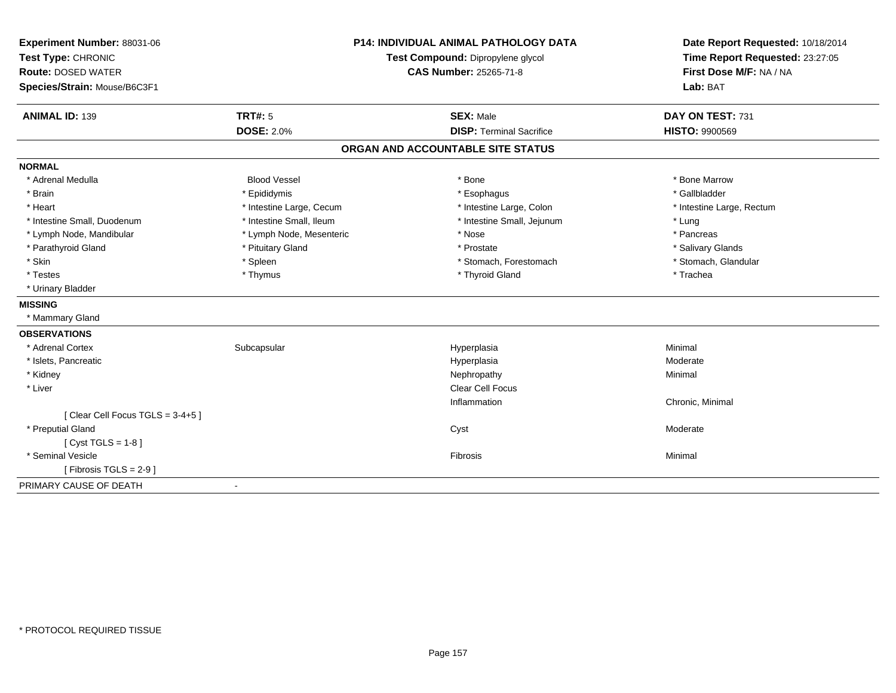| Experiment Number: 88031-06     |                                   | <b>P14: INDIVIDUAL ANIMAL PATHOLOGY DATA</b> | Date Report Requested: 10/18/2014 |
|---------------------------------|-----------------------------------|----------------------------------------------|-----------------------------------|
| Test Type: CHRONIC              | Test Compound: Dipropylene glycol |                                              | Time Report Requested: 23:27:05   |
| <b>Route: DOSED WATER</b>       |                                   | <b>CAS Number: 25265-71-8</b>                | First Dose M/F: NA / NA           |
| Species/Strain: Mouse/B6C3F1    |                                   |                                              | Lab: BAT                          |
| <b>ANIMAL ID: 139</b>           | <b>TRT#: 5</b>                    | <b>SEX: Male</b>                             | DAY ON TEST: 731                  |
|                                 | <b>DOSE: 2.0%</b>                 | <b>DISP: Terminal Sacrifice</b>              | <b>HISTO: 9900569</b>             |
|                                 |                                   | ORGAN AND ACCOUNTABLE SITE STATUS            |                                   |
| <b>NORMAL</b>                   |                                   |                                              |                                   |
| * Adrenal Medulla               | <b>Blood Vessel</b>               | * Bone                                       | * Bone Marrow                     |
| * Brain                         | * Epididymis                      | * Esophagus                                  | * Gallbladder                     |
| * Heart                         | * Intestine Large, Cecum          | * Intestine Large, Colon                     | * Intestine Large, Rectum         |
| * Intestine Small, Duodenum     | * Intestine Small, Ileum          | * Intestine Small, Jejunum                   | * Lung                            |
| * Lymph Node, Mandibular        | * Lymph Node, Mesenteric          | * Nose                                       | * Pancreas                        |
| * Parathyroid Gland             | * Pituitary Gland                 | * Prostate                                   | * Salivary Glands                 |
| * Skin                          | * Spleen                          | * Stomach, Forestomach                       | * Stomach, Glandular              |
| * Testes                        | * Thymus                          | * Thyroid Gland                              | * Trachea                         |
| * Urinary Bladder               |                                   |                                              |                                   |
| <b>MISSING</b>                  |                                   |                                              |                                   |
| * Mammary Gland                 |                                   |                                              |                                   |
| <b>OBSERVATIONS</b>             |                                   |                                              |                                   |
| * Adrenal Cortex                | Subcapsular                       | Hyperplasia                                  | Minimal                           |
| * Islets, Pancreatic            |                                   | Hyperplasia                                  | Moderate                          |
| * Kidney                        |                                   | Nephropathy                                  | Minimal                           |
| * Liver                         |                                   | Clear Cell Focus                             |                                   |
|                                 |                                   | Inflammation                                 | Chronic, Minimal                  |
| [Clear Cell Focus TGLS = 3-4+5] |                                   |                                              |                                   |
| * Preputial Gland               |                                   | Cyst                                         | Moderate                          |
| [ $Cyst TGLS = 1-8$ ]           |                                   |                                              |                                   |
| * Seminal Vesicle               |                                   | Fibrosis                                     | Minimal                           |
| [Fibrosis TGLS = $2-9$ ]        |                                   |                                              |                                   |
| PRIMARY CAUSE OF DEATH          | $\blacksquare$                    |                                              |                                   |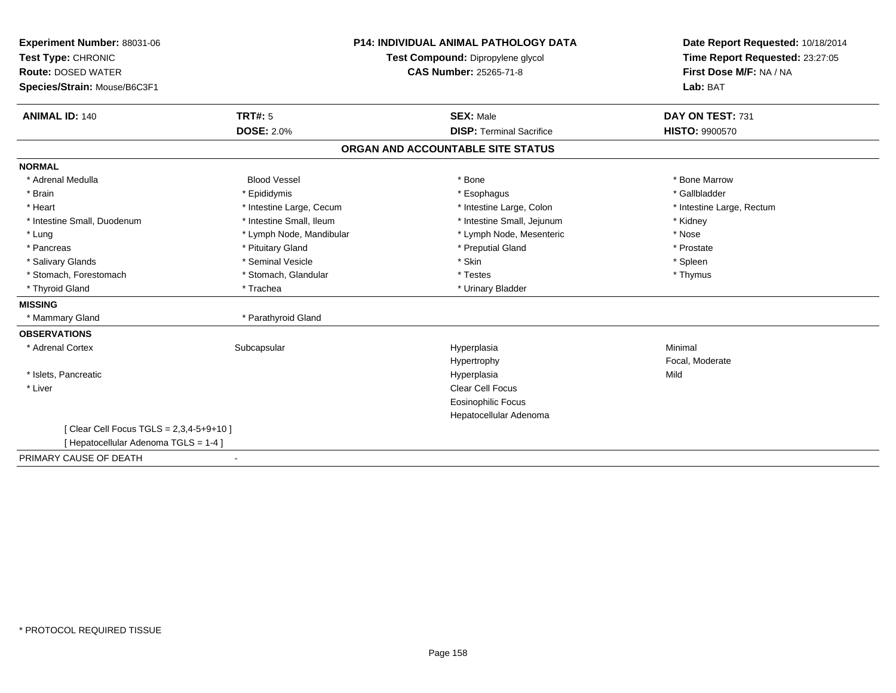| Experiment Number: 88031-06              | <b>P14: INDIVIDUAL ANIMAL PATHOLOGY DATA</b><br>Test Compound: Dipropylene glycol |                                   | Date Report Requested: 10/18/2014 |  |
|------------------------------------------|-----------------------------------------------------------------------------------|-----------------------------------|-----------------------------------|--|
| Test Type: CHRONIC                       |                                                                                   |                                   | Time Report Requested: 23:27:05   |  |
| <b>Route: DOSED WATER</b>                |                                                                                   | <b>CAS Number: 25265-71-8</b>     | First Dose M/F: NA / NA           |  |
| Species/Strain: Mouse/B6C3F1             |                                                                                   |                                   | Lab: BAT                          |  |
| <b>ANIMAL ID: 140</b>                    | TRT#: 5                                                                           | <b>SEX: Male</b>                  | DAY ON TEST: 731                  |  |
|                                          | <b>DOSE: 2.0%</b>                                                                 | <b>DISP: Terminal Sacrifice</b>   | <b>HISTO: 9900570</b>             |  |
|                                          |                                                                                   | ORGAN AND ACCOUNTABLE SITE STATUS |                                   |  |
| <b>NORMAL</b>                            |                                                                                   |                                   |                                   |  |
| * Adrenal Medulla                        | <b>Blood Vessel</b>                                                               | * Bone                            | * Bone Marrow                     |  |
| * Brain                                  | * Epididymis                                                                      | * Esophagus                       | * Gallbladder                     |  |
| * Heart                                  | * Intestine Large, Cecum                                                          | * Intestine Large, Colon          | * Intestine Large, Rectum         |  |
| * Intestine Small, Duodenum              | * Intestine Small, Ileum                                                          | * Intestine Small, Jejunum        | * Kidney                          |  |
| * Lung                                   | * Lymph Node, Mandibular                                                          | * Lymph Node, Mesenteric          | * Nose                            |  |
| * Pancreas                               | * Pituitary Gland                                                                 | * Preputial Gland                 | * Prostate                        |  |
| * Salivary Glands                        | * Seminal Vesicle                                                                 | * Skin                            | * Spleen                          |  |
| * Stomach, Forestomach                   | * Stomach, Glandular                                                              | * Testes                          | * Thymus                          |  |
| * Thyroid Gland                          | * Trachea                                                                         | * Urinary Bladder                 |                                   |  |
| <b>MISSING</b>                           |                                                                                   |                                   |                                   |  |
| * Mammary Gland                          | * Parathyroid Gland                                                               |                                   |                                   |  |
| <b>OBSERVATIONS</b>                      |                                                                                   |                                   |                                   |  |
| * Adrenal Cortex                         | Subcapsular                                                                       | Hyperplasia                       | Minimal                           |  |
|                                          |                                                                                   | Hypertrophy                       | Focal, Moderate                   |  |
| * Islets, Pancreatic                     |                                                                                   | Hyperplasia                       | Mild                              |  |
| * Liver                                  |                                                                                   | <b>Clear Cell Focus</b>           |                                   |  |
|                                          |                                                                                   | <b>Eosinophilic Focus</b>         |                                   |  |
|                                          |                                                                                   | Hepatocellular Adenoma            |                                   |  |
| [ Clear Cell Focus TGLS = 2,3,4-5+9+10 ] |                                                                                   |                                   |                                   |  |
| [Hepatocellular Adenoma TGLS = 1-4]      |                                                                                   |                                   |                                   |  |
| PRIMARY CAUSE OF DEATH<br>$\blacksquare$ |                                                                                   |                                   |                                   |  |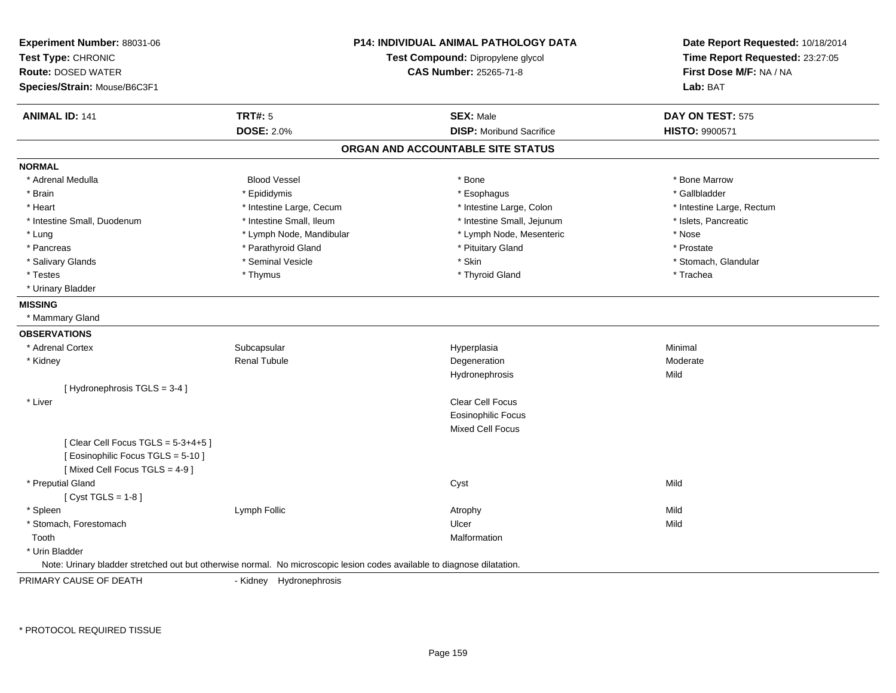| Experiment Number: 88031-06                                                                                             |                                   | P14: INDIVIDUAL ANIMAL PATHOLOGY DATA | Date Report Requested: 10/18/2014 |
|-------------------------------------------------------------------------------------------------------------------------|-----------------------------------|---------------------------------------|-----------------------------------|
| Test Type: CHRONIC                                                                                                      | Test Compound: Dipropylene glycol |                                       | Time Report Requested: 23:27:05   |
| <b>Route: DOSED WATER</b>                                                                                               |                                   | <b>CAS Number: 25265-71-8</b>         | First Dose M/F: NA / NA           |
| Species/Strain: Mouse/B6C3F1                                                                                            |                                   |                                       | Lab: BAT                          |
| <b>ANIMAL ID: 141</b>                                                                                                   | <b>TRT#: 5</b>                    | <b>SEX: Male</b>                      | DAY ON TEST: 575                  |
|                                                                                                                         | <b>DOSE: 2.0%</b>                 | <b>DISP:</b> Moribund Sacrifice       | <b>HISTO: 9900571</b>             |
|                                                                                                                         |                                   | ORGAN AND ACCOUNTABLE SITE STATUS     |                                   |
| <b>NORMAL</b>                                                                                                           |                                   |                                       |                                   |
| * Adrenal Medulla                                                                                                       | <b>Blood Vessel</b>               | * Bone                                | * Bone Marrow                     |
| * Brain                                                                                                                 | * Epididymis                      | * Esophagus                           | * Gallbladder                     |
| * Heart                                                                                                                 | * Intestine Large, Cecum          | * Intestine Large, Colon              | * Intestine Large, Rectum         |
| * Intestine Small, Duodenum                                                                                             | * Intestine Small, Ileum          | * Intestine Small, Jejunum            | * Islets, Pancreatic              |
| * Lung                                                                                                                  | * Lymph Node, Mandibular          | * Lymph Node, Mesenteric              | * Nose                            |
| * Pancreas                                                                                                              | * Parathyroid Gland               | * Pituitary Gland                     | * Prostate                        |
| * Salivary Glands                                                                                                       | * Seminal Vesicle                 | * Skin                                | * Stomach, Glandular              |
| * Testes                                                                                                                | * Thymus                          | * Thyroid Gland                       | * Trachea                         |
| * Urinary Bladder                                                                                                       |                                   |                                       |                                   |
| <b>MISSING</b>                                                                                                          |                                   |                                       |                                   |
| * Mammary Gland                                                                                                         |                                   |                                       |                                   |
| <b>OBSERVATIONS</b>                                                                                                     |                                   |                                       |                                   |
| * Adrenal Cortex                                                                                                        | Subcapsular                       | Hyperplasia                           | Minimal                           |
| * Kidney                                                                                                                | <b>Renal Tubule</b>               | Degeneration                          | Moderate                          |
|                                                                                                                         |                                   | Hydronephrosis                        | Mild                              |
| [Hydronephrosis TGLS = 3-4]                                                                                             |                                   |                                       |                                   |
| * Liver                                                                                                                 |                                   | Clear Cell Focus                      |                                   |
|                                                                                                                         |                                   | <b>Eosinophilic Focus</b>             |                                   |
|                                                                                                                         |                                   | <b>Mixed Cell Focus</b>               |                                   |
| [Clear Cell Focus TGLS = 5-3+4+5]                                                                                       |                                   |                                       |                                   |
| [ Eosinophilic Focus TGLS = 5-10 ]                                                                                      |                                   |                                       |                                   |
| [Mixed Cell Focus TGLS = 4-9]                                                                                           |                                   |                                       |                                   |
| * Preputial Gland                                                                                                       |                                   | Cyst                                  | Mild                              |
| [Cyst TGLS = $1-8$ ]                                                                                                    |                                   |                                       |                                   |
| * Spleen                                                                                                                | Lymph Follic                      | Atrophy                               | Mild                              |
| * Stomach, Forestomach                                                                                                  |                                   | Ulcer                                 | Mild                              |
| Tooth                                                                                                                   |                                   | Malformation                          |                                   |
| * Urin Bladder                                                                                                          |                                   |                                       |                                   |
| Note: Urinary bladder stretched out but otherwise normal. No microscopic lesion codes available to diagnose dilatation. |                                   |                                       |                                   |
| PRIMARY CAUSE OF DEATH                                                                                                  | - Kidney Hydronephrosis           |                                       |                                   |

\* PROTOCOL REQUIRED TISSUE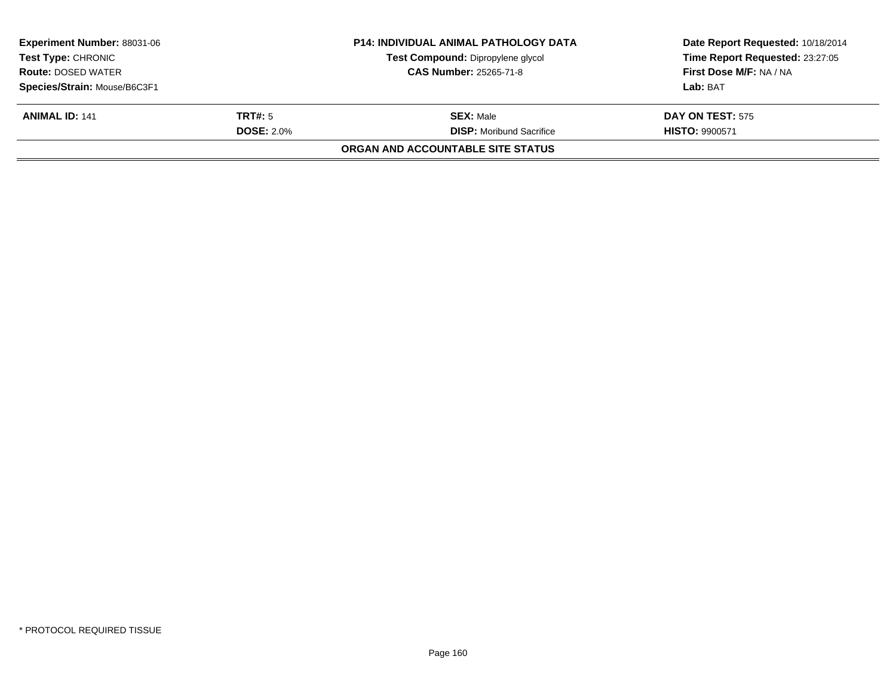| <b>Experiment Number: 88031-06</b> |                   | <b>P14: INDIVIDUAL ANIMAL PATHOLOGY DATA</b> | Date Report Requested: 10/18/2014 |
|------------------------------------|-------------------|----------------------------------------------|-----------------------------------|
| <b>Test Type: CHRONIC</b>          |                   | Test Compound: Dipropylene glycol            | Time Report Requested: 23:27:05   |
| <b>Route: DOSED WATER</b>          |                   | <b>CAS Number: 25265-71-8</b>                | First Dose M/F: NA / NA           |
| Species/Strain: Mouse/B6C3F1       |                   |                                              | Lab: BAT                          |
| <b>ANIMAL ID: 141</b>              | <b>TRT#:</b> 5    | <b>SEX: Male</b>                             | <b>DAY ON TEST: 575</b>           |
|                                    | <b>DOSE: 2.0%</b> | <b>DISP:</b> Moribund Sacrifice              | <b>HISTO: 9900571</b>             |
|                                    |                   | ORGAN AND ACCOUNTABLE SITE STATUS            |                                   |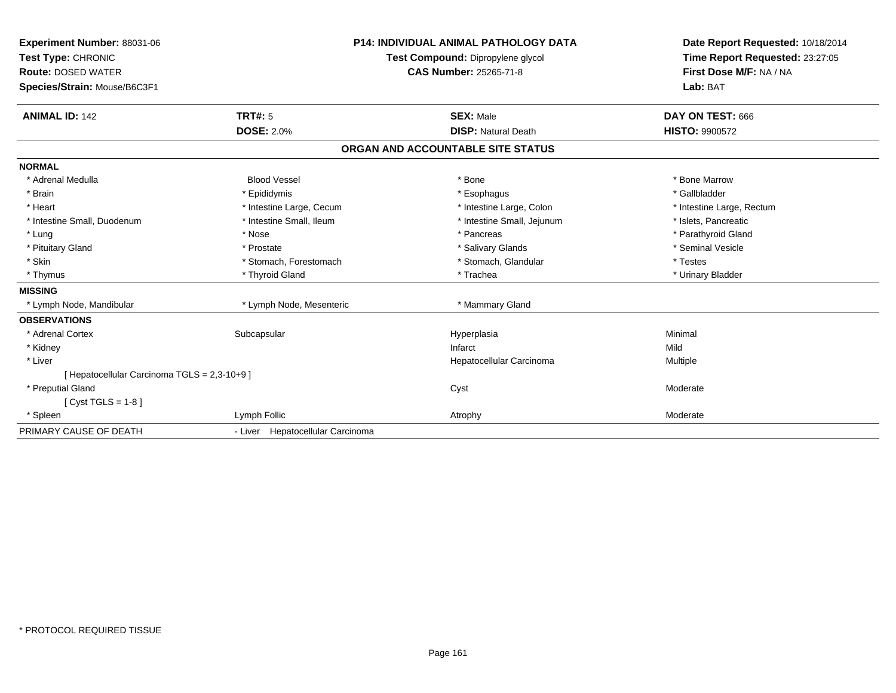| Experiment Number: 88031-06<br>Test Type: CHRONIC<br><b>Route: DOSED WATER</b><br>Species/Strain: Mouse/B6C3F1<br><b>ANIMAL ID: 142</b> | <b>TRT#: 5</b>                   | <b>P14: INDIVIDUAL ANIMAL PATHOLOGY DATA</b><br>Test Compound: Dipropylene glycol<br><b>CAS Number: 25265-71-8</b><br><b>SEX: Male</b> | Date Report Requested: 10/18/2014<br>Time Report Requested: 23:27:05<br>First Dose M/F: NA / NA<br>Lab: BAT<br>DAY ON TEST: 666 |
|-----------------------------------------------------------------------------------------------------------------------------------------|----------------------------------|----------------------------------------------------------------------------------------------------------------------------------------|---------------------------------------------------------------------------------------------------------------------------------|
|                                                                                                                                         | <b>DOSE: 2.0%</b>                | <b>DISP: Natural Death</b>                                                                                                             | <b>HISTO: 9900572</b>                                                                                                           |
|                                                                                                                                         |                                  | ORGAN AND ACCOUNTABLE SITE STATUS                                                                                                      |                                                                                                                                 |
| <b>NORMAL</b>                                                                                                                           |                                  |                                                                                                                                        |                                                                                                                                 |
| * Adrenal Medulla                                                                                                                       | <b>Blood Vessel</b>              | * Bone                                                                                                                                 | * Bone Marrow                                                                                                                   |
| * Brain                                                                                                                                 | * Epididymis                     | * Esophagus                                                                                                                            | * Gallbladder                                                                                                                   |
| * Heart                                                                                                                                 | * Intestine Large, Cecum         | * Intestine Large, Colon                                                                                                               | * Intestine Large, Rectum                                                                                                       |
| * Intestine Small, Duodenum                                                                                                             | * Intestine Small, Ileum         | * Intestine Small, Jejunum                                                                                                             | * Islets, Pancreatic                                                                                                            |
| * Lung                                                                                                                                  | * Nose                           | * Pancreas                                                                                                                             | * Parathyroid Gland                                                                                                             |
| * Pituitary Gland                                                                                                                       | * Prostate                       | * Salivary Glands                                                                                                                      | * Seminal Vesicle                                                                                                               |
| * Skin                                                                                                                                  | * Stomach, Forestomach           | * Stomach, Glandular                                                                                                                   | * Testes                                                                                                                        |
| * Thymus                                                                                                                                | * Thyroid Gland                  | * Trachea                                                                                                                              | * Urinary Bladder                                                                                                               |
| <b>MISSING</b>                                                                                                                          |                                  |                                                                                                                                        |                                                                                                                                 |
| * Lymph Node, Mandibular                                                                                                                | * Lymph Node, Mesenteric         | * Mammary Gland                                                                                                                        |                                                                                                                                 |
| <b>OBSERVATIONS</b>                                                                                                                     |                                  |                                                                                                                                        |                                                                                                                                 |
| * Adrenal Cortex                                                                                                                        | Subcapsular                      | Hyperplasia                                                                                                                            | Minimal                                                                                                                         |
| * Kidney                                                                                                                                |                                  | Infarct                                                                                                                                | Mild                                                                                                                            |
| * Liver                                                                                                                                 |                                  | Hepatocellular Carcinoma                                                                                                               | Multiple                                                                                                                        |
| [ Hepatocellular Carcinoma TGLS = 2,3-10+9 ]                                                                                            |                                  |                                                                                                                                        |                                                                                                                                 |
| * Preputial Gland                                                                                                                       |                                  | Cyst                                                                                                                                   | Moderate                                                                                                                        |
| [Cyst TGLS = $1-8$ ]                                                                                                                    |                                  |                                                                                                                                        |                                                                                                                                 |
| * Spleen                                                                                                                                | Lymph Follic                     | Atrophy                                                                                                                                | Moderate                                                                                                                        |
| PRIMARY CAUSE OF DEATH                                                                                                                  | - Liver Hepatocellular Carcinoma |                                                                                                                                        |                                                                                                                                 |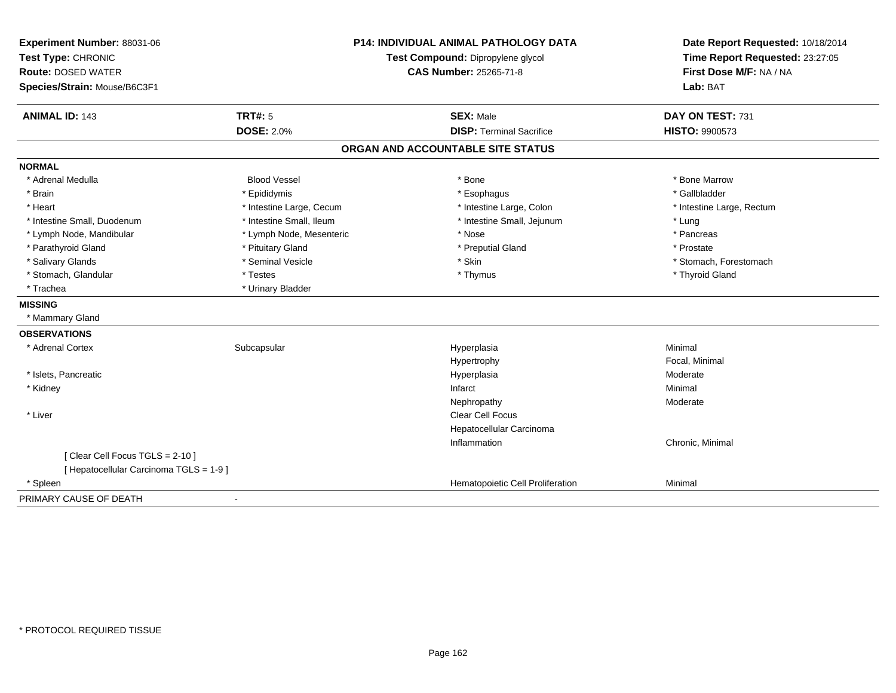| Experiment Number: 88031-06                     | <b>P14: INDIVIDUAL ANIMAL PATHOLOGY DATA</b><br>Test Compound: Dipropylene glycol |                                   | Date Report Requested: 10/18/2014                          |
|-------------------------------------------------|-----------------------------------------------------------------------------------|-----------------------------------|------------------------------------------------------------|
| Test Type: CHRONIC<br><b>Route: DOSED WATER</b> |                                                                                   |                                   | Time Report Requested: 23:27:05<br>First Dose M/F: NA / NA |
| Species/Strain: Mouse/B6C3F1                    |                                                                                   | <b>CAS Number: 25265-71-8</b>     | Lab: BAT                                                   |
|                                                 |                                                                                   |                                   |                                                            |
| <b>ANIMAL ID: 143</b>                           | <b>TRT#: 5</b>                                                                    | <b>SEX: Male</b>                  | DAY ON TEST: 731                                           |
|                                                 | <b>DOSE: 2.0%</b>                                                                 | <b>DISP: Terminal Sacrifice</b>   | HISTO: 9900573                                             |
|                                                 |                                                                                   | ORGAN AND ACCOUNTABLE SITE STATUS |                                                            |
| <b>NORMAL</b>                                   |                                                                                   |                                   |                                                            |
| * Adrenal Medulla                               | <b>Blood Vessel</b>                                                               | * Bone                            | * Bone Marrow                                              |
| * Brain                                         | * Epididymis                                                                      | * Esophagus                       | * Gallbladder                                              |
| * Heart                                         | * Intestine Large, Cecum                                                          | * Intestine Large, Colon          | * Intestine Large, Rectum                                  |
| * Intestine Small, Duodenum                     | * Intestine Small, Ileum                                                          | * Intestine Small, Jejunum        | * Lung                                                     |
| * Lymph Node, Mandibular                        | * Lymph Node, Mesenteric                                                          | * Nose                            | * Pancreas                                                 |
| * Parathyroid Gland                             | * Pituitary Gland                                                                 | * Preputial Gland                 | * Prostate                                                 |
| * Salivary Glands                               | * Seminal Vesicle                                                                 | * Skin                            | * Stomach, Forestomach                                     |
| * Stomach, Glandular                            | * Testes                                                                          | * Thymus                          | * Thyroid Gland                                            |
| * Trachea                                       | * Urinary Bladder                                                                 |                                   |                                                            |
| <b>MISSING</b>                                  |                                                                                   |                                   |                                                            |
| * Mammary Gland                                 |                                                                                   |                                   |                                                            |
| <b>OBSERVATIONS</b>                             |                                                                                   |                                   |                                                            |
| * Adrenal Cortex                                | Subcapsular                                                                       | Hyperplasia                       | Minimal                                                    |
|                                                 |                                                                                   | Hypertrophy                       | Focal, Minimal                                             |
| * Islets, Pancreatic                            |                                                                                   | Hyperplasia                       | Moderate                                                   |
| * Kidney                                        |                                                                                   | Infarct                           | Minimal                                                    |
|                                                 |                                                                                   | Nephropathy                       | Moderate                                                   |
| * Liver                                         |                                                                                   | Clear Cell Focus                  |                                                            |
|                                                 |                                                                                   | Hepatocellular Carcinoma          |                                                            |
|                                                 |                                                                                   | Inflammation                      | Chronic, Minimal                                           |
| [Clear Cell Focus TGLS = 2-10]                  |                                                                                   |                                   |                                                            |
| [ Hepatocellular Carcinoma TGLS = 1-9 ]         |                                                                                   |                                   |                                                            |
| * Spleen                                        |                                                                                   | Hematopoietic Cell Proliferation  | Minimal                                                    |
| PRIMARY CAUSE OF DEATH                          |                                                                                   |                                   |                                                            |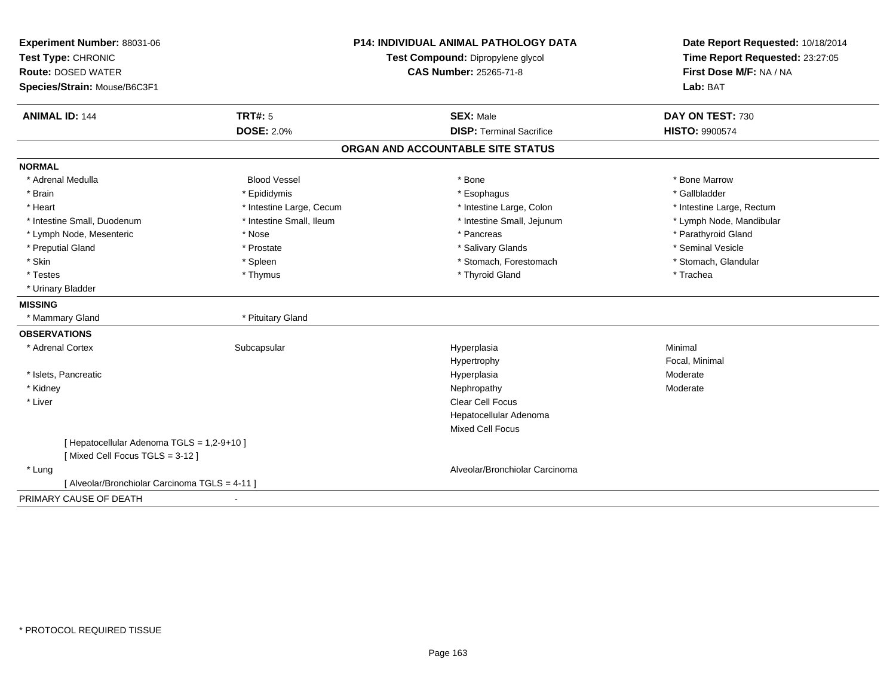| Experiment Number: 88031-06<br>Test Type: CHRONIC         |                          | <b>P14: INDIVIDUAL ANIMAL PATHOLOGY DATA</b><br>Test Compound: Dipropylene glycol | Date Report Requested: 10/18/2014<br>Time Report Requested: 23:27:05 |
|-----------------------------------------------------------|--------------------------|-----------------------------------------------------------------------------------|----------------------------------------------------------------------|
| <b>Route: DOSED WATER</b><br>Species/Strain: Mouse/B6C3F1 |                          | <b>CAS Number: 25265-71-8</b>                                                     | First Dose M/F: NA / NA<br>Lab: BAT                                  |
| <b>ANIMAL ID: 144</b>                                     | <b>TRT#: 5</b>           | <b>SEX: Male</b>                                                                  | DAY ON TEST: 730                                                     |
|                                                           | <b>DOSE: 2.0%</b>        | <b>DISP: Terminal Sacrifice</b>                                                   | HISTO: 9900574                                                       |
|                                                           |                          | ORGAN AND ACCOUNTABLE SITE STATUS                                                 |                                                                      |
| <b>NORMAL</b>                                             |                          |                                                                                   |                                                                      |
| * Adrenal Medulla                                         | <b>Blood Vessel</b>      | * Bone                                                                            | * Bone Marrow                                                        |
| * Brain                                                   | * Epididymis             | * Esophagus                                                                       | * Gallbladder                                                        |
| * Heart                                                   | * Intestine Large, Cecum | * Intestine Large, Colon                                                          | * Intestine Large, Rectum                                            |
| * Intestine Small, Duodenum                               | * Intestine Small, Ileum | * Intestine Small, Jejunum                                                        | * Lymph Node, Mandibular                                             |
| * Lymph Node, Mesenteric                                  | * Nose                   | * Pancreas                                                                        | * Parathyroid Gland                                                  |
| * Preputial Gland                                         | * Prostate               | * Salivary Glands                                                                 | * Seminal Vesicle                                                    |
| * Skin                                                    | * Spleen                 | * Stomach, Forestomach                                                            | * Stomach, Glandular                                                 |
| * Testes                                                  | * Thymus                 | * Thyroid Gland                                                                   | * Trachea                                                            |
| * Urinary Bladder                                         |                          |                                                                                   |                                                                      |
| <b>MISSING</b>                                            |                          |                                                                                   |                                                                      |
| * Mammary Gland                                           | * Pituitary Gland        |                                                                                   |                                                                      |
| <b>OBSERVATIONS</b>                                       |                          |                                                                                   |                                                                      |
| * Adrenal Cortex                                          | Subcapsular              | Hyperplasia                                                                       | Minimal                                                              |
|                                                           |                          | Hypertrophy                                                                       | Focal, Minimal                                                       |
| * Islets, Pancreatic                                      |                          | Hyperplasia                                                                       | Moderate                                                             |
| * Kidney                                                  |                          | Nephropathy                                                                       | Moderate                                                             |
| * Liver                                                   |                          | Clear Cell Focus                                                                  |                                                                      |
|                                                           |                          | Hepatocellular Adenoma                                                            |                                                                      |
|                                                           |                          | <b>Mixed Cell Focus</b>                                                           |                                                                      |
| [ Hepatocellular Adenoma TGLS = 1,2-9+10 ]                |                          |                                                                                   |                                                                      |
| [Mixed Cell Focus TGLS = 3-12]                            |                          |                                                                                   |                                                                      |
| * Lung                                                    |                          | Alveolar/Bronchiolar Carcinoma                                                    |                                                                      |
| [ Alveolar/Bronchiolar Carcinoma TGLS = 4-11 ]            |                          |                                                                                   |                                                                      |
| PRIMARY CAUSE OF DEATH                                    |                          |                                                                                   |                                                                      |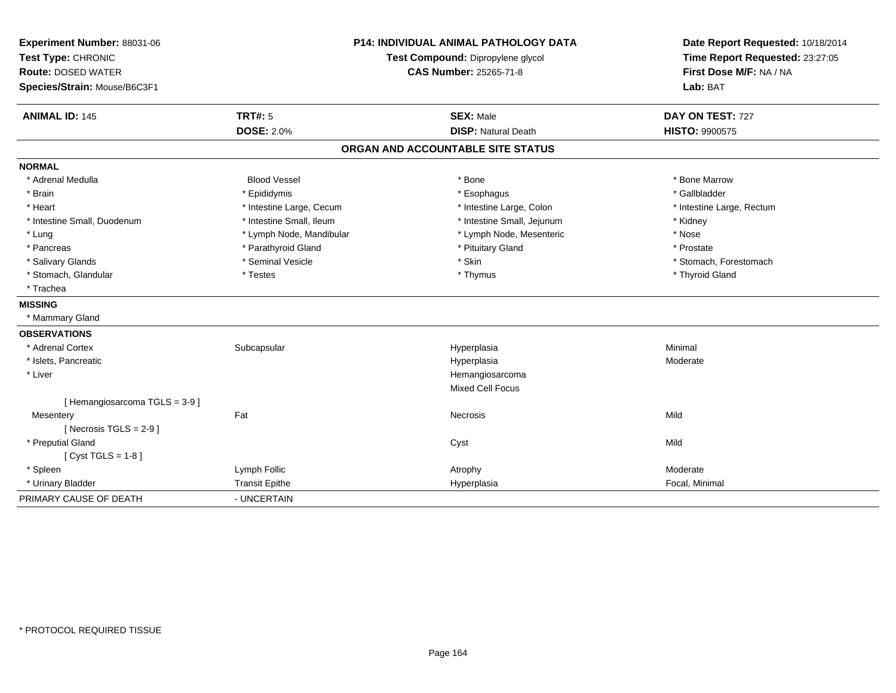| Experiment Number: 88031-06<br>Test Type: CHRONIC<br><b>Route: DOSED WATER</b><br>Species/Strain: Mouse/B6C3F1 | <b>P14: INDIVIDUAL ANIMAL PATHOLOGY DATA</b><br>Test Compound: Dipropylene glycol<br><b>CAS Number: 25265-71-8</b> |                                   | Date Report Requested: 10/18/2014<br>Time Report Requested: 23:27:05<br>First Dose M/F: NA / NA<br>Lab: BAT |  |
|----------------------------------------------------------------------------------------------------------------|--------------------------------------------------------------------------------------------------------------------|-----------------------------------|-------------------------------------------------------------------------------------------------------------|--|
| <b>ANIMAL ID: 145</b>                                                                                          | <b>TRT#: 5</b>                                                                                                     | <b>SEX: Male</b>                  | DAY ON TEST: 727                                                                                            |  |
|                                                                                                                | <b>DOSE: 2.0%</b>                                                                                                  | <b>DISP: Natural Death</b>        | HISTO: 9900575                                                                                              |  |
|                                                                                                                |                                                                                                                    | ORGAN AND ACCOUNTABLE SITE STATUS |                                                                                                             |  |
| <b>NORMAL</b>                                                                                                  |                                                                                                                    |                                   |                                                                                                             |  |
| * Adrenal Medulla                                                                                              | <b>Blood Vessel</b>                                                                                                | * Bone                            | * Bone Marrow                                                                                               |  |
| * Brain                                                                                                        | * Epididymis                                                                                                       | * Esophagus                       | * Gallbladder                                                                                               |  |
| * Heart                                                                                                        | * Intestine Large, Cecum                                                                                           | * Intestine Large, Colon          | * Intestine Large, Rectum                                                                                   |  |
| * Intestine Small, Duodenum                                                                                    | * Intestine Small, Ileum                                                                                           | * Intestine Small, Jejunum        | * Kidney                                                                                                    |  |
| * Lung                                                                                                         | * Lymph Node, Mandibular                                                                                           | * Lymph Node, Mesenteric          | * Nose                                                                                                      |  |
| * Pancreas                                                                                                     | * Parathyroid Gland                                                                                                | * Pituitary Gland                 | * Prostate                                                                                                  |  |
| * Salivary Glands                                                                                              | * Seminal Vesicle                                                                                                  | * Skin                            | * Stomach, Forestomach                                                                                      |  |
| * Stomach, Glandular                                                                                           | * Testes                                                                                                           | * Thymus                          | * Thyroid Gland                                                                                             |  |
| * Trachea                                                                                                      |                                                                                                                    |                                   |                                                                                                             |  |
| <b>MISSING</b>                                                                                                 |                                                                                                                    |                                   |                                                                                                             |  |
| * Mammary Gland                                                                                                |                                                                                                                    |                                   |                                                                                                             |  |
| <b>OBSERVATIONS</b>                                                                                            |                                                                                                                    |                                   |                                                                                                             |  |
| * Adrenal Cortex                                                                                               | Subcapsular                                                                                                        | Hyperplasia                       | Minimal                                                                                                     |  |
| * Islets, Pancreatic                                                                                           |                                                                                                                    | Hyperplasia                       | Moderate                                                                                                    |  |
| * Liver                                                                                                        |                                                                                                                    | Hemangiosarcoma                   |                                                                                                             |  |
|                                                                                                                |                                                                                                                    | <b>Mixed Cell Focus</b>           |                                                                                                             |  |
| [Hemangiosarcoma TGLS = $3-9$ ]                                                                                |                                                                                                                    |                                   |                                                                                                             |  |
| Mesentery                                                                                                      | Fat                                                                                                                | Necrosis                          | Mild                                                                                                        |  |
| [ Necrosis $TGLS = 2-9$ ]                                                                                      |                                                                                                                    |                                   |                                                                                                             |  |
| * Preputial Gland                                                                                              |                                                                                                                    | Cyst                              | Mild                                                                                                        |  |
| [Cyst TGLS = $1-8$ ]                                                                                           |                                                                                                                    |                                   |                                                                                                             |  |
| * Spleen                                                                                                       | Lymph Follic                                                                                                       | Atrophy                           | Moderate                                                                                                    |  |
| * Urinary Bladder                                                                                              | <b>Transit Epithe</b>                                                                                              | Hyperplasia                       | Focal, Minimal                                                                                              |  |
| PRIMARY CAUSE OF DEATH                                                                                         | - UNCERTAIN                                                                                                        |                                   |                                                                                                             |  |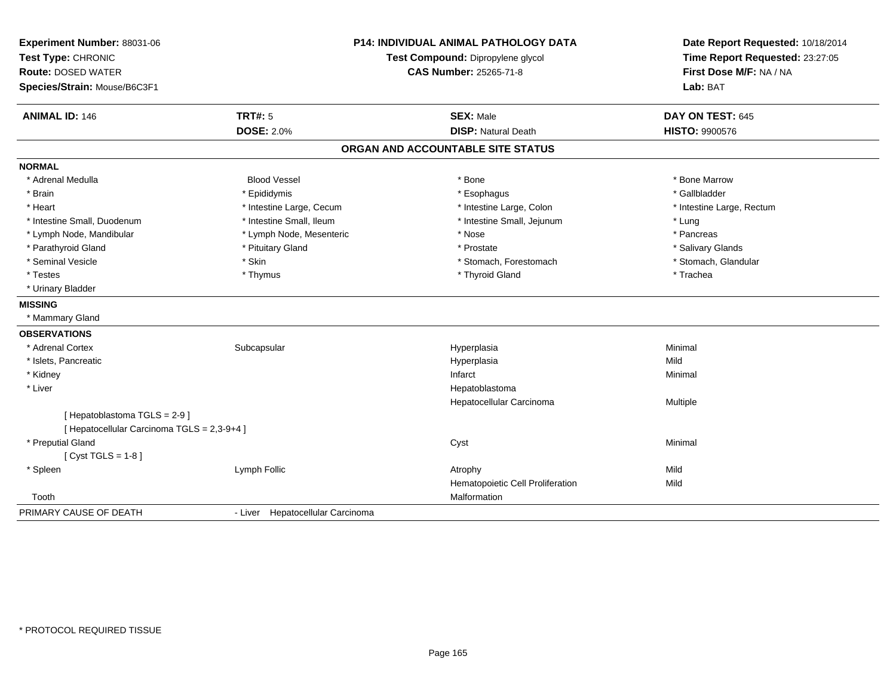| Experiment Number: 88031-06<br>Test Type: CHRONIC<br><b>Route: DOSED WATER</b><br>Species/Strain: Mouse/B6C3F1 | <b>P14: INDIVIDUAL ANIMAL PATHOLOGY DATA</b><br>Test Compound: Dipropylene glycol<br><b>CAS Number: 25265-71-8</b> |                                   | Date Report Requested: 10/18/2014<br>Time Report Requested: 23:27:05<br>First Dose M/F: NA / NA<br>Lab: BAT |  |
|----------------------------------------------------------------------------------------------------------------|--------------------------------------------------------------------------------------------------------------------|-----------------------------------|-------------------------------------------------------------------------------------------------------------|--|
| <b>ANIMAL ID: 146</b>                                                                                          | <b>TRT#: 5</b>                                                                                                     | <b>SEX: Male</b>                  | DAY ON TEST: 645                                                                                            |  |
|                                                                                                                | <b>DOSE: 2.0%</b>                                                                                                  | <b>DISP: Natural Death</b>        | <b>HISTO: 9900576</b>                                                                                       |  |
|                                                                                                                |                                                                                                                    | ORGAN AND ACCOUNTABLE SITE STATUS |                                                                                                             |  |
| <b>NORMAL</b>                                                                                                  |                                                                                                                    |                                   |                                                                                                             |  |
| * Adrenal Medulla                                                                                              | <b>Blood Vessel</b>                                                                                                | * Bone                            | * Bone Marrow                                                                                               |  |
| * Brain                                                                                                        | * Epididymis                                                                                                       | * Esophagus                       | * Gallbladder                                                                                               |  |
| * Heart                                                                                                        | * Intestine Large, Cecum                                                                                           | * Intestine Large, Colon          | * Intestine Large, Rectum                                                                                   |  |
| * Intestine Small, Duodenum                                                                                    | * Intestine Small, Ileum                                                                                           | * Intestine Small, Jejunum        | * Lung                                                                                                      |  |
| * Lymph Node, Mandibular                                                                                       | * Lymph Node, Mesenteric                                                                                           | * Nose                            | * Pancreas                                                                                                  |  |
| * Parathyroid Gland                                                                                            | * Pituitary Gland                                                                                                  | * Prostate                        | * Salivary Glands                                                                                           |  |
| * Seminal Vesicle                                                                                              | * Skin                                                                                                             | * Stomach, Forestomach            | * Stomach, Glandular                                                                                        |  |
| * Testes                                                                                                       | * Thymus                                                                                                           | * Thyroid Gland                   | * Trachea                                                                                                   |  |
| * Urinary Bladder                                                                                              |                                                                                                                    |                                   |                                                                                                             |  |
| <b>MISSING</b>                                                                                                 |                                                                                                                    |                                   |                                                                                                             |  |
| * Mammary Gland                                                                                                |                                                                                                                    |                                   |                                                                                                             |  |
| <b>OBSERVATIONS</b>                                                                                            |                                                                                                                    |                                   |                                                                                                             |  |
| * Adrenal Cortex                                                                                               | Subcapsular                                                                                                        | Hyperplasia                       | Minimal                                                                                                     |  |
| * Islets, Pancreatic                                                                                           |                                                                                                                    | Hyperplasia                       | Mild                                                                                                        |  |
| * Kidney                                                                                                       |                                                                                                                    | Infarct                           | Minimal                                                                                                     |  |
| * Liver                                                                                                        |                                                                                                                    | Hepatoblastoma                    |                                                                                                             |  |
|                                                                                                                |                                                                                                                    | Hepatocellular Carcinoma          | Multiple                                                                                                    |  |
| [Hepatoblastoma TGLS = 2-9]                                                                                    |                                                                                                                    |                                   |                                                                                                             |  |
| [ Hepatocellular Carcinoma TGLS = 2,3-9+4 ]                                                                    |                                                                                                                    |                                   |                                                                                                             |  |
| * Preputial Gland                                                                                              |                                                                                                                    | Cyst                              | Minimal                                                                                                     |  |
| [ $Cyst TGLS = 1-8$ ]                                                                                          |                                                                                                                    |                                   |                                                                                                             |  |
| * Spleen                                                                                                       | Lymph Follic                                                                                                       | Atrophy                           | Mild                                                                                                        |  |
|                                                                                                                |                                                                                                                    | Hematopoietic Cell Proliferation  | Mild                                                                                                        |  |
| Tooth                                                                                                          |                                                                                                                    | Malformation                      |                                                                                                             |  |
| PRIMARY CAUSE OF DEATH                                                                                         | - Liver Hepatocellular Carcinoma                                                                                   |                                   |                                                                                                             |  |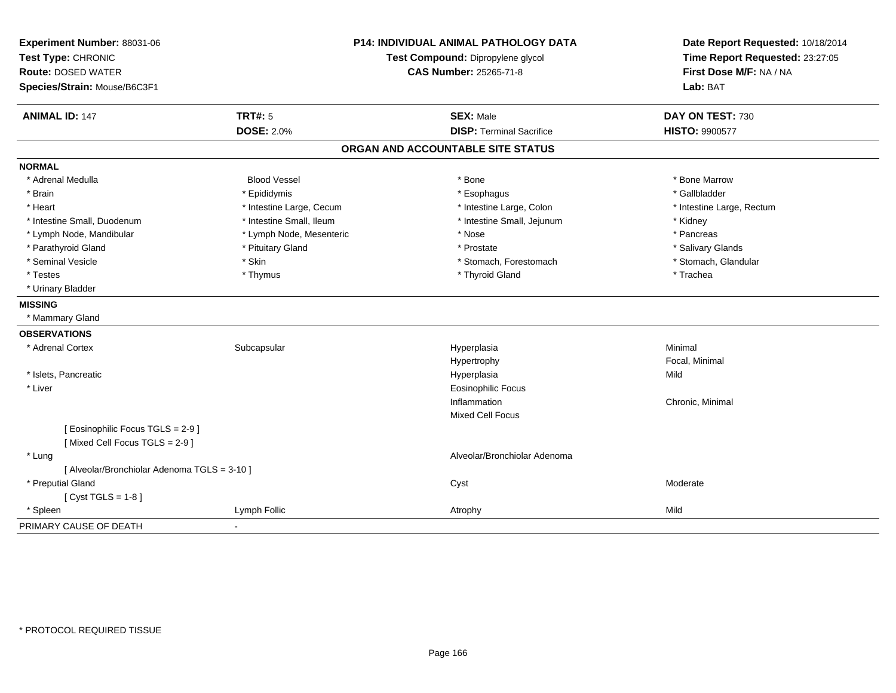| Experiment Number: 88031-06<br>Test Type: CHRONIC<br><b>Route: DOSED WATER</b><br>Species/Strain: Mouse/B6C3F1 |                          | P14: INDIVIDUAL ANIMAL PATHOLOGY DATA<br>Test Compound: Dipropylene glycol<br>CAS Number: 25265-71-8 | Date Report Requested: 10/18/2014<br>Time Report Requested: 23:27:05<br>First Dose M/F: NA / NA<br>Lab: BAT |
|----------------------------------------------------------------------------------------------------------------|--------------------------|------------------------------------------------------------------------------------------------------|-------------------------------------------------------------------------------------------------------------|
| <b>ANIMAL ID: 147</b>                                                                                          | <b>TRT#: 5</b>           | <b>SEX: Male</b>                                                                                     | DAY ON TEST: 730                                                                                            |
|                                                                                                                | <b>DOSE: 2.0%</b>        | <b>DISP: Terminal Sacrifice</b>                                                                      | <b>HISTO: 9900577</b>                                                                                       |
|                                                                                                                |                          | ORGAN AND ACCOUNTABLE SITE STATUS                                                                    |                                                                                                             |
| <b>NORMAL</b>                                                                                                  |                          |                                                                                                      |                                                                                                             |
| * Adrenal Medulla                                                                                              | <b>Blood Vessel</b>      | * Bone                                                                                               | * Bone Marrow                                                                                               |
| * Brain                                                                                                        | * Epididymis             | * Esophagus                                                                                          | * Gallbladder                                                                                               |
| * Heart                                                                                                        | * Intestine Large, Cecum | * Intestine Large, Colon                                                                             | * Intestine Large, Rectum                                                                                   |
| * Intestine Small, Duodenum                                                                                    | * Intestine Small, Ileum | * Intestine Small, Jejunum                                                                           | * Kidney                                                                                                    |
| * Lymph Node, Mandibular                                                                                       | * Lymph Node, Mesenteric | * Nose                                                                                               | * Pancreas                                                                                                  |
| * Parathyroid Gland                                                                                            | * Pituitary Gland        | * Prostate                                                                                           | * Salivary Glands                                                                                           |
| * Seminal Vesicle                                                                                              | * Skin                   | * Stomach, Forestomach                                                                               | * Stomach, Glandular                                                                                        |
| * Testes                                                                                                       | * Thymus                 | * Thyroid Gland                                                                                      | * Trachea                                                                                                   |
| * Urinary Bladder                                                                                              |                          |                                                                                                      |                                                                                                             |
| <b>MISSING</b>                                                                                                 |                          |                                                                                                      |                                                                                                             |
| * Mammary Gland                                                                                                |                          |                                                                                                      |                                                                                                             |
| <b>OBSERVATIONS</b>                                                                                            |                          |                                                                                                      |                                                                                                             |
| * Adrenal Cortex                                                                                               | Subcapsular              | Hyperplasia                                                                                          | Minimal                                                                                                     |
|                                                                                                                |                          | Hypertrophy                                                                                          | Focal, Minimal                                                                                              |
| * Islets, Pancreatic                                                                                           |                          | Hyperplasia                                                                                          | Mild                                                                                                        |
| * Liver                                                                                                        |                          | <b>Eosinophilic Focus</b>                                                                            |                                                                                                             |
|                                                                                                                |                          | Inflammation                                                                                         | Chronic, Minimal                                                                                            |
|                                                                                                                |                          | Mixed Cell Focus                                                                                     |                                                                                                             |
| [Eosinophilic Focus TGLS = 2-9]<br>[Mixed Cell Focus TGLS = 2-9]                                               |                          |                                                                                                      |                                                                                                             |
| * Lung                                                                                                         |                          | Alveolar/Bronchiolar Adenoma                                                                         |                                                                                                             |
| [ Alveolar/Bronchiolar Adenoma TGLS = 3-10 ]                                                                   |                          |                                                                                                      |                                                                                                             |
| * Preputial Gland                                                                                              |                          | Cyst                                                                                                 | Moderate                                                                                                    |
| [ $Cyst TGLS = 1-8$ ]                                                                                          |                          |                                                                                                      |                                                                                                             |
| * Spleen                                                                                                       | Lymph Follic             | Atrophy                                                                                              | Mild                                                                                                        |
| PRIMARY CAUSE OF DEATH                                                                                         |                          |                                                                                                      |                                                                                                             |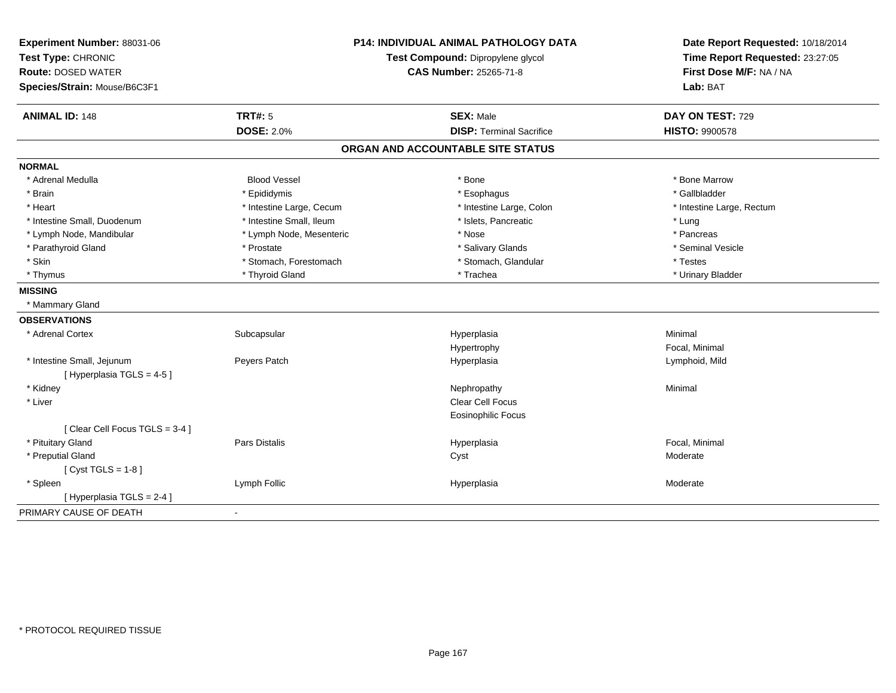| Experiment Number: 88031-06                            | <b>P14: INDIVIDUAL ANIMAL PATHOLOGY DATA</b><br>Test Compound: Dipropylene glycol |                                   | Date Report Requested: 10/18/2014 |
|--------------------------------------------------------|-----------------------------------------------------------------------------------|-----------------------------------|-----------------------------------|
| Test Type: CHRONIC                                     |                                                                                   |                                   | Time Report Requested: 23:27:05   |
| <b>Route: DOSED WATER</b>                              |                                                                                   | <b>CAS Number: 25265-71-8</b>     | First Dose M/F: NA / NA           |
| Species/Strain: Mouse/B6C3F1                           |                                                                                   |                                   | Lab: BAT                          |
| <b>ANIMAL ID: 148</b>                                  | <b>TRT#: 5</b>                                                                    | <b>SEX: Male</b>                  | DAY ON TEST: 729                  |
|                                                        | <b>DOSE: 2.0%</b>                                                                 | <b>DISP: Terminal Sacrifice</b>   | <b>HISTO: 9900578</b>             |
|                                                        |                                                                                   | ORGAN AND ACCOUNTABLE SITE STATUS |                                   |
| <b>NORMAL</b>                                          |                                                                                   |                                   |                                   |
| * Adrenal Medulla                                      | <b>Blood Vessel</b>                                                               | * Bone                            | * Bone Marrow                     |
| * Brain                                                | * Epididymis                                                                      | * Esophagus                       | * Gallbladder                     |
| * Heart                                                | * Intestine Large, Cecum                                                          | * Intestine Large, Colon          | * Intestine Large, Rectum         |
| * Intestine Small, Duodenum                            | * Intestine Small, Ileum                                                          | * Islets, Pancreatic              | * Lung                            |
| * Lymph Node, Mandibular                               | * Lymph Node, Mesenteric                                                          | * Nose                            | * Pancreas                        |
| * Parathyroid Gland                                    | * Prostate                                                                        | * Salivary Glands                 | * Seminal Vesicle                 |
| * Skin                                                 | * Stomach, Forestomach                                                            | * Stomach, Glandular              | * Testes                          |
| * Thymus                                               | * Thyroid Gland                                                                   | * Trachea                         | * Urinary Bladder                 |
| <b>MISSING</b>                                         |                                                                                   |                                   |                                   |
| * Mammary Gland                                        |                                                                                   |                                   |                                   |
| <b>OBSERVATIONS</b>                                    |                                                                                   |                                   |                                   |
| * Adrenal Cortex                                       | Subcapsular                                                                       | Hyperplasia                       | Minimal                           |
|                                                        |                                                                                   | Hypertrophy                       | Focal, Minimal                    |
| * Intestine Small, Jejunum<br>[Hyperplasia TGLS = 4-5] | Peyers Patch                                                                      | Hyperplasia                       | Lymphoid, Mild                    |
| * Kidney                                               |                                                                                   | Nephropathy                       | Minimal                           |
| * Liver                                                |                                                                                   | <b>Clear Cell Focus</b>           |                                   |
|                                                        |                                                                                   | <b>Eosinophilic Focus</b>         |                                   |
| [Clear Cell Focus TGLS = 3-4]                          |                                                                                   |                                   |                                   |
| * Pituitary Gland                                      | <b>Pars Distalis</b>                                                              | Hyperplasia                       | Focal, Minimal                    |
| * Preputial Gland                                      |                                                                                   | Cyst                              | Moderate                          |
| [Cyst TGLS = $1-8$ ]                                   |                                                                                   |                                   |                                   |
| * Spleen                                               | Lymph Follic                                                                      | Hyperplasia                       | Moderate                          |
| [ Hyperplasia TGLS = 2-4 ]                             |                                                                                   |                                   |                                   |
| PRIMARY CAUSE OF DEATH                                 | $\blacksquare$                                                                    |                                   |                                   |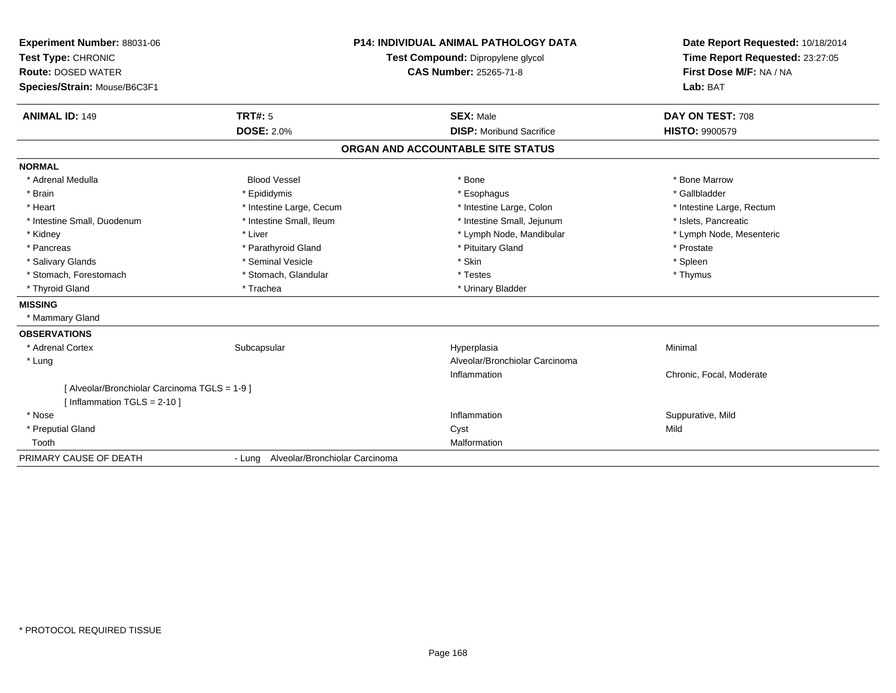| Experiment Number: 88031-06                 |                                                                    | <b>P14: INDIVIDUAL ANIMAL PATHOLOGY DATA</b> | Date Report Requested: 10/18/2014<br>Time Report Requested: 23:27:05 |
|---------------------------------------------|--------------------------------------------------------------------|----------------------------------------------|----------------------------------------------------------------------|
| Test Type: CHRONIC                          | Test Compound: Dipropylene glycol<br><b>CAS Number: 25265-71-8</b> |                                              |                                                                      |
| <b>Route: DOSED WATER</b>                   |                                                                    |                                              | First Dose M/F: NA / NA                                              |
| Species/Strain: Mouse/B6C3F1                |                                                                    |                                              | Lab: BAT                                                             |
| <b>ANIMAL ID: 149</b>                       | <b>TRT#: 5</b>                                                     | <b>SEX: Male</b>                             | DAY ON TEST: 708                                                     |
|                                             | <b>DOSE: 2.0%</b>                                                  | <b>DISP:</b> Moribund Sacrifice              | <b>HISTO: 9900579</b>                                                |
|                                             |                                                                    | ORGAN AND ACCOUNTABLE SITE STATUS            |                                                                      |
| <b>NORMAL</b>                               |                                                                    |                                              |                                                                      |
| * Adrenal Medulla                           | <b>Blood Vessel</b>                                                | * Bone                                       | * Bone Marrow                                                        |
| * Brain                                     | * Epididymis                                                       | * Esophagus                                  | * Gallbladder                                                        |
| * Heart                                     | * Intestine Large, Cecum                                           | * Intestine Large, Colon                     | * Intestine Large, Rectum                                            |
| * Intestine Small, Duodenum                 | * Intestine Small, Ileum                                           | * Intestine Small, Jejunum                   | * Islets, Pancreatic                                                 |
| * Kidney                                    | * Liver                                                            | * Lymph Node, Mandibular                     | * Lymph Node, Mesenteric                                             |
| * Pancreas                                  | * Parathyroid Gland                                                | * Pituitary Gland                            | * Prostate                                                           |
| * Salivary Glands                           | * Seminal Vesicle                                                  | * Skin                                       | * Spleen                                                             |
| * Stomach, Forestomach                      | * Stomach, Glandular                                               | * Testes                                     | * Thymus                                                             |
| * Thyroid Gland                             | * Trachea                                                          | * Urinary Bladder                            |                                                                      |
| <b>MISSING</b>                              |                                                                    |                                              |                                                                      |
| * Mammary Gland                             |                                                                    |                                              |                                                                      |
| <b>OBSERVATIONS</b>                         |                                                                    |                                              |                                                                      |
| * Adrenal Cortex                            | Subcapsular                                                        | Hyperplasia                                  | Minimal                                                              |
| * Lung                                      |                                                                    | Alveolar/Bronchiolar Carcinoma               |                                                                      |
|                                             |                                                                    | Inflammation                                 | Chronic, Focal, Moderate                                             |
| [Alveolar/Bronchiolar Carcinoma TGLS = 1-9] |                                                                    |                                              |                                                                      |
| [ Inflammation $TGLS = 2-10$ ]              |                                                                    |                                              |                                                                      |
| * Nose                                      |                                                                    | Inflammation                                 | Suppurative, Mild                                                    |
| * Preputial Gland                           |                                                                    | Cyst                                         | Mild                                                                 |
| Tooth                                       |                                                                    | Malformation                                 |                                                                      |
| PRIMARY CAUSE OF DEATH                      | - Lung Alveolar/Bronchiolar Carcinoma                              |                                              |                                                                      |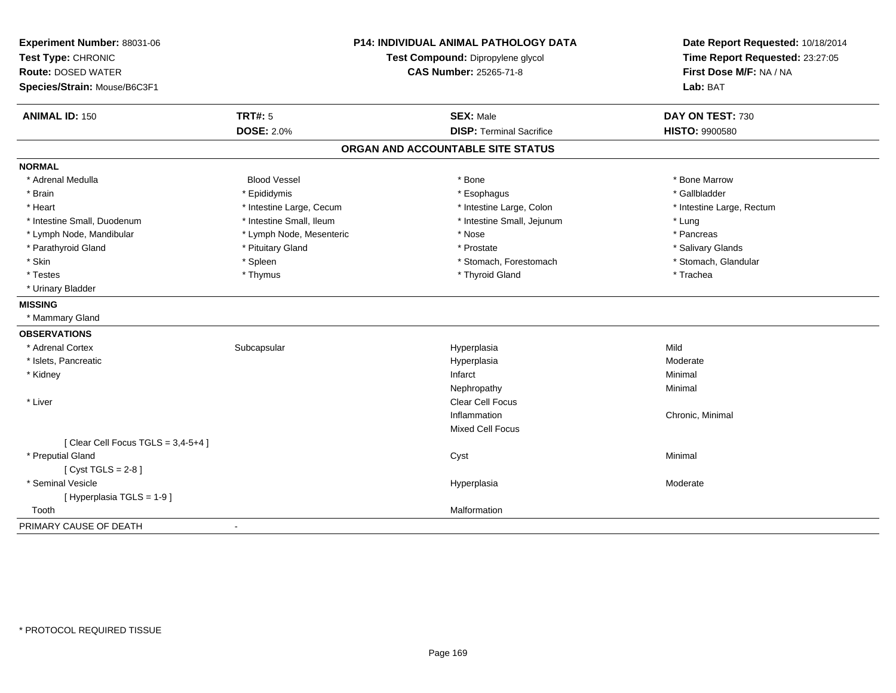| Experiment Number: 88031-06<br>Test Type: CHRONIC<br><b>Route: DOSED WATER</b><br>Species/Strain: Mouse/B6C3F1 |                          | <b>P14: INDIVIDUAL ANIMAL PATHOLOGY DATA</b><br>Test Compound: Dipropylene glycol<br><b>CAS Number: 25265-71-8</b> | Date Report Requested: 10/18/2014<br>Time Report Requested: 23:27:05<br>First Dose M/F: NA / NA<br>Lab: BAT |
|----------------------------------------------------------------------------------------------------------------|--------------------------|--------------------------------------------------------------------------------------------------------------------|-------------------------------------------------------------------------------------------------------------|
| <b>ANIMAL ID: 150</b>                                                                                          | <b>TRT#: 5</b>           | <b>SEX: Male</b><br><b>DISP: Terminal Sacrifice</b>                                                                | DAY ON TEST: 730                                                                                            |
|                                                                                                                | <b>DOSE: 2.0%</b>        |                                                                                                                    | <b>HISTO: 9900580</b>                                                                                       |
|                                                                                                                |                          | ORGAN AND ACCOUNTABLE SITE STATUS                                                                                  |                                                                                                             |
| <b>NORMAL</b>                                                                                                  |                          |                                                                                                                    |                                                                                                             |
| * Adrenal Medulla                                                                                              | <b>Blood Vessel</b>      | * Bone                                                                                                             | * Bone Marrow                                                                                               |
| * Brain                                                                                                        | * Epididymis             | * Esophagus                                                                                                        | * Gallbladder                                                                                               |
| * Heart                                                                                                        | * Intestine Large, Cecum | * Intestine Large, Colon                                                                                           | * Intestine Large, Rectum                                                                                   |
| * Intestine Small, Duodenum                                                                                    | * Intestine Small, Ileum | * Intestine Small, Jejunum                                                                                         | * Lung                                                                                                      |
| * Lymph Node, Mandibular                                                                                       | * Lymph Node, Mesenteric | * Nose                                                                                                             | * Pancreas                                                                                                  |
| * Parathyroid Gland                                                                                            | * Pituitary Gland        | * Prostate                                                                                                         | * Salivary Glands                                                                                           |
| * Skin                                                                                                         | * Spleen                 | * Stomach, Forestomach                                                                                             | * Stomach, Glandular                                                                                        |
| * Testes                                                                                                       | * Thymus                 | * Thyroid Gland                                                                                                    | * Trachea                                                                                                   |
| * Urinary Bladder                                                                                              |                          |                                                                                                                    |                                                                                                             |
| <b>MISSING</b>                                                                                                 |                          |                                                                                                                    |                                                                                                             |
| * Mammary Gland                                                                                                |                          |                                                                                                                    |                                                                                                             |
| <b>OBSERVATIONS</b>                                                                                            |                          |                                                                                                                    |                                                                                                             |
| * Adrenal Cortex                                                                                               | Subcapsular              | Hyperplasia                                                                                                        | Mild                                                                                                        |
| * Islets, Pancreatic                                                                                           |                          | Hyperplasia                                                                                                        | Moderate                                                                                                    |
| * Kidney                                                                                                       |                          | Infarct                                                                                                            | Minimal                                                                                                     |
|                                                                                                                |                          | Nephropathy                                                                                                        | Minimal                                                                                                     |
| * Liver                                                                                                        |                          | Clear Cell Focus                                                                                                   |                                                                                                             |
|                                                                                                                |                          | Inflammation                                                                                                       | Chronic, Minimal                                                                                            |
|                                                                                                                |                          | Mixed Cell Focus                                                                                                   |                                                                                                             |
| [Clear Cell Focus TGLS = $3,4-5+4$ ]                                                                           |                          |                                                                                                                    |                                                                                                             |
| * Preputial Gland                                                                                              |                          | Cyst                                                                                                               | Minimal                                                                                                     |
| [Cyst TGLS = $2-8$ ]                                                                                           |                          |                                                                                                                    |                                                                                                             |
| * Seminal Vesicle                                                                                              |                          | Hyperplasia                                                                                                        | Moderate                                                                                                    |
| [Hyperplasia TGLS = 1-9]                                                                                       |                          |                                                                                                                    |                                                                                                             |
| Tooth                                                                                                          |                          | Malformation                                                                                                       |                                                                                                             |
| PRIMARY CAUSE OF DEATH                                                                                         | $\blacksquare$           |                                                                                                                    |                                                                                                             |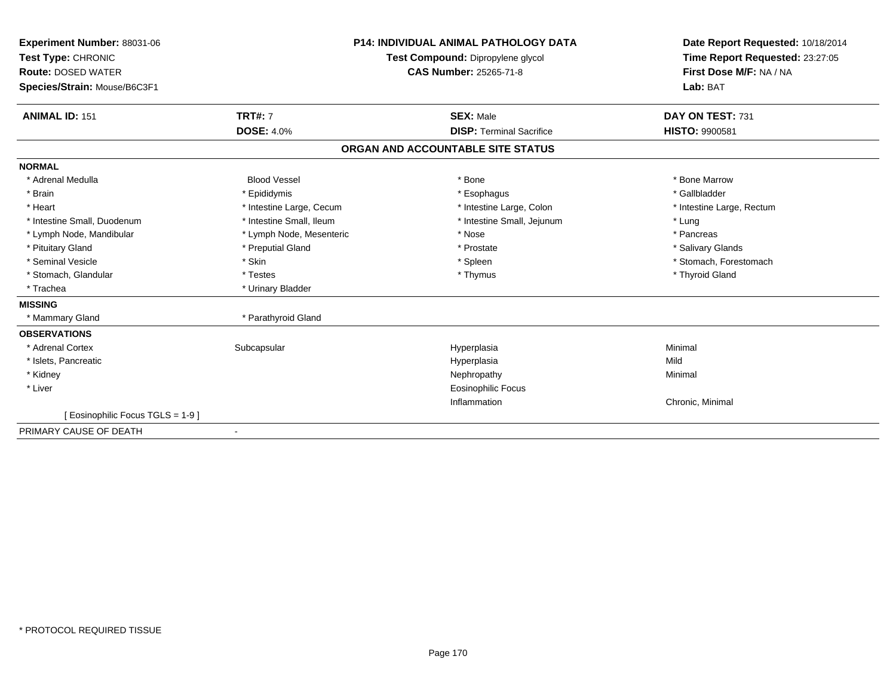| Experiment Number: 88031-06<br>Test Type: CHRONIC<br><b>Route: DOSED WATER</b><br>Species/Strain: Mouse/B6C3F1 |                          | <b>P14: INDIVIDUAL ANIMAL PATHOLOGY DATA</b><br>Test Compound: Dipropylene glycol<br><b>CAS Number: 25265-71-8</b> | Date Report Requested: 10/18/2014<br>Time Report Requested: 23:27:05<br>First Dose M/F: NA / NA<br>Lab: BAT |
|----------------------------------------------------------------------------------------------------------------|--------------------------|--------------------------------------------------------------------------------------------------------------------|-------------------------------------------------------------------------------------------------------------|
| <b>ANIMAL ID: 151</b>                                                                                          | <b>TRT#: 7</b>           | <b>SEX: Male</b>                                                                                                   | DAY ON TEST: 731                                                                                            |
|                                                                                                                | <b>DOSE: 4.0%</b>        | <b>DISP: Terminal Sacrifice</b>                                                                                    | <b>HISTO: 9900581</b>                                                                                       |
|                                                                                                                |                          | ORGAN AND ACCOUNTABLE SITE STATUS                                                                                  |                                                                                                             |
| <b>NORMAL</b>                                                                                                  |                          |                                                                                                                    |                                                                                                             |
| * Adrenal Medulla                                                                                              | <b>Blood Vessel</b>      | * Bone                                                                                                             | * Bone Marrow                                                                                               |
| * Brain                                                                                                        | * Epididymis             | * Esophagus                                                                                                        | * Gallbladder                                                                                               |
| * Heart                                                                                                        | * Intestine Large, Cecum | * Intestine Large, Colon                                                                                           | * Intestine Large, Rectum                                                                                   |
| * Intestine Small, Duodenum                                                                                    | * Intestine Small, Ileum | * Intestine Small, Jejunum                                                                                         | * Lung                                                                                                      |
| * Lymph Node, Mandibular                                                                                       | * Lymph Node, Mesenteric | * Nose                                                                                                             | * Pancreas                                                                                                  |
| * Pituitary Gland                                                                                              | * Preputial Gland        | * Prostate                                                                                                         | * Salivary Glands                                                                                           |
| * Seminal Vesicle                                                                                              | * Skin                   | * Spleen                                                                                                           | * Stomach, Forestomach                                                                                      |
| * Stomach, Glandular                                                                                           | * Testes                 | * Thymus                                                                                                           | * Thyroid Gland                                                                                             |
| * Trachea                                                                                                      | * Urinary Bladder        |                                                                                                                    |                                                                                                             |
| <b>MISSING</b>                                                                                                 |                          |                                                                                                                    |                                                                                                             |
| * Mammary Gland                                                                                                | * Parathyroid Gland      |                                                                                                                    |                                                                                                             |
| <b>OBSERVATIONS</b>                                                                                            |                          |                                                                                                                    |                                                                                                             |
| * Adrenal Cortex                                                                                               | Subcapsular              | Hyperplasia                                                                                                        | Minimal                                                                                                     |
| * Islets, Pancreatic                                                                                           |                          | Hyperplasia                                                                                                        | Mild                                                                                                        |
| * Kidney                                                                                                       |                          | Nephropathy                                                                                                        | Minimal                                                                                                     |
| * Liver                                                                                                        |                          | <b>Eosinophilic Focus</b>                                                                                          |                                                                                                             |
|                                                                                                                |                          | Inflammation                                                                                                       | Chronic, Minimal                                                                                            |
| [ Eosinophilic Focus TGLS = 1-9 ]                                                                              |                          |                                                                                                                    |                                                                                                             |
| PRIMARY CAUSE OF DEATH                                                                                         | $\overline{\phantom{a}}$ |                                                                                                                    |                                                                                                             |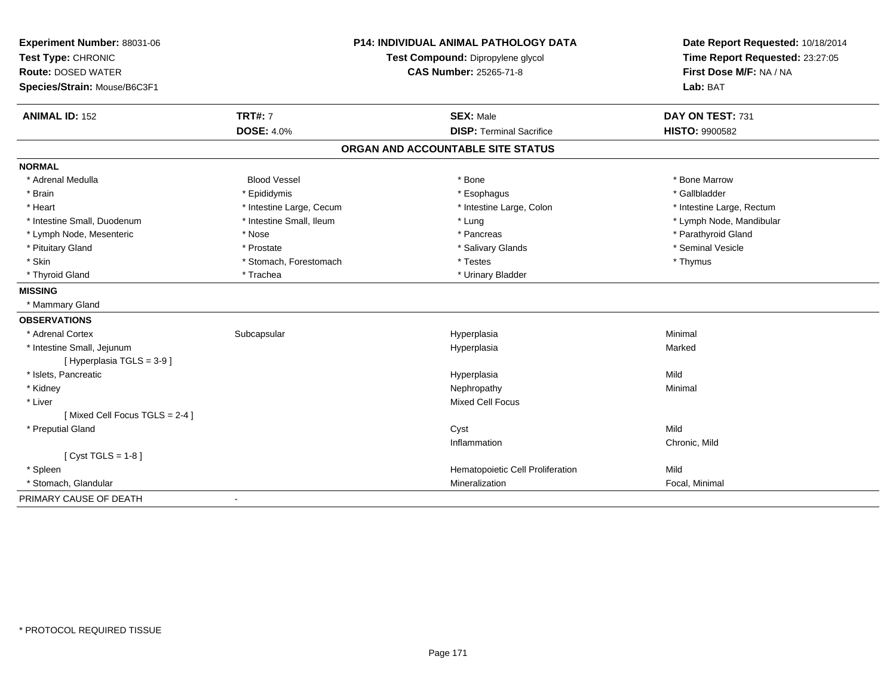| Experiment Number: 88031-06   |                          | <b>P14: INDIVIDUAL ANIMAL PATHOLOGY DATA</b> | Date Report Requested: 10/18/2014                          |
|-------------------------------|--------------------------|----------------------------------------------|------------------------------------------------------------|
| Test Type: CHRONIC            |                          | Test Compound: Dipropylene glycol            | Time Report Requested: 23:27:05<br>First Dose M/F: NA / NA |
| <b>Route: DOSED WATER</b>     |                          | <b>CAS Number: 25265-71-8</b>                |                                                            |
| Species/Strain: Mouse/B6C3F1  |                          |                                              | Lab: BAT                                                   |
| <b>ANIMAL ID: 152</b>         | <b>TRT#: 7</b>           | <b>SEX: Male</b>                             | DAY ON TEST: 731                                           |
|                               | <b>DOSE: 4.0%</b>        | <b>DISP: Terminal Sacrifice</b>              | <b>HISTO: 9900582</b>                                      |
|                               |                          | ORGAN AND ACCOUNTABLE SITE STATUS            |                                                            |
| <b>NORMAL</b>                 |                          |                                              |                                                            |
| * Adrenal Medulla             | <b>Blood Vessel</b>      | * Bone                                       | * Bone Marrow                                              |
| * Brain                       | * Epididymis             | * Esophagus                                  | * Gallbladder                                              |
| * Heart                       | * Intestine Large, Cecum | * Intestine Large, Colon                     | * Intestine Large, Rectum                                  |
| * Intestine Small, Duodenum   | * Intestine Small, Ileum | * Lung                                       | * Lymph Node, Mandibular                                   |
| * Lymph Node, Mesenteric      | * Nose                   | * Pancreas                                   | * Parathyroid Gland                                        |
| * Pituitary Gland             | * Prostate               | * Salivary Glands                            | * Seminal Vesicle                                          |
| * Skin                        | * Stomach, Forestomach   | * Testes                                     | * Thymus                                                   |
| * Thyroid Gland               | * Trachea                | * Urinary Bladder                            |                                                            |
| <b>MISSING</b>                |                          |                                              |                                                            |
| * Mammary Gland               |                          |                                              |                                                            |
| <b>OBSERVATIONS</b>           |                          |                                              |                                                            |
| * Adrenal Cortex              | Subcapsular              | Hyperplasia                                  | Minimal                                                    |
| * Intestine Small, Jejunum    |                          | Hyperplasia                                  | Marked                                                     |
| [Hyperplasia TGLS = 3-9]      |                          |                                              |                                                            |
| * Islets, Pancreatic          |                          | Hyperplasia                                  | Mild                                                       |
| * Kidney                      |                          | Nephropathy                                  | Minimal                                                    |
| * Liver                       |                          | <b>Mixed Cell Focus</b>                      |                                                            |
| [Mixed Cell Focus TGLS = 2-4] |                          |                                              |                                                            |
| * Preputial Gland             |                          | Cyst                                         | Mild                                                       |
|                               |                          | Inflammation                                 | Chronic, Mild                                              |
| [ $Cyst TGLS = 1-8$ ]         |                          |                                              |                                                            |
| * Spleen                      |                          | Hematopoietic Cell Proliferation             | Mild                                                       |
| * Stomach, Glandular          |                          | Mineralization                               | Focal, Minimal                                             |
| PRIMARY CAUSE OF DEATH        | $\blacksquare$           |                                              |                                                            |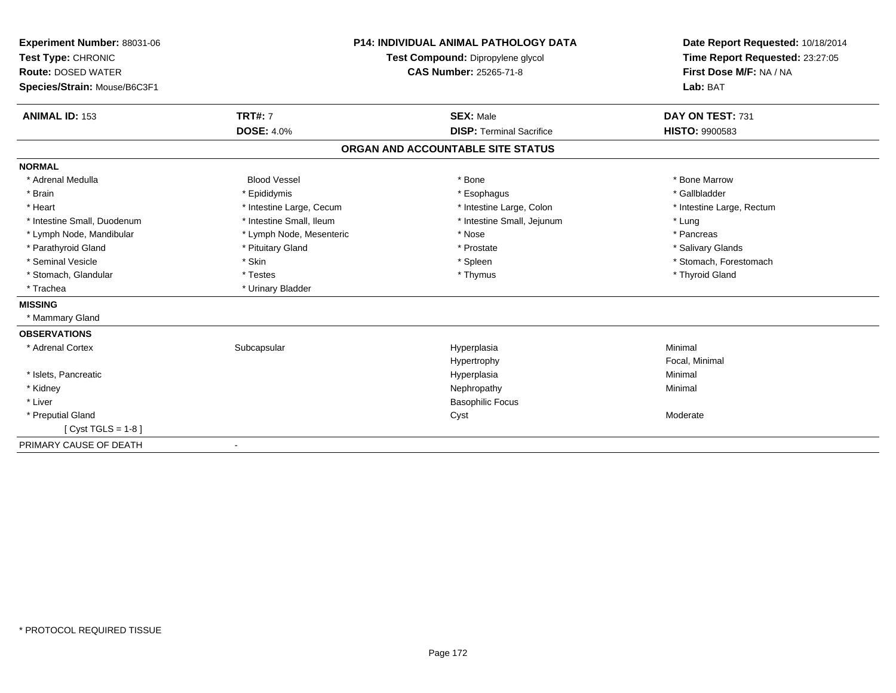| Experiment Number: 88031-06<br>Test Type: CHRONIC<br><b>Route: DOSED WATER</b><br>Species/Strain: Mouse/B6C3F1<br><b>ANIMAL ID: 153</b> | <b>TRT#: 7</b>           | <b>P14: INDIVIDUAL ANIMAL PATHOLOGY DATA</b><br>Test Compound: Dipropylene glycol<br><b>CAS Number: 25265-71-8</b><br><b>SEX: Male</b> | Date Report Requested: 10/18/2014<br>Time Report Requested: 23:27:05<br>First Dose M/F: NA / NA<br>Lab: BAT<br>DAY ON TEST: 731 |
|-----------------------------------------------------------------------------------------------------------------------------------------|--------------------------|----------------------------------------------------------------------------------------------------------------------------------------|---------------------------------------------------------------------------------------------------------------------------------|
|                                                                                                                                         | <b>DOSE: 4.0%</b>        | <b>DISP: Terminal Sacrifice</b>                                                                                                        | <b>HISTO: 9900583</b>                                                                                                           |
|                                                                                                                                         |                          | ORGAN AND ACCOUNTABLE SITE STATUS                                                                                                      |                                                                                                                                 |
| <b>NORMAL</b>                                                                                                                           |                          |                                                                                                                                        |                                                                                                                                 |
| * Adrenal Medulla                                                                                                                       | <b>Blood Vessel</b>      | * Bone                                                                                                                                 | * Bone Marrow                                                                                                                   |
| * Brain                                                                                                                                 | * Epididymis             | * Esophagus                                                                                                                            | * Gallbladder                                                                                                                   |
| * Heart                                                                                                                                 | * Intestine Large, Cecum | * Intestine Large, Colon                                                                                                               | * Intestine Large, Rectum                                                                                                       |
| * Intestine Small, Duodenum                                                                                                             | * Intestine Small, Ileum | * Intestine Small, Jejunum                                                                                                             | * Lung                                                                                                                          |
| * Lymph Node, Mandibular                                                                                                                | * Lymph Node, Mesenteric | * Nose                                                                                                                                 | * Pancreas                                                                                                                      |
| * Parathyroid Gland                                                                                                                     | * Pituitary Gland        | * Prostate                                                                                                                             | * Salivary Glands                                                                                                               |
| * Seminal Vesicle                                                                                                                       | * Skin                   | * Spleen                                                                                                                               | * Stomach, Forestomach                                                                                                          |
| * Stomach, Glandular                                                                                                                    | * Testes                 | * Thymus                                                                                                                               | * Thyroid Gland                                                                                                                 |
| * Trachea                                                                                                                               | * Urinary Bladder        |                                                                                                                                        |                                                                                                                                 |
| <b>MISSING</b>                                                                                                                          |                          |                                                                                                                                        |                                                                                                                                 |
| * Mammary Gland                                                                                                                         |                          |                                                                                                                                        |                                                                                                                                 |
| <b>OBSERVATIONS</b>                                                                                                                     |                          |                                                                                                                                        |                                                                                                                                 |
| * Adrenal Cortex                                                                                                                        | Subcapsular              | Hyperplasia                                                                                                                            | Minimal                                                                                                                         |
|                                                                                                                                         |                          | Hypertrophy                                                                                                                            | Focal, Minimal                                                                                                                  |
| * Islets, Pancreatic                                                                                                                    |                          | Hyperplasia                                                                                                                            | Minimal                                                                                                                         |
| * Kidney                                                                                                                                |                          | Nephropathy                                                                                                                            | Minimal                                                                                                                         |
| * Liver                                                                                                                                 |                          | <b>Basophilic Focus</b>                                                                                                                |                                                                                                                                 |
| * Preputial Gland                                                                                                                       |                          | Cyst                                                                                                                                   | Moderate                                                                                                                        |
| [ $Cyst TGLS = 1-8$ ]                                                                                                                   |                          |                                                                                                                                        |                                                                                                                                 |
| PRIMARY CAUSE OF DEATH                                                                                                                  | $\overline{\phantom{a}}$ |                                                                                                                                        |                                                                                                                                 |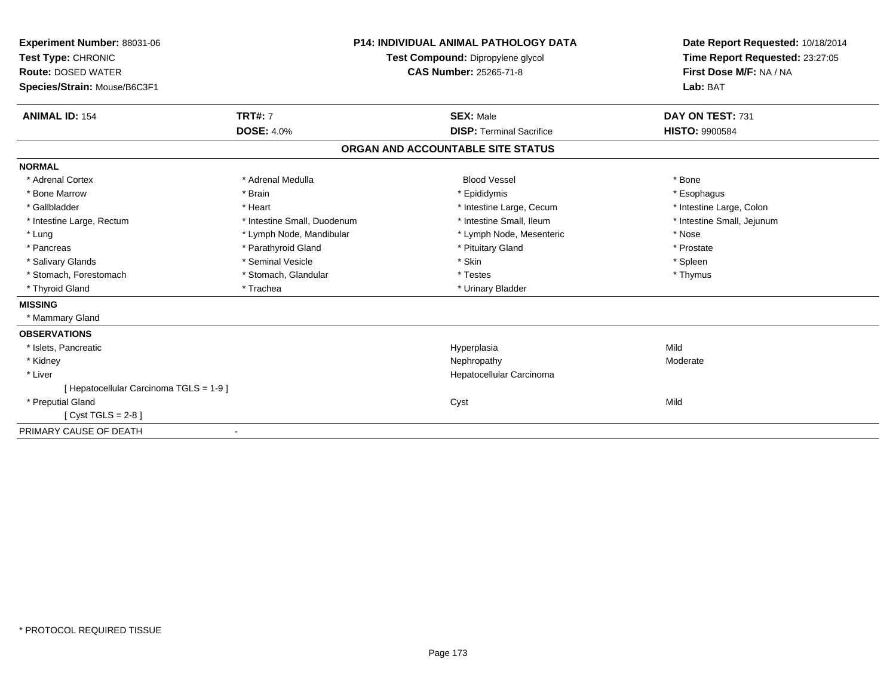| Experiment Number: 88031-06<br>Test Type: CHRONIC<br><b>Route: DOSED WATER</b><br>Species/Strain: Mouse/B6C3F1 |                                     | Test Compound: Dipropylene glycol<br><b>CAS Number: 25265-71-8</b> | <b>P14: INDIVIDUAL ANIMAL PATHOLOGY DATA</b> | Date Report Requested: 10/18/2014<br>Time Report Requested: 23:27:05<br>First Dose M/F: NA / NA<br>Lab: BAT |
|----------------------------------------------------------------------------------------------------------------|-------------------------------------|--------------------------------------------------------------------|----------------------------------------------|-------------------------------------------------------------------------------------------------------------|
| <b>ANIMAL ID: 154</b>                                                                                          | <b>TRT#: 7</b><br><b>DOSE: 4.0%</b> |                                                                    | <b>SEX: Male</b>                             | DAY ON TEST: 731                                                                                            |
|                                                                                                                |                                     |                                                                    | <b>DISP: Terminal Sacrifice</b>              | <b>HISTO: 9900584</b>                                                                                       |
|                                                                                                                |                                     | ORGAN AND ACCOUNTABLE SITE STATUS                                  |                                              |                                                                                                             |
| <b>NORMAL</b>                                                                                                  |                                     |                                                                    |                                              |                                                                                                             |
| * Adrenal Cortex                                                                                               | * Adrenal Medulla                   |                                                                    | <b>Blood Vessel</b>                          | * Bone                                                                                                      |
| * Bone Marrow                                                                                                  | * Brain                             |                                                                    | * Epididymis                                 | * Esophagus                                                                                                 |
| * Gallbladder                                                                                                  | * Heart                             |                                                                    | * Intestine Large, Cecum                     | * Intestine Large, Colon                                                                                    |
| * Intestine Large, Rectum                                                                                      | * Intestine Small, Duodenum         |                                                                    | * Intestine Small, Ileum                     | * Intestine Small, Jejunum                                                                                  |
| * Lung                                                                                                         | * Lymph Node, Mandibular            |                                                                    | * Lymph Node, Mesenteric                     | * Nose                                                                                                      |
| * Pancreas                                                                                                     | * Parathyroid Gland                 |                                                                    | * Pituitary Gland                            | * Prostate                                                                                                  |
| * Salivary Glands                                                                                              | * Seminal Vesicle                   |                                                                    | * Skin                                       | * Spleen                                                                                                    |
| * Stomach, Forestomach                                                                                         | * Stomach, Glandular                |                                                                    | * Testes                                     | * Thymus                                                                                                    |
| * Thyroid Gland                                                                                                | * Trachea                           |                                                                    | * Urinary Bladder                            |                                                                                                             |
| <b>MISSING</b>                                                                                                 |                                     |                                                                    |                                              |                                                                                                             |
| * Mammary Gland                                                                                                |                                     |                                                                    |                                              |                                                                                                             |
| <b>OBSERVATIONS</b>                                                                                            |                                     |                                                                    |                                              |                                                                                                             |
| * Islets, Pancreatic                                                                                           |                                     |                                                                    | Hyperplasia                                  | Mild                                                                                                        |
| * Kidney                                                                                                       |                                     |                                                                    | Nephropathy                                  | Moderate                                                                                                    |
| * Liver                                                                                                        |                                     |                                                                    | Hepatocellular Carcinoma                     |                                                                                                             |
| [ Hepatocellular Carcinoma TGLS = 1-9 ]                                                                        |                                     |                                                                    |                                              |                                                                                                             |
| * Preputial Gland                                                                                              |                                     | Cyst                                                               |                                              | Mild                                                                                                        |
| $Cvst TGLS = 2-8$                                                                                              |                                     |                                                                    |                                              |                                                                                                             |
| PRIMARY CAUSE OF DEATH                                                                                         | $\overline{\phantom{a}}$            |                                                                    |                                              |                                                                                                             |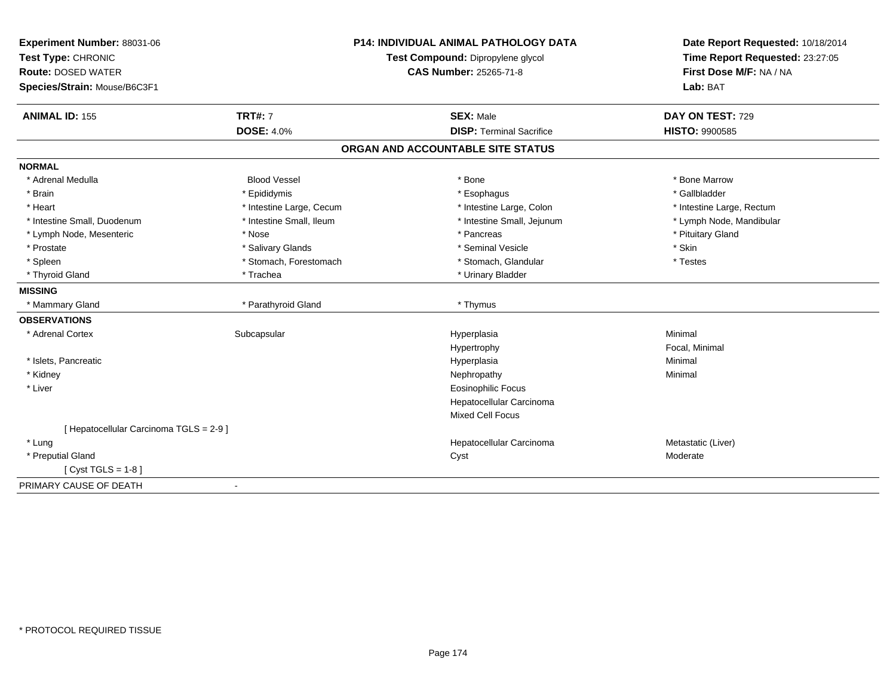| Experiment Number: 88031-06             |                          | <b>P14: INDIVIDUAL ANIMAL PATHOLOGY DATA</b> | Date Report Requested: 10/18/2014 |
|-----------------------------------------|--------------------------|----------------------------------------------|-----------------------------------|
| Test Type: CHRONIC                      |                          | Test Compound: Dipropylene glycol            | Time Report Requested: 23:27:05   |
| <b>Route: DOSED WATER</b>               |                          | <b>CAS Number: 25265-71-8</b>                | First Dose M/F: NA / NA           |
| Species/Strain: Mouse/B6C3F1            |                          |                                              | Lab: BAT                          |
| <b>ANIMAL ID: 155</b>                   | <b>TRT#: 7</b>           | <b>SEX: Male</b>                             | DAY ON TEST: 729                  |
|                                         | <b>DOSE: 4.0%</b>        | <b>DISP: Terminal Sacrifice</b>              | <b>HISTO: 9900585</b>             |
|                                         |                          | ORGAN AND ACCOUNTABLE SITE STATUS            |                                   |
| <b>NORMAL</b>                           |                          |                                              |                                   |
| * Adrenal Medulla                       | <b>Blood Vessel</b>      | * Bone                                       | * Bone Marrow                     |
| * Brain                                 | * Epididymis             | * Esophagus                                  | * Gallbladder                     |
| * Heart                                 | * Intestine Large, Cecum | * Intestine Large, Colon                     | * Intestine Large, Rectum         |
| * Intestine Small, Duodenum             | * Intestine Small, Ileum | * Intestine Small, Jejunum                   | * Lymph Node, Mandibular          |
| * Lymph Node, Mesenteric                | * Nose                   | * Pancreas                                   | * Pituitary Gland                 |
| * Prostate                              | * Salivary Glands        | * Seminal Vesicle                            | * Skin                            |
| * Spleen                                | * Stomach, Forestomach   | * Stomach, Glandular                         | * Testes                          |
| * Thyroid Gland                         | * Trachea                | * Urinary Bladder                            |                                   |
| <b>MISSING</b>                          |                          |                                              |                                   |
| * Mammary Gland                         | * Parathyroid Gland      | * Thymus                                     |                                   |
| <b>OBSERVATIONS</b>                     |                          |                                              |                                   |
| * Adrenal Cortex                        | Subcapsular              | Hyperplasia                                  | Minimal                           |
|                                         |                          | Hypertrophy                                  | Focal, Minimal                    |
| * Islets, Pancreatic                    |                          | Hyperplasia                                  | Minimal                           |
| * Kidney                                |                          | Nephropathy                                  | Minimal                           |
| * Liver                                 |                          | <b>Eosinophilic Focus</b>                    |                                   |
|                                         |                          | Hepatocellular Carcinoma                     |                                   |
|                                         |                          | <b>Mixed Cell Focus</b>                      |                                   |
| [ Hepatocellular Carcinoma TGLS = 2-9 ] |                          |                                              |                                   |
| * Lung                                  |                          | Hepatocellular Carcinoma                     | Metastatic (Liver)                |
| * Preputial Gland                       |                          | Cyst                                         | Moderate                          |
| [ $Cyst TGLS = 1-8$ ]                   |                          |                                              |                                   |
| PRIMARY CAUSE OF DEATH                  | $\blacksquare$           |                                              |                                   |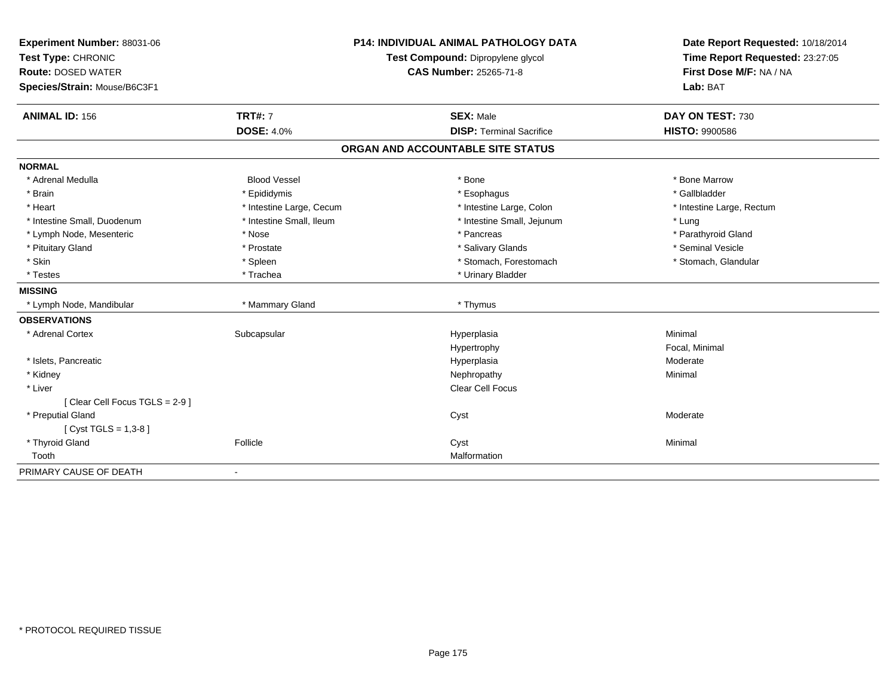| Experiment Number: 88031-06                     |                          | <b>P14: INDIVIDUAL ANIMAL PATHOLOGY DATA</b> | Date Report Requested: 10/18/2014 |  |
|-------------------------------------------------|--------------------------|----------------------------------------------|-----------------------------------|--|
| Test Type: CHRONIC<br><b>Route: DOSED WATER</b> |                          | Test Compound: Dipropylene glycol            | Time Report Requested: 23:27:05   |  |
|                                                 |                          | <b>CAS Number: 25265-71-8</b>                | First Dose M/F: NA / NA           |  |
| Species/Strain: Mouse/B6C3F1                    |                          |                                              | Lab: BAT                          |  |
| <b>ANIMAL ID: 156</b>                           | <b>TRT#: 7</b>           | <b>SEX: Male</b>                             | DAY ON TEST: 730                  |  |
|                                                 | <b>DOSE: 4.0%</b>        | <b>DISP: Terminal Sacrifice</b>              | <b>HISTO: 9900586</b>             |  |
|                                                 |                          | ORGAN AND ACCOUNTABLE SITE STATUS            |                                   |  |
| <b>NORMAL</b>                                   |                          |                                              |                                   |  |
| * Adrenal Medulla                               | <b>Blood Vessel</b>      | * Bone                                       | * Bone Marrow                     |  |
| * Brain                                         | * Epididymis             | * Esophagus                                  | * Gallbladder                     |  |
| * Heart                                         | * Intestine Large, Cecum | * Intestine Large, Colon                     | * Intestine Large, Rectum         |  |
| * Intestine Small, Duodenum                     | * Intestine Small, Ileum | * Intestine Small, Jejunum                   | * Lung                            |  |
| * Lymph Node, Mesenteric                        | * Nose                   | * Pancreas                                   | * Parathyroid Gland               |  |
| * Pituitary Gland                               | * Prostate               | * Salivary Glands                            | * Seminal Vesicle                 |  |
| * Skin                                          | * Spleen                 | * Stomach, Forestomach                       | * Stomach, Glandular              |  |
| * Testes                                        | * Trachea                | * Urinary Bladder                            |                                   |  |
| <b>MISSING</b>                                  |                          |                                              |                                   |  |
| * Lymph Node, Mandibular                        | * Mammary Gland          | * Thymus                                     |                                   |  |
| <b>OBSERVATIONS</b>                             |                          |                                              |                                   |  |
| * Adrenal Cortex                                | Subcapsular              | Hyperplasia                                  | Minimal                           |  |
|                                                 |                          | Hypertrophy                                  | Focal, Minimal                    |  |
| * Islets, Pancreatic                            |                          | Hyperplasia                                  | Moderate                          |  |
| * Kidney                                        |                          | Nephropathy                                  | Minimal                           |  |
| * Liver                                         |                          | Clear Cell Focus                             |                                   |  |
| [Clear Cell Focus TGLS = 2-9]                   |                          |                                              |                                   |  |
| * Preputial Gland                               |                          | Cyst                                         | Moderate                          |  |
| [ $Cyst TGLS = 1,3-8$ ]                         |                          |                                              |                                   |  |
| * Thyroid Gland                                 | Follicle                 | Cyst                                         | Minimal                           |  |
| Tooth                                           |                          | Malformation                                 |                                   |  |
| PRIMARY CAUSE OF DEATH                          | $\overline{\phantom{a}}$ |                                              |                                   |  |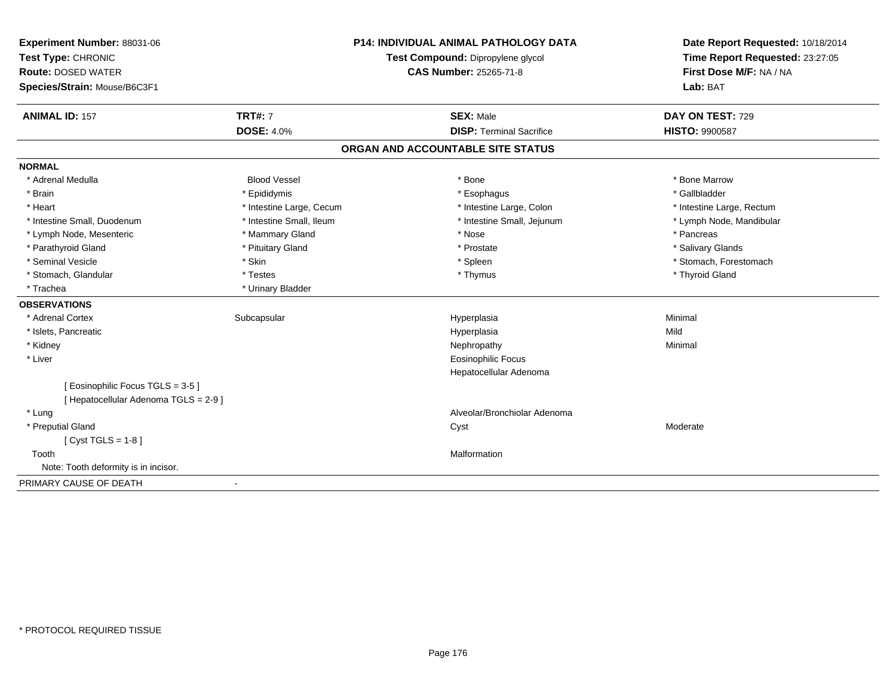| Experiment Number: 88031-06           |                                   | <b>P14: INDIVIDUAL ANIMAL PATHOLOGY DATA</b> | Date Report Requested: 10/18/2014 |
|---------------------------------------|-----------------------------------|----------------------------------------------|-----------------------------------|
| Test Type: CHRONIC                    | Test Compound: Dipropylene glycol |                                              | Time Report Requested: 23:27:05   |
| <b>Route: DOSED WATER</b>             |                                   | <b>CAS Number: 25265-71-8</b>                | First Dose M/F: NA / NA           |
| Species/Strain: Mouse/B6C3F1          |                                   |                                              | Lab: BAT                          |
| <b>ANIMAL ID: 157</b>                 | <b>TRT#: 7</b>                    | <b>SEX: Male</b>                             | DAY ON TEST: 729                  |
|                                       | <b>DOSE: 4.0%</b>                 | <b>DISP: Terminal Sacrifice</b>              | <b>HISTO: 9900587</b>             |
|                                       |                                   | ORGAN AND ACCOUNTABLE SITE STATUS            |                                   |
| <b>NORMAL</b>                         |                                   |                                              |                                   |
| * Adrenal Medulla                     | <b>Blood Vessel</b>               | * Bone                                       | * Bone Marrow                     |
| * Brain                               | * Epididymis                      | * Esophagus                                  | * Gallbladder                     |
| * Heart                               | * Intestine Large, Cecum          | * Intestine Large, Colon                     | * Intestine Large, Rectum         |
| * Intestine Small, Duodenum           | * Intestine Small, Ileum          | * Intestine Small, Jejunum                   | * Lymph Node, Mandibular          |
| * Lymph Node, Mesenteric              | * Mammary Gland                   | * Nose                                       | * Pancreas                        |
| * Parathyroid Gland                   | * Pituitary Gland                 | * Prostate                                   | * Salivary Glands                 |
| * Seminal Vesicle                     | * Skin                            | * Spleen                                     | * Stomach, Forestomach            |
| * Stomach, Glandular                  | * Testes                          | * Thymus                                     | * Thyroid Gland                   |
| * Trachea                             | * Urinary Bladder                 |                                              |                                   |
| <b>OBSERVATIONS</b>                   |                                   |                                              |                                   |
| * Adrenal Cortex                      | Subcapsular                       | Hyperplasia                                  | Minimal                           |
| * Islets, Pancreatic                  |                                   | Hyperplasia                                  | Mild                              |
| * Kidney                              |                                   | Nephropathy                                  | Minimal                           |
| * Liver                               |                                   | <b>Eosinophilic Focus</b>                    |                                   |
|                                       |                                   | Hepatocellular Adenoma                       |                                   |
| [Eosinophilic Focus TGLS = 3-5]       |                                   |                                              |                                   |
| [ Hepatocellular Adenoma TGLS = 2-9 ] |                                   |                                              |                                   |
| * Lung                                |                                   | Alveolar/Bronchiolar Adenoma                 |                                   |
| * Preputial Gland                     |                                   | Cyst                                         | Moderate                          |
| [ $Cyst TGLS = 1-8$ ]                 |                                   |                                              |                                   |
| Tooth                                 |                                   | Malformation                                 |                                   |
| Note: Tooth deformity is in incisor.  |                                   |                                              |                                   |
| PRIMARY CAUSE OF DEATH                | $\blacksquare$                    |                                              |                                   |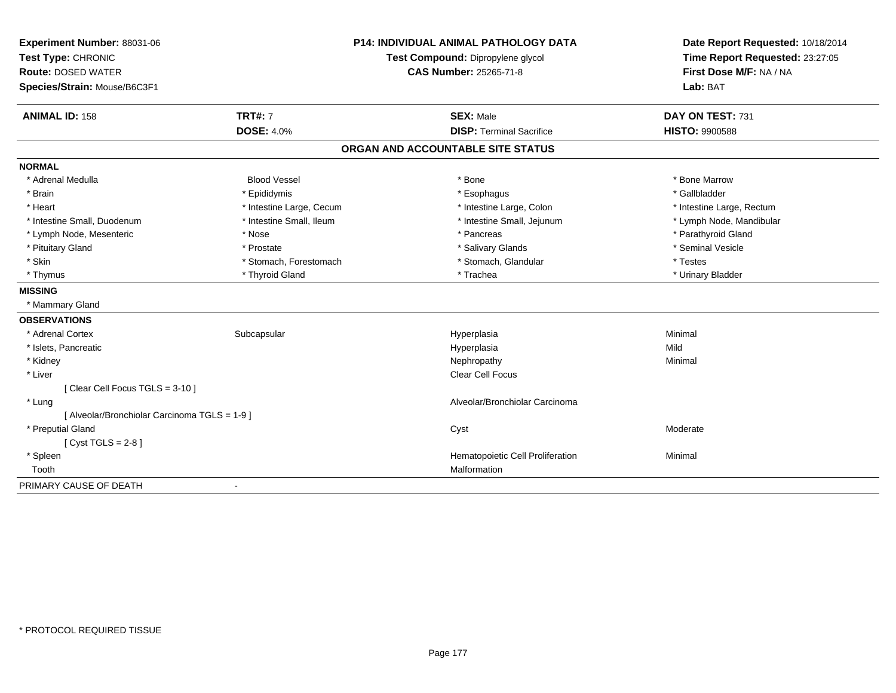| Experiment Number: 88031-06                   |                          | P14: INDIVIDUAL ANIMAL PATHOLOGY DATA | Date Report Requested: 10/18/2014 |  |
|-----------------------------------------------|--------------------------|---------------------------------------|-----------------------------------|--|
| Test Type: CHRONIC                            |                          | Test Compound: Dipropylene glycol     | Time Report Requested: 23:27:05   |  |
| <b>Route: DOSED WATER</b>                     |                          | <b>CAS Number: 25265-71-8</b>         | First Dose M/F: NA / NA           |  |
| Species/Strain: Mouse/B6C3F1                  |                          |                                       | Lab: BAT                          |  |
| <b>ANIMAL ID: 158</b>                         | <b>TRT#: 7</b>           | <b>SEX: Male</b>                      | DAY ON TEST: 731                  |  |
|                                               | <b>DOSE: 4.0%</b>        | <b>DISP: Terminal Sacrifice</b>       | HISTO: 9900588                    |  |
|                                               |                          | ORGAN AND ACCOUNTABLE SITE STATUS     |                                   |  |
| <b>NORMAL</b>                                 |                          |                                       |                                   |  |
| * Adrenal Medulla                             | <b>Blood Vessel</b>      | * Bone                                | * Bone Marrow                     |  |
| * Brain                                       | * Epididymis             | * Esophagus                           | * Gallbladder                     |  |
| * Heart                                       | * Intestine Large, Cecum | * Intestine Large, Colon              | * Intestine Large, Rectum         |  |
| * Intestine Small, Duodenum                   | * Intestine Small, Ileum | * Intestine Small, Jejunum            | * Lymph Node, Mandibular          |  |
| * Lymph Node, Mesenteric                      | * Nose                   | * Pancreas                            | * Parathyroid Gland               |  |
| * Pituitary Gland                             | * Prostate               | * Salivary Glands                     | * Seminal Vesicle                 |  |
| * Skin                                        | * Stomach, Forestomach   | * Stomach, Glandular                  | * Testes                          |  |
| * Thymus                                      | * Thyroid Gland          | * Trachea                             | * Urinary Bladder                 |  |
| <b>MISSING</b>                                |                          |                                       |                                   |  |
| * Mammary Gland                               |                          |                                       |                                   |  |
| <b>OBSERVATIONS</b>                           |                          |                                       |                                   |  |
| * Adrenal Cortex                              | Subcapsular              | Hyperplasia                           | Minimal                           |  |
| * Islets, Pancreatic                          |                          | Hyperplasia                           | Mild                              |  |
| * Kidney                                      |                          | Nephropathy                           | Minimal                           |  |
| * Liver                                       |                          | <b>Clear Cell Focus</b>               |                                   |  |
| [Clear Cell Focus TGLS = 3-10]                |                          |                                       |                                   |  |
| * Lung                                        |                          | Alveolar/Bronchiolar Carcinoma        |                                   |  |
| [ Alveolar/Bronchiolar Carcinoma TGLS = 1-9 ] |                          |                                       |                                   |  |
| * Preputial Gland                             |                          | Cyst                                  | Moderate                          |  |
| [Cyst TGLS = $2-8$ ]                          |                          |                                       |                                   |  |
| * Spleen                                      |                          | Hematopoietic Cell Proliferation      | Minimal                           |  |
| Tooth                                         |                          | Malformation                          |                                   |  |
| PRIMARY CAUSE OF DEATH                        | $\blacksquare$           |                                       |                                   |  |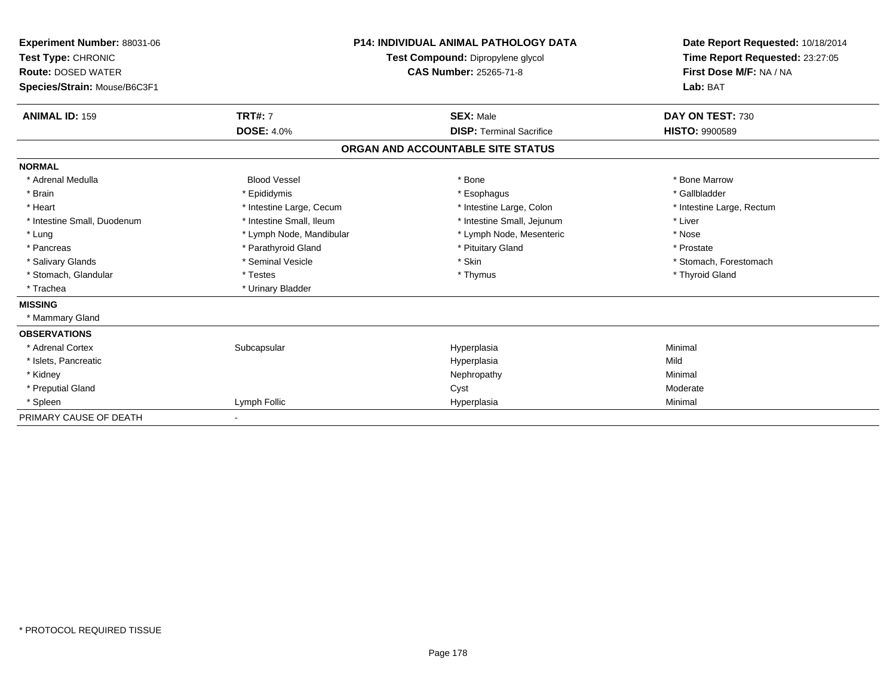| <b>Experiment Number: 88031-06</b><br>Test Type: CHRONIC<br><b>Route: DOSED WATER</b><br>Species/Strain: Mouse/B6C3F1 |                          | <b>P14: INDIVIDUAL ANIMAL PATHOLOGY DATA</b><br>Test Compound: Dipropylene glycol<br><b>CAS Number: 25265-71-8</b> | Date Report Requested: 10/18/2014<br>Time Report Requested: 23:27:05<br>First Dose M/F: NA / NA<br>Lab: BAT |
|-----------------------------------------------------------------------------------------------------------------------|--------------------------|--------------------------------------------------------------------------------------------------------------------|-------------------------------------------------------------------------------------------------------------|
| <b>ANIMAL ID: 159</b>                                                                                                 | <b>TRT#: 7</b>           | <b>SEX: Male</b>                                                                                                   | DAY ON TEST: 730                                                                                            |
|                                                                                                                       | <b>DOSE: 4.0%</b>        | <b>DISP: Terminal Sacrifice</b>                                                                                    | <b>HISTO: 9900589</b>                                                                                       |
|                                                                                                                       |                          | ORGAN AND ACCOUNTABLE SITE STATUS                                                                                  |                                                                                                             |
| <b>NORMAL</b>                                                                                                         |                          |                                                                                                                    |                                                                                                             |
| * Adrenal Medulla                                                                                                     | <b>Blood Vessel</b>      | * Bone                                                                                                             | * Bone Marrow                                                                                               |
| * Brain                                                                                                               | * Epididymis             | * Esophagus                                                                                                        | * Gallbladder                                                                                               |
| * Heart                                                                                                               | * Intestine Large, Cecum | * Intestine Large, Colon                                                                                           | * Intestine Large, Rectum                                                                                   |
| * Intestine Small, Duodenum                                                                                           | * Intestine Small, Ileum | * Intestine Small, Jejunum                                                                                         | * Liver                                                                                                     |
| * Lung                                                                                                                | * Lymph Node, Mandibular | * Lymph Node, Mesenteric                                                                                           | * Nose                                                                                                      |
| * Pancreas                                                                                                            | * Parathyroid Gland      | * Pituitary Gland                                                                                                  | * Prostate                                                                                                  |
| * Salivary Glands                                                                                                     | * Seminal Vesicle        | * Skin                                                                                                             | * Stomach, Forestomach                                                                                      |
| * Stomach, Glandular                                                                                                  | * Testes                 | * Thymus                                                                                                           | * Thyroid Gland                                                                                             |
| * Trachea                                                                                                             | * Urinary Bladder        |                                                                                                                    |                                                                                                             |
| <b>MISSING</b>                                                                                                        |                          |                                                                                                                    |                                                                                                             |
| * Mammary Gland                                                                                                       |                          |                                                                                                                    |                                                                                                             |
| <b>OBSERVATIONS</b>                                                                                                   |                          |                                                                                                                    |                                                                                                             |
| * Adrenal Cortex                                                                                                      | Subcapsular              | Hyperplasia                                                                                                        | Minimal                                                                                                     |
| * Islets, Pancreatic                                                                                                  |                          | Hyperplasia                                                                                                        | Mild                                                                                                        |
| * Kidney                                                                                                              |                          | Nephropathy                                                                                                        | Minimal                                                                                                     |
| * Preputial Gland                                                                                                     |                          | Cyst                                                                                                               | Moderate                                                                                                    |
| * Spleen                                                                                                              | Lymph Follic             | Hyperplasia                                                                                                        | Minimal                                                                                                     |
| PRIMARY CAUSE OF DEATH                                                                                                |                          |                                                                                                                    |                                                                                                             |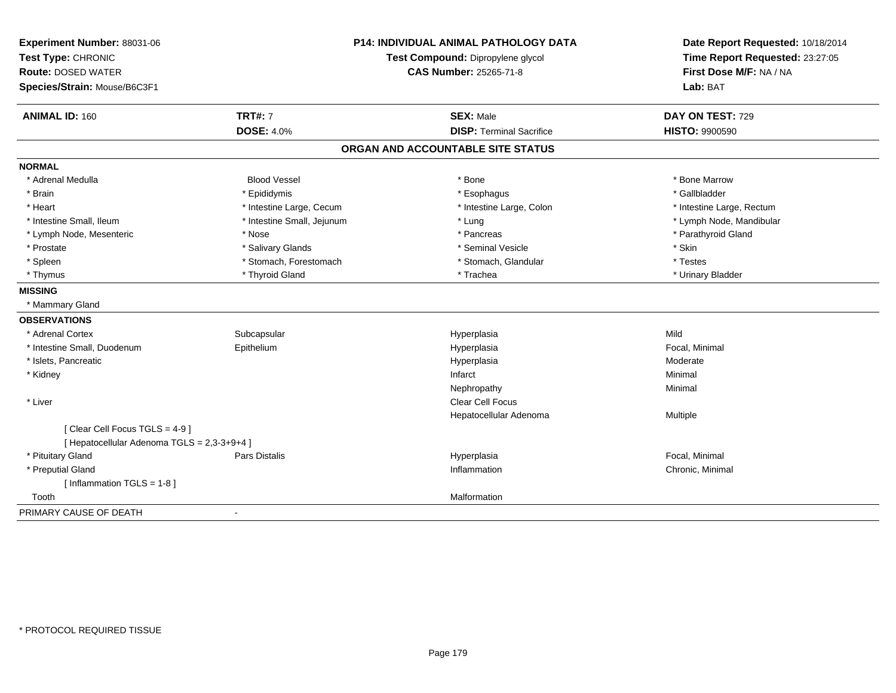| Experiment Number: 88031-06                 |                            | <b>P14: INDIVIDUAL ANIMAL PATHOLOGY DATA</b> | Date Report Requested: 10/18/2014                          |
|---------------------------------------------|----------------------------|----------------------------------------------|------------------------------------------------------------|
| Test Type: CHRONIC                          |                            | Test Compound: Dipropylene glycol            | Time Report Requested: 23:27:05<br>First Dose M/F: NA / NA |
| <b>Route: DOSED WATER</b>                   |                            | <b>CAS Number: 25265-71-8</b>                |                                                            |
| Species/Strain: Mouse/B6C3F1                |                            |                                              | Lab: BAT                                                   |
| <b>ANIMAL ID: 160</b>                       | <b>TRT#: 7</b>             | <b>SEX: Male</b>                             | DAY ON TEST: 729                                           |
|                                             | <b>DOSE: 4.0%</b>          | <b>DISP: Terminal Sacrifice</b>              | <b>HISTO: 9900590</b>                                      |
|                                             |                            | ORGAN AND ACCOUNTABLE SITE STATUS            |                                                            |
| <b>NORMAL</b>                               |                            |                                              |                                                            |
| * Adrenal Medulla                           | <b>Blood Vessel</b>        | * Bone                                       | * Bone Marrow                                              |
| * Brain                                     | * Epididymis               | * Esophagus                                  | * Gallbladder                                              |
| * Heart                                     | * Intestine Large, Cecum   | * Intestine Large, Colon                     | * Intestine Large, Rectum                                  |
| * Intestine Small, Ileum                    | * Intestine Small, Jejunum | * Lung                                       | * Lymph Node, Mandibular                                   |
| * Lymph Node, Mesenteric                    | * Nose                     | * Pancreas                                   | * Parathyroid Gland                                        |
| * Prostate                                  | * Salivary Glands          | * Seminal Vesicle                            | * Skin                                                     |
| * Spleen                                    | * Stomach, Forestomach     | * Stomach, Glandular                         | * Testes                                                   |
| * Thymus                                    | * Thyroid Gland            | * Trachea                                    | * Urinary Bladder                                          |
| <b>MISSING</b>                              |                            |                                              |                                                            |
| * Mammary Gland                             |                            |                                              |                                                            |
| <b>OBSERVATIONS</b>                         |                            |                                              |                                                            |
| * Adrenal Cortex                            | Subcapsular                | Hyperplasia                                  | Mild                                                       |
| * Intestine Small, Duodenum                 | Epithelium                 | Hyperplasia                                  | Focal, Minimal                                             |
| * Islets, Pancreatic                        |                            | Hyperplasia                                  | Moderate                                                   |
| * Kidney                                    |                            | Infarct                                      | Minimal                                                    |
|                                             |                            | Nephropathy                                  | Minimal                                                    |
| * Liver                                     |                            | <b>Clear Cell Focus</b>                      |                                                            |
|                                             |                            | Hepatocellular Adenoma                       | Multiple                                                   |
| [Clear Cell Focus TGLS = 4-9]               |                            |                                              |                                                            |
| [ Hepatocellular Adenoma TGLS = 2,3-3+9+4 ] |                            |                                              |                                                            |
| * Pituitary Gland                           | <b>Pars Distalis</b>       | Hyperplasia                                  | Focal, Minimal                                             |
| * Preputial Gland                           |                            | Inflammation                                 | Chronic, Minimal                                           |
| [Inflammation $TGLS = 1-8$ ]                |                            |                                              |                                                            |
| Tooth                                       |                            | Malformation                                 |                                                            |
| PRIMARY CAUSE OF DEATH                      |                            |                                              |                                                            |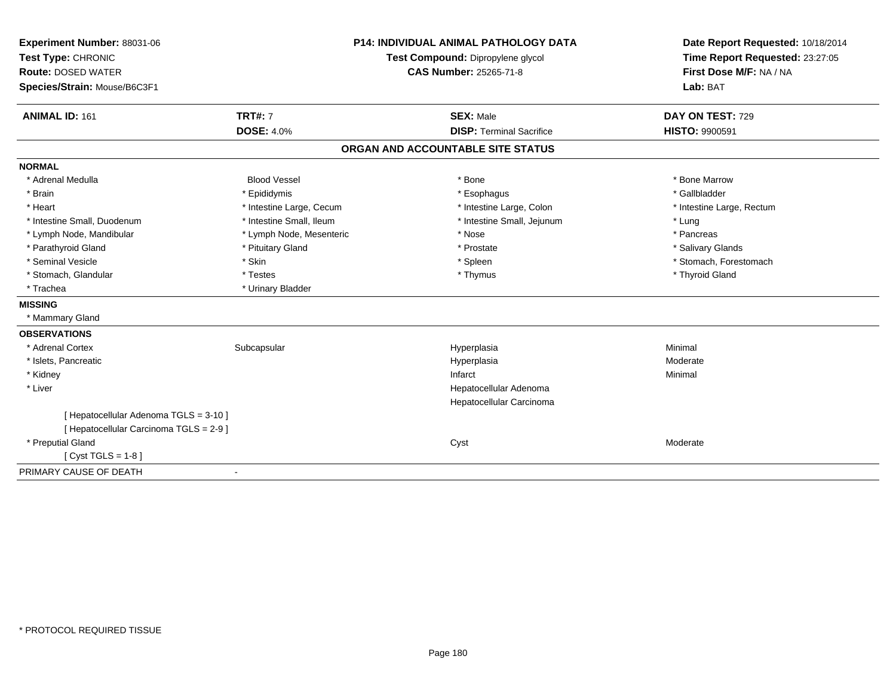| Experiment Number: 88031-06             |                          | <b>P14: INDIVIDUAL ANIMAL PATHOLOGY DATA</b> | Date Report Requested: 10/18/2014                          |
|-----------------------------------------|--------------------------|----------------------------------------------|------------------------------------------------------------|
| Test Type: CHRONIC                      |                          | Test Compound: Dipropylene glycol            | Time Report Requested: 23:27:05<br>First Dose M/F: NA / NA |
| <b>Route: DOSED WATER</b>               |                          | <b>CAS Number: 25265-71-8</b>                |                                                            |
| Species/Strain: Mouse/B6C3F1            |                          |                                              | Lab: BAT                                                   |
| <b>ANIMAL ID: 161</b>                   | <b>TRT#: 7</b>           | <b>SEX: Male</b>                             | DAY ON TEST: 729                                           |
|                                         | <b>DOSE: 4.0%</b>        | <b>DISP: Terminal Sacrifice</b>              | <b>HISTO: 9900591</b>                                      |
|                                         |                          | ORGAN AND ACCOUNTABLE SITE STATUS            |                                                            |
| <b>NORMAL</b>                           |                          |                                              |                                                            |
| * Adrenal Medulla                       | <b>Blood Vessel</b>      | * Bone                                       | * Bone Marrow                                              |
| * Brain                                 | * Epididymis             | * Esophagus                                  | * Gallbladder                                              |
| * Heart                                 | * Intestine Large, Cecum | * Intestine Large, Colon                     | * Intestine Large, Rectum                                  |
| * Intestine Small, Duodenum             | * Intestine Small, Ileum | * Intestine Small, Jejunum                   | * Lung                                                     |
| * Lymph Node, Mandibular                | * Lymph Node, Mesenteric | * Nose                                       | * Pancreas                                                 |
| * Parathyroid Gland                     | * Pituitary Gland        | * Prostate                                   | * Salivary Glands                                          |
| * Seminal Vesicle                       | * Skin                   | * Spleen                                     | * Stomach, Forestomach                                     |
| * Stomach, Glandular                    | * Testes                 | * Thymus                                     | * Thyroid Gland                                            |
| * Trachea                               | * Urinary Bladder        |                                              |                                                            |
| <b>MISSING</b>                          |                          |                                              |                                                            |
| * Mammary Gland                         |                          |                                              |                                                            |
| <b>OBSERVATIONS</b>                     |                          |                                              |                                                            |
| * Adrenal Cortex                        | Subcapsular              | Hyperplasia                                  | Minimal                                                    |
| * Islets, Pancreatic                    |                          | Hyperplasia                                  | Moderate                                                   |
| * Kidney                                |                          | Infarct                                      | Minimal                                                    |
| * Liver                                 |                          | Hepatocellular Adenoma                       |                                                            |
|                                         |                          | Hepatocellular Carcinoma                     |                                                            |
| [ Hepatocellular Adenoma TGLS = 3-10 ]  |                          |                                              |                                                            |
| [ Hepatocellular Carcinoma TGLS = 2-9 ] |                          |                                              |                                                            |
| * Preputial Gland                       |                          | Cyst                                         | Moderate                                                   |
| [ $Cyst TGLS = 1-8$ ]                   |                          |                                              |                                                            |
| PRIMARY CAUSE OF DEATH                  | $\blacksquare$           |                                              |                                                            |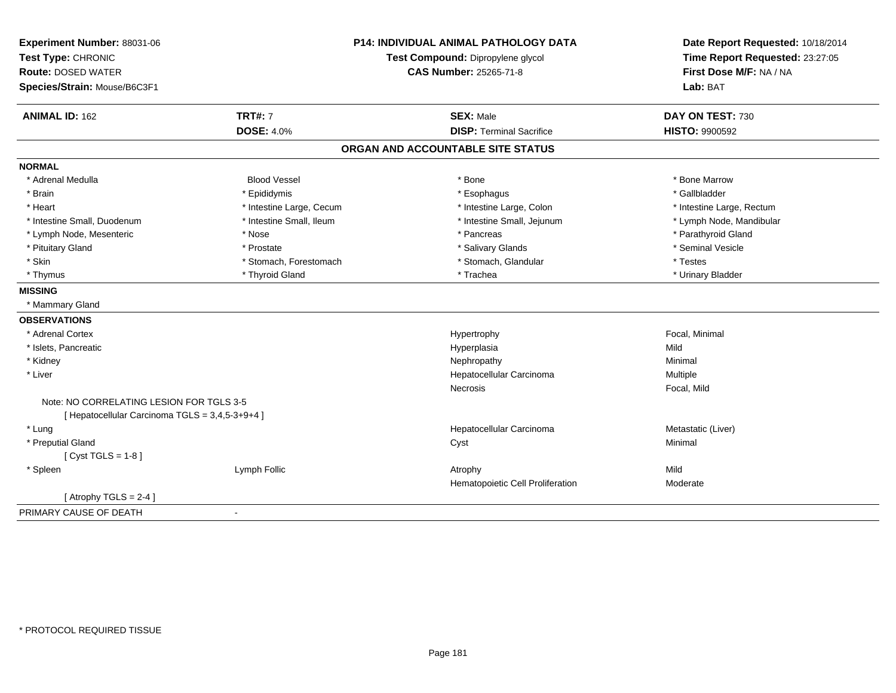| Experiment Number: 88031-06                     |                          | <b>P14: INDIVIDUAL ANIMAL PATHOLOGY DATA</b> | Date Report Requested: 10/18/2014                          |  |
|-------------------------------------------------|--------------------------|----------------------------------------------|------------------------------------------------------------|--|
| Test Type: CHRONIC                              |                          | Test Compound: Dipropylene glycol            | Time Report Requested: 23:27:05<br>First Dose M/F: NA / NA |  |
| <b>Route: DOSED WATER</b>                       |                          | <b>CAS Number: 25265-71-8</b>                |                                                            |  |
| Species/Strain: Mouse/B6C3F1                    |                          |                                              | Lab: BAT                                                   |  |
| <b>ANIMAL ID: 162</b>                           | <b>TRT#: 7</b>           | <b>SEX: Male</b>                             | DAY ON TEST: 730                                           |  |
|                                                 | <b>DOSE: 4.0%</b>        | <b>DISP: Terminal Sacrifice</b>              | <b>HISTO: 9900592</b>                                      |  |
|                                                 |                          | ORGAN AND ACCOUNTABLE SITE STATUS            |                                                            |  |
| <b>NORMAL</b>                                   |                          |                                              |                                                            |  |
| * Adrenal Medulla                               | <b>Blood Vessel</b>      | * Bone                                       | * Bone Marrow                                              |  |
| * Brain                                         | * Epididymis             | * Esophagus                                  | * Gallbladder                                              |  |
| * Heart                                         | * Intestine Large, Cecum | * Intestine Large, Colon                     | * Intestine Large, Rectum                                  |  |
| * Intestine Small, Duodenum                     | * Intestine Small, Ileum | * Intestine Small, Jejunum                   | * Lymph Node, Mandibular                                   |  |
| * Lymph Node, Mesenteric                        | * Nose                   | * Pancreas                                   | * Parathyroid Gland                                        |  |
| * Pituitary Gland                               | * Prostate               | * Salivary Glands                            | * Seminal Vesicle                                          |  |
| * Skin                                          | * Stomach, Forestomach   | * Stomach, Glandular                         | * Testes                                                   |  |
| * Thymus                                        | * Thyroid Gland          | * Trachea                                    | * Urinary Bladder                                          |  |
| <b>MISSING</b>                                  |                          |                                              |                                                            |  |
| * Mammary Gland                                 |                          |                                              |                                                            |  |
| <b>OBSERVATIONS</b>                             |                          |                                              |                                                            |  |
| * Adrenal Cortex                                |                          | Hypertrophy                                  | Focal, Minimal                                             |  |
| * Islets, Pancreatic                            |                          | Hyperplasia                                  | Mild                                                       |  |
| * Kidney                                        |                          | Nephropathy                                  | Minimal                                                    |  |
| * Liver                                         |                          | Hepatocellular Carcinoma                     | Multiple                                                   |  |
|                                                 |                          | <b>Necrosis</b>                              | Focal, Mild                                                |  |
| Note: NO CORRELATING LESION FOR TGLS 3-5        |                          |                                              |                                                            |  |
| [ Hepatocellular Carcinoma TGLS = 3,4,5-3+9+4 ] |                          |                                              |                                                            |  |
| * Lung                                          |                          | Hepatocellular Carcinoma                     | Metastatic (Liver)                                         |  |
| * Preputial Gland                               |                          | Cyst                                         | Minimal                                                    |  |
| [Cyst TGLS = $1-8$ ]                            |                          |                                              |                                                            |  |
| * Spleen                                        | Lymph Follic             | Atrophy                                      | Mild                                                       |  |
|                                                 |                          | Hematopoietic Cell Proliferation             | Moderate                                                   |  |
| [Atrophy TGLS = $2-4$ ]                         |                          |                                              |                                                            |  |
| PRIMARY CAUSE OF DEATH                          | $\blacksquare$           |                                              |                                                            |  |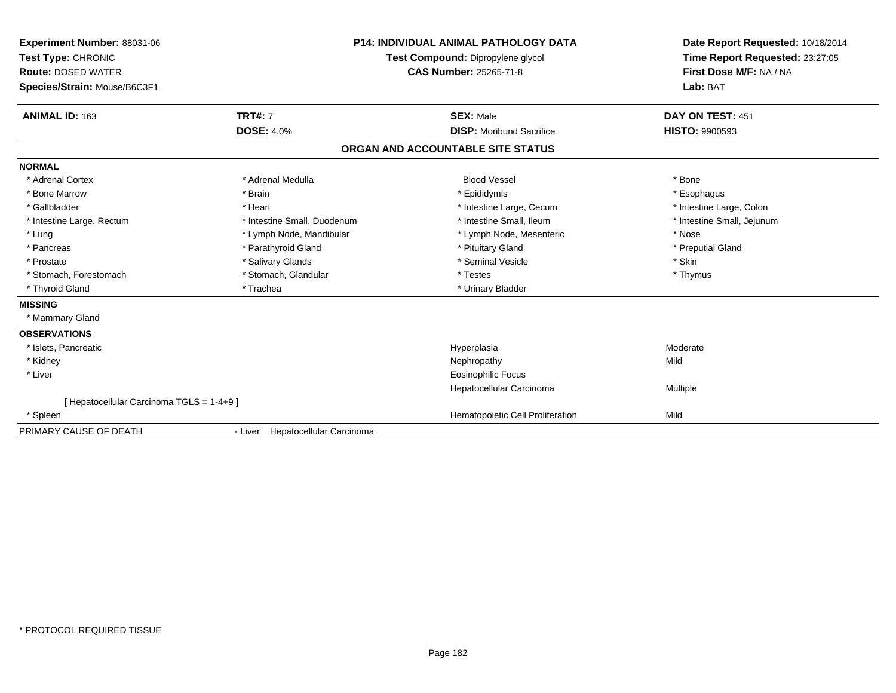| Experiment Number: 88031-06<br>Test Type: CHRONIC<br><b>Route: DOSED WATER</b><br>Species/Strain: Mouse/B6C3F1<br>ANIMAL ID: 163 | <b>TRT#: 7</b>                   | <b>P14: INDIVIDUAL ANIMAL PATHOLOGY DATA</b><br>Test Compound: Dipropylene glycol<br><b>CAS Number: 25265-71-8</b><br><b>SEX: Male</b> | Date Report Requested: 10/18/2014<br>Time Report Requested: 23:27:05<br>First Dose M/F: NA / NA<br>Lab: BAT<br>DAY ON TEST: 451 |
|----------------------------------------------------------------------------------------------------------------------------------|----------------------------------|----------------------------------------------------------------------------------------------------------------------------------------|---------------------------------------------------------------------------------------------------------------------------------|
|                                                                                                                                  | <b>DOSE: 4.0%</b>                | <b>DISP:</b> Moribund Sacrifice                                                                                                        | <b>HISTO: 9900593</b>                                                                                                           |
|                                                                                                                                  |                                  | ORGAN AND ACCOUNTABLE SITE STATUS                                                                                                      |                                                                                                                                 |
| <b>NORMAL</b>                                                                                                                    |                                  |                                                                                                                                        |                                                                                                                                 |
| * Adrenal Cortex                                                                                                                 | * Adrenal Medulla                | <b>Blood Vessel</b>                                                                                                                    | * Bone                                                                                                                          |
| * Bone Marrow                                                                                                                    | * Brain                          | * Epididymis                                                                                                                           | * Esophagus                                                                                                                     |
| * Gallbladder                                                                                                                    | * Heart                          | * Intestine Large, Cecum                                                                                                               | * Intestine Large, Colon                                                                                                        |
| * Intestine Large, Rectum                                                                                                        | * Intestine Small, Duodenum      | * Intestine Small, Ileum                                                                                                               | * Intestine Small, Jejunum                                                                                                      |
| * Lung                                                                                                                           | * Lymph Node, Mandibular         | * Lymph Node, Mesenteric                                                                                                               | * Nose                                                                                                                          |
| * Pancreas                                                                                                                       | * Parathyroid Gland              | * Pituitary Gland                                                                                                                      | * Preputial Gland                                                                                                               |
| * Prostate                                                                                                                       | * Salivary Glands                | * Seminal Vesicle                                                                                                                      | * Skin                                                                                                                          |
| * Stomach. Forestomach                                                                                                           | * Stomach, Glandular             | * Testes                                                                                                                               | * Thymus                                                                                                                        |
| * Thyroid Gland                                                                                                                  | * Trachea                        | * Urinary Bladder                                                                                                                      |                                                                                                                                 |
| <b>MISSING</b>                                                                                                                   |                                  |                                                                                                                                        |                                                                                                                                 |
| * Mammary Gland                                                                                                                  |                                  |                                                                                                                                        |                                                                                                                                 |
| <b>OBSERVATIONS</b>                                                                                                              |                                  |                                                                                                                                        |                                                                                                                                 |
| * Islets, Pancreatic                                                                                                             |                                  | Hyperplasia                                                                                                                            | Moderate                                                                                                                        |
| * Kidney                                                                                                                         |                                  | Nephropathy                                                                                                                            | Mild                                                                                                                            |
| * Liver                                                                                                                          |                                  | Eosinophilic Focus                                                                                                                     |                                                                                                                                 |
|                                                                                                                                  |                                  | Hepatocellular Carcinoma                                                                                                               | Multiple                                                                                                                        |
| [ Hepatocellular Carcinoma TGLS = 1-4+9 ]                                                                                        |                                  |                                                                                                                                        |                                                                                                                                 |
| * Spleen                                                                                                                         |                                  | Hematopoietic Cell Proliferation                                                                                                       | Mild                                                                                                                            |
| PRIMARY CAUSE OF DEATH                                                                                                           | - Liver Hepatocellular Carcinoma |                                                                                                                                        |                                                                                                                                 |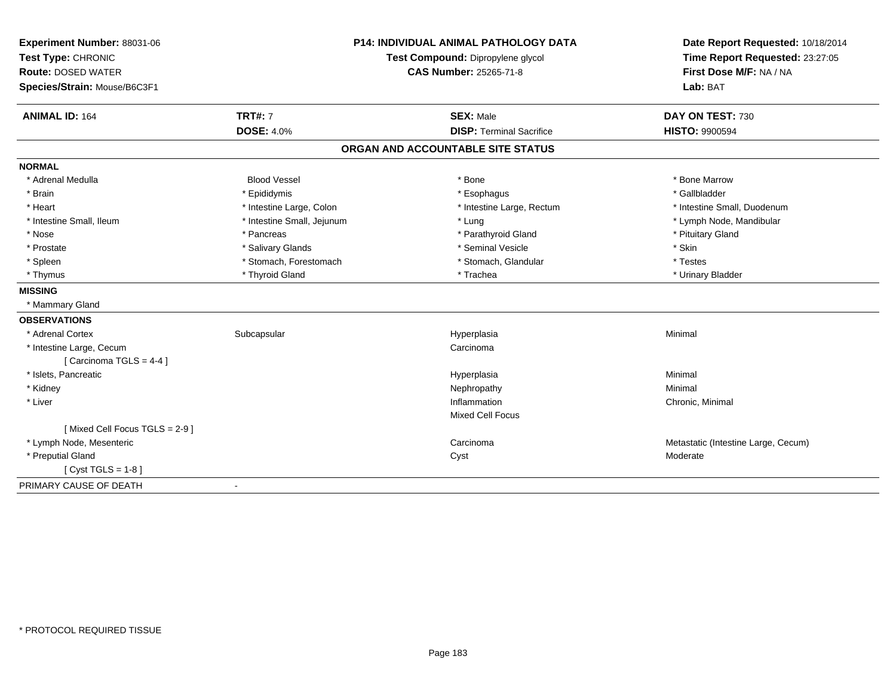| Experiment Number: 88031-06   |                            | <b>P14: INDIVIDUAL ANIMAL PATHOLOGY DATA</b> | Date Report Requested: 10/18/2014                          |  |
|-------------------------------|----------------------------|----------------------------------------------|------------------------------------------------------------|--|
| Test Type: CHRONIC            |                            | Test Compound: Dipropylene glycol            | Time Report Requested: 23:27:05<br>First Dose M/F: NA / NA |  |
| <b>Route: DOSED WATER</b>     |                            | <b>CAS Number: 25265-71-8</b>                |                                                            |  |
| Species/Strain: Mouse/B6C3F1  |                            |                                              | Lab: BAT                                                   |  |
| <b>ANIMAL ID: 164</b>         | <b>TRT#: 7</b>             | <b>SEX: Male</b>                             | DAY ON TEST: 730                                           |  |
|                               | <b>DOSE: 4.0%</b>          | <b>DISP: Terminal Sacrifice</b>              | <b>HISTO: 9900594</b>                                      |  |
|                               |                            | ORGAN AND ACCOUNTABLE SITE STATUS            |                                                            |  |
| <b>NORMAL</b>                 |                            |                                              |                                                            |  |
| * Adrenal Medulla             | <b>Blood Vessel</b>        | * Bone                                       | * Bone Marrow                                              |  |
| * Brain                       | * Epididymis               | * Esophagus                                  | * Gallbladder                                              |  |
| * Heart                       | * Intestine Large, Colon   | * Intestine Large, Rectum                    | * Intestine Small, Duodenum                                |  |
| * Intestine Small, Ileum      | * Intestine Small, Jejunum | * Lung                                       | * Lymph Node, Mandibular                                   |  |
| * Nose                        | * Pancreas                 | * Parathyroid Gland                          | * Pituitary Gland                                          |  |
| * Prostate                    | * Salivary Glands          | * Seminal Vesicle                            | * Skin                                                     |  |
| * Spleen                      | * Stomach, Forestomach     | * Stomach, Glandular                         | * Testes                                                   |  |
| * Thymus                      | * Thyroid Gland            | * Trachea                                    | * Urinary Bladder                                          |  |
| <b>MISSING</b>                |                            |                                              |                                                            |  |
| * Mammary Gland               |                            |                                              |                                                            |  |
| <b>OBSERVATIONS</b>           |                            |                                              |                                                            |  |
| * Adrenal Cortex              | Subcapsular                | Hyperplasia                                  | Minimal                                                    |  |
| * Intestine Large, Cecum      |                            | Carcinoma                                    |                                                            |  |
| [Carcinoma TGLS = $4-4$ ]     |                            |                                              |                                                            |  |
| * Islets, Pancreatic          |                            | Hyperplasia                                  | Minimal                                                    |  |
| * Kidney                      |                            | Nephropathy                                  | Minimal                                                    |  |
| * Liver                       |                            | Inflammation                                 | Chronic, Minimal                                           |  |
|                               |                            | Mixed Cell Focus                             |                                                            |  |
| [Mixed Cell Focus TGLS = 2-9] |                            |                                              |                                                            |  |
| * Lymph Node, Mesenteric      |                            | Carcinoma                                    | Metastatic (Intestine Large, Cecum)                        |  |
| * Preputial Gland             |                            | Cyst                                         | Moderate                                                   |  |
| [Cyst TGLS = $1-8$ ]          |                            |                                              |                                                            |  |
| PRIMARY CAUSE OF DEATH        | $\blacksquare$             |                                              |                                                            |  |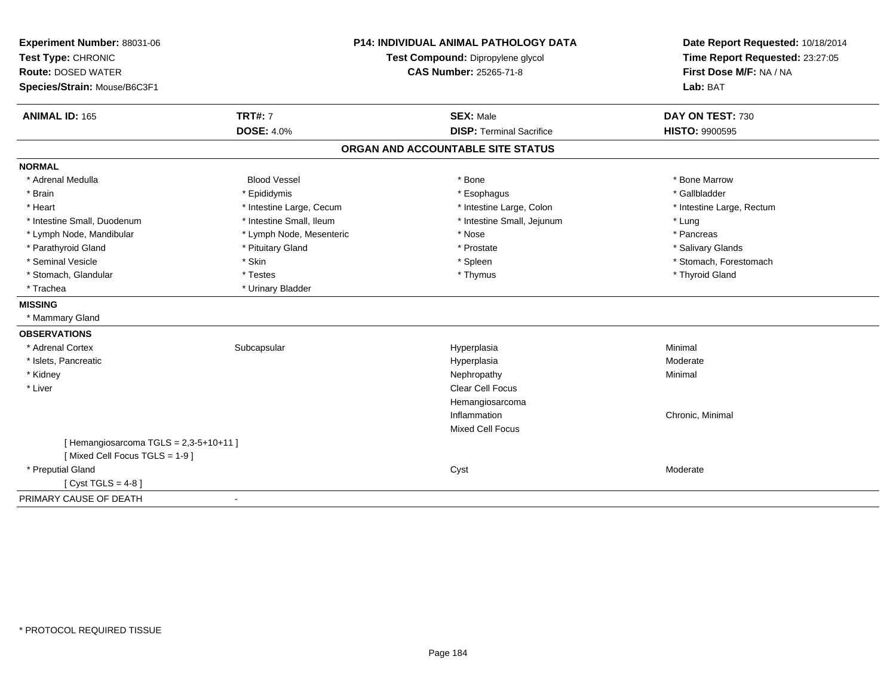| Experiment Number: 88031-06          |                          | <b>P14: INDIVIDUAL ANIMAL PATHOLOGY DATA</b> | Date Report Requested: 10/18/2014                          |  |
|--------------------------------------|--------------------------|----------------------------------------------|------------------------------------------------------------|--|
| Test Type: CHRONIC                   |                          | Test Compound: Dipropylene glycol            | Time Report Requested: 23:27:05<br>First Dose M/F: NA / NA |  |
| <b>Route: DOSED WATER</b>            |                          | <b>CAS Number: 25265-71-8</b>                |                                                            |  |
| Species/Strain: Mouse/B6C3F1         |                          |                                              | Lab: BAT                                                   |  |
| <b>ANIMAL ID: 165</b>                | <b>TRT#: 7</b>           | <b>SEX: Male</b>                             | DAY ON TEST: 730                                           |  |
|                                      | <b>DOSE: 4.0%</b>        | <b>DISP: Terminal Sacrifice</b>              | <b>HISTO: 9900595</b>                                      |  |
|                                      |                          | ORGAN AND ACCOUNTABLE SITE STATUS            |                                                            |  |
| <b>NORMAL</b>                        |                          |                                              |                                                            |  |
| * Adrenal Medulla                    | <b>Blood Vessel</b>      | * Bone                                       | * Bone Marrow                                              |  |
| * Brain                              | * Epididymis             | * Esophagus                                  | * Gallbladder                                              |  |
| * Heart                              | * Intestine Large, Cecum | * Intestine Large, Colon                     | * Intestine Large, Rectum                                  |  |
| * Intestine Small, Duodenum          | * Intestine Small, Ileum | * Intestine Small, Jejunum                   | * Lung                                                     |  |
| * Lymph Node, Mandibular             | * Lymph Node, Mesenteric | * Nose                                       | * Pancreas                                                 |  |
| * Parathyroid Gland                  | * Pituitary Gland        | * Prostate                                   | * Salivary Glands                                          |  |
| * Seminal Vesicle                    | * Skin                   | * Spleen                                     | * Stomach, Forestomach                                     |  |
| * Stomach, Glandular                 | * Testes                 | * Thymus                                     | * Thyroid Gland                                            |  |
| * Trachea                            | * Urinary Bladder        |                                              |                                                            |  |
| <b>MISSING</b>                       |                          |                                              |                                                            |  |
| * Mammary Gland                      |                          |                                              |                                                            |  |
| <b>OBSERVATIONS</b>                  |                          |                                              |                                                            |  |
| * Adrenal Cortex                     | Subcapsular              | Hyperplasia                                  | Minimal                                                    |  |
| * Islets, Pancreatic                 |                          | Hyperplasia                                  | Moderate                                                   |  |
| * Kidney                             |                          | Nephropathy                                  | Minimal                                                    |  |
| * Liver                              |                          | Clear Cell Focus                             |                                                            |  |
|                                      |                          | Hemangiosarcoma                              |                                                            |  |
|                                      |                          | Inflammation                                 | Chronic, Minimal                                           |  |
|                                      |                          | <b>Mixed Cell Focus</b>                      |                                                            |  |
| [Hemangiosarcoma TGLS = 2,3-5+10+11] |                          |                                              |                                                            |  |
| [Mixed Cell Focus TGLS = 1-9]        |                          |                                              |                                                            |  |
| * Preputial Gland                    |                          | Cyst                                         | Moderate                                                   |  |
| [ $Cyst TGLS = 4-8$ ]                |                          |                                              |                                                            |  |
| PRIMARY CAUSE OF DEATH               | $\blacksquare$           |                                              |                                                            |  |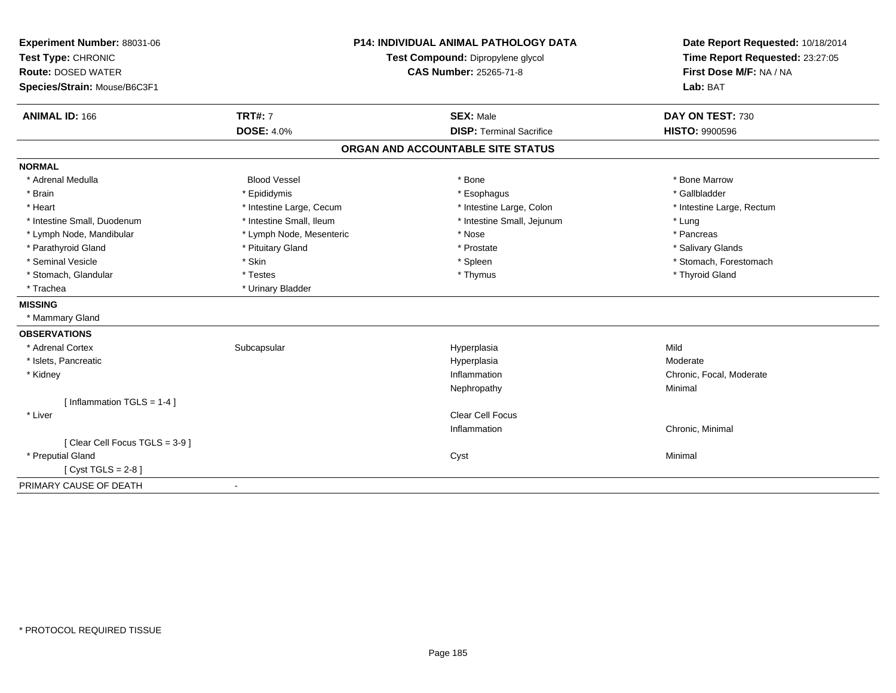| Experiment Number: 88031-06<br>Test Type: CHRONIC<br><b>Route: DOSED WATER</b> | <b>P14: INDIVIDUAL ANIMAL PATHOLOGY DATA</b><br>Test Compound: Dipropylene glycol |                                   | Date Report Requested: 10/18/2014<br>Time Report Requested: 23:27:05<br>First Dose M/F: NA / NA |  |
|--------------------------------------------------------------------------------|-----------------------------------------------------------------------------------|-----------------------------------|-------------------------------------------------------------------------------------------------|--|
| Species/Strain: Mouse/B6C3F1                                                   |                                                                                   | CAS Number: 25265-71-8            | Lab: BAT                                                                                        |  |
| <b>ANIMAL ID: 166</b>                                                          | <b>TRT#: 7</b>                                                                    | <b>SEX: Male</b>                  | DAY ON TEST: 730                                                                                |  |
|                                                                                | <b>DOSE: 4.0%</b>                                                                 | <b>DISP: Terminal Sacrifice</b>   | <b>HISTO: 9900596</b>                                                                           |  |
|                                                                                |                                                                                   | ORGAN AND ACCOUNTABLE SITE STATUS |                                                                                                 |  |
| <b>NORMAL</b>                                                                  |                                                                                   |                                   |                                                                                                 |  |
| * Adrenal Medulla                                                              | <b>Blood Vessel</b>                                                               | * Bone                            | * Bone Marrow                                                                                   |  |
| * Brain                                                                        | * Epididymis                                                                      | * Esophagus                       | * Gallbladder                                                                                   |  |
| * Heart                                                                        | * Intestine Large, Cecum                                                          | * Intestine Large, Colon          | * Intestine Large, Rectum                                                                       |  |
| * Intestine Small, Duodenum                                                    | * Intestine Small, Ileum                                                          | * Intestine Small, Jejunum        | * Lung                                                                                          |  |
| * Lymph Node, Mandibular                                                       | * Lymph Node, Mesenteric                                                          | * Nose                            | * Pancreas                                                                                      |  |
| * Parathyroid Gland                                                            | * Pituitary Gland                                                                 | * Prostate                        | * Salivary Glands                                                                               |  |
| * Seminal Vesicle                                                              | * Skin                                                                            | * Spleen                          | * Stomach, Forestomach                                                                          |  |
| * Stomach, Glandular                                                           | * Testes                                                                          | * Thymus                          | * Thyroid Gland                                                                                 |  |
| * Trachea                                                                      | * Urinary Bladder                                                                 |                                   |                                                                                                 |  |
| <b>MISSING</b>                                                                 |                                                                                   |                                   |                                                                                                 |  |
| * Mammary Gland                                                                |                                                                                   |                                   |                                                                                                 |  |
| <b>OBSERVATIONS</b>                                                            |                                                                                   |                                   |                                                                                                 |  |
| * Adrenal Cortex                                                               | Subcapsular                                                                       | Hyperplasia                       | Mild                                                                                            |  |
| * Islets, Pancreatic                                                           |                                                                                   | Hyperplasia                       | Moderate                                                                                        |  |
| * Kidney                                                                       |                                                                                   | Inflammation                      | Chronic, Focal, Moderate                                                                        |  |
|                                                                                |                                                                                   | Nephropathy                       | Minimal                                                                                         |  |
| [ Inflammation TGLS = 1-4 ]                                                    |                                                                                   |                                   |                                                                                                 |  |
| * Liver                                                                        |                                                                                   | Clear Cell Focus                  |                                                                                                 |  |
|                                                                                |                                                                                   | Inflammation                      | Chronic, Minimal                                                                                |  |
| [Clear Cell Focus TGLS = 3-9]                                                  |                                                                                   |                                   |                                                                                                 |  |
| * Preputial Gland                                                              |                                                                                   | Cyst                              | Minimal                                                                                         |  |
| [Cyst TGLS = $2-8$ ]                                                           |                                                                                   |                                   |                                                                                                 |  |
| PRIMARY CAUSE OF DEATH                                                         |                                                                                   |                                   |                                                                                                 |  |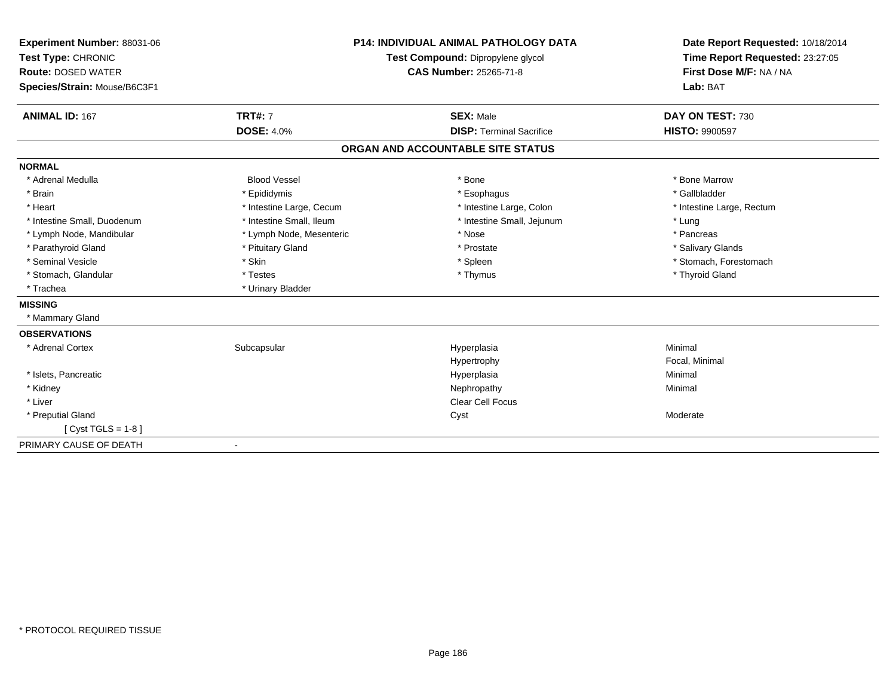| Experiment Number: 88031-06<br>Test Type: CHRONIC<br><b>Route: DOSED WATER</b><br>Species/Strain: Mouse/B6C3F1<br><b>ANIMAL ID: 167</b> | <b>TRT#: 7</b>           | <b>P14: INDIVIDUAL ANIMAL PATHOLOGY DATA</b><br>Test Compound: Dipropylene glycol<br><b>CAS Number: 25265-71-8</b><br><b>SEX: Male</b> | Date Report Requested: 10/18/2014<br>Time Report Requested: 23:27:05<br>First Dose M/F: NA / NA<br>Lab: BAT<br>DAY ON TEST: 730 |
|-----------------------------------------------------------------------------------------------------------------------------------------|--------------------------|----------------------------------------------------------------------------------------------------------------------------------------|---------------------------------------------------------------------------------------------------------------------------------|
|                                                                                                                                         | <b>DOSE: 4.0%</b>        | <b>DISP: Terminal Sacrifice</b>                                                                                                        | <b>HISTO: 9900597</b>                                                                                                           |
|                                                                                                                                         |                          | ORGAN AND ACCOUNTABLE SITE STATUS                                                                                                      |                                                                                                                                 |
| <b>NORMAL</b>                                                                                                                           |                          |                                                                                                                                        |                                                                                                                                 |
| * Adrenal Medulla                                                                                                                       | <b>Blood Vessel</b>      | * Bone                                                                                                                                 | * Bone Marrow                                                                                                                   |
| * Brain                                                                                                                                 | * Epididymis             | * Esophagus                                                                                                                            | * Gallbladder                                                                                                                   |
| * Heart                                                                                                                                 | * Intestine Large, Cecum | * Intestine Large, Colon                                                                                                               | * Intestine Large, Rectum                                                                                                       |
| * Intestine Small, Duodenum                                                                                                             | * Intestine Small, Ileum | * Intestine Small, Jejunum                                                                                                             | * Lung                                                                                                                          |
| * Lymph Node, Mandibular                                                                                                                | * Lymph Node, Mesenteric | * Nose                                                                                                                                 | * Pancreas                                                                                                                      |
| * Parathyroid Gland                                                                                                                     | * Pituitary Gland        | * Prostate                                                                                                                             | * Salivary Glands                                                                                                               |
| * Seminal Vesicle                                                                                                                       | * Skin                   | * Spleen                                                                                                                               | * Stomach, Forestomach                                                                                                          |
| * Stomach, Glandular                                                                                                                    | * Testes                 | * Thymus                                                                                                                               | * Thyroid Gland                                                                                                                 |
| * Trachea                                                                                                                               | * Urinary Bladder        |                                                                                                                                        |                                                                                                                                 |
| <b>MISSING</b>                                                                                                                          |                          |                                                                                                                                        |                                                                                                                                 |
| * Mammary Gland                                                                                                                         |                          |                                                                                                                                        |                                                                                                                                 |
| <b>OBSERVATIONS</b>                                                                                                                     |                          |                                                                                                                                        |                                                                                                                                 |
| * Adrenal Cortex                                                                                                                        | Subcapsular              | Hyperplasia                                                                                                                            | Minimal                                                                                                                         |
|                                                                                                                                         |                          | Hypertrophy                                                                                                                            | Focal, Minimal                                                                                                                  |
| * Islets, Pancreatic                                                                                                                    |                          | Hyperplasia                                                                                                                            | Minimal                                                                                                                         |
| * Kidney                                                                                                                                |                          | Nephropathy                                                                                                                            | Minimal                                                                                                                         |
| * Liver                                                                                                                                 |                          | <b>Clear Cell Focus</b>                                                                                                                |                                                                                                                                 |
| * Preputial Gland                                                                                                                       |                          | Cyst                                                                                                                                   | Moderate                                                                                                                        |
| [ $Cyst TGLS = 1-8$ ]                                                                                                                   |                          |                                                                                                                                        |                                                                                                                                 |
| PRIMARY CAUSE OF DEATH                                                                                                                  | $\overline{\phantom{a}}$ |                                                                                                                                        |                                                                                                                                 |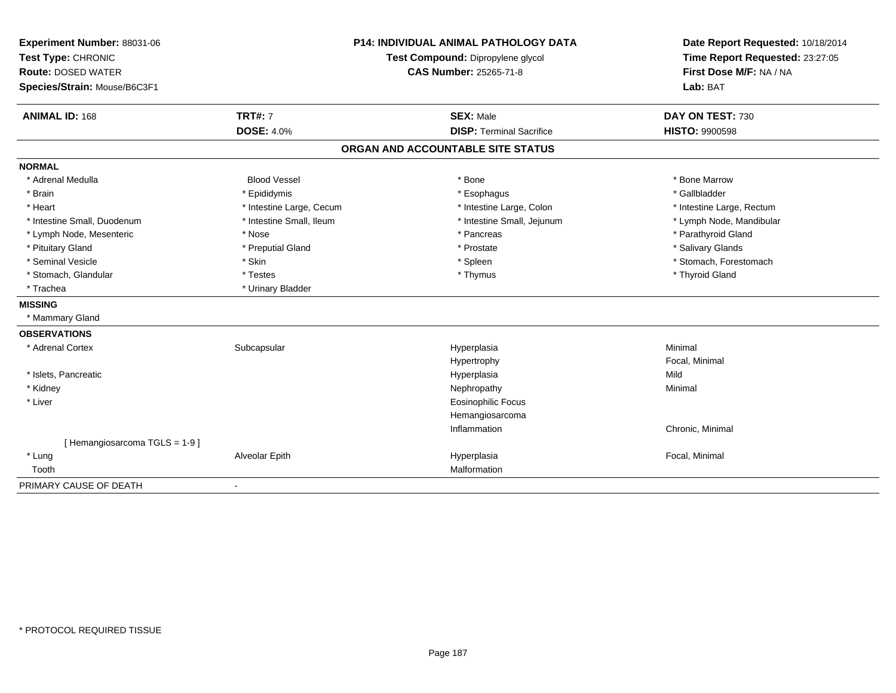| Experiment Number: 88031-06  |                          | <b>P14: INDIVIDUAL ANIMAL PATHOLOGY DATA</b> | Date Report Requested: 10/18/2014 |  |
|------------------------------|--------------------------|----------------------------------------------|-----------------------------------|--|
| Test Type: CHRONIC           |                          | Test Compound: Dipropylene glycol            | Time Report Requested: 23:27:05   |  |
| <b>Route: DOSED WATER</b>    |                          | <b>CAS Number: 25265-71-8</b>                | First Dose M/F: NA / NA           |  |
| Species/Strain: Mouse/B6C3F1 |                          |                                              | Lab: BAT                          |  |
| <b>ANIMAL ID: 168</b>        | <b>TRT#: 7</b>           | <b>SEX: Male</b>                             | DAY ON TEST: 730                  |  |
|                              | <b>DOSE: 4.0%</b>        | <b>DISP: Terminal Sacrifice</b>              | <b>HISTO: 9900598</b>             |  |
|                              |                          | ORGAN AND ACCOUNTABLE SITE STATUS            |                                   |  |
| <b>NORMAL</b>                |                          |                                              |                                   |  |
| * Adrenal Medulla            | <b>Blood Vessel</b>      | * Bone                                       | * Bone Marrow                     |  |
| * Brain                      | * Epididymis             | * Esophagus                                  | * Gallbladder                     |  |
| * Heart                      | * Intestine Large, Cecum | * Intestine Large, Colon                     | * Intestine Large, Rectum         |  |
| * Intestine Small, Duodenum  | * Intestine Small, Ileum | * Intestine Small, Jejunum                   | * Lymph Node, Mandibular          |  |
| * Lymph Node, Mesenteric     | * Nose                   | * Pancreas                                   | * Parathyroid Gland               |  |
| * Pituitary Gland            | * Preputial Gland        | * Prostate                                   | * Salivary Glands                 |  |
| * Seminal Vesicle            | * Skin                   | * Spleen                                     | * Stomach, Forestomach            |  |
| * Stomach, Glandular         | * Testes                 | * Thymus                                     | * Thyroid Gland                   |  |
| * Trachea                    | * Urinary Bladder        |                                              |                                   |  |
| <b>MISSING</b>               |                          |                                              |                                   |  |
| * Mammary Gland              |                          |                                              |                                   |  |
| <b>OBSERVATIONS</b>          |                          |                                              |                                   |  |
| * Adrenal Cortex             | Subcapsular              | Hyperplasia                                  | Minimal                           |  |
|                              |                          | Hypertrophy                                  | Focal, Minimal                    |  |
| * Islets, Pancreatic         |                          | Hyperplasia                                  | Mild                              |  |
| * Kidney                     |                          | Nephropathy                                  | Minimal                           |  |
| * Liver                      |                          | <b>Eosinophilic Focus</b>                    |                                   |  |
|                              |                          | Hemangiosarcoma                              |                                   |  |
|                              |                          | Inflammation                                 | Chronic, Minimal                  |  |
| [Hemangiosarcoma TGLS = 1-9] |                          |                                              |                                   |  |
| * Lung                       | Alveolar Epith           | Hyperplasia                                  | Focal, Minimal                    |  |
| Tooth                        |                          | Malformation                                 |                                   |  |
| PRIMARY CAUSE OF DEATH       |                          |                                              |                                   |  |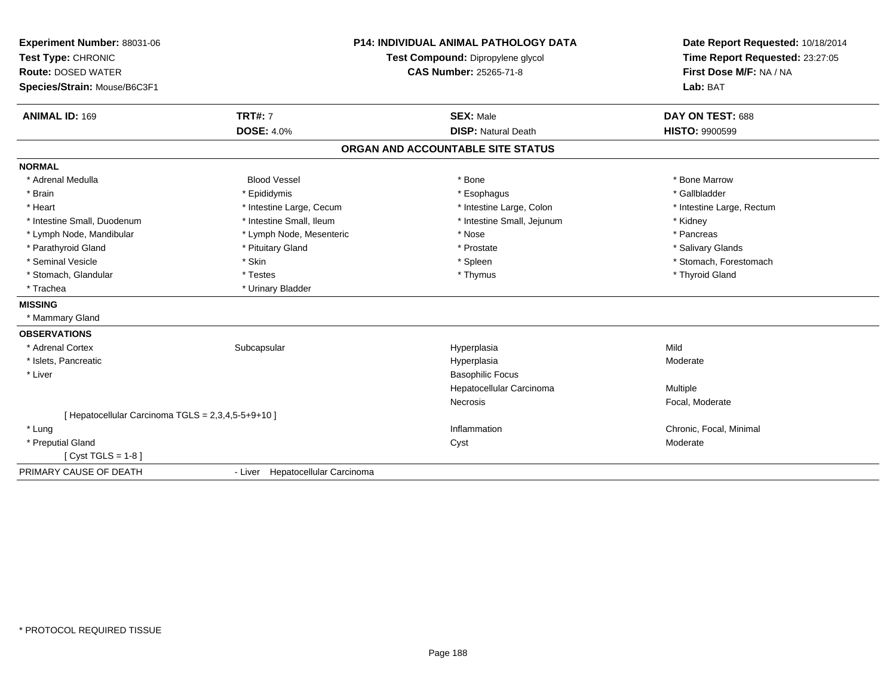| Experiment Number: 88031-06                        |                                  | <b>P14: INDIVIDUAL ANIMAL PATHOLOGY DATA</b> | Date Report Requested: 10/18/2014 |
|----------------------------------------------------|----------------------------------|----------------------------------------------|-----------------------------------|
| Test Type: CHRONIC                                 |                                  | Test Compound: Dipropylene glycol            | Time Report Requested: 23:27:05   |
| <b>Route: DOSED WATER</b>                          |                                  | <b>CAS Number: 25265-71-8</b>                | First Dose M/F: NA / NA           |
| Species/Strain: Mouse/B6C3F1                       |                                  |                                              | Lab: BAT                          |
| <b>ANIMAL ID: 169</b>                              | <b>TRT#: 7</b>                   | <b>SEX: Male</b>                             | DAY ON TEST: 688                  |
|                                                    | <b>DOSE: 4.0%</b>                | <b>DISP: Natural Death</b>                   | <b>HISTO: 9900599</b>             |
|                                                    |                                  | ORGAN AND ACCOUNTABLE SITE STATUS            |                                   |
| <b>NORMAL</b>                                      |                                  |                                              |                                   |
| * Adrenal Medulla                                  | <b>Blood Vessel</b>              | * Bone                                       | * Bone Marrow                     |
| * Brain                                            | * Epididymis                     | * Esophagus                                  | * Gallbladder                     |
| * Heart                                            | * Intestine Large, Cecum         | * Intestine Large, Colon                     | * Intestine Large, Rectum         |
| * Intestine Small, Duodenum                        | * Intestine Small, Ileum         | * Intestine Small, Jejunum                   | * Kidney                          |
| * Lymph Node, Mandibular                           | * Lymph Node, Mesenteric         | * Nose                                       | * Pancreas                        |
| * Parathyroid Gland                                | * Pituitary Gland                | * Prostate                                   | * Salivary Glands                 |
| * Seminal Vesicle                                  | * Skin                           | * Spleen                                     | * Stomach, Forestomach            |
| * Stomach, Glandular                               | * Testes                         | * Thymus                                     | * Thyroid Gland                   |
| * Trachea                                          | * Urinary Bladder                |                                              |                                   |
| <b>MISSING</b>                                     |                                  |                                              |                                   |
| * Mammary Gland                                    |                                  |                                              |                                   |
| <b>OBSERVATIONS</b>                                |                                  |                                              |                                   |
| * Adrenal Cortex                                   | Subcapsular                      | Hyperplasia                                  | Mild                              |
| * Islets, Pancreatic                               |                                  | Hyperplasia                                  | Moderate                          |
| * Liver                                            |                                  | <b>Basophilic Focus</b>                      |                                   |
|                                                    |                                  | Hepatocellular Carcinoma                     | Multiple                          |
|                                                    |                                  | <b>Necrosis</b>                              | Focal, Moderate                   |
| [ Hepatocellular Carcinoma TGLS = 2,3,4,5-5+9+10 ] |                                  |                                              |                                   |
| * Lung                                             |                                  | Inflammation                                 | Chronic, Focal, Minimal           |
| * Preputial Gland                                  |                                  | Cyst                                         | Moderate                          |
| [ $Cyst TGLS = 1-8$ ]                              |                                  |                                              |                                   |
| PRIMARY CAUSE OF DEATH                             | - Liver Hepatocellular Carcinoma |                                              |                                   |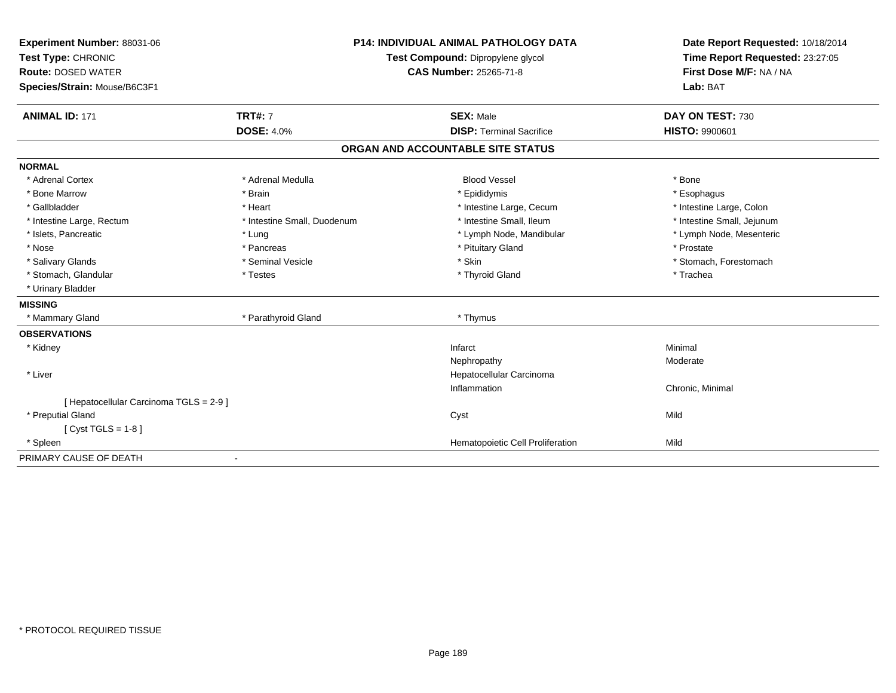| Experiment Number: 88031-06             |                               | <b>P14: INDIVIDUAL ANIMAL PATHOLOGY DATA</b> | Date Report Requested: 10/18/2014 |  |
|-----------------------------------------|-------------------------------|----------------------------------------------|-----------------------------------|--|
| Test Type: CHRONIC                      |                               | Test Compound: Dipropylene glycol            | Time Report Requested: 23:27:05   |  |
| <b>Route: DOSED WATER</b>               | <b>CAS Number: 25265-71-8</b> |                                              | First Dose M/F: NA / NA           |  |
| Species/Strain: Mouse/B6C3F1            |                               |                                              | Lab: BAT                          |  |
|                                         |                               |                                              |                                   |  |
| <b>ANIMAL ID: 171</b>                   | <b>TRT#: 7</b>                | <b>SEX: Male</b>                             | DAY ON TEST: 730                  |  |
|                                         | <b>DOSE: 4.0%</b>             | <b>DISP: Terminal Sacrifice</b>              | <b>HISTO: 9900601</b>             |  |
|                                         |                               | ORGAN AND ACCOUNTABLE SITE STATUS            |                                   |  |
| <b>NORMAL</b>                           |                               |                                              |                                   |  |
| * Adrenal Cortex                        | * Adrenal Medulla             | <b>Blood Vessel</b>                          | * Bone                            |  |
| * Bone Marrow                           | * Brain                       | * Epididymis                                 | * Esophagus                       |  |
| * Gallbladder                           | * Heart                       | * Intestine Large, Cecum                     | * Intestine Large, Colon          |  |
| * Intestine Large, Rectum               | * Intestine Small, Duodenum   | * Intestine Small, Ileum                     | * Intestine Small, Jejunum        |  |
| * Islets, Pancreatic                    | * Lung                        | * Lymph Node, Mandibular                     | * Lymph Node, Mesenteric          |  |
| * Nose                                  | * Pancreas                    | * Pituitary Gland                            | * Prostate                        |  |
| * Salivary Glands                       | * Seminal Vesicle             | * Skin                                       | * Stomach, Forestomach            |  |
| * Stomach, Glandular                    | * Testes                      | * Thyroid Gland                              | * Trachea                         |  |
| * Urinary Bladder                       |                               |                                              |                                   |  |
| <b>MISSING</b>                          |                               |                                              |                                   |  |
| * Mammary Gland                         | * Parathyroid Gland           | * Thymus                                     |                                   |  |
| <b>OBSERVATIONS</b>                     |                               |                                              |                                   |  |
| * Kidney                                |                               | Infarct                                      | Minimal                           |  |
|                                         |                               | Nephropathy                                  | Moderate                          |  |
| * Liver                                 |                               | Hepatocellular Carcinoma                     |                                   |  |
|                                         |                               | Inflammation                                 | Chronic, Minimal                  |  |
| [ Hepatocellular Carcinoma TGLS = 2-9 ] |                               |                                              |                                   |  |
| * Preputial Gland                       |                               | Cyst                                         | Mild                              |  |
| [ $Cyst TGLS = 1-8$ ]                   |                               |                                              |                                   |  |
| * Spleen                                |                               | Hematopoietic Cell Proliferation             | Mild                              |  |
| PRIMARY CAUSE OF DEATH                  |                               |                                              |                                   |  |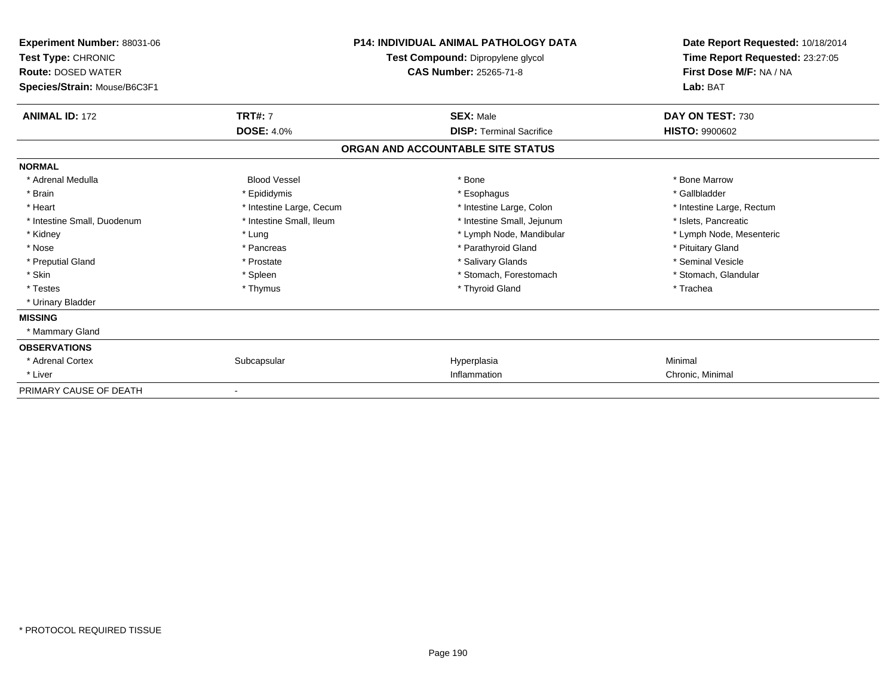| Experiment Number: 88031-06<br>Test Type: CHRONIC<br><b>Route: DOSED WATER</b><br>Species/Strain: Mouse/B6C3F1 |                          | <b>P14: INDIVIDUAL ANIMAL PATHOLOGY DATA</b><br>Test Compound: Dipropylene glycol<br><b>CAS Number: 25265-71-8</b> | Date Report Requested: 10/18/2014<br>Time Report Requested: 23:27:05<br>First Dose M/F: NA / NA<br>Lab: BAT |  |
|----------------------------------------------------------------------------------------------------------------|--------------------------|--------------------------------------------------------------------------------------------------------------------|-------------------------------------------------------------------------------------------------------------|--|
| <b>ANIMAL ID: 172</b>                                                                                          | <b>TRT#: 7</b>           | <b>SEX: Male</b>                                                                                                   | DAY ON TEST: 730                                                                                            |  |
|                                                                                                                | <b>DOSE: 4.0%</b>        | <b>DISP:</b> Terminal Sacrifice                                                                                    | <b>HISTO: 9900602</b>                                                                                       |  |
|                                                                                                                |                          | ORGAN AND ACCOUNTABLE SITE STATUS                                                                                  |                                                                                                             |  |
| <b>NORMAL</b>                                                                                                  |                          |                                                                                                                    |                                                                                                             |  |
| * Adrenal Medulla                                                                                              | <b>Blood Vessel</b>      | * Bone                                                                                                             | * Bone Marrow                                                                                               |  |
| * Brain                                                                                                        | * Epididymis             | * Esophagus                                                                                                        | * Gallbladder                                                                                               |  |
| * Heart                                                                                                        | * Intestine Large, Cecum | * Intestine Large, Colon                                                                                           | * Intestine Large, Rectum                                                                                   |  |
| * Intestine Small, Duodenum                                                                                    | * Intestine Small, Ileum | * Intestine Small, Jejunum                                                                                         | * Islets, Pancreatic                                                                                        |  |
| * Kidney                                                                                                       | * Lung                   | * Lymph Node, Mandibular                                                                                           | * Lymph Node, Mesenteric                                                                                    |  |
| * Nose                                                                                                         | * Pancreas               | * Parathyroid Gland                                                                                                | * Pituitary Gland                                                                                           |  |
| * Preputial Gland                                                                                              | * Prostate               | * Salivary Glands                                                                                                  | * Seminal Vesicle                                                                                           |  |
| * Skin                                                                                                         | * Spleen                 | * Stomach, Forestomach                                                                                             | * Stomach, Glandular                                                                                        |  |
| * Testes                                                                                                       | * Thymus                 | * Thyroid Gland                                                                                                    | * Trachea                                                                                                   |  |
| * Urinary Bladder                                                                                              |                          |                                                                                                                    |                                                                                                             |  |
| <b>MISSING</b>                                                                                                 |                          |                                                                                                                    |                                                                                                             |  |
| * Mammary Gland                                                                                                |                          |                                                                                                                    |                                                                                                             |  |
| <b>OBSERVATIONS</b>                                                                                            |                          |                                                                                                                    |                                                                                                             |  |
| * Adrenal Cortex                                                                                               | Subcapsular              | Hyperplasia                                                                                                        | Minimal                                                                                                     |  |
| * Liver                                                                                                        |                          | Inflammation                                                                                                       | Chronic, Minimal                                                                                            |  |
| PRIMARY CAUSE OF DEATH                                                                                         |                          |                                                                                                                    |                                                                                                             |  |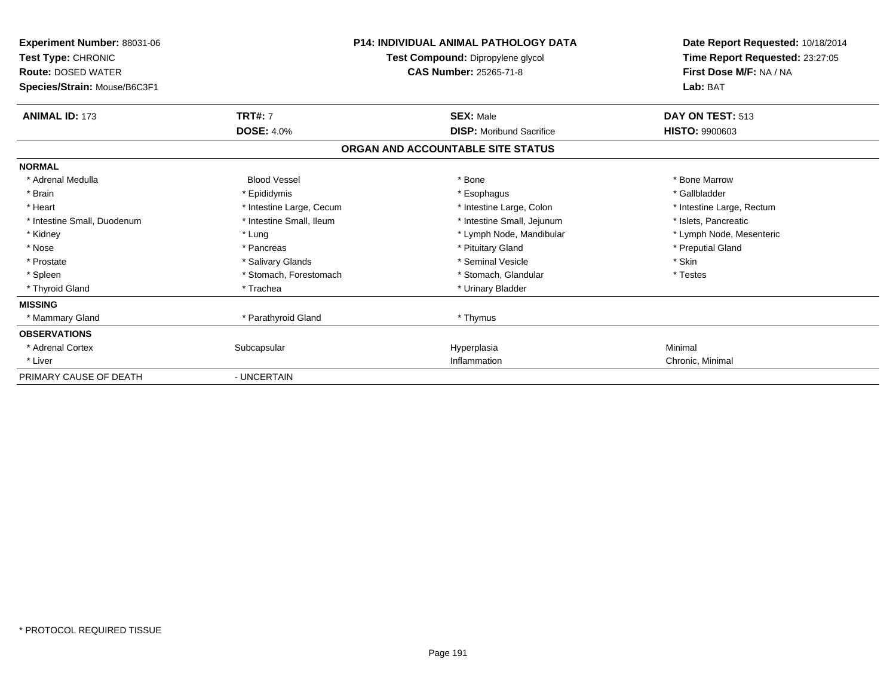| <b>Experiment Number: 88031-06</b><br>Test Type: CHRONIC<br><b>Route: DOSED WATER</b><br>Species/Strain: Mouse/B6C3F1 |                          | <b>P14: INDIVIDUAL ANIMAL PATHOLOGY DATA</b><br>Test Compound: Dipropylene glycol<br><b>CAS Number: 25265-71-8</b> | Date Report Requested: 10/18/2014<br>Time Report Requested: 23:27:05<br>First Dose M/F: NA / NA<br>Lab: BAT |  |
|-----------------------------------------------------------------------------------------------------------------------|--------------------------|--------------------------------------------------------------------------------------------------------------------|-------------------------------------------------------------------------------------------------------------|--|
| <b>ANIMAL ID: 173</b>                                                                                                 | <b>TRT#: 7</b>           | <b>SEX: Male</b>                                                                                                   | DAY ON TEST: 513                                                                                            |  |
|                                                                                                                       | <b>DOSE: 4.0%</b>        | <b>DISP:</b> Moribund Sacrifice                                                                                    | <b>HISTO: 9900603</b>                                                                                       |  |
|                                                                                                                       |                          | ORGAN AND ACCOUNTABLE SITE STATUS                                                                                  |                                                                                                             |  |
| <b>NORMAL</b>                                                                                                         |                          |                                                                                                                    |                                                                                                             |  |
| * Adrenal Medulla                                                                                                     | <b>Blood Vessel</b>      | * Bone                                                                                                             | * Bone Marrow                                                                                               |  |
| * Brain                                                                                                               | * Epididymis             | * Esophagus                                                                                                        | * Gallbladder                                                                                               |  |
| * Heart                                                                                                               | * Intestine Large, Cecum | * Intestine Large, Colon                                                                                           | * Intestine Large, Rectum                                                                                   |  |
| * Intestine Small, Duodenum                                                                                           | * Intestine Small, Ileum | * Intestine Small, Jejunum                                                                                         | * Islets. Pancreatic                                                                                        |  |
| * Kidney                                                                                                              | * Lung                   | * Lymph Node, Mandibular                                                                                           | * Lymph Node, Mesenteric                                                                                    |  |
| * Nose                                                                                                                | * Pancreas               | * Pituitary Gland                                                                                                  | * Preputial Gland                                                                                           |  |
| * Prostate                                                                                                            | * Salivary Glands        | * Seminal Vesicle                                                                                                  | * Skin                                                                                                      |  |
| * Spleen                                                                                                              | * Stomach, Forestomach   | * Stomach, Glandular                                                                                               | * Testes                                                                                                    |  |
| * Thyroid Gland                                                                                                       | * Trachea                | * Urinary Bladder                                                                                                  |                                                                                                             |  |
| <b>MISSING</b>                                                                                                        |                          |                                                                                                                    |                                                                                                             |  |
| * Mammary Gland                                                                                                       | * Parathyroid Gland      | * Thymus                                                                                                           |                                                                                                             |  |
| <b>OBSERVATIONS</b>                                                                                                   |                          |                                                                                                                    |                                                                                                             |  |
| * Adrenal Cortex                                                                                                      | Subcapsular              | Hyperplasia                                                                                                        | Minimal                                                                                                     |  |
| * Liver                                                                                                               |                          | Inflammation                                                                                                       | Chronic, Minimal                                                                                            |  |
| PRIMARY CAUSE OF DEATH                                                                                                | - UNCERTAIN              |                                                                                                                    |                                                                                                             |  |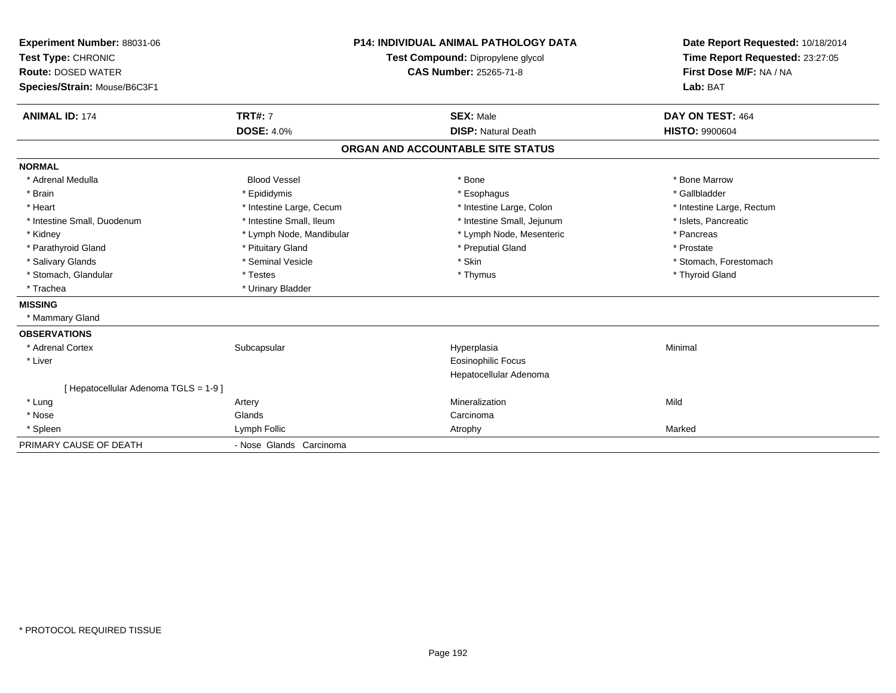| Experiment Number: 88031-06<br>Test Type: CHRONIC<br><b>Route: DOSED WATER</b><br>Species/Strain: Mouse/B6C3F1 | <b>P14: INDIVIDUAL ANIMAL PATHOLOGY DATA</b><br>Test Compound: Dipropylene glycol<br><b>CAS Number: 25265-71-8</b> |  | Date Report Requested: 10/18/2014<br>Time Report Requested: 23:27:05<br>First Dose M/F: NA / NA<br>Lab: BAT |                                           |
|----------------------------------------------------------------------------------------------------------------|--------------------------------------------------------------------------------------------------------------------|--|-------------------------------------------------------------------------------------------------------------|-------------------------------------------|
| <b>ANIMAL ID: 174</b>                                                                                          | <b>TRT#: 7</b><br><b>DOSE: 4.0%</b>                                                                                |  | <b>SEX: Male</b><br><b>DISP: Natural Death</b>                                                              | DAY ON TEST: 464<br><b>HISTO: 9900604</b> |
|                                                                                                                |                                                                                                                    |  |                                                                                                             |                                           |
|                                                                                                                |                                                                                                                    |  | ORGAN AND ACCOUNTABLE SITE STATUS                                                                           |                                           |
| <b>NORMAL</b>                                                                                                  |                                                                                                                    |  |                                                                                                             |                                           |
| * Adrenal Medulla                                                                                              | <b>Blood Vessel</b>                                                                                                |  | * Bone                                                                                                      | * Bone Marrow                             |
| * Brain                                                                                                        | * Epididymis                                                                                                       |  | * Esophagus                                                                                                 | * Gallbladder                             |
| * Heart                                                                                                        | * Intestine Large, Cecum                                                                                           |  | * Intestine Large, Colon                                                                                    | * Intestine Large, Rectum                 |
| * Intestine Small, Duodenum                                                                                    | * Intestine Small, Ileum                                                                                           |  | * Intestine Small, Jejunum                                                                                  | * Islets, Pancreatic                      |
| * Kidney                                                                                                       | * Lymph Node, Mandibular                                                                                           |  | * Lymph Node, Mesenteric                                                                                    | * Pancreas                                |
| * Parathyroid Gland                                                                                            | * Pituitary Gland                                                                                                  |  | * Preputial Gland                                                                                           | * Prostate                                |
| * Salivary Glands                                                                                              | * Seminal Vesicle                                                                                                  |  | * Skin                                                                                                      | * Stomach, Forestomach                    |
| * Stomach, Glandular                                                                                           | * Testes                                                                                                           |  | * Thymus                                                                                                    | * Thyroid Gland                           |
| * Trachea                                                                                                      | * Urinary Bladder                                                                                                  |  |                                                                                                             |                                           |
| <b>MISSING</b>                                                                                                 |                                                                                                                    |  |                                                                                                             |                                           |
| * Mammary Gland                                                                                                |                                                                                                                    |  |                                                                                                             |                                           |
| <b>OBSERVATIONS</b>                                                                                            |                                                                                                                    |  |                                                                                                             |                                           |
| * Adrenal Cortex                                                                                               | Subcapsular                                                                                                        |  | Hyperplasia                                                                                                 | Minimal                                   |
| * Liver                                                                                                        |                                                                                                                    |  | <b>Eosinophilic Focus</b>                                                                                   |                                           |
|                                                                                                                |                                                                                                                    |  | Hepatocellular Adenoma                                                                                      |                                           |
| [ Hepatocellular Adenoma TGLS = 1-9 ]                                                                          |                                                                                                                    |  |                                                                                                             |                                           |
| * Lung                                                                                                         | Artery                                                                                                             |  | Mineralization                                                                                              | Mild                                      |
| * Nose                                                                                                         | Glands                                                                                                             |  | Carcinoma                                                                                                   |                                           |
| * Spleen                                                                                                       | Lymph Follic                                                                                                       |  | Atrophy                                                                                                     | Marked                                    |
| PRIMARY CAUSE OF DEATH                                                                                         | - Nose Glands Carcinoma                                                                                            |  |                                                                                                             |                                           |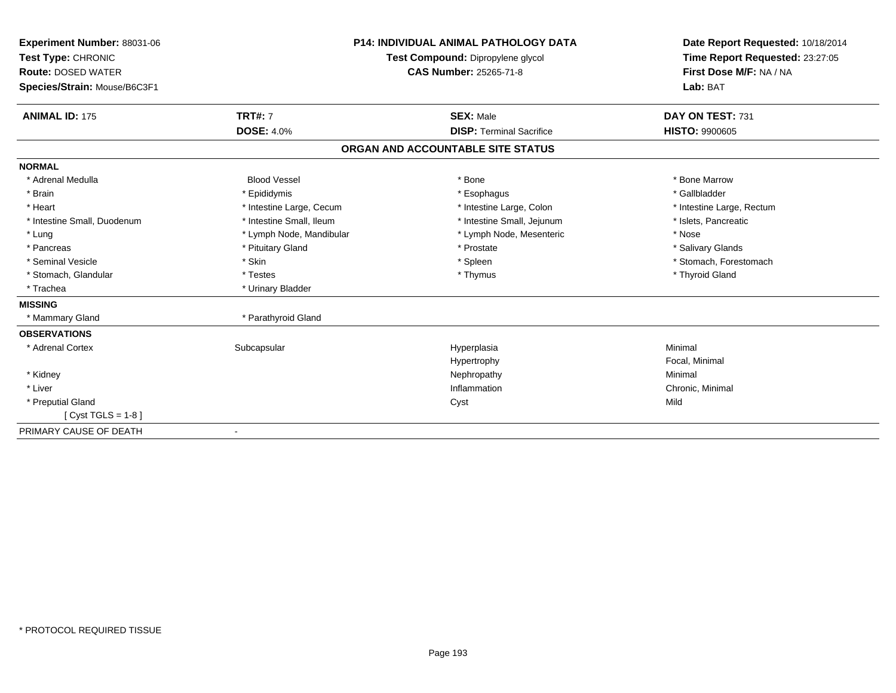| <b>Experiment Number: 88031-06</b><br>Test Type: CHRONIC<br><b>Route: DOSED WATER</b><br>Species/Strain: Mouse/B6C3F1 |                          | <b>P14: INDIVIDUAL ANIMAL PATHOLOGY DATA</b><br>Test Compound: Dipropylene glycol<br><b>CAS Number: 25265-71-8</b> | Date Report Requested: 10/18/2014<br>Time Report Requested: 23:27:05<br>First Dose M/F: NA / NA<br>Lab: BAT |
|-----------------------------------------------------------------------------------------------------------------------|--------------------------|--------------------------------------------------------------------------------------------------------------------|-------------------------------------------------------------------------------------------------------------|
| <b>ANIMAL ID: 175</b>                                                                                                 | <b>TRT#: 7</b>           | <b>SEX: Male</b>                                                                                                   | DAY ON TEST: 731                                                                                            |
|                                                                                                                       | <b>DOSE: 4.0%</b>        | <b>DISP: Terminal Sacrifice</b>                                                                                    | <b>HISTO: 9900605</b>                                                                                       |
|                                                                                                                       |                          | ORGAN AND ACCOUNTABLE SITE STATUS                                                                                  |                                                                                                             |
| <b>NORMAL</b>                                                                                                         |                          |                                                                                                                    |                                                                                                             |
| * Adrenal Medulla                                                                                                     | <b>Blood Vessel</b>      | * Bone                                                                                                             | * Bone Marrow                                                                                               |
| * Brain                                                                                                               | * Epididymis             | * Esophagus                                                                                                        | * Gallbladder                                                                                               |
| * Heart                                                                                                               | * Intestine Large, Cecum | * Intestine Large, Colon                                                                                           | * Intestine Large, Rectum                                                                                   |
| * Intestine Small, Duodenum                                                                                           | * Intestine Small, Ileum | * Intestine Small, Jejunum                                                                                         | * Islets, Pancreatic                                                                                        |
| * Lung                                                                                                                | * Lymph Node, Mandibular | * Lymph Node, Mesenteric                                                                                           | * Nose                                                                                                      |
| * Pancreas                                                                                                            | * Pituitary Gland        | * Prostate                                                                                                         | * Salivary Glands                                                                                           |
| * Seminal Vesicle                                                                                                     | * Skin                   | * Spleen                                                                                                           | * Stomach, Forestomach                                                                                      |
| * Stomach, Glandular                                                                                                  | * Testes                 | * Thymus                                                                                                           | * Thyroid Gland                                                                                             |
| * Trachea                                                                                                             | * Urinary Bladder        |                                                                                                                    |                                                                                                             |
| <b>MISSING</b>                                                                                                        |                          |                                                                                                                    |                                                                                                             |
| * Mammary Gland                                                                                                       | * Parathyroid Gland      |                                                                                                                    |                                                                                                             |
| <b>OBSERVATIONS</b>                                                                                                   |                          |                                                                                                                    |                                                                                                             |
| * Adrenal Cortex                                                                                                      | Subcapsular              | Hyperplasia                                                                                                        | Minimal                                                                                                     |
|                                                                                                                       |                          | Hypertrophy                                                                                                        | Focal, Minimal                                                                                              |
| * Kidney                                                                                                              |                          | Nephropathy                                                                                                        | Minimal                                                                                                     |
| * Liver                                                                                                               |                          | Inflammation                                                                                                       | Chronic, Minimal                                                                                            |
| * Preputial Gland                                                                                                     |                          | Cyst                                                                                                               | Mild                                                                                                        |
| [ $Cyst TGLS = 1-8$ ]                                                                                                 |                          |                                                                                                                    |                                                                                                             |
| PRIMARY CAUSE OF DEATH                                                                                                |                          |                                                                                                                    |                                                                                                             |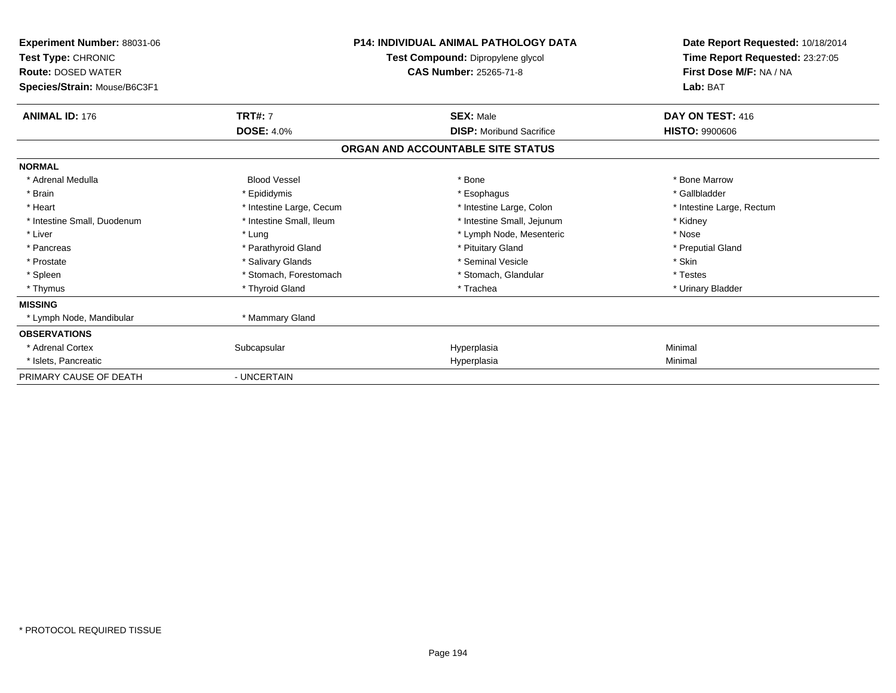| Experiment Number: 88031-06<br>Test Type: CHRONIC<br><b>Route: DOSED WATER</b><br>Species/Strain: Mouse/B6C3F1 |                          | <b>P14: INDIVIDUAL ANIMAL PATHOLOGY DATA</b><br>Test Compound: Dipropylene glycol<br><b>CAS Number: 25265-71-8</b> | Date Report Requested: 10/18/2014<br>Time Report Requested: 23:27:05<br>First Dose M/F: NA / NA<br>Lab: BAT |  |
|----------------------------------------------------------------------------------------------------------------|--------------------------|--------------------------------------------------------------------------------------------------------------------|-------------------------------------------------------------------------------------------------------------|--|
| <b>ANIMAL ID: 176</b>                                                                                          | <b>TRT#: 7</b>           | <b>SEX: Male</b>                                                                                                   | DAY ON TEST: 416                                                                                            |  |
|                                                                                                                | <b>DOSE: 4.0%</b>        | <b>DISP:</b> Moribund Sacrifice                                                                                    | <b>HISTO: 9900606</b>                                                                                       |  |
|                                                                                                                |                          | ORGAN AND ACCOUNTABLE SITE STATUS                                                                                  |                                                                                                             |  |
| <b>NORMAL</b>                                                                                                  |                          |                                                                                                                    |                                                                                                             |  |
| * Adrenal Medulla                                                                                              | <b>Blood Vessel</b>      | * Bone                                                                                                             | * Bone Marrow                                                                                               |  |
| * Brain                                                                                                        | * Epididymis             | * Esophagus                                                                                                        | * Gallbladder                                                                                               |  |
| * Heart                                                                                                        | * Intestine Large, Cecum | * Intestine Large, Colon                                                                                           | * Intestine Large, Rectum                                                                                   |  |
| * Intestine Small, Duodenum                                                                                    | * Intestine Small, Ileum | * Intestine Small, Jejunum                                                                                         | * Kidney                                                                                                    |  |
| * Liver                                                                                                        | * Lung                   | * Lymph Node, Mesenteric                                                                                           | * Nose                                                                                                      |  |
| * Pancreas                                                                                                     | * Parathyroid Gland      | * Pituitary Gland                                                                                                  | * Preputial Gland                                                                                           |  |
| * Prostate                                                                                                     | * Salivary Glands        | * Seminal Vesicle                                                                                                  | * Skin                                                                                                      |  |
| * Spleen                                                                                                       | * Stomach, Forestomach   | * Stomach, Glandular                                                                                               | * Testes                                                                                                    |  |
| * Thymus                                                                                                       | * Thyroid Gland          | * Trachea                                                                                                          | * Urinary Bladder                                                                                           |  |
| <b>MISSING</b>                                                                                                 |                          |                                                                                                                    |                                                                                                             |  |
| * Lymph Node, Mandibular                                                                                       | * Mammary Gland          |                                                                                                                    |                                                                                                             |  |
| <b>OBSERVATIONS</b>                                                                                            |                          |                                                                                                                    |                                                                                                             |  |
| * Adrenal Cortex                                                                                               | Subcapsular              | Hyperplasia                                                                                                        | Minimal                                                                                                     |  |
| * Islets, Pancreatic                                                                                           |                          | Hyperplasia                                                                                                        | Minimal                                                                                                     |  |
| PRIMARY CAUSE OF DEATH                                                                                         | - UNCERTAIN              |                                                                                                                    |                                                                                                             |  |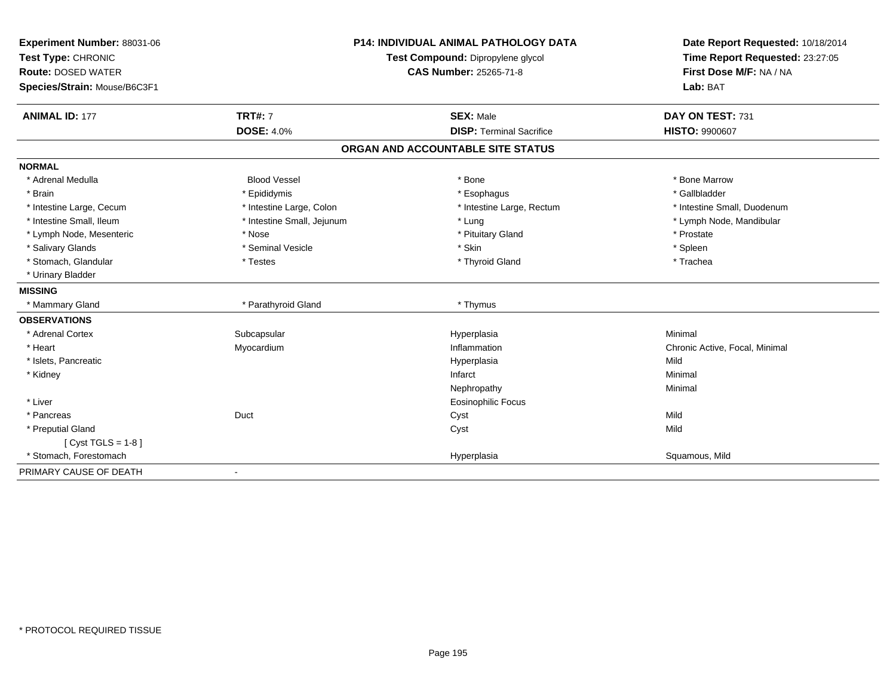| Experiment Number: 88031-06  |                            | <b>P14: INDIVIDUAL ANIMAL PATHOLOGY DATA</b> | Date Report Requested: 10/18/2014                          |
|------------------------------|----------------------------|----------------------------------------------|------------------------------------------------------------|
| Test Type: CHRONIC           |                            | Test Compound: Dipropylene glycol            | Time Report Requested: 23:27:05<br>First Dose M/F: NA / NA |
| <b>Route: DOSED WATER</b>    |                            | <b>CAS Number: 25265-71-8</b>                |                                                            |
| Species/Strain: Mouse/B6C3F1 |                            |                                              | Lab: BAT                                                   |
| <b>ANIMAL ID: 177</b>        | <b>TRT#: 7</b>             | <b>SEX: Male</b>                             | DAY ON TEST: 731                                           |
|                              | <b>DOSE: 4.0%</b>          | <b>DISP: Terminal Sacrifice</b>              | <b>HISTO: 9900607</b>                                      |
|                              |                            | ORGAN AND ACCOUNTABLE SITE STATUS            |                                                            |
| <b>NORMAL</b>                |                            |                                              |                                                            |
| * Adrenal Medulla            | <b>Blood Vessel</b>        | * Bone                                       | * Bone Marrow                                              |
| * Brain                      | * Epididymis               | * Esophagus                                  | * Gallbladder                                              |
| * Intestine Large, Cecum     | * Intestine Large, Colon   | * Intestine Large, Rectum                    | * Intestine Small, Duodenum                                |
| * Intestine Small, Ileum     | * Intestine Small, Jejunum | * Lung                                       | * Lymph Node, Mandibular                                   |
| * Lymph Node, Mesenteric     | * Nose                     | * Pituitary Gland                            | * Prostate                                                 |
| * Salivary Glands            | * Seminal Vesicle          | * Skin                                       | * Spleen                                                   |
| * Stomach, Glandular         | * Testes                   | * Thyroid Gland                              | * Trachea                                                  |
| * Urinary Bladder            |                            |                                              |                                                            |
| <b>MISSING</b>               |                            |                                              |                                                            |
| * Mammary Gland              | * Parathyroid Gland        | * Thymus                                     |                                                            |
| <b>OBSERVATIONS</b>          |                            |                                              |                                                            |
| * Adrenal Cortex             | Subcapsular                | Hyperplasia                                  | Minimal                                                    |
| * Heart                      | Myocardium                 | Inflammation                                 | Chronic Active, Focal, Minimal                             |
| * Islets, Pancreatic         |                            | Hyperplasia                                  | Mild                                                       |
| * Kidney                     |                            | Infarct                                      | Minimal                                                    |
|                              |                            | Nephropathy                                  | Minimal                                                    |
| * Liver                      |                            | <b>Eosinophilic Focus</b>                    |                                                            |
| * Pancreas                   | Duct                       | Cyst                                         | Mild                                                       |
| * Preputial Gland            |                            | Cyst                                         | Mild                                                       |
| [ $Cyst TGLS = 1-8$ ]        |                            |                                              |                                                            |
| * Stomach, Forestomach       |                            | Hyperplasia                                  | Squamous, Mild                                             |
| PRIMARY CAUSE OF DEATH       |                            |                                              |                                                            |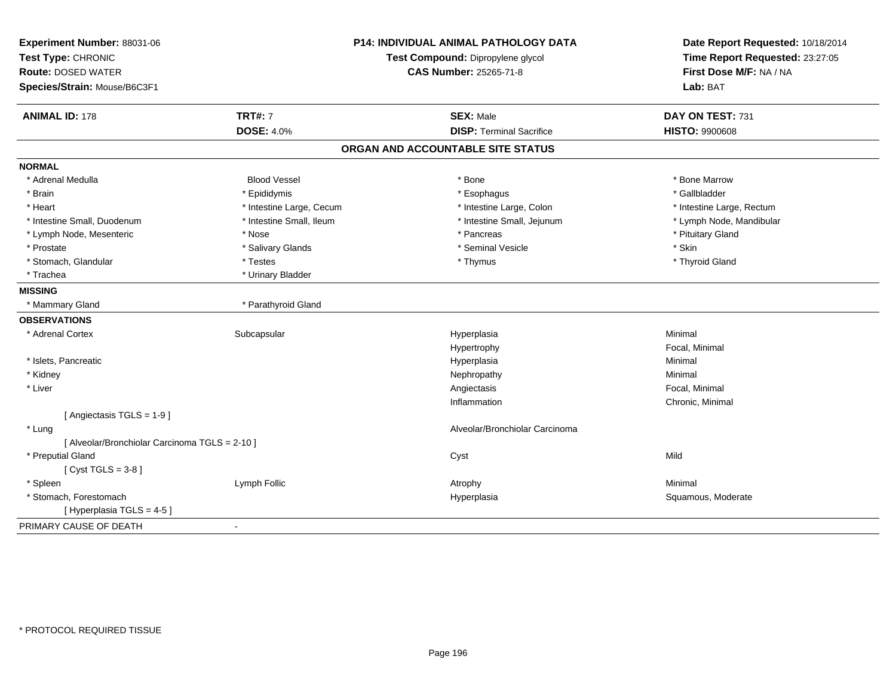| Experiment Number: 88031-06<br>Test Type: CHRONIC<br><b>Route: DOSED WATER</b> |                          | <b>P14: INDIVIDUAL ANIMAL PATHOLOGY DATA</b><br>Test Compound: Dipropylene glycol | Date Report Requested: 10/18/2014<br>Time Report Requested: 23:27:05 |
|--------------------------------------------------------------------------------|--------------------------|-----------------------------------------------------------------------------------|----------------------------------------------------------------------|
|                                                                                |                          | <b>CAS Number: 25265-71-8</b>                                                     | First Dose M/F: NA / NA                                              |
| Species/Strain: Mouse/B6C3F1                                                   |                          |                                                                                   | Lab: BAT                                                             |
| <b>ANIMAL ID: 178</b>                                                          | <b>TRT#: 7</b>           | <b>SEX: Male</b>                                                                  | DAY ON TEST: 731                                                     |
|                                                                                | <b>DOSE: 4.0%</b>        | <b>DISP: Terminal Sacrifice</b>                                                   | <b>HISTO: 9900608</b>                                                |
|                                                                                |                          | ORGAN AND ACCOUNTABLE SITE STATUS                                                 |                                                                      |
| <b>NORMAL</b>                                                                  |                          |                                                                                   |                                                                      |
| * Adrenal Medulla                                                              | <b>Blood Vessel</b>      | * Bone                                                                            | * Bone Marrow                                                        |
| * Brain                                                                        | * Epididymis             | * Esophagus                                                                       | * Gallbladder                                                        |
| * Heart                                                                        | * Intestine Large, Cecum | * Intestine Large, Colon                                                          | * Intestine Large, Rectum                                            |
| * Intestine Small, Duodenum                                                    | * Intestine Small, Ileum | * Intestine Small, Jejunum                                                        | * Lymph Node, Mandibular                                             |
| * Lymph Node, Mesenteric                                                       | * Nose                   | * Pancreas                                                                        | * Pituitary Gland                                                    |
| * Prostate                                                                     | * Salivary Glands        | * Seminal Vesicle                                                                 | * Skin                                                               |
| * Stomach, Glandular                                                           | * Testes                 | * Thymus                                                                          | * Thyroid Gland                                                      |
| * Trachea                                                                      | * Urinary Bladder        |                                                                                   |                                                                      |
| <b>MISSING</b>                                                                 |                          |                                                                                   |                                                                      |
| * Mammary Gland                                                                | * Parathyroid Gland      |                                                                                   |                                                                      |
| <b>OBSERVATIONS</b>                                                            |                          |                                                                                   |                                                                      |
| * Adrenal Cortex                                                               | Subcapsular              | Hyperplasia                                                                       | Minimal                                                              |
|                                                                                |                          | Hypertrophy                                                                       | Focal, Minimal                                                       |
| * Islets, Pancreatic                                                           |                          | Hyperplasia                                                                       | Minimal                                                              |
| * Kidney                                                                       |                          | Nephropathy                                                                       | Minimal                                                              |
| * Liver                                                                        |                          | Angiectasis                                                                       | Focal, Minimal                                                       |
|                                                                                |                          | Inflammation                                                                      | Chronic, Minimal                                                     |
| [ Angiectasis TGLS = 1-9 ]                                                     |                          |                                                                                   |                                                                      |
| * Lung                                                                         |                          | Alveolar/Bronchiolar Carcinoma                                                    |                                                                      |
| [ Alveolar/Bronchiolar Carcinoma TGLS = 2-10 ]                                 |                          |                                                                                   |                                                                      |
| * Preputial Gland                                                              |                          | Cyst                                                                              | Mild                                                                 |
| [Cyst TGLS = $3-8$ ]                                                           |                          |                                                                                   |                                                                      |
| * Spleen                                                                       | Lymph Follic             | Atrophy                                                                           | Minimal                                                              |
| * Stomach, Forestomach                                                         |                          | Hyperplasia                                                                       | Squamous, Moderate                                                   |
| [Hyperplasia TGLS = 4-5]                                                       |                          |                                                                                   |                                                                      |
| PRIMARY CAUSE OF DEATH                                                         | $\blacksquare$           |                                                                                   |                                                                      |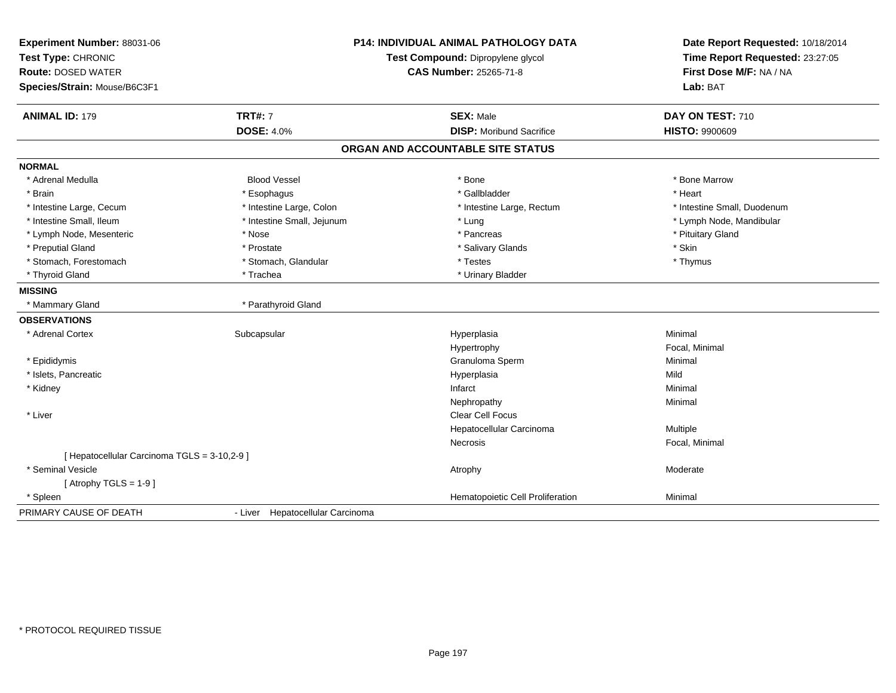| Experiment Number: 88031-06                  | <b>P14: INDIVIDUAL ANIMAL PATHOLOGY DATA</b><br>Test Compound: Dipropylene glycol |                                   |                                 |  | Date Report Requested: 10/18/2014 |
|----------------------------------------------|-----------------------------------------------------------------------------------|-----------------------------------|---------------------------------|--|-----------------------------------|
| Test Type: CHRONIC                           |                                                                                   |                                   | Time Report Requested: 23:27:05 |  |                                   |
| <b>Route: DOSED WATER</b>                    |                                                                                   | CAS Number: 25265-71-8            | First Dose M/F: NA / NA         |  |                                   |
| Species/Strain: Mouse/B6C3F1                 |                                                                                   |                                   | Lab: BAT                        |  |                                   |
| <b>ANIMAL ID: 179</b>                        | <b>TRT#: 7</b>                                                                    | <b>SEX: Male</b>                  | DAY ON TEST: 710                |  |                                   |
|                                              | <b>DOSE: 4.0%</b>                                                                 | <b>DISP:</b> Moribund Sacrifice   | <b>HISTO: 9900609</b>           |  |                                   |
|                                              |                                                                                   | ORGAN AND ACCOUNTABLE SITE STATUS |                                 |  |                                   |
| <b>NORMAL</b>                                |                                                                                   |                                   |                                 |  |                                   |
| * Adrenal Medulla                            | <b>Blood Vessel</b>                                                               | * Bone                            | * Bone Marrow                   |  |                                   |
| * Brain                                      | * Esophagus                                                                       | * Gallbladder                     | * Heart                         |  |                                   |
| * Intestine Large, Cecum                     | * Intestine Large, Colon                                                          | * Intestine Large, Rectum         | * Intestine Small, Duodenum     |  |                                   |
| * Intestine Small, Ileum                     | * Intestine Small, Jejunum                                                        | * Lung                            | * Lymph Node, Mandibular        |  |                                   |
| * Lymph Node, Mesenteric                     | * Nose                                                                            | * Pancreas                        | * Pituitary Gland               |  |                                   |
| * Preputial Gland                            | * Prostate                                                                        | * Salivary Glands                 | * Skin                          |  |                                   |
| * Stomach, Forestomach                       | * Stomach, Glandular                                                              | * Testes                          | * Thymus                        |  |                                   |
| * Thyroid Gland                              | * Trachea                                                                         | * Urinary Bladder                 |                                 |  |                                   |
| <b>MISSING</b>                               |                                                                                   |                                   |                                 |  |                                   |
| * Mammary Gland                              | * Parathyroid Gland                                                               |                                   |                                 |  |                                   |
| <b>OBSERVATIONS</b>                          |                                                                                   |                                   |                                 |  |                                   |
| * Adrenal Cortex                             | Subcapsular                                                                       | Hyperplasia                       | Minimal                         |  |                                   |
|                                              |                                                                                   | Hypertrophy                       | Focal, Minimal                  |  |                                   |
| * Epididymis                                 |                                                                                   | Granuloma Sperm                   | Minimal                         |  |                                   |
| * Islets, Pancreatic                         |                                                                                   | Hyperplasia                       | Mild                            |  |                                   |
| * Kidney                                     |                                                                                   | Infarct                           | Minimal                         |  |                                   |
|                                              |                                                                                   | Nephropathy                       | Minimal                         |  |                                   |
| * Liver                                      |                                                                                   | <b>Clear Cell Focus</b>           |                                 |  |                                   |
|                                              |                                                                                   | Hepatocellular Carcinoma          | Multiple                        |  |                                   |
|                                              |                                                                                   | <b>Necrosis</b>                   | Focal, Minimal                  |  |                                   |
| [ Hepatocellular Carcinoma TGLS = 3-10,2-9 ] |                                                                                   |                                   |                                 |  |                                   |
| * Seminal Vesicle                            |                                                                                   | Atrophy                           | Moderate                        |  |                                   |
| [Atrophy TGLS = $1-9$ ]                      |                                                                                   |                                   |                                 |  |                                   |
| * Spleen                                     |                                                                                   | Hematopoietic Cell Proliferation  | Minimal                         |  |                                   |
| PRIMARY CAUSE OF DEATH                       | - Liver Hepatocellular Carcinoma                                                  |                                   |                                 |  |                                   |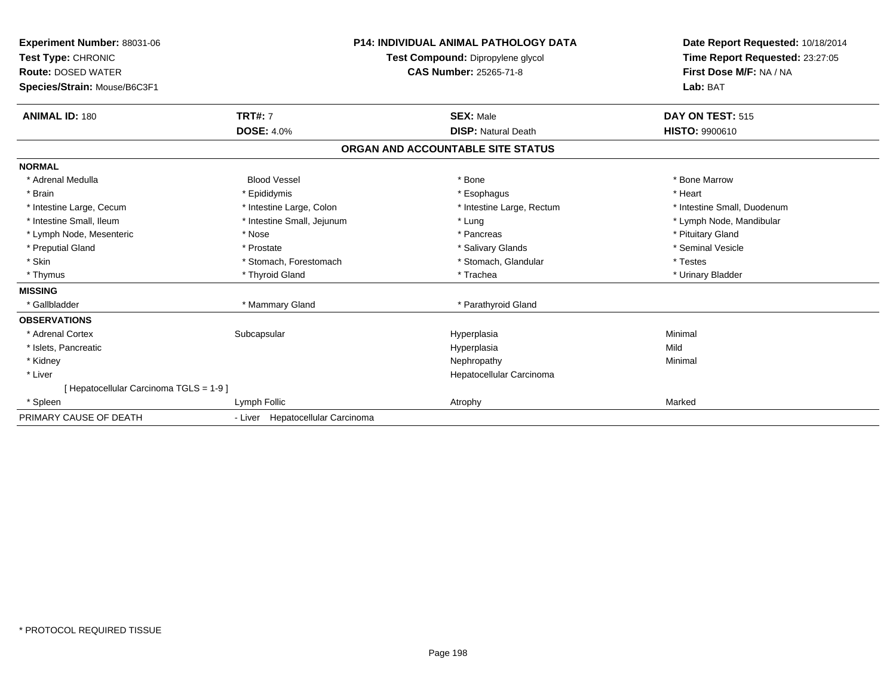| Experiment Number: 88031-06<br><b>Test Type: CHRONIC</b><br><b>Route: DOSED WATER</b><br>Species/Strain: Mouse/B6C3F1 |                                  | <b>P14: INDIVIDUAL ANIMAL PATHOLOGY DATA</b><br>Test Compound: Dipropylene glycol<br><b>CAS Number: 25265-71-8</b> | Date Report Requested: 10/18/2014<br>Time Report Requested: 23:27:05<br>First Dose M/F: NA / NA<br>Lab: BAT |
|-----------------------------------------------------------------------------------------------------------------------|----------------------------------|--------------------------------------------------------------------------------------------------------------------|-------------------------------------------------------------------------------------------------------------|
| <b>ANIMAL ID: 180</b>                                                                                                 | <b>TRT#: 7</b>                   | <b>SEX: Male</b>                                                                                                   | DAY ON TEST: 515                                                                                            |
|                                                                                                                       | <b>DOSE: 4.0%</b>                | <b>DISP: Natural Death</b>                                                                                         | <b>HISTO: 9900610</b>                                                                                       |
|                                                                                                                       |                                  | ORGAN AND ACCOUNTABLE SITE STATUS                                                                                  |                                                                                                             |
| <b>NORMAL</b>                                                                                                         |                                  |                                                                                                                    |                                                                                                             |
| * Adrenal Medulla                                                                                                     | <b>Blood Vessel</b>              | * Bone                                                                                                             | * Bone Marrow                                                                                               |
| * Brain                                                                                                               | * Epididymis                     | * Esophagus                                                                                                        | * Heart                                                                                                     |
| * Intestine Large, Cecum                                                                                              | * Intestine Large, Colon         | * Intestine Large, Rectum                                                                                          | * Intestine Small, Duodenum                                                                                 |
| * Intestine Small, Ileum                                                                                              | * Intestine Small, Jejunum       | * Lung                                                                                                             | * Lymph Node, Mandibular                                                                                    |
| * Lymph Node, Mesenteric                                                                                              | * Nose                           | * Pancreas                                                                                                         | * Pituitary Gland                                                                                           |
| * Preputial Gland                                                                                                     | * Prostate                       | * Salivary Glands                                                                                                  | * Seminal Vesicle                                                                                           |
| * Skin                                                                                                                | * Stomach, Forestomach           | * Stomach, Glandular                                                                                               | * Testes                                                                                                    |
| * Thymus                                                                                                              | * Thyroid Gland                  | * Trachea                                                                                                          | * Urinary Bladder                                                                                           |
| <b>MISSING</b>                                                                                                        |                                  |                                                                                                                    |                                                                                                             |
| * Gallbladder                                                                                                         | * Mammary Gland                  | * Parathyroid Gland                                                                                                |                                                                                                             |
| <b>OBSERVATIONS</b>                                                                                                   |                                  |                                                                                                                    |                                                                                                             |
| * Adrenal Cortex                                                                                                      | Subcapsular                      | Hyperplasia                                                                                                        | Minimal                                                                                                     |
| * Islets, Pancreatic                                                                                                  |                                  | Hyperplasia                                                                                                        | Mild                                                                                                        |
| * Kidney                                                                                                              |                                  | Nephropathy                                                                                                        | Minimal                                                                                                     |
| * Liver                                                                                                               |                                  | Hepatocellular Carcinoma                                                                                           |                                                                                                             |
| [Hepatocellular Carcinoma TGLS = 1-9]                                                                                 |                                  |                                                                                                                    |                                                                                                             |
| * Spleen                                                                                                              | Lymph Follic                     | Atrophy                                                                                                            | Marked                                                                                                      |
| PRIMARY CAUSE OF DEATH                                                                                                | - Liver Hepatocellular Carcinoma |                                                                                                                    |                                                                                                             |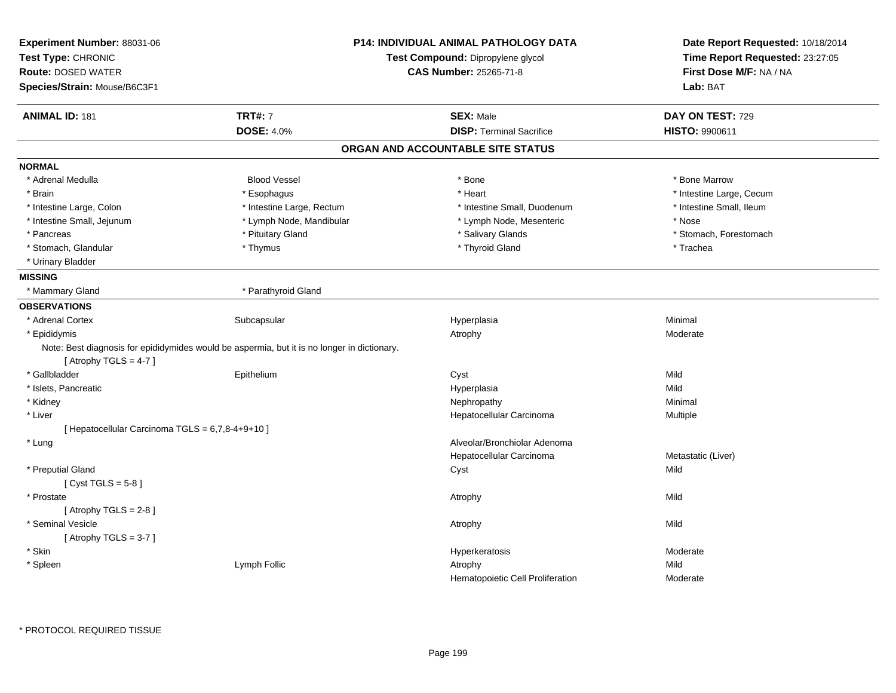| Experiment Number: 88031-06<br>Test Type: CHRONIC<br><b>Route: DOSED WATER</b><br>Species/Strain: Mouse/B6C3F1 |                                                                                             | P14: INDIVIDUAL ANIMAL PATHOLOGY DATA<br>Test Compound: Dipropylene glycol<br><b>CAS Number: 25265-71-8</b> | Date Report Requested: 10/18/2014<br>Time Report Requested: 23:27:05<br>First Dose M/F: NA / NA<br>Lab: BAT |
|----------------------------------------------------------------------------------------------------------------|---------------------------------------------------------------------------------------------|-------------------------------------------------------------------------------------------------------------|-------------------------------------------------------------------------------------------------------------|
| <b>ANIMAL ID: 181</b>                                                                                          | <b>TRT#: 7</b>                                                                              | <b>SEX: Male</b>                                                                                            | DAY ON TEST: 729                                                                                            |
|                                                                                                                | <b>DOSE: 4.0%</b>                                                                           | <b>DISP: Terminal Sacrifice</b>                                                                             | HISTO: 9900611                                                                                              |
|                                                                                                                |                                                                                             | ORGAN AND ACCOUNTABLE SITE STATUS                                                                           |                                                                                                             |
| <b>NORMAL</b>                                                                                                  |                                                                                             |                                                                                                             |                                                                                                             |
| * Adrenal Medulla                                                                                              | <b>Blood Vessel</b>                                                                         | * Bone                                                                                                      | * Bone Marrow                                                                                               |
| * Brain                                                                                                        | * Esophagus                                                                                 | * Heart                                                                                                     | * Intestine Large, Cecum                                                                                    |
| * Intestine Large, Colon                                                                                       | * Intestine Large, Rectum                                                                   | * Intestine Small, Duodenum                                                                                 | * Intestine Small, Ileum                                                                                    |
| * Intestine Small, Jejunum                                                                                     | * Lymph Node, Mandibular                                                                    | * Lymph Node, Mesenteric                                                                                    | * Nose                                                                                                      |
| * Pancreas                                                                                                     | * Pituitary Gland                                                                           | * Salivary Glands                                                                                           | * Stomach, Forestomach                                                                                      |
| * Stomach, Glandular                                                                                           | * Thymus                                                                                    | * Thyroid Gland                                                                                             | * Trachea                                                                                                   |
| * Urinary Bladder                                                                                              |                                                                                             |                                                                                                             |                                                                                                             |
| <b>MISSING</b>                                                                                                 |                                                                                             |                                                                                                             |                                                                                                             |
| * Mammary Gland                                                                                                | * Parathyroid Gland                                                                         |                                                                                                             |                                                                                                             |
| <b>OBSERVATIONS</b>                                                                                            |                                                                                             |                                                                                                             |                                                                                                             |
| * Adrenal Cortex                                                                                               | Subcapsular                                                                                 | Hyperplasia                                                                                                 | Minimal                                                                                                     |
| * Epididymis                                                                                                   |                                                                                             | Atrophy                                                                                                     | Moderate                                                                                                    |
|                                                                                                                | Note: Best diagnosis for epididymides would be aspermia, but it is no longer in dictionary. |                                                                                                             |                                                                                                             |
| [Atrophy TGLS = $4-7$ ]                                                                                        |                                                                                             |                                                                                                             |                                                                                                             |
| * Gallbladder                                                                                                  | Epithelium                                                                                  | Cyst                                                                                                        | Mild                                                                                                        |
| * Islets, Pancreatic                                                                                           |                                                                                             | Hyperplasia                                                                                                 | Mild                                                                                                        |
| * Kidney                                                                                                       |                                                                                             | Nephropathy                                                                                                 | Minimal                                                                                                     |
| * Liver                                                                                                        |                                                                                             | Hepatocellular Carcinoma                                                                                    | Multiple                                                                                                    |
| [ Hepatocellular Carcinoma TGLS = 6,7,8-4+9+10 ]                                                               |                                                                                             |                                                                                                             |                                                                                                             |
| * Lung                                                                                                         |                                                                                             | Alveolar/Bronchiolar Adenoma                                                                                |                                                                                                             |
|                                                                                                                |                                                                                             | Hepatocellular Carcinoma                                                                                    | Metastatic (Liver)                                                                                          |
| * Preputial Gland                                                                                              |                                                                                             | Cyst                                                                                                        | Mild                                                                                                        |
| [Cyst TGLS = $5-8$ ]                                                                                           |                                                                                             |                                                                                                             |                                                                                                             |
| * Prostate                                                                                                     |                                                                                             | Atrophy                                                                                                     | Mild                                                                                                        |
| [Atrophy TGLS = $2-8$ ]                                                                                        |                                                                                             |                                                                                                             |                                                                                                             |
| * Seminal Vesicle                                                                                              |                                                                                             | Atrophy                                                                                                     | Mild                                                                                                        |
| [Atrophy TGLS = $3-7$ ]                                                                                        |                                                                                             |                                                                                                             |                                                                                                             |
| * Skin                                                                                                         |                                                                                             | Hyperkeratosis                                                                                              | Moderate                                                                                                    |
| * Spleen                                                                                                       | Lymph Follic                                                                                | Atrophy                                                                                                     | Mild                                                                                                        |
|                                                                                                                |                                                                                             | Hematopoietic Cell Proliferation                                                                            | Moderate                                                                                                    |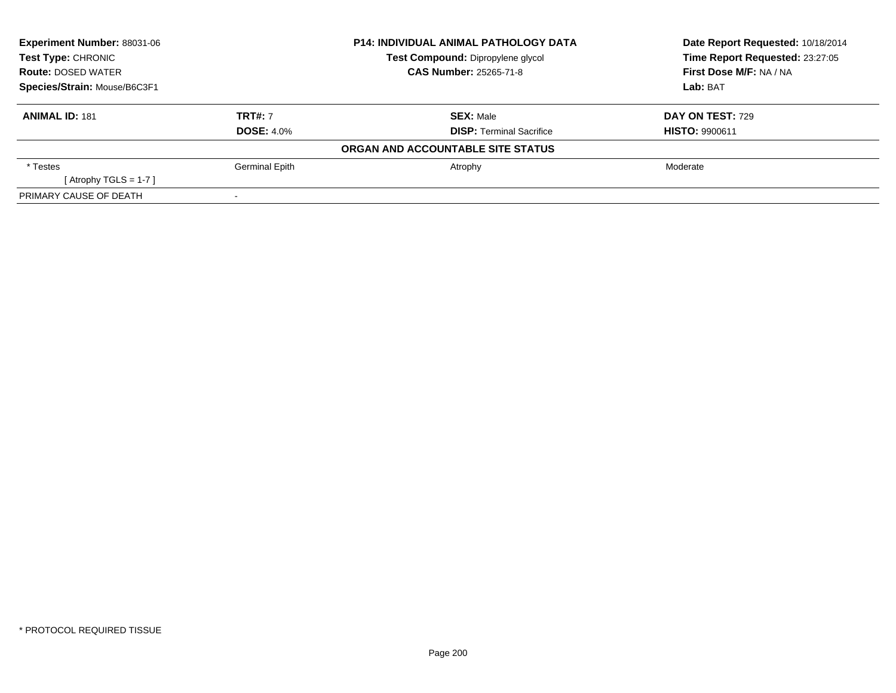| Experiment Number: 88031-06<br>Test Type: CHRONIC<br><b>Route: DOSED WATER</b><br>Species/Strain: Mouse/B6C3F1 |                       | <b>P14: INDIVIDUAL ANIMAL PATHOLOGY DATA</b> | Date Report Requested: 10/18/2014 |  |
|----------------------------------------------------------------------------------------------------------------|-----------------------|----------------------------------------------|-----------------------------------|--|
|                                                                                                                |                       | Test Compound: Dipropylene glycol            | Time Report Requested: 23:27:05   |  |
|                                                                                                                |                       | <b>CAS Number: 25265-71-8</b>                | First Dose M/F: NA / NA           |  |
|                                                                                                                |                       |                                              | Lab: BAT                          |  |
| <b>ANIMAL ID: 181</b>                                                                                          | <b>TRT#: 7</b>        | <b>SEX: Male</b>                             | <b>DAY ON TEST: 729</b>           |  |
|                                                                                                                | <b>DOSE: 4.0%</b>     | <b>DISP: Terminal Sacrifice</b>              | <b>HISTO: 9900611</b>             |  |
|                                                                                                                |                       | ORGAN AND ACCOUNTABLE SITE STATUS            |                                   |  |
| * Testes                                                                                                       | <b>Germinal Epith</b> | Atrophy                                      | Moderate                          |  |
| [Atrophy TGLS = 1-7 ]                                                                                          |                       |                                              |                                   |  |
| PRIMARY CAUSE OF DEATH                                                                                         |                       |                                              |                                   |  |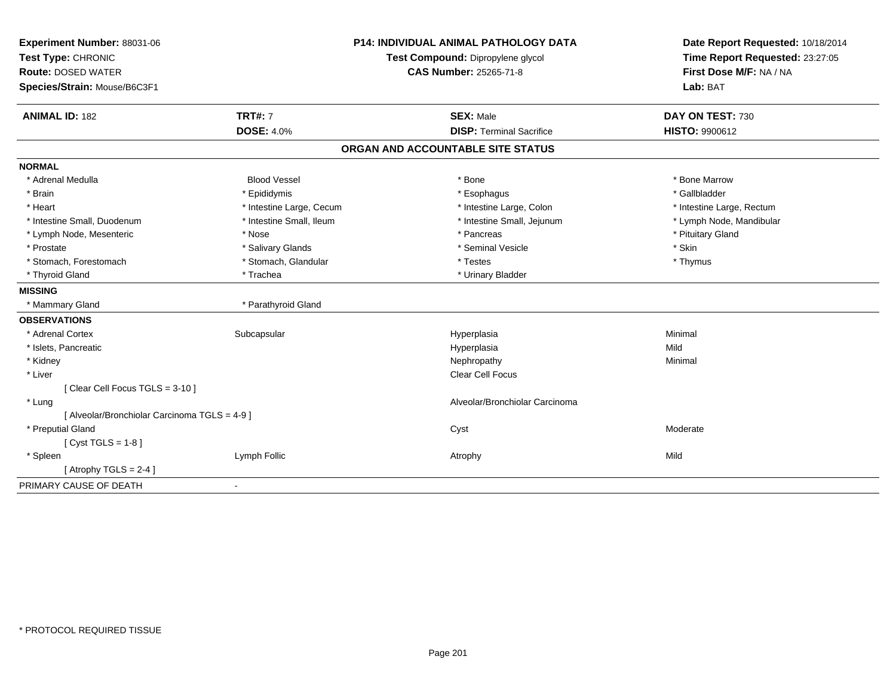| Experiment Number: 88031-06                   |                          | <b>P14: INDIVIDUAL ANIMAL PATHOLOGY DATA</b> | Date Report Requested: 10/18/2014 |  |
|-----------------------------------------------|--------------------------|----------------------------------------------|-----------------------------------|--|
| Test Type: CHRONIC                            |                          | Test Compound: Dipropylene glycol            | Time Report Requested: 23:27:05   |  |
| <b>Route: DOSED WATER</b>                     |                          | <b>CAS Number: 25265-71-8</b>                | First Dose M/F: NA / NA           |  |
| Species/Strain: Mouse/B6C3F1                  |                          |                                              | Lab: BAT                          |  |
| <b>ANIMAL ID: 182</b>                         | <b>TRT#: 7</b>           | <b>SEX: Male</b>                             | DAY ON TEST: 730                  |  |
|                                               | <b>DOSE: 4.0%</b>        | <b>DISP: Terminal Sacrifice</b>              | HISTO: 9900612                    |  |
|                                               |                          | ORGAN AND ACCOUNTABLE SITE STATUS            |                                   |  |
| <b>NORMAL</b>                                 |                          |                                              |                                   |  |
| * Adrenal Medulla                             | <b>Blood Vessel</b>      | * Bone                                       | * Bone Marrow                     |  |
| * Brain                                       | * Epididymis             | * Esophagus                                  | * Gallbladder                     |  |
| * Heart                                       | * Intestine Large, Cecum | * Intestine Large, Colon                     | * Intestine Large, Rectum         |  |
| * Intestine Small, Duodenum                   | * Intestine Small, Ileum | * Intestine Small, Jejunum                   | * Lymph Node, Mandibular          |  |
| * Lymph Node, Mesenteric                      | * Nose                   | * Pancreas                                   | * Pituitary Gland                 |  |
| * Prostate                                    | * Salivary Glands        | * Seminal Vesicle                            | * Skin                            |  |
| * Stomach, Forestomach                        | * Stomach, Glandular     | * Testes                                     | * Thymus                          |  |
| * Thyroid Gland                               | * Trachea                | * Urinary Bladder                            |                                   |  |
| <b>MISSING</b>                                |                          |                                              |                                   |  |
| * Mammary Gland                               | * Parathyroid Gland      |                                              |                                   |  |
| <b>OBSERVATIONS</b>                           |                          |                                              |                                   |  |
| * Adrenal Cortex                              | Subcapsular              | Hyperplasia                                  | Minimal                           |  |
| * Islets, Pancreatic                          |                          | Hyperplasia                                  | Mild                              |  |
| * Kidney                                      |                          | Nephropathy                                  | Minimal                           |  |
| * Liver                                       |                          | Clear Cell Focus                             |                                   |  |
| [Clear Cell Focus TGLS = 3-10]                |                          |                                              |                                   |  |
| * Lung                                        |                          | Alveolar/Bronchiolar Carcinoma               |                                   |  |
| [ Alveolar/Bronchiolar Carcinoma TGLS = 4-9 ] |                          |                                              |                                   |  |
| * Preputial Gland                             |                          | Cyst                                         | Moderate                          |  |
| [Cyst TGLS = $1-8$ ]                          |                          |                                              |                                   |  |
| * Spleen                                      | Lymph Follic             | Atrophy                                      | Mild                              |  |
| [Atrophy TGLS = $2-4$ ]                       |                          |                                              |                                   |  |
| PRIMARY CAUSE OF DEATH                        | $\overline{\phantom{a}}$ |                                              |                                   |  |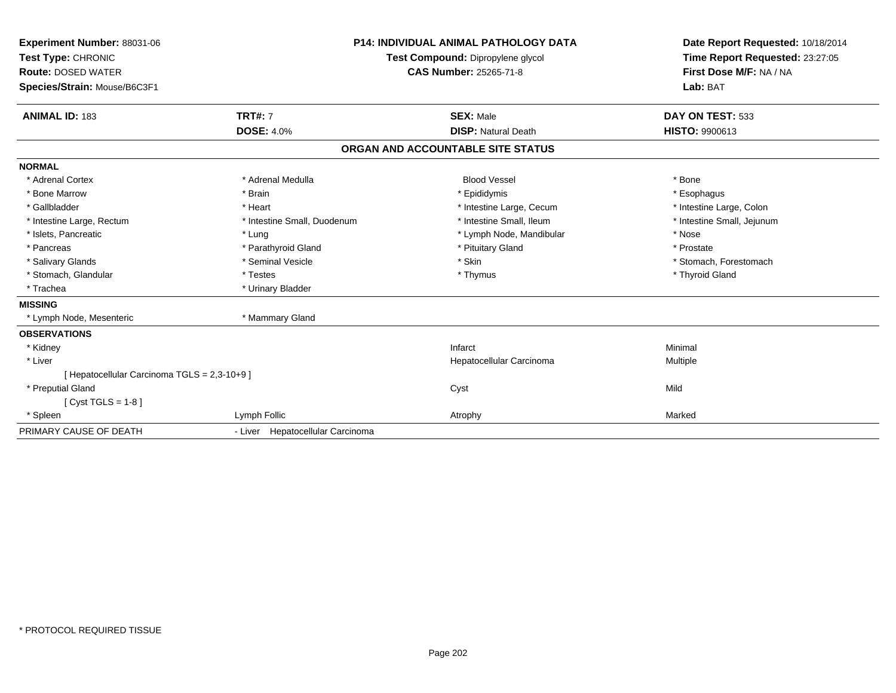| Experiment Number: 88031-06<br>Test Type: CHRONIC<br><b>Route: DOSED WATER</b><br>Species/Strain: Mouse/B6C3F1<br><b>ANIMAL ID: 183</b> | <b>TRT#: 7</b>                   | P14: INDIVIDUAL ANIMAL PATHOLOGY DATA<br>Test Compound: Dipropylene glycol<br><b>CAS Number: 25265-71-8</b><br><b>SEX: Male</b> | Date Report Requested: 10/18/2014<br>Time Report Requested: 23:27:05<br>First Dose M/F: NA / NA<br>Lab: BAT<br>DAY ON TEST: 533 |
|-----------------------------------------------------------------------------------------------------------------------------------------|----------------------------------|---------------------------------------------------------------------------------------------------------------------------------|---------------------------------------------------------------------------------------------------------------------------------|
|                                                                                                                                         | <b>DOSE: 4.0%</b>                | <b>DISP: Natural Death</b>                                                                                                      | <b>HISTO: 9900613</b>                                                                                                           |
|                                                                                                                                         |                                  | ORGAN AND ACCOUNTABLE SITE STATUS                                                                                               |                                                                                                                                 |
| <b>NORMAL</b>                                                                                                                           |                                  |                                                                                                                                 |                                                                                                                                 |
| * Adrenal Cortex                                                                                                                        | * Adrenal Medulla                | <b>Blood Vessel</b>                                                                                                             | * Bone                                                                                                                          |
| * Bone Marrow                                                                                                                           | * Brain                          | * Epididymis                                                                                                                    | * Esophagus                                                                                                                     |
| * Gallbladder                                                                                                                           | * Heart                          | * Intestine Large, Cecum                                                                                                        | * Intestine Large, Colon                                                                                                        |
| * Intestine Large, Rectum                                                                                                               | * Intestine Small, Duodenum      | * Intestine Small, Ileum                                                                                                        | * Intestine Small, Jejunum                                                                                                      |
| * Islets, Pancreatic                                                                                                                    | * Lung                           | * Lymph Node, Mandibular                                                                                                        | * Nose                                                                                                                          |
| * Pancreas                                                                                                                              | * Parathyroid Gland              | * Pituitary Gland                                                                                                               | * Prostate                                                                                                                      |
| * Salivary Glands                                                                                                                       | * Seminal Vesicle                | * Skin                                                                                                                          | * Stomach, Forestomach                                                                                                          |
| * Stomach, Glandular                                                                                                                    | * Testes                         | * Thymus                                                                                                                        | * Thyroid Gland                                                                                                                 |
| * Trachea                                                                                                                               | * Urinary Bladder                |                                                                                                                                 |                                                                                                                                 |
| <b>MISSING</b>                                                                                                                          |                                  |                                                                                                                                 |                                                                                                                                 |
| * Lymph Node, Mesenteric                                                                                                                | * Mammary Gland                  |                                                                                                                                 |                                                                                                                                 |
| <b>OBSERVATIONS</b>                                                                                                                     |                                  |                                                                                                                                 |                                                                                                                                 |
| * Kidney                                                                                                                                |                                  | Infarct                                                                                                                         | Minimal                                                                                                                         |
| * Liver                                                                                                                                 |                                  | Hepatocellular Carcinoma                                                                                                        | Multiple                                                                                                                        |
| [ Hepatocellular Carcinoma TGLS = 2,3-10+9 ]                                                                                            |                                  |                                                                                                                                 |                                                                                                                                 |
| * Preputial Gland                                                                                                                       |                                  | Cyst                                                                                                                            | Mild                                                                                                                            |
| [Cyst TGLS = $1-8$ ]                                                                                                                    |                                  |                                                                                                                                 |                                                                                                                                 |
| * Spleen                                                                                                                                | Lymph Follic                     | Atrophy                                                                                                                         | Marked                                                                                                                          |
| PRIMARY CAUSE OF DEATH                                                                                                                  | - Liver Hepatocellular Carcinoma |                                                                                                                                 |                                                                                                                                 |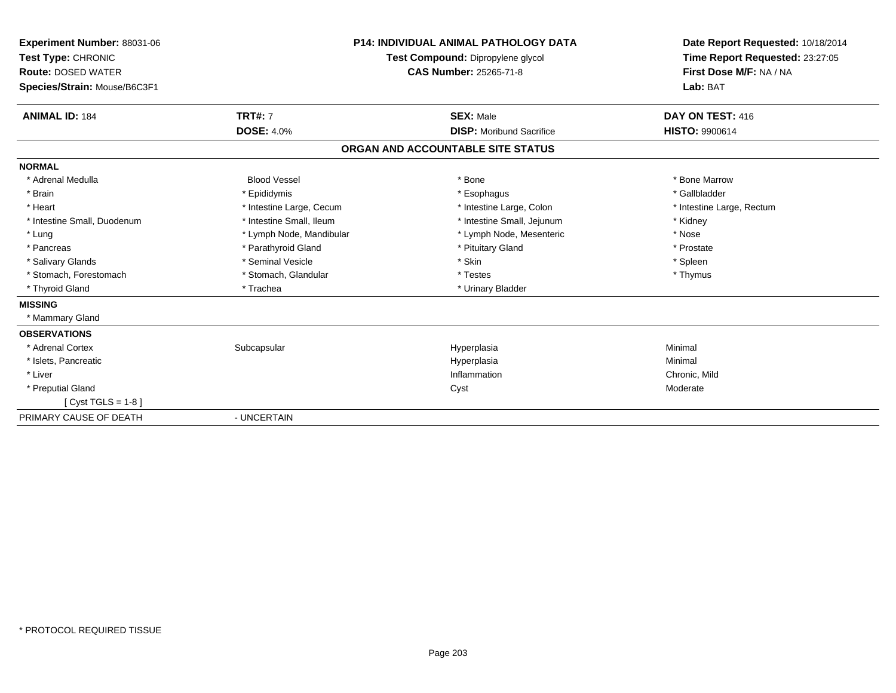| <b>Experiment Number: 88031-06</b><br>Test Type: CHRONIC<br><b>Route: DOSED WATER</b><br>Species/Strain: Mouse/B6C3F1 |                          | <b>P14: INDIVIDUAL ANIMAL PATHOLOGY DATA</b><br>Test Compound: Dipropylene glycol<br><b>CAS Number: 25265-71-8</b> | Date Report Requested: 10/18/2014<br>Time Report Requested: 23:27:05<br>First Dose M/F: NA / NA<br>Lab: BAT |
|-----------------------------------------------------------------------------------------------------------------------|--------------------------|--------------------------------------------------------------------------------------------------------------------|-------------------------------------------------------------------------------------------------------------|
| <b>ANIMAL ID: 184</b>                                                                                                 | <b>TRT#: 7</b>           | <b>SEX: Male</b>                                                                                                   | DAY ON TEST: 416                                                                                            |
|                                                                                                                       | <b>DOSE: 4.0%</b>        | <b>DISP:</b> Moribund Sacrifice                                                                                    | <b>HISTO: 9900614</b>                                                                                       |
|                                                                                                                       |                          | ORGAN AND ACCOUNTABLE SITE STATUS                                                                                  |                                                                                                             |
| <b>NORMAL</b>                                                                                                         |                          |                                                                                                                    |                                                                                                             |
| * Adrenal Medulla                                                                                                     | <b>Blood Vessel</b>      | * Bone                                                                                                             | * Bone Marrow                                                                                               |
| * Brain                                                                                                               | * Epididymis             | * Esophagus                                                                                                        | * Gallbladder                                                                                               |
| * Heart                                                                                                               | * Intestine Large, Cecum | * Intestine Large, Colon                                                                                           | * Intestine Large, Rectum                                                                                   |
| * Intestine Small, Duodenum                                                                                           | * Intestine Small, Ileum | * Intestine Small, Jejunum                                                                                         | * Kidney                                                                                                    |
| * Lung                                                                                                                | * Lymph Node, Mandibular | * Lymph Node, Mesenteric                                                                                           | * Nose                                                                                                      |
| * Pancreas                                                                                                            | * Parathyroid Gland      | * Pituitary Gland                                                                                                  | * Prostate                                                                                                  |
| * Salivary Glands                                                                                                     | * Seminal Vesicle        | * Skin                                                                                                             | * Spleen                                                                                                    |
| * Stomach, Forestomach                                                                                                | * Stomach, Glandular     | * Testes                                                                                                           | * Thymus                                                                                                    |
| * Thyroid Gland                                                                                                       | * Trachea                | * Urinary Bladder                                                                                                  |                                                                                                             |
| <b>MISSING</b>                                                                                                        |                          |                                                                                                                    |                                                                                                             |
| * Mammary Gland                                                                                                       |                          |                                                                                                                    |                                                                                                             |
| <b>OBSERVATIONS</b>                                                                                                   |                          |                                                                                                                    |                                                                                                             |
| * Adrenal Cortex                                                                                                      | Subcapsular              | Hyperplasia                                                                                                        | Minimal                                                                                                     |
| * Islets, Pancreatic                                                                                                  |                          | Hyperplasia                                                                                                        | Minimal                                                                                                     |
| * Liver                                                                                                               |                          | Inflammation                                                                                                       | Chronic, Mild                                                                                               |
| * Preputial Gland                                                                                                     |                          | Cyst                                                                                                               | Moderate                                                                                                    |
| [Cyst TGLS = $1-8$ ]                                                                                                  |                          |                                                                                                                    |                                                                                                             |
| PRIMARY CAUSE OF DEATH                                                                                                | - UNCERTAIN              |                                                                                                                    |                                                                                                             |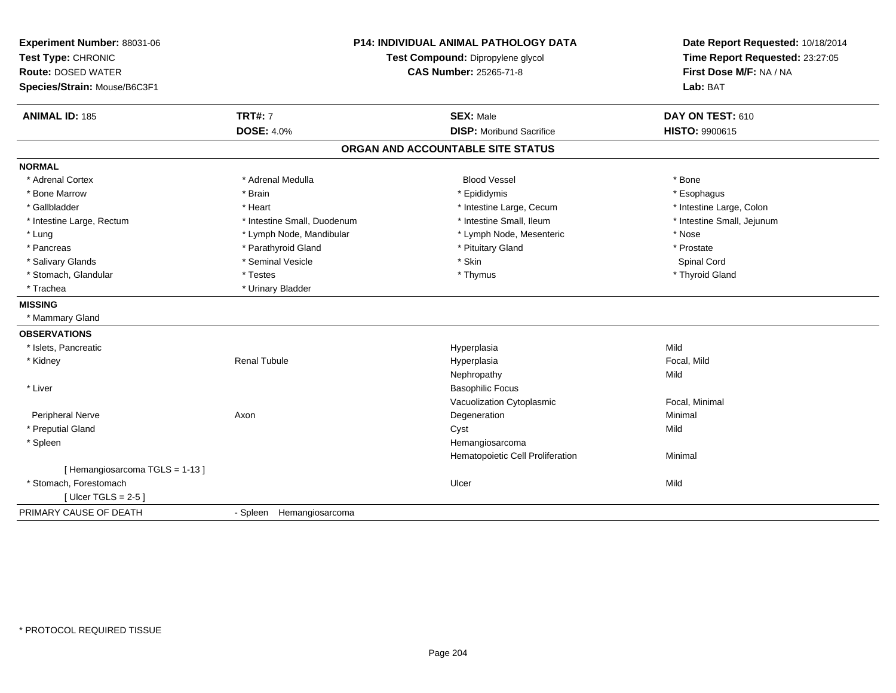| Experiment Number: 88031-06<br>Test Type: CHRONIC<br><b>Route: DOSED WATER</b><br>Species/Strain: Mouse/B6C3F1 | P14: INDIVIDUAL ANIMAL PATHOLOGY DATA<br>Test Compound: Dipropylene glycol<br>CAS Number: 25265-71-8 |                                   | Date Report Requested: 10/18/2014<br>Time Report Requested: 23:27:05<br>First Dose M/F: NA / NA<br>Lab: BAT |
|----------------------------------------------------------------------------------------------------------------|------------------------------------------------------------------------------------------------------|-----------------------------------|-------------------------------------------------------------------------------------------------------------|
| <b>ANIMAL ID: 185</b>                                                                                          | <b>TRT#: 7</b>                                                                                       | <b>SEX: Male</b>                  | DAY ON TEST: 610                                                                                            |
|                                                                                                                | <b>DOSE: 4.0%</b>                                                                                    | <b>DISP:</b> Moribund Sacrifice   | <b>HISTO: 9900615</b>                                                                                       |
|                                                                                                                |                                                                                                      | ORGAN AND ACCOUNTABLE SITE STATUS |                                                                                                             |
| <b>NORMAL</b>                                                                                                  |                                                                                                      |                                   |                                                                                                             |
| * Adrenal Cortex                                                                                               | * Adrenal Medulla                                                                                    | <b>Blood Vessel</b>               | * Bone                                                                                                      |
| * Bone Marrow                                                                                                  | * Brain                                                                                              | * Epididymis                      | * Esophagus                                                                                                 |
| * Gallbladder                                                                                                  | * Heart                                                                                              | * Intestine Large, Cecum          | * Intestine Large, Colon                                                                                    |
| * Intestine Large, Rectum                                                                                      | * Intestine Small, Duodenum                                                                          | * Intestine Small, Ileum          | * Intestine Small, Jejunum                                                                                  |
| * Lung                                                                                                         | * Lymph Node, Mandibular                                                                             | * Lymph Node, Mesenteric          | * Nose                                                                                                      |
| * Pancreas                                                                                                     | * Parathyroid Gland                                                                                  | * Pituitary Gland                 | * Prostate                                                                                                  |
| * Salivary Glands                                                                                              | * Seminal Vesicle                                                                                    | * Skin                            | <b>Spinal Cord</b>                                                                                          |
| * Stomach, Glandular                                                                                           | * Testes                                                                                             | * Thymus                          | * Thyroid Gland                                                                                             |
| * Trachea                                                                                                      | * Urinary Bladder                                                                                    |                                   |                                                                                                             |
| <b>MISSING</b>                                                                                                 |                                                                                                      |                                   |                                                                                                             |
| * Mammary Gland                                                                                                |                                                                                                      |                                   |                                                                                                             |
| <b>OBSERVATIONS</b>                                                                                            |                                                                                                      |                                   |                                                                                                             |
| * Islets, Pancreatic                                                                                           |                                                                                                      | Hyperplasia                       | Mild                                                                                                        |
| * Kidney                                                                                                       | <b>Renal Tubule</b>                                                                                  | Hyperplasia                       | Focal, Mild                                                                                                 |
|                                                                                                                |                                                                                                      | Nephropathy                       | Mild                                                                                                        |
| * Liver                                                                                                        |                                                                                                      | <b>Basophilic Focus</b>           |                                                                                                             |
|                                                                                                                |                                                                                                      | Vacuolization Cytoplasmic         | Focal, Minimal                                                                                              |
| Peripheral Nerve                                                                                               | Axon                                                                                                 | Degeneration                      | Minimal                                                                                                     |
| * Preputial Gland                                                                                              |                                                                                                      | Cyst                              | Mild                                                                                                        |
| * Spleen                                                                                                       |                                                                                                      | Hemangiosarcoma                   |                                                                                                             |
|                                                                                                                |                                                                                                      | Hematopoietic Cell Proliferation  | Minimal                                                                                                     |
| [Hemangiosarcoma TGLS = 1-13]                                                                                  |                                                                                                      |                                   |                                                                                                             |
| * Stomach, Forestomach                                                                                         |                                                                                                      | Ulcer                             | Mild                                                                                                        |
| [Ulcer TGLS = $2-5$ ]                                                                                          |                                                                                                      |                                   |                                                                                                             |
| PRIMARY CAUSE OF DEATH                                                                                         | - Spleen Hemangiosarcoma                                                                             |                                   |                                                                                                             |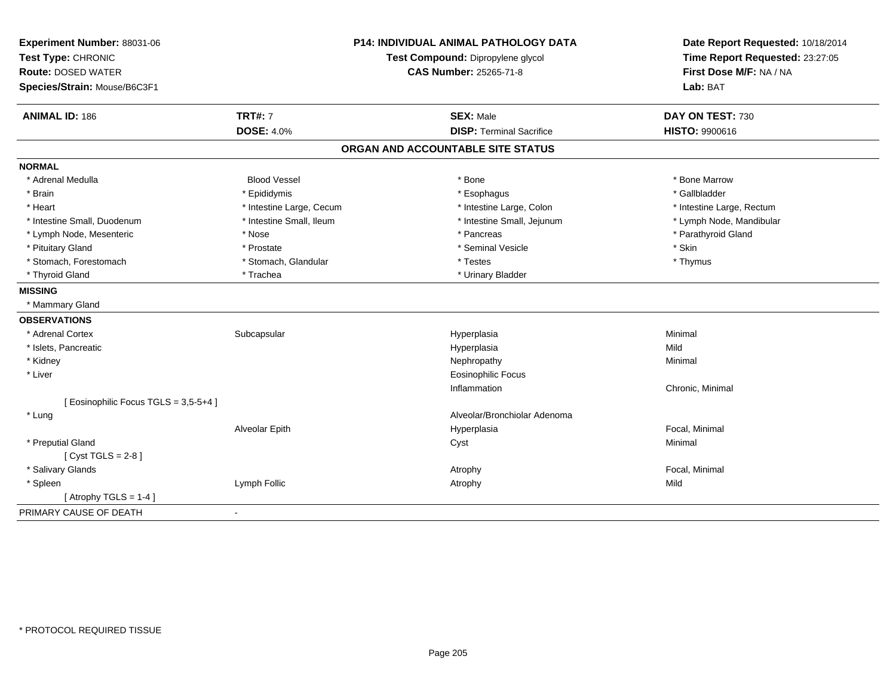| Experiment Number: 88031-06         |                          | <b>P14: INDIVIDUAL ANIMAL PATHOLOGY DATA</b> | Date Report Requested: 10/18/2014<br>Time Report Requested: 23:27:05 |  |
|-------------------------------------|--------------------------|----------------------------------------------|----------------------------------------------------------------------|--|
| Test Type: CHRONIC                  |                          | Test Compound: Dipropylene glycol            |                                                                      |  |
| <b>Route: DOSED WATER</b>           |                          | <b>CAS Number: 25265-71-8</b>                | First Dose M/F: NA / NA                                              |  |
| Species/Strain: Mouse/B6C3F1        |                          |                                              | Lab: BAT                                                             |  |
| <b>ANIMAL ID: 186</b>               | <b>TRT#: 7</b>           | <b>SEX: Male</b>                             | DAY ON TEST: 730                                                     |  |
|                                     | <b>DOSE: 4.0%</b>        | <b>DISP: Terminal Sacrifice</b>              | <b>HISTO: 9900616</b>                                                |  |
|                                     |                          | ORGAN AND ACCOUNTABLE SITE STATUS            |                                                                      |  |
| <b>NORMAL</b>                       |                          |                                              |                                                                      |  |
| * Adrenal Medulla                   | <b>Blood Vessel</b>      | * Bone                                       | * Bone Marrow                                                        |  |
| * Brain                             | * Epididymis             | * Esophagus                                  | * Gallbladder                                                        |  |
| * Heart                             | * Intestine Large, Cecum | * Intestine Large, Colon                     | * Intestine Large, Rectum                                            |  |
| * Intestine Small, Duodenum         | * Intestine Small, Ileum | * Intestine Small, Jejunum                   | * Lymph Node, Mandibular                                             |  |
| * Lymph Node, Mesenteric            | * Nose                   | * Pancreas                                   | * Parathyroid Gland                                                  |  |
| * Pituitary Gland                   | * Prostate               | * Seminal Vesicle                            | * Skin                                                               |  |
| * Stomach, Forestomach              | * Stomach, Glandular     | * Testes                                     | * Thymus                                                             |  |
| * Thyroid Gland                     | * Trachea                | * Urinary Bladder                            |                                                                      |  |
| <b>MISSING</b>                      |                          |                                              |                                                                      |  |
| * Mammary Gland                     |                          |                                              |                                                                      |  |
| <b>OBSERVATIONS</b>                 |                          |                                              |                                                                      |  |
| * Adrenal Cortex                    | Subcapsular              | Hyperplasia                                  | Minimal                                                              |  |
| * Islets, Pancreatic                |                          | Hyperplasia                                  | Mild                                                                 |  |
| * Kidney                            |                          | Nephropathy                                  | Minimal                                                              |  |
| * Liver                             |                          | <b>Eosinophilic Focus</b>                    |                                                                      |  |
|                                     |                          | Inflammation                                 | Chronic, Minimal                                                     |  |
| [Eosinophilic Focus TGLS = 3,5-5+4] |                          |                                              |                                                                      |  |
| * Lung                              |                          | Alveolar/Bronchiolar Adenoma                 |                                                                      |  |
|                                     | Alveolar Epith           | Hyperplasia                                  | Focal, Minimal                                                       |  |
| * Preputial Gland                   |                          | Cyst                                         | Minimal                                                              |  |
| [ $Cyst TGLS = 2-8$ ]               |                          |                                              |                                                                      |  |
| * Salivary Glands                   |                          | Atrophy                                      | Focal, Minimal                                                       |  |
| * Spleen                            | Lymph Follic             | Atrophy                                      | Mild                                                                 |  |
| [Atrophy TGLS = $1-4$ ]             |                          |                                              |                                                                      |  |
| PRIMARY CAUSE OF DEATH              | $\blacksquare$           |                                              |                                                                      |  |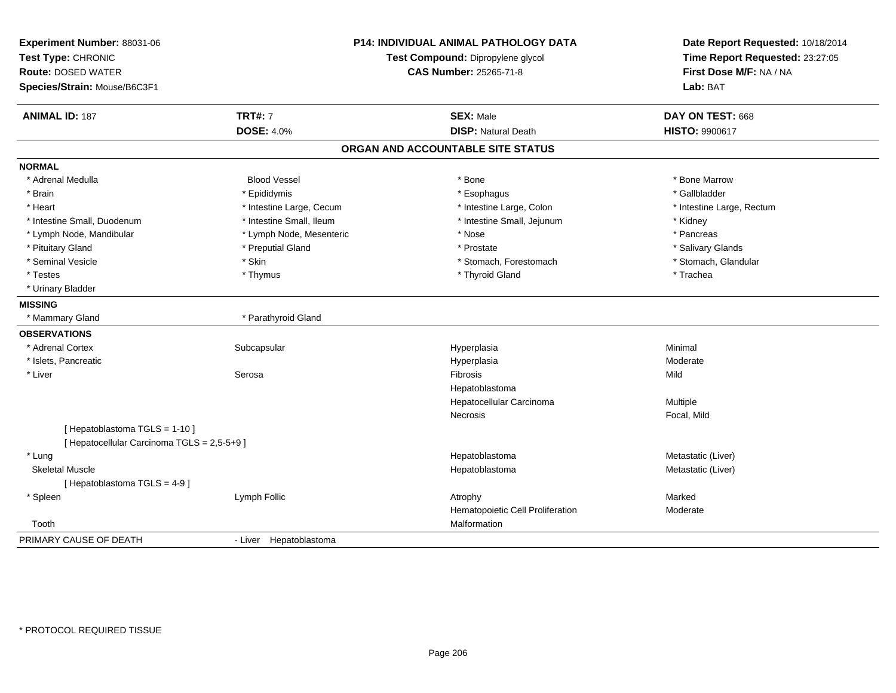| Experiment Number: 88031-06<br>Test Type: CHRONIC<br><b>Route: DOSED WATER</b><br>Species/Strain: Mouse/B6C3F1 |                          | <b>P14: INDIVIDUAL ANIMAL PATHOLOGY DATA</b><br>Test Compound: Dipropylene glycol<br><b>CAS Number: 25265-71-8</b> | Date Report Requested: 10/18/2014<br>Time Report Requested: 23:27:05<br>First Dose M/F: NA / NA<br>Lab: BAT |
|----------------------------------------------------------------------------------------------------------------|--------------------------|--------------------------------------------------------------------------------------------------------------------|-------------------------------------------------------------------------------------------------------------|
| <b>ANIMAL ID: 187</b>                                                                                          | <b>TRT#: 7</b>           | <b>SEX: Male</b>                                                                                                   | DAY ON TEST: 668                                                                                            |
|                                                                                                                | <b>DOSE: 4.0%</b>        | <b>DISP: Natural Death</b>                                                                                         | <b>HISTO: 9900617</b>                                                                                       |
|                                                                                                                |                          | ORGAN AND ACCOUNTABLE SITE STATUS                                                                                  |                                                                                                             |
| <b>NORMAL</b>                                                                                                  |                          |                                                                                                                    |                                                                                                             |
| * Adrenal Medulla                                                                                              | <b>Blood Vessel</b>      | * Bone                                                                                                             | * Bone Marrow                                                                                               |
| * Brain                                                                                                        | * Epididymis             | * Esophagus                                                                                                        | * Gallbladder                                                                                               |
| * Heart                                                                                                        | * Intestine Large, Cecum | * Intestine Large, Colon                                                                                           | * Intestine Large, Rectum                                                                                   |
| * Intestine Small, Duodenum                                                                                    | * Intestine Small, Ileum | * Intestine Small, Jejunum                                                                                         | * Kidney                                                                                                    |
| * Lymph Node, Mandibular                                                                                       | * Lymph Node, Mesenteric | * Nose                                                                                                             | * Pancreas                                                                                                  |
| * Pituitary Gland                                                                                              | * Preputial Gland        | * Prostate                                                                                                         | * Salivary Glands                                                                                           |
| * Seminal Vesicle                                                                                              | * Skin                   | * Stomach, Forestomach                                                                                             | * Stomach, Glandular                                                                                        |
| * Testes                                                                                                       | * Thymus                 | * Thyroid Gland                                                                                                    | * Trachea                                                                                                   |
| * Urinary Bladder                                                                                              |                          |                                                                                                                    |                                                                                                             |
| <b>MISSING</b>                                                                                                 |                          |                                                                                                                    |                                                                                                             |
| * Mammary Gland                                                                                                | * Parathyroid Gland      |                                                                                                                    |                                                                                                             |
| <b>OBSERVATIONS</b>                                                                                            |                          |                                                                                                                    |                                                                                                             |
| * Adrenal Cortex                                                                                               | Subcapsular              | Hyperplasia                                                                                                        | Minimal                                                                                                     |
| * Islets, Pancreatic                                                                                           |                          | Hyperplasia                                                                                                        | Moderate                                                                                                    |
| * Liver                                                                                                        | Serosa                   | Fibrosis                                                                                                           | Mild                                                                                                        |
|                                                                                                                |                          | Hepatoblastoma                                                                                                     |                                                                                                             |
|                                                                                                                |                          | Hepatocellular Carcinoma                                                                                           | Multiple                                                                                                    |
|                                                                                                                |                          | <b>Necrosis</b>                                                                                                    | Focal, Mild                                                                                                 |
| [Hepatoblastoma TGLS = 1-10]                                                                                   |                          |                                                                                                                    |                                                                                                             |
| [ Hepatocellular Carcinoma TGLS = 2,5-5+9 ]                                                                    |                          |                                                                                                                    |                                                                                                             |
| * Lung                                                                                                         |                          | Hepatoblastoma                                                                                                     | Metastatic (Liver)                                                                                          |
| <b>Skeletal Muscle</b>                                                                                         |                          | Hepatoblastoma                                                                                                     | Metastatic (Liver)                                                                                          |
| [Hepatoblastoma TGLS = 4-9]                                                                                    |                          |                                                                                                                    |                                                                                                             |
| * Spleen                                                                                                       | Lymph Follic             | Atrophy                                                                                                            | Marked                                                                                                      |
|                                                                                                                |                          | Hematopoietic Cell Proliferation                                                                                   | Moderate                                                                                                    |
| Tooth                                                                                                          |                          | Malformation                                                                                                       |                                                                                                             |
| PRIMARY CAUSE OF DEATH                                                                                         | - Liver Hepatoblastoma   |                                                                                                                    |                                                                                                             |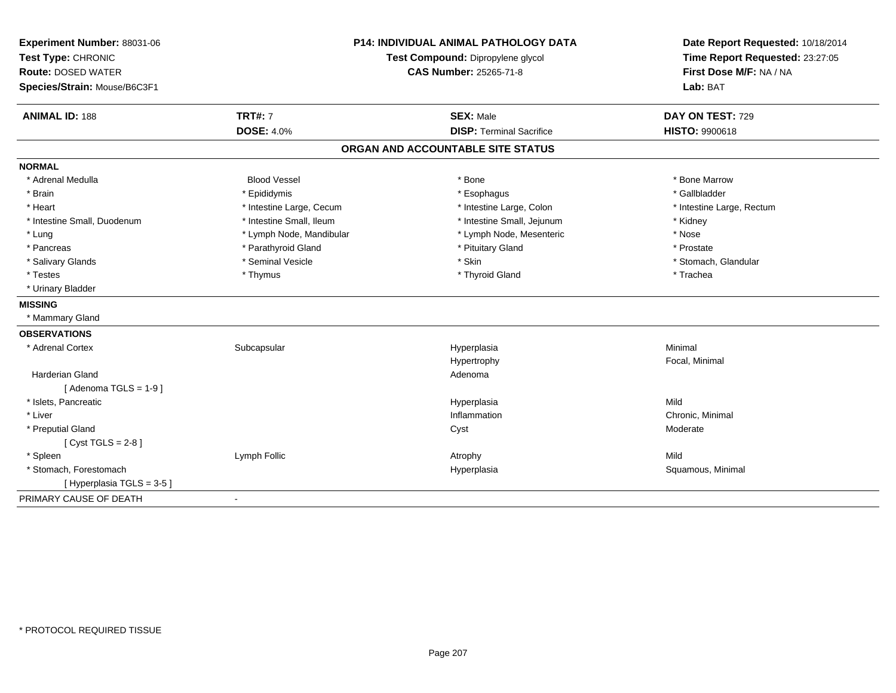| Experiment Number: 88031-06<br>Test Type: CHRONIC<br><b>Route: DOSED WATER</b> | <b>P14: INDIVIDUAL ANIMAL PATHOLOGY DATA</b><br>Test Compound: Dipropylene glycol<br><b>CAS Number: 25265-71-8</b> |                                   | Date Report Requested: 10/18/2014<br>Time Report Requested: 23:27:05<br>First Dose M/F: NA / NA |
|--------------------------------------------------------------------------------|--------------------------------------------------------------------------------------------------------------------|-----------------------------------|-------------------------------------------------------------------------------------------------|
| Species/Strain: Mouse/B6C3F1                                                   |                                                                                                                    |                                   | Lab: BAT                                                                                        |
| <b>ANIMAL ID: 188</b>                                                          | <b>TRT#: 7</b>                                                                                                     | <b>SEX: Male</b>                  | DAY ON TEST: 729                                                                                |
|                                                                                | <b>DOSE: 4.0%</b>                                                                                                  | <b>DISP: Terminal Sacrifice</b>   | HISTO: 9900618                                                                                  |
|                                                                                |                                                                                                                    | ORGAN AND ACCOUNTABLE SITE STATUS |                                                                                                 |
| <b>NORMAL</b>                                                                  |                                                                                                                    |                                   |                                                                                                 |
| * Adrenal Medulla                                                              | <b>Blood Vessel</b>                                                                                                | * Bone                            | * Bone Marrow                                                                                   |
| * Brain                                                                        | * Epididymis                                                                                                       | * Esophagus                       | * Gallbladder                                                                                   |
| * Heart                                                                        | * Intestine Large, Cecum                                                                                           | * Intestine Large, Colon          | * Intestine Large, Rectum                                                                       |
| * Intestine Small, Duodenum                                                    | * Intestine Small, Ileum                                                                                           | * Intestine Small, Jejunum        | * Kidney                                                                                        |
| * Lung                                                                         | * Lymph Node, Mandibular                                                                                           | * Lymph Node, Mesenteric          | * Nose                                                                                          |
| * Pancreas                                                                     | * Parathyroid Gland                                                                                                | * Pituitary Gland                 | * Prostate                                                                                      |
| * Salivary Glands                                                              | * Seminal Vesicle                                                                                                  | * Skin                            | * Stomach, Glandular                                                                            |
| * Testes                                                                       | * Thymus                                                                                                           | * Thyroid Gland                   | * Trachea                                                                                       |
| * Urinary Bladder                                                              |                                                                                                                    |                                   |                                                                                                 |
| <b>MISSING</b>                                                                 |                                                                                                                    |                                   |                                                                                                 |
| * Mammary Gland                                                                |                                                                                                                    |                                   |                                                                                                 |
| <b>OBSERVATIONS</b>                                                            |                                                                                                                    |                                   |                                                                                                 |
| * Adrenal Cortex                                                               | Subcapsular                                                                                                        | Hyperplasia                       | Minimal                                                                                         |
|                                                                                |                                                                                                                    | Hypertrophy                       | Focal, Minimal                                                                                  |
| Harderian Gland                                                                |                                                                                                                    | Adenoma                           |                                                                                                 |
| [Adenoma TGLS = $1-9$ ]                                                        |                                                                                                                    |                                   |                                                                                                 |
| * Islets, Pancreatic                                                           |                                                                                                                    | Hyperplasia                       | Mild                                                                                            |
| * Liver                                                                        |                                                                                                                    | Inflammation                      | Chronic, Minimal                                                                                |
| * Preputial Gland                                                              |                                                                                                                    | Cyst                              | Moderate                                                                                        |
| [Cyst TGLS = $2-8$ ]                                                           |                                                                                                                    |                                   |                                                                                                 |
| * Spleen                                                                       | Lymph Follic                                                                                                       | Atrophy                           | Mild                                                                                            |
| * Stomach, Forestomach                                                         |                                                                                                                    | Hyperplasia                       | Squamous, Minimal                                                                               |
| [ Hyperplasia TGLS = 3-5 ]                                                     |                                                                                                                    |                                   |                                                                                                 |
| PRIMARY CAUSE OF DEATH                                                         | $\blacksquare$                                                                                                     |                                   |                                                                                                 |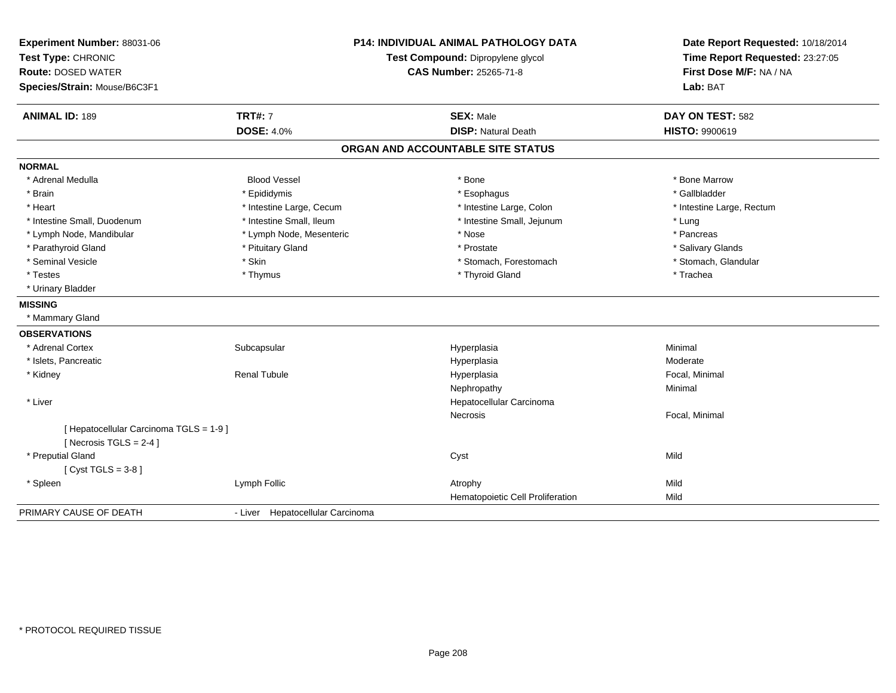| Experiment Number: 88031-06<br>Test Type: CHRONIC<br><b>Route: DOSED WATER</b><br>Species/Strain: Mouse/B6C3F1 |                                  | <b>P14: INDIVIDUAL ANIMAL PATHOLOGY DATA</b><br>Test Compound: Dipropylene glycol<br><b>CAS Number: 25265-71-8</b> | Date Report Requested: 10/18/2014<br>Time Report Requested: 23:27:05<br>First Dose M/F: NA / NA<br>Lab: BAT |
|----------------------------------------------------------------------------------------------------------------|----------------------------------|--------------------------------------------------------------------------------------------------------------------|-------------------------------------------------------------------------------------------------------------|
| <b>ANIMAL ID: 189</b>                                                                                          | <b>TRT#: 7</b>                   | <b>SEX: Male</b>                                                                                                   | DAY ON TEST: 582                                                                                            |
|                                                                                                                | <b>DOSE: 4.0%</b>                | <b>DISP: Natural Death</b>                                                                                         | <b>HISTO: 9900619</b>                                                                                       |
|                                                                                                                |                                  | ORGAN AND ACCOUNTABLE SITE STATUS                                                                                  |                                                                                                             |
| <b>NORMAL</b>                                                                                                  |                                  |                                                                                                                    |                                                                                                             |
| * Adrenal Medulla                                                                                              | <b>Blood Vessel</b>              | * Bone                                                                                                             | * Bone Marrow                                                                                               |
| * Brain                                                                                                        | * Epididymis                     | * Esophagus                                                                                                        | * Gallbladder                                                                                               |
| * Heart                                                                                                        | * Intestine Large, Cecum         | * Intestine Large, Colon                                                                                           | * Intestine Large, Rectum                                                                                   |
| * Intestine Small, Duodenum                                                                                    | * Intestine Small, Ileum         | * Intestine Small, Jejunum                                                                                         | * Lung                                                                                                      |
| * Lymph Node, Mandibular                                                                                       | * Lymph Node, Mesenteric         | * Nose                                                                                                             | * Pancreas                                                                                                  |
| * Parathyroid Gland                                                                                            | * Pituitary Gland                | * Prostate                                                                                                         | * Salivary Glands                                                                                           |
| * Seminal Vesicle                                                                                              | * Skin                           | * Stomach, Forestomach                                                                                             | * Stomach, Glandular                                                                                        |
| * Testes                                                                                                       | * Thymus                         | * Thyroid Gland                                                                                                    | * Trachea                                                                                                   |
| * Urinary Bladder                                                                                              |                                  |                                                                                                                    |                                                                                                             |
| <b>MISSING</b>                                                                                                 |                                  |                                                                                                                    |                                                                                                             |
| * Mammary Gland                                                                                                |                                  |                                                                                                                    |                                                                                                             |
| <b>OBSERVATIONS</b>                                                                                            |                                  |                                                                                                                    |                                                                                                             |
| * Adrenal Cortex                                                                                               | Subcapsular                      | Hyperplasia                                                                                                        | Minimal                                                                                                     |
| * Islets, Pancreatic                                                                                           |                                  | Hyperplasia                                                                                                        | Moderate                                                                                                    |
| * Kidney                                                                                                       | <b>Renal Tubule</b>              | Hyperplasia                                                                                                        | Focal, Minimal                                                                                              |
|                                                                                                                |                                  | Nephropathy                                                                                                        | Minimal                                                                                                     |
| * Liver                                                                                                        |                                  | Hepatocellular Carcinoma                                                                                           |                                                                                                             |
|                                                                                                                |                                  | Necrosis                                                                                                           | Focal, Minimal                                                                                              |
| [ Hepatocellular Carcinoma TGLS = 1-9 ]                                                                        |                                  |                                                                                                                    |                                                                                                             |
| [Necrosis TGLS = $2-4$ ]                                                                                       |                                  |                                                                                                                    |                                                                                                             |
| * Preputial Gland                                                                                              |                                  | Cyst                                                                                                               | Mild                                                                                                        |
| [Cyst TGLS = $3-8$ ]                                                                                           |                                  |                                                                                                                    |                                                                                                             |
| * Spleen                                                                                                       | Lymph Follic                     | Atrophy                                                                                                            | Mild                                                                                                        |
|                                                                                                                |                                  | Hematopoietic Cell Proliferation                                                                                   | Mild                                                                                                        |
| PRIMARY CAUSE OF DEATH                                                                                         | - Liver Hepatocellular Carcinoma |                                                                                                                    |                                                                                                             |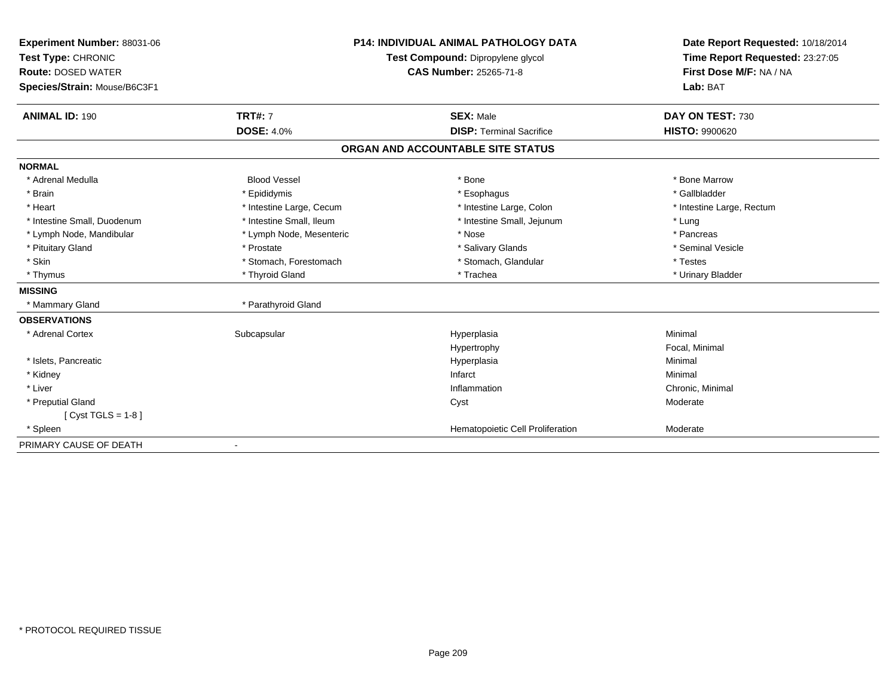| Experiment Number: 88031-06  |                                   | <b>P14: INDIVIDUAL ANIMAL PATHOLOGY DATA</b> | Date Report Requested: 10/18/2014 |  |
|------------------------------|-----------------------------------|----------------------------------------------|-----------------------------------|--|
| Test Type: CHRONIC           | Test Compound: Dipropylene glycol |                                              | Time Report Requested: 23:27:05   |  |
| <b>Route: DOSED WATER</b>    |                                   | <b>CAS Number: 25265-71-8</b>                | First Dose M/F: NA / NA           |  |
| Species/Strain: Mouse/B6C3F1 |                                   |                                              | Lab: BAT                          |  |
| <b>ANIMAL ID: 190</b>        | <b>TRT#: 7</b>                    | <b>SEX: Male</b>                             | DAY ON TEST: 730                  |  |
|                              | <b>DOSE: 4.0%</b>                 | <b>DISP: Terminal Sacrifice</b>              | <b>HISTO: 9900620</b>             |  |
|                              |                                   | ORGAN AND ACCOUNTABLE SITE STATUS            |                                   |  |
| <b>NORMAL</b>                |                                   |                                              |                                   |  |
| * Adrenal Medulla            | <b>Blood Vessel</b>               | * Bone                                       | * Bone Marrow                     |  |
| * Brain                      | * Epididymis                      | * Esophagus                                  | * Gallbladder                     |  |
| * Heart                      | * Intestine Large, Cecum          | * Intestine Large, Colon                     | * Intestine Large, Rectum         |  |
| * Intestine Small, Duodenum  | * Intestine Small, Ileum          | * Intestine Small, Jejunum                   | * Lung                            |  |
| * Lymph Node, Mandibular     | * Lymph Node, Mesenteric          | * Nose                                       | * Pancreas                        |  |
| * Pituitary Gland            | * Prostate                        | * Salivary Glands                            | * Seminal Vesicle                 |  |
| * Skin                       | * Stomach, Forestomach            | * Stomach, Glandular                         | * Testes                          |  |
| * Thymus                     | * Thyroid Gland                   | * Trachea                                    | * Urinary Bladder                 |  |
| <b>MISSING</b>               |                                   |                                              |                                   |  |
| * Mammary Gland              | * Parathyroid Gland               |                                              |                                   |  |
| <b>OBSERVATIONS</b>          |                                   |                                              |                                   |  |
| * Adrenal Cortex             | Subcapsular                       | Hyperplasia                                  | Minimal                           |  |
|                              |                                   | Hypertrophy                                  | Focal, Minimal                    |  |
| * Islets, Pancreatic         |                                   | Hyperplasia                                  | Minimal                           |  |
| * Kidney                     |                                   | Infarct                                      | Minimal                           |  |
| * Liver                      |                                   | Inflammation                                 | Chronic, Minimal                  |  |
| * Preputial Gland            |                                   | Cyst                                         | Moderate                          |  |
| [ $Cyst TGLS = 1-8$ ]        |                                   |                                              |                                   |  |
| * Spleen                     |                                   | Hematopoietic Cell Proliferation             | Moderate                          |  |
| PRIMARY CAUSE OF DEATH       |                                   |                                              |                                   |  |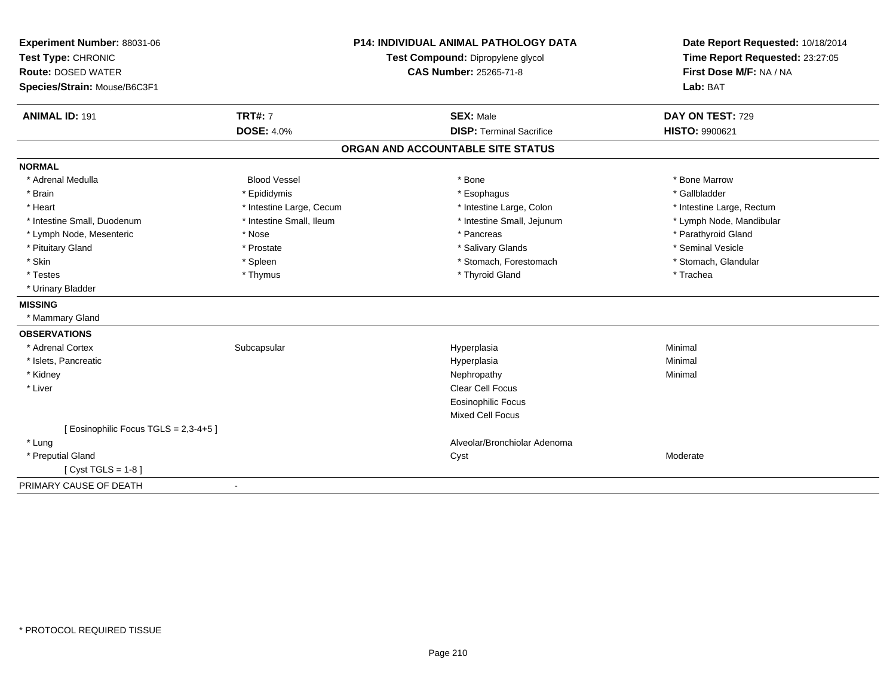| Experiment Number: 88031-06<br>Test Type: CHRONIC<br><b>Route: DOSED WATER</b> |                          | <b>P14: INDIVIDUAL ANIMAL PATHOLOGY DATA</b><br>Test Compound: Dipropylene glycol<br><b>CAS Number: 25265-71-8</b> | Date Report Requested: 10/18/2014<br>Time Report Requested: 23:27:05<br>First Dose M/F: NA / NA |
|--------------------------------------------------------------------------------|--------------------------|--------------------------------------------------------------------------------------------------------------------|-------------------------------------------------------------------------------------------------|
| Species/Strain: Mouse/B6C3F1                                                   |                          |                                                                                                                    | Lab: BAT                                                                                        |
| <b>ANIMAL ID: 191</b>                                                          | <b>TRT#: 7</b>           | <b>SEX: Male</b>                                                                                                   | DAY ON TEST: 729                                                                                |
|                                                                                | <b>DOSE: 4.0%</b>        | <b>DISP: Terminal Sacrifice</b>                                                                                    | <b>HISTO: 9900621</b>                                                                           |
|                                                                                |                          | ORGAN AND ACCOUNTABLE SITE STATUS                                                                                  |                                                                                                 |
| <b>NORMAL</b>                                                                  |                          |                                                                                                                    |                                                                                                 |
| * Adrenal Medulla                                                              | <b>Blood Vessel</b>      | * Bone                                                                                                             | * Bone Marrow                                                                                   |
| * Brain                                                                        | * Epididymis             | * Esophagus                                                                                                        | * Gallbladder                                                                                   |
| * Heart                                                                        | * Intestine Large, Cecum | * Intestine Large, Colon                                                                                           | * Intestine Large, Rectum                                                                       |
| * Intestine Small, Duodenum                                                    | * Intestine Small, Ileum | * Intestine Small, Jejunum                                                                                         | * Lymph Node, Mandibular                                                                        |
| * Lymph Node, Mesenteric                                                       | * Nose                   | * Pancreas                                                                                                         | * Parathyroid Gland                                                                             |
| * Pituitary Gland                                                              | * Prostate               | * Salivary Glands                                                                                                  | * Seminal Vesicle                                                                               |
| * Skin                                                                         | * Spleen                 | * Stomach, Forestomach                                                                                             | * Stomach, Glandular                                                                            |
| * Testes                                                                       | * Thymus                 | * Thyroid Gland                                                                                                    | * Trachea                                                                                       |
| * Urinary Bladder                                                              |                          |                                                                                                                    |                                                                                                 |
| <b>MISSING</b>                                                                 |                          |                                                                                                                    |                                                                                                 |
| * Mammary Gland                                                                |                          |                                                                                                                    |                                                                                                 |
| <b>OBSERVATIONS</b>                                                            |                          |                                                                                                                    |                                                                                                 |
| * Adrenal Cortex                                                               | Subcapsular              | Hyperplasia                                                                                                        | Minimal                                                                                         |
| * Islets, Pancreatic                                                           |                          | Hyperplasia                                                                                                        | Minimal                                                                                         |
| * Kidney                                                                       |                          | Nephropathy                                                                                                        | Minimal                                                                                         |
| * Liver                                                                        |                          | <b>Clear Cell Focus</b>                                                                                            |                                                                                                 |
|                                                                                |                          | <b>Eosinophilic Focus</b>                                                                                          |                                                                                                 |
|                                                                                |                          | <b>Mixed Cell Focus</b>                                                                                            |                                                                                                 |
| [Eosinophilic Focus TGLS = 2,3-4+5]                                            |                          |                                                                                                                    |                                                                                                 |
| * Lung                                                                         |                          | Alveolar/Bronchiolar Adenoma                                                                                       |                                                                                                 |
| * Preputial Gland                                                              |                          | Cyst                                                                                                               | Moderate                                                                                        |
| [ $Cyst TGLS = 1-8$ ]                                                          |                          |                                                                                                                    |                                                                                                 |
| PRIMARY CAUSE OF DEATH                                                         |                          |                                                                                                                    |                                                                                                 |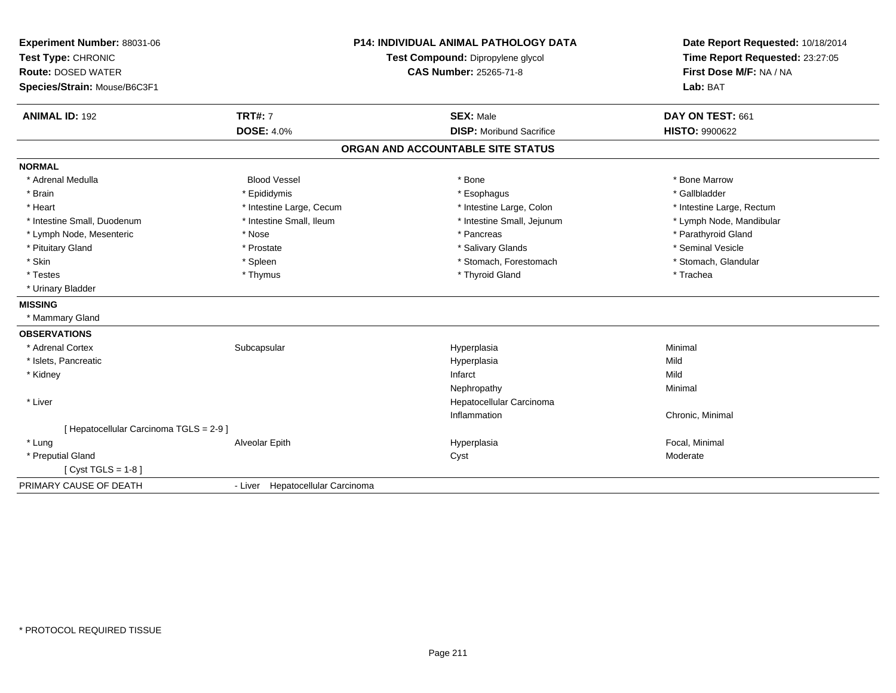| Experiment Number: 88031-06<br>Test Type: CHRONIC<br><b>Route: DOSED WATER</b><br>Species/Strain: Mouse/B6C3F1 |                                  | <b>P14: INDIVIDUAL ANIMAL PATHOLOGY DATA</b><br>Test Compound: Dipropylene glycol<br><b>CAS Number: 25265-71-8</b> | Date Report Requested: 10/18/2014<br>Time Report Requested: 23:27:05<br>First Dose M/F: NA / NA<br>Lab: BAT |
|----------------------------------------------------------------------------------------------------------------|----------------------------------|--------------------------------------------------------------------------------------------------------------------|-------------------------------------------------------------------------------------------------------------|
| <b>ANIMAL ID: 192</b>                                                                                          | <b>TRT#: 7</b>                   | <b>SEX: Male</b>                                                                                                   | DAY ON TEST: 661                                                                                            |
|                                                                                                                | <b>DOSE: 4.0%</b>                | <b>DISP:</b> Moribund Sacrifice                                                                                    | <b>HISTO: 9900622</b>                                                                                       |
|                                                                                                                |                                  | ORGAN AND ACCOUNTABLE SITE STATUS                                                                                  |                                                                                                             |
| <b>NORMAL</b>                                                                                                  |                                  |                                                                                                                    |                                                                                                             |
| * Adrenal Medulla                                                                                              | <b>Blood Vessel</b>              | * Bone                                                                                                             | * Bone Marrow                                                                                               |
| * Brain                                                                                                        | * Epididymis                     | * Esophagus                                                                                                        | * Gallbladder                                                                                               |
| * Heart                                                                                                        | * Intestine Large, Cecum         | * Intestine Large, Colon                                                                                           | * Intestine Large, Rectum                                                                                   |
| * Intestine Small, Duodenum                                                                                    | * Intestine Small, Ileum         | * Intestine Small, Jejunum                                                                                         | * Lymph Node, Mandibular                                                                                    |
| * Lymph Node, Mesenteric                                                                                       | * Nose                           | * Pancreas                                                                                                         | * Parathyroid Gland                                                                                         |
| * Pituitary Gland                                                                                              | * Prostate                       | * Salivary Glands                                                                                                  | * Seminal Vesicle                                                                                           |
| * Skin                                                                                                         | * Spleen                         | * Stomach, Forestomach                                                                                             | * Stomach, Glandular                                                                                        |
| * Testes                                                                                                       | * Thymus                         | * Thyroid Gland                                                                                                    | * Trachea                                                                                                   |
| * Urinary Bladder                                                                                              |                                  |                                                                                                                    |                                                                                                             |
| <b>MISSING</b>                                                                                                 |                                  |                                                                                                                    |                                                                                                             |
| * Mammary Gland                                                                                                |                                  |                                                                                                                    |                                                                                                             |
| <b>OBSERVATIONS</b>                                                                                            |                                  |                                                                                                                    |                                                                                                             |
| * Adrenal Cortex                                                                                               | Subcapsular                      | Hyperplasia                                                                                                        | Minimal                                                                                                     |
| * Islets, Pancreatic                                                                                           |                                  | Hyperplasia                                                                                                        | Mild                                                                                                        |
| * Kidney                                                                                                       |                                  | Infarct                                                                                                            | Mild                                                                                                        |
|                                                                                                                |                                  | Nephropathy                                                                                                        | Minimal                                                                                                     |
| * Liver                                                                                                        |                                  | Hepatocellular Carcinoma                                                                                           |                                                                                                             |
|                                                                                                                |                                  | Inflammation                                                                                                       | Chronic, Minimal                                                                                            |
| [ Hepatocellular Carcinoma TGLS = 2-9 ]                                                                        |                                  |                                                                                                                    |                                                                                                             |
| * Lung                                                                                                         | Alveolar Epith                   | Hyperplasia                                                                                                        | Focal, Minimal                                                                                              |
| * Preputial Gland                                                                                              |                                  | Cyst                                                                                                               | Moderate                                                                                                    |
| [ $Cyst TGLS = 1-8$ ]                                                                                          |                                  |                                                                                                                    |                                                                                                             |
| PRIMARY CAUSE OF DEATH                                                                                         | - Liver Hepatocellular Carcinoma |                                                                                                                    |                                                                                                             |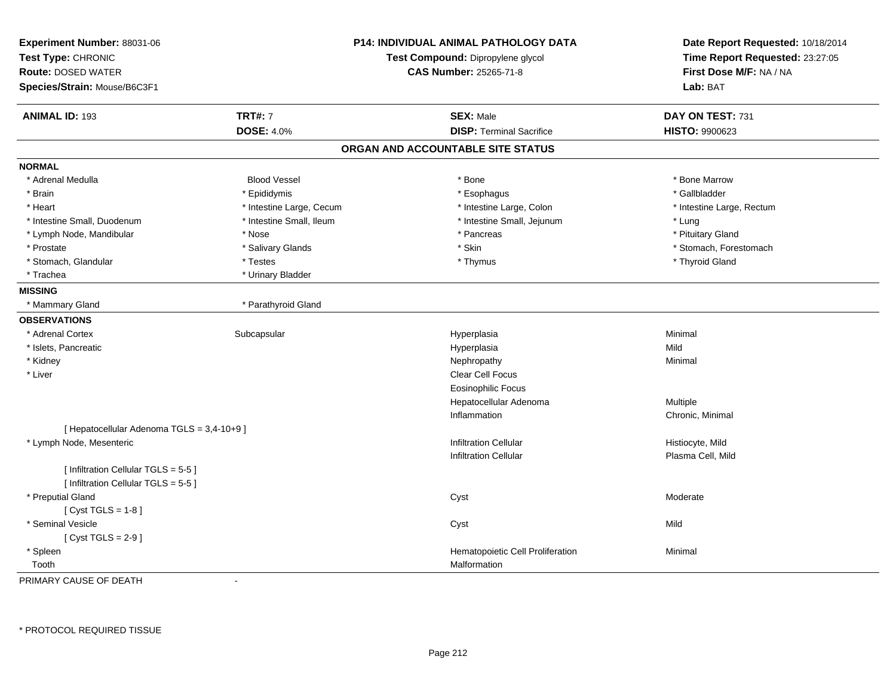| Experiment Number: 88031-06<br>Test Type: CHRONIC |                          | <b>P14: INDIVIDUAL ANIMAL PATHOLOGY DATA</b> | Date Report Requested: 10/18/2014 |  |
|---------------------------------------------------|--------------------------|----------------------------------------------|-----------------------------------|--|
|                                                   |                          | Test Compound: Dipropylene glycol            | Time Report Requested: 23:27:05   |  |
| <b>Route: DOSED WATER</b>                         |                          | <b>CAS Number: 25265-71-8</b>                | First Dose M/F: NA / NA           |  |
| Species/Strain: Mouse/B6C3F1                      |                          |                                              | Lab: BAT                          |  |
| <b>ANIMAL ID: 193</b>                             | <b>TRT#: 7</b>           | <b>SEX: Male</b>                             | DAY ON TEST: 731                  |  |
|                                                   | <b>DOSE: 4.0%</b>        | <b>DISP: Terminal Sacrifice</b>              | HISTO: 9900623                    |  |
|                                                   |                          | ORGAN AND ACCOUNTABLE SITE STATUS            |                                   |  |
| <b>NORMAL</b>                                     |                          |                                              |                                   |  |
| * Adrenal Medulla                                 | <b>Blood Vessel</b>      | $*$ Bone                                     | * Bone Marrow                     |  |
| * Brain                                           | * Epididymis             | * Esophagus                                  | * Gallbladder                     |  |
| * Heart                                           | * Intestine Large, Cecum | * Intestine Large, Colon                     | * Intestine Large, Rectum         |  |
| * Intestine Small, Duodenum                       | * Intestine Small, Ileum | * Intestine Small, Jejunum                   | * Lung                            |  |
| * Lymph Node, Mandibular                          | * Nose                   | * Pancreas                                   | * Pituitary Gland                 |  |
| * Prostate                                        | * Salivary Glands        | * Skin                                       | * Stomach, Forestomach            |  |
| * Stomach, Glandular                              | * Testes                 | * Thymus                                     | * Thyroid Gland                   |  |
| * Trachea                                         | * Urinary Bladder        |                                              |                                   |  |
| <b>MISSING</b>                                    |                          |                                              |                                   |  |
| * Mammary Gland                                   | * Parathyroid Gland      |                                              |                                   |  |
| <b>OBSERVATIONS</b>                               |                          |                                              |                                   |  |
| * Adrenal Cortex                                  | Subcapsular              | Hyperplasia                                  | Minimal                           |  |
| * Islets, Pancreatic                              |                          | Hyperplasia                                  | Mild                              |  |
| * Kidney                                          |                          | Nephropathy                                  | Minimal                           |  |
| * Liver                                           |                          | Clear Cell Focus                             |                                   |  |
|                                                   |                          | <b>Eosinophilic Focus</b>                    |                                   |  |
|                                                   |                          | Hepatocellular Adenoma                       | Multiple                          |  |
|                                                   |                          | Inflammation                                 | Chronic, Minimal                  |  |
| [ Hepatocellular Adenoma TGLS = 3,4-10+9]         |                          |                                              |                                   |  |
| * Lymph Node, Mesenteric                          |                          | <b>Infiltration Cellular</b>                 | Histiocyte, Mild                  |  |
|                                                   |                          | <b>Infiltration Cellular</b>                 | Plasma Cell, Mild                 |  |
| [ Infiltration Cellular TGLS = 5-5 ]              |                          |                                              |                                   |  |
| [ Infiltration Cellular TGLS = 5-5 ]              |                          |                                              |                                   |  |
| * Preputial Gland                                 |                          | Cyst                                         | Moderate                          |  |
| [Cyst TGLS = $1-8$ ]                              |                          |                                              |                                   |  |
| * Seminal Vesicle                                 |                          | Cyst                                         | Mild                              |  |
| [Cyst TGLS = $2-9$ ]                              |                          |                                              |                                   |  |
| * Spleen                                          |                          | Hematopoietic Cell Proliferation             | Minimal                           |  |
| Tooth                                             |                          | Malformation                                 |                                   |  |

PRIMARY CAUSE OF DEATH-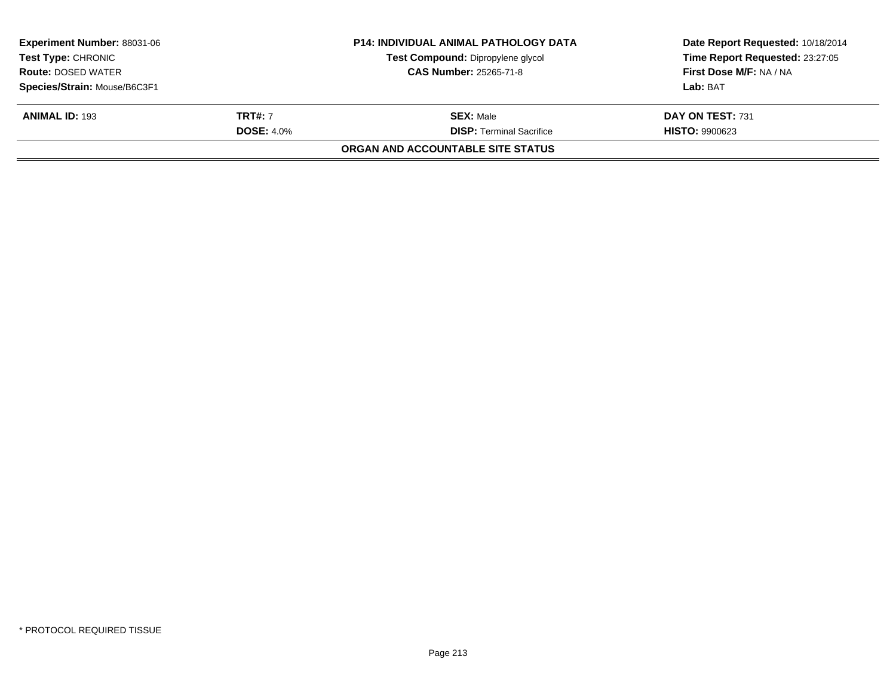| <b>Experiment Number: 88031-06</b><br><b>Test Type: CHRONIC</b> |                   | <b>P14: INDIVIDUAL ANIMAL PATHOLOGY DATA</b><br>Test Compound: Dipropylene glycol | Date Report Requested: 10/18/2014<br>Time Report Requested: 23:27:05 |
|-----------------------------------------------------------------|-------------------|-----------------------------------------------------------------------------------|----------------------------------------------------------------------|
| <b>Route: DOSED WATER</b>                                       |                   | <b>CAS Number: 25265-71-8</b>                                                     | First Dose M/F: NA / NA                                              |
| Species/Strain: Mouse/B6C3F1                                    |                   |                                                                                   | Lab: BAT                                                             |
| <b>ANIMAL ID: 193</b>                                           | <b>TRT#: 7</b>    | <b>SEX:</b> Male                                                                  | DAY ON TEST: 731                                                     |
|                                                                 | <b>DOSE: 4.0%</b> | <b>DISP: Terminal Sacrifice</b>                                                   | <b>HISTO: 9900623</b>                                                |
|                                                                 |                   | ORGAN AND ACCOUNTABLE SITE STATUS                                                 |                                                                      |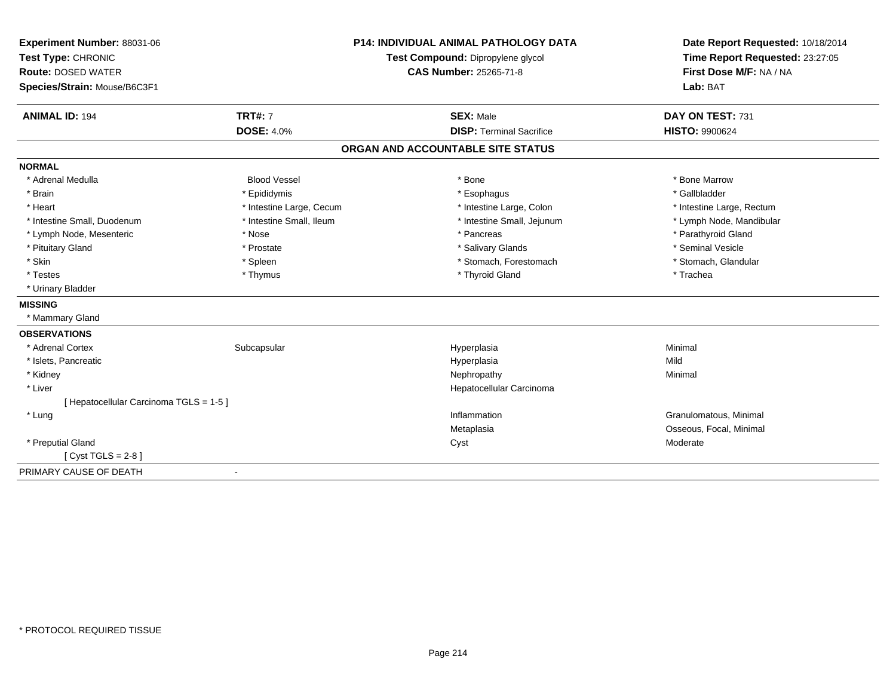| Experiment Number: 88031-06<br>Test Type: CHRONIC<br><b>Route: DOSED WATER</b> |                          | <b>P14: INDIVIDUAL ANIMAL PATHOLOGY DATA</b> | Date Report Requested: 10/18/2014<br>Time Report Requested: 23:27:05<br>First Dose M/F: NA / NA |  |
|--------------------------------------------------------------------------------|--------------------------|----------------------------------------------|-------------------------------------------------------------------------------------------------|--|
|                                                                                |                          | Test Compound: Dipropylene glycol            |                                                                                                 |  |
|                                                                                |                          | <b>CAS Number: 25265-71-8</b>                |                                                                                                 |  |
| Species/Strain: Mouse/B6C3F1                                                   |                          |                                              | Lab: BAT                                                                                        |  |
| <b>ANIMAL ID: 194</b>                                                          | <b>TRT#: 7</b>           | <b>SEX: Male</b>                             | DAY ON TEST: 731                                                                                |  |
|                                                                                | <b>DOSE: 4.0%</b>        | <b>DISP: Terminal Sacrifice</b>              | <b>HISTO: 9900624</b>                                                                           |  |
|                                                                                |                          | ORGAN AND ACCOUNTABLE SITE STATUS            |                                                                                                 |  |
| <b>NORMAL</b>                                                                  |                          |                                              |                                                                                                 |  |
| * Adrenal Medulla                                                              | <b>Blood Vessel</b>      | * Bone                                       | * Bone Marrow                                                                                   |  |
| * Brain                                                                        | * Epididymis             | * Esophagus                                  | * Gallbladder                                                                                   |  |
| * Heart                                                                        | * Intestine Large, Cecum | * Intestine Large, Colon                     | * Intestine Large, Rectum                                                                       |  |
| * Intestine Small, Duodenum                                                    | * Intestine Small, Ileum | * Intestine Small, Jejunum                   | * Lymph Node, Mandibular                                                                        |  |
| * Lymph Node, Mesenteric                                                       | * Nose                   | * Pancreas                                   | * Parathyroid Gland                                                                             |  |
| * Pituitary Gland                                                              | * Prostate               | * Salivary Glands                            | * Seminal Vesicle                                                                               |  |
| * Skin                                                                         | * Spleen                 | * Stomach, Forestomach                       | * Stomach, Glandular                                                                            |  |
| * Testes                                                                       | * Thymus                 | * Thyroid Gland                              | * Trachea                                                                                       |  |
| * Urinary Bladder                                                              |                          |                                              |                                                                                                 |  |
| <b>MISSING</b>                                                                 |                          |                                              |                                                                                                 |  |
| * Mammary Gland                                                                |                          |                                              |                                                                                                 |  |
| <b>OBSERVATIONS</b>                                                            |                          |                                              |                                                                                                 |  |
| * Adrenal Cortex                                                               | Subcapsular              | Hyperplasia                                  | Minimal                                                                                         |  |
| * Islets, Pancreatic                                                           |                          | Hyperplasia                                  | Mild                                                                                            |  |
| * Kidney                                                                       |                          | Nephropathy                                  | Minimal                                                                                         |  |
| * Liver                                                                        |                          | Hepatocellular Carcinoma                     |                                                                                                 |  |
| [ Hepatocellular Carcinoma TGLS = 1-5 ]                                        |                          |                                              |                                                                                                 |  |
| * Lung                                                                         |                          | Inflammation                                 | Granulomatous, Minimal                                                                          |  |
|                                                                                |                          | Metaplasia                                   | Osseous, Focal, Minimal                                                                         |  |
| * Preputial Gland                                                              |                          | Cyst                                         | Moderate                                                                                        |  |
| [ $Cyst TGLS = 2-8$ ]                                                          |                          |                                              |                                                                                                 |  |
| PRIMARY CAUSE OF DEATH                                                         |                          |                                              |                                                                                                 |  |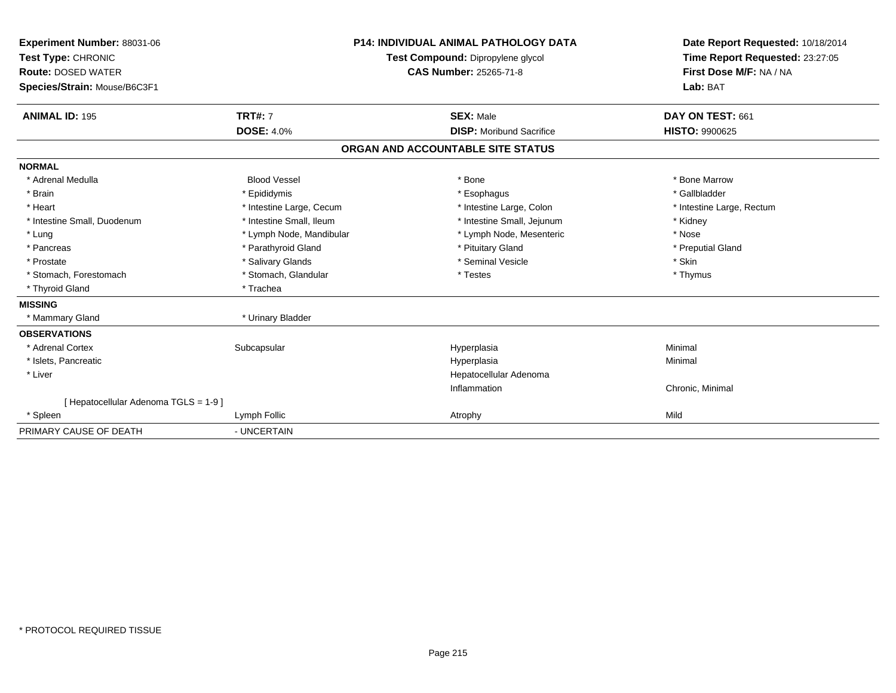| Experiment Number: 88031-06<br>Test Type: CHRONIC<br><b>Route: DOSED WATER</b><br>Species/Strain: Mouse/B6C3F1<br><b>ANIMAL ID: 195</b> | <b>TRT#: 7</b>           | <b>P14: INDIVIDUAL ANIMAL PATHOLOGY DATA</b><br>Test Compound: Dipropylene glycol<br><b>CAS Number: 25265-71-8</b><br><b>SEX: Male</b> | Date Report Requested: 10/18/2014<br>Time Report Requested: 23:27:05<br>First Dose M/F: NA / NA<br>Lab: BAT<br>DAY ON TEST: 661 |
|-----------------------------------------------------------------------------------------------------------------------------------------|--------------------------|----------------------------------------------------------------------------------------------------------------------------------------|---------------------------------------------------------------------------------------------------------------------------------|
|                                                                                                                                         | <b>DOSE: 4.0%</b>        | <b>DISP: Moribund Sacrifice</b>                                                                                                        | <b>HISTO: 9900625</b>                                                                                                           |
|                                                                                                                                         |                          | ORGAN AND ACCOUNTABLE SITE STATUS                                                                                                      |                                                                                                                                 |
| <b>NORMAL</b>                                                                                                                           |                          |                                                                                                                                        |                                                                                                                                 |
| * Adrenal Medulla                                                                                                                       | <b>Blood Vessel</b>      | * Bone                                                                                                                                 | * Bone Marrow                                                                                                                   |
| * Brain                                                                                                                                 | * Epididymis             | * Esophagus                                                                                                                            | * Gallbladder                                                                                                                   |
| * Heart                                                                                                                                 | * Intestine Large, Cecum | * Intestine Large, Colon                                                                                                               | * Intestine Large, Rectum                                                                                                       |
| * Intestine Small, Duodenum                                                                                                             | * Intestine Small, Ileum | * Intestine Small, Jejunum                                                                                                             | * Kidney                                                                                                                        |
| * Lung                                                                                                                                  | * Lymph Node, Mandibular | * Lymph Node, Mesenteric                                                                                                               | * Nose                                                                                                                          |
| * Pancreas                                                                                                                              | * Parathyroid Gland      | * Pituitary Gland                                                                                                                      | * Preputial Gland                                                                                                               |
| * Prostate                                                                                                                              | * Salivary Glands        | * Seminal Vesicle                                                                                                                      | * Skin                                                                                                                          |
| * Stomach, Forestomach                                                                                                                  | * Stomach, Glandular     | * Testes                                                                                                                               | * Thymus                                                                                                                        |
| * Thyroid Gland                                                                                                                         | * Trachea                |                                                                                                                                        |                                                                                                                                 |
| <b>MISSING</b>                                                                                                                          |                          |                                                                                                                                        |                                                                                                                                 |
| * Mammary Gland                                                                                                                         | * Urinary Bladder        |                                                                                                                                        |                                                                                                                                 |
| <b>OBSERVATIONS</b>                                                                                                                     |                          |                                                                                                                                        |                                                                                                                                 |
| * Adrenal Cortex                                                                                                                        | Subcapsular              | Hyperplasia                                                                                                                            | Minimal                                                                                                                         |
| * Islets, Pancreatic                                                                                                                    |                          | Hyperplasia                                                                                                                            | Minimal                                                                                                                         |
| * Liver                                                                                                                                 |                          | Hepatocellular Adenoma                                                                                                                 |                                                                                                                                 |
|                                                                                                                                         |                          | Inflammation                                                                                                                           | Chronic, Minimal                                                                                                                |
| [Hepatocellular Adenoma TGLS = 1-9]                                                                                                     |                          |                                                                                                                                        |                                                                                                                                 |
| * Spleen                                                                                                                                | Lymph Follic             | Atrophy                                                                                                                                | Mild                                                                                                                            |
| PRIMARY CAUSE OF DEATH                                                                                                                  | - UNCERTAIN              |                                                                                                                                        |                                                                                                                                 |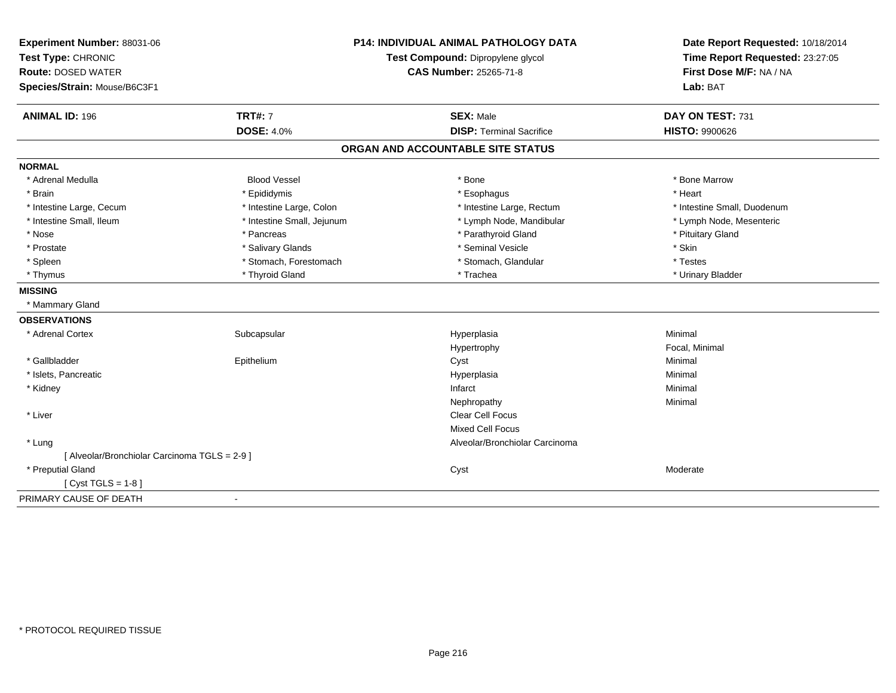| Experiment Number: 88031-06                   | <b>P14: INDIVIDUAL ANIMAL PATHOLOGY DATA</b> |                                   | Date Report Requested: 10/18/2014 |  |
|-----------------------------------------------|----------------------------------------------|-----------------------------------|-----------------------------------|--|
| Test Type: CHRONIC                            |                                              | Test Compound: Dipropylene glycol | Time Report Requested: 23:27:05   |  |
| <b>Route: DOSED WATER</b>                     |                                              | <b>CAS Number: 25265-71-8</b>     | First Dose M/F: NA / NA           |  |
| Species/Strain: Mouse/B6C3F1                  |                                              |                                   | Lab: BAT                          |  |
| <b>ANIMAL ID: 196</b>                         | <b>TRT#: 7</b>                               | <b>SEX: Male</b>                  | DAY ON TEST: 731                  |  |
|                                               | <b>DOSE: 4.0%</b>                            | <b>DISP: Terminal Sacrifice</b>   | <b>HISTO: 9900626</b>             |  |
|                                               |                                              | ORGAN AND ACCOUNTABLE SITE STATUS |                                   |  |
| <b>NORMAL</b>                                 |                                              |                                   |                                   |  |
| * Adrenal Medulla                             | <b>Blood Vessel</b>                          | * Bone                            | * Bone Marrow                     |  |
| * Brain                                       | * Epididymis                                 | * Esophagus                       | * Heart                           |  |
| * Intestine Large, Cecum                      | * Intestine Large, Colon                     | * Intestine Large, Rectum         | * Intestine Small, Duodenum       |  |
| * Intestine Small, Ileum                      | * Intestine Small, Jejunum                   | * Lymph Node, Mandibular          | * Lymph Node, Mesenteric          |  |
| * Nose                                        | * Pancreas                                   | * Parathyroid Gland               | * Pituitary Gland                 |  |
| * Prostate                                    | * Salivary Glands                            | * Seminal Vesicle                 | * Skin                            |  |
| * Spleen                                      | * Stomach, Forestomach                       | * Stomach, Glandular              | * Testes                          |  |
| * Thymus                                      | * Thyroid Gland                              | * Trachea                         | * Urinary Bladder                 |  |
| <b>MISSING</b>                                |                                              |                                   |                                   |  |
| * Mammary Gland                               |                                              |                                   |                                   |  |
| <b>OBSERVATIONS</b>                           |                                              |                                   |                                   |  |
| * Adrenal Cortex                              | Subcapsular                                  | Hyperplasia                       | Minimal                           |  |
|                                               |                                              | Hypertrophy                       | Focal, Minimal                    |  |
| * Gallbladder                                 | Epithelium                                   | Cyst                              | Minimal                           |  |
| * Islets, Pancreatic                          |                                              | Hyperplasia                       | Minimal                           |  |
| * Kidney                                      |                                              | Infarct                           | Minimal                           |  |
|                                               |                                              | Nephropathy                       | Minimal                           |  |
| * Liver                                       |                                              | Clear Cell Focus                  |                                   |  |
|                                               |                                              | <b>Mixed Cell Focus</b>           |                                   |  |
| * Lung                                        |                                              | Alveolar/Bronchiolar Carcinoma    |                                   |  |
| [ Alveolar/Bronchiolar Carcinoma TGLS = 2-9 ] |                                              |                                   |                                   |  |
| * Preputial Gland                             |                                              | Cyst                              | Moderate                          |  |
| [ $Cyst TGLS = 1-8$ ]                         |                                              |                                   |                                   |  |
| PRIMARY CAUSE OF DEATH                        | $\blacksquare$                               |                                   |                                   |  |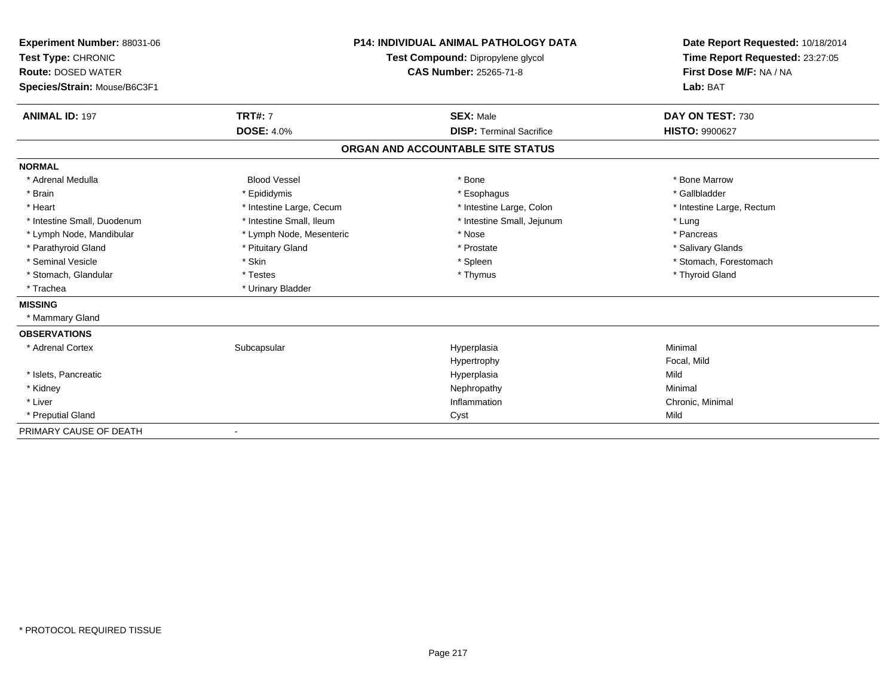| Experiment Number: 88031-06<br>Test Type: CHRONIC<br><b>Route: DOSED WATER</b><br>Species/Strain: Mouse/B6C3F1 |                          | <b>P14: INDIVIDUAL ANIMAL PATHOLOGY DATA</b><br>Test Compound: Dipropylene glycol<br><b>CAS Number: 25265-71-8</b> | Date Report Requested: 10/18/2014<br>Time Report Requested: 23:27:05<br>First Dose M/F: NA / NA<br>Lab: BAT |
|----------------------------------------------------------------------------------------------------------------|--------------------------|--------------------------------------------------------------------------------------------------------------------|-------------------------------------------------------------------------------------------------------------|
| <b>ANIMAL ID: 197</b>                                                                                          | <b>TRT#: 7</b>           | <b>SEX: Male</b>                                                                                                   | DAY ON TEST: 730                                                                                            |
|                                                                                                                | <b>DOSE: 4.0%</b>        | <b>DISP: Terminal Sacrifice</b>                                                                                    | HISTO: 9900627                                                                                              |
|                                                                                                                |                          | ORGAN AND ACCOUNTABLE SITE STATUS                                                                                  |                                                                                                             |
| <b>NORMAL</b>                                                                                                  |                          |                                                                                                                    |                                                                                                             |
| * Adrenal Medulla                                                                                              | <b>Blood Vessel</b>      | * Bone                                                                                                             | * Bone Marrow                                                                                               |
| * Brain                                                                                                        | * Epididymis             | * Esophagus                                                                                                        | * Gallbladder                                                                                               |
| * Heart                                                                                                        | * Intestine Large, Cecum | * Intestine Large, Colon                                                                                           | * Intestine Large, Rectum                                                                                   |
| * Intestine Small, Duodenum                                                                                    | * Intestine Small, Ileum | * Intestine Small, Jejunum                                                                                         | * Lung                                                                                                      |
| * Lymph Node, Mandibular                                                                                       | * Lymph Node, Mesenteric | * Nose                                                                                                             | * Pancreas                                                                                                  |
| * Parathyroid Gland                                                                                            | * Pituitary Gland        | * Prostate                                                                                                         | * Salivary Glands                                                                                           |
| * Seminal Vesicle                                                                                              | * Skin                   | * Spleen                                                                                                           | * Stomach, Forestomach                                                                                      |
| * Stomach, Glandular                                                                                           | * Testes                 | * Thymus                                                                                                           | * Thyroid Gland                                                                                             |
| * Trachea                                                                                                      | * Urinary Bladder        |                                                                                                                    |                                                                                                             |
| <b>MISSING</b>                                                                                                 |                          |                                                                                                                    |                                                                                                             |
| * Mammary Gland                                                                                                |                          |                                                                                                                    |                                                                                                             |
| <b>OBSERVATIONS</b>                                                                                            |                          |                                                                                                                    |                                                                                                             |
| * Adrenal Cortex                                                                                               | Subcapsular              | Hyperplasia                                                                                                        | Minimal                                                                                                     |
|                                                                                                                |                          | Hypertrophy                                                                                                        | Focal, Mild                                                                                                 |
| * Islets, Pancreatic                                                                                           |                          | Hyperplasia                                                                                                        | Mild                                                                                                        |
| * Kidney                                                                                                       |                          | Nephropathy                                                                                                        | Minimal                                                                                                     |
| * Liver                                                                                                        |                          | Inflammation                                                                                                       | Chronic, Minimal                                                                                            |
| * Preputial Gland                                                                                              |                          | Cyst                                                                                                               | Mild                                                                                                        |
| PRIMARY CAUSE OF DEATH                                                                                         |                          |                                                                                                                    |                                                                                                             |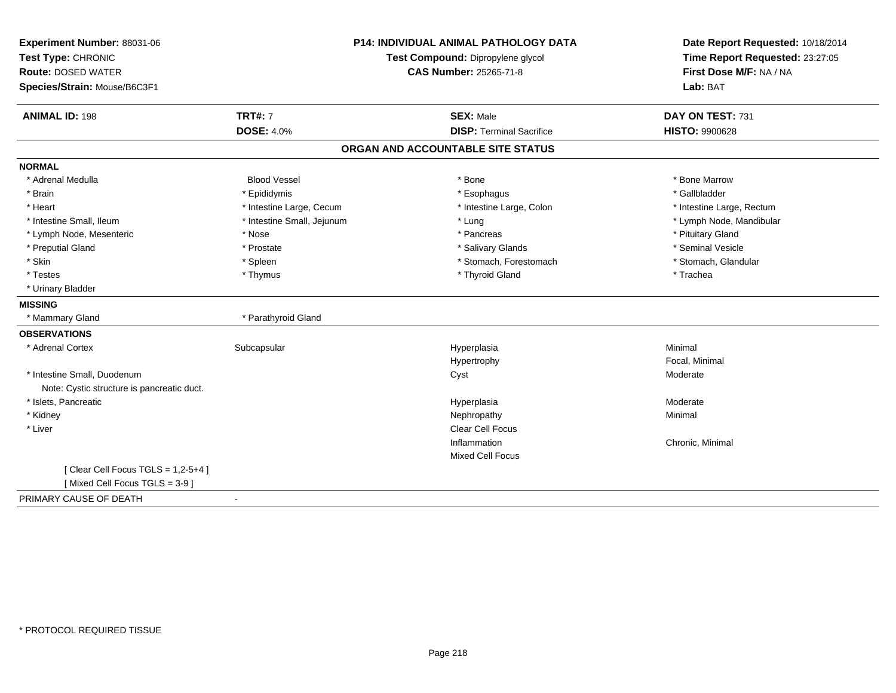| Experiment Number: 88031-06<br>Test Type: CHRONIC<br><b>Route: DOSED WATER</b><br>Species/Strain: Mouse/B6C3F1 | <b>P14: INDIVIDUAL ANIMAL PATHOLOGY DATA</b><br>Test Compound: Dipropylene glycol<br><b>CAS Number: 25265-71-8</b> |                                                     | Date Report Requested: 10/18/2014<br>Time Report Requested: 23:27:05<br>First Dose M/F: NA / NA<br>Lab: BAT |
|----------------------------------------------------------------------------------------------------------------|--------------------------------------------------------------------------------------------------------------------|-----------------------------------------------------|-------------------------------------------------------------------------------------------------------------|
| <b>ANIMAL ID: 198</b>                                                                                          | <b>TRT#: 7</b><br><b>DOSE: 4.0%</b>                                                                                | <b>SEX: Male</b><br><b>DISP: Terminal Sacrifice</b> | DAY ON TEST: 731<br><b>HISTO: 9900628</b>                                                                   |
|                                                                                                                |                                                                                                                    |                                                     |                                                                                                             |
|                                                                                                                |                                                                                                                    | ORGAN AND ACCOUNTABLE SITE STATUS                   |                                                                                                             |
| <b>NORMAL</b>                                                                                                  |                                                                                                                    |                                                     |                                                                                                             |
| * Adrenal Medulla                                                                                              | <b>Blood Vessel</b>                                                                                                | * Bone                                              | * Bone Marrow                                                                                               |
| * Brain                                                                                                        | * Epididymis                                                                                                       | * Esophagus                                         | * Gallbladder                                                                                               |
| * Heart                                                                                                        | * Intestine Large, Cecum                                                                                           | * Intestine Large, Colon                            | * Intestine Large, Rectum                                                                                   |
| * Intestine Small, Ileum                                                                                       | * Intestine Small, Jejunum                                                                                         | * Lung                                              | * Lymph Node, Mandibular                                                                                    |
| * Lymph Node, Mesenteric                                                                                       | * Nose                                                                                                             | * Pancreas                                          | * Pituitary Gland                                                                                           |
| * Preputial Gland                                                                                              | * Prostate                                                                                                         | * Salivary Glands                                   | * Seminal Vesicle                                                                                           |
| * Skin                                                                                                         | * Spleen                                                                                                           | * Stomach, Forestomach                              | * Stomach, Glandular                                                                                        |
| * Testes                                                                                                       | * Thymus                                                                                                           | * Thyroid Gland                                     | * Trachea                                                                                                   |
| * Urinary Bladder                                                                                              |                                                                                                                    |                                                     |                                                                                                             |
| <b>MISSING</b>                                                                                                 |                                                                                                                    |                                                     |                                                                                                             |
| * Mammary Gland                                                                                                | * Parathyroid Gland                                                                                                |                                                     |                                                                                                             |
| <b>OBSERVATIONS</b>                                                                                            |                                                                                                                    |                                                     |                                                                                                             |
| * Adrenal Cortex                                                                                               | Subcapsular                                                                                                        | Hyperplasia                                         | Minimal                                                                                                     |
|                                                                                                                |                                                                                                                    | Hypertrophy                                         | Focal, Minimal                                                                                              |
| * Intestine Small, Duodenum                                                                                    |                                                                                                                    | Cyst                                                | Moderate                                                                                                    |
| Note: Cystic structure is pancreatic duct.                                                                     |                                                                                                                    |                                                     |                                                                                                             |
| * Islets, Pancreatic                                                                                           |                                                                                                                    | Hyperplasia                                         | Moderate                                                                                                    |
| * Kidney                                                                                                       |                                                                                                                    | Nephropathy                                         | Minimal                                                                                                     |
| * Liver                                                                                                        |                                                                                                                    | Clear Cell Focus                                    |                                                                                                             |
|                                                                                                                |                                                                                                                    | Inflammation                                        | Chronic, Minimal                                                                                            |
|                                                                                                                |                                                                                                                    | <b>Mixed Cell Focus</b>                             |                                                                                                             |
| [Clear Cell Focus TGLS = 1,2-5+4]                                                                              |                                                                                                                    |                                                     |                                                                                                             |
| [Mixed Cell Focus TGLS = 3-9]                                                                                  |                                                                                                                    |                                                     |                                                                                                             |
| PRIMARY CAUSE OF DEATH                                                                                         | $\blacksquare$                                                                                                     |                                                     |                                                                                                             |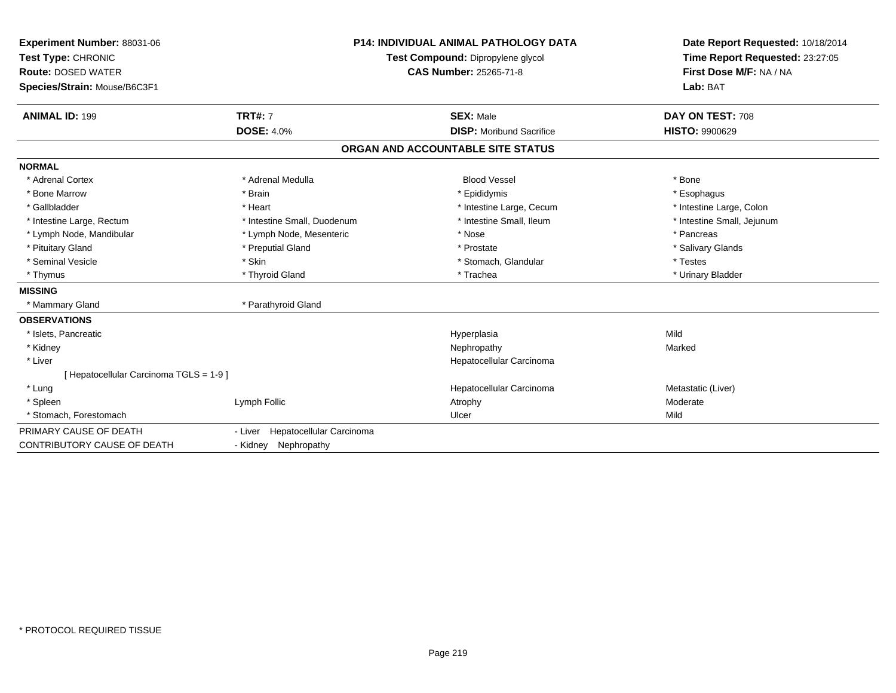| Experiment Number: 88031-06             |                                     | <b>P14: INDIVIDUAL ANIMAL PATHOLOGY DATA</b> | Date Report Requested: 10/18/2014 |
|-----------------------------------------|-------------------------------------|----------------------------------------------|-----------------------------------|
| Test Type: CHRONIC                      | Test Compound: Dipropylene glycol   |                                              | Time Report Requested: 23:27:05   |
| <b>Route: DOSED WATER</b>               |                                     | <b>CAS Number: 25265-71-8</b>                | First Dose M/F: NA / NA           |
| Species/Strain: Mouse/B6C3F1            |                                     |                                              | Lab: BAT                          |
| <b>ANIMAL ID: 199</b>                   | <b>TRT#: 7</b>                      | <b>SEX: Male</b>                             | DAY ON TEST: 708                  |
|                                         | <b>DOSE: 4.0%</b>                   | <b>DISP:</b> Moribund Sacrifice              | <b>HISTO: 9900629</b>             |
|                                         |                                     | ORGAN AND ACCOUNTABLE SITE STATUS            |                                   |
| <b>NORMAL</b>                           |                                     |                                              |                                   |
| * Adrenal Cortex                        | * Adrenal Medulla                   | <b>Blood Vessel</b>                          | * Bone                            |
| * Bone Marrow                           | * Brain                             | * Epididymis                                 | * Esophagus                       |
| * Gallbladder                           | * Heart                             | * Intestine Large, Cecum                     | * Intestine Large, Colon          |
| * Intestine Large, Rectum               | * Intestine Small, Duodenum         | * Intestine Small, Ileum                     | * Intestine Small, Jejunum        |
| * Lymph Node, Mandibular                | * Lymph Node, Mesenteric            | * Nose                                       | * Pancreas                        |
| * Pituitary Gland                       | * Preputial Gland                   | * Prostate                                   | * Salivary Glands                 |
| * Seminal Vesicle                       | * Skin                              | * Stomach, Glandular                         | * Testes                          |
| * Thymus                                | * Thyroid Gland                     | * Trachea                                    | * Urinary Bladder                 |
| <b>MISSING</b>                          |                                     |                                              |                                   |
| * Mammary Gland                         | * Parathyroid Gland                 |                                              |                                   |
| <b>OBSERVATIONS</b>                     |                                     |                                              |                                   |
| * Islets, Pancreatic                    |                                     | Hyperplasia                                  | Mild                              |
| * Kidney                                |                                     | Nephropathy                                  | Marked                            |
| * Liver                                 |                                     | Hepatocellular Carcinoma                     |                                   |
| [ Hepatocellular Carcinoma TGLS = 1-9 ] |                                     |                                              |                                   |
| * Lung                                  |                                     | Hepatocellular Carcinoma                     | Metastatic (Liver)                |
| * Spleen                                | Lymph Follic                        | Atrophy                                      | Moderate                          |
| * Stomach, Forestomach                  |                                     | Ulcer                                        | Mild                              |
| PRIMARY CAUSE OF DEATH                  | Hepatocellular Carcinoma<br>- Liver |                                              |                                   |
| CONTRIBUTORY CAUSE OF DEATH             | - Kidney Nephropathy                |                                              |                                   |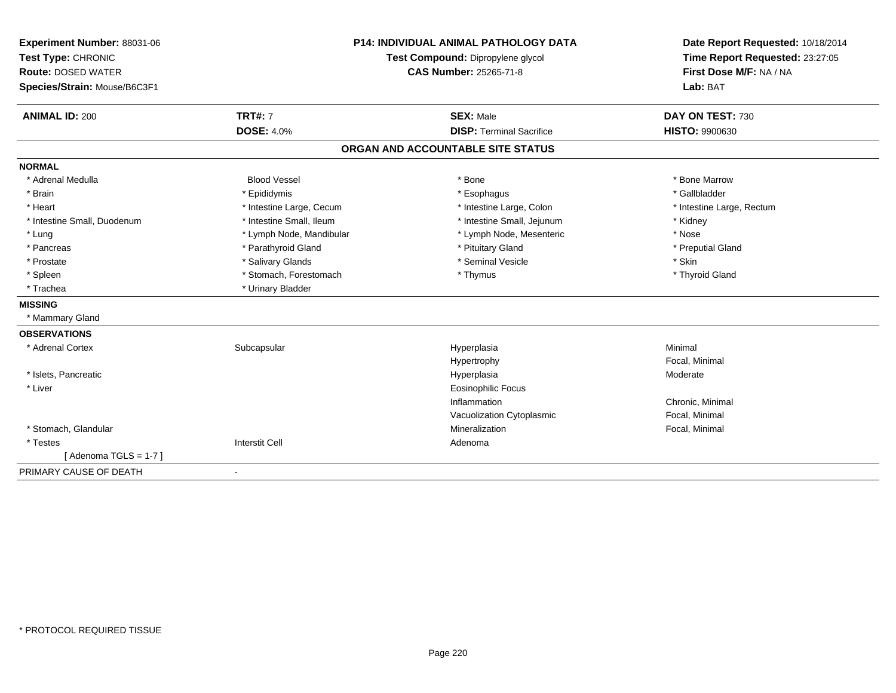| Experiment Number: 88031-06  |                          | <b>P14: INDIVIDUAL ANIMAL PATHOLOGY DATA</b> | Date Report Requested: 10/18/2014<br>Time Report Requested: 23:27:05 |
|------------------------------|--------------------------|----------------------------------------------|----------------------------------------------------------------------|
| Test Type: CHRONIC           |                          | Test Compound: Dipropylene glycol            |                                                                      |
| <b>Route: DOSED WATER</b>    |                          | <b>CAS Number: 25265-71-8</b>                | First Dose M/F: NA / NA                                              |
| Species/Strain: Mouse/B6C3F1 |                          |                                              | Lab: BAT                                                             |
| <b>ANIMAL ID: 200</b>        | <b>TRT#: 7</b>           | <b>SEX: Male</b>                             | DAY ON TEST: 730                                                     |
|                              | <b>DOSE: 4.0%</b>        | <b>DISP: Terminal Sacrifice</b>              | HISTO: 9900630                                                       |
|                              |                          | ORGAN AND ACCOUNTABLE SITE STATUS            |                                                                      |
| <b>NORMAL</b>                |                          |                                              |                                                                      |
| * Adrenal Medulla            | <b>Blood Vessel</b>      | * Bone                                       | * Bone Marrow                                                        |
| * Brain                      | * Epididymis             | * Esophagus                                  | * Gallbladder                                                        |
| * Heart                      | * Intestine Large, Cecum | * Intestine Large, Colon                     | * Intestine Large, Rectum                                            |
| * Intestine Small, Duodenum  | * Intestine Small, Ileum | * Intestine Small, Jejunum                   | * Kidney                                                             |
| * Lung                       | * Lymph Node, Mandibular | * Lymph Node, Mesenteric                     | * Nose                                                               |
| * Pancreas                   | * Parathyroid Gland      | * Pituitary Gland                            | * Preputial Gland                                                    |
| * Prostate                   | * Salivary Glands        | * Seminal Vesicle                            | * Skin                                                               |
| * Spleen                     | * Stomach, Forestomach   | * Thymus                                     | * Thyroid Gland                                                      |
| * Trachea                    | * Urinary Bladder        |                                              |                                                                      |
| <b>MISSING</b>               |                          |                                              |                                                                      |
| * Mammary Gland              |                          |                                              |                                                                      |
| <b>OBSERVATIONS</b>          |                          |                                              |                                                                      |
| * Adrenal Cortex             | Subcapsular              | Hyperplasia                                  | Minimal                                                              |
|                              |                          | Hypertrophy                                  | Focal, Minimal                                                       |
| * Islets, Pancreatic         |                          | Hyperplasia                                  | Moderate                                                             |
| * Liver                      |                          | <b>Eosinophilic Focus</b>                    |                                                                      |
|                              |                          | Inflammation                                 | Chronic, Minimal                                                     |
|                              |                          | Vacuolization Cytoplasmic                    | Focal, Minimal                                                       |
| * Stomach, Glandular         |                          | Mineralization                               | Focal, Minimal                                                       |
| * Testes                     | <b>Interstit Cell</b>    | Adenoma                                      |                                                                      |
| [Adenoma TGLS = $1-7$ ]      |                          |                                              |                                                                      |
| PRIMARY CAUSE OF DEATH       | $\blacksquare$           |                                              |                                                                      |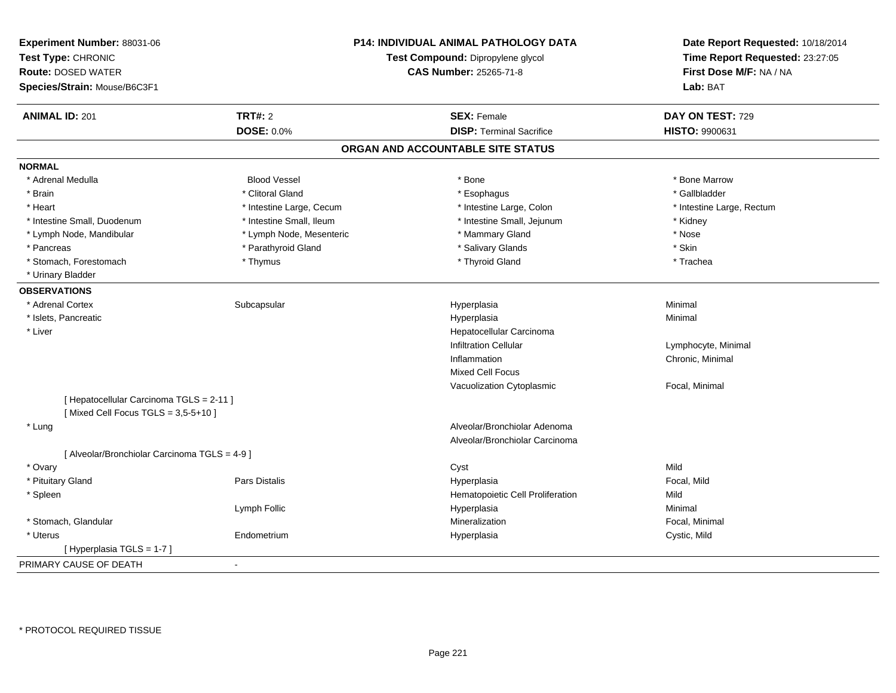| Experiment Number: 88031-06<br>Test Type: CHRONIC<br><b>Route: DOSED WATER</b><br>Species/Strain: Mouse/B6C3F1 |                          | P14: INDIVIDUAL ANIMAL PATHOLOGY DATA<br>Test Compound: Dipropylene glycol<br><b>CAS Number: 25265-71-8</b> | Date Report Requested: 10/18/2014<br>Time Report Requested: 23:27:05<br>First Dose M/F: NA / NA<br>Lab: BAT |
|----------------------------------------------------------------------------------------------------------------|--------------------------|-------------------------------------------------------------------------------------------------------------|-------------------------------------------------------------------------------------------------------------|
| <b>ANIMAL ID: 201</b>                                                                                          | <b>TRT#: 2</b>           | <b>SEX: Female</b>                                                                                          | DAY ON TEST: 729                                                                                            |
|                                                                                                                | DOSE: 0.0%               | <b>DISP: Terminal Sacrifice</b>                                                                             | HISTO: 9900631                                                                                              |
|                                                                                                                |                          | ORGAN AND ACCOUNTABLE SITE STATUS                                                                           |                                                                                                             |
| <b>NORMAL</b>                                                                                                  |                          |                                                                                                             |                                                                                                             |
| * Adrenal Medulla                                                                                              | <b>Blood Vessel</b>      | * Bone                                                                                                      | * Bone Marrow                                                                                               |
| * Brain                                                                                                        | * Clitoral Gland         | * Esophagus                                                                                                 | * Gallbladder                                                                                               |
| * Heart                                                                                                        | * Intestine Large, Cecum | * Intestine Large, Colon                                                                                    | * Intestine Large, Rectum                                                                                   |
| * Intestine Small, Duodenum                                                                                    | * Intestine Small, Ileum | * Intestine Small, Jejunum                                                                                  | * Kidney                                                                                                    |
| * Lymph Node, Mandibular                                                                                       | * Lymph Node, Mesenteric | * Mammary Gland                                                                                             | $*$ Nose                                                                                                    |
| * Pancreas                                                                                                     | * Parathyroid Gland      | * Salivary Glands                                                                                           | * Skin                                                                                                      |
| * Stomach, Forestomach                                                                                         | * Thymus                 | * Thyroid Gland                                                                                             | * Trachea                                                                                                   |
| * Urinary Bladder                                                                                              |                          |                                                                                                             |                                                                                                             |
| <b>OBSERVATIONS</b>                                                                                            |                          |                                                                                                             |                                                                                                             |
| * Adrenal Cortex                                                                                               | Subcapsular              | Hyperplasia                                                                                                 | Minimal                                                                                                     |
| * Islets, Pancreatic                                                                                           |                          | Hyperplasia                                                                                                 | Minimal                                                                                                     |
| * Liver                                                                                                        |                          | Hepatocellular Carcinoma                                                                                    |                                                                                                             |
|                                                                                                                |                          | <b>Infiltration Cellular</b>                                                                                | Lymphocyte, Minimal                                                                                         |
|                                                                                                                |                          | Inflammation                                                                                                | Chronic, Minimal                                                                                            |
|                                                                                                                |                          | <b>Mixed Cell Focus</b>                                                                                     |                                                                                                             |
|                                                                                                                |                          | Vacuolization Cytoplasmic                                                                                   | Focal, Minimal                                                                                              |
| [ Hepatocellular Carcinoma TGLS = 2-11 ]<br>[Mixed Cell Focus TGLS = 3,5-5+10]                                 |                          |                                                                                                             |                                                                                                             |
| * Lung                                                                                                         |                          | Alveolar/Bronchiolar Adenoma                                                                                |                                                                                                             |
|                                                                                                                |                          | Alveolar/Bronchiolar Carcinoma                                                                              |                                                                                                             |
| [ Alveolar/Bronchiolar Carcinoma TGLS = 4-9 ]                                                                  |                          |                                                                                                             |                                                                                                             |
| * Ovary                                                                                                        |                          | Cyst                                                                                                        | Mild                                                                                                        |
| * Pituitary Gland                                                                                              | Pars Distalis            | Hyperplasia                                                                                                 | Focal, Mild                                                                                                 |
| * Spleen                                                                                                       |                          | Hematopoietic Cell Proliferation                                                                            | Mild                                                                                                        |
|                                                                                                                | Lymph Follic             | Hyperplasia                                                                                                 | Minimal                                                                                                     |
| * Stomach, Glandular                                                                                           |                          | Mineralization                                                                                              | Focal, Minimal                                                                                              |
| * Uterus                                                                                                       | Endometrium              | Hyperplasia                                                                                                 | Cystic, Mild                                                                                                |
| [ Hyperplasia TGLS = 1-7 ]                                                                                     |                          |                                                                                                             |                                                                                                             |
| PRIMARY CAUSE OF DEATH                                                                                         |                          |                                                                                                             |                                                                                                             |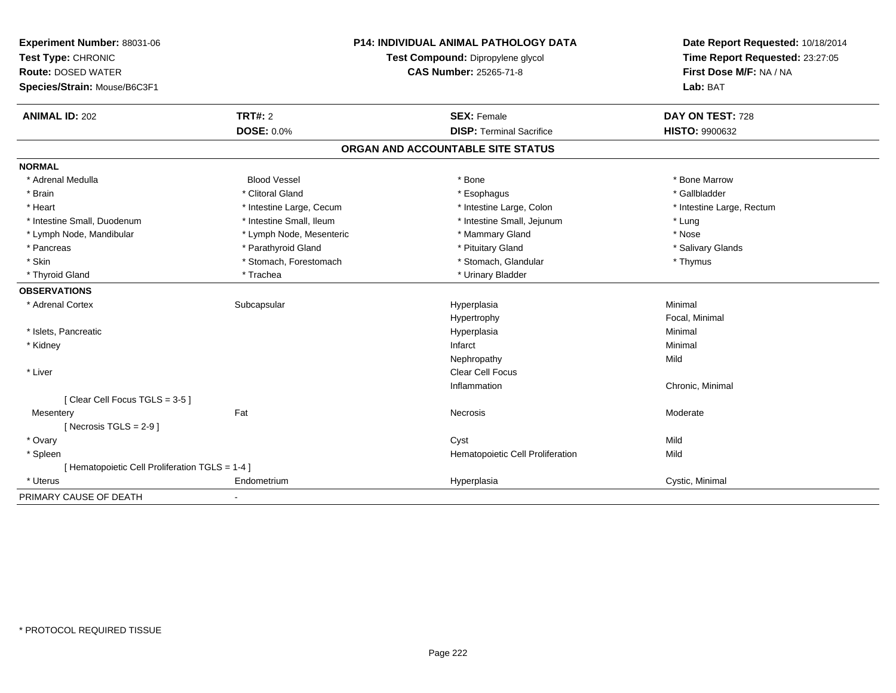| Experiment Number: 88031-06<br>Test Type: CHRONIC<br><b>Route: DOSED WATER</b> |                          | <b>P14: INDIVIDUAL ANIMAL PATHOLOGY DATA</b><br>Test Compound: Dipropylene glycol<br><b>CAS Number: 25265-71-8</b> | Date Report Requested: 10/18/2014<br>Time Report Requested: 23:27:05<br>First Dose M/F: NA / NA |
|--------------------------------------------------------------------------------|--------------------------|--------------------------------------------------------------------------------------------------------------------|-------------------------------------------------------------------------------------------------|
| Species/Strain: Mouse/B6C3F1                                                   |                          |                                                                                                                    | Lab: BAT                                                                                        |
| <b>ANIMAL ID: 202</b>                                                          | <b>TRT#: 2</b>           | <b>SEX: Female</b>                                                                                                 | DAY ON TEST: 728                                                                                |
|                                                                                | <b>DOSE: 0.0%</b>        | <b>DISP: Terminal Sacrifice</b>                                                                                    | HISTO: 9900632                                                                                  |
|                                                                                |                          | ORGAN AND ACCOUNTABLE SITE STATUS                                                                                  |                                                                                                 |
| <b>NORMAL</b>                                                                  |                          |                                                                                                                    |                                                                                                 |
| * Adrenal Medulla                                                              | <b>Blood Vessel</b>      | * Bone                                                                                                             | * Bone Marrow                                                                                   |
| * Brain                                                                        | * Clitoral Gland         | * Esophagus                                                                                                        | * Gallbladder                                                                                   |
| * Heart                                                                        | * Intestine Large, Cecum | * Intestine Large, Colon                                                                                           | * Intestine Large, Rectum                                                                       |
| * Intestine Small, Duodenum                                                    | * Intestine Small, Ileum | * Intestine Small, Jejunum                                                                                         | * Lung                                                                                          |
| * Lymph Node, Mandibular                                                       | * Lymph Node, Mesenteric | * Mammary Gland                                                                                                    | * Nose                                                                                          |
| * Pancreas                                                                     | * Parathyroid Gland      | * Pituitary Gland                                                                                                  | * Salivary Glands                                                                               |
| * Skin                                                                         | * Stomach, Forestomach   | * Stomach, Glandular                                                                                               | * Thymus                                                                                        |
| * Thyroid Gland                                                                | * Trachea                | * Urinary Bladder                                                                                                  |                                                                                                 |
| <b>OBSERVATIONS</b>                                                            |                          |                                                                                                                    |                                                                                                 |
| * Adrenal Cortex                                                               | Subcapsular              | Hyperplasia                                                                                                        | Minimal                                                                                         |
|                                                                                |                          | Hypertrophy                                                                                                        | Focal, Minimal                                                                                  |
| * Islets, Pancreatic                                                           |                          | Hyperplasia                                                                                                        | Minimal                                                                                         |
| * Kidney                                                                       |                          | Infarct                                                                                                            | Minimal                                                                                         |
|                                                                                |                          | Nephropathy                                                                                                        | Mild                                                                                            |
| * Liver                                                                        |                          | Clear Cell Focus                                                                                                   |                                                                                                 |
|                                                                                |                          | Inflammation                                                                                                       | Chronic, Minimal                                                                                |
| [Clear Cell Focus TGLS = 3-5]                                                  |                          |                                                                                                                    |                                                                                                 |
| Mesentery                                                                      | Fat                      | Necrosis                                                                                                           | Moderate                                                                                        |
| [Necrosis $TGLS = 2-9$ ]                                                       |                          |                                                                                                                    |                                                                                                 |
| * Ovary                                                                        |                          | Cyst                                                                                                               | Mild                                                                                            |
| * Spleen                                                                       |                          | Hematopoietic Cell Proliferation                                                                                   | Mild                                                                                            |
| [ Hematopoietic Cell Proliferation TGLS = 1-4 ]                                |                          |                                                                                                                    |                                                                                                 |
| * Uterus                                                                       | Endometrium              | Hyperplasia                                                                                                        | Cystic, Minimal                                                                                 |
| PRIMARY CAUSE OF DEATH                                                         | $\blacksquare$           |                                                                                                                    |                                                                                                 |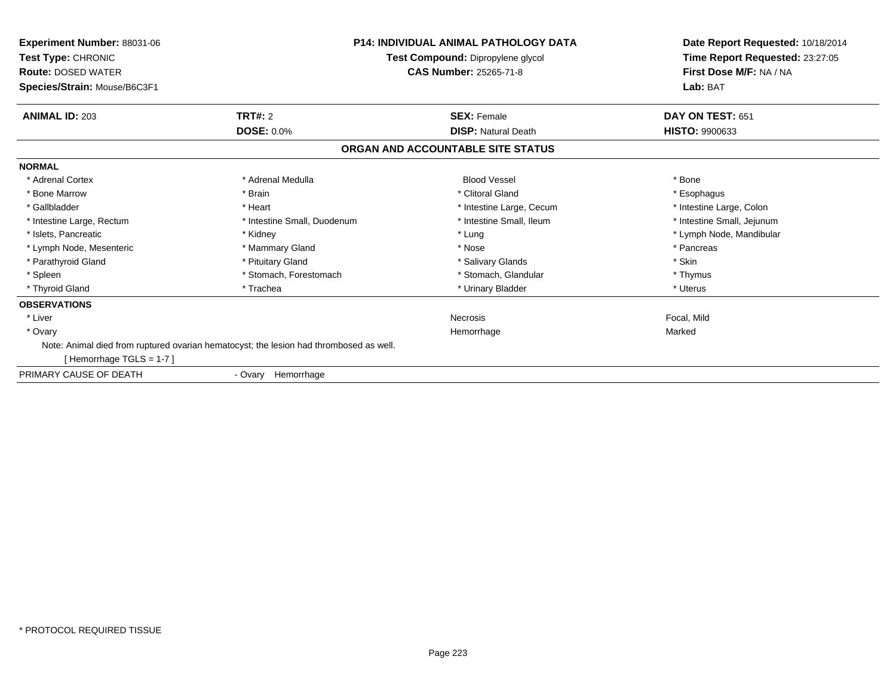| Experiment Number: 88031-06<br>Test Type: CHRONIC<br><b>Route: DOSED WATER</b><br>Species/Strain: Mouse/B6C3F1 |                                                                                        | <b>P14: INDIVIDUAL ANIMAL PATHOLOGY DATA</b><br>Test Compound: Dipropylene glycol<br><b>CAS Number: 25265-71-8</b> | Date Report Requested: 10/18/2014<br>Time Report Requested: 23:27:05<br>First Dose M/F: NA / NA<br>Lab: BAT |
|----------------------------------------------------------------------------------------------------------------|----------------------------------------------------------------------------------------|--------------------------------------------------------------------------------------------------------------------|-------------------------------------------------------------------------------------------------------------|
| <b>ANIMAL ID: 203</b>                                                                                          | TRT#: 2                                                                                | <b>SEX: Female</b>                                                                                                 | DAY ON TEST: 651                                                                                            |
|                                                                                                                | <b>DOSE: 0.0%</b>                                                                      | <b>DISP: Natural Death</b>                                                                                         | <b>HISTO: 9900633</b>                                                                                       |
|                                                                                                                |                                                                                        | ORGAN AND ACCOUNTABLE SITE STATUS                                                                                  |                                                                                                             |
| <b>NORMAL</b>                                                                                                  |                                                                                        |                                                                                                                    |                                                                                                             |
| * Adrenal Cortex                                                                                               | * Adrenal Medulla                                                                      | <b>Blood Vessel</b>                                                                                                | * Bone                                                                                                      |
| * Bone Marrow                                                                                                  | * Brain                                                                                | * Clitoral Gland                                                                                                   | * Esophagus                                                                                                 |
| * Gallbladder                                                                                                  | * Heart                                                                                | * Intestine Large, Cecum                                                                                           | * Intestine Large, Colon                                                                                    |
| * Intestine Large, Rectum                                                                                      | * Intestine Small, Duodenum                                                            | * Intestine Small, Ileum                                                                                           | * Intestine Small, Jejunum                                                                                  |
| * Islets, Pancreatic                                                                                           | * Kidney                                                                               | * Lung                                                                                                             | * Lymph Node, Mandibular                                                                                    |
| * Lymph Node, Mesenteric                                                                                       | * Mammary Gland                                                                        | * Nose                                                                                                             | * Pancreas                                                                                                  |
| * Parathyroid Gland                                                                                            | * Pituitary Gland                                                                      | * Salivary Glands                                                                                                  | * Skin                                                                                                      |
| * Spleen                                                                                                       | * Stomach, Forestomach                                                                 | * Stomach, Glandular                                                                                               | * Thymus                                                                                                    |
| * Thyroid Gland                                                                                                | * Trachea                                                                              | * Urinary Bladder                                                                                                  | * Uterus                                                                                                    |
| <b>OBSERVATIONS</b>                                                                                            |                                                                                        |                                                                                                                    |                                                                                                             |
| * Liver                                                                                                        |                                                                                        | <b>Necrosis</b>                                                                                                    | Focal, Mild                                                                                                 |
| * Ovary                                                                                                        |                                                                                        | Hemorrhage                                                                                                         | Marked                                                                                                      |
| [Hemorrhage TGLS = 1-7]                                                                                        | Note: Animal died from ruptured ovarian hematocyst; the lesion had thrombosed as well. |                                                                                                                    |                                                                                                             |
| PRIMARY CAUSE OF DEATH                                                                                         | Hemorrhage<br>- Ovary                                                                  |                                                                                                                    |                                                                                                             |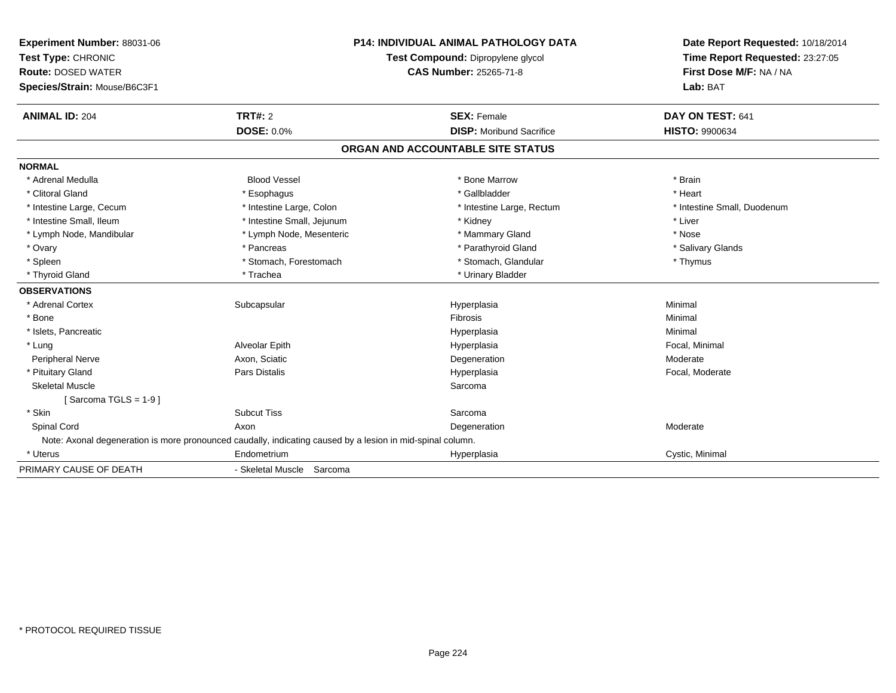| <b>Experiment Number: 88031-06</b> |                                                                                                            | <b>P14: INDIVIDUAL ANIMAL PATHOLOGY DATA</b> | Date Report Requested: 10/18/2014 |
|------------------------------------|------------------------------------------------------------------------------------------------------------|----------------------------------------------|-----------------------------------|
| Test Type: CHRONIC                 |                                                                                                            | Test Compound: Dipropylene glycol            | Time Report Requested: 23:27:05   |
| <b>Route: DOSED WATER</b>          |                                                                                                            | <b>CAS Number: 25265-71-8</b>                | First Dose M/F: NA / NA           |
| Species/Strain: Mouse/B6C3F1       |                                                                                                            |                                              | Lab: BAT                          |
| <b>ANIMAL ID: 204</b>              | TRT#: 2                                                                                                    | <b>SEX: Female</b>                           | DAY ON TEST: 641                  |
|                                    | <b>DOSE: 0.0%</b>                                                                                          | <b>DISP:</b> Moribund Sacrifice              | <b>HISTO: 9900634</b>             |
|                                    |                                                                                                            | ORGAN AND ACCOUNTABLE SITE STATUS            |                                   |
| <b>NORMAL</b>                      |                                                                                                            |                                              |                                   |
| * Adrenal Medulla                  | <b>Blood Vessel</b>                                                                                        | * Bone Marrow                                | * Brain                           |
| * Clitoral Gland                   | * Esophagus                                                                                                | * Gallbladder                                | * Heart                           |
| * Intestine Large, Cecum           | * Intestine Large, Colon                                                                                   | * Intestine Large, Rectum                    | * Intestine Small, Duodenum       |
| * Intestine Small, Ileum           | * Intestine Small, Jejunum                                                                                 | * Kidney                                     | * Liver                           |
| * Lymph Node, Mandibular           | * Lymph Node, Mesenteric                                                                                   | * Mammary Gland                              | * Nose                            |
| * Ovary                            | * Pancreas                                                                                                 | * Parathyroid Gland                          | * Salivary Glands                 |
| * Spleen                           | * Stomach, Forestomach                                                                                     | * Stomach, Glandular                         | * Thymus                          |
| * Thyroid Gland                    | * Trachea                                                                                                  | * Urinary Bladder                            |                                   |
| <b>OBSERVATIONS</b>                |                                                                                                            |                                              |                                   |
| * Adrenal Cortex                   | Subcapsular                                                                                                | Hyperplasia                                  | Minimal                           |
| * Bone                             |                                                                                                            | Fibrosis                                     | Minimal                           |
| * Islets, Pancreatic               |                                                                                                            | Hyperplasia                                  | Minimal                           |
| * Lung                             | Alveolar Epith                                                                                             | Hyperplasia                                  | Focal, Minimal                    |
| Peripheral Nerve                   | Axon, Sciatic                                                                                              | Degeneration                                 | Moderate                          |
| * Pituitary Gland                  | <b>Pars Distalis</b>                                                                                       | Hyperplasia                                  | Focal, Moderate                   |
| <b>Skeletal Muscle</b>             |                                                                                                            | Sarcoma                                      |                                   |
| [Sarcoma TGLS = $1-9$ ]            |                                                                                                            |                                              |                                   |
| * Skin                             | <b>Subcut Tiss</b>                                                                                         | Sarcoma                                      |                                   |
| Spinal Cord                        | Axon                                                                                                       | Degeneration                                 | Moderate                          |
|                                    | Note: Axonal degeneration is more pronounced caudally, indicating caused by a lesion in mid-spinal column. |                                              |                                   |
| * Uterus                           | Endometrium                                                                                                | Hyperplasia                                  | Cystic, Minimal                   |
| PRIMARY CAUSE OF DEATH             | - Skeletal Muscle Sarcoma                                                                                  |                                              |                                   |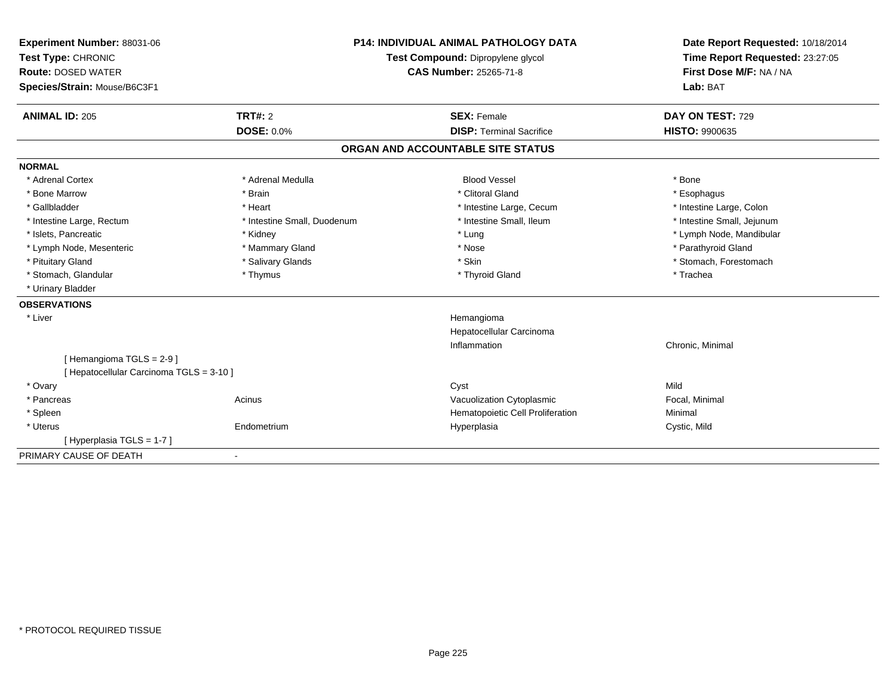| Experiment Number: 88031-06<br>Test Type: CHRONIC<br><b>Route: DOSED WATER</b><br>Species/Strain: Mouse/B6C3F1 |                             | <b>P14: INDIVIDUAL ANIMAL PATHOLOGY DATA</b><br>Test Compound: Dipropylene glycol<br><b>CAS Number: 25265-71-8</b> | Date Report Requested: 10/18/2014<br>Time Report Requested: 23:27:05<br>First Dose M/F: NA / NA<br>Lab: BAT |
|----------------------------------------------------------------------------------------------------------------|-----------------------------|--------------------------------------------------------------------------------------------------------------------|-------------------------------------------------------------------------------------------------------------|
| <b>ANIMAL ID: 205</b>                                                                                          | <b>TRT#: 2</b>              | <b>SEX: Female</b>                                                                                                 | DAY ON TEST: 729                                                                                            |
|                                                                                                                | <b>DOSE: 0.0%</b>           | <b>DISP: Terminal Sacrifice</b>                                                                                    | <b>HISTO: 9900635</b>                                                                                       |
|                                                                                                                |                             | ORGAN AND ACCOUNTABLE SITE STATUS                                                                                  |                                                                                                             |
| <b>NORMAL</b>                                                                                                  |                             |                                                                                                                    |                                                                                                             |
| * Adrenal Cortex                                                                                               | * Adrenal Medulla           | <b>Blood Vessel</b>                                                                                                | * Bone                                                                                                      |
| * Bone Marrow                                                                                                  | * Brain                     | * Clitoral Gland                                                                                                   | * Esophagus                                                                                                 |
| * Gallbladder                                                                                                  | * Heart                     | * Intestine Large, Cecum                                                                                           | * Intestine Large, Colon                                                                                    |
| * Intestine Large, Rectum                                                                                      | * Intestine Small, Duodenum | * Intestine Small. Ileum                                                                                           | * Intestine Small, Jejunum                                                                                  |
| * Islets, Pancreatic                                                                                           | * Kidney                    | * Lung                                                                                                             | * Lymph Node, Mandibular                                                                                    |
| * Lymph Node, Mesenteric                                                                                       | * Mammary Gland             | * Nose                                                                                                             | * Parathyroid Gland                                                                                         |
| * Pituitary Gland                                                                                              | * Salivary Glands           | * Skin                                                                                                             | * Stomach, Forestomach                                                                                      |
| * Stomach, Glandular                                                                                           | * Thymus                    | * Thyroid Gland                                                                                                    | * Trachea                                                                                                   |
| * Urinary Bladder                                                                                              |                             |                                                                                                                    |                                                                                                             |
| <b>OBSERVATIONS</b>                                                                                            |                             |                                                                                                                    |                                                                                                             |
| * Liver                                                                                                        |                             | Hemangioma<br>Hepatocellular Carcinoma<br>Inflammation                                                             | Chronic, Minimal                                                                                            |
| [Hemangioma TGLS = 2-9]<br>[ Hepatocellular Carcinoma TGLS = 3-10 ]                                            |                             |                                                                                                                    |                                                                                                             |
| * Ovary                                                                                                        |                             | Cyst                                                                                                               | Mild                                                                                                        |
| * Pancreas                                                                                                     | Acinus                      | Vacuolization Cytoplasmic                                                                                          | Focal, Minimal                                                                                              |
| * Spleen                                                                                                       |                             | Hematopoietic Cell Proliferation                                                                                   | Minimal                                                                                                     |
| * Uterus                                                                                                       | Endometrium                 | Hyperplasia                                                                                                        | Cystic, Mild                                                                                                |
| [Hyperplasia TGLS = 1-7]                                                                                       |                             |                                                                                                                    |                                                                                                             |
| PRIMARY CAUSE OF DEATH                                                                                         |                             |                                                                                                                    |                                                                                                             |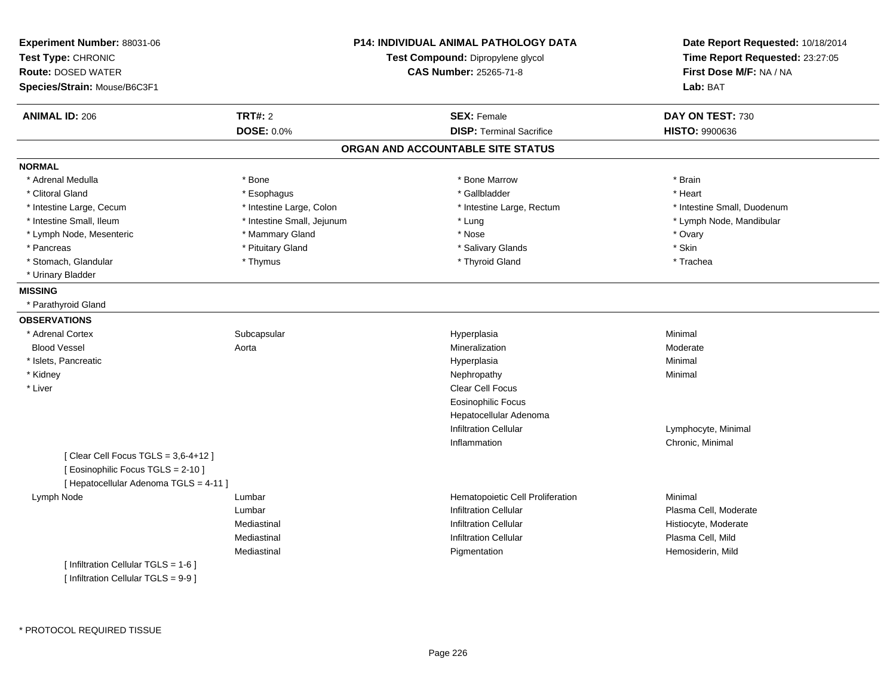| Experiment Number: 88031-06<br>Test Type: CHRONIC<br><b>Route: DOSED WATER</b><br>Species/Strain: Mouse/B6C3F1 |                            | <b>P14: INDIVIDUAL ANIMAL PATHOLOGY DATA</b><br>Test Compound: Dipropylene glycol<br><b>CAS Number: 25265-71-8</b> | Date Report Requested: 10/18/2014<br>Time Report Requested: 23:27:05<br>First Dose M/F: NA / NA<br>Lab: BAT |
|----------------------------------------------------------------------------------------------------------------|----------------------------|--------------------------------------------------------------------------------------------------------------------|-------------------------------------------------------------------------------------------------------------|
| <b>ANIMAL ID: 206</b>                                                                                          | <b>TRT#: 2</b>             | <b>SEX: Female</b>                                                                                                 | DAY ON TEST: 730                                                                                            |
|                                                                                                                | <b>DOSE: 0.0%</b>          | <b>DISP: Terminal Sacrifice</b>                                                                                    | <b>HISTO: 9900636</b>                                                                                       |
|                                                                                                                |                            | ORGAN AND ACCOUNTABLE SITE STATUS                                                                                  |                                                                                                             |
| <b>NORMAL</b>                                                                                                  |                            |                                                                                                                    |                                                                                                             |
| * Adrenal Medulla                                                                                              | * Bone                     | * Bone Marrow                                                                                                      | * Brain                                                                                                     |
| * Clitoral Gland                                                                                               | * Esophagus                | * Gallbladder                                                                                                      | * Heart                                                                                                     |
| * Intestine Large, Cecum                                                                                       | * Intestine Large, Colon   | * Intestine Large, Rectum                                                                                          | * Intestine Small, Duodenum                                                                                 |
| * Intestine Small, Ileum                                                                                       | * Intestine Small, Jejunum | * Lung                                                                                                             | * Lymph Node, Mandibular                                                                                    |
| * Lymph Node, Mesenteric                                                                                       | * Mammary Gland            | * Nose                                                                                                             | * Ovary                                                                                                     |
| * Pancreas                                                                                                     | * Pituitary Gland          | * Salivary Glands                                                                                                  | * Skin                                                                                                      |
| * Stomach, Glandular                                                                                           | * Thymus                   | * Thyroid Gland                                                                                                    | * Trachea                                                                                                   |
| * Urinary Bladder                                                                                              |                            |                                                                                                                    |                                                                                                             |
| <b>MISSING</b>                                                                                                 |                            |                                                                                                                    |                                                                                                             |
| * Parathyroid Gland                                                                                            |                            |                                                                                                                    |                                                                                                             |
| <b>OBSERVATIONS</b>                                                                                            |                            |                                                                                                                    |                                                                                                             |
| * Adrenal Cortex                                                                                               | Subcapsular                | Hyperplasia                                                                                                        | Minimal                                                                                                     |
| <b>Blood Vessel</b>                                                                                            | Aorta                      | Mineralization                                                                                                     | Moderate                                                                                                    |
| * Islets, Pancreatic                                                                                           |                            | Hyperplasia                                                                                                        | Minimal                                                                                                     |
| * Kidney                                                                                                       |                            | Nephropathy                                                                                                        | Minimal                                                                                                     |
| * Liver                                                                                                        |                            | Clear Cell Focus                                                                                                   |                                                                                                             |
|                                                                                                                |                            | <b>Eosinophilic Focus</b>                                                                                          |                                                                                                             |
|                                                                                                                |                            | Hepatocellular Adenoma                                                                                             |                                                                                                             |
|                                                                                                                |                            | <b>Infiltration Cellular</b>                                                                                       | Lymphocyte, Minimal                                                                                         |
|                                                                                                                |                            | Inflammation                                                                                                       | Chronic, Minimal                                                                                            |
| [Clear Cell Focus TGLS = 3,6-4+12]<br>[ Eosinophilic Focus TGLS = 2-10 ]                                       |                            |                                                                                                                    |                                                                                                             |
| [ Hepatocellular Adenoma TGLS = 4-11 ]                                                                         |                            |                                                                                                                    |                                                                                                             |
| Lymph Node                                                                                                     | Lumbar                     | Hematopoietic Cell Proliferation                                                                                   | Minimal                                                                                                     |
|                                                                                                                | Lumbar                     | <b>Infiltration Cellular</b>                                                                                       | Plasma Cell, Moderate                                                                                       |
|                                                                                                                | Mediastinal                | <b>Infiltration Cellular</b>                                                                                       | Histiocyte, Moderate                                                                                        |
|                                                                                                                | Mediastinal                | <b>Infiltration Cellular</b>                                                                                       | Plasma Cell, Mild                                                                                           |
|                                                                                                                | Mediastinal                | Pigmentation                                                                                                       | Hemosiderin, Mild                                                                                           |
| [ Infiltration Cellular TGLS = 1-6 ]<br>[ Infiltration Cellular TGLS = 9-9 ]                                   |                            |                                                                                                                    |                                                                                                             |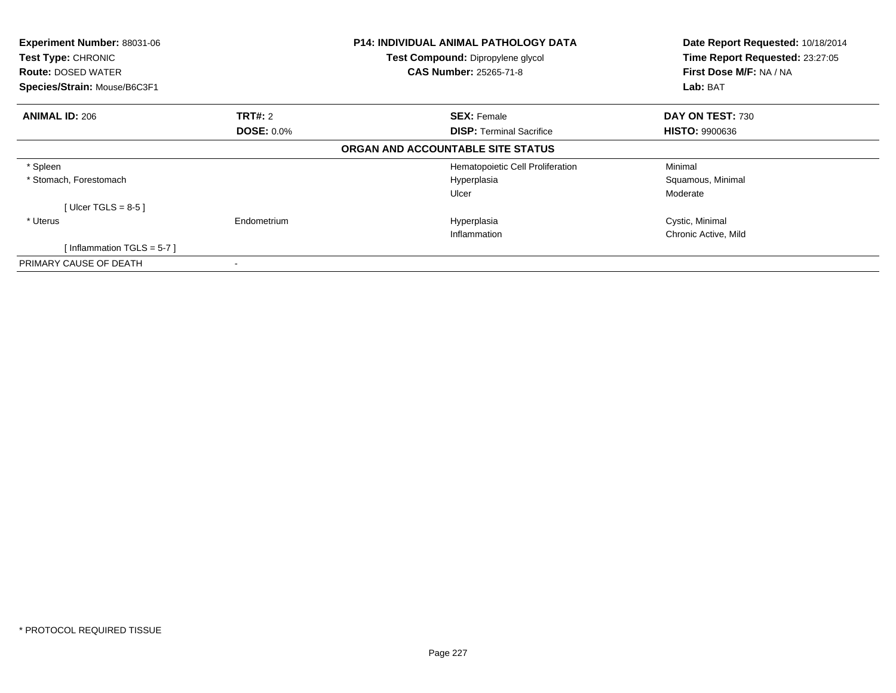| Experiment Number: 88031-06<br>Test Type: CHRONIC<br><b>Route: DOSED WATER</b> |                   | <b>P14: INDIVIDUAL ANIMAL PATHOLOGY DATA</b><br>Test Compound: Dipropylene glycol<br><b>CAS Number: 25265-71-8</b> | Date Report Requested: 10/18/2014<br>Time Report Requested: 23:27:05<br>First Dose M/F: NA / NA |
|--------------------------------------------------------------------------------|-------------------|--------------------------------------------------------------------------------------------------------------------|-------------------------------------------------------------------------------------------------|
| Species/Strain: Mouse/B6C3F1                                                   |                   |                                                                                                                    | Lab: BAT                                                                                        |
| <b>ANIMAL ID: 206</b>                                                          | <b>TRT#: 2</b>    | <b>SEX: Female</b>                                                                                                 | DAY ON TEST: 730                                                                                |
|                                                                                | <b>DOSE: 0.0%</b> | <b>DISP:</b> Terminal Sacrifice                                                                                    | <b>HISTO: 9900636</b>                                                                           |
|                                                                                |                   | ORGAN AND ACCOUNTABLE SITE STATUS                                                                                  |                                                                                                 |
| * Spleen                                                                       |                   | Hematopoietic Cell Proliferation                                                                                   | Minimal                                                                                         |
| * Stomach, Forestomach                                                         |                   | Hyperplasia                                                                                                        | Squamous, Minimal                                                                               |
|                                                                                |                   | Ulcer                                                                                                              | Moderate                                                                                        |
| [Ulcer TGLS = $8-5$ ]                                                          |                   |                                                                                                                    |                                                                                                 |
| * Uterus                                                                       | Endometrium       | Hyperplasia                                                                                                        | Cystic, Minimal                                                                                 |
|                                                                                |                   | Inflammation                                                                                                       | Chronic Active, Mild                                                                            |
| [Inflammation TGLS = $5-7$ ]                                                   |                   |                                                                                                                    |                                                                                                 |
| PRIMARY CAUSE OF DEATH                                                         |                   |                                                                                                                    |                                                                                                 |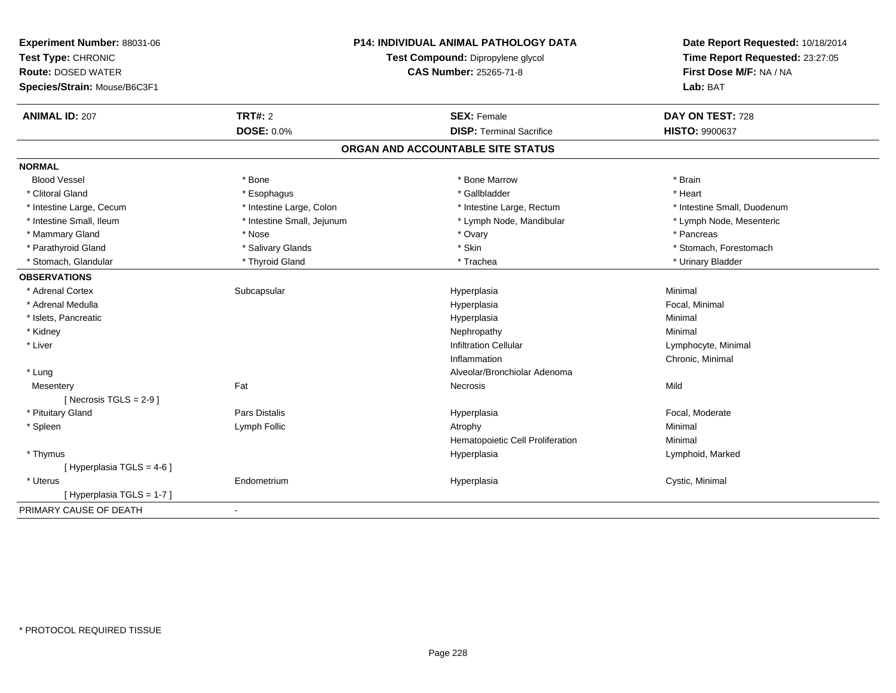| Experiment Number: 88031-06<br>Test Type: CHRONIC<br><b>Route: DOSED WATER</b><br>Species/Strain: Mouse/B6C3F1 |                            | <b>P14: INDIVIDUAL ANIMAL PATHOLOGY DATA</b><br>Test Compound: Dipropylene glycol<br><b>CAS Number: 25265-71-8</b> | Date Report Requested: 10/18/2014<br>Time Report Requested: 23:27:05<br>First Dose M/F: NA / NA<br>Lab: BAT |
|----------------------------------------------------------------------------------------------------------------|----------------------------|--------------------------------------------------------------------------------------------------------------------|-------------------------------------------------------------------------------------------------------------|
| <b>ANIMAL ID: 207</b>                                                                                          | <b>TRT#: 2</b>             | <b>SEX: Female</b>                                                                                                 | DAY ON TEST: 728                                                                                            |
|                                                                                                                | <b>DOSE: 0.0%</b>          | <b>DISP: Terminal Sacrifice</b>                                                                                    | HISTO: 9900637                                                                                              |
|                                                                                                                |                            | ORGAN AND ACCOUNTABLE SITE STATUS                                                                                  |                                                                                                             |
| <b>NORMAL</b>                                                                                                  |                            |                                                                                                                    |                                                                                                             |
| <b>Blood Vessel</b>                                                                                            | * Bone                     | * Bone Marrow                                                                                                      | * Brain                                                                                                     |
| * Clitoral Gland                                                                                               | * Esophagus                | * Gallbladder                                                                                                      | * Heart                                                                                                     |
| * Intestine Large, Cecum                                                                                       | * Intestine Large, Colon   | * Intestine Large, Rectum                                                                                          | * Intestine Small, Duodenum                                                                                 |
| * Intestine Small, Ileum                                                                                       | * Intestine Small, Jejunum | * Lymph Node, Mandibular                                                                                           | * Lymph Node, Mesenteric                                                                                    |
| * Mammary Gland                                                                                                | * Nose                     | * Ovary                                                                                                            | * Pancreas                                                                                                  |
| * Parathyroid Gland                                                                                            | * Salivary Glands          | * Skin                                                                                                             | * Stomach, Forestomach                                                                                      |
| * Stomach, Glandular                                                                                           | * Thyroid Gland            | * Trachea                                                                                                          | * Urinary Bladder                                                                                           |
| <b>OBSERVATIONS</b>                                                                                            |                            |                                                                                                                    |                                                                                                             |
| * Adrenal Cortex                                                                                               | Subcapsular                | Hyperplasia                                                                                                        | Minimal                                                                                                     |
| * Adrenal Medulla                                                                                              |                            | Hyperplasia                                                                                                        | Focal, Minimal                                                                                              |
| * Islets, Pancreatic                                                                                           |                            | Hyperplasia                                                                                                        | Minimal                                                                                                     |
| * Kidney                                                                                                       |                            | Nephropathy                                                                                                        | Minimal                                                                                                     |
| * Liver                                                                                                        |                            | <b>Infiltration Cellular</b>                                                                                       | Lymphocyte, Minimal                                                                                         |
|                                                                                                                |                            | Inflammation                                                                                                       | Chronic, Minimal                                                                                            |
| * Lung                                                                                                         |                            | Alveolar/Bronchiolar Adenoma                                                                                       |                                                                                                             |
| Mesentery                                                                                                      | Fat                        | Necrosis                                                                                                           | Mild                                                                                                        |
| [ Necrosis TGLS = $2-9$ ]                                                                                      |                            |                                                                                                                    |                                                                                                             |
| * Pituitary Gland                                                                                              | Pars Distalis              | Hyperplasia                                                                                                        | Focal, Moderate                                                                                             |
| * Spleen                                                                                                       | Lymph Follic               | Atrophy                                                                                                            | Minimal                                                                                                     |
|                                                                                                                |                            | Hematopoietic Cell Proliferation                                                                                   | Minimal                                                                                                     |
| * Thymus                                                                                                       |                            | Hyperplasia                                                                                                        | Lymphoid, Marked                                                                                            |
| [ Hyperplasia TGLS = 4-6 ]                                                                                     |                            |                                                                                                                    |                                                                                                             |
| * Uterus                                                                                                       | Endometrium                | Hyperplasia                                                                                                        | Cystic, Minimal                                                                                             |
| [Hyperplasia TGLS = 1-7]                                                                                       |                            |                                                                                                                    |                                                                                                             |
| PRIMARY CAUSE OF DEATH                                                                                         | $\blacksquare$             |                                                                                                                    |                                                                                                             |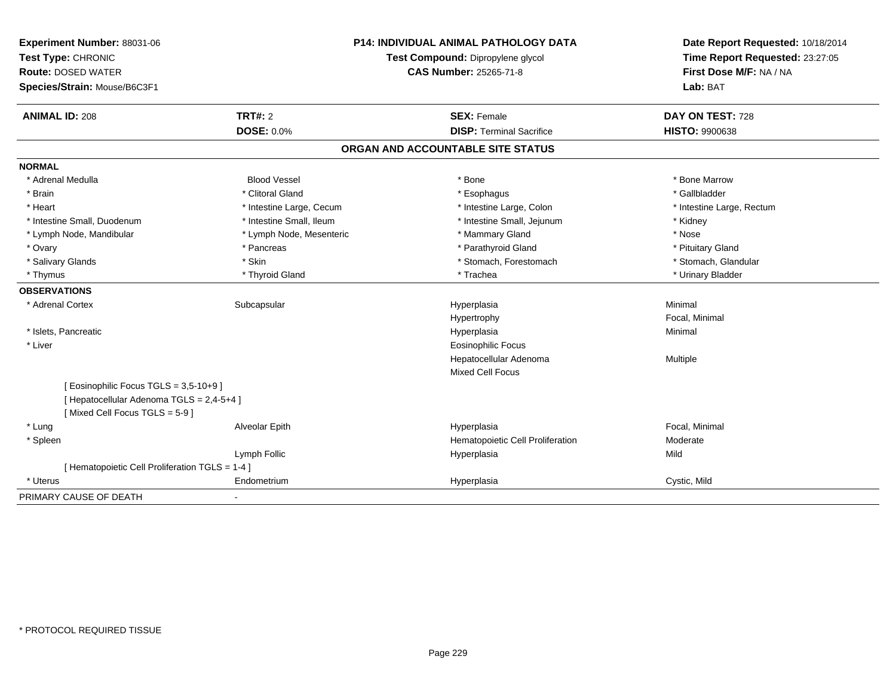| Experiment Number: 88031-06                     |                          | <b>P14: INDIVIDUAL ANIMAL PATHOLOGY DATA</b> | Date Report Requested: 10/18/2014                          |
|-------------------------------------------------|--------------------------|----------------------------------------------|------------------------------------------------------------|
| Test Type: CHRONIC                              |                          | Test Compound: Dipropylene glycol            | Time Report Requested: 23:27:05<br>First Dose M/F: NA / NA |
| <b>Route: DOSED WATER</b>                       |                          | CAS Number: 25265-71-8                       |                                                            |
| Species/Strain: Mouse/B6C3F1                    |                          |                                              | Lab: BAT                                                   |
| <b>ANIMAL ID: 208</b>                           | <b>TRT#: 2</b>           | <b>SEX: Female</b>                           | DAY ON TEST: 728                                           |
|                                                 | <b>DOSE: 0.0%</b>        | <b>DISP: Terminal Sacrifice</b>              | <b>HISTO: 9900638</b>                                      |
|                                                 |                          | ORGAN AND ACCOUNTABLE SITE STATUS            |                                                            |
| <b>NORMAL</b>                                   |                          |                                              |                                                            |
| * Adrenal Medulla                               | <b>Blood Vessel</b>      | * Bone                                       | * Bone Marrow                                              |
| * Brain                                         | * Clitoral Gland         | * Esophagus                                  | * Gallbladder                                              |
| * Heart                                         | * Intestine Large, Cecum | * Intestine Large, Colon                     | * Intestine Large, Rectum                                  |
| * Intestine Small, Duodenum                     | * Intestine Small, Ileum | * Intestine Small, Jejunum                   | * Kidney                                                   |
| * Lymph Node, Mandibular                        | * Lymph Node, Mesenteric | * Mammary Gland                              | * Nose                                                     |
| * Ovary                                         | * Pancreas               | * Parathyroid Gland                          | * Pituitary Gland                                          |
| * Salivary Glands                               | * Skin                   | * Stomach, Forestomach                       | * Stomach, Glandular                                       |
| * Thymus                                        | * Thyroid Gland          | * Trachea                                    | * Urinary Bladder                                          |
| <b>OBSERVATIONS</b>                             |                          |                                              |                                                            |
| * Adrenal Cortex                                | Subcapsular              | Hyperplasia                                  | Minimal                                                    |
|                                                 |                          | Hypertrophy                                  | Focal, Minimal                                             |
| * Islets, Pancreatic                            |                          | Hyperplasia                                  | Minimal                                                    |
| * Liver                                         |                          | <b>Eosinophilic Focus</b>                    |                                                            |
|                                                 |                          | Hepatocellular Adenoma                       | Multiple                                                   |
|                                                 |                          | <b>Mixed Cell Focus</b>                      |                                                            |
| [ Eosinophilic Focus TGLS = 3,5-10+9 ]          |                          |                                              |                                                            |
| [ Hepatocellular Adenoma TGLS = 2,4-5+4 ]       |                          |                                              |                                                            |
| [Mixed Cell Focus TGLS = 5-9]                   |                          |                                              |                                                            |
| * Lung                                          | Alveolar Epith           | Hyperplasia                                  | Focal, Minimal                                             |
| * Spleen                                        |                          | Hematopoietic Cell Proliferation             | Moderate                                                   |
|                                                 | Lymph Follic             | Hyperplasia                                  | Mild                                                       |
| [ Hematopoietic Cell Proliferation TGLS = 1-4 ] |                          |                                              |                                                            |
| * Uterus                                        | Endometrium              | Hyperplasia                                  | Cystic, Mild                                               |
| PRIMARY CAUSE OF DEATH                          | $\blacksquare$           |                                              |                                                            |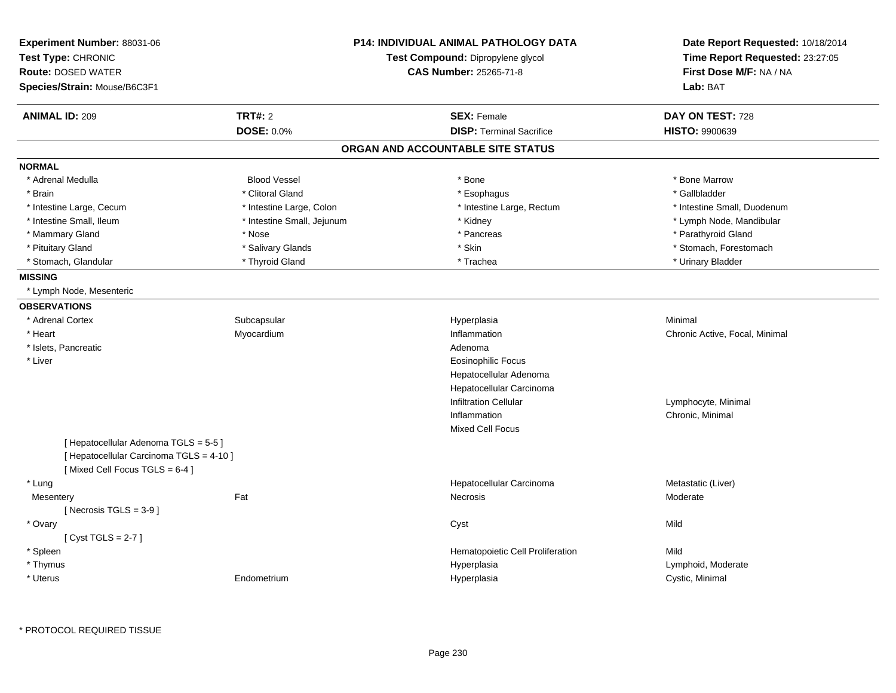| Experiment Number: 88031-06<br>Test Type: CHRONIC<br><b>Route: DOSED WATER</b><br>Species/Strain: Mouse/B6C3F1 |                            | <b>P14: INDIVIDUAL ANIMAL PATHOLOGY DATA</b><br>Test Compound: Dipropylene glycol<br><b>CAS Number: 25265-71-8</b> | Date Report Requested: 10/18/2014<br>Time Report Requested: 23:27:05<br>First Dose M/F: NA / NA<br>Lab: BAT |
|----------------------------------------------------------------------------------------------------------------|----------------------------|--------------------------------------------------------------------------------------------------------------------|-------------------------------------------------------------------------------------------------------------|
| <b>ANIMAL ID: 209</b>                                                                                          | <b>TRT#: 2</b>             | <b>SEX: Female</b>                                                                                                 | DAY ON TEST: 728                                                                                            |
|                                                                                                                | DOSE: 0.0%                 | <b>DISP: Terminal Sacrifice</b>                                                                                    | HISTO: 9900639                                                                                              |
|                                                                                                                |                            | ORGAN AND ACCOUNTABLE SITE STATUS                                                                                  |                                                                                                             |
| <b>NORMAL</b>                                                                                                  |                            |                                                                                                                    |                                                                                                             |
| * Adrenal Medulla                                                                                              | <b>Blood Vessel</b>        | * Bone                                                                                                             | * Bone Marrow                                                                                               |
| * Brain                                                                                                        | * Clitoral Gland           | * Esophagus                                                                                                        | * Gallbladder                                                                                               |
| * Intestine Large, Cecum                                                                                       | * Intestine Large, Colon   | * Intestine Large, Rectum                                                                                          | * Intestine Small, Duodenum                                                                                 |
| * Intestine Small, Ileum                                                                                       | * Intestine Small, Jejunum | * Kidney                                                                                                           | * Lymph Node, Mandibular                                                                                    |
| * Mammary Gland                                                                                                | * Nose                     | * Pancreas                                                                                                         | * Parathyroid Gland                                                                                         |
| * Pituitary Gland                                                                                              | * Salivary Glands          | * Skin                                                                                                             | * Stomach, Forestomach                                                                                      |
| * Stomach, Glandular                                                                                           | * Thyroid Gland            | * Trachea                                                                                                          | * Urinary Bladder                                                                                           |
| <b>MISSING</b>                                                                                                 |                            |                                                                                                                    |                                                                                                             |
| * Lymph Node, Mesenteric                                                                                       |                            |                                                                                                                    |                                                                                                             |
| <b>OBSERVATIONS</b>                                                                                            |                            |                                                                                                                    |                                                                                                             |
| * Adrenal Cortex                                                                                               | Subcapsular                | Hyperplasia                                                                                                        | Minimal                                                                                                     |
| * Heart                                                                                                        | Myocardium                 | Inflammation                                                                                                       | Chronic Active, Focal, Minimal                                                                              |
| * Islets, Pancreatic                                                                                           |                            | Adenoma                                                                                                            |                                                                                                             |
| * Liver                                                                                                        |                            | <b>Eosinophilic Focus</b>                                                                                          |                                                                                                             |
|                                                                                                                |                            | Hepatocellular Adenoma                                                                                             |                                                                                                             |
|                                                                                                                |                            | Hepatocellular Carcinoma                                                                                           |                                                                                                             |
|                                                                                                                |                            | <b>Infiltration Cellular</b>                                                                                       | Lymphocyte, Minimal                                                                                         |
|                                                                                                                |                            | Inflammation                                                                                                       | Chronic, Minimal                                                                                            |
|                                                                                                                |                            | <b>Mixed Cell Focus</b>                                                                                            |                                                                                                             |
| [ Hepatocellular Adenoma TGLS = 5-5]                                                                           |                            |                                                                                                                    |                                                                                                             |
| [ Hepatocellular Carcinoma TGLS = 4-10 ]                                                                       |                            |                                                                                                                    |                                                                                                             |
| [Mixed Cell Focus TGLS = 6-4]                                                                                  |                            |                                                                                                                    |                                                                                                             |
| * Lung                                                                                                         |                            | Hepatocellular Carcinoma                                                                                           | Metastatic (Liver)                                                                                          |
| Mesentery                                                                                                      | Fat                        | Necrosis                                                                                                           | Moderate                                                                                                    |
| [Necrosis $TGLS = 3-9$ ]                                                                                       |                            |                                                                                                                    |                                                                                                             |
| * Ovary                                                                                                        |                            | Cyst                                                                                                               | Mild                                                                                                        |
| [Cyst TGLS = $2-7$ ]                                                                                           |                            |                                                                                                                    |                                                                                                             |
| * Spleen                                                                                                       |                            | Hematopoietic Cell Proliferation                                                                                   | Mild                                                                                                        |
| * Thymus                                                                                                       |                            | Hyperplasia                                                                                                        | Lymphoid, Moderate                                                                                          |
| * Uterus                                                                                                       | Endometrium                | Hyperplasia                                                                                                        | Cystic, Minimal                                                                                             |
|                                                                                                                |                            |                                                                                                                    |                                                                                                             |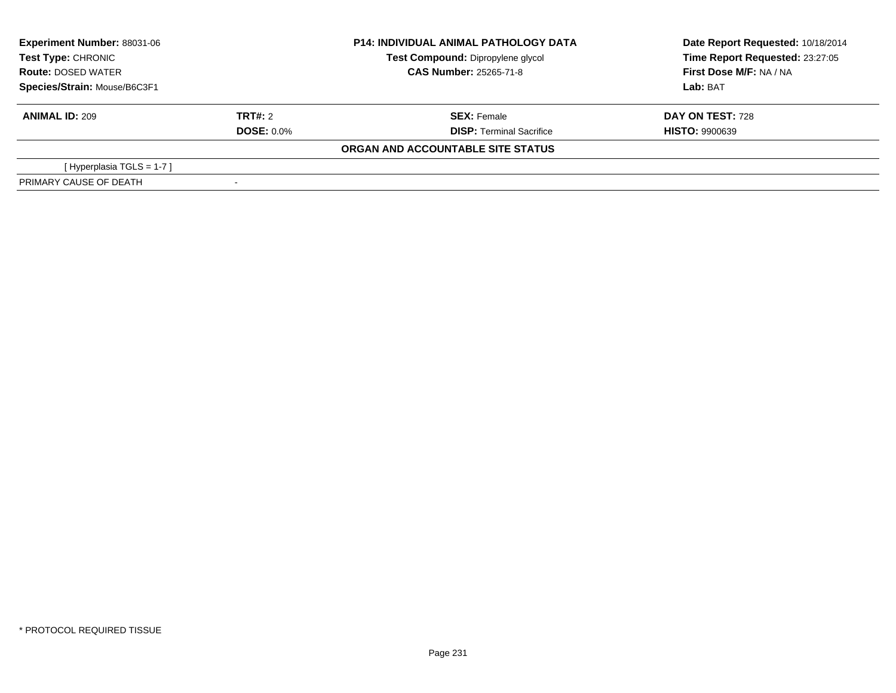| <b>Experiment Number: 88031-06</b><br>Test Type: CHRONIC<br><b>Route: DOSED WATER</b><br>Species/Strain: Mouse/B6C3F1 |                   | <b>P14: INDIVIDUAL ANIMAL PATHOLOGY DATA</b> | Date Report Requested: 10/18/2014 |  |
|-----------------------------------------------------------------------------------------------------------------------|-------------------|----------------------------------------------|-----------------------------------|--|
|                                                                                                                       |                   | Test Compound: Dipropylene glycol            | Time Report Requested: 23:27:05   |  |
|                                                                                                                       |                   | <b>CAS Number: 25265-71-8</b>                | First Dose M/F: NA / NA           |  |
|                                                                                                                       |                   |                                              | Lab: BAT                          |  |
| <b>ANIMAL ID: 209</b>                                                                                                 | TRT#: 2           | <b>SEX: Female</b>                           | <b>DAY ON TEST: 728</b>           |  |
|                                                                                                                       | <b>DOSE: 0.0%</b> | <b>DISP: Terminal Sacrifice</b>              | <b>HISTO: 9900639</b>             |  |
|                                                                                                                       |                   | ORGAN AND ACCOUNTABLE SITE STATUS            |                                   |  |
| [Hyperplasia TGLS = 1-7]                                                                                              |                   |                                              |                                   |  |
| PRIMARY CAUSE OF DEATH                                                                                                |                   |                                              |                                   |  |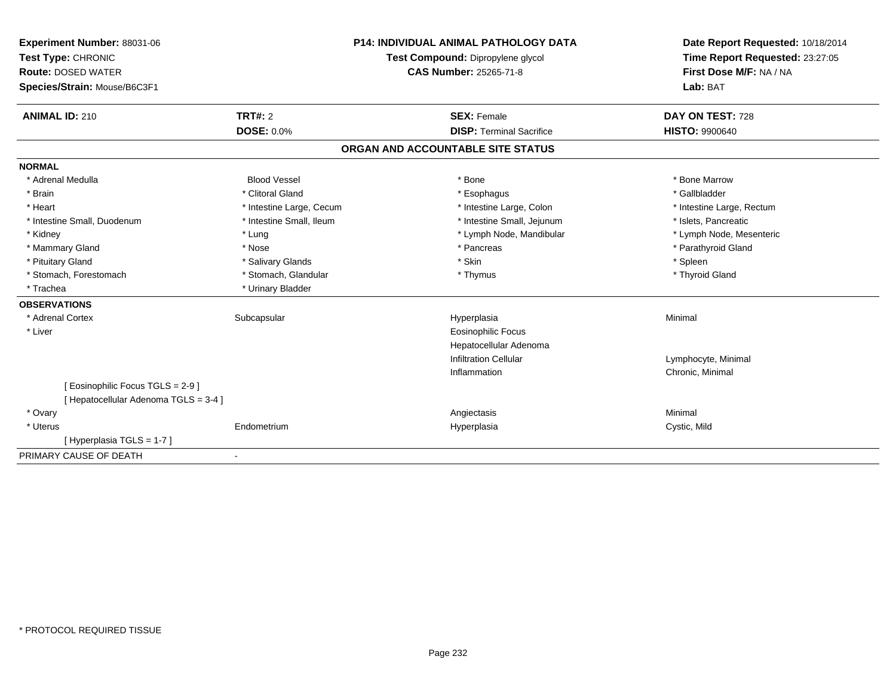| Experiment Number: 88031-06                                              | <b>P14: INDIVIDUAL ANIMAL PATHOLOGY DATA</b><br>Test Compound: Dipropylene glycol |                                   | Date Report Requested: 10/18/2014 |
|--------------------------------------------------------------------------|-----------------------------------------------------------------------------------|-----------------------------------|-----------------------------------|
| Test Type: CHRONIC                                                       |                                                                                   |                                   | Time Report Requested: 23:27:05   |
| <b>Route: DOSED WATER</b>                                                |                                                                                   | CAS Number: 25265-71-8            | First Dose M/F: NA / NA           |
| Species/Strain: Mouse/B6C3F1                                             |                                                                                   |                                   | Lab: BAT                          |
| <b>ANIMAL ID: 210</b>                                                    | TRT#: 2                                                                           | <b>SEX: Female</b>                | DAY ON TEST: 728                  |
|                                                                          | <b>DOSE: 0.0%</b>                                                                 | <b>DISP: Terminal Sacrifice</b>   | <b>HISTO: 9900640</b>             |
|                                                                          |                                                                                   | ORGAN AND ACCOUNTABLE SITE STATUS |                                   |
| <b>NORMAL</b>                                                            |                                                                                   |                                   |                                   |
| * Adrenal Medulla                                                        | <b>Blood Vessel</b>                                                               | * Bone                            | * Bone Marrow                     |
| * Brain                                                                  | * Clitoral Gland                                                                  | * Esophagus                       | * Gallbladder                     |
| * Heart                                                                  | * Intestine Large, Cecum                                                          | * Intestine Large, Colon          | * Intestine Large, Rectum         |
| * Intestine Small, Duodenum                                              | * Intestine Small, Ileum                                                          | * Intestine Small, Jejunum        | * Islets, Pancreatic              |
| * Kidney                                                                 | * Lung                                                                            | * Lymph Node, Mandibular          | * Lymph Node, Mesenteric          |
| * Mammary Gland                                                          | * Nose                                                                            | * Pancreas                        | * Parathyroid Gland               |
| * Pituitary Gland                                                        | * Salivary Glands                                                                 | * Skin                            | * Spleen                          |
| * Stomach, Forestomach                                                   | * Stomach, Glandular                                                              | * Thymus                          | * Thyroid Gland                   |
| * Trachea                                                                | * Urinary Bladder                                                                 |                                   |                                   |
| <b>OBSERVATIONS</b>                                                      |                                                                                   |                                   |                                   |
| * Adrenal Cortex                                                         | Subcapsular                                                                       | Hyperplasia                       | Minimal                           |
| * Liver                                                                  |                                                                                   | <b>Eosinophilic Focus</b>         |                                   |
|                                                                          |                                                                                   | Hepatocellular Adenoma            |                                   |
|                                                                          |                                                                                   | <b>Infiltration Cellular</b>      | Lymphocyte, Minimal               |
|                                                                          |                                                                                   | Inflammation                      | Chronic, Minimal                  |
| [ Eosinophilic Focus TGLS = 2-9 ]<br>[Hepatocellular Adenoma TGLS = 3-4] |                                                                                   |                                   |                                   |
| * Ovary                                                                  |                                                                                   | Angiectasis                       | Minimal                           |
| * Uterus                                                                 | Endometrium                                                                       | Hyperplasia                       | Cystic, Mild                      |
| [Hyperplasia TGLS = 1-7]                                                 |                                                                                   |                                   |                                   |
| PRIMARY CAUSE OF DEATH                                                   | $\blacksquare$                                                                    |                                   |                                   |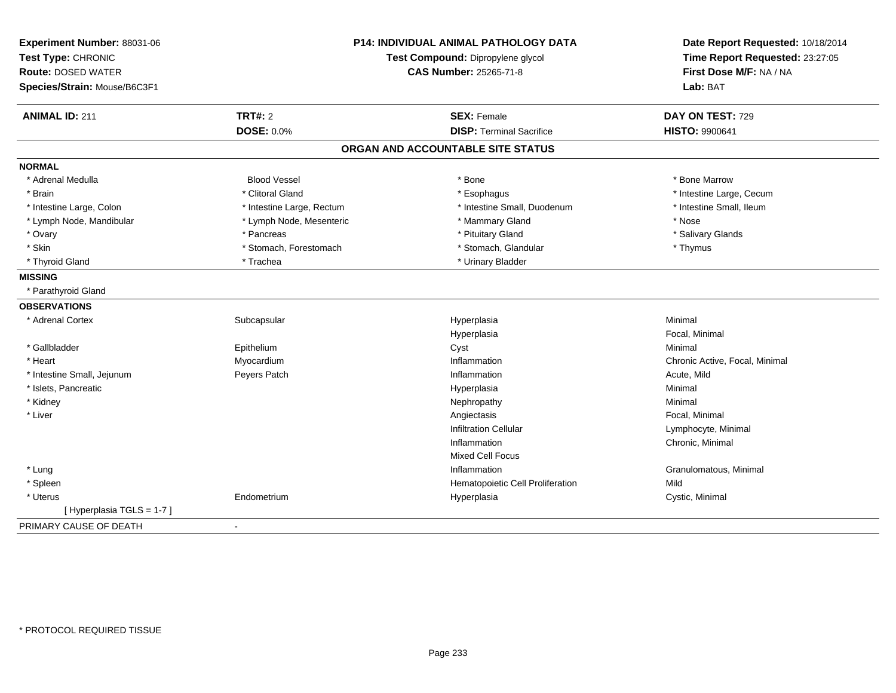| Experiment Number: 88031-06<br>Test Type: CHRONIC<br><b>Route: DOSED WATER</b><br>Species/Strain: Mouse/B6C3F1 |                              | <b>P14: INDIVIDUAL ANIMAL PATHOLOGY DATA</b><br>Test Compound: Dipropylene glycol<br><b>CAS Number: 25265-71-8</b> | Date Report Requested: 10/18/2014<br>Time Report Requested: 23:27:05<br>First Dose M/F: NA / NA<br>Lab: BAT |
|----------------------------------------------------------------------------------------------------------------|------------------------------|--------------------------------------------------------------------------------------------------------------------|-------------------------------------------------------------------------------------------------------------|
| <b>ANIMAL ID: 211</b>                                                                                          | <b>TRT#: 2</b><br>DOSE: 0.0% | <b>SEX: Female</b><br><b>DISP: Terminal Sacrifice</b>                                                              | DAY ON TEST: 729<br><b>HISTO: 9900641</b>                                                                   |
|                                                                                                                |                              |                                                                                                                    |                                                                                                             |
|                                                                                                                |                              | ORGAN AND ACCOUNTABLE SITE STATUS                                                                                  |                                                                                                             |
| <b>NORMAL</b>                                                                                                  |                              |                                                                                                                    |                                                                                                             |
| * Adrenal Medulla                                                                                              | <b>Blood Vessel</b>          | * Bone                                                                                                             | * Bone Marrow                                                                                               |
| * Brain                                                                                                        | * Clitoral Gland             | * Esophagus                                                                                                        | * Intestine Large, Cecum                                                                                    |
| * Intestine Large, Colon                                                                                       | * Intestine Large, Rectum    | * Intestine Small, Duodenum                                                                                        | * Intestine Small, Ileum                                                                                    |
| * Lymph Node, Mandibular                                                                                       | * Lymph Node, Mesenteric     | * Mammary Gland                                                                                                    | * Nose                                                                                                      |
| * Ovary                                                                                                        | * Pancreas                   | * Pituitary Gland                                                                                                  | * Salivary Glands                                                                                           |
| * Skin                                                                                                         | * Stomach, Forestomach       | * Stomach, Glandular                                                                                               | * Thymus                                                                                                    |
| * Thyroid Gland                                                                                                | * Trachea                    | * Urinary Bladder                                                                                                  |                                                                                                             |
| <b>MISSING</b>                                                                                                 |                              |                                                                                                                    |                                                                                                             |
| * Parathyroid Gland                                                                                            |                              |                                                                                                                    |                                                                                                             |
| <b>OBSERVATIONS</b>                                                                                            |                              |                                                                                                                    |                                                                                                             |
| * Adrenal Cortex                                                                                               | Subcapsular                  | Hyperplasia                                                                                                        | Minimal                                                                                                     |
|                                                                                                                |                              | Hyperplasia                                                                                                        | Focal, Minimal                                                                                              |
| * Gallbladder                                                                                                  | Epithelium                   | Cyst                                                                                                               | Minimal                                                                                                     |
| * Heart                                                                                                        | Myocardium                   | Inflammation                                                                                                       | Chronic Active, Focal, Minimal                                                                              |
| * Intestine Small, Jejunum                                                                                     | Peyers Patch                 | Inflammation                                                                                                       | Acute, Mild                                                                                                 |
| * Islets, Pancreatic                                                                                           |                              | Hyperplasia                                                                                                        | Minimal                                                                                                     |
| * Kidney                                                                                                       |                              | Nephropathy                                                                                                        | Minimal                                                                                                     |
| * Liver                                                                                                        |                              | Angiectasis                                                                                                        | Focal, Minimal                                                                                              |
|                                                                                                                |                              | <b>Infiltration Cellular</b>                                                                                       | Lymphocyte, Minimal                                                                                         |
|                                                                                                                |                              | Inflammation                                                                                                       | Chronic, Minimal                                                                                            |
|                                                                                                                |                              | <b>Mixed Cell Focus</b>                                                                                            |                                                                                                             |
| * Lung                                                                                                         |                              | Inflammation                                                                                                       | Granulomatous, Minimal                                                                                      |
| * Spleen                                                                                                       |                              | Hematopoietic Cell Proliferation                                                                                   | Mild                                                                                                        |
| * Uterus                                                                                                       | Endometrium                  | Hyperplasia                                                                                                        | Cystic, Minimal                                                                                             |
| [Hyperplasia TGLS = 1-7]                                                                                       |                              |                                                                                                                    |                                                                                                             |
| PRIMARY CAUSE OF DEATH                                                                                         |                              |                                                                                                                    |                                                                                                             |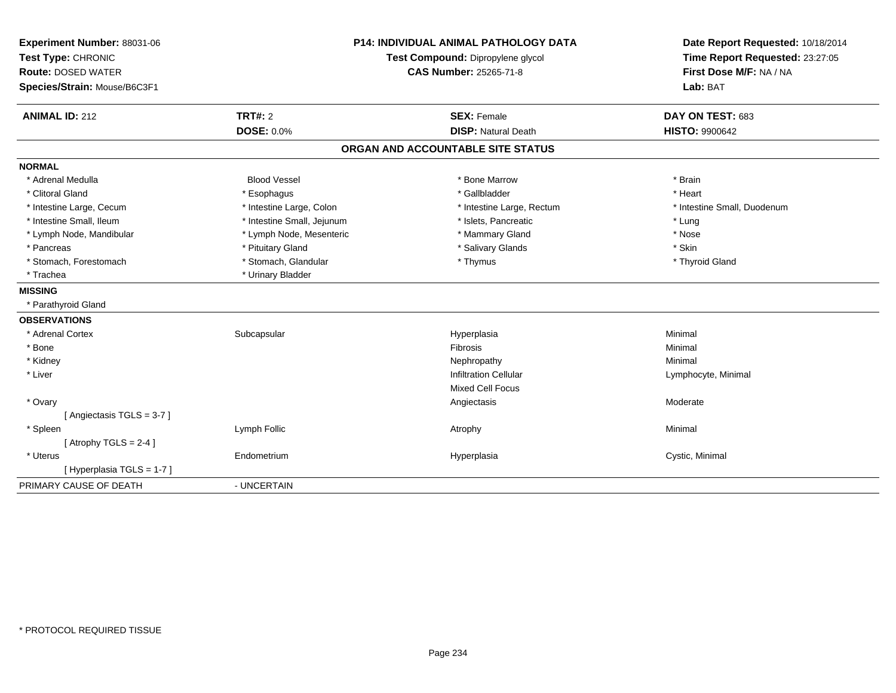| Experiment Number: 88031-06  |                            | <b>P14: INDIVIDUAL ANIMAL PATHOLOGY DATA</b> | Date Report Requested: 10/18/2014                          |
|------------------------------|----------------------------|----------------------------------------------|------------------------------------------------------------|
| Test Type: CHRONIC           |                            | Test Compound: Dipropylene glycol            | Time Report Requested: 23:27:05<br>First Dose M/F: NA / NA |
| <b>Route: DOSED WATER</b>    |                            | <b>CAS Number: 25265-71-8</b>                |                                                            |
| Species/Strain: Mouse/B6C3F1 |                            |                                              | Lab: BAT                                                   |
| <b>ANIMAL ID: 212</b>        | <b>TRT#: 2</b>             | <b>SEX: Female</b>                           | DAY ON TEST: 683                                           |
|                              | <b>DOSE: 0.0%</b>          | <b>DISP: Natural Death</b>                   | <b>HISTO: 9900642</b>                                      |
|                              |                            | ORGAN AND ACCOUNTABLE SITE STATUS            |                                                            |
| <b>NORMAL</b>                |                            |                                              |                                                            |
| * Adrenal Medulla            | <b>Blood Vessel</b>        | * Bone Marrow                                | * Brain                                                    |
| * Clitoral Gland             | * Esophagus                | * Gallbladder                                | * Heart                                                    |
| * Intestine Large, Cecum     | * Intestine Large, Colon   | * Intestine Large, Rectum                    | * Intestine Small, Duodenum                                |
| * Intestine Small, Ileum     | * Intestine Small, Jejunum | * Islets, Pancreatic                         | * Lung                                                     |
| * Lymph Node, Mandibular     | * Lymph Node, Mesenteric   | * Mammary Gland                              | * Nose                                                     |
| * Pancreas                   | * Pituitary Gland          | * Salivary Glands                            | * Skin                                                     |
| * Stomach, Forestomach       | * Stomach, Glandular       | * Thymus                                     | * Thyroid Gland                                            |
| * Trachea                    | * Urinary Bladder          |                                              |                                                            |
| <b>MISSING</b>               |                            |                                              |                                                            |
| * Parathyroid Gland          |                            |                                              |                                                            |
| <b>OBSERVATIONS</b>          |                            |                                              |                                                            |
| * Adrenal Cortex             | Subcapsular                | Hyperplasia                                  | Minimal                                                    |
| * Bone                       |                            | Fibrosis                                     | Minimal                                                    |
| * Kidney                     |                            | Nephropathy                                  | Minimal                                                    |
| * Liver                      |                            | <b>Infiltration Cellular</b>                 | Lymphocyte, Minimal                                        |
|                              |                            | <b>Mixed Cell Focus</b>                      |                                                            |
| * Ovary                      |                            | Angiectasis                                  | Moderate                                                   |
| [Angiectasis TGLS = 3-7]     |                            |                                              |                                                            |
| * Spleen                     | Lymph Follic               | Atrophy                                      | Minimal                                                    |
| [Atrophy TGLS = $2-4$ ]      |                            |                                              |                                                            |
| * Uterus                     | Endometrium                | Hyperplasia                                  | Cystic, Minimal                                            |
| [Hyperplasia TGLS = 1-7]     |                            |                                              |                                                            |
| PRIMARY CAUSE OF DEATH       | - UNCERTAIN                |                                              |                                                            |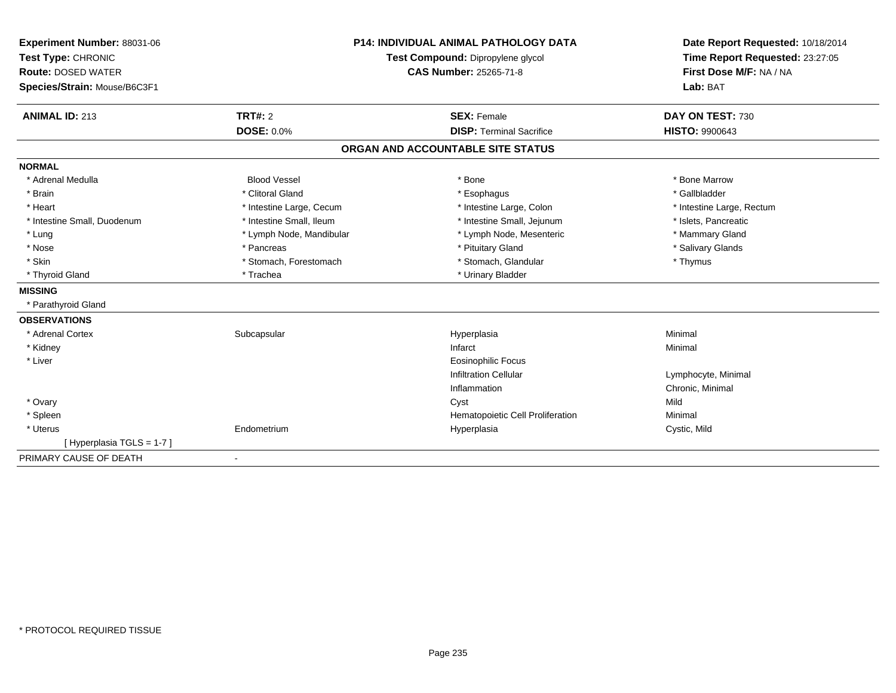| Experiment Number: 88031-06<br>Test Type: CHRONIC<br><b>Route: DOSED WATER</b><br>Species/Strain: Mouse/B6C3F1 |                          | <b>P14: INDIVIDUAL ANIMAL PATHOLOGY DATA</b><br>Test Compound: Dipropylene glycol<br><b>CAS Number: 25265-71-8</b> | Date Report Requested: 10/18/2014<br>Time Report Requested: 23:27:05<br>First Dose M/F: NA / NA<br>Lab: BAT |
|----------------------------------------------------------------------------------------------------------------|--------------------------|--------------------------------------------------------------------------------------------------------------------|-------------------------------------------------------------------------------------------------------------|
| <b>ANIMAL ID: 213</b>                                                                                          | TRT#: 2                  | <b>SEX: Female</b>                                                                                                 | DAY ON TEST: 730                                                                                            |
|                                                                                                                | <b>DOSE: 0.0%</b>        | <b>DISP: Terminal Sacrifice</b>                                                                                    | <b>HISTO: 9900643</b>                                                                                       |
|                                                                                                                |                          | ORGAN AND ACCOUNTABLE SITE STATUS                                                                                  |                                                                                                             |
| <b>NORMAL</b>                                                                                                  |                          |                                                                                                                    |                                                                                                             |
| * Adrenal Medulla                                                                                              | <b>Blood Vessel</b>      | * Bone                                                                                                             | * Bone Marrow                                                                                               |
| * Brain                                                                                                        | * Clitoral Gland         | * Esophagus                                                                                                        | * Gallbladder                                                                                               |
| * Heart                                                                                                        | * Intestine Large, Cecum | * Intestine Large, Colon                                                                                           | * Intestine Large, Rectum                                                                                   |
| * Intestine Small, Duodenum                                                                                    | * Intestine Small, Ileum | * Intestine Small, Jejunum                                                                                         | * Islets, Pancreatic                                                                                        |
| * Lung                                                                                                         | * Lymph Node, Mandibular | * Lymph Node, Mesenteric                                                                                           | * Mammary Gland                                                                                             |
| * Nose                                                                                                         | * Pancreas               | * Pituitary Gland                                                                                                  | * Salivary Glands                                                                                           |
| * Skin                                                                                                         | * Stomach, Forestomach   | * Stomach, Glandular                                                                                               | * Thymus                                                                                                    |
| * Thyroid Gland                                                                                                | * Trachea                | * Urinary Bladder                                                                                                  |                                                                                                             |
| <b>MISSING</b>                                                                                                 |                          |                                                                                                                    |                                                                                                             |
| * Parathyroid Gland                                                                                            |                          |                                                                                                                    |                                                                                                             |
| <b>OBSERVATIONS</b>                                                                                            |                          |                                                                                                                    |                                                                                                             |
| * Adrenal Cortex                                                                                               | Subcapsular              | Hyperplasia                                                                                                        | Minimal                                                                                                     |
| * Kidney                                                                                                       |                          | Infarct                                                                                                            | Minimal                                                                                                     |
| * Liver                                                                                                        |                          | <b>Eosinophilic Focus</b>                                                                                          |                                                                                                             |
|                                                                                                                |                          | <b>Infiltration Cellular</b>                                                                                       | Lymphocyte, Minimal                                                                                         |
|                                                                                                                |                          | Inflammation                                                                                                       | Chronic, Minimal                                                                                            |
| * Ovary                                                                                                        |                          | Cyst                                                                                                               | Mild                                                                                                        |
| * Spleen                                                                                                       |                          | Hematopoietic Cell Proliferation                                                                                   | Minimal                                                                                                     |
| * Uterus                                                                                                       | Endometrium              | Hyperplasia                                                                                                        | Cystic, Mild                                                                                                |
| [Hyperplasia TGLS = 1-7]                                                                                       |                          |                                                                                                                    |                                                                                                             |
| PRIMARY CAUSE OF DEATH                                                                                         | $\blacksquare$           |                                                                                                                    |                                                                                                             |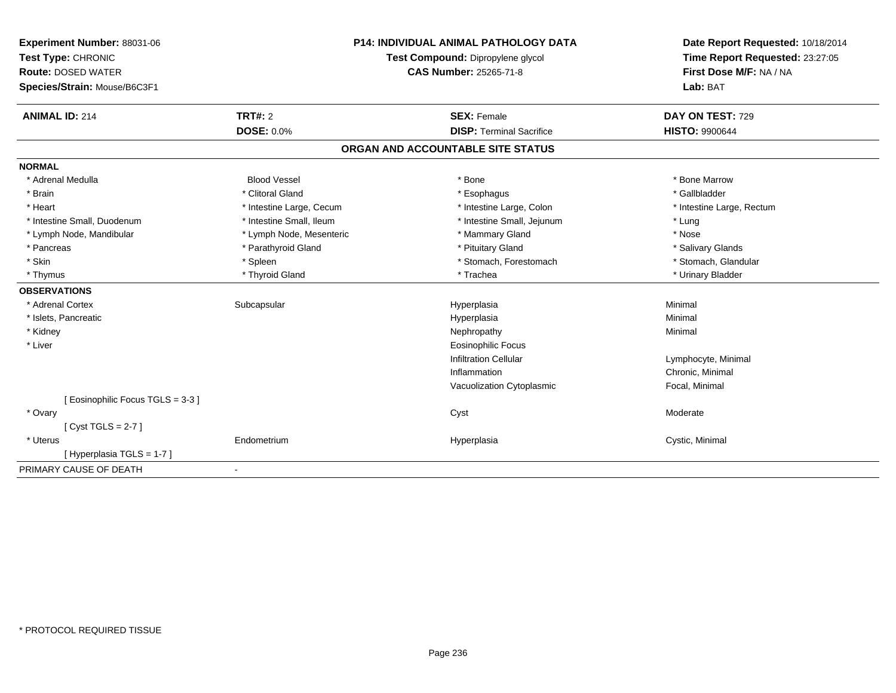| Experiment Number: 88031-06     | <b>P14: INDIVIDUAL ANIMAL PATHOLOGY DATA</b><br>Test Compound: Dipropylene glycol |                                   | Date Report Requested: 10/18/2014 |
|---------------------------------|-----------------------------------------------------------------------------------|-----------------------------------|-----------------------------------|
| Test Type: CHRONIC              |                                                                                   |                                   | Time Report Requested: 23:27:05   |
| <b>Route: DOSED WATER</b>       |                                                                                   | <b>CAS Number: 25265-71-8</b>     | First Dose M/F: NA / NA           |
| Species/Strain: Mouse/B6C3F1    |                                                                                   |                                   | Lab: BAT                          |
| <b>ANIMAL ID: 214</b>           | TRT#: 2                                                                           | <b>SEX: Female</b>                | DAY ON TEST: 729                  |
|                                 | <b>DOSE: 0.0%</b>                                                                 | <b>DISP: Terminal Sacrifice</b>   | <b>HISTO: 9900644</b>             |
|                                 |                                                                                   | ORGAN AND ACCOUNTABLE SITE STATUS |                                   |
| <b>NORMAL</b>                   |                                                                                   |                                   |                                   |
| * Adrenal Medulla               | <b>Blood Vessel</b>                                                               | * Bone                            | * Bone Marrow                     |
| * Brain                         | * Clitoral Gland                                                                  | * Esophagus                       | * Gallbladder                     |
| * Heart                         | * Intestine Large, Cecum                                                          | * Intestine Large, Colon          | * Intestine Large, Rectum         |
| * Intestine Small, Duodenum     | * Intestine Small, Ileum                                                          | * Intestine Small, Jejunum        | * Lung                            |
| * Lymph Node, Mandibular        | * Lymph Node, Mesenteric                                                          | * Mammary Gland                   | * Nose                            |
| * Pancreas                      | * Parathyroid Gland                                                               | * Pituitary Gland                 | * Salivary Glands                 |
| * Skin                          | * Spleen                                                                          | * Stomach, Forestomach            | * Stomach, Glandular              |
| * Thymus                        | * Thyroid Gland                                                                   | * Trachea                         | * Urinary Bladder                 |
| <b>OBSERVATIONS</b>             |                                                                                   |                                   |                                   |
| * Adrenal Cortex                | Subcapsular                                                                       | Hyperplasia                       | Minimal                           |
| * Islets, Pancreatic            |                                                                                   | Hyperplasia                       | Minimal                           |
| * Kidney                        |                                                                                   | Nephropathy                       | Minimal                           |
| * Liver                         |                                                                                   | <b>Eosinophilic Focus</b>         |                                   |
|                                 |                                                                                   | <b>Infiltration Cellular</b>      | Lymphocyte, Minimal               |
|                                 |                                                                                   | Inflammation                      | Chronic, Minimal                  |
|                                 |                                                                                   | Vacuolization Cytoplasmic         | Focal, Minimal                    |
| [Eosinophilic Focus TGLS = 3-3] |                                                                                   |                                   |                                   |
| * Ovary                         |                                                                                   | Cyst                              | Moderate                          |
| [Cyst TGLS = $2-7$ ]            |                                                                                   |                                   |                                   |
| * Uterus                        | Endometrium                                                                       | Hyperplasia                       | Cystic, Minimal                   |
| [Hyperplasia TGLS = 1-7]        |                                                                                   |                                   |                                   |
| PRIMARY CAUSE OF DEATH          |                                                                                   |                                   |                                   |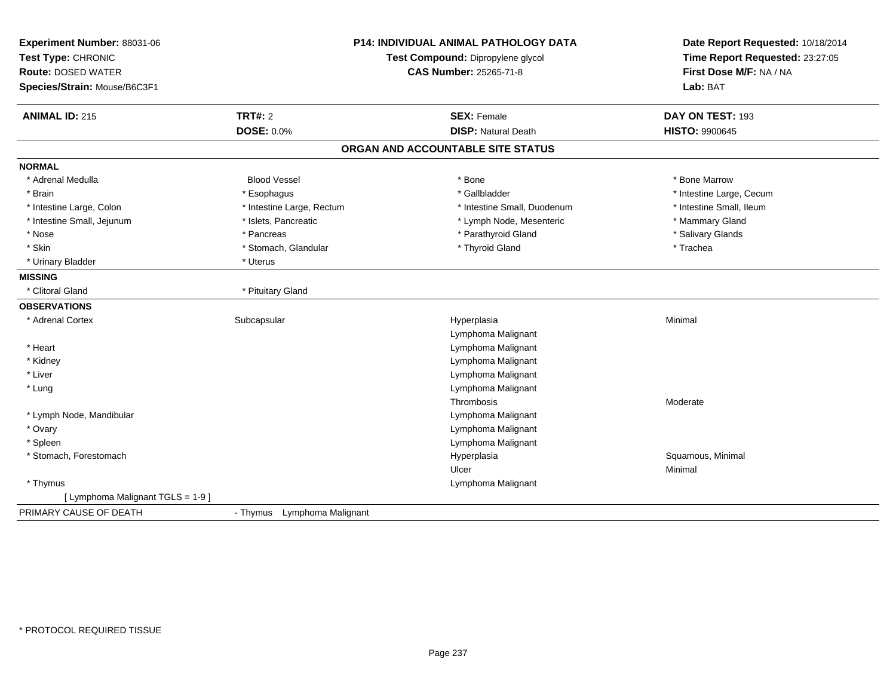| Experiment Number: 88031-06<br>Test Type: CHRONIC<br><b>Route: DOSED WATER</b><br>Species/Strain: Mouse/B6C3F1 | <b>P14: INDIVIDUAL ANIMAL PATHOLOGY DATA</b><br>Test Compound: Dipropylene glycol<br><b>CAS Number: 25265-71-8</b> |                                   | Date Report Requested: 10/18/2014<br>Time Report Requested: 23:27:05<br>First Dose M/F: NA / NA<br>Lab: BAT |  |
|----------------------------------------------------------------------------------------------------------------|--------------------------------------------------------------------------------------------------------------------|-----------------------------------|-------------------------------------------------------------------------------------------------------------|--|
| <b>ANIMAL ID: 215</b>                                                                                          | <b>TRT#: 2</b>                                                                                                     | <b>SEX: Female</b>                | DAY ON TEST: 193                                                                                            |  |
|                                                                                                                | <b>DOSE: 0.0%</b>                                                                                                  | <b>DISP: Natural Death</b>        | <b>HISTO: 9900645</b>                                                                                       |  |
|                                                                                                                |                                                                                                                    | ORGAN AND ACCOUNTABLE SITE STATUS |                                                                                                             |  |
| <b>NORMAL</b>                                                                                                  |                                                                                                                    |                                   |                                                                                                             |  |
| * Adrenal Medulla                                                                                              | <b>Blood Vessel</b>                                                                                                | * Bone                            | * Bone Marrow                                                                                               |  |
| * Brain                                                                                                        | * Esophagus                                                                                                        | * Gallbladder                     | * Intestine Large, Cecum                                                                                    |  |
| * Intestine Large, Colon                                                                                       | * Intestine Large, Rectum                                                                                          | * Intestine Small, Duodenum       | * Intestine Small, Ileum                                                                                    |  |
| * Intestine Small, Jejunum                                                                                     | * Islets, Pancreatic                                                                                               | * Lymph Node, Mesenteric          | * Mammary Gland                                                                                             |  |
| * Nose                                                                                                         | * Pancreas                                                                                                         | * Parathyroid Gland               | * Salivary Glands                                                                                           |  |
| * Skin                                                                                                         | * Stomach, Glandular                                                                                               | * Thyroid Gland                   | * Trachea                                                                                                   |  |
| * Urinary Bladder                                                                                              | * Uterus                                                                                                           |                                   |                                                                                                             |  |
| <b>MISSING</b>                                                                                                 |                                                                                                                    |                                   |                                                                                                             |  |
| * Clitoral Gland                                                                                               | * Pituitary Gland                                                                                                  |                                   |                                                                                                             |  |
| <b>OBSERVATIONS</b>                                                                                            |                                                                                                                    |                                   |                                                                                                             |  |
| * Adrenal Cortex                                                                                               | Subcapsular                                                                                                        | Hyperplasia                       | Minimal                                                                                                     |  |
|                                                                                                                |                                                                                                                    | Lymphoma Malignant                |                                                                                                             |  |
| * Heart                                                                                                        |                                                                                                                    | Lymphoma Malignant                |                                                                                                             |  |
| * Kidney                                                                                                       |                                                                                                                    | Lymphoma Malignant                |                                                                                                             |  |
| * Liver                                                                                                        |                                                                                                                    | Lymphoma Malignant                |                                                                                                             |  |
| * Lung                                                                                                         |                                                                                                                    | Lymphoma Malignant                |                                                                                                             |  |
|                                                                                                                |                                                                                                                    | Thrombosis                        | Moderate                                                                                                    |  |
| * Lymph Node, Mandibular                                                                                       |                                                                                                                    | Lymphoma Malignant                |                                                                                                             |  |
| * Ovary                                                                                                        |                                                                                                                    | Lymphoma Malignant                |                                                                                                             |  |
| * Spleen                                                                                                       |                                                                                                                    | Lymphoma Malignant                |                                                                                                             |  |
| * Stomach, Forestomach                                                                                         |                                                                                                                    | Hyperplasia                       | Squamous, Minimal                                                                                           |  |
|                                                                                                                |                                                                                                                    | Ulcer                             | Minimal                                                                                                     |  |
| * Thymus                                                                                                       |                                                                                                                    | Lymphoma Malignant                |                                                                                                             |  |
| [ Lymphoma Malignant TGLS = 1-9 ]                                                                              |                                                                                                                    |                                   |                                                                                                             |  |
| PRIMARY CAUSE OF DEATH                                                                                         | - Thymus Lymphoma Malignant                                                                                        |                                   |                                                                                                             |  |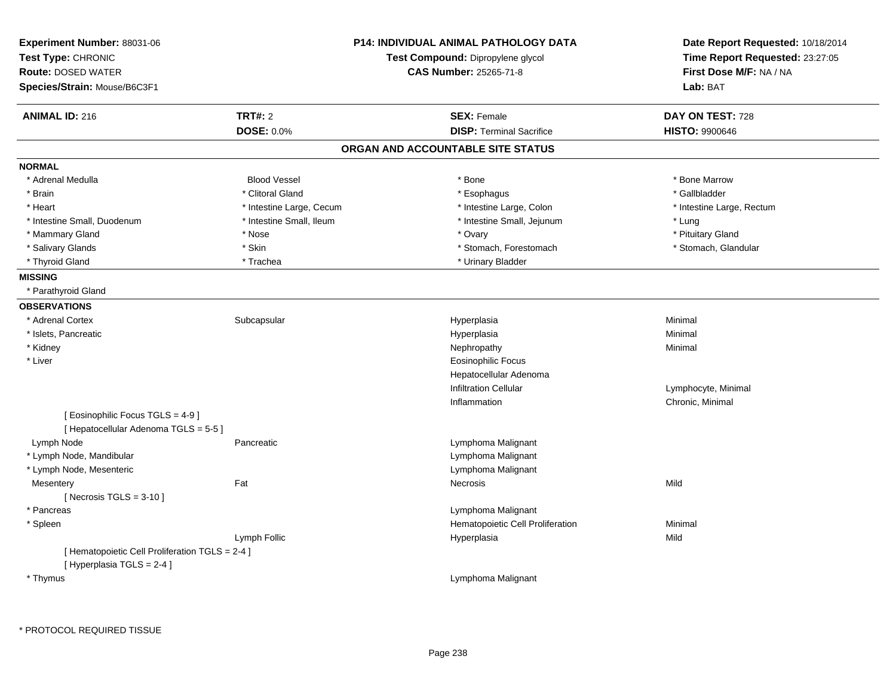| Experiment Number: 88031-06<br>Test Type: CHRONIC<br><b>Route: DOSED WATER</b><br>Species/Strain: Mouse/B6C3F1 |                          | <b>P14: INDIVIDUAL ANIMAL PATHOLOGY DATA</b><br>Test Compound: Dipropylene glycol<br><b>CAS Number: 25265-71-8</b> | Date Report Requested: 10/18/2014<br>Time Report Requested: 23:27:05<br>First Dose M/F: NA / NA<br>Lab: BAT |
|----------------------------------------------------------------------------------------------------------------|--------------------------|--------------------------------------------------------------------------------------------------------------------|-------------------------------------------------------------------------------------------------------------|
| <b>ANIMAL ID: 216</b>                                                                                          | TRT#: 2                  | <b>SEX: Female</b>                                                                                                 | DAY ON TEST: 728                                                                                            |
|                                                                                                                | DOSE: 0.0%               | <b>DISP: Terminal Sacrifice</b>                                                                                    | <b>HISTO: 9900646</b>                                                                                       |
|                                                                                                                |                          | ORGAN AND ACCOUNTABLE SITE STATUS                                                                                  |                                                                                                             |
| <b>NORMAL</b>                                                                                                  |                          |                                                                                                                    |                                                                                                             |
| * Adrenal Medulla                                                                                              | <b>Blood Vessel</b>      | * Bone                                                                                                             | * Bone Marrow                                                                                               |
| * Brain                                                                                                        | * Clitoral Gland         | * Esophagus                                                                                                        | * Gallbladder                                                                                               |
| * Heart                                                                                                        | * Intestine Large, Cecum | * Intestine Large, Colon                                                                                           | * Intestine Large, Rectum                                                                                   |
| * Intestine Small, Duodenum                                                                                    | * Intestine Small, Ileum | * Intestine Small, Jejunum                                                                                         | * Lung                                                                                                      |
| * Mammary Gland                                                                                                | * Nose                   | * Ovary                                                                                                            | * Pituitary Gland                                                                                           |
| * Salivary Glands                                                                                              | * Skin                   | * Stomach, Forestomach                                                                                             | * Stomach, Glandular                                                                                        |
| * Thyroid Gland                                                                                                | * Trachea                | * Urinary Bladder                                                                                                  |                                                                                                             |
| <b>MISSING</b>                                                                                                 |                          |                                                                                                                    |                                                                                                             |
| * Parathyroid Gland                                                                                            |                          |                                                                                                                    |                                                                                                             |
| <b>OBSERVATIONS</b>                                                                                            |                          |                                                                                                                    |                                                                                                             |
| * Adrenal Cortex                                                                                               | Subcapsular              | Hyperplasia                                                                                                        | Minimal                                                                                                     |
| * Islets, Pancreatic                                                                                           |                          | Hyperplasia                                                                                                        | Minimal                                                                                                     |
| * Kidney                                                                                                       |                          | Nephropathy                                                                                                        | Minimal                                                                                                     |
| * Liver                                                                                                        |                          | <b>Eosinophilic Focus</b>                                                                                          |                                                                                                             |
|                                                                                                                |                          | Hepatocellular Adenoma                                                                                             |                                                                                                             |
|                                                                                                                |                          | <b>Infiltration Cellular</b>                                                                                       | Lymphocyte, Minimal                                                                                         |
|                                                                                                                |                          | Inflammation                                                                                                       | Chronic, Minimal                                                                                            |
| [ Eosinophilic Focus TGLS = 4-9 ]<br>[ Hepatocellular Adenoma TGLS = 5-5 ]                                     |                          |                                                                                                                    |                                                                                                             |
| Lymph Node                                                                                                     | Pancreatic               | Lymphoma Malignant                                                                                                 |                                                                                                             |
| * Lymph Node, Mandibular                                                                                       |                          | Lymphoma Malignant                                                                                                 |                                                                                                             |
| * Lymph Node, Mesenteric                                                                                       |                          | Lymphoma Malignant                                                                                                 |                                                                                                             |
| Mesentery                                                                                                      | Fat                      | Necrosis                                                                                                           | Mild                                                                                                        |
| [Necrosis $TGLS = 3-10$ ]                                                                                      |                          |                                                                                                                    |                                                                                                             |
| * Pancreas                                                                                                     |                          | Lymphoma Malignant                                                                                                 |                                                                                                             |
| * Spleen                                                                                                       |                          | Hematopoietic Cell Proliferation                                                                                   | Minimal                                                                                                     |
|                                                                                                                | Lymph Follic             | Hyperplasia                                                                                                        | Mild                                                                                                        |
| [ Hematopoietic Cell Proliferation TGLS = 2-4 ]<br>[ Hyperplasia TGLS = 2-4 ]                                  |                          |                                                                                                                    |                                                                                                             |
| * Thymus                                                                                                       |                          | Lymphoma Malignant                                                                                                 |                                                                                                             |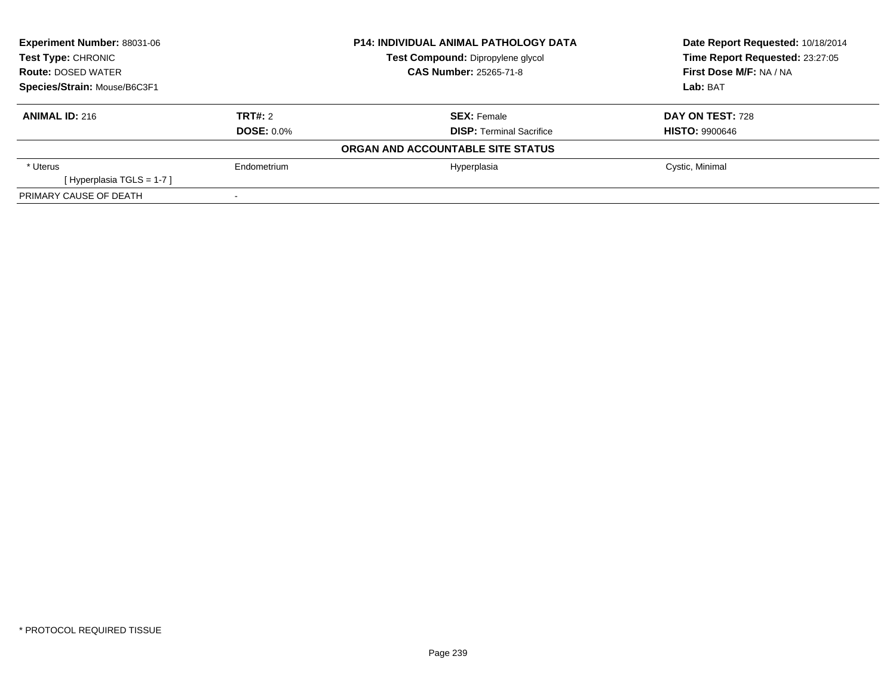| Experiment Number: 88031-06<br><b>Test Type: CHRONIC</b><br><b>Route: DOSED WATER</b><br>Species/Strain: Mouse/B6C3F1 |                   | <b>P14: INDIVIDUAL ANIMAL PATHOLOGY DATA</b> | Date Report Requested: 10/18/2014 |  |
|-----------------------------------------------------------------------------------------------------------------------|-------------------|----------------------------------------------|-----------------------------------|--|
|                                                                                                                       |                   | Test Compound: Dipropylene glycol            | Time Report Requested: 23:27:05   |  |
|                                                                                                                       |                   | <b>CAS Number: 25265-71-8</b>                | First Dose M/F: NA / NA           |  |
|                                                                                                                       |                   |                                              | Lab: BAT                          |  |
| <b>ANIMAL ID: 216</b>                                                                                                 | TRT#: 2           | <b>SEX: Female</b>                           | DAY ON TEST: 728                  |  |
|                                                                                                                       | <b>DOSE: 0.0%</b> | <b>DISP: Terminal Sacrifice</b>              | <b>HISTO: 9900646</b>             |  |
|                                                                                                                       |                   | ORGAN AND ACCOUNTABLE SITE STATUS            |                                   |  |
| * Uterus                                                                                                              | Endometrium       | Hyperplasia                                  | Cystic, Minimal                   |  |
| [Hyperplasia TGLS = $1-7$ ]                                                                                           |                   |                                              |                                   |  |
| PRIMARY CAUSE OF DEATH                                                                                                |                   |                                              |                                   |  |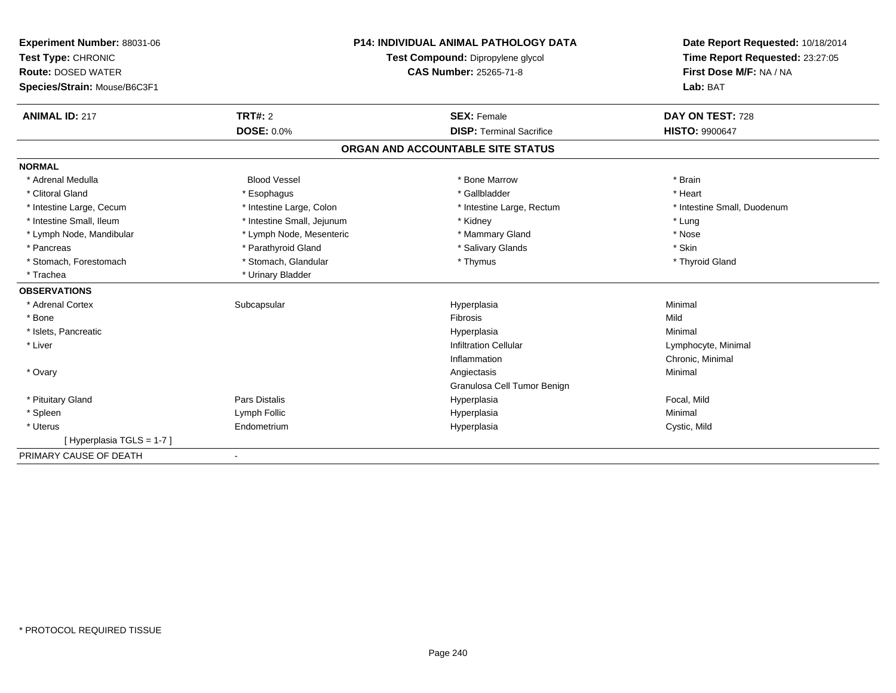| Experiment Number: 88031-06  |                                   | <b>P14: INDIVIDUAL ANIMAL PATHOLOGY DATA</b> | Date Report Requested: 10/18/2014<br>Time Report Requested: 23:27:05 |
|------------------------------|-----------------------------------|----------------------------------------------|----------------------------------------------------------------------|
| Test Type: CHRONIC           | Test Compound: Dipropylene glycol |                                              |                                                                      |
| <b>Route: DOSED WATER</b>    |                                   | <b>CAS Number: 25265-71-8</b>                | First Dose M/F: NA / NA                                              |
| Species/Strain: Mouse/B6C3F1 |                                   |                                              | Lab: BAT                                                             |
| <b>ANIMAL ID: 217</b>        | TRT#: 2                           | <b>SEX: Female</b>                           | DAY ON TEST: 728                                                     |
|                              | DOSE: 0.0%                        | <b>DISP: Terminal Sacrifice</b>              | <b>HISTO: 9900647</b>                                                |
|                              |                                   | ORGAN AND ACCOUNTABLE SITE STATUS            |                                                                      |
| <b>NORMAL</b>                |                                   |                                              |                                                                      |
| * Adrenal Medulla            | <b>Blood Vessel</b>               | * Bone Marrow                                | * Brain                                                              |
| * Clitoral Gland             | * Esophagus                       | * Gallbladder                                | * Heart                                                              |
| * Intestine Large, Cecum     | * Intestine Large, Colon          | * Intestine Large, Rectum                    | * Intestine Small, Duodenum                                          |
| * Intestine Small, Ileum     | * Intestine Small, Jejunum        | * Kidney                                     | * Lung                                                               |
| * Lymph Node, Mandibular     | * Lymph Node, Mesenteric          | * Mammary Gland                              | * Nose                                                               |
| * Pancreas                   | * Parathyroid Gland               | * Salivary Glands                            | * Skin                                                               |
| * Stomach, Forestomach       | * Stomach, Glandular              | * Thymus                                     | * Thyroid Gland                                                      |
| * Trachea                    | * Urinary Bladder                 |                                              |                                                                      |
| <b>OBSERVATIONS</b>          |                                   |                                              |                                                                      |
| * Adrenal Cortex             | Subcapsular                       | Hyperplasia                                  | Minimal                                                              |
| * Bone                       |                                   | <b>Fibrosis</b>                              | Mild                                                                 |
| * Islets, Pancreatic         |                                   | Hyperplasia                                  | Minimal                                                              |
| * Liver                      |                                   | <b>Infiltration Cellular</b>                 | Lymphocyte, Minimal                                                  |
|                              |                                   | Inflammation                                 | Chronic, Minimal                                                     |
| * Ovary                      |                                   | Angiectasis                                  | Minimal                                                              |
|                              |                                   | Granulosa Cell Tumor Benign                  |                                                                      |
| * Pituitary Gland            | Pars Distalis                     | Hyperplasia                                  | Focal, Mild                                                          |
| * Spleen                     | Lymph Follic                      | Hyperplasia                                  | Minimal                                                              |
| * Uterus                     | Endometrium                       | Hyperplasia                                  | Cystic, Mild                                                         |
| [Hyperplasia TGLS = 1-7]     |                                   |                                              |                                                                      |
| PRIMARY CAUSE OF DEATH       | $\blacksquare$                    |                                              |                                                                      |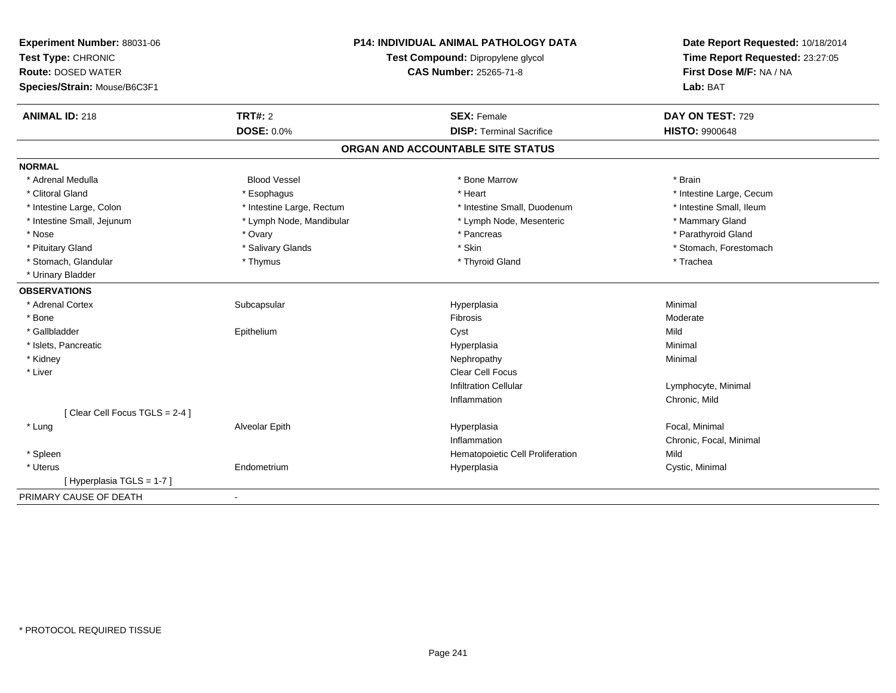| Experiment Number: 88031-06<br>Test Type: CHRONIC<br><b>Route: DOSED WATER</b><br>Species/Strain: Mouse/B6C3F1 | <b>P14: INDIVIDUAL ANIMAL PATHOLOGY DATA</b><br>Test Compound: Dipropylene glycol<br>CAS Number: 25265-71-8 |                                   | Date Report Requested: 10/18/2014<br>Time Report Requested: 23:27:05<br>First Dose M/F: NA / NA<br>Lab: BAT |  |
|----------------------------------------------------------------------------------------------------------------|-------------------------------------------------------------------------------------------------------------|-----------------------------------|-------------------------------------------------------------------------------------------------------------|--|
| <b>ANIMAL ID: 218</b>                                                                                          | <b>TRT#: 2</b>                                                                                              | <b>SEX: Female</b>                | DAY ON TEST: 729                                                                                            |  |
|                                                                                                                | <b>DOSE: 0.0%</b>                                                                                           | <b>DISP: Terminal Sacrifice</b>   | <b>HISTO: 9900648</b>                                                                                       |  |
|                                                                                                                |                                                                                                             | ORGAN AND ACCOUNTABLE SITE STATUS |                                                                                                             |  |
| <b>NORMAL</b>                                                                                                  |                                                                                                             |                                   |                                                                                                             |  |
| * Adrenal Medulla                                                                                              | <b>Blood Vessel</b>                                                                                         | * Bone Marrow                     | * Brain                                                                                                     |  |
| * Clitoral Gland                                                                                               | * Esophagus                                                                                                 | * Heart                           | * Intestine Large, Cecum                                                                                    |  |
| * Intestine Large, Colon                                                                                       | * Intestine Large, Rectum                                                                                   | * Intestine Small, Duodenum       | * Intestine Small, Ileum                                                                                    |  |
| * Intestine Small, Jejunum                                                                                     | * Lymph Node, Mandibular                                                                                    | * Lymph Node, Mesenteric          | * Mammary Gland                                                                                             |  |
| * Nose                                                                                                         | * Ovary                                                                                                     | * Pancreas                        | * Parathyroid Gland                                                                                         |  |
| * Pituitary Gland                                                                                              | * Salivary Glands                                                                                           | * Skin                            | * Stomach, Forestomach                                                                                      |  |
| * Stomach, Glandular                                                                                           | * Thymus                                                                                                    | * Thyroid Gland                   | * Trachea                                                                                                   |  |
| * Urinary Bladder                                                                                              |                                                                                                             |                                   |                                                                                                             |  |
| <b>OBSERVATIONS</b>                                                                                            |                                                                                                             |                                   |                                                                                                             |  |
| * Adrenal Cortex                                                                                               | Subcapsular                                                                                                 | Hyperplasia                       | Minimal                                                                                                     |  |
| * Bone                                                                                                         |                                                                                                             | <b>Fibrosis</b>                   | Moderate                                                                                                    |  |
| * Gallbladder                                                                                                  | Epithelium                                                                                                  | Cyst                              | Mild                                                                                                        |  |
| * Islets, Pancreatic                                                                                           |                                                                                                             | Hyperplasia                       | Minimal                                                                                                     |  |
| * Kidney                                                                                                       |                                                                                                             | Nephropathy                       | Minimal                                                                                                     |  |
| * Liver                                                                                                        |                                                                                                             | <b>Clear Cell Focus</b>           |                                                                                                             |  |
|                                                                                                                |                                                                                                             | <b>Infiltration Cellular</b>      | Lymphocyte, Minimal                                                                                         |  |
|                                                                                                                |                                                                                                             | Inflammation                      | Chronic, Mild                                                                                               |  |
| [Clear Cell Focus TGLS = 2-4]                                                                                  |                                                                                                             |                                   |                                                                                                             |  |
| * Lung                                                                                                         | Alveolar Epith                                                                                              | Hyperplasia                       | Focal, Minimal                                                                                              |  |
|                                                                                                                |                                                                                                             | Inflammation                      | Chronic, Focal, Minimal                                                                                     |  |
| * Spleen                                                                                                       |                                                                                                             | Hematopoietic Cell Proliferation  | Mild                                                                                                        |  |
| * Uterus                                                                                                       | Endometrium                                                                                                 | Hyperplasia                       | Cystic, Minimal                                                                                             |  |
| [Hyperplasia TGLS = 1-7]                                                                                       |                                                                                                             |                                   |                                                                                                             |  |
| PRIMARY CAUSE OF DEATH                                                                                         | $\blacksquare$                                                                                              |                                   |                                                                                                             |  |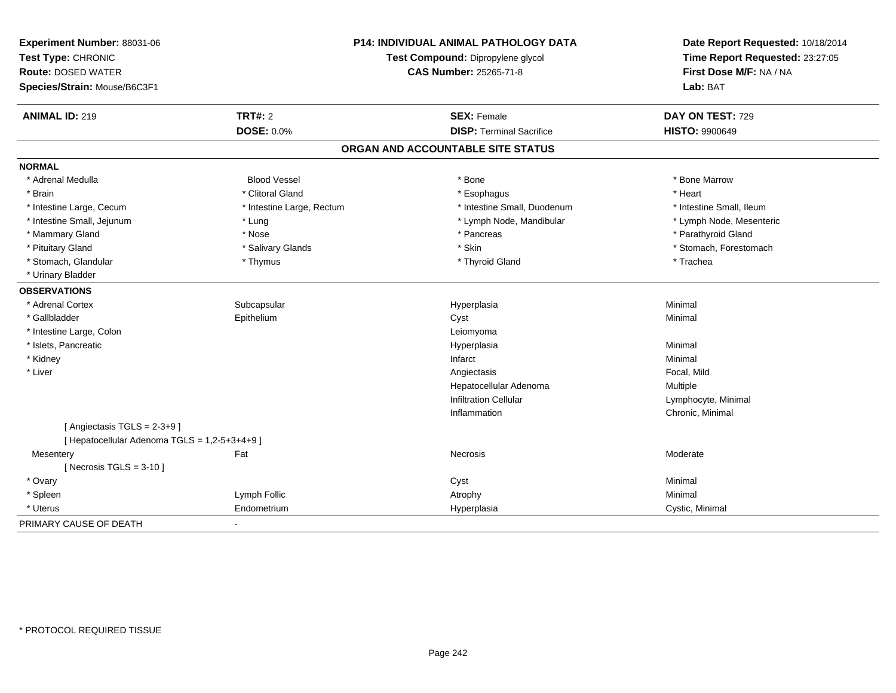| Experiment Number: 88031-06<br>Test Type: CHRONIC<br><b>Route: DOSED WATER</b><br>Species/Strain: Mouse/B6C3F1 |                           | P14: INDIVIDUAL ANIMAL PATHOLOGY DATA<br>Test Compound: Dipropylene glycol<br><b>CAS Number: 25265-71-8</b> | Date Report Requested: 10/18/2014<br>Time Report Requested: 23:27:05<br>First Dose M/F: NA / NA<br>Lab: BAT |  |
|----------------------------------------------------------------------------------------------------------------|---------------------------|-------------------------------------------------------------------------------------------------------------|-------------------------------------------------------------------------------------------------------------|--|
| <b>ANIMAL ID: 219</b>                                                                                          | TRT#: 2                   | <b>SEX: Female</b>                                                                                          | DAY ON TEST: 729                                                                                            |  |
|                                                                                                                | <b>DOSE: 0.0%</b>         | <b>DISP: Terminal Sacrifice</b>                                                                             | <b>HISTO: 9900649</b>                                                                                       |  |
|                                                                                                                |                           | ORGAN AND ACCOUNTABLE SITE STATUS                                                                           |                                                                                                             |  |
| <b>NORMAL</b>                                                                                                  |                           |                                                                                                             |                                                                                                             |  |
| * Adrenal Medulla                                                                                              | <b>Blood Vessel</b>       | * Bone                                                                                                      | * Bone Marrow                                                                                               |  |
| * Brain                                                                                                        | * Clitoral Gland          | * Esophagus                                                                                                 | * Heart                                                                                                     |  |
| * Intestine Large, Cecum                                                                                       | * Intestine Large, Rectum | * Intestine Small, Duodenum                                                                                 | * Intestine Small, Ileum                                                                                    |  |
| * Intestine Small, Jejunum                                                                                     | * Lung                    | * Lymph Node, Mandibular                                                                                    | * Lymph Node, Mesenteric                                                                                    |  |
| * Mammary Gland                                                                                                | * Nose                    | * Pancreas                                                                                                  | * Parathyroid Gland                                                                                         |  |
| * Pituitary Gland                                                                                              | * Salivary Glands         | * Skin                                                                                                      | * Stomach, Forestomach                                                                                      |  |
| * Stomach, Glandular                                                                                           | * Thymus                  | * Thyroid Gland                                                                                             | * Trachea                                                                                                   |  |
| * Urinary Bladder                                                                                              |                           |                                                                                                             |                                                                                                             |  |
| <b>OBSERVATIONS</b>                                                                                            |                           |                                                                                                             |                                                                                                             |  |
| * Adrenal Cortex                                                                                               | Subcapsular               | Hyperplasia                                                                                                 | Minimal                                                                                                     |  |
| * Gallbladder                                                                                                  | Epithelium                | Cyst                                                                                                        | Minimal                                                                                                     |  |
| * Intestine Large, Colon                                                                                       |                           | Leiomyoma                                                                                                   |                                                                                                             |  |
| * Islets, Pancreatic                                                                                           |                           | Hyperplasia                                                                                                 | Minimal                                                                                                     |  |
| * Kidney                                                                                                       |                           | Infarct                                                                                                     | Minimal                                                                                                     |  |
| * Liver                                                                                                        |                           | Angiectasis                                                                                                 | Focal, Mild                                                                                                 |  |
|                                                                                                                |                           | Hepatocellular Adenoma                                                                                      | Multiple                                                                                                    |  |
|                                                                                                                |                           | <b>Infiltration Cellular</b>                                                                                | Lymphocyte, Minimal                                                                                         |  |
|                                                                                                                |                           | Inflammation                                                                                                | Chronic, Minimal                                                                                            |  |
| [Angiectasis TGLS = $2-3+9$ ]                                                                                  |                           |                                                                                                             |                                                                                                             |  |
| [ Hepatocellular Adenoma TGLS = 1,2-5+3+4+9 ]                                                                  |                           |                                                                                                             |                                                                                                             |  |
| Mesentery                                                                                                      | Fat                       | <b>Necrosis</b>                                                                                             | Moderate                                                                                                    |  |
| [Necrosis TGLS = $3-10$ ]                                                                                      |                           |                                                                                                             |                                                                                                             |  |
| * Ovary                                                                                                        |                           | Cyst                                                                                                        | Minimal                                                                                                     |  |
| * Spleen                                                                                                       | Lymph Follic              | Atrophy                                                                                                     | Minimal                                                                                                     |  |
| * Uterus                                                                                                       | Endometrium               | Hyperplasia                                                                                                 | Cystic, Minimal                                                                                             |  |
| PRIMARY CAUSE OF DEATH                                                                                         |                           |                                                                                                             |                                                                                                             |  |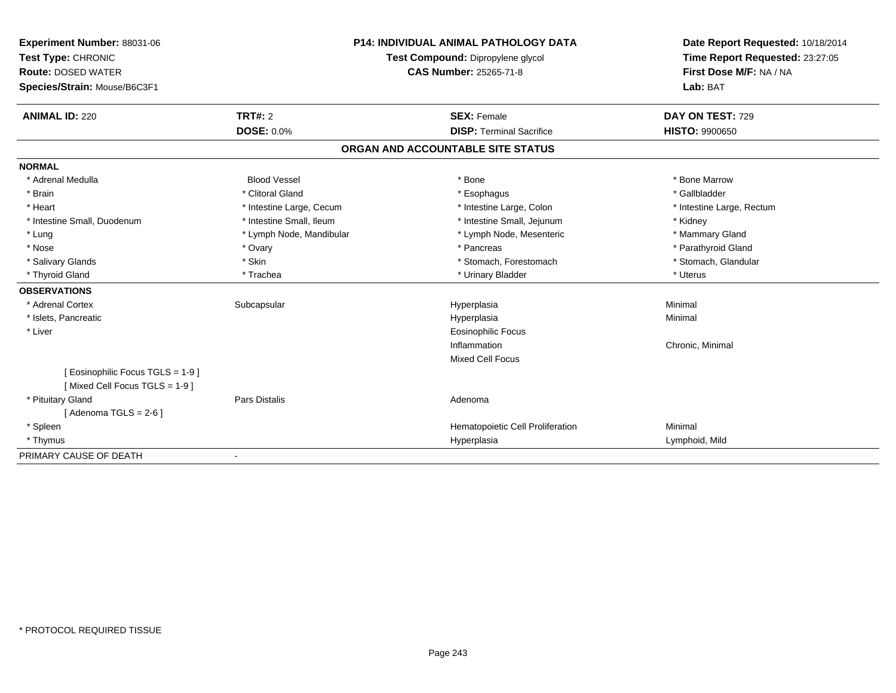| Experiment Number: 88031-06       |                          | <b>P14: INDIVIDUAL ANIMAL PATHOLOGY DATA</b> | Date Report Requested: 10/18/2014 |  |
|-----------------------------------|--------------------------|----------------------------------------------|-----------------------------------|--|
| Test Type: CHRONIC                |                          | Test Compound: Dipropylene glycol            | Time Report Requested: 23:27:05   |  |
| <b>Route: DOSED WATER</b>         |                          | CAS Number: 25265-71-8                       | First Dose M/F: NA / NA           |  |
| Species/Strain: Mouse/B6C3F1      |                          |                                              | Lab: BAT                          |  |
|                                   |                          |                                              |                                   |  |
| <b>ANIMAL ID: 220</b>             | <b>TRT#: 2</b>           | <b>SEX: Female</b>                           | DAY ON TEST: 729                  |  |
|                                   | <b>DOSE: 0.0%</b>        | <b>DISP: Terminal Sacrifice</b>              | <b>HISTO: 9900650</b>             |  |
|                                   |                          | ORGAN AND ACCOUNTABLE SITE STATUS            |                                   |  |
| <b>NORMAL</b>                     |                          |                                              |                                   |  |
| * Adrenal Medulla                 | <b>Blood Vessel</b>      | * Bone                                       | * Bone Marrow                     |  |
| * Brain                           | * Clitoral Gland         | * Esophagus                                  | * Gallbladder                     |  |
| * Heart                           | * Intestine Large, Cecum | * Intestine Large, Colon                     | * Intestine Large, Rectum         |  |
| * Intestine Small, Duodenum       | * Intestine Small, Ileum | * Intestine Small, Jejunum                   | * Kidney                          |  |
| * Lung                            | * Lymph Node, Mandibular | * Lymph Node, Mesenteric                     | * Mammary Gland                   |  |
| * Nose                            | * Ovary                  | * Pancreas                                   | * Parathyroid Gland               |  |
| * Salivary Glands                 | * Skin                   | * Stomach, Forestomach                       | * Stomach, Glandular              |  |
| * Thyroid Gland                   | * Trachea                | * Urinary Bladder                            | * Uterus                          |  |
| <b>OBSERVATIONS</b>               |                          |                                              |                                   |  |
| * Adrenal Cortex                  | Subcapsular              | Hyperplasia                                  | Minimal                           |  |
| * Islets, Pancreatic              |                          | Hyperplasia                                  | Minimal                           |  |
| * Liver                           |                          | <b>Eosinophilic Focus</b>                    |                                   |  |
|                                   |                          | Inflammation                                 | Chronic, Minimal                  |  |
|                                   |                          | <b>Mixed Cell Focus</b>                      |                                   |  |
| [ Eosinophilic Focus TGLS = 1-9 ] |                          |                                              |                                   |  |
| [Mixed Cell Focus TGLS = 1-9]     |                          |                                              |                                   |  |
| * Pituitary Gland                 | <b>Pars Distalis</b>     | Adenoma                                      |                                   |  |
| [Adenoma TGLS = $2-6$ ]           |                          |                                              |                                   |  |
| * Spleen                          |                          | Hematopoietic Cell Proliferation             | Minimal                           |  |
| * Thymus                          |                          | Hyperplasia                                  | Lymphoid, Mild                    |  |
| PRIMARY CAUSE OF DEATH            |                          |                                              |                                   |  |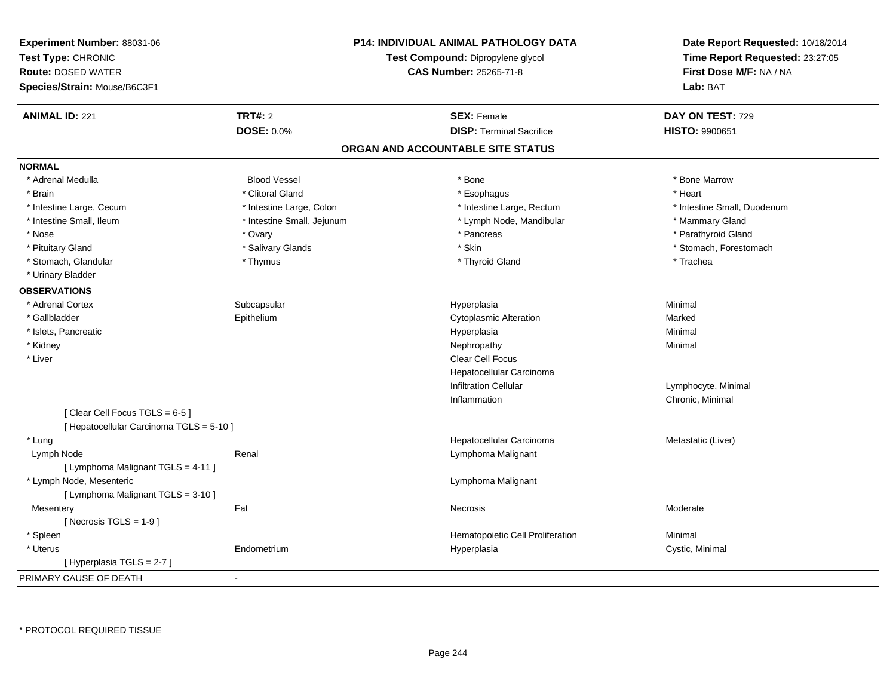| Experiment Number: 88031-06<br>Test Type: CHRONIC<br><b>Route: DOSED WATER</b><br>Species/Strain: Mouse/B6C3F1 |                            | <b>P14: INDIVIDUAL ANIMAL PATHOLOGY DATA</b><br>Test Compound: Dipropylene glycol<br><b>CAS Number: 25265-71-8</b> | Date Report Requested: 10/18/2014<br>Time Report Requested: 23:27:05<br>First Dose M/F: NA / NA<br>Lab: BAT |  |
|----------------------------------------------------------------------------------------------------------------|----------------------------|--------------------------------------------------------------------------------------------------------------------|-------------------------------------------------------------------------------------------------------------|--|
| <b>ANIMAL ID: 221</b>                                                                                          | <b>TRT#: 2</b>             | <b>SEX: Female</b>                                                                                                 | DAY ON TEST: 729                                                                                            |  |
|                                                                                                                | <b>DOSE: 0.0%</b>          | <b>DISP: Terminal Sacrifice</b>                                                                                    | HISTO: 9900651                                                                                              |  |
|                                                                                                                |                            | ORGAN AND ACCOUNTABLE SITE STATUS                                                                                  |                                                                                                             |  |
| <b>NORMAL</b>                                                                                                  |                            |                                                                                                                    |                                                                                                             |  |
| * Adrenal Medulla                                                                                              | <b>Blood Vessel</b>        | * Bone                                                                                                             | * Bone Marrow                                                                                               |  |
| * Brain                                                                                                        | * Clitoral Gland           | * Esophagus                                                                                                        | * Heart                                                                                                     |  |
| * Intestine Large, Cecum                                                                                       | * Intestine Large, Colon   | * Intestine Large, Rectum                                                                                          | * Intestine Small, Duodenum                                                                                 |  |
| * Intestine Small, Ileum                                                                                       | * Intestine Small, Jejunum | * Lymph Node, Mandibular                                                                                           | * Mammary Gland                                                                                             |  |
| * Nose                                                                                                         | * Ovary                    | * Pancreas                                                                                                         | * Parathyroid Gland                                                                                         |  |
| * Pituitary Gland                                                                                              | * Salivary Glands          | * Skin                                                                                                             | * Stomach, Forestomach                                                                                      |  |
| * Stomach, Glandular                                                                                           | * Thymus                   | * Thyroid Gland                                                                                                    | * Trachea                                                                                                   |  |
| * Urinary Bladder                                                                                              |                            |                                                                                                                    |                                                                                                             |  |
| <b>OBSERVATIONS</b>                                                                                            |                            |                                                                                                                    |                                                                                                             |  |
| * Adrenal Cortex                                                                                               | Subcapsular                | Hyperplasia                                                                                                        | Minimal                                                                                                     |  |
| * Gallbladder                                                                                                  | Epithelium                 | <b>Cytoplasmic Alteration</b>                                                                                      | Marked                                                                                                      |  |
| * Islets, Pancreatic                                                                                           |                            | Hyperplasia                                                                                                        | Minimal                                                                                                     |  |
| * Kidney                                                                                                       |                            | Nephropathy                                                                                                        | Minimal                                                                                                     |  |
| * Liver                                                                                                        |                            | Clear Cell Focus                                                                                                   |                                                                                                             |  |
|                                                                                                                |                            | Hepatocellular Carcinoma                                                                                           |                                                                                                             |  |
|                                                                                                                |                            | <b>Infiltration Cellular</b>                                                                                       | Lymphocyte, Minimal                                                                                         |  |
|                                                                                                                |                            | Inflammation                                                                                                       | Chronic, Minimal                                                                                            |  |
| [Clear Cell Focus TGLS = 6-5]<br>[ Hepatocellular Carcinoma TGLS = 5-10 ]                                      |                            |                                                                                                                    |                                                                                                             |  |
| * Lung                                                                                                         |                            | Hepatocellular Carcinoma                                                                                           | Metastatic (Liver)                                                                                          |  |
| Lymph Node                                                                                                     | Renal                      | Lymphoma Malignant                                                                                                 |                                                                                                             |  |
| [ Lymphoma Malignant TGLS = 4-11 ]                                                                             |                            |                                                                                                                    |                                                                                                             |  |
| * Lymph Node, Mesenteric                                                                                       |                            | Lymphoma Malignant                                                                                                 |                                                                                                             |  |
| [ Lymphoma Malignant TGLS = 3-10 ]                                                                             |                            |                                                                                                                    |                                                                                                             |  |
| Mesentery                                                                                                      | Fat                        | Necrosis                                                                                                           | Moderate                                                                                                    |  |
| [Necrosis TGLS = $1-9$ ]                                                                                       |                            |                                                                                                                    |                                                                                                             |  |
| * Spleen                                                                                                       |                            | Hematopoietic Cell Proliferation                                                                                   | Minimal                                                                                                     |  |
| * Uterus                                                                                                       | Endometrium                | Hyperplasia                                                                                                        | Cystic, Minimal                                                                                             |  |
| [ Hyperplasia TGLS = 2-7 ]                                                                                     |                            |                                                                                                                    |                                                                                                             |  |
| PRIMARY CAUSE OF DEATH                                                                                         |                            |                                                                                                                    |                                                                                                             |  |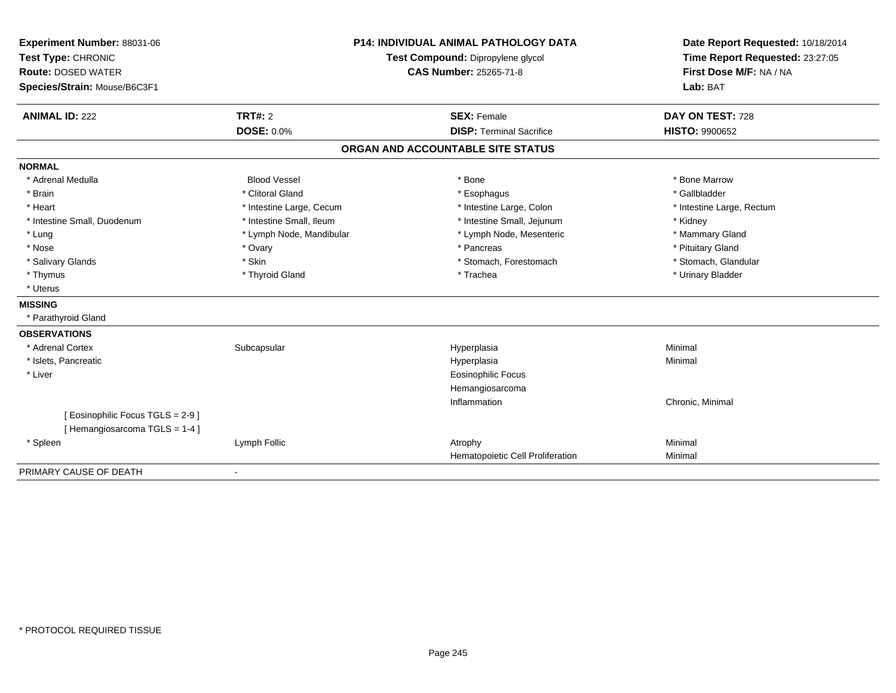|                                                                   | <b>P14: INDIVIDUAL ANIMAL PATHOLOGY DATA</b><br>Experiment Number: 88031-06<br>Test Type: CHRONIC<br>Test Compound: Dipropylene glycol |                                   | Date Report Requested: 10/18/2014 |
|-------------------------------------------------------------------|----------------------------------------------------------------------------------------------------------------------------------------|-----------------------------------|-----------------------------------|
|                                                                   |                                                                                                                                        |                                   | Time Report Requested: 23:27:05   |
| <b>Route: DOSED WATER</b>                                         |                                                                                                                                        | <b>CAS Number: 25265-71-8</b>     | First Dose M/F: NA / NA           |
| Species/Strain: Mouse/B6C3F1                                      |                                                                                                                                        |                                   | Lab: BAT                          |
|                                                                   |                                                                                                                                        |                                   |                                   |
| <b>ANIMAL ID: 222</b>                                             | <b>TRT#: 2</b>                                                                                                                         | <b>SEX: Female</b>                | DAY ON TEST: 728                  |
|                                                                   | <b>DOSE: 0.0%</b>                                                                                                                      | <b>DISP: Terminal Sacrifice</b>   | <b>HISTO: 9900652</b>             |
|                                                                   |                                                                                                                                        | ORGAN AND ACCOUNTABLE SITE STATUS |                                   |
| <b>NORMAL</b>                                                     |                                                                                                                                        |                                   |                                   |
| * Adrenal Medulla                                                 | <b>Blood Vessel</b>                                                                                                                    | * Bone                            | * Bone Marrow                     |
| * Brain                                                           | * Clitoral Gland                                                                                                                       | * Esophagus                       | * Gallbladder                     |
| * Heart                                                           | * Intestine Large, Cecum                                                                                                               | * Intestine Large, Colon          | * Intestine Large, Rectum         |
| * Intestine Small, Duodenum                                       | * Intestine Small, Ileum                                                                                                               | * Intestine Small, Jejunum        | * Kidney                          |
| * Lung                                                            | * Lymph Node, Mandibular                                                                                                               | * Lymph Node, Mesenteric          | * Mammary Gland                   |
| * Nose                                                            | * Ovary                                                                                                                                | * Pancreas                        | * Pituitary Gland                 |
| * Salivary Glands                                                 | * Skin                                                                                                                                 | * Stomach, Forestomach            | * Stomach, Glandular              |
| * Thymus                                                          | * Thyroid Gland                                                                                                                        | * Trachea                         | * Urinary Bladder                 |
| * Uterus                                                          |                                                                                                                                        |                                   |                                   |
| <b>MISSING</b>                                                    |                                                                                                                                        |                                   |                                   |
| * Parathyroid Gland                                               |                                                                                                                                        |                                   |                                   |
| <b>OBSERVATIONS</b>                                               |                                                                                                                                        |                                   |                                   |
| * Adrenal Cortex                                                  | Subcapsular                                                                                                                            | Hyperplasia                       | Minimal                           |
| * Islets, Pancreatic                                              |                                                                                                                                        | Hyperplasia                       | Minimal                           |
| * Liver                                                           |                                                                                                                                        | Eosinophilic Focus                |                                   |
|                                                                   |                                                                                                                                        | Hemangiosarcoma                   |                                   |
|                                                                   |                                                                                                                                        | Inflammation                      | Chronic, Minimal                  |
| [ Eosinophilic Focus TGLS = 2-9 ]<br>[Hemangiosarcoma TGLS = 1-4] |                                                                                                                                        |                                   |                                   |
| * Spleen                                                          | Lymph Follic                                                                                                                           | Atrophy                           | Minimal                           |
|                                                                   |                                                                                                                                        | Hematopoietic Cell Proliferation  | Minimal                           |
| PRIMARY CAUSE OF DEATH                                            |                                                                                                                                        |                                   |                                   |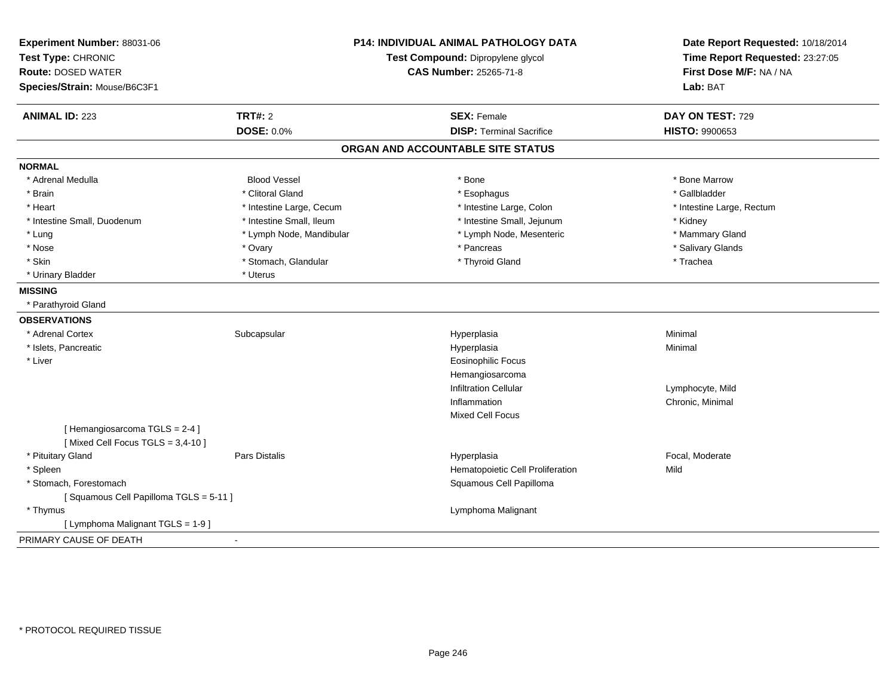| Experiment Number: 88031-06<br>Test Type: CHRONIC<br><b>Route: DOSED WATER</b><br>Species/Strain: Mouse/B6C3F1 |                          | <b>P14: INDIVIDUAL ANIMAL PATHOLOGY DATA</b><br>Test Compound: Dipropylene glycol<br><b>CAS Number: 25265-71-8</b> | Date Report Requested: 10/18/2014<br>Time Report Requested: 23:27:05<br>First Dose M/F: NA / NA<br>Lab: BAT |  |
|----------------------------------------------------------------------------------------------------------------|--------------------------|--------------------------------------------------------------------------------------------------------------------|-------------------------------------------------------------------------------------------------------------|--|
| <b>ANIMAL ID: 223</b>                                                                                          | <b>TRT#: 2</b>           | <b>SEX: Female</b>                                                                                                 | DAY ON TEST: 729                                                                                            |  |
|                                                                                                                | <b>DOSE: 0.0%</b>        | <b>DISP: Terminal Sacrifice</b>                                                                                    | <b>HISTO: 9900653</b>                                                                                       |  |
|                                                                                                                |                          | ORGAN AND ACCOUNTABLE SITE STATUS                                                                                  |                                                                                                             |  |
| <b>NORMAL</b>                                                                                                  |                          |                                                                                                                    |                                                                                                             |  |
| * Adrenal Medulla                                                                                              | <b>Blood Vessel</b>      | * Bone                                                                                                             | * Bone Marrow                                                                                               |  |
| * Brain                                                                                                        | * Clitoral Gland         | * Esophagus                                                                                                        | * Gallbladder                                                                                               |  |
| * Heart                                                                                                        | * Intestine Large, Cecum | * Intestine Large, Colon                                                                                           | * Intestine Large, Rectum                                                                                   |  |
| * Intestine Small, Duodenum                                                                                    | * Intestine Small, Ileum | * Intestine Small, Jejunum                                                                                         | * Kidney                                                                                                    |  |
| * Lung                                                                                                         | * Lymph Node, Mandibular | * Lymph Node, Mesenteric                                                                                           | * Mammary Gland                                                                                             |  |
| * Nose                                                                                                         | * Ovary                  | * Pancreas                                                                                                         | * Salivary Glands                                                                                           |  |
| * Skin                                                                                                         | * Stomach, Glandular     | * Thyroid Gland                                                                                                    | * Trachea                                                                                                   |  |
| * Urinary Bladder                                                                                              | * Uterus                 |                                                                                                                    |                                                                                                             |  |
| <b>MISSING</b>                                                                                                 |                          |                                                                                                                    |                                                                                                             |  |
| * Parathyroid Gland                                                                                            |                          |                                                                                                                    |                                                                                                             |  |
| <b>OBSERVATIONS</b>                                                                                            |                          |                                                                                                                    |                                                                                                             |  |
| * Adrenal Cortex                                                                                               | Subcapsular              | Hyperplasia                                                                                                        | Minimal                                                                                                     |  |
| * Islets, Pancreatic                                                                                           |                          | Hyperplasia                                                                                                        | Minimal                                                                                                     |  |
| * Liver                                                                                                        |                          | <b>Eosinophilic Focus</b>                                                                                          |                                                                                                             |  |
|                                                                                                                |                          | Hemangiosarcoma                                                                                                    |                                                                                                             |  |
|                                                                                                                |                          | <b>Infiltration Cellular</b>                                                                                       | Lymphocyte, Mild                                                                                            |  |
|                                                                                                                |                          | Inflammation                                                                                                       | Chronic, Minimal                                                                                            |  |
|                                                                                                                |                          | <b>Mixed Cell Focus</b>                                                                                            |                                                                                                             |  |
| [Hemangiosarcoma TGLS = 2-4]<br>[Mixed Cell Focus TGLS = 3,4-10]                                               |                          |                                                                                                                    |                                                                                                             |  |
| * Pituitary Gland                                                                                              | Pars Distalis            | Hyperplasia                                                                                                        | Focal, Moderate                                                                                             |  |
| * Spleen                                                                                                       |                          | Hematopoietic Cell Proliferation                                                                                   | Mild                                                                                                        |  |
| * Stomach, Forestomach                                                                                         |                          | Squamous Cell Papilloma                                                                                            |                                                                                                             |  |
| [Squamous Cell Papilloma TGLS = 5-11]                                                                          |                          |                                                                                                                    |                                                                                                             |  |
| * Thymus                                                                                                       |                          | Lymphoma Malignant                                                                                                 |                                                                                                             |  |
| [ Lymphoma Malignant TGLS = 1-9 ]                                                                              |                          |                                                                                                                    |                                                                                                             |  |
| PRIMARY CAUSE OF DEATH                                                                                         |                          |                                                                                                                    |                                                                                                             |  |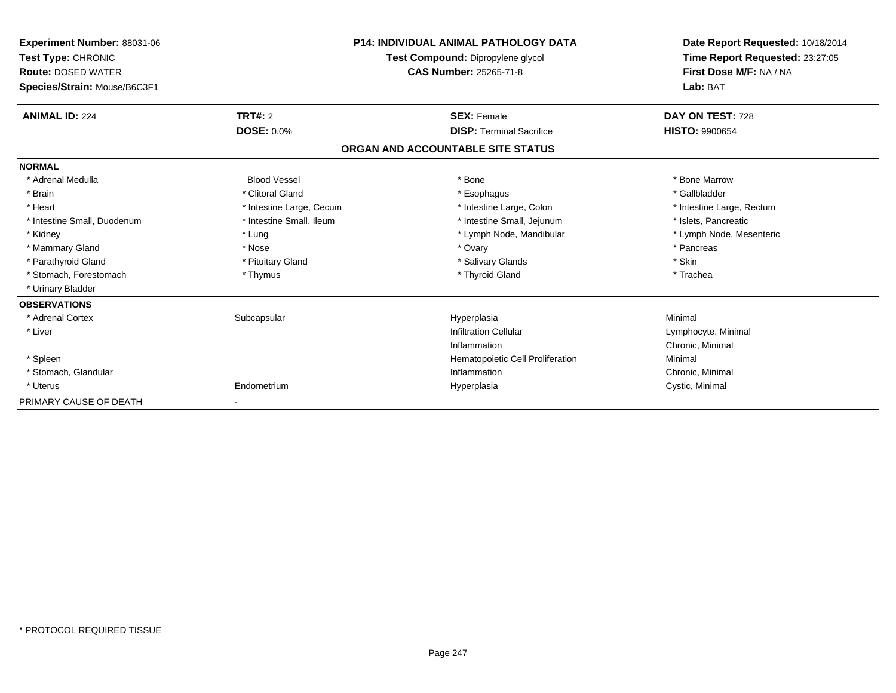| Experiment Number: 88031-06<br>Test Type: CHRONIC<br><b>Route: DOSED WATER</b><br>Species/Strain: Mouse/B6C3F1 |                          | <b>P14: INDIVIDUAL ANIMAL PATHOLOGY DATA</b><br>Test Compound: Dipropylene glycol<br><b>CAS Number: 25265-71-8</b> | Date Report Requested: 10/18/2014<br>Time Report Requested: 23:27:05<br>First Dose M/F: NA / NA<br>Lab: BAT |
|----------------------------------------------------------------------------------------------------------------|--------------------------|--------------------------------------------------------------------------------------------------------------------|-------------------------------------------------------------------------------------------------------------|
| <b>ANIMAL ID: 224</b>                                                                                          | <b>TRT#: 2</b>           | <b>SEX: Female</b>                                                                                                 | DAY ON TEST: 728                                                                                            |
|                                                                                                                | <b>DOSE: 0.0%</b>        | <b>DISP: Terminal Sacrifice</b>                                                                                    | <b>HISTO: 9900654</b>                                                                                       |
|                                                                                                                |                          | ORGAN AND ACCOUNTABLE SITE STATUS                                                                                  |                                                                                                             |
| <b>NORMAL</b>                                                                                                  |                          |                                                                                                                    |                                                                                                             |
| * Adrenal Medulla                                                                                              | <b>Blood Vessel</b>      | * Bone                                                                                                             | * Bone Marrow                                                                                               |
| * Brain                                                                                                        | * Clitoral Gland         | * Esophagus                                                                                                        | * Gallbladder                                                                                               |
| * Heart                                                                                                        | * Intestine Large, Cecum | * Intestine Large, Colon                                                                                           | * Intestine Large, Rectum                                                                                   |
| * Intestine Small, Duodenum                                                                                    | * Intestine Small, Ileum | * Intestine Small, Jejunum                                                                                         | * Islets, Pancreatic                                                                                        |
| * Kidney                                                                                                       | * Lung                   | * Lymph Node, Mandibular                                                                                           | * Lymph Node, Mesenteric                                                                                    |
| * Mammary Gland                                                                                                | * Nose                   | * Ovary                                                                                                            | * Pancreas                                                                                                  |
| * Parathyroid Gland                                                                                            | * Pituitary Gland        | * Salivary Glands                                                                                                  | * Skin                                                                                                      |
| * Stomach, Forestomach                                                                                         | * Thymus                 | * Thyroid Gland                                                                                                    | * Trachea                                                                                                   |
| * Urinary Bladder                                                                                              |                          |                                                                                                                    |                                                                                                             |
| <b>OBSERVATIONS</b>                                                                                            |                          |                                                                                                                    |                                                                                                             |
| * Adrenal Cortex                                                                                               | Subcapsular              | Hyperplasia                                                                                                        | Minimal                                                                                                     |
| * Liver                                                                                                        |                          | <b>Infiltration Cellular</b>                                                                                       | Lymphocyte, Minimal                                                                                         |
|                                                                                                                |                          | Inflammation                                                                                                       | Chronic, Minimal                                                                                            |
| * Spleen                                                                                                       |                          | Hematopoietic Cell Proliferation                                                                                   | Minimal                                                                                                     |
| * Stomach, Glandular                                                                                           |                          | Inflammation                                                                                                       | Chronic, Minimal                                                                                            |
| * Uterus                                                                                                       | Endometrium              | Hyperplasia                                                                                                        | Cystic, Minimal                                                                                             |
| PRIMARY CAUSE OF DEATH                                                                                         |                          |                                                                                                                    |                                                                                                             |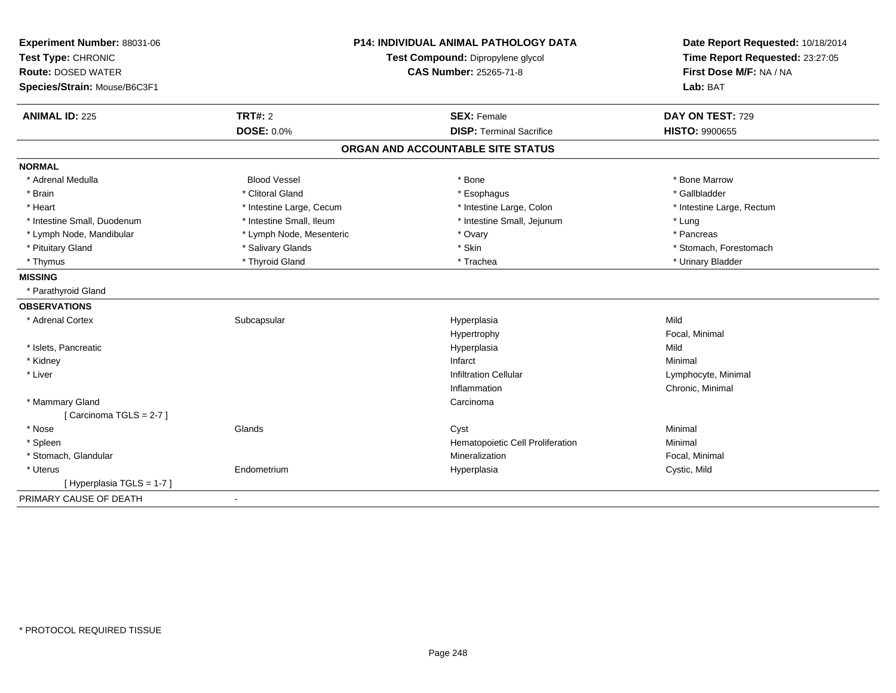| <b>P14: INDIVIDUAL ANIMAL PATHOLOGY DATA</b><br>Experiment Number: 88031-06<br>Test Compound: Dipropylene glycol |                          | Date Report Requested: 10/18/2014<br>Time Report Requested: 23:27:05 |                           |
|------------------------------------------------------------------------------------------------------------------|--------------------------|----------------------------------------------------------------------|---------------------------|
| Test Type: CHRONIC<br><b>Route: DOSED WATER</b>                                                                  | CAS Number: 25265-71-8   |                                                                      | First Dose M/F: NA / NA   |
| Species/Strain: Mouse/B6C3F1                                                                                     |                          |                                                                      | Lab: BAT                  |
|                                                                                                                  |                          |                                                                      |                           |
| <b>ANIMAL ID: 225</b>                                                                                            | <b>TRT#: 2</b>           | <b>SEX: Female</b>                                                   | DAY ON TEST: 729          |
|                                                                                                                  | <b>DOSE: 0.0%</b>        | <b>DISP: Terminal Sacrifice</b>                                      | <b>HISTO: 9900655</b>     |
|                                                                                                                  |                          | ORGAN AND ACCOUNTABLE SITE STATUS                                    |                           |
| <b>NORMAL</b>                                                                                                    |                          |                                                                      |                           |
| * Adrenal Medulla                                                                                                | <b>Blood Vessel</b>      | * Bone                                                               | * Bone Marrow             |
| * Brain                                                                                                          | * Clitoral Gland         | * Esophagus                                                          | * Gallbladder             |
| * Heart                                                                                                          | * Intestine Large, Cecum | * Intestine Large, Colon                                             | * Intestine Large, Rectum |
| * Intestine Small, Duodenum                                                                                      | * Intestine Small, Ileum | * Intestine Small, Jejunum                                           | * Lung                    |
| * Lymph Node, Mandibular                                                                                         | * Lymph Node, Mesenteric | * Ovary                                                              | * Pancreas                |
| * Pituitary Gland                                                                                                | * Salivary Glands        | * Skin                                                               | * Stomach, Forestomach    |
| * Thymus                                                                                                         | * Thyroid Gland          | * Trachea                                                            | * Urinary Bladder         |
| <b>MISSING</b>                                                                                                   |                          |                                                                      |                           |
| * Parathyroid Gland                                                                                              |                          |                                                                      |                           |
| <b>OBSERVATIONS</b>                                                                                              |                          |                                                                      |                           |
| * Adrenal Cortex                                                                                                 | Subcapsular              | Hyperplasia                                                          | Mild                      |
|                                                                                                                  |                          | Hypertrophy                                                          | Focal, Minimal            |
| * Islets, Pancreatic                                                                                             |                          | Hyperplasia                                                          | Mild                      |
| * Kidney                                                                                                         |                          | Infarct                                                              | Minimal                   |
| * Liver                                                                                                          |                          | <b>Infiltration Cellular</b>                                         | Lymphocyte, Minimal       |
|                                                                                                                  |                          | Inflammation                                                         | Chronic, Minimal          |
| * Mammary Gland                                                                                                  |                          | Carcinoma                                                            |                           |
| [Carcinoma TGLS = 2-7]                                                                                           |                          |                                                                      |                           |
| * Nose                                                                                                           | Glands                   | Cyst                                                                 | Minimal                   |
| * Spleen                                                                                                         |                          | Hematopoietic Cell Proliferation                                     | Minimal                   |
| * Stomach, Glandular                                                                                             |                          | Mineralization                                                       | Focal, Minimal            |
| * Uterus                                                                                                         | Endometrium              | Hyperplasia                                                          | Cystic, Mild              |
| [ Hyperplasia TGLS = 1-7 ]                                                                                       |                          |                                                                      |                           |
| PRIMARY CAUSE OF DEATH                                                                                           | $\blacksquare$           |                                                                      |                           |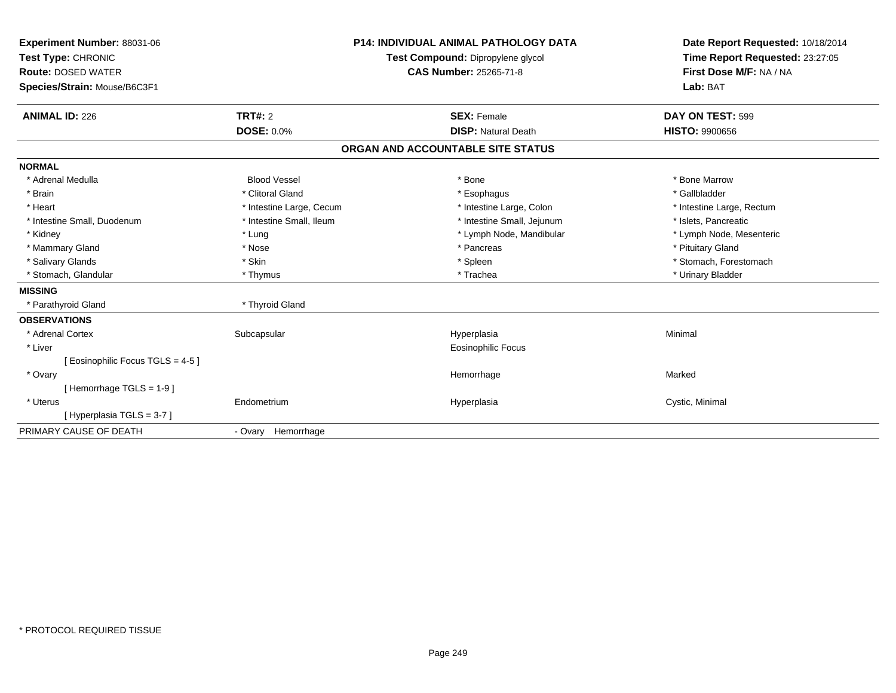| Experiment Number: 88031-06<br>Test Type: CHRONIC<br><b>Route: DOSED WATER</b><br>Species/Strain: Mouse/B6C3F1 |                                     | <b>P14: INDIVIDUAL ANIMAL PATHOLOGY DATA</b><br>Test Compound: Dipropylene glycol<br>CAS Number: 25265-71-8 |                                                  | Date Report Requested: 10/18/2014<br>Time Report Requested: 23:27:05<br>First Dose M/F: NA / NA<br>Lab: BAT |
|----------------------------------------------------------------------------------------------------------------|-------------------------------------|-------------------------------------------------------------------------------------------------------------|--------------------------------------------------|-------------------------------------------------------------------------------------------------------------|
| <b>ANIMAL ID: 226</b>                                                                                          | <b>TRT#: 2</b><br><b>DOSE: 0.0%</b> |                                                                                                             | <b>SEX: Female</b><br><b>DISP: Natural Death</b> | DAY ON TEST: 599<br><b>HISTO: 9900656</b>                                                                   |
|                                                                                                                |                                     | ORGAN AND ACCOUNTABLE SITE STATUS                                                                           |                                                  |                                                                                                             |
| <b>NORMAL</b>                                                                                                  |                                     |                                                                                                             |                                                  |                                                                                                             |
| * Adrenal Medulla                                                                                              | <b>Blood Vessel</b>                 |                                                                                                             | * Bone                                           | * Bone Marrow                                                                                               |
| * Brain                                                                                                        | * Clitoral Gland                    |                                                                                                             | * Esophagus                                      | * Gallbladder                                                                                               |
| * Heart                                                                                                        | * Intestine Large, Cecum            |                                                                                                             | * Intestine Large, Colon                         | * Intestine Large, Rectum                                                                                   |
| * Intestine Small, Duodenum                                                                                    | * Intestine Small. Ileum            |                                                                                                             | * Intestine Small, Jejunum                       | * Islets, Pancreatic                                                                                        |
| * Kidney                                                                                                       | * Lung                              |                                                                                                             | * Lymph Node, Mandibular                         | * Lymph Node, Mesenteric                                                                                    |
| * Mammary Gland                                                                                                | * Nose                              |                                                                                                             | * Pancreas                                       | * Pituitary Gland                                                                                           |
| * Salivary Glands                                                                                              | * Skin                              |                                                                                                             | * Spleen                                         | * Stomach, Forestomach                                                                                      |
| * Stomach, Glandular                                                                                           | * Thymus                            |                                                                                                             | * Trachea                                        | * Urinary Bladder                                                                                           |
| <b>MISSING</b>                                                                                                 |                                     |                                                                                                             |                                                  |                                                                                                             |
| * Parathyroid Gland                                                                                            | * Thyroid Gland                     |                                                                                                             |                                                  |                                                                                                             |
| <b>OBSERVATIONS</b>                                                                                            |                                     |                                                                                                             |                                                  |                                                                                                             |
| * Adrenal Cortex                                                                                               | Subcapsular                         |                                                                                                             | Hyperplasia                                      | Minimal                                                                                                     |
| * Liver                                                                                                        |                                     |                                                                                                             | Eosinophilic Focus                               |                                                                                                             |
| [Eosinophilic Focus TGLS = 4-5]                                                                                |                                     |                                                                                                             |                                                  |                                                                                                             |
| * Ovary                                                                                                        |                                     |                                                                                                             | Hemorrhage                                       | Marked                                                                                                      |
| [Hemorrhage TGLS = $1-9$ ]                                                                                     |                                     |                                                                                                             |                                                  |                                                                                                             |
| * Uterus                                                                                                       | Endometrium                         |                                                                                                             | Hyperplasia                                      | Cystic, Minimal                                                                                             |
| [Hyperplasia TGLS = 3-7]                                                                                       |                                     |                                                                                                             |                                                  |                                                                                                             |
| PRIMARY CAUSE OF DEATH                                                                                         | - Ovary Hemorrhage                  |                                                                                                             |                                                  |                                                                                                             |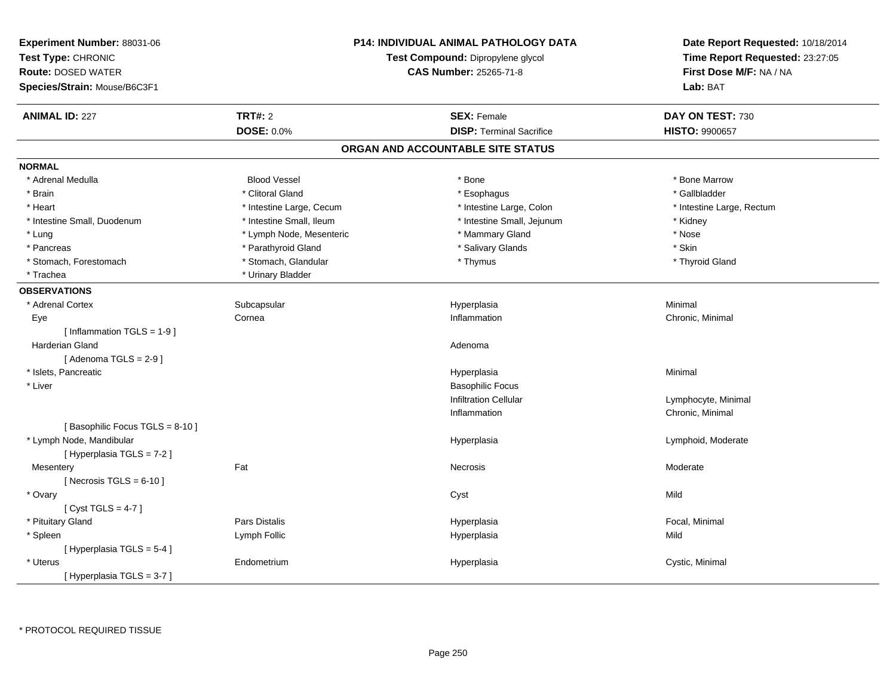| Experiment Number: 88031-06<br>Test Type: CHRONIC<br><b>Route: DOSED WATER</b><br>Species/Strain: Mouse/B6C3F1 |                          | <b>P14: INDIVIDUAL ANIMAL PATHOLOGY DATA</b><br>Test Compound: Dipropylene glycol<br><b>CAS Number: 25265-71-8</b> | Date Report Requested: 10/18/2014<br>Time Report Requested: 23:27:05<br>First Dose M/F: NA / NA<br>Lab: BAT |  |
|----------------------------------------------------------------------------------------------------------------|--------------------------|--------------------------------------------------------------------------------------------------------------------|-------------------------------------------------------------------------------------------------------------|--|
| <b>ANIMAL ID: 227</b>                                                                                          | <b>TRT#: 2</b>           | <b>SEX: Female</b>                                                                                                 | DAY ON TEST: 730                                                                                            |  |
|                                                                                                                | <b>DOSE: 0.0%</b>        | <b>DISP: Terminal Sacrifice</b>                                                                                    | <b>HISTO: 9900657</b>                                                                                       |  |
|                                                                                                                |                          | ORGAN AND ACCOUNTABLE SITE STATUS                                                                                  |                                                                                                             |  |
| <b>NORMAL</b>                                                                                                  |                          |                                                                                                                    |                                                                                                             |  |
| * Adrenal Medulla                                                                                              | <b>Blood Vessel</b>      | * Bone                                                                                                             | * Bone Marrow                                                                                               |  |
| * Brain                                                                                                        | * Clitoral Gland         | * Esophagus                                                                                                        | * Gallbladder                                                                                               |  |
| * Heart                                                                                                        | * Intestine Large, Cecum | * Intestine Large, Colon                                                                                           | * Intestine Large, Rectum                                                                                   |  |
| * Intestine Small, Duodenum                                                                                    | * Intestine Small, Ileum | * Intestine Small, Jejunum                                                                                         | * Kidney                                                                                                    |  |
| * Lung                                                                                                         | * Lymph Node, Mesenteric | * Mammary Gland                                                                                                    | * Nose                                                                                                      |  |
| * Pancreas                                                                                                     | * Parathyroid Gland      | * Salivary Glands                                                                                                  | * Skin                                                                                                      |  |
| * Stomach, Forestomach                                                                                         | * Stomach, Glandular     | * Thymus                                                                                                           | * Thyroid Gland                                                                                             |  |
| * Trachea                                                                                                      | * Urinary Bladder        |                                                                                                                    |                                                                                                             |  |
| <b>OBSERVATIONS</b>                                                                                            |                          |                                                                                                                    |                                                                                                             |  |
| * Adrenal Cortex                                                                                               | Subcapsular              | Hyperplasia                                                                                                        | Minimal                                                                                                     |  |
| Eye                                                                                                            | Cornea                   | Inflammation                                                                                                       | Chronic, Minimal                                                                                            |  |
| [Inflammation TGLS = $1-9$ ]                                                                                   |                          |                                                                                                                    |                                                                                                             |  |
| <b>Harderian Gland</b>                                                                                         |                          | Adenoma                                                                                                            |                                                                                                             |  |
| [Adenoma TGLS = $2-9$ ]                                                                                        |                          |                                                                                                                    |                                                                                                             |  |
| * Islets, Pancreatic                                                                                           |                          | Hyperplasia                                                                                                        | Minimal                                                                                                     |  |
| * Liver                                                                                                        |                          | <b>Basophilic Focus</b>                                                                                            |                                                                                                             |  |
|                                                                                                                |                          | <b>Infiltration Cellular</b>                                                                                       | Lymphocyte, Minimal                                                                                         |  |
|                                                                                                                |                          | Inflammation                                                                                                       | Chronic, Minimal                                                                                            |  |
| [Basophilic Focus TGLS = 8-10]                                                                                 |                          |                                                                                                                    |                                                                                                             |  |
| * Lymph Node, Mandibular                                                                                       |                          | Hyperplasia                                                                                                        | Lymphoid, Moderate                                                                                          |  |
| [ Hyperplasia TGLS = 7-2 ]                                                                                     |                          |                                                                                                                    |                                                                                                             |  |
| Mesentery                                                                                                      | Fat                      | Necrosis                                                                                                           | Moderate                                                                                                    |  |
| [ Necrosis TGLS = $6-10$ ]                                                                                     |                          |                                                                                                                    |                                                                                                             |  |
| * Ovary                                                                                                        |                          | Cyst                                                                                                               | Mild                                                                                                        |  |
| [Cyst TGLS = $4-7$ ]                                                                                           |                          |                                                                                                                    |                                                                                                             |  |
| * Pituitary Gland                                                                                              | <b>Pars Distalis</b>     | Hyperplasia                                                                                                        | Focal, Minimal                                                                                              |  |
| * Spleen                                                                                                       | Lymph Follic             | Hyperplasia                                                                                                        | Mild                                                                                                        |  |
| [Hyperplasia TGLS = 5-4]                                                                                       |                          |                                                                                                                    |                                                                                                             |  |
| * Uterus                                                                                                       | Endometrium              | Hyperplasia                                                                                                        | Cystic, Minimal                                                                                             |  |
| [Hyperplasia TGLS = 3-7]                                                                                       |                          |                                                                                                                    |                                                                                                             |  |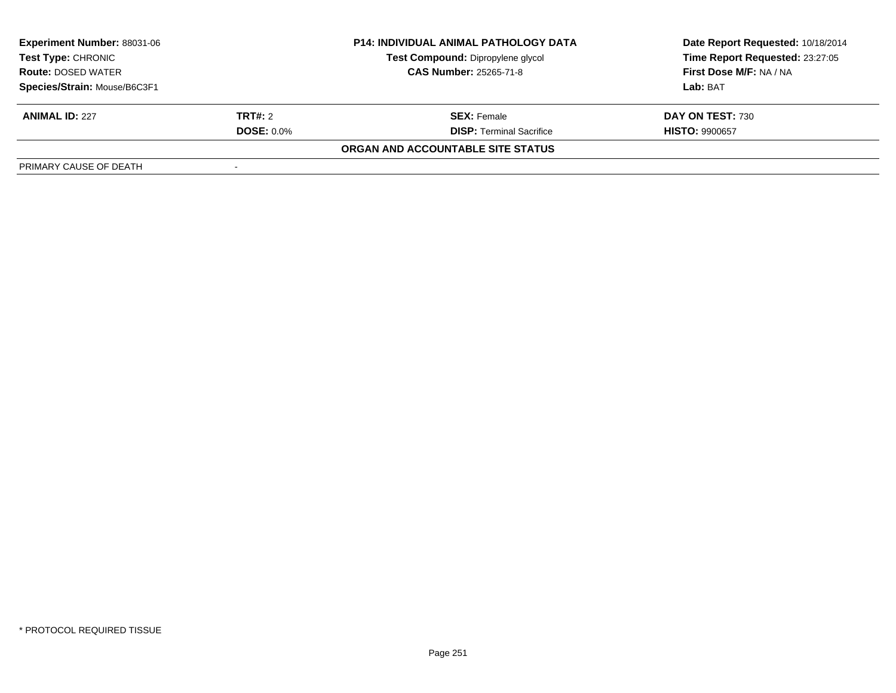| <b>Experiment Number: 88031-06</b> |                   | <b>P14: INDIVIDUAL ANIMAL PATHOLOGY DATA</b> | Date Report Requested: 10/18/2014 |  |
|------------------------------------|-------------------|----------------------------------------------|-----------------------------------|--|
| <b>Test Type: CHRONIC</b>          |                   | Test Compound: Dipropylene glycol            | Time Report Requested: 23:27:05   |  |
| <b>Route: DOSED WATER</b>          |                   | <b>CAS Number: 25265-71-8</b>                | First Dose M/F: NA / NA           |  |
| Species/Strain: Mouse/B6C3F1       |                   |                                              | Lab: BAT                          |  |
| <b>ANIMAL ID: 227</b>              | <b>TRT#:</b> 2    | <b>SEX: Female</b>                           | DAY ON TEST: 730                  |  |
|                                    | <b>DOSE: 0.0%</b> | <b>DISP:</b> Terminal Sacrifice              | <b>HISTO: 9900657</b>             |  |
|                                    |                   | ORGAN AND ACCOUNTABLE SITE STATUS            |                                   |  |
| PRIMARY CAUSE OF DEATH             |                   |                                              |                                   |  |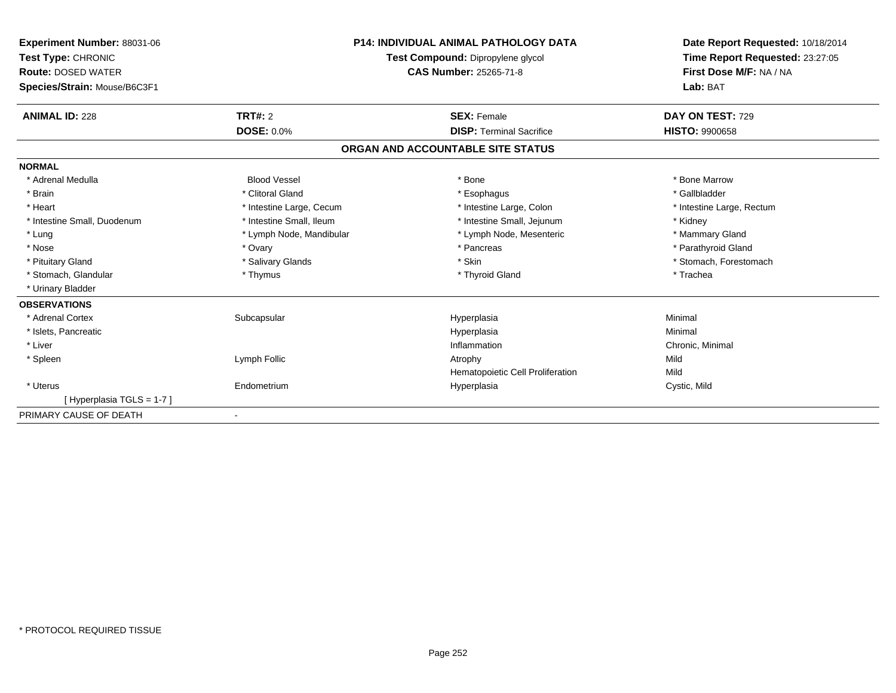| Experiment Number: 88031-06<br>Test Type: CHRONIC<br><b>Route: DOSED WATER</b><br>Species/Strain: Mouse/B6C3F1 | <b>P14: INDIVIDUAL ANIMAL PATHOLOGY DATA</b><br>Test Compound: Dipropylene glycol<br><b>CAS Number: 25265-71-8</b> |                                   | Date Report Requested: 10/18/2014<br>Time Report Requested: 23:27:05<br>First Dose M/F: NA / NA<br>Lab: BAT |  |
|----------------------------------------------------------------------------------------------------------------|--------------------------------------------------------------------------------------------------------------------|-----------------------------------|-------------------------------------------------------------------------------------------------------------|--|
| <b>ANIMAL ID: 228</b>                                                                                          | TRT#: 2                                                                                                            | <b>SEX: Female</b>                | DAY ON TEST: 729                                                                                            |  |
|                                                                                                                | <b>DOSE: 0.0%</b>                                                                                                  | <b>DISP: Terminal Sacrifice</b>   | <b>HISTO: 9900658</b>                                                                                       |  |
|                                                                                                                |                                                                                                                    | ORGAN AND ACCOUNTABLE SITE STATUS |                                                                                                             |  |
| <b>NORMAL</b>                                                                                                  |                                                                                                                    |                                   |                                                                                                             |  |
| * Adrenal Medulla                                                                                              | <b>Blood Vessel</b>                                                                                                | * Bone                            | * Bone Marrow                                                                                               |  |
| * Brain                                                                                                        | * Clitoral Gland                                                                                                   | * Esophagus                       | * Gallbladder                                                                                               |  |
| * Heart                                                                                                        | * Intestine Large, Cecum                                                                                           | * Intestine Large, Colon          | * Intestine Large, Rectum                                                                                   |  |
| * Intestine Small, Duodenum                                                                                    | * Intestine Small, Ileum                                                                                           | * Intestine Small, Jejunum        | * Kidney                                                                                                    |  |
| * Lung                                                                                                         | * Lymph Node, Mandibular                                                                                           | * Lymph Node, Mesenteric          | * Mammary Gland                                                                                             |  |
| * Nose                                                                                                         | * Ovary                                                                                                            | * Pancreas                        | * Parathyroid Gland                                                                                         |  |
| * Pituitary Gland                                                                                              | * Salivary Glands                                                                                                  | * Skin                            | * Stomach, Forestomach                                                                                      |  |
| * Stomach, Glandular                                                                                           | * Thymus                                                                                                           | * Thyroid Gland                   | * Trachea                                                                                                   |  |
| * Urinary Bladder                                                                                              |                                                                                                                    |                                   |                                                                                                             |  |
| <b>OBSERVATIONS</b>                                                                                            |                                                                                                                    |                                   |                                                                                                             |  |
| * Adrenal Cortex                                                                                               | Subcapsular                                                                                                        | Hyperplasia                       | Minimal                                                                                                     |  |
| * Islets, Pancreatic                                                                                           |                                                                                                                    | Hyperplasia                       | Minimal                                                                                                     |  |
| * Liver                                                                                                        |                                                                                                                    | Inflammation                      | Chronic, Minimal                                                                                            |  |
| * Spleen                                                                                                       | Lymph Follic                                                                                                       | Atrophy                           | Mild                                                                                                        |  |
|                                                                                                                |                                                                                                                    | Hematopoietic Cell Proliferation  | Mild                                                                                                        |  |
| * Uterus                                                                                                       | Endometrium                                                                                                        | Hyperplasia                       | Cystic, Mild                                                                                                |  |
| [Hyperplasia TGLS = $1-7$ ]                                                                                    |                                                                                                                    |                                   |                                                                                                             |  |
| PRIMARY CAUSE OF DEATH                                                                                         |                                                                                                                    |                                   |                                                                                                             |  |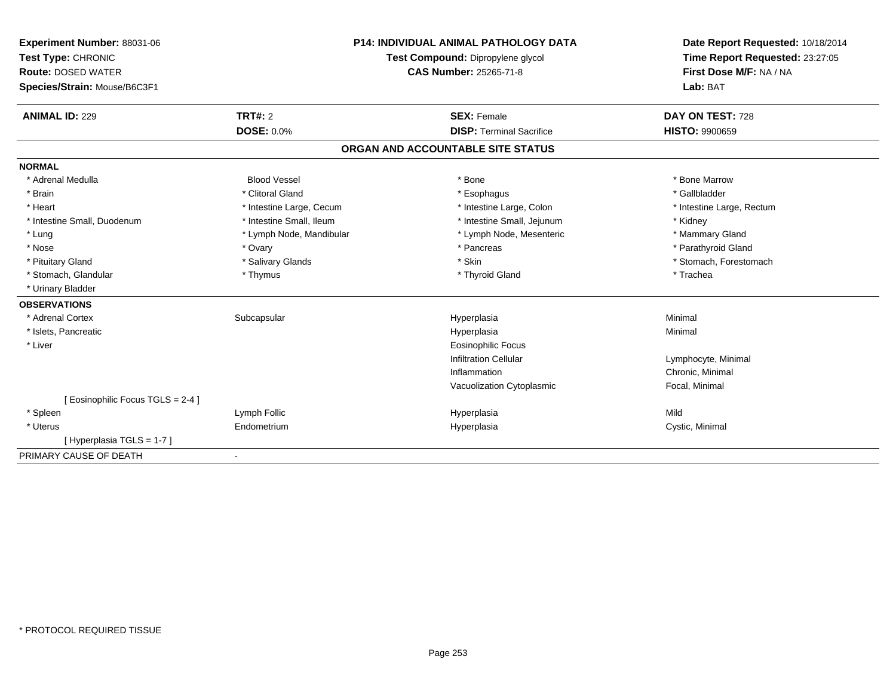| Experiment Number: 88031-06<br>Test Type: CHRONIC<br><b>Route: DOSED WATER</b><br>Species/Strain: Mouse/B6C3F1 |                          | <b>P14: INDIVIDUAL ANIMAL PATHOLOGY DATA</b><br>Test Compound: Dipropylene glycol<br><b>CAS Number: 25265-71-8</b> | Date Report Requested: 10/18/2014<br>Time Report Requested: 23:27:05<br>First Dose M/F: NA / NA<br>Lab: BAT |
|----------------------------------------------------------------------------------------------------------------|--------------------------|--------------------------------------------------------------------------------------------------------------------|-------------------------------------------------------------------------------------------------------------|
|                                                                                                                |                          |                                                                                                                    |                                                                                                             |
| <b>ANIMAL ID: 229</b>                                                                                          | <b>TRT#: 2</b>           | <b>SEX: Female</b>                                                                                                 | DAY ON TEST: 728                                                                                            |
|                                                                                                                | <b>DOSE: 0.0%</b>        | <b>DISP: Terminal Sacrifice</b>                                                                                    | <b>HISTO: 9900659</b>                                                                                       |
|                                                                                                                |                          | ORGAN AND ACCOUNTABLE SITE STATUS                                                                                  |                                                                                                             |
| <b>NORMAL</b>                                                                                                  |                          |                                                                                                                    |                                                                                                             |
| * Adrenal Medulla                                                                                              | <b>Blood Vessel</b>      | * Bone                                                                                                             | * Bone Marrow                                                                                               |
| * Brain                                                                                                        | * Clitoral Gland         | * Esophagus                                                                                                        | * Gallbladder                                                                                               |
| * Heart                                                                                                        | * Intestine Large, Cecum | * Intestine Large, Colon                                                                                           | * Intestine Large, Rectum                                                                                   |
| * Intestine Small, Duodenum                                                                                    | * Intestine Small, Ileum | * Intestine Small, Jejunum                                                                                         | * Kidney                                                                                                    |
| * Lung                                                                                                         | * Lymph Node, Mandibular | * Lymph Node, Mesenteric                                                                                           | * Mammary Gland                                                                                             |
| * Nose                                                                                                         | * Ovary                  | * Pancreas                                                                                                         | * Parathyroid Gland                                                                                         |
| * Pituitary Gland                                                                                              | * Salivary Glands        | * Skin                                                                                                             | * Stomach, Forestomach                                                                                      |
| * Stomach, Glandular                                                                                           | * Thymus                 | * Thyroid Gland                                                                                                    | * Trachea                                                                                                   |
| * Urinary Bladder                                                                                              |                          |                                                                                                                    |                                                                                                             |
| <b>OBSERVATIONS</b>                                                                                            |                          |                                                                                                                    |                                                                                                             |
| * Adrenal Cortex                                                                                               | Subcapsular              | Hyperplasia                                                                                                        | Minimal                                                                                                     |
| * Islets, Pancreatic                                                                                           |                          | Hyperplasia                                                                                                        | Minimal                                                                                                     |
| * Liver                                                                                                        |                          | <b>Eosinophilic Focus</b>                                                                                          |                                                                                                             |
|                                                                                                                |                          | <b>Infiltration Cellular</b>                                                                                       | Lymphocyte, Minimal                                                                                         |
|                                                                                                                |                          | Inflammation                                                                                                       | Chronic, Minimal                                                                                            |
|                                                                                                                |                          | Vacuolization Cytoplasmic                                                                                          | Focal, Minimal                                                                                              |
| [ Eosinophilic Focus TGLS = 2-4 ]                                                                              |                          |                                                                                                                    |                                                                                                             |
| * Spleen                                                                                                       | Lymph Follic             | Hyperplasia                                                                                                        | Mild                                                                                                        |
| * Uterus                                                                                                       | Endometrium              | Hyperplasia                                                                                                        | Cystic, Minimal                                                                                             |
| [Hyperplasia TGLS = 1-7]                                                                                       |                          |                                                                                                                    |                                                                                                             |
| PRIMARY CAUSE OF DEATH                                                                                         |                          |                                                                                                                    |                                                                                                             |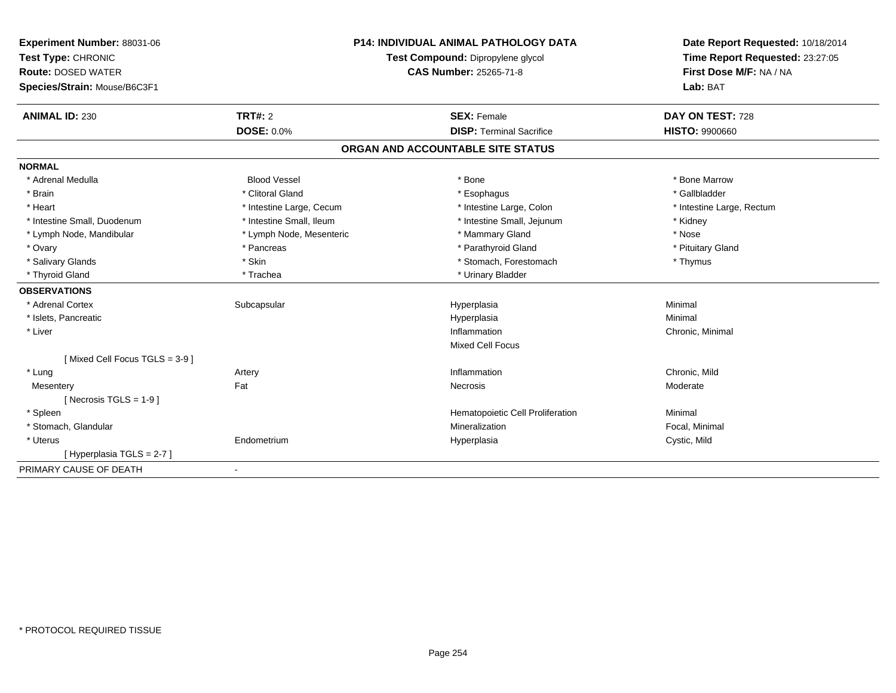| Experiment Number: 88031-06<br>Test Type: CHRONIC<br><b>Route: DOSED WATER</b><br>Species/Strain: Mouse/B6C3F1<br><b>ANIMAL ID: 230</b> | <b>TRT#: 2</b>           | <b>P14: INDIVIDUAL ANIMAL PATHOLOGY DATA</b><br>Test Compound: Dipropylene glycol<br>CAS Number: 25265-71-8<br><b>SEX: Female</b> | Date Report Requested: 10/18/2014<br>Time Report Requested: 23:27:05<br>First Dose M/F: NA / NA<br>Lab: BAT<br>DAY ON TEST: 728 |
|-----------------------------------------------------------------------------------------------------------------------------------------|--------------------------|-----------------------------------------------------------------------------------------------------------------------------------|---------------------------------------------------------------------------------------------------------------------------------|
|                                                                                                                                         | <b>DOSE: 0.0%</b>        | <b>DISP: Terminal Sacrifice</b>                                                                                                   | <b>HISTO: 9900660</b>                                                                                                           |
|                                                                                                                                         |                          | ORGAN AND ACCOUNTABLE SITE STATUS                                                                                                 |                                                                                                                                 |
| <b>NORMAL</b>                                                                                                                           |                          |                                                                                                                                   |                                                                                                                                 |
| * Adrenal Medulla                                                                                                                       | <b>Blood Vessel</b>      | * Bone                                                                                                                            | * Bone Marrow                                                                                                                   |
| * Brain                                                                                                                                 | * Clitoral Gland         | * Esophagus                                                                                                                       | * Gallbladder                                                                                                                   |
| * Heart                                                                                                                                 | * Intestine Large, Cecum | * Intestine Large, Colon                                                                                                          | * Intestine Large, Rectum                                                                                                       |
| * Intestine Small, Duodenum                                                                                                             | * Intestine Small, Ileum | * Intestine Small, Jejunum                                                                                                        | * Kidney                                                                                                                        |
| * Lymph Node, Mandibular                                                                                                                | * Lymph Node, Mesenteric | * Mammary Gland                                                                                                                   | * Nose                                                                                                                          |
| * Ovary                                                                                                                                 | * Pancreas               | * Parathyroid Gland                                                                                                               | * Pituitary Gland                                                                                                               |
| * Salivary Glands                                                                                                                       | * Skin                   | * Stomach, Forestomach                                                                                                            | * Thymus                                                                                                                        |
| * Thyroid Gland                                                                                                                         | * Trachea                | * Urinary Bladder                                                                                                                 |                                                                                                                                 |
| <b>OBSERVATIONS</b>                                                                                                                     |                          |                                                                                                                                   |                                                                                                                                 |
| * Adrenal Cortex                                                                                                                        | Subcapsular              | Hyperplasia                                                                                                                       | Minimal                                                                                                                         |
| * Islets, Pancreatic                                                                                                                    |                          | Hyperplasia                                                                                                                       | Minimal                                                                                                                         |
| * Liver                                                                                                                                 |                          | Inflammation                                                                                                                      | Chronic, Minimal                                                                                                                |
|                                                                                                                                         |                          | <b>Mixed Cell Focus</b>                                                                                                           |                                                                                                                                 |
| [Mixed Cell Focus TGLS = 3-9]                                                                                                           |                          |                                                                                                                                   |                                                                                                                                 |
| * Lung                                                                                                                                  | Artery                   | Inflammation                                                                                                                      | Chronic, Mild                                                                                                                   |
| Mesentery                                                                                                                               | Fat                      | Necrosis                                                                                                                          | Moderate                                                                                                                        |
| [ Necrosis TGLS = $1-9$ ]                                                                                                               |                          |                                                                                                                                   |                                                                                                                                 |
| * Spleen                                                                                                                                |                          | Hematopoietic Cell Proliferation                                                                                                  | Minimal                                                                                                                         |
| * Stomach, Glandular                                                                                                                    |                          | Mineralization                                                                                                                    | Focal, Minimal                                                                                                                  |
| * Uterus                                                                                                                                | Endometrium              | Hyperplasia                                                                                                                       | Cystic, Mild                                                                                                                    |
| [Hyperplasia TGLS = 2-7]                                                                                                                |                          |                                                                                                                                   |                                                                                                                                 |
| PRIMARY CAUSE OF DEATH                                                                                                                  | $\blacksquare$           |                                                                                                                                   |                                                                                                                                 |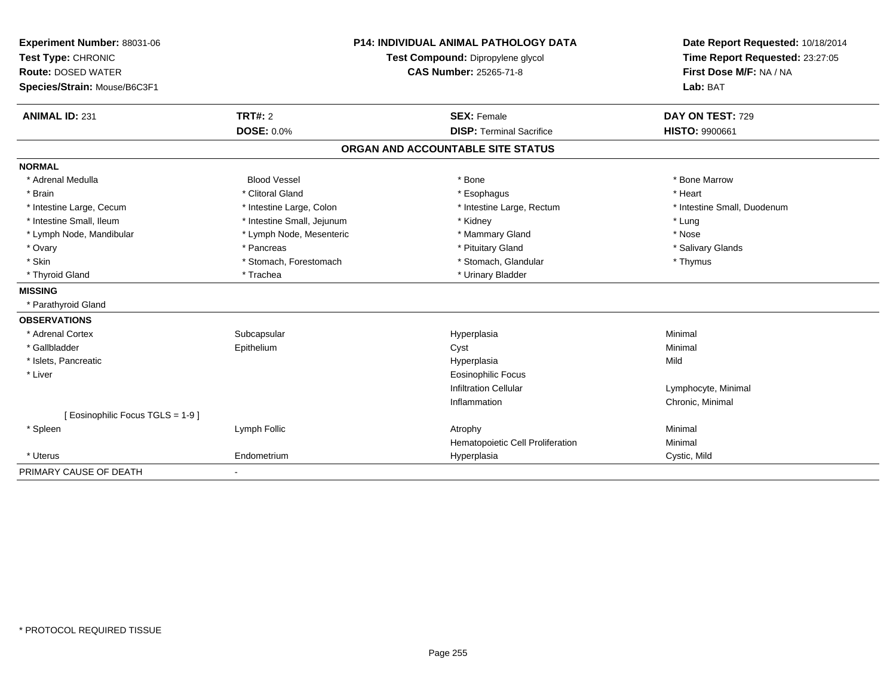| Experiment Number: 88031-06     | <b>P14: INDIVIDUAL ANIMAL PATHOLOGY DATA</b><br>Test Compound: Dipropylene glycol |                                   | Date Report Requested: 10/18/2014 |
|---------------------------------|-----------------------------------------------------------------------------------|-----------------------------------|-----------------------------------|
| Test Type: CHRONIC              |                                                                                   |                                   | Time Report Requested: 23:27:05   |
| <b>Route: DOSED WATER</b>       |                                                                                   | <b>CAS Number: 25265-71-8</b>     | First Dose M/F: NA / NA           |
| Species/Strain: Mouse/B6C3F1    |                                                                                   |                                   | Lab: BAT                          |
| <b>ANIMAL ID: 231</b>           | <b>TRT#: 2</b>                                                                    | <b>SEX: Female</b>                | DAY ON TEST: 729                  |
|                                 | <b>DOSE: 0.0%</b>                                                                 | <b>DISP: Terminal Sacrifice</b>   | <b>HISTO: 9900661</b>             |
|                                 |                                                                                   |                                   |                                   |
|                                 |                                                                                   | ORGAN AND ACCOUNTABLE SITE STATUS |                                   |
| <b>NORMAL</b>                   |                                                                                   |                                   |                                   |
| * Adrenal Medulla               | <b>Blood Vessel</b>                                                               | * Bone                            | * Bone Marrow                     |
| * Brain                         | * Clitoral Gland                                                                  | * Esophagus                       | * Heart                           |
| * Intestine Large, Cecum        | * Intestine Large, Colon                                                          | * Intestine Large, Rectum         | * Intestine Small, Duodenum       |
| * Intestine Small, Ileum        | * Intestine Small, Jejunum                                                        | * Kidney                          | * Lung                            |
| * Lymph Node, Mandibular        | * Lymph Node, Mesenteric                                                          | * Mammary Gland                   | * Nose                            |
| * Ovary                         | * Pancreas                                                                        | * Pituitary Gland                 | * Salivary Glands                 |
| * Skin                          | * Stomach, Forestomach                                                            | * Stomach, Glandular              | * Thymus                          |
| * Thyroid Gland                 | * Trachea                                                                         | * Urinary Bladder                 |                                   |
| <b>MISSING</b>                  |                                                                                   |                                   |                                   |
| * Parathyroid Gland             |                                                                                   |                                   |                                   |
| <b>OBSERVATIONS</b>             |                                                                                   |                                   |                                   |
| * Adrenal Cortex                | Subcapsular                                                                       | Hyperplasia                       | Minimal                           |
| * Gallbladder                   | Epithelium                                                                        | Cyst                              | Minimal                           |
| * Islets, Pancreatic            |                                                                                   | Hyperplasia                       | Mild                              |
| * Liver                         |                                                                                   | <b>Eosinophilic Focus</b>         |                                   |
|                                 |                                                                                   | <b>Infiltration Cellular</b>      | Lymphocyte, Minimal               |
|                                 |                                                                                   | Inflammation                      | Chronic, Minimal                  |
| [Eosinophilic Focus TGLS = 1-9] |                                                                                   |                                   |                                   |
| * Spleen                        | Lymph Follic                                                                      | Atrophy                           | Minimal                           |
|                                 |                                                                                   | Hematopoietic Cell Proliferation  | Minimal                           |
| * Uterus                        | Endometrium                                                                       | Hyperplasia                       | Cystic, Mild                      |
| PRIMARY CAUSE OF DEATH          | $\overline{\phantom{a}}$                                                          |                                   |                                   |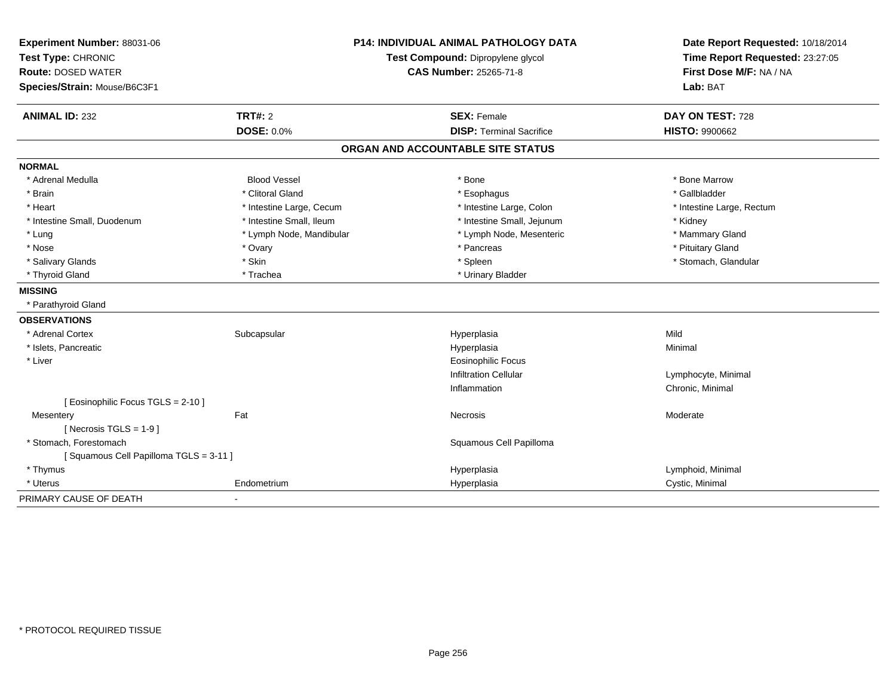| Experiment Number: 88031-06           | <b>P14: INDIVIDUAL ANIMAL PATHOLOGY DATA</b> |                                   | Date Report Requested: 10/18/2014 |
|---------------------------------------|----------------------------------------------|-----------------------------------|-----------------------------------|
| Test Type: CHRONIC                    |                                              | Test Compound: Dipropylene glycol | Time Report Requested: 23:27:05   |
| <b>Route: DOSED WATER</b>             |                                              | CAS Number: 25265-71-8            | First Dose M/F: NA / NA           |
| Species/Strain: Mouse/B6C3F1          |                                              |                                   | Lab: BAT                          |
| <b>ANIMAL ID: 232</b>                 | <b>TRT#: 2</b>                               | <b>SEX: Female</b>                | DAY ON TEST: 728                  |
|                                       | <b>DOSE: 0.0%</b>                            | <b>DISP: Terminal Sacrifice</b>   | <b>HISTO: 9900662</b>             |
|                                       |                                              | ORGAN AND ACCOUNTABLE SITE STATUS |                                   |
| <b>NORMAL</b>                         |                                              |                                   |                                   |
| * Adrenal Medulla                     | <b>Blood Vessel</b>                          | * Bone                            | * Bone Marrow                     |
| * Brain                               | * Clitoral Gland                             | * Esophagus                       | * Gallbladder                     |
| * Heart                               | * Intestine Large, Cecum                     | * Intestine Large, Colon          | * Intestine Large, Rectum         |
| * Intestine Small, Duodenum           | * Intestine Small, Ileum                     | * Intestine Small, Jejunum        | * Kidney                          |
| * Lung                                | * Lymph Node, Mandibular                     | * Lymph Node, Mesenteric          | * Mammary Gland                   |
| * Nose                                | * Ovary                                      | * Pancreas                        | * Pituitary Gland                 |
| * Salivary Glands                     | * Skin                                       | * Spleen                          | * Stomach, Glandular              |
| * Thyroid Gland                       | * Trachea                                    | * Urinary Bladder                 |                                   |
| <b>MISSING</b>                        |                                              |                                   |                                   |
| * Parathyroid Gland                   |                                              |                                   |                                   |
| <b>OBSERVATIONS</b>                   |                                              |                                   |                                   |
| * Adrenal Cortex                      | Subcapsular                                  | Hyperplasia                       | Mild                              |
| * Islets, Pancreatic                  |                                              | Hyperplasia                       | Minimal                           |
| * Liver                               |                                              | <b>Eosinophilic Focus</b>         |                                   |
|                                       |                                              | <b>Infiltration Cellular</b>      | Lymphocyte, Minimal               |
|                                       |                                              | Inflammation                      | Chronic, Minimal                  |
| [ Eosinophilic Focus TGLS = 2-10 ]    |                                              |                                   |                                   |
| Mesentery                             | Fat                                          | Necrosis                          | Moderate                          |
| [ Necrosis $TGLS = 1-9$ ]             |                                              |                                   |                                   |
| * Stomach, Forestomach                |                                              | Squamous Cell Papilloma           |                                   |
| [Squamous Cell Papilloma TGLS = 3-11] |                                              |                                   |                                   |
| * Thymus                              |                                              | Hyperplasia                       | Lymphoid, Minimal                 |
| * Uterus                              | Endometrium                                  | Hyperplasia                       | Cystic, Minimal                   |
| PRIMARY CAUSE OF DEATH                | $\blacksquare$                               |                                   |                                   |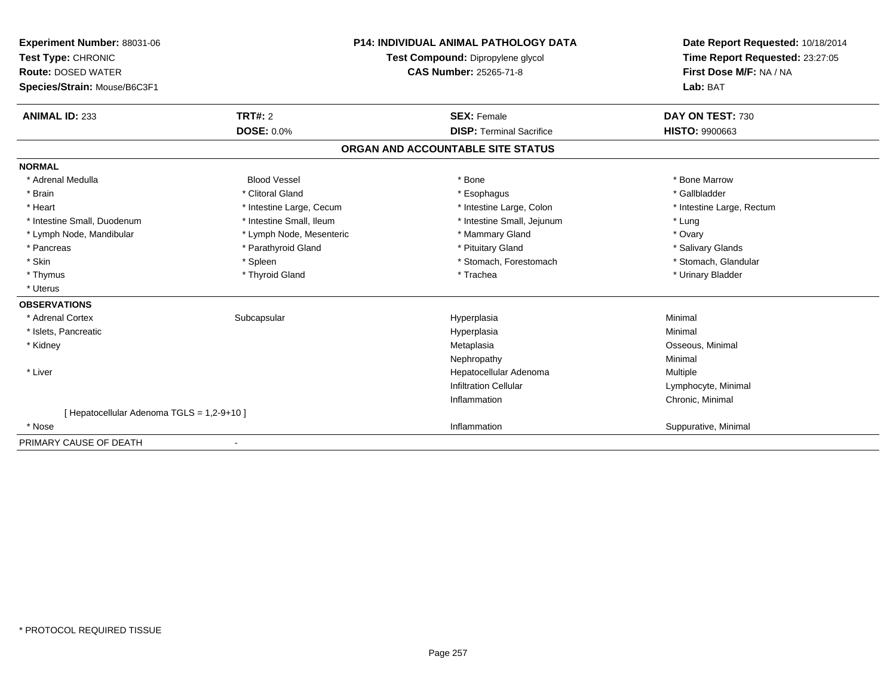| Experiment Number: 88031-06<br>Test Type: CHRONIC<br><b>Route: DOSED WATER</b><br>Species/Strain: Mouse/B6C3F1 | <b>P14: INDIVIDUAL ANIMAL PATHOLOGY DATA</b><br>Test Compound: Dipropylene glycol<br><b>CAS Number: 25265-71-8</b> |                                   | Date Report Requested: 10/18/2014<br>Time Report Requested: 23:27:05<br>First Dose M/F: NA / NA<br>Lab: BAT |
|----------------------------------------------------------------------------------------------------------------|--------------------------------------------------------------------------------------------------------------------|-----------------------------------|-------------------------------------------------------------------------------------------------------------|
| <b>ANIMAL ID: 233</b>                                                                                          | TRT#: 2                                                                                                            | <b>SEX: Female</b>                | DAY ON TEST: 730                                                                                            |
|                                                                                                                | DOSE: 0.0%                                                                                                         | <b>DISP: Terminal Sacrifice</b>   | <b>HISTO: 9900663</b>                                                                                       |
|                                                                                                                |                                                                                                                    | ORGAN AND ACCOUNTABLE SITE STATUS |                                                                                                             |
| <b>NORMAL</b>                                                                                                  |                                                                                                                    |                                   |                                                                                                             |
| * Adrenal Medulla                                                                                              | <b>Blood Vessel</b>                                                                                                | * Bone                            | * Bone Marrow                                                                                               |
| * Brain                                                                                                        | * Clitoral Gland                                                                                                   | * Esophagus                       | * Gallbladder                                                                                               |
| * Heart                                                                                                        | * Intestine Large, Cecum                                                                                           | * Intestine Large, Colon          | * Intestine Large, Rectum                                                                                   |
| * Intestine Small, Duodenum                                                                                    | * Intestine Small, Ileum                                                                                           | * Intestine Small, Jejunum        | * Lung                                                                                                      |
| * Lymph Node, Mandibular                                                                                       | * Lymph Node, Mesenteric                                                                                           | * Mammary Gland                   | * Ovary                                                                                                     |
| * Pancreas                                                                                                     | * Parathyroid Gland                                                                                                | * Pituitary Gland                 | * Salivary Glands                                                                                           |
| * Skin                                                                                                         | * Spleen                                                                                                           | * Stomach, Forestomach            | * Stomach, Glandular                                                                                        |
| * Thymus                                                                                                       | * Thyroid Gland                                                                                                    | * Trachea                         | * Urinary Bladder                                                                                           |
| * Uterus                                                                                                       |                                                                                                                    |                                   |                                                                                                             |
| <b>OBSERVATIONS</b>                                                                                            |                                                                                                                    |                                   |                                                                                                             |
| * Adrenal Cortex                                                                                               | Subcapsular                                                                                                        | Hyperplasia                       | Minimal                                                                                                     |
| * Islets, Pancreatic                                                                                           |                                                                                                                    | Hyperplasia                       | Minimal                                                                                                     |
| * Kidney                                                                                                       |                                                                                                                    | Metaplasia                        | Osseous, Minimal                                                                                            |
|                                                                                                                |                                                                                                                    | Nephropathy                       | Minimal                                                                                                     |
| * Liver                                                                                                        |                                                                                                                    | Hepatocellular Adenoma            | Multiple                                                                                                    |
|                                                                                                                |                                                                                                                    | <b>Infiltration Cellular</b>      | Lymphocyte, Minimal                                                                                         |
|                                                                                                                |                                                                                                                    | Inflammation                      | Chronic, Minimal                                                                                            |
| [ Hepatocellular Adenoma TGLS = 1,2-9+10 ]                                                                     |                                                                                                                    |                                   |                                                                                                             |
| * Nose                                                                                                         |                                                                                                                    | Inflammation                      | Suppurative, Minimal                                                                                        |
| PRIMARY CAUSE OF DEATH                                                                                         |                                                                                                                    |                                   |                                                                                                             |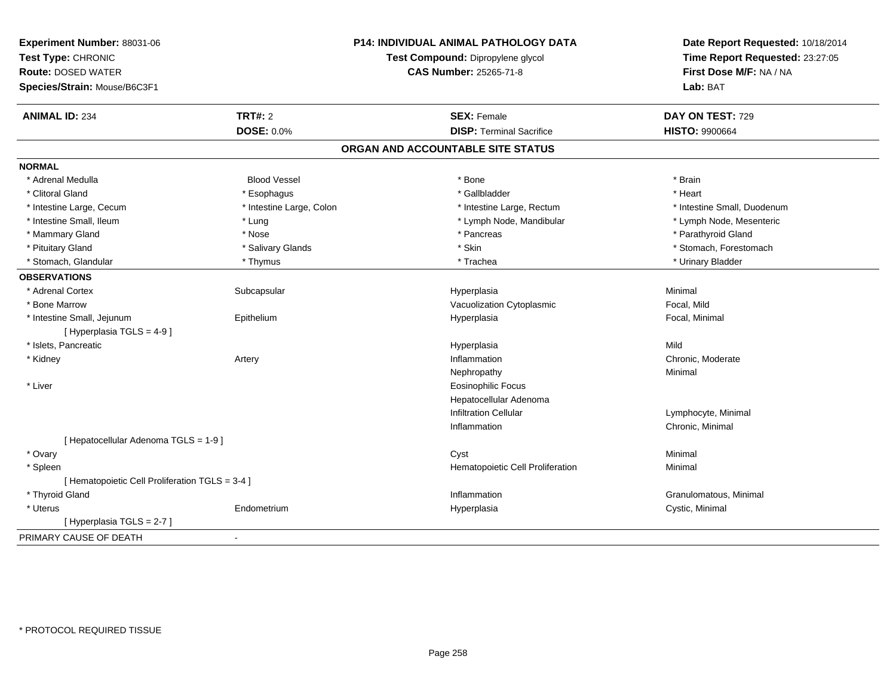| Experiment Number: 88031-06<br>Test Type: CHRONIC |                          | <b>P14: INDIVIDUAL ANIMAL PATHOLOGY DATA</b><br>Test Compound: Dipropylene glycol | Date Report Requested: 10/18/2014                          |
|---------------------------------------------------|--------------------------|-----------------------------------------------------------------------------------|------------------------------------------------------------|
| <b>Route: DOSED WATER</b>                         |                          | <b>CAS Number: 25265-71-8</b>                                                     | Time Report Requested: 23:27:05<br>First Dose M/F: NA / NA |
| Species/Strain: Mouse/B6C3F1                      |                          |                                                                                   | Lab: BAT                                                   |
|                                                   |                          |                                                                                   |                                                            |
| <b>ANIMAL ID: 234</b>                             | <b>TRT#: 2</b>           | <b>SEX: Female</b>                                                                | DAY ON TEST: 729                                           |
|                                                   | <b>DOSE: 0.0%</b>        | <b>DISP: Terminal Sacrifice</b>                                                   | <b>HISTO: 9900664</b>                                      |
|                                                   |                          | ORGAN AND ACCOUNTABLE SITE STATUS                                                 |                                                            |
| <b>NORMAL</b>                                     |                          |                                                                                   |                                                            |
| * Adrenal Medulla                                 | <b>Blood Vessel</b>      | * Bone                                                                            | * Brain                                                    |
| * Clitoral Gland                                  | * Esophagus              | * Gallbladder                                                                     | * Heart                                                    |
| * Intestine Large, Cecum                          | * Intestine Large, Colon | * Intestine Large, Rectum                                                         | * Intestine Small, Duodenum                                |
| * Intestine Small, Ileum                          | * Lung                   | * Lymph Node, Mandibular                                                          | * Lymph Node, Mesenteric                                   |
| * Mammary Gland                                   | * Nose                   | * Pancreas                                                                        | * Parathyroid Gland                                        |
| * Pituitary Gland                                 | * Salivary Glands        | * Skin                                                                            | * Stomach, Forestomach                                     |
| * Stomach, Glandular                              | * Thymus                 | * Trachea                                                                         | * Urinary Bladder                                          |
| <b>OBSERVATIONS</b>                               |                          |                                                                                   |                                                            |
| * Adrenal Cortex                                  | Subcapsular              | Hyperplasia                                                                       | Minimal                                                    |
| * Bone Marrow                                     |                          | Vacuolization Cytoplasmic                                                         | Focal, Mild                                                |
| * Intestine Small, Jejunum                        | Epithelium               | Hyperplasia                                                                       | Focal, Minimal                                             |
| [ Hyperplasia TGLS = 4-9 ]                        |                          |                                                                                   |                                                            |
| * Islets, Pancreatic                              |                          | Hyperplasia                                                                       | Mild                                                       |
| * Kidney                                          | Artery                   | Inflammation                                                                      | Chronic, Moderate                                          |
|                                                   |                          | Nephropathy                                                                       | Minimal                                                    |
| * Liver                                           |                          | <b>Eosinophilic Focus</b>                                                         |                                                            |
|                                                   |                          | Hepatocellular Adenoma                                                            |                                                            |
|                                                   |                          | <b>Infiltration Cellular</b>                                                      | Lymphocyte, Minimal                                        |
|                                                   |                          | Inflammation                                                                      | Chronic, Minimal                                           |
| [ Hepatocellular Adenoma TGLS = 1-9 ]             |                          |                                                                                   |                                                            |
| * Ovary                                           |                          | Cyst                                                                              | Minimal                                                    |
| * Spleen                                          |                          | Hematopoietic Cell Proliferation                                                  | Minimal                                                    |
| [ Hematopoietic Cell Proliferation TGLS = 3-4 ]   |                          |                                                                                   |                                                            |
| * Thyroid Gland                                   |                          | Inflammation                                                                      | Granulomatous, Minimal                                     |
| * Uterus                                          | Endometrium              | Hyperplasia                                                                       | Cystic, Minimal                                            |
| [Hyperplasia TGLS = 2-7]                          |                          |                                                                                   |                                                            |
| PRIMARY CAUSE OF DEATH                            | $\overline{a}$           |                                                                                   |                                                            |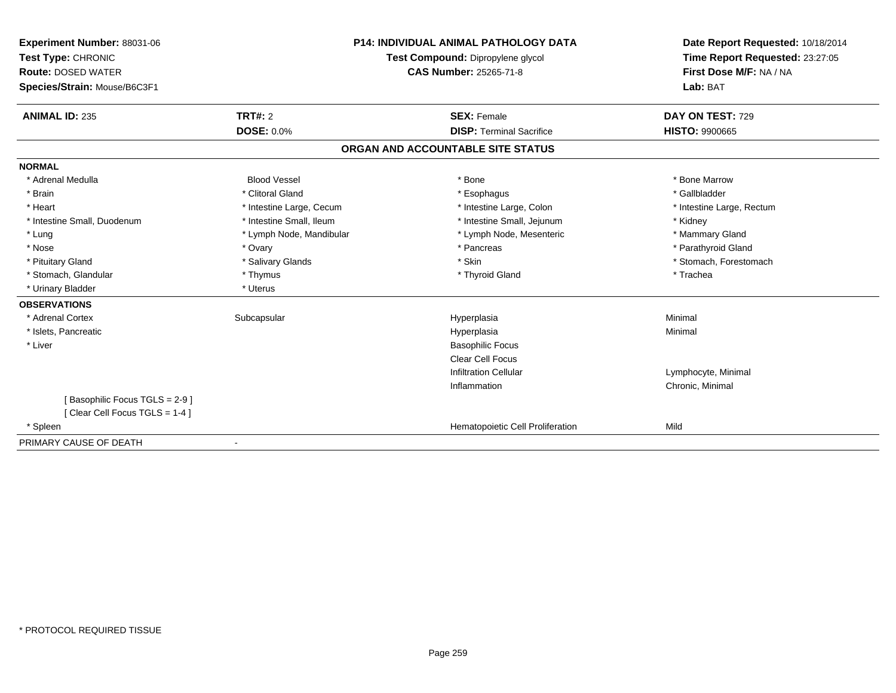| Experiment Number: 88031-06<br>Test Type: CHRONIC<br><b>Route: DOSED WATER</b><br>Species/Strain: Mouse/B6C3F1 | <b>P14: INDIVIDUAL ANIMAL PATHOLOGY DATA</b><br>Test Compound: Dipropylene glycol<br><b>CAS Number: 25265-71-8</b> |                                   | Date Report Requested: 10/18/2014<br>Time Report Requested: 23:27:05<br>First Dose M/F: NA / NA<br>Lab: BAT |
|----------------------------------------------------------------------------------------------------------------|--------------------------------------------------------------------------------------------------------------------|-----------------------------------|-------------------------------------------------------------------------------------------------------------|
| <b>ANIMAL ID: 235</b>                                                                                          | <b>TRT#: 2</b>                                                                                                     | <b>SEX: Female</b>                | DAY ON TEST: 729                                                                                            |
|                                                                                                                | <b>DOSE: 0.0%</b>                                                                                                  | <b>DISP: Terminal Sacrifice</b>   | <b>HISTO: 9900665</b>                                                                                       |
|                                                                                                                |                                                                                                                    | ORGAN AND ACCOUNTABLE SITE STATUS |                                                                                                             |
| <b>NORMAL</b>                                                                                                  |                                                                                                                    |                                   |                                                                                                             |
| * Adrenal Medulla                                                                                              | <b>Blood Vessel</b>                                                                                                | * Bone                            | * Bone Marrow                                                                                               |
| * Brain                                                                                                        | * Clitoral Gland                                                                                                   | * Esophagus                       | * Gallbladder                                                                                               |
| * Heart                                                                                                        | * Intestine Large, Cecum                                                                                           | * Intestine Large, Colon          | * Intestine Large, Rectum                                                                                   |
| * Intestine Small, Duodenum                                                                                    | * Intestine Small, Ileum                                                                                           | * Intestine Small, Jejunum        | * Kidney                                                                                                    |
| * Lung                                                                                                         | * Lymph Node, Mandibular                                                                                           | * Lymph Node, Mesenteric          | * Mammary Gland                                                                                             |
| * Nose                                                                                                         | * Ovary                                                                                                            | * Pancreas                        | * Parathyroid Gland                                                                                         |
| * Pituitary Gland                                                                                              | * Salivary Glands                                                                                                  | * Skin                            | * Stomach, Forestomach                                                                                      |
| * Stomach, Glandular                                                                                           | * Thymus                                                                                                           | * Thyroid Gland                   | * Trachea                                                                                                   |
| * Urinary Bladder                                                                                              | * Uterus                                                                                                           |                                   |                                                                                                             |
| <b>OBSERVATIONS</b>                                                                                            |                                                                                                                    |                                   |                                                                                                             |
| * Adrenal Cortex                                                                                               | Subcapsular                                                                                                        | Hyperplasia                       | Minimal                                                                                                     |
| * Islets, Pancreatic                                                                                           |                                                                                                                    | Hyperplasia                       | Minimal                                                                                                     |
| * Liver                                                                                                        |                                                                                                                    | <b>Basophilic Focus</b>           |                                                                                                             |
|                                                                                                                |                                                                                                                    | <b>Clear Cell Focus</b>           |                                                                                                             |
|                                                                                                                |                                                                                                                    | <b>Infiltration Cellular</b>      | Lymphocyte, Minimal                                                                                         |
|                                                                                                                |                                                                                                                    | Inflammation                      | Chronic, Minimal                                                                                            |
| [Basophilic Focus TGLS = 2-9]                                                                                  |                                                                                                                    |                                   |                                                                                                             |
| [Clear Cell Focus TGLS = 1-4]                                                                                  |                                                                                                                    |                                   |                                                                                                             |
| * Spleen                                                                                                       |                                                                                                                    | Hematopoietic Cell Proliferation  | Mild                                                                                                        |
| PRIMARY CAUSE OF DEATH                                                                                         | $\overline{\phantom{a}}$                                                                                           |                                   |                                                                                                             |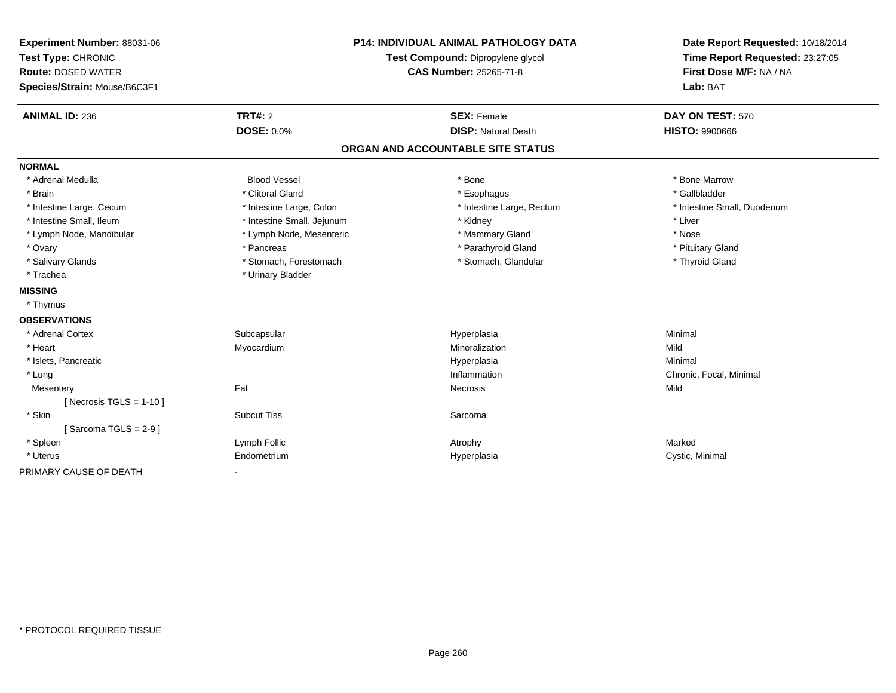| Experiment Number: 88031-06  | <b>P14: INDIVIDUAL ANIMAL PATHOLOGY DATA</b><br>Test Compound: Dipropylene glycol |                                   | Date Report Requested: 10/18/2014<br>Time Report Requested: 23:27:05 |  |
|------------------------------|-----------------------------------------------------------------------------------|-----------------------------------|----------------------------------------------------------------------|--|
| Test Type: CHRONIC           |                                                                                   |                                   |                                                                      |  |
| <b>Route: DOSED WATER</b>    |                                                                                   | <b>CAS Number: 25265-71-8</b>     | First Dose M/F: NA / NA                                              |  |
| Species/Strain: Mouse/B6C3F1 |                                                                                   |                                   | Lab: BAT                                                             |  |
| <b>ANIMAL ID: 236</b>        | <b>TRT#: 2</b>                                                                    | <b>SEX: Female</b>                | DAY ON TEST: 570                                                     |  |
|                              | <b>DOSE: 0.0%</b>                                                                 | <b>DISP: Natural Death</b>        | <b>HISTO: 9900666</b>                                                |  |
|                              |                                                                                   | ORGAN AND ACCOUNTABLE SITE STATUS |                                                                      |  |
| <b>NORMAL</b>                |                                                                                   |                                   |                                                                      |  |
| * Adrenal Medulla            | <b>Blood Vessel</b>                                                               | * Bone                            | * Bone Marrow                                                        |  |
| * Brain                      | * Clitoral Gland                                                                  | * Esophagus                       | * Gallbladder                                                        |  |
| * Intestine Large, Cecum     | * Intestine Large, Colon                                                          | * Intestine Large, Rectum         | * Intestine Small, Duodenum                                          |  |
| * Intestine Small, Ileum     | * Intestine Small, Jejunum                                                        | * Kidney                          | * Liver                                                              |  |
| * Lymph Node, Mandibular     | * Lymph Node, Mesenteric                                                          | * Mammary Gland                   | * Nose                                                               |  |
| * Ovary                      | * Pancreas                                                                        | * Parathyroid Gland               | * Pituitary Gland                                                    |  |
| * Salivary Glands            | * Stomach, Forestomach                                                            | * Stomach, Glandular              | * Thyroid Gland                                                      |  |
| * Trachea                    | * Urinary Bladder                                                                 |                                   |                                                                      |  |
| <b>MISSING</b>               |                                                                                   |                                   |                                                                      |  |
| * Thymus                     |                                                                                   |                                   |                                                                      |  |
| <b>OBSERVATIONS</b>          |                                                                                   |                                   |                                                                      |  |
| * Adrenal Cortex             | Subcapsular                                                                       | Hyperplasia                       | Minimal                                                              |  |
| * Heart                      | Myocardium                                                                        | Mineralization                    | Mild                                                                 |  |
| * Islets, Pancreatic         |                                                                                   | Hyperplasia                       | Minimal                                                              |  |
| * Lung                       |                                                                                   | Inflammation                      | Chronic, Focal, Minimal                                              |  |
| Mesentery                    | Fat                                                                               | Necrosis                          | Mild                                                                 |  |
| [ Necrosis TGLS = $1-10$ ]   |                                                                                   |                                   |                                                                      |  |
| * Skin                       | <b>Subcut Tiss</b>                                                                | Sarcoma                           |                                                                      |  |
| [Sarcoma TGLS = $2-9$ ]      |                                                                                   |                                   |                                                                      |  |
| * Spleen                     | Lymph Follic                                                                      | Atrophy                           | Marked                                                               |  |
| * Uterus                     | Endometrium                                                                       | Hyperplasia                       | Cystic, Minimal                                                      |  |
| PRIMARY CAUSE OF DEATH       |                                                                                   |                                   |                                                                      |  |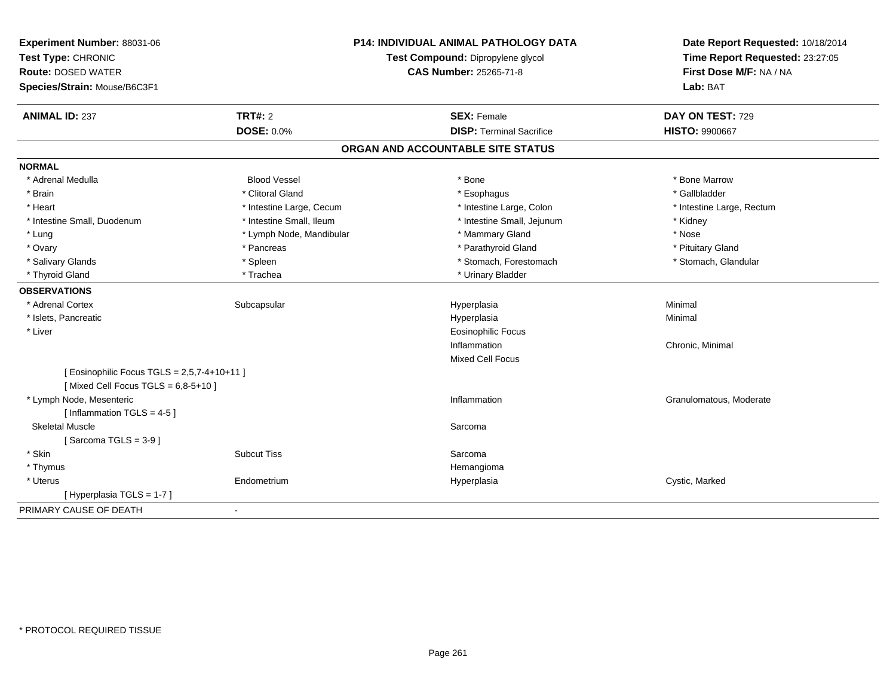| Experiment Number: 88031-06<br>Test Type: CHRONIC |                          | <b>P14: INDIVIDUAL ANIMAL PATHOLOGY DATA</b><br>Test Compound: Dipropylene glycol | Date Report Requested: 10/18/2014<br>Time Report Requested: 23:27:05 |
|---------------------------------------------------|--------------------------|-----------------------------------------------------------------------------------|----------------------------------------------------------------------|
| <b>Route: DOSED WATER</b>                         |                          | <b>CAS Number: 25265-71-8</b>                                                     | First Dose M/F: NA / NA                                              |
| Species/Strain: Mouse/B6C3F1                      |                          |                                                                                   | Lab: BAT                                                             |
| <b>ANIMAL ID: 237</b>                             | <b>TRT#: 2</b>           | <b>SEX: Female</b>                                                                | DAY ON TEST: 729                                                     |
|                                                   | <b>DOSE: 0.0%</b>        | <b>DISP: Terminal Sacrifice</b>                                                   | <b>HISTO: 9900667</b>                                                |
|                                                   |                          | ORGAN AND ACCOUNTABLE SITE STATUS                                                 |                                                                      |
| <b>NORMAL</b>                                     |                          |                                                                                   |                                                                      |
| * Adrenal Medulla                                 | <b>Blood Vessel</b>      | * Bone                                                                            | * Bone Marrow                                                        |
| * Brain                                           | * Clitoral Gland         | * Esophagus                                                                       | * Gallbladder                                                        |
| * Heart                                           | * Intestine Large, Cecum | * Intestine Large, Colon                                                          | * Intestine Large, Rectum                                            |
| * Intestine Small, Duodenum                       | * Intestine Small, Ileum | * Intestine Small, Jejunum                                                        | * Kidney                                                             |
| * Lung                                            | * Lymph Node, Mandibular | * Mammary Gland                                                                   | * Nose                                                               |
| * Ovary                                           | * Pancreas               | * Parathyroid Gland                                                               | * Pituitary Gland                                                    |
| * Salivary Glands                                 | * Spleen                 | * Stomach, Forestomach                                                            | * Stomach, Glandular                                                 |
| * Thyroid Gland                                   | * Trachea                | * Urinary Bladder                                                                 |                                                                      |
| <b>OBSERVATIONS</b>                               |                          |                                                                                   |                                                                      |
| * Adrenal Cortex                                  | Subcapsular              | Hyperplasia                                                                       | Minimal                                                              |
| * Islets, Pancreatic                              |                          | Hyperplasia                                                                       | Minimal                                                              |
| * Liver                                           |                          | <b>Eosinophilic Focus</b>                                                         |                                                                      |
|                                                   |                          | Inflammation                                                                      | Chronic, Minimal                                                     |
|                                                   |                          | Mixed Cell Focus                                                                  |                                                                      |
| [ Eosinophilic Focus TGLS = 2,5,7-4+10+11 ]       |                          |                                                                                   |                                                                      |
| [Mixed Cell Focus TGLS = $6,8-5+10$ ]             |                          |                                                                                   |                                                                      |
| * Lymph Node, Mesenteric                          |                          | Inflammation                                                                      | Granulomatous, Moderate                                              |
| [Inflammation TGLS = $4-5$ ]                      |                          |                                                                                   |                                                                      |
| <b>Skeletal Muscle</b>                            |                          | Sarcoma                                                                           |                                                                      |
| [Sarcoma TGLS = $3-9$ ]                           |                          |                                                                                   |                                                                      |
| * Skin                                            | <b>Subcut Tiss</b>       | Sarcoma                                                                           |                                                                      |
| * Thymus                                          |                          | Hemangioma                                                                        |                                                                      |
| * Uterus                                          | Endometrium              | Hyperplasia                                                                       | Cystic, Marked                                                       |
| [ Hyperplasia TGLS = 1-7 ]                        |                          |                                                                                   |                                                                      |
| PRIMARY CAUSE OF DEATH                            | $\blacksquare$           |                                                                                   |                                                                      |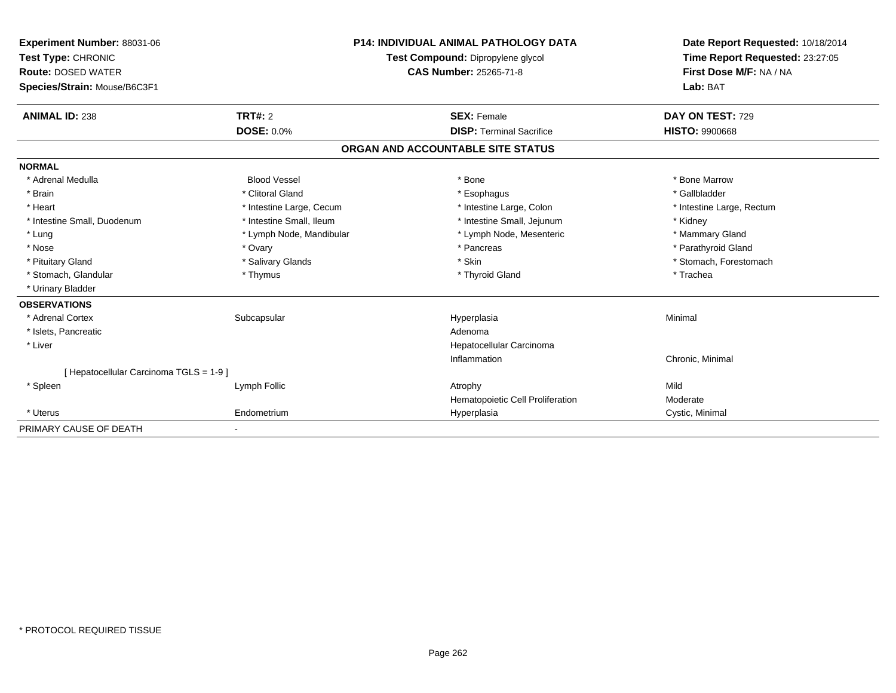| Experiment Number: 88031-06<br>Test Type: CHRONIC<br><b>Route: DOSED WATER</b><br>Species/Strain: Mouse/B6C3F1 | <b>P14: INDIVIDUAL ANIMAL PATHOLOGY DATA</b><br>Test Compound: Dipropylene glycol<br>CAS Number: 25265-71-8 |                                                       | Date Report Requested: 10/18/2014<br>Time Report Requested: 23:27:05<br>First Dose M/F: NA / NA<br>Lab: BAT |
|----------------------------------------------------------------------------------------------------------------|-------------------------------------------------------------------------------------------------------------|-------------------------------------------------------|-------------------------------------------------------------------------------------------------------------|
| <b>ANIMAL ID: 238</b>                                                                                          | TRT#: 2                                                                                                     | <b>SEX: Female</b><br><b>DISP: Terminal Sacrifice</b> | DAY ON TEST: 729                                                                                            |
|                                                                                                                | <b>DOSE: 0.0%</b>                                                                                           |                                                       | <b>HISTO: 9900668</b>                                                                                       |
|                                                                                                                |                                                                                                             | ORGAN AND ACCOUNTABLE SITE STATUS                     |                                                                                                             |
| <b>NORMAL</b>                                                                                                  |                                                                                                             |                                                       |                                                                                                             |
| * Adrenal Medulla                                                                                              | <b>Blood Vessel</b>                                                                                         | * Bone                                                | * Bone Marrow                                                                                               |
| * Brain                                                                                                        | * Clitoral Gland                                                                                            | * Esophagus                                           | * Gallbladder                                                                                               |
| * Heart                                                                                                        | * Intestine Large, Cecum                                                                                    | * Intestine Large, Colon                              | * Intestine Large, Rectum                                                                                   |
| * Intestine Small, Duodenum                                                                                    | * Intestine Small, Ileum                                                                                    | * Intestine Small, Jejunum                            | * Kidney                                                                                                    |
| * Lung                                                                                                         | * Lymph Node, Mandibular                                                                                    | * Lymph Node, Mesenteric                              | * Mammary Gland                                                                                             |
| * Nose                                                                                                         | * Ovary                                                                                                     | * Pancreas                                            | * Parathyroid Gland                                                                                         |
| * Pituitary Gland                                                                                              | * Salivary Glands                                                                                           | * Skin                                                | * Stomach, Forestomach                                                                                      |
| * Stomach, Glandular                                                                                           | * Thymus                                                                                                    | * Thyroid Gland                                       | * Trachea                                                                                                   |
| * Urinary Bladder                                                                                              |                                                                                                             |                                                       |                                                                                                             |
| <b>OBSERVATIONS</b>                                                                                            |                                                                                                             |                                                       |                                                                                                             |
| * Adrenal Cortex                                                                                               | Subcapsular                                                                                                 | Hyperplasia                                           | Minimal                                                                                                     |
| * Islets, Pancreatic                                                                                           |                                                                                                             | Adenoma                                               |                                                                                                             |
| * Liver                                                                                                        |                                                                                                             | Hepatocellular Carcinoma                              |                                                                                                             |
|                                                                                                                |                                                                                                             | Inflammation                                          | Chronic, Minimal                                                                                            |
| [Hepatocellular Carcinoma TGLS = 1-9]                                                                          |                                                                                                             |                                                       |                                                                                                             |
| * Spleen                                                                                                       | Lymph Follic                                                                                                | Atrophy                                               | Mild                                                                                                        |
|                                                                                                                |                                                                                                             | Hematopoietic Cell Proliferation                      | Moderate                                                                                                    |
| * Uterus                                                                                                       | Endometrium                                                                                                 | Hyperplasia                                           | Cystic, Minimal                                                                                             |
| PRIMARY CAUSE OF DEATH                                                                                         | $\overline{\phantom{a}}$                                                                                    |                                                       |                                                                                                             |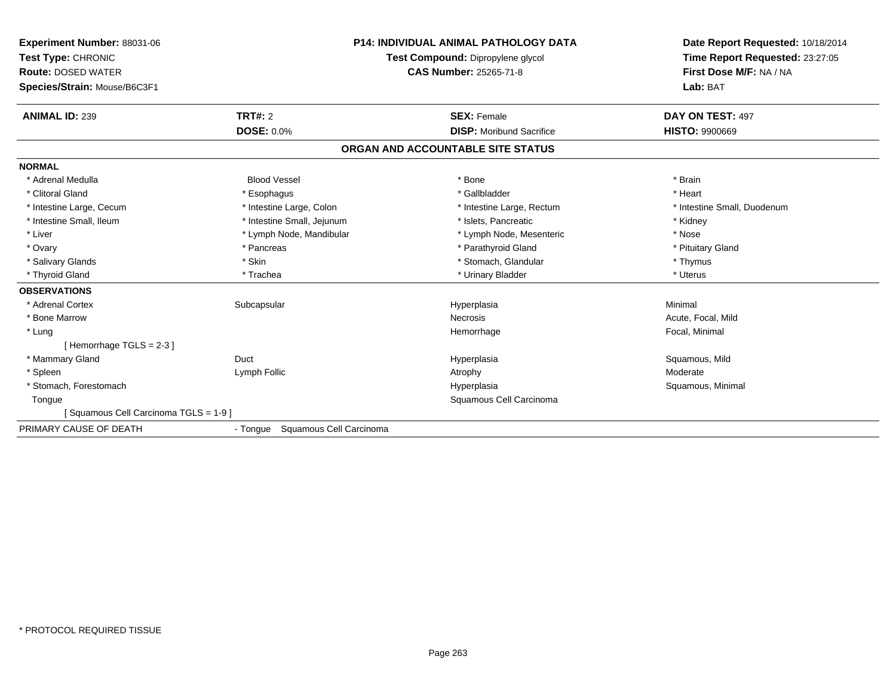| Experiment Number: 88031-06<br>Test Type: CHRONIC<br><b>Route: DOSED WATER</b><br>Species/Strain: Mouse/B6C3F1 |                                     | <b>P14: INDIVIDUAL ANIMAL PATHOLOGY DATA</b><br>Test Compound: Dipropylene glycol<br><b>CAS Number: 25265-71-8</b> | Date Report Requested: 10/18/2014<br>Time Report Requested: 23:27:05<br>First Dose M/F: NA / NA<br>Lab: BAT |
|----------------------------------------------------------------------------------------------------------------|-------------------------------------|--------------------------------------------------------------------------------------------------------------------|-------------------------------------------------------------------------------------------------------------|
| <b>ANIMAL ID: 239</b>                                                                                          | TRT#: 2<br><b>DOSE: 0.0%</b>        | <b>SEX: Female</b><br><b>DISP:</b> Moribund Sacrifice                                                              | DAY ON TEST: 497<br><b>HISTO: 9900669</b>                                                                   |
|                                                                                                                |                                     | ORGAN AND ACCOUNTABLE SITE STATUS                                                                                  |                                                                                                             |
| <b>NORMAL</b>                                                                                                  |                                     |                                                                                                                    |                                                                                                             |
| * Adrenal Medulla                                                                                              | <b>Blood Vessel</b>                 | * Bone                                                                                                             | * Brain                                                                                                     |
| * Clitoral Gland                                                                                               | * Esophagus                         | * Gallbladder                                                                                                      | * Heart                                                                                                     |
| * Intestine Large, Cecum                                                                                       | * Intestine Large, Colon            | * Intestine Large, Rectum                                                                                          | * Intestine Small, Duodenum                                                                                 |
| * Intestine Small, Ileum                                                                                       | * Intestine Small, Jejunum          | * Islets, Pancreatic                                                                                               | * Kidney                                                                                                    |
| * Liver                                                                                                        | * Lymph Node, Mandibular            | * Lymph Node, Mesenteric                                                                                           | * Nose                                                                                                      |
| * Ovary                                                                                                        | * Pancreas                          | * Parathyroid Gland                                                                                                | * Pituitary Gland                                                                                           |
| * Salivary Glands                                                                                              | * Skin                              | * Stomach, Glandular                                                                                               | * Thymus                                                                                                    |
| * Thyroid Gland                                                                                                | * Trachea                           | * Urinary Bladder                                                                                                  | * Uterus                                                                                                    |
| <b>OBSERVATIONS</b>                                                                                            |                                     |                                                                                                                    |                                                                                                             |
| * Adrenal Cortex                                                                                               | Subcapsular                         | Hyperplasia                                                                                                        | Minimal                                                                                                     |
| * Bone Marrow                                                                                                  |                                     | Necrosis                                                                                                           | Acute, Focal, Mild                                                                                          |
| * Lung                                                                                                         |                                     | Hemorrhage                                                                                                         | Focal, Minimal                                                                                              |
| [Hemorrhage TGLS = $2-3$ ]                                                                                     |                                     |                                                                                                                    |                                                                                                             |
| * Mammary Gland                                                                                                | Duct                                | Hyperplasia                                                                                                        | Squamous, Mild                                                                                              |
| * Spleen                                                                                                       | Lymph Follic                        | Atrophy                                                                                                            | Moderate                                                                                                    |
| * Stomach, Forestomach                                                                                         |                                     | Hyperplasia                                                                                                        | Squamous, Minimal                                                                                           |
| Tongue                                                                                                         |                                     | Squamous Cell Carcinoma                                                                                            |                                                                                                             |
| Squamous Cell Carcinoma TGLS = 1-9 ]                                                                           |                                     |                                                                                                                    |                                                                                                             |
| PRIMARY CAUSE OF DEATH                                                                                         | Squamous Cell Carcinoma<br>- Tongue |                                                                                                                    |                                                                                                             |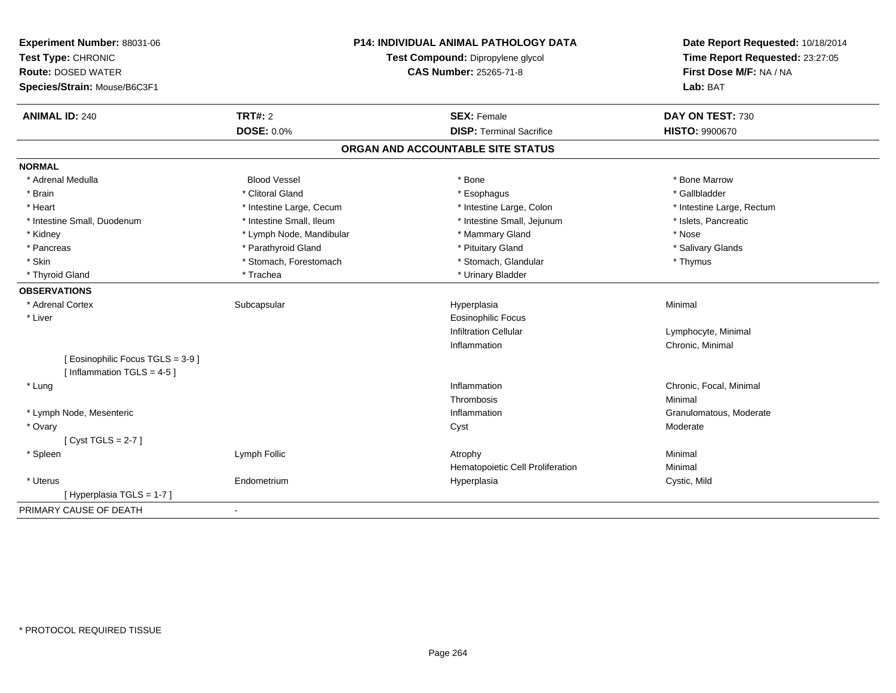| Experiment Number: 88031-06<br>Test Type: CHRONIC<br><b>Route: DOSED WATER</b><br>Species/Strain: Mouse/B6C3F1 | <b>P14: INDIVIDUAL ANIMAL PATHOLOGY DATA</b><br>Test Compound: Dipropylene glycol<br><b>CAS Number: 25265-71-8</b> |                                   | Date Report Requested: 10/18/2014<br>Time Report Requested: 23:27:05<br>First Dose M/F: NA / NA<br>Lab: BAT |
|----------------------------------------------------------------------------------------------------------------|--------------------------------------------------------------------------------------------------------------------|-----------------------------------|-------------------------------------------------------------------------------------------------------------|
| <b>ANIMAL ID: 240</b>                                                                                          | <b>TRT#: 2</b>                                                                                                     | <b>SEX: Female</b>                | DAY ON TEST: 730                                                                                            |
|                                                                                                                | DOSE: 0.0%                                                                                                         | <b>DISP: Terminal Sacrifice</b>   | HISTO: 9900670                                                                                              |
|                                                                                                                |                                                                                                                    | ORGAN AND ACCOUNTABLE SITE STATUS |                                                                                                             |
| <b>NORMAL</b>                                                                                                  |                                                                                                                    |                                   |                                                                                                             |
| * Adrenal Medulla                                                                                              | <b>Blood Vessel</b>                                                                                                | * Bone                            | * Bone Marrow                                                                                               |
| * Brain                                                                                                        | * Clitoral Gland                                                                                                   | * Esophagus                       | * Gallbladder                                                                                               |
| * Heart                                                                                                        | * Intestine Large, Cecum                                                                                           | * Intestine Large, Colon          | * Intestine Large, Rectum                                                                                   |
| * Intestine Small, Duodenum                                                                                    | * Intestine Small, Ileum                                                                                           | * Intestine Small, Jejunum        | * Islets, Pancreatic                                                                                        |
| * Kidney                                                                                                       | * Lymph Node, Mandibular                                                                                           | * Mammary Gland                   | * Nose                                                                                                      |
| * Pancreas                                                                                                     | * Parathyroid Gland                                                                                                | * Pituitary Gland                 | * Salivary Glands                                                                                           |
| * Skin                                                                                                         | * Stomach, Forestomach                                                                                             | * Stomach, Glandular              | * Thymus                                                                                                    |
| * Thyroid Gland                                                                                                | * Trachea                                                                                                          | * Urinary Bladder                 |                                                                                                             |
| <b>OBSERVATIONS</b>                                                                                            |                                                                                                                    |                                   |                                                                                                             |
| * Adrenal Cortex                                                                                               | Subcapsular                                                                                                        | Hyperplasia                       | Minimal                                                                                                     |
| * Liver                                                                                                        |                                                                                                                    | <b>Eosinophilic Focus</b>         |                                                                                                             |
|                                                                                                                |                                                                                                                    | <b>Infiltration Cellular</b>      | Lymphocyte, Minimal                                                                                         |
|                                                                                                                |                                                                                                                    | Inflammation                      | Chronic, Minimal                                                                                            |
| [ Eosinophilic Focus TGLS = 3-9 ]<br>[Inflammation TGLS = $4-5$ ]                                              |                                                                                                                    |                                   |                                                                                                             |
| * Lung                                                                                                         |                                                                                                                    | Inflammation                      | Chronic, Focal, Minimal                                                                                     |
|                                                                                                                |                                                                                                                    | Thrombosis                        | Minimal                                                                                                     |
| * Lymph Node, Mesenteric                                                                                       |                                                                                                                    | Inflammation                      | Granulomatous, Moderate                                                                                     |
| * Ovary                                                                                                        |                                                                                                                    | Cyst                              | Moderate                                                                                                    |
| [Cyst TGLS = $2-7$ ]                                                                                           |                                                                                                                    |                                   |                                                                                                             |
| * Spleen                                                                                                       | Lymph Follic                                                                                                       | Atrophy                           | Minimal                                                                                                     |
|                                                                                                                |                                                                                                                    | Hematopoietic Cell Proliferation  | Minimal                                                                                                     |
| * Uterus                                                                                                       | Endometrium                                                                                                        | Hyperplasia                       | Cystic, Mild                                                                                                |
| [ Hyperplasia TGLS = 1-7 ]                                                                                     |                                                                                                                    |                                   |                                                                                                             |
| PRIMARY CAUSE OF DEATH                                                                                         | $\blacksquare$                                                                                                     |                                   |                                                                                                             |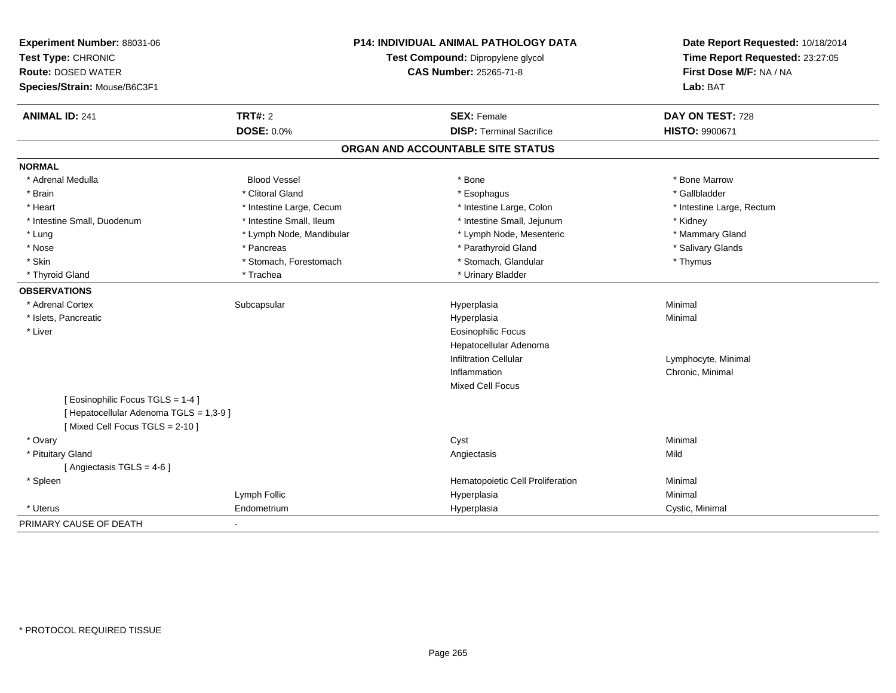| Experiment Number: 88031-06<br>Test Type: CHRONIC<br><b>Route: DOSED WATER</b><br>Species/Strain: Mouse/B6C3F1 | <b>P14: INDIVIDUAL ANIMAL PATHOLOGY DATA</b><br>Test Compound: Dipropylene glycol<br><b>CAS Number: 25265-71-8</b> |                                   | Date Report Requested: 10/18/2014<br>Time Report Requested: 23:27:05<br>First Dose M/F: NA / NA<br>Lab: BAT |  |
|----------------------------------------------------------------------------------------------------------------|--------------------------------------------------------------------------------------------------------------------|-----------------------------------|-------------------------------------------------------------------------------------------------------------|--|
| <b>ANIMAL ID: 241</b>                                                                                          | <b>TRT#: 2</b>                                                                                                     | <b>SEX: Female</b>                | DAY ON TEST: 728                                                                                            |  |
|                                                                                                                | <b>DOSE: 0.0%</b>                                                                                                  | <b>DISP: Terminal Sacrifice</b>   | HISTO: 9900671                                                                                              |  |
|                                                                                                                |                                                                                                                    | ORGAN AND ACCOUNTABLE SITE STATUS |                                                                                                             |  |
| <b>NORMAL</b>                                                                                                  |                                                                                                                    |                                   |                                                                                                             |  |
| * Adrenal Medulla                                                                                              | <b>Blood Vessel</b>                                                                                                | * Bone                            | * Bone Marrow                                                                                               |  |
| * Brain                                                                                                        | * Clitoral Gland                                                                                                   | * Esophagus                       | * Gallbladder                                                                                               |  |
| * Heart                                                                                                        | * Intestine Large, Cecum                                                                                           | * Intestine Large, Colon          | * Intestine Large, Rectum                                                                                   |  |
| * Intestine Small, Duodenum                                                                                    | * Intestine Small, Ileum                                                                                           | * Intestine Small, Jejunum        | * Kidney                                                                                                    |  |
| * Lung                                                                                                         | * Lymph Node, Mandibular                                                                                           | * Lymph Node, Mesenteric          | * Mammary Gland                                                                                             |  |
| * Nose                                                                                                         | * Pancreas                                                                                                         | * Parathyroid Gland               | * Salivary Glands                                                                                           |  |
| * Skin                                                                                                         | * Stomach, Forestomach                                                                                             | * Stomach, Glandular              | * Thymus                                                                                                    |  |
| * Thyroid Gland                                                                                                | * Trachea                                                                                                          | * Urinary Bladder                 |                                                                                                             |  |
| <b>OBSERVATIONS</b>                                                                                            |                                                                                                                    |                                   |                                                                                                             |  |
| * Adrenal Cortex                                                                                               | Subcapsular                                                                                                        | Hyperplasia                       | Minimal                                                                                                     |  |
| * Islets, Pancreatic                                                                                           |                                                                                                                    | Hyperplasia                       | Minimal                                                                                                     |  |
| * Liver                                                                                                        |                                                                                                                    | <b>Eosinophilic Focus</b>         |                                                                                                             |  |
|                                                                                                                |                                                                                                                    | Hepatocellular Adenoma            |                                                                                                             |  |
|                                                                                                                |                                                                                                                    | <b>Infiltration Cellular</b>      | Lymphocyte, Minimal                                                                                         |  |
|                                                                                                                |                                                                                                                    | Inflammation                      | Chronic, Minimal                                                                                            |  |
|                                                                                                                |                                                                                                                    | Mixed Cell Focus                  |                                                                                                             |  |
| [ Eosinophilic Focus TGLS = 1-4 ]                                                                              |                                                                                                                    |                                   |                                                                                                             |  |
| [ Hepatocellular Adenoma TGLS = 1,3-9 ]                                                                        |                                                                                                                    |                                   |                                                                                                             |  |
| [Mixed Cell Focus TGLS = 2-10]                                                                                 |                                                                                                                    |                                   |                                                                                                             |  |
| * Ovary                                                                                                        |                                                                                                                    | Cyst                              | Minimal                                                                                                     |  |
| * Pituitary Gland                                                                                              |                                                                                                                    | Angiectasis                       | Mild                                                                                                        |  |
| [ Angiectasis $TGLS = 4-6$ ]                                                                                   |                                                                                                                    |                                   |                                                                                                             |  |
| * Spleen                                                                                                       |                                                                                                                    | Hematopoietic Cell Proliferation  | Minimal                                                                                                     |  |
|                                                                                                                | Lymph Follic                                                                                                       | Hyperplasia                       | Minimal                                                                                                     |  |
| * Uterus                                                                                                       | Endometrium                                                                                                        | Hyperplasia                       | Cystic, Minimal                                                                                             |  |
| PRIMARY CAUSE OF DEATH                                                                                         |                                                                                                                    |                                   |                                                                                                             |  |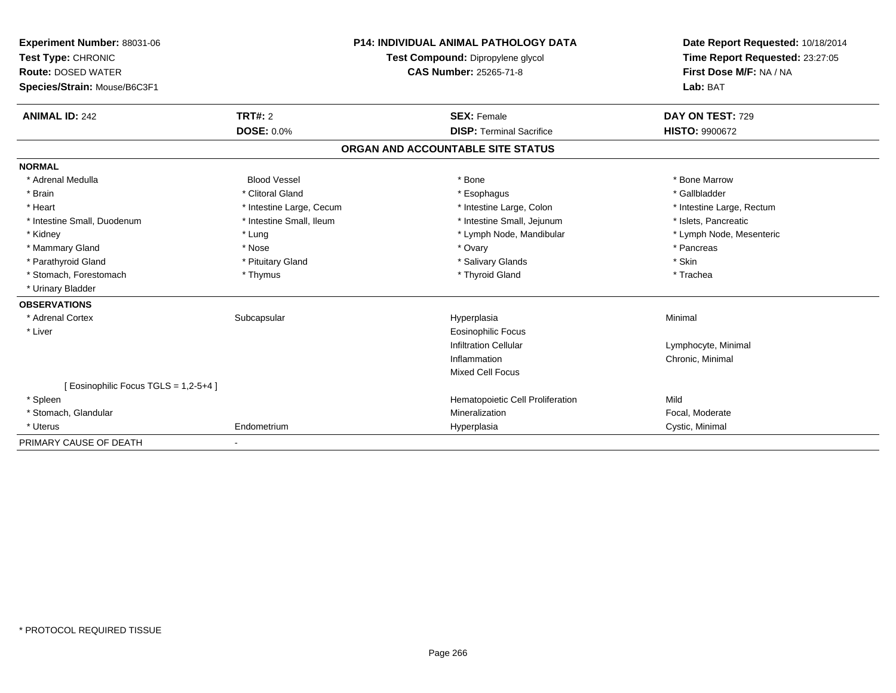| Experiment Number: 88031-06<br>Test Type: CHRONIC<br><b>Route: DOSED WATER</b><br>Species/Strain: Mouse/B6C3F1 | <b>P14: INDIVIDUAL ANIMAL PATHOLOGY DATA</b><br>Test Compound: Dipropylene glycol<br><b>CAS Number: 25265-71-8</b> |                                   | Date Report Requested: 10/18/2014<br>Time Report Requested: 23:27:05<br>First Dose M/F: NA / NA<br>Lab: BAT |  |
|----------------------------------------------------------------------------------------------------------------|--------------------------------------------------------------------------------------------------------------------|-----------------------------------|-------------------------------------------------------------------------------------------------------------|--|
| <b>ANIMAL ID: 242</b>                                                                                          | TRT#: 2                                                                                                            | <b>SEX: Female</b>                | DAY ON TEST: 729                                                                                            |  |
|                                                                                                                | <b>DOSE: 0.0%</b>                                                                                                  | <b>DISP: Terminal Sacrifice</b>   | <b>HISTO: 9900672</b>                                                                                       |  |
|                                                                                                                |                                                                                                                    | ORGAN AND ACCOUNTABLE SITE STATUS |                                                                                                             |  |
| <b>NORMAL</b>                                                                                                  |                                                                                                                    |                                   |                                                                                                             |  |
| * Adrenal Medulla                                                                                              | <b>Blood Vessel</b>                                                                                                | * Bone                            | * Bone Marrow                                                                                               |  |
| * Brain                                                                                                        | * Clitoral Gland                                                                                                   | * Esophagus                       | * Gallbladder                                                                                               |  |
| * Heart                                                                                                        | * Intestine Large, Cecum                                                                                           | * Intestine Large, Colon          | * Intestine Large, Rectum                                                                                   |  |
| * Intestine Small, Duodenum                                                                                    | * Intestine Small, Ileum                                                                                           | * Intestine Small, Jejunum        | * Islets, Pancreatic                                                                                        |  |
| * Kidney                                                                                                       | * Lung                                                                                                             | * Lymph Node, Mandibular          | * Lymph Node, Mesenteric                                                                                    |  |
| * Mammary Gland                                                                                                | * Nose                                                                                                             | * Ovary                           | * Pancreas                                                                                                  |  |
| * Parathyroid Gland                                                                                            | * Pituitary Gland                                                                                                  | * Salivary Glands                 | * Skin                                                                                                      |  |
| * Stomach, Forestomach                                                                                         | * Thymus                                                                                                           | * Thyroid Gland                   | * Trachea                                                                                                   |  |
| * Urinary Bladder                                                                                              |                                                                                                                    |                                   |                                                                                                             |  |
| <b>OBSERVATIONS</b>                                                                                            |                                                                                                                    |                                   |                                                                                                             |  |
| * Adrenal Cortex                                                                                               | Subcapsular                                                                                                        | Hyperplasia                       | Minimal                                                                                                     |  |
| * Liver                                                                                                        |                                                                                                                    | <b>Eosinophilic Focus</b>         |                                                                                                             |  |
|                                                                                                                |                                                                                                                    | <b>Infiltration Cellular</b>      | Lymphocyte, Minimal                                                                                         |  |
|                                                                                                                |                                                                                                                    | Inflammation                      | Chronic, Minimal                                                                                            |  |
|                                                                                                                |                                                                                                                    | <b>Mixed Cell Focus</b>           |                                                                                                             |  |
| [ Eosinophilic Focus TGLS = 1,2-5+4 ]                                                                          |                                                                                                                    |                                   |                                                                                                             |  |
| * Spleen                                                                                                       |                                                                                                                    | Hematopoietic Cell Proliferation  | Mild                                                                                                        |  |
| * Stomach, Glandular                                                                                           |                                                                                                                    | Mineralization                    | Focal, Moderate                                                                                             |  |
| * Uterus                                                                                                       | Endometrium                                                                                                        | Hyperplasia                       | Cystic, Minimal                                                                                             |  |
| PRIMARY CAUSE OF DEATH                                                                                         |                                                                                                                    |                                   |                                                                                                             |  |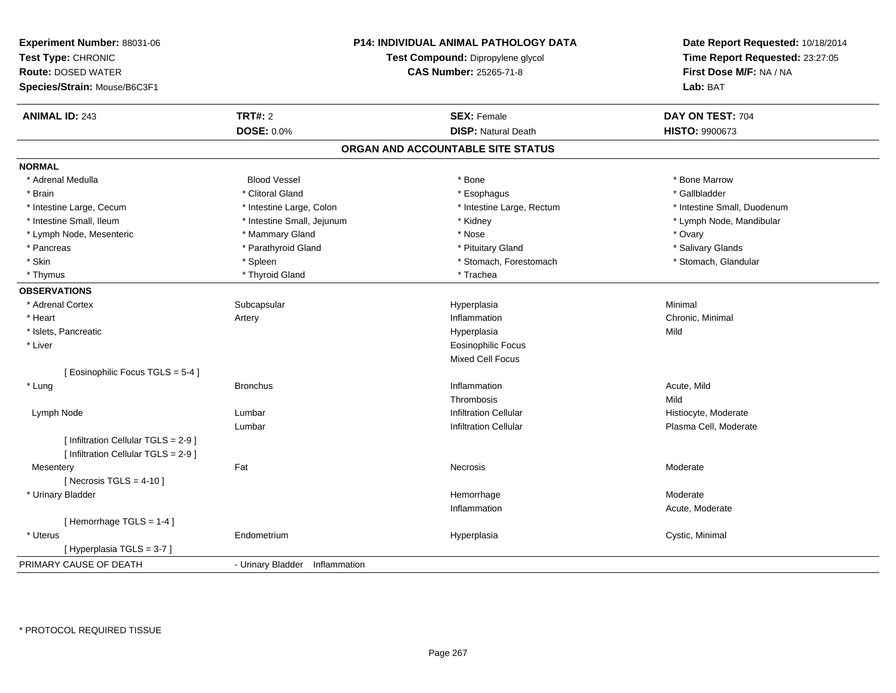| Experiment Number: 88031-06<br>Test Type: CHRONIC<br>Route: DOSED WATER<br>Species/Strain: Mouse/B6C3F1 |                                | <b>P14: INDIVIDUAL ANIMAL PATHOLOGY DATA</b><br>Test Compound: Dipropylene glycol<br>CAS Number: 25265-71-8 | Date Report Requested: 10/18/2014<br>Time Report Requested: 23:27:05<br>First Dose M/F: NA / NA<br>Lab: BAT |
|---------------------------------------------------------------------------------------------------------|--------------------------------|-------------------------------------------------------------------------------------------------------------|-------------------------------------------------------------------------------------------------------------|
| <b>ANIMAL ID: 243</b>                                                                                   | <b>TRT#: 2</b>                 | <b>SEX: Female</b>                                                                                          | DAY ON TEST: 704                                                                                            |
|                                                                                                         | DOSE: 0.0%                     | <b>DISP: Natural Death</b>                                                                                  | HISTO: 9900673                                                                                              |
|                                                                                                         |                                | ORGAN AND ACCOUNTABLE SITE STATUS                                                                           |                                                                                                             |
| <b>NORMAL</b>                                                                                           |                                |                                                                                                             |                                                                                                             |
| * Adrenal Medulla                                                                                       | <b>Blood Vessel</b>            | $*$ Bone                                                                                                    | * Bone Marrow                                                                                               |
| * Brain                                                                                                 | * Clitoral Gland               | * Esophagus                                                                                                 | * Gallbladder                                                                                               |
| * Intestine Large, Cecum                                                                                | * Intestine Large, Colon       | * Intestine Large, Rectum                                                                                   | * Intestine Small, Duodenum                                                                                 |
| * Intestine Small, Ileum                                                                                | * Intestine Small, Jejunum     | * Kidney                                                                                                    | * Lymph Node, Mandibular                                                                                    |
| * Lymph Node, Mesenteric                                                                                | * Mammary Gland                | * Nose                                                                                                      | * Ovary                                                                                                     |
| * Pancreas                                                                                              | * Parathyroid Gland            | * Pituitary Gland                                                                                           | * Salivary Glands                                                                                           |
| * Skin                                                                                                  | * Spleen                       | * Stomach, Forestomach                                                                                      | * Stomach, Glandular                                                                                        |
| * Thymus                                                                                                | * Thyroid Gland                | * Trachea                                                                                                   |                                                                                                             |
| <b>OBSERVATIONS</b>                                                                                     |                                |                                                                                                             |                                                                                                             |
| * Adrenal Cortex                                                                                        | Subcapsular                    | Hyperplasia                                                                                                 | Minimal                                                                                                     |
| * Heart                                                                                                 | Artery                         | Inflammation                                                                                                | Chronic, Minimal                                                                                            |
| * Islets, Pancreatic                                                                                    |                                | Hyperplasia                                                                                                 | Mild                                                                                                        |
| * Liver                                                                                                 |                                | <b>Eosinophilic Focus</b>                                                                                   |                                                                                                             |
|                                                                                                         |                                | Mixed Cell Focus                                                                                            |                                                                                                             |
| [Eosinophilic Focus TGLS = 5-4]                                                                         |                                |                                                                                                             |                                                                                                             |
| * Lung                                                                                                  | <b>Bronchus</b>                | Inflammation                                                                                                | Acute, Mild                                                                                                 |
|                                                                                                         |                                | Thrombosis                                                                                                  | Mild                                                                                                        |
| Lymph Node                                                                                              | Lumbar                         | <b>Infiltration Cellular</b>                                                                                | Histiocyte, Moderate                                                                                        |
|                                                                                                         | Lumbar                         | <b>Infiltration Cellular</b>                                                                                | Plasma Cell, Moderate                                                                                       |
| [ Infiltration Cellular TGLS = 2-9 ]                                                                    |                                |                                                                                                             |                                                                                                             |
| [ Infiltration Cellular TGLS = 2-9 ]                                                                    |                                |                                                                                                             |                                                                                                             |
| Mesentery                                                                                               | Fat                            | Necrosis                                                                                                    | Moderate                                                                                                    |
| [ Necrosis $TGLS = 4-10$ ]                                                                              |                                |                                                                                                             |                                                                                                             |
| * Urinary Bladder                                                                                       |                                | Hemorrhage                                                                                                  | Moderate                                                                                                    |
|                                                                                                         |                                | Inflammation                                                                                                | Acute, Moderate                                                                                             |
| [Hemorrhage TGLS = $1-4$ ]                                                                              |                                |                                                                                                             |                                                                                                             |
| * Uterus                                                                                                | Endometrium                    | Hyperplasia                                                                                                 | Cystic, Minimal                                                                                             |
| [Hyperplasia TGLS = 3-7]                                                                                |                                |                                                                                                             |                                                                                                             |
| PRIMARY CAUSE OF DEATH                                                                                  | - Urinary Bladder Inflammation |                                                                                                             |                                                                                                             |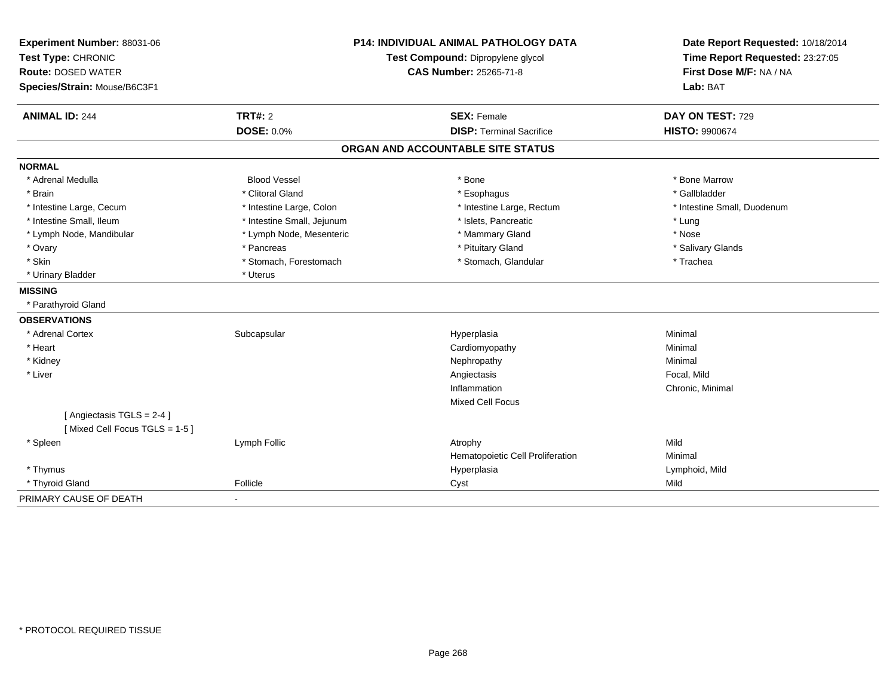| Experiment Number: 88031-06                               | <b>P14: INDIVIDUAL ANIMAL PATHOLOGY DATA</b> |                                   | Date Report Requested: 10/18/2014 |
|-----------------------------------------------------------|----------------------------------------------|-----------------------------------|-----------------------------------|
| Test Type: CHRONIC                                        |                                              | Test Compound: Dipropylene glycol | Time Report Requested: 23:27:05   |
| <b>Route: DOSED WATER</b>                                 | <b>CAS Number: 25265-71-8</b>                |                                   | First Dose M/F: NA / NA           |
| Species/Strain: Mouse/B6C3F1                              |                                              |                                   | Lab: BAT                          |
| <b>ANIMAL ID: 244</b>                                     | TRT#: 2                                      | <b>SEX: Female</b>                | DAY ON TEST: 729                  |
|                                                           | <b>DOSE: 0.0%</b>                            | <b>DISP: Terminal Sacrifice</b>   | HISTO: 9900674                    |
|                                                           |                                              | ORGAN AND ACCOUNTABLE SITE STATUS |                                   |
| <b>NORMAL</b>                                             |                                              |                                   |                                   |
| * Adrenal Medulla                                         | <b>Blood Vessel</b>                          | * Bone                            | * Bone Marrow                     |
| * Brain                                                   | * Clitoral Gland                             | * Esophagus                       | * Gallbladder                     |
| * Intestine Large, Cecum                                  | * Intestine Large, Colon                     | * Intestine Large, Rectum         | * Intestine Small, Duodenum       |
| * Intestine Small, Ileum                                  | * Intestine Small, Jejunum                   | * Islets, Pancreatic              | * Lung                            |
| * Lymph Node, Mandibular                                  | * Lymph Node, Mesenteric                     | * Mammary Gland                   | * Nose                            |
| * Ovary                                                   | * Pancreas                                   | * Pituitary Gland                 | * Salivary Glands                 |
| * Skin                                                    | * Stomach, Forestomach                       | * Stomach, Glandular              | * Trachea                         |
| * Urinary Bladder                                         | * Uterus                                     |                                   |                                   |
| <b>MISSING</b>                                            |                                              |                                   |                                   |
| * Parathyroid Gland                                       |                                              |                                   |                                   |
| <b>OBSERVATIONS</b>                                       |                                              |                                   |                                   |
| * Adrenal Cortex                                          | Subcapsular                                  | Hyperplasia                       | Minimal                           |
| * Heart                                                   |                                              | Cardiomyopathy                    | Minimal                           |
| * Kidney                                                  |                                              | Nephropathy                       | Minimal                           |
| * Liver                                                   |                                              | Angiectasis                       | Focal, Mild                       |
|                                                           |                                              | Inflammation                      | Chronic, Minimal                  |
|                                                           |                                              | <b>Mixed Cell Focus</b>           |                                   |
| [Angiectasis TGLS = 2-4]<br>[Mixed Cell Focus TGLS = 1-5] |                                              |                                   |                                   |
| * Spleen                                                  | Lymph Follic                                 | Atrophy                           | Mild                              |
|                                                           |                                              | Hematopoietic Cell Proliferation  | Minimal                           |
| * Thymus                                                  |                                              | Hyperplasia                       | Lymphoid, Mild                    |
| * Thyroid Gland                                           | Follicle                                     | Cyst                              | Mild                              |
| PRIMARY CAUSE OF DEATH                                    | $\blacksquare$                               |                                   |                                   |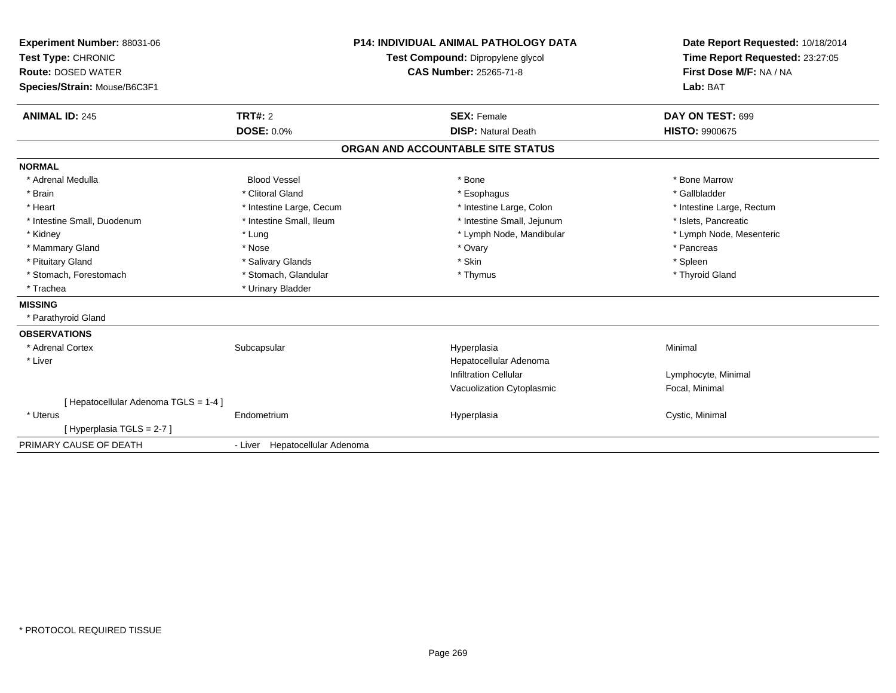| Experiment Number: 88031-06<br>Test Type: CHRONIC<br><b>Route: DOSED WATER</b><br>Species/Strain: Mouse/B6C3F1<br><b>ANIMAL ID: 245</b> | <b>P14: INDIVIDUAL ANIMAL PATHOLOGY DATA</b><br>Test Compound: Dipropylene glycol<br><b>CAS Number: 25265-71-8</b><br>TRT#: 2<br><b>SEX: Female</b> |                                   | Date Report Requested: 10/18/2014<br>Time Report Requested: 23:27:05<br>First Dose M/F: NA / NA<br>Lab: BAT<br>DAY ON TEST: 699 |
|-----------------------------------------------------------------------------------------------------------------------------------------|-----------------------------------------------------------------------------------------------------------------------------------------------------|-----------------------------------|---------------------------------------------------------------------------------------------------------------------------------|
|                                                                                                                                         | <b>DOSE: 0.0%</b>                                                                                                                                   | <b>DISP: Natural Death</b>        | <b>HISTO: 9900675</b>                                                                                                           |
|                                                                                                                                         |                                                                                                                                                     | ORGAN AND ACCOUNTABLE SITE STATUS |                                                                                                                                 |
| <b>NORMAL</b>                                                                                                                           |                                                                                                                                                     |                                   |                                                                                                                                 |
| * Adrenal Medulla                                                                                                                       | <b>Blood Vessel</b>                                                                                                                                 | * Bone                            | * Bone Marrow                                                                                                                   |
| * Brain                                                                                                                                 | * Clitoral Gland                                                                                                                                    | * Esophagus                       | * Gallbladder                                                                                                                   |
| * Heart                                                                                                                                 | * Intestine Large, Cecum                                                                                                                            | * Intestine Large, Colon          | * Intestine Large, Rectum                                                                                                       |
| * Intestine Small, Duodenum                                                                                                             | * Intestine Small, Ileum                                                                                                                            | * Intestine Small, Jejunum        | * Islets, Pancreatic                                                                                                            |
| * Kidney                                                                                                                                | * Lung                                                                                                                                              | * Lymph Node, Mandibular          | * Lymph Node, Mesenteric                                                                                                        |
| * Mammary Gland                                                                                                                         | * Nose                                                                                                                                              | * Ovary                           | * Pancreas                                                                                                                      |
| * Pituitary Gland                                                                                                                       | * Salivary Glands                                                                                                                                   | * Skin                            | * Spleen                                                                                                                        |
| * Stomach, Forestomach                                                                                                                  | * Stomach, Glandular                                                                                                                                | * Thymus                          | * Thyroid Gland                                                                                                                 |
| * Trachea                                                                                                                               | * Urinary Bladder                                                                                                                                   |                                   |                                                                                                                                 |
| <b>MISSING</b>                                                                                                                          |                                                                                                                                                     |                                   |                                                                                                                                 |
| * Parathyroid Gland                                                                                                                     |                                                                                                                                                     |                                   |                                                                                                                                 |
| <b>OBSERVATIONS</b>                                                                                                                     |                                                                                                                                                     |                                   |                                                                                                                                 |
| * Adrenal Cortex                                                                                                                        | Subcapsular                                                                                                                                         | Hyperplasia                       | Minimal                                                                                                                         |
| * Liver                                                                                                                                 |                                                                                                                                                     | Hepatocellular Adenoma            |                                                                                                                                 |
|                                                                                                                                         |                                                                                                                                                     | <b>Infiltration Cellular</b>      | Lymphocyte, Minimal                                                                                                             |
|                                                                                                                                         |                                                                                                                                                     | Vacuolization Cytoplasmic         | Focal, Minimal                                                                                                                  |
| [Hepatocellular Adenoma TGLS = 1-4]                                                                                                     |                                                                                                                                                     |                                   |                                                                                                                                 |
| * Uterus                                                                                                                                | Endometrium                                                                                                                                         | Hyperplasia                       | Cystic, Minimal                                                                                                                 |
| [Hyperplasia TGLS = 2-7]                                                                                                                |                                                                                                                                                     |                                   |                                                                                                                                 |
| PRIMARY CAUSE OF DEATH                                                                                                                  | - Liver Hepatocellular Adenoma                                                                                                                      |                                   |                                                                                                                                 |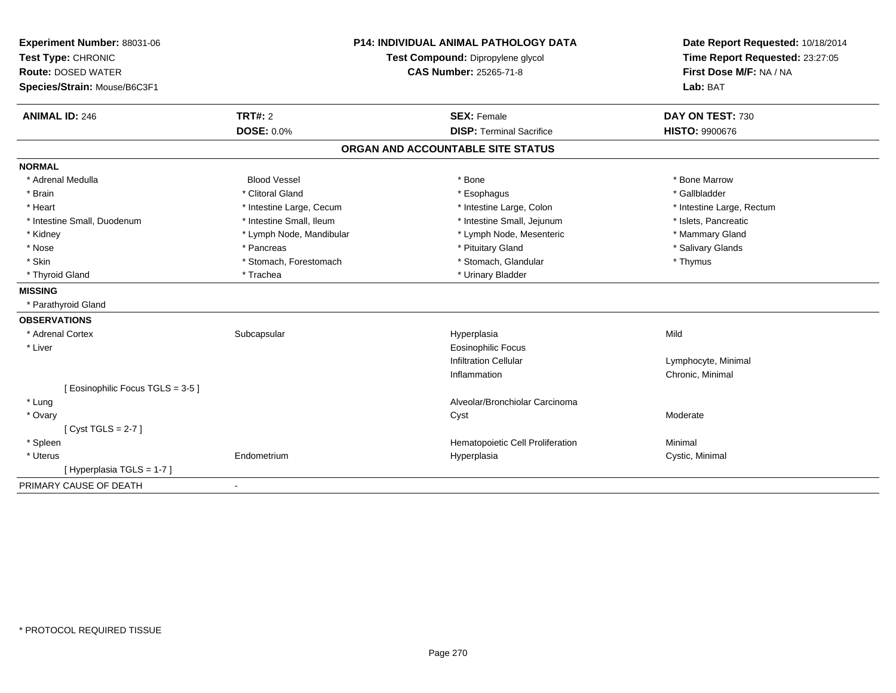| Experiment Number: 88031-06     | <b>P14: INDIVIDUAL ANIMAL PATHOLOGY DATA</b> |                                   | Date Report Requested: 10/18/2014 |
|---------------------------------|----------------------------------------------|-----------------------------------|-----------------------------------|
| Test Type: CHRONIC              |                                              | Test Compound: Dipropylene glycol | Time Report Requested: 23:27:05   |
| <b>Route: DOSED WATER</b>       | <b>CAS Number: 25265-71-8</b>                |                                   | First Dose M/F: NA / NA           |
| Species/Strain: Mouse/B6C3F1    |                                              |                                   | Lab: BAT                          |
| <b>ANIMAL ID: 246</b>           | <b>TRT#: 2</b>                               | <b>SEX: Female</b>                | DAY ON TEST: 730                  |
|                                 | <b>DOSE: 0.0%</b>                            | <b>DISP: Terminal Sacrifice</b>   | <b>HISTO: 9900676</b>             |
|                                 |                                              | ORGAN AND ACCOUNTABLE SITE STATUS |                                   |
| <b>NORMAL</b>                   |                                              |                                   |                                   |
| * Adrenal Medulla               | <b>Blood Vessel</b>                          | * Bone                            | * Bone Marrow                     |
| * Brain                         | * Clitoral Gland                             | * Esophagus                       | * Gallbladder                     |
| * Heart                         | * Intestine Large, Cecum                     | * Intestine Large, Colon          | * Intestine Large, Rectum         |
| * Intestine Small, Duodenum     | * Intestine Small, Ileum                     | * Intestine Small, Jejunum        | * Islets, Pancreatic              |
| * Kidney                        | * Lymph Node, Mandibular                     | * Lymph Node, Mesenteric          | * Mammary Gland                   |
| * Nose                          | * Pancreas                                   | * Pituitary Gland                 | * Salivary Glands                 |
| * Skin                          | * Stomach, Forestomach                       | * Stomach, Glandular              | * Thymus                          |
| * Thyroid Gland                 | * Trachea                                    | * Urinary Bladder                 |                                   |
| <b>MISSING</b>                  |                                              |                                   |                                   |
| * Parathyroid Gland             |                                              |                                   |                                   |
| <b>OBSERVATIONS</b>             |                                              |                                   |                                   |
| * Adrenal Cortex                | Subcapsular                                  | Hyperplasia                       | Mild                              |
| * Liver                         |                                              | <b>Eosinophilic Focus</b>         |                                   |
|                                 |                                              | <b>Infiltration Cellular</b>      | Lymphocyte, Minimal               |
|                                 |                                              | Inflammation                      | Chronic, Minimal                  |
| [Eosinophilic Focus TGLS = 3-5] |                                              |                                   |                                   |
| * Lung                          |                                              | Alveolar/Bronchiolar Carcinoma    |                                   |
| * Ovary                         |                                              | Cyst                              | Moderate                          |
| [Cyst TGLS = $2-7$ ]            |                                              |                                   |                                   |
| * Spleen                        |                                              | Hematopoietic Cell Proliferation  | Minimal                           |
| * Uterus                        | Endometrium                                  | Hyperplasia                       | Cystic, Minimal                   |
| [ Hyperplasia TGLS = 1-7 ]      |                                              |                                   |                                   |
| PRIMARY CAUSE OF DEATH          | $\blacksquare$                               |                                   |                                   |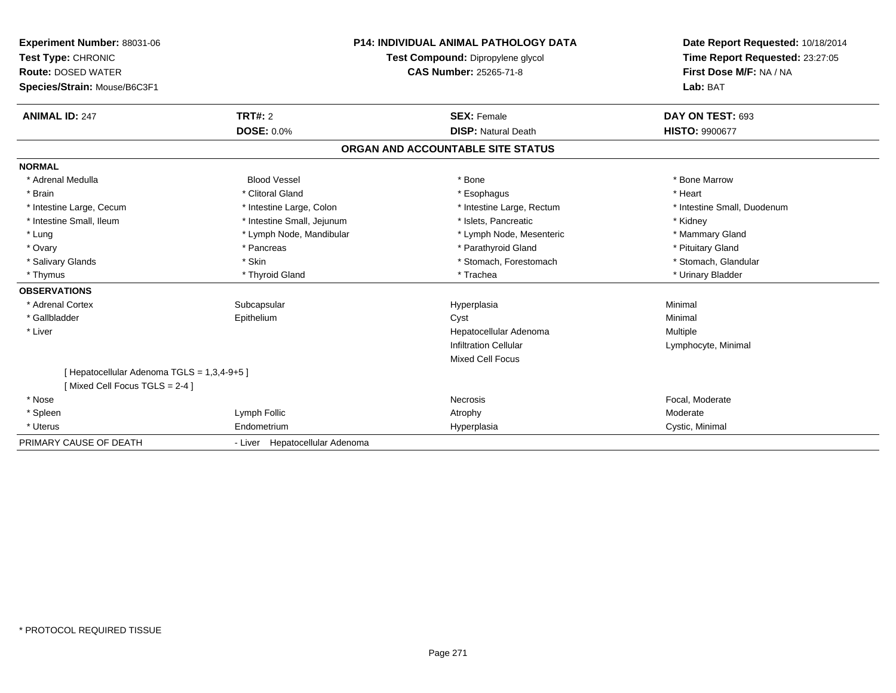| Experiment Number: 88031-06<br>Test Type: CHRONIC<br><b>Route: DOSED WATER</b><br>Species/Strain: Mouse/B6C3F1<br><b>ANIMAL ID: 247</b>                     | TRT#: 2<br><b>DOSE: 0.0%</b>                                                                                                                                             | <b>P14: INDIVIDUAL ANIMAL PATHOLOGY DATA</b><br>Test Compound: Dipropylene glycol<br><b>CAS Number: 25265-71-8</b><br><b>SEX: Female</b><br><b>DISP: Natural Death</b> | Date Report Requested: 10/18/2014<br>Time Report Requested: 23:27:05<br>First Dose M/F: NA / NA<br>Lab: BAT<br>DAY ON TEST: 693<br>HISTO: 9900677        |
|-------------------------------------------------------------------------------------------------------------------------------------------------------------|--------------------------------------------------------------------------------------------------------------------------------------------------------------------------|------------------------------------------------------------------------------------------------------------------------------------------------------------------------|----------------------------------------------------------------------------------------------------------------------------------------------------------|
|                                                                                                                                                             |                                                                                                                                                                          | ORGAN AND ACCOUNTABLE SITE STATUS                                                                                                                                      |                                                                                                                                                          |
| <b>NORMAL</b><br>* Adrenal Medulla<br>* Brain<br>* Intestine Large, Cecum<br>* Intestine Small, Ileum<br>* Lung<br>* Ovary<br>* Salivary Glands<br>* Thymus | <b>Blood Vessel</b><br>* Clitoral Gland<br>* Intestine Large, Colon<br>* Intestine Small, Jejunum<br>* Lymph Node, Mandibular<br>* Pancreas<br>* Skin<br>* Thyroid Gland | * Bone<br>* Esophagus<br>* Intestine Large, Rectum<br>* Islets. Pancreatic<br>* Lymph Node, Mesenteric<br>* Parathyroid Gland<br>* Stomach, Forestomach<br>* Trachea   | * Bone Marrow<br>* Heart<br>* Intestine Small, Duodenum<br>* Kidney<br>* Mammary Gland<br>* Pituitary Gland<br>* Stomach, Glandular<br>* Urinary Bladder |
| <b>OBSERVATIONS</b><br>* Adrenal Cortex<br>* Gallbladder<br>* Liver<br>[Hepatocellular Adenoma TGLS = 1,3,4-9+5]<br>[Mixed Cell Focus TGLS = 2-4]           | Subcapsular<br>Epithelium                                                                                                                                                | Hyperplasia<br>Cyst<br>Hepatocellular Adenoma<br><b>Infiltration Cellular</b><br><b>Mixed Cell Focus</b>                                                               | Minimal<br>Minimal<br>Multiple<br>Lymphocyte, Minimal                                                                                                    |
| * Nose<br>* Spleen<br>* Uterus<br>PRIMARY CAUSE OF DEATH                                                                                                    | Lymph Follic<br>Endometrium<br>- Liver Hepatocellular Adenoma                                                                                                            | Necrosis<br>Atrophy<br>Hyperplasia                                                                                                                                     | Focal, Moderate<br>Moderate<br>Cystic, Minimal                                                                                                           |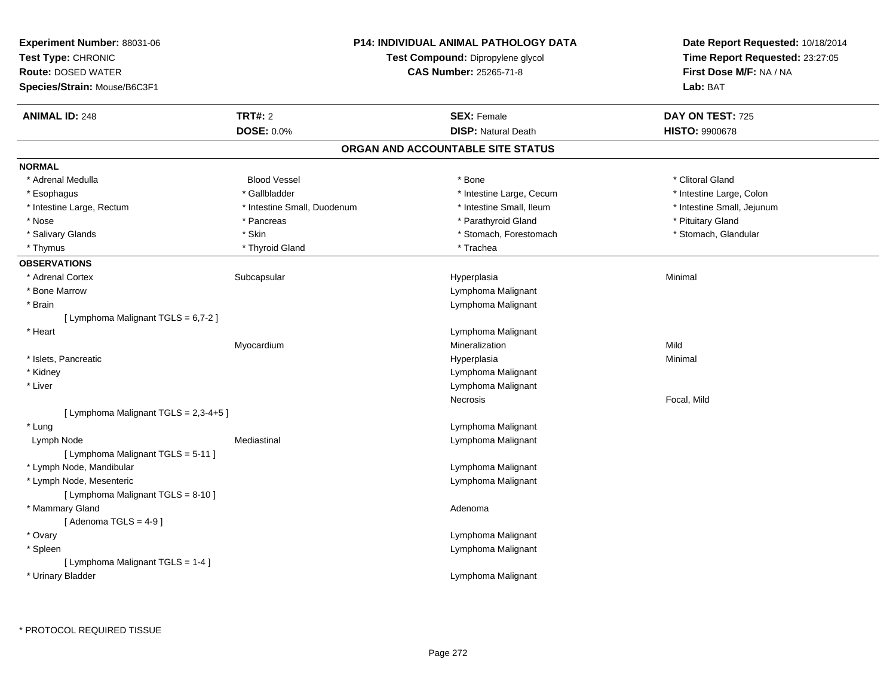| Experiment Number: 88031-06<br>Test Type: CHRONIC<br><b>Route: DOSED WATER</b><br>Species/Strain: Mouse/B6C3F1 |                              | <b>P14: INDIVIDUAL ANIMAL PATHOLOGY DATA</b><br>Test Compound: Dipropylene glycol<br><b>CAS Number: 25265-71-8</b> | Date Report Requested: 10/18/2014<br>Time Report Requested: 23:27:05<br>First Dose M/F: NA / NA<br>Lab: BAT |
|----------------------------------------------------------------------------------------------------------------|------------------------------|--------------------------------------------------------------------------------------------------------------------|-------------------------------------------------------------------------------------------------------------|
| <b>ANIMAL ID: 248</b>                                                                                          | TRT#: 2<br><b>DOSE: 0.0%</b> | <b>SEX: Female</b><br><b>DISP: Natural Death</b>                                                                   | DAY ON TEST: 725<br><b>HISTO: 9900678</b>                                                                   |
|                                                                                                                |                              | ORGAN AND ACCOUNTABLE SITE STATUS                                                                                  |                                                                                                             |
| <b>NORMAL</b>                                                                                                  |                              |                                                                                                                    |                                                                                                             |
| * Adrenal Medulla                                                                                              | <b>Blood Vessel</b>          | * Bone                                                                                                             | * Clitoral Gland                                                                                            |
| * Esophagus                                                                                                    | * Gallbladder                | * Intestine Large, Cecum                                                                                           | * Intestine Large, Colon                                                                                    |
| * Intestine Large, Rectum                                                                                      | * Intestine Small, Duodenum  | * Intestine Small, Ileum                                                                                           | * Intestine Small, Jejunum                                                                                  |
| * Nose                                                                                                         | * Pancreas                   | * Parathyroid Gland                                                                                                | * Pituitary Gland                                                                                           |
| * Salivary Glands                                                                                              | * Skin                       | * Stomach, Forestomach                                                                                             | * Stomach, Glandular                                                                                        |
| * Thymus                                                                                                       | * Thyroid Gland              | * Trachea                                                                                                          |                                                                                                             |
| <b>OBSERVATIONS</b>                                                                                            |                              |                                                                                                                    |                                                                                                             |
| * Adrenal Cortex                                                                                               | Subcapsular                  | Hyperplasia                                                                                                        | Minimal                                                                                                     |
| * Bone Marrow                                                                                                  |                              | Lymphoma Malignant                                                                                                 |                                                                                                             |
| * Brain                                                                                                        |                              | Lymphoma Malignant                                                                                                 |                                                                                                             |
| [ Lymphoma Malignant TGLS = 6,7-2 ]                                                                            |                              |                                                                                                                    |                                                                                                             |
| * Heart                                                                                                        |                              | Lymphoma Malignant                                                                                                 |                                                                                                             |
|                                                                                                                | Myocardium                   | Mineralization                                                                                                     | Mild                                                                                                        |
| * Islets, Pancreatic                                                                                           |                              | Hyperplasia                                                                                                        | Minimal                                                                                                     |
| * Kidney                                                                                                       |                              | Lymphoma Malignant                                                                                                 |                                                                                                             |
| * Liver                                                                                                        |                              | Lymphoma Malignant                                                                                                 |                                                                                                             |
|                                                                                                                |                              | Necrosis                                                                                                           | Focal, Mild                                                                                                 |
| [ Lymphoma Malignant TGLS = 2,3-4+5 ]                                                                          |                              |                                                                                                                    |                                                                                                             |
| * Lung                                                                                                         |                              | Lymphoma Malignant                                                                                                 |                                                                                                             |
| Lymph Node                                                                                                     | Mediastinal                  | Lymphoma Malignant                                                                                                 |                                                                                                             |
| [ Lymphoma Malignant TGLS = 5-11 ]                                                                             |                              |                                                                                                                    |                                                                                                             |
| * Lymph Node, Mandibular                                                                                       |                              | Lymphoma Malignant                                                                                                 |                                                                                                             |
| * Lymph Node, Mesenteric                                                                                       |                              | Lymphoma Malignant                                                                                                 |                                                                                                             |
| [ Lymphoma Malignant TGLS = 8-10 ]                                                                             |                              |                                                                                                                    |                                                                                                             |
| * Mammary Gland                                                                                                |                              | Adenoma                                                                                                            |                                                                                                             |
| [Adenoma TGLS = $4-9$ ]                                                                                        |                              |                                                                                                                    |                                                                                                             |
| * Ovary                                                                                                        |                              | Lymphoma Malignant                                                                                                 |                                                                                                             |
| * Spleen                                                                                                       |                              | Lymphoma Malignant                                                                                                 |                                                                                                             |
| [ Lymphoma Malignant TGLS = 1-4 ]                                                                              |                              |                                                                                                                    |                                                                                                             |
| * Urinary Bladder                                                                                              |                              | Lymphoma Malignant                                                                                                 |                                                                                                             |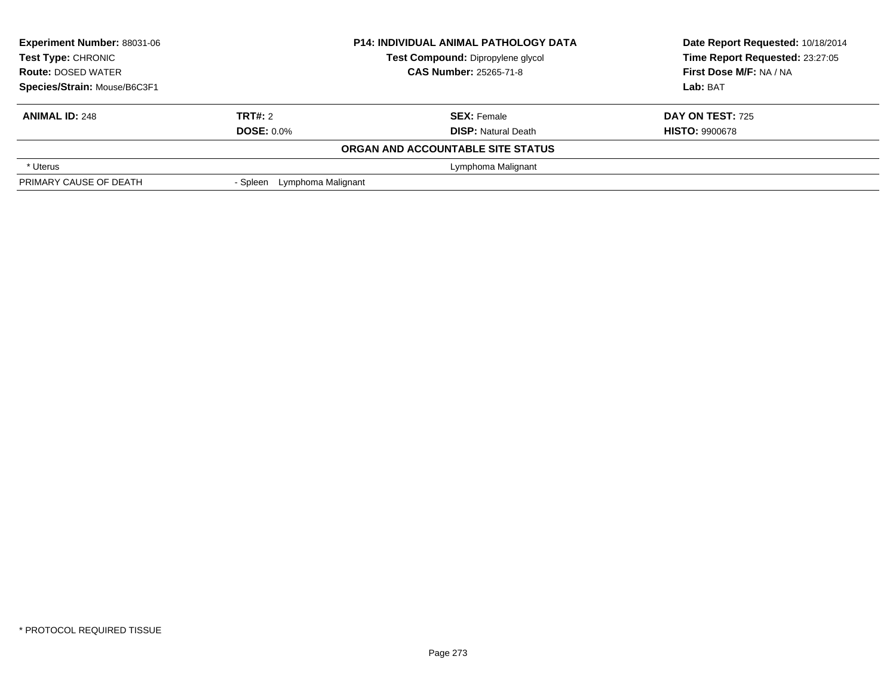| <b>Experiment Number: 88031-06</b> | <b>P14: INDIVIDUAL ANIMAL PATHOLOGY DATA</b><br>Test Compound: Dipropylene glycol |                                   | Date Report Requested: 10/18/2014 |
|------------------------------------|-----------------------------------------------------------------------------------|-----------------------------------|-----------------------------------|
| <b>Test Type: CHRONIC</b>          |                                                                                   |                                   | Time Report Requested: 23:27:05   |
| <b>Route: DOSED WATER</b>          |                                                                                   | <b>CAS Number: 25265-71-8</b>     | First Dose M/F: NA / NA           |
| Species/Strain: Mouse/B6C3F1       |                                                                                   |                                   | Lab: BAT                          |
| <b>ANIMAL ID: 248</b>              | TRT#: 2                                                                           | <b>SEX: Female</b>                | <b>DAY ON TEST: 725</b>           |
|                                    | <b>DOSE: 0.0%</b>                                                                 | <b>DISP: Natural Death</b>        | <b>HISTO: 9900678</b>             |
|                                    |                                                                                   | ORGAN AND ACCOUNTABLE SITE STATUS |                                   |
| * Uterus                           |                                                                                   | Lymphoma Malignant                |                                   |
| PRIMARY CAUSE OF DEATH             | Lymphoma Malignant<br>- Spleen                                                    |                                   |                                   |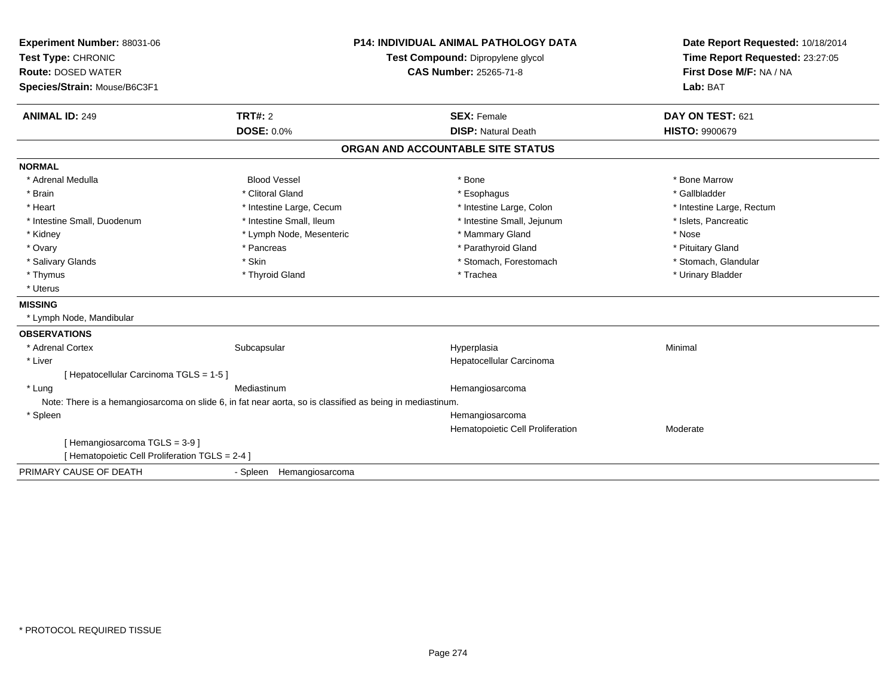| Experiment Number: 88031-06<br>Test Type: CHRONIC |                                                                                                           | <b>P14: INDIVIDUAL ANIMAL PATHOLOGY DATA</b><br>Test Compound: Dipropylene glycol | Date Report Requested: 10/18/2014<br>Time Report Requested: 23:27:05 |
|---------------------------------------------------|-----------------------------------------------------------------------------------------------------------|-----------------------------------------------------------------------------------|----------------------------------------------------------------------|
| <b>Route: DOSED WATER</b>                         |                                                                                                           | <b>CAS Number: 25265-71-8</b>                                                     | First Dose M/F: NA / NA                                              |
|                                                   |                                                                                                           |                                                                                   | Lab: BAT                                                             |
| Species/Strain: Mouse/B6C3F1                      |                                                                                                           |                                                                                   |                                                                      |
| <b>ANIMAL ID: 249</b>                             | TRT#: 2                                                                                                   | <b>SEX: Female</b>                                                                | DAY ON TEST: 621                                                     |
|                                                   | <b>DOSE: 0.0%</b>                                                                                         | <b>DISP: Natural Death</b>                                                        | <b>HISTO: 9900679</b>                                                |
|                                                   |                                                                                                           | ORGAN AND ACCOUNTABLE SITE STATUS                                                 |                                                                      |
| <b>NORMAL</b>                                     |                                                                                                           |                                                                                   |                                                                      |
| * Adrenal Medulla                                 | <b>Blood Vessel</b>                                                                                       | * Bone                                                                            | * Bone Marrow                                                        |
| * Brain                                           | * Clitoral Gland                                                                                          | * Esophagus                                                                       | * Gallbladder                                                        |
| * Heart                                           | * Intestine Large, Cecum                                                                                  | * Intestine Large, Colon                                                          | * Intestine Large, Rectum                                            |
| * Intestine Small, Duodenum                       | * Intestine Small, Ileum                                                                                  | * Intestine Small, Jejunum                                                        | * Islets, Pancreatic                                                 |
| * Kidney                                          | * Lymph Node, Mesenteric                                                                                  | * Mammary Gland                                                                   | * Nose                                                               |
| * Ovary                                           | * Pancreas                                                                                                | * Parathyroid Gland                                                               | * Pituitary Gland                                                    |
| * Salivary Glands                                 | * Skin                                                                                                    | * Stomach, Forestomach                                                            | * Stomach, Glandular                                                 |
| * Thymus                                          | * Thyroid Gland                                                                                           | * Trachea                                                                         | * Urinary Bladder                                                    |
| * Uterus                                          |                                                                                                           |                                                                                   |                                                                      |
| <b>MISSING</b>                                    |                                                                                                           |                                                                                   |                                                                      |
| * Lymph Node, Mandibular                          |                                                                                                           |                                                                                   |                                                                      |
| <b>OBSERVATIONS</b>                               |                                                                                                           |                                                                                   |                                                                      |
| * Adrenal Cortex                                  | Subcapsular                                                                                               | Hyperplasia                                                                       | Minimal                                                              |
| * Liver                                           |                                                                                                           | Hepatocellular Carcinoma                                                          |                                                                      |
| [ Hepatocellular Carcinoma TGLS = 1-5 ]           |                                                                                                           |                                                                                   |                                                                      |
| * Lung                                            | Mediastinum                                                                                               | Hemangiosarcoma                                                                   |                                                                      |
|                                                   | Note: There is a hemangiosarcoma on slide 6, in fat near aorta, so is classified as being in mediastinum. |                                                                                   |                                                                      |
| * Spleen                                          |                                                                                                           | Hemangiosarcoma                                                                   |                                                                      |
|                                                   |                                                                                                           | Hematopoietic Cell Proliferation                                                  | Moderate                                                             |
| [Hemangiosarcoma TGLS = 3-9]                      |                                                                                                           |                                                                                   |                                                                      |
| [ Hematopoietic Cell Proliferation TGLS = 2-4 ]   |                                                                                                           |                                                                                   |                                                                      |
| PRIMARY CAUSE OF DEATH                            | - Spleen Hemangiosarcoma                                                                                  |                                                                                   |                                                                      |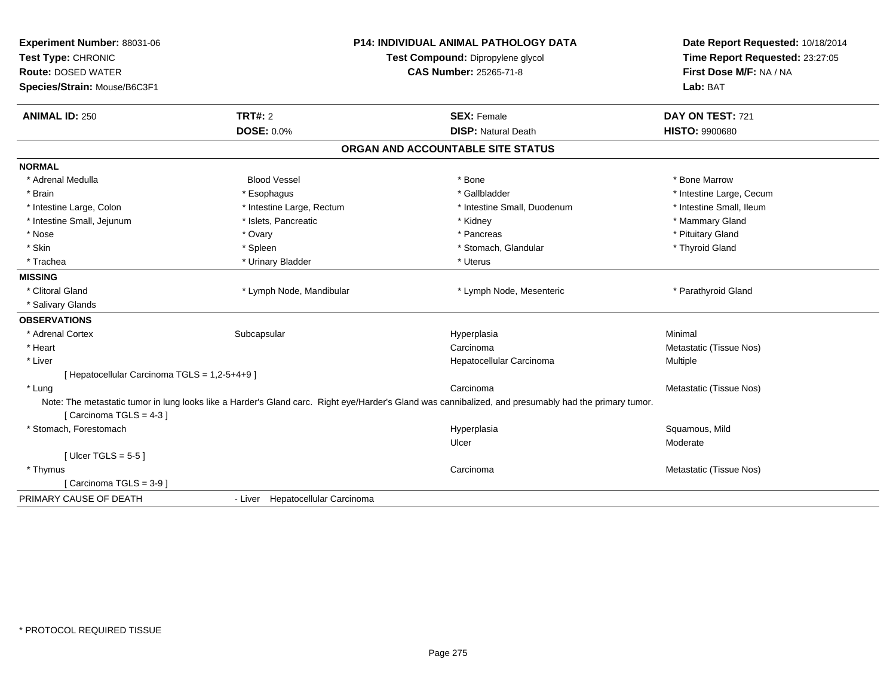| Experiment Number: 88031-06<br>Test Type: CHRONIC | <b>P14: INDIVIDUAL ANIMAL PATHOLOGY DATA</b><br>Test Compound: Dipropylene glycol |                                                                                                                                                       | Date Report Requested: 10/18/2014<br>Time Report Requested: 23:27:05 |
|---------------------------------------------------|-----------------------------------------------------------------------------------|-------------------------------------------------------------------------------------------------------------------------------------------------------|----------------------------------------------------------------------|
| <b>Route: DOSED WATER</b>                         |                                                                                   | <b>CAS Number: 25265-71-8</b>                                                                                                                         | First Dose M/F: NA / NA                                              |
| Species/Strain: Mouse/B6C3F1                      |                                                                                   |                                                                                                                                                       | Lab: BAT                                                             |
| <b>ANIMAL ID: 250</b>                             | <b>TRT#: 2</b>                                                                    | <b>SEX: Female</b>                                                                                                                                    | DAY ON TEST: 721                                                     |
|                                                   | <b>DOSE: 0.0%</b>                                                                 | <b>DISP: Natural Death</b>                                                                                                                            | <b>HISTO: 9900680</b>                                                |
|                                                   |                                                                                   | ORGAN AND ACCOUNTABLE SITE STATUS                                                                                                                     |                                                                      |
| <b>NORMAL</b>                                     |                                                                                   |                                                                                                                                                       |                                                                      |
| * Adrenal Medulla                                 | <b>Blood Vessel</b>                                                               | * Bone                                                                                                                                                | * Bone Marrow                                                        |
| * Brain                                           | * Esophagus                                                                       | * Gallbladder                                                                                                                                         | * Intestine Large, Cecum                                             |
| * Intestine Large, Colon                          | * Intestine Large, Rectum                                                         | * Intestine Small, Duodenum                                                                                                                           | * Intestine Small, Ileum                                             |
| * Intestine Small, Jejunum                        | * Islets, Pancreatic                                                              | * Kidney                                                                                                                                              | * Mammary Gland                                                      |
| * Nose                                            | * Ovary                                                                           | * Pancreas                                                                                                                                            | * Pituitary Gland                                                    |
| * Skin                                            | * Spleen                                                                          | * Stomach, Glandular                                                                                                                                  | * Thyroid Gland                                                      |
| * Trachea                                         | * Urinary Bladder                                                                 | * Uterus                                                                                                                                              |                                                                      |
| <b>MISSING</b>                                    |                                                                                   |                                                                                                                                                       |                                                                      |
| * Clitoral Gland                                  | * Lymph Node, Mandibular                                                          | * Lymph Node, Mesenteric                                                                                                                              | * Parathyroid Gland                                                  |
| * Salivary Glands                                 |                                                                                   |                                                                                                                                                       |                                                                      |
| <b>OBSERVATIONS</b>                               |                                                                                   |                                                                                                                                                       |                                                                      |
| * Adrenal Cortex                                  | Subcapsular                                                                       | Hyperplasia                                                                                                                                           | Minimal                                                              |
| * Heart                                           |                                                                                   | Carcinoma                                                                                                                                             | Metastatic (Tissue Nos)                                              |
| * Liver                                           |                                                                                   | Hepatocellular Carcinoma                                                                                                                              | Multiple                                                             |
| [ Hepatocellular Carcinoma TGLS = 1,2-5+4+9 ]     |                                                                                   |                                                                                                                                                       |                                                                      |
| * Lung                                            |                                                                                   | Carcinoma                                                                                                                                             | Metastatic (Tissue Nos)                                              |
|                                                   |                                                                                   | Note: The metastatic tumor in lung looks like a Harder's Gland carc. Right eye/Harder's Gland was cannibalized, and presumably had the primary tumor. |                                                                      |
| [Carcinoma TGLS = 4-3]                            |                                                                                   |                                                                                                                                                       |                                                                      |
| * Stomach, Forestomach                            |                                                                                   | Hyperplasia                                                                                                                                           | Squamous, Mild                                                       |
|                                                   |                                                                                   | Ulcer                                                                                                                                                 | Moderate                                                             |
| [Ulcer TGLS = $5-5$ ]                             |                                                                                   |                                                                                                                                                       |                                                                      |
| * Thymus                                          |                                                                                   | Carcinoma                                                                                                                                             | Metastatic (Tissue Nos)                                              |
| [Carcinoma TGLS = 3-9]                            |                                                                                   |                                                                                                                                                       |                                                                      |
| PRIMARY CAUSE OF DEATH                            | - Liver Hepatocellular Carcinoma                                                  |                                                                                                                                                       |                                                                      |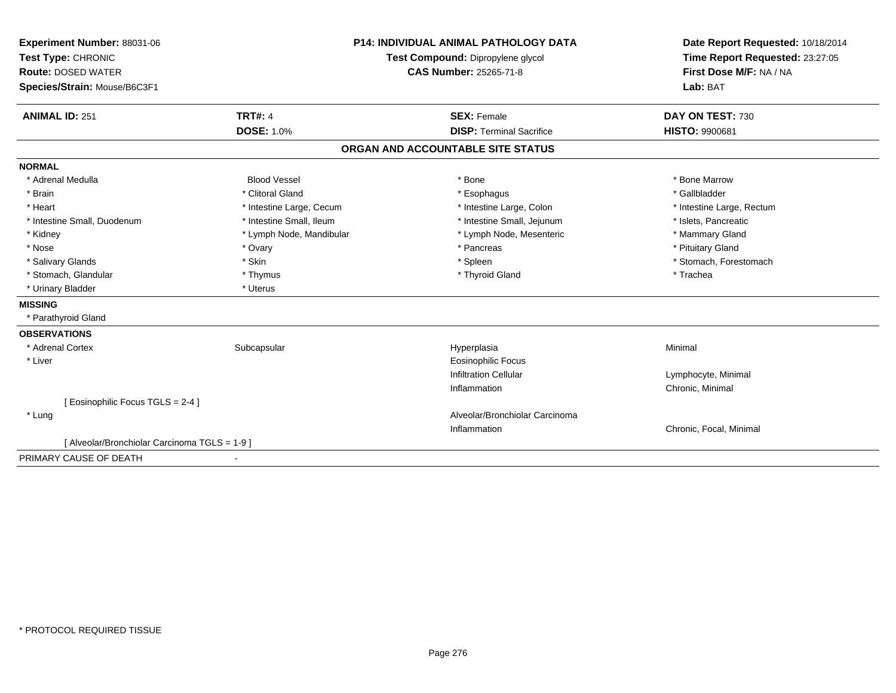| Experiment Number: 88031-06                   | <b>P14: INDIVIDUAL ANIMAL PATHOLOGY DATA</b><br>Test Compound: Dipropylene glycol<br><b>CAS Number: 25265-71-8</b> |                                   | Date Report Requested: 10/18/2014 |
|-----------------------------------------------|--------------------------------------------------------------------------------------------------------------------|-----------------------------------|-----------------------------------|
| Test Type: CHRONIC                            |                                                                                                                    |                                   | Time Report Requested: 23:27:05   |
| <b>Route: DOSED WATER</b>                     |                                                                                                                    |                                   | First Dose M/F: NA / NA           |
| Species/Strain: Mouse/B6C3F1                  |                                                                                                                    |                                   | Lab: BAT                          |
|                                               |                                                                                                                    |                                   |                                   |
| <b>ANIMAL ID: 251</b>                         | <b>TRT#: 4</b>                                                                                                     | <b>SEX: Female</b>                | DAY ON TEST: 730                  |
|                                               | <b>DOSE: 1.0%</b>                                                                                                  | <b>DISP: Terminal Sacrifice</b>   | <b>HISTO: 9900681</b>             |
|                                               |                                                                                                                    | ORGAN AND ACCOUNTABLE SITE STATUS |                                   |
| <b>NORMAL</b>                                 |                                                                                                                    |                                   |                                   |
| * Adrenal Medulla                             | <b>Blood Vessel</b>                                                                                                | * Bone                            | * Bone Marrow                     |
| * Brain                                       | * Clitoral Gland                                                                                                   | * Esophagus                       | * Gallbladder                     |
| * Heart                                       | * Intestine Large, Cecum                                                                                           | * Intestine Large, Colon          | * Intestine Large, Rectum         |
| * Intestine Small, Duodenum                   | * Intestine Small, Ileum                                                                                           | * Intestine Small, Jejunum        | * Islets, Pancreatic              |
| * Kidney                                      | * Lymph Node, Mandibular                                                                                           | * Lymph Node, Mesenteric          | * Mammary Gland                   |
| * Nose                                        | * Ovary                                                                                                            | * Pancreas                        | * Pituitary Gland                 |
| * Salivary Glands                             | * Skin                                                                                                             | * Spleen                          | * Stomach, Forestomach            |
| * Stomach, Glandular                          | * Thymus                                                                                                           | * Thyroid Gland                   | * Trachea                         |
| * Urinary Bladder                             | * Uterus                                                                                                           |                                   |                                   |
| <b>MISSING</b>                                |                                                                                                                    |                                   |                                   |
| * Parathyroid Gland                           |                                                                                                                    |                                   |                                   |
| <b>OBSERVATIONS</b>                           |                                                                                                                    |                                   |                                   |
| * Adrenal Cortex                              | Subcapsular                                                                                                        | Hyperplasia                       | Minimal                           |
| * Liver                                       |                                                                                                                    | <b>Eosinophilic Focus</b>         |                                   |
|                                               |                                                                                                                    | <b>Infiltration Cellular</b>      | Lymphocyte, Minimal               |
|                                               |                                                                                                                    | Inflammation                      | Chronic, Minimal                  |
| [Eosinophilic Focus TGLS = 2-4]               |                                                                                                                    |                                   |                                   |
| * Lung                                        |                                                                                                                    | Alveolar/Bronchiolar Carcinoma    |                                   |
|                                               |                                                                                                                    | Inflammation                      | Chronic, Focal, Minimal           |
| [ Alveolar/Bronchiolar Carcinoma TGLS = 1-9 ] |                                                                                                                    |                                   |                                   |
| PRIMARY CAUSE OF DEATH                        |                                                                                                                    |                                   |                                   |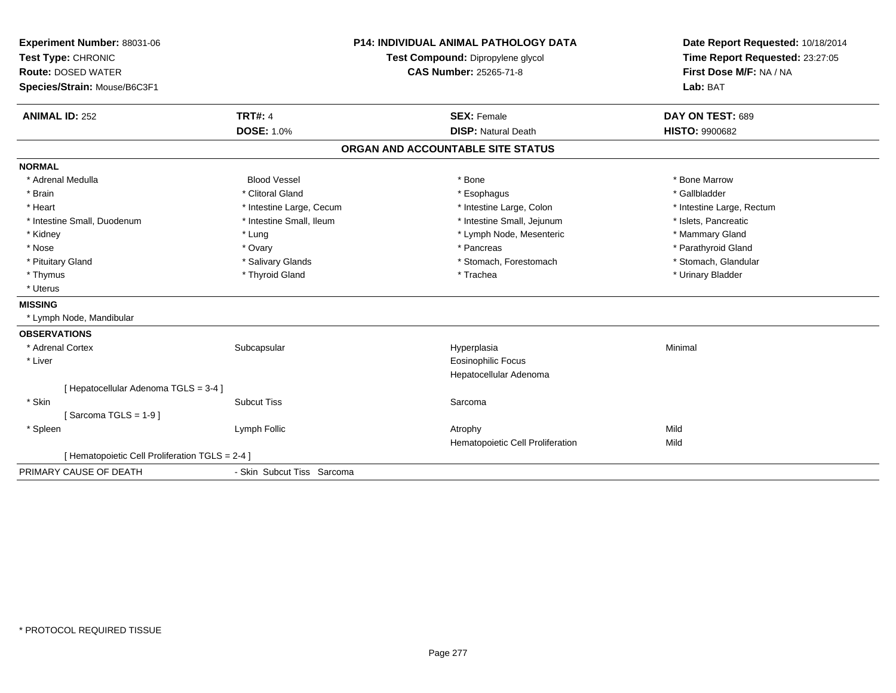| Experiment Number: 88031-06<br>Test Type: CHRONIC<br><b>Route: DOSED WATER</b><br>Species/Strain: Mouse/B6C3F1 |                                     | <b>P14: INDIVIDUAL ANIMAL PATHOLOGY DATA</b><br>Test Compound: Dipropylene glycol<br><b>CAS Number: 25265-71-8</b> | Date Report Requested: 10/18/2014<br>Time Report Requested: 23:27:05<br>First Dose M/F: NA / NA<br>Lab: BAT |
|----------------------------------------------------------------------------------------------------------------|-------------------------------------|--------------------------------------------------------------------------------------------------------------------|-------------------------------------------------------------------------------------------------------------|
| <b>ANIMAL ID: 252</b>                                                                                          | <b>TRT#: 4</b><br><b>DOSE: 1.0%</b> | <b>SEX: Female</b><br><b>DISP: Natural Death</b>                                                                   | DAY ON TEST: 689<br><b>HISTO: 9900682</b>                                                                   |
|                                                                                                                |                                     | ORGAN AND ACCOUNTABLE SITE STATUS                                                                                  |                                                                                                             |
| <b>NORMAL</b>                                                                                                  |                                     |                                                                                                                    |                                                                                                             |
| * Adrenal Medulla                                                                                              | <b>Blood Vessel</b>                 | * Bone                                                                                                             | * Bone Marrow                                                                                               |
| * Brain                                                                                                        | * Clitoral Gland                    | * Esophagus                                                                                                        | * Gallbladder                                                                                               |
| * Heart                                                                                                        | * Intestine Large, Cecum            | * Intestine Large, Colon                                                                                           | * Intestine Large, Rectum                                                                                   |
| * Intestine Small, Duodenum                                                                                    | * Intestine Small, Ileum            | * Intestine Small, Jejunum                                                                                         | * Islets, Pancreatic                                                                                        |
| * Kidney                                                                                                       | * Lung                              | * Lymph Node, Mesenteric                                                                                           | * Mammary Gland                                                                                             |
| * Nose                                                                                                         | * Ovary                             | * Pancreas                                                                                                         | * Parathyroid Gland                                                                                         |
| * Pituitary Gland                                                                                              | * Salivary Glands                   | * Stomach, Forestomach                                                                                             | * Stomach, Glandular                                                                                        |
| * Thymus                                                                                                       | * Thyroid Gland                     | * Trachea                                                                                                          | * Urinary Bladder                                                                                           |
| * Uterus                                                                                                       |                                     |                                                                                                                    |                                                                                                             |
| <b>MISSING</b>                                                                                                 |                                     |                                                                                                                    |                                                                                                             |
| * Lymph Node, Mandibular                                                                                       |                                     |                                                                                                                    |                                                                                                             |
| <b>OBSERVATIONS</b>                                                                                            |                                     |                                                                                                                    |                                                                                                             |
| * Adrenal Cortex                                                                                               | Subcapsular                         | Hyperplasia                                                                                                        | Minimal                                                                                                     |
| * Liver                                                                                                        |                                     | Eosinophilic Focus<br>Hepatocellular Adenoma                                                                       |                                                                                                             |
| [ Hepatocellular Adenoma TGLS = 3-4 ]                                                                          |                                     |                                                                                                                    |                                                                                                             |
| * Skin                                                                                                         | <b>Subcut Tiss</b>                  | Sarcoma                                                                                                            |                                                                                                             |
| [Sarcoma TGLS = $1-9$ ]                                                                                        |                                     |                                                                                                                    |                                                                                                             |
| * Spleen                                                                                                       | Lymph Follic                        | Atrophy<br>Hematopoietic Cell Proliferation                                                                        | Mild<br>Mild                                                                                                |
| [ Hematopoietic Cell Proliferation TGLS = 2-4 ]                                                                |                                     |                                                                                                                    |                                                                                                             |
| PRIMARY CAUSE OF DEATH                                                                                         | - Skin Subcut Tiss Sarcoma          |                                                                                                                    |                                                                                                             |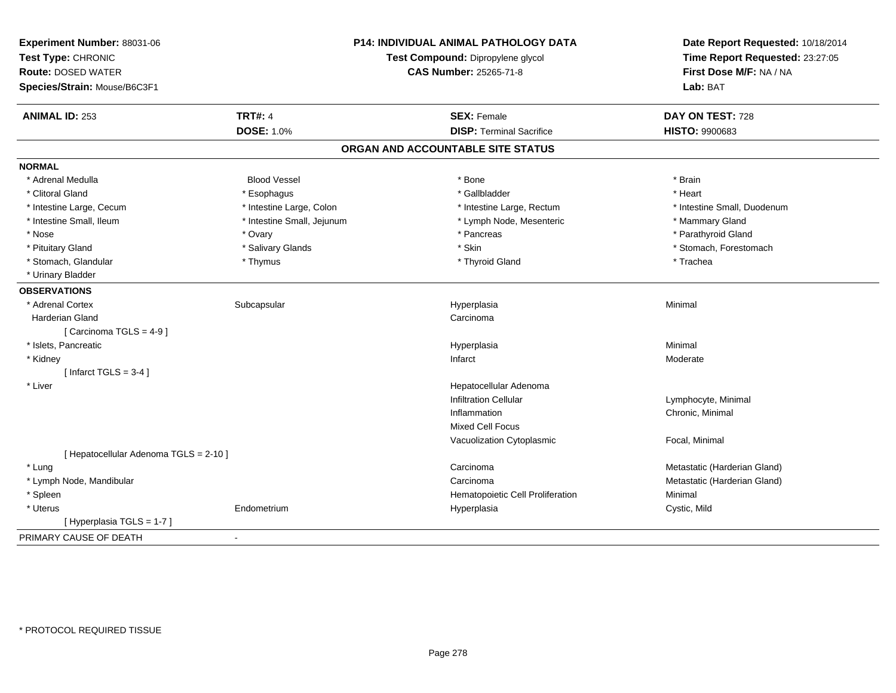| Experiment Number: 88031-06<br>Test Type: CHRONIC<br><b>Route: DOSED WATER</b><br>Species/Strain: Mouse/B6C3F1 |                            | <b>P14: INDIVIDUAL ANIMAL PATHOLOGY DATA</b><br>Test Compound: Dipropylene glycol<br><b>CAS Number: 25265-71-8</b> | Date Report Requested: 10/18/2014<br>Time Report Requested: 23:27:05<br>First Dose M/F: NA / NA<br>Lab: BAT |
|----------------------------------------------------------------------------------------------------------------|----------------------------|--------------------------------------------------------------------------------------------------------------------|-------------------------------------------------------------------------------------------------------------|
| <b>ANIMAL ID: 253</b>                                                                                          | <b>TRT#: 4</b>             | <b>SEX: Female</b>                                                                                                 | DAY ON TEST: 728                                                                                            |
|                                                                                                                | <b>DOSE: 1.0%</b>          | <b>DISP: Terminal Sacrifice</b>                                                                                    | <b>HISTO: 9900683</b>                                                                                       |
|                                                                                                                |                            | ORGAN AND ACCOUNTABLE SITE STATUS                                                                                  |                                                                                                             |
| <b>NORMAL</b>                                                                                                  |                            |                                                                                                                    |                                                                                                             |
| * Adrenal Medulla                                                                                              | <b>Blood Vessel</b>        | * Bone                                                                                                             | * Brain                                                                                                     |
| * Clitoral Gland                                                                                               | * Esophagus                | * Gallbladder                                                                                                      | * Heart                                                                                                     |
| * Intestine Large, Cecum                                                                                       | * Intestine Large, Colon   | * Intestine Large, Rectum                                                                                          | * Intestine Small, Duodenum                                                                                 |
| * Intestine Small, Ileum                                                                                       | * Intestine Small, Jejunum | * Lymph Node, Mesenteric                                                                                           | * Mammary Gland                                                                                             |
| * Nose                                                                                                         | * Ovary                    | * Pancreas                                                                                                         | * Parathyroid Gland                                                                                         |
| * Pituitary Gland                                                                                              | * Salivary Glands          | * Skin                                                                                                             | * Stomach, Forestomach                                                                                      |
| * Stomach, Glandular                                                                                           | * Thymus                   | * Thyroid Gland                                                                                                    | * Trachea                                                                                                   |
| * Urinary Bladder                                                                                              |                            |                                                                                                                    |                                                                                                             |
| <b>OBSERVATIONS</b>                                                                                            |                            |                                                                                                                    |                                                                                                             |
| * Adrenal Cortex                                                                                               | Subcapsular                | Hyperplasia                                                                                                        | Minimal                                                                                                     |
| Harderian Gland                                                                                                |                            | Carcinoma                                                                                                          |                                                                                                             |
| [Carcinoma TGLS = 4-9]                                                                                         |                            |                                                                                                                    |                                                                                                             |
| * Islets, Pancreatic                                                                                           |                            | Hyperplasia                                                                                                        | Minimal                                                                                                     |
| * Kidney                                                                                                       |                            | Infarct                                                                                                            | Moderate                                                                                                    |
| [Infarct TGLS = $3-4$ ]                                                                                        |                            |                                                                                                                    |                                                                                                             |
| * Liver                                                                                                        |                            | Hepatocellular Adenoma                                                                                             |                                                                                                             |
|                                                                                                                |                            | <b>Infiltration Cellular</b>                                                                                       | Lymphocyte, Minimal                                                                                         |
|                                                                                                                |                            | Inflammation                                                                                                       | Chronic, Minimal                                                                                            |
|                                                                                                                |                            | <b>Mixed Cell Focus</b>                                                                                            |                                                                                                             |
|                                                                                                                |                            | Vacuolization Cytoplasmic                                                                                          | Focal, Minimal                                                                                              |
| [ Hepatocellular Adenoma TGLS = 2-10 ]                                                                         |                            |                                                                                                                    |                                                                                                             |
| * Lung                                                                                                         |                            | Carcinoma                                                                                                          | Metastatic (Harderian Gland)                                                                                |
| * Lymph Node, Mandibular                                                                                       |                            | Carcinoma                                                                                                          | Metastatic (Harderian Gland)                                                                                |
| * Spleen                                                                                                       |                            | Hematopoietic Cell Proliferation                                                                                   | Minimal                                                                                                     |
| * Uterus                                                                                                       | Endometrium                | Hyperplasia                                                                                                        | Cystic, Mild                                                                                                |
| [Hyperplasia TGLS = 1-7]                                                                                       |                            |                                                                                                                    |                                                                                                             |
| PRIMARY CAUSE OF DEATH                                                                                         | $\overline{\phantom{a}}$   |                                                                                                                    |                                                                                                             |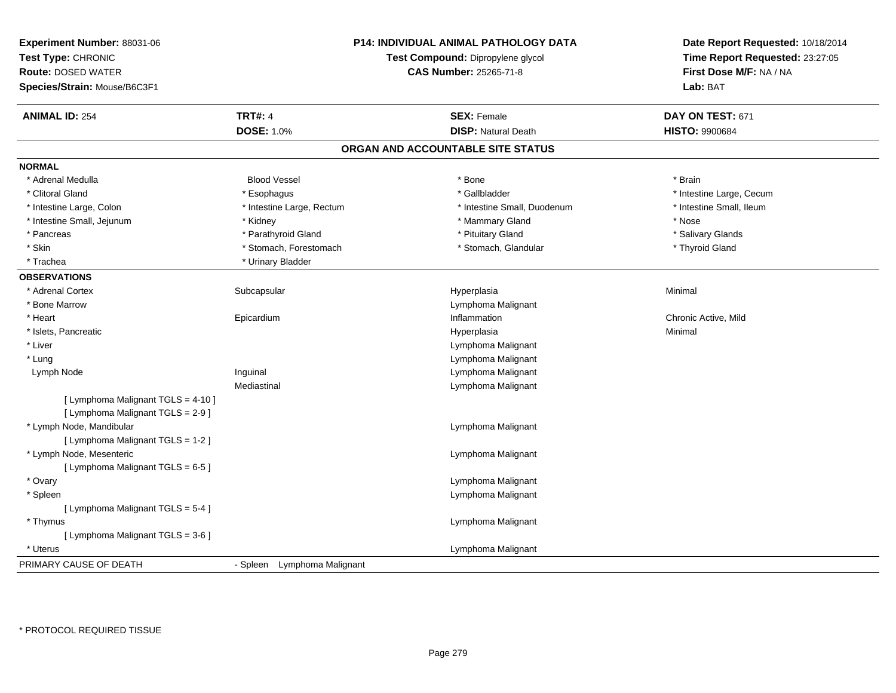| Experiment Number: 88031-06<br>Test Type: CHRONIC<br><b>Route: DOSED WATER</b><br>Species/Strain: Mouse/B6C3F1 |                                | P14: INDIVIDUAL ANIMAL PATHOLOGY DATA<br>Test Compound: Dipropylene glycol<br><b>CAS Number: 25265-71-8</b> | Date Report Requested: 10/18/2014<br>Time Report Requested: 23:27:05<br>First Dose M/F: NA / NA<br>Lab: BAT |
|----------------------------------------------------------------------------------------------------------------|--------------------------------|-------------------------------------------------------------------------------------------------------------|-------------------------------------------------------------------------------------------------------------|
| <b>ANIMAL ID: 254</b>                                                                                          | <b>TRT#: 4</b>                 | <b>SEX: Female</b>                                                                                          | DAY ON TEST: 671                                                                                            |
|                                                                                                                | <b>DOSE: 1.0%</b>              | <b>DISP: Natural Death</b>                                                                                  | <b>HISTO: 9900684</b>                                                                                       |
|                                                                                                                |                                | ORGAN AND ACCOUNTABLE SITE STATUS                                                                           |                                                                                                             |
| <b>NORMAL</b>                                                                                                  |                                |                                                                                                             |                                                                                                             |
| * Adrenal Medulla                                                                                              | <b>Blood Vessel</b>            | * Bone                                                                                                      | * Brain                                                                                                     |
| * Clitoral Gland                                                                                               | * Esophagus                    | * Gallbladder                                                                                               | * Intestine Large, Cecum                                                                                    |
| * Intestine Large, Colon                                                                                       | * Intestine Large, Rectum      | * Intestine Small, Duodenum                                                                                 | * Intestine Small, Ileum                                                                                    |
| * Intestine Small, Jejunum                                                                                     | * Kidney                       | * Mammary Gland                                                                                             | * Nose                                                                                                      |
| * Pancreas                                                                                                     | * Parathyroid Gland            | * Pituitary Gland                                                                                           | * Salivary Glands                                                                                           |
| * Skin                                                                                                         | * Stomach, Forestomach         | * Stomach, Glandular                                                                                        | * Thyroid Gland                                                                                             |
| * Trachea                                                                                                      | * Urinary Bladder              |                                                                                                             |                                                                                                             |
| <b>OBSERVATIONS</b>                                                                                            |                                |                                                                                                             |                                                                                                             |
| * Adrenal Cortex                                                                                               | Subcapsular                    | Hyperplasia                                                                                                 | Minimal                                                                                                     |
| * Bone Marrow                                                                                                  |                                | Lymphoma Malignant                                                                                          |                                                                                                             |
| * Heart                                                                                                        | Epicardium                     | Inflammation                                                                                                | Chronic Active, Mild                                                                                        |
| * Islets, Pancreatic                                                                                           |                                | Hyperplasia                                                                                                 | Minimal                                                                                                     |
| * Liver                                                                                                        |                                | Lymphoma Malignant                                                                                          |                                                                                                             |
| * Lung                                                                                                         |                                | Lymphoma Malignant                                                                                          |                                                                                                             |
| Lymph Node                                                                                                     | Inguinal                       | Lymphoma Malignant                                                                                          |                                                                                                             |
|                                                                                                                | Mediastinal                    | Lymphoma Malignant                                                                                          |                                                                                                             |
| [ Lymphoma Malignant TGLS = 4-10 ]<br>[ Lymphoma Malignant TGLS = 2-9 ]                                        |                                |                                                                                                             |                                                                                                             |
| * Lymph Node, Mandibular<br>[ Lymphoma Malignant TGLS = 1-2 ]                                                  |                                | Lymphoma Malignant                                                                                          |                                                                                                             |
| * Lymph Node, Mesenteric<br>[ Lymphoma Malignant TGLS = 6-5 ]                                                  |                                | Lymphoma Malignant                                                                                          |                                                                                                             |
| * Ovary                                                                                                        |                                | Lymphoma Malignant                                                                                          |                                                                                                             |
| * Spleen                                                                                                       |                                | Lymphoma Malignant                                                                                          |                                                                                                             |
| [ Lymphoma Malignant TGLS = 5-4 ]                                                                              |                                |                                                                                                             |                                                                                                             |
| * Thymus                                                                                                       |                                | Lymphoma Malignant                                                                                          |                                                                                                             |
| [ Lymphoma Malignant TGLS = 3-6 ]                                                                              |                                |                                                                                                             |                                                                                                             |
| * Uterus                                                                                                       |                                | Lymphoma Malignant                                                                                          |                                                                                                             |
| PRIMARY CAUSE OF DEATH                                                                                         | Lymphoma Malignant<br>- Spleen |                                                                                                             |                                                                                                             |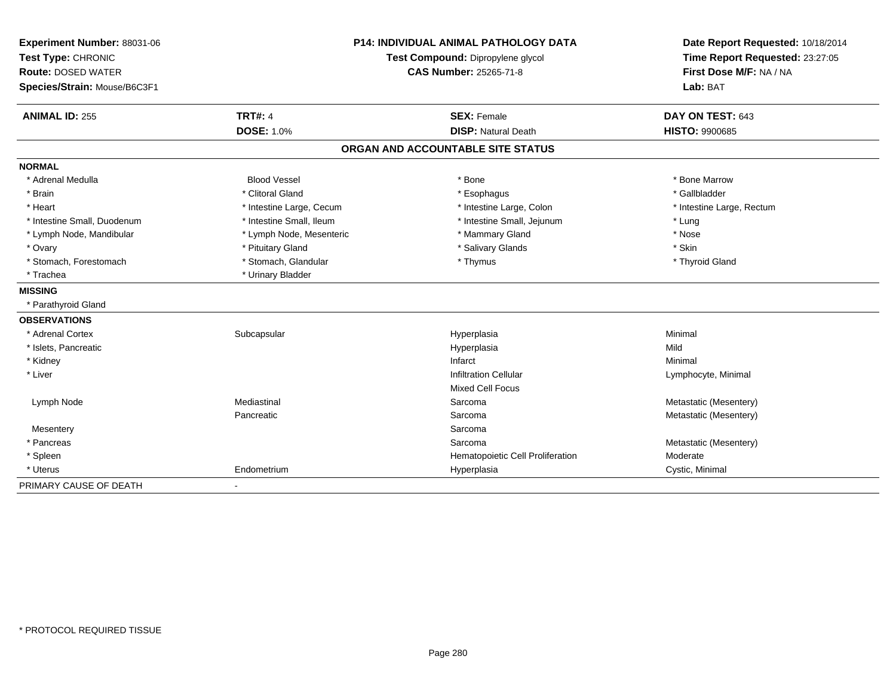| Experiment Number: 88031-06<br>Test Type: CHRONIC<br><b>Route: DOSED WATER</b> |                          | <b>P14: INDIVIDUAL ANIMAL PATHOLOGY DATA</b><br>Test Compound: Dipropylene glycol<br><b>CAS Number: 25265-71-8</b> | Date Report Requested: 10/18/2014<br>Time Report Requested: 23:27:05<br>First Dose M/F: NA / NA |
|--------------------------------------------------------------------------------|--------------------------|--------------------------------------------------------------------------------------------------------------------|-------------------------------------------------------------------------------------------------|
| Species/Strain: Mouse/B6C3F1                                                   |                          |                                                                                                                    | Lab: BAT                                                                                        |
| <b>ANIMAL ID: 255</b>                                                          | <b>TRT#: 4</b>           | <b>SEX: Female</b>                                                                                                 | DAY ON TEST: 643                                                                                |
|                                                                                | <b>DOSE: 1.0%</b>        | <b>DISP: Natural Death</b>                                                                                         | <b>HISTO: 9900685</b>                                                                           |
|                                                                                |                          | ORGAN AND ACCOUNTABLE SITE STATUS                                                                                  |                                                                                                 |
| <b>NORMAL</b>                                                                  |                          |                                                                                                                    |                                                                                                 |
| * Adrenal Medulla                                                              | <b>Blood Vessel</b>      | * Bone                                                                                                             | * Bone Marrow                                                                                   |
| * Brain                                                                        | * Clitoral Gland         | * Esophagus                                                                                                        | * Gallbladder                                                                                   |
| * Heart                                                                        | * Intestine Large, Cecum | * Intestine Large, Colon                                                                                           | * Intestine Large, Rectum                                                                       |
| * Intestine Small, Duodenum                                                    | * Intestine Small, Ileum | * Intestine Small, Jejunum                                                                                         | * Lung                                                                                          |
| * Lymph Node, Mandibular                                                       | * Lymph Node, Mesenteric | * Mammary Gland                                                                                                    | * Nose                                                                                          |
| * Ovary                                                                        | * Pituitary Gland        | * Salivary Glands                                                                                                  | * Skin                                                                                          |
| * Stomach, Forestomach                                                         | * Stomach, Glandular     | * Thymus                                                                                                           | * Thyroid Gland                                                                                 |
| * Trachea                                                                      | * Urinary Bladder        |                                                                                                                    |                                                                                                 |
| <b>MISSING</b>                                                                 |                          |                                                                                                                    |                                                                                                 |
| * Parathyroid Gland                                                            |                          |                                                                                                                    |                                                                                                 |
| <b>OBSERVATIONS</b>                                                            |                          |                                                                                                                    |                                                                                                 |
| * Adrenal Cortex                                                               | Subcapsular              | Hyperplasia                                                                                                        | Minimal                                                                                         |
| * Islets, Pancreatic                                                           |                          | Hyperplasia                                                                                                        | Mild                                                                                            |
| * Kidney                                                                       |                          | Infarct                                                                                                            | Minimal                                                                                         |
| * Liver                                                                        |                          | <b>Infiltration Cellular</b>                                                                                       | Lymphocyte, Minimal                                                                             |
|                                                                                |                          | Mixed Cell Focus                                                                                                   |                                                                                                 |
| Lymph Node                                                                     | Mediastinal              | Sarcoma                                                                                                            | Metastatic (Mesentery)                                                                          |
|                                                                                | Pancreatic               | Sarcoma                                                                                                            | Metastatic (Mesentery)                                                                          |
| Mesentery                                                                      |                          | Sarcoma                                                                                                            |                                                                                                 |
| * Pancreas                                                                     |                          | Sarcoma                                                                                                            | Metastatic (Mesentery)                                                                          |
| * Spleen                                                                       |                          | Hematopoietic Cell Proliferation                                                                                   | Moderate                                                                                        |
| * Uterus                                                                       | Endometrium              | Hyperplasia                                                                                                        | Cystic, Minimal                                                                                 |
| PRIMARY CAUSE OF DEATH                                                         |                          |                                                                                                                    |                                                                                                 |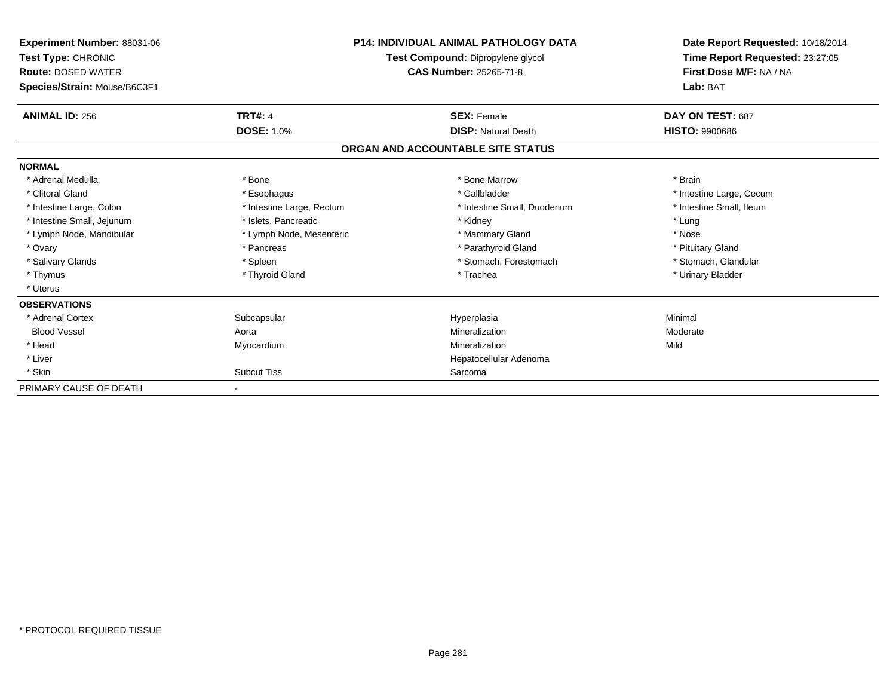| <b>Experiment Number: 88031-06</b><br>Test Type: CHRONIC<br><b>Route: DOSED WATER</b><br>Species/Strain: Mouse/B6C3F1 |                           | <b>P14: INDIVIDUAL ANIMAL PATHOLOGY DATA</b><br>Test Compound: Dipropylene glycol<br><b>CAS Number: 25265-71-8</b> | Date Report Requested: 10/18/2014<br>Time Report Requested: 23:27:05<br>First Dose M/F: NA / NA<br>Lab: BAT |
|-----------------------------------------------------------------------------------------------------------------------|---------------------------|--------------------------------------------------------------------------------------------------------------------|-------------------------------------------------------------------------------------------------------------|
| <b>ANIMAL ID: 256</b>                                                                                                 | <b>TRT#: 4</b>            | <b>SEX: Female</b>                                                                                                 | DAY ON TEST: 687                                                                                            |
|                                                                                                                       | <b>DOSE: 1.0%</b>         | <b>DISP: Natural Death</b>                                                                                         | <b>HISTO: 9900686</b>                                                                                       |
|                                                                                                                       |                           | ORGAN AND ACCOUNTABLE SITE STATUS                                                                                  |                                                                                                             |
| <b>NORMAL</b>                                                                                                         |                           |                                                                                                                    |                                                                                                             |
| * Adrenal Medulla                                                                                                     | * Bone                    | * Bone Marrow                                                                                                      | * Brain                                                                                                     |
| * Clitoral Gland                                                                                                      | * Esophagus               | * Gallbladder                                                                                                      | * Intestine Large, Cecum                                                                                    |
| * Intestine Large, Colon                                                                                              | * Intestine Large, Rectum | * Intestine Small, Duodenum                                                                                        | * Intestine Small, Ileum                                                                                    |
| * Intestine Small, Jejunum                                                                                            | * Islets, Pancreatic      | * Kidney                                                                                                           | * Lung                                                                                                      |
| * Lymph Node, Mandibular                                                                                              | * Lymph Node, Mesenteric  | * Mammary Gland                                                                                                    | * Nose                                                                                                      |
| * Ovary                                                                                                               | * Pancreas                | * Parathyroid Gland                                                                                                | * Pituitary Gland                                                                                           |
| * Salivary Glands                                                                                                     | * Spleen                  | * Stomach, Forestomach                                                                                             | * Stomach, Glandular                                                                                        |
| * Thymus                                                                                                              | * Thyroid Gland           | * Trachea                                                                                                          | * Urinary Bladder                                                                                           |
| * Uterus                                                                                                              |                           |                                                                                                                    |                                                                                                             |
| <b>OBSERVATIONS</b>                                                                                                   |                           |                                                                                                                    |                                                                                                             |
| * Adrenal Cortex                                                                                                      | Subcapsular               | Hyperplasia                                                                                                        | Minimal                                                                                                     |
| <b>Blood Vessel</b>                                                                                                   | Aorta                     | Mineralization                                                                                                     | Moderate                                                                                                    |
| * Heart                                                                                                               | Myocardium                | Mineralization                                                                                                     | Mild                                                                                                        |
| * Liver                                                                                                               |                           | Hepatocellular Adenoma                                                                                             |                                                                                                             |
| * Skin                                                                                                                | <b>Subcut Tiss</b>        | Sarcoma                                                                                                            |                                                                                                             |
| PRIMARY CAUSE OF DEATH                                                                                                |                           |                                                                                                                    |                                                                                                             |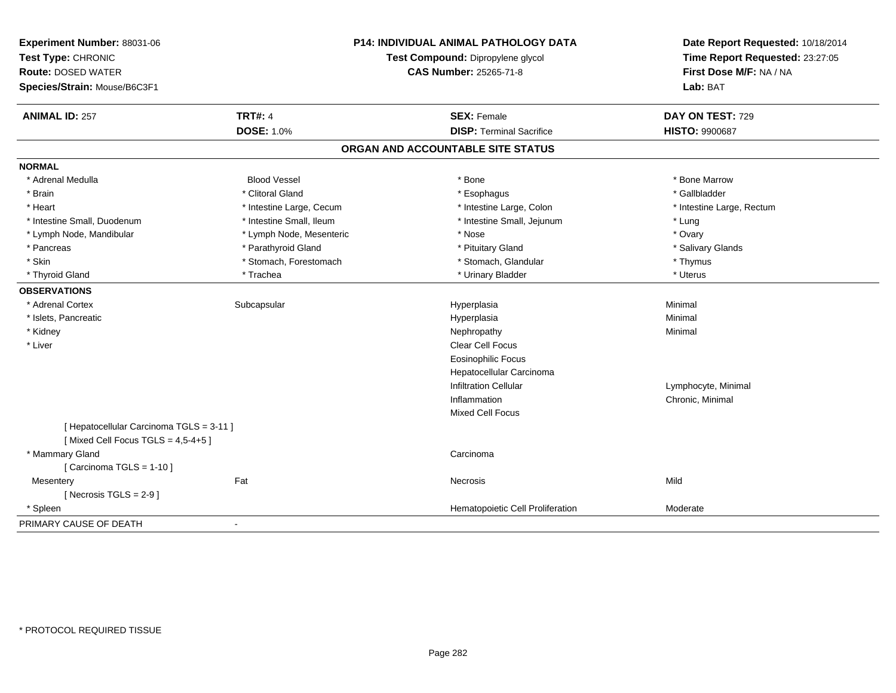| Experiment Number: 88031-06<br>Test Type: CHRONIC<br><b>Route: DOSED WATER</b><br>Species/Strain: Mouse/B6C3F1 |                          | <b>P14: INDIVIDUAL ANIMAL PATHOLOGY DATA</b><br>Test Compound: Dipropylene glycol<br><b>CAS Number: 25265-71-8</b> | Date Report Requested: 10/18/2014<br>Time Report Requested: 23:27:05<br>First Dose M/F: NA / NA<br>Lab: BAT |
|----------------------------------------------------------------------------------------------------------------|--------------------------|--------------------------------------------------------------------------------------------------------------------|-------------------------------------------------------------------------------------------------------------|
| <b>ANIMAL ID: 257</b>                                                                                          | <b>TRT#: 4</b>           | <b>SEX: Female</b>                                                                                                 | DAY ON TEST: 729                                                                                            |
|                                                                                                                | <b>DOSE: 1.0%</b>        | <b>DISP: Terminal Sacrifice</b>                                                                                    | <b>HISTO: 9900687</b>                                                                                       |
|                                                                                                                |                          | ORGAN AND ACCOUNTABLE SITE STATUS                                                                                  |                                                                                                             |
| <b>NORMAL</b>                                                                                                  |                          |                                                                                                                    |                                                                                                             |
| * Adrenal Medulla                                                                                              | <b>Blood Vessel</b>      | * Bone                                                                                                             | * Bone Marrow                                                                                               |
| * Brain                                                                                                        | * Clitoral Gland         | * Esophagus                                                                                                        | * Gallbladder                                                                                               |
| * Heart                                                                                                        | * Intestine Large, Cecum | * Intestine Large, Colon                                                                                           | * Intestine Large, Rectum                                                                                   |
| * Intestine Small, Duodenum                                                                                    | * Intestine Small, Ileum | * Intestine Small, Jejunum                                                                                         | * Lung                                                                                                      |
| * Lymph Node, Mandibular                                                                                       | * Lymph Node, Mesenteric | * Nose                                                                                                             | * Ovary                                                                                                     |
| * Pancreas                                                                                                     | * Parathyroid Gland      | * Pituitary Gland                                                                                                  | * Salivary Glands                                                                                           |
| * Skin                                                                                                         | * Stomach, Forestomach   | * Stomach, Glandular                                                                                               | * Thymus                                                                                                    |
| * Thyroid Gland                                                                                                | * Trachea                | * Urinary Bladder                                                                                                  | * Uterus                                                                                                    |
| <b>OBSERVATIONS</b>                                                                                            |                          |                                                                                                                    |                                                                                                             |
| * Adrenal Cortex                                                                                               | Subcapsular              | Hyperplasia                                                                                                        | Minimal                                                                                                     |
| * Islets, Pancreatic                                                                                           |                          | Hyperplasia                                                                                                        | Minimal                                                                                                     |
| * Kidney                                                                                                       |                          | Nephropathy                                                                                                        | Minimal                                                                                                     |
| * Liver                                                                                                        |                          | Clear Cell Focus                                                                                                   |                                                                                                             |
|                                                                                                                |                          | <b>Eosinophilic Focus</b>                                                                                          |                                                                                                             |
|                                                                                                                |                          | Hepatocellular Carcinoma                                                                                           |                                                                                                             |
|                                                                                                                |                          | <b>Infiltration Cellular</b>                                                                                       | Lymphocyte, Minimal                                                                                         |
|                                                                                                                |                          | Inflammation                                                                                                       | Chronic, Minimal                                                                                            |
|                                                                                                                |                          | Mixed Cell Focus                                                                                                   |                                                                                                             |
| [ Hepatocellular Carcinoma TGLS = 3-11 ]<br>[Mixed Cell Focus TGLS = $4,5-4+5$ ]                               |                          |                                                                                                                    |                                                                                                             |
| * Mammary Gland                                                                                                |                          | Carcinoma                                                                                                          |                                                                                                             |
| [Carcinoma TGLS = 1-10]                                                                                        |                          |                                                                                                                    |                                                                                                             |
| Mesentery                                                                                                      | Fat                      | Necrosis                                                                                                           | Mild                                                                                                        |
| [ Necrosis $TGLS = 2-9$ ]                                                                                      |                          |                                                                                                                    |                                                                                                             |
| * Spleen                                                                                                       |                          | Hematopoietic Cell Proliferation                                                                                   | Moderate                                                                                                    |
| PRIMARY CAUSE OF DEATH                                                                                         |                          |                                                                                                                    |                                                                                                             |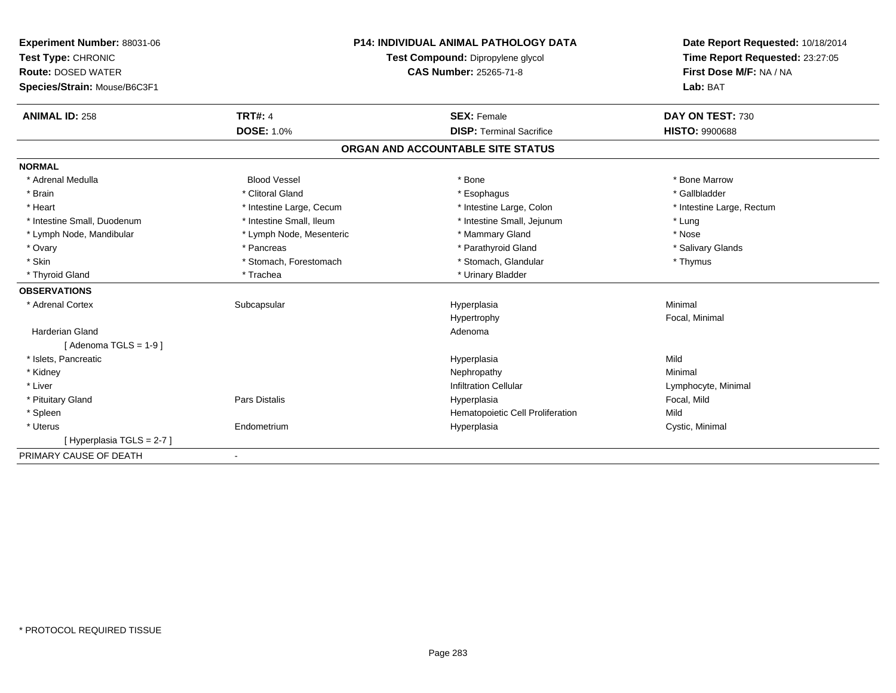| Experiment Number: 88031-06  |                                                             | <b>P14: INDIVIDUAL ANIMAL PATHOLOGY DATA</b> | Date Report Requested: 10/18/2014 |
|------------------------------|-------------------------------------------------------------|----------------------------------------------|-----------------------------------|
| Test Type: CHRONIC           | Test Compound: Dipropylene glycol<br>CAS Number: 25265-71-8 |                                              | Time Report Requested: 23:27:05   |
| <b>Route: DOSED WATER</b>    |                                                             |                                              | First Dose M/F: NA / NA           |
| Species/Strain: Mouse/B6C3F1 |                                                             |                                              | Lab: BAT                          |
| <b>ANIMAL ID: 258</b>        | <b>TRT#: 4</b>                                              | <b>SEX: Female</b>                           | DAY ON TEST: 730                  |
|                              | <b>DOSE: 1.0%</b>                                           | <b>DISP: Terminal Sacrifice</b>              | <b>HISTO: 9900688</b>             |
|                              |                                                             | ORGAN AND ACCOUNTABLE SITE STATUS            |                                   |
| <b>NORMAL</b>                |                                                             |                                              |                                   |
| * Adrenal Medulla            | <b>Blood Vessel</b>                                         | * Bone                                       | * Bone Marrow                     |
| * Brain                      | * Clitoral Gland                                            | * Esophagus                                  | * Gallbladder                     |
| * Heart                      | * Intestine Large, Cecum                                    | * Intestine Large, Colon                     | * Intestine Large, Rectum         |
| * Intestine Small, Duodenum  | * Intestine Small, Ileum                                    | * Intestine Small, Jejunum                   | * Lung                            |
| * Lymph Node, Mandibular     | * Lymph Node, Mesenteric                                    | * Mammary Gland                              | * Nose                            |
| * Ovary                      | * Pancreas                                                  | * Parathyroid Gland                          | * Salivary Glands                 |
| * Skin                       | * Stomach, Forestomach                                      | * Stomach, Glandular                         | * Thymus                          |
| * Thyroid Gland              | * Trachea                                                   | * Urinary Bladder                            |                                   |
| <b>OBSERVATIONS</b>          |                                                             |                                              |                                   |
| * Adrenal Cortex             | Subcapsular                                                 | Hyperplasia                                  | Minimal                           |
|                              |                                                             | Hypertrophy                                  | Focal, Minimal                    |
| <b>Harderian Gland</b>       |                                                             | Adenoma                                      |                                   |
| [Adenoma TGLS = $1-9$ ]      |                                                             |                                              |                                   |
| * Islets, Pancreatic         |                                                             | Hyperplasia                                  | Mild                              |
| * Kidney                     |                                                             | Nephropathy                                  | Minimal                           |
| * Liver                      |                                                             | <b>Infiltration Cellular</b>                 | Lymphocyte, Minimal               |
| * Pituitary Gland            | Pars Distalis                                               | Hyperplasia                                  | Focal, Mild                       |
| * Spleen                     |                                                             | Hematopoietic Cell Proliferation             | Mild                              |
| * Uterus                     | Endometrium                                                 | Hyperplasia                                  | Cystic, Minimal                   |
| [Hyperplasia TGLS = 2-7]     |                                                             |                                              |                                   |
| PRIMARY CAUSE OF DEATH       | $\overline{\phantom{a}}$                                    |                                              |                                   |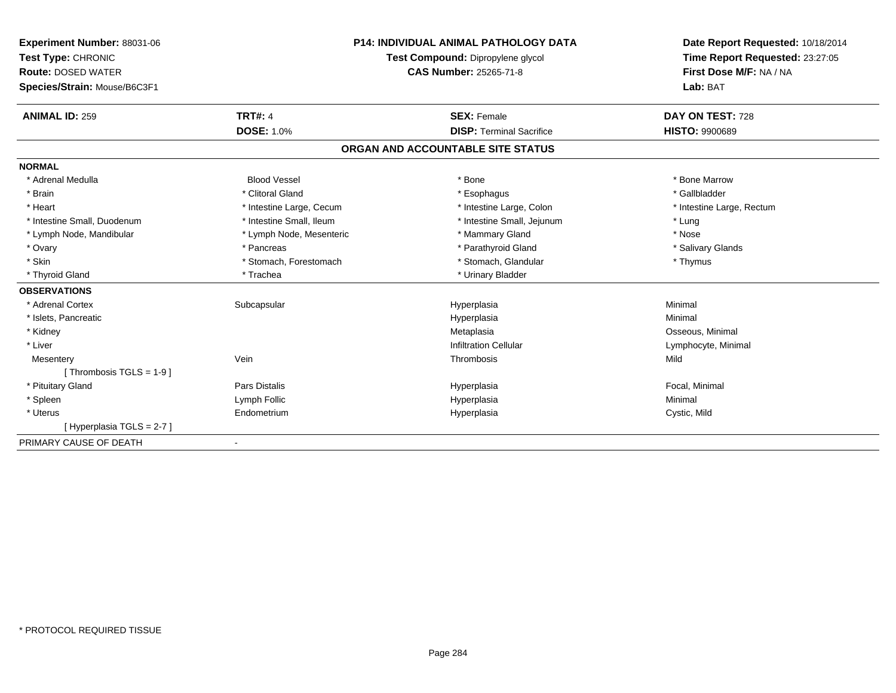| Experiment Number: 88031-06<br>Test Type: CHRONIC<br><b>Route: DOSED WATER</b><br>Species/Strain: Mouse/B6C3F1<br><b>ANIMAL ID: 259</b> | <b>TRT#: 4</b>           | <b>P14: INDIVIDUAL ANIMAL PATHOLOGY DATA</b><br>Test Compound: Dipropylene glycol<br><b>CAS Number: 25265-71-8</b><br><b>SEX: Female</b> | Date Report Requested: 10/18/2014<br>Time Report Requested: 23:27:05<br>First Dose M/F: NA / NA<br>Lab: BAT<br>DAY ON TEST: 728 |
|-----------------------------------------------------------------------------------------------------------------------------------------|--------------------------|------------------------------------------------------------------------------------------------------------------------------------------|---------------------------------------------------------------------------------------------------------------------------------|
|                                                                                                                                         | DOSE: 1.0%               | <b>DISP: Terminal Sacrifice</b>                                                                                                          | <b>HISTO: 9900689</b>                                                                                                           |
|                                                                                                                                         |                          | ORGAN AND ACCOUNTABLE SITE STATUS                                                                                                        |                                                                                                                                 |
| <b>NORMAL</b>                                                                                                                           |                          |                                                                                                                                          |                                                                                                                                 |
| * Adrenal Medulla                                                                                                                       | <b>Blood Vessel</b>      | * Bone                                                                                                                                   | * Bone Marrow                                                                                                                   |
| * Brain                                                                                                                                 | * Clitoral Gland         | * Esophagus                                                                                                                              | * Gallbladder                                                                                                                   |
| * Heart                                                                                                                                 | * Intestine Large, Cecum | * Intestine Large, Colon                                                                                                                 | * Intestine Large, Rectum                                                                                                       |
| * Intestine Small, Duodenum                                                                                                             | * Intestine Small, Ileum | * Intestine Small, Jejunum                                                                                                               | * Lung                                                                                                                          |
| * Lymph Node, Mandibular                                                                                                                | * Lymph Node, Mesenteric | * Mammary Gland                                                                                                                          | * Nose                                                                                                                          |
| * Ovary                                                                                                                                 | * Pancreas               | * Parathyroid Gland                                                                                                                      | * Salivary Glands                                                                                                               |
| * Skin                                                                                                                                  | * Stomach, Forestomach   | * Stomach, Glandular                                                                                                                     | * Thymus                                                                                                                        |
| * Thyroid Gland                                                                                                                         | * Trachea                | * Urinary Bladder                                                                                                                        |                                                                                                                                 |
| <b>OBSERVATIONS</b>                                                                                                                     |                          |                                                                                                                                          |                                                                                                                                 |
| * Adrenal Cortex                                                                                                                        | Subcapsular              | Hyperplasia                                                                                                                              | Minimal                                                                                                                         |
| * Islets, Pancreatic                                                                                                                    |                          | Hyperplasia                                                                                                                              | Minimal                                                                                                                         |
| * Kidney                                                                                                                                |                          | Metaplasia                                                                                                                               | Osseous, Minimal                                                                                                                |
| * Liver                                                                                                                                 |                          | <b>Infiltration Cellular</b>                                                                                                             | Lymphocyte, Minimal                                                                                                             |
| Mesentery                                                                                                                               | Vein                     | Thrombosis                                                                                                                               | Mild                                                                                                                            |
| [Thrombosis $TGLS = 1-9$ ]                                                                                                              |                          |                                                                                                                                          |                                                                                                                                 |
| * Pituitary Gland                                                                                                                       | Pars Distalis            | Hyperplasia                                                                                                                              | Focal, Minimal                                                                                                                  |
| * Spleen                                                                                                                                | Lymph Follic             | Hyperplasia                                                                                                                              | Minimal                                                                                                                         |
| * Uterus                                                                                                                                | Endometrium              | Hyperplasia                                                                                                                              | Cystic, Mild                                                                                                                    |
| [Hyperplasia TGLS = 2-7]                                                                                                                |                          |                                                                                                                                          |                                                                                                                                 |
| PRIMARY CAUSE OF DEATH                                                                                                                  | $\blacksquare$           |                                                                                                                                          |                                                                                                                                 |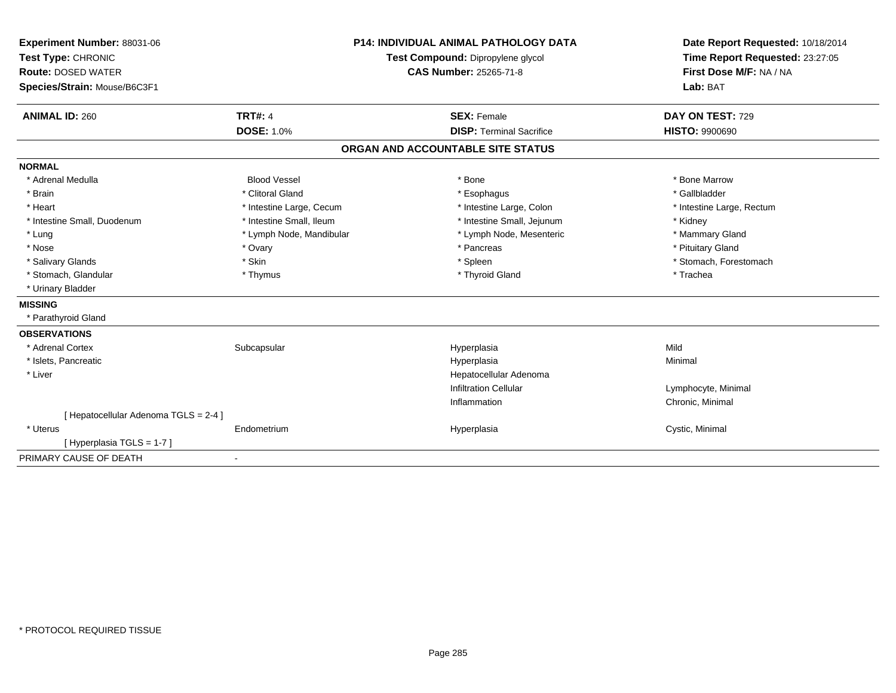| Experiment Number: 88031-06           |                                   | <b>P14: INDIVIDUAL ANIMAL PATHOLOGY DATA</b> | Date Report Requested: 10/18/2014 |
|---------------------------------------|-----------------------------------|----------------------------------------------|-----------------------------------|
| Test Type: CHRONIC                    | Test Compound: Dipropylene glycol |                                              | Time Report Requested: 23:27:05   |
| <b>Route: DOSED WATER</b>             |                                   | <b>CAS Number: 25265-71-8</b>                | First Dose M/F: NA / NA           |
| Species/Strain: Mouse/B6C3F1          |                                   |                                              | Lab: BAT                          |
| <b>ANIMAL ID: 260</b>                 | <b>TRT#: 4</b>                    | <b>SEX: Female</b>                           | DAY ON TEST: 729                  |
|                                       | <b>DOSE: 1.0%</b>                 | <b>DISP: Terminal Sacrifice</b>              | <b>HISTO: 9900690</b>             |
|                                       |                                   | ORGAN AND ACCOUNTABLE SITE STATUS            |                                   |
| <b>NORMAL</b>                         |                                   |                                              |                                   |
| * Adrenal Medulla                     | <b>Blood Vessel</b>               | * Bone                                       | * Bone Marrow                     |
| * Brain                               | * Clitoral Gland                  | * Esophagus                                  | * Gallbladder                     |
| * Heart                               | * Intestine Large, Cecum          | * Intestine Large, Colon                     | * Intestine Large, Rectum         |
| * Intestine Small, Duodenum           | * Intestine Small, Ileum          | * Intestine Small, Jejunum                   | * Kidney                          |
| * Lung                                | * Lymph Node, Mandibular          | * Lymph Node, Mesenteric                     | * Mammary Gland                   |
| * Nose                                | * Ovary                           | * Pancreas                                   | * Pituitary Gland                 |
| * Salivary Glands                     | * Skin                            | * Spleen                                     | * Stomach, Forestomach            |
| * Stomach, Glandular                  | * Thymus                          | * Thyroid Gland                              | * Trachea                         |
| * Urinary Bladder                     |                                   |                                              |                                   |
| <b>MISSING</b>                        |                                   |                                              |                                   |
| * Parathyroid Gland                   |                                   |                                              |                                   |
| <b>OBSERVATIONS</b>                   |                                   |                                              |                                   |
| * Adrenal Cortex                      | Subcapsular                       | Hyperplasia                                  | Mild                              |
| * Islets, Pancreatic                  |                                   | Hyperplasia                                  | Minimal                           |
| * Liver                               |                                   | Hepatocellular Adenoma                       |                                   |
|                                       |                                   | <b>Infiltration Cellular</b>                 | Lymphocyte, Minimal               |
|                                       |                                   | Inflammation                                 | Chronic, Minimal                  |
| [ Hepatocellular Adenoma TGLS = 2-4 ] |                                   |                                              |                                   |
| * Uterus                              | Endometrium                       | Hyperplasia                                  | Cystic, Minimal                   |
| [Hyperplasia TGLS = 1-7]              |                                   |                                              |                                   |
| PRIMARY CAUSE OF DEATH                |                                   |                                              |                                   |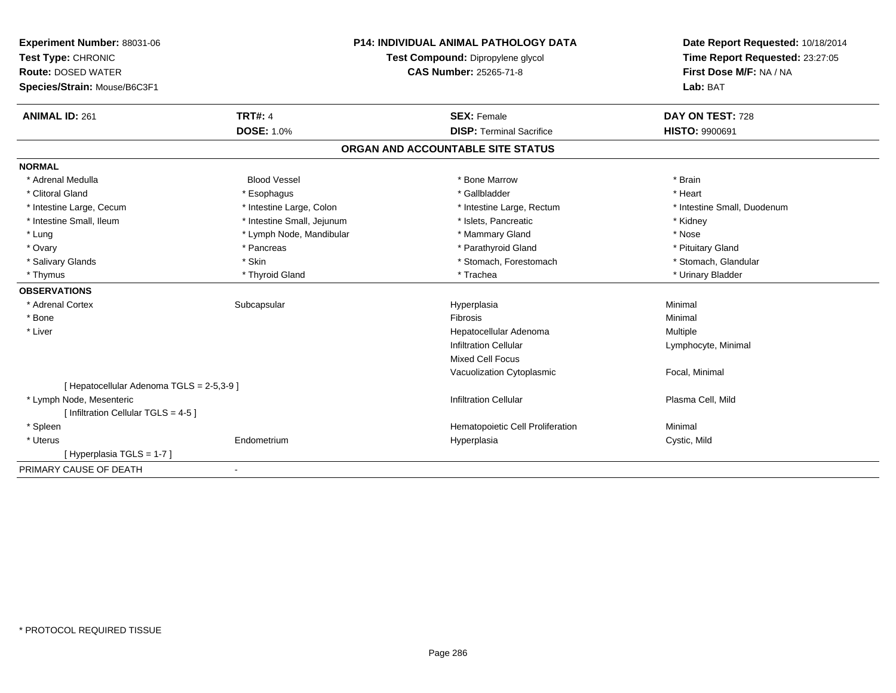| <b>Experiment Number: 88031-06</b><br>Test Type: CHRONIC | <b>P14: INDIVIDUAL ANIMAL PATHOLOGY DATA</b><br>Test Compound: Dipropylene glycol |                                   | Date Report Requested: 10/18/2014<br>Time Report Requested: 23:27:05 |
|----------------------------------------------------------|-----------------------------------------------------------------------------------|-----------------------------------|----------------------------------------------------------------------|
| <b>Route: DOSED WATER</b>                                |                                                                                   | <b>CAS Number: 25265-71-8</b>     | First Dose M/F: NA / NA                                              |
| Species/Strain: Mouse/B6C3F1                             |                                                                                   |                                   | Lab: BAT                                                             |
| <b>ANIMAL ID: 261</b>                                    | <b>TRT#: 4</b>                                                                    | <b>SEX: Female</b>                | DAY ON TEST: 728                                                     |
|                                                          | <b>DOSE: 1.0%</b>                                                                 | <b>DISP: Terminal Sacrifice</b>   | HISTO: 9900691                                                       |
|                                                          |                                                                                   | ORGAN AND ACCOUNTABLE SITE STATUS |                                                                      |
| <b>NORMAL</b>                                            |                                                                                   |                                   |                                                                      |
| * Adrenal Medulla                                        | <b>Blood Vessel</b>                                                               | * Bone Marrow                     | * Brain                                                              |
| * Clitoral Gland                                         | * Esophagus                                                                       | * Gallbladder                     | * Heart                                                              |
| * Intestine Large, Cecum                                 | * Intestine Large, Colon                                                          | * Intestine Large, Rectum         | * Intestine Small, Duodenum                                          |
| * Intestine Small, Ileum                                 | * Intestine Small, Jejunum                                                        | * Islets, Pancreatic              | * Kidney                                                             |
| * Lung                                                   | * Lymph Node, Mandibular                                                          | * Mammary Gland                   | * Nose                                                               |
| * Ovary                                                  | * Pancreas                                                                        | * Parathyroid Gland               | * Pituitary Gland                                                    |
| * Salivary Glands                                        | * Skin                                                                            | * Stomach, Forestomach            | * Stomach, Glandular                                                 |
| * Thymus                                                 | * Thyroid Gland                                                                   | * Trachea                         | * Urinary Bladder                                                    |
| <b>OBSERVATIONS</b>                                      |                                                                                   |                                   |                                                                      |
| * Adrenal Cortex                                         | Subcapsular                                                                       | Hyperplasia                       | Minimal                                                              |
| * Bone                                                   |                                                                                   | Fibrosis                          | Minimal                                                              |
| * Liver                                                  |                                                                                   | Hepatocellular Adenoma            | Multiple                                                             |
|                                                          |                                                                                   | <b>Infiltration Cellular</b>      | Lymphocyte, Minimal                                                  |
|                                                          |                                                                                   | <b>Mixed Cell Focus</b>           |                                                                      |
|                                                          |                                                                                   | Vacuolization Cytoplasmic         | Focal, Minimal                                                       |
| [ Hepatocellular Adenoma TGLS = 2-5,3-9 ]                |                                                                                   |                                   |                                                                      |
| * Lymph Node, Mesenteric                                 |                                                                                   | <b>Infiltration Cellular</b>      | Plasma Cell, Mild                                                    |
| [ Infiltration Cellular TGLS = 4-5 ]                     |                                                                                   |                                   |                                                                      |
| * Spleen                                                 |                                                                                   | Hematopoietic Cell Proliferation  | Minimal                                                              |
| * Uterus                                                 | Endometrium                                                                       | Hyperplasia                       | Cystic, Mild                                                         |
| [Hyperplasia TGLS = 1-7]                                 |                                                                                   |                                   |                                                                      |
| PRIMARY CAUSE OF DEATH                                   |                                                                                   |                                   |                                                                      |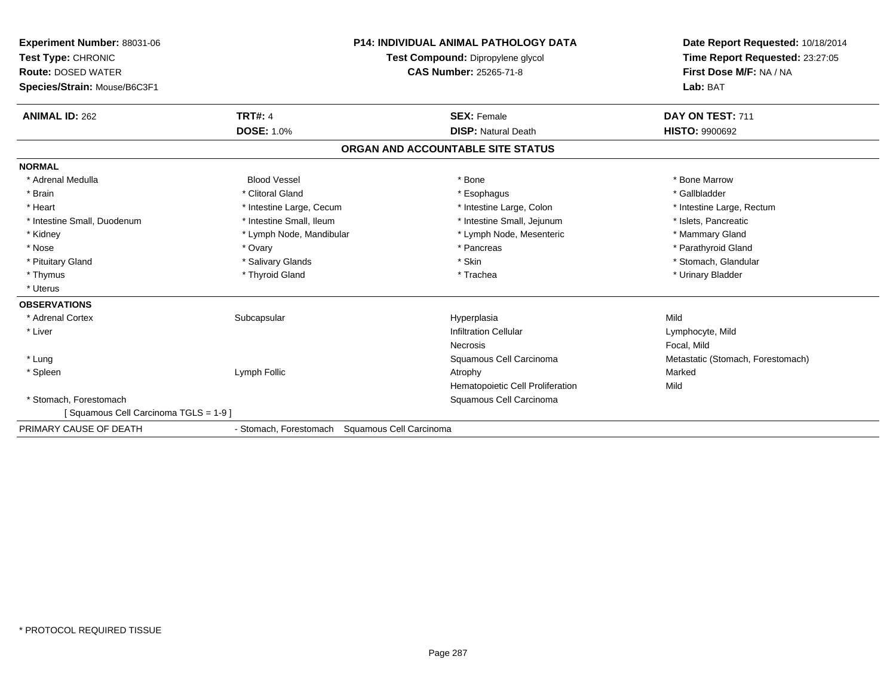| <b>Experiment Number: 88031-06</b><br>Test Type: CHRONIC<br><b>Route: DOSED WATER</b><br>Species/Strain: Mouse/B6C3F1 |                                                | <b>P14: INDIVIDUAL ANIMAL PATHOLOGY DATA</b><br>Test Compound: Dipropylene glycol<br><b>CAS Number: 25265-71-8</b> | Date Report Requested: 10/18/2014<br>Time Report Requested: 23:27:05<br>First Dose M/F: NA / NA<br>Lab: BAT |
|-----------------------------------------------------------------------------------------------------------------------|------------------------------------------------|--------------------------------------------------------------------------------------------------------------------|-------------------------------------------------------------------------------------------------------------|
| <b>ANIMAL ID: 262</b>                                                                                                 | <b>TRT#: 4</b>                                 | <b>SEX: Female</b>                                                                                                 | DAY ON TEST: 711                                                                                            |
|                                                                                                                       | <b>DOSE: 1.0%</b>                              | <b>DISP: Natural Death</b>                                                                                         | <b>HISTO: 9900692</b>                                                                                       |
|                                                                                                                       |                                                | ORGAN AND ACCOUNTABLE SITE STATUS                                                                                  |                                                                                                             |
| <b>NORMAL</b>                                                                                                         |                                                |                                                                                                                    |                                                                                                             |
| * Adrenal Medulla                                                                                                     | <b>Blood Vessel</b>                            | * Bone                                                                                                             | * Bone Marrow                                                                                               |
| * Brain                                                                                                               | * Clitoral Gland                               | * Esophagus                                                                                                        | * Gallbladder                                                                                               |
| * Heart                                                                                                               | * Intestine Large, Cecum                       | * Intestine Large, Colon                                                                                           | * Intestine Large, Rectum                                                                                   |
| * Intestine Small, Duodenum                                                                                           | * Intestine Small, Ileum                       | * Intestine Small, Jejunum                                                                                         | * Islets, Pancreatic                                                                                        |
| * Kidney                                                                                                              | * Lymph Node, Mandibular                       | * Lymph Node, Mesenteric                                                                                           | * Mammary Gland                                                                                             |
| * Nose                                                                                                                | * Ovary                                        | * Pancreas                                                                                                         | * Parathyroid Gland                                                                                         |
| * Pituitary Gland                                                                                                     | * Salivary Glands                              | * Skin                                                                                                             | * Stomach, Glandular                                                                                        |
| * Thymus                                                                                                              | * Thyroid Gland                                | * Trachea                                                                                                          | * Urinary Bladder                                                                                           |
| * Uterus                                                                                                              |                                                |                                                                                                                    |                                                                                                             |
| <b>OBSERVATIONS</b>                                                                                                   |                                                |                                                                                                                    |                                                                                                             |
| * Adrenal Cortex                                                                                                      | Subcapsular                                    | Hyperplasia                                                                                                        | Mild                                                                                                        |
| * Liver                                                                                                               |                                                | <b>Infiltration Cellular</b>                                                                                       | Lymphocyte, Mild                                                                                            |
|                                                                                                                       |                                                | Necrosis                                                                                                           | Focal, Mild                                                                                                 |
| * Lung                                                                                                                |                                                | Squamous Cell Carcinoma                                                                                            | Metastatic (Stomach, Forestomach)                                                                           |
| * Spleen                                                                                                              | Lymph Follic                                   | Atrophy                                                                                                            | Marked                                                                                                      |
|                                                                                                                       |                                                | Hematopoietic Cell Proliferation                                                                                   | Mild                                                                                                        |
| * Stomach. Forestomach                                                                                                |                                                | Squamous Cell Carcinoma                                                                                            |                                                                                                             |
| Squamous Cell Carcinoma TGLS = 1-9 ]                                                                                  |                                                |                                                                                                                    |                                                                                                             |
| PRIMARY CAUSE OF DEATH                                                                                                | - Stomach, Forestomach Squamous Cell Carcinoma |                                                                                                                    |                                                                                                             |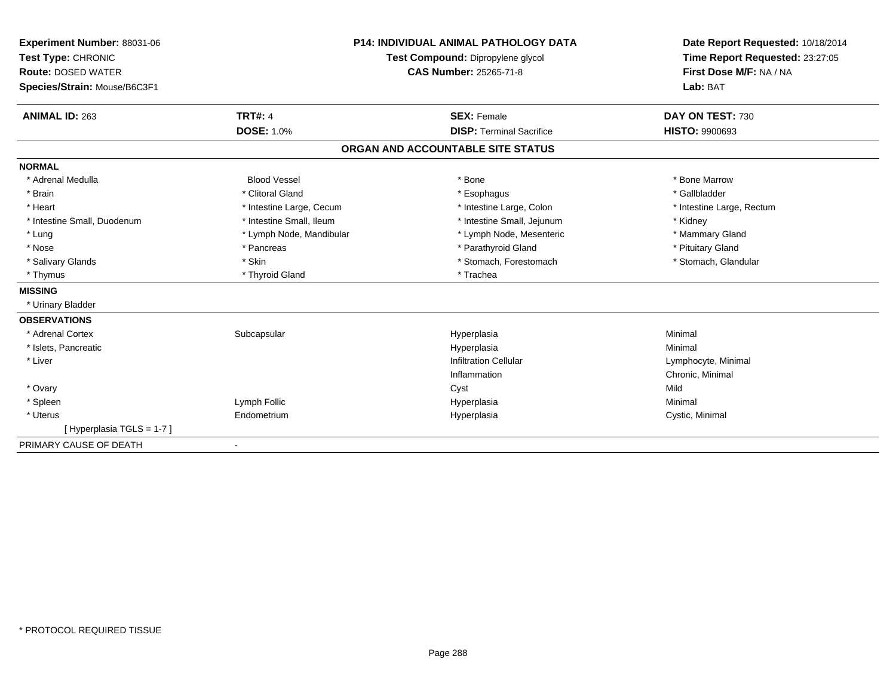| Experiment Number: 88031-06  |                          | <b>P14: INDIVIDUAL ANIMAL PATHOLOGY DATA</b> | Date Report Requested: 10/18/2014 |
|------------------------------|--------------------------|----------------------------------------------|-----------------------------------|
| Test Type: CHRONIC           |                          | Test Compound: Dipropylene glycol            | Time Report Requested: 23:27:05   |
| <b>Route: DOSED WATER</b>    |                          | <b>CAS Number: 25265-71-8</b>                | First Dose M/F: NA / NA           |
| Species/Strain: Mouse/B6C3F1 |                          |                                              | Lab: BAT                          |
| <b>ANIMAL ID: 263</b>        | <b>TRT#: 4</b>           | <b>SEX: Female</b>                           | DAY ON TEST: 730                  |
|                              | <b>DOSE: 1.0%</b>        | <b>DISP: Terminal Sacrifice</b>              | <b>HISTO: 9900693</b>             |
|                              |                          | ORGAN AND ACCOUNTABLE SITE STATUS            |                                   |
| <b>NORMAL</b>                |                          |                                              |                                   |
| * Adrenal Medulla            | <b>Blood Vessel</b>      | * Bone                                       | * Bone Marrow                     |
| * Brain                      | * Clitoral Gland         | * Esophagus                                  | * Gallbladder                     |
| * Heart                      | * Intestine Large, Cecum | * Intestine Large, Colon                     | * Intestine Large, Rectum         |
| * Intestine Small, Duodenum  | * Intestine Small, Ileum | * Intestine Small, Jejunum                   | * Kidney                          |
| * Lung                       | * Lymph Node, Mandibular | * Lymph Node, Mesenteric                     | * Mammary Gland                   |
| * Nose                       | * Pancreas               | * Parathyroid Gland                          | * Pituitary Gland                 |
| * Salivary Glands            | * Skin                   | * Stomach, Forestomach                       | * Stomach, Glandular              |
| * Thymus                     | * Thyroid Gland          | * Trachea                                    |                                   |
| <b>MISSING</b>               |                          |                                              |                                   |
| * Urinary Bladder            |                          |                                              |                                   |
| <b>OBSERVATIONS</b>          |                          |                                              |                                   |
| * Adrenal Cortex             | Subcapsular              | Hyperplasia                                  | Minimal                           |
| * Islets, Pancreatic         |                          | Hyperplasia                                  | Minimal                           |
| * Liver                      |                          | <b>Infiltration Cellular</b>                 | Lymphocyte, Minimal               |
|                              |                          | Inflammation                                 | Chronic, Minimal                  |
| * Ovary                      |                          | Cyst                                         | Mild                              |
| * Spleen                     | Lymph Follic             | Hyperplasia                                  | Minimal                           |
| * Uterus                     | Endometrium              | Hyperplasia                                  | Cystic, Minimal                   |
| [Hyperplasia TGLS = 1-7]     |                          |                                              |                                   |
| PRIMARY CAUSE OF DEATH       | $\blacksquare$           |                                              |                                   |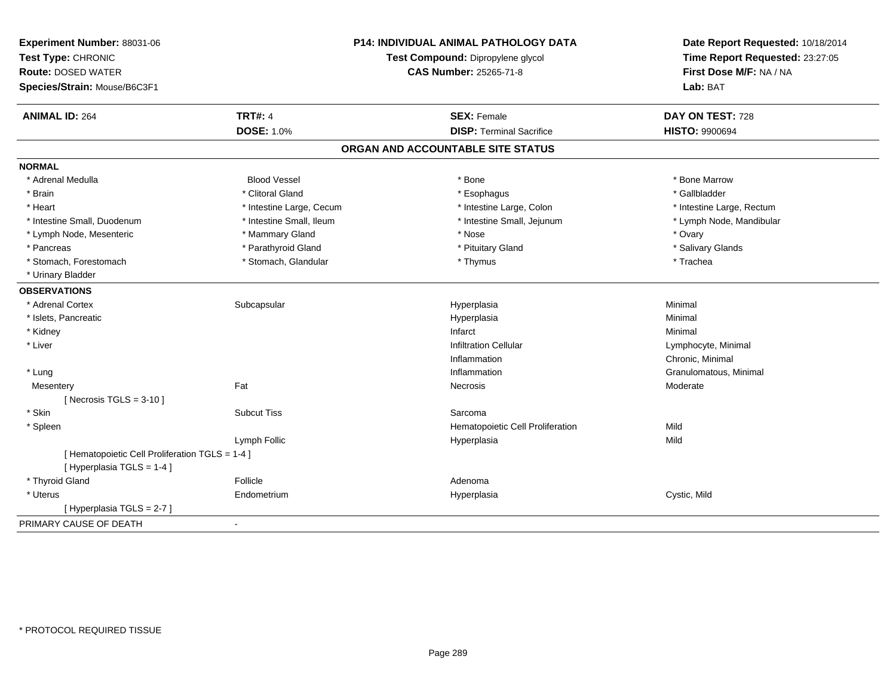| Experiment Number: 88031-06<br>Test Type: CHRONIC<br><b>Route: DOSED WATER</b><br>Species/Strain: Mouse/B6C3F1 |                          | P14: INDIVIDUAL ANIMAL PATHOLOGY DATA<br>Test Compound: Dipropylene glycol<br><b>CAS Number: 25265-71-8</b> | Date Report Requested: 10/18/2014<br>Time Report Requested: 23:27:05<br>First Dose M/F: NA / NA<br>Lab: BAT |
|----------------------------------------------------------------------------------------------------------------|--------------------------|-------------------------------------------------------------------------------------------------------------|-------------------------------------------------------------------------------------------------------------|
| <b>ANIMAL ID: 264</b>                                                                                          | <b>TRT#: 4</b>           | <b>SEX: Female</b>                                                                                          | DAY ON TEST: 728                                                                                            |
|                                                                                                                | DOSE: 1.0%               | <b>DISP: Terminal Sacrifice</b>                                                                             | <b>HISTO: 9900694</b>                                                                                       |
|                                                                                                                |                          | ORGAN AND ACCOUNTABLE SITE STATUS                                                                           |                                                                                                             |
| <b>NORMAL</b>                                                                                                  |                          |                                                                                                             |                                                                                                             |
| * Adrenal Medulla                                                                                              | <b>Blood Vessel</b>      | * Bone                                                                                                      | * Bone Marrow                                                                                               |
| * Brain                                                                                                        | * Clitoral Gland         | * Esophagus                                                                                                 | * Gallbladder                                                                                               |
| * Heart                                                                                                        | * Intestine Large, Cecum | * Intestine Large, Colon                                                                                    | * Intestine Large, Rectum                                                                                   |
| * Intestine Small, Duodenum                                                                                    | * Intestine Small, Ileum | * Intestine Small, Jejunum                                                                                  | * Lymph Node, Mandibular                                                                                    |
| * Lymph Node, Mesenteric                                                                                       | * Mammary Gland          | * Nose                                                                                                      | * Ovary                                                                                                     |
| * Pancreas                                                                                                     | * Parathyroid Gland      | * Pituitary Gland                                                                                           | * Salivary Glands                                                                                           |
| * Stomach, Forestomach                                                                                         | * Stomach, Glandular     | * Thymus                                                                                                    | * Trachea                                                                                                   |
| * Urinary Bladder                                                                                              |                          |                                                                                                             |                                                                                                             |
| <b>OBSERVATIONS</b>                                                                                            |                          |                                                                                                             |                                                                                                             |
| * Adrenal Cortex                                                                                               | Subcapsular              | Hyperplasia                                                                                                 | Minimal                                                                                                     |
| * Islets, Pancreatic                                                                                           |                          | Hyperplasia                                                                                                 | Minimal                                                                                                     |
| * Kidney                                                                                                       |                          | Infarct                                                                                                     | Minimal                                                                                                     |
| * Liver                                                                                                        |                          | <b>Infiltration Cellular</b>                                                                                | Lymphocyte, Minimal                                                                                         |
|                                                                                                                |                          | Inflammation                                                                                                | Chronic, Minimal                                                                                            |
| * Lung                                                                                                         |                          | Inflammation                                                                                                | Granulomatous, Minimal                                                                                      |
| Mesentery                                                                                                      | Fat                      | <b>Necrosis</b>                                                                                             | Moderate                                                                                                    |
| [ Necrosis $TGLS = 3-10$ ]                                                                                     |                          |                                                                                                             |                                                                                                             |
| * Skin                                                                                                         | <b>Subcut Tiss</b>       | Sarcoma                                                                                                     |                                                                                                             |
| * Spleen                                                                                                       |                          | Hematopoietic Cell Proliferation                                                                            | Mild                                                                                                        |
|                                                                                                                | Lymph Follic             | Hyperplasia                                                                                                 | Mild                                                                                                        |
| [ Hematopoietic Cell Proliferation TGLS = 1-4 ]                                                                |                          |                                                                                                             |                                                                                                             |
| [ Hyperplasia TGLS = 1-4 ]                                                                                     |                          |                                                                                                             |                                                                                                             |
| * Thyroid Gland                                                                                                | Follicle                 | Adenoma                                                                                                     |                                                                                                             |
| * Uterus                                                                                                       | Endometrium              | Hyperplasia                                                                                                 | Cystic, Mild                                                                                                |
| [ Hyperplasia TGLS = 2-7 ]                                                                                     |                          |                                                                                                             |                                                                                                             |
| PRIMARY CAUSE OF DEATH                                                                                         | $\blacksquare$           |                                                                                                             |                                                                                                             |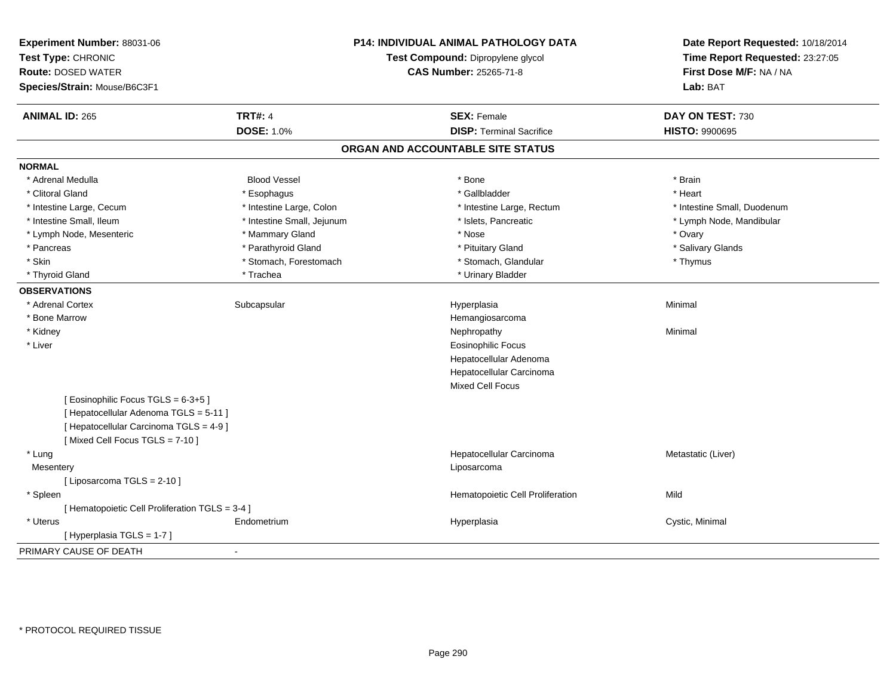| Experiment Number: 88031-06<br>Test Type: CHRONIC<br><b>Route: DOSED WATER</b><br>Species/Strain: Mouse/B6C3F1 |                            | <b>P14: INDIVIDUAL ANIMAL PATHOLOGY DATA</b><br>Test Compound: Dipropylene glycol<br><b>CAS Number: 25265-71-8</b> | Date Report Requested: 10/18/2014<br>Time Report Requested: 23:27:05<br>First Dose M/F: NA / NA<br>Lab: BAT |
|----------------------------------------------------------------------------------------------------------------|----------------------------|--------------------------------------------------------------------------------------------------------------------|-------------------------------------------------------------------------------------------------------------|
| <b>ANIMAL ID: 265</b>                                                                                          | <b>TRT#: 4</b>             | <b>SEX: Female</b>                                                                                                 | DAY ON TEST: 730                                                                                            |
|                                                                                                                | <b>DOSE: 1.0%</b>          | <b>DISP: Terminal Sacrifice</b>                                                                                    | <b>HISTO: 9900695</b>                                                                                       |
|                                                                                                                |                            | ORGAN AND ACCOUNTABLE SITE STATUS                                                                                  |                                                                                                             |
| <b>NORMAL</b>                                                                                                  |                            |                                                                                                                    |                                                                                                             |
| * Adrenal Medulla                                                                                              | <b>Blood Vessel</b>        | * Bone                                                                                                             | * Brain                                                                                                     |
| * Clitoral Gland                                                                                               | * Esophagus                | * Gallbladder                                                                                                      | * Heart                                                                                                     |
| * Intestine Large, Cecum                                                                                       | * Intestine Large, Colon   | * Intestine Large, Rectum                                                                                          | * Intestine Small, Duodenum                                                                                 |
| * Intestine Small, Ileum                                                                                       | * Intestine Small, Jejunum | * Islets, Pancreatic                                                                                               | * Lymph Node, Mandibular                                                                                    |
| * Lymph Node, Mesenteric                                                                                       | * Mammary Gland            | * Nose                                                                                                             | * Ovary                                                                                                     |
| * Pancreas                                                                                                     | * Parathyroid Gland        | * Pituitary Gland                                                                                                  | * Salivary Glands                                                                                           |
| * Skin                                                                                                         | * Stomach, Forestomach     | * Stomach, Glandular                                                                                               | * Thymus                                                                                                    |
| * Thyroid Gland                                                                                                | * Trachea                  | * Urinary Bladder                                                                                                  |                                                                                                             |
| <b>OBSERVATIONS</b>                                                                                            |                            |                                                                                                                    |                                                                                                             |
| * Adrenal Cortex                                                                                               | Subcapsular                | Hyperplasia                                                                                                        | Minimal                                                                                                     |
| * Bone Marrow                                                                                                  |                            | Hemangiosarcoma                                                                                                    |                                                                                                             |
| * Kidney                                                                                                       |                            | Nephropathy                                                                                                        | Minimal                                                                                                     |
| * Liver                                                                                                        |                            | <b>Eosinophilic Focus</b>                                                                                          |                                                                                                             |
|                                                                                                                |                            | Hepatocellular Adenoma                                                                                             |                                                                                                             |
|                                                                                                                |                            | Hepatocellular Carcinoma                                                                                           |                                                                                                             |
|                                                                                                                |                            | <b>Mixed Cell Focus</b>                                                                                            |                                                                                                             |
| [Eosinophilic Focus TGLS = 6-3+5]                                                                              |                            |                                                                                                                    |                                                                                                             |
| [ Hepatocellular Adenoma TGLS = 5-11 ]                                                                         |                            |                                                                                                                    |                                                                                                             |
| [ Hepatocellular Carcinoma TGLS = 4-9 ]                                                                        |                            |                                                                                                                    |                                                                                                             |
| [Mixed Cell Focus TGLS = 7-10]                                                                                 |                            |                                                                                                                    |                                                                                                             |
| * Lung                                                                                                         |                            | Hepatocellular Carcinoma                                                                                           | Metastatic (Liver)                                                                                          |
| Mesentery                                                                                                      |                            | Liposarcoma                                                                                                        |                                                                                                             |
| [ Liposarcoma TGLS = 2-10 ]                                                                                    |                            |                                                                                                                    |                                                                                                             |
| * Spleen                                                                                                       |                            | Hematopoietic Cell Proliferation                                                                                   | Mild                                                                                                        |
| [ Hematopoietic Cell Proliferation TGLS = 3-4 ]                                                                |                            |                                                                                                                    |                                                                                                             |
| * Uterus                                                                                                       | Endometrium                | Hyperplasia                                                                                                        | Cystic, Minimal                                                                                             |
| [Hyperplasia TGLS = 1-7]                                                                                       |                            |                                                                                                                    |                                                                                                             |
| PRIMARY CAUSE OF DEATH                                                                                         | $\sim$                     |                                                                                                                    |                                                                                                             |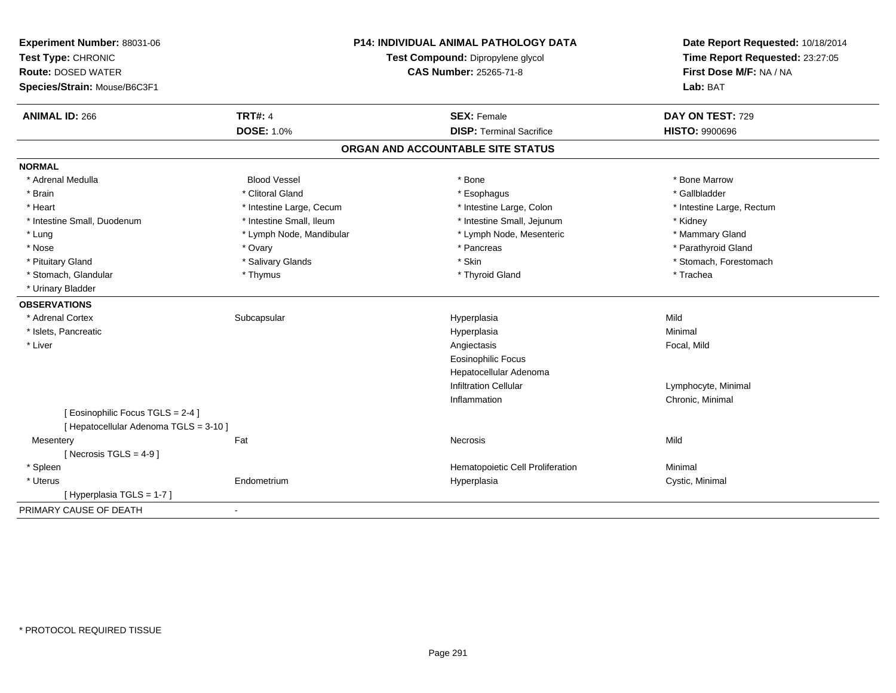| Experiment Number: 88031-06<br>Test Type: CHRONIC<br><b>Route: DOSED WATER</b><br>Species/Strain: Mouse/B6C3F1 | <b>P14: INDIVIDUAL ANIMAL PATHOLOGY DATA</b><br>Test Compound: Dipropylene glycol<br><b>CAS Number: 25265-71-8</b> |                                   | Date Report Requested: 10/18/2014<br>Time Report Requested: 23:27:05<br>First Dose M/F: NA / NA<br>Lab: BAT |  |
|----------------------------------------------------------------------------------------------------------------|--------------------------------------------------------------------------------------------------------------------|-----------------------------------|-------------------------------------------------------------------------------------------------------------|--|
| <b>ANIMAL ID: 266</b>                                                                                          | <b>TRT#: 4</b>                                                                                                     | <b>SEX: Female</b>                | DAY ON TEST: 729                                                                                            |  |
|                                                                                                                | <b>DOSE: 1.0%</b>                                                                                                  | <b>DISP: Terminal Sacrifice</b>   | <b>HISTO: 9900696</b>                                                                                       |  |
|                                                                                                                |                                                                                                                    | ORGAN AND ACCOUNTABLE SITE STATUS |                                                                                                             |  |
| <b>NORMAL</b>                                                                                                  |                                                                                                                    |                                   |                                                                                                             |  |
| * Adrenal Medulla                                                                                              | <b>Blood Vessel</b>                                                                                                | * Bone                            | * Bone Marrow                                                                                               |  |
| * Brain                                                                                                        | * Clitoral Gland                                                                                                   | * Esophagus                       | * Gallbladder                                                                                               |  |
| * Heart                                                                                                        | * Intestine Large, Cecum                                                                                           | * Intestine Large, Colon          | * Intestine Large, Rectum                                                                                   |  |
| * Intestine Small, Duodenum                                                                                    | * Intestine Small, Ileum                                                                                           | * Intestine Small, Jejunum        | * Kidney                                                                                                    |  |
| * Lung                                                                                                         | * Lymph Node, Mandibular                                                                                           | * Lymph Node, Mesenteric          | * Mammary Gland                                                                                             |  |
| * Nose                                                                                                         | * Ovary                                                                                                            | * Pancreas                        | * Parathyroid Gland                                                                                         |  |
| * Pituitary Gland                                                                                              | * Salivary Glands                                                                                                  | * Skin                            | * Stomach, Forestomach                                                                                      |  |
| * Stomach, Glandular                                                                                           | * Thymus                                                                                                           | * Thyroid Gland                   | * Trachea                                                                                                   |  |
| * Urinary Bladder                                                                                              |                                                                                                                    |                                   |                                                                                                             |  |
| <b>OBSERVATIONS</b>                                                                                            |                                                                                                                    |                                   |                                                                                                             |  |
| * Adrenal Cortex                                                                                               | Subcapsular                                                                                                        | Hyperplasia                       | Mild                                                                                                        |  |
| * Islets, Pancreatic                                                                                           |                                                                                                                    | Hyperplasia                       | Minimal                                                                                                     |  |
| * Liver                                                                                                        |                                                                                                                    | Angiectasis                       | Focal, Mild                                                                                                 |  |
|                                                                                                                |                                                                                                                    | <b>Eosinophilic Focus</b>         |                                                                                                             |  |
|                                                                                                                |                                                                                                                    | Hepatocellular Adenoma            |                                                                                                             |  |
|                                                                                                                |                                                                                                                    | <b>Infiltration Cellular</b>      | Lymphocyte, Minimal                                                                                         |  |
|                                                                                                                |                                                                                                                    | Inflammation                      | Chronic, Minimal                                                                                            |  |
| [ Eosinophilic Focus TGLS = 2-4 ]                                                                              |                                                                                                                    |                                   |                                                                                                             |  |
| [ Hepatocellular Adenoma TGLS = 3-10 ]                                                                         |                                                                                                                    |                                   |                                                                                                             |  |
| Mesentery                                                                                                      | Fat                                                                                                                | Necrosis                          | Mild                                                                                                        |  |
| [Necrosis TGLS = $4-9$ ]                                                                                       |                                                                                                                    |                                   |                                                                                                             |  |
| * Spleen                                                                                                       |                                                                                                                    | Hematopoietic Cell Proliferation  | Minimal                                                                                                     |  |
| * Uterus                                                                                                       | Endometrium                                                                                                        | Hyperplasia                       | Cystic, Minimal                                                                                             |  |
| [Hyperplasia TGLS = 1-7]                                                                                       |                                                                                                                    |                                   |                                                                                                             |  |
| PRIMARY CAUSE OF DEATH                                                                                         |                                                                                                                    |                                   |                                                                                                             |  |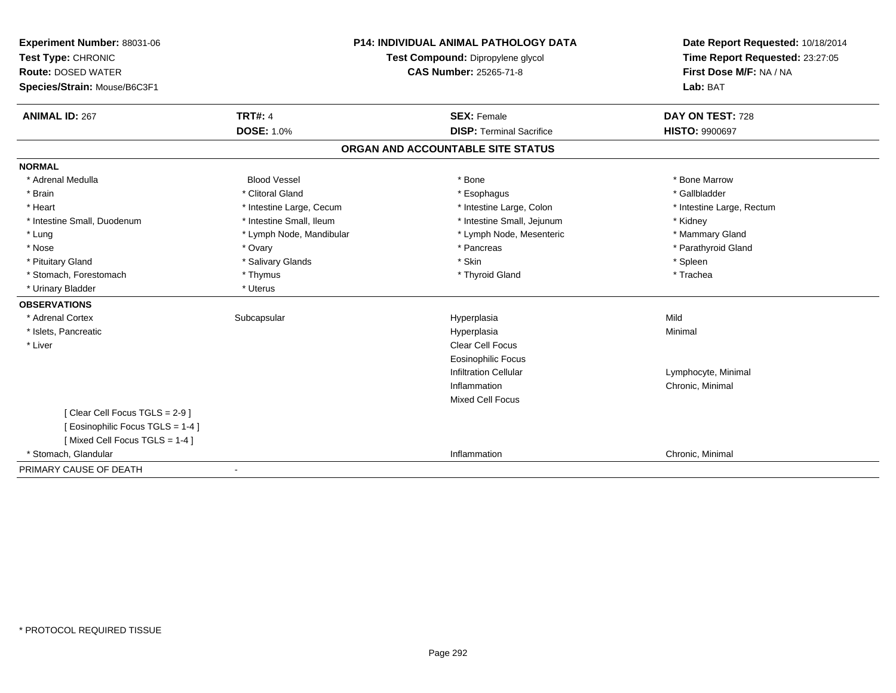| <b>Experiment Number: 88031-06</b> | <b>P14: INDIVIDUAL ANIMAL PATHOLOGY DATA</b> |                                   | Date Report Requested: 10/18/2014 |  |
|------------------------------------|----------------------------------------------|-----------------------------------|-----------------------------------|--|
| Test Type: CHRONIC                 |                                              | Test Compound: Dipropylene glycol | Time Report Requested: 23:27:05   |  |
| <b>Route: DOSED WATER</b>          |                                              | <b>CAS Number: 25265-71-8</b>     | First Dose M/F: NA / NA           |  |
| Species/Strain: Mouse/B6C3F1       |                                              |                                   | Lab: BAT                          |  |
| <b>ANIMAL ID: 267</b>              | <b>TRT#: 4</b>                               | <b>SEX: Female</b>                | DAY ON TEST: 728                  |  |
|                                    | <b>DOSE: 1.0%</b>                            | <b>DISP: Terminal Sacrifice</b>   | <b>HISTO: 9900697</b>             |  |
|                                    |                                              | ORGAN AND ACCOUNTABLE SITE STATUS |                                   |  |
| <b>NORMAL</b>                      |                                              |                                   |                                   |  |
| * Adrenal Medulla                  | <b>Blood Vessel</b>                          | * Bone                            | * Bone Marrow                     |  |
| * Brain                            | * Clitoral Gland                             | * Esophagus                       | * Gallbladder                     |  |
| * Heart                            | * Intestine Large, Cecum                     | * Intestine Large, Colon          | * Intestine Large, Rectum         |  |
| * Intestine Small, Duodenum        | * Intestine Small, Ileum                     | * Intestine Small, Jejunum        | * Kidney                          |  |
| * Lung                             | * Lymph Node, Mandibular                     | * Lymph Node, Mesenteric          | * Mammary Gland                   |  |
| * Nose                             | * Ovary                                      | * Pancreas                        | * Parathyroid Gland               |  |
| * Pituitary Gland                  | * Salivary Glands                            | * Skin                            | * Spleen                          |  |
| * Stomach, Forestomach             | * Thymus                                     | * Thyroid Gland                   | * Trachea                         |  |
| * Urinary Bladder                  | * Uterus                                     |                                   |                                   |  |
| <b>OBSERVATIONS</b>                |                                              |                                   |                                   |  |
| * Adrenal Cortex                   | Subcapsular                                  | Hyperplasia                       | Mild                              |  |
| * Islets, Pancreatic               |                                              | Hyperplasia                       | Minimal                           |  |
| * Liver                            |                                              | Clear Cell Focus                  |                                   |  |
|                                    |                                              | <b>Eosinophilic Focus</b>         |                                   |  |
|                                    |                                              | <b>Infiltration Cellular</b>      | Lymphocyte, Minimal               |  |
|                                    |                                              | Inflammation                      | Chronic, Minimal                  |  |
|                                    |                                              | <b>Mixed Cell Focus</b>           |                                   |  |
| [Clear Cell Focus TGLS = 2-9]      |                                              |                                   |                                   |  |
| [ Eosinophilic Focus TGLS = 1-4 ]  |                                              |                                   |                                   |  |
| [Mixed Cell Focus TGLS = 1-4]      |                                              |                                   |                                   |  |
| * Stomach. Glandular               |                                              | Inflammation                      | Chronic, Minimal                  |  |
| PRIMARY CAUSE OF DEATH             |                                              |                                   |                                   |  |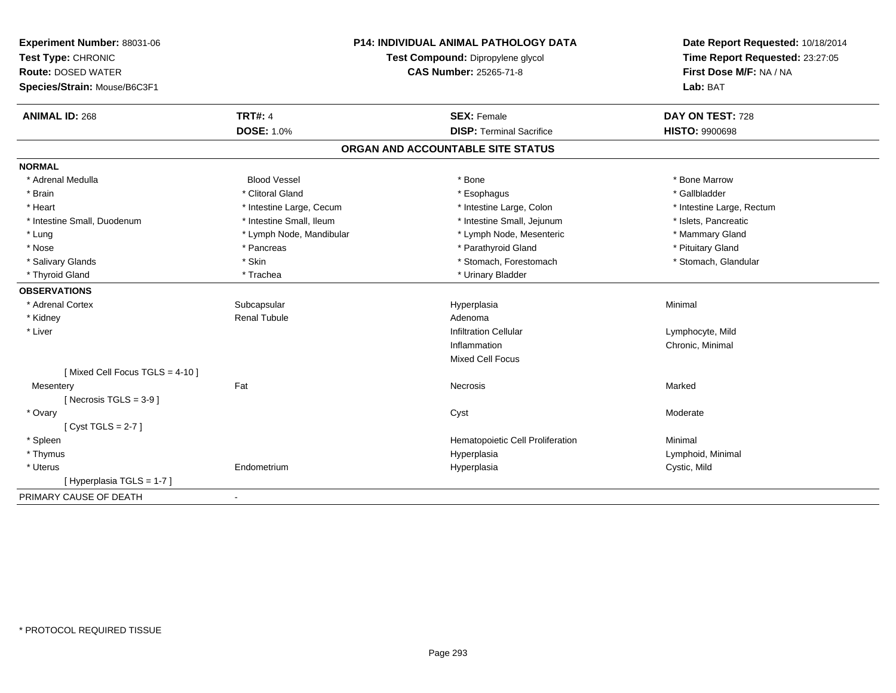| Experiment Number: 88031-06<br>Test Type: CHRONIC<br><b>Route: DOSED WATER</b><br>Species/Strain: Mouse/B6C3F1 | <b>P14: INDIVIDUAL ANIMAL PATHOLOGY DATA</b><br>Test Compound: Dipropylene glycol<br><b>CAS Number: 25265-71-8</b> |                                   | Date Report Requested: 10/18/2014<br>Time Report Requested: 23:27:05<br>First Dose M/F: NA / NA<br>Lab: BAT |
|----------------------------------------------------------------------------------------------------------------|--------------------------------------------------------------------------------------------------------------------|-----------------------------------|-------------------------------------------------------------------------------------------------------------|
| <b>ANIMAL ID: 268</b>                                                                                          | <b>TRT#: 4</b>                                                                                                     | <b>SEX: Female</b>                | DAY ON TEST: 728                                                                                            |
|                                                                                                                | <b>DOSE: 1.0%</b>                                                                                                  | <b>DISP: Terminal Sacrifice</b>   | <b>HISTO: 9900698</b>                                                                                       |
|                                                                                                                |                                                                                                                    | ORGAN AND ACCOUNTABLE SITE STATUS |                                                                                                             |
| <b>NORMAL</b>                                                                                                  |                                                                                                                    |                                   |                                                                                                             |
| * Adrenal Medulla                                                                                              | <b>Blood Vessel</b>                                                                                                | * Bone                            | * Bone Marrow                                                                                               |
| * Brain                                                                                                        | * Clitoral Gland                                                                                                   | * Esophagus                       | * Gallbladder                                                                                               |
| * Heart                                                                                                        | * Intestine Large, Cecum                                                                                           | * Intestine Large, Colon          | * Intestine Large, Rectum                                                                                   |
| * Intestine Small, Duodenum                                                                                    | * Intestine Small, Ileum                                                                                           | * Intestine Small, Jejunum        | * Islets, Pancreatic                                                                                        |
| * Lung                                                                                                         | * Lymph Node, Mandibular                                                                                           | * Lymph Node, Mesenteric          | * Mammary Gland                                                                                             |
| * Nose                                                                                                         | * Pancreas                                                                                                         | * Parathyroid Gland               | * Pituitary Gland                                                                                           |
| * Salivary Glands                                                                                              | * Skin                                                                                                             | * Stomach, Forestomach            | * Stomach, Glandular                                                                                        |
| * Thyroid Gland                                                                                                | * Trachea                                                                                                          | * Urinary Bladder                 |                                                                                                             |
| <b>OBSERVATIONS</b>                                                                                            |                                                                                                                    |                                   |                                                                                                             |
| * Adrenal Cortex                                                                                               | Subcapsular                                                                                                        | Hyperplasia                       | Minimal                                                                                                     |
| * Kidney                                                                                                       | <b>Renal Tubule</b>                                                                                                | Adenoma                           |                                                                                                             |
| * Liver                                                                                                        |                                                                                                                    | <b>Infiltration Cellular</b>      | Lymphocyte, Mild                                                                                            |
|                                                                                                                |                                                                                                                    | Inflammation                      | Chronic, Minimal                                                                                            |
|                                                                                                                |                                                                                                                    | <b>Mixed Cell Focus</b>           |                                                                                                             |
| [Mixed Cell Focus TGLS = 4-10]                                                                                 |                                                                                                                    |                                   |                                                                                                             |
| Mesentery                                                                                                      | Fat                                                                                                                | Necrosis                          | Marked                                                                                                      |
| [ Necrosis TGLS = $3-9$ ]                                                                                      |                                                                                                                    |                                   |                                                                                                             |
| * Ovary                                                                                                        |                                                                                                                    | Cyst                              | Moderate                                                                                                    |
| [Cyst TGLS = $2-7$ ]                                                                                           |                                                                                                                    |                                   |                                                                                                             |
| * Spleen                                                                                                       |                                                                                                                    | Hematopoietic Cell Proliferation  | Minimal                                                                                                     |
| * Thymus                                                                                                       |                                                                                                                    | Hyperplasia                       | Lymphoid, Minimal                                                                                           |
| * Uterus                                                                                                       | Endometrium                                                                                                        | Hyperplasia                       | Cystic, Mild                                                                                                |
| [Hyperplasia TGLS = 1-7]                                                                                       |                                                                                                                    |                                   |                                                                                                             |
| PRIMARY CAUSE OF DEATH                                                                                         | $\blacksquare$                                                                                                     |                                   |                                                                                                             |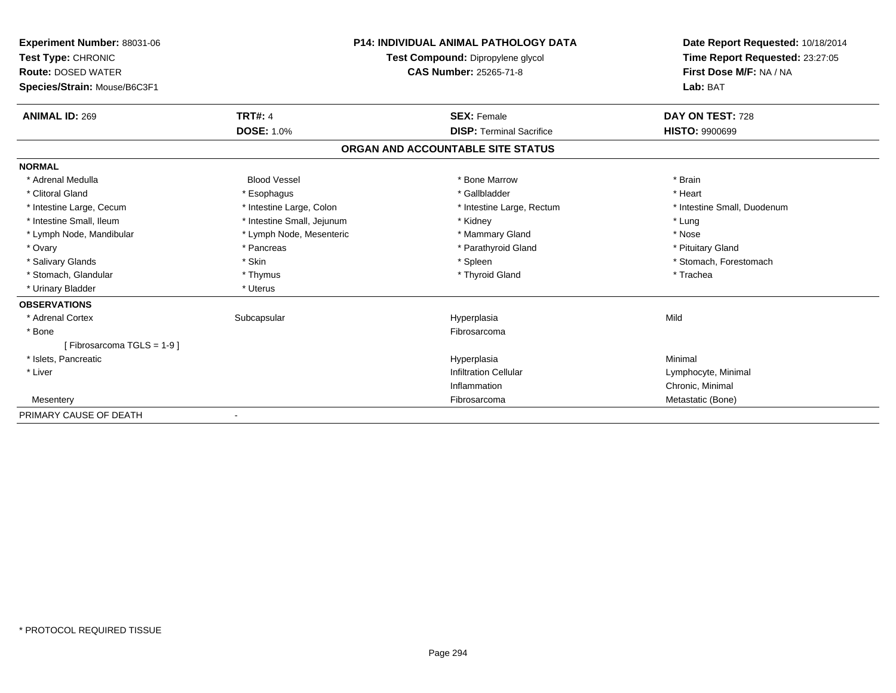| <b>Experiment Number: 88031-06</b><br>Test Type: CHRONIC<br><b>Route: DOSED WATER</b><br>Species/Strain: Mouse/B6C3F1 |                            | <b>P14: INDIVIDUAL ANIMAL PATHOLOGY DATA</b><br>Test Compound: Dipropylene glycol<br><b>CAS Number: 25265-71-8</b> | Date Report Requested: 10/18/2014<br>Time Report Requested: 23:27:05<br>First Dose M/F: NA / NA<br>Lab: BAT |
|-----------------------------------------------------------------------------------------------------------------------|----------------------------|--------------------------------------------------------------------------------------------------------------------|-------------------------------------------------------------------------------------------------------------|
| <b>ANIMAL ID: 269</b>                                                                                                 | <b>TRT#: 4</b>             | <b>SEX: Female</b>                                                                                                 | DAY ON TEST: 728                                                                                            |
|                                                                                                                       | <b>DOSE: 1.0%</b>          | <b>DISP: Terminal Sacrifice</b>                                                                                    | <b>HISTO: 9900699</b>                                                                                       |
|                                                                                                                       |                            | ORGAN AND ACCOUNTABLE SITE STATUS                                                                                  |                                                                                                             |
| <b>NORMAL</b>                                                                                                         |                            |                                                                                                                    |                                                                                                             |
| * Adrenal Medulla                                                                                                     | <b>Blood Vessel</b>        | * Bone Marrow                                                                                                      | * Brain                                                                                                     |
| * Clitoral Gland                                                                                                      | * Esophagus                | * Gallbladder                                                                                                      | * Heart                                                                                                     |
| * Intestine Large, Cecum                                                                                              | * Intestine Large, Colon   | * Intestine Large, Rectum                                                                                          | * Intestine Small, Duodenum                                                                                 |
| * Intestine Small, Ileum                                                                                              | * Intestine Small, Jejunum | * Kidney                                                                                                           | * Lung                                                                                                      |
| * Lymph Node, Mandibular                                                                                              | * Lymph Node, Mesenteric   | * Mammary Gland                                                                                                    | * Nose                                                                                                      |
| * Ovary                                                                                                               | * Pancreas                 | * Parathyroid Gland                                                                                                | * Pituitary Gland                                                                                           |
| * Salivary Glands                                                                                                     | * Skin                     | * Spleen                                                                                                           | * Stomach, Forestomach                                                                                      |
| * Stomach, Glandular                                                                                                  | * Thymus                   | * Thyroid Gland                                                                                                    | * Trachea                                                                                                   |
| * Urinary Bladder                                                                                                     | * Uterus                   |                                                                                                                    |                                                                                                             |
| <b>OBSERVATIONS</b>                                                                                                   |                            |                                                                                                                    |                                                                                                             |
| * Adrenal Cortex                                                                                                      | Subcapsular                | Hyperplasia                                                                                                        | Mild                                                                                                        |
| * Bone                                                                                                                |                            | Fibrosarcoma                                                                                                       |                                                                                                             |
| [Fibrosarcoma TGLS = 1-9]                                                                                             |                            |                                                                                                                    |                                                                                                             |
| * Islets, Pancreatic                                                                                                  |                            | Hyperplasia                                                                                                        | Minimal                                                                                                     |
| * Liver                                                                                                               |                            | <b>Infiltration Cellular</b>                                                                                       | Lymphocyte, Minimal                                                                                         |
|                                                                                                                       |                            | Inflammation                                                                                                       | Chronic, Minimal                                                                                            |
| Mesentery                                                                                                             |                            | Fibrosarcoma                                                                                                       | Metastatic (Bone)                                                                                           |
| PRIMARY CAUSE OF DEATH                                                                                                |                            |                                                                                                                    |                                                                                                             |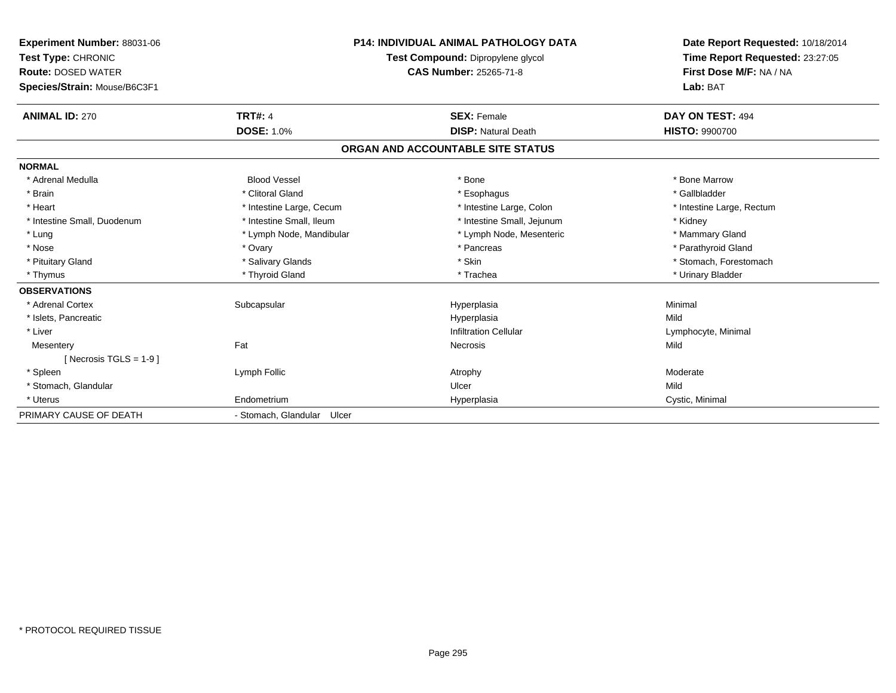| <b>Experiment Number: 88031-06</b><br>Test Type: CHRONIC<br><b>Route: DOSED WATER</b><br>Species/Strain: Mouse/B6C3F1 | <b>P14: INDIVIDUAL ANIMAL PATHOLOGY DATA</b><br>Test Compound: Dipropylene glycol<br>CAS Number: 25265-71-8 |                                   | Date Report Requested: 10/18/2014<br>Time Report Requested: 23:27:05<br>First Dose M/F: NA / NA<br>Lab: BAT |  |
|-----------------------------------------------------------------------------------------------------------------------|-------------------------------------------------------------------------------------------------------------|-----------------------------------|-------------------------------------------------------------------------------------------------------------|--|
| <b>ANIMAL ID: 270</b>                                                                                                 | <b>TRT#: 4</b>                                                                                              | <b>SEX: Female</b>                | DAY ON TEST: 494                                                                                            |  |
|                                                                                                                       | <b>DOSE: 1.0%</b>                                                                                           | <b>DISP: Natural Death</b>        | <b>HISTO: 9900700</b>                                                                                       |  |
|                                                                                                                       |                                                                                                             | ORGAN AND ACCOUNTABLE SITE STATUS |                                                                                                             |  |
| <b>NORMAL</b>                                                                                                         |                                                                                                             |                                   |                                                                                                             |  |
| * Adrenal Medulla                                                                                                     | <b>Blood Vessel</b>                                                                                         | * Bone                            | * Bone Marrow                                                                                               |  |
| * Brain                                                                                                               | * Clitoral Gland                                                                                            | * Esophagus                       | * Gallbladder                                                                                               |  |
| * Heart                                                                                                               | * Intestine Large, Cecum                                                                                    | * Intestine Large, Colon          | * Intestine Large, Rectum                                                                                   |  |
| * Intestine Small, Duodenum                                                                                           | * Intestine Small, Ileum                                                                                    | * Intestine Small, Jejunum        | * Kidney                                                                                                    |  |
| * Lung                                                                                                                | * Lymph Node, Mandibular                                                                                    | * Lymph Node, Mesenteric          | * Mammary Gland                                                                                             |  |
| * Nose                                                                                                                | * Ovary                                                                                                     | * Pancreas                        | * Parathyroid Gland                                                                                         |  |
| * Pituitary Gland                                                                                                     | * Salivary Glands                                                                                           | * Skin                            | * Stomach, Forestomach                                                                                      |  |
| * Thymus                                                                                                              | * Thyroid Gland                                                                                             | * Trachea                         | * Urinary Bladder                                                                                           |  |
| <b>OBSERVATIONS</b>                                                                                                   |                                                                                                             |                                   |                                                                                                             |  |
| * Adrenal Cortex                                                                                                      | Subcapsular                                                                                                 | Hyperplasia                       | Minimal                                                                                                     |  |
| * Islets, Pancreatic                                                                                                  |                                                                                                             | Hyperplasia                       | Mild                                                                                                        |  |
| * Liver                                                                                                               |                                                                                                             | <b>Infiltration Cellular</b>      | Lymphocyte, Minimal                                                                                         |  |
| Mesentery                                                                                                             | Fat                                                                                                         | Necrosis                          | Mild                                                                                                        |  |
| [ Necrosis TGLS = $1-9$ ]                                                                                             |                                                                                                             |                                   |                                                                                                             |  |
| * Spleen                                                                                                              | Lymph Follic                                                                                                | Atrophy                           | Moderate                                                                                                    |  |
| * Stomach, Glandular                                                                                                  |                                                                                                             | Ulcer                             | Mild                                                                                                        |  |
| * Uterus                                                                                                              | Endometrium                                                                                                 | Hyperplasia                       | Cystic, Minimal                                                                                             |  |
| PRIMARY CAUSE OF DEATH                                                                                                | - Stomach, Glandular Ulcer                                                                                  |                                   |                                                                                                             |  |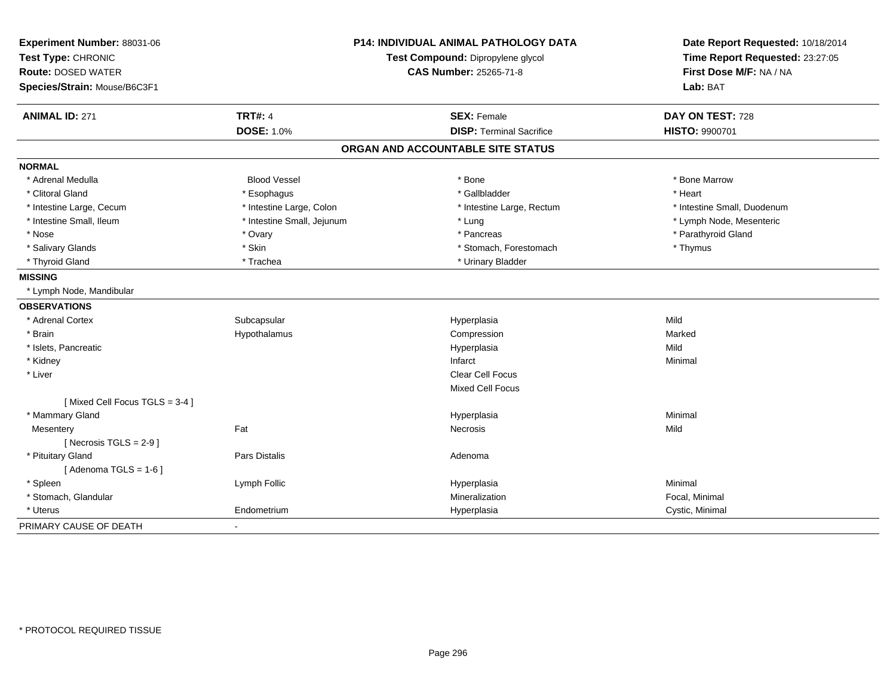| Experiment Number: 88031-06   |                                   | <b>P14: INDIVIDUAL ANIMAL PATHOLOGY DATA</b> | Date Report Requested: 10/18/2014 |
|-------------------------------|-----------------------------------|----------------------------------------------|-----------------------------------|
| Test Type: CHRONIC            | Test Compound: Dipropylene glycol |                                              | Time Report Requested: 23:27:05   |
| <b>Route: DOSED WATER</b>     |                                   | <b>CAS Number: 25265-71-8</b>                | First Dose M/F: NA / NA           |
| Species/Strain: Mouse/B6C3F1  |                                   |                                              | Lab: BAT                          |
| <b>ANIMAL ID: 271</b>         | <b>TRT#: 4</b>                    | <b>SEX: Female</b>                           | DAY ON TEST: 728                  |
|                               | <b>DOSE: 1.0%</b>                 | <b>DISP: Terminal Sacrifice</b>              | HISTO: 9900701                    |
|                               |                                   | ORGAN AND ACCOUNTABLE SITE STATUS            |                                   |
| <b>NORMAL</b>                 |                                   |                                              |                                   |
| * Adrenal Medulla             | <b>Blood Vessel</b>               | * Bone                                       | * Bone Marrow                     |
| * Clitoral Gland              | * Esophagus                       | * Gallbladder                                | * Heart                           |
| * Intestine Large, Cecum      | * Intestine Large, Colon          | * Intestine Large, Rectum                    | * Intestine Small, Duodenum       |
| * Intestine Small, Ileum      | * Intestine Small, Jejunum        | * Lung                                       | * Lymph Node, Mesenteric          |
| * Nose                        | * Ovary                           | * Pancreas                                   | * Parathyroid Gland               |
| * Salivary Glands             | * Skin                            | * Stomach, Forestomach                       | * Thymus                          |
| * Thyroid Gland               | * Trachea                         | * Urinary Bladder                            |                                   |
| <b>MISSING</b>                |                                   |                                              |                                   |
| * Lymph Node, Mandibular      |                                   |                                              |                                   |
| <b>OBSERVATIONS</b>           |                                   |                                              |                                   |
| * Adrenal Cortex              | Subcapsular                       | Hyperplasia                                  | Mild                              |
| * Brain                       | Hypothalamus                      | Compression                                  | Marked                            |
| * Islets, Pancreatic          |                                   | Hyperplasia                                  | Mild                              |
| * Kidney                      |                                   | Infarct                                      | Minimal                           |
| * Liver                       |                                   | Clear Cell Focus                             |                                   |
|                               |                                   | <b>Mixed Cell Focus</b>                      |                                   |
| [Mixed Cell Focus TGLS = 3-4] |                                   |                                              |                                   |
| * Mammary Gland               |                                   | Hyperplasia                                  | Minimal                           |
| Mesentery                     | Fat                               | Necrosis                                     | Mild                              |
| [Necrosis $TGLS = 2-9$ ]      |                                   |                                              |                                   |
| * Pituitary Gland             | Pars Distalis                     | Adenoma                                      |                                   |
| [Adenoma TGLS = $1-6$ ]       |                                   |                                              |                                   |
| * Spleen                      | Lymph Follic                      | Hyperplasia                                  | Minimal                           |
| * Stomach, Glandular          |                                   | Mineralization                               | Focal, Minimal                    |
| * Uterus                      | Endometrium                       | Hyperplasia                                  | Cystic, Minimal                   |
| PRIMARY CAUSE OF DEATH        |                                   |                                              |                                   |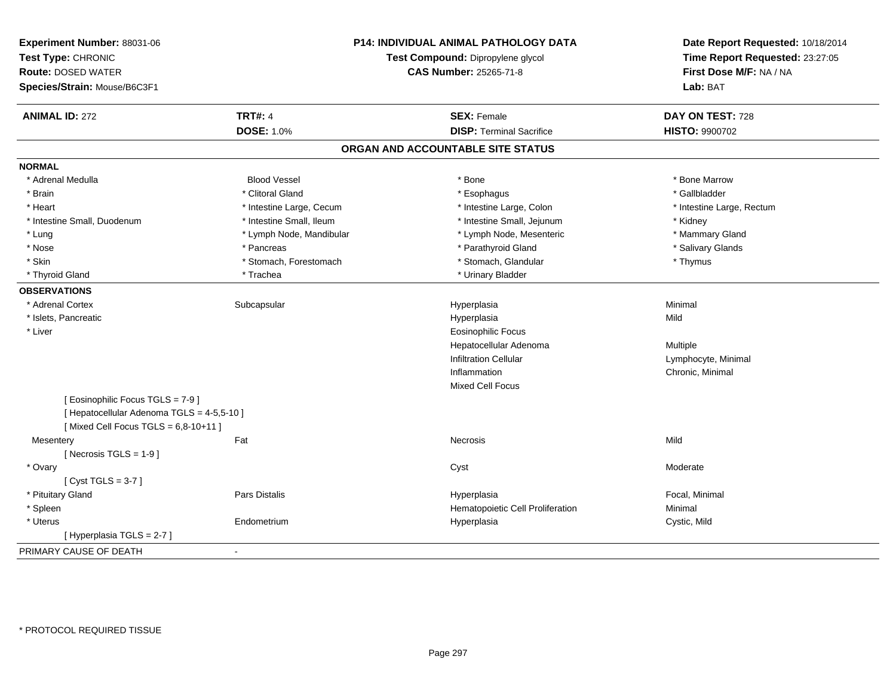| Experiment Number: 88031-06<br>Test Type: CHRONIC<br><b>Route: DOSED WATER</b><br>Species/Strain: Mouse/B6C3F1 | P14: INDIVIDUAL ANIMAL PATHOLOGY DATA<br>Test Compound: Dipropylene glycol<br>CAS Number: 25265-71-8 |                                   | Date Report Requested: 10/18/2014<br>Time Report Requested: 23:27:05<br>First Dose M/F: NA / NA<br>Lab: BAT |
|----------------------------------------------------------------------------------------------------------------|------------------------------------------------------------------------------------------------------|-----------------------------------|-------------------------------------------------------------------------------------------------------------|
| <b>ANIMAL ID: 272</b>                                                                                          | <b>TRT#: 4</b>                                                                                       | <b>SEX: Female</b>                | DAY ON TEST: 728                                                                                            |
|                                                                                                                | <b>DOSE: 1.0%</b>                                                                                    | <b>DISP: Terminal Sacrifice</b>   | HISTO: 9900702                                                                                              |
|                                                                                                                |                                                                                                      | ORGAN AND ACCOUNTABLE SITE STATUS |                                                                                                             |
| <b>NORMAL</b>                                                                                                  |                                                                                                      |                                   |                                                                                                             |
| * Adrenal Medulla                                                                                              | <b>Blood Vessel</b>                                                                                  | * Bone                            | * Bone Marrow                                                                                               |
| * Brain                                                                                                        | * Clitoral Gland                                                                                     | * Esophagus                       | * Gallbladder                                                                                               |
| * Heart                                                                                                        | * Intestine Large, Cecum                                                                             | * Intestine Large, Colon          | * Intestine Large, Rectum                                                                                   |
| * Intestine Small, Duodenum                                                                                    | * Intestine Small, Ileum                                                                             | * Intestine Small, Jejunum        | * Kidney                                                                                                    |
| * Lung                                                                                                         | * Lymph Node, Mandibular                                                                             | * Lymph Node, Mesenteric          | * Mammary Gland                                                                                             |
| * Nose                                                                                                         | * Pancreas                                                                                           | * Parathyroid Gland               | * Salivary Glands                                                                                           |
| * Skin                                                                                                         | * Stomach, Forestomach                                                                               | * Stomach, Glandular              | * Thymus                                                                                                    |
| * Thyroid Gland                                                                                                | * Trachea                                                                                            | * Urinary Bladder                 |                                                                                                             |
| <b>OBSERVATIONS</b>                                                                                            |                                                                                                      |                                   |                                                                                                             |
| * Adrenal Cortex                                                                                               | Subcapsular                                                                                          | Hyperplasia                       | Minimal                                                                                                     |
| * Islets, Pancreatic                                                                                           |                                                                                                      | Hyperplasia                       | Mild                                                                                                        |
| * Liver                                                                                                        |                                                                                                      | <b>Eosinophilic Focus</b>         |                                                                                                             |
|                                                                                                                |                                                                                                      | Hepatocellular Adenoma            | Multiple                                                                                                    |
|                                                                                                                |                                                                                                      | <b>Infiltration Cellular</b>      | Lymphocyte, Minimal                                                                                         |
|                                                                                                                |                                                                                                      | Inflammation                      | Chronic, Minimal                                                                                            |
|                                                                                                                |                                                                                                      | Mixed Cell Focus                  |                                                                                                             |
| [ Eosinophilic Focus TGLS = 7-9 ]                                                                              |                                                                                                      |                                   |                                                                                                             |
| [ Hepatocellular Adenoma TGLS = 4-5,5-10 ]                                                                     |                                                                                                      |                                   |                                                                                                             |
| [Mixed Cell Focus TGLS = $6,8-10+11$ ]                                                                         |                                                                                                      |                                   |                                                                                                             |
| Mesentery                                                                                                      | Fat                                                                                                  | Necrosis                          | Mild                                                                                                        |
| [Necrosis TGLS = $1-9$ ]                                                                                       |                                                                                                      |                                   |                                                                                                             |
| * Ovary                                                                                                        |                                                                                                      | Cyst                              | Moderate                                                                                                    |
| [Cyst TGLS = $3-7$ ]                                                                                           |                                                                                                      |                                   |                                                                                                             |
| * Pituitary Gland                                                                                              | Pars Distalis                                                                                        | Hyperplasia                       | Focal, Minimal                                                                                              |
| * Spleen                                                                                                       |                                                                                                      | Hematopoietic Cell Proliferation  | Minimal                                                                                                     |
| * Uterus                                                                                                       | Endometrium                                                                                          | Hyperplasia                       | Cystic, Mild                                                                                                |
| [ Hyperplasia TGLS = 2-7 ]                                                                                     |                                                                                                      |                                   |                                                                                                             |
| PRIMARY CAUSE OF DEATH                                                                                         | $\blacksquare$                                                                                       |                                   |                                                                                                             |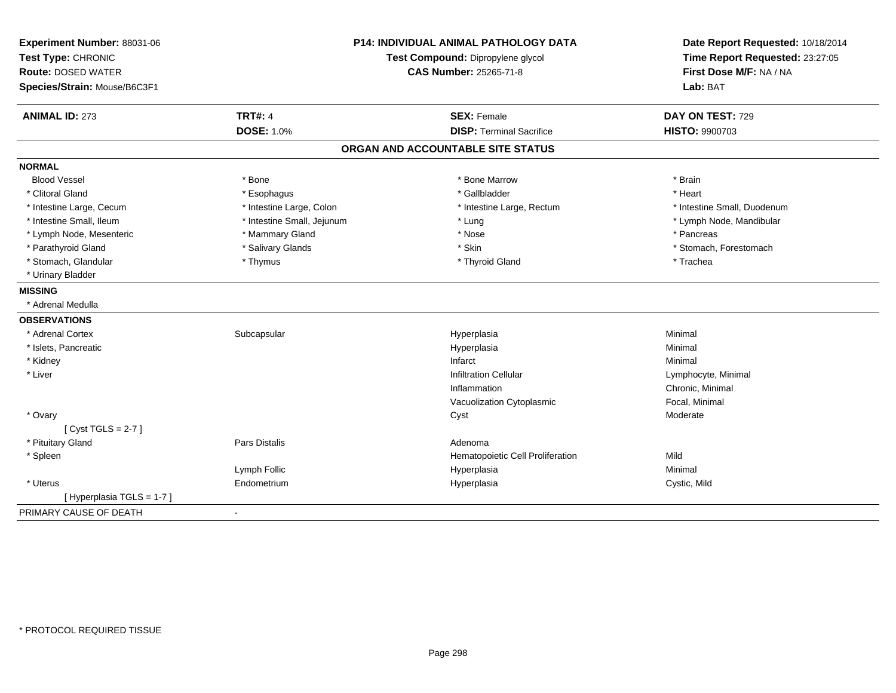| Experiment Number: 88031-06<br>Test Type: CHRONIC<br><b>Route: DOSED WATER</b> | <b>P14: INDIVIDUAL ANIMAL PATHOLOGY DATA</b><br>Test Compound: Dipropylene glycol<br><b>CAS Number: 25265-71-8</b> |                                   | Date Report Requested: 10/18/2014<br>Time Report Requested: 23:27:05<br>First Dose M/F: NA / NA<br>Lab: BAT |  |
|--------------------------------------------------------------------------------|--------------------------------------------------------------------------------------------------------------------|-----------------------------------|-------------------------------------------------------------------------------------------------------------|--|
| Species/Strain: Mouse/B6C3F1                                                   |                                                                                                                    |                                   |                                                                                                             |  |
| <b>ANIMAL ID: 273</b>                                                          | <b>TRT#: 4</b>                                                                                                     | <b>SEX: Female</b>                | DAY ON TEST: 729                                                                                            |  |
|                                                                                | <b>DOSE: 1.0%</b>                                                                                                  | <b>DISP: Terminal Sacrifice</b>   | <b>HISTO: 9900703</b>                                                                                       |  |
|                                                                                |                                                                                                                    | ORGAN AND ACCOUNTABLE SITE STATUS |                                                                                                             |  |
| <b>NORMAL</b>                                                                  |                                                                                                                    |                                   |                                                                                                             |  |
| <b>Blood Vessel</b>                                                            | * Bone                                                                                                             | * Bone Marrow                     | * Brain                                                                                                     |  |
| * Clitoral Gland                                                               | * Esophagus                                                                                                        | * Gallbladder                     | * Heart                                                                                                     |  |
| * Intestine Large, Cecum                                                       | * Intestine Large, Colon                                                                                           | * Intestine Large, Rectum         | * Intestine Small, Duodenum                                                                                 |  |
| * Intestine Small, Ileum                                                       | * Intestine Small, Jejunum                                                                                         | * Lung                            | * Lymph Node, Mandibular                                                                                    |  |
| * Lymph Node, Mesenteric                                                       | * Mammary Gland                                                                                                    | * Nose                            | * Pancreas                                                                                                  |  |
| * Parathyroid Gland                                                            | * Salivary Glands                                                                                                  | * Skin                            | * Stomach, Forestomach                                                                                      |  |
| * Stomach, Glandular                                                           | * Thymus                                                                                                           | * Thyroid Gland                   | * Trachea                                                                                                   |  |
| * Urinary Bladder                                                              |                                                                                                                    |                                   |                                                                                                             |  |
| <b>MISSING</b>                                                                 |                                                                                                                    |                                   |                                                                                                             |  |
| * Adrenal Medulla                                                              |                                                                                                                    |                                   |                                                                                                             |  |
| <b>OBSERVATIONS</b>                                                            |                                                                                                                    |                                   |                                                                                                             |  |
| * Adrenal Cortex                                                               | Subcapsular                                                                                                        | Hyperplasia                       | Minimal                                                                                                     |  |
| * Islets, Pancreatic                                                           |                                                                                                                    | Hyperplasia                       | Minimal                                                                                                     |  |
| * Kidney                                                                       |                                                                                                                    | Infarct                           | Minimal                                                                                                     |  |
| * Liver                                                                        |                                                                                                                    | <b>Infiltration Cellular</b>      | Lymphocyte, Minimal                                                                                         |  |
|                                                                                |                                                                                                                    | Inflammation                      | Chronic, Minimal                                                                                            |  |
|                                                                                |                                                                                                                    | Vacuolization Cytoplasmic         | Focal, Minimal                                                                                              |  |
| * Ovary                                                                        |                                                                                                                    | Cyst                              | Moderate                                                                                                    |  |
| [Cyst TGLS = $2-7$ ]                                                           |                                                                                                                    |                                   |                                                                                                             |  |
| * Pituitary Gland                                                              | Pars Distalis                                                                                                      | Adenoma                           |                                                                                                             |  |
| * Spleen                                                                       |                                                                                                                    | Hematopoietic Cell Proliferation  | Mild                                                                                                        |  |
|                                                                                | Lymph Follic                                                                                                       | Hyperplasia                       | Minimal                                                                                                     |  |
| * Uterus                                                                       | Endometrium                                                                                                        | Hyperplasia                       | Cystic, Mild                                                                                                |  |
| [ Hyperplasia TGLS = 1-7 ]                                                     |                                                                                                                    |                                   |                                                                                                             |  |
| PRIMARY CAUSE OF DEATH                                                         | $\sim$                                                                                                             |                                   |                                                                                                             |  |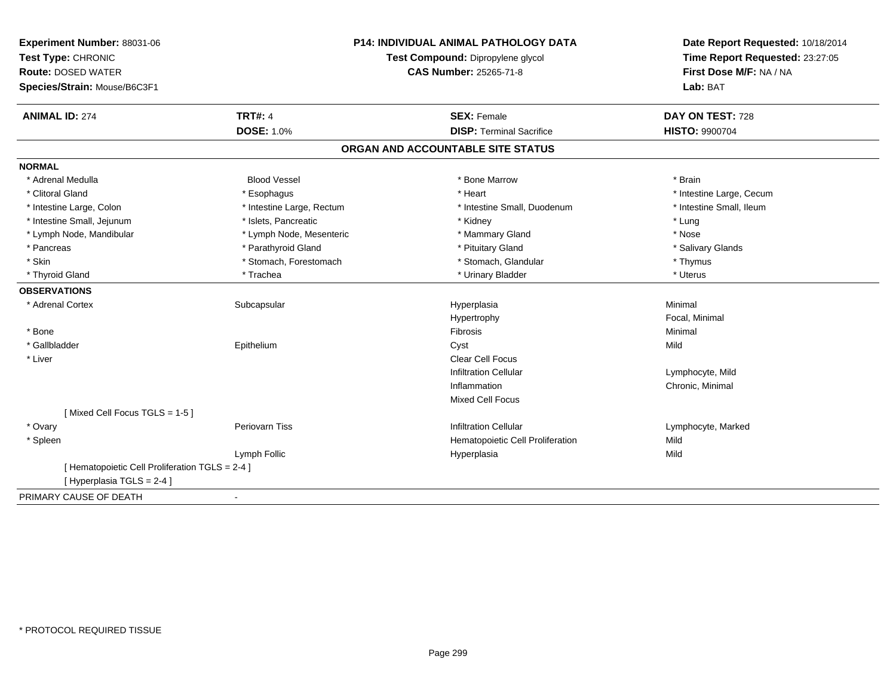| Experiment Number: 88031-06<br>Test Type: CHRONIC                             |                           | <b>P14: INDIVIDUAL ANIMAL PATHOLOGY DATA</b><br>Test Compound: Dipropylene glycol | Date Report Requested: 10/18/2014<br>Time Report Requested: 23:27:05<br>First Dose M/F: NA / NA |
|-------------------------------------------------------------------------------|---------------------------|-----------------------------------------------------------------------------------|-------------------------------------------------------------------------------------------------|
| <b>Route: DOSED WATER</b>                                                     |                           | <b>CAS Number: 25265-71-8</b>                                                     |                                                                                                 |
| Species/Strain: Mouse/B6C3F1                                                  |                           |                                                                                   | Lab: BAT                                                                                        |
| <b>ANIMAL ID: 274</b>                                                         | <b>TRT#: 4</b>            | <b>SEX: Female</b>                                                                | DAY ON TEST: 728                                                                                |
|                                                                               | <b>DOSE: 1.0%</b>         | <b>DISP: Terminal Sacrifice</b>                                                   | HISTO: 9900704                                                                                  |
|                                                                               |                           | ORGAN AND ACCOUNTABLE SITE STATUS                                                 |                                                                                                 |
| <b>NORMAL</b>                                                                 |                           |                                                                                   |                                                                                                 |
| * Adrenal Medulla                                                             | <b>Blood Vessel</b>       | * Bone Marrow                                                                     | * Brain                                                                                         |
| * Clitoral Gland                                                              | * Esophagus               | * Heart                                                                           | * Intestine Large, Cecum                                                                        |
| * Intestine Large, Colon                                                      | * Intestine Large, Rectum | * Intestine Small, Duodenum                                                       | * Intestine Small, Ileum                                                                        |
| * Intestine Small, Jejunum                                                    | * Islets, Pancreatic      | * Kidney                                                                          | * Lung                                                                                          |
| * Lymph Node, Mandibular                                                      | * Lymph Node, Mesenteric  | * Mammary Gland                                                                   | * Nose                                                                                          |
| * Pancreas                                                                    | * Parathyroid Gland       | * Pituitary Gland                                                                 | * Salivary Glands                                                                               |
| * Skin                                                                        | * Stomach, Forestomach    | * Stomach, Glandular                                                              | * Thymus                                                                                        |
| * Thyroid Gland                                                               | * Trachea                 | * Urinary Bladder                                                                 | * Uterus                                                                                        |
| <b>OBSERVATIONS</b>                                                           |                           |                                                                                   |                                                                                                 |
| * Adrenal Cortex                                                              | Subcapsular               | Hyperplasia                                                                       | Minimal                                                                                         |
|                                                                               |                           | Hypertrophy                                                                       | Focal, Minimal                                                                                  |
| * Bone                                                                        |                           | <b>Fibrosis</b>                                                                   | Minimal                                                                                         |
| * Gallbladder                                                                 | Epithelium                | Cyst                                                                              | Mild                                                                                            |
| * Liver                                                                       |                           | <b>Clear Cell Focus</b>                                                           |                                                                                                 |
|                                                                               |                           | <b>Infiltration Cellular</b>                                                      | Lymphocyte, Mild                                                                                |
|                                                                               |                           | Inflammation                                                                      | Chronic, Minimal                                                                                |
|                                                                               |                           | Mixed Cell Focus                                                                  |                                                                                                 |
| [Mixed Cell Focus TGLS = 1-5]                                                 |                           |                                                                                   |                                                                                                 |
| * Ovary                                                                       | Periovarn Tiss            | <b>Infiltration Cellular</b>                                                      | Lymphocyte, Marked                                                                              |
| * Spleen                                                                      |                           | Hematopoietic Cell Proliferation                                                  | Mild                                                                                            |
|                                                                               | Lymph Follic              | Hyperplasia                                                                       | Mild                                                                                            |
| [ Hematopoietic Cell Proliferation TGLS = 2-4 ]<br>[ Hyperplasia TGLS = 2-4 ] |                           |                                                                                   |                                                                                                 |
| PRIMARY CAUSE OF DEATH                                                        | $\blacksquare$            |                                                                                   |                                                                                                 |
|                                                                               |                           |                                                                                   |                                                                                                 |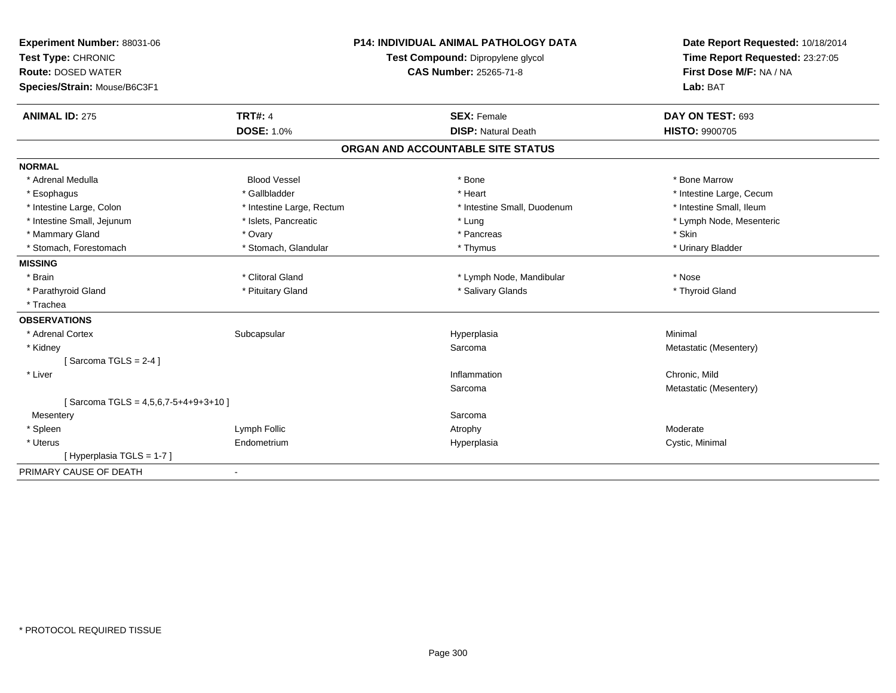| Experiment Number: 88031-06            | <b>P14: INDIVIDUAL ANIMAL PATHOLOGY DATA</b><br>Test Compound: Dipropylene glycol |                                   | Date Report Requested: 10/18/2014 |  |
|----------------------------------------|-----------------------------------------------------------------------------------|-----------------------------------|-----------------------------------|--|
| Test Type: CHRONIC                     |                                                                                   |                                   | Time Report Requested: 23:27:05   |  |
| <b>Route: DOSED WATER</b>              |                                                                                   | <b>CAS Number: 25265-71-8</b>     | First Dose M/F: NA / NA           |  |
| Species/Strain: Mouse/B6C3F1           |                                                                                   |                                   | Lab: BAT                          |  |
| <b>ANIMAL ID: 275</b>                  | <b>TRT#: 4</b>                                                                    | <b>SEX: Female</b>                | DAY ON TEST: 693                  |  |
|                                        | <b>DOSE: 1.0%</b>                                                                 | <b>DISP: Natural Death</b>        | <b>HISTO: 9900705</b>             |  |
|                                        |                                                                                   | ORGAN AND ACCOUNTABLE SITE STATUS |                                   |  |
| <b>NORMAL</b>                          |                                                                                   |                                   |                                   |  |
| * Adrenal Medulla                      | <b>Blood Vessel</b>                                                               | * Bone                            | * Bone Marrow                     |  |
| * Esophagus                            | * Gallbladder                                                                     | * Heart                           | * Intestine Large, Cecum          |  |
| * Intestine Large, Colon               | * Intestine Large, Rectum                                                         | * Intestine Small, Duodenum       | * Intestine Small, Ileum          |  |
| * Intestine Small, Jejunum             | * Islets, Pancreatic                                                              | * Lung                            | * Lymph Node, Mesenteric          |  |
| * Mammary Gland                        | * Ovary                                                                           | * Pancreas                        | * Skin                            |  |
| * Stomach, Forestomach                 | * Stomach, Glandular                                                              | * Thymus                          | * Urinary Bladder                 |  |
| <b>MISSING</b>                         |                                                                                   |                                   |                                   |  |
| * Brain                                | * Clitoral Gland                                                                  | * Lymph Node, Mandibular          | * Nose                            |  |
| * Parathyroid Gland                    | * Pituitary Gland                                                                 | * Salivary Glands                 | * Thyroid Gland                   |  |
| * Trachea                              |                                                                                   |                                   |                                   |  |
| <b>OBSERVATIONS</b>                    |                                                                                   |                                   |                                   |  |
| * Adrenal Cortex                       | Subcapsular                                                                       | Hyperplasia                       | Minimal                           |  |
| * Kidney                               |                                                                                   | Sarcoma                           | Metastatic (Mesentery)            |  |
| [Sarcoma TGLS = $2-4$ ]                |                                                                                   |                                   |                                   |  |
| * Liver                                |                                                                                   | Inflammation                      | Chronic, Mild                     |  |
|                                        |                                                                                   | Sarcoma                           | Metastatic (Mesentery)            |  |
| [Sarcoma TGLS = $4,5,6,7-5+4+9+3+10$ ] |                                                                                   |                                   |                                   |  |
| Mesentery                              |                                                                                   | Sarcoma                           |                                   |  |
| * Spleen                               | Lymph Follic                                                                      | Atrophy                           | Moderate                          |  |
| * Uterus                               | Endometrium                                                                       | Hyperplasia                       | Cystic, Minimal                   |  |
| [Hyperplasia TGLS = 1-7]               |                                                                                   |                                   |                                   |  |
| PRIMARY CAUSE OF DEATH                 |                                                                                   |                                   |                                   |  |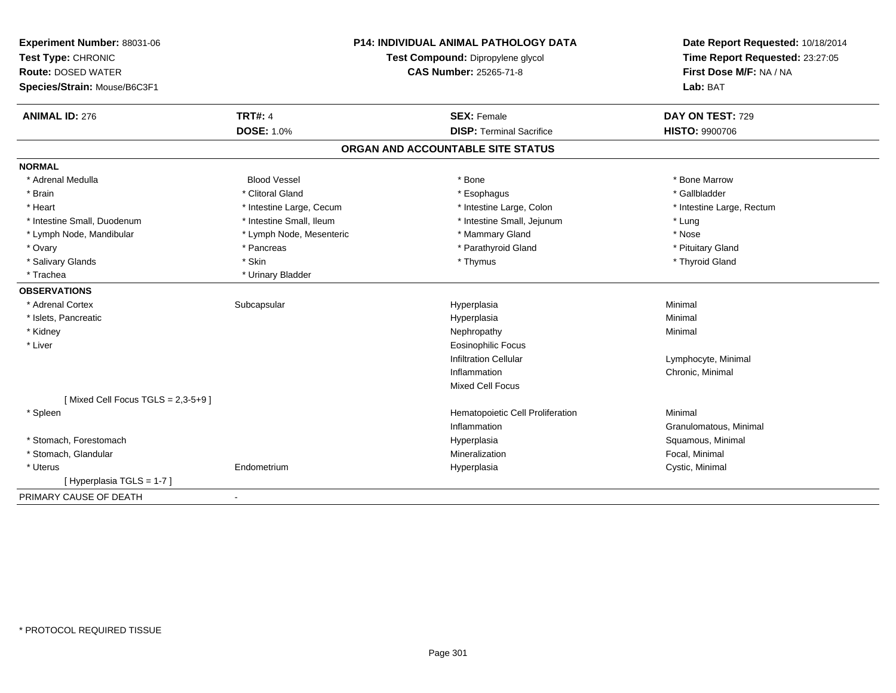| Experiment Number: 88031-06<br>Test Type: CHRONIC<br><b>Route: DOSED WATER</b><br>Species/Strain: Mouse/B6C3F1 | <b>P14: INDIVIDUAL ANIMAL PATHOLOGY DATA</b><br>Test Compound: Dipropylene glycol<br><b>CAS Number: 25265-71-8</b> |                                                       | Date Report Requested: 10/18/2014<br>Time Report Requested: 23:27:05<br>First Dose M/F: NA / NA<br>Lab: BAT |  |  |
|----------------------------------------------------------------------------------------------------------------|--------------------------------------------------------------------------------------------------------------------|-------------------------------------------------------|-------------------------------------------------------------------------------------------------------------|--|--|
| <b>ANIMAL ID: 276</b>                                                                                          | <b>TRT#: 4</b><br><b>DOSE: 1.0%</b>                                                                                | <b>SEX: Female</b><br><b>DISP: Terminal Sacrifice</b> | DAY ON TEST: 729<br>HISTO: 9900706                                                                          |  |  |
|                                                                                                                |                                                                                                                    | ORGAN AND ACCOUNTABLE SITE STATUS                     |                                                                                                             |  |  |
| <b>NORMAL</b>                                                                                                  |                                                                                                                    |                                                       |                                                                                                             |  |  |
| * Adrenal Medulla                                                                                              | <b>Blood Vessel</b>                                                                                                | * Bone                                                | * Bone Marrow                                                                                               |  |  |
| * Brain                                                                                                        | * Clitoral Gland                                                                                                   | * Esophagus                                           | * Gallbladder                                                                                               |  |  |
| * Heart                                                                                                        | * Intestine Large, Cecum                                                                                           | * Intestine Large, Colon                              | * Intestine Large, Rectum                                                                                   |  |  |
| * Intestine Small, Duodenum                                                                                    | * Intestine Small, Ileum                                                                                           | * Intestine Small, Jejunum                            | * Lung                                                                                                      |  |  |
| * Lymph Node, Mandibular                                                                                       | * Lymph Node, Mesenteric                                                                                           | * Mammary Gland                                       | * Nose                                                                                                      |  |  |
| * Ovary                                                                                                        | * Pancreas                                                                                                         | * Parathyroid Gland                                   | * Pituitary Gland                                                                                           |  |  |
| * Salivary Glands                                                                                              | * Skin                                                                                                             | * Thymus                                              | * Thyroid Gland                                                                                             |  |  |
| * Trachea                                                                                                      | * Urinary Bladder                                                                                                  |                                                       |                                                                                                             |  |  |
| <b>OBSERVATIONS</b>                                                                                            |                                                                                                                    |                                                       |                                                                                                             |  |  |
| * Adrenal Cortex                                                                                               | Subcapsular                                                                                                        | Hyperplasia                                           | Minimal                                                                                                     |  |  |
| * Islets, Pancreatic                                                                                           |                                                                                                                    | Hyperplasia                                           | Minimal                                                                                                     |  |  |
| * Kidney                                                                                                       |                                                                                                                    | Nephropathy                                           | Minimal                                                                                                     |  |  |
| * Liver                                                                                                        |                                                                                                                    | <b>Eosinophilic Focus</b>                             |                                                                                                             |  |  |
|                                                                                                                |                                                                                                                    | <b>Infiltration Cellular</b>                          | Lymphocyte, Minimal                                                                                         |  |  |
|                                                                                                                |                                                                                                                    | Inflammation                                          | Chronic, Minimal                                                                                            |  |  |
|                                                                                                                |                                                                                                                    | Mixed Cell Focus                                      |                                                                                                             |  |  |
| [Mixed Cell Focus TGLS = $2,3-5+9$ ]                                                                           |                                                                                                                    |                                                       |                                                                                                             |  |  |
| * Spleen                                                                                                       |                                                                                                                    | Hematopoietic Cell Proliferation                      | Minimal                                                                                                     |  |  |
|                                                                                                                |                                                                                                                    | Inflammation                                          | Granulomatous, Minimal                                                                                      |  |  |
| * Stomach, Forestomach                                                                                         |                                                                                                                    | Hyperplasia                                           | Squamous, Minimal                                                                                           |  |  |
| * Stomach, Glandular                                                                                           |                                                                                                                    | Mineralization                                        | Focal, Minimal                                                                                              |  |  |
| * Uterus                                                                                                       | Endometrium                                                                                                        | Hyperplasia                                           | Cystic, Minimal                                                                                             |  |  |
| [ Hyperplasia TGLS = 1-7 ]                                                                                     |                                                                                                                    |                                                       |                                                                                                             |  |  |
| PRIMARY CAUSE OF DEATH                                                                                         | $\blacksquare$                                                                                                     |                                                       |                                                                                                             |  |  |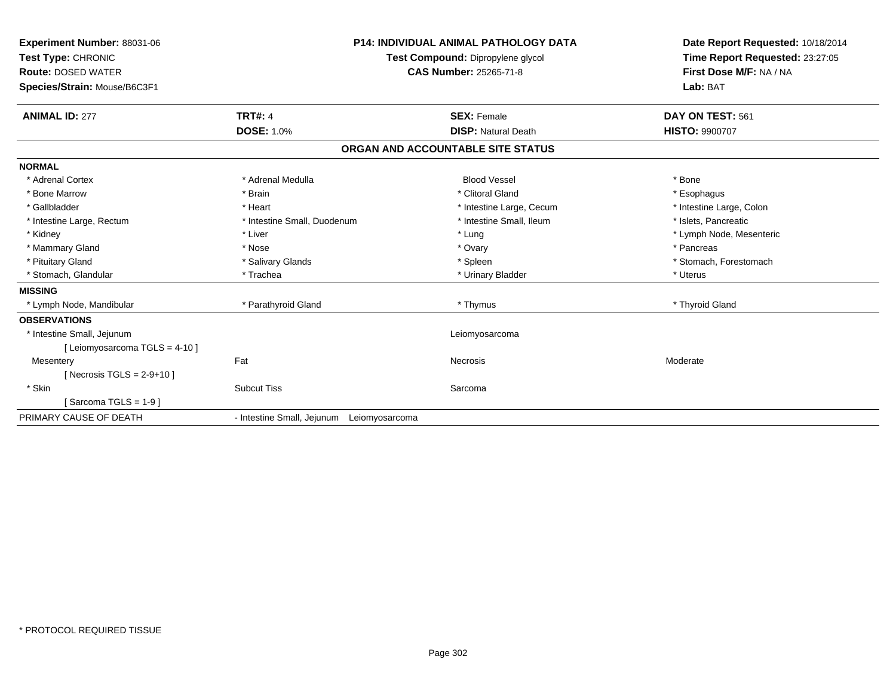| <b>Experiment Number: 88031-06</b><br>Test Type: CHRONIC<br><b>Route: DOSED WATER</b><br>Species/Strain: Mouse/B6C3F1 |                                           | <b>P14: INDIVIDUAL ANIMAL PATHOLOGY DATA</b><br>Test Compound: Dipropylene glycol<br>CAS Number: 25265-71-8 | Date Report Requested: 10/18/2014<br>Time Report Requested: 23:27:05<br>First Dose M/F: NA / NA<br>Lab: BAT |
|-----------------------------------------------------------------------------------------------------------------------|-------------------------------------------|-------------------------------------------------------------------------------------------------------------|-------------------------------------------------------------------------------------------------------------|
| <b>ANIMAL ID: 277</b>                                                                                                 | <b>TRT#: 4</b>                            | <b>SEX: Female</b>                                                                                          | DAY ON TEST: 561                                                                                            |
|                                                                                                                       | <b>DOSE: 1.0%</b>                         | <b>DISP: Natural Death</b>                                                                                  | <b>HISTO: 9900707</b>                                                                                       |
|                                                                                                                       |                                           | ORGAN AND ACCOUNTABLE SITE STATUS                                                                           |                                                                                                             |
| <b>NORMAL</b>                                                                                                         |                                           |                                                                                                             |                                                                                                             |
| * Adrenal Cortex                                                                                                      | * Adrenal Medulla                         | <b>Blood Vessel</b>                                                                                         | * Bone                                                                                                      |
| * Bone Marrow                                                                                                         | * Brain                                   | * Clitoral Gland                                                                                            | * Esophagus                                                                                                 |
| * Gallbladder                                                                                                         | * Heart                                   | * Intestine Large, Cecum                                                                                    | * Intestine Large, Colon                                                                                    |
| * Intestine Large, Rectum                                                                                             | * Intestine Small, Duodenum               | * Intestine Small. Ileum                                                                                    | * Islets, Pancreatic                                                                                        |
| * Kidney                                                                                                              | * Liver                                   | * Lung                                                                                                      | * Lymph Node, Mesenteric                                                                                    |
| * Mammary Gland                                                                                                       | * Nose                                    | * Ovary                                                                                                     | * Pancreas                                                                                                  |
| * Pituitary Gland                                                                                                     | * Salivary Glands                         | * Spleen                                                                                                    | * Stomach, Forestomach                                                                                      |
| * Stomach, Glandular                                                                                                  | * Trachea                                 | * Urinary Bladder                                                                                           | * Uterus                                                                                                    |
| <b>MISSING</b>                                                                                                        |                                           |                                                                                                             |                                                                                                             |
| * Lymph Node, Mandibular                                                                                              | * Parathyroid Gland                       | * Thymus                                                                                                    | * Thyroid Gland                                                                                             |
| <b>OBSERVATIONS</b>                                                                                                   |                                           |                                                                                                             |                                                                                                             |
| * Intestine Small, Jejunum                                                                                            |                                           | Leiomyosarcoma                                                                                              |                                                                                                             |
| [Leiomyosarcoma TGLS = 4-10]                                                                                          |                                           |                                                                                                             |                                                                                                             |
| Mesentery                                                                                                             | Fat                                       | <b>Necrosis</b>                                                                                             | Moderate                                                                                                    |
| [Necrosis TGLS = $2-9+10$ ]                                                                                           |                                           |                                                                                                             |                                                                                                             |
| * Skin                                                                                                                | <b>Subcut Tiss</b>                        | Sarcoma                                                                                                     |                                                                                                             |
| [Sarcoma TGLS = $1-9$ ]                                                                                               |                                           |                                                                                                             |                                                                                                             |
| PRIMARY CAUSE OF DEATH                                                                                                | - Intestine Small, Jejunum Leiomyosarcoma |                                                                                                             |                                                                                                             |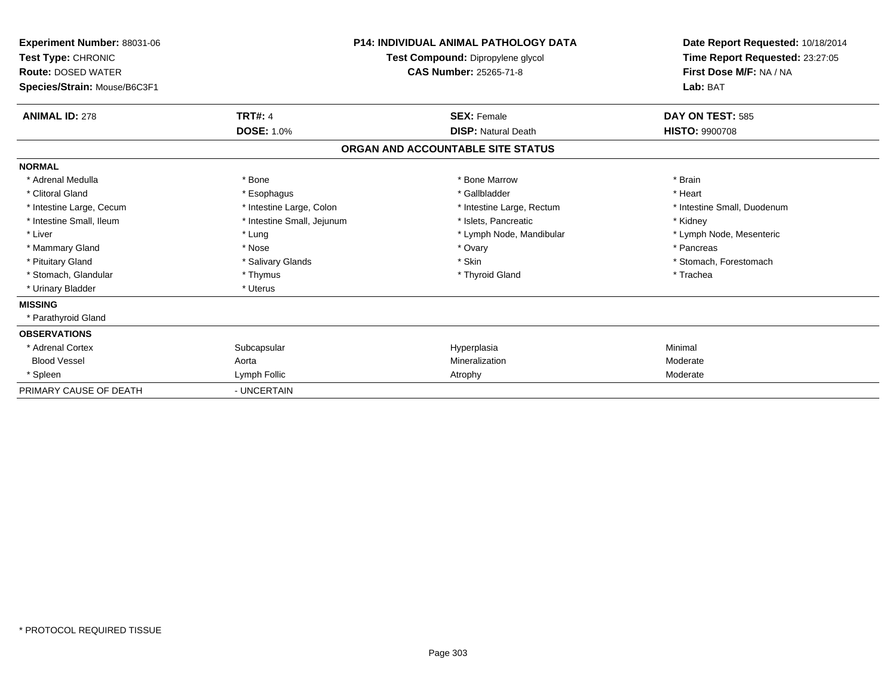| Experiment Number: 88031-06<br>Test Type: CHRONIC<br><b>Route: DOSED WATER</b><br>Species/Strain: Mouse/B6C3F1 |                            | <b>P14: INDIVIDUAL ANIMAL PATHOLOGY DATA</b><br>Test Compound: Dipropylene glycol<br>CAS Number: 25265-71-8 | Date Report Requested: 10/18/2014<br>Time Report Requested: 23:27:05<br>First Dose M/F: NA / NA<br>Lab: BAT |  |  |
|----------------------------------------------------------------------------------------------------------------|----------------------------|-------------------------------------------------------------------------------------------------------------|-------------------------------------------------------------------------------------------------------------|--|--|
| <b>ANIMAL ID: 278</b>                                                                                          | <b>TRT#: 4</b>             | <b>SEX: Female</b>                                                                                          | DAY ON TEST: 585                                                                                            |  |  |
|                                                                                                                | <b>DOSE: 1.0%</b>          | <b>DISP: Natural Death</b>                                                                                  | <b>HISTO: 9900708</b>                                                                                       |  |  |
|                                                                                                                |                            | ORGAN AND ACCOUNTABLE SITE STATUS                                                                           |                                                                                                             |  |  |
| <b>NORMAL</b>                                                                                                  |                            |                                                                                                             |                                                                                                             |  |  |
| * Adrenal Medulla                                                                                              | * Bone                     | * Bone Marrow                                                                                               | * Brain                                                                                                     |  |  |
| * Clitoral Gland                                                                                               | * Esophagus                | * Gallbladder                                                                                               | * Heart                                                                                                     |  |  |
| * Intestine Large, Cecum                                                                                       | * Intestine Large, Colon   | * Intestine Large, Rectum                                                                                   | * Intestine Small, Duodenum                                                                                 |  |  |
| * Intestine Small, Ileum                                                                                       | * Intestine Small, Jejunum | * Islets, Pancreatic                                                                                        | * Kidney                                                                                                    |  |  |
| * Liver                                                                                                        | * Lung                     | * Lymph Node, Mandibular                                                                                    | * Lymph Node, Mesenteric                                                                                    |  |  |
| * Mammary Gland                                                                                                | * Nose                     | * Ovary                                                                                                     | * Pancreas                                                                                                  |  |  |
| * Pituitary Gland                                                                                              | * Salivary Glands          | * Skin                                                                                                      | * Stomach, Forestomach                                                                                      |  |  |
| * Stomach, Glandular                                                                                           | * Thymus                   | * Thyroid Gland                                                                                             | * Trachea                                                                                                   |  |  |
| * Urinary Bladder                                                                                              | * Uterus                   |                                                                                                             |                                                                                                             |  |  |
| <b>MISSING</b>                                                                                                 |                            |                                                                                                             |                                                                                                             |  |  |
| * Parathyroid Gland                                                                                            |                            |                                                                                                             |                                                                                                             |  |  |
| <b>OBSERVATIONS</b>                                                                                            |                            |                                                                                                             |                                                                                                             |  |  |
| * Adrenal Cortex                                                                                               | Subcapsular                | Hyperplasia                                                                                                 | Minimal                                                                                                     |  |  |
| <b>Blood Vessel</b>                                                                                            | Aorta                      | Mineralization                                                                                              | Moderate                                                                                                    |  |  |
| * Spleen                                                                                                       | Lymph Follic               | Atrophy                                                                                                     | Moderate                                                                                                    |  |  |
| PRIMARY CAUSE OF DEATH                                                                                         | - UNCERTAIN                |                                                                                                             |                                                                                                             |  |  |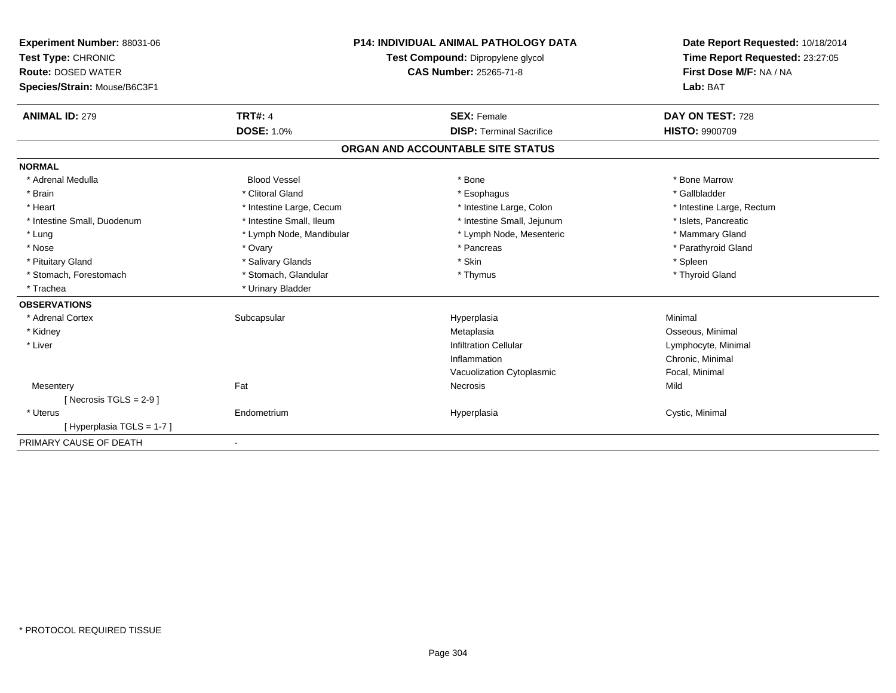| <b>Experiment Number: 88031-06</b><br>Test Type: CHRONIC<br><b>Route: DOSED WATER</b><br>Species/Strain: Mouse/B6C3F1<br><b>ANIMAL ID: 279</b> | <b>TRT#: 4</b>           | <b>P14: INDIVIDUAL ANIMAL PATHOLOGY DATA</b><br>Test Compound: Dipropylene glycol<br>CAS Number: 25265-71-8<br><b>SEX: Female</b> | Date Report Requested: 10/18/2014<br>Time Report Requested: 23:27:05<br>First Dose M/F: NA / NA<br>Lab: BAT<br>DAY ON TEST: 728 |
|------------------------------------------------------------------------------------------------------------------------------------------------|--------------------------|-----------------------------------------------------------------------------------------------------------------------------------|---------------------------------------------------------------------------------------------------------------------------------|
|                                                                                                                                                | <b>DOSE: 1.0%</b>        | <b>DISP: Terminal Sacrifice</b>                                                                                                   | <b>HISTO: 9900709</b>                                                                                                           |
|                                                                                                                                                |                          | ORGAN AND ACCOUNTABLE SITE STATUS                                                                                                 |                                                                                                                                 |
| <b>NORMAL</b>                                                                                                                                  |                          |                                                                                                                                   |                                                                                                                                 |
| * Adrenal Medulla                                                                                                                              | <b>Blood Vessel</b>      | * Bone                                                                                                                            | * Bone Marrow                                                                                                                   |
| * Brain                                                                                                                                        | * Clitoral Gland         | * Esophagus                                                                                                                       | * Gallbladder                                                                                                                   |
| * Heart                                                                                                                                        | * Intestine Large, Cecum | * Intestine Large, Colon                                                                                                          | * Intestine Large, Rectum                                                                                                       |
| * Intestine Small, Duodenum                                                                                                                    | * Intestine Small, Ileum | * Intestine Small, Jejunum                                                                                                        | * Islets. Pancreatic                                                                                                            |
| * Lung                                                                                                                                         | * Lymph Node, Mandibular | * Lymph Node, Mesenteric                                                                                                          | * Mammary Gland                                                                                                                 |
| * Nose                                                                                                                                         | * Ovary                  | * Pancreas                                                                                                                        | * Parathyroid Gland                                                                                                             |
| * Pituitary Gland                                                                                                                              | * Salivary Glands        | * Skin                                                                                                                            | * Spleen                                                                                                                        |
| * Stomach, Forestomach                                                                                                                         | * Stomach, Glandular     | * Thymus                                                                                                                          | * Thyroid Gland                                                                                                                 |
| * Trachea                                                                                                                                      | * Urinary Bladder        |                                                                                                                                   |                                                                                                                                 |
| <b>OBSERVATIONS</b>                                                                                                                            |                          |                                                                                                                                   |                                                                                                                                 |
| * Adrenal Cortex                                                                                                                               | Subcapsular              | Hyperplasia                                                                                                                       | Minimal                                                                                                                         |
| * Kidney                                                                                                                                       |                          | Metaplasia                                                                                                                        | Osseous, Minimal                                                                                                                |
| * Liver                                                                                                                                        |                          | <b>Infiltration Cellular</b>                                                                                                      | Lymphocyte, Minimal                                                                                                             |
|                                                                                                                                                |                          | Inflammation                                                                                                                      | Chronic, Minimal                                                                                                                |
|                                                                                                                                                |                          | Vacuolization Cytoplasmic                                                                                                         | Focal, Minimal                                                                                                                  |
| Mesentery                                                                                                                                      | Fat                      | <b>Necrosis</b>                                                                                                                   | Mild                                                                                                                            |
| [Necrosis TGLS = $2-9$ ]                                                                                                                       |                          |                                                                                                                                   |                                                                                                                                 |
| * Uterus                                                                                                                                       | Endometrium              | Hyperplasia                                                                                                                       | Cystic, Minimal                                                                                                                 |
| [Hyperplasia TGLS = 1-7]                                                                                                                       |                          |                                                                                                                                   |                                                                                                                                 |
| PRIMARY CAUSE OF DEATH                                                                                                                         |                          |                                                                                                                                   |                                                                                                                                 |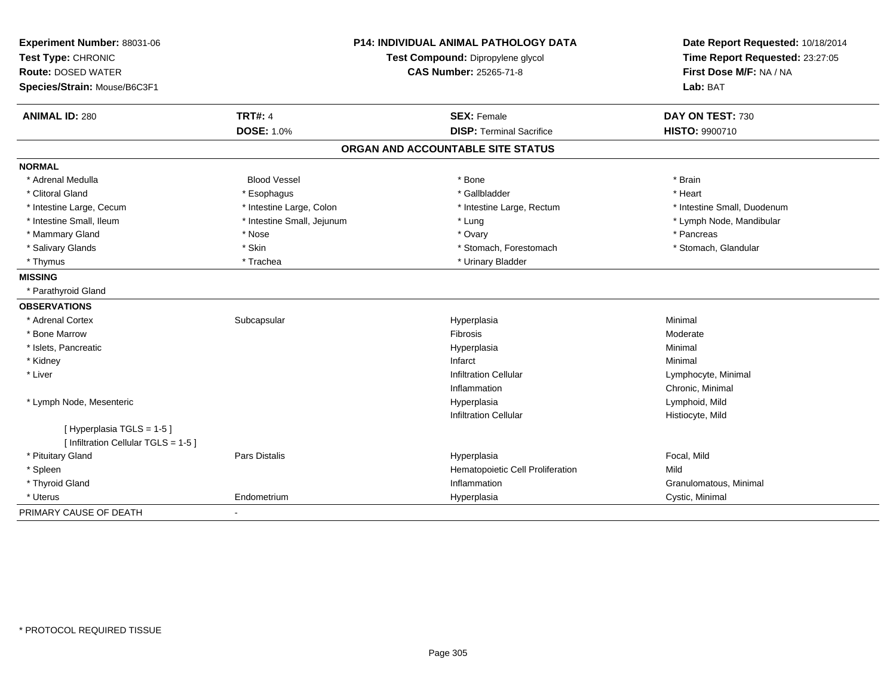| Experiment Number: 88031-06          |                            | <b>P14: INDIVIDUAL ANIMAL PATHOLOGY DATA</b> | Date Report Requested: 10/18/2014 |  |
|--------------------------------------|----------------------------|----------------------------------------------|-----------------------------------|--|
| Test Type: CHRONIC                   |                            | Test Compound: Dipropylene glycol            | Time Report Requested: 23:27:05   |  |
| <b>Route: DOSED WATER</b>            |                            | CAS Number: 25265-71-8                       | First Dose M/F: NA / NA           |  |
| Species/Strain: Mouse/B6C3F1         |                            |                                              | Lab: BAT                          |  |
| <b>ANIMAL ID: 280</b>                | <b>TRT#: 4</b>             | <b>SEX: Female</b>                           | DAY ON TEST: 730                  |  |
|                                      | <b>DOSE: 1.0%</b>          | <b>DISP: Terminal Sacrifice</b>              | HISTO: 9900710                    |  |
|                                      |                            | ORGAN AND ACCOUNTABLE SITE STATUS            |                                   |  |
| <b>NORMAL</b>                        |                            |                                              |                                   |  |
| * Adrenal Medulla                    | <b>Blood Vessel</b>        | * Bone                                       | * Brain                           |  |
| * Clitoral Gland                     | * Esophagus                | * Gallbladder                                | * Heart                           |  |
| * Intestine Large, Cecum             | * Intestine Large, Colon   | * Intestine Large, Rectum                    | * Intestine Small, Duodenum       |  |
| * Intestine Small, Ileum             | * Intestine Small, Jejunum | * Lung                                       | * Lymph Node, Mandibular          |  |
| * Mammary Gland                      | * Nose                     | * Ovary                                      | * Pancreas                        |  |
| * Salivary Glands                    | * Skin                     | * Stomach, Forestomach                       | * Stomach, Glandular              |  |
| * Thymus                             | * Trachea                  | * Urinary Bladder                            |                                   |  |
| <b>MISSING</b>                       |                            |                                              |                                   |  |
| * Parathyroid Gland                  |                            |                                              |                                   |  |
| <b>OBSERVATIONS</b>                  |                            |                                              |                                   |  |
| * Adrenal Cortex                     | Subcapsular                | Hyperplasia                                  | Minimal                           |  |
| * Bone Marrow                        |                            | <b>Fibrosis</b>                              | Moderate                          |  |
| * Islets, Pancreatic                 |                            | Hyperplasia                                  | Minimal                           |  |
| * Kidney                             |                            | Infarct                                      | Minimal                           |  |
| * Liver                              |                            | <b>Infiltration Cellular</b>                 | Lymphocyte, Minimal               |  |
|                                      |                            | Inflammation                                 | Chronic, Minimal                  |  |
| * Lymph Node, Mesenteric             |                            | Hyperplasia                                  | Lymphoid, Mild                    |  |
|                                      |                            | <b>Infiltration Cellular</b>                 | Histiocyte, Mild                  |  |
| [Hyperplasia TGLS = 1-5]             |                            |                                              |                                   |  |
| [ Infiltration Cellular TGLS = 1-5 ] |                            |                                              |                                   |  |
| * Pituitary Gland                    | Pars Distalis              | Hyperplasia                                  | Focal, Mild                       |  |
| * Spleen                             |                            | Hematopoietic Cell Proliferation             | Mild                              |  |
| * Thyroid Gland                      |                            | Inflammation                                 | Granulomatous, Minimal            |  |
| * Uterus                             | Endometrium                | Hyperplasia                                  | Cystic, Minimal                   |  |
| PRIMARY CAUSE OF DEATH               |                            |                                              |                                   |  |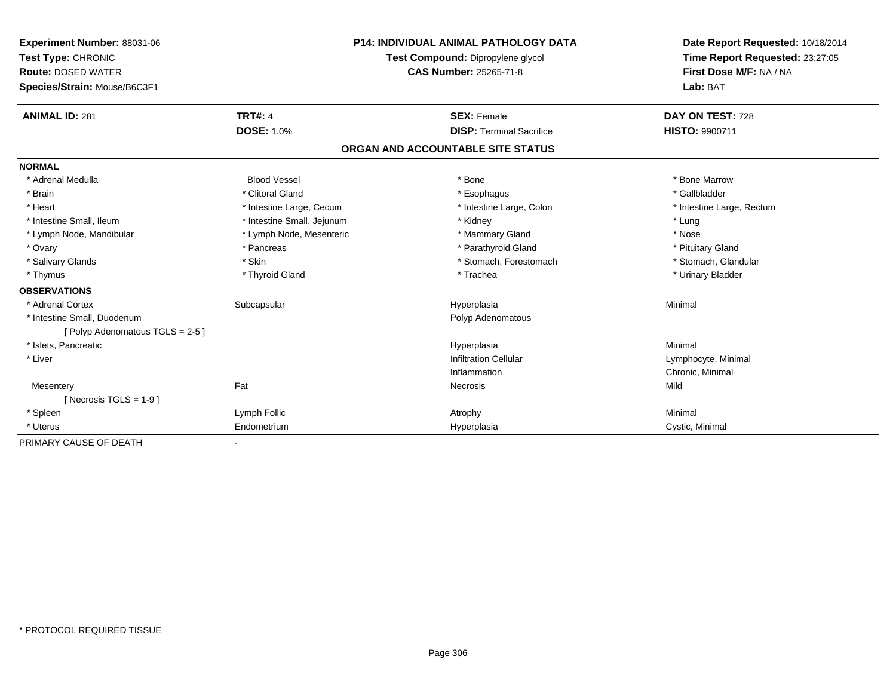| Experiment Number: 88031-06<br>Test Type: CHRONIC<br><b>Route: DOSED WATER</b><br>Species/Strain: Mouse/B6C3F1<br><b>ANIMAL ID: 281</b> | <b>TRT#: 4</b>             | <b>P14: INDIVIDUAL ANIMAL PATHOLOGY DATA</b><br>Test Compound: Dipropylene glycol<br><b>CAS Number: 25265-71-8</b><br><b>SEX: Female</b> | Date Report Requested: 10/18/2014<br>Time Report Requested: 23:27:05<br>First Dose M/F: NA / NA<br>Lab: BAT<br>DAY ON TEST: 728 |
|-----------------------------------------------------------------------------------------------------------------------------------------|----------------------------|------------------------------------------------------------------------------------------------------------------------------------------|---------------------------------------------------------------------------------------------------------------------------------|
|                                                                                                                                         | <b>DOSE: 1.0%</b>          | <b>DISP: Terminal Sacrifice</b>                                                                                                          | HISTO: 9900711                                                                                                                  |
|                                                                                                                                         |                            | ORGAN AND ACCOUNTABLE SITE STATUS                                                                                                        |                                                                                                                                 |
| <b>NORMAL</b>                                                                                                                           |                            |                                                                                                                                          |                                                                                                                                 |
| * Adrenal Medulla                                                                                                                       | <b>Blood Vessel</b>        | * Bone                                                                                                                                   | * Bone Marrow                                                                                                                   |
| * Brain                                                                                                                                 | * Clitoral Gland           | * Esophagus                                                                                                                              | * Gallbladder                                                                                                                   |
| * Heart                                                                                                                                 | * Intestine Large, Cecum   | * Intestine Large, Colon                                                                                                                 | * Intestine Large, Rectum                                                                                                       |
| * Intestine Small, Ileum                                                                                                                | * Intestine Small, Jejunum | * Kidney                                                                                                                                 | * Lung                                                                                                                          |
| * Lymph Node, Mandibular                                                                                                                | * Lymph Node, Mesenteric   | * Mammary Gland                                                                                                                          | * Nose                                                                                                                          |
| * Ovary                                                                                                                                 | * Pancreas                 | * Parathyroid Gland                                                                                                                      | * Pituitary Gland                                                                                                               |
| * Salivary Glands                                                                                                                       | * Skin                     | * Stomach, Forestomach                                                                                                                   | * Stomach, Glandular                                                                                                            |
| * Thymus                                                                                                                                | * Thyroid Gland            | * Trachea                                                                                                                                | * Urinary Bladder                                                                                                               |
| <b>OBSERVATIONS</b>                                                                                                                     |                            |                                                                                                                                          |                                                                                                                                 |
| * Adrenal Cortex                                                                                                                        | Subcapsular                | Hyperplasia                                                                                                                              | Minimal                                                                                                                         |
| * Intestine Small, Duodenum                                                                                                             |                            | Polyp Adenomatous                                                                                                                        |                                                                                                                                 |
| [Polyp Adenomatous TGLS = 2-5]                                                                                                          |                            |                                                                                                                                          |                                                                                                                                 |
| * Islets, Pancreatic                                                                                                                    |                            | Hyperplasia                                                                                                                              | Minimal                                                                                                                         |
| * Liver                                                                                                                                 |                            | <b>Infiltration Cellular</b>                                                                                                             | Lymphocyte, Minimal                                                                                                             |
|                                                                                                                                         |                            | Inflammation                                                                                                                             | Chronic, Minimal                                                                                                                |
| Mesentery                                                                                                                               | Fat                        | Necrosis                                                                                                                                 | Mild                                                                                                                            |
| [ Necrosis TGLS = $1-9$ ]                                                                                                               |                            |                                                                                                                                          |                                                                                                                                 |
| * Spleen                                                                                                                                | Lymph Follic               | Atrophy                                                                                                                                  | Minimal                                                                                                                         |
| * Uterus                                                                                                                                | Endometrium                | Hyperplasia                                                                                                                              | Cystic, Minimal                                                                                                                 |
| PRIMARY CAUSE OF DEATH                                                                                                                  |                            |                                                                                                                                          |                                                                                                                                 |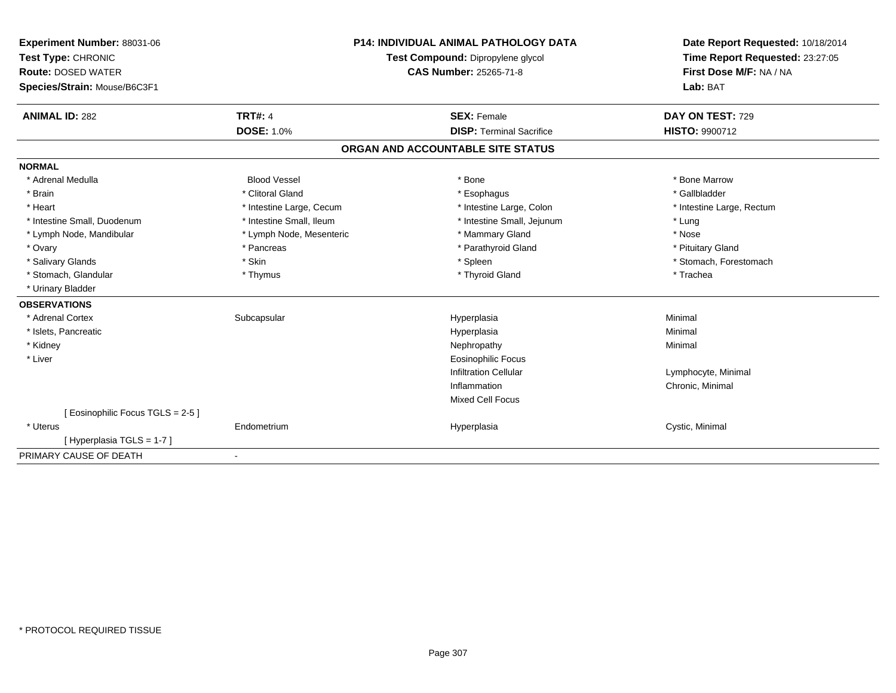| Experiment Number: 88031-06<br>Test Type: CHRONIC<br><b>Route: DOSED WATER</b><br>Species/Strain: Mouse/B6C3F1 |                          | <b>P14: INDIVIDUAL ANIMAL PATHOLOGY DATA</b><br>Test Compound: Dipropylene glycol<br><b>CAS Number: 25265-71-8</b> | Date Report Requested: 10/18/2014<br>Time Report Requested: 23:27:05<br>First Dose M/F: NA / NA<br>Lab: BAT |  |
|----------------------------------------------------------------------------------------------------------------|--------------------------|--------------------------------------------------------------------------------------------------------------------|-------------------------------------------------------------------------------------------------------------|--|
| <b>ANIMAL ID: 282</b>                                                                                          | <b>TRT#: 4</b>           | <b>SEX: Female</b>                                                                                                 | DAY ON TEST: 729                                                                                            |  |
|                                                                                                                | <b>DOSE: 1.0%</b>        | <b>DISP: Terminal Sacrifice</b>                                                                                    | HISTO: 9900712                                                                                              |  |
|                                                                                                                |                          | ORGAN AND ACCOUNTABLE SITE STATUS                                                                                  |                                                                                                             |  |
| <b>NORMAL</b>                                                                                                  |                          |                                                                                                                    |                                                                                                             |  |
| * Adrenal Medulla                                                                                              | <b>Blood Vessel</b>      | * Bone                                                                                                             | * Bone Marrow                                                                                               |  |
| * Brain                                                                                                        | * Clitoral Gland         | * Esophagus                                                                                                        | * Gallbladder                                                                                               |  |
| * Heart                                                                                                        | * Intestine Large, Cecum | * Intestine Large, Colon                                                                                           | * Intestine Large, Rectum                                                                                   |  |
| * Intestine Small, Duodenum                                                                                    | * Intestine Small, Ileum | * Intestine Small, Jejunum                                                                                         | * Lung                                                                                                      |  |
| * Lymph Node, Mandibular                                                                                       | * Lymph Node, Mesenteric | * Mammary Gland                                                                                                    | * Nose                                                                                                      |  |
| * Ovary                                                                                                        | * Pancreas               | * Parathyroid Gland                                                                                                | * Pituitary Gland                                                                                           |  |
| * Salivary Glands                                                                                              | * Skin                   | * Spleen                                                                                                           | * Stomach, Forestomach                                                                                      |  |
| * Stomach, Glandular                                                                                           | * Thymus                 | * Thyroid Gland                                                                                                    | * Trachea                                                                                                   |  |
| * Urinary Bladder                                                                                              |                          |                                                                                                                    |                                                                                                             |  |
| <b>OBSERVATIONS</b>                                                                                            |                          |                                                                                                                    |                                                                                                             |  |
| * Adrenal Cortex                                                                                               | Subcapsular              | Hyperplasia                                                                                                        | Minimal                                                                                                     |  |
| * Islets, Pancreatic                                                                                           |                          | Hyperplasia                                                                                                        | Minimal                                                                                                     |  |
| * Kidney                                                                                                       |                          | Nephropathy                                                                                                        | Minimal                                                                                                     |  |
| * Liver                                                                                                        |                          | <b>Eosinophilic Focus</b>                                                                                          |                                                                                                             |  |
|                                                                                                                |                          | <b>Infiltration Cellular</b>                                                                                       | Lymphocyte, Minimal                                                                                         |  |
|                                                                                                                |                          | Inflammation                                                                                                       | Chronic, Minimal                                                                                            |  |
|                                                                                                                |                          | <b>Mixed Cell Focus</b>                                                                                            |                                                                                                             |  |
| [Eosinophilic Focus TGLS = 2-5]                                                                                |                          |                                                                                                                    |                                                                                                             |  |
| * Uterus                                                                                                       | Endometrium              | Hyperplasia                                                                                                        | Cystic, Minimal                                                                                             |  |
| [Hyperplasia TGLS = 1-7]                                                                                       |                          |                                                                                                                    |                                                                                                             |  |
| PRIMARY CAUSE OF DEATH                                                                                         |                          |                                                                                                                    |                                                                                                             |  |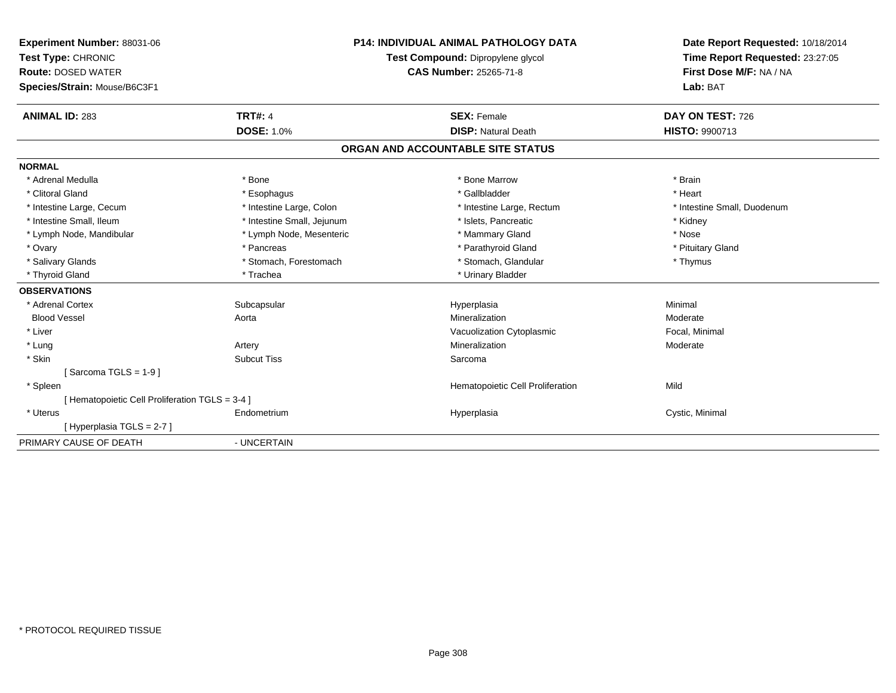| Experiment Number: 88031-06<br>Test Type: CHRONIC<br><b>Route: DOSED WATER</b><br>Species/Strain: Mouse/B6C3F1 |                                     | <b>P14: INDIVIDUAL ANIMAL PATHOLOGY DATA</b><br>Test Compound: Dipropylene glycol<br><b>CAS Number: 25265-71-8</b> |                                                  | Date Report Requested: 10/18/2014<br>Time Report Requested: 23:27:05<br>First Dose M/F: NA / NA<br>Lab: BAT |
|----------------------------------------------------------------------------------------------------------------|-------------------------------------|--------------------------------------------------------------------------------------------------------------------|--------------------------------------------------|-------------------------------------------------------------------------------------------------------------|
| <b>ANIMAL ID: 283</b>                                                                                          | <b>TRT#: 4</b><br><b>DOSE: 1.0%</b> |                                                                                                                    | <b>SEX: Female</b><br><b>DISP: Natural Death</b> | <b>DAY ON TEST: 726</b><br>HISTO: 9900713                                                                   |
|                                                                                                                |                                     |                                                                                                                    |                                                  |                                                                                                             |
|                                                                                                                |                                     |                                                                                                                    | ORGAN AND ACCOUNTABLE SITE STATUS                |                                                                                                             |
| <b>NORMAL</b>                                                                                                  |                                     |                                                                                                                    |                                                  |                                                                                                             |
| * Adrenal Medulla                                                                                              | * Bone                              |                                                                                                                    | * Bone Marrow                                    | * Brain                                                                                                     |
| * Clitoral Gland                                                                                               | * Esophagus                         |                                                                                                                    | * Gallbladder                                    | * Heart                                                                                                     |
| * Intestine Large, Cecum                                                                                       | * Intestine Large, Colon            |                                                                                                                    | * Intestine Large, Rectum                        | * Intestine Small, Duodenum                                                                                 |
| * Intestine Small, Ileum                                                                                       | * Intestine Small, Jejunum          |                                                                                                                    | * Islets, Pancreatic                             | * Kidney                                                                                                    |
| * Lymph Node, Mandibular                                                                                       | * Lymph Node, Mesenteric            |                                                                                                                    | * Mammary Gland                                  | * Nose                                                                                                      |
| * Ovary                                                                                                        | * Pancreas                          |                                                                                                                    | * Parathyroid Gland                              | * Pituitary Gland                                                                                           |
| * Salivary Glands                                                                                              | * Stomach, Forestomach              |                                                                                                                    | * Stomach, Glandular                             | * Thymus                                                                                                    |
| * Thyroid Gland                                                                                                | * Trachea                           |                                                                                                                    | * Urinary Bladder                                |                                                                                                             |
| <b>OBSERVATIONS</b>                                                                                            |                                     |                                                                                                                    |                                                  |                                                                                                             |
| * Adrenal Cortex                                                                                               | Subcapsular                         |                                                                                                                    | Hyperplasia                                      | Minimal                                                                                                     |
| <b>Blood Vessel</b>                                                                                            | Aorta                               |                                                                                                                    | Mineralization                                   | Moderate                                                                                                    |
| * Liver                                                                                                        |                                     |                                                                                                                    | Vacuolization Cytoplasmic                        | Focal, Minimal                                                                                              |
| * Lung                                                                                                         | Artery                              |                                                                                                                    | Mineralization                                   | Moderate                                                                                                    |
| * Skin                                                                                                         | <b>Subcut Tiss</b>                  |                                                                                                                    | Sarcoma                                          |                                                                                                             |
| [Sarcoma TGLS = $1-9$ ]                                                                                        |                                     |                                                                                                                    |                                                  |                                                                                                             |
| * Spleen                                                                                                       |                                     |                                                                                                                    | Hematopoietic Cell Proliferation                 | Mild                                                                                                        |
| [ Hematopoietic Cell Proliferation TGLS = 3-4 ]                                                                |                                     |                                                                                                                    |                                                  |                                                                                                             |
| * Uterus                                                                                                       | Endometrium                         |                                                                                                                    | Hyperplasia                                      | Cystic, Minimal                                                                                             |
| [Hyperplasia TGLS = 2-7]                                                                                       |                                     |                                                                                                                    |                                                  |                                                                                                             |
| PRIMARY CAUSE OF DEATH                                                                                         | - UNCERTAIN                         |                                                                                                                    |                                                  |                                                                                                             |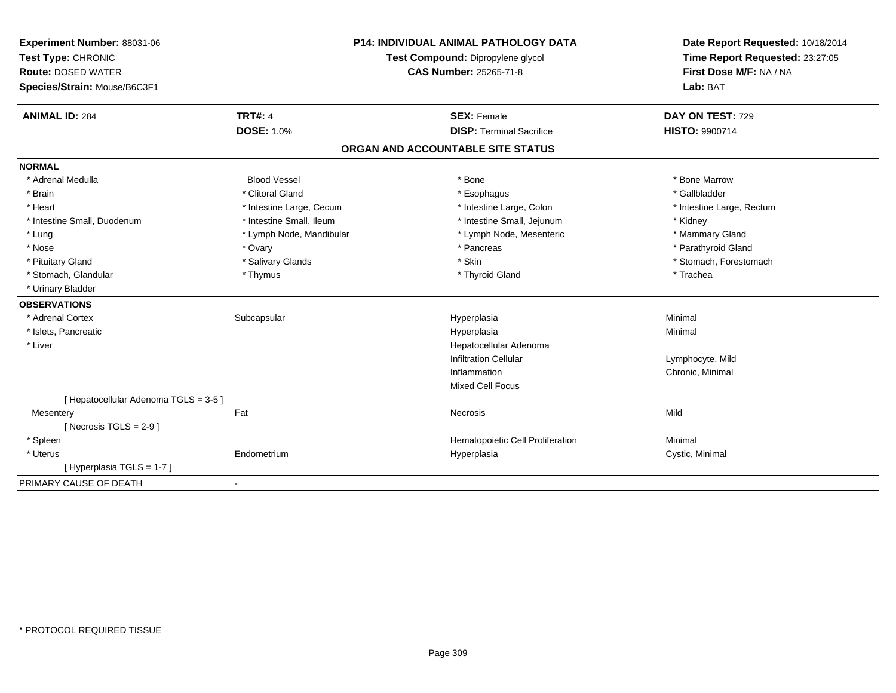| Experiment Number: 88031-06<br>Test Type: CHRONIC<br><b>Route: DOSED WATER</b><br>Species/Strain: Mouse/B6C3F1 |                          | <b>P14: INDIVIDUAL ANIMAL PATHOLOGY DATA</b><br>Test Compound: Dipropylene glycol<br><b>CAS Number: 25265-71-8</b> | Date Report Requested: 10/18/2014<br>Time Report Requested: 23:27:05<br>First Dose M/F: NA / NA<br>Lab: BAT |
|----------------------------------------------------------------------------------------------------------------|--------------------------|--------------------------------------------------------------------------------------------------------------------|-------------------------------------------------------------------------------------------------------------|
| <b>ANIMAL ID: 284</b>                                                                                          | <b>TRT#: 4</b>           | <b>SEX: Female</b>                                                                                                 | DAY ON TEST: 729                                                                                            |
|                                                                                                                | <b>DOSE: 1.0%</b>        | <b>DISP: Terminal Sacrifice</b>                                                                                    | <b>HISTO: 9900714</b>                                                                                       |
|                                                                                                                |                          | ORGAN AND ACCOUNTABLE SITE STATUS                                                                                  |                                                                                                             |
| <b>NORMAL</b>                                                                                                  |                          |                                                                                                                    |                                                                                                             |
| * Adrenal Medulla                                                                                              | <b>Blood Vessel</b>      | * Bone                                                                                                             | * Bone Marrow                                                                                               |
| * Brain                                                                                                        | * Clitoral Gland         | * Esophagus                                                                                                        | * Gallbladder                                                                                               |
| * Heart                                                                                                        | * Intestine Large, Cecum | * Intestine Large, Colon                                                                                           | * Intestine Large, Rectum                                                                                   |
| * Intestine Small, Duodenum                                                                                    | * Intestine Small, Ileum | * Intestine Small, Jejunum                                                                                         | * Kidney                                                                                                    |
| * Lung                                                                                                         | * Lymph Node, Mandibular | * Lymph Node, Mesenteric                                                                                           | * Mammary Gland                                                                                             |
| * Nose                                                                                                         | * Ovary                  | * Pancreas                                                                                                         | * Parathyroid Gland                                                                                         |
| * Pituitary Gland                                                                                              | * Salivary Glands        | * Skin                                                                                                             | * Stomach, Forestomach                                                                                      |
| * Stomach, Glandular                                                                                           | * Thymus                 | * Thyroid Gland                                                                                                    | * Trachea                                                                                                   |
| * Urinary Bladder                                                                                              |                          |                                                                                                                    |                                                                                                             |
| <b>OBSERVATIONS</b>                                                                                            |                          |                                                                                                                    |                                                                                                             |
| * Adrenal Cortex                                                                                               | Subcapsular              | Hyperplasia                                                                                                        | Minimal                                                                                                     |
| * Islets, Pancreatic                                                                                           |                          | Hyperplasia                                                                                                        | Minimal                                                                                                     |
| * Liver                                                                                                        |                          | Hepatocellular Adenoma                                                                                             |                                                                                                             |
|                                                                                                                |                          | <b>Infiltration Cellular</b>                                                                                       | Lymphocyte, Mild                                                                                            |
|                                                                                                                |                          | Inflammation                                                                                                       | Chronic, Minimal                                                                                            |
|                                                                                                                |                          | <b>Mixed Cell Focus</b>                                                                                            |                                                                                                             |
| [ Hepatocellular Adenoma TGLS = 3-5 ]                                                                          |                          |                                                                                                                    |                                                                                                             |
| Mesentery                                                                                                      | Fat                      | Necrosis                                                                                                           | Mild                                                                                                        |
| [Necrosis $TGLS = 2-9$ ]                                                                                       |                          |                                                                                                                    |                                                                                                             |
| * Spleen                                                                                                       |                          | Hematopoietic Cell Proliferation                                                                                   | Minimal                                                                                                     |
| * Uterus                                                                                                       | Endometrium              | Hyperplasia                                                                                                        | Cystic, Minimal                                                                                             |
| [ Hyperplasia TGLS = 1-7 ]                                                                                     |                          |                                                                                                                    |                                                                                                             |
| PRIMARY CAUSE OF DEATH                                                                                         |                          |                                                                                                                    |                                                                                                             |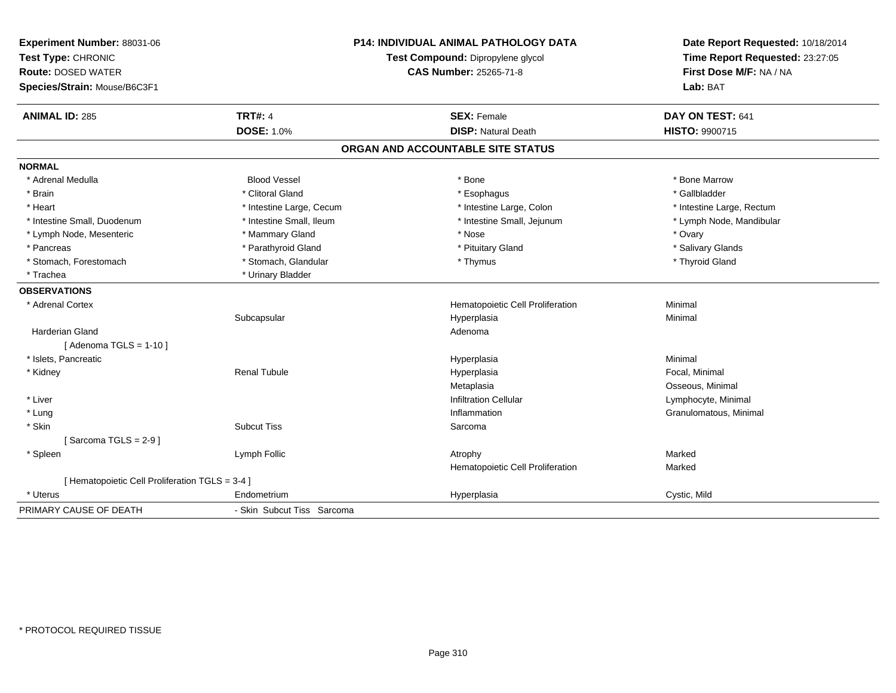| Experiment Number: 88031-06<br>Test Type: CHRONIC<br><b>Route: DOSED WATER</b><br>Species/Strain: Mouse/B6C3F1 |                            | <b>P14: INDIVIDUAL ANIMAL PATHOLOGY DATA</b><br>Test Compound: Dipropylene glycol<br>CAS Number: 25265-71-8 | Date Report Requested: 10/18/2014<br>Time Report Requested: 23:27:05<br>First Dose M/F: NA / NA<br>Lab: BAT |
|----------------------------------------------------------------------------------------------------------------|----------------------------|-------------------------------------------------------------------------------------------------------------|-------------------------------------------------------------------------------------------------------------|
| <b>ANIMAL ID: 285</b>                                                                                          | <b>TRT#: 4</b>             | <b>SEX: Female</b>                                                                                          | DAY ON TEST: 641                                                                                            |
|                                                                                                                | <b>DOSE: 1.0%</b>          | <b>DISP: Natural Death</b>                                                                                  | HISTO: 9900715                                                                                              |
|                                                                                                                |                            | ORGAN AND ACCOUNTABLE SITE STATUS                                                                           |                                                                                                             |
| <b>NORMAL</b>                                                                                                  |                            |                                                                                                             |                                                                                                             |
| * Adrenal Medulla                                                                                              | <b>Blood Vessel</b>        | * Bone                                                                                                      | * Bone Marrow                                                                                               |
| * Brain                                                                                                        | * Clitoral Gland           | * Esophagus                                                                                                 | * Gallbladder                                                                                               |
| * Heart                                                                                                        | * Intestine Large, Cecum   | * Intestine Large, Colon                                                                                    | * Intestine Large, Rectum                                                                                   |
| * Intestine Small. Duodenum                                                                                    | * Intestine Small, Ileum   | * Intestine Small, Jejunum                                                                                  | * Lymph Node, Mandibular                                                                                    |
| * Lymph Node, Mesenteric                                                                                       | * Mammary Gland            | * Nose                                                                                                      | * Ovary                                                                                                     |
| * Pancreas                                                                                                     | * Parathyroid Gland        | * Pituitary Gland                                                                                           | * Salivary Glands                                                                                           |
| * Stomach, Forestomach                                                                                         | * Stomach, Glandular       | * Thymus                                                                                                    | * Thyroid Gland                                                                                             |
| * Trachea                                                                                                      | * Urinary Bladder          |                                                                                                             |                                                                                                             |
| <b>OBSERVATIONS</b>                                                                                            |                            |                                                                                                             |                                                                                                             |
| * Adrenal Cortex                                                                                               |                            | Hematopoietic Cell Proliferation                                                                            | Minimal                                                                                                     |
|                                                                                                                | Subcapsular                | Hyperplasia                                                                                                 | Minimal                                                                                                     |
| <b>Harderian Gland</b>                                                                                         |                            | Adenoma                                                                                                     |                                                                                                             |
| [Adenoma TGLS = $1-10$ ]                                                                                       |                            |                                                                                                             |                                                                                                             |
| * Islets, Pancreatic                                                                                           |                            | Hyperplasia                                                                                                 | Minimal                                                                                                     |
| * Kidney                                                                                                       | <b>Renal Tubule</b>        | Hyperplasia                                                                                                 | Focal, Minimal                                                                                              |
|                                                                                                                |                            | Metaplasia                                                                                                  | Osseous, Minimal                                                                                            |
| * Liver                                                                                                        |                            | <b>Infiltration Cellular</b>                                                                                | Lymphocyte, Minimal                                                                                         |
| * Lung                                                                                                         |                            | Inflammation                                                                                                | Granulomatous, Minimal                                                                                      |
| * Skin                                                                                                         | <b>Subcut Tiss</b>         | Sarcoma                                                                                                     |                                                                                                             |
| [Sarcoma TGLS = $2-9$ ]                                                                                        |                            |                                                                                                             |                                                                                                             |
| * Spleen                                                                                                       | Lymph Follic               | Atrophy                                                                                                     | Marked                                                                                                      |
|                                                                                                                |                            | Hematopoietic Cell Proliferation                                                                            | Marked                                                                                                      |
| [ Hematopoietic Cell Proliferation TGLS = 3-4 ]                                                                |                            |                                                                                                             |                                                                                                             |
| * Uterus                                                                                                       | Endometrium                | Hyperplasia                                                                                                 | Cystic, Mild                                                                                                |
| PRIMARY CAUSE OF DEATH                                                                                         | - Skin Subcut Tiss Sarcoma |                                                                                                             |                                                                                                             |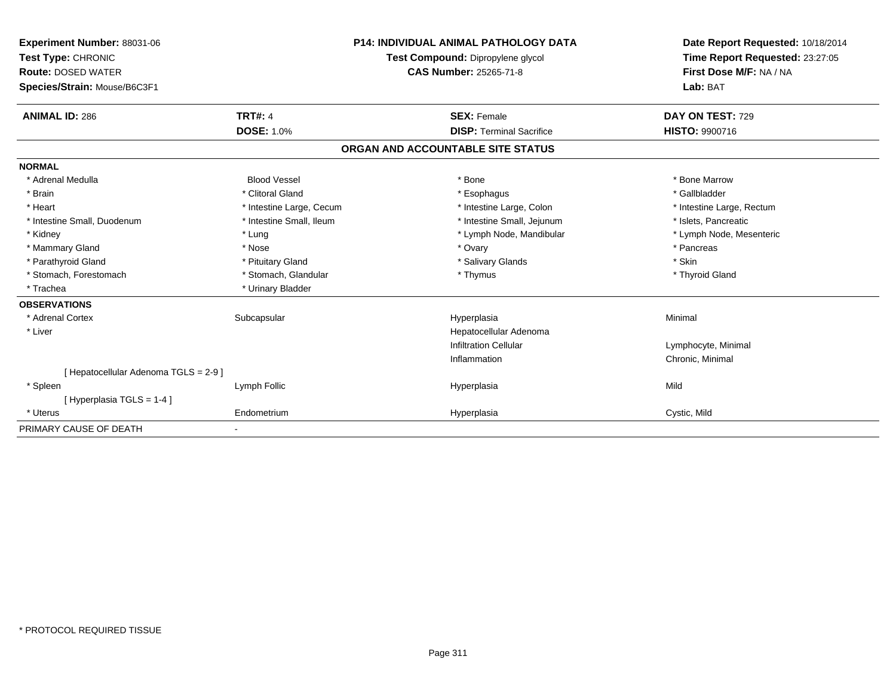| Experiment Number: 88031-06<br>Test Type: CHRONIC<br><b>Route: DOSED WATER</b><br>Species/Strain: Mouse/B6C3F1 |                          | <b>P14: INDIVIDUAL ANIMAL PATHOLOGY DATA</b><br>Test Compound: Dipropylene glycol<br><b>CAS Number: 25265-71-8</b> |                                   | Date Report Requested: 10/18/2014<br>Time Report Requested: 23:27:05<br>First Dose M/F: NA / NA<br>Lab: BAT |
|----------------------------------------------------------------------------------------------------------------|--------------------------|--------------------------------------------------------------------------------------------------------------------|-----------------------------------|-------------------------------------------------------------------------------------------------------------|
| <b>ANIMAL ID: 286</b>                                                                                          | <b>TRT#: 4</b>           |                                                                                                                    | <b>SEX: Female</b>                | DAY ON TEST: 729                                                                                            |
|                                                                                                                | <b>DOSE: 1.0%</b>        |                                                                                                                    | <b>DISP: Terminal Sacrifice</b>   | HISTO: 9900716                                                                                              |
|                                                                                                                |                          |                                                                                                                    | ORGAN AND ACCOUNTABLE SITE STATUS |                                                                                                             |
| <b>NORMAL</b>                                                                                                  |                          |                                                                                                                    |                                   |                                                                                                             |
| * Adrenal Medulla                                                                                              | <b>Blood Vessel</b>      |                                                                                                                    | * Bone                            | * Bone Marrow                                                                                               |
| * Brain                                                                                                        | * Clitoral Gland         |                                                                                                                    | * Esophagus                       | * Gallbladder                                                                                               |
| * Heart                                                                                                        | * Intestine Large, Cecum |                                                                                                                    | * Intestine Large, Colon          | * Intestine Large, Rectum                                                                                   |
| * Intestine Small, Duodenum                                                                                    | * Intestine Small, Ileum |                                                                                                                    | * Intestine Small, Jejunum        | * Islets, Pancreatic                                                                                        |
| * Kidney                                                                                                       | * Lung                   |                                                                                                                    | * Lymph Node, Mandibular          | * Lymph Node, Mesenteric                                                                                    |
| * Mammary Gland                                                                                                | * Nose                   |                                                                                                                    | * Ovary                           | * Pancreas                                                                                                  |
| * Parathyroid Gland                                                                                            | * Pituitary Gland        |                                                                                                                    | * Salivary Glands                 | * Skin                                                                                                      |
| * Stomach, Forestomach                                                                                         | * Stomach, Glandular     |                                                                                                                    | * Thymus                          | * Thyroid Gland                                                                                             |
| * Trachea                                                                                                      | * Urinary Bladder        |                                                                                                                    |                                   |                                                                                                             |
| <b>OBSERVATIONS</b>                                                                                            |                          |                                                                                                                    |                                   |                                                                                                             |
| * Adrenal Cortex                                                                                               | Subcapsular              |                                                                                                                    | Hyperplasia                       | Minimal                                                                                                     |
| * Liver                                                                                                        |                          |                                                                                                                    | Hepatocellular Adenoma            |                                                                                                             |
|                                                                                                                |                          |                                                                                                                    | <b>Infiltration Cellular</b>      | Lymphocyte, Minimal                                                                                         |
|                                                                                                                |                          |                                                                                                                    | Inflammation                      | Chronic, Minimal                                                                                            |
| [ Hepatocellular Adenoma TGLS = 2-9 ]                                                                          |                          |                                                                                                                    |                                   |                                                                                                             |
| * Spleen                                                                                                       | Lymph Follic             |                                                                                                                    | Hyperplasia                       | Mild                                                                                                        |
| [Hyperplasia TGLS = 1-4]                                                                                       |                          |                                                                                                                    |                                   |                                                                                                             |
| * Uterus                                                                                                       | Endometrium              |                                                                                                                    | Hyperplasia                       | Cystic, Mild                                                                                                |
| PRIMARY CAUSE OF DEATH                                                                                         |                          |                                                                                                                    |                                   |                                                                                                             |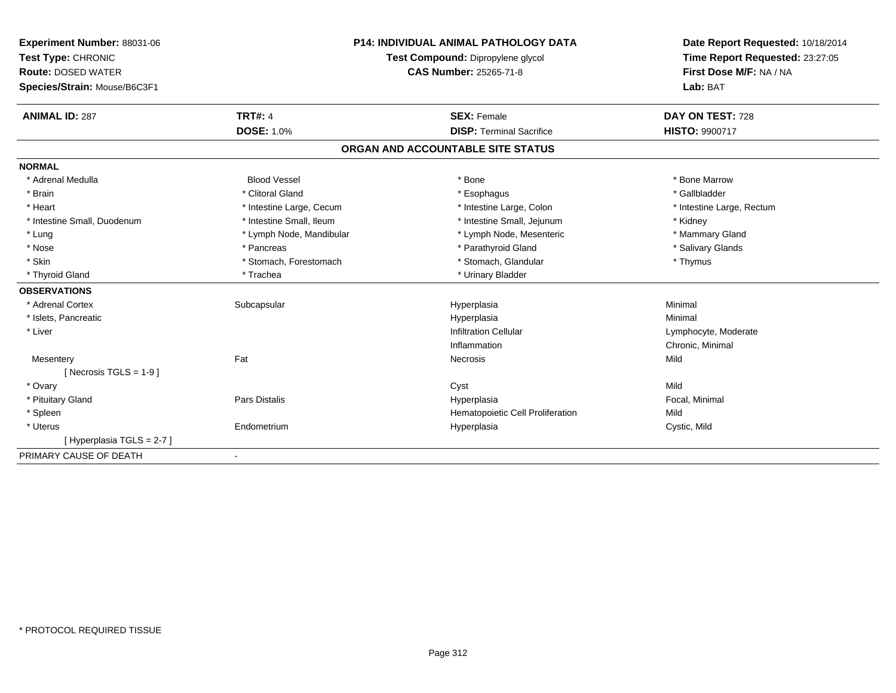| Experiment Number: 88031-06  | <b>P14: INDIVIDUAL ANIMAL PATHOLOGY DATA</b> |                               | Date Report Requested: 10/18/2014 |                           |
|------------------------------|----------------------------------------------|-------------------------------|-----------------------------------|---------------------------|
| Test Type: CHRONIC           | Test Compound: Dipropylene glycol            |                               | Time Report Requested: 23:27:05   |                           |
| <b>Route: DOSED WATER</b>    |                                              | <b>CAS Number: 25265-71-8</b> |                                   | First Dose M/F: NA / NA   |
| Species/Strain: Mouse/B6C3F1 |                                              |                               |                                   | Lab: BAT                  |
| <b>ANIMAL ID: 287</b>        | <b>TRT#: 4</b>                               |                               | <b>SEX: Female</b>                | DAY ON TEST: 728          |
|                              | <b>DOSE: 1.0%</b>                            |                               | <b>DISP: Terminal Sacrifice</b>   | HISTO: 9900717            |
|                              |                                              |                               | ORGAN AND ACCOUNTABLE SITE STATUS |                           |
| <b>NORMAL</b>                |                                              |                               |                                   |                           |
| * Adrenal Medulla            | <b>Blood Vessel</b>                          |                               | * Bone                            | * Bone Marrow             |
| * Brain                      | * Clitoral Gland                             |                               | * Esophagus                       | * Gallbladder             |
| * Heart                      | * Intestine Large, Cecum                     |                               | * Intestine Large, Colon          | * Intestine Large, Rectum |
| * Intestine Small, Duodenum  | * Intestine Small, Ileum                     |                               | * Intestine Small, Jejunum        | * Kidney                  |
| * Lung                       | * Lymph Node, Mandibular                     |                               | * Lymph Node, Mesenteric          | * Mammary Gland           |
| * Nose                       | * Pancreas                                   |                               | * Parathyroid Gland               | * Salivary Glands         |
| * Skin                       | * Stomach, Forestomach                       |                               | * Stomach, Glandular              | * Thymus                  |
| * Thyroid Gland              | * Trachea                                    |                               | * Urinary Bladder                 |                           |
| <b>OBSERVATIONS</b>          |                                              |                               |                                   |                           |
| * Adrenal Cortex             | Subcapsular                                  |                               | Hyperplasia                       | Minimal                   |
| * Islets, Pancreatic         |                                              |                               | Hyperplasia                       | Minimal                   |
| * Liver                      |                                              |                               | <b>Infiltration Cellular</b>      | Lymphocyte, Moderate      |
|                              |                                              |                               | Inflammation                      | Chronic, Minimal          |
| Mesentery                    | Fat                                          |                               | Necrosis                          | Mild                      |
| [ Necrosis TGLS = $1-9$ ]    |                                              |                               |                                   |                           |
| * Ovary                      |                                              |                               | Cyst                              | Mild                      |
| * Pituitary Gland            | <b>Pars Distalis</b>                         |                               | Hyperplasia                       | Focal, Minimal            |
| * Spleen                     |                                              |                               | Hematopoietic Cell Proliferation  | Mild                      |
| * Uterus                     | Endometrium                                  |                               | Hyperplasia                       | Cystic, Mild              |
| [Hyperplasia TGLS = 2-7]     |                                              |                               |                                   |                           |
| PRIMARY CAUSE OF DEATH       |                                              |                               |                                   |                           |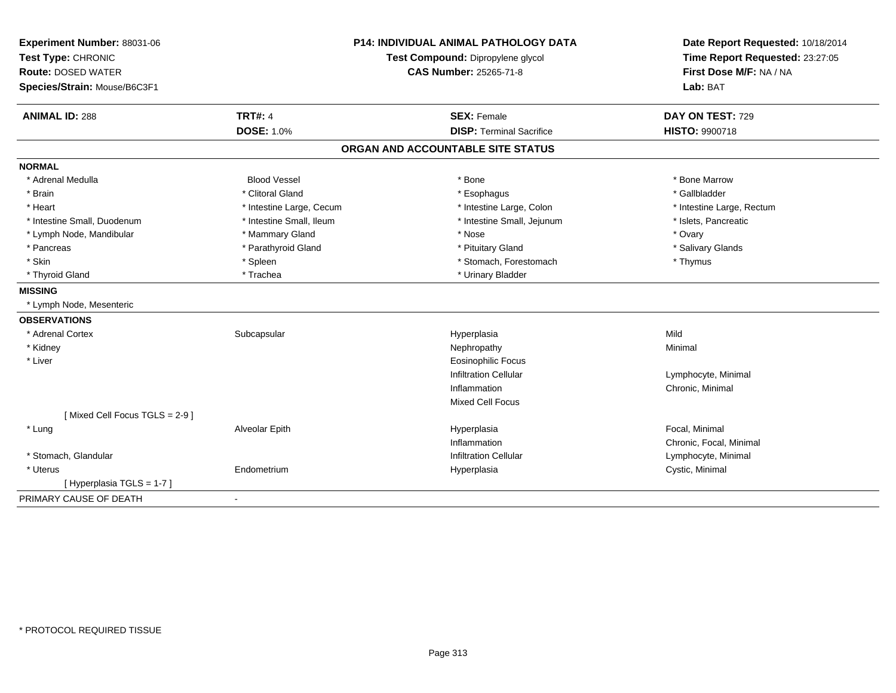| Experiment Number: 88031-06   | <b>P14: INDIVIDUAL ANIMAL PATHOLOGY DATA</b><br>Test Compound: Dipropylene glycol |                                   | Date Report Requested: 10/18/2014 |
|-------------------------------|-----------------------------------------------------------------------------------|-----------------------------------|-----------------------------------|
| Test Type: CHRONIC            |                                                                                   |                                   | Time Report Requested: 23:27:05   |
| <b>Route: DOSED WATER</b>     |                                                                                   | <b>CAS Number: 25265-71-8</b>     | First Dose M/F: NA / NA           |
| Species/Strain: Mouse/B6C3F1  |                                                                                   |                                   | Lab: BAT                          |
| <b>ANIMAL ID: 288</b>         | <b>TRT#: 4</b>                                                                    | <b>SEX: Female</b>                | DAY ON TEST: 729                  |
|                               | <b>DOSE: 1.0%</b>                                                                 | <b>DISP: Terminal Sacrifice</b>   | HISTO: 9900718                    |
|                               |                                                                                   | ORGAN AND ACCOUNTABLE SITE STATUS |                                   |
| <b>NORMAL</b>                 |                                                                                   |                                   |                                   |
| * Adrenal Medulla             | <b>Blood Vessel</b>                                                               | * Bone                            | * Bone Marrow                     |
| * Brain                       | * Clitoral Gland                                                                  | * Esophagus                       | * Gallbladder                     |
| * Heart                       | * Intestine Large, Cecum                                                          | * Intestine Large, Colon          | * Intestine Large, Rectum         |
| * Intestine Small, Duodenum   | * Intestine Small, Ileum                                                          | * Intestine Small, Jejunum        | * Islets, Pancreatic              |
| * Lymph Node, Mandibular      | * Mammary Gland                                                                   | * Nose                            | * Ovary                           |
| * Pancreas                    | * Parathyroid Gland                                                               | * Pituitary Gland                 | * Salivary Glands                 |
| * Skin                        | * Spleen                                                                          | * Stomach, Forestomach            | * Thymus                          |
| * Thyroid Gland               | * Trachea                                                                         | * Urinary Bladder                 |                                   |
| <b>MISSING</b>                |                                                                                   |                                   |                                   |
| * Lymph Node, Mesenteric      |                                                                                   |                                   |                                   |
| <b>OBSERVATIONS</b>           |                                                                                   |                                   |                                   |
| * Adrenal Cortex              | Subcapsular                                                                       | Hyperplasia                       | Mild                              |
| * Kidney                      |                                                                                   | Nephropathy                       | Minimal                           |
| * Liver                       |                                                                                   | <b>Eosinophilic Focus</b>         |                                   |
|                               |                                                                                   | <b>Infiltration Cellular</b>      | Lymphocyte, Minimal               |
|                               |                                                                                   | Inflammation                      | Chronic, Minimal                  |
|                               |                                                                                   | <b>Mixed Cell Focus</b>           |                                   |
| [Mixed Cell Focus TGLS = 2-9] |                                                                                   |                                   |                                   |
| * Lung                        | Alveolar Epith                                                                    | Hyperplasia                       | Focal, Minimal                    |
|                               |                                                                                   | Inflammation                      | Chronic, Focal, Minimal           |
| * Stomach, Glandular          |                                                                                   | <b>Infiltration Cellular</b>      | Lymphocyte, Minimal               |
| * Uterus                      | Endometrium                                                                       | Hyperplasia                       | Cystic, Minimal                   |
| [Hyperplasia TGLS = 1-7]      |                                                                                   |                                   |                                   |
| PRIMARY CAUSE OF DEATH        | $\blacksquare$                                                                    |                                   |                                   |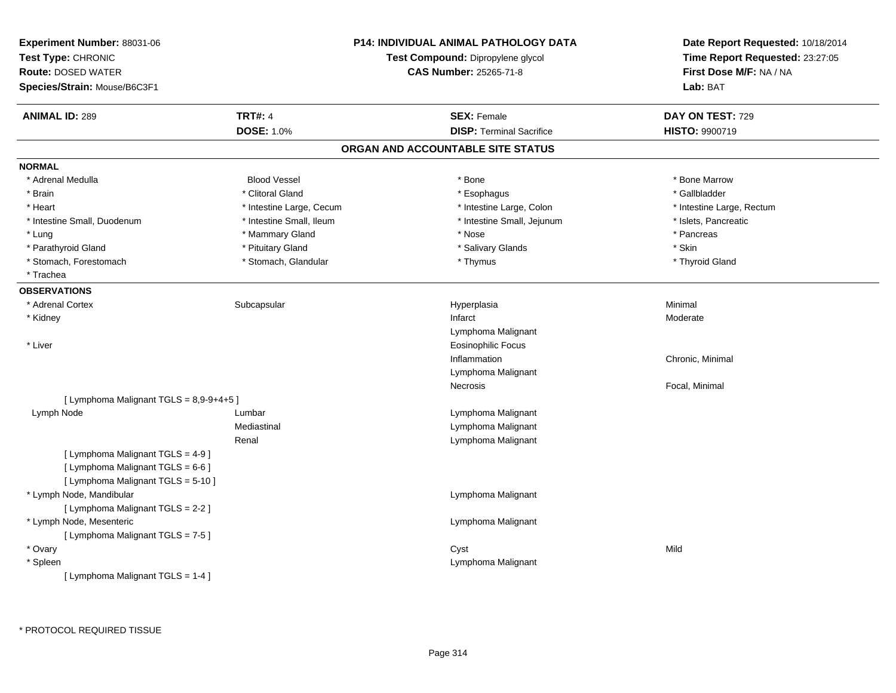| Experiment Number: 88031-06<br>Test Type: CHRONIC<br><b>Route: DOSED WATER</b><br>Species/Strain: Mouse/B6C3F1 |                          | P14: INDIVIDUAL ANIMAL PATHOLOGY DATA<br>Test Compound: Dipropylene glycol<br><b>CAS Number: 25265-71-8</b> | Date Report Requested: 10/18/2014<br>Time Report Requested: 23:27:05<br>First Dose M/F: NA / NA<br>Lab: BAT |
|----------------------------------------------------------------------------------------------------------------|--------------------------|-------------------------------------------------------------------------------------------------------------|-------------------------------------------------------------------------------------------------------------|
| <b>ANIMAL ID: 289</b>                                                                                          | <b>TRT#: 4</b>           | <b>SEX: Female</b>                                                                                          | DAY ON TEST: 729                                                                                            |
|                                                                                                                | <b>DOSE: 1.0%</b>        | <b>DISP: Terminal Sacrifice</b>                                                                             | HISTO: 9900719                                                                                              |
|                                                                                                                |                          | ORGAN AND ACCOUNTABLE SITE STATUS                                                                           |                                                                                                             |
| <b>NORMAL</b>                                                                                                  |                          |                                                                                                             |                                                                                                             |
| * Adrenal Medulla                                                                                              | <b>Blood Vessel</b>      | * Bone                                                                                                      | * Bone Marrow                                                                                               |
| * Brain                                                                                                        | * Clitoral Gland         | * Esophagus                                                                                                 | * Gallbladder                                                                                               |
| * Heart                                                                                                        | * Intestine Large, Cecum | * Intestine Large, Colon                                                                                    | * Intestine Large, Rectum                                                                                   |
| * Intestine Small, Duodenum                                                                                    | * Intestine Small, Ileum | * Intestine Small, Jejunum                                                                                  | * Islets, Pancreatic                                                                                        |
| * Lung                                                                                                         | * Mammary Gland          | * Nose                                                                                                      | * Pancreas                                                                                                  |
| * Parathyroid Gland                                                                                            | * Pituitary Gland        | * Salivary Glands                                                                                           | * Skin                                                                                                      |
| * Stomach, Forestomach                                                                                         | * Stomach, Glandular     | * Thymus                                                                                                    | * Thyroid Gland                                                                                             |
| * Trachea                                                                                                      |                          |                                                                                                             |                                                                                                             |
| <b>OBSERVATIONS</b>                                                                                            |                          |                                                                                                             |                                                                                                             |
| * Adrenal Cortex                                                                                               | Subcapsular              | Hyperplasia                                                                                                 | Minimal                                                                                                     |
| * Kidney                                                                                                       |                          | Infarct                                                                                                     | Moderate                                                                                                    |
|                                                                                                                |                          | Lymphoma Malignant                                                                                          |                                                                                                             |
| * Liver                                                                                                        |                          | Eosinophilic Focus                                                                                          |                                                                                                             |
|                                                                                                                |                          | Inflammation                                                                                                | Chronic, Minimal                                                                                            |
|                                                                                                                |                          | Lymphoma Malignant                                                                                          |                                                                                                             |
|                                                                                                                |                          | Necrosis                                                                                                    | Focal, Minimal                                                                                              |
| [ Lymphoma Malignant TGLS = 8,9-9+4+5 ]                                                                        |                          |                                                                                                             |                                                                                                             |
| Lymph Node                                                                                                     | Lumbar                   | Lymphoma Malignant                                                                                          |                                                                                                             |
|                                                                                                                | Mediastinal              | Lymphoma Malignant                                                                                          |                                                                                                             |
|                                                                                                                | Renal                    | Lymphoma Malignant                                                                                          |                                                                                                             |
| [ Lymphoma Malignant TGLS = 4-9 ]                                                                              |                          |                                                                                                             |                                                                                                             |
| [ Lymphoma Malignant TGLS = 6-6 ]                                                                              |                          |                                                                                                             |                                                                                                             |
| [ Lymphoma Malignant TGLS = 5-10 ]                                                                             |                          |                                                                                                             |                                                                                                             |
| * Lymph Node, Mandibular                                                                                       |                          | Lymphoma Malignant                                                                                          |                                                                                                             |
| [ Lymphoma Malignant TGLS = 2-2 ]                                                                              |                          |                                                                                                             |                                                                                                             |
| * Lymph Node, Mesenteric                                                                                       |                          | Lymphoma Malignant                                                                                          |                                                                                                             |
| [ Lymphoma Malignant TGLS = 7-5 ]                                                                              |                          |                                                                                                             |                                                                                                             |
| * Ovary                                                                                                        |                          | Cyst                                                                                                        | Mild                                                                                                        |
| * Spleen                                                                                                       |                          | Lymphoma Malignant                                                                                          |                                                                                                             |
| [ Lymphoma Malignant TGLS = 1-4 ]                                                                              |                          |                                                                                                             |                                                                                                             |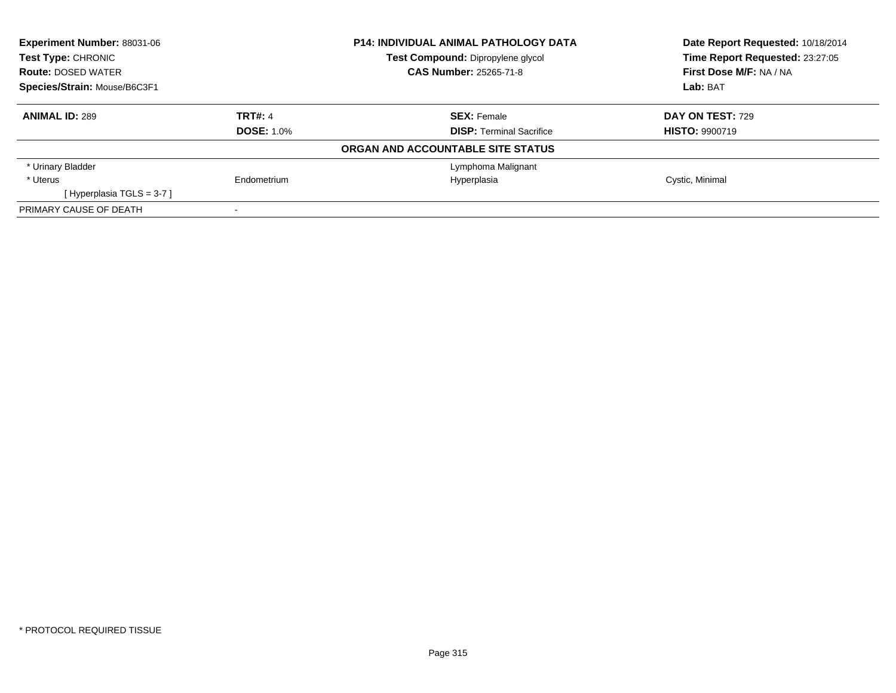| <b>Experiment Number: 88031-06</b><br>Test Type: CHRONIC |                   | <b>P14: INDIVIDUAL ANIMAL PATHOLOGY DATA</b> | Date Report Requested: 10/18/2014<br>Time Report Requested: 23:27:05 |
|----------------------------------------------------------|-------------------|----------------------------------------------|----------------------------------------------------------------------|
|                                                          |                   | Test Compound: Dipropylene glycol            |                                                                      |
| <b>Route: DOSED WATER</b>                                |                   | <b>CAS Number: 25265-71-8</b>                | First Dose M/F: NA / NA                                              |
| Species/Strain: Mouse/B6C3F1                             |                   |                                              | Lab: BAT                                                             |
| <b>ANIMAL ID: 289</b>                                    | <b>TRT#: 4</b>    | <b>SEX: Female</b>                           | DAY ON TEST: 729                                                     |
|                                                          | <b>DOSE: 1.0%</b> | <b>DISP: Terminal Sacrifice</b>              | <b>HISTO: 9900719</b>                                                |
|                                                          |                   | ORGAN AND ACCOUNTABLE SITE STATUS            |                                                                      |
| * Urinary Bladder                                        |                   | Lymphoma Malignant                           |                                                                      |
| * Uterus                                                 | Endometrium       | Hyperplasia                                  | Cystic, Minimal                                                      |
| [Hyperplasia TGLS = $3-7$ ]                              |                   |                                              |                                                                      |
| PRIMARY CAUSE OF DEATH                                   |                   |                                              |                                                                      |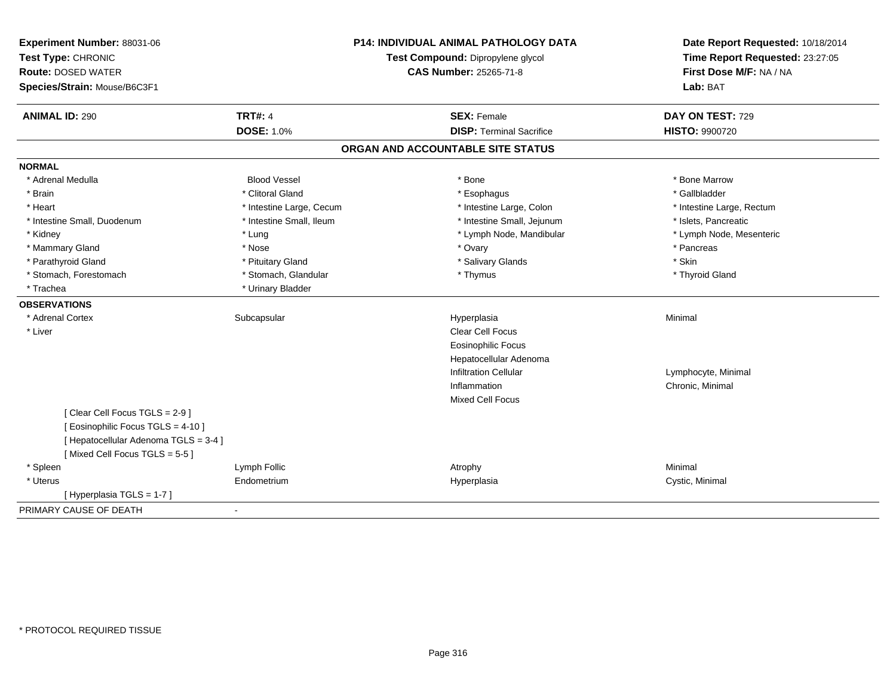| Experiment Number: 88031-06<br>Test Type: CHRONIC<br><b>Route: DOSED WATER</b><br>Species/Strain: Mouse/B6C3F1 |                          | P14: INDIVIDUAL ANIMAL PATHOLOGY DATA<br>Test Compound: Dipropylene glycol<br><b>CAS Number: 25265-71-8</b> | Date Report Requested: 10/18/2014<br>Time Report Requested: 23:27:05<br>First Dose M/F: NA / NA<br>Lab: BAT |
|----------------------------------------------------------------------------------------------------------------|--------------------------|-------------------------------------------------------------------------------------------------------------|-------------------------------------------------------------------------------------------------------------|
| <b>ANIMAL ID: 290</b>                                                                                          | <b>TRT#: 4</b>           | <b>SEX: Female</b>                                                                                          | DAY ON TEST: 729                                                                                            |
|                                                                                                                | <b>DOSE: 1.0%</b>        | <b>DISP: Terminal Sacrifice</b>                                                                             | <b>HISTO: 9900720</b>                                                                                       |
|                                                                                                                |                          | ORGAN AND ACCOUNTABLE SITE STATUS                                                                           |                                                                                                             |
| <b>NORMAL</b>                                                                                                  |                          |                                                                                                             |                                                                                                             |
| * Adrenal Medulla                                                                                              | <b>Blood Vessel</b>      | * Bone                                                                                                      | * Bone Marrow                                                                                               |
| * Brain                                                                                                        | * Clitoral Gland         | * Esophagus                                                                                                 | * Gallbladder                                                                                               |
| * Heart                                                                                                        | * Intestine Large, Cecum | * Intestine Large, Colon                                                                                    | * Intestine Large, Rectum                                                                                   |
| * Intestine Small, Duodenum                                                                                    | * Intestine Small, Ileum | * Intestine Small, Jejunum                                                                                  | * Islets, Pancreatic                                                                                        |
| * Kidney                                                                                                       | * Lung                   | * Lymph Node, Mandibular                                                                                    | * Lymph Node, Mesenteric                                                                                    |
| * Mammary Gland                                                                                                | * Nose                   | * Ovary                                                                                                     | * Pancreas                                                                                                  |
| * Parathyroid Gland                                                                                            | * Pituitary Gland        | * Salivary Glands                                                                                           | * Skin                                                                                                      |
| * Stomach, Forestomach                                                                                         | * Stomach, Glandular     | * Thymus                                                                                                    | * Thyroid Gland                                                                                             |
| * Trachea                                                                                                      | * Urinary Bladder        |                                                                                                             |                                                                                                             |
| <b>OBSERVATIONS</b>                                                                                            |                          |                                                                                                             |                                                                                                             |
| * Adrenal Cortex                                                                                               | Subcapsular              | Hyperplasia                                                                                                 | Minimal                                                                                                     |
| * Liver                                                                                                        |                          | <b>Clear Cell Focus</b>                                                                                     |                                                                                                             |
|                                                                                                                |                          | Eosinophilic Focus                                                                                          |                                                                                                             |
|                                                                                                                |                          | Hepatocellular Adenoma                                                                                      |                                                                                                             |
|                                                                                                                |                          | <b>Infiltration Cellular</b>                                                                                | Lymphocyte, Minimal                                                                                         |
|                                                                                                                |                          | Inflammation                                                                                                | Chronic, Minimal                                                                                            |
|                                                                                                                |                          | <b>Mixed Cell Focus</b>                                                                                     |                                                                                                             |
| [Clear Cell Focus TGLS = 2-9]                                                                                  |                          |                                                                                                             |                                                                                                             |
| [ Eosinophilic Focus TGLS = 4-10 ]                                                                             |                          |                                                                                                             |                                                                                                             |
| [ Hepatocellular Adenoma TGLS = 3-4 ]                                                                          |                          |                                                                                                             |                                                                                                             |
| [Mixed Cell Focus TGLS = 5-5]                                                                                  |                          |                                                                                                             |                                                                                                             |
| * Spleen                                                                                                       | Lymph Follic             | Atrophy                                                                                                     | Minimal                                                                                                     |
| * Uterus                                                                                                       | Endometrium              | Hyperplasia                                                                                                 | Cystic, Minimal                                                                                             |
| [Hyperplasia TGLS = 1-7]                                                                                       |                          |                                                                                                             |                                                                                                             |
| PRIMARY CAUSE OF DEATH                                                                                         | $\sim$                   |                                                                                                             |                                                                                                             |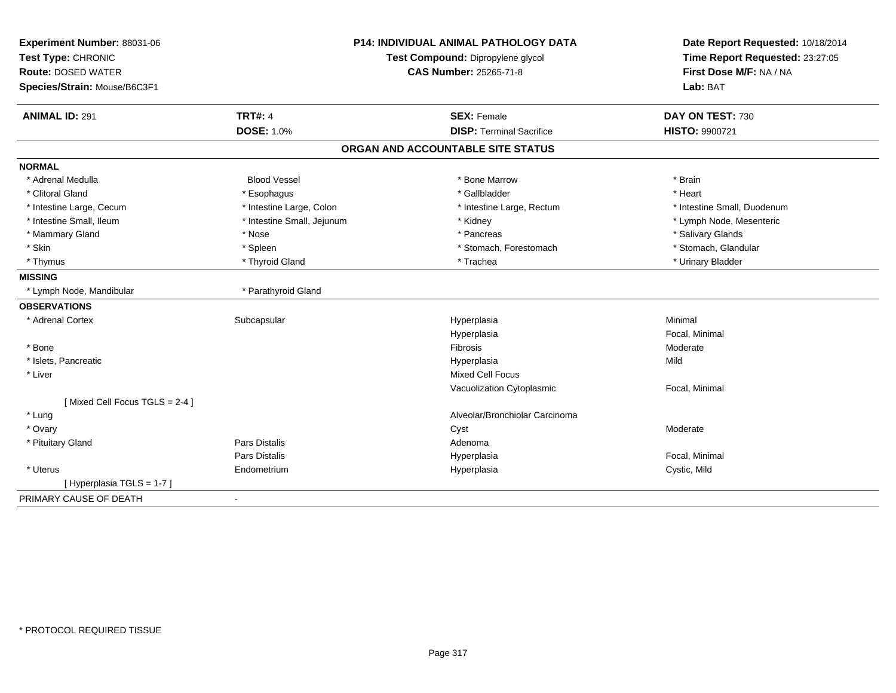| Experiment Number: 88031-06   | <b>P14: INDIVIDUAL ANIMAL PATHOLOGY DATA</b><br>Test Compound: Dipropylene glycol |                                   | Date Report Requested: 10/18/2014 |
|-------------------------------|-----------------------------------------------------------------------------------|-----------------------------------|-----------------------------------|
| Test Type: CHRONIC            |                                                                                   |                                   | Time Report Requested: 23:27:05   |
| <b>Route: DOSED WATER</b>     |                                                                                   | CAS Number: 25265-71-8            | First Dose M/F: NA / NA           |
| Species/Strain: Mouse/B6C3F1  |                                                                                   |                                   | Lab: BAT                          |
| <b>ANIMAL ID: 291</b>         | <b>TRT#: 4</b>                                                                    | <b>SEX: Female</b>                | DAY ON TEST: 730                  |
|                               | <b>DOSE: 1.0%</b>                                                                 | <b>DISP: Terminal Sacrifice</b>   | HISTO: 9900721                    |
|                               |                                                                                   | ORGAN AND ACCOUNTABLE SITE STATUS |                                   |
| <b>NORMAL</b>                 |                                                                                   |                                   |                                   |
| * Adrenal Medulla             | <b>Blood Vessel</b>                                                               | * Bone Marrow                     | * Brain                           |
| * Clitoral Gland              | * Esophagus                                                                       | * Gallbladder                     | * Heart                           |
| * Intestine Large, Cecum      | * Intestine Large, Colon                                                          | * Intestine Large, Rectum         | * Intestine Small. Duodenum       |
| * Intestine Small. Ileum      | * Intestine Small, Jejunum                                                        | * Kidney                          | * Lymph Node, Mesenteric          |
| * Mammary Gland               | * Nose                                                                            | * Pancreas                        | * Salivary Glands                 |
| * Skin                        | * Spleen                                                                          | * Stomach, Forestomach            | * Stomach, Glandular              |
| * Thymus                      | * Thyroid Gland                                                                   | * Trachea                         | * Urinary Bladder                 |
| <b>MISSING</b>                |                                                                                   |                                   |                                   |
| * Lymph Node, Mandibular      | * Parathyroid Gland                                                               |                                   |                                   |
| <b>OBSERVATIONS</b>           |                                                                                   |                                   |                                   |
| * Adrenal Cortex              | Subcapsular                                                                       | Hyperplasia                       | Minimal                           |
|                               |                                                                                   | Hyperplasia                       | Focal, Minimal                    |
| * Bone                        |                                                                                   | Fibrosis                          | Moderate                          |
| * Islets, Pancreatic          |                                                                                   | Hyperplasia                       | Mild                              |
| * Liver                       |                                                                                   | <b>Mixed Cell Focus</b>           |                                   |
|                               |                                                                                   | Vacuolization Cytoplasmic         | Focal, Minimal                    |
| [Mixed Cell Focus TGLS = 2-4] |                                                                                   |                                   |                                   |
| * Lung                        |                                                                                   | Alveolar/Bronchiolar Carcinoma    |                                   |
| * Ovary                       |                                                                                   | Cyst                              | Moderate                          |
| * Pituitary Gland             | <b>Pars Distalis</b>                                                              | Adenoma                           |                                   |
|                               | <b>Pars Distalis</b>                                                              | Hyperplasia                       | Focal, Minimal                    |
| * Uterus                      | Endometrium                                                                       | Hyperplasia                       | Cystic, Mild                      |
| [Hyperplasia TGLS = 1-7]      |                                                                                   |                                   |                                   |
| PRIMARY CAUSE OF DEATH        | $\blacksquare$                                                                    |                                   |                                   |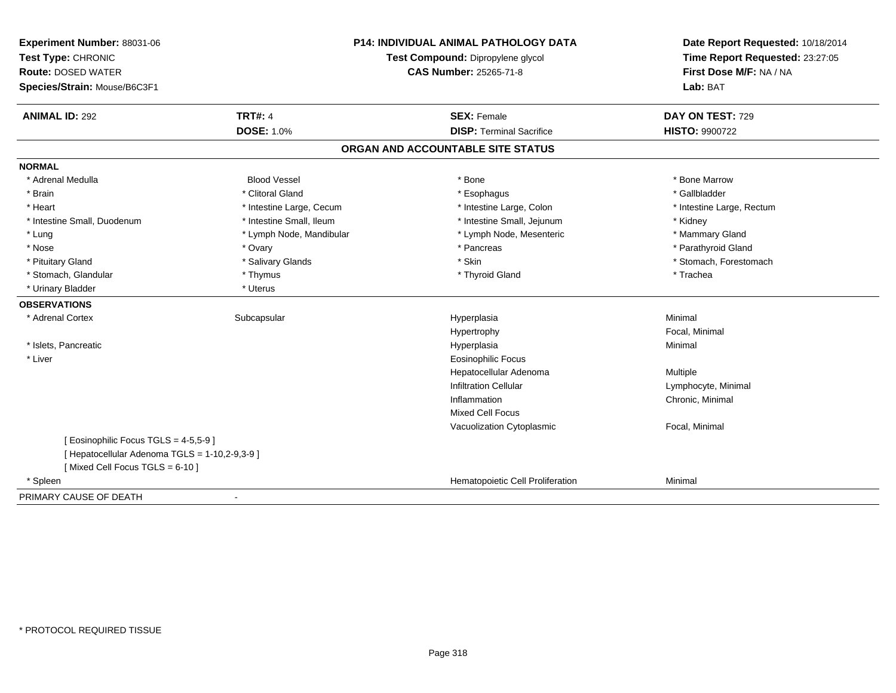| Experiment Number: 88031-06<br>Test Type: CHRONIC<br><b>Route: DOSED WATER</b><br>Species/Strain: Mouse/B6C3F1 | <b>P14: INDIVIDUAL ANIMAL PATHOLOGY DATA</b><br>Test Compound: Dipropylene glycol<br><b>CAS Number: 25265-71-8</b> |                                                       | Date Report Requested: 10/18/2014<br>Time Report Requested: 23:27:05<br>First Dose M/F: NA / NA<br>Lab: BAT |
|----------------------------------------------------------------------------------------------------------------|--------------------------------------------------------------------------------------------------------------------|-------------------------------------------------------|-------------------------------------------------------------------------------------------------------------|
| <b>ANIMAL ID: 292</b>                                                                                          | <b>TRT#: 4</b><br><b>DOSE: 1.0%</b>                                                                                | <b>SEX: Female</b><br><b>DISP: Terminal Sacrifice</b> | DAY ON TEST: 729<br><b>HISTO: 9900722</b>                                                                   |
|                                                                                                                |                                                                                                                    | ORGAN AND ACCOUNTABLE SITE STATUS                     |                                                                                                             |
| <b>NORMAL</b>                                                                                                  |                                                                                                                    |                                                       |                                                                                                             |
| * Adrenal Medulla                                                                                              | <b>Blood Vessel</b>                                                                                                | * Bone                                                | * Bone Marrow                                                                                               |
| * Brain                                                                                                        | * Clitoral Gland                                                                                                   | * Esophagus                                           | * Gallbladder                                                                                               |
| * Heart                                                                                                        | * Intestine Large, Cecum                                                                                           | * Intestine Large, Colon                              | * Intestine Large, Rectum                                                                                   |
| * Intestine Small, Duodenum                                                                                    | * Intestine Small, Ileum                                                                                           | * Intestine Small, Jejunum                            | * Kidney                                                                                                    |
| * Lung                                                                                                         | * Lymph Node, Mandibular                                                                                           | * Lymph Node, Mesenteric                              | * Mammary Gland                                                                                             |
| * Nose                                                                                                         | * Ovary                                                                                                            | * Pancreas                                            | * Parathyroid Gland                                                                                         |
| * Pituitary Gland                                                                                              | * Salivary Glands                                                                                                  | * Skin                                                | * Stomach, Forestomach                                                                                      |
| * Stomach, Glandular                                                                                           | * Thymus                                                                                                           | * Thyroid Gland                                       | * Trachea                                                                                                   |
| * Urinary Bladder                                                                                              | * Uterus                                                                                                           |                                                       |                                                                                                             |
| <b>OBSERVATIONS</b>                                                                                            |                                                                                                                    |                                                       |                                                                                                             |
| * Adrenal Cortex                                                                                               | Subcapsular                                                                                                        | Hyperplasia                                           | Minimal                                                                                                     |
|                                                                                                                |                                                                                                                    | Hypertrophy                                           | Focal, Minimal                                                                                              |
| * Islets, Pancreatic                                                                                           |                                                                                                                    | Hyperplasia                                           | Minimal                                                                                                     |
| * Liver                                                                                                        |                                                                                                                    | <b>Eosinophilic Focus</b>                             |                                                                                                             |
|                                                                                                                |                                                                                                                    | Hepatocellular Adenoma                                | Multiple                                                                                                    |
|                                                                                                                |                                                                                                                    | <b>Infiltration Cellular</b>                          | Lymphocyte, Minimal                                                                                         |
|                                                                                                                |                                                                                                                    | Inflammation                                          | Chronic, Minimal                                                                                            |
|                                                                                                                |                                                                                                                    | <b>Mixed Cell Focus</b>                               |                                                                                                             |
|                                                                                                                |                                                                                                                    | Vacuolization Cytoplasmic                             | Focal, Minimal                                                                                              |
| [ Eosinophilic Focus TGLS = 4-5,5-9 ]                                                                          |                                                                                                                    |                                                       |                                                                                                             |
| [ Hepatocellular Adenoma TGLS = 1-10,2-9,3-9 ]                                                                 |                                                                                                                    |                                                       |                                                                                                             |
| [Mixed Cell Focus TGLS = 6-10]                                                                                 |                                                                                                                    |                                                       |                                                                                                             |
| * Spleen                                                                                                       |                                                                                                                    | Hematopoietic Cell Proliferation                      | Minimal                                                                                                     |
| PRIMARY CAUSE OF DEATH                                                                                         |                                                                                                                    |                                                       |                                                                                                             |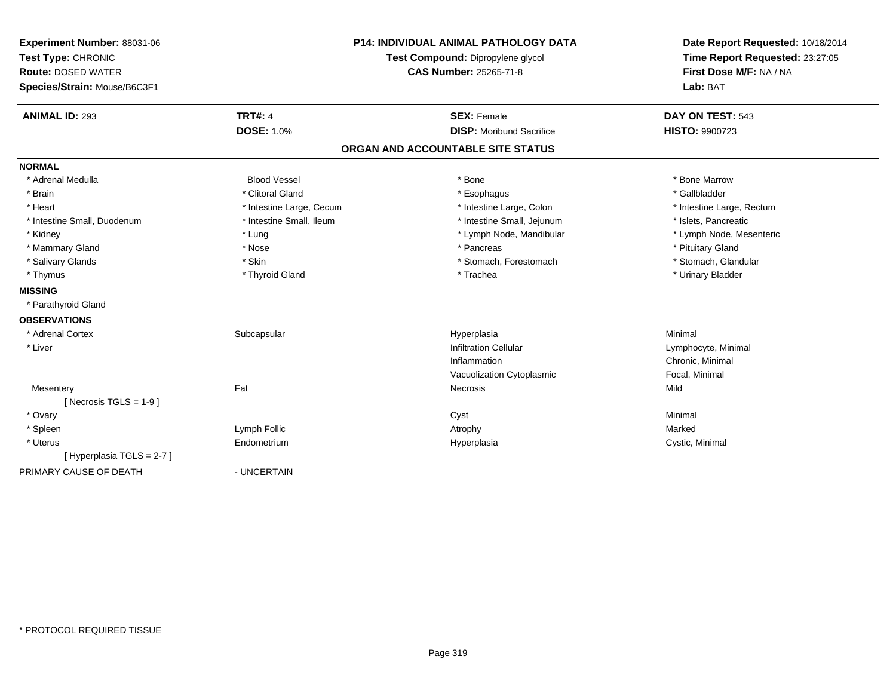| Experiment Number: 88031-06  |                          | <b>P14: INDIVIDUAL ANIMAL PATHOLOGY DATA</b> | Date Report Requested: 10/18/2014 |
|------------------------------|--------------------------|----------------------------------------------|-----------------------------------|
| Test Type: CHRONIC           |                          | Test Compound: Dipropylene glycol            | Time Report Requested: 23:27:05   |
| <b>Route: DOSED WATER</b>    |                          | <b>CAS Number: 25265-71-8</b>                | First Dose M/F: NA / NA           |
| Species/Strain: Mouse/B6C3F1 |                          |                                              | Lab: BAT                          |
| <b>ANIMAL ID: 293</b>        | <b>TRT#: 4</b>           | <b>SEX: Female</b>                           | DAY ON TEST: 543                  |
|                              | <b>DOSE: 1.0%</b>        | <b>DISP:</b> Moribund Sacrifice              | HISTO: 9900723                    |
|                              |                          | ORGAN AND ACCOUNTABLE SITE STATUS            |                                   |
| <b>NORMAL</b>                |                          |                                              |                                   |
| * Adrenal Medulla            | <b>Blood Vessel</b>      | * Bone                                       | * Bone Marrow                     |
| * Brain                      | * Clitoral Gland         | * Esophagus                                  | * Gallbladder                     |
| * Heart                      | * Intestine Large, Cecum | * Intestine Large, Colon                     | * Intestine Large, Rectum         |
| * Intestine Small, Duodenum  | * Intestine Small, Ileum | * Intestine Small, Jejunum                   | * Islets, Pancreatic              |
| * Kidney                     | * Lung                   | * Lymph Node, Mandibular                     | * Lymph Node, Mesenteric          |
| * Mammary Gland              | * Nose                   | * Pancreas                                   | * Pituitary Gland                 |
| * Salivary Glands            | * Skin                   | * Stomach, Forestomach                       | * Stomach, Glandular              |
| * Thymus                     | * Thyroid Gland          | * Trachea                                    | * Urinary Bladder                 |
| <b>MISSING</b>               |                          |                                              |                                   |
| * Parathyroid Gland          |                          |                                              |                                   |
| <b>OBSERVATIONS</b>          |                          |                                              |                                   |
| * Adrenal Cortex             | Subcapsular              | Hyperplasia                                  | Minimal                           |
| * Liver                      |                          | <b>Infiltration Cellular</b>                 | Lymphocyte, Minimal               |
|                              |                          | Inflammation                                 | Chronic, Minimal                  |
|                              |                          | Vacuolization Cytoplasmic                    | Focal, Minimal                    |
| Mesentery                    | Fat                      | Necrosis                                     | Mild                              |
| [ Necrosis TGLS = $1-9$ ]    |                          |                                              |                                   |
| * Ovary                      |                          | Cyst                                         | Minimal                           |
| * Spleen                     | Lymph Follic             | Atrophy                                      | Marked                            |
| * Uterus                     | Endometrium              | Hyperplasia                                  | Cystic, Minimal                   |
| [Hyperplasia TGLS = 2-7]     |                          |                                              |                                   |
| PRIMARY CAUSE OF DEATH       | - UNCERTAIN              |                                              |                                   |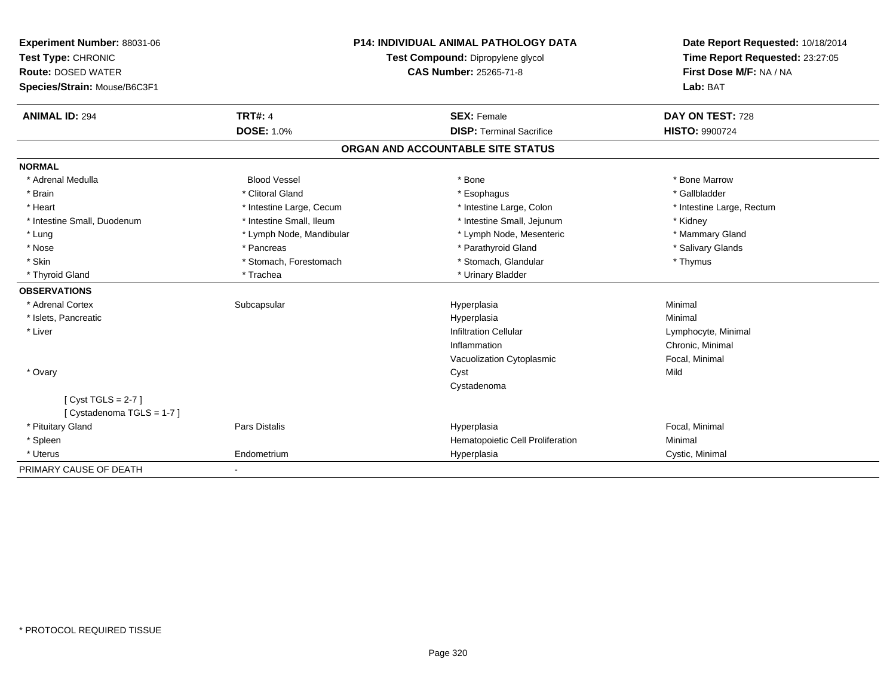| Experiment Number: 88031-06  | <b>P14: INDIVIDUAL ANIMAL PATHOLOGY DATA</b><br>Test Compound: Dipropylene glycol<br><b>CAS Number: 25265-71-8</b> |                                   | Date Report Requested: 10/18/2014 |
|------------------------------|--------------------------------------------------------------------------------------------------------------------|-----------------------------------|-----------------------------------|
| Test Type: CHRONIC           |                                                                                                                    |                                   | Time Report Requested: 23:27:05   |
| <b>Route: DOSED WATER</b>    |                                                                                                                    |                                   | First Dose M/F: NA / NA           |
| Species/Strain: Mouse/B6C3F1 |                                                                                                                    |                                   | Lab: BAT                          |
| <b>ANIMAL ID: 294</b>        | <b>TRT#: 4</b>                                                                                                     | <b>SEX: Female</b>                | DAY ON TEST: 728                  |
|                              | <b>DOSE: 1.0%</b>                                                                                                  | <b>DISP: Terminal Sacrifice</b>   | <b>HISTO: 9900724</b>             |
|                              |                                                                                                                    | ORGAN AND ACCOUNTABLE SITE STATUS |                                   |
| <b>NORMAL</b>                |                                                                                                                    |                                   |                                   |
| * Adrenal Medulla            | <b>Blood Vessel</b>                                                                                                | * Bone                            | * Bone Marrow                     |
| * Brain                      | * Clitoral Gland                                                                                                   | * Esophagus                       | * Gallbladder                     |
| * Heart                      | * Intestine Large, Cecum                                                                                           | * Intestine Large, Colon          | * Intestine Large, Rectum         |
| * Intestine Small, Duodenum  | * Intestine Small, Ileum                                                                                           | * Intestine Small, Jejunum        | * Kidney                          |
| * Lung                       | * Lymph Node, Mandibular                                                                                           | * Lymph Node, Mesenteric          | * Mammary Gland                   |
| * Nose                       | * Pancreas                                                                                                         | * Parathyroid Gland               | * Salivary Glands                 |
| * Skin                       | * Stomach, Forestomach                                                                                             | * Stomach, Glandular              | * Thymus                          |
| * Thyroid Gland              | * Trachea                                                                                                          | * Urinary Bladder                 |                                   |
| <b>OBSERVATIONS</b>          |                                                                                                                    |                                   |                                   |
| * Adrenal Cortex             | Subcapsular                                                                                                        | Hyperplasia                       | Minimal                           |
| * Islets, Pancreatic         |                                                                                                                    | Hyperplasia                       | Minimal                           |
| * Liver                      |                                                                                                                    | <b>Infiltration Cellular</b>      | Lymphocyte, Minimal               |
|                              |                                                                                                                    | Inflammation                      | Chronic, Minimal                  |
|                              |                                                                                                                    | Vacuolization Cytoplasmic         | Focal, Minimal                    |
| * Ovary                      |                                                                                                                    | Cyst                              | Mild                              |
|                              |                                                                                                                    | Cystadenoma                       |                                   |
| [Cyst TGLS = $2-7$ ]         |                                                                                                                    |                                   |                                   |
| [Cystadenoma TGLS = 1-7]     |                                                                                                                    |                                   |                                   |
| * Pituitary Gland            | Pars Distalis                                                                                                      | Hyperplasia                       | Focal, Minimal                    |
| * Spleen                     |                                                                                                                    | Hematopoietic Cell Proliferation  | Minimal                           |
| * Uterus                     | Endometrium                                                                                                        | Hyperplasia                       | Cystic, Minimal                   |
| PRIMARY CAUSE OF DEATH       | $\blacksquare$                                                                                                     |                                   |                                   |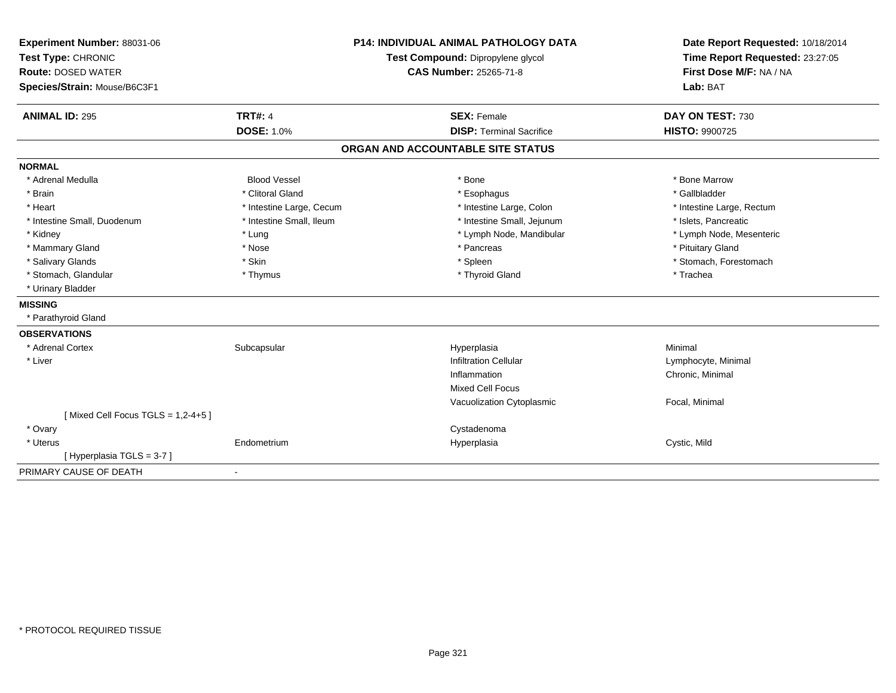| Experiment Number: 88031-06<br>Test Type: CHRONIC |                          | <b>P14: INDIVIDUAL ANIMAL PATHOLOGY DATA</b> | Date Report Requested: 10/18/2014 |  |
|---------------------------------------------------|--------------------------|----------------------------------------------|-----------------------------------|--|
|                                                   |                          | Test Compound: Dipropylene glycol            | Time Report Requested: 23:27:05   |  |
| <b>Route: DOSED WATER</b>                         |                          | <b>CAS Number: 25265-71-8</b>                | First Dose M/F: NA / NA           |  |
| Species/Strain: Mouse/B6C3F1                      |                          |                                              | Lab: BAT                          |  |
| <b>ANIMAL ID: 295</b>                             | <b>TRT#: 4</b>           | <b>SEX: Female</b>                           | DAY ON TEST: 730                  |  |
|                                                   | <b>DOSE: 1.0%</b>        | <b>DISP: Terminal Sacrifice</b>              | <b>HISTO: 9900725</b>             |  |
|                                                   |                          | ORGAN AND ACCOUNTABLE SITE STATUS            |                                   |  |
| <b>NORMAL</b>                                     |                          |                                              |                                   |  |
| * Adrenal Medulla                                 | <b>Blood Vessel</b>      | * Bone                                       | * Bone Marrow                     |  |
| * Brain                                           | * Clitoral Gland         | * Esophagus                                  | * Gallbladder                     |  |
| * Heart                                           | * Intestine Large, Cecum | * Intestine Large, Colon                     | * Intestine Large, Rectum         |  |
| * Intestine Small, Duodenum                       | * Intestine Small, Ileum | * Intestine Small, Jejunum                   | * Islets, Pancreatic              |  |
| * Kidney                                          | * Lung                   | * Lymph Node, Mandibular                     | * Lymph Node, Mesenteric          |  |
| * Mammary Gland                                   | * Nose                   | * Pancreas                                   | * Pituitary Gland                 |  |
| * Salivary Glands                                 | * Skin                   | * Spleen                                     | * Stomach, Forestomach            |  |
| * Stomach, Glandular                              | * Thymus                 | * Thyroid Gland                              | * Trachea                         |  |
| * Urinary Bladder                                 |                          |                                              |                                   |  |
| <b>MISSING</b>                                    |                          |                                              |                                   |  |
| * Parathyroid Gland                               |                          |                                              |                                   |  |
| <b>OBSERVATIONS</b>                               |                          |                                              |                                   |  |
| * Adrenal Cortex                                  | Subcapsular              | Hyperplasia                                  | Minimal                           |  |
| * Liver                                           |                          | <b>Infiltration Cellular</b>                 | Lymphocyte, Minimal               |  |
|                                                   |                          | Inflammation                                 | Chronic, Minimal                  |  |
|                                                   |                          | <b>Mixed Cell Focus</b>                      |                                   |  |
|                                                   |                          | Vacuolization Cytoplasmic                    | Focal, Minimal                    |  |
| [Mixed Cell Focus TGLS = 1,2-4+5]                 |                          |                                              |                                   |  |
| * Ovary                                           |                          | Cystadenoma                                  |                                   |  |
| * Uterus                                          | Endometrium              | Hyperplasia                                  | Cystic, Mild                      |  |
| [Hyperplasia TGLS = 3-7]                          |                          |                                              |                                   |  |
| PRIMARY CAUSE OF DEATH                            |                          |                                              |                                   |  |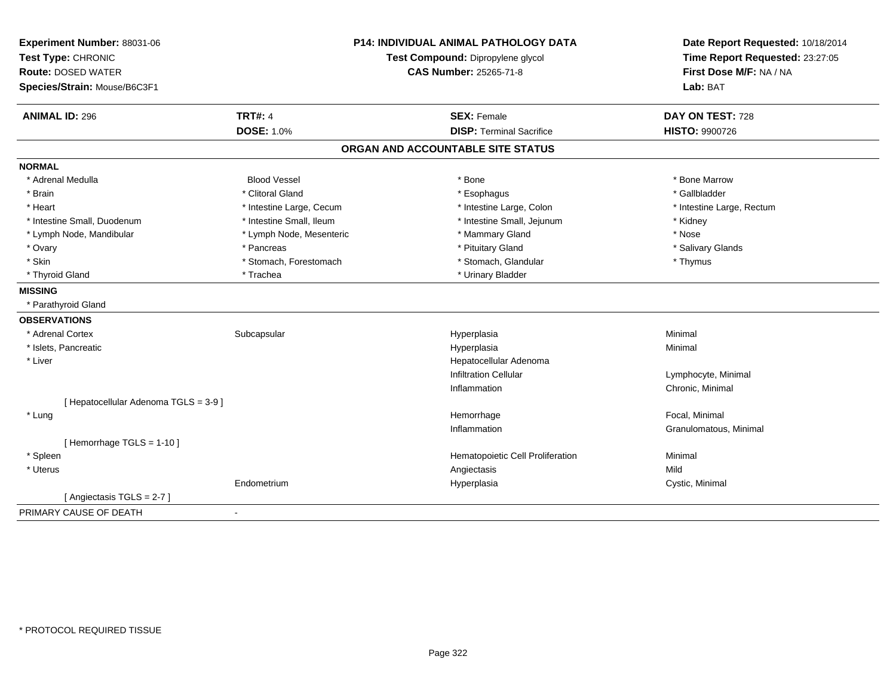| Experiment Number: 88031-06<br>Test Type: CHRONIC<br><b>Route: DOSED WATER</b><br>Species/Strain: Mouse/B6C3F1 | <b>P14: INDIVIDUAL ANIMAL PATHOLOGY DATA</b><br>Test Compound: Dipropylene glycol<br><b>CAS Number: 25265-71-8</b> |                                   | Date Report Requested: 10/18/2014<br>Time Report Requested: 23:27:05<br>First Dose M/F: NA / NA<br>Lab: BAT |
|----------------------------------------------------------------------------------------------------------------|--------------------------------------------------------------------------------------------------------------------|-----------------------------------|-------------------------------------------------------------------------------------------------------------|
| <b>ANIMAL ID: 296</b>                                                                                          | <b>TRT#: 4</b>                                                                                                     | <b>SEX: Female</b>                | DAY ON TEST: 728                                                                                            |
|                                                                                                                | <b>DOSE: 1.0%</b>                                                                                                  | <b>DISP: Terminal Sacrifice</b>   | <b>HISTO: 9900726</b>                                                                                       |
|                                                                                                                |                                                                                                                    | ORGAN AND ACCOUNTABLE SITE STATUS |                                                                                                             |
| <b>NORMAL</b>                                                                                                  |                                                                                                                    |                                   |                                                                                                             |
| * Adrenal Medulla                                                                                              | <b>Blood Vessel</b>                                                                                                | * Bone                            | * Bone Marrow                                                                                               |
| * Brain                                                                                                        | * Clitoral Gland                                                                                                   | * Esophagus                       | * Gallbladder                                                                                               |
| * Heart                                                                                                        | * Intestine Large, Cecum                                                                                           | * Intestine Large, Colon          | * Intestine Large, Rectum                                                                                   |
| * Intestine Small, Duodenum                                                                                    | * Intestine Small, Ileum                                                                                           | * Intestine Small, Jejunum        | * Kidney                                                                                                    |
| * Lymph Node, Mandibular                                                                                       | * Lymph Node, Mesenteric                                                                                           | * Mammary Gland                   | * Nose                                                                                                      |
| * Ovary                                                                                                        | * Pancreas                                                                                                         | * Pituitary Gland                 | * Salivary Glands                                                                                           |
| * Skin                                                                                                         | * Stomach, Forestomach                                                                                             | * Stomach, Glandular              | * Thymus                                                                                                    |
| * Thyroid Gland                                                                                                | * Trachea                                                                                                          | * Urinary Bladder                 |                                                                                                             |
| <b>MISSING</b>                                                                                                 |                                                                                                                    |                                   |                                                                                                             |
| * Parathyroid Gland                                                                                            |                                                                                                                    |                                   |                                                                                                             |
| <b>OBSERVATIONS</b>                                                                                            |                                                                                                                    |                                   |                                                                                                             |
| * Adrenal Cortex                                                                                               | Subcapsular                                                                                                        | Hyperplasia                       | Minimal                                                                                                     |
| * Islets, Pancreatic                                                                                           |                                                                                                                    | Hyperplasia                       | Minimal                                                                                                     |
| * Liver                                                                                                        |                                                                                                                    | Hepatocellular Adenoma            |                                                                                                             |
|                                                                                                                |                                                                                                                    | <b>Infiltration Cellular</b>      | Lymphocyte, Minimal                                                                                         |
|                                                                                                                |                                                                                                                    | Inflammation                      | Chronic, Minimal                                                                                            |
| [ Hepatocellular Adenoma TGLS = 3-9 ]                                                                          |                                                                                                                    |                                   |                                                                                                             |
| * Lung                                                                                                         |                                                                                                                    | Hemorrhage                        | Focal. Minimal                                                                                              |
|                                                                                                                |                                                                                                                    | Inflammation                      | Granulomatous, Minimal                                                                                      |
| [Hemorrhage TGLS = 1-10]                                                                                       |                                                                                                                    |                                   |                                                                                                             |
| * Spleen                                                                                                       |                                                                                                                    | Hematopoietic Cell Proliferation  | Minimal                                                                                                     |
| * Uterus                                                                                                       |                                                                                                                    | Angiectasis                       | Mild                                                                                                        |
|                                                                                                                | Endometrium                                                                                                        | Hyperplasia                       | Cystic, Minimal                                                                                             |
| [Angiectasis TGLS = 2-7]                                                                                       |                                                                                                                    |                                   |                                                                                                             |
| PRIMARY CAUSE OF DEATH                                                                                         | $\blacksquare$                                                                                                     |                                   |                                                                                                             |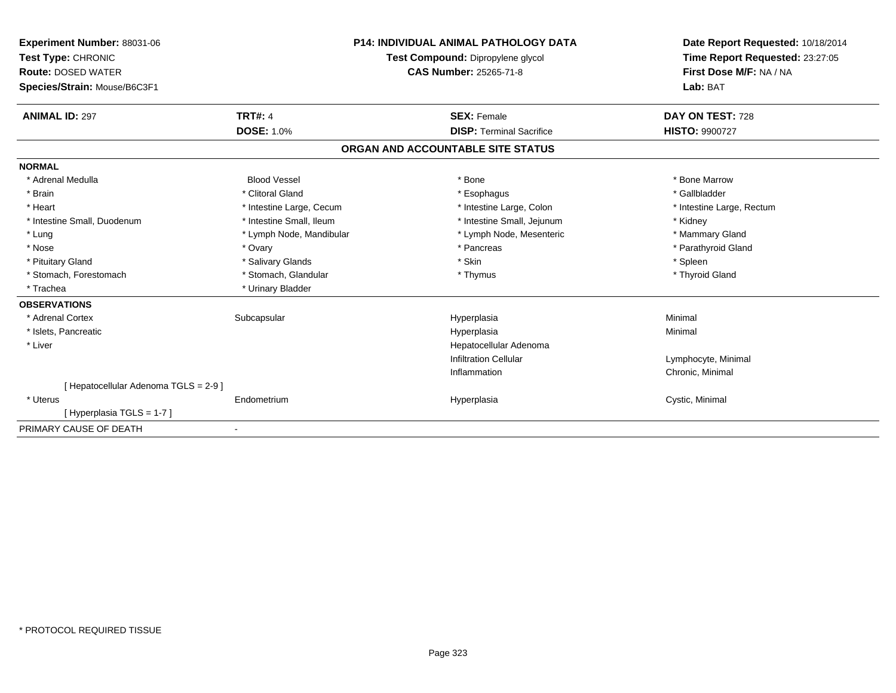| Experiment Number: 88031-06<br>Test Type: CHRONIC<br><b>Route: DOSED WATER</b><br>Species/Strain: Mouse/B6C3F1 |                          | <b>P14: INDIVIDUAL ANIMAL PATHOLOGY DATA</b><br>Test Compound: Dipropylene glycol<br>CAS Number: 25265-71-8 | Date Report Requested: 10/18/2014<br>Time Report Requested: 23:27:05<br>First Dose M/F: NA / NA<br>Lab: BAT |
|----------------------------------------------------------------------------------------------------------------|--------------------------|-------------------------------------------------------------------------------------------------------------|-------------------------------------------------------------------------------------------------------------|
| <b>ANIMAL ID: 297</b>                                                                                          | <b>TRT#: 4</b>           | <b>SEX: Female</b>                                                                                          | DAY ON TEST: 728                                                                                            |
|                                                                                                                | <b>DOSE: 1.0%</b>        | <b>DISP: Terminal Sacrifice</b>                                                                             | <b>HISTO: 9900727</b>                                                                                       |
|                                                                                                                |                          | ORGAN AND ACCOUNTABLE SITE STATUS                                                                           |                                                                                                             |
| <b>NORMAL</b>                                                                                                  |                          |                                                                                                             |                                                                                                             |
| * Adrenal Medulla                                                                                              | <b>Blood Vessel</b>      | * Bone                                                                                                      | * Bone Marrow                                                                                               |
| * Brain                                                                                                        | * Clitoral Gland         | * Esophagus                                                                                                 | * Gallbladder                                                                                               |
| * Heart                                                                                                        | * Intestine Large, Cecum | * Intestine Large, Colon                                                                                    | * Intestine Large, Rectum                                                                                   |
| * Intestine Small, Duodenum                                                                                    | * Intestine Small, Ileum | * Intestine Small, Jejunum                                                                                  | * Kidney                                                                                                    |
| * Lung                                                                                                         | * Lymph Node, Mandibular | * Lymph Node, Mesenteric                                                                                    | * Mammary Gland                                                                                             |
| * Nose                                                                                                         | * Ovary                  | * Pancreas                                                                                                  | * Parathyroid Gland                                                                                         |
| * Pituitary Gland                                                                                              | * Salivary Glands        | * Skin                                                                                                      | * Spleen                                                                                                    |
| * Stomach, Forestomach                                                                                         | * Stomach, Glandular     | * Thymus                                                                                                    | * Thyroid Gland                                                                                             |
| * Trachea                                                                                                      | * Urinary Bladder        |                                                                                                             |                                                                                                             |
| <b>OBSERVATIONS</b>                                                                                            |                          |                                                                                                             |                                                                                                             |
| * Adrenal Cortex                                                                                               | Subcapsular              | Hyperplasia                                                                                                 | Minimal                                                                                                     |
| * Islets, Pancreatic                                                                                           |                          | Hyperplasia                                                                                                 | Minimal                                                                                                     |
| * Liver                                                                                                        |                          | Hepatocellular Adenoma                                                                                      |                                                                                                             |
|                                                                                                                |                          | <b>Infiltration Cellular</b>                                                                                | Lymphocyte, Minimal                                                                                         |
|                                                                                                                |                          | Inflammation                                                                                                | Chronic, Minimal                                                                                            |
| [ Hepatocellular Adenoma TGLS = 2-9 ]                                                                          |                          |                                                                                                             |                                                                                                             |
| * Uterus                                                                                                       | Endometrium              | Hyperplasia                                                                                                 | Cystic, Minimal                                                                                             |
| [Hyperplasia TGLS = 1-7]                                                                                       |                          |                                                                                                             |                                                                                                             |
| PRIMARY CAUSE OF DEATH                                                                                         | $\blacksquare$           |                                                                                                             |                                                                                                             |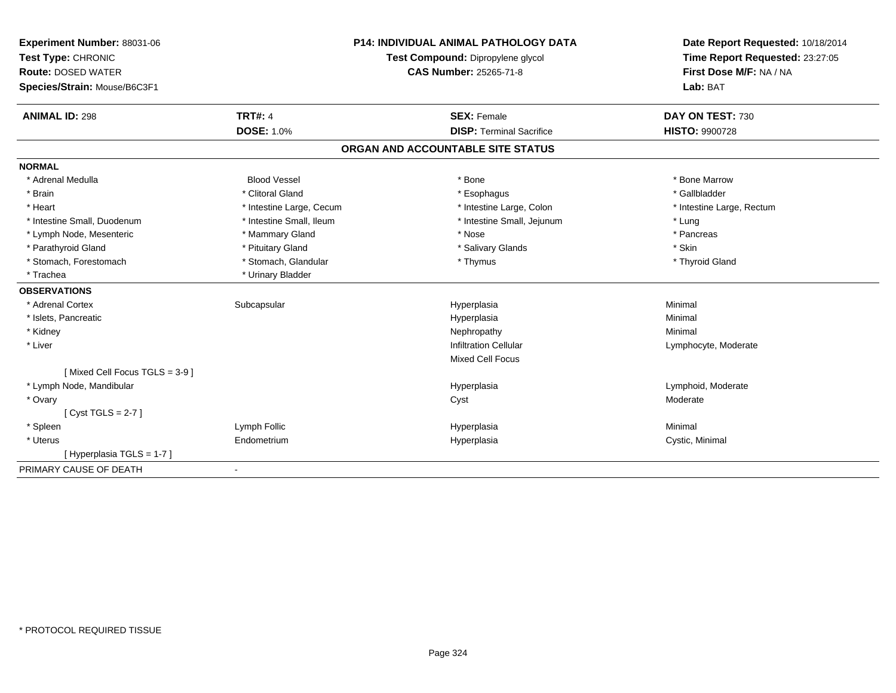| Experiment Number: 88031-06   | <b>P14: INDIVIDUAL ANIMAL PATHOLOGY DATA</b> |                                   | Date Report Requested: 10/18/2014<br>Time Report Requested: 23:27:05 |  |
|-------------------------------|----------------------------------------------|-----------------------------------|----------------------------------------------------------------------|--|
| Test Type: CHRONIC            |                                              | Test Compound: Dipropylene glycol |                                                                      |  |
| <b>Route: DOSED WATER</b>     |                                              | <b>CAS Number: 25265-71-8</b>     | First Dose M/F: NA / NA                                              |  |
| Species/Strain: Mouse/B6C3F1  |                                              |                                   | Lab: BAT                                                             |  |
| <b>ANIMAL ID: 298</b>         | <b>TRT#: 4</b>                               | <b>SEX: Female</b>                | DAY ON TEST: 730                                                     |  |
|                               | <b>DOSE: 1.0%</b>                            | <b>DISP: Terminal Sacrifice</b>   | <b>HISTO: 9900728</b>                                                |  |
|                               |                                              | ORGAN AND ACCOUNTABLE SITE STATUS |                                                                      |  |
| <b>NORMAL</b>                 |                                              |                                   |                                                                      |  |
| * Adrenal Medulla             | <b>Blood Vessel</b>                          | * Bone                            | * Bone Marrow                                                        |  |
| * Brain                       | * Clitoral Gland                             | * Esophagus                       | * Gallbladder                                                        |  |
| * Heart                       | * Intestine Large, Cecum                     | * Intestine Large, Colon          | * Intestine Large, Rectum                                            |  |
| * Intestine Small, Duodenum   | * Intestine Small, Ileum                     | * Intestine Small, Jejunum        | * Lung                                                               |  |
| * Lymph Node, Mesenteric      | * Mammary Gland                              | * Nose                            | * Pancreas                                                           |  |
| * Parathyroid Gland           | * Pituitary Gland                            | * Salivary Glands                 | * Skin                                                               |  |
| * Stomach, Forestomach        | * Stomach, Glandular                         | * Thymus                          | * Thyroid Gland                                                      |  |
| * Trachea                     | * Urinary Bladder                            |                                   |                                                                      |  |
| <b>OBSERVATIONS</b>           |                                              |                                   |                                                                      |  |
| * Adrenal Cortex              | Subcapsular                                  | Hyperplasia                       | Minimal                                                              |  |
| * Islets, Pancreatic          |                                              | Hyperplasia                       | Minimal                                                              |  |
| * Kidney                      |                                              | Nephropathy                       | Minimal                                                              |  |
| * Liver                       |                                              | <b>Infiltration Cellular</b>      | Lymphocyte, Moderate                                                 |  |
|                               |                                              | <b>Mixed Cell Focus</b>           |                                                                      |  |
| [Mixed Cell Focus TGLS = 3-9] |                                              |                                   |                                                                      |  |
| * Lymph Node, Mandibular      |                                              | Hyperplasia                       | Lymphoid, Moderate                                                   |  |
| * Ovary                       |                                              | Cyst                              | Moderate                                                             |  |
| [Cyst TGLS = $2-7$ ]          |                                              |                                   |                                                                      |  |
| * Spleen                      | Lymph Follic                                 | Hyperplasia                       | Minimal                                                              |  |
| * Uterus                      | Endometrium                                  | Hyperplasia                       | Cystic, Minimal                                                      |  |
| [Hyperplasia TGLS = 1-7]      |                                              |                                   |                                                                      |  |
| PRIMARY CAUSE OF DEATH        | $\blacksquare$                               |                                   |                                                                      |  |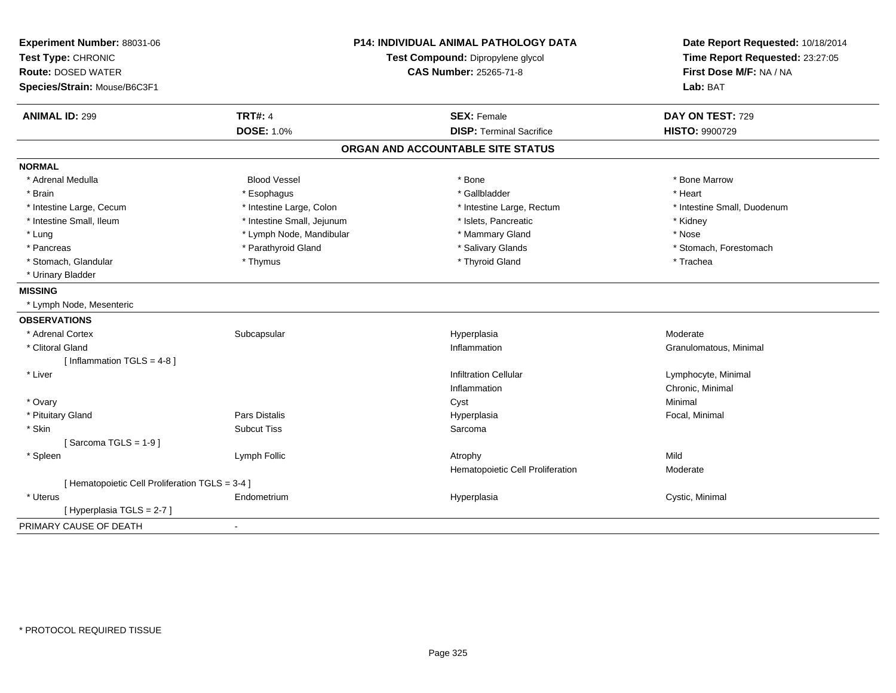| Experiment Number: 88031-06<br>Test Type: CHRONIC<br><b>Route: DOSED WATER</b><br>Species/Strain: Mouse/B6C3F1 |                            | <b>P14: INDIVIDUAL ANIMAL PATHOLOGY DATA</b><br>Test Compound: Dipropylene glycol<br><b>CAS Number: 25265-71-8</b> | Date Report Requested: 10/18/2014<br>Time Report Requested: 23:27:05<br>First Dose M/F: NA / NA<br>Lab: BAT |
|----------------------------------------------------------------------------------------------------------------|----------------------------|--------------------------------------------------------------------------------------------------------------------|-------------------------------------------------------------------------------------------------------------|
| <b>ANIMAL ID: 299</b>                                                                                          | <b>TRT#: 4</b>             | <b>SEX: Female</b>                                                                                                 | DAY ON TEST: 729                                                                                            |
|                                                                                                                | <b>DOSE: 1.0%</b>          | <b>DISP: Terminal Sacrifice</b>                                                                                    | <b>HISTO: 9900729</b>                                                                                       |
|                                                                                                                |                            | ORGAN AND ACCOUNTABLE SITE STATUS                                                                                  |                                                                                                             |
| <b>NORMAL</b>                                                                                                  |                            |                                                                                                                    |                                                                                                             |
| * Adrenal Medulla                                                                                              | <b>Blood Vessel</b>        | * Bone                                                                                                             | * Bone Marrow                                                                                               |
| * Brain                                                                                                        | * Esophagus                | * Gallbladder                                                                                                      | * Heart                                                                                                     |
| * Intestine Large, Cecum                                                                                       | * Intestine Large, Colon   | * Intestine Large, Rectum                                                                                          | * Intestine Small, Duodenum                                                                                 |
| * Intestine Small, Ileum                                                                                       | * Intestine Small, Jejunum | * Islets, Pancreatic                                                                                               | * Kidney                                                                                                    |
| * Lung                                                                                                         | * Lymph Node, Mandibular   | * Mammary Gland                                                                                                    | * Nose                                                                                                      |
| * Pancreas                                                                                                     | * Parathyroid Gland        | * Salivary Glands                                                                                                  | * Stomach, Forestomach                                                                                      |
| * Stomach, Glandular                                                                                           | * Thymus                   | * Thyroid Gland                                                                                                    | * Trachea                                                                                                   |
| * Urinary Bladder                                                                                              |                            |                                                                                                                    |                                                                                                             |
| <b>MISSING</b>                                                                                                 |                            |                                                                                                                    |                                                                                                             |
| * Lymph Node, Mesenteric                                                                                       |                            |                                                                                                                    |                                                                                                             |
| <b>OBSERVATIONS</b>                                                                                            |                            |                                                                                                                    |                                                                                                             |
| * Adrenal Cortex                                                                                               | Subcapsular                | Hyperplasia                                                                                                        | Moderate                                                                                                    |
| * Clitoral Gland                                                                                               |                            | Inflammation                                                                                                       | Granulomatous, Minimal                                                                                      |
| [Inflammation TGLS = 4-8]                                                                                      |                            |                                                                                                                    |                                                                                                             |
| * Liver                                                                                                        |                            | <b>Infiltration Cellular</b>                                                                                       | Lymphocyte, Minimal                                                                                         |
|                                                                                                                |                            | Inflammation                                                                                                       | Chronic, Minimal                                                                                            |
| * Ovary                                                                                                        |                            | Cyst                                                                                                               | Minimal                                                                                                     |
| * Pituitary Gland                                                                                              | Pars Distalis              | Hyperplasia                                                                                                        | Focal, Minimal                                                                                              |
| * Skin                                                                                                         | <b>Subcut Tiss</b>         | Sarcoma                                                                                                            |                                                                                                             |
| [Sarcoma TGLS = $1-9$ ]                                                                                        |                            |                                                                                                                    |                                                                                                             |
| * Spleen                                                                                                       | Lymph Follic               | Atrophy                                                                                                            | Mild                                                                                                        |
|                                                                                                                |                            | Hematopoietic Cell Proliferation                                                                                   | Moderate                                                                                                    |
| [ Hematopoietic Cell Proliferation TGLS = 3-4 ]                                                                |                            |                                                                                                                    |                                                                                                             |
| * Uterus                                                                                                       | Endometrium                | Hyperplasia                                                                                                        | Cystic, Minimal                                                                                             |
| [ Hyperplasia TGLS = 2-7 ]                                                                                     |                            |                                                                                                                    |                                                                                                             |
| PRIMARY CAUSE OF DEATH                                                                                         | $\blacksquare$             |                                                                                                                    |                                                                                                             |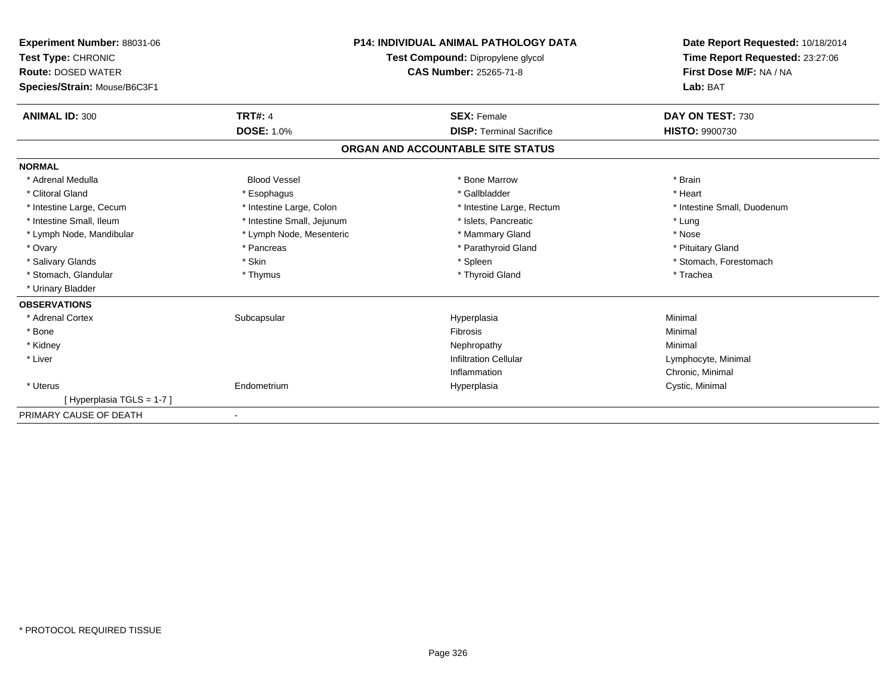| Experiment Number: 88031-06<br>Test Type: CHRONIC<br><b>Route: DOSED WATER</b><br>Species/Strain: Mouse/B6C3F1 |                            | <b>P14: INDIVIDUAL ANIMAL PATHOLOGY DATA</b><br>Test Compound: Dipropylene glycol<br><b>CAS Number: 25265-71-8</b> | Date Report Requested: 10/18/2014<br>Time Report Requested: 23:27:06<br>First Dose M/F: NA / NA<br>Lab: BAT |
|----------------------------------------------------------------------------------------------------------------|----------------------------|--------------------------------------------------------------------------------------------------------------------|-------------------------------------------------------------------------------------------------------------|
| <b>ANIMAL ID: 300</b>                                                                                          | <b>TRT#: 4</b>             | <b>SEX: Female</b>                                                                                                 | DAY ON TEST: 730                                                                                            |
|                                                                                                                | <b>DOSE: 1.0%</b>          | <b>DISP:</b> Terminal Sacrifice                                                                                    | <b>HISTO: 9900730</b>                                                                                       |
|                                                                                                                |                            | ORGAN AND ACCOUNTABLE SITE STATUS                                                                                  |                                                                                                             |
| <b>NORMAL</b>                                                                                                  |                            |                                                                                                                    |                                                                                                             |
| * Adrenal Medulla                                                                                              | <b>Blood Vessel</b>        | * Bone Marrow                                                                                                      | * Brain                                                                                                     |
| * Clitoral Gland                                                                                               | * Esophagus                | * Gallbladder                                                                                                      | * Heart                                                                                                     |
| * Intestine Large, Cecum                                                                                       | * Intestine Large, Colon   | * Intestine Large, Rectum                                                                                          | * Intestine Small, Duodenum                                                                                 |
| * Intestine Small, Ileum                                                                                       | * Intestine Small, Jejunum | * Islets, Pancreatic                                                                                               | * Lung                                                                                                      |
| * Lymph Node, Mandibular                                                                                       | * Lymph Node, Mesenteric   | * Mammary Gland                                                                                                    | * Nose                                                                                                      |
| * Ovary                                                                                                        | * Pancreas                 | * Parathyroid Gland                                                                                                | * Pituitary Gland                                                                                           |
| * Salivary Glands                                                                                              | * Skin                     | * Spleen                                                                                                           | * Stomach, Forestomach                                                                                      |
| * Stomach, Glandular                                                                                           | * Thymus                   | * Thyroid Gland                                                                                                    | * Trachea                                                                                                   |
| * Urinary Bladder                                                                                              |                            |                                                                                                                    |                                                                                                             |
| <b>OBSERVATIONS</b>                                                                                            |                            |                                                                                                                    |                                                                                                             |
| * Adrenal Cortex                                                                                               | Subcapsular                | Hyperplasia                                                                                                        | Minimal                                                                                                     |
| * Bone                                                                                                         |                            | <b>Fibrosis</b>                                                                                                    | Minimal                                                                                                     |
| * Kidney                                                                                                       |                            | Nephropathy                                                                                                        | Minimal                                                                                                     |
| * Liver                                                                                                        |                            | <b>Infiltration Cellular</b>                                                                                       | Lymphocyte, Minimal                                                                                         |
|                                                                                                                |                            | Inflammation                                                                                                       | Chronic, Minimal                                                                                            |
| * Uterus                                                                                                       | Endometrium                | Hyperplasia                                                                                                        | Cystic, Minimal                                                                                             |
| [Hyperplasia TGLS = 1-7]                                                                                       |                            |                                                                                                                    |                                                                                                             |
| PRIMARY CAUSE OF DEATH                                                                                         |                            |                                                                                                                    |                                                                                                             |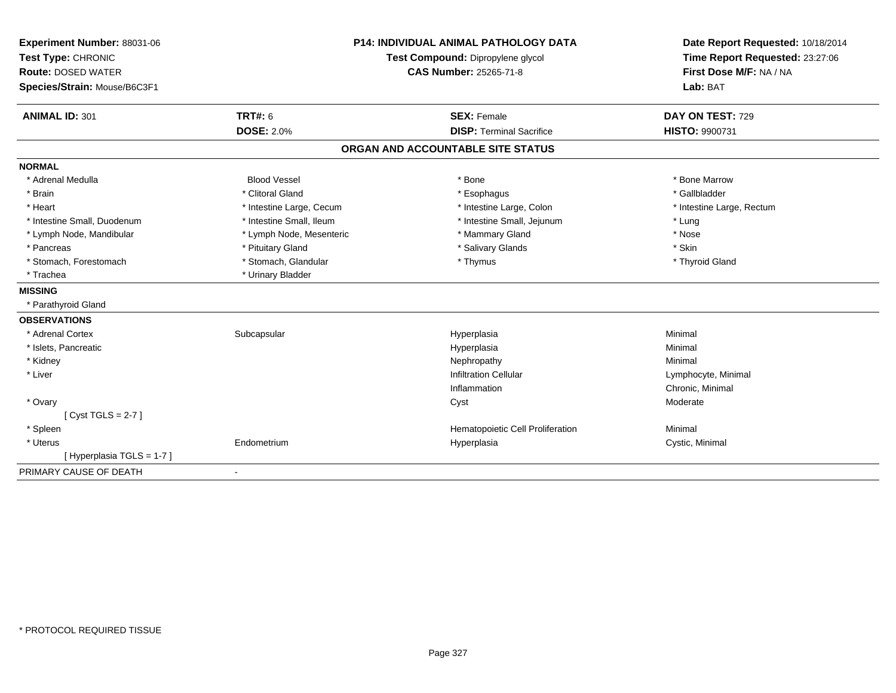| Experiment Number: 88031-06  |                                   | <b>P14: INDIVIDUAL ANIMAL PATHOLOGY DATA</b> | Date Report Requested: 10/18/2014 |
|------------------------------|-----------------------------------|----------------------------------------------|-----------------------------------|
| Test Type: CHRONIC           | Test Compound: Dipropylene glycol |                                              | Time Report Requested: 23:27:06   |
| <b>Route: DOSED WATER</b>    |                                   | <b>CAS Number: 25265-71-8</b>                | First Dose M/F: NA / NA           |
| Species/Strain: Mouse/B6C3F1 |                                   |                                              | Lab: BAT                          |
| <b>ANIMAL ID: 301</b>        | <b>TRT#: 6</b>                    | <b>SEX: Female</b>                           | DAY ON TEST: 729                  |
|                              | <b>DOSE: 2.0%</b>                 | <b>DISP: Terminal Sacrifice</b>              | HISTO: 9900731                    |
|                              |                                   | ORGAN AND ACCOUNTABLE SITE STATUS            |                                   |
| <b>NORMAL</b>                |                                   |                                              |                                   |
| * Adrenal Medulla            | <b>Blood Vessel</b>               | * Bone                                       | * Bone Marrow                     |
| * Brain                      | * Clitoral Gland                  | * Esophagus                                  | * Gallbladder                     |
| * Heart                      | * Intestine Large, Cecum          | * Intestine Large, Colon                     | * Intestine Large, Rectum         |
| * Intestine Small, Duodenum  | * Intestine Small, Ileum          | * Intestine Small, Jejunum                   | * Lung                            |
| * Lymph Node, Mandibular     | * Lymph Node, Mesenteric          | * Mammary Gland                              | * Nose                            |
| * Pancreas                   | * Pituitary Gland                 | * Salivary Glands                            | * Skin                            |
| * Stomach, Forestomach       | * Stomach, Glandular              | * Thymus                                     | * Thyroid Gland                   |
| * Trachea                    | * Urinary Bladder                 |                                              |                                   |
| <b>MISSING</b>               |                                   |                                              |                                   |
| * Parathyroid Gland          |                                   |                                              |                                   |
| <b>OBSERVATIONS</b>          |                                   |                                              |                                   |
| * Adrenal Cortex             | Subcapsular                       | Hyperplasia                                  | Minimal                           |
| * Islets, Pancreatic         |                                   | Hyperplasia                                  | Minimal                           |
| * Kidney                     |                                   | Nephropathy                                  | Minimal                           |
| * Liver                      |                                   | <b>Infiltration Cellular</b>                 | Lymphocyte, Minimal               |
|                              |                                   | Inflammation                                 | Chronic, Minimal                  |
| * Ovary                      |                                   | Cyst                                         | Moderate                          |
| [Cyst TGLS = $2-7$ ]         |                                   |                                              |                                   |
| * Spleen                     |                                   | Hematopoietic Cell Proliferation             | Minimal                           |
| * Uterus                     | Endometrium                       | Hyperplasia                                  | Cystic, Minimal                   |
| [Hyperplasia TGLS = 1-7]     |                                   |                                              |                                   |
| PRIMARY CAUSE OF DEATH       | $\blacksquare$                    |                                              |                                   |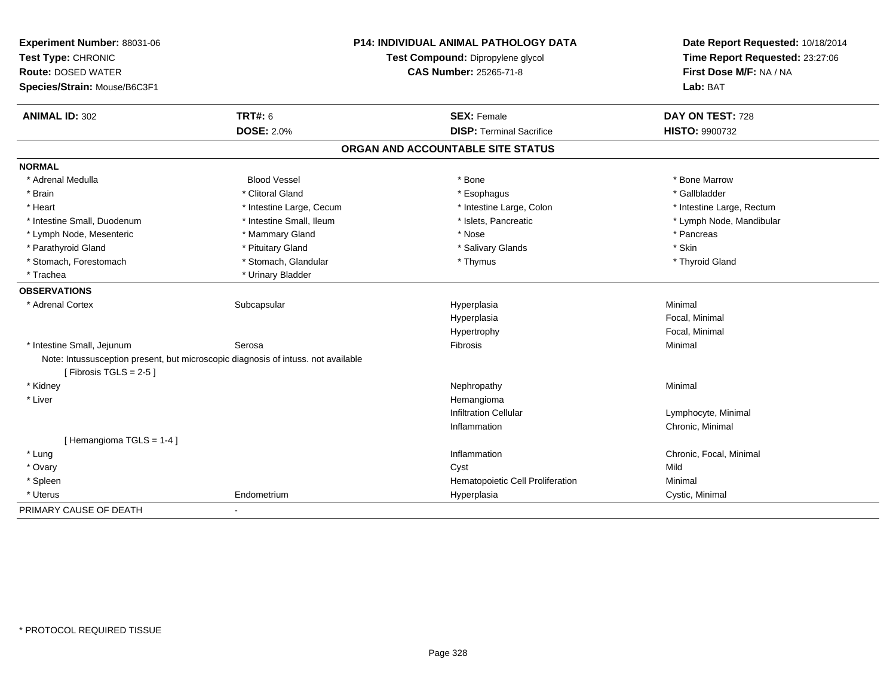| Experiment Number: 88031-06<br>Test Type: CHRONIC |                                                                                   | <b>P14: INDIVIDUAL ANIMAL PATHOLOGY DATA</b><br>Test Compound: Dipropylene glycol | Date Report Requested: 10/18/2014<br>Time Report Requested: 23:27:06 |
|---------------------------------------------------|-----------------------------------------------------------------------------------|-----------------------------------------------------------------------------------|----------------------------------------------------------------------|
| <b>Route: DOSED WATER</b>                         |                                                                                   | <b>CAS Number: 25265-71-8</b>                                                     | First Dose M/F: NA / NA                                              |
| Species/Strain: Mouse/B6C3F1                      |                                                                                   |                                                                                   | Lab: BAT                                                             |
| <b>ANIMAL ID: 302</b>                             | <b>TRT#: 6</b>                                                                    | <b>SEX: Female</b>                                                                | DAY ON TEST: 728                                                     |
|                                                   | <b>DOSE: 2.0%</b>                                                                 | <b>DISP: Terminal Sacrifice</b>                                                   | <b>HISTO: 9900732</b>                                                |
|                                                   |                                                                                   | ORGAN AND ACCOUNTABLE SITE STATUS                                                 |                                                                      |
| <b>NORMAL</b>                                     |                                                                                   |                                                                                   |                                                                      |
| * Adrenal Medulla                                 | <b>Blood Vessel</b>                                                               | * Bone                                                                            | * Bone Marrow                                                        |
| * Brain                                           | * Clitoral Gland                                                                  | * Esophagus                                                                       | * Gallbladder                                                        |
| * Heart                                           | * Intestine Large, Cecum                                                          | * Intestine Large, Colon                                                          | * Intestine Large, Rectum                                            |
| * Intestine Small, Duodenum                       | * Intestine Small, Ileum                                                          | * Islets, Pancreatic                                                              | * Lymph Node, Mandibular                                             |
| * Lymph Node, Mesenteric                          | * Mammary Gland                                                                   | * Nose                                                                            | * Pancreas                                                           |
| * Parathyroid Gland                               | * Pituitary Gland                                                                 | * Salivary Glands                                                                 | * Skin                                                               |
| * Stomach, Forestomach                            | * Stomach, Glandular                                                              | * Thymus                                                                          | * Thyroid Gland                                                      |
| * Trachea                                         | * Urinary Bladder                                                                 |                                                                                   |                                                                      |
| <b>OBSERVATIONS</b>                               |                                                                                   |                                                                                   |                                                                      |
| * Adrenal Cortex                                  | Subcapsular                                                                       | Hyperplasia                                                                       | Minimal                                                              |
|                                                   |                                                                                   | Hyperplasia                                                                       | Focal, Minimal                                                       |
|                                                   |                                                                                   | Hypertrophy                                                                       | Focal, Minimal                                                       |
| * Intestine Small, Jejunum                        | Serosa                                                                            | Fibrosis                                                                          | Minimal                                                              |
| [Fibrosis TGLS = $2-5$ ]                          | Note: Intussusception present, but microscopic diagnosis of intuss. not available |                                                                                   |                                                                      |
| * Kidney                                          |                                                                                   | Nephropathy                                                                       | Minimal                                                              |
| * Liver                                           |                                                                                   | Hemangioma                                                                        |                                                                      |
|                                                   |                                                                                   | <b>Infiltration Cellular</b>                                                      | Lymphocyte, Minimal                                                  |
|                                                   |                                                                                   | Inflammation                                                                      | Chronic, Minimal                                                     |
| [Hemangioma TGLS = 1-4]                           |                                                                                   |                                                                                   |                                                                      |
| * Lung                                            |                                                                                   | Inflammation                                                                      | Chronic, Focal, Minimal                                              |
| * Ovary                                           |                                                                                   | Cyst                                                                              | Mild                                                                 |
| * Spleen                                          |                                                                                   | Hematopoietic Cell Proliferation                                                  | Minimal                                                              |
| * Uterus                                          | Endometrium                                                                       | Hyperplasia                                                                       | Cystic, Minimal                                                      |
| PRIMARY CAUSE OF DEATH                            | $\blacksquare$                                                                    |                                                                                   |                                                                      |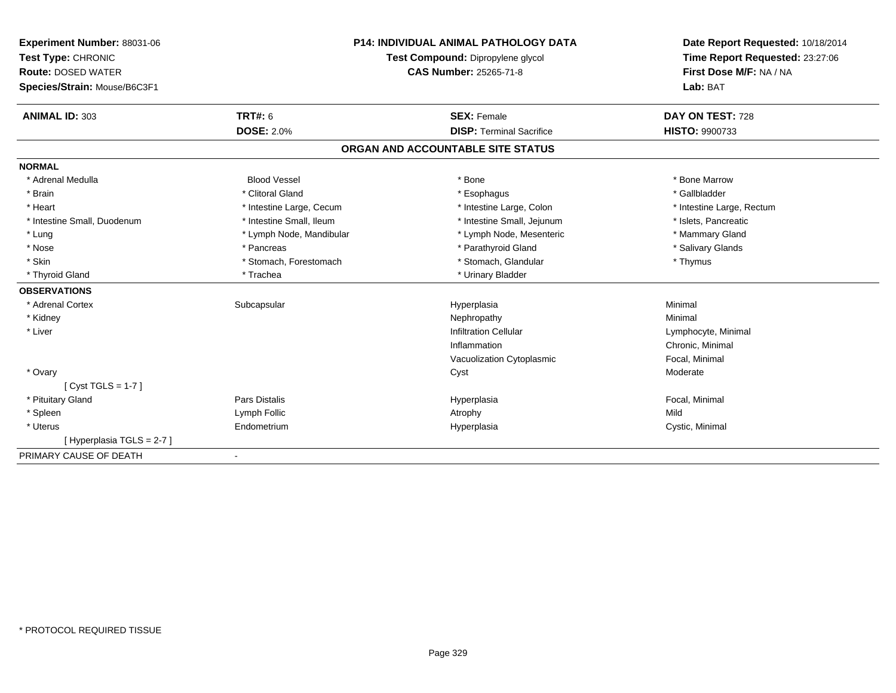| Experiment Number: 88031-06  |                                   | <b>P14: INDIVIDUAL ANIMAL PATHOLOGY DATA</b> | Date Report Requested: 10/18/2014 |
|------------------------------|-----------------------------------|----------------------------------------------|-----------------------------------|
| Test Type: CHRONIC           | Test Compound: Dipropylene glycol |                                              | Time Report Requested: 23:27:06   |
| <b>Route: DOSED WATER</b>    |                                   | <b>CAS Number: 25265-71-8</b>                | First Dose M/F: NA / NA           |
| Species/Strain: Mouse/B6C3F1 |                                   |                                              | Lab: BAT                          |
| <b>ANIMAL ID: 303</b>        | <b>TRT#: 6</b>                    | <b>SEX: Female</b>                           | DAY ON TEST: 728                  |
|                              | <b>DOSE: 2.0%</b>                 | <b>DISP: Terminal Sacrifice</b>              | <b>HISTO: 9900733</b>             |
|                              |                                   | ORGAN AND ACCOUNTABLE SITE STATUS            |                                   |
| <b>NORMAL</b>                |                                   |                                              |                                   |
| * Adrenal Medulla            | <b>Blood Vessel</b>               | * Bone                                       | * Bone Marrow                     |
| * Brain                      | * Clitoral Gland                  | * Esophagus                                  | * Gallbladder                     |
| * Heart                      | * Intestine Large, Cecum          | * Intestine Large, Colon                     | * Intestine Large, Rectum         |
| * Intestine Small, Duodenum  | * Intestine Small, Ileum          | * Intestine Small, Jejunum                   | * Islets, Pancreatic              |
| * Lung                       | * Lymph Node, Mandibular          | * Lymph Node, Mesenteric                     | * Mammary Gland                   |
| * Nose                       | * Pancreas                        | * Parathyroid Gland                          | * Salivary Glands                 |
| * Skin                       | * Stomach, Forestomach            | * Stomach, Glandular                         | * Thymus                          |
| * Thyroid Gland              | * Trachea                         | * Urinary Bladder                            |                                   |
| <b>OBSERVATIONS</b>          |                                   |                                              |                                   |
| * Adrenal Cortex             | Subcapsular                       | Hyperplasia                                  | Minimal                           |
| * Kidney                     |                                   | Nephropathy                                  | Minimal                           |
| * Liver                      |                                   | <b>Infiltration Cellular</b>                 | Lymphocyte, Minimal               |
|                              |                                   | Inflammation                                 | Chronic, Minimal                  |
|                              |                                   | Vacuolization Cytoplasmic                    | Focal, Minimal                    |
| * Ovary                      |                                   | Cyst                                         | Moderate                          |
| [Cyst TGLS = $1-7$ ]         |                                   |                                              |                                   |
| * Pituitary Gland            | <b>Pars Distalis</b>              | Hyperplasia                                  | Focal, Minimal                    |
| * Spleen                     | Lymph Follic                      | Atrophy                                      | Mild                              |
| * Uterus                     | Endometrium                       | Hyperplasia                                  | Cystic, Minimal                   |
| [Hyperplasia TGLS = 2-7]     |                                   |                                              |                                   |
| PRIMARY CAUSE OF DEATH       | $\blacksquare$                    |                                              |                                   |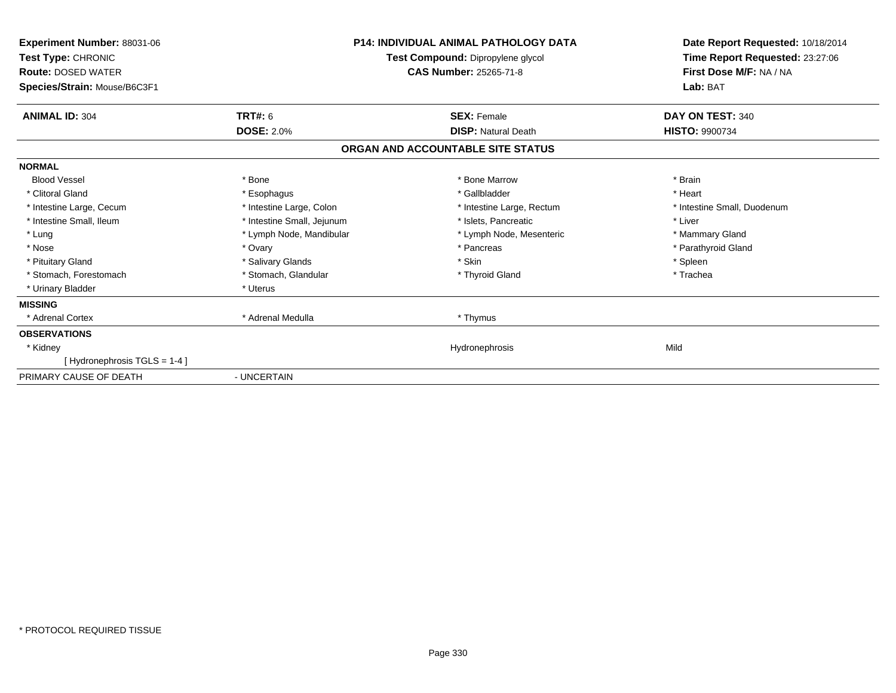| Experiment Number: 88031-06<br>Test Type: CHRONIC<br><b>Route: DOSED WATER</b><br>Species/Strain: Mouse/B6C3F1 |                            | <b>P14: INDIVIDUAL ANIMAL PATHOLOGY DATA</b><br>Test Compound: Dipropylene glycol<br><b>CAS Number: 25265-71-8</b> | Date Report Requested: 10/18/2014<br>Time Report Requested: 23:27:06<br>First Dose M/F: NA / NA<br>Lab: BAT |
|----------------------------------------------------------------------------------------------------------------|----------------------------|--------------------------------------------------------------------------------------------------------------------|-------------------------------------------------------------------------------------------------------------|
| <b>ANIMAL ID: 304</b>                                                                                          | <b>TRT#: 6</b>             | <b>SEX: Female</b>                                                                                                 | DAY ON TEST: 340                                                                                            |
|                                                                                                                | <b>DOSE: 2.0%</b>          | <b>DISP: Natural Death</b>                                                                                         | <b>HISTO: 9900734</b>                                                                                       |
|                                                                                                                |                            | ORGAN AND ACCOUNTABLE SITE STATUS                                                                                  |                                                                                                             |
| <b>NORMAL</b>                                                                                                  |                            |                                                                                                                    |                                                                                                             |
| <b>Blood Vessel</b>                                                                                            | * Bone                     | * Bone Marrow                                                                                                      | * Brain                                                                                                     |
| * Clitoral Gland                                                                                               | * Esophagus                | * Gallbladder                                                                                                      | * Heart                                                                                                     |
| * Intestine Large, Cecum                                                                                       | * Intestine Large, Colon   | * Intestine Large, Rectum                                                                                          | * Intestine Small, Duodenum                                                                                 |
| * Intestine Small, Ileum                                                                                       | * Intestine Small, Jejunum | * Islets, Pancreatic                                                                                               | * Liver                                                                                                     |
| * Lung                                                                                                         | * Lymph Node, Mandibular   | * Lymph Node, Mesenteric                                                                                           | * Mammary Gland                                                                                             |
| * Nose                                                                                                         | * Ovary                    | * Pancreas                                                                                                         | * Parathyroid Gland                                                                                         |
| * Pituitary Gland                                                                                              | * Salivary Glands          | * Skin                                                                                                             | * Spleen                                                                                                    |
| * Stomach, Forestomach                                                                                         | * Stomach, Glandular       | * Thyroid Gland                                                                                                    | * Trachea                                                                                                   |
| * Urinary Bladder                                                                                              | * Uterus                   |                                                                                                                    |                                                                                                             |
| <b>MISSING</b>                                                                                                 |                            |                                                                                                                    |                                                                                                             |
| * Adrenal Cortex                                                                                               | * Adrenal Medulla          | * Thymus                                                                                                           |                                                                                                             |
| <b>OBSERVATIONS</b>                                                                                            |                            |                                                                                                                    |                                                                                                             |
| * Kidney                                                                                                       |                            | Hydronephrosis                                                                                                     | Mild                                                                                                        |
| [Hydronephrosis TGLS = 1-4]                                                                                    |                            |                                                                                                                    |                                                                                                             |
| PRIMARY CAUSE OF DEATH                                                                                         | - UNCERTAIN                |                                                                                                                    |                                                                                                             |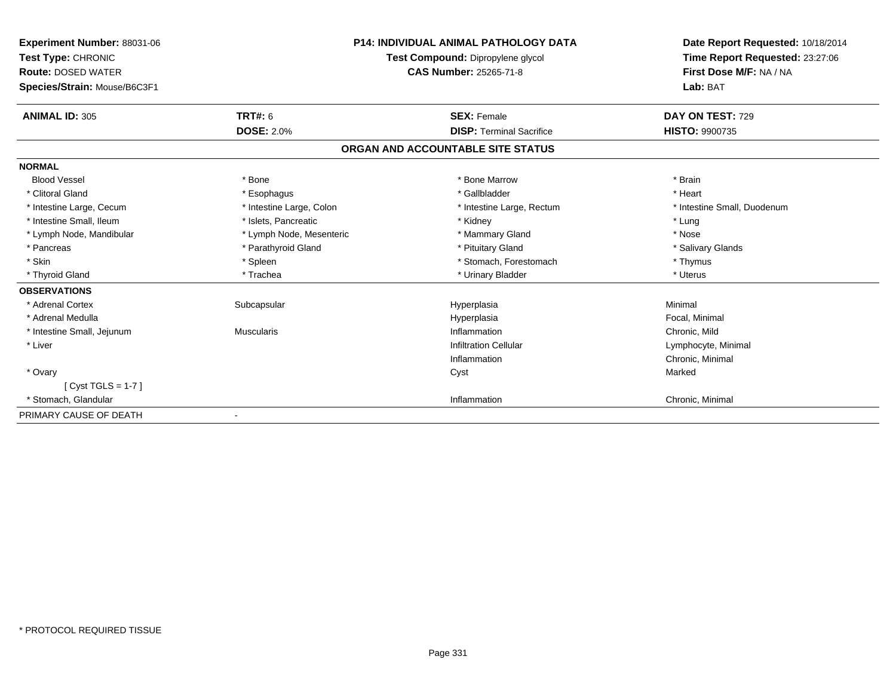| Experiment Number: 88031-06<br>Test Type: CHRONIC<br><b>Route: DOSED WATER</b> |                          | <b>P14: INDIVIDUAL ANIMAL PATHOLOGY DATA</b><br>Test Compound: Dipropylene glycol<br><b>CAS Number: 25265-71-8</b> | Date Report Requested: 10/18/2014<br>Time Report Requested: 23:27:06<br>First Dose M/F: NA / NA |
|--------------------------------------------------------------------------------|--------------------------|--------------------------------------------------------------------------------------------------------------------|-------------------------------------------------------------------------------------------------|
| Species/Strain: Mouse/B6C3F1                                                   |                          |                                                                                                                    | Lab: BAT                                                                                        |
| <b>ANIMAL ID: 305</b>                                                          | TRT#: 6                  | <b>SEX: Female</b>                                                                                                 | DAY ON TEST: 729                                                                                |
|                                                                                | <b>DOSE: 2.0%</b>        | <b>DISP: Terminal Sacrifice</b>                                                                                    | <b>HISTO: 9900735</b>                                                                           |
|                                                                                |                          | ORGAN AND ACCOUNTABLE SITE STATUS                                                                                  |                                                                                                 |
| <b>NORMAL</b>                                                                  |                          |                                                                                                                    |                                                                                                 |
| <b>Blood Vessel</b>                                                            | * Bone                   | * Bone Marrow                                                                                                      | * Brain                                                                                         |
| * Clitoral Gland                                                               | * Esophagus              | * Gallbladder                                                                                                      | * Heart                                                                                         |
| * Intestine Large, Cecum                                                       | * Intestine Large, Colon | * Intestine Large, Rectum                                                                                          | * Intestine Small, Duodenum                                                                     |
| * Intestine Small, Ileum                                                       | * Islets, Pancreatic     | * Kidney                                                                                                           | * Lung                                                                                          |
| * Lymph Node, Mandibular                                                       | * Lymph Node, Mesenteric | * Mammary Gland                                                                                                    | * Nose                                                                                          |
| * Pancreas                                                                     | * Parathyroid Gland      | * Pituitary Gland                                                                                                  | * Salivary Glands                                                                               |
| * Skin                                                                         | * Spleen                 | * Stomach. Forestomach                                                                                             | * Thymus                                                                                        |
| * Thyroid Gland                                                                | * Trachea                | * Urinary Bladder                                                                                                  | * Uterus                                                                                        |
| <b>OBSERVATIONS</b>                                                            |                          |                                                                                                                    |                                                                                                 |
| * Adrenal Cortex                                                               | Subcapsular              | Hyperplasia                                                                                                        | Minimal                                                                                         |
| * Adrenal Medulla                                                              |                          | Hyperplasia                                                                                                        | Focal, Minimal                                                                                  |
| * Intestine Small, Jejunum                                                     | Muscularis               | Inflammation                                                                                                       | Chronic, Mild                                                                                   |
| * Liver                                                                        |                          | <b>Infiltration Cellular</b>                                                                                       | Lymphocyte, Minimal                                                                             |
|                                                                                |                          | Inflammation                                                                                                       | Chronic, Minimal                                                                                |
| * Ovary                                                                        |                          | Cyst                                                                                                               | Marked                                                                                          |
| $[Cyst TGLS = 1-7]$                                                            |                          |                                                                                                                    |                                                                                                 |
| * Stomach, Glandular                                                           |                          | Inflammation                                                                                                       | Chronic, Minimal                                                                                |
| PRIMARY CAUSE OF DEATH                                                         |                          |                                                                                                                    |                                                                                                 |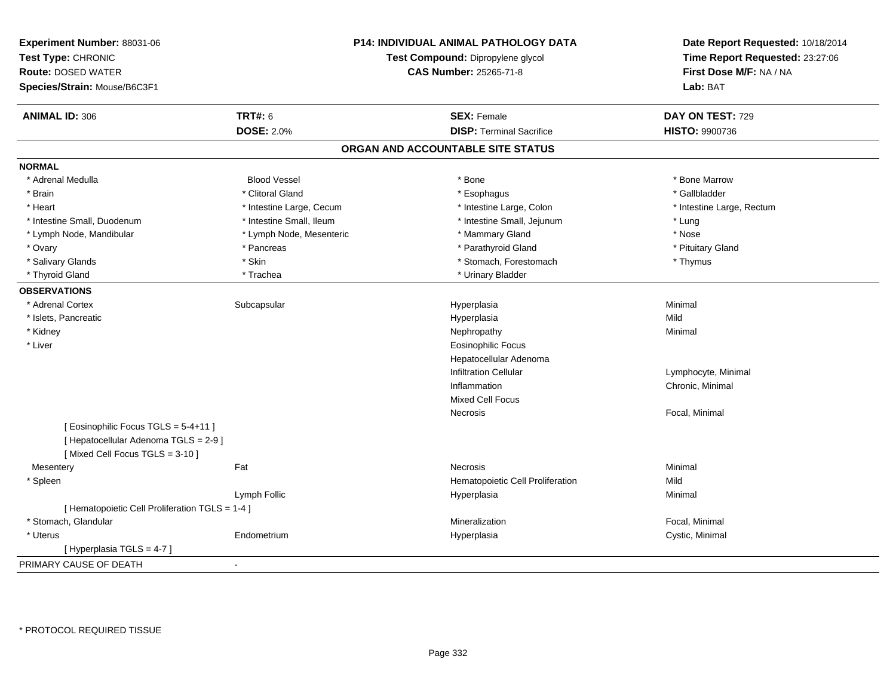| Experiment Number: 88031-06<br>Test Type: CHRONIC<br><b>Route: DOSED WATER</b><br>Species/Strain: Mouse/B6C3F1 |                          | P14: INDIVIDUAL ANIMAL PATHOLOGY DATA<br>Test Compound: Dipropylene glycol<br><b>CAS Number: 25265-71-8</b> | Date Report Requested: 10/18/2014<br>Time Report Requested: 23:27:06<br>First Dose M/F: NA / NA<br>Lab: BAT |
|----------------------------------------------------------------------------------------------------------------|--------------------------|-------------------------------------------------------------------------------------------------------------|-------------------------------------------------------------------------------------------------------------|
| <b>ANIMAL ID: 306</b>                                                                                          | <b>TRT#: 6</b>           | <b>SEX: Female</b>                                                                                          | DAY ON TEST: 729                                                                                            |
|                                                                                                                | <b>DOSE: 2.0%</b>        | <b>DISP: Terminal Sacrifice</b>                                                                             | HISTO: 9900736                                                                                              |
|                                                                                                                |                          | ORGAN AND ACCOUNTABLE SITE STATUS                                                                           |                                                                                                             |
| <b>NORMAL</b>                                                                                                  |                          |                                                                                                             |                                                                                                             |
| * Adrenal Medulla                                                                                              | <b>Blood Vessel</b>      | * Bone                                                                                                      | * Bone Marrow                                                                                               |
| * Brain                                                                                                        | * Clitoral Gland         | * Esophagus                                                                                                 | * Gallbladder                                                                                               |
| * Heart                                                                                                        | * Intestine Large, Cecum | * Intestine Large, Colon                                                                                    | * Intestine Large, Rectum                                                                                   |
| * Intestine Small, Duodenum                                                                                    | * Intestine Small, Ileum | * Intestine Small, Jejunum                                                                                  | * Lung                                                                                                      |
| * Lymph Node, Mandibular                                                                                       | * Lymph Node, Mesenteric | * Mammary Gland                                                                                             | * Nose                                                                                                      |
| * Ovary                                                                                                        | * Pancreas               | * Parathyroid Gland                                                                                         | * Pituitary Gland                                                                                           |
| * Salivary Glands                                                                                              | * Skin                   | * Stomach, Forestomach                                                                                      | * Thymus                                                                                                    |
| * Thyroid Gland                                                                                                | * Trachea                | * Urinary Bladder                                                                                           |                                                                                                             |
| <b>OBSERVATIONS</b>                                                                                            |                          |                                                                                                             |                                                                                                             |
| * Adrenal Cortex                                                                                               | Subcapsular              | Hyperplasia                                                                                                 | Minimal                                                                                                     |
| * Islets, Pancreatic                                                                                           |                          | Hyperplasia                                                                                                 | Mild                                                                                                        |
| * Kidney                                                                                                       |                          | Nephropathy                                                                                                 | Minimal                                                                                                     |
| * Liver                                                                                                        |                          | Eosinophilic Focus                                                                                          |                                                                                                             |
|                                                                                                                |                          | Hepatocellular Adenoma                                                                                      |                                                                                                             |
|                                                                                                                |                          | <b>Infiltration Cellular</b>                                                                                | Lymphocyte, Minimal                                                                                         |
|                                                                                                                |                          | Inflammation                                                                                                | Chronic, Minimal                                                                                            |
|                                                                                                                |                          | Mixed Cell Focus                                                                                            |                                                                                                             |
|                                                                                                                |                          | Necrosis                                                                                                    | Focal, Minimal                                                                                              |
| [Eosinophilic Focus TGLS = 5-4+11]                                                                             |                          |                                                                                                             |                                                                                                             |
| [ Hepatocellular Adenoma TGLS = 2-9 ]                                                                          |                          |                                                                                                             |                                                                                                             |
| [Mixed Cell Focus TGLS = 3-10]                                                                                 |                          |                                                                                                             |                                                                                                             |
| Mesentery                                                                                                      | Fat                      | <b>Necrosis</b>                                                                                             | Minimal                                                                                                     |
| * Spleen                                                                                                       |                          | Hematopoietic Cell Proliferation                                                                            | Mild                                                                                                        |
|                                                                                                                | Lymph Follic             | Hyperplasia                                                                                                 | Minimal                                                                                                     |
| [ Hematopoietic Cell Proliferation TGLS = 1-4 ]                                                                |                          |                                                                                                             |                                                                                                             |
| * Stomach, Glandular                                                                                           |                          | Mineralization                                                                                              | Focal, Minimal                                                                                              |
| * Uterus                                                                                                       | Endometrium              | Hyperplasia                                                                                                 | Cystic, Minimal                                                                                             |
| [Hyperplasia TGLS = 4-7]                                                                                       |                          |                                                                                                             |                                                                                                             |
| PRIMARY CAUSE OF DEATH                                                                                         |                          |                                                                                                             |                                                                                                             |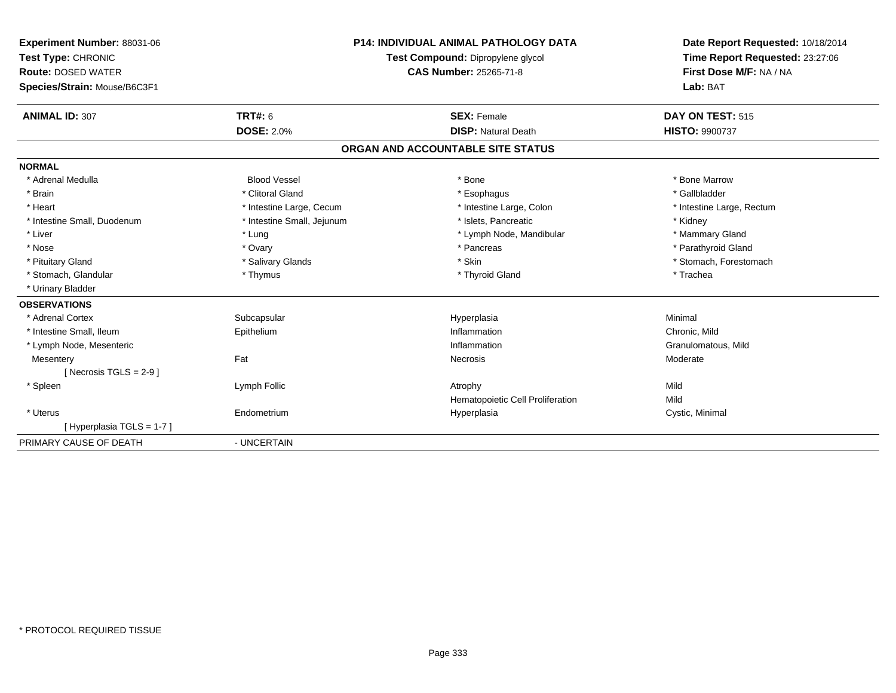| <b>Experiment Number: 88031-06</b><br>Test Type: CHRONIC<br><b>Route: DOSED WATER</b><br>Species/Strain: Mouse/B6C3F1<br><b>ANIMAL ID: 307</b> | <b>TRT#: 6</b><br><b>DOSE: 2.0%</b> | <b>P14: INDIVIDUAL ANIMAL PATHOLOGY DATA</b><br>Test Compound: Dipropylene glycol<br>CAS Number: 25265-71-8<br><b>SEX: Female</b><br><b>DISP: Natural Death</b> | Date Report Requested: 10/18/2014<br>Time Report Requested: 23:27:06<br>First Dose M/F: NA / NA<br>Lab: BAT<br>DAY ON TEST: 515<br><b>HISTO: 9900737</b> |
|------------------------------------------------------------------------------------------------------------------------------------------------|-------------------------------------|-----------------------------------------------------------------------------------------------------------------------------------------------------------------|----------------------------------------------------------------------------------------------------------------------------------------------------------|
|                                                                                                                                                |                                     | ORGAN AND ACCOUNTABLE SITE STATUS                                                                                                                               |                                                                                                                                                          |
| <b>NORMAL</b>                                                                                                                                  |                                     |                                                                                                                                                                 |                                                                                                                                                          |
| * Adrenal Medulla                                                                                                                              | <b>Blood Vessel</b>                 | * Bone                                                                                                                                                          | * Bone Marrow                                                                                                                                            |
| * Brain                                                                                                                                        | * Clitoral Gland                    | * Esophagus                                                                                                                                                     | * Gallbladder                                                                                                                                            |
| * Heart                                                                                                                                        | * Intestine Large, Cecum            | * Intestine Large, Colon                                                                                                                                        | * Intestine Large, Rectum                                                                                                                                |
| * Intestine Small, Duodenum                                                                                                                    | * Intestine Small, Jejunum          | * Islets. Pancreatic                                                                                                                                            | * Kidney                                                                                                                                                 |
| * Liver                                                                                                                                        | * Lung                              | * Lymph Node, Mandibular                                                                                                                                        | * Mammary Gland                                                                                                                                          |
| * Nose                                                                                                                                         | * Ovary                             | * Pancreas                                                                                                                                                      | * Parathyroid Gland                                                                                                                                      |
| * Pituitary Gland                                                                                                                              | * Salivary Glands                   | * Skin                                                                                                                                                          | * Stomach, Forestomach                                                                                                                                   |
| * Stomach, Glandular                                                                                                                           | * Thymus                            | * Thyroid Gland                                                                                                                                                 | * Trachea                                                                                                                                                |
| * Urinary Bladder                                                                                                                              |                                     |                                                                                                                                                                 |                                                                                                                                                          |
| <b>OBSERVATIONS</b>                                                                                                                            |                                     |                                                                                                                                                                 |                                                                                                                                                          |
| * Adrenal Cortex                                                                                                                               | Subcapsular                         | Hyperplasia                                                                                                                                                     | Minimal                                                                                                                                                  |
| * Intestine Small, Ileum                                                                                                                       | Epithelium                          | Inflammation                                                                                                                                                    | Chronic, Mild                                                                                                                                            |
| * Lymph Node, Mesenteric                                                                                                                       |                                     | Inflammation                                                                                                                                                    | Granulomatous, Mild                                                                                                                                      |
| Mesentery                                                                                                                                      | Fat                                 | Necrosis                                                                                                                                                        | Moderate                                                                                                                                                 |
| [Necrosis $TGLS = 2-9$ ]                                                                                                                       |                                     |                                                                                                                                                                 |                                                                                                                                                          |
| * Spleen                                                                                                                                       | Lymph Follic                        | Atrophy                                                                                                                                                         | Mild                                                                                                                                                     |
|                                                                                                                                                |                                     | Hematopoietic Cell Proliferation                                                                                                                                | Mild                                                                                                                                                     |
| * Uterus                                                                                                                                       | Endometrium                         | Hyperplasia                                                                                                                                                     | Cystic, Minimal                                                                                                                                          |
| [Hyperplasia TGLS = 1-7]                                                                                                                       |                                     |                                                                                                                                                                 |                                                                                                                                                          |
| PRIMARY CAUSE OF DEATH                                                                                                                         | - UNCERTAIN                         |                                                                                                                                                                 |                                                                                                                                                          |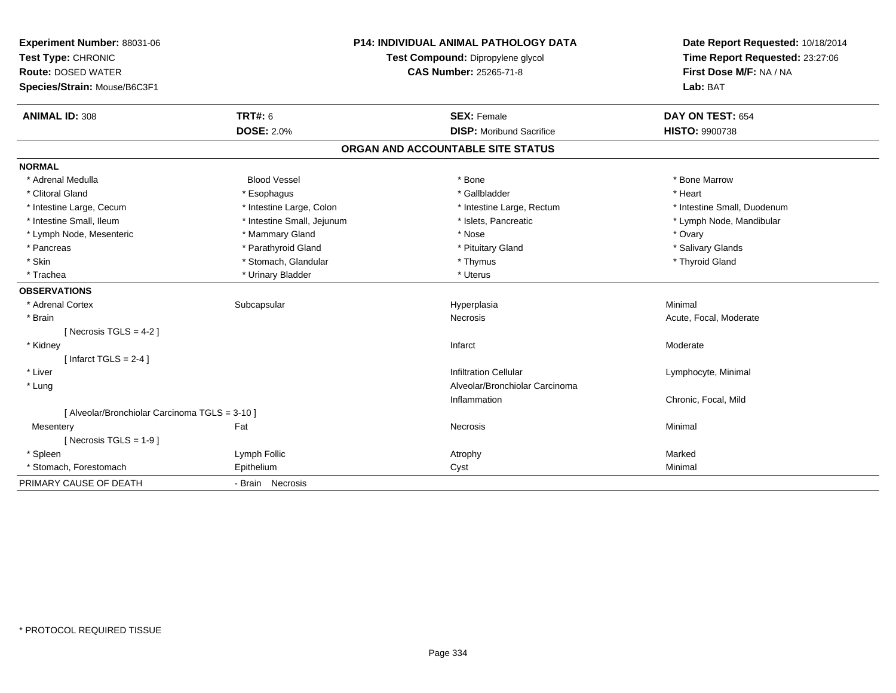| Experiment Number: 88031-06<br>Test Type: CHRONIC<br><b>Route: DOSED WATER</b><br>Species/Strain: Mouse/B6C3F1 |                            | <b>P14: INDIVIDUAL ANIMAL PATHOLOGY DATA</b><br>Test Compound: Dipropylene glycol<br><b>CAS Number: 25265-71-8</b> | Date Report Requested: 10/18/2014<br>Time Report Requested: 23:27:06<br>First Dose M/F: NA / NA<br>Lab: BAT |
|----------------------------------------------------------------------------------------------------------------|----------------------------|--------------------------------------------------------------------------------------------------------------------|-------------------------------------------------------------------------------------------------------------|
| <b>ANIMAL ID: 308</b>                                                                                          | <b>TRT#: 6</b>             | <b>SEX: Female</b>                                                                                                 | DAY ON TEST: 654                                                                                            |
|                                                                                                                | <b>DOSE: 2.0%</b>          | <b>DISP:</b> Moribund Sacrifice                                                                                    | <b>HISTO: 9900738</b>                                                                                       |
|                                                                                                                |                            | ORGAN AND ACCOUNTABLE SITE STATUS                                                                                  |                                                                                                             |
| <b>NORMAL</b>                                                                                                  |                            |                                                                                                                    |                                                                                                             |
| * Adrenal Medulla                                                                                              | <b>Blood Vessel</b>        | * Bone                                                                                                             | * Bone Marrow                                                                                               |
| * Clitoral Gland                                                                                               | * Esophagus                | * Gallbladder                                                                                                      | * Heart                                                                                                     |
| * Intestine Large, Cecum                                                                                       | * Intestine Large, Colon   | * Intestine Large, Rectum                                                                                          | * Intestine Small, Duodenum                                                                                 |
| * Intestine Small, Ileum                                                                                       | * Intestine Small, Jejunum | * Islets, Pancreatic                                                                                               | * Lymph Node, Mandibular                                                                                    |
| * Lymph Node, Mesenteric                                                                                       | * Mammary Gland            | * Nose                                                                                                             | * Ovary                                                                                                     |
| * Pancreas                                                                                                     | * Parathyroid Gland        | * Pituitary Gland                                                                                                  | * Salivary Glands                                                                                           |
| * Skin                                                                                                         | * Stomach, Glandular       | * Thymus                                                                                                           | * Thyroid Gland                                                                                             |
| * Trachea                                                                                                      | * Urinary Bladder          | * Uterus                                                                                                           |                                                                                                             |
| <b>OBSERVATIONS</b>                                                                                            |                            |                                                                                                                    |                                                                                                             |
| * Adrenal Cortex                                                                                               | Subcapsular                | Hyperplasia                                                                                                        | Minimal                                                                                                     |
| * Brain                                                                                                        |                            | <b>Necrosis</b>                                                                                                    | Acute, Focal, Moderate                                                                                      |
| [Necrosis TGLS = $4-2$ ]                                                                                       |                            |                                                                                                                    |                                                                                                             |
| * Kidney                                                                                                       |                            | Infarct                                                                                                            | Moderate                                                                                                    |
| [Infarct TGLS = $2-4$ ]                                                                                        |                            |                                                                                                                    |                                                                                                             |
| * Liver                                                                                                        |                            | <b>Infiltration Cellular</b>                                                                                       | Lymphocyte, Minimal                                                                                         |
| * Lung                                                                                                         |                            | Alveolar/Bronchiolar Carcinoma                                                                                     |                                                                                                             |
|                                                                                                                |                            | Inflammation                                                                                                       | Chronic, Focal, Mild                                                                                        |
| [ Alveolar/Bronchiolar Carcinoma TGLS = 3-10 ]                                                                 |                            |                                                                                                                    |                                                                                                             |
| Mesentery                                                                                                      | Fat                        | Necrosis                                                                                                           | Minimal                                                                                                     |
| [Necrosis TGLS = $1-9$ ]                                                                                       |                            |                                                                                                                    |                                                                                                             |
| * Spleen                                                                                                       | Lymph Follic               | Atrophy                                                                                                            | Marked                                                                                                      |
| * Stomach, Forestomach                                                                                         | Epithelium                 | Cyst                                                                                                               | Minimal                                                                                                     |
| PRIMARY CAUSE OF DEATH                                                                                         | - Brain Necrosis           |                                                                                                                    |                                                                                                             |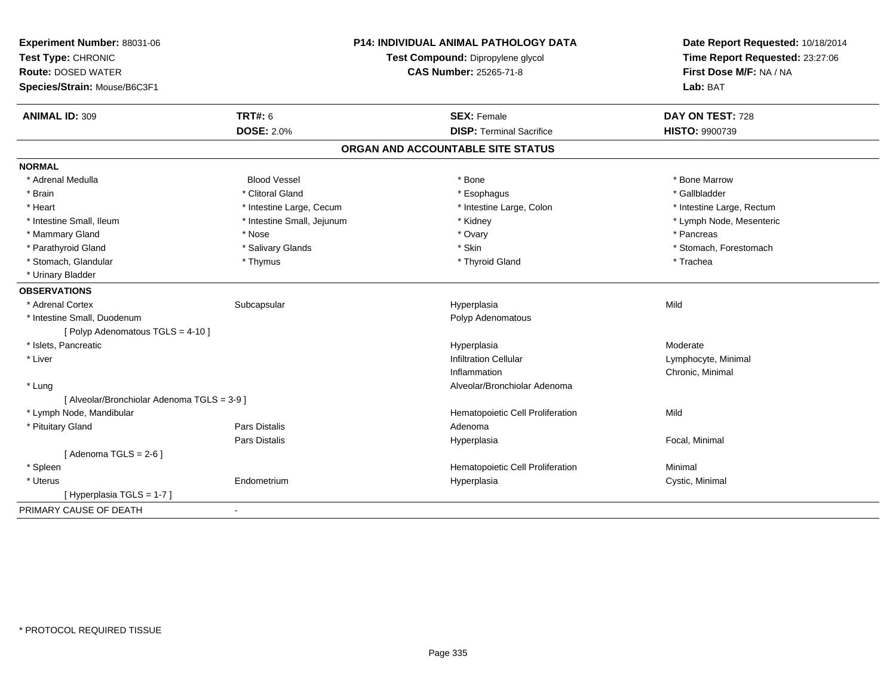| Experiment Number: 88031-06                 |                                   | <b>P14: INDIVIDUAL ANIMAL PATHOLOGY DATA</b> | Date Report Requested: 10/18/2014 |
|---------------------------------------------|-----------------------------------|----------------------------------------------|-----------------------------------|
| Test Type: CHRONIC                          | Test Compound: Dipropylene glycol |                                              | Time Report Requested: 23:27:06   |
| <b>Route: DOSED WATER</b>                   |                                   | <b>CAS Number: 25265-71-8</b>                | First Dose M/F: NA / NA           |
| Species/Strain: Mouse/B6C3F1                |                                   |                                              | Lab: BAT                          |
| <b>ANIMAL ID: 309</b>                       | <b>TRT#: 6</b>                    | <b>SEX: Female</b>                           | DAY ON TEST: 728                  |
|                                             | <b>DOSE: 2.0%</b>                 | <b>DISP: Terminal Sacrifice</b>              | HISTO: 9900739                    |
|                                             |                                   | ORGAN AND ACCOUNTABLE SITE STATUS            |                                   |
| <b>NORMAL</b>                               |                                   |                                              |                                   |
| * Adrenal Medulla                           | <b>Blood Vessel</b>               | * Bone                                       | * Bone Marrow                     |
| * Brain                                     | * Clitoral Gland                  | * Esophagus                                  | * Gallbladder                     |
| * Heart                                     | * Intestine Large, Cecum          | * Intestine Large, Colon                     | * Intestine Large, Rectum         |
| * Intestine Small, Ileum                    | * Intestine Small, Jejunum        | * Kidney                                     | * Lymph Node, Mesenteric          |
| * Mammary Gland                             | * Nose                            | * Ovary                                      | * Pancreas                        |
| * Parathyroid Gland                         | * Salivary Glands                 | * Skin                                       | * Stomach, Forestomach            |
| * Stomach, Glandular                        | * Thymus                          | * Thyroid Gland                              | * Trachea                         |
| * Urinary Bladder                           |                                   |                                              |                                   |
| <b>OBSERVATIONS</b>                         |                                   |                                              |                                   |
| * Adrenal Cortex                            | Subcapsular                       | Hyperplasia                                  | Mild                              |
| * Intestine Small, Duodenum                 |                                   | Polyp Adenomatous                            |                                   |
| [ Polyp Adenomatous TGLS = 4-10 ]           |                                   |                                              |                                   |
| * Islets, Pancreatic                        |                                   | Hyperplasia                                  | Moderate                          |
| * Liver                                     |                                   | <b>Infiltration Cellular</b>                 | Lymphocyte, Minimal               |
|                                             |                                   | Inflammation                                 | Chronic, Minimal                  |
| * Lung                                      |                                   | Alveolar/Bronchiolar Adenoma                 |                                   |
| [ Alveolar/Bronchiolar Adenoma TGLS = 3-9 ] |                                   |                                              |                                   |
| * Lymph Node, Mandibular                    |                                   | Hematopoietic Cell Proliferation             | Mild                              |
| * Pituitary Gland                           | <b>Pars Distalis</b>              | Adenoma                                      |                                   |
|                                             | Pars Distalis                     | Hyperplasia                                  | Focal, Minimal                    |
| [Adenoma TGLS = $2-6$ ]                     |                                   |                                              |                                   |
| * Spleen                                    |                                   | Hematopoietic Cell Proliferation             | Minimal                           |
| * Uterus                                    | Endometrium                       | Hyperplasia                                  | Cystic, Minimal                   |
| [ Hyperplasia TGLS = 1-7 ]                  |                                   |                                              |                                   |
| PRIMARY CAUSE OF DEATH                      | $\blacksquare$                    |                                              |                                   |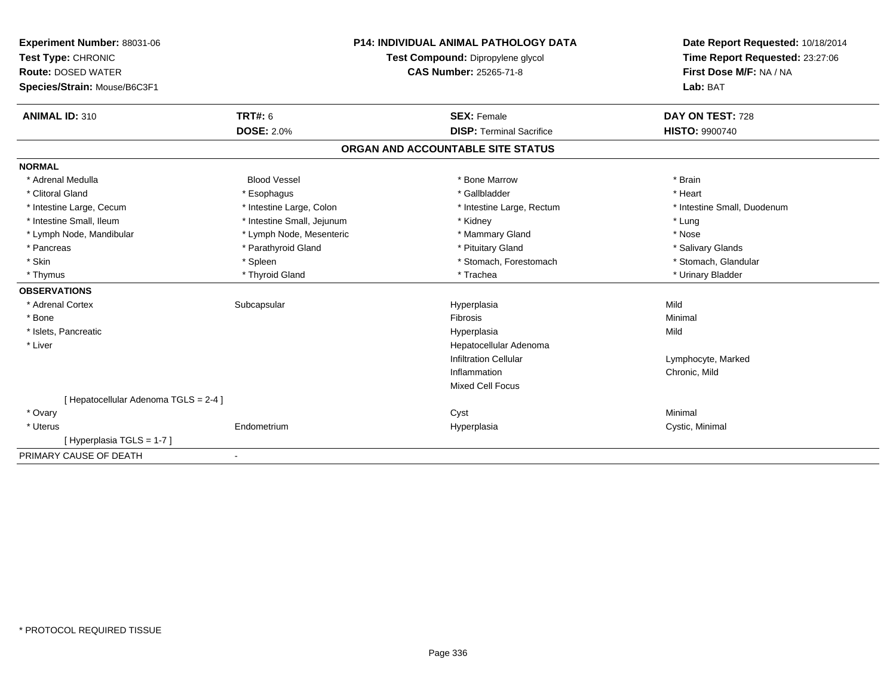| Experiment Number: 88031-06           |                            | <b>P14: INDIVIDUAL ANIMAL PATHOLOGY DATA</b> | Date Report Requested: 10/18/2014 |
|---------------------------------------|----------------------------|----------------------------------------------|-----------------------------------|
| Test Type: CHRONIC                    |                            | Test Compound: Dipropylene glycol            | Time Report Requested: 23:27:06   |
| <b>Route: DOSED WATER</b>             |                            | CAS Number: 25265-71-8                       | First Dose M/F: NA / NA           |
| Species/Strain: Mouse/B6C3F1          |                            |                                              | Lab: BAT                          |
|                                       |                            |                                              |                                   |
| <b>ANIMAL ID: 310</b>                 | <b>TRT#: 6</b>             | <b>SEX: Female</b>                           | DAY ON TEST: 728                  |
|                                       | <b>DOSE: 2.0%</b>          | <b>DISP: Terminal Sacrifice</b>              | <b>HISTO: 9900740</b>             |
|                                       |                            | ORGAN AND ACCOUNTABLE SITE STATUS            |                                   |
| <b>NORMAL</b>                         |                            |                                              |                                   |
| * Adrenal Medulla                     | <b>Blood Vessel</b>        | * Bone Marrow                                | * Brain                           |
| * Clitoral Gland                      | * Esophagus                | * Gallbladder                                | * Heart                           |
| * Intestine Large, Cecum              | * Intestine Large, Colon   | * Intestine Large, Rectum                    | * Intestine Small, Duodenum       |
| * Intestine Small, Ileum              | * Intestine Small, Jejunum | * Kidney                                     | * Lung                            |
| * Lymph Node, Mandibular              | * Lymph Node, Mesenteric   | * Mammary Gland                              | * Nose                            |
| * Pancreas                            | * Parathyroid Gland        | * Pituitary Gland                            | * Salivary Glands                 |
| * Skin                                | * Spleen                   | * Stomach, Forestomach                       | * Stomach, Glandular              |
| * Thymus                              | * Thyroid Gland            | * Trachea                                    | * Urinary Bladder                 |
| <b>OBSERVATIONS</b>                   |                            |                                              |                                   |
| * Adrenal Cortex                      | Subcapsular                | Hyperplasia                                  | Mild                              |
| * Bone                                |                            | <b>Fibrosis</b>                              | Minimal                           |
| * Islets, Pancreatic                  |                            | Hyperplasia                                  | Mild                              |
| * Liver                               |                            | Hepatocellular Adenoma                       |                                   |
|                                       |                            | <b>Infiltration Cellular</b>                 | Lymphocyte, Marked                |
|                                       |                            | Inflammation                                 | Chronic, Mild                     |
|                                       |                            | Mixed Cell Focus                             |                                   |
| [ Hepatocellular Adenoma TGLS = 2-4 ] |                            |                                              |                                   |
| * Ovary                               |                            | Cyst                                         | Minimal                           |
| * Uterus                              | Endometrium                | Hyperplasia                                  | Cystic, Minimal                   |
| [Hyperplasia TGLS = 1-7]              |                            |                                              |                                   |
| PRIMARY CAUSE OF DEATH                |                            |                                              |                                   |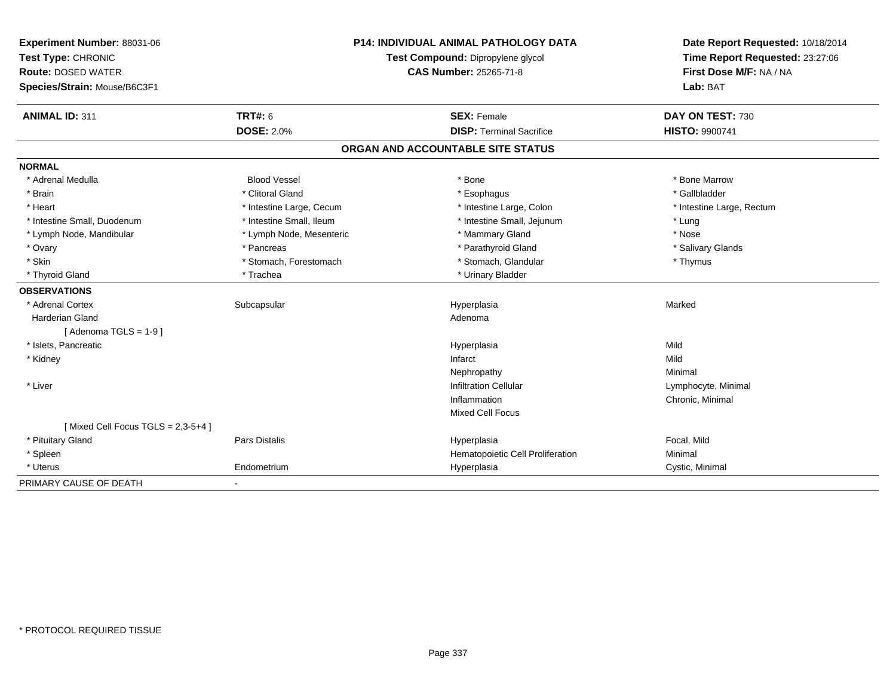| Experiment Number: 88031-06          |                                   | <b>P14: INDIVIDUAL ANIMAL PATHOLOGY DATA</b> | Date Report Requested: 10/18/2014 |
|--------------------------------------|-----------------------------------|----------------------------------------------|-----------------------------------|
| Test Type: CHRONIC                   | Test Compound: Dipropylene glycol |                                              | Time Report Requested: 23:27:06   |
| <b>Route: DOSED WATER</b>            |                                   | <b>CAS Number: 25265-71-8</b>                | First Dose M/F: NA / NA           |
| Species/Strain: Mouse/B6C3F1         |                                   |                                              | Lab: BAT                          |
| <b>ANIMAL ID: 311</b>                | <b>TRT#: 6</b>                    | <b>SEX: Female</b>                           | DAY ON TEST: 730                  |
|                                      | <b>DOSE: 2.0%</b>                 | <b>DISP: Terminal Sacrifice</b>              | HISTO: 9900741                    |
|                                      |                                   | ORGAN AND ACCOUNTABLE SITE STATUS            |                                   |
| <b>NORMAL</b>                        |                                   |                                              |                                   |
| * Adrenal Medulla                    | <b>Blood Vessel</b>               | * Bone                                       | * Bone Marrow                     |
| * Brain                              | * Clitoral Gland                  | * Esophagus                                  | * Gallbladder                     |
| * Heart                              | * Intestine Large, Cecum          | * Intestine Large, Colon                     | * Intestine Large, Rectum         |
| * Intestine Small, Duodenum          | * Intestine Small, Ileum          | * Intestine Small, Jejunum                   | * Lung                            |
| * Lymph Node, Mandibular             | * Lymph Node, Mesenteric          | * Mammary Gland                              | * Nose                            |
| * Ovary                              | * Pancreas                        | * Parathyroid Gland                          | * Salivary Glands                 |
| * Skin                               | * Stomach, Forestomach            | * Stomach, Glandular                         | * Thymus                          |
| * Thyroid Gland                      | * Trachea                         | * Urinary Bladder                            |                                   |
| <b>OBSERVATIONS</b>                  |                                   |                                              |                                   |
| * Adrenal Cortex                     | Subcapsular                       | Hyperplasia                                  | Marked                            |
| <b>Harderian Gland</b>               |                                   | Adenoma                                      |                                   |
| [Adenoma TGLS = 1-9]                 |                                   |                                              |                                   |
| * Islets, Pancreatic                 |                                   | Hyperplasia                                  | Mild                              |
| * Kidney                             |                                   | Infarct                                      | Mild                              |
|                                      |                                   | Nephropathy                                  | Minimal                           |
| * Liver                              |                                   | <b>Infiltration Cellular</b>                 | Lymphocyte, Minimal               |
|                                      |                                   | Inflammation                                 | Chronic, Minimal                  |
|                                      |                                   | <b>Mixed Cell Focus</b>                      |                                   |
| [Mixed Cell Focus TGLS = $2,3-5+4$ ] |                                   |                                              |                                   |
| * Pituitary Gland                    | Pars Distalis                     | Hyperplasia                                  | Focal, Mild                       |
| * Spleen                             |                                   | Hematopoietic Cell Proliferation             | Minimal                           |
| * Uterus                             | Endometrium                       | Hyperplasia                                  | Cystic, Minimal                   |
| PRIMARY CAUSE OF DEATH               | $\overline{\phantom{a}}$          |                                              |                                   |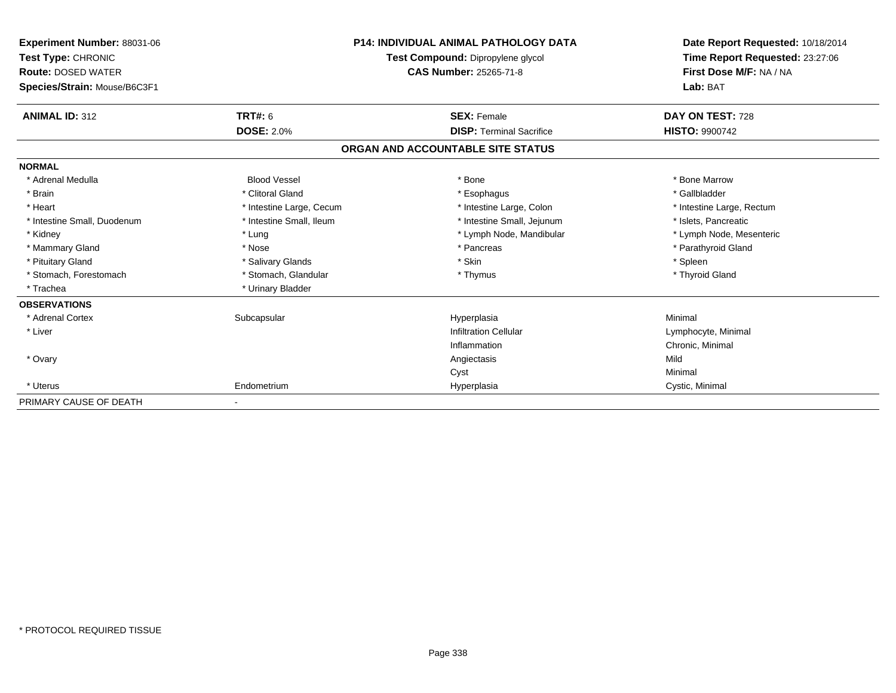| <b>Experiment Number: 88031-06</b><br>Test Type: CHRONIC<br><b>Route: DOSED WATER</b><br>Species/Strain: Mouse/B6C3F1 |                          | <b>P14: INDIVIDUAL ANIMAL PATHOLOGY DATA</b><br>Test Compound: Dipropylene glycol<br><b>CAS Number: 25265-71-8</b> | Date Report Requested: 10/18/2014<br>Time Report Requested: 23:27:06<br>First Dose M/F: NA / NA<br>Lab: BAT |
|-----------------------------------------------------------------------------------------------------------------------|--------------------------|--------------------------------------------------------------------------------------------------------------------|-------------------------------------------------------------------------------------------------------------|
| <b>ANIMAL ID: 312</b>                                                                                                 | <b>TRT#: 6</b>           | <b>SEX: Female</b>                                                                                                 | DAY ON TEST: 728                                                                                            |
|                                                                                                                       | <b>DOSE: 2.0%</b>        | <b>DISP: Terminal Sacrifice</b>                                                                                    | <b>HISTO: 9900742</b>                                                                                       |
|                                                                                                                       |                          | ORGAN AND ACCOUNTABLE SITE STATUS                                                                                  |                                                                                                             |
| <b>NORMAL</b>                                                                                                         |                          |                                                                                                                    |                                                                                                             |
| * Adrenal Medulla                                                                                                     | <b>Blood Vessel</b>      | * Bone                                                                                                             | * Bone Marrow                                                                                               |
| * Brain                                                                                                               | * Clitoral Gland         | * Esophagus                                                                                                        | * Gallbladder                                                                                               |
| * Heart                                                                                                               | * Intestine Large, Cecum | * Intestine Large, Colon                                                                                           | * Intestine Large, Rectum                                                                                   |
| * Intestine Small, Duodenum                                                                                           | * Intestine Small, Ileum | * Intestine Small, Jejunum                                                                                         | * Islets, Pancreatic                                                                                        |
| * Kidney                                                                                                              | * Lung                   | * Lymph Node, Mandibular                                                                                           | * Lymph Node, Mesenteric                                                                                    |
| * Mammary Gland                                                                                                       | * Nose                   | * Pancreas                                                                                                         | * Parathyroid Gland                                                                                         |
| * Pituitary Gland                                                                                                     | * Salivary Glands        | * Skin                                                                                                             | * Spleen                                                                                                    |
| * Stomach, Forestomach                                                                                                | * Stomach, Glandular     | * Thymus                                                                                                           | * Thyroid Gland                                                                                             |
| * Trachea                                                                                                             | * Urinary Bladder        |                                                                                                                    |                                                                                                             |
| <b>OBSERVATIONS</b>                                                                                                   |                          |                                                                                                                    |                                                                                                             |
| * Adrenal Cortex                                                                                                      | Subcapsular              | Hyperplasia                                                                                                        | Minimal                                                                                                     |
| * Liver                                                                                                               |                          | <b>Infiltration Cellular</b>                                                                                       | Lymphocyte, Minimal                                                                                         |
|                                                                                                                       |                          | Inflammation                                                                                                       | Chronic, Minimal                                                                                            |
| * Ovary                                                                                                               |                          | Angiectasis                                                                                                        | Mild                                                                                                        |
|                                                                                                                       |                          | Cyst                                                                                                               | Minimal                                                                                                     |
| * Uterus                                                                                                              | Endometrium              | Hyperplasia                                                                                                        | Cystic, Minimal                                                                                             |
| PRIMARY CAUSE OF DEATH                                                                                                |                          |                                                                                                                    |                                                                                                             |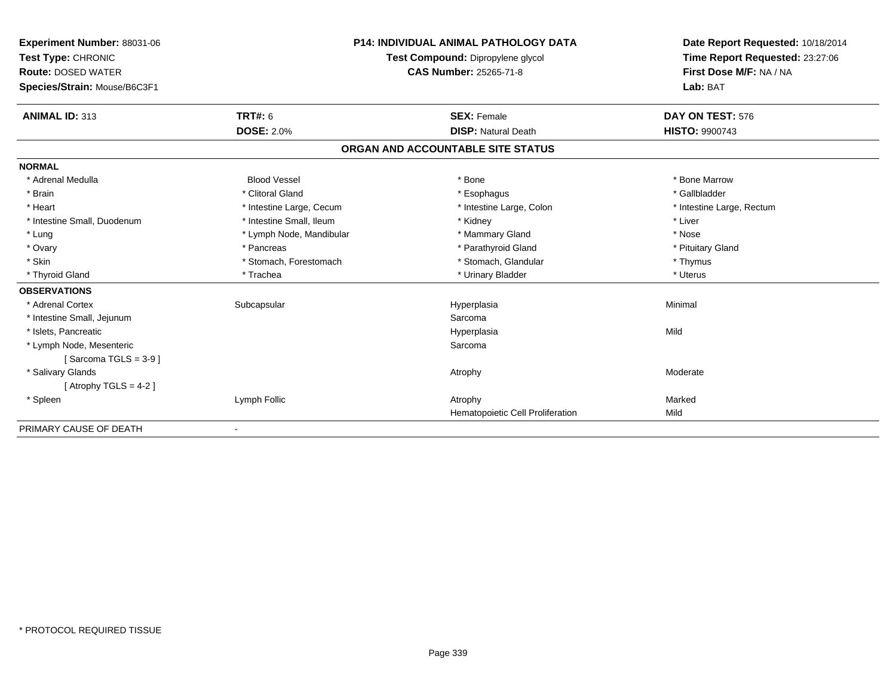| Experiment Number: 88031-06  |                          | <b>P14: INDIVIDUAL ANIMAL PATHOLOGY DATA</b> | Date Report Requested: 10/18/2014 |
|------------------------------|--------------------------|----------------------------------------------|-----------------------------------|
| Test Type: CHRONIC           |                          | Test Compound: Dipropylene glycol            | Time Report Requested: 23:27:06   |
| <b>Route: DOSED WATER</b>    |                          | CAS Number: 25265-71-8                       | First Dose M/F: NA / NA           |
| Species/Strain: Mouse/B6C3F1 |                          |                                              | Lab: BAT                          |
| <b>ANIMAL ID: 313</b>        | <b>TRT#: 6</b>           | <b>SEX: Female</b>                           | DAY ON TEST: 576                  |
|                              | <b>DOSE: 2.0%</b>        | <b>DISP: Natural Death</b>                   | HISTO: 9900743                    |
|                              |                          | ORGAN AND ACCOUNTABLE SITE STATUS            |                                   |
| <b>NORMAL</b>                |                          |                                              |                                   |
| * Adrenal Medulla            | <b>Blood Vessel</b>      | * Bone                                       | * Bone Marrow                     |
| * Brain                      | * Clitoral Gland         | * Esophagus                                  | * Gallbladder                     |
| * Heart                      | * Intestine Large, Cecum | * Intestine Large, Colon                     | * Intestine Large, Rectum         |
| * Intestine Small, Duodenum  | * Intestine Small, Ileum | * Kidney                                     | * Liver                           |
| * Lung                       | * Lymph Node, Mandibular | * Mammary Gland                              | * Nose                            |
| * Ovary                      | * Pancreas               | * Parathyroid Gland                          | * Pituitary Gland                 |
| * Skin                       | * Stomach, Forestomach   | * Stomach, Glandular                         | * Thymus                          |
| * Thyroid Gland              | * Trachea                | * Urinary Bladder                            | * Uterus                          |
| <b>OBSERVATIONS</b>          |                          |                                              |                                   |
| * Adrenal Cortex             | Subcapsular              | Hyperplasia                                  | Minimal                           |
| * Intestine Small, Jejunum   |                          | Sarcoma                                      |                                   |
| * Islets, Pancreatic         |                          | Hyperplasia                                  | Mild                              |
| * Lymph Node, Mesenteric     |                          | Sarcoma                                      |                                   |
| [Sarcoma TGLS = $3-9$ ]      |                          |                                              |                                   |
| * Salivary Glands            |                          | Atrophy                                      | Moderate                          |
| [Atrophy TGLS = $4-2$ ]      |                          |                                              |                                   |
| * Spleen                     | Lymph Follic             | Atrophy                                      | Marked                            |
|                              |                          | <b>Hematopoietic Cell Proliferation</b>      | Mild                              |
| PRIMARY CAUSE OF DEATH       | $\overline{\phantom{a}}$ |                                              |                                   |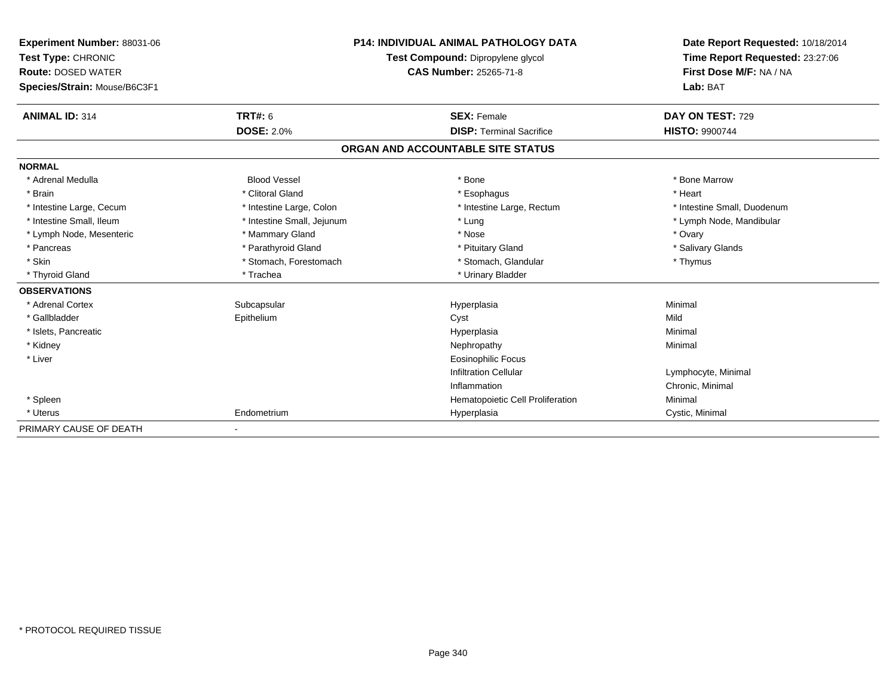| Experiment Number: 88031-06<br>Test Type: CHRONIC<br><b>Route: DOSED WATER</b><br>Species/Strain: Mouse/B6C3F1 |                            | <b>P14: INDIVIDUAL ANIMAL PATHOLOGY DATA</b><br>Test Compound: Dipropylene glycol<br><b>CAS Number: 25265-71-8</b> | Date Report Requested: 10/18/2014<br>Time Report Requested: 23:27:06<br>First Dose M/F: NA / NA<br>Lab: BAT |
|----------------------------------------------------------------------------------------------------------------|----------------------------|--------------------------------------------------------------------------------------------------------------------|-------------------------------------------------------------------------------------------------------------|
| <b>ANIMAL ID: 314</b>                                                                                          | <b>TRT#: 6</b>             | <b>SEX: Female</b>                                                                                                 | DAY ON TEST: 729                                                                                            |
|                                                                                                                | <b>DOSE: 2.0%</b>          | <b>DISP: Terminal Sacrifice</b>                                                                                    | <b>HISTO: 9900744</b>                                                                                       |
|                                                                                                                |                            | ORGAN AND ACCOUNTABLE SITE STATUS                                                                                  |                                                                                                             |
| <b>NORMAL</b>                                                                                                  |                            |                                                                                                                    |                                                                                                             |
| * Adrenal Medulla                                                                                              | <b>Blood Vessel</b>        | * Bone                                                                                                             | * Bone Marrow                                                                                               |
| * Brain                                                                                                        | * Clitoral Gland           | * Esophagus                                                                                                        | * Heart                                                                                                     |
| * Intestine Large, Cecum                                                                                       | * Intestine Large, Colon   | * Intestine Large, Rectum                                                                                          | * Intestine Small, Duodenum                                                                                 |
| * Intestine Small. Ileum                                                                                       | * Intestine Small, Jejunum | * Lung                                                                                                             | * Lymph Node, Mandibular                                                                                    |
| * Lymph Node, Mesenteric                                                                                       | * Mammary Gland            | * Nose                                                                                                             | * Ovary                                                                                                     |
| * Pancreas                                                                                                     | * Parathyroid Gland        | * Pituitary Gland                                                                                                  | * Salivary Glands                                                                                           |
| * Skin                                                                                                         | * Stomach, Forestomach     | * Stomach, Glandular                                                                                               | * Thymus                                                                                                    |
| * Thyroid Gland                                                                                                | * Trachea                  | * Urinary Bladder                                                                                                  |                                                                                                             |
| <b>OBSERVATIONS</b>                                                                                            |                            |                                                                                                                    |                                                                                                             |
| * Adrenal Cortex                                                                                               | Subcapsular                | Hyperplasia                                                                                                        | Minimal                                                                                                     |
| * Gallbladder                                                                                                  | Epithelium                 | Cyst                                                                                                               | Mild                                                                                                        |
| * Islets, Pancreatic                                                                                           |                            | Hyperplasia                                                                                                        | Minimal                                                                                                     |
| * Kidney                                                                                                       |                            | Nephropathy                                                                                                        | Minimal                                                                                                     |
| * Liver                                                                                                        |                            | <b>Eosinophilic Focus</b>                                                                                          |                                                                                                             |
|                                                                                                                |                            | <b>Infiltration Cellular</b>                                                                                       | Lymphocyte, Minimal                                                                                         |
|                                                                                                                |                            | Inflammation                                                                                                       | Chronic, Minimal                                                                                            |
| * Spleen                                                                                                       |                            | Hematopoietic Cell Proliferation                                                                                   | Minimal                                                                                                     |
| * Uterus                                                                                                       | Endometrium                | Hyperplasia                                                                                                        | Cystic, Minimal                                                                                             |
| PRIMARY CAUSE OF DEATH                                                                                         | $\blacksquare$             |                                                                                                                    |                                                                                                             |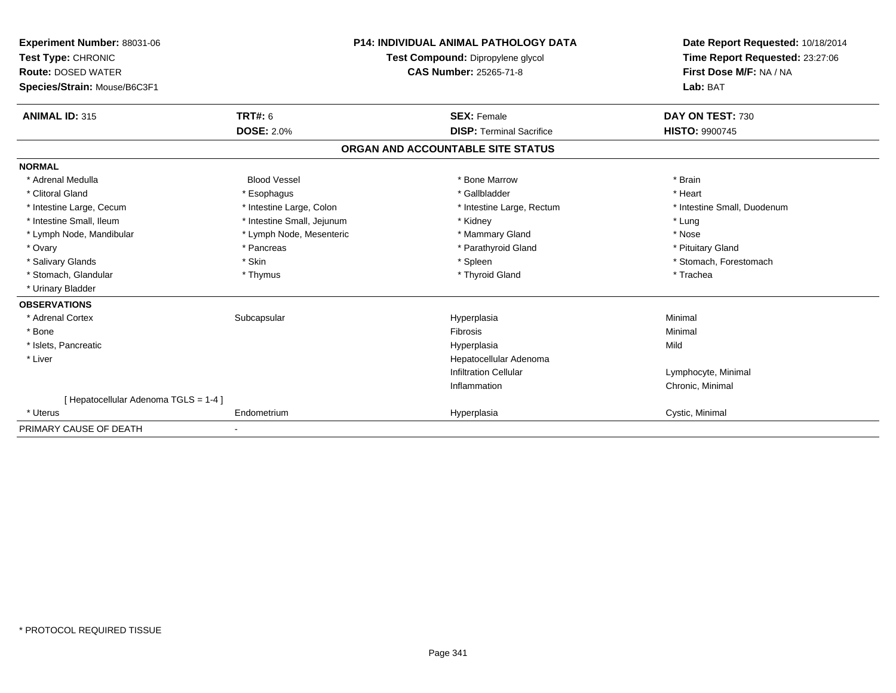| Experiment Number: 88031-06<br>Test Type: CHRONIC<br><b>Route: DOSED WATER</b><br>Species/Strain: Mouse/B6C3F1 |                            | <b>P14: INDIVIDUAL ANIMAL PATHOLOGY DATA</b><br>Test Compound: Dipropylene glycol<br>CAS Number: 25265-71-8 | Date Report Requested: 10/18/2014<br>Time Report Requested: 23:27:06<br>First Dose M/F: NA / NA<br>Lab: BAT |
|----------------------------------------------------------------------------------------------------------------|----------------------------|-------------------------------------------------------------------------------------------------------------|-------------------------------------------------------------------------------------------------------------|
| <b>ANIMAL ID: 315</b>                                                                                          | TRT#: 6                    | <b>SEX: Female</b>                                                                                          | DAY ON TEST: 730                                                                                            |
|                                                                                                                | <b>DOSE: 2.0%</b>          | <b>DISP: Terminal Sacrifice</b>                                                                             | <b>HISTO: 9900745</b>                                                                                       |
|                                                                                                                |                            | ORGAN AND ACCOUNTABLE SITE STATUS                                                                           |                                                                                                             |
| <b>NORMAL</b>                                                                                                  |                            |                                                                                                             |                                                                                                             |
| * Adrenal Medulla                                                                                              | <b>Blood Vessel</b>        | * Bone Marrow                                                                                               | * Brain                                                                                                     |
| * Clitoral Gland                                                                                               | * Esophagus                | * Gallbladder                                                                                               | * Heart                                                                                                     |
| * Intestine Large, Cecum                                                                                       | * Intestine Large, Colon   | * Intestine Large, Rectum                                                                                   | * Intestine Small, Duodenum                                                                                 |
| * Intestine Small, Ileum                                                                                       | * Intestine Small, Jejunum | * Kidney                                                                                                    | * Lung                                                                                                      |
| * Lymph Node, Mandibular                                                                                       | * Lymph Node, Mesenteric   | * Mammary Gland                                                                                             | * Nose                                                                                                      |
| * Ovary                                                                                                        | * Pancreas                 | * Parathyroid Gland                                                                                         | * Pituitary Gland                                                                                           |
| * Salivary Glands                                                                                              | * Skin                     | * Spleen                                                                                                    | * Stomach, Forestomach                                                                                      |
| * Stomach, Glandular                                                                                           | * Thymus                   | * Thyroid Gland                                                                                             | * Trachea                                                                                                   |
| * Urinary Bladder                                                                                              |                            |                                                                                                             |                                                                                                             |
| <b>OBSERVATIONS</b>                                                                                            |                            |                                                                                                             |                                                                                                             |
| * Adrenal Cortex                                                                                               | Subcapsular                | Hyperplasia                                                                                                 | Minimal                                                                                                     |
| * Bone                                                                                                         |                            | <b>Fibrosis</b>                                                                                             | Minimal                                                                                                     |
| * Islets, Pancreatic                                                                                           |                            | Hyperplasia                                                                                                 | Mild                                                                                                        |
| * Liver                                                                                                        |                            | Hepatocellular Adenoma                                                                                      |                                                                                                             |
|                                                                                                                |                            | <b>Infiltration Cellular</b>                                                                                | Lymphocyte, Minimal                                                                                         |
|                                                                                                                |                            | Inflammation                                                                                                | Chronic, Minimal                                                                                            |
| [ Hepatocellular Adenoma TGLS = 1-4 ]                                                                          |                            |                                                                                                             |                                                                                                             |
| * Uterus                                                                                                       | Endometrium                | Hyperplasia                                                                                                 | Cystic, Minimal                                                                                             |
| PRIMARY CAUSE OF DEATH                                                                                         |                            |                                                                                                             |                                                                                                             |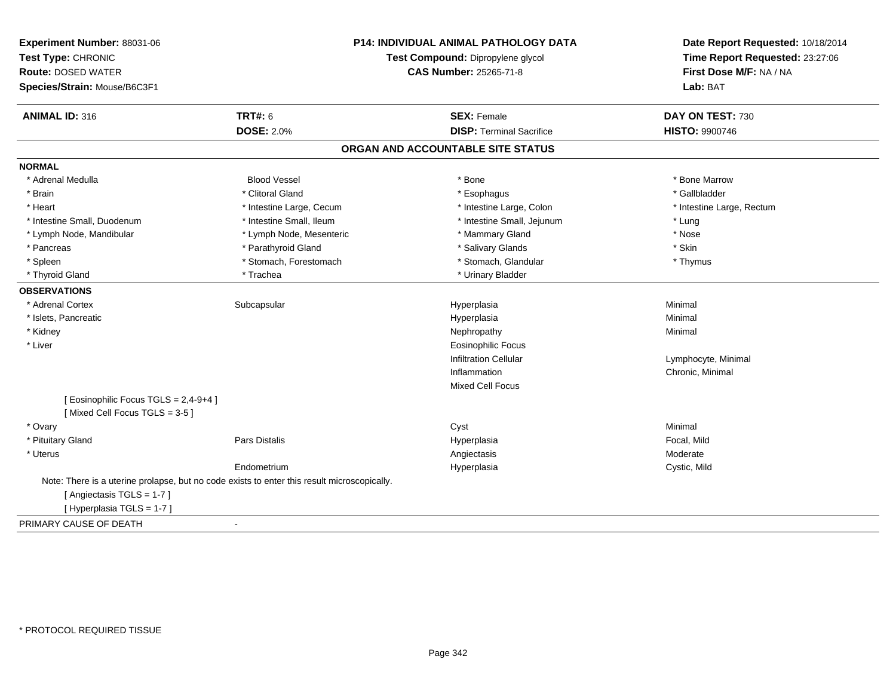| Experiment Number: 88031-06<br>Test Type: CHRONIC<br><b>Route: DOSED WATER</b><br>Species/Strain: Mouse/B6C3F1 |                                                                                             | P14: INDIVIDUAL ANIMAL PATHOLOGY DATA<br>Test Compound: Dipropylene glycol<br><b>CAS Number: 25265-71-8</b> | Date Report Requested: 10/18/2014<br>Time Report Requested: 23:27:06<br>First Dose M/F: NA / NA<br>Lab: BAT |
|----------------------------------------------------------------------------------------------------------------|---------------------------------------------------------------------------------------------|-------------------------------------------------------------------------------------------------------------|-------------------------------------------------------------------------------------------------------------|
| <b>ANIMAL ID: 316</b>                                                                                          | <b>TRT#: 6</b>                                                                              | <b>SEX: Female</b>                                                                                          | DAY ON TEST: 730                                                                                            |
|                                                                                                                | <b>DOSE: 2.0%</b>                                                                           | <b>DISP: Terminal Sacrifice</b>                                                                             | <b>HISTO: 9900746</b>                                                                                       |
|                                                                                                                |                                                                                             | ORGAN AND ACCOUNTABLE SITE STATUS                                                                           |                                                                                                             |
| <b>NORMAL</b>                                                                                                  |                                                                                             |                                                                                                             |                                                                                                             |
| * Adrenal Medulla                                                                                              | <b>Blood Vessel</b>                                                                         | * Bone                                                                                                      | * Bone Marrow                                                                                               |
| * Brain                                                                                                        | * Clitoral Gland                                                                            | * Esophagus                                                                                                 | * Gallbladder                                                                                               |
| * Heart                                                                                                        | * Intestine Large, Cecum                                                                    | * Intestine Large, Colon                                                                                    | * Intestine Large, Rectum                                                                                   |
| * Intestine Small, Duodenum                                                                                    | * Intestine Small, Ileum                                                                    | * Intestine Small, Jejunum                                                                                  | * Lung                                                                                                      |
| * Lymph Node, Mandibular                                                                                       | * Lymph Node, Mesenteric                                                                    | * Mammary Gland                                                                                             | * Nose                                                                                                      |
| * Pancreas                                                                                                     | * Parathyroid Gland                                                                         | * Salivary Glands                                                                                           | * Skin                                                                                                      |
| * Spleen                                                                                                       | * Stomach, Forestomach                                                                      | * Stomach, Glandular                                                                                        | * Thymus                                                                                                    |
| * Thyroid Gland                                                                                                | * Trachea                                                                                   | * Urinary Bladder                                                                                           |                                                                                                             |
| <b>OBSERVATIONS</b>                                                                                            |                                                                                             |                                                                                                             |                                                                                                             |
| * Adrenal Cortex                                                                                               | Subcapsular                                                                                 | Hyperplasia                                                                                                 | Minimal                                                                                                     |
| * Islets, Pancreatic                                                                                           |                                                                                             | Hyperplasia                                                                                                 | Minimal                                                                                                     |
| * Kidney                                                                                                       |                                                                                             | Nephropathy                                                                                                 | Minimal                                                                                                     |
| * Liver                                                                                                        |                                                                                             | <b>Eosinophilic Focus</b>                                                                                   |                                                                                                             |
|                                                                                                                |                                                                                             | <b>Infiltration Cellular</b>                                                                                | Lymphocyte, Minimal                                                                                         |
|                                                                                                                |                                                                                             | Inflammation                                                                                                | Chronic, Minimal                                                                                            |
|                                                                                                                |                                                                                             | Mixed Cell Focus                                                                                            |                                                                                                             |
| [ Eosinophilic Focus TGLS = 2,4-9+4 ]<br>[Mixed Cell Focus TGLS = 3-5]                                         |                                                                                             |                                                                                                             |                                                                                                             |
| * Ovary                                                                                                        |                                                                                             | Cyst                                                                                                        | Minimal                                                                                                     |
| * Pituitary Gland                                                                                              | Pars Distalis                                                                               | Hyperplasia                                                                                                 | Focal, Mild                                                                                                 |
| * Uterus                                                                                                       |                                                                                             | Angiectasis                                                                                                 | Moderate                                                                                                    |
|                                                                                                                | Endometrium                                                                                 | Hyperplasia                                                                                                 | Cystic, Mild                                                                                                |
| [ Angiectasis TGLS = 1-7 ]                                                                                     | Note: There is a uterine prolapse, but no code exists to enter this result microscopically. |                                                                                                             |                                                                                                             |
| [Hyperplasia TGLS = 1-7]                                                                                       |                                                                                             |                                                                                                             |                                                                                                             |
| PRIMARY CAUSE OF DEATH                                                                                         | $\blacksquare$                                                                              |                                                                                                             |                                                                                                             |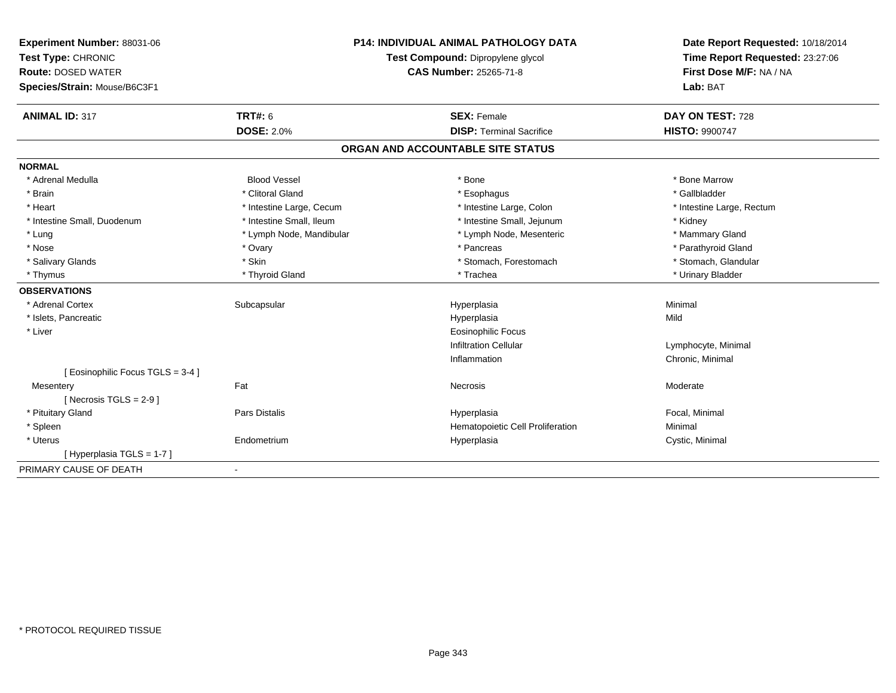| <b>Experiment Number: 88031-06</b><br>Test Type: CHRONIC<br><b>Route: DOSED WATER</b><br>Species/Strain: Mouse/B6C3F1 |                          | <b>P14: INDIVIDUAL ANIMAL PATHOLOGY DATA</b><br>Test Compound: Dipropylene glycol<br>CAS Number: 25265-71-8 | Date Report Requested: 10/18/2014<br>Time Report Requested: 23:27:06<br>First Dose M/F: NA / NA<br>Lab: BAT |
|-----------------------------------------------------------------------------------------------------------------------|--------------------------|-------------------------------------------------------------------------------------------------------------|-------------------------------------------------------------------------------------------------------------|
| <b>ANIMAL ID: 317</b>                                                                                                 | <b>TRT#: 6</b>           | <b>SEX: Female</b>                                                                                          | DAY ON TEST: 728                                                                                            |
|                                                                                                                       | <b>DOSE: 2.0%</b>        | <b>DISP: Terminal Sacrifice</b>                                                                             | <b>HISTO: 9900747</b>                                                                                       |
|                                                                                                                       |                          | ORGAN AND ACCOUNTABLE SITE STATUS                                                                           |                                                                                                             |
| <b>NORMAL</b>                                                                                                         |                          |                                                                                                             |                                                                                                             |
| * Adrenal Medulla                                                                                                     | <b>Blood Vessel</b>      | * Bone                                                                                                      | * Bone Marrow                                                                                               |
| * Brain                                                                                                               | * Clitoral Gland         | * Esophagus                                                                                                 | * Gallbladder                                                                                               |
| * Heart                                                                                                               | * Intestine Large, Cecum | * Intestine Large, Colon                                                                                    | * Intestine Large, Rectum                                                                                   |
| * Intestine Small, Duodenum                                                                                           | * Intestine Small, Ileum | * Intestine Small, Jejunum                                                                                  | * Kidney                                                                                                    |
| * Lung                                                                                                                | * Lymph Node, Mandibular | * Lymph Node, Mesenteric                                                                                    | * Mammary Gland                                                                                             |
| * Nose                                                                                                                | * Ovary                  | * Pancreas                                                                                                  | * Parathyroid Gland                                                                                         |
| * Salivary Glands                                                                                                     | * Skin                   | * Stomach, Forestomach                                                                                      | * Stomach, Glandular                                                                                        |
| * Thymus                                                                                                              | * Thyroid Gland          | * Trachea                                                                                                   | * Urinary Bladder                                                                                           |
| <b>OBSERVATIONS</b>                                                                                                   |                          |                                                                                                             |                                                                                                             |
| * Adrenal Cortex                                                                                                      | Subcapsular              | Hyperplasia                                                                                                 | Minimal                                                                                                     |
| * Islets, Pancreatic                                                                                                  |                          | Hyperplasia                                                                                                 | Mild                                                                                                        |
| * Liver                                                                                                               |                          | <b>Eosinophilic Focus</b>                                                                                   |                                                                                                             |
|                                                                                                                       |                          | <b>Infiltration Cellular</b>                                                                                | Lymphocyte, Minimal                                                                                         |
|                                                                                                                       |                          | Inflammation                                                                                                | Chronic, Minimal                                                                                            |
| [ Eosinophilic Focus TGLS = 3-4 ]                                                                                     |                          |                                                                                                             |                                                                                                             |
| Mesentery                                                                                                             | Fat                      | Necrosis                                                                                                    | Moderate                                                                                                    |
| [ Necrosis TGLS = $2-9$ ]                                                                                             |                          |                                                                                                             |                                                                                                             |
| * Pituitary Gland                                                                                                     | Pars Distalis            | Hyperplasia                                                                                                 | Focal, Minimal                                                                                              |
| * Spleen                                                                                                              |                          | Hematopoietic Cell Proliferation                                                                            | Minimal                                                                                                     |
| * Uterus                                                                                                              | Endometrium              | Hyperplasia                                                                                                 | Cystic, Minimal                                                                                             |
| [Hyperplasia TGLS = 1-7]                                                                                              |                          |                                                                                                             |                                                                                                             |
| PRIMARY CAUSE OF DEATH                                                                                                | $\blacksquare$           |                                                                                                             |                                                                                                             |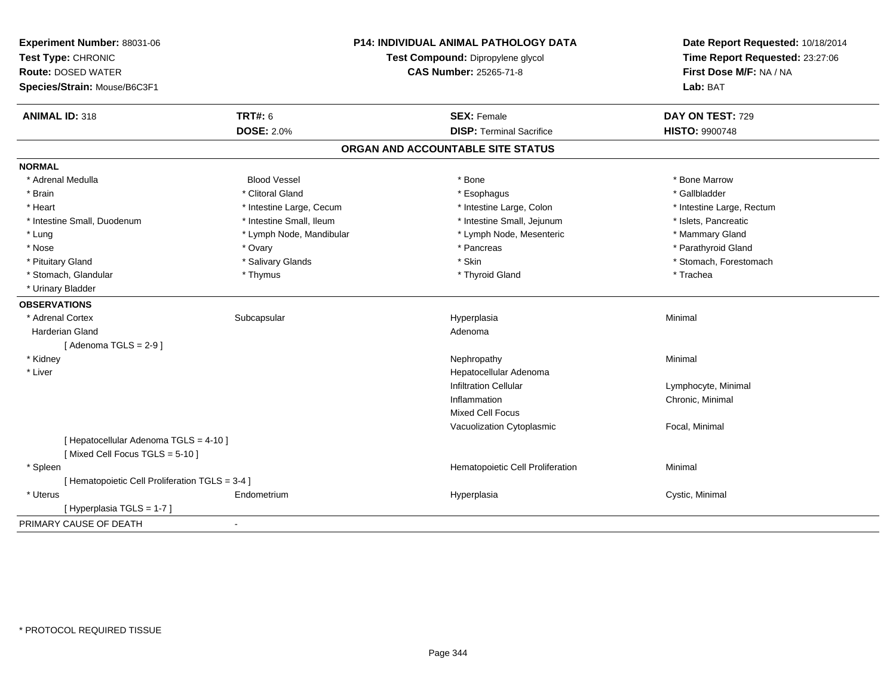| Experiment Number: 88031-06<br>Test Type: CHRONIC<br><b>Route: DOSED WATER</b><br>Species/Strain: Mouse/B6C3F1 |                          | P14: INDIVIDUAL ANIMAL PATHOLOGY DATA<br>Test Compound: Dipropylene glycol<br><b>CAS Number: 25265-71-8</b> | Date Report Requested: 10/18/2014<br>Time Report Requested: 23:27:06<br>First Dose M/F: NA / NA<br>Lab: BAT |
|----------------------------------------------------------------------------------------------------------------|--------------------------|-------------------------------------------------------------------------------------------------------------|-------------------------------------------------------------------------------------------------------------|
| <b>ANIMAL ID: 318</b>                                                                                          | <b>TRT#: 6</b>           | <b>SEX: Female</b>                                                                                          | DAY ON TEST: 729                                                                                            |
|                                                                                                                | <b>DOSE: 2.0%</b>        | <b>DISP: Terminal Sacrifice</b>                                                                             | <b>HISTO: 9900748</b>                                                                                       |
|                                                                                                                |                          | ORGAN AND ACCOUNTABLE SITE STATUS                                                                           |                                                                                                             |
| <b>NORMAL</b>                                                                                                  |                          |                                                                                                             |                                                                                                             |
| * Adrenal Medulla                                                                                              | <b>Blood Vessel</b>      | * Bone                                                                                                      | * Bone Marrow                                                                                               |
| * Brain                                                                                                        | * Clitoral Gland         | * Esophagus                                                                                                 | * Gallbladder                                                                                               |
| * Heart                                                                                                        | * Intestine Large, Cecum | * Intestine Large, Colon                                                                                    | * Intestine Large, Rectum                                                                                   |
| * Intestine Small, Duodenum                                                                                    | * Intestine Small, Ileum | * Intestine Small, Jejunum                                                                                  | * Islets, Pancreatic                                                                                        |
| * Lung                                                                                                         | * Lymph Node, Mandibular | * Lymph Node, Mesenteric                                                                                    | * Mammary Gland                                                                                             |
| * Nose                                                                                                         | * Ovary                  | * Pancreas                                                                                                  | * Parathyroid Gland                                                                                         |
| * Pituitary Gland                                                                                              | * Salivary Glands        | * Skin                                                                                                      | * Stomach, Forestomach                                                                                      |
| * Stomach, Glandular                                                                                           | * Thymus                 | * Thyroid Gland                                                                                             | * Trachea                                                                                                   |
| * Urinary Bladder                                                                                              |                          |                                                                                                             |                                                                                                             |
| <b>OBSERVATIONS</b>                                                                                            |                          |                                                                                                             |                                                                                                             |
| * Adrenal Cortex                                                                                               | Subcapsular              | Hyperplasia                                                                                                 | Minimal                                                                                                     |
| <b>Harderian Gland</b>                                                                                         |                          | Adenoma                                                                                                     |                                                                                                             |
| [Adenoma TGLS = $2-9$ ]                                                                                        |                          |                                                                                                             |                                                                                                             |
| * Kidney                                                                                                       |                          | Nephropathy                                                                                                 | Minimal                                                                                                     |
| * Liver                                                                                                        |                          | Hepatocellular Adenoma                                                                                      |                                                                                                             |
|                                                                                                                |                          | <b>Infiltration Cellular</b>                                                                                | Lymphocyte, Minimal                                                                                         |
|                                                                                                                |                          | Inflammation                                                                                                | Chronic, Minimal                                                                                            |
|                                                                                                                |                          | Mixed Cell Focus                                                                                            |                                                                                                             |
|                                                                                                                |                          | Vacuolization Cytoplasmic                                                                                   | Focal, Minimal                                                                                              |
| [ Hepatocellular Adenoma TGLS = 4-10 ]                                                                         |                          |                                                                                                             |                                                                                                             |
| [Mixed Cell Focus TGLS = 5-10]                                                                                 |                          |                                                                                                             |                                                                                                             |
| * Spleen                                                                                                       |                          | Hematopoietic Cell Proliferation                                                                            | Minimal                                                                                                     |
| [ Hematopoietic Cell Proliferation TGLS = 3-4 ]                                                                |                          |                                                                                                             |                                                                                                             |
| * Uterus                                                                                                       | Endometrium              | Hyperplasia                                                                                                 | Cystic, Minimal                                                                                             |
| [ Hyperplasia TGLS = 1-7 ]                                                                                     |                          |                                                                                                             |                                                                                                             |
| PRIMARY CAUSE OF DEATH                                                                                         |                          |                                                                                                             |                                                                                                             |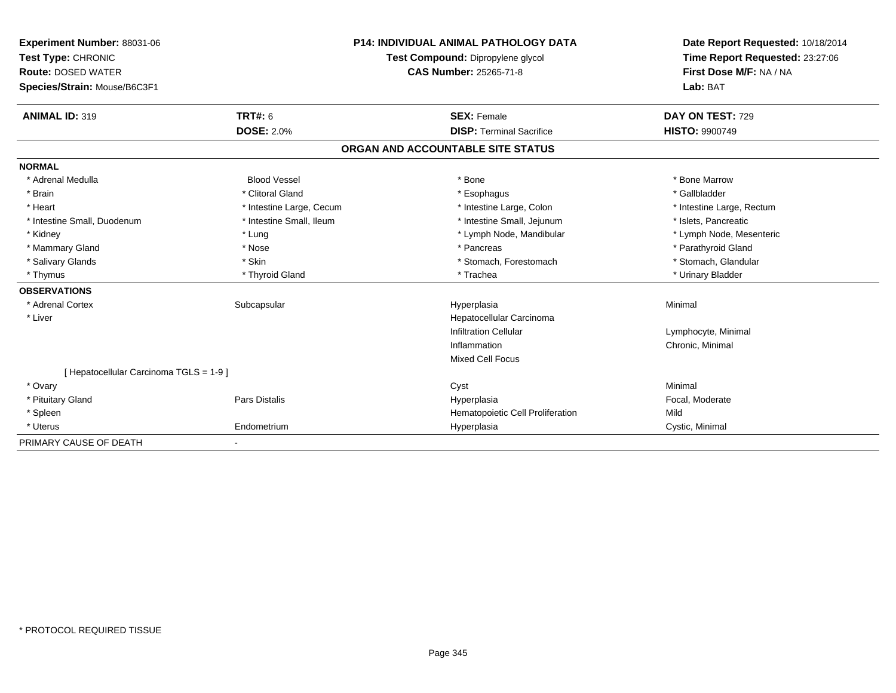| Experiment Number: 88031-06<br>Test Type: CHRONIC<br><b>Route: DOSED WATER</b><br>Species/Strain: Mouse/B6C3F1<br><b>ANIMAL ID: 319</b> | <b>TRT#: 6</b>           | <b>P14: INDIVIDUAL ANIMAL PATHOLOGY DATA</b><br>Test Compound: Dipropylene glycol<br><b>CAS Number: 25265-71-8</b><br><b>SEX: Female</b> | Date Report Requested: 10/18/2014<br>Time Report Requested: 23:27:06<br>First Dose M/F: NA / NA<br>Lab: BAT<br>DAY ON TEST: 729 |
|-----------------------------------------------------------------------------------------------------------------------------------------|--------------------------|------------------------------------------------------------------------------------------------------------------------------------------|---------------------------------------------------------------------------------------------------------------------------------|
|                                                                                                                                         | <b>DOSE: 2.0%</b>        | <b>DISP: Terminal Sacrifice</b>                                                                                                          | <b>HISTO: 9900749</b>                                                                                                           |
|                                                                                                                                         |                          | ORGAN AND ACCOUNTABLE SITE STATUS                                                                                                        |                                                                                                                                 |
| <b>NORMAL</b>                                                                                                                           |                          |                                                                                                                                          |                                                                                                                                 |
| * Adrenal Medulla                                                                                                                       | <b>Blood Vessel</b>      | * Bone                                                                                                                                   | * Bone Marrow                                                                                                                   |
| * Brain                                                                                                                                 | * Clitoral Gland         | * Esophagus                                                                                                                              | * Gallbladder                                                                                                                   |
| * Heart                                                                                                                                 | * Intestine Large, Cecum | * Intestine Large, Colon                                                                                                                 | * Intestine Large, Rectum                                                                                                       |
| * Intestine Small, Duodenum                                                                                                             | * Intestine Small, Ileum | * Intestine Small, Jejunum                                                                                                               | * Islets, Pancreatic                                                                                                            |
| * Kidney                                                                                                                                | * Lung                   | * Lymph Node, Mandibular                                                                                                                 | * Lymph Node, Mesenteric                                                                                                        |
| * Mammary Gland                                                                                                                         | * Nose                   | * Pancreas                                                                                                                               | * Parathyroid Gland                                                                                                             |
| * Salivary Glands                                                                                                                       | * Skin                   | * Stomach, Forestomach                                                                                                                   | * Stomach, Glandular                                                                                                            |
| * Thymus                                                                                                                                | * Thyroid Gland          | * Trachea                                                                                                                                | * Urinary Bladder                                                                                                               |
| <b>OBSERVATIONS</b>                                                                                                                     |                          |                                                                                                                                          |                                                                                                                                 |
| * Adrenal Cortex                                                                                                                        | Subcapsular              | Hyperplasia                                                                                                                              | Minimal                                                                                                                         |
| * Liver                                                                                                                                 |                          | Hepatocellular Carcinoma                                                                                                                 |                                                                                                                                 |
|                                                                                                                                         |                          | <b>Infiltration Cellular</b>                                                                                                             | Lymphocyte, Minimal                                                                                                             |
|                                                                                                                                         |                          | Inflammation                                                                                                                             | Chronic, Minimal                                                                                                                |
|                                                                                                                                         |                          | Mixed Cell Focus                                                                                                                         |                                                                                                                                 |
| [ Hepatocellular Carcinoma TGLS = 1-9 ]                                                                                                 |                          |                                                                                                                                          |                                                                                                                                 |
| * Ovary                                                                                                                                 |                          | Cyst                                                                                                                                     | Minimal                                                                                                                         |
| * Pituitary Gland                                                                                                                       | Pars Distalis            | Hyperplasia                                                                                                                              | Focal, Moderate                                                                                                                 |
| * Spleen                                                                                                                                |                          | Hematopoietic Cell Proliferation                                                                                                         | Mild                                                                                                                            |
| * Uterus                                                                                                                                | Endometrium              | Hyperplasia                                                                                                                              | Cystic, Minimal                                                                                                                 |
| PRIMARY CAUSE OF DEATH                                                                                                                  | $\overline{\phantom{a}}$ |                                                                                                                                          |                                                                                                                                 |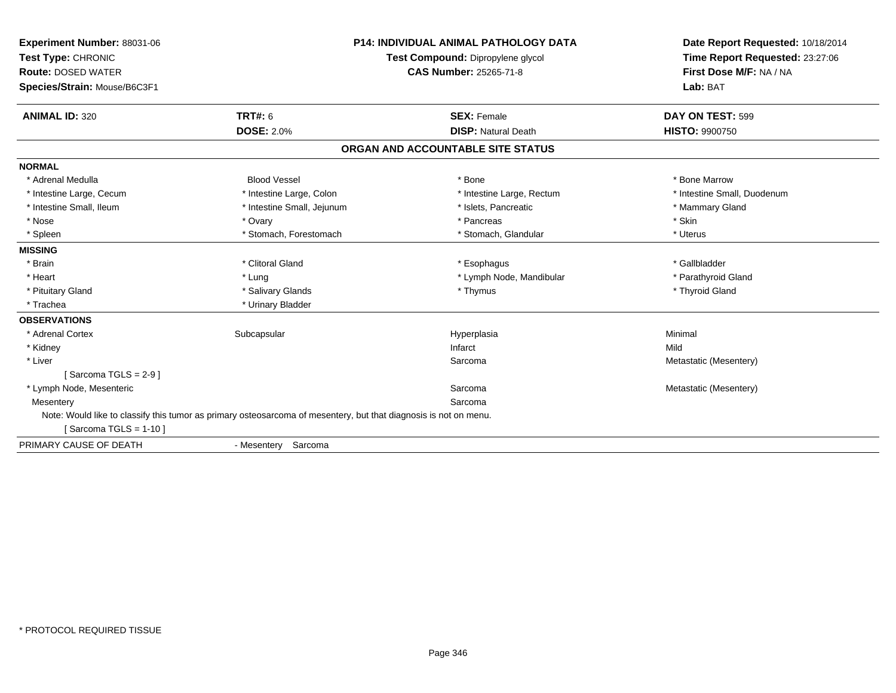| Experiment Number: 88031-06                                                                                      |                            | <b>P14: INDIVIDUAL ANIMAL PATHOLOGY DATA</b> | Date Report Requested: 10/18/2014 |
|------------------------------------------------------------------------------------------------------------------|----------------------------|----------------------------------------------|-----------------------------------|
| Test Type: CHRONIC                                                                                               |                            | Test Compound: Dipropylene glycol            | Time Report Requested: 23:27:06   |
| <b>Route: DOSED WATER</b>                                                                                        |                            | <b>CAS Number: 25265-71-8</b>                | First Dose M/F: NA / NA           |
| Species/Strain: Mouse/B6C3F1                                                                                     |                            |                                              | Lab: BAT                          |
| <b>ANIMAL ID: 320</b>                                                                                            | TRT#: 6                    | <b>SEX: Female</b>                           | DAY ON TEST: 599                  |
|                                                                                                                  | <b>DOSE: 2.0%</b>          | <b>DISP: Natural Death</b>                   | <b>HISTO: 9900750</b>             |
|                                                                                                                  |                            | ORGAN AND ACCOUNTABLE SITE STATUS            |                                   |
| <b>NORMAL</b>                                                                                                    |                            |                                              |                                   |
| * Adrenal Medulla                                                                                                | <b>Blood Vessel</b>        | * Bone                                       | * Bone Marrow                     |
| * Intestine Large, Cecum                                                                                         | * Intestine Large, Colon   | * Intestine Large, Rectum                    | * Intestine Small, Duodenum       |
| * Intestine Small, Ileum                                                                                         | * Intestine Small, Jejunum | * Islets, Pancreatic                         | * Mammary Gland                   |
| * Nose                                                                                                           | * Ovary                    | * Pancreas                                   | * Skin                            |
| * Spleen                                                                                                         | * Stomach, Forestomach     | * Stomach, Glandular                         | * Uterus                          |
| <b>MISSING</b>                                                                                                   |                            |                                              |                                   |
| * Brain                                                                                                          | * Clitoral Gland           | * Esophagus                                  | * Gallbladder                     |
| * Heart                                                                                                          | * Lung                     | * Lymph Node, Mandibular                     | * Parathyroid Gland               |
| * Pituitary Gland                                                                                                | * Salivary Glands          | * Thymus                                     | * Thyroid Gland                   |
| * Trachea                                                                                                        | * Urinary Bladder          |                                              |                                   |
| <b>OBSERVATIONS</b>                                                                                              |                            |                                              |                                   |
| * Adrenal Cortex                                                                                                 | Subcapsular                | Hyperplasia                                  | Minimal                           |
| * Kidney                                                                                                         |                            | Infarct                                      | Mild                              |
| * Liver                                                                                                          |                            | Sarcoma                                      | Metastatic (Mesentery)            |
| [Sarcoma TGLS = $2-9$ ]                                                                                          |                            |                                              |                                   |
| * Lymph Node, Mesenteric                                                                                         |                            | Sarcoma                                      | Metastatic (Mesentery)            |
| Mesentery                                                                                                        |                            | Sarcoma                                      |                                   |
| Note: Would like to classify this tumor as primary osteosarcoma of mesentery, but that diagnosis is not on menu. |                            |                                              |                                   |
| [Sarcoma TGLS = $1-10$ ]                                                                                         |                            |                                              |                                   |
| PRIMARY CAUSE OF DEATH                                                                                           | - Mesentery Sarcoma        |                                              |                                   |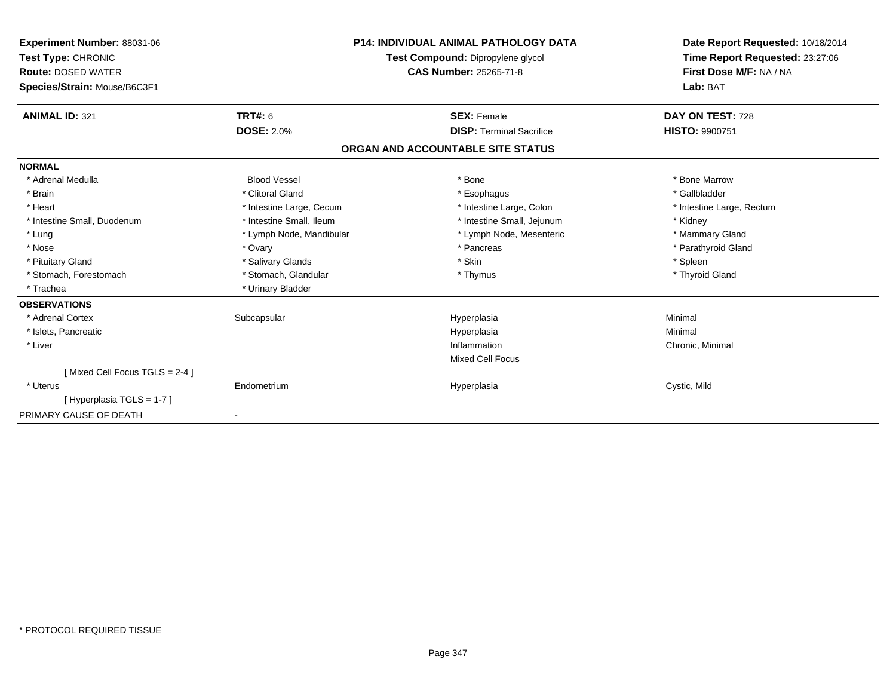| Experiment Number: 88031-06<br>Test Type: CHRONIC<br><b>Route: DOSED WATER</b><br>Species/Strain: Mouse/B6C3F1 |                          | <b>P14: INDIVIDUAL ANIMAL PATHOLOGY DATA</b><br>Test Compound: Dipropylene glycol<br>CAS Number: 25265-71-8 | Date Report Requested: 10/18/2014<br>Time Report Requested: 23:27:06<br>First Dose M/F: NA / NA<br>Lab: BAT |
|----------------------------------------------------------------------------------------------------------------|--------------------------|-------------------------------------------------------------------------------------------------------------|-------------------------------------------------------------------------------------------------------------|
| <b>ANIMAL ID: 321</b>                                                                                          | TRT#: 6                  | <b>SEX: Female</b>                                                                                          | DAY ON TEST: 728                                                                                            |
|                                                                                                                | <b>DOSE: 2.0%</b>        | <b>DISP: Terminal Sacrifice</b>                                                                             | <b>HISTO: 9900751</b>                                                                                       |
|                                                                                                                |                          | ORGAN AND ACCOUNTABLE SITE STATUS                                                                           |                                                                                                             |
| <b>NORMAL</b>                                                                                                  |                          |                                                                                                             |                                                                                                             |
| * Adrenal Medulla                                                                                              | <b>Blood Vessel</b>      | * Bone                                                                                                      | * Bone Marrow                                                                                               |
| * Brain                                                                                                        | * Clitoral Gland         | * Esophagus                                                                                                 | * Gallbladder                                                                                               |
| * Heart                                                                                                        | * Intestine Large, Cecum | * Intestine Large, Colon                                                                                    | * Intestine Large, Rectum                                                                                   |
| * Intestine Small, Duodenum                                                                                    | * Intestine Small, Ileum | * Intestine Small, Jejunum                                                                                  | * Kidney                                                                                                    |
| * Lung                                                                                                         | * Lymph Node, Mandibular | * Lymph Node, Mesenteric                                                                                    | * Mammary Gland                                                                                             |
| * Nose                                                                                                         | * Ovary                  | * Pancreas                                                                                                  | * Parathyroid Gland                                                                                         |
| * Pituitary Gland                                                                                              | * Salivary Glands        | * Skin                                                                                                      | * Spleen                                                                                                    |
| * Stomach, Forestomach                                                                                         | * Stomach, Glandular     | * Thymus                                                                                                    | * Thyroid Gland                                                                                             |
| * Trachea                                                                                                      | * Urinary Bladder        |                                                                                                             |                                                                                                             |
| <b>OBSERVATIONS</b>                                                                                            |                          |                                                                                                             |                                                                                                             |
| * Adrenal Cortex                                                                                               | Subcapsular              | Hyperplasia                                                                                                 | Minimal                                                                                                     |
| * Islets, Pancreatic                                                                                           |                          | Hyperplasia                                                                                                 | Minimal                                                                                                     |
| * Liver                                                                                                        |                          | Inflammation                                                                                                | Chronic, Minimal                                                                                            |
|                                                                                                                |                          | <b>Mixed Cell Focus</b>                                                                                     |                                                                                                             |
| [Mixed Cell Focus TGLS = 2-4]                                                                                  |                          |                                                                                                             |                                                                                                             |
| * Uterus                                                                                                       | Endometrium              | Hyperplasia                                                                                                 | Cystic, Mild                                                                                                |
| [Hyperplasia TGLS = 1-7]                                                                                       |                          |                                                                                                             |                                                                                                             |
| PRIMARY CAUSE OF DEATH                                                                                         |                          |                                                                                                             |                                                                                                             |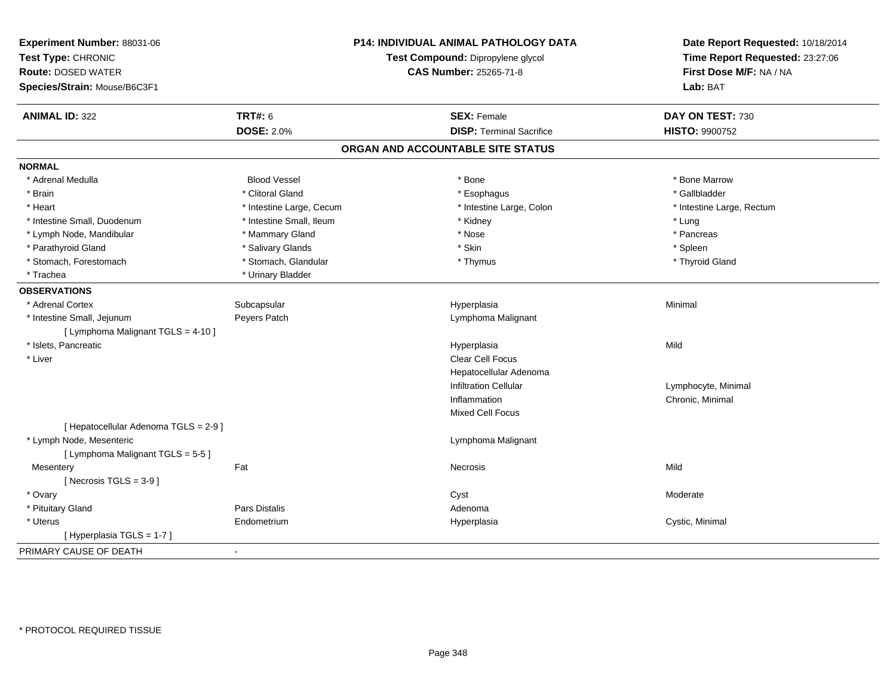| Experiment Number: 88031-06<br>Test Type: CHRONIC<br><b>Route: DOSED WATER</b><br>Species/Strain: Mouse/B6C3F1 |                          | P14: INDIVIDUAL ANIMAL PATHOLOGY DATA<br>Test Compound: Dipropylene glycol<br><b>CAS Number: 25265-71-8</b> | Date Report Requested: 10/18/2014<br>Time Report Requested: 23:27:06<br>First Dose M/F: NA / NA<br>Lab: BAT |
|----------------------------------------------------------------------------------------------------------------|--------------------------|-------------------------------------------------------------------------------------------------------------|-------------------------------------------------------------------------------------------------------------|
| <b>ANIMAL ID: 322</b>                                                                                          | <b>TRT#: 6</b>           | <b>SEX: Female</b>                                                                                          | DAY ON TEST: 730                                                                                            |
|                                                                                                                | <b>DOSE: 2.0%</b>        | <b>DISP: Terminal Sacrifice</b>                                                                             | HISTO: 9900752                                                                                              |
|                                                                                                                |                          | ORGAN AND ACCOUNTABLE SITE STATUS                                                                           |                                                                                                             |
| <b>NORMAL</b>                                                                                                  |                          |                                                                                                             |                                                                                                             |
| * Adrenal Medulla                                                                                              | <b>Blood Vessel</b>      | * Bone                                                                                                      | * Bone Marrow                                                                                               |
| * Brain                                                                                                        | * Clitoral Gland         | * Esophagus                                                                                                 | * Gallbladder                                                                                               |
| * Heart                                                                                                        | * Intestine Large, Cecum | * Intestine Large, Colon                                                                                    | * Intestine Large, Rectum                                                                                   |
| * Intestine Small, Duodenum                                                                                    | * Intestine Small, Ileum | * Kidney                                                                                                    | * Lung                                                                                                      |
| * Lymph Node, Mandibular                                                                                       | * Mammary Gland          | * Nose                                                                                                      | * Pancreas                                                                                                  |
| * Parathyroid Gland                                                                                            | * Salivary Glands        | * Skin                                                                                                      | * Spleen                                                                                                    |
| * Stomach, Forestomach                                                                                         | * Stomach, Glandular     | * Thymus                                                                                                    | * Thyroid Gland                                                                                             |
| * Trachea                                                                                                      | * Urinary Bladder        |                                                                                                             |                                                                                                             |
| <b>OBSERVATIONS</b>                                                                                            |                          |                                                                                                             |                                                                                                             |
| * Adrenal Cortex                                                                                               | Subcapsular              | Hyperplasia                                                                                                 | Minimal                                                                                                     |
| * Intestine Small, Jejunum                                                                                     | Peyers Patch             | Lymphoma Malignant                                                                                          |                                                                                                             |
| [ Lymphoma Malignant TGLS = 4-10 ]                                                                             |                          |                                                                                                             |                                                                                                             |
| * Islets, Pancreatic                                                                                           |                          | Hyperplasia                                                                                                 | Mild                                                                                                        |
| * Liver                                                                                                        |                          | Clear Cell Focus                                                                                            |                                                                                                             |
|                                                                                                                |                          | Hepatocellular Adenoma                                                                                      |                                                                                                             |
|                                                                                                                |                          | <b>Infiltration Cellular</b>                                                                                | Lymphocyte, Minimal                                                                                         |
|                                                                                                                |                          | Inflammation                                                                                                | Chronic, Minimal                                                                                            |
|                                                                                                                |                          | Mixed Cell Focus                                                                                            |                                                                                                             |
| [ Hepatocellular Adenoma TGLS = 2-9 ]                                                                          |                          |                                                                                                             |                                                                                                             |
| * Lymph Node, Mesenteric                                                                                       |                          | Lymphoma Malignant                                                                                          |                                                                                                             |
| [ Lymphoma Malignant TGLS = 5-5 ]                                                                              |                          |                                                                                                             |                                                                                                             |
| Mesentery                                                                                                      | Fat                      | Necrosis                                                                                                    | Mild                                                                                                        |
| [Necrosis TGLS = $3-9$ ]                                                                                       |                          |                                                                                                             |                                                                                                             |
| * Ovary                                                                                                        |                          | Cyst                                                                                                        | Moderate                                                                                                    |
| * Pituitary Gland                                                                                              | Pars Distalis            | Adenoma                                                                                                     |                                                                                                             |
| * Uterus                                                                                                       | Endometrium              | Hyperplasia                                                                                                 | Cystic, Minimal                                                                                             |
| [Hyperplasia TGLS = 1-7]                                                                                       |                          |                                                                                                             |                                                                                                             |
| PRIMARY CAUSE OF DEATH                                                                                         | $\overline{a}$           |                                                                                                             |                                                                                                             |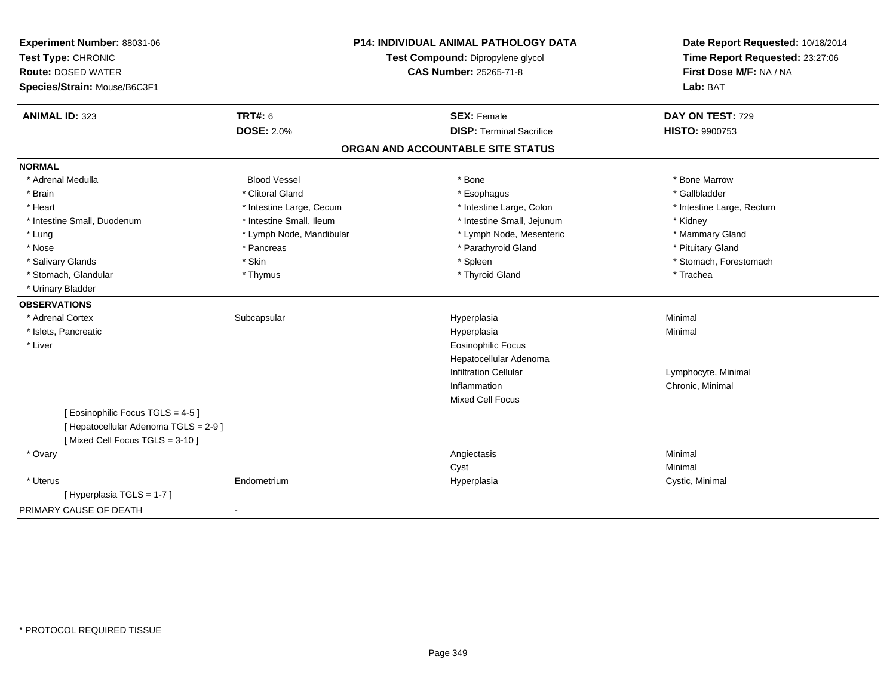| Experiment Number: 88031-06<br>Test Type: CHRONIC<br><b>Route: DOSED WATER</b><br>Species/Strain: Mouse/B6C3F1 |                          | <b>P14: INDIVIDUAL ANIMAL PATHOLOGY DATA</b><br>Test Compound: Dipropylene glycol<br><b>CAS Number: 25265-71-8</b> | Date Report Requested: 10/18/2014<br>Time Report Requested: 23:27:06<br>First Dose M/F: NA / NA<br>Lab: BAT |
|----------------------------------------------------------------------------------------------------------------|--------------------------|--------------------------------------------------------------------------------------------------------------------|-------------------------------------------------------------------------------------------------------------|
| <b>ANIMAL ID: 323</b>                                                                                          | <b>TRT#: 6</b>           | <b>SEX: Female</b>                                                                                                 | DAY ON TEST: 729                                                                                            |
|                                                                                                                | <b>DOSE: 2.0%</b>        | <b>DISP: Terminal Sacrifice</b>                                                                                    | HISTO: 9900753                                                                                              |
|                                                                                                                |                          | ORGAN AND ACCOUNTABLE SITE STATUS                                                                                  |                                                                                                             |
| <b>NORMAL</b>                                                                                                  |                          |                                                                                                                    |                                                                                                             |
| * Adrenal Medulla                                                                                              | <b>Blood Vessel</b>      | * Bone                                                                                                             | * Bone Marrow                                                                                               |
| * Brain                                                                                                        | * Clitoral Gland         | * Esophagus                                                                                                        | * Gallbladder                                                                                               |
| * Heart                                                                                                        | * Intestine Large, Cecum | * Intestine Large, Colon                                                                                           | * Intestine Large, Rectum                                                                                   |
| * Intestine Small, Duodenum                                                                                    | * Intestine Small, Ileum | * Intestine Small, Jejunum                                                                                         | * Kidney                                                                                                    |
| * Lung                                                                                                         | * Lymph Node, Mandibular | * Lymph Node, Mesenteric                                                                                           | * Mammary Gland                                                                                             |
| * Nose                                                                                                         | * Pancreas               | * Parathyroid Gland                                                                                                | * Pituitary Gland                                                                                           |
| * Salivary Glands                                                                                              | * Skin                   | * Spleen                                                                                                           | * Stomach, Forestomach                                                                                      |
| * Stomach, Glandular                                                                                           | * Thymus                 | * Thyroid Gland                                                                                                    | * Trachea                                                                                                   |
| * Urinary Bladder                                                                                              |                          |                                                                                                                    |                                                                                                             |
| <b>OBSERVATIONS</b>                                                                                            |                          |                                                                                                                    |                                                                                                             |
| * Adrenal Cortex                                                                                               | Subcapsular              | Hyperplasia                                                                                                        | Minimal                                                                                                     |
| * Islets, Pancreatic                                                                                           |                          | Hyperplasia                                                                                                        | Minimal                                                                                                     |
| * Liver                                                                                                        |                          | Eosinophilic Focus                                                                                                 |                                                                                                             |
|                                                                                                                |                          | Hepatocellular Adenoma                                                                                             |                                                                                                             |
|                                                                                                                |                          | <b>Infiltration Cellular</b>                                                                                       | Lymphocyte, Minimal                                                                                         |
|                                                                                                                |                          | Inflammation                                                                                                       | Chronic, Minimal                                                                                            |
|                                                                                                                |                          | <b>Mixed Cell Focus</b>                                                                                            |                                                                                                             |
| [ Eosinophilic Focus TGLS = 4-5 ]                                                                              |                          |                                                                                                                    |                                                                                                             |
| [ Hepatocellular Adenoma TGLS = 2-9 ]                                                                          |                          |                                                                                                                    |                                                                                                             |
| [Mixed Cell Focus TGLS = 3-10]                                                                                 |                          |                                                                                                                    |                                                                                                             |
| * Ovary                                                                                                        |                          | Angiectasis                                                                                                        | Minimal                                                                                                     |
|                                                                                                                |                          | Cyst                                                                                                               | Minimal                                                                                                     |
| * Uterus                                                                                                       | Endometrium              | Hyperplasia                                                                                                        | Cystic, Minimal                                                                                             |
| [Hyperplasia TGLS = 1-7]                                                                                       |                          |                                                                                                                    |                                                                                                             |
| PRIMARY CAUSE OF DEATH                                                                                         | $\sim$                   |                                                                                                                    |                                                                                                             |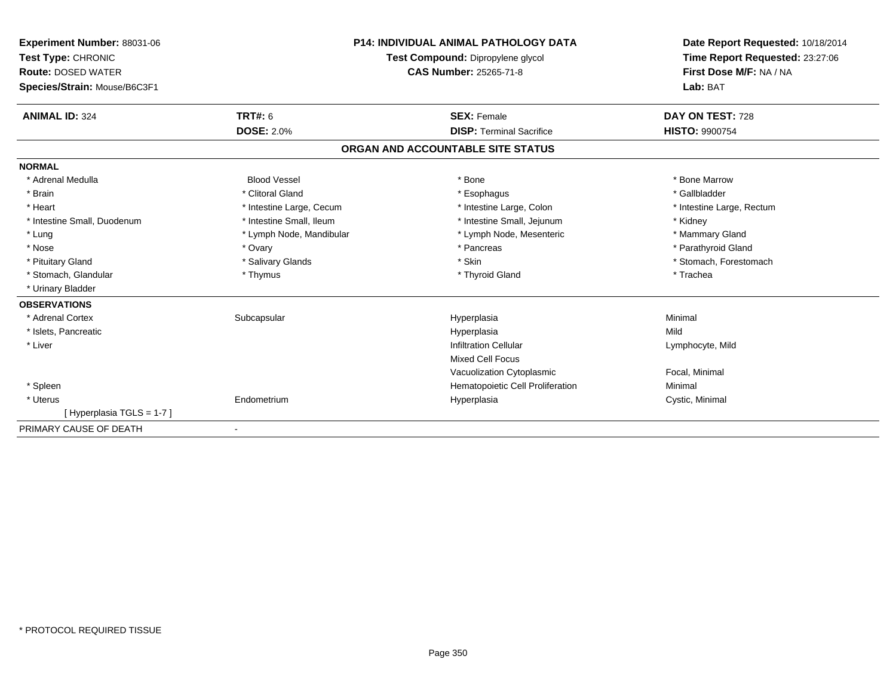| Experiment Number: 88031-06<br>Test Type: CHRONIC<br><b>Route: DOSED WATER</b><br>Species/Strain: Mouse/B6C3F1 |                          | <b>P14: INDIVIDUAL ANIMAL PATHOLOGY DATA</b><br>Test Compound: Dipropylene glycol<br>CAS Number: 25265-71-8 | Date Report Requested: 10/18/2014<br>Time Report Requested: 23:27:06<br>First Dose M/F: NA / NA<br>Lab: BAT |
|----------------------------------------------------------------------------------------------------------------|--------------------------|-------------------------------------------------------------------------------------------------------------|-------------------------------------------------------------------------------------------------------------|
| <b>ANIMAL ID: 324</b>                                                                                          | TRT#: 6                  | <b>SEX: Female</b>                                                                                          | DAY ON TEST: 728                                                                                            |
|                                                                                                                | <b>DOSE: 2.0%</b>        | <b>DISP: Terminal Sacrifice</b>                                                                             | <b>HISTO: 9900754</b>                                                                                       |
|                                                                                                                |                          | ORGAN AND ACCOUNTABLE SITE STATUS                                                                           |                                                                                                             |
| <b>NORMAL</b>                                                                                                  |                          |                                                                                                             |                                                                                                             |
| * Adrenal Medulla                                                                                              | <b>Blood Vessel</b>      | * Bone                                                                                                      | * Bone Marrow                                                                                               |
| * Brain                                                                                                        | * Clitoral Gland         | * Esophagus                                                                                                 | * Gallbladder                                                                                               |
| * Heart                                                                                                        | * Intestine Large, Cecum | * Intestine Large, Colon                                                                                    | * Intestine Large, Rectum                                                                                   |
| * Intestine Small, Duodenum                                                                                    | * Intestine Small, Ileum | * Intestine Small, Jejunum                                                                                  | * Kidney                                                                                                    |
| * Lung                                                                                                         | * Lymph Node, Mandibular | * Lymph Node, Mesenteric                                                                                    | * Mammary Gland                                                                                             |
| * Nose                                                                                                         | * Ovary                  | * Pancreas                                                                                                  | * Parathyroid Gland                                                                                         |
| * Pituitary Gland                                                                                              | * Salivary Glands        | * Skin                                                                                                      | * Stomach, Forestomach                                                                                      |
| * Stomach, Glandular                                                                                           | * Thymus                 | * Thyroid Gland                                                                                             | * Trachea                                                                                                   |
| * Urinary Bladder                                                                                              |                          |                                                                                                             |                                                                                                             |
| <b>OBSERVATIONS</b>                                                                                            |                          |                                                                                                             |                                                                                                             |
| * Adrenal Cortex                                                                                               | Subcapsular              | Hyperplasia                                                                                                 | Minimal                                                                                                     |
| * Islets, Pancreatic                                                                                           |                          | Hyperplasia                                                                                                 | Mild                                                                                                        |
| * Liver                                                                                                        |                          | <b>Infiltration Cellular</b>                                                                                | Lymphocyte, Mild                                                                                            |
|                                                                                                                |                          | <b>Mixed Cell Focus</b>                                                                                     |                                                                                                             |
|                                                                                                                |                          | Vacuolization Cytoplasmic                                                                                   | Focal, Minimal                                                                                              |
| * Spleen                                                                                                       |                          | Hematopoietic Cell Proliferation                                                                            | Minimal                                                                                                     |
| * Uterus                                                                                                       | Endometrium              | Hyperplasia                                                                                                 | Cystic, Minimal                                                                                             |
| [Hyperplasia TGLS = 1-7]                                                                                       |                          |                                                                                                             |                                                                                                             |
| PRIMARY CAUSE OF DEATH                                                                                         | $\blacksquare$           |                                                                                                             |                                                                                                             |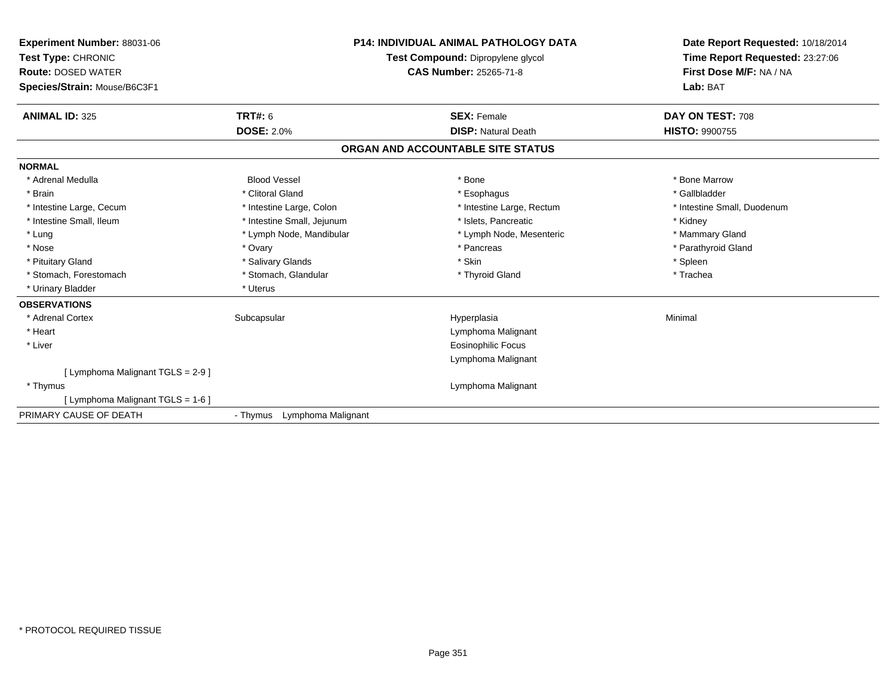| <b>Experiment Number: 88031-06</b><br>Test Type: CHRONIC<br><b>Route: DOSED WATER</b><br>Species/Strain: Mouse/B6C3F1 |                                | <b>P14: INDIVIDUAL ANIMAL PATHOLOGY DATA</b><br>Test Compound: Dipropylene glycol<br>CAS Number: 25265-71-8 | Date Report Requested: 10/18/2014<br>Time Report Requested: 23:27:06<br>First Dose M/F: NA / NA<br>Lab: BAT |
|-----------------------------------------------------------------------------------------------------------------------|--------------------------------|-------------------------------------------------------------------------------------------------------------|-------------------------------------------------------------------------------------------------------------|
| <b>ANIMAL ID: 325</b>                                                                                                 | <b>TRT#: 6</b>                 | <b>SEX: Female</b>                                                                                          | DAY ON TEST: 708                                                                                            |
|                                                                                                                       | <b>DOSE: 2.0%</b>              | <b>DISP: Natural Death</b>                                                                                  | <b>HISTO: 9900755</b>                                                                                       |
|                                                                                                                       |                                | ORGAN AND ACCOUNTABLE SITE STATUS                                                                           |                                                                                                             |
| <b>NORMAL</b>                                                                                                         |                                |                                                                                                             |                                                                                                             |
| * Adrenal Medulla                                                                                                     | <b>Blood Vessel</b>            | * Bone                                                                                                      | * Bone Marrow                                                                                               |
| * Brain                                                                                                               | * Clitoral Gland               | * Esophagus                                                                                                 | * Gallbladder                                                                                               |
| * Intestine Large, Cecum                                                                                              | * Intestine Large, Colon       | * Intestine Large, Rectum                                                                                   | * Intestine Small, Duodenum                                                                                 |
| * Intestine Small, Ileum                                                                                              | * Intestine Small, Jejunum     | * Islets, Pancreatic                                                                                        | * Kidney                                                                                                    |
| * Lung                                                                                                                | * Lymph Node, Mandibular       | * Lymph Node, Mesenteric                                                                                    | * Mammary Gland                                                                                             |
| * Nose                                                                                                                | * Ovary                        | * Pancreas                                                                                                  | * Parathyroid Gland                                                                                         |
| * Pituitary Gland                                                                                                     | * Salivary Glands              | * Skin                                                                                                      | * Spleen                                                                                                    |
| * Stomach, Forestomach                                                                                                | * Stomach, Glandular           | * Thyroid Gland                                                                                             | * Trachea                                                                                                   |
| * Urinary Bladder                                                                                                     | * Uterus                       |                                                                                                             |                                                                                                             |
| <b>OBSERVATIONS</b>                                                                                                   |                                |                                                                                                             |                                                                                                             |
| * Adrenal Cortex                                                                                                      | Subcapsular                    | Hyperplasia                                                                                                 | Minimal                                                                                                     |
| * Heart                                                                                                               |                                | Lymphoma Malignant                                                                                          |                                                                                                             |
| * Liver                                                                                                               |                                | <b>Eosinophilic Focus</b>                                                                                   |                                                                                                             |
|                                                                                                                       |                                | Lymphoma Malignant                                                                                          |                                                                                                             |
| [ Lymphoma Malignant TGLS = 2-9 ]                                                                                     |                                |                                                                                                             |                                                                                                             |
| * Thymus                                                                                                              |                                | Lymphoma Malignant                                                                                          |                                                                                                             |
| [ Lymphoma Malignant TGLS = 1-6 ]                                                                                     |                                |                                                                                                             |                                                                                                             |
| PRIMARY CAUSE OF DEATH                                                                                                | Lymphoma Malignant<br>- Thymus |                                                                                                             |                                                                                                             |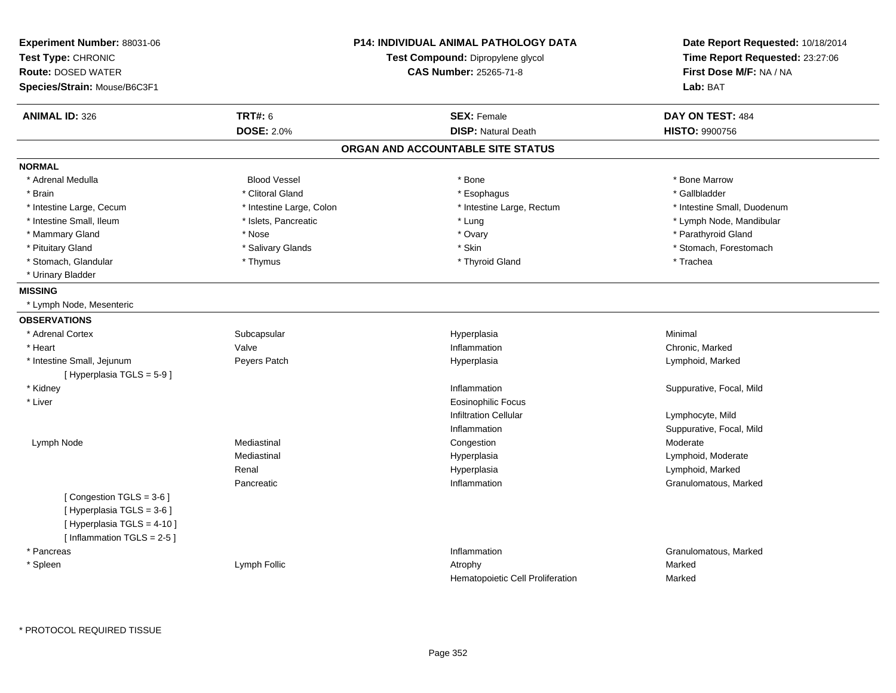| Experiment Number: 88031-06<br>Test Type: CHRONIC<br><b>Route: DOSED WATER</b><br>Species/Strain: Mouse/B6C3F1    |                          | <b>P14: INDIVIDUAL ANIMAL PATHOLOGY DATA</b><br>Test Compound: Dipropylene glycol<br><b>CAS Number: 25265-71-8</b> | Date Report Requested: 10/18/2014<br>Time Report Requested: 23:27:06<br>First Dose M/F: NA / NA<br>Lab: BAT |
|-------------------------------------------------------------------------------------------------------------------|--------------------------|--------------------------------------------------------------------------------------------------------------------|-------------------------------------------------------------------------------------------------------------|
| <b>ANIMAL ID: 326</b>                                                                                             | <b>TRT#: 6</b>           | <b>SEX: Female</b>                                                                                                 | DAY ON TEST: 484                                                                                            |
|                                                                                                                   | <b>DOSE: 2.0%</b>        | <b>DISP: Natural Death</b>                                                                                         | <b>HISTO: 9900756</b>                                                                                       |
|                                                                                                                   |                          | ORGAN AND ACCOUNTABLE SITE STATUS                                                                                  |                                                                                                             |
| <b>NORMAL</b>                                                                                                     |                          |                                                                                                                    |                                                                                                             |
| * Adrenal Medulla                                                                                                 | <b>Blood Vessel</b>      | * Bone                                                                                                             | * Bone Marrow                                                                                               |
| * Brain                                                                                                           | * Clitoral Gland         | * Esophagus                                                                                                        | * Gallbladder                                                                                               |
| * Intestine Large, Cecum                                                                                          | * Intestine Large, Colon | * Intestine Large, Rectum                                                                                          | * Intestine Small, Duodenum                                                                                 |
| * Intestine Small, Ileum                                                                                          | * Islets, Pancreatic     | * Lung                                                                                                             | * Lymph Node, Mandibular                                                                                    |
| * Mammary Gland                                                                                                   | * Nose                   | * Ovary                                                                                                            | * Parathyroid Gland                                                                                         |
| * Pituitary Gland                                                                                                 | * Salivary Glands        | * Skin                                                                                                             | * Stomach, Forestomach                                                                                      |
| * Stomach, Glandular                                                                                              | * Thymus                 | * Thyroid Gland                                                                                                    | * Trachea                                                                                                   |
| * Urinary Bladder                                                                                                 |                          |                                                                                                                    |                                                                                                             |
| <b>MISSING</b>                                                                                                    |                          |                                                                                                                    |                                                                                                             |
| * Lymph Node, Mesenteric                                                                                          |                          |                                                                                                                    |                                                                                                             |
| <b>OBSERVATIONS</b>                                                                                               |                          |                                                                                                                    |                                                                                                             |
| * Adrenal Cortex                                                                                                  | Subcapsular              | Hyperplasia                                                                                                        | Minimal                                                                                                     |
| * Heart                                                                                                           | Valve                    | Inflammation                                                                                                       | Chronic, Marked                                                                                             |
| * Intestine Small, Jejunum                                                                                        | Peyers Patch             | Hyperplasia                                                                                                        | Lymphoid, Marked                                                                                            |
| [Hyperplasia TGLS = $5-9$ ]                                                                                       |                          |                                                                                                                    |                                                                                                             |
| * Kidney                                                                                                          |                          | Inflammation                                                                                                       | Suppurative, Focal, Mild                                                                                    |
| * Liver                                                                                                           |                          | <b>Eosinophilic Focus</b>                                                                                          |                                                                                                             |
|                                                                                                                   |                          | <b>Infiltration Cellular</b>                                                                                       | Lymphocyte, Mild                                                                                            |
|                                                                                                                   |                          | Inflammation                                                                                                       | Suppurative, Focal, Mild                                                                                    |
| Lymph Node                                                                                                        | Mediastinal              | Congestion                                                                                                         | Moderate                                                                                                    |
|                                                                                                                   | Mediastinal              | Hyperplasia                                                                                                        | Lymphoid, Moderate                                                                                          |
|                                                                                                                   | Renal                    | Hyperplasia                                                                                                        | Lymphoid, Marked                                                                                            |
|                                                                                                                   | Pancreatic               | Inflammation                                                                                                       | Granulomatous, Marked                                                                                       |
| [Congestion TGLS = 3-6]<br>[ Hyperplasia TGLS = 3-6 ]<br>[ Hyperplasia TGLS = 4-10 ]<br>[Inflammation TGLS = 2-5] |                          |                                                                                                                    |                                                                                                             |
| * Pancreas                                                                                                        |                          | Inflammation                                                                                                       | Granulomatous, Marked                                                                                       |
| * Spleen                                                                                                          | Lymph Follic             | Atrophy<br>Hematopoietic Cell Proliferation                                                                        | Marked<br>Marked                                                                                            |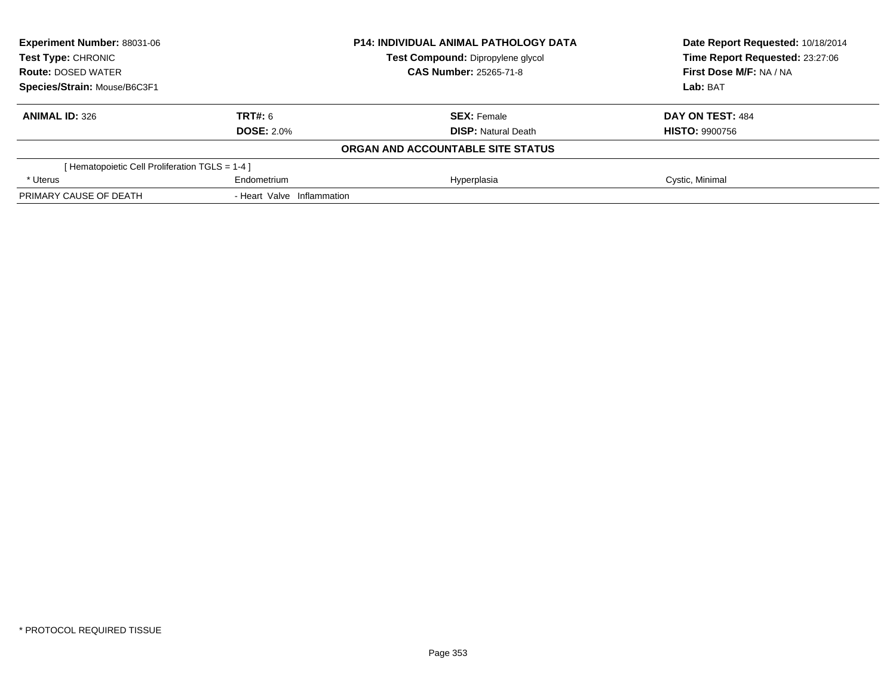| Experiment Number: 88031-06                    |                            | <b>P14: INDIVIDUAL ANIMAL PATHOLOGY DATA</b> | Date Report Requested: 10/18/2014 |
|------------------------------------------------|----------------------------|----------------------------------------------|-----------------------------------|
| <b>Test Type: CHRONIC</b>                      |                            | Test Compound: Dipropylene glycol            | Time Report Requested: 23:27:06   |
| <b>Route: DOSED WATER</b>                      |                            | <b>CAS Number: 25265-71-8</b>                | First Dose M/F: NA / NA           |
| Species/Strain: Mouse/B6C3F1                   |                            |                                              | Lab: BAT                          |
| <b>ANIMAL ID: 326</b>                          | <b>TRT#: 6</b>             | <b>SEX: Female</b>                           | DAY ON TEST: 484                  |
|                                                | <b>DOSE: 2.0%</b>          | <b>DISP: Natural Death</b>                   | <b>HISTO: 9900756</b>             |
|                                                |                            | ORGAN AND ACCOUNTABLE SITE STATUS            |                                   |
| [Hematopoietic Cell Proliferation TGLS = 1-4 ] |                            |                                              |                                   |
| * Uterus                                       | Endometrium                | Hyperplasia                                  | Cystic, Minimal                   |
| PRIMARY CAUSE OF DEATH                         | - Heart Valve Inflammation |                                              |                                   |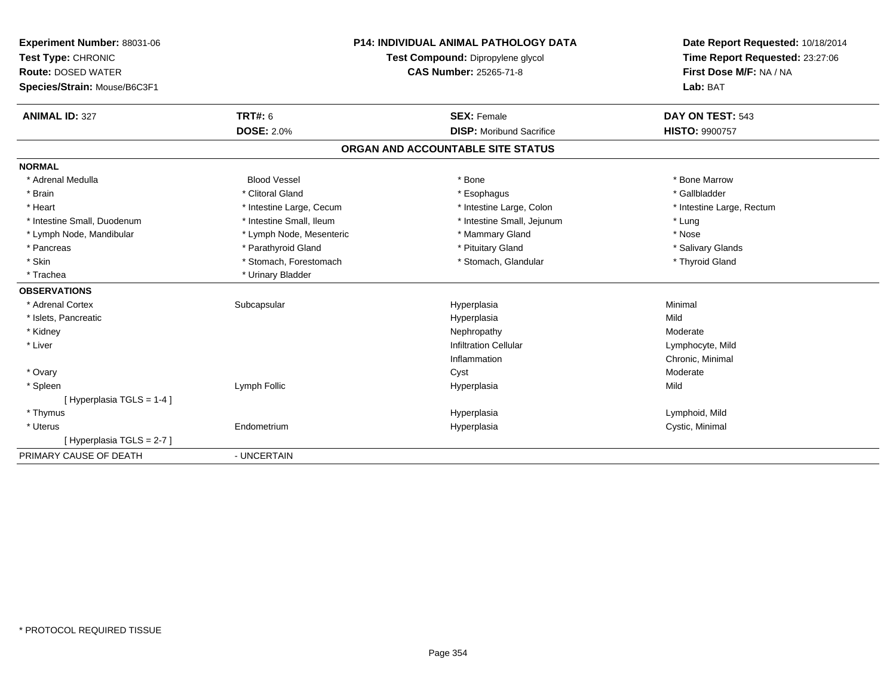| Experiment Number: 88031-06  | <b>P14: INDIVIDUAL ANIMAL PATHOLOGY DATA</b> |                                   | Date Report Requested: 10/18/2014 |
|------------------------------|----------------------------------------------|-----------------------------------|-----------------------------------|
| Test Type: CHRONIC           |                                              | Test Compound: Dipropylene glycol | Time Report Requested: 23:27:06   |
| <b>Route: DOSED WATER</b>    |                                              | <b>CAS Number: 25265-71-8</b>     | First Dose M/F: NA / NA           |
| Species/Strain: Mouse/B6C3F1 |                                              |                                   | Lab: BAT                          |
| <b>ANIMAL ID: 327</b>        | <b>TRT#: 6</b>                               | <b>SEX: Female</b>                | DAY ON TEST: 543                  |
|                              | <b>DOSE: 2.0%</b>                            | <b>DISP:</b> Moribund Sacrifice   | <b>HISTO: 9900757</b>             |
|                              |                                              | ORGAN AND ACCOUNTABLE SITE STATUS |                                   |
| <b>NORMAL</b>                |                                              |                                   |                                   |
| * Adrenal Medulla            | <b>Blood Vessel</b>                          | * Bone                            | * Bone Marrow                     |
| * Brain                      | * Clitoral Gland                             | * Esophagus                       | * Gallbladder                     |
| * Heart                      | * Intestine Large, Cecum                     | * Intestine Large, Colon          | * Intestine Large, Rectum         |
| * Intestine Small, Duodenum  | * Intestine Small, Ileum                     | * Intestine Small, Jejunum        | * Lung                            |
| * Lymph Node, Mandibular     | * Lymph Node, Mesenteric                     | * Mammary Gland                   | * Nose                            |
| * Pancreas                   | * Parathyroid Gland                          | * Pituitary Gland                 | * Salivary Glands                 |
| * Skin                       | * Stomach, Forestomach                       | * Stomach, Glandular              | * Thyroid Gland                   |
| * Trachea                    | * Urinary Bladder                            |                                   |                                   |
| <b>OBSERVATIONS</b>          |                                              |                                   |                                   |
| * Adrenal Cortex             | Subcapsular                                  | Hyperplasia                       | Minimal                           |
| * Islets, Pancreatic         |                                              | Hyperplasia                       | Mild                              |
| * Kidney                     |                                              | Nephropathy                       | Moderate                          |
| * Liver                      |                                              | <b>Infiltration Cellular</b>      | Lymphocyte, Mild                  |
|                              |                                              | Inflammation                      | Chronic, Minimal                  |
| * Ovary                      |                                              | Cyst                              | Moderate                          |
| * Spleen                     | Lymph Follic                                 | Hyperplasia                       | Mild                              |
| [Hyperplasia TGLS = 1-4]     |                                              |                                   |                                   |
| * Thymus                     |                                              | Hyperplasia                       | Lymphoid, Mild                    |
| * Uterus                     | Endometrium                                  | Hyperplasia                       | Cystic, Minimal                   |
| [Hyperplasia TGLS = 2-7]     |                                              |                                   |                                   |
| PRIMARY CAUSE OF DEATH       | - UNCERTAIN                                  |                                   |                                   |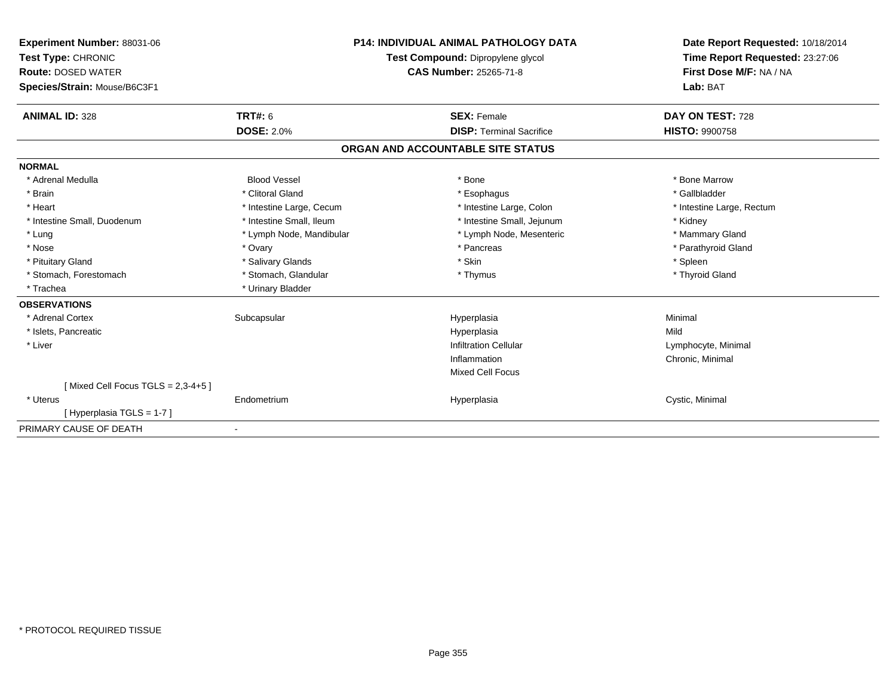| Experiment Number: 88031-06<br>Test Type: CHRONIC<br><b>Route: DOSED WATER</b><br>Species/Strain: Mouse/B6C3F1 | <b>P14: INDIVIDUAL ANIMAL PATHOLOGY DATA</b><br>Test Compound: Dipropylene glycol<br><b>CAS Number: 25265-71-8</b> |                                                       | Date Report Requested: 10/18/2014<br>Time Report Requested: 23:27:06<br>First Dose M/F: NA / NA<br>Lab: BAT |
|----------------------------------------------------------------------------------------------------------------|--------------------------------------------------------------------------------------------------------------------|-------------------------------------------------------|-------------------------------------------------------------------------------------------------------------|
| <b>ANIMAL ID: 328</b>                                                                                          | <b>TRT#: 6</b><br><b>DOSE: 2.0%</b>                                                                                | <b>SEX: Female</b><br><b>DISP: Terminal Sacrifice</b> | DAY ON TEST: 728<br><b>HISTO: 9900758</b>                                                                   |
|                                                                                                                |                                                                                                                    |                                                       |                                                                                                             |
|                                                                                                                |                                                                                                                    | ORGAN AND ACCOUNTABLE SITE STATUS                     |                                                                                                             |
| <b>NORMAL</b>                                                                                                  |                                                                                                                    |                                                       |                                                                                                             |
| * Adrenal Medulla                                                                                              | <b>Blood Vessel</b>                                                                                                | * Bone                                                | * Bone Marrow                                                                                               |
| * Brain                                                                                                        | * Clitoral Gland                                                                                                   | * Esophagus                                           | * Gallbladder                                                                                               |
| * Heart                                                                                                        | * Intestine Large, Cecum                                                                                           | * Intestine Large, Colon                              | * Intestine Large, Rectum                                                                                   |
| * Intestine Small, Duodenum                                                                                    | * Intestine Small, Ileum                                                                                           | * Intestine Small, Jejunum                            | * Kidney                                                                                                    |
| * Lung                                                                                                         | * Lymph Node, Mandibular                                                                                           | * Lymph Node, Mesenteric                              | * Mammary Gland                                                                                             |
| * Nose                                                                                                         | * Ovary                                                                                                            | * Pancreas                                            | * Parathyroid Gland                                                                                         |
| * Pituitary Gland                                                                                              | * Salivary Glands                                                                                                  | * Skin                                                | * Spleen                                                                                                    |
| * Stomach, Forestomach                                                                                         | * Stomach, Glandular                                                                                               | * Thymus                                              | * Thyroid Gland                                                                                             |
| * Trachea                                                                                                      | * Urinary Bladder                                                                                                  |                                                       |                                                                                                             |
| <b>OBSERVATIONS</b>                                                                                            |                                                                                                                    |                                                       |                                                                                                             |
| * Adrenal Cortex                                                                                               | Subcapsular                                                                                                        | Hyperplasia                                           | Minimal                                                                                                     |
| * Islets, Pancreatic                                                                                           |                                                                                                                    | Hyperplasia                                           | Mild                                                                                                        |
| * Liver                                                                                                        |                                                                                                                    | <b>Infiltration Cellular</b>                          | Lymphocyte, Minimal                                                                                         |
|                                                                                                                |                                                                                                                    | Inflammation                                          | Chronic, Minimal                                                                                            |
|                                                                                                                |                                                                                                                    | <b>Mixed Cell Focus</b>                               |                                                                                                             |
| [Mixed Cell Focus TGLS = $2,3-4+5$ ]                                                                           |                                                                                                                    |                                                       |                                                                                                             |
| * Uterus                                                                                                       | Endometrium                                                                                                        | Hyperplasia                                           | Cystic, Minimal                                                                                             |
| [Hyperplasia TGLS = 1-7]                                                                                       |                                                                                                                    |                                                       |                                                                                                             |
| PRIMARY CAUSE OF DEATH                                                                                         | $\blacksquare$                                                                                                     |                                                       |                                                                                                             |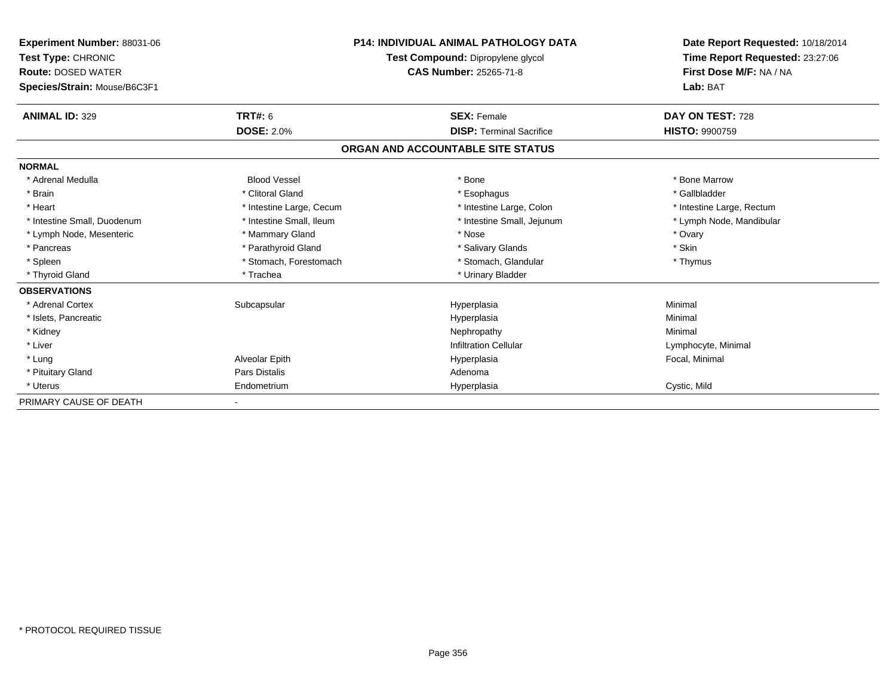| <b>Experiment Number: 88031-06</b><br>Test Type: CHRONIC<br><b>Route: DOSED WATER</b><br>Species/Strain: Mouse/B6C3F1 |                          | <b>P14: INDIVIDUAL ANIMAL PATHOLOGY DATA</b><br>Test Compound: Dipropylene glycol<br><b>CAS Number: 25265-71-8</b> | Date Report Requested: 10/18/2014<br>Time Report Requested: 23:27:06<br>First Dose M/F: NA / NA<br>Lab: BAT |
|-----------------------------------------------------------------------------------------------------------------------|--------------------------|--------------------------------------------------------------------------------------------------------------------|-------------------------------------------------------------------------------------------------------------|
| <b>ANIMAL ID: 329</b>                                                                                                 | <b>TRT#: 6</b>           | <b>SEX: Female</b>                                                                                                 | DAY ON TEST: 728                                                                                            |
|                                                                                                                       | <b>DOSE: 2.0%</b>        | <b>DISP: Terminal Sacrifice</b>                                                                                    | <b>HISTO: 9900759</b>                                                                                       |
|                                                                                                                       |                          | ORGAN AND ACCOUNTABLE SITE STATUS                                                                                  |                                                                                                             |
| <b>NORMAL</b>                                                                                                         |                          |                                                                                                                    |                                                                                                             |
| * Adrenal Medulla                                                                                                     | <b>Blood Vessel</b>      | * Bone                                                                                                             | * Bone Marrow                                                                                               |
| * Brain                                                                                                               | * Clitoral Gland         | * Esophagus                                                                                                        | * Gallbladder                                                                                               |
| * Heart                                                                                                               | * Intestine Large, Cecum | * Intestine Large, Colon                                                                                           | * Intestine Large, Rectum                                                                                   |
| * Intestine Small, Duodenum                                                                                           | * Intestine Small, Ileum | * Intestine Small, Jejunum                                                                                         | * Lymph Node, Mandibular                                                                                    |
| * Lymph Node, Mesenteric                                                                                              | * Mammary Gland          | * Nose                                                                                                             | * Ovary                                                                                                     |
| * Pancreas                                                                                                            | * Parathyroid Gland      | * Salivary Glands                                                                                                  | * Skin                                                                                                      |
| * Spleen                                                                                                              | * Stomach, Forestomach   | * Stomach, Glandular                                                                                               | * Thymus                                                                                                    |
| * Thyroid Gland                                                                                                       | * Trachea                | * Urinary Bladder                                                                                                  |                                                                                                             |
| <b>OBSERVATIONS</b>                                                                                                   |                          |                                                                                                                    |                                                                                                             |
| * Adrenal Cortex                                                                                                      | Subcapsular              | Hyperplasia                                                                                                        | Minimal                                                                                                     |
| * Islets, Pancreatic                                                                                                  |                          | Hyperplasia                                                                                                        | Minimal                                                                                                     |
| * Kidney                                                                                                              |                          | Nephropathy                                                                                                        | Minimal                                                                                                     |
| * Liver                                                                                                               |                          | <b>Infiltration Cellular</b>                                                                                       | Lymphocyte, Minimal                                                                                         |
| * Lung                                                                                                                | Alveolar Epith           | Hyperplasia                                                                                                        | Focal, Minimal                                                                                              |
| * Pituitary Gland                                                                                                     | Pars Distalis            | Adenoma                                                                                                            |                                                                                                             |
| * Uterus                                                                                                              | Endometrium              | Hyperplasia                                                                                                        | Cystic, Mild                                                                                                |
| PRIMARY CAUSE OF DEATH                                                                                                |                          |                                                                                                                    |                                                                                                             |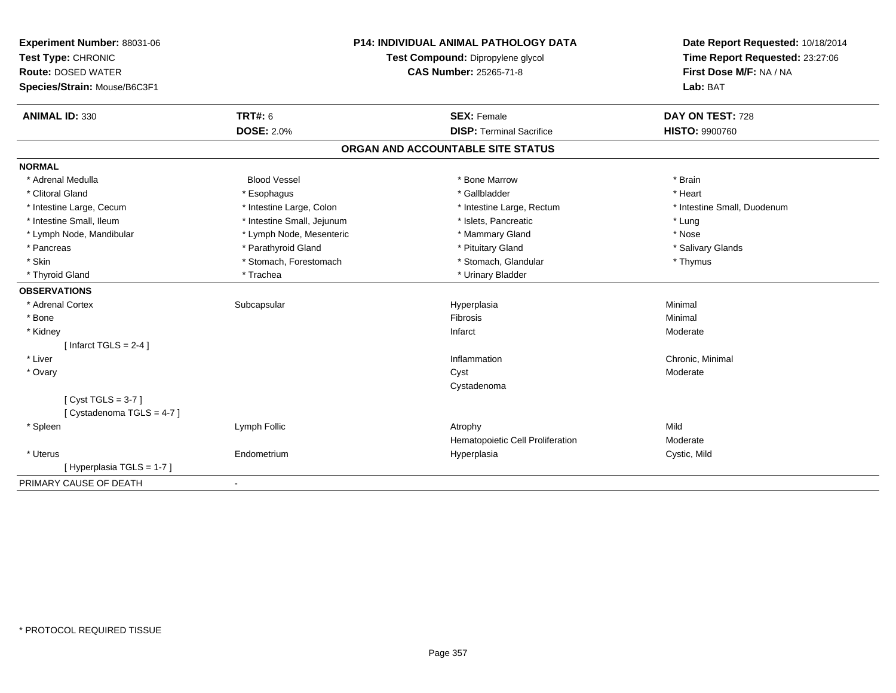| Experiment Number: 88031-06  | <b>P14: INDIVIDUAL ANIMAL PATHOLOGY DATA</b> |                                   | Date Report Requested: 10/18/2014                          |
|------------------------------|----------------------------------------------|-----------------------------------|------------------------------------------------------------|
| Test Type: CHRONIC           |                                              | Test Compound: Dipropylene glycol | Time Report Requested: 23:27:06<br>First Dose M/F: NA / NA |
| <b>Route: DOSED WATER</b>    |                                              | <b>CAS Number: 25265-71-8</b>     |                                                            |
| Species/Strain: Mouse/B6C3F1 |                                              |                                   | Lab: BAT                                                   |
| <b>ANIMAL ID: 330</b>        | <b>TRT#: 6</b>                               | <b>SEX: Female</b>                | DAY ON TEST: 728                                           |
|                              | <b>DOSE: 2.0%</b>                            | <b>DISP: Terminal Sacrifice</b>   | <b>HISTO: 9900760</b>                                      |
|                              |                                              | ORGAN AND ACCOUNTABLE SITE STATUS |                                                            |
| <b>NORMAL</b>                |                                              |                                   |                                                            |
| * Adrenal Medulla            | <b>Blood Vessel</b>                          | * Bone Marrow                     | * Brain                                                    |
| * Clitoral Gland             | * Esophagus                                  | * Gallbladder                     | * Heart                                                    |
| * Intestine Large, Cecum     | * Intestine Large, Colon                     | * Intestine Large, Rectum         | * Intestine Small, Duodenum                                |
| * Intestine Small, Ileum     | * Intestine Small, Jejunum                   | * Islets, Pancreatic              | * Lung                                                     |
| * Lymph Node, Mandibular     | * Lymph Node, Mesenteric                     | * Mammary Gland                   | * Nose                                                     |
| * Pancreas                   | * Parathyroid Gland                          | * Pituitary Gland                 | * Salivary Glands                                          |
| * Skin                       | * Stomach, Forestomach                       | * Stomach, Glandular              | * Thymus                                                   |
| * Thyroid Gland              | * Trachea                                    | * Urinary Bladder                 |                                                            |
| <b>OBSERVATIONS</b>          |                                              |                                   |                                                            |
| * Adrenal Cortex             | Subcapsular                                  | Hyperplasia                       | Minimal                                                    |
| * Bone                       |                                              | Fibrosis                          | Minimal                                                    |
| * Kidney                     |                                              | Infarct                           | Moderate                                                   |
| [Infarct TGLS = $2-4$ ]      |                                              |                                   |                                                            |
| * Liver                      |                                              | Inflammation                      | Chronic, Minimal                                           |
| * Ovary                      |                                              | Cyst                              | Moderate                                                   |
|                              |                                              | Cystadenoma                       |                                                            |
| [Cyst TGLS = $3-7$ ]         |                                              |                                   |                                                            |
| [ Cystadenoma TGLS = 4-7 ]   |                                              |                                   |                                                            |
| * Spleen                     | Lymph Follic                                 | Atrophy                           | Mild                                                       |
|                              |                                              | Hematopoietic Cell Proliferation  | Moderate                                                   |
| * Uterus                     | Endometrium                                  | Hyperplasia                       | Cystic, Mild                                               |
| [Hyperplasia TGLS = 1-7]     |                                              |                                   |                                                            |
| PRIMARY CAUSE OF DEATH       | $\blacksquare$                               |                                   |                                                            |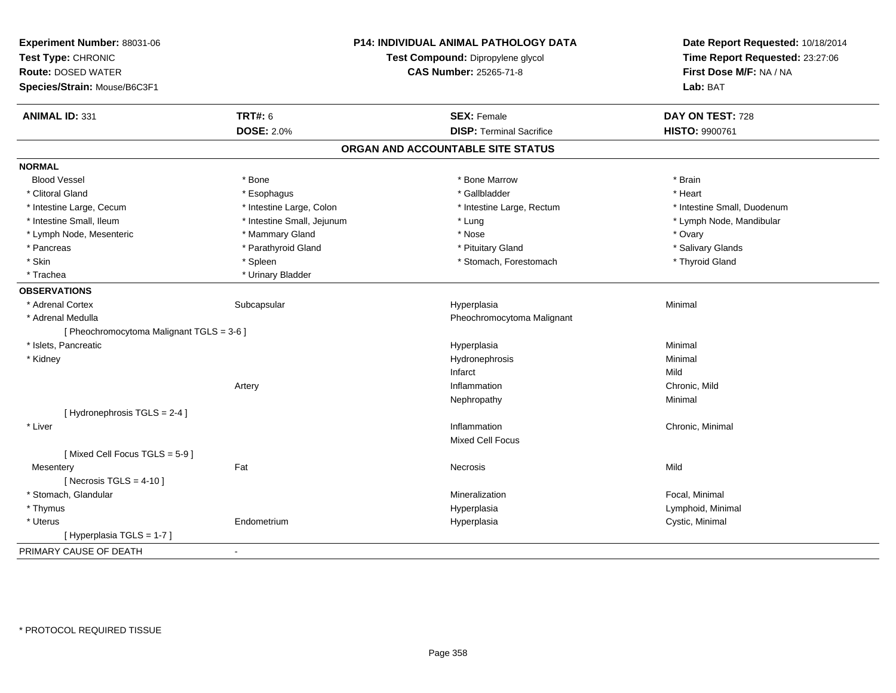| Experiment Number: 88031-06<br>Test Type: CHRONIC<br><b>Route: DOSED WATER</b> | <b>P14: INDIVIDUAL ANIMAL PATHOLOGY DATA</b><br>Test Compound: Dipropylene glycol<br><b>CAS Number: 25265-71-8</b> |                                   | Date Report Requested: 10/18/2014<br>Time Report Requested: 23:27:06<br>First Dose M/F: NA / NA |
|--------------------------------------------------------------------------------|--------------------------------------------------------------------------------------------------------------------|-----------------------------------|-------------------------------------------------------------------------------------------------|
| Species/Strain: Mouse/B6C3F1                                                   |                                                                                                                    |                                   | Lab: BAT                                                                                        |
| <b>ANIMAL ID: 331</b>                                                          | <b>TRT#: 6</b>                                                                                                     | <b>SEX: Female</b>                | DAY ON TEST: 728                                                                                |
|                                                                                | <b>DOSE: 2.0%</b>                                                                                                  | <b>DISP: Terminal Sacrifice</b>   | HISTO: 9900761                                                                                  |
|                                                                                |                                                                                                                    | ORGAN AND ACCOUNTABLE SITE STATUS |                                                                                                 |
| <b>NORMAL</b>                                                                  |                                                                                                                    |                                   |                                                                                                 |
| <b>Blood Vessel</b>                                                            | * Bone                                                                                                             | * Bone Marrow                     | * Brain                                                                                         |
| * Clitoral Gland                                                               | * Esophagus                                                                                                        | * Gallbladder                     | * Heart                                                                                         |
| * Intestine Large, Cecum                                                       | * Intestine Large, Colon                                                                                           | * Intestine Large, Rectum         | * Intestine Small, Duodenum                                                                     |
| * Intestine Small, Ileum                                                       | * Intestine Small, Jejunum                                                                                         | * Lung                            | * Lymph Node, Mandibular                                                                        |
| * Lymph Node, Mesenteric                                                       | * Mammary Gland                                                                                                    | * Nose                            | * Ovary                                                                                         |
| * Pancreas                                                                     | * Parathyroid Gland                                                                                                | * Pituitary Gland                 | * Salivary Glands                                                                               |
| * Skin                                                                         | * Spleen                                                                                                           | * Stomach, Forestomach            | * Thyroid Gland                                                                                 |
| * Trachea                                                                      | * Urinary Bladder                                                                                                  |                                   |                                                                                                 |
| <b>OBSERVATIONS</b>                                                            |                                                                                                                    |                                   |                                                                                                 |
| * Adrenal Cortex                                                               | Subcapsular                                                                                                        | Hyperplasia                       | Minimal                                                                                         |
| * Adrenal Medulla                                                              |                                                                                                                    | Pheochromocytoma Malignant        |                                                                                                 |
| [ Pheochromocytoma Malignant TGLS = 3-6 ]                                      |                                                                                                                    |                                   |                                                                                                 |
| * Islets, Pancreatic                                                           |                                                                                                                    | Hyperplasia                       | Minimal                                                                                         |
| * Kidney                                                                       |                                                                                                                    | Hydronephrosis                    | Minimal                                                                                         |
|                                                                                |                                                                                                                    | Infarct                           | Mild                                                                                            |
|                                                                                | Artery                                                                                                             | Inflammation                      | Chronic, Mild                                                                                   |
|                                                                                |                                                                                                                    | Nephropathy                       | Minimal                                                                                         |
| [Hydronephrosis TGLS = 2-4]                                                    |                                                                                                                    |                                   |                                                                                                 |
| * Liver                                                                        |                                                                                                                    | Inflammation                      | Chronic, Minimal                                                                                |
|                                                                                |                                                                                                                    | <b>Mixed Cell Focus</b>           |                                                                                                 |
| [Mixed Cell Focus TGLS = 5-9]                                                  |                                                                                                                    |                                   |                                                                                                 |
| Mesentery                                                                      | Fat                                                                                                                | Necrosis                          | Mild                                                                                            |
| [Necrosis TGLS = $4-10$ ]                                                      |                                                                                                                    |                                   |                                                                                                 |
| * Stomach, Glandular                                                           |                                                                                                                    | Mineralization                    | Focal, Minimal                                                                                  |
| * Thymus                                                                       |                                                                                                                    | Hyperplasia                       | Lymphoid, Minimal                                                                               |
| * Uterus                                                                       | Endometrium                                                                                                        | Hyperplasia                       | Cystic, Minimal                                                                                 |
| [ Hyperplasia TGLS = 1-7 ]                                                     |                                                                                                                    |                                   |                                                                                                 |
| PRIMARY CAUSE OF DEATH                                                         | $\blacksquare$                                                                                                     |                                   |                                                                                                 |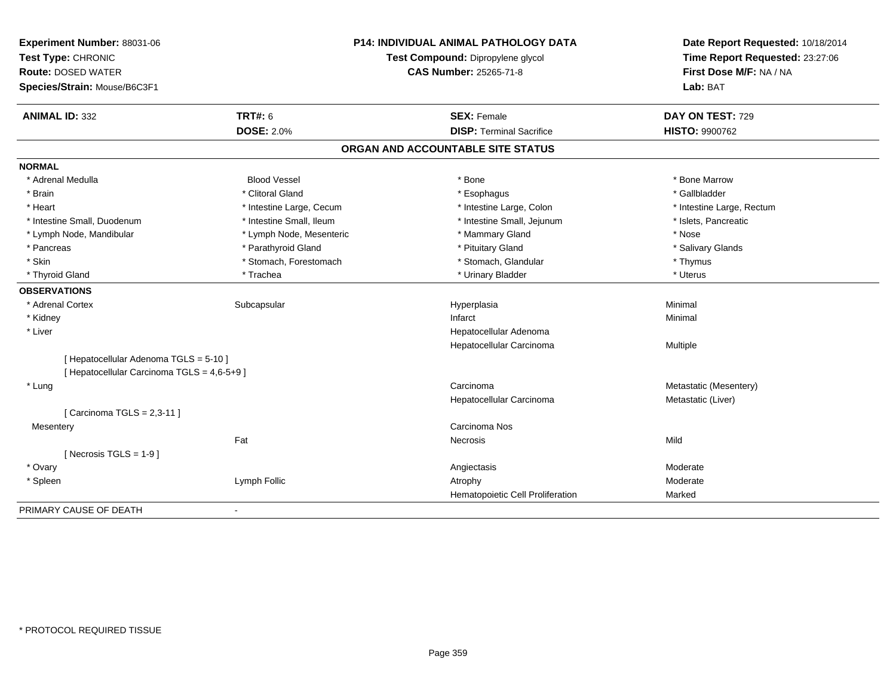| Experiment Number: 88031-06<br>Test Type: CHRONIC<br><b>Route: DOSED WATER</b><br>Species/Strain: Mouse/B6C3F1 | <b>P14: INDIVIDUAL ANIMAL PATHOLOGY DATA</b><br>Test Compound: Dipropylene glycol<br><b>CAS Number: 25265-71-8</b> |                                   | Date Report Requested: 10/18/2014<br>Time Report Requested: 23:27:06<br>First Dose M/F: NA / NA<br>Lab: BAT |  |
|----------------------------------------------------------------------------------------------------------------|--------------------------------------------------------------------------------------------------------------------|-----------------------------------|-------------------------------------------------------------------------------------------------------------|--|
| <b>ANIMAL ID: 332</b>                                                                                          | <b>TRT#: 6</b>                                                                                                     | <b>SEX: Female</b>                | DAY ON TEST: 729                                                                                            |  |
|                                                                                                                | <b>DOSE: 2.0%</b>                                                                                                  | <b>DISP: Terminal Sacrifice</b>   | <b>HISTO: 9900762</b>                                                                                       |  |
|                                                                                                                |                                                                                                                    | ORGAN AND ACCOUNTABLE SITE STATUS |                                                                                                             |  |
| <b>NORMAL</b>                                                                                                  |                                                                                                                    |                                   |                                                                                                             |  |
| * Adrenal Medulla                                                                                              | <b>Blood Vessel</b>                                                                                                | * Bone                            | * Bone Marrow                                                                                               |  |
| * Brain                                                                                                        | * Clitoral Gland                                                                                                   | * Esophagus                       | * Gallbladder                                                                                               |  |
| * Heart                                                                                                        | * Intestine Large, Cecum                                                                                           | * Intestine Large, Colon          | * Intestine Large, Rectum                                                                                   |  |
| * Intestine Small, Duodenum                                                                                    | * Intestine Small, Ileum                                                                                           | * Intestine Small, Jejunum        | * Islets, Pancreatic                                                                                        |  |
| * Lymph Node, Mandibular                                                                                       | * Lymph Node, Mesenteric                                                                                           | * Mammary Gland                   | * Nose                                                                                                      |  |
| * Pancreas                                                                                                     | * Parathyroid Gland                                                                                                | * Pituitary Gland                 | * Salivary Glands                                                                                           |  |
| * Skin                                                                                                         | * Stomach, Forestomach                                                                                             | * Stomach, Glandular              | * Thymus                                                                                                    |  |
| * Thyroid Gland                                                                                                | * Trachea                                                                                                          | * Urinary Bladder                 | * Uterus                                                                                                    |  |
| <b>OBSERVATIONS</b>                                                                                            |                                                                                                                    |                                   |                                                                                                             |  |
| * Adrenal Cortex                                                                                               | Subcapsular                                                                                                        | Hyperplasia                       | Minimal                                                                                                     |  |
| * Kidney                                                                                                       |                                                                                                                    | Infarct                           | Minimal                                                                                                     |  |
| * Liver                                                                                                        |                                                                                                                    | Hepatocellular Adenoma            |                                                                                                             |  |
|                                                                                                                |                                                                                                                    | Hepatocellular Carcinoma          | <b>Multiple</b>                                                                                             |  |
| [ Hepatocellular Adenoma TGLS = 5-10 ]                                                                         |                                                                                                                    |                                   |                                                                                                             |  |
| [ Hepatocellular Carcinoma TGLS = 4,6-5+9 ]                                                                    |                                                                                                                    |                                   |                                                                                                             |  |
| * Lung                                                                                                         |                                                                                                                    | Carcinoma                         | Metastatic (Mesentery)                                                                                      |  |
|                                                                                                                |                                                                                                                    | Hepatocellular Carcinoma          | Metastatic (Liver)                                                                                          |  |
| [ Carcinoma TGLS = 2,3-11 ]                                                                                    |                                                                                                                    |                                   |                                                                                                             |  |
| Mesentery                                                                                                      |                                                                                                                    | Carcinoma Nos                     |                                                                                                             |  |
|                                                                                                                | Fat                                                                                                                | <b>Necrosis</b>                   | Mild                                                                                                        |  |
| [ Necrosis TGLS = $1-9$ ]                                                                                      |                                                                                                                    |                                   |                                                                                                             |  |
| * Ovary                                                                                                        |                                                                                                                    | Angiectasis                       | Moderate                                                                                                    |  |
| * Spleen                                                                                                       | Lymph Follic                                                                                                       | Atrophy                           | Moderate                                                                                                    |  |
|                                                                                                                |                                                                                                                    | Hematopoietic Cell Proliferation  | Marked                                                                                                      |  |
| PRIMARY CAUSE OF DEATH                                                                                         | $\overline{\phantom{a}}$                                                                                           |                                   |                                                                                                             |  |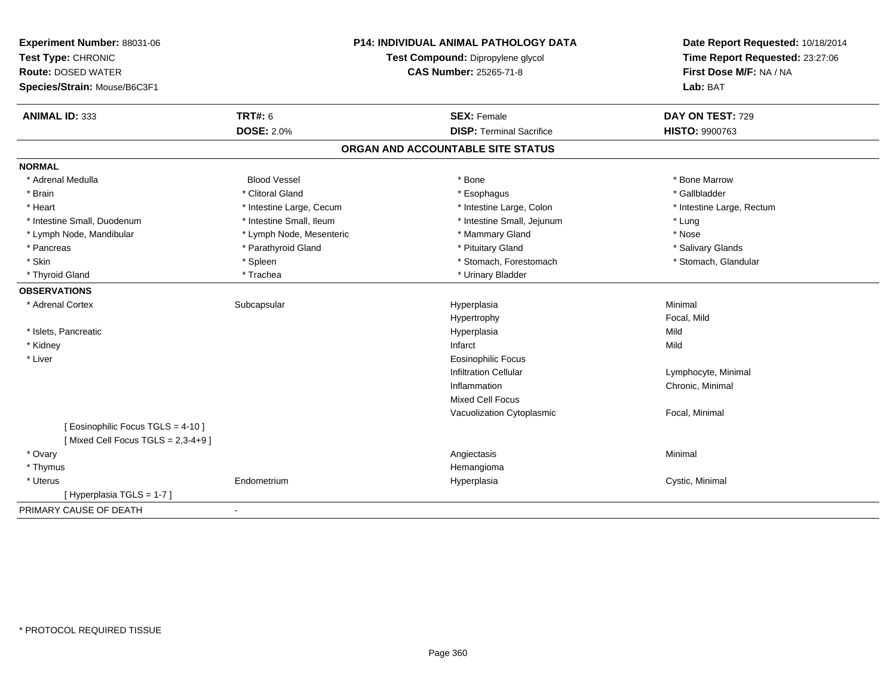| Experiment Number: 88031-06<br>Test Type: CHRONIC<br><b>Route: DOSED WATER</b><br>Species/Strain: Mouse/B6C3F1 | <b>P14: INDIVIDUAL ANIMAL PATHOLOGY DATA</b><br>Test Compound: Dipropylene glycol<br><b>CAS Number: 25265-71-8</b> |                                   | Date Report Requested: 10/18/2014<br>Time Report Requested: 23:27:06<br>First Dose M/F: NA / NA<br>Lab: BAT |  |
|----------------------------------------------------------------------------------------------------------------|--------------------------------------------------------------------------------------------------------------------|-----------------------------------|-------------------------------------------------------------------------------------------------------------|--|
|                                                                                                                |                                                                                                                    |                                   |                                                                                                             |  |
| <b>ANIMAL ID: 333</b>                                                                                          | <b>TRT#: 6</b>                                                                                                     | <b>SEX: Female</b>                | DAY ON TEST: 729                                                                                            |  |
|                                                                                                                | <b>DOSE: 2.0%</b>                                                                                                  | <b>DISP: Terminal Sacrifice</b>   | HISTO: 9900763                                                                                              |  |
|                                                                                                                |                                                                                                                    | ORGAN AND ACCOUNTABLE SITE STATUS |                                                                                                             |  |
| <b>NORMAL</b>                                                                                                  |                                                                                                                    |                                   |                                                                                                             |  |
| * Adrenal Medulla                                                                                              | <b>Blood Vessel</b>                                                                                                | * Bone                            | * Bone Marrow                                                                                               |  |
| * Brain                                                                                                        | * Clitoral Gland                                                                                                   | * Esophagus                       | * Gallbladder                                                                                               |  |
| * Heart                                                                                                        | * Intestine Large, Cecum                                                                                           | * Intestine Large, Colon          | * Intestine Large, Rectum                                                                                   |  |
| * Intestine Small, Duodenum                                                                                    | * Intestine Small, Ileum                                                                                           | * Intestine Small, Jejunum        | * Lung                                                                                                      |  |
| * Lymph Node, Mandibular                                                                                       | * Lymph Node, Mesenteric                                                                                           | * Mammary Gland                   | * Nose                                                                                                      |  |
| * Pancreas                                                                                                     | * Parathyroid Gland                                                                                                | * Pituitary Gland                 | * Salivary Glands                                                                                           |  |
| * Skin                                                                                                         | * Spleen                                                                                                           | * Stomach, Forestomach            | * Stomach, Glandular                                                                                        |  |
| * Thyroid Gland                                                                                                | * Trachea                                                                                                          | * Urinary Bladder                 |                                                                                                             |  |
| <b>OBSERVATIONS</b>                                                                                            |                                                                                                                    |                                   |                                                                                                             |  |
| * Adrenal Cortex                                                                                               | Subcapsular                                                                                                        | Hyperplasia                       | Minimal                                                                                                     |  |
|                                                                                                                |                                                                                                                    | Hypertrophy                       | Focal, Mild                                                                                                 |  |
| * Islets, Pancreatic                                                                                           |                                                                                                                    | Hyperplasia                       | Mild                                                                                                        |  |
| * Kidney                                                                                                       |                                                                                                                    | Infarct                           | Mild                                                                                                        |  |
| * Liver                                                                                                        |                                                                                                                    | <b>Eosinophilic Focus</b>         |                                                                                                             |  |
|                                                                                                                |                                                                                                                    | <b>Infiltration Cellular</b>      | Lymphocyte, Minimal                                                                                         |  |
|                                                                                                                |                                                                                                                    | Inflammation                      | Chronic, Minimal                                                                                            |  |
|                                                                                                                |                                                                                                                    | Mixed Cell Focus                  |                                                                                                             |  |
|                                                                                                                |                                                                                                                    | Vacuolization Cytoplasmic         | Focal, Minimal                                                                                              |  |
| [ Eosinophilic Focus TGLS = 4-10 ]<br>[Mixed Cell Focus TGLS = $2,3-4+9$ ]                                     |                                                                                                                    |                                   |                                                                                                             |  |
| * Ovary                                                                                                        |                                                                                                                    | Angiectasis                       | Minimal                                                                                                     |  |
| * Thymus                                                                                                       |                                                                                                                    | Hemangioma                        |                                                                                                             |  |
| * Uterus                                                                                                       | Endometrium                                                                                                        | Hyperplasia                       | Cystic, Minimal                                                                                             |  |
| [Hyperplasia TGLS = 1-7]                                                                                       |                                                                                                                    |                                   |                                                                                                             |  |
| PRIMARY CAUSE OF DEATH                                                                                         | $\blacksquare$                                                                                                     |                                   |                                                                                                             |  |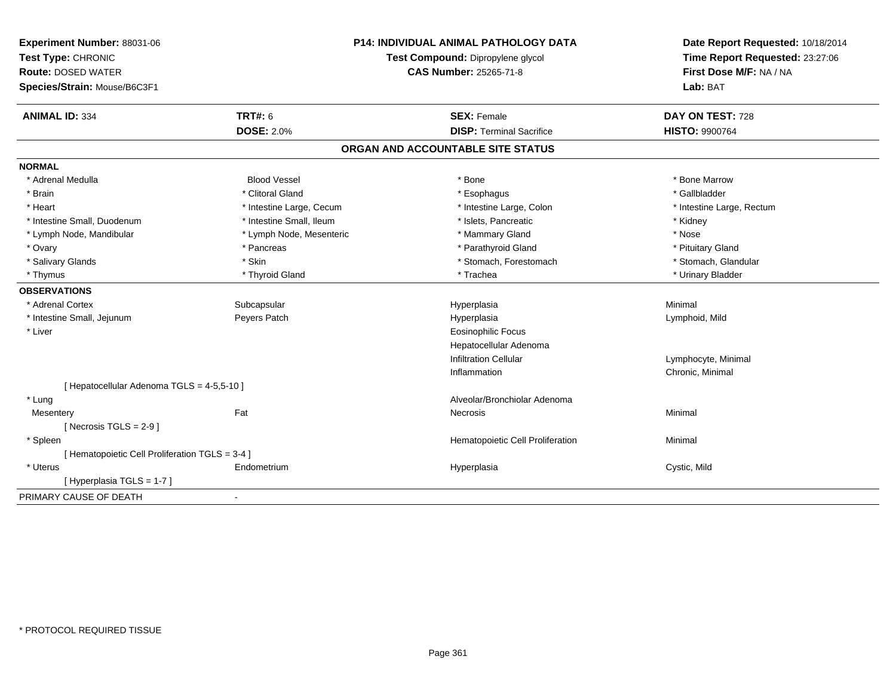| Experiment Number: 88031-06<br>Test Type: CHRONIC<br><b>Route: DOSED WATER</b><br>Species/Strain: Mouse/B6C3F1 | <b>P14: INDIVIDUAL ANIMAL PATHOLOGY DATA</b><br>Test Compound: Dipropylene glycol<br><b>CAS Number: 25265-71-8</b> |                                   | Date Report Requested: 10/18/2014<br>Time Report Requested: 23:27:06<br>First Dose M/F: NA / NA<br>Lab: BAT |
|----------------------------------------------------------------------------------------------------------------|--------------------------------------------------------------------------------------------------------------------|-----------------------------------|-------------------------------------------------------------------------------------------------------------|
| <b>ANIMAL ID: 334</b>                                                                                          | <b>TRT#: 6</b>                                                                                                     | <b>SEX: Female</b>                | DAY ON TEST: 728                                                                                            |
|                                                                                                                | <b>DOSE: 2.0%</b>                                                                                                  | <b>DISP: Terminal Sacrifice</b>   | HISTO: 9900764                                                                                              |
|                                                                                                                |                                                                                                                    | ORGAN AND ACCOUNTABLE SITE STATUS |                                                                                                             |
| <b>NORMAL</b>                                                                                                  |                                                                                                                    |                                   |                                                                                                             |
| * Adrenal Medulla                                                                                              | <b>Blood Vessel</b>                                                                                                | * Bone                            | * Bone Marrow                                                                                               |
| * Brain                                                                                                        | * Clitoral Gland                                                                                                   | * Esophagus                       | * Gallbladder                                                                                               |
| * Heart                                                                                                        | * Intestine Large, Cecum                                                                                           | * Intestine Large, Colon          | * Intestine Large, Rectum                                                                                   |
| * Intestine Small, Duodenum                                                                                    | * Intestine Small, Ileum                                                                                           | * Islets, Pancreatic              | * Kidney                                                                                                    |
| * Lymph Node, Mandibular                                                                                       | * Lymph Node, Mesenteric                                                                                           | * Mammary Gland                   | * Nose                                                                                                      |
| * Ovary                                                                                                        | * Pancreas                                                                                                         | * Parathyroid Gland               | * Pituitary Gland                                                                                           |
| * Salivary Glands                                                                                              | * Skin                                                                                                             | * Stomach, Forestomach            | * Stomach, Glandular                                                                                        |
| * Thymus                                                                                                       | * Thyroid Gland                                                                                                    | * Trachea                         | * Urinary Bladder                                                                                           |
| <b>OBSERVATIONS</b>                                                                                            |                                                                                                                    |                                   |                                                                                                             |
| * Adrenal Cortex                                                                                               | Subcapsular                                                                                                        | Hyperplasia                       | Minimal                                                                                                     |
| * Intestine Small, Jejunum                                                                                     | Peyers Patch                                                                                                       | Hyperplasia                       | Lymphoid, Mild                                                                                              |
| * Liver                                                                                                        |                                                                                                                    | <b>Eosinophilic Focus</b>         |                                                                                                             |
|                                                                                                                |                                                                                                                    | Hepatocellular Adenoma            |                                                                                                             |
|                                                                                                                |                                                                                                                    | <b>Infiltration Cellular</b>      | Lymphocyte, Minimal                                                                                         |
|                                                                                                                |                                                                                                                    | Inflammation                      | Chronic, Minimal                                                                                            |
| [ Hepatocellular Adenoma TGLS = 4-5,5-10 ]                                                                     |                                                                                                                    |                                   |                                                                                                             |
| * Lung                                                                                                         |                                                                                                                    | Alveolar/Bronchiolar Adenoma      |                                                                                                             |
| Mesentery                                                                                                      | Fat                                                                                                                | Necrosis                          | Minimal                                                                                                     |
| [Necrosis $TGLS = 2-9$ ]                                                                                       |                                                                                                                    |                                   |                                                                                                             |
| * Spleen                                                                                                       |                                                                                                                    | Hematopoietic Cell Proliferation  | Minimal                                                                                                     |
| [ Hematopoietic Cell Proliferation TGLS = 3-4 ]                                                                |                                                                                                                    |                                   |                                                                                                             |
| * Uterus                                                                                                       | Endometrium                                                                                                        | Hyperplasia                       | Cystic, Mild                                                                                                |
| [Hyperplasia TGLS = 1-7]                                                                                       |                                                                                                                    |                                   |                                                                                                             |
| PRIMARY CAUSE OF DEATH                                                                                         | $\blacksquare$                                                                                                     |                                   |                                                                                                             |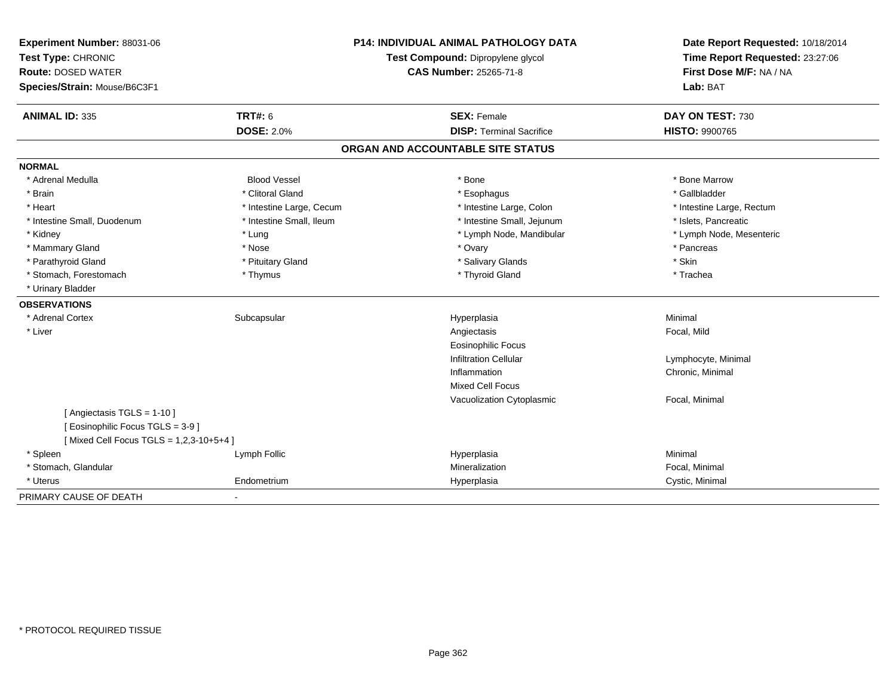| Experiment Number: 88031-06<br>Test Type: CHRONIC<br><b>Route: DOSED WATER</b> | <b>P14: INDIVIDUAL ANIMAL PATHOLOGY DATA</b><br>Test Compound: Dipropylene glycol<br><b>CAS Number: 25265-71-8</b> |                                   | Date Report Requested: 10/18/2014<br>Time Report Requested: 23:27:06<br>First Dose M/F: NA / NA |  |
|--------------------------------------------------------------------------------|--------------------------------------------------------------------------------------------------------------------|-----------------------------------|-------------------------------------------------------------------------------------------------|--|
| Species/Strain: Mouse/B6C3F1                                                   |                                                                                                                    |                                   | Lab: BAT                                                                                        |  |
| <b>ANIMAL ID: 335</b>                                                          | <b>TRT#: 6</b>                                                                                                     | <b>SEX: Female</b>                | DAY ON TEST: 730                                                                                |  |
|                                                                                | <b>DOSE: 2.0%</b>                                                                                                  | <b>DISP: Terminal Sacrifice</b>   | <b>HISTO: 9900765</b>                                                                           |  |
|                                                                                |                                                                                                                    | ORGAN AND ACCOUNTABLE SITE STATUS |                                                                                                 |  |
| <b>NORMAL</b>                                                                  |                                                                                                                    |                                   |                                                                                                 |  |
| * Adrenal Medulla                                                              | <b>Blood Vessel</b>                                                                                                | * Bone                            | * Bone Marrow                                                                                   |  |
| * Brain                                                                        | * Clitoral Gland                                                                                                   | * Esophagus                       | * Gallbladder                                                                                   |  |
| * Heart                                                                        | * Intestine Large, Cecum                                                                                           | * Intestine Large, Colon          | * Intestine Large, Rectum                                                                       |  |
| * Intestine Small, Duodenum                                                    | * Intestine Small, Ileum                                                                                           | * Intestine Small, Jejunum        | * Islets, Pancreatic                                                                            |  |
| * Kidney                                                                       | * Lung                                                                                                             | * Lymph Node, Mandibular          | * Lymph Node, Mesenteric                                                                        |  |
| * Mammary Gland                                                                | * Nose                                                                                                             | * Ovary                           | * Pancreas                                                                                      |  |
| * Parathyroid Gland                                                            | * Pituitary Gland                                                                                                  | * Salivary Glands                 | * Skin                                                                                          |  |
| * Stomach, Forestomach                                                         | * Thymus                                                                                                           | * Thyroid Gland                   | * Trachea                                                                                       |  |
| * Urinary Bladder                                                              |                                                                                                                    |                                   |                                                                                                 |  |
| <b>OBSERVATIONS</b>                                                            |                                                                                                                    |                                   |                                                                                                 |  |
| * Adrenal Cortex                                                               | Subcapsular                                                                                                        | Hyperplasia                       | Minimal                                                                                         |  |
| * Liver                                                                        |                                                                                                                    | Angiectasis                       | Focal, Mild                                                                                     |  |
|                                                                                |                                                                                                                    | <b>Eosinophilic Focus</b>         |                                                                                                 |  |
|                                                                                |                                                                                                                    | <b>Infiltration Cellular</b>      | Lymphocyte, Minimal                                                                             |  |
|                                                                                |                                                                                                                    | Inflammation                      | Chronic, Minimal                                                                                |  |
|                                                                                |                                                                                                                    | <b>Mixed Cell Focus</b>           |                                                                                                 |  |
|                                                                                |                                                                                                                    | Vacuolization Cytoplasmic         | Focal, Minimal                                                                                  |  |
| [ Angiectasis TGLS = 1-10 ]                                                    |                                                                                                                    |                                   |                                                                                                 |  |
| [ Eosinophilic Focus TGLS = 3-9 ]                                              |                                                                                                                    |                                   |                                                                                                 |  |
| [Mixed Cell Focus TGLS = 1,2,3-10+5+4]                                         |                                                                                                                    |                                   |                                                                                                 |  |
| * Spleen                                                                       | Lymph Follic                                                                                                       | Hyperplasia                       | Minimal                                                                                         |  |
| * Stomach, Glandular                                                           |                                                                                                                    | Mineralization                    | Focal, Minimal                                                                                  |  |
| * Uterus                                                                       | Endometrium                                                                                                        | Hyperplasia                       | Cystic, Minimal                                                                                 |  |
| PRIMARY CAUSE OF DEATH                                                         |                                                                                                                    |                                   |                                                                                                 |  |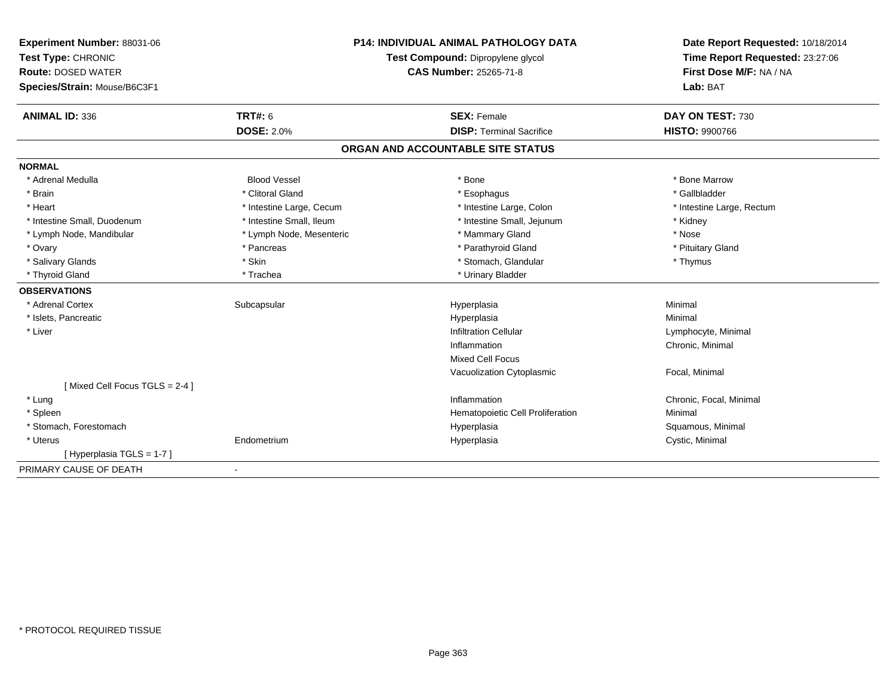| <b>Experiment Number: 88031-06</b><br>Test Type: CHRONIC<br><b>Route: DOSED WATER</b><br>Species/Strain: Mouse/B6C3F1 |                          | <b>P14: INDIVIDUAL ANIMAL PATHOLOGY DATA</b><br>Test Compound: Dipropylene glycol<br>CAS Number: 25265-71-8 | Date Report Requested: 10/18/2014<br>Time Report Requested: 23:27:06<br>First Dose M/F: NA / NA<br>Lab: BAT |
|-----------------------------------------------------------------------------------------------------------------------|--------------------------|-------------------------------------------------------------------------------------------------------------|-------------------------------------------------------------------------------------------------------------|
| <b>ANIMAL ID: 336</b>                                                                                                 | <b>TRT#: 6</b>           | <b>SEX: Female</b>                                                                                          | DAY ON TEST: 730                                                                                            |
|                                                                                                                       | <b>DOSE: 2.0%</b>        | <b>DISP: Terminal Sacrifice</b>                                                                             | <b>HISTO: 9900766</b>                                                                                       |
|                                                                                                                       |                          | ORGAN AND ACCOUNTABLE SITE STATUS                                                                           |                                                                                                             |
| <b>NORMAL</b>                                                                                                         |                          |                                                                                                             |                                                                                                             |
| * Adrenal Medulla                                                                                                     | <b>Blood Vessel</b>      | * Bone                                                                                                      | * Bone Marrow                                                                                               |
| * Brain                                                                                                               | * Clitoral Gland         | * Esophagus                                                                                                 | * Gallbladder                                                                                               |
| * Heart                                                                                                               | * Intestine Large, Cecum | * Intestine Large, Colon                                                                                    | * Intestine Large, Rectum                                                                                   |
| * Intestine Small, Duodenum                                                                                           | * Intestine Small, Ileum | * Intestine Small, Jejunum                                                                                  | * Kidney                                                                                                    |
| * Lymph Node, Mandibular                                                                                              | * Lymph Node, Mesenteric | * Mammary Gland                                                                                             | * Nose                                                                                                      |
| * Ovary                                                                                                               | * Pancreas               | * Parathyroid Gland                                                                                         | * Pituitary Gland                                                                                           |
| * Salivary Glands                                                                                                     | * Skin                   | * Stomach, Glandular                                                                                        | * Thymus                                                                                                    |
| * Thyroid Gland                                                                                                       | * Trachea                | * Urinary Bladder                                                                                           |                                                                                                             |
| <b>OBSERVATIONS</b>                                                                                                   |                          |                                                                                                             |                                                                                                             |
| * Adrenal Cortex                                                                                                      | Subcapsular              | Hyperplasia                                                                                                 | Minimal                                                                                                     |
| * Islets, Pancreatic                                                                                                  |                          | Hyperplasia                                                                                                 | Minimal                                                                                                     |
| * Liver                                                                                                               |                          | <b>Infiltration Cellular</b>                                                                                | Lymphocyte, Minimal                                                                                         |
|                                                                                                                       |                          | Inflammation                                                                                                | Chronic, Minimal                                                                                            |
|                                                                                                                       |                          | <b>Mixed Cell Focus</b>                                                                                     |                                                                                                             |
|                                                                                                                       |                          | Vacuolization Cytoplasmic                                                                                   | Focal, Minimal                                                                                              |
| [Mixed Cell Focus TGLS = 2-4]                                                                                         |                          |                                                                                                             |                                                                                                             |
| * Lung                                                                                                                |                          | Inflammation                                                                                                | Chronic, Focal, Minimal                                                                                     |
| * Spleen                                                                                                              |                          | Hematopoietic Cell Proliferation                                                                            | Minimal                                                                                                     |
| * Stomach, Forestomach                                                                                                |                          | Hyperplasia                                                                                                 | Squamous, Minimal                                                                                           |
| * Uterus                                                                                                              | Endometrium              | Hyperplasia                                                                                                 | Cystic, Minimal                                                                                             |
| [Hyperplasia TGLS = 1-7]                                                                                              |                          |                                                                                                             |                                                                                                             |
| PRIMARY CAUSE OF DEATH                                                                                                | $\blacksquare$           |                                                                                                             |                                                                                                             |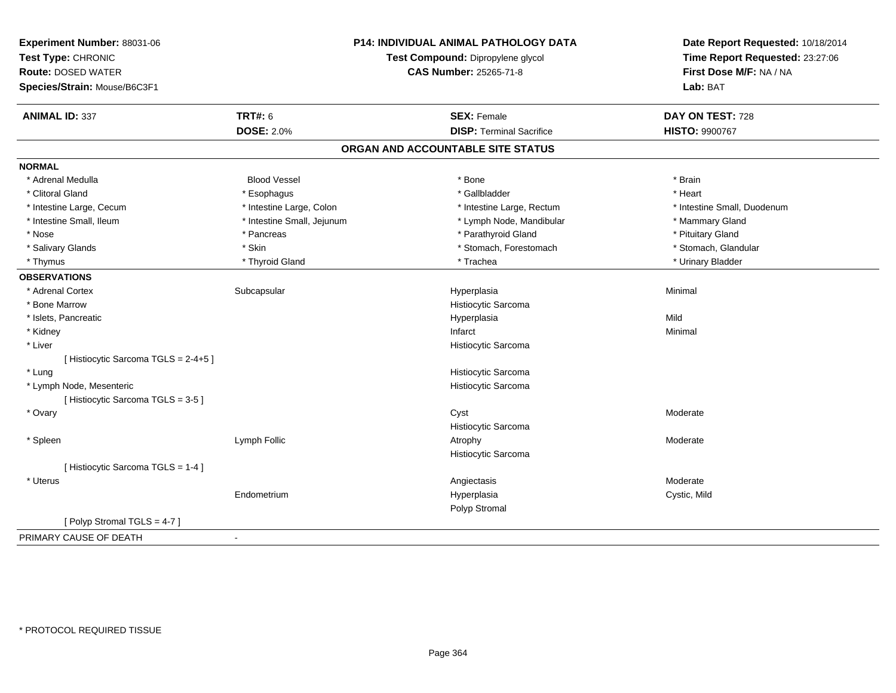| Experiment Number: 88031-06<br>Test Type: CHRONIC<br><b>Route: DOSED WATER</b> |                            | <b>P14: INDIVIDUAL ANIMAL PATHOLOGY DATA</b><br>Test Compound: Dipropylene glycol<br><b>CAS Number: 25265-71-8</b> | Date Report Requested: 10/18/2014<br>Time Report Requested: 23:27:06<br>First Dose M/F: NA / NA |  |
|--------------------------------------------------------------------------------|----------------------------|--------------------------------------------------------------------------------------------------------------------|-------------------------------------------------------------------------------------------------|--|
| Species/Strain: Mouse/B6C3F1                                                   |                            |                                                                                                                    | Lab: BAT                                                                                        |  |
| <b>ANIMAL ID: 337</b>                                                          | <b>TRT#: 6</b>             | <b>SEX: Female</b>                                                                                                 | DAY ON TEST: 728                                                                                |  |
|                                                                                | <b>DOSE: 2.0%</b>          | <b>DISP: Terminal Sacrifice</b>                                                                                    | HISTO: 9900767                                                                                  |  |
|                                                                                |                            | ORGAN AND ACCOUNTABLE SITE STATUS                                                                                  |                                                                                                 |  |
| <b>NORMAL</b>                                                                  |                            |                                                                                                                    |                                                                                                 |  |
| * Adrenal Medulla                                                              | <b>Blood Vessel</b>        | * Bone                                                                                                             | * Brain                                                                                         |  |
| * Clitoral Gland                                                               | * Esophagus                | * Gallbladder                                                                                                      | * Heart                                                                                         |  |
| * Intestine Large, Cecum                                                       | * Intestine Large, Colon   | * Intestine Large, Rectum                                                                                          | * Intestine Small, Duodenum                                                                     |  |
| * Intestine Small, Ileum                                                       | * Intestine Small, Jejunum | * Lymph Node, Mandibular                                                                                           | * Mammary Gland                                                                                 |  |
| * Nose                                                                         | * Pancreas                 | * Parathyroid Gland                                                                                                | * Pituitary Gland                                                                               |  |
| * Salivary Glands                                                              | * Skin                     | * Stomach, Forestomach                                                                                             | * Stomach, Glandular                                                                            |  |
| * Thymus                                                                       | * Thyroid Gland            | * Trachea                                                                                                          | * Urinary Bladder                                                                               |  |
| <b>OBSERVATIONS</b>                                                            |                            |                                                                                                                    |                                                                                                 |  |
| * Adrenal Cortex                                                               | Subcapsular                | Hyperplasia                                                                                                        | Minimal                                                                                         |  |
| * Bone Marrow                                                                  |                            | Histiocytic Sarcoma                                                                                                |                                                                                                 |  |
| * Islets, Pancreatic                                                           |                            | Hyperplasia                                                                                                        | Mild                                                                                            |  |
| * Kidney                                                                       |                            | Infarct                                                                                                            | Minimal                                                                                         |  |
| * Liver                                                                        |                            | Histiocytic Sarcoma                                                                                                |                                                                                                 |  |
| [ Histiocytic Sarcoma TGLS = 2-4+5 ]                                           |                            |                                                                                                                    |                                                                                                 |  |
| * Lung                                                                         |                            | Histiocytic Sarcoma                                                                                                |                                                                                                 |  |
| * Lymph Node, Mesenteric                                                       |                            | Histiocytic Sarcoma                                                                                                |                                                                                                 |  |
| [Histiocytic Sarcoma TGLS = 3-5]                                               |                            |                                                                                                                    |                                                                                                 |  |
| * Ovary                                                                        |                            | Cyst                                                                                                               | Moderate                                                                                        |  |
|                                                                                |                            | Histiocytic Sarcoma                                                                                                |                                                                                                 |  |
| * Spleen                                                                       | Lymph Follic               | Atrophy                                                                                                            | Moderate                                                                                        |  |
|                                                                                |                            | Histiocytic Sarcoma                                                                                                |                                                                                                 |  |
| [ Histiocytic Sarcoma TGLS = 1-4 ]                                             |                            |                                                                                                                    |                                                                                                 |  |
| * Uterus                                                                       |                            | Angiectasis                                                                                                        | Moderate                                                                                        |  |
|                                                                                | Endometrium                | Hyperplasia                                                                                                        | Cystic, Mild                                                                                    |  |
|                                                                                |                            | Polyp Stromal                                                                                                      |                                                                                                 |  |
| [Polyp Stromal TGLS = 4-7]                                                     |                            |                                                                                                                    |                                                                                                 |  |
| PRIMARY CAUSE OF DEATH                                                         | $\blacksquare$             |                                                                                                                    |                                                                                                 |  |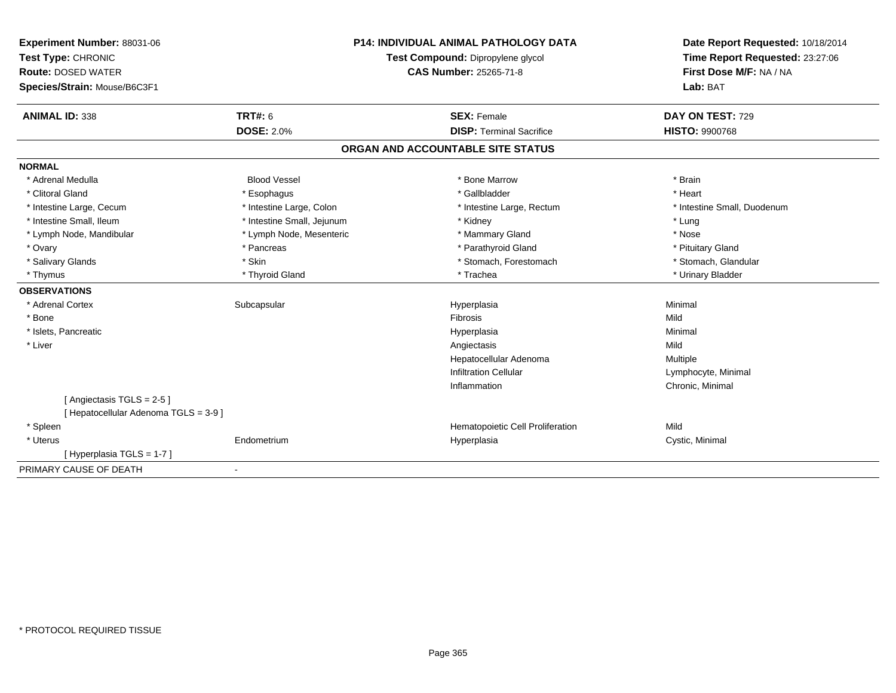| Experiment Number: 88031-06                     |                            | <b>P14: INDIVIDUAL ANIMAL PATHOLOGY DATA</b>                       | Date Report Requested: 10/18/2014<br>Time Report Requested: 23:27:06 |  |
|-------------------------------------------------|----------------------------|--------------------------------------------------------------------|----------------------------------------------------------------------|--|
| Test Type: CHRONIC<br><b>Route: DOSED WATER</b> |                            | Test Compound: Dipropylene glycol<br><b>CAS Number: 25265-71-8</b> | First Dose M/F: NA / NA                                              |  |
|                                                 |                            |                                                                    |                                                                      |  |
| Species/Strain: Mouse/B6C3F1                    |                            |                                                                    | Lab: BAT                                                             |  |
| <b>ANIMAL ID: 338</b>                           | TRT#: 6                    | <b>SEX: Female</b>                                                 | DAY ON TEST: 729                                                     |  |
|                                                 | <b>DOSE: 2.0%</b>          | <b>DISP: Terminal Sacrifice</b>                                    | <b>HISTO: 9900768</b>                                                |  |
|                                                 |                            | ORGAN AND ACCOUNTABLE SITE STATUS                                  |                                                                      |  |
| <b>NORMAL</b>                                   |                            |                                                                    |                                                                      |  |
| * Adrenal Medulla                               | <b>Blood Vessel</b>        | * Bone Marrow                                                      | * Brain                                                              |  |
| * Clitoral Gland                                | * Esophagus                | * Gallbladder                                                      | * Heart                                                              |  |
| * Intestine Large, Cecum                        | * Intestine Large, Colon   | * Intestine Large, Rectum                                          | * Intestine Small, Duodenum                                          |  |
| * Intestine Small, Ileum                        | * Intestine Small, Jejunum | * Kidney                                                           | * Lung                                                               |  |
| * Lymph Node, Mandibular                        | * Lymph Node, Mesenteric   | * Mammary Gland                                                    | * Nose                                                               |  |
| * Ovary                                         | * Pancreas                 | * Parathyroid Gland                                                | * Pituitary Gland                                                    |  |
| * Salivary Glands                               | * Skin                     | * Stomach, Forestomach                                             | * Stomach, Glandular                                                 |  |
| * Thymus                                        | * Thyroid Gland            | * Trachea                                                          | * Urinary Bladder                                                    |  |
| <b>OBSERVATIONS</b>                             |                            |                                                                    |                                                                      |  |
| * Adrenal Cortex                                | Subcapsular                | Hyperplasia                                                        | Minimal                                                              |  |
| * Bone                                          |                            | Fibrosis                                                           | Mild                                                                 |  |
| * Islets, Pancreatic                            |                            | Hyperplasia                                                        | Minimal                                                              |  |
| * Liver                                         |                            | Angiectasis                                                        | Mild                                                                 |  |
|                                                 |                            | Hepatocellular Adenoma                                             | Multiple                                                             |  |
|                                                 |                            | <b>Infiltration Cellular</b>                                       | Lymphocyte, Minimal                                                  |  |
|                                                 |                            | Inflammation                                                       | Chronic, Minimal                                                     |  |
| [Angiectasis TGLS = 2-5]                        |                            |                                                                    |                                                                      |  |
| [ Hepatocellular Adenoma TGLS = 3-9 ]           |                            |                                                                    |                                                                      |  |
| * Spleen                                        |                            | Hematopoietic Cell Proliferation                                   | Mild                                                                 |  |
| * Uterus                                        | Endometrium                | Hyperplasia                                                        | Cystic, Minimal                                                      |  |
| [Hyperplasia TGLS = 1-7]                        |                            |                                                                    |                                                                      |  |
| PRIMARY CAUSE OF DEATH                          | $\blacksquare$             |                                                                    |                                                                      |  |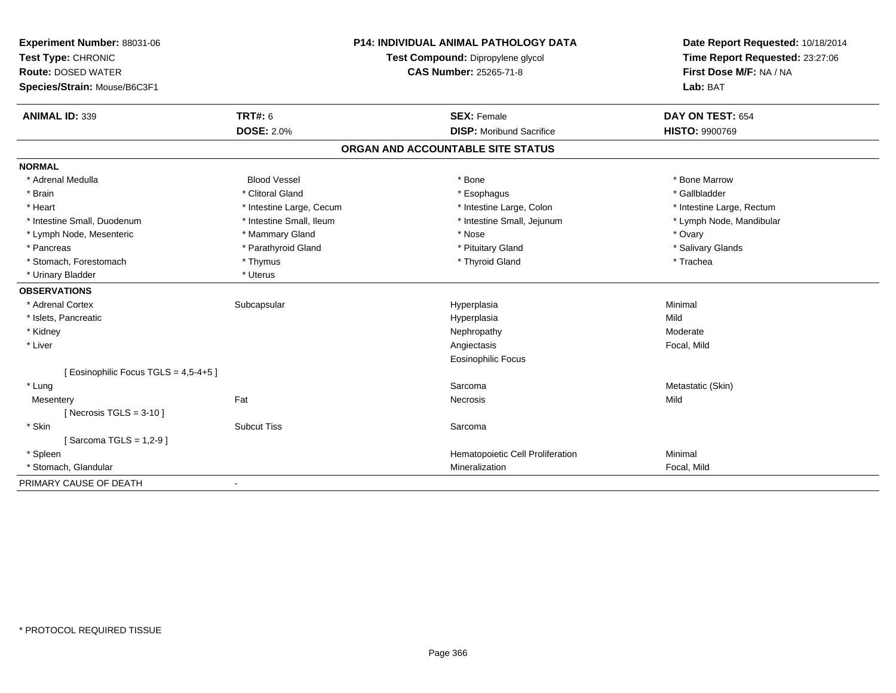| Experiment Number: 88031-06<br>Test Type: CHRONIC<br><b>Route: DOSED WATER</b> |                          | <b>P14: INDIVIDUAL ANIMAL PATHOLOGY DATA</b> | Date Report Requested: 10/18/2014                          |
|--------------------------------------------------------------------------------|--------------------------|----------------------------------------------|------------------------------------------------------------|
|                                                                                |                          | Test Compound: Dipropylene glycol            | Time Report Requested: 23:27:06<br>First Dose M/F: NA / NA |
|                                                                                |                          | <b>CAS Number: 25265-71-8</b>                |                                                            |
| Species/Strain: Mouse/B6C3F1                                                   |                          |                                              | Lab: BAT                                                   |
| <b>ANIMAL ID: 339</b>                                                          | <b>TRT#: 6</b>           | <b>SEX: Female</b>                           | DAY ON TEST: 654                                           |
|                                                                                | <b>DOSE: 2.0%</b>        | <b>DISP:</b> Moribund Sacrifice              | <b>HISTO: 9900769</b>                                      |
|                                                                                |                          | ORGAN AND ACCOUNTABLE SITE STATUS            |                                                            |
| <b>NORMAL</b>                                                                  |                          |                                              |                                                            |
| * Adrenal Medulla                                                              | <b>Blood Vessel</b>      | * Bone                                       | * Bone Marrow                                              |
| * Brain                                                                        | * Clitoral Gland         | * Esophagus                                  | * Gallbladder                                              |
| * Heart                                                                        | * Intestine Large, Cecum | * Intestine Large, Colon                     | * Intestine Large, Rectum                                  |
| * Intestine Small, Duodenum                                                    | * Intestine Small, Ileum | * Intestine Small, Jejunum                   | * Lymph Node, Mandibular                                   |
| * Lymph Node, Mesenteric                                                       | * Mammary Gland          | * Nose                                       | * Ovary                                                    |
| * Pancreas                                                                     | * Parathyroid Gland      | * Pituitary Gland                            | * Salivary Glands                                          |
| * Stomach, Forestomach                                                         | * Thymus                 | * Thyroid Gland                              | * Trachea                                                  |
| * Urinary Bladder                                                              | * Uterus                 |                                              |                                                            |
| <b>OBSERVATIONS</b>                                                            |                          |                                              |                                                            |
| * Adrenal Cortex                                                               | Subcapsular              | Hyperplasia                                  | Minimal                                                    |
| * Islets, Pancreatic                                                           |                          | Hyperplasia                                  | Mild                                                       |
| * Kidney                                                                       |                          | Nephropathy                                  | Moderate                                                   |
| * Liver                                                                        |                          | Angiectasis                                  | Focal, Mild                                                |
|                                                                                |                          | Eosinophilic Focus                           |                                                            |
| [ Eosinophilic Focus TGLS = 4,5-4+5 ]                                          |                          |                                              |                                                            |
| * Lung                                                                         |                          | Sarcoma                                      | Metastatic (Skin)                                          |
| Mesentery                                                                      | Fat                      | Necrosis                                     | Mild                                                       |
| [ Necrosis $TGLS = 3-10$ ]                                                     |                          |                                              |                                                            |
| * Skin                                                                         | <b>Subcut Tiss</b>       | Sarcoma                                      |                                                            |
| [Sarcoma TGLS = $1,2-9$ ]                                                      |                          |                                              |                                                            |
| * Spleen                                                                       |                          | Hematopoietic Cell Proliferation             | Minimal                                                    |
| * Stomach, Glandular                                                           |                          | Mineralization                               | Focal, Mild                                                |
| PRIMARY CAUSE OF DEATH                                                         |                          |                                              |                                                            |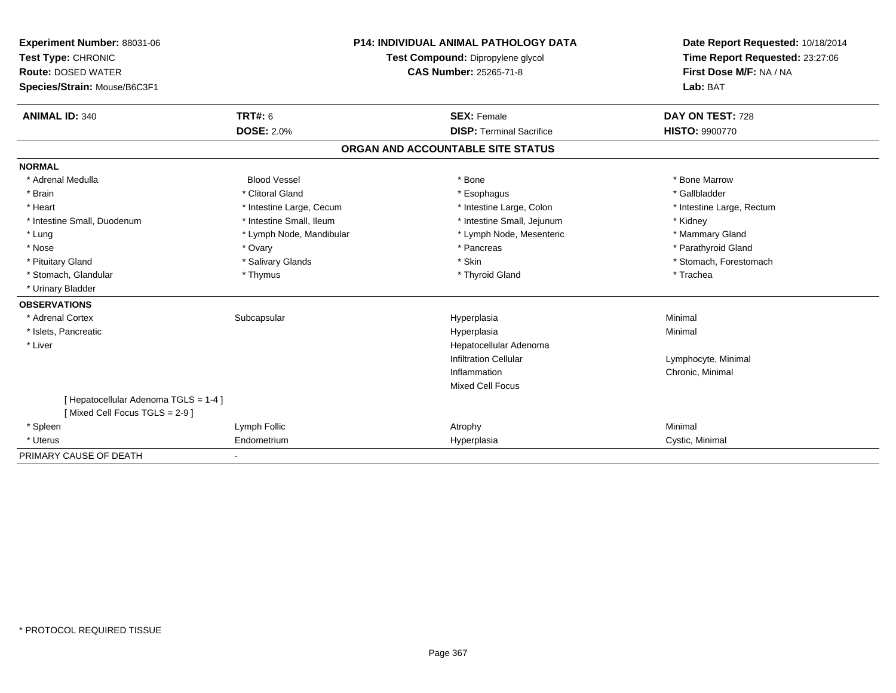| Experiment Number: 88031-06           |                          | <b>P14: INDIVIDUAL ANIMAL PATHOLOGY DATA</b> |                                   | Date Report Requested: 10/18/2014 |  |
|---------------------------------------|--------------------------|----------------------------------------------|-----------------------------------|-----------------------------------|--|
| Test Type: CHRONIC                    |                          |                                              | Test Compound: Dipropylene glycol | Time Report Requested: 23:27:06   |  |
| <b>Route: DOSED WATER</b>             |                          |                                              | <b>CAS Number: 25265-71-8</b>     | First Dose M/F: NA / NA           |  |
| Species/Strain: Mouse/B6C3F1          |                          |                                              |                                   | Lab: BAT                          |  |
| <b>ANIMAL ID: 340</b>                 | <b>TRT#: 6</b>           |                                              | <b>SEX: Female</b>                | DAY ON TEST: 728                  |  |
|                                       | <b>DOSE: 2.0%</b>        |                                              | <b>DISP: Terminal Sacrifice</b>   | <b>HISTO: 9900770</b>             |  |
|                                       |                          |                                              | ORGAN AND ACCOUNTABLE SITE STATUS |                                   |  |
| <b>NORMAL</b>                         |                          |                                              |                                   |                                   |  |
| * Adrenal Medulla                     | <b>Blood Vessel</b>      |                                              | * Bone                            | * Bone Marrow                     |  |
| * Brain                               | * Clitoral Gland         |                                              | * Esophagus                       | * Gallbladder                     |  |
| * Heart                               | * Intestine Large, Cecum |                                              | * Intestine Large, Colon          | * Intestine Large, Rectum         |  |
| * Intestine Small, Duodenum           | * Intestine Small, Ileum |                                              | * Intestine Small, Jejunum        | * Kidney                          |  |
| * Lung                                | * Lymph Node, Mandibular |                                              | * Lymph Node, Mesenteric          | * Mammary Gland                   |  |
| * Nose                                | * Ovary                  |                                              | * Pancreas                        | * Parathyroid Gland               |  |
| * Pituitary Gland                     | * Salivary Glands        |                                              | * Skin                            | * Stomach, Forestomach            |  |
| * Stomach, Glandular                  | * Thymus                 |                                              | * Thyroid Gland                   | * Trachea                         |  |
| * Urinary Bladder                     |                          |                                              |                                   |                                   |  |
| <b>OBSERVATIONS</b>                   |                          |                                              |                                   |                                   |  |
| * Adrenal Cortex                      | Subcapsular              |                                              | Hyperplasia                       | Minimal                           |  |
| * Islets, Pancreatic                  |                          |                                              | Hyperplasia                       | Minimal                           |  |
| * Liver                               |                          |                                              | Hepatocellular Adenoma            |                                   |  |
|                                       |                          |                                              | <b>Infiltration Cellular</b>      | Lymphocyte, Minimal               |  |
|                                       |                          |                                              | Inflammation                      | Chronic, Minimal                  |  |
|                                       |                          |                                              | <b>Mixed Cell Focus</b>           |                                   |  |
| [ Hepatocellular Adenoma TGLS = 1-4 ] |                          |                                              |                                   |                                   |  |
| [Mixed Cell Focus TGLS = 2-9]         |                          |                                              |                                   |                                   |  |
| * Spleen                              | Lymph Follic             |                                              | Atrophy                           | Minimal                           |  |
| * Uterus                              | Endometrium              |                                              | Hyperplasia                       | Cystic, Minimal                   |  |
| PRIMARY CAUSE OF DEATH                |                          |                                              |                                   |                                   |  |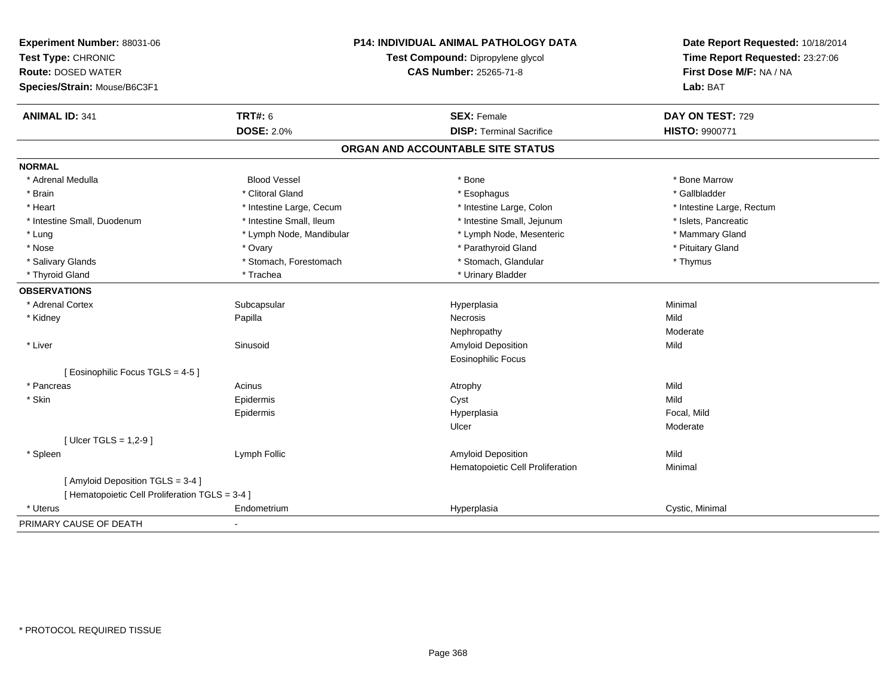| Experiment Number: 88031-06<br>Test Type: CHRONIC<br><b>Route: DOSED WATER</b><br>Species/Strain: Mouse/B6C3F1 |                          | P14: INDIVIDUAL ANIMAL PATHOLOGY DATA<br>Test Compound: Dipropylene glycol<br><b>CAS Number: 25265-71-8</b> | Date Report Requested: 10/18/2014<br>Time Report Requested: 23:27:06<br>First Dose M/F: NA / NA<br>Lab: BAT |  |
|----------------------------------------------------------------------------------------------------------------|--------------------------|-------------------------------------------------------------------------------------------------------------|-------------------------------------------------------------------------------------------------------------|--|
| <b>ANIMAL ID: 341</b>                                                                                          | TRT#: 6                  | <b>SEX: Female</b>                                                                                          | DAY ON TEST: 729                                                                                            |  |
|                                                                                                                | <b>DOSE: 2.0%</b>        | <b>DISP: Terminal Sacrifice</b>                                                                             | <b>HISTO: 9900771</b>                                                                                       |  |
|                                                                                                                |                          | ORGAN AND ACCOUNTABLE SITE STATUS                                                                           |                                                                                                             |  |
| <b>NORMAL</b>                                                                                                  |                          |                                                                                                             |                                                                                                             |  |
| * Adrenal Medulla                                                                                              | <b>Blood Vessel</b>      | * Bone                                                                                                      | * Bone Marrow                                                                                               |  |
| * Brain                                                                                                        | * Clitoral Gland         | * Esophagus                                                                                                 | * Gallbladder                                                                                               |  |
| * Heart                                                                                                        | * Intestine Large, Cecum | * Intestine Large, Colon                                                                                    | * Intestine Large, Rectum                                                                                   |  |
| * Intestine Small, Duodenum                                                                                    | * Intestine Small, Ileum | * Intestine Small, Jejunum                                                                                  | * Islets, Pancreatic                                                                                        |  |
| * Lung                                                                                                         | * Lymph Node, Mandibular | * Lymph Node, Mesenteric                                                                                    | * Mammary Gland                                                                                             |  |
| * Nose                                                                                                         | * Ovary                  | * Parathyroid Gland                                                                                         | * Pituitary Gland                                                                                           |  |
| * Salivary Glands                                                                                              | * Stomach, Forestomach   | * Stomach, Glandular                                                                                        | * Thymus                                                                                                    |  |
| * Thyroid Gland                                                                                                | * Trachea                | * Urinary Bladder                                                                                           |                                                                                                             |  |
| <b>OBSERVATIONS</b>                                                                                            |                          |                                                                                                             |                                                                                                             |  |
| * Adrenal Cortex                                                                                               | Subcapsular              | Hyperplasia                                                                                                 | Minimal                                                                                                     |  |
| * Kidney                                                                                                       | Papilla                  | Necrosis                                                                                                    | Mild                                                                                                        |  |
|                                                                                                                |                          | Nephropathy                                                                                                 | Moderate                                                                                                    |  |
| * Liver                                                                                                        | Sinusoid                 | Amyloid Deposition                                                                                          | Mild                                                                                                        |  |
|                                                                                                                |                          | <b>Eosinophilic Focus</b>                                                                                   |                                                                                                             |  |
| [Eosinophilic Focus TGLS = 4-5]                                                                                |                          |                                                                                                             |                                                                                                             |  |
| * Pancreas                                                                                                     | Acinus                   | Atrophy                                                                                                     | Mild                                                                                                        |  |
| * Skin                                                                                                         | Epidermis                | Cyst                                                                                                        | Mild                                                                                                        |  |
|                                                                                                                | Epidermis                | Hyperplasia                                                                                                 | Focal, Mild                                                                                                 |  |
|                                                                                                                |                          | Ulcer                                                                                                       | Moderate                                                                                                    |  |
| [ Ulcer TGLS = 1,2-9 ]                                                                                         |                          |                                                                                                             |                                                                                                             |  |
| * Spleen                                                                                                       | Lymph Follic             | Amyloid Deposition                                                                                          | Mild                                                                                                        |  |
|                                                                                                                |                          | Hematopoietic Cell Proliferation                                                                            | Minimal                                                                                                     |  |
| [ Amyloid Deposition TGLS = 3-4 ]                                                                              |                          |                                                                                                             |                                                                                                             |  |
| [ Hematopoietic Cell Proliferation TGLS = 3-4 ]                                                                |                          |                                                                                                             |                                                                                                             |  |
| * Uterus                                                                                                       | Endometrium              | Hyperplasia                                                                                                 | Cystic, Minimal                                                                                             |  |
| PRIMARY CAUSE OF DEATH                                                                                         | $\blacksquare$           |                                                                                                             |                                                                                                             |  |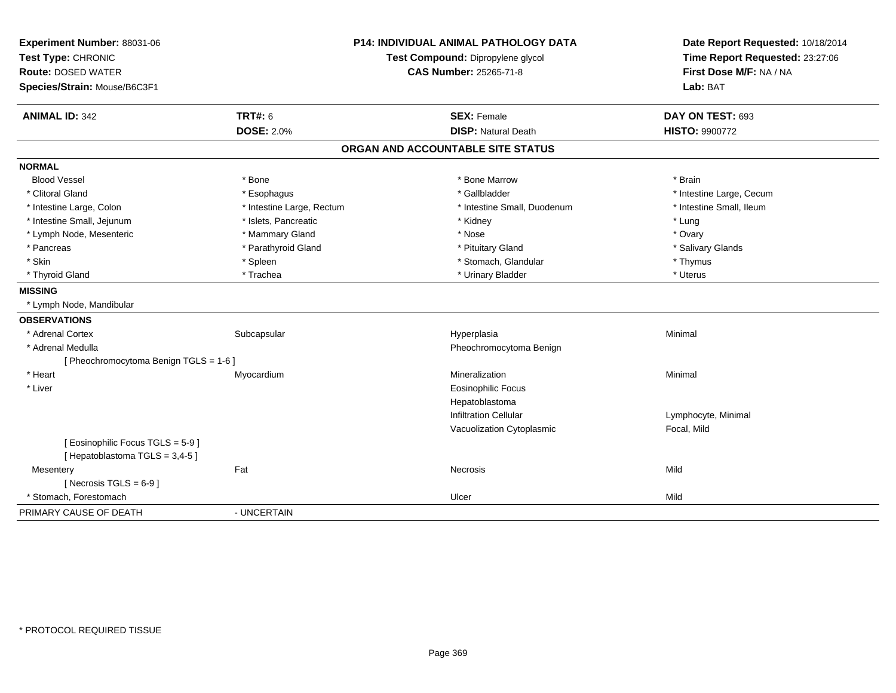| Experiment Number: 88031-06            | <b>P14: INDIVIDUAL ANIMAL PATHOLOGY DATA</b> |                                   | Date Report Requested: 10/18/2014 |  |
|----------------------------------------|----------------------------------------------|-----------------------------------|-----------------------------------|--|
| Test Type: CHRONIC                     |                                              | Test Compound: Dipropylene glycol | Time Report Requested: 23:27:06   |  |
| <b>Route: DOSED WATER</b>              |                                              | <b>CAS Number: 25265-71-8</b>     | First Dose M/F: NA / NA           |  |
| Species/Strain: Mouse/B6C3F1           |                                              |                                   | Lab: BAT                          |  |
| <b>ANIMAL ID: 342</b>                  | <b>TRT#: 6</b>                               | <b>SEX: Female</b>                | DAY ON TEST: 693                  |  |
|                                        | <b>DOSE: 2.0%</b>                            | <b>DISP: Natural Death</b>        | <b>HISTO: 9900772</b>             |  |
|                                        |                                              | ORGAN AND ACCOUNTABLE SITE STATUS |                                   |  |
| <b>NORMAL</b>                          |                                              |                                   |                                   |  |
| <b>Blood Vessel</b>                    | * Bone                                       | * Bone Marrow                     | * Brain                           |  |
| * Clitoral Gland                       | * Esophagus                                  | * Gallbladder                     | * Intestine Large, Cecum          |  |
| * Intestine Large, Colon               | * Intestine Large, Rectum                    | * Intestine Small, Duodenum       | * Intestine Small, Ileum          |  |
| * Intestine Small, Jejunum             | * Islets, Pancreatic                         | * Kidney                          | * Lung                            |  |
| * Lymph Node, Mesenteric               | * Mammary Gland                              | * Nose                            | * Ovary                           |  |
| * Pancreas                             | * Parathyroid Gland                          | * Pituitary Gland                 | * Salivary Glands                 |  |
| * Skin                                 | * Spleen                                     | * Stomach, Glandular              | * Thymus                          |  |
| * Thyroid Gland                        | * Trachea                                    | * Urinary Bladder                 | * Uterus                          |  |
| <b>MISSING</b>                         |                                              |                                   |                                   |  |
| * Lymph Node, Mandibular               |                                              |                                   |                                   |  |
| <b>OBSERVATIONS</b>                    |                                              |                                   |                                   |  |
| * Adrenal Cortex                       | Subcapsular                                  | Hyperplasia                       | Minimal                           |  |
| * Adrenal Medulla                      |                                              | Pheochromocytoma Benign           |                                   |  |
| [ Pheochromocytoma Benign TGLS = 1-6 ] |                                              |                                   |                                   |  |
| * Heart                                | Myocardium                                   | Mineralization                    | Minimal                           |  |
| * Liver                                |                                              | <b>Eosinophilic Focus</b>         |                                   |  |
|                                        |                                              | Hepatoblastoma                    |                                   |  |
|                                        |                                              | <b>Infiltration Cellular</b>      | Lymphocyte, Minimal               |  |
|                                        |                                              | Vacuolization Cytoplasmic         | Focal, Mild                       |  |
| [ Eosinophilic Focus TGLS = 5-9 ]      |                                              |                                   |                                   |  |
| [Hepatoblastoma TGLS = 3,4-5]          |                                              |                                   |                                   |  |
| Mesentery                              | Fat                                          | <b>Necrosis</b>                   | Mild                              |  |
| [ Necrosis TGLS = $6-9$ ]              |                                              |                                   |                                   |  |
| * Stomach, Forestomach                 |                                              | Ulcer                             | Mild                              |  |
| PRIMARY CAUSE OF DEATH                 | - UNCERTAIN                                  |                                   |                                   |  |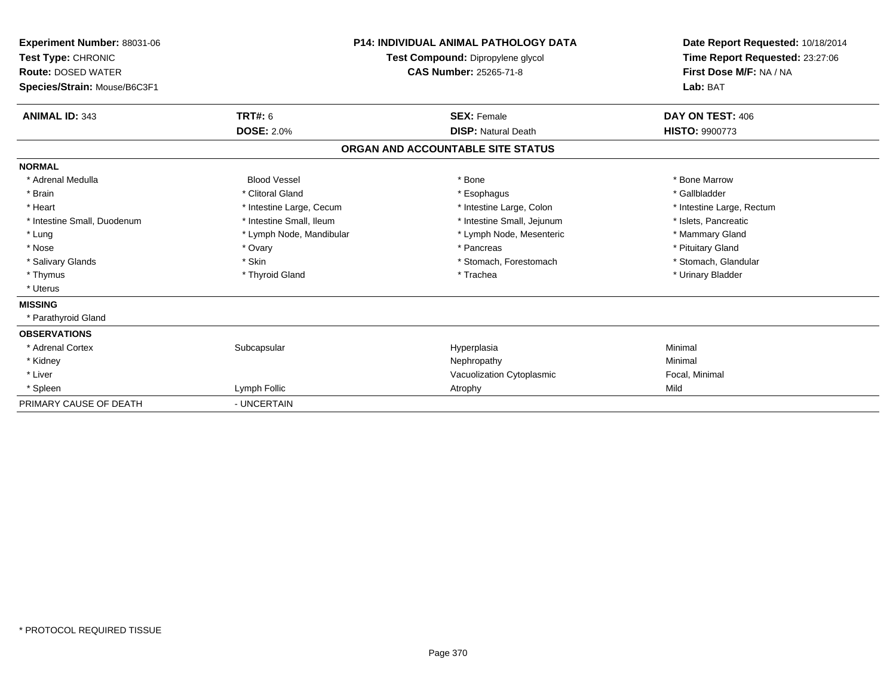| <b>Experiment Number: 88031-06</b><br>Test Type: CHRONIC<br><b>Route: DOSED WATER</b><br>Species/Strain: Mouse/B6C3F1 |                          | <b>P14: INDIVIDUAL ANIMAL PATHOLOGY DATA</b><br>Test Compound: Dipropylene glycol<br><b>CAS Number: 25265-71-8</b> | Date Report Requested: 10/18/2014<br>Time Report Requested: 23:27:06<br>First Dose M/F: NA / NA<br>Lab: BAT |
|-----------------------------------------------------------------------------------------------------------------------|--------------------------|--------------------------------------------------------------------------------------------------------------------|-------------------------------------------------------------------------------------------------------------|
| <b>ANIMAL ID: 343</b>                                                                                                 | TRT#: 6                  | <b>SEX: Female</b>                                                                                                 | DAY ON TEST: 406                                                                                            |
|                                                                                                                       | <b>DOSE: 2.0%</b>        | <b>DISP: Natural Death</b>                                                                                         | <b>HISTO: 9900773</b>                                                                                       |
|                                                                                                                       |                          | ORGAN AND ACCOUNTABLE SITE STATUS                                                                                  |                                                                                                             |
| <b>NORMAL</b>                                                                                                         |                          |                                                                                                                    |                                                                                                             |
| * Adrenal Medulla                                                                                                     | <b>Blood Vessel</b>      | * Bone                                                                                                             | * Bone Marrow                                                                                               |
| * Brain                                                                                                               | * Clitoral Gland         | * Esophagus                                                                                                        | * Gallbladder                                                                                               |
| * Heart                                                                                                               | * Intestine Large, Cecum | * Intestine Large, Colon                                                                                           | * Intestine Large, Rectum                                                                                   |
| * Intestine Small, Duodenum                                                                                           | * Intestine Small, Ileum | * Intestine Small, Jejunum                                                                                         | * Islets, Pancreatic                                                                                        |
| * Lung                                                                                                                | * Lymph Node, Mandibular | * Lymph Node, Mesenteric                                                                                           | * Mammary Gland                                                                                             |
| * Nose                                                                                                                | * Ovary                  | * Pancreas                                                                                                         | * Pituitary Gland                                                                                           |
| * Salivary Glands                                                                                                     | * Skin                   | * Stomach, Forestomach                                                                                             | * Stomach, Glandular                                                                                        |
| * Thymus                                                                                                              | * Thyroid Gland          | * Trachea                                                                                                          | * Urinary Bladder                                                                                           |
| * Uterus                                                                                                              |                          |                                                                                                                    |                                                                                                             |
| <b>MISSING</b>                                                                                                        |                          |                                                                                                                    |                                                                                                             |
| * Parathyroid Gland                                                                                                   |                          |                                                                                                                    |                                                                                                             |
| <b>OBSERVATIONS</b>                                                                                                   |                          |                                                                                                                    |                                                                                                             |
| * Adrenal Cortex                                                                                                      | Subcapsular              | Hyperplasia                                                                                                        | Minimal                                                                                                     |
| * Kidney                                                                                                              |                          | Nephropathy                                                                                                        | Minimal                                                                                                     |
| * Liver                                                                                                               |                          | Vacuolization Cytoplasmic                                                                                          | Focal, Minimal                                                                                              |
| * Spleen                                                                                                              | Lymph Follic             | Atrophy                                                                                                            | Mild                                                                                                        |
| PRIMARY CAUSE OF DEATH                                                                                                | - UNCERTAIN              |                                                                                                                    |                                                                                                             |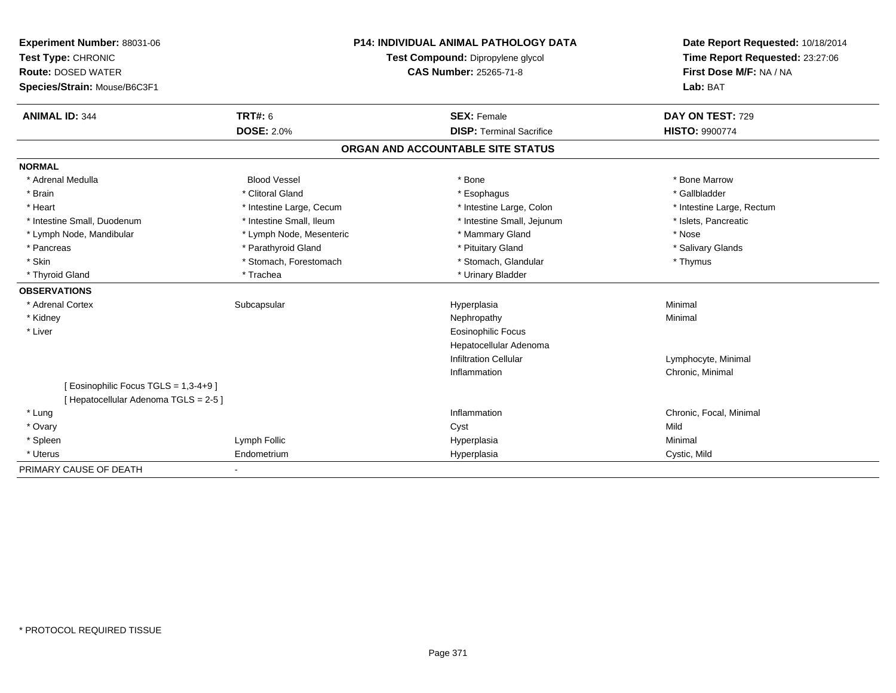| <b>Experiment Number: 88031-06</b>    | P14: INDIVIDUAL ANIMAL PATHOLOGY DATA |                                   | Date Report Requested: 10/18/2014 |  |
|---------------------------------------|---------------------------------------|-----------------------------------|-----------------------------------|--|
| Test Type: CHRONIC                    |                                       | Test Compound: Dipropylene glycol | Time Report Requested: 23:27:06   |  |
| <b>Route: DOSED WATER</b>             |                                       | CAS Number: 25265-71-8            | First Dose M/F: NA / NA           |  |
| Species/Strain: Mouse/B6C3F1          |                                       |                                   | Lab: BAT                          |  |
| <b>ANIMAL ID: 344</b>                 | <b>TRT#: 6</b>                        | <b>SEX: Female</b>                | DAY ON TEST: 729                  |  |
|                                       | <b>DOSE: 2.0%</b>                     | <b>DISP: Terminal Sacrifice</b>   | <b>HISTO: 9900774</b>             |  |
|                                       |                                       | ORGAN AND ACCOUNTABLE SITE STATUS |                                   |  |
| <b>NORMAL</b>                         |                                       |                                   |                                   |  |
| * Adrenal Medulla                     | <b>Blood Vessel</b>                   | * Bone                            | * Bone Marrow                     |  |
| * Brain                               | * Clitoral Gland                      | * Esophagus                       | * Gallbladder                     |  |
| * Heart                               | * Intestine Large, Cecum              | * Intestine Large, Colon          | * Intestine Large, Rectum         |  |
| * Intestine Small, Duodenum           | * Intestine Small, Ileum              | * Intestine Small, Jejunum        | * Islets, Pancreatic              |  |
| * Lymph Node, Mandibular              | * Lymph Node, Mesenteric              | * Mammary Gland                   | * Nose                            |  |
| * Pancreas                            | * Parathyroid Gland                   | * Pituitary Gland                 | * Salivary Glands                 |  |
| * Skin                                | * Stomach, Forestomach                | * Stomach, Glandular              | * Thymus                          |  |
| * Thyroid Gland                       | * Trachea                             | * Urinary Bladder                 |                                   |  |
| <b>OBSERVATIONS</b>                   |                                       |                                   |                                   |  |
| * Adrenal Cortex                      | Subcapsular                           | Hyperplasia                       | Minimal                           |  |
| * Kidney                              |                                       | Nephropathy                       | Minimal                           |  |
| * Liver                               |                                       | <b>Eosinophilic Focus</b>         |                                   |  |
|                                       |                                       | Hepatocellular Adenoma            |                                   |  |
|                                       |                                       | <b>Infiltration Cellular</b>      | Lymphocyte, Minimal               |  |
|                                       |                                       | Inflammation                      | Chronic, Minimal                  |  |
| [ Eosinophilic Focus TGLS = 1,3-4+9 ] |                                       |                                   |                                   |  |
| [ Hepatocellular Adenoma TGLS = 2-5 ] |                                       |                                   |                                   |  |
| * Lung                                |                                       | Inflammation                      | Chronic, Focal, Minimal           |  |
| * Ovary                               |                                       | Cyst                              | Mild                              |  |
| * Spleen                              | Lymph Follic                          | Hyperplasia                       | Minimal                           |  |
| * Uterus                              | Endometrium                           | Hyperplasia                       | Cystic, Mild                      |  |
| PRIMARY CAUSE OF DEATH                |                                       |                                   |                                   |  |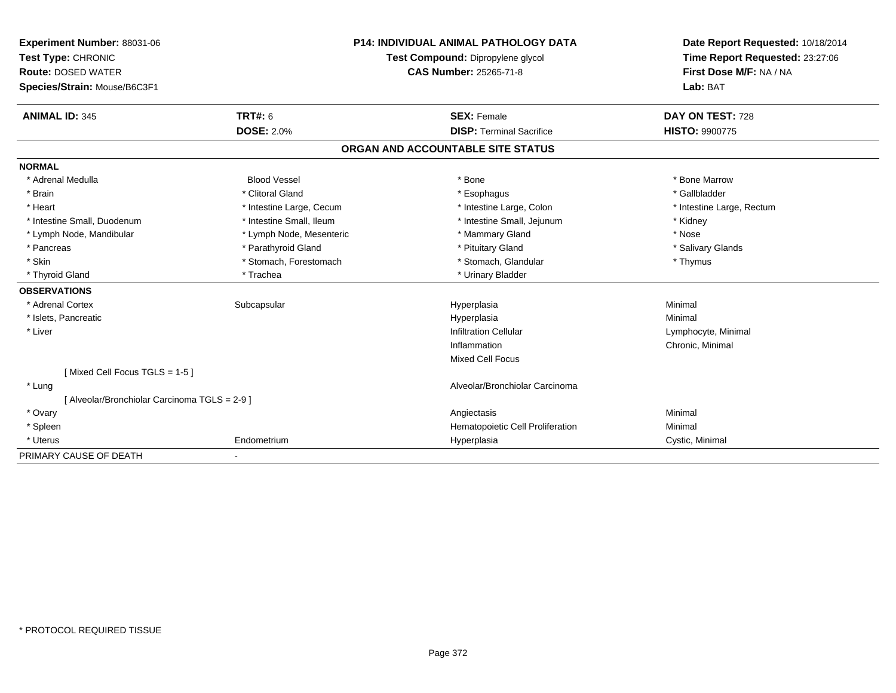| Experiment Number: 88031-06                   | <b>P14: INDIVIDUAL ANIMAL PATHOLOGY DATA</b> |                                   | Date Report Requested: 10/18/2014 |                           |
|-----------------------------------------------|----------------------------------------------|-----------------------------------|-----------------------------------|---------------------------|
| Test Type: CHRONIC                            | Test Compound: Dipropylene glycol            |                                   | Time Report Requested: 23:27:06   |                           |
| <b>Route: DOSED WATER</b>                     |                                              | <b>CAS Number: 25265-71-8</b>     |                                   | First Dose M/F: NA / NA   |
| Species/Strain: Mouse/B6C3F1                  |                                              |                                   |                                   | Lab: BAT                  |
|                                               |                                              |                                   |                                   |                           |
| <b>ANIMAL ID: 345</b>                         | <b>TRT#: 6</b>                               |                                   | <b>SEX: Female</b>                | DAY ON TEST: 728          |
|                                               | <b>DOSE: 2.0%</b>                            |                                   | <b>DISP: Terminal Sacrifice</b>   | HISTO: 9900775            |
|                                               |                                              | ORGAN AND ACCOUNTABLE SITE STATUS |                                   |                           |
| <b>NORMAL</b>                                 |                                              |                                   |                                   |                           |
| * Adrenal Medulla                             | <b>Blood Vessel</b>                          |                                   | * Bone                            | * Bone Marrow             |
| * Brain                                       | * Clitoral Gland                             |                                   | * Esophagus                       | * Gallbladder             |
| * Heart                                       | * Intestine Large, Cecum                     |                                   | * Intestine Large, Colon          | * Intestine Large, Rectum |
| * Intestine Small, Duodenum                   | * Intestine Small, Ileum                     |                                   | * Intestine Small, Jejunum        | * Kidney                  |
| * Lymph Node, Mandibular                      | * Lymph Node, Mesenteric                     |                                   | * Mammary Gland                   | * Nose                    |
| * Pancreas                                    | * Parathyroid Gland                          |                                   | * Pituitary Gland                 | * Salivary Glands         |
| * Skin                                        | * Stomach, Forestomach                       |                                   | * Stomach, Glandular              | * Thymus                  |
| * Thyroid Gland                               | * Trachea                                    |                                   | * Urinary Bladder                 |                           |
| <b>OBSERVATIONS</b>                           |                                              |                                   |                                   |                           |
| * Adrenal Cortex                              | Subcapsular                                  |                                   | Hyperplasia                       | Minimal                   |
| * Islets, Pancreatic                          |                                              |                                   | Hyperplasia                       | Minimal                   |
| * Liver                                       |                                              |                                   | <b>Infiltration Cellular</b>      | Lymphocyte, Minimal       |
|                                               |                                              |                                   | Inflammation                      | Chronic, Minimal          |
|                                               |                                              |                                   | <b>Mixed Cell Focus</b>           |                           |
| [Mixed Cell Focus TGLS = 1-5]                 |                                              |                                   |                                   |                           |
| * Lung                                        |                                              |                                   | Alveolar/Bronchiolar Carcinoma    |                           |
| [ Alveolar/Bronchiolar Carcinoma TGLS = 2-9 ] |                                              |                                   |                                   |                           |
| * Ovary                                       |                                              |                                   | Angiectasis                       | Minimal                   |
| * Spleen                                      |                                              |                                   | Hematopoietic Cell Proliferation  | Minimal                   |
| * Uterus                                      | Endometrium                                  |                                   | Hyperplasia                       | Cystic, Minimal           |
| PRIMARY CAUSE OF DEATH                        |                                              |                                   |                                   |                           |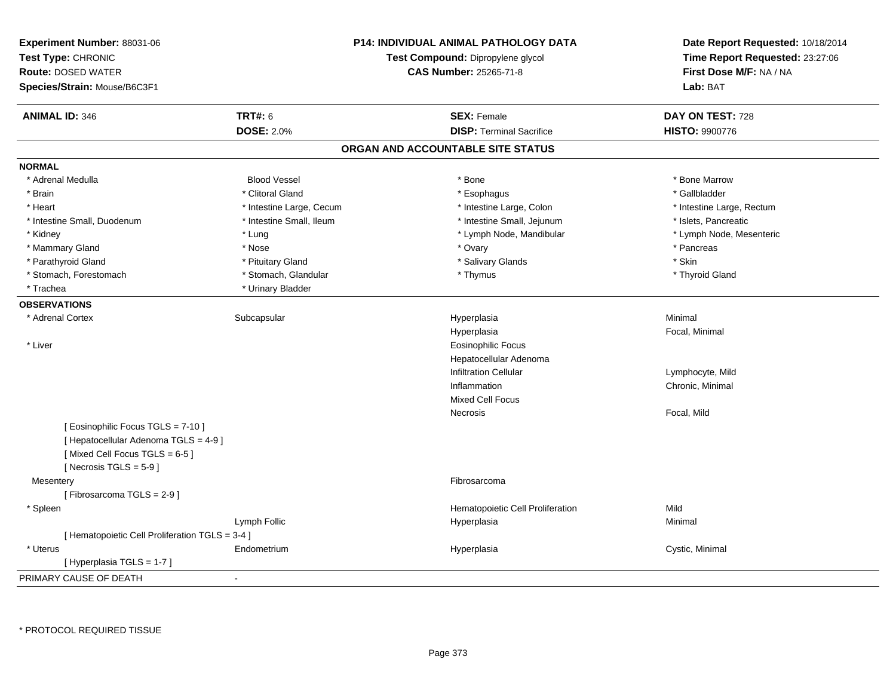| Experiment Number: 88031-06<br>Test Type: CHRONIC<br><b>Route: DOSED WATER</b><br>Species/Strain: Mouse/B6C3F1 |                          | P14: INDIVIDUAL ANIMAL PATHOLOGY DATA<br>Test Compound: Dipropylene glycol<br>CAS Number: 25265-71-8 | Date Report Requested: 10/18/2014<br>Time Report Requested: 23:27:06<br>First Dose M/F: NA / NA<br>Lab: BAT |
|----------------------------------------------------------------------------------------------------------------|--------------------------|------------------------------------------------------------------------------------------------------|-------------------------------------------------------------------------------------------------------------|
| <b>ANIMAL ID: 346</b>                                                                                          | <b>TRT#: 6</b>           | <b>SEX: Female</b>                                                                                   | DAY ON TEST: 728                                                                                            |
|                                                                                                                | <b>DOSE: 2.0%</b>        | <b>DISP: Terminal Sacrifice</b>                                                                      | <b>HISTO: 9900776</b>                                                                                       |
|                                                                                                                |                          | ORGAN AND ACCOUNTABLE SITE STATUS                                                                    |                                                                                                             |
| <b>NORMAL</b>                                                                                                  |                          |                                                                                                      |                                                                                                             |
| * Adrenal Medulla                                                                                              | <b>Blood Vessel</b>      | * Bone                                                                                               | * Bone Marrow                                                                                               |
| * Brain                                                                                                        | * Clitoral Gland         | * Esophagus                                                                                          | * Gallbladder                                                                                               |
| * Heart                                                                                                        | * Intestine Large, Cecum | * Intestine Large, Colon                                                                             | * Intestine Large, Rectum                                                                                   |
| * Intestine Small, Duodenum                                                                                    | * Intestine Small, Ileum | * Intestine Small, Jejunum                                                                           | * Islets, Pancreatic                                                                                        |
| * Kidney                                                                                                       | * Lung                   | * Lymph Node, Mandibular                                                                             | * Lymph Node, Mesenteric                                                                                    |
| * Mammary Gland                                                                                                | * Nose                   | * Ovary                                                                                              | * Pancreas                                                                                                  |
| * Parathyroid Gland                                                                                            | * Pituitary Gland        | * Salivary Glands                                                                                    | * Skin                                                                                                      |
| * Stomach, Forestomach                                                                                         | * Stomach, Glandular     | * Thymus                                                                                             | * Thyroid Gland                                                                                             |
| * Trachea                                                                                                      | * Urinary Bladder        |                                                                                                      |                                                                                                             |
| <b>OBSERVATIONS</b>                                                                                            |                          |                                                                                                      |                                                                                                             |
| * Adrenal Cortex                                                                                               | Subcapsular              | Hyperplasia                                                                                          | Minimal                                                                                                     |
|                                                                                                                |                          | Hyperplasia                                                                                          | Focal, Minimal                                                                                              |
| * Liver                                                                                                        |                          | <b>Eosinophilic Focus</b>                                                                            |                                                                                                             |
|                                                                                                                |                          | Hepatocellular Adenoma                                                                               |                                                                                                             |
|                                                                                                                |                          | <b>Infiltration Cellular</b>                                                                         | Lymphocyte, Mild                                                                                            |
|                                                                                                                |                          | Inflammation                                                                                         | Chronic, Minimal                                                                                            |
|                                                                                                                |                          | <b>Mixed Cell Focus</b>                                                                              |                                                                                                             |
|                                                                                                                |                          | Necrosis                                                                                             | Focal, Mild                                                                                                 |
| [ Eosinophilic Focus TGLS = 7-10 ]                                                                             |                          |                                                                                                      |                                                                                                             |
| [ Hepatocellular Adenoma TGLS = 4-9]                                                                           |                          |                                                                                                      |                                                                                                             |
| [Mixed Cell Focus TGLS = 6-5]                                                                                  |                          |                                                                                                      |                                                                                                             |
| [Necrosis $TGLS = 5-9$ ]                                                                                       |                          |                                                                                                      |                                                                                                             |
| Mesentery                                                                                                      |                          | Fibrosarcoma                                                                                         |                                                                                                             |
| [Fibrosarcoma TGLS = 2-9]                                                                                      |                          |                                                                                                      |                                                                                                             |
| * Spleen                                                                                                       |                          | Hematopoietic Cell Proliferation                                                                     | Mild                                                                                                        |
|                                                                                                                | Lymph Follic             | Hyperplasia                                                                                          | Minimal                                                                                                     |
| [ Hematopoietic Cell Proliferation TGLS = 3-4 ]                                                                |                          |                                                                                                      |                                                                                                             |
| * Uterus                                                                                                       | Endometrium              | Hyperplasia                                                                                          | Cystic, Minimal                                                                                             |
| [Hyperplasia TGLS = 1-7]                                                                                       |                          |                                                                                                      |                                                                                                             |
| PRIMARY CAUSE OF DEATH                                                                                         | $\blacksquare$           |                                                                                                      |                                                                                                             |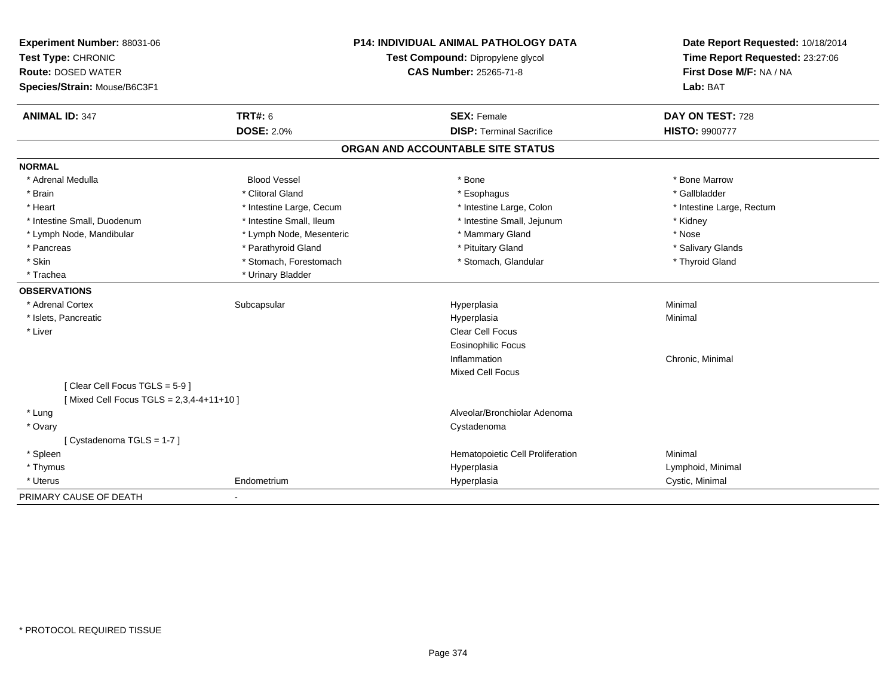| Experiment Number: 88031-06             | <b>P14: INDIVIDUAL ANIMAL PATHOLOGY DATA</b> |                                   | Date Report Requested: 10/18/2014                          |
|-----------------------------------------|----------------------------------------------|-----------------------------------|------------------------------------------------------------|
| Test Type: CHRONIC                      |                                              | Test Compound: Dipropylene glycol | Time Report Requested: 23:27:06<br>First Dose M/F: NA / NA |
| <b>Route: DOSED WATER</b>               |                                              | CAS Number: 25265-71-8            |                                                            |
| Species/Strain: Mouse/B6C3F1            |                                              |                                   | Lab: BAT                                                   |
| <b>ANIMAL ID: 347</b>                   | TRT#: 6                                      | <b>SEX: Female</b>                | DAY ON TEST: 728                                           |
|                                         | <b>DOSE: 2.0%</b>                            | <b>DISP: Terminal Sacrifice</b>   | <b>HISTO: 9900777</b>                                      |
|                                         |                                              | ORGAN AND ACCOUNTABLE SITE STATUS |                                                            |
| <b>NORMAL</b>                           |                                              |                                   |                                                            |
| * Adrenal Medulla                       | <b>Blood Vessel</b>                          | * Bone                            | * Bone Marrow                                              |
| * Brain                                 | * Clitoral Gland                             | * Esophagus                       | * Gallbladder                                              |
| * Heart                                 | * Intestine Large, Cecum                     | * Intestine Large, Colon          | * Intestine Large, Rectum                                  |
| * Intestine Small, Duodenum             | * Intestine Small, Ileum                     | * Intestine Small, Jejunum        | * Kidney                                                   |
| * Lymph Node, Mandibular                | * Lymph Node, Mesenteric                     | * Mammary Gland                   | * Nose                                                     |
| * Pancreas                              | * Parathyroid Gland                          | * Pituitary Gland                 | * Salivary Glands                                          |
| * Skin                                  | * Stomach, Forestomach                       | * Stomach, Glandular              | * Thyroid Gland                                            |
| * Trachea                               | * Urinary Bladder                            |                                   |                                                            |
| <b>OBSERVATIONS</b>                     |                                              |                                   |                                                            |
| * Adrenal Cortex                        | Subcapsular                                  | Hyperplasia                       | Minimal                                                    |
| * Islets, Pancreatic                    |                                              | Hyperplasia                       | Minimal                                                    |
| * Liver                                 |                                              | <b>Clear Cell Focus</b>           |                                                            |
|                                         |                                              | <b>Eosinophilic Focus</b>         |                                                            |
|                                         |                                              | Inflammation                      | Chronic, Minimal                                           |
|                                         |                                              | <b>Mixed Cell Focus</b>           |                                                            |
| [Clear Cell Focus TGLS = 5-9]           |                                              |                                   |                                                            |
| [Mixed Cell Focus TGLS = 2,3,4-4+11+10] |                                              |                                   |                                                            |
| * Lung                                  |                                              | Alveolar/Bronchiolar Adenoma      |                                                            |
| * Ovary                                 |                                              | Cystadenoma                       |                                                            |
| [Cystadenoma TGLS = 1-7]                |                                              |                                   |                                                            |
| * Spleen                                |                                              | Hematopoietic Cell Proliferation  | Minimal                                                    |
| * Thymus                                |                                              | Hyperplasia                       | Lymphoid, Minimal                                          |
| * Uterus                                | Endometrium                                  | Hyperplasia                       | Cystic, Minimal                                            |
| PRIMARY CAUSE OF DEATH                  | $\blacksquare$                               |                                   |                                                            |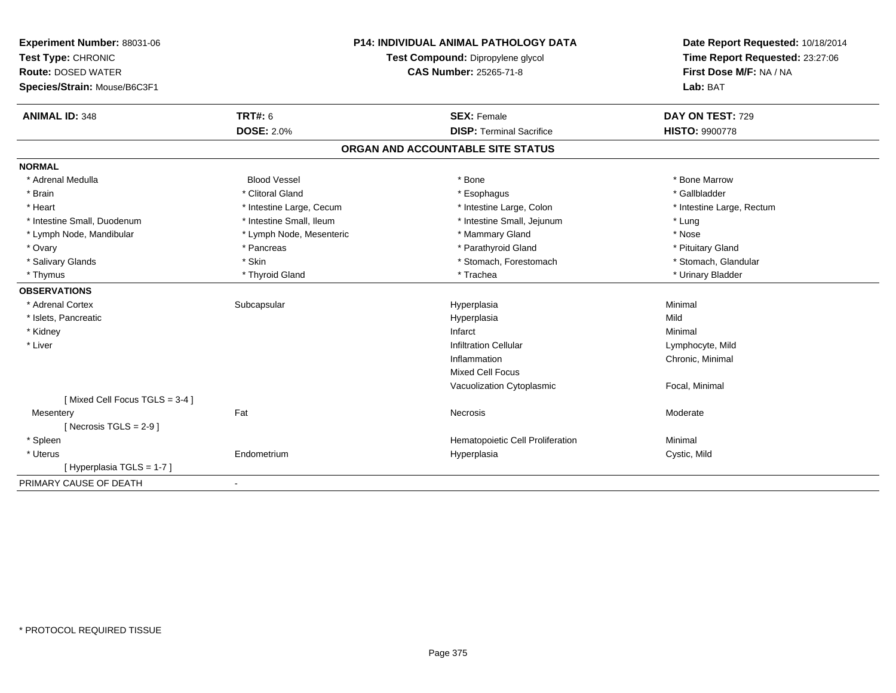| Experiment Number: 88031-06<br>Test Type: CHRONIC<br><b>Route: DOSED WATER</b><br>Species/Strain: Mouse/B6C3F1 | <b>P14: INDIVIDUAL ANIMAL PATHOLOGY DATA</b><br>Test Compound: Dipropylene glycol<br>CAS Number: 25265-71-8 |                                   | Date Report Requested: 10/18/2014<br>Time Report Requested: 23:27:06<br>First Dose M/F: NA / NA<br>Lab: BAT |
|----------------------------------------------------------------------------------------------------------------|-------------------------------------------------------------------------------------------------------------|-----------------------------------|-------------------------------------------------------------------------------------------------------------|
| <b>ANIMAL ID: 348</b>                                                                                          | <b>TRT#: 6</b>                                                                                              | <b>SEX: Female</b>                | DAY ON TEST: 729                                                                                            |
|                                                                                                                | <b>DOSE: 2.0%</b>                                                                                           | <b>DISP: Terminal Sacrifice</b>   | <b>HISTO: 9900778</b>                                                                                       |
|                                                                                                                |                                                                                                             | ORGAN AND ACCOUNTABLE SITE STATUS |                                                                                                             |
| <b>NORMAL</b>                                                                                                  |                                                                                                             |                                   |                                                                                                             |
| * Adrenal Medulla                                                                                              | <b>Blood Vessel</b>                                                                                         | * Bone                            | * Bone Marrow                                                                                               |
| * Brain                                                                                                        | * Clitoral Gland                                                                                            | * Esophagus                       | * Gallbladder                                                                                               |
| * Heart                                                                                                        | * Intestine Large, Cecum                                                                                    | * Intestine Large, Colon          | * Intestine Large, Rectum                                                                                   |
| * Intestine Small, Duodenum                                                                                    | * Intestine Small, Ileum                                                                                    | * Intestine Small, Jejunum        | * Lung                                                                                                      |
| * Lymph Node, Mandibular                                                                                       | * Lymph Node, Mesenteric                                                                                    | * Mammary Gland                   | * Nose                                                                                                      |
| * Ovary                                                                                                        | * Pancreas                                                                                                  | * Parathyroid Gland               | * Pituitary Gland                                                                                           |
| * Salivary Glands                                                                                              | * Skin                                                                                                      | * Stomach, Forestomach            | * Stomach, Glandular                                                                                        |
| * Thymus                                                                                                       | * Thyroid Gland                                                                                             | * Trachea                         | * Urinary Bladder                                                                                           |
| <b>OBSERVATIONS</b>                                                                                            |                                                                                                             |                                   |                                                                                                             |
| * Adrenal Cortex                                                                                               | Subcapsular                                                                                                 | Hyperplasia                       | Minimal                                                                                                     |
| * Islets, Pancreatic                                                                                           |                                                                                                             | Hyperplasia                       | Mild                                                                                                        |
| * Kidney                                                                                                       |                                                                                                             | Infarct                           | Minimal                                                                                                     |
| * Liver                                                                                                        |                                                                                                             | <b>Infiltration Cellular</b>      | Lymphocyte, Mild                                                                                            |
|                                                                                                                |                                                                                                             | Inflammation                      | Chronic, Minimal                                                                                            |
|                                                                                                                |                                                                                                             | <b>Mixed Cell Focus</b>           |                                                                                                             |
|                                                                                                                |                                                                                                             | Vacuolization Cytoplasmic         | Focal, Minimal                                                                                              |
| [Mixed Cell Focus TGLS = 3-4]                                                                                  |                                                                                                             |                                   |                                                                                                             |
| Mesentery                                                                                                      | Fat                                                                                                         | <b>Necrosis</b>                   | Moderate                                                                                                    |
| [Necrosis TGLS = $2-9$ ]                                                                                       |                                                                                                             |                                   |                                                                                                             |
| * Spleen                                                                                                       |                                                                                                             | Hematopoietic Cell Proliferation  | Minimal                                                                                                     |
| * Uterus                                                                                                       | Endometrium                                                                                                 | Hyperplasia                       | Cystic, Mild                                                                                                |
| [Hyperplasia TGLS = 1-7]                                                                                       |                                                                                                             |                                   |                                                                                                             |
| PRIMARY CAUSE OF DEATH                                                                                         | $\sim$                                                                                                      |                                   |                                                                                                             |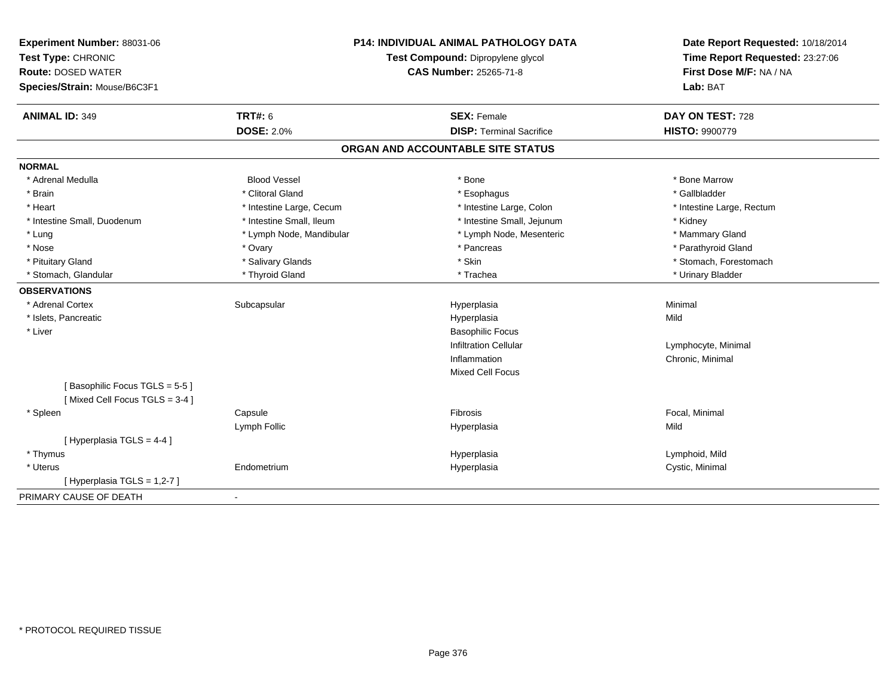| Experiment Number: 88031-06<br>Test Type: CHRONIC<br><b>Route: DOSED WATER</b><br>Species/Strain: Mouse/B6C3F1 | <b>P14: INDIVIDUAL ANIMAL PATHOLOGY DATA</b><br>Test Compound: Dipropylene glycol<br><b>CAS Number: 25265-71-8</b> |                                   | Date Report Requested: 10/18/2014<br>Time Report Requested: 23:27:06<br>First Dose M/F: NA / NA<br>Lab: BAT |
|----------------------------------------------------------------------------------------------------------------|--------------------------------------------------------------------------------------------------------------------|-----------------------------------|-------------------------------------------------------------------------------------------------------------|
| <b>ANIMAL ID: 349</b>                                                                                          | <b>TRT#: 6</b>                                                                                                     | <b>SEX: Female</b>                | DAY ON TEST: 728                                                                                            |
|                                                                                                                | <b>DOSE: 2.0%</b>                                                                                                  | <b>DISP: Terminal Sacrifice</b>   | HISTO: 9900779                                                                                              |
|                                                                                                                |                                                                                                                    | ORGAN AND ACCOUNTABLE SITE STATUS |                                                                                                             |
| <b>NORMAL</b>                                                                                                  |                                                                                                                    |                                   |                                                                                                             |
| * Adrenal Medulla                                                                                              | <b>Blood Vessel</b>                                                                                                | * Bone                            | * Bone Marrow                                                                                               |
| * Brain                                                                                                        | * Clitoral Gland                                                                                                   | * Esophagus                       | * Gallbladder                                                                                               |
| * Heart                                                                                                        | * Intestine Large, Cecum                                                                                           | * Intestine Large, Colon          | * Intestine Large, Rectum                                                                                   |
| * Intestine Small, Duodenum                                                                                    | * Intestine Small, Ileum                                                                                           | * Intestine Small, Jejunum        | * Kidney                                                                                                    |
| * Lung                                                                                                         | * Lymph Node, Mandibular                                                                                           | * Lymph Node, Mesenteric          | * Mammary Gland                                                                                             |
| * Nose                                                                                                         | * Ovary                                                                                                            | * Pancreas                        | * Parathyroid Gland                                                                                         |
| * Pituitary Gland                                                                                              | * Salivary Glands                                                                                                  | * Skin                            | * Stomach, Forestomach                                                                                      |
| * Stomach, Glandular                                                                                           | * Thyroid Gland                                                                                                    | * Trachea                         | * Urinary Bladder                                                                                           |
| <b>OBSERVATIONS</b>                                                                                            |                                                                                                                    |                                   |                                                                                                             |
| * Adrenal Cortex                                                                                               | Subcapsular                                                                                                        | Hyperplasia                       | Minimal                                                                                                     |
| * Islets, Pancreatic                                                                                           |                                                                                                                    | Hyperplasia                       | Mild                                                                                                        |
| * Liver                                                                                                        |                                                                                                                    | <b>Basophilic Focus</b>           |                                                                                                             |
|                                                                                                                |                                                                                                                    | <b>Infiltration Cellular</b>      | Lymphocyte, Minimal                                                                                         |
|                                                                                                                |                                                                                                                    | Inflammation                      | Chronic, Minimal                                                                                            |
|                                                                                                                |                                                                                                                    | <b>Mixed Cell Focus</b>           |                                                                                                             |
| [Basophilic Focus TGLS = 5-5]                                                                                  |                                                                                                                    |                                   |                                                                                                             |
| [Mixed Cell Focus TGLS = 3-4]                                                                                  |                                                                                                                    |                                   |                                                                                                             |
| * Spleen                                                                                                       | Capsule                                                                                                            | Fibrosis                          | Focal, Minimal                                                                                              |
|                                                                                                                | Lymph Follic                                                                                                       | Hyperplasia                       | Mild                                                                                                        |
| [Hyperplasia TGLS = 4-4]                                                                                       |                                                                                                                    |                                   |                                                                                                             |
| * Thymus                                                                                                       |                                                                                                                    | Hyperplasia                       | Lymphoid, Mild                                                                                              |
| * Uterus                                                                                                       | Endometrium                                                                                                        | Hyperplasia                       | Cystic, Minimal                                                                                             |
| [ Hyperplasia TGLS = 1,2-7 ]                                                                                   |                                                                                                                    |                                   |                                                                                                             |
| PRIMARY CAUSE OF DEATH                                                                                         | $\blacksquare$                                                                                                     |                                   |                                                                                                             |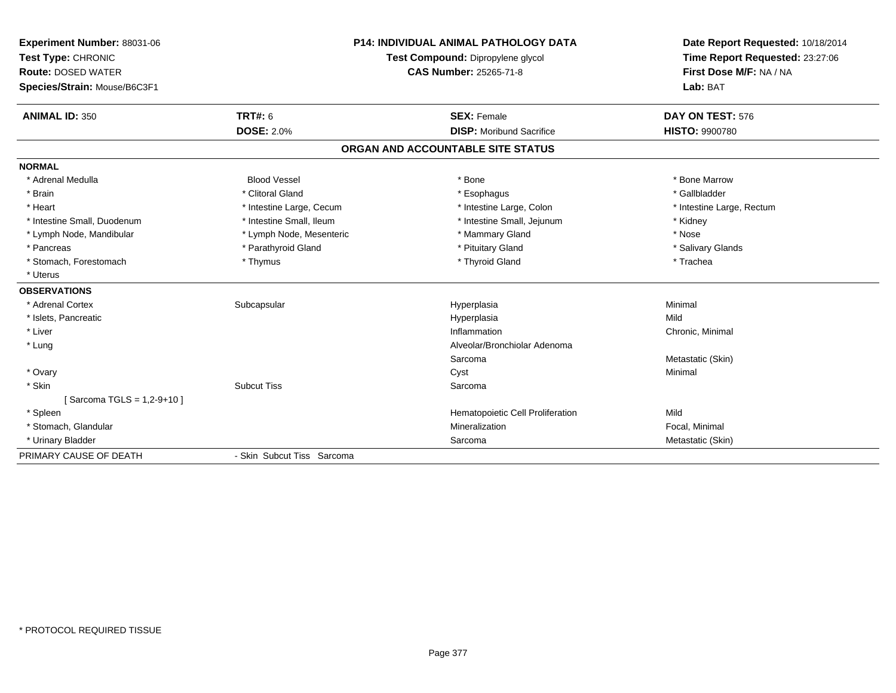| Experiment Number: 88031-06  |                            | <b>P14: INDIVIDUAL ANIMAL PATHOLOGY DATA</b> | Date Report Requested: 10/18/2014 |
|------------------------------|----------------------------|----------------------------------------------|-----------------------------------|
| Test Type: CHRONIC           |                            | Test Compound: Dipropylene glycol            | Time Report Requested: 23:27:06   |
| <b>Route: DOSED WATER</b>    |                            | CAS Number: 25265-71-8                       | First Dose M/F: NA / NA           |
| Species/Strain: Mouse/B6C3F1 |                            |                                              | Lab: BAT                          |
| <b>ANIMAL ID: 350</b>        | <b>TRT#: 6</b>             | <b>SEX: Female</b>                           | DAY ON TEST: 576                  |
|                              | <b>DOSE: 2.0%</b>          | <b>DISP:</b> Moribund Sacrifice              | <b>HISTO: 9900780</b>             |
|                              |                            | ORGAN AND ACCOUNTABLE SITE STATUS            |                                   |
| <b>NORMAL</b>                |                            |                                              |                                   |
| * Adrenal Medulla            | <b>Blood Vessel</b>        | * Bone                                       | * Bone Marrow                     |
| * Brain                      | * Clitoral Gland           | * Esophagus                                  | * Gallbladder                     |
| * Heart                      | * Intestine Large, Cecum   | * Intestine Large, Colon                     | * Intestine Large, Rectum         |
| * Intestine Small, Duodenum  | * Intestine Small, Ileum   | * Intestine Small, Jejunum                   | * Kidney                          |
| * Lymph Node, Mandibular     | * Lymph Node, Mesenteric   | * Mammary Gland                              | * Nose                            |
| * Pancreas                   | * Parathyroid Gland        | * Pituitary Gland                            | * Salivary Glands                 |
| * Stomach, Forestomach       | * Thymus                   | * Thyroid Gland                              | * Trachea                         |
| * Uterus                     |                            |                                              |                                   |
| <b>OBSERVATIONS</b>          |                            |                                              |                                   |
| * Adrenal Cortex             | Subcapsular                | Hyperplasia                                  | Minimal                           |
| * Islets, Pancreatic         |                            | Hyperplasia                                  | Mild                              |
| * Liver                      |                            | Inflammation                                 | Chronic, Minimal                  |
| * Lung                       |                            | Alveolar/Bronchiolar Adenoma                 |                                   |
|                              |                            | Sarcoma                                      | Metastatic (Skin)                 |
| * Ovary                      |                            | Cyst                                         | Minimal                           |
| * Skin                       | <b>Subcut Tiss</b>         | Sarcoma                                      |                                   |
| [Sarcoma TGLS = 1,2-9+10]    |                            |                                              |                                   |
| * Spleen                     |                            | Hematopoietic Cell Proliferation             | Mild                              |
| * Stomach, Glandular         |                            | Mineralization                               | Focal, Minimal                    |
| * Urinary Bladder            |                            | Sarcoma                                      | Metastatic (Skin)                 |
| PRIMARY CAUSE OF DEATH       | - Skin Subcut Tiss Sarcoma |                                              |                                   |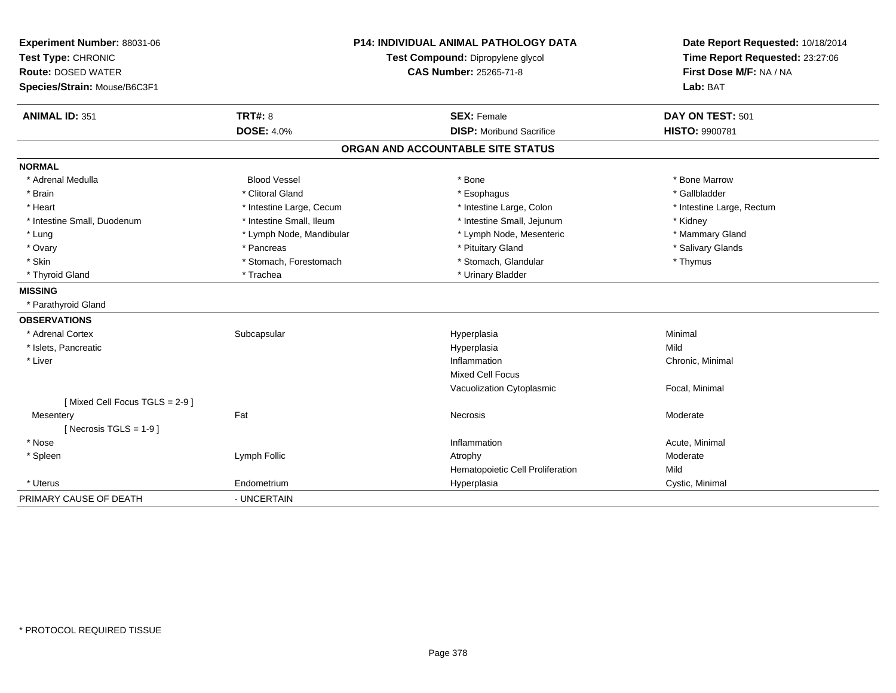| Experiment Number: 88031-06<br>Test Type: CHRONIC |                          | <b>P14: INDIVIDUAL ANIMAL PATHOLOGY DATA</b><br>Test Compound: Dipropylene glycol | Date Report Requested: 10/18/2014<br>Time Report Requested: 23:27:06<br>First Dose M/F: NA / NA |
|---------------------------------------------------|--------------------------|-----------------------------------------------------------------------------------|-------------------------------------------------------------------------------------------------|
| <b>Route: DOSED WATER</b>                         |                          | <b>CAS Number: 25265-71-8</b>                                                     |                                                                                                 |
| Species/Strain: Mouse/B6C3F1                      |                          |                                                                                   | Lab: BAT                                                                                        |
| <b>ANIMAL ID: 351</b>                             | TRT#: 8                  | <b>SEX: Female</b>                                                                | DAY ON TEST: 501                                                                                |
|                                                   | <b>DOSE: 4.0%</b>        | <b>DISP:</b> Moribund Sacrifice                                                   | HISTO: 9900781                                                                                  |
|                                                   |                          | ORGAN AND ACCOUNTABLE SITE STATUS                                                 |                                                                                                 |
| <b>NORMAL</b>                                     |                          |                                                                                   |                                                                                                 |
| * Adrenal Medulla                                 | <b>Blood Vessel</b>      | * Bone                                                                            | * Bone Marrow                                                                                   |
| * Brain                                           | * Clitoral Gland         | * Esophagus                                                                       | * Gallbladder                                                                                   |
| * Heart                                           | * Intestine Large, Cecum | * Intestine Large, Colon                                                          | * Intestine Large, Rectum                                                                       |
| * Intestine Small, Duodenum                       | * Intestine Small, Ileum | * Intestine Small, Jejunum                                                        | * Kidney                                                                                        |
| * Lung                                            | * Lymph Node, Mandibular | * Lymph Node, Mesenteric                                                          | * Mammary Gland                                                                                 |
| * Ovary                                           | * Pancreas               | * Pituitary Gland                                                                 | * Salivary Glands                                                                               |
| * Skin                                            | * Stomach, Forestomach   | * Stomach, Glandular                                                              | * Thymus                                                                                        |
| * Thyroid Gland                                   | * Trachea                | * Urinary Bladder                                                                 |                                                                                                 |
| <b>MISSING</b>                                    |                          |                                                                                   |                                                                                                 |
| * Parathyroid Gland                               |                          |                                                                                   |                                                                                                 |
| <b>OBSERVATIONS</b>                               |                          |                                                                                   |                                                                                                 |
| * Adrenal Cortex                                  | Subcapsular              | Hyperplasia                                                                       | Minimal                                                                                         |
| * Islets, Pancreatic                              |                          | Hyperplasia                                                                       | Mild                                                                                            |
| * Liver                                           |                          | Inflammation                                                                      | Chronic, Minimal                                                                                |
|                                                   |                          | <b>Mixed Cell Focus</b>                                                           |                                                                                                 |
|                                                   |                          | Vacuolization Cytoplasmic                                                         | Focal, Minimal                                                                                  |
| [Mixed Cell Focus TGLS = 2-9]                     |                          |                                                                                   |                                                                                                 |
| Mesentery                                         | Fat                      | <b>Necrosis</b>                                                                   | Moderate                                                                                        |
| [ Necrosis $TGLS = 1-9$ ]                         |                          |                                                                                   |                                                                                                 |
| * Nose                                            |                          | Inflammation                                                                      | Acute, Minimal                                                                                  |
| * Spleen                                          | Lymph Follic             | Atrophy                                                                           | Moderate                                                                                        |
|                                                   |                          | Hematopoietic Cell Proliferation                                                  | Mild                                                                                            |
| * Uterus                                          | Endometrium              | Hyperplasia                                                                       | Cystic, Minimal                                                                                 |
| PRIMARY CAUSE OF DEATH                            | - UNCERTAIN              |                                                                                   |                                                                                                 |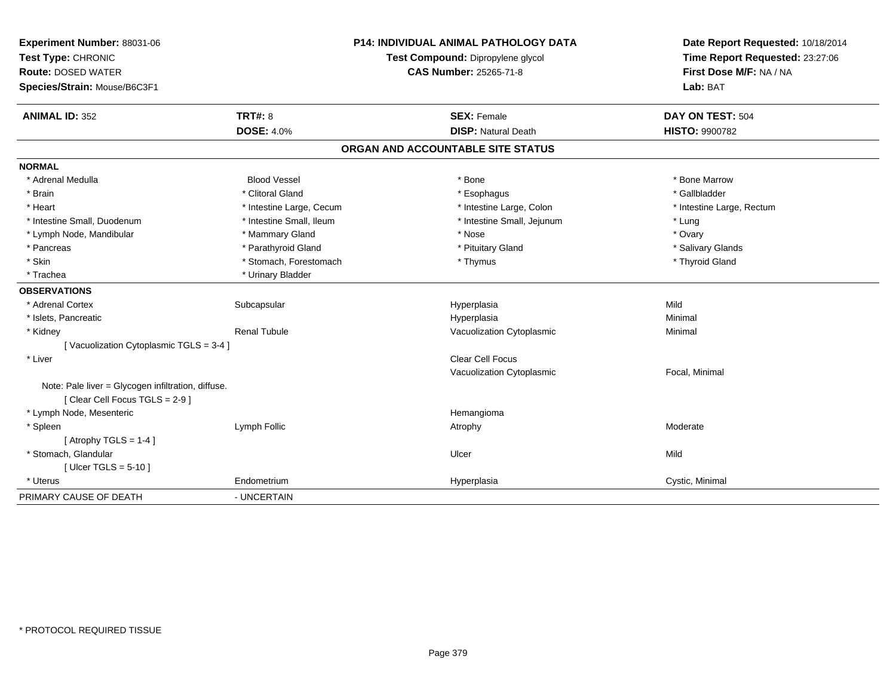| Experiment Number: 88031-06                        | <b>P14: INDIVIDUAL ANIMAL PATHOLOGY DATA</b> |                                   | Date Report Requested: 10/18/2014                          |
|----------------------------------------------------|----------------------------------------------|-----------------------------------|------------------------------------------------------------|
| Test Type: CHRONIC                                 |                                              | Test Compound: Dipropylene glycol | Time Report Requested: 23:27:06<br>First Dose M/F: NA / NA |
| <b>Route: DOSED WATER</b>                          |                                              | <b>CAS Number: 25265-71-8</b>     |                                                            |
| Species/Strain: Mouse/B6C3F1                       |                                              |                                   | Lab: BAT                                                   |
| <b>ANIMAL ID: 352</b>                              | <b>TRT#: 8</b>                               | <b>SEX: Female</b>                | DAY ON TEST: 504                                           |
|                                                    | <b>DOSE: 4.0%</b>                            | <b>DISP: Natural Death</b>        | <b>HISTO: 9900782</b>                                      |
|                                                    |                                              | ORGAN AND ACCOUNTABLE SITE STATUS |                                                            |
| <b>NORMAL</b>                                      |                                              |                                   |                                                            |
| * Adrenal Medulla                                  | <b>Blood Vessel</b>                          | * Bone                            | * Bone Marrow                                              |
| * Brain                                            | * Clitoral Gland                             | * Esophagus                       | * Gallbladder                                              |
| * Heart                                            | * Intestine Large, Cecum                     | * Intestine Large, Colon          | * Intestine Large, Rectum                                  |
| * Intestine Small, Duodenum                        | * Intestine Small, Ileum                     | * Intestine Small, Jejunum        | * Lung                                                     |
| * Lymph Node, Mandibular                           | * Mammary Gland                              | * Nose                            | * Ovary                                                    |
| * Pancreas                                         | * Parathyroid Gland                          | * Pituitary Gland                 | * Salivary Glands                                          |
| * Skin                                             | * Stomach, Forestomach                       | * Thymus                          | * Thyroid Gland                                            |
| * Trachea                                          | * Urinary Bladder                            |                                   |                                                            |
| <b>OBSERVATIONS</b>                                |                                              |                                   |                                                            |
| * Adrenal Cortex                                   | Subcapsular                                  | Hyperplasia                       | Mild                                                       |
| * Islets, Pancreatic                               |                                              | Hyperplasia                       | Minimal                                                    |
| * Kidney                                           | <b>Renal Tubule</b>                          | Vacuolization Cytoplasmic         | Minimal                                                    |
| [Vacuolization Cytoplasmic TGLS = 3-4 ]            |                                              |                                   |                                                            |
| * Liver                                            |                                              | <b>Clear Cell Focus</b>           |                                                            |
|                                                    |                                              | Vacuolization Cytoplasmic         | Focal, Minimal                                             |
| Note: Pale liver = Glycogen infiltration, diffuse. |                                              |                                   |                                                            |
| [Clear Cell Focus TGLS = 2-9]                      |                                              |                                   |                                                            |
| * Lymph Node, Mesenteric                           |                                              | Hemangioma                        |                                                            |
| * Spleen                                           | Lymph Follic                                 | Atrophy                           | Moderate                                                   |
| [Atrophy TGLS = $1-4$ ]                            |                                              |                                   |                                                            |
| * Stomach, Glandular                               |                                              | Ulcer                             | Mild                                                       |
| [Ulcer TGLS = $5-10$ ]                             |                                              |                                   |                                                            |
| * Uterus                                           | Endometrium                                  | Hyperplasia                       | Cystic, Minimal                                            |
| PRIMARY CAUSE OF DEATH                             | - UNCERTAIN                                  |                                   |                                                            |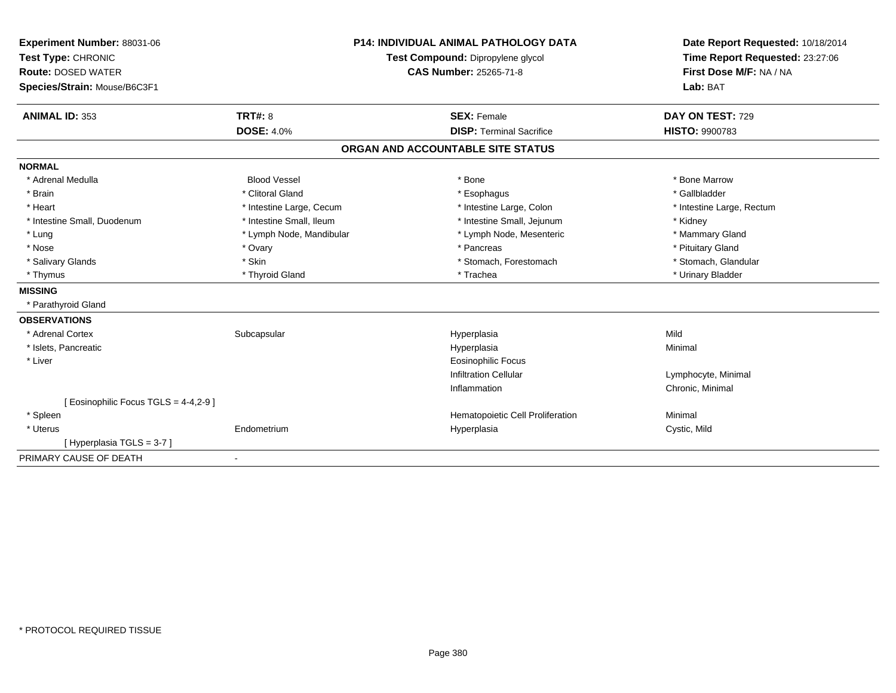| Experiment Number: 88031-06           | <b>P14: INDIVIDUAL ANIMAL PATHOLOGY DATA</b> |                                   | Date Report Requested: 10/18/2014<br>Time Report Requested: 23:27:06 |
|---------------------------------------|----------------------------------------------|-----------------------------------|----------------------------------------------------------------------|
| Test Type: CHRONIC                    |                                              | Test Compound: Dipropylene glycol |                                                                      |
| <b>Route: DOSED WATER</b>             |                                              | <b>CAS Number: 25265-71-8</b>     | First Dose M/F: NA / NA                                              |
| Species/Strain: Mouse/B6C3F1          |                                              |                                   | Lab: BAT                                                             |
|                                       |                                              |                                   |                                                                      |
| <b>ANIMAL ID: 353</b>                 | <b>TRT#: 8</b>                               | <b>SEX: Female</b>                | DAY ON TEST: 729                                                     |
|                                       | <b>DOSE: 4.0%</b>                            | <b>DISP: Terminal Sacrifice</b>   | <b>HISTO: 9900783</b>                                                |
|                                       |                                              | ORGAN AND ACCOUNTABLE SITE STATUS |                                                                      |
| <b>NORMAL</b>                         |                                              |                                   |                                                                      |
| * Adrenal Medulla                     | <b>Blood Vessel</b>                          | * Bone                            | * Bone Marrow                                                        |
| * Brain                               | * Clitoral Gland                             | * Esophagus                       | * Gallbladder                                                        |
| * Heart                               | * Intestine Large, Cecum                     | * Intestine Large, Colon          | * Intestine Large, Rectum                                            |
| * Intestine Small, Duodenum           | * Intestine Small, Ileum                     | * Intestine Small, Jejunum        | * Kidney                                                             |
| * Lung                                | * Lymph Node, Mandibular                     | * Lymph Node, Mesenteric          | * Mammary Gland                                                      |
| * Nose                                | * Ovary                                      | * Pancreas                        | * Pituitary Gland                                                    |
| * Salivary Glands                     | * Skin                                       | * Stomach, Forestomach            | * Stomach, Glandular                                                 |
| * Thymus                              | * Thyroid Gland                              | * Trachea                         | * Urinary Bladder                                                    |
| <b>MISSING</b>                        |                                              |                                   |                                                                      |
| * Parathyroid Gland                   |                                              |                                   |                                                                      |
| <b>OBSERVATIONS</b>                   |                                              |                                   |                                                                      |
| * Adrenal Cortex                      | Subcapsular                                  | Hyperplasia                       | Mild                                                                 |
| * Islets, Pancreatic                  |                                              | Hyperplasia                       | Minimal                                                              |
| * Liver                               |                                              | <b>Eosinophilic Focus</b>         |                                                                      |
|                                       |                                              | <b>Infiltration Cellular</b>      | Lymphocyte, Minimal                                                  |
|                                       |                                              | Inflammation                      | Chronic, Minimal                                                     |
| [ Eosinophilic Focus TGLS = 4-4,2-9 ] |                                              |                                   |                                                                      |
| * Spleen                              |                                              | Hematopoietic Cell Proliferation  | Minimal                                                              |
| * Uterus                              | Endometrium                                  | Hyperplasia                       | Cystic, Mild                                                         |
| [Hyperplasia TGLS = $3-7$ ]           |                                              |                                   |                                                                      |
| PRIMARY CAUSE OF DEATH                | ٠                                            |                                   |                                                                      |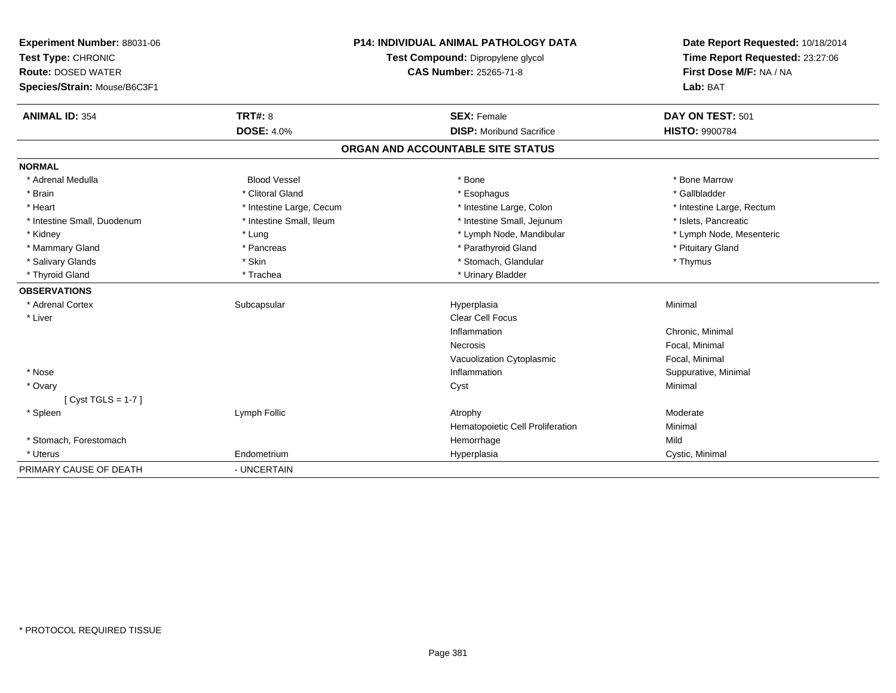| Experiment Number: 88031-06  | <b>P14: INDIVIDUAL ANIMAL PATHOLOGY DATA</b><br>Test Compound: Dipropylene glycol<br>CAS Number: 25265-71-8 |                                   | Date Report Requested: 10/18/2014                          |
|------------------------------|-------------------------------------------------------------------------------------------------------------|-----------------------------------|------------------------------------------------------------|
| Test Type: CHRONIC           |                                                                                                             |                                   | Time Report Requested: 23:27:06<br>First Dose M/F: NA / NA |
| <b>Route: DOSED WATER</b>    |                                                                                                             |                                   |                                                            |
| Species/Strain: Mouse/B6C3F1 |                                                                                                             |                                   | Lab: BAT                                                   |
| <b>ANIMAL ID: 354</b>        | TRT#: 8                                                                                                     | <b>SEX: Female</b>                | DAY ON TEST: 501                                           |
|                              | <b>DOSE: 4.0%</b>                                                                                           | <b>DISP:</b> Moribund Sacrifice   | <b>HISTO: 9900784</b>                                      |
|                              |                                                                                                             | ORGAN AND ACCOUNTABLE SITE STATUS |                                                            |
| <b>NORMAL</b>                |                                                                                                             |                                   |                                                            |
| * Adrenal Medulla            | <b>Blood Vessel</b>                                                                                         | * Bone                            | * Bone Marrow                                              |
| * Brain                      | * Clitoral Gland                                                                                            | * Esophagus                       | * Gallbladder                                              |
| * Heart                      | * Intestine Large, Cecum                                                                                    | * Intestine Large, Colon          | * Intestine Large, Rectum                                  |
| * Intestine Small, Duodenum  | * Intestine Small, Ileum                                                                                    | * Intestine Small, Jejunum        | * Islets, Pancreatic                                       |
| * Kidney                     | * Lung                                                                                                      | * Lymph Node, Mandibular          | * Lymph Node, Mesenteric                                   |
| * Mammary Gland              | * Pancreas                                                                                                  | * Parathyroid Gland               | * Pituitary Gland                                          |
| * Salivary Glands            | * Skin                                                                                                      | * Stomach, Glandular              | * Thymus                                                   |
| * Thyroid Gland              | * Trachea                                                                                                   | * Urinary Bladder                 |                                                            |
| <b>OBSERVATIONS</b>          |                                                                                                             |                                   |                                                            |
| * Adrenal Cortex             | Subcapsular                                                                                                 | Hyperplasia                       | Minimal                                                    |
| * Liver                      |                                                                                                             | Clear Cell Focus                  |                                                            |
|                              |                                                                                                             | Inflammation                      | Chronic, Minimal                                           |
|                              |                                                                                                             | Necrosis                          | Focal, Minimal                                             |
|                              |                                                                                                             | Vacuolization Cytoplasmic         | Focal, Minimal                                             |
| * Nose                       |                                                                                                             | Inflammation                      | Suppurative, Minimal                                       |
| * Ovary                      |                                                                                                             | Cyst                              | Minimal                                                    |
| [ $Cyst TGLS = 1-7$ ]        |                                                                                                             |                                   |                                                            |
| * Spleen                     | Lymph Follic                                                                                                | Atrophy                           | Moderate                                                   |
|                              |                                                                                                             | Hematopoietic Cell Proliferation  | Minimal                                                    |
| * Stomach, Forestomach       |                                                                                                             | Hemorrhage                        | Mild                                                       |
| * Uterus                     | Endometrium                                                                                                 | Hyperplasia                       | Cystic, Minimal                                            |
| PRIMARY CAUSE OF DEATH       | - UNCERTAIN                                                                                                 |                                   |                                                            |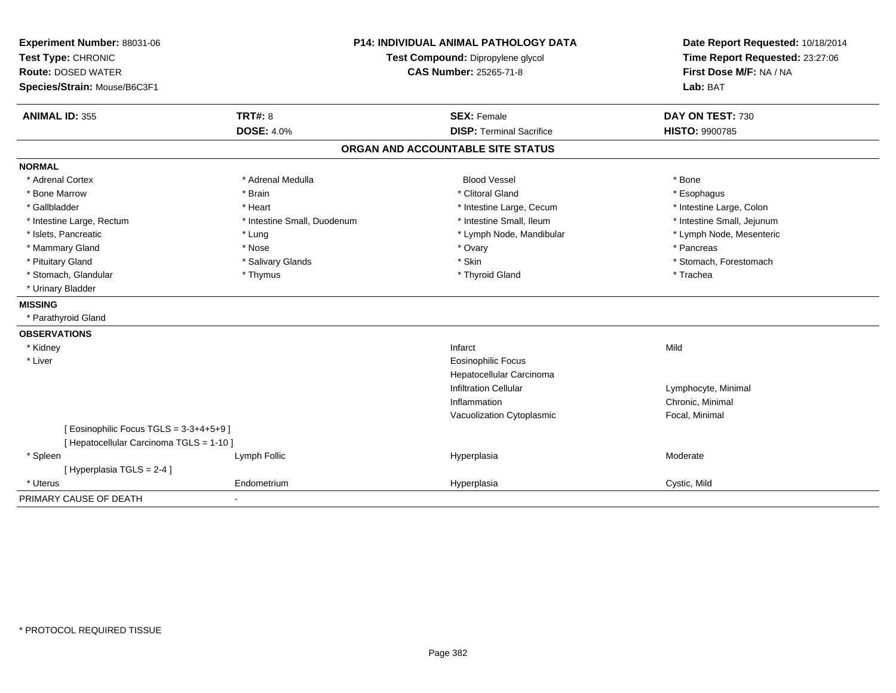| Experiment Number: 88031-06              | <b>P14: INDIVIDUAL ANIMAL PATHOLOGY DATA</b> |                                   | Date Report Requested: 10/18/2014                          |
|------------------------------------------|----------------------------------------------|-----------------------------------|------------------------------------------------------------|
| Test Type: CHRONIC                       |                                              | Test Compound: Dipropylene glycol | Time Report Requested: 23:27:06<br>First Dose M/F: NA / NA |
| <b>Route: DOSED WATER</b>                |                                              | <b>CAS Number: 25265-71-8</b>     |                                                            |
| Species/Strain: Mouse/B6C3F1             |                                              |                                   | Lab: BAT                                                   |
| <b>ANIMAL ID: 355</b>                    | TRT#: 8                                      | <b>SEX: Female</b>                | DAY ON TEST: 730                                           |
|                                          | <b>DOSE: 4.0%</b>                            | <b>DISP: Terminal Sacrifice</b>   | HISTO: 9900785                                             |
|                                          |                                              | ORGAN AND ACCOUNTABLE SITE STATUS |                                                            |
| <b>NORMAL</b>                            |                                              |                                   |                                                            |
| * Adrenal Cortex                         | * Adrenal Medulla                            | <b>Blood Vessel</b>               | * Bone                                                     |
| * Bone Marrow                            | * Brain                                      | * Clitoral Gland                  | * Esophagus                                                |
| * Gallbladder                            | * Heart                                      | * Intestine Large, Cecum          | * Intestine Large, Colon                                   |
| * Intestine Large, Rectum                | * Intestine Small, Duodenum                  | * Intestine Small, Ileum          | * Intestine Small, Jejunum                                 |
| * Islets, Pancreatic                     | * Lung                                       | * Lymph Node, Mandibular          | * Lymph Node, Mesenteric                                   |
| * Mammary Gland                          | * Nose                                       | * Ovary                           | * Pancreas                                                 |
| * Pituitary Gland                        | * Salivary Glands                            | * Skin                            | * Stomach, Forestomach                                     |
| * Stomach, Glandular                     | * Thymus                                     | * Thyroid Gland                   | * Trachea                                                  |
| * Urinary Bladder                        |                                              |                                   |                                                            |
| <b>MISSING</b>                           |                                              |                                   |                                                            |
| * Parathyroid Gland                      |                                              |                                   |                                                            |
| <b>OBSERVATIONS</b>                      |                                              |                                   |                                                            |
| * Kidney                                 |                                              | Infarct                           | Mild                                                       |
| * Liver                                  |                                              | <b>Eosinophilic Focus</b>         |                                                            |
|                                          |                                              | Hepatocellular Carcinoma          |                                                            |
|                                          |                                              | <b>Infiltration Cellular</b>      | Lymphocyte, Minimal                                        |
|                                          |                                              | Inflammation                      | Chronic, Minimal                                           |
|                                          |                                              | Vacuolization Cytoplasmic         | Focal, Minimal                                             |
| [ Eosinophilic Focus TGLS = 3-3+4+5+9 ]  |                                              |                                   |                                                            |
| [ Hepatocellular Carcinoma TGLS = 1-10 ] |                                              |                                   |                                                            |
| * Spleen                                 | Lymph Follic                                 | Hyperplasia                       | Moderate                                                   |
| [Hyperplasia TGLS = $2-4$ ]              |                                              |                                   |                                                            |
| * Uterus                                 | Endometrium                                  | Hyperplasia                       | Cystic, Mild                                               |
| PRIMARY CAUSE OF DEATH                   | $\blacksquare$                               |                                   |                                                            |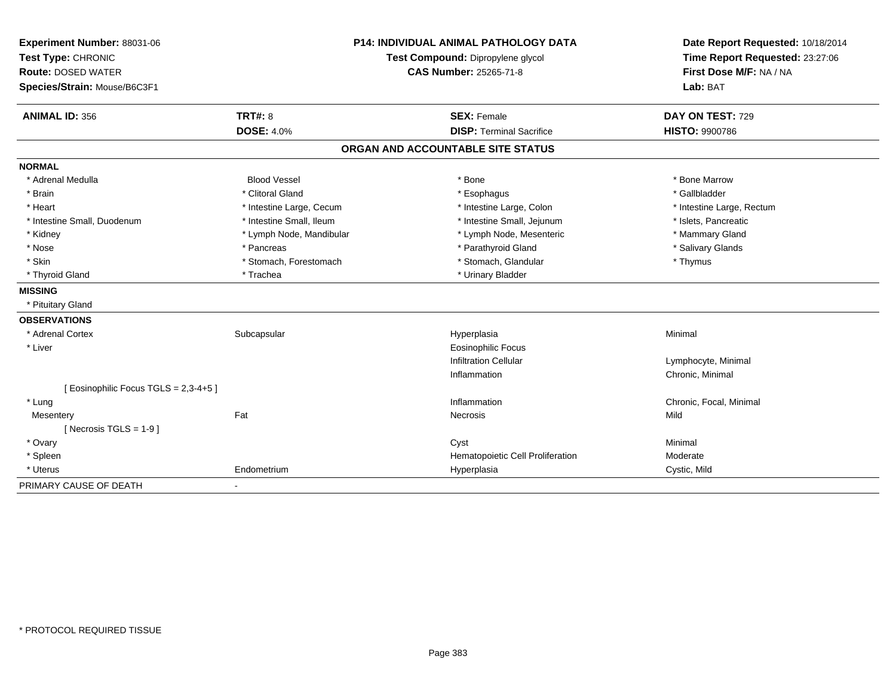| Experiment Number: 88031-06           | <b>P14: INDIVIDUAL ANIMAL PATHOLOGY DATA</b> |                                   | Date Report Requested: 10/18/2014                          |
|---------------------------------------|----------------------------------------------|-----------------------------------|------------------------------------------------------------|
| Test Type: CHRONIC                    |                                              | Test Compound: Dipropylene glycol | Time Report Requested: 23:27:06<br>First Dose M/F: NA / NA |
| <b>Route: DOSED WATER</b>             |                                              | <b>CAS Number: 25265-71-8</b>     |                                                            |
| Species/Strain: Mouse/B6C3F1          |                                              |                                   | Lab: BAT                                                   |
| <b>ANIMAL ID: 356</b>                 | <b>TRT#: 8</b>                               | <b>SEX: Female</b>                | DAY ON TEST: 729                                           |
|                                       | <b>DOSE: 4.0%</b>                            | <b>DISP: Terminal Sacrifice</b>   | <b>HISTO: 9900786</b>                                      |
|                                       |                                              | ORGAN AND ACCOUNTABLE SITE STATUS |                                                            |
| <b>NORMAL</b>                         |                                              |                                   |                                                            |
| * Adrenal Medulla                     | <b>Blood Vessel</b>                          | * Bone                            | * Bone Marrow                                              |
| * Brain                               | * Clitoral Gland                             | * Esophagus                       | * Gallbladder                                              |
| * Heart                               | * Intestine Large, Cecum                     | * Intestine Large, Colon          | * Intestine Large, Rectum                                  |
| * Intestine Small, Duodenum           | * Intestine Small, Ileum                     | * Intestine Small, Jejunum        | * Islets, Pancreatic                                       |
| * Kidney                              | * Lymph Node, Mandibular                     | * Lymph Node, Mesenteric          | * Mammary Gland                                            |
| * Nose                                | * Pancreas                                   | * Parathyroid Gland               | * Salivary Glands                                          |
| * Skin                                | * Stomach, Forestomach                       | * Stomach, Glandular              | * Thymus                                                   |
| * Thyroid Gland                       | * Trachea                                    | * Urinary Bladder                 |                                                            |
| <b>MISSING</b>                        |                                              |                                   |                                                            |
| * Pituitary Gland                     |                                              |                                   |                                                            |
| <b>OBSERVATIONS</b>                   |                                              |                                   |                                                            |
| * Adrenal Cortex                      | Subcapsular                                  | Hyperplasia                       | Minimal                                                    |
| * Liver                               |                                              | <b>Eosinophilic Focus</b>         |                                                            |
|                                       |                                              | <b>Infiltration Cellular</b>      | Lymphocyte, Minimal                                        |
|                                       |                                              | Inflammation                      | Chronic, Minimal                                           |
| [ Eosinophilic Focus TGLS = 2,3-4+5 ] |                                              |                                   |                                                            |
| * Lung                                |                                              | Inflammation                      | Chronic, Focal, Minimal                                    |
| Mesentery                             | Fat                                          | Necrosis                          | Mild                                                       |
| [ Necrosis TGLS = $1-9$ ]             |                                              |                                   |                                                            |
| * Ovary                               |                                              | Cyst                              | Minimal                                                    |
| * Spleen                              |                                              | Hematopoietic Cell Proliferation  | Moderate                                                   |
| * Uterus                              | Endometrium                                  | Hyperplasia                       | Cystic, Mild                                               |
| PRIMARY CAUSE OF DEATH                | $\blacksquare$                               |                                   |                                                            |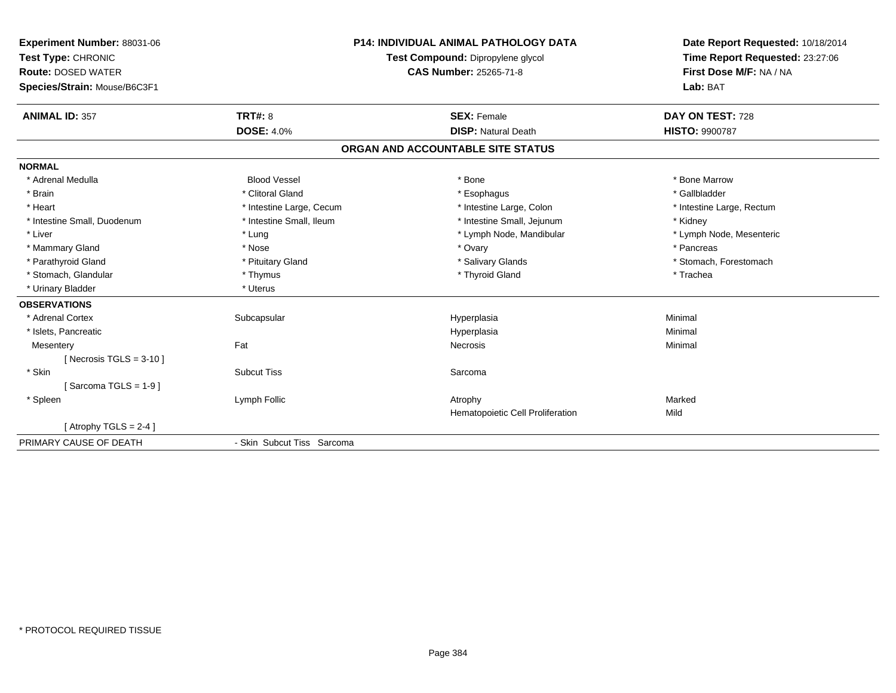| Experiment Number: 88031-06<br>Test Type: CHRONIC<br><b>Route: DOSED WATER</b><br>Species/Strain: Mouse/B6C3F1<br><b>ANIMAL ID: 357</b> | TRT#: 8<br><b>DOSE: 4.0%</b> | <b>P14: INDIVIDUAL ANIMAL PATHOLOGY DATA</b><br>Test Compound: Dipropylene glycol<br><b>CAS Number: 25265-71-8</b><br><b>SEX: Female</b><br><b>DISP: Natural Death</b> | Date Report Requested: 10/18/2014<br>Time Report Requested: 23:27:06<br>First Dose M/F: NA / NA<br>Lab: BAT<br>DAY ON TEST: 728<br><b>HISTO: 9900787</b> |
|-----------------------------------------------------------------------------------------------------------------------------------------|------------------------------|------------------------------------------------------------------------------------------------------------------------------------------------------------------------|----------------------------------------------------------------------------------------------------------------------------------------------------------|
|                                                                                                                                         |                              | ORGAN AND ACCOUNTABLE SITE STATUS                                                                                                                                      |                                                                                                                                                          |
| <b>NORMAL</b>                                                                                                                           |                              |                                                                                                                                                                        |                                                                                                                                                          |
| * Adrenal Medulla                                                                                                                       | <b>Blood Vessel</b>          | * Bone                                                                                                                                                                 | * Bone Marrow                                                                                                                                            |
| * Brain                                                                                                                                 | * Clitoral Gland             | * Esophagus                                                                                                                                                            | * Gallbladder                                                                                                                                            |
| * Heart                                                                                                                                 | * Intestine Large, Cecum     | * Intestine Large, Colon                                                                                                                                               | * Intestine Large, Rectum                                                                                                                                |
| * Intestine Small, Duodenum                                                                                                             | * Intestine Small, Ileum     | * Intestine Small, Jejunum                                                                                                                                             | * Kidney                                                                                                                                                 |
| * Liver                                                                                                                                 | * Lung                       | * Lymph Node, Mandibular                                                                                                                                               | * Lymph Node, Mesenteric                                                                                                                                 |
| * Mammary Gland                                                                                                                         | * Nose                       | * Ovary                                                                                                                                                                | * Pancreas                                                                                                                                               |
| * Parathyroid Gland                                                                                                                     | * Pituitary Gland            | * Salivary Glands                                                                                                                                                      | * Stomach, Forestomach                                                                                                                                   |
| * Stomach, Glandular                                                                                                                    | * Thymus                     | * Thyroid Gland                                                                                                                                                        | * Trachea                                                                                                                                                |
| * Urinary Bladder                                                                                                                       | * Uterus                     |                                                                                                                                                                        |                                                                                                                                                          |
| <b>OBSERVATIONS</b>                                                                                                                     |                              |                                                                                                                                                                        |                                                                                                                                                          |
| * Adrenal Cortex                                                                                                                        | Subcapsular                  | Hyperplasia                                                                                                                                                            | Minimal                                                                                                                                                  |
| * Islets, Pancreatic                                                                                                                    |                              | Hyperplasia                                                                                                                                                            | Minimal                                                                                                                                                  |
| Mesentery                                                                                                                               | Fat                          | Necrosis                                                                                                                                                               | Minimal                                                                                                                                                  |
| [ Necrosis TGLS = $3-10$ ]                                                                                                              |                              |                                                                                                                                                                        |                                                                                                                                                          |
| * Skin                                                                                                                                  | <b>Subcut Tiss</b>           | Sarcoma                                                                                                                                                                |                                                                                                                                                          |
| [Sarcoma TGLS = $1-9$ ]                                                                                                                 |                              |                                                                                                                                                                        |                                                                                                                                                          |
| * Spleen                                                                                                                                | Lymph Follic                 | Atrophy                                                                                                                                                                | Marked                                                                                                                                                   |
|                                                                                                                                         |                              | Hematopoietic Cell Proliferation                                                                                                                                       | Mild                                                                                                                                                     |
| [Atrophy TGLS = 2-4]                                                                                                                    |                              |                                                                                                                                                                        |                                                                                                                                                          |
| PRIMARY CAUSE OF DEATH                                                                                                                  | - Skin Subcut Tiss Sarcoma   |                                                                                                                                                                        |                                                                                                                                                          |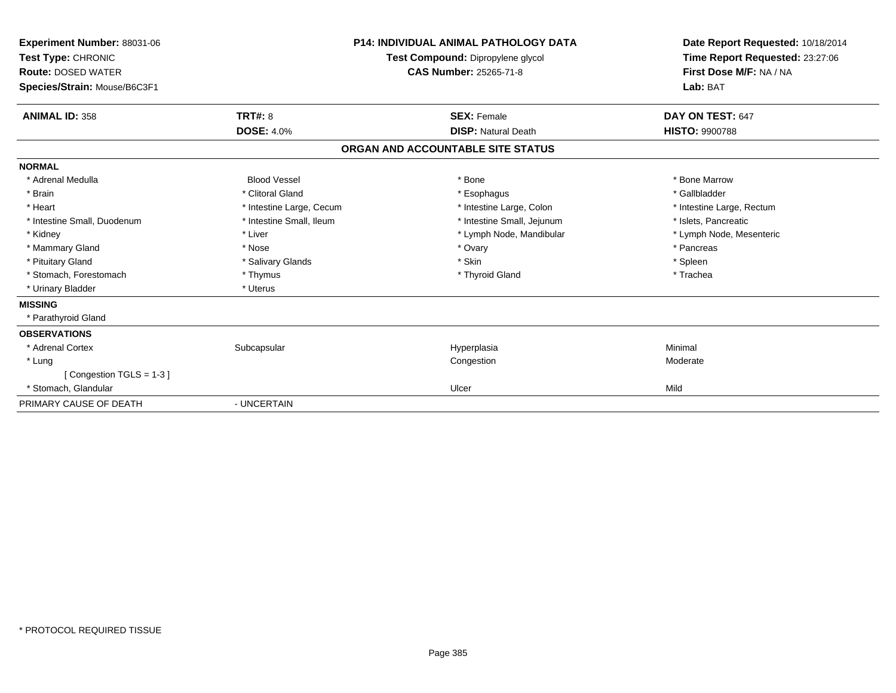| Experiment Number: 88031-06<br>Test Type: CHRONIC<br><b>Route: DOSED WATER</b><br>Species/Strain: Mouse/B6C3F1 |                          | <b>P14: INDIVIDUAL ANIMAL PATHOLOGY DATA</b><br>Test Compound: Dipropylene glycol<br><b>CAS Number: 25265-71-8</b> | Date Report Requested: 10/18/2014<br>Time Report Requested: 23:27:06<br>First Dose M/F: NA / NA<br>Lab: BAT |  |
|----------------------------------------------------------------------------------------------------------------|--------------------------|--------------------------------------------------------------------------------------------------------------------|-------------------------------------------------------------------------------------------------------------|--|
| <b>ANIMAL ID: 358</b>                                                                                          | <b>TRT#: 8</b>           | <b>SEX: Female</b>                                                                                                 | DAY ON TEST: 647                                                                                            |  |
|                                                                                                                | <b>DOSE: 4.0%</b>        | <b>DISP: Natural Death</b>                                                                                         | <b>HISTO: 9900788</b>                                                                                       |  |
|                                                                                                                |                          | ORGAN AND ACCOUNTABLE SITE STATUS                                                                                  |                                                                                                             |  |
| <b>NORMAL</b>                                                                                                  |                          |                                                                                                                    |                                                                                                             |  |
| * Adrenal Medulla                                                                                              | <b>Blood Vessel</b>      | * Bone                                                                                                             | * Bone Marrow                                                                                               |  |
| * Brain                                                                                                        | * Clitoral Gland         | * Esophagus                                                                                                        | * Gallbladder                                                                                               |  |
| * Heart                                                                                                        | * Intestine Large, Cecum | * Intestine Large, Colon                                                                                           | * Intestine Large, Rectum                                                                                   |  |
| * Intestine Small, Duodenum                                                                                    | * Intestine Small, Ileum | * Intestine Small, Jejunum                                                                                         | * Islets, Pancreatic                                                                                        |  |
| * Kidney                                                                                                       | * Liver                  | * Lymph Node, Mandibular                                                                                           | * Lymph Node, Mesenteric                                                                                    |  |
| * Mammary Gland                                                                                                | * Nose                   | * Ovary                                                                                                            | * Pancreas                                                                                                  |  |
| * Pituitary Gland                                                                                              | * Salivary Glands        | * Skin                                                                                                             | * Spleen                                                                                                    |  |
| * Stomach, Forestomach                                                                                         | * Thymus                 | * Thyroid Gland                                                                                                    | * Trachea                                                                                                   |  |
| * Urinary Bladder                                                                                              | * Uterus                 |                                                                                                                    |                                                                                                             |  |
| <b>MISSING</b>                                                                                                 |                          |                                                                                                                    |                                                                                                             |  |
| * Parathyroid Gland                                                                                            |                          |                                                                                                                    |                                                                                                             |  |
| <b>OBSERVATIONS</b>                                                                                            |                          |                                                                                                                    |                                                                                                             |  |
| * Adrenal Cortex                                                                                               | Subcapsular              | Hyperplasia                                                                                                        | Minimal                                                                                                     |  |
| * Lung                                                                                                         |                          | Congestion                                                                                                         | Moderate                                                                                                    |  |
| [Congestion TGLS = 1-3]                                                                                        |                          |                                                                                                                    |                                                                                                             |  |
| * Stomach, Glandular                                                                                           |                          | Ulcer                                                                                                              | Mild                                                                                                        |  |
| PRIMARY CAUSE OF DEATH                                                                                         | - UNCERTAIN              |                                                                                                                    |                                                                                                             |  |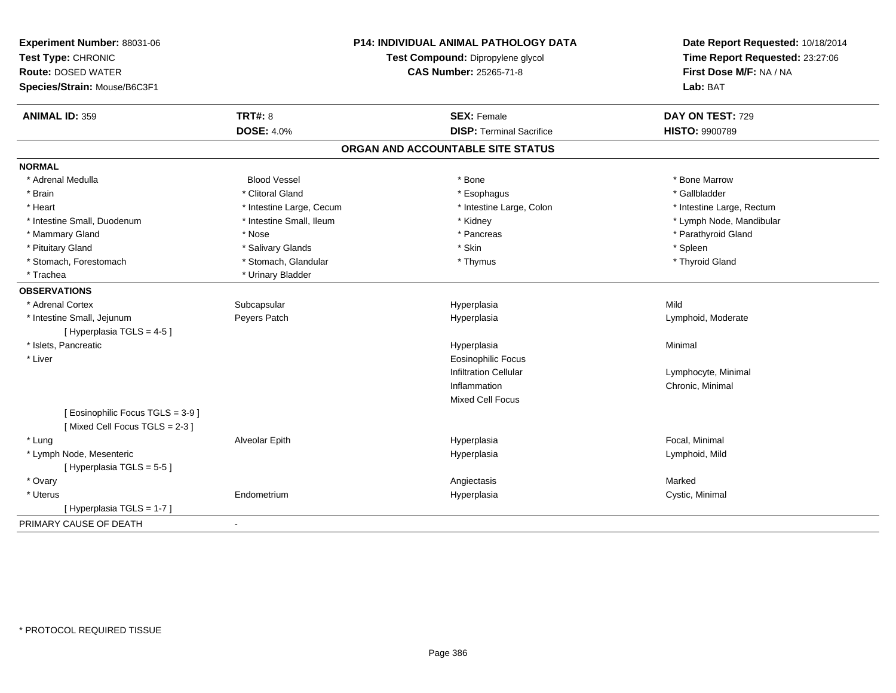| Experiment Number: 88031-06<br>Test Type: CHRONIC<br><b>Route: DOSED WATER</b><br>Species/Strain: Mouse/B6C3F1 |                          | <b>P14: INDIVIDUAL ANIMAL PATHOLOGY DATA</b><br>Test Compound: Dipropylene glycol<br><b>CAS Number: 25265-71-8</b> | Date Report Requested: 10/18/2014<br>Time Report Requested: 23:27:06<br>First Dose M/F: NA / NA<br>Lab: BAT |  |
|----------------------------------------------------------------------------------------------------------------|--------------------------|--------------------------------------------------------------------------------------------------------------------|-------------------------------------------------------------------------------------------------------------|--|
| <b>ANIMAL ID: 359</b>                                                                                          | <b>TRT#: 8</b>           | <b>SEX: Female</b>                                                                                                 | DAY ON TEST: 729                                                                                            |  |
|                                                                                                                | <b>DOSE: 4.0%</b>        | <b>DISP: Terminal Sacrifice</b>                                                                                    | <b>HISTO: 9900789</b>                                                                                       |  |
|                                                                                                                |                          | ORGAN AND ACCOUNTABLE SITE STATUS                                                                                  |                                                                                                             |  |
| <b>NORMAL</b>                                                                                                  |                          |                                                                                                                    |                                                                                                             |  |
| * Adrenal Medulla                                                                                              | <b>Blood Vessel</b>      | * Bone                                                                                                             | * Bone Marrow                                                                                               |  |
| * Brain                                                                                                        | * Clitoral Gland         | * Esophagus                                                                                                        | * Gallbladder                                                                                               |  |
| * Heart                                                                                                        | * Intestine Large, Cecum | * Intestine Large, Colon                                                                                           | * Intestine Large, Rectum                                                                                   |  |
| * Intestine Small, Duodenum                                                                                    | * Intestine Small, Ileum | * Kidney                                                                                                           | * Lymph Node, Mandibular                                                                                    |  |
| * Mammary Gland                                                                                                | * Nose                   | * Pancreas                                                                                                         | * Parathyroid Gland                                                                                         |  |
| * Pituitary Gland                                                                                              | * Salivary Glands        | * Skin                                                                                                             | * Spleen                                                                                                    |  |
| * Stomach, Forestomach                                                                                         | * Stomach, Glandular     | * Thymus                                                                                                           | * Thyroid Gland                                                                                             |  |
| * Trachea                                                                                                      | * Urinary Bladder        |                                                                                                                    |                                                                                                             |  |
| <b>OBSERVATIONS</b>                                                                                            |                          |                                                                                                                    |                                                                                                             |  |
| * Adrenal Cortex                                                                                               | Subcapsular              | Hyperplasia                                                                                                        | Mild                                                                                                        |  |
| * Intestine Small, Jejunum                                                                                     | Peyers Patch             | Hyperplasia                                                                                                        | Lymphoid, Moderate                                                                                          |  |
| [Hyperplasia TGLS = 4-5]                                                                                       |                          |                                                                                                                    |                                                                                                             |  |
| * Islets, Pancreatic                                                                                           |                          | Hyperplasia                                                                                                        | Minimal                                                                                                     |  |
| * Liver                                                                                                        |                          | <b>Eosinophilic Focus</b>                                                                                          |                                                                                                             |  |
|                                                                                                                |                          | <b>Infiltration Cellular</b>                                                                                       | Lymphocyte, Minimal                                                                                         |  |
|                                                                                                                |                          | Inflammation                                                                                                       | Chronic, Minimal                                                                                            |  |
|                                                                                                                |                          | <b>Mixed Cell Focus</b>                                                                                            |                                                                                                             |  |
| [Eosinophilic Focus TGLS = 3-9]<br>[Mixed Cell Focus TGLS = 2-3]                                               |                          |                                                                                                                    |                                                                                                             |  |
| * Lung                                                                                                         | Alveolar Epith           | Hyperplasia                                                                                                        | Focal, Minimal                                                                                              |  |
| * Lymph Node, Mesenteric<br>[Hyperplasia TGLS = 5-5]                                                           |                          | Hyperplasia                                                                                                        | Lymphoid, Mild                                                                                              |  |
| * Ovary                                                                                                        |                          | Angiectasis                                                                                                        | Marked                                                                                                      |  |
| * Uterus                                                                                                       | Endometrium              | Hyperplasia                                                                                                        | Cystic, Minimal                                                                                             |  |
| [Hyperplasia TGLS = 1-7]                                                                                       |                          |                                                                                                                    |                                                                                                             |  |
| PRIMARY CAUSE OF DEATH                                                                                         | $\blacksquare$           |                                                                                                                    |                                                                                                             |  |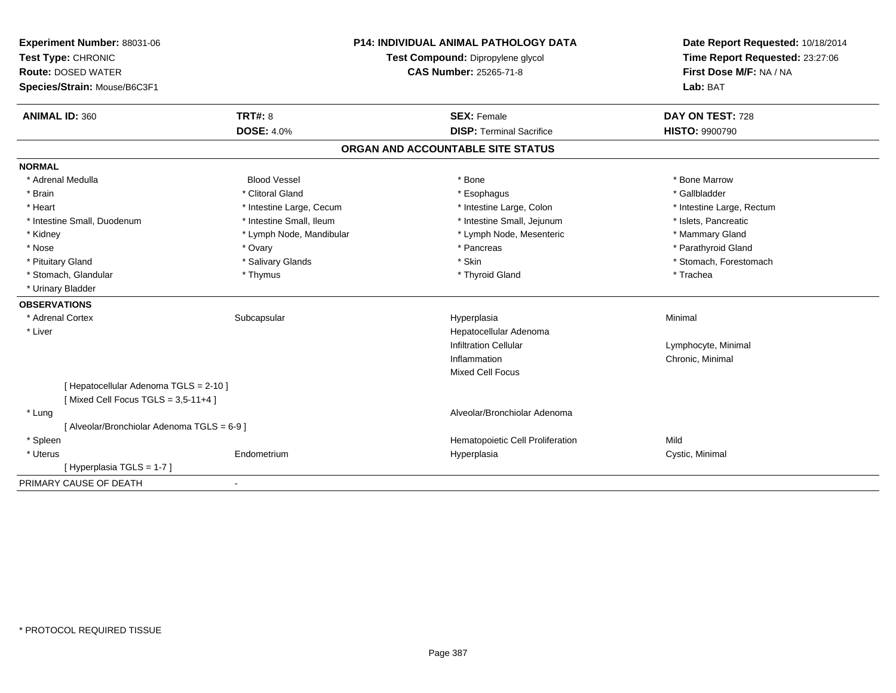| Experiment Number: 88031-06<br>Test Type: CHRONIC<br><b>Route: DOSED WATER</b><br>Species/Strain: Mouse/B6C3F1 |                          | <b>P14: INDIVIDUAL ANIMAL PATHOLOGY DATA</b><br>Test Compound: Dipropylene glycol<br><b>CAS Number: 25265-71-8</b> | Date Report Requested: 10/18/2014<br>Time Report Requested: 23:27:06<br>First Dose M/F: NA / NA<br>Lab: BAT |  |
|----------------------------------------------------------------------------------------------------------------|--------------------------|--------------------------------------------------------------------------------------------------------------------|-------------------------------------------------------------------------------------------------------------|--|
| <b>ANIMAL ID: 360</b>                                                                                          | <b>TRT#: 8</b>           | <b>SEX: Female</b>                                                                                                 | DAY ON TEST: 728                                                                                            |  |
|                                                                                                                | <b>DOSE: 4.0%</b>        | <b>DISP: Terminal Sacrifice</b>                                                                                    | <b>HISTO: 9900790</b>                                                                                       |  |
|                                                                                                                |                          | ORGAN AND ACCOUNTABLE SITE STATUS                                                                                  |                                                                                                             |  |
| <b>NORMAL</b>                                                                                                  |                          |                                                                                                                    |                                                                                                             |  |
| * Adrenal Medulla                                                                                              | <b>Blood Vessel</b>      | * Bone                                                                                                             | * Bone Marrow                                                                                               |  |
| * Brain                                                                                                        | * Clitoral Gland         | * Esophagus                                                                                                        | * Gallbladder                                                                                               |  |
| * Heart                                                                                                        | * Intestine Large, Cecum | * Intestine Large, Colon                                                                                           | * Intestine Large, Rectum                                                                                   |  |
| * Intestine Small, Duodenum                                                                                    | * Intestine Small, Ileum | * Intestine Small, Jejunum                                                                                         | * Islets, Pancreatic                                                                                        |  |
| * Kidney                                                                                                       | * Lymph Node, Mandibular | * Lymph Node, Mesenteric                                                                                           | * Mammary Gland                                                                                             |  |
| * Nose                                                                                                         | * Ovary                  | * Pancreas                                                                                                         | * Parathyroid Gland                                                                                         |  |
| * Pituitary Gland                                                                                              | * Salivary Glands        | * Skin                                                                                                             | * Stomach, Forestomach                                                                                      |  |
| * Stomach, Glandular                                                                                           | * Thymus                 | * Thyroid Gland                                                                                                    | * Trachea                                                                                                   |  |
| * Urinary Bladder                                                                                              |                          |                                                                                                                    |                                                                                                             |  |
| <b>OBSERVATIONS</b>                                                                                            |                          |                                                                                                                    |                                                                                                             |  |
| * Adrenal Cortex                                                                                               | Subcapsular              | Hyperplasia                                                                                                        | Minimal                                                                                                     |  |
| * Liver                                                                                                        |                          | Hepatocellular Adenoma                                                                                             |                                                                                                             |  |
|                                                                                                                |                          | <b>Infiltration Cellular</b>                                                                                       | Lymphocyte, Minimal                                                                                         |  |
|                                                                                                                |                          | Inflammation                                                                                                       | Chronic, Minimal                                                                                            |  |
|                                                                                                                |                          | Mixed Cell Focus                                                                                                   |                                                                                                             |  |
| [ Hepatocellular Adenoma TGLS = 2-10 ]                                                                         |                          |                                                                                                                    |                                                                                                             |  |
| [Mixed Cell Focus TGLS = $3,5-11+4$ ]                                                                          |                          |                                                                                                                    |                                                                                                             |  |
| * Lung                                                                                                         |                          | Alveolar/Bronchiolar Adenoma                                                                                       |                                                                                                             |  |
| [Alveolar/Bronchiolar Adenoma TGLS = 6-9]                                                                      |                          |                                                                                                                    |                                                                                                             |  |
| * Spleen                                                                                                       |                          | Hematopoietic Cell Proliferation                                                                                   | Mild                                                                                                        |  |
| * Uterus                                                                                                       | Endometrium              | Hyperplasia                                                                                                        | Cystic, Minimal                                                                                             |  |
| [ Hyperplasia TGLS = 1-7 ]                                                                                     |                          |                                                                                                                    |                                                                                                             |  |
| PRIMARY CAUSE OF DEATH                                                                                         |                          |                                                                                                                    |                                                                                                             |  |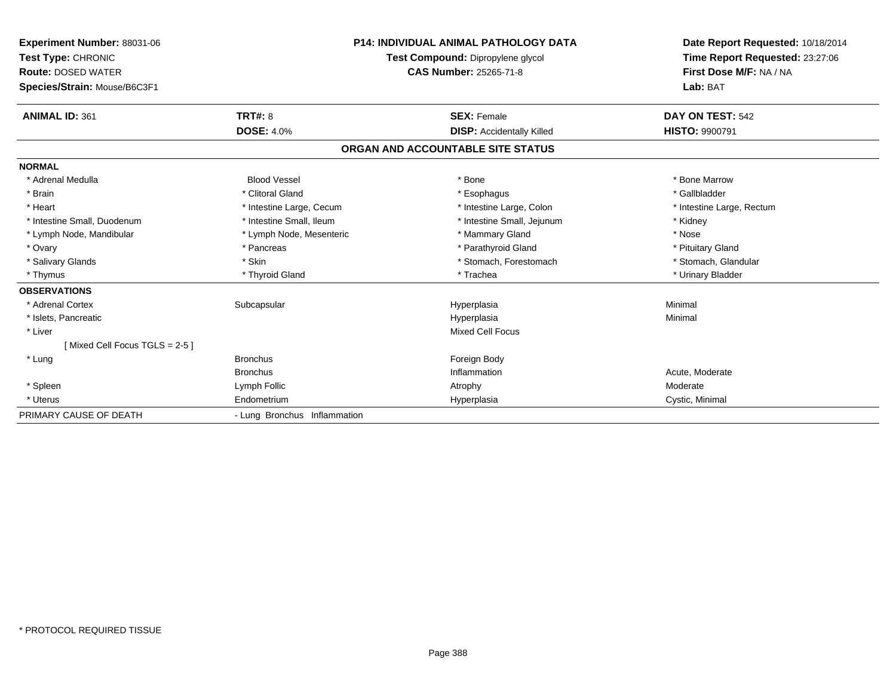| <b>Experiment Number: 88031-06</b><br>Test Type: CHRONIC<br><b>Route: DOSED WATER</b><br>Species/Strain: Mouse/B6C3F1 | <b>P14: INDIVIDUAL ANIMAL PATHOLOGY DATA</b><br>Test Compound: Dipropylene glycol<br><b>CAS Number: 25265-71-8</b> |                                   | Date Report Requested: 10/18/2014<br>Time Report Requested: 23:27:06<br>First Dose M/F: NA / NA<br>Lab: BAT |
|-----------------------------------------------------------------------------------------------------------------------|--------------------------------------------------------------------------------------------------------------------|-----------------------------------|-------------------------------------------------------------------------------------------------------------|
| <b>ANIMAL ID: 361</b>                                                                                                 | TRT#: 8                                                                                                            | <b>SEX: Female</b>                | DAY ON TEST: 542                                                                                            |
|                                                                                                                       | <b>DOSE: 4.0%</b>                                                                                                  | <b>DISP: Accidentally Killed</b>  | <b>HISTO: 9900791</b>                                                                                       |
|                                                                                                                       |                                                                                                                    | ORGAN AND ACCOUNTABLE SITE STATUS |                                                                                                             |
| <b>NORMAL</b>                                                                                                         |                                                                                                                    |                                   |                                                                                                             |
| * Adrenal Medulla                                                                                                     | <b>Blood Vessel</b>                                                                                                | * Bone                            | * Bone Marrow                                                                                               |
| * Brain                                                                                                               | * Clitoral Gland                                                                                                   | * Esophagus                       | * Gallbladder                                                                                               |
| * Heart                                                                                                               | * Intestine Large, Cecum                                                                                           | * Intestine Large, Colon          | * Intestine Large, Rectum                                                                                   |
| * Intestine Small, Duodenum                                                                                           | * Intestine Small, Ileum                                                                                           | * Intestine Small, Jejunum        | * Kidney                                                                                                    |
| * Lymph Node, Mandibular                                                                                              | * Lymph Node, Mesenteric                                                                                           | * Mammary Gland                   | * Nose                                                                                                      |
| * Ovary                                                                                                               | * Pancreas                                                                                                         | * Parathyroid Gland               | * Pituitary Gland                                                                                           |
| * Salivary Glands                                                                                                     | * Skin                                                                                                             | * Stomach, Forestomach            | * Stomach, Glandular                                                                                        |
| * Thymus                                                                                                              | * Thyroid Gland                                                                                                    | * Trachea                         | * Urinary Bladder                                                                                           |
| <b>OBSERVATIONS</b>                                                                                                   |                                                                                                                    |                                   |                                                                                                             |
| * Adrenal Cortex                                                                                                      | Subcapsular                                                                                                        | Hyperplasia                       | Minimal                                                                                                     |
| * Islets, Pancreatic                                                                                                  |                                                                                                                    | Hyperplasia                       | Minimal                                                                                                     |
| * Liver                                                                                                               |                                                                                                                    | <b>Mixed Cell Focus</b>           |                                                                                                             |
| [Mixed Cell Focus TGLS = 2-5]                                                                                         |                                                                                                                    |                                   |                                                                                                             |
| * Lung                                                                                                                | <b>Bronchus</b>                                                                                                    | Foreign Body                      |                                                                                                             |
|                                                                                                                       | <b>Bronchus</b>                                                                                                    | Inflammation                      | Acute, Moderate                                                                                             |
| * Spleen                                                                                                              | Lymph Follic                                                                                                       | Atrophy                           | Moderate                                                                                                    |
| * Uterus                                                                                                              | Endometrium                                                                                                        | Hyperplasia                       | Cystic, Minimal                                                                                             |
| PRIMARY CAUSE OF DEATH                                                                                                | - Lung Bronchus Inflammation                                                                                       |                                   |                                                                                                             |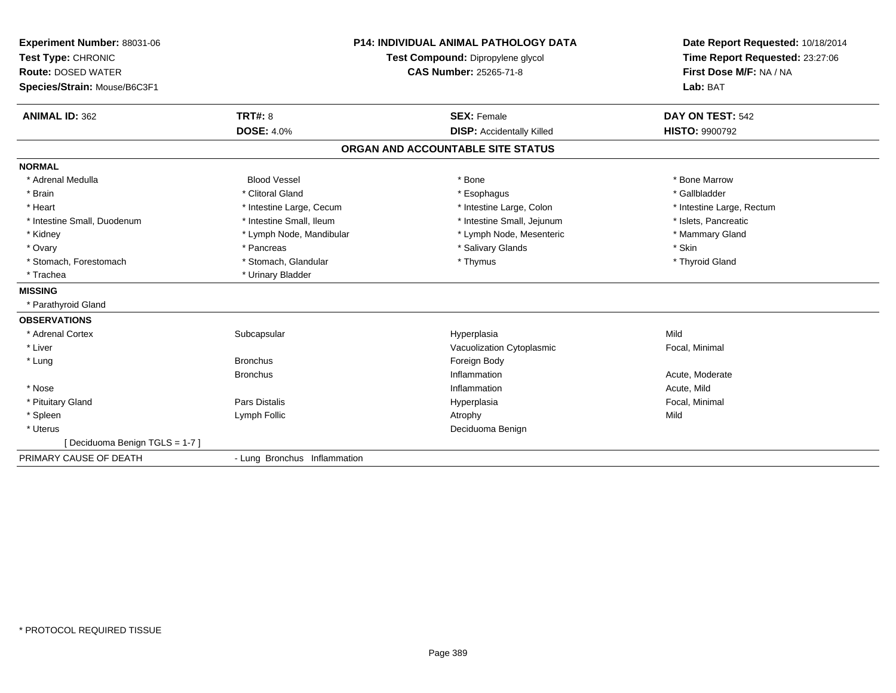| Experiment Number: 88031-06<br>Test Type: CHRONIC<br><b>Route: DOSED WATER</b><br>Species/Strain: Mouse/B6C3F1 |                              | <b>P14: INDIVIDUAL ANIMAL PATHOLOGY DATA</b><br>Test Compound: Dipropylene glycol<br><b>CAS Number: 25265-71-8</b> | Date Report Requested: 10/18/2014<br>Time Report Requested: 23:27:06<br>First Dose M/F: NA / NA<br>Lab: BAT |  |
|----------------------------------------------------------------------------------------------------------------|------------------------------|--------------------------------------------------------------------------------------------------------------------|-------------------------------------------------------------------------------------------------------------|--|
| <b>ANIMAL ID: 362</b>                                                                                          | <b>TRT#: 8</b>               | <b>SEX: Female</b>                                                                                                 | DAY ON TEST: 542                                                                                            |  |
|                                                                                                                | <b>DOSE: 4.0%</b>            | <b>DISP:</b> Accidentally Killed                                                                                   | <b>HISTO: 9900792</b>                                                                                       |  |
|                                                                                                                |                              | ORGAN AND ACCOUNTABLE SITE STATUS                                                                                  |                                                                                                             |  |
| <b>NORMAL</b>                                                                                                  |                              |                                                                                                                    |                                                                                                             |  |
| * Adrenal Medulla                                                                                              | <b>Blood Vessel</b>          | * Bone                                                                                                             | * Bone Marrow                                                                                               |  |
| * Brain                                                                                                        | * Clitoral Gland             | * Esophagus                                                                                                        | * Gallbladder                                                                                               |  |
| * Heart                                                                                                        | * Intestine Large, Cecum     | * Intestine Large, Colon                                                                                           | * Intestine Large, Rectum                                                                                   |  |
| * Intestine Small, Duodenum                                                                                    | * Intestine Small. Ileum     | * Intestine Small, Jejunum                                                                                         | * Islets, Pancreatic                                                                                        |  |
| * Kidney                                                                                                       | * Lymph Node, Mandibular     | * Lymph Node, Mesenteric                                                                                           | * Mammary Gland                                                                                             |  |
| * Ovary                                                                                                        | * Pancreas                   | * Salivary Glands                                                                                                  | * Skin                                                                                                      |  |
| * Stomach, Forestomach                                                                                         | * Stomach, Glandular         | * Thymus                                                                                                           | * Thyroid Gland                                                                                             |  |
| * Trachea                                                                                                      | * Urinary Bladder            |                                                                                                                    |                                                                                                             |  |
| <b>MISSING</b>                                                                                                 |                              |                                                                                                                    |                                                                                                             |  |
| * Parathyroid Gland                                                                                            |                              |                                                                                                                    |                                                                                                             |  |
| <b>OBSERVATIONS</b>                                                                                            |                              |                                                                                                                    |                                                                                                             |  |
| * Adrenal Cortex                                                                                               | Subcapsular                  | Hyperplasia                                                                                                        | Mild                                                                                                        |  |
| * Liver                                                                                                        |                              | Vacuolization Cytoplasmic                                                                                          | Focal, Minimal                                                                                              |  |
| * Lung                                                                                                         | <b>Bronchus</b>              | Foreign Body                                                                                                       |                                                                                                             |  |
|                                                                                                                | <b>Bronchus</b>              | Inflammation                                                                                                       | Acute, Moderate                                                                                             |  |
| * Nose                                                                                                         |                              | Inflammation                                                                                                       | Acute, Mild                                                                                                 |  |
| * Pituitary Gland                                                                                              | Pars Distalis                | Hyperplasia                                                                                                        | Focal, Minimal                                                                                              |  |
| * Spleen                                                                                                       | Lymph Follic                 | Atrophy                                                                                                            | Mild                                                                                                        |  |
| * Uterus                                                                                                       |                              | Deciduoma Benign                                                                                                   |                                                                                                             |  |
| [Deciduoma Benign TGLS = 1-7]                                                                                  |                              |                                                                                                                    |                                                                                                             |  |
| PRIMARY CAUSE OF DEATH                                                                                         | - Lung Bronchus Inflammation |                                                                                                                    |                                                                                                             |  |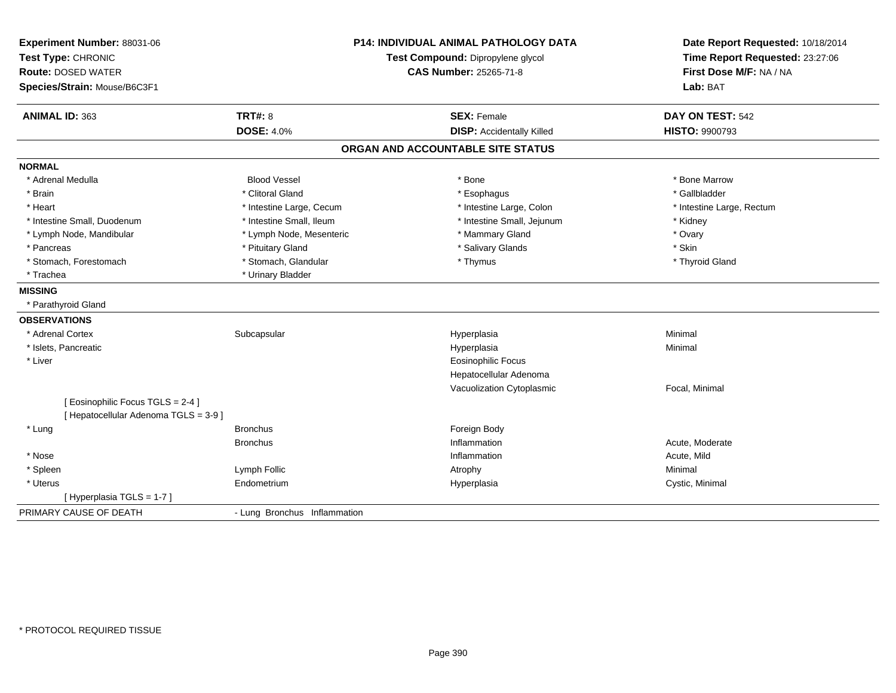| Experiment Number: 88031-06<br>Test Type: CHRONIC<br><b>Route: DOSED WATER</b><br>Species/Strain: Mouse/B6C3F1 | <b>P14: INDIVIDUAL ANIMAL PATHOLOGY DATA</b><br>Test Compound: Dipropylene glycol<br><b>CAS Number: 25265-71-8</b> |                                   | Date Report Requested: 10/18/2014<br>Time Report Requested: 23:27:06<br>First Dose M/F: NA / NA<br>Lab: BAT |  |
|----------------------------------------------------------------------------------------------------------------|--------------------------------------------------------------------------------------------------------------------|-----------------------------------|-------------------------------------------------------------------------------------------------------------|--|
| ANIMAL ID: 363                                                                                                 | <b>TRT#: 8</b>                                                                                                     | <b>SEX: Female</b>                | DAY ON TEST: 542                                                                                            |  |
|                                                                                                                | <b>DOSE: 4.0%</b>                                                                                                  | <b>DISP:</b> Accidentally Killed  | <b>HISTO: 9900793</b>                                                                                       |  |
|                                                                                                                |                                                                                                                    | ORGAN AND ACCOUNTABLE SITE STATUS |                                                                                                             |  |
| <b>NORMAL</b>                                                                                                  |                                                                                                                    |                                   |                                                                                                             |  |
| * Adrenal Medulla                                                                                              | <b>Blood Vessel</b>                                                                                                | $*$ Bone                          | * Bone Marrow                                                                                               |  |
| * Brain                                                                                                        | * Clitoral Gland                                                                                                   | * Esophagus                       | * Gallbladder                                                                                               |  |
| * Heart                                                                                                        | * Intestine Large, Cecum                                                                                           | * Intestine Large, Colon          | * Intestine Large, Rectum                                                                                   |  |
| * Intestine Small, Duodenum                                                                                    | * Intestine Small, Ileum                                                                                           | * Intestine Small, Jejunum        | * Kidney                                                                                                    |  |
| * Lymph Node, Mandibular                                                                                       | * Lymph Node, Mesenteric                                                                                           | * Mammary Gland                   | * Ovary                                                                                                     |  |
| * Pancreas                                                                                                     | * Pituitary Gland                                                                                                  | * Salivary Glands                 | * Skin                                                                                                      |  |
| * Stomach, Forestomach                                                                                         | * Stomach, Glandular                                                                                               | * Thymus                          | * Thyroid Gland                                                                                             |  |
| * Trachea                                                                                                      | * Urinary Bladder                                                                                                  |                                   |                                                                                                             |  |
| <b>MISSING</b>                                                                                                 |                                                                                                                    |                                   |                                                                                                             |  |
| * Parathyroid Gland                                                                                            |                                                                                                                    |                                   |                                                                                                             |  |
| <b>OBSERVATIONS</b>                                                                                            |                                                                                                                    |                                   |                                                                                                             |  |
| * Adrenal Cortex                                                                                               | Subcapsular                                                                                                        | Hyperplasia                       | Minimal                                                                                                     |  |
| * Islets, Pancreatic                                                                                           |                                                                                                                    | Hyperplasia                       | Minimal                                                                                                     |  |
| * Liver                                                                                                        |                                                                                                                    | <b>Eosinophilic Focus</b>         |                                                                                                             |  |
|                                                                                                                |                                                                                                                    | Hepatocellular Adenoma            |                                                                                                             |  |
|                                                                                                                |                                                                                                                    | Vacuolization Cytoplasmic         | Focal, Minimal                                                                                              |  |
| [Eosinophilic Focus TGLS = 2-4]                                                                                |                                                                                                                    |                                   |                                                                                                             |  |
| [ Hepatocellular Adenoma TGLS = 3-9 ]                                                                          |                                                                                                                    |                                   |                                                                                                             |  |
| * Lung                                                                                                         | <b>Bronchus</b>                                                                                                    | Foreign Body                      |                                                                                                             |  |
|                                                                                                                | <b>Bronchus</b>                                                                                                    | Inflammation                      | Acute, Moderate                                                                                             |  |
| * Nose                                                                                                         |                                                                                                                    | Inflammation                      | Acute, Mild                                                                                                 |  |
| * Spleen                                                                                                       | Lymph Follic                                                                                                       | Atrophy                           | Minimal                                                                                                     |  |
| * Uterus                                                                                                       | Endometrium                                                                                                        | Hyperplasia                       | Cystic, Minimal                                                                                             |  |
| [Hyperplasia TGLS = 1-7]                                                                                       |                                                                                                                    |                                   |                                                                                                             |  |
| PRIMARY CAUSE OF DEATH                                                                                         | - Lung Bronchus Inflammation                                                                                       |                                   |                                                                                                             |  |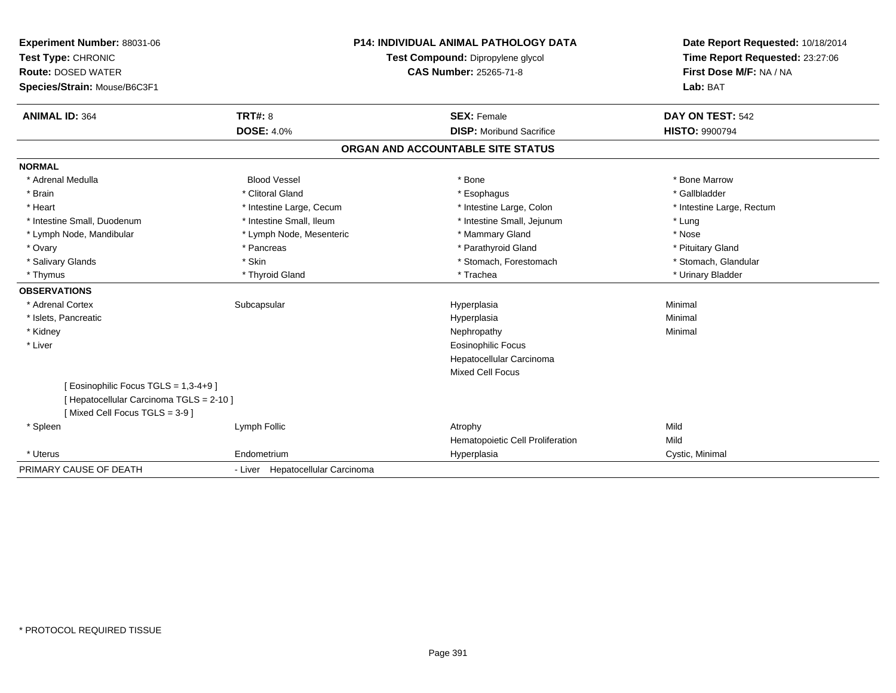| Experiment Number: 88031-06<br>Test Type: CHRONIC |                                  | <b>P14: INDIVIDUAL ANIMAL PATHOLOGY DATA</b><br>Test Compound: Dipropylene glycol | Date Report Requested: 10/18/2014<br>Time Report Requested: 23:27:06 |  |
|---------------------------------------------------|----------------------------------|-----------------------------------------------------------------------------------|----------------------------------------------------------------------|--|
| <b>Route: DOSED WATER</b>                         | <b>CAS Number: 25265-71-8</b>    |                                                                                   | First Dose M/F: NA / NA                                              |  |
| Species/Strain: Mouse/B6C3F1                      |                                  |                                                                                   | Lab: BAT                                                             |  |
|                                                   |                                  |                                                                                   |                                                                      |  |
| <b>ANIMAL ID: 364</b>                             | <b>TRT#: 8</b>                   | <b>SEX: Female</b>                                                                | DAY ON TEST: 542                                                     |  |
|                                                   | <b>DOSE: 4.0%</b>                | <b>DISP:</b> Moribund Sacrifice                                                   | <b>HISTO: 9900794</b>                                                |  |
|                                                   |                                  | ORGAN AND ACCOUNTABLE SITE STATUS                                                 |                                                                      |  |
| <b>NORMAL</b>                                     |                                  |                                                                                   |                                                                      |  |
| * Adrenal Medulla                                 | <b>Blood Vessel</b>              | * Bone                                                                            | * Bone Marrow                                                        |  |
| * Brain                                           | * Clitoral Gland                 | * Esophagus                                                                       | * Gallbladder                                                        |  |
| * Heart                                           | * Intestine Large, Cecum         | * Intestine Large, Colon                                                          | * Intestine Large, Rectum                                            |  |
| * Intestine Small, Duodenum                       | * Intestine Small, Ileum         | * Intestine Small, Jejunum                                                        | * Lung                                                               |  |
| * Lymph Node, Mandibular                          | * Lymph Node, Mesenteric         | * Mammary Gland                                                                   | * Nose                                                               |  |
| * Ovary                                           | * Pancreas                       | * Parathyroid Gland                                                               | * Pituitary Gland                                                    |  |
| * Salivary Glands                                 | * Skin                           | * Stomach, Forestomach                                                            | * Stomach, Glandular                                                 |  |
| * Thymus                                          | * Thyroid Gland                  | * Trachea                                                                         | * Urinary Bladder                                                    |  |
| <b>OBSERVATIONS</b>                               |                                  |                                                                                   |                                                                      |  |
| * Adrenal Cortex                                  | Subcapsular                      | Hyperplasia                                                                       | Minimal                                                              |  |
| * Islets, Pancreatic                              |                                  | Hyperplasia                                                                       | Minimal                                                              |  |
| * Kidney                                          |                                  | Nephropathy                                                                       | Minimal                                                              |  |
| * Liver                                           |                                  | <b>Eosinophilic Focus</b>                                                         |                                                                      |  |
|                                                   |                                  | Hepatocellular Carcinoma                                                          |                                                                      |  |
|                                                   |                                  | <b>Mixed Cell Focus</b>                                                           |                                                                      |  |
| [ Eosinophilic Focus TGLS = 1,3-4+9 ]             |                                  |                                                                                   |                                                                      |  |
| [ Hepatocellular Carcinoma TGLS = 2-10 ]          |                                  |                                                                                   |                                                                      |  |
| [Mixed Cell Focus TGLS = 3-9]                     |                                  |                                                                                   |                                                                      |  |
| * Spleen                                          | Lymph Follic                     | Atrophy                                                                           | Mild                                                                 |  |
|                                                   |                                  | Hematopoietic Cell Proliferation                                                  | Mild                                                                 |  |
| * Uterus                                          | Endometrium                      | Hyperplasia                                                                       | Cystic, Minimal                                                      |  |
| PRIMARY CAUSE OF DEATH                            | - Liver Hepatocellular Carcinoma |                                                                                   |                                                                      |  |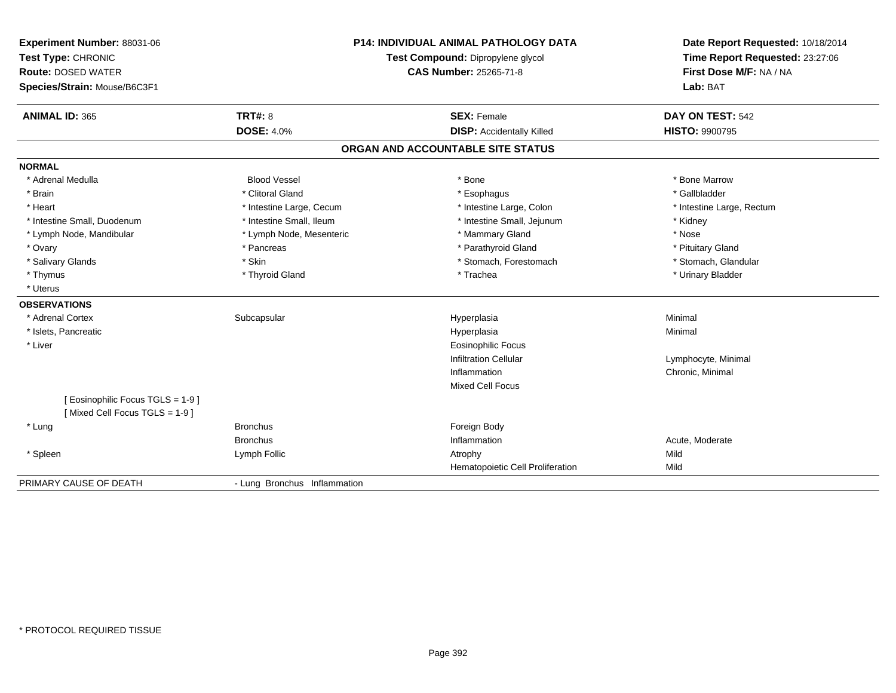| Experiment Number: 88031-06<br>Test Type: CHRONIC<br><b>Route: DOSED WATER</b><br>Species/Strain: Mouse/B6C3F1 |                              | <b>P14: INDIVIDUAL ANIMAL PATHOLOGY DATA</b><br>Test Compound: Dipropylene glycol<br><b>CAS Number: 25265-71-8</b> | Date Report Requested: 10/18/2014<br>Time Report Requested: 23:27:06<br>First Dose M/F: NA / NA<br>Lab: BAT |  |
|----------------------------------------------------------------------------------------------------------------|------------------------------|--------------------------------------------------------------------------------------------------------------------|-------------------------------------------------------------------------------------------------------------|--|
| <b>ANIMAL ID: 365</b>                                                                                          | <b>TRT#: 8</b>               | <b>SEX: Female</b>                                                                                                 | DAY ON TEST: 542                                                                                            |  |
|                                                                                                                | <b>DOSE: 4.0%</b>            | <b>DISP:</b> Accidentally Killed                                                                                   | <b>HISTO: 9900795</b>                                                                                       |  |
|                                                                                                                |                              | ORGAN AND ACCOUNTABLE SITE STATUS                                                                                  |                                                                                                             |  |
| <b>NORMAL</b>                                                                                                  |                              |                                                                                                                    |                                                                                                             |  |
| * Adrenal Medulla                                                                                              | <b>Blood Vessel</b>          | * Bone                                                                                                             | * Bone Marrow                                                                                               |  |
| * Brain                                                                                                        | * Clitoral Gland             | * Esophagus                                                                                                        | * Gallbladder                                                                                               |  |
| * Heart                                                                                                        | * Intestine Large, Cecum     | * Intestine Large, Colon                                                                                           | * Intestine Large, Rectum                                                                                   |  |
| * Intestine Small. Duodenum                                                                                    | * Intestine Small, Ileum     | * Intestine Small, Jejunum                                                                                         | * Kidney                                                                                                    |  |
| * Lymph Node, Mandibular                                                                                       | * Lymph Node, Mesenteric     | * Mammary Gland                                                                                                    | * Nose                                                                                                      |  |
| * Ovary                                                                                                        | * Pancreas                   | * Parathyroid Gland                                                                                                | * Pituitary Gland                                                                                           |  |
| * Salivary Glands                                                                                              | * Skin                       | * Stomach, Forestomach                                                                                             | * Stomach, Glandular                                                                                        |  |
| * Thymus                                                                                                       | * Thyroid Gland              | * Trachea                                                                                                          | * Urinary Bladder                                                                                           |  |
| * Uterus                                                                                                       |                              |                                                                                                                    |                                                                                                             |  |
| <b>OBSERVATIONS</b>                                                                                            |                              |                                                                                                                    |                                                                                                             |  |
| * Adrenal Cortex                                                                                               | Subcapsular                  | Hyperplasia                                                                                                        | Minimal                                                                                                     |  |
| * Islets, Pancreatic                                                                                           |                              | Hyperplasia                                                                                                        | Minimal                                                                                                     |  |
| * Liver                                                                                                        |                              | <b>Eosinophilic Focus</b>                                                                                          |                                                                                                             |  |
|                                                                                                                |                              | <b>Infiltration Cellular</b>                                                                                       | Lymphocyte, Minimal                                                                                         |  |
|                                                                                                                |                              | Inflammation                                                                                                       | Chronic, Minimal                                                                                            |  |
|                                                                                                                |                              | <b>Mixed Cell Focus</b>                                                                                            |                                                                                                             |  |
| [ Eosinophilic Focus TGLS = 1-9 ]<br>[Mixed Cell Focus TGLS = 1-9]                                             |                              |                                                                                                                    |                                                                                                             |  |
| * Lung                                                                                                         | <b>Bronchus</b>              | Foreign Body                                                                                                       |                                                                                                             |  |
|                                                                                                                | <b>Bronchus</b>              | Inflammation                                                                                                       | Acute, Moderate                                                                                             |  |
| * Spleen                                                                                                       | Lymph Follic                 | Atrophy                                                                                                            | Mild                                                                                                        |  |
|                                                                                                                |                              | Hematopoietic Cell Proliferation                                                                                   | Mild                                                                                                        |  |
| PRIMARY CAUSE OF DEATH                                                                                         | - Lung Bronchus Inflammation |                                                                                                                    |                                                                                                             |  |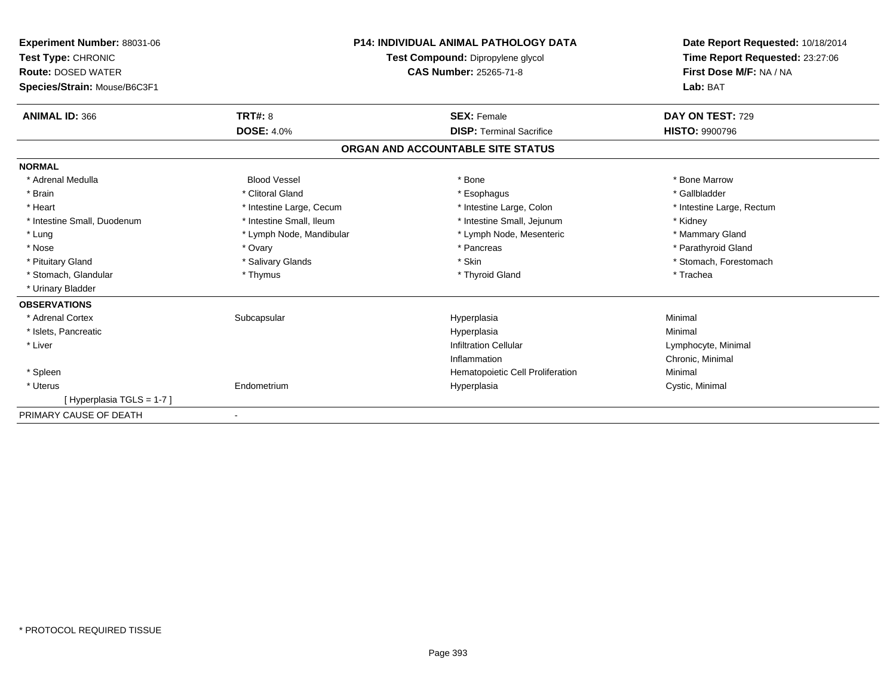| <b>Experiment Number: 88031-06</b><br>Test Type: CHRONIC<br><b>Route: DOSED WATER</b><br>Species/Strain: Mouse/B6C3F1 |                          | <b>P14: INDIVIDUAL ANIMAL PATHOLOGY DATA</b><br>Test Compound: Dipropylene glycol<br><b>CAS Number: 25265-71-8</b> | Date Report Requested: 10/18/2014<br>Time Report Requested: 23:27:06<br>First Dose M/F: NA / NA<br>Lab: BAT |  |
|-----------------------------------------------------------------------------------------------------------------------|--------------------------|--------------------------------------------------------------------------------------------------------------------|-------------------------------------------------------------------------------------------------------------|--|
| <b>ANIMAL ID: 366</b>                                                                                                 | TRT#: 8                  | <b>SEX: Female</b>                                                                                                 | DAY ON TEST: 729                                                                                            |  |
|                                                                                                                       | <b>DOSE: 4.0%</b>        | <b>DISP: Terminal Sacrifice</b>                                                                                    | <b>HISTO: 9900796</b>                                                                                       |  |
|                                                                                                                       |                          | ORGAN AND ACCOUNTABLE SITE STATUS                                                                                  |                                                                                                             |  |
| <b>NORMAL</b>                                                                                                         |                          |                                                                                                                    |                                                                                                             |  |
| * Adrenal Medulla                                                                                                     | <b>Blood Vessel</b>      | * Bone                                                                                                             | * Bone Marrow                                                                                               |  |
| * Brain                                                                                                               | * Clitoral Gland         | * Esophagus                                                                                                        | * Gallbladder                                                                                               |  |
| * Heart                                                                                                               | * Intestine Large, Cecum | * Intestine Large, Colon                                                                                           | * Intestine Large, Rectum                                                                                   |  |
| * Intestine Small, Duodenum                                                                                           | * Intestine Small, Ileum | * Intestine Small, Jejunum                                                                                         | * Kidney                                                                                                    |  |
| * Lung                                                                                                                | * Lymph Node, Mandibular | * Lymph Node, Mesenteric                                                                                           | * Mammary Gland                                                                                             |  |
| * Nose                                                                                                                | * Ovary                  | * Pancreas                                                                                                         | * Parathyroid Gland                                                                                         |  |
| * Pituitary Gland                                                                                                     | * Salivary Glands        | * Skin                                                                                                             | * Stomach, Forestomach                                                                                      |  |
| * Stomach, Glandular                                                                                                  | * Thymus                 | * Thyroid Gland                                                                                                    | * Trachea                                                                                                   |  |
| * Urinary Bladder                                                                                                     |                          |                                                                                                                    |                                                                                                             |  |
| <b>OBSERVATIONS</b>                                                                                                   |                          |                                                                                                                    |                                                                                                             |  |
| * Adrenal Cortex                                                                                                      | Subcapsular              | Hyperplasia                                                                                                        | Minimal                                                                                                     |  |
| * Islets, Pancreatic                                                                                                  |                          | Hyperplasia                                                                                                        | Minimal                                                                                                     |  |
| * Liver                                                                                                               |                          | <b>Infiltration Cellular</b>                                                                                       | Lymphocyte, Minimal                                                                                         |  |
|                                                                                                                       |                          | Inflammation                                                                                                       | Chronic, Minimal                                                                                            |  |
| * Spleen                                                                                                              |                          | Hematopoietic Cell Proliferation                                                                                   | Minimal                                                                                                     |  |
| * Uterus                                                                                                              | Endometrium              | Hyperplasia                                                                                                        | Cystic, Minimal                                                                                             |  |
| [Hyperplasia TGLS = 1-7]                                                                                              |                          |                                                                                                                    |                                                                                                             |  |
| PRIMARY CAUSE OF DEATH                                                                                                |                          |                                                                                                                    |                                                                                                             |  |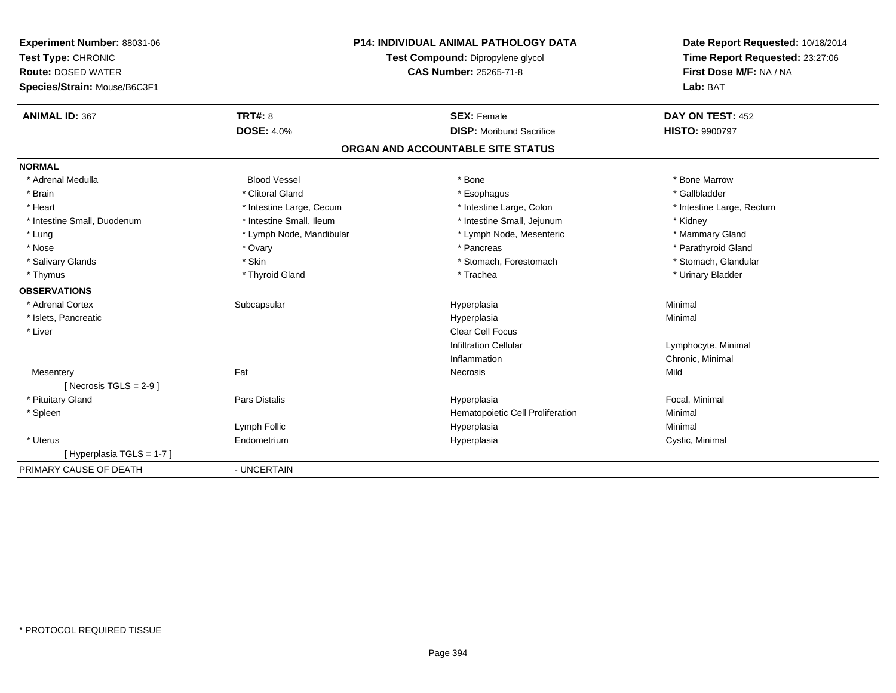| Experiment Number: 88031-06<br>Test Type: CHRONIC |                          | <b>P14: INDIVIDUAL ANIMAL PATHOLOGY DATA</b><br>Test Compound: Dipropylene glycol | Date Report Requested: 10/18/2014<br>Time Report Requested: 23:27:06 |  |
|---------------------------------------------------|--------------------------|-----------------------------------------------------------------------------------|----------------------------------------------------------------------|--|
| <b>Route: DOSED WATER</b>                         |                          | <b>CAS Number: 25265-71-8</b>                                                     | First Dose M/F: NA / NA                                              |  |
| Species/Strain: Mouse/B6C3F1                      |                          |                                                                                   | Lab: BAT                                                             |  |
| <b>ANIMAL ID: 367</b>                             | TRT#: 8                  | <b>SEX: Female</b>                                                                | DAY ON TEST: 452                                                     |  |
|                                                   | <b>DOSE: 4.0%</b>        | <b>DISP:</b> Moribund Sacrifice                                                   | <b>HISTO: 9900797</b>                                                |  |
|                                                   |                          | ORGAN AND ACCOUNTABLE SITE STATUS                                                 |                                                                      |  |
| <b>NORMAL</b>                                     |                          |                                                                                   |                                                                      |  |
| * Adrenal Medulla                                 | <b>Blood Vessel</b>      | * Bone                                                                            | * Bone Marrow                                                        |  |
| * Brain                                           | * Clitoral Gland         | * Esophagus                                                                       | * Gallbladder                                                        |  |
| * Heart                                           | * Intestine Large, Cecum | * Intestine Large, Colon                                                          | * Intestine Large, Rectum                                            |  |
| * Intestine Small, Duodenum                       | * Intestine Small, Ileum | * Intestine Small, Jejunum                                                        | * Kidney                                                             |  |
| * Lung                                            | * Lymph Node, Mandibular | * Lymph Node, Mesenteric                                                          | * Mammary Gland                                                      |  |
| * Nose                                            | * Ovary                  | * Pancreas                                                                        | * Parathyroid Gland                                                  |  |
| * Salivary Glands                                 | * Skin                   | * Stomach, Forestomach                                                            | * Stomach, Glandular                                                 |  |
| * Thymus                                          | * Thyroid Gland          | * Trachea                                                                         | * Urinary Bladder                                                    |  |
| <b>OBSERVATIONS</b>                               |                          |                                                                                   |                                                                      |  |
| * Adrenal Cortex                                  | Subcapsular              | Hyperplasia                                                                       | Minimal                                                              |  |
| * Islets, Pancreatic                              |                          | Hyperplasia                                                                       | Minimal                                                              |  |
| * Liver                                           |                          | <b>Clear Cell Focus</b>                                                           |                                                                      |  |
|                                                   |                          | <b>Infiltration Cellular</b>                                                      | Lymphocyte, Minimal                                                  |  |
|                                                   |                          | Inflammation                                                                      | Chronic, Minimal                                                     |  |
| Mesentery                                         | Fat                      | Necrosis                                                                          | Mild                                                                 |  |
| [ Necrosis TGLS = $2-9$ ]                         |                          |                                                                                   |                                                                      |  |
| * Pituitary Gland                                 | <b>Pars Distalis</b>     | Hyperplasia                                                                       | Focal, Minimal                                                       |  |
| * Spleen                                          |                          | Hematopoietic Cell Proliferation                                                  | Minimal                                                              |  |
|                                                   | Lymph Follic             | Hyperplasia                                                                       | Minimal                                                              |  |
| * Uterus                                          | Endometrium              | Hyperplasia                                                                       | Cystic, Minimal                                                      |  |
| [Hyperplasia TGLS = 1-7]                          |                          |                                                                                   |                                                                      |  |
| PRIMARY CAUSE OF DEATH                            | - UNCERTAIN              |                                                                                   |                                                                      |  |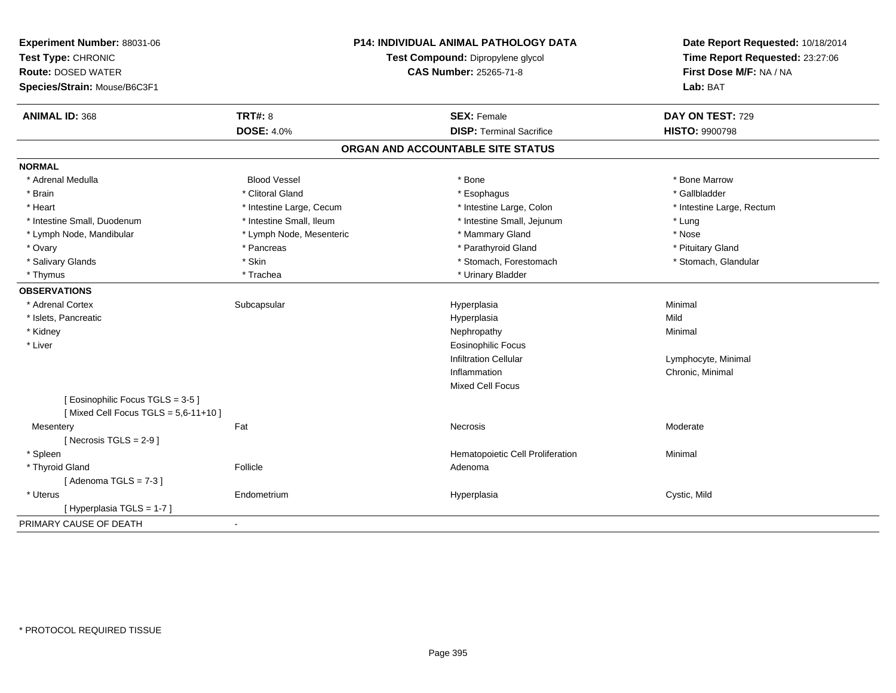| Experiment Number: 88031-06<br>Test Type: CHRONIC<br><b>Route: DOSED WATER</b><br>Species/Strain: Mouse/B6C3F1 | <b>P14: INDIVIDUAL ANIMAL PATHOLOGY DATA</b><br>Test Compound: Dipropylene glycol<br><b>CAS Number: 25265-71-8</b> |                                   | Date Report Requested: 10/18/2014<br>Time Report Requested: 23:27:06<br>First Dose M/F: NA / NA<br>Lab: BAT |  |
|----------------------------------------------------------------------------------------------------------------|--------------------------------------------------------------------------------------------------------------------|-----------------------------------|-------------------------------------------------------------------------------------------------------------|--|
| <b>ANIMAL ID: 368</b>                                                                                          | <b>TRT#: 8</b>                                                                                                     | <b>SEX: Female</b>                | DAY ON TEST: 729                                                                                            |  |
|                                                                                                                | <b>DOSE: 4.0%</b>                                                                                                  | <b>DISP: Terminal Sacrifice</b>   | <b>HISTO: 9900798</b>                                                                                       |  |
|                                                                                                                |                                                                                                                    | ORGAN AND ACCOUNTABLE SITE STATUS |                                                                                                             |  |
| <b>NORMAL</b>                                                                                                  |                                                                                                                    |                                   |                                                                                                             |  |
| * Adrenal Medulla                                                                                              | <b>Blood Vessel</b>                                                                                                | * Bone                            | * Bone Marrow                                                                                               |  |
| * Brain                                                                                                        | * Clitoral Gland                                                                                                   | * Esophagus                       | * Gallbladder                                                                                               |  |
| * Heart                                                                                                        | * Intestine Large, Cecum                                                                                           | * Intestine Large, Colon          | * Intestine Large, Rectum                                                                                   |  |
| * Intestine Small, Duodenum                                                                                    | * Intestine Small, Ileum                                                                                           | * Intestine Small, Jejunum        | * Lung                                                                                                      |  |
| * Lymph Node, Mandibular                                                                                       | * Lymph Node, Mesenteric                                                                                           | * Mammary Gland                   | * Nose                                                                                                      |  |
| * Ovary                                                                                                        | * Pancreas                                                                                                         | * Parathyroid Gland               | * Pituitary Gland                                                                                           |  |
| * Salivary Glands                                                                                              | * Skin                                                                                                             | * Stomach, Forestomach            | * Stomach, Glandular                                                                                        |  |
| * Thymus                                                                                                       | * Trachea                                                                                                          | * Urinary Bladder                 |                                                                                                             |  |
| <b>OBSERVATIONS</b>                                                                                            |                                                                                                                    |                                   |                                                                                                             |  |
| * Adrenal Cortex                                                                                               | Subcapsular                                                                                                        | Hyperplasia                       | Minimal                                                                                                     |  |
| * Islets, Pancreatic                                                                                           |                                                                                                                    | Hyperplasia                       | Mild                                                                                                        |  |
| * Kidney                                                                                                       |                                                                                                                    | Nephropathy                       | Minimal                                                                                                     |  |
| * Liver                                                                                                        |                                                                                                                    | <b>Eosinophilic Focus</b>         |                                                                                                             |  |
|                                                                                                                |                                                                                                                    | <b>Infiltration Cellular</b>      | Lymphocyte, Minimal                                                                                         |  |
|                                                                                                                |                                                                                                                    | Inflammation                      | Chronic, Minimal                                                                                            |  |
|                                                                                                                |                                                                                                                    | <b>Mixed Cell Focus</b>           |                                                                                                             |  |
| [Eosinophilic Focus TGLS = 3-5]<br>[Mixed Cell Focus TGLS = $5,6-11+10$ ]                                      |                                                                                                                    |                                   |                                                                                                             |  |
| Mesentery                                                                                                      | Fat                                                                                                                | <b>Necrosis</b>                   | Moderate                                                                                                    |  |
| [ Necrosis $TGLS = 2-9$ ]                                                                                      |                                                                                                                    |                                   |                                                                                                             |  |
| * Spleen                                                                                                       |                                                                                                                    | Hematopoietic Cell Proliferation  | Minimal                                                                                                     |  |
| * Thyroid Gland                                                                                                | Follicle                                                                                                           | Adenoma                           |                                                                                                             |  |
| [Adenoma TGLS = $7-3$ ]                                                                                        |                                                                                                                    |                                   |                                                                                                             |  |
| * Uterus                                                                                                       | Endometrium                                                                                                        | Hyperplasia                       | Cystic, Mild                                                                                                |  |
| [Hyperplasia TGLS = $1-7$ ]                                                                                    |                                                                                                                    |                                   |                                                                                                             |  |
| PRIMARY CAUSE OF DEATH                                                                                         | $\blacksquare$                                                                                                     |                                   |                                                                                                             |  |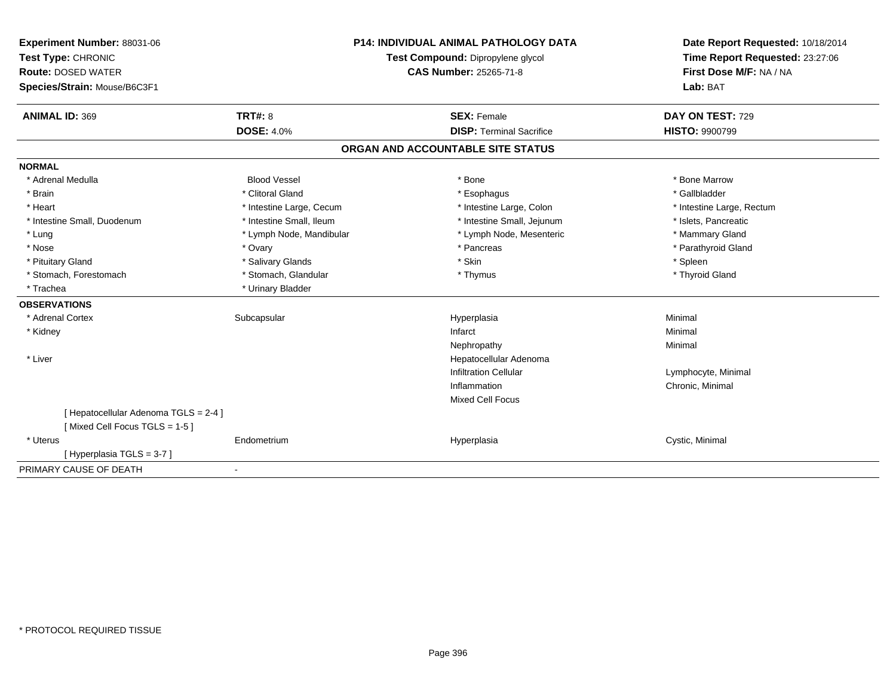| Experiment Number: 88031-06                                            | <b>P14: INDIVIDUAL ANIMAL PATHOLOGY DATA</b><br>Test Compound: Dipropylene glycol<br><b>CAS Number: 25265-71-8</b> |                                   | Date Report Requested: 10/18/2014 |
|------------------------------------------------------------------------|--------------------------------------------------------------------------------------------------------------------|-----------------------------------|-----------------------------------|
| Test Type: CHRONIC                                                     |                                                                                                                    |                                   | Time Report Requested: 23:27:06   |
| <b>Route: DOSED WATER</b>                                              |                                                                                                                    |                                   | First Dose M/F: NA / NA           |
| Species/Strain: Mouse/B6C3F1                                           |                                                                                                                    |                                   | Lab: BAT                          |
| <b>ANIMAL ID: 369</b>                                                  | TRT#: 8                                                                                                            | <b>SEX: Female</b>                | DAY ON TEST: 729                  |
|                                                                        | <b>DOSE: 4.0%</b>                                                                                                  | <b>DISP: Terminal Sacrifice</b>   | <b>HISTO: 9900799</b>             |
|                                                                        |                                                                                                                    | ORGAN AND ACCOUNTABLE SITE STATUS |                                   |
| <b>NORMAL</b>                                                          |                                                                                                                    |                                   |                                   |
| * Adrenal Medulla                                                      | <b>Blood Vessel</b>                                                                                                | * Bone                            | * Bone Marrow                     |
| * Brain                                                                | * Clitoral Gland                                                                                                   | * Esophagus                       | * Gallbladder                     |
| * Heart                                                                | * Intestine Large, Cecum                                                                                           | * Intestine Large, Colon          | * Intestine Large, Rectum         |
| * Intestine Small, Duodenum                                            | * Intestine Small, Ileum                                                                                           | * Intestine Small, Jejunum        | * Islets, Pancreatic              |
| * Lung                                                                 | * Lymph Node, Mandibular                                                                                           | * Lymph Node, Mesenteric          | * Mammary Gland                   |
| * Nose                                                                 | * Ovary                                                                                                            | * Pancreas                        | * Parathyroid Gland               |
| * Pituitary Gland                                                      | * Salivary Glands                                                                                                  | * Skin                            | * Spleen                          |
| * Stomach, Forestomach                                                 | * Stomach, Glandular                                                                                               | * Thymus                          | * Thyroid Gland                   |
| * Trachea                                                              | * Urinary Bladder                                                                                                  |                                   |                                   |
| <b>OBSERVATIONS</b>                                                    |                                                                                                                    |                                   |                                   |
| * Adrenal Cortex                                                       | Subcapsular                                                                                                        | Hyperplasia                       | Minimal                           |
| * Kidney                                                               |                                                                                                                    | Infarct                           | Minimal                           |
|                                                                        |                                                                                                                    | Nephropathy                       | Minimal                           |
| * Liver                                                                |                                                                                                                    | Hepatocellular Adenoma            |                                   |
|                                                                        |                                                                                                                    | <b>Infiltration Cellular</b>      | Lymphocyte, Minimal               |
|                                                                        |                                                                                                                    | Inflammation                      | Chronic, Minimal                  |
|                                                                        |                                                                                                                    | <b>Mixed Cell Focus</b>           |                                   |
| [ Hepatocellular Adenoma TGLS = 2-4 ]<br>[Mixed Cell Focus TGLS = 1-5] |                                                                                                                    |                                   |                                   |
| * Uterus                                                               | Endometrium                                                                                                        | Hyperplasia                       | Cystic, Minimal                   |
| [Hyperplasia TGLS = 3-7]                                               |                                                                                                                    |                                   |                                   |
| PRIMARY CAUSE OF DEATH                                                 |                                                                                                                    |                                   |                                   |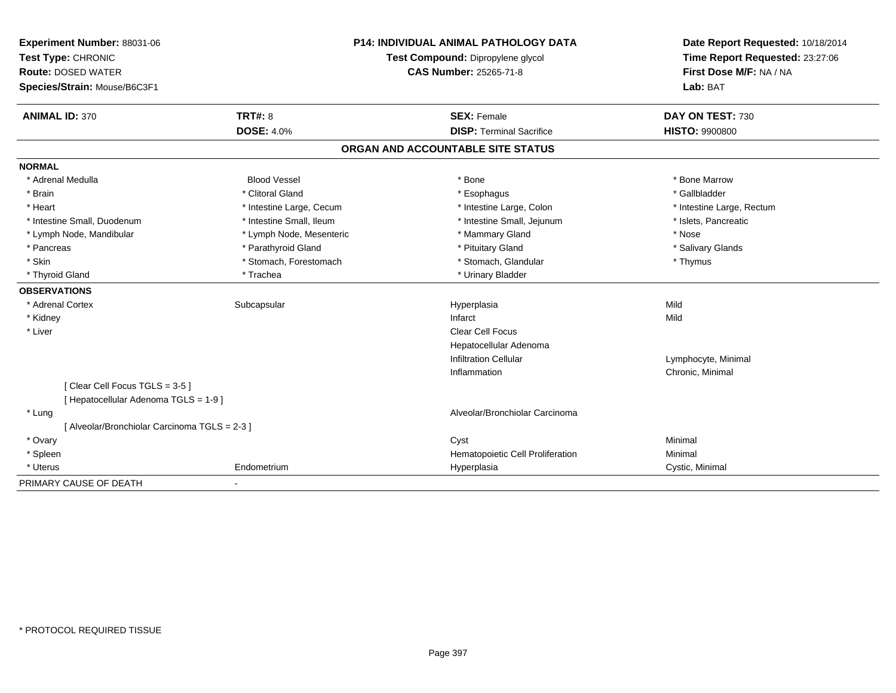| Experiment Number: 88031-06                   |                          | <b>P14: INDIVIDUAL ANIMAL PATHOLOGY DATA</b> | Date Report Requested: 10/18/2014 |
|-----------------------------------------------|--------------------------|----------------------------------------------|-----------------------------------|
| Test Type: CHRONIC                            |                          | Test Compound: Dipropylene glycol            | Time Report Requested: 23:27:06   |
| <b>Route: DOSED WATER</b>                     |                          | <b>CAS Number: 25265-71-8</b>                | First Dose M/F: NA / NA           |
| Species/Strain: Mouse/B6C3F1                  |                          |                                              | Lab: BAT                          |
| <b>ANIMAL ID: 370</b>                         | <b>TRT#: 8</b>           | <b>SEX: Female</b>                           | DAY ON TEST: 730                  |
|                                               | <b>DOSE: 4.0%</b>        | <b>DISP: Terminal Sacrifice</b>              | <b>HISTO: 9900800</b>             |
|                                               |                          | ORGAN AND ACCOUNTABLE SITE STATUS            |                                   |
| <b>NORMAL</b>                                 |                          |                                              |                                   |
| * Adrenal Medulla                             | <b>Blood Vessel</b>      | * Bone                                       | * Bone Marrow                     |
| * Brain                                       | * Clitoral Gland         | * Esophagus                                  | * Gallbladder                     |
| * Heart                                       | * Intestine Large, Cecum | * Intestine Large, Colon                     | * Intestine Large, Rectum         |
| * Intestine Small, Duodenum                   | * Intestine Small, Ileum | * Intestine Small, Jejunum                   | * Islets, Pancreatic              |
| * Lymph Node, Mandibular                      | * Lymph Node, Mesenteric | * Mammary Gland                              | * Nose                            |
| * Pancreas                                    | * Parathyroid Gland      | * Pituitary Gland                            | * Salivary Glands                 |
| * Skin                                        | * Stomach, Forestomach   | * Stomach, Glandular                         | * Thymus                          |
| * Thyroid Gland                               | * Trachea                | * Urinary Bladder                            |                                   |
| <b>OBSERVATIONS</b>                           |                          |                                              |                                   |
| * Adrenal Cortex                              | Subcapsular              | Hyperplasia                                  | Mild                              |
| * Kidney                                      |                          | Infarct                                      | Mild                              |
| * Liver                                       |                          | Clear Cell Focus                             |                                   |
|                                               |                          | Hepatocellular Adenoma                       |                                   |
|                                               |                          | <b>Infiltration Cellular</b>                 | Lymphocyte, Minimal               |
|                                               |                          | Inflammation                                 | Chronic, Minimal                  |
| [Clear Cell Focus TGLS = 3-5]                 |                          |                                              |                                   |
| [ Hepatocellular Adenoma TGLS = 1-9 ]         |                          |                                              |                                   |
| * Lung                                        |                          | Alveolar/Bronchiolar Carcinoma               |                                   |
| [ Alveolar/Bronchiolar Carcinoma TGLS = 2-3 ] |                          |                                              |                                   |
| * Ovary                                       |                          | Cyst                                         | Minimal                           |
| * Spleen                                      |                          | Hematopoietic Cell Proliferation             | Minimal                           |
| * Uterus                                      | Endometrium              | Hyperplasia                                  | Cystic, Minimal                   |
| PRIMARY CAUSE OF DEATH                        | $\sim$                   |                                              |                                   |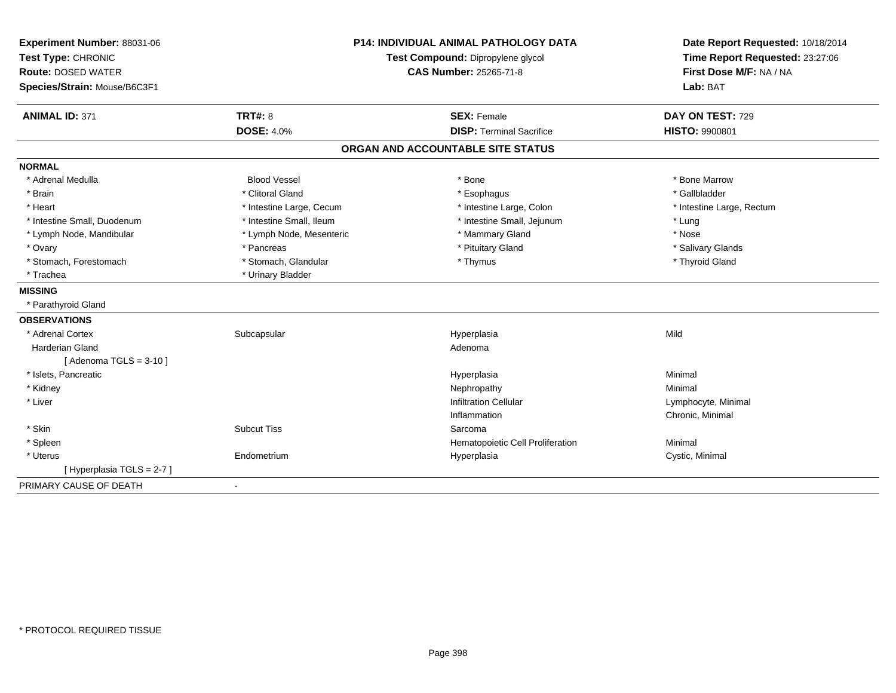| Experiment Number: 88031-06<br>Test Type: CHRONIC<br><b>Route: DOSED WATER</b> |                          | <b>P14: INDIVIDUAL ANIMAL PATHOLOGY DATA</b><br>Test Compound: Dipropylene glycol<br><b>CAS Number: 25265-71-8</b> | Date Report Requested: 10/18/2014<br>Time Report Requested: 23:27:06<br>First Dose M/F: NA / NA |
|--------------------------------------------------------------------------------|--------------------------|--------------------------------------------------------------------------------------------------------------------|-------------------------------------------------------------------------------------------------|
| Species/Strain: Mouse/B6C3F1                                                   |                          |                                                                                                                    | Lab: BAT                                                                                        |
| <b>ANIMAL ID: 371</b>                                                          | <b>TRT#: 8</b>           | <b>SEX: Female</b>                                                                                                 | DAY ON TEST: 729                                                                                |
|                                                                                | <b>DOSE: 4.0%</b>        | <b>DISP: Terminal Sacrifice</b>                                                                                    | <b>HISTO: 9900801</b>                                                                           |
|                                                                                |                          | ORGAN AND ACCOUNTABLE SITE STATUS                                                                                  |                                                                                                 |
| <b>NORMAL</b>                                                                  |                          |                                                                                                                    |                                                                                                 |
| * Adrenal Medulla                                                              | <b>Blood Vessel</b>      | * Bone                                                                                                             | * Bone Marrow                                                                                   |
| * Brain                                                                        | * Clitoral Gland         | * Esophagus                                                                                                        | * Gallbladder                                                                                   |
| * Heart                                                                        | * Intestine Large, Cecum | * Intestine Large, Colon                                                                                           | * Intestine Large, Rectum                                                                       |
| * Intestine Small, Duodenum                                                    | * Intestine Small, Ileum | * Intestine Small, Jejunum                                                                                         | * Lung                                                                                          |
| * Lymph Node, Mandibular                                                       | * Lymph Node, Mesenteric | * Mammary Gland                                                                                                    | * Nose                                                                                          |
| * Ovary                                                                        | * Pancreas               | * Pituitary Gland                                                                                                  | * Salivary Glands                                                                               |
| * Stomach, Forestomach                                                         | * Stomach, Glandular     | * Thymus                                                                                                           | * Thyroid Gland                                                                                 |
| * Trachea                                                                      | * Urinary Bladder        |                                                                                                                    |                                                                                                 |
| <b>MISSING</b>                                                                 |                          |                                                                                                                    |                                                                                                 |
| * Parathyroid Gland                                                            |                          |                                                                                                                    |                                                                                                 |
| <b>OBSERVATIONS</b>                                                            |                          |                                                                                                                    |                                                                                                 |
| * Adrenal Cortex                                                               | Subcapsular              | Hyperplasia                                                                                                        | Mild                                                                                            |
| <b>Harderian Gland</b>                                                         |                          | Adenoma                                                                                                            |                                                                                                 |
| [Adenoma TGLS = $3-10$ ]                                                       |                          |                                                                                                                    |                                                                                                 |
| * Islets, Pancreatic                                                           |                          | Hyperplasia                                                                                                        | Minimal                                                                                         |
| * Kidney                                                                       |                          | Nephropathy                                                                                                        | Minimal                                                                                         |
| * Liver                                                                        |                          | <b>Infiltration Cellular</b>                                                                                       | Lymphocyte, Minimal                                                                             |
|                                                                                |                          | Inflammation                                                                                                       | Chronic, Minimal                                                                                |
| * Skin                                                                         | <b>Subcut Tiss</b>       | Sarcoma                                                                                                            |                                                                                                 |
| * Spleen                                                                       |                          | Hematopoietic Cell Proliferation                                                                                   | Minimal                                                                                         |
| * Uterus                                                                       | Endometrium              | Hyperplasia                                                                                                        | Cystic, Minimal                                                                                 |
| [Hyperplasia TGLS = 2-7]                                                       |                          |                                                                                                                    |                                                                                                 |
| PRIMARY CAUSE OF DEATH                                                         | $\overline{\phantom{a}}$ |                                                                                                                    |                                                                                                 |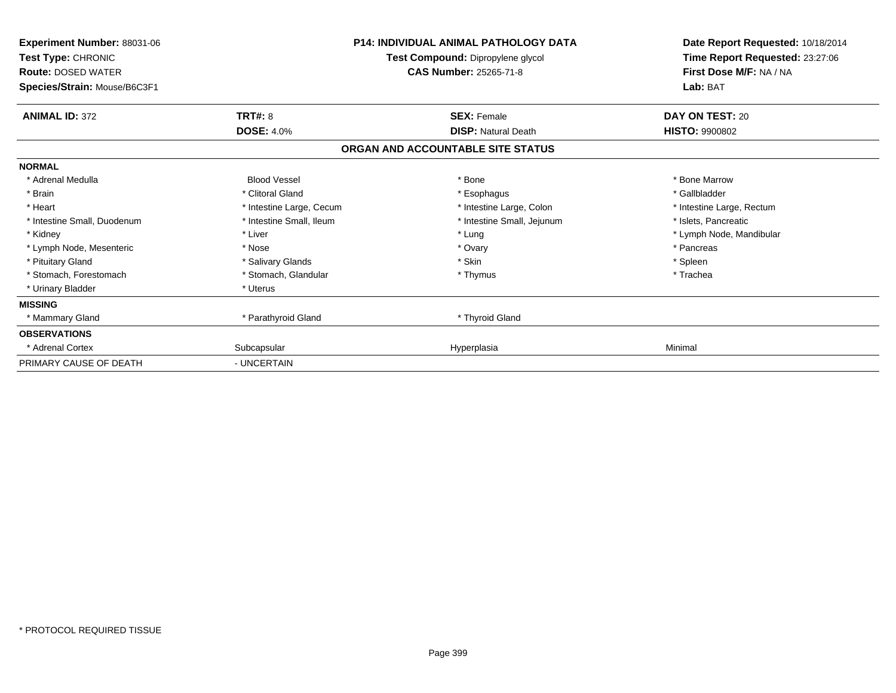| Experiment Number: 88031-06<br>Test Type: CHRONIC<br><b>Route: DOSED WATER</b><br>Species/Strain: Mouse/B6C3F1 |                          | <b>P14: INDIVIDUAL ANIMAL PATHOLOGY DATA</b><br>Test Compound: Dipropylene glycol<br><b>CAS Number: 25265-71-8</b> | Date Report Requested: 10/18/2014<br>Time Report Requested: 23:27:06<br>First Dose M/F: NA / NA<br>Lab: BAT |
|----------------------------------------------------------------------------------------------------------------|--------------------------|--------------------------------------------------------------------------------------------------------------------|-------------------------------------------------------------------------------------------------------------|
| <b>ANIMAL ID: 372</b>                                                                                          | <b>TRT#: 8</b>           | <b>SEX: Female</b>                                                                                                 | DAY ON TEST: 20                                                                                             |
|                                                                                                                | <b>DOSE: 4.0%</b>        | <b>DISP: Natural Death</b><br>ORGAN AND ACCOUNTABLE SITE STATUS                                                    | <b>HISTO: 9900802</b>                                                                                       |
| <b>NORMAL</b>                                                                                                  |                          |                                                                                                                    |                                                                                                             |
| * Adrenal Medulla                                                                                              | <b>Blood Vessel</b>      | * Bone                                                                                                             | * Bone Marrow                                                                                               |
| * Brain                                                                                                        | * Clitoral Gland         | * Esophagus                                                                                                        | * Gallbladder                                                                                               |
| * Heart                                                                                                        | * Intestine Large, Cecum | * Intestine Large, Colon                                                                                           | * Intestine Large, Rectum                                                                                   |
| * Intestine Small, Duodenum                                                                                    | * Intestine Small, Ileum | * Intestine Small, Jejunum                                                                                         | * Islets, Pancreatic                                                                                        |
| * Kidney                                                                                                       | * Liver                  | * Lung                                                                                                             | * Lymph Node, Mandibular                                                                                    |
| * Lymph Node, Mesenteric                                                                                       | * Nose                   | * Ovary                                                                                                            | * Pancreas                                                                                                  |
| * Pituitary Gland                                                                                              | * Salivary Glands        | * Skin                                                                                                             | * Spleen                                                                                                    |
| * Stomach, Forestomach                                                                                         | * Stomach, Glandular     | * Thymus                                                                                                           | * Trachea                                                                                                   |
| * Urinary Bladder                                                                                              | * Uterus                 |                                                                                                                    |                                                                                                             |
| <b>MISSING</b>                                                                                                 |                          |                                                                                                                    |                                                                                                             |
| * Mammary Gland                                                                                                | * Parathyroid Gland      | * Thyroid Gland                                                                                                    |                                                                                                             |
| <b>OBSERVATIONS</b>                                                                                            |                          |                                                                                                                    |                                                                                                             |
| * Adrenal Cortex                                                                                               | Subcapsular              | Hyperplasia                                                                                                        | Minimal                                                                                                     |
| PRIMARY CAUSE OF DEATH                                                                                         | - UNCERTAIN              |                                                                                                                    |                                                                                                             |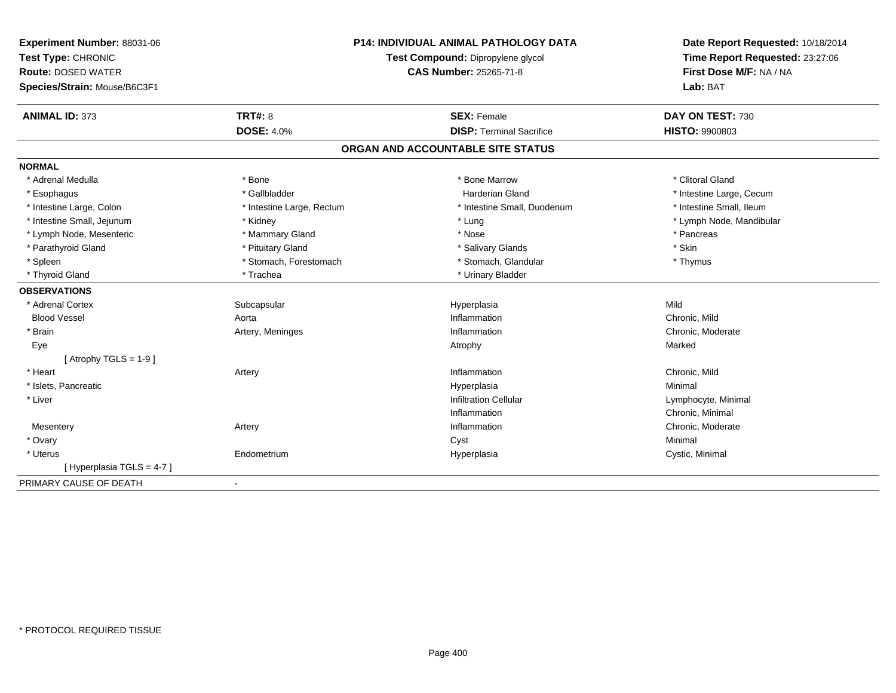| Experiment Number: 88031-06<br>Test Type: CHRONIC<br><b>Route: DOSED WATER</b> |                           | <b>P14: INDIVIDUAL ANIMAL PATHOLOGY DATA</b><br>Test Compound: Dipropylene glycol<br><b>CAS Number: 25265-71-8</b> | Date Report Requested: 10/18/2014<br>Time Report Requested: 23:27:06<br>First Dose M/F: NA / NA |
|--------------------------------------------------------------------------------|---------------------------|--------------------------------------------------------------------------------------------------------------------|-------------------------------------------------------------------------------------------------|
| Species/Strain: Mouse/B6C3F1                                                   |                           |                                                                                                                    | Lab: BAT                                                                                        |
| <b>ANIMAL ID: 373</b>                                                          | <b>TRT#: 8</b>            | <b>SEX: Female</b>                                                                                                 | DAY ON TEST: 730                                                                                |
|                                                                                | <b>DOSE: 4.0%</b>         | <b>DISP: Terminal Sacrifice</b>                                                                                    | HISTO: 9900803                                                                                  |
|                                                                                |                           | ORGAN AND ACCOUNTABLE SITE STATUS                                                                                  |                                                                                                 |
| <b>NORMAL</b>                                                                  |                           |                                                                                                                    |                                                                                                 |
| * Adrenal Medulla                                                              | * Bone                    | * Bone Marrow                                                                                                      | * Clitoral Gland                                                                                |
| * Esophagus                                                                    | * Gallbladder             | Harderian Gland                                                                                                    | * Intestine Large, Cecum                                                                        |
| * Intestine Large, Colon                                                       | * Intestine Large, Rectum | * Intestine Small, Duodenum                                                                                        | * Intestine Small, Ileum                                                                        |
| * Intestine Small, Jejunum                                                     | * Kidney                  | * Lung                                                                                                             | * Lymph Node, Mandibular                                                                        |
| * Lymph Node, Mesenteric                                                       | * Mammary Gland           | * Nose                                                                                                             | * Pancreas                                                                                      |
| * Parathyroid Gland                                                            | * Pituitary Gland         | * Salivary Glands                                                                                                  | * Skin                                                                                          |
| * Spleen                                                                       | * Stomach, Forestomach    | * Stomach, Glandular                                                                                               | * Thymus                                                                                        |
| * Thyroid Gland                                                                | * Trachea                 | * Urinary Bladder                                                                                                  |                                                                                                 |
| <b>OBSERVATIONS</b>                                                            |                           |                                                                                                                    |                                                                                                 |
| * Adrenal Cortex                                                               | Subcapsular               | Hyperplasia                                                                                                        | Mild                                                                                            |
| <b>Blood Vessel</b>                                                            | Aorta                     | Inflammation                                                                                                       | Chronic. Mild                                                                                   |
| * Brain                                                                        | Artery, Meninges          | Inflammation                                                                                                       | Chronic, Moderate                                                                               |
| Eye                                                                            |                           | Atrophy                                                                                                            | Marked                                                                                          |
| [Atrophy TGLS = $1-9$ ]                                                        |                           |                                                                                                                    |                                                                                                 |
| * Heart                                                                        | Artery                    | Inflammation                                                                                                       | Chronic, Mild                                                                                   |
| * Islets, Pancreatic                                                           |                           | Hyperplasia                                                                                                        | Minimal                                                                                         |
| * Liver                                                                        |                           | <b>Infiltration Cellular</b>                                                                                       | Lymphocyte, Minimal                                                                             |
|                                                                                |                           | Inflammation                                                                                                       | Chronic, Minimal                                                                                |
| Mesentery                                                                      | Artery                    | Inflammation                                                                                                       | Chronic, Moderate                                                                               |
| * Ovary                                                                        |                           | Cyst                                                                                                               | Minimal                                                                                         |
| * Uterus                                                                       | Endometrium               | Hyperplasia                                                                                                        | Cystic, Minimal                                                                                 |
| [ Hyperplasia TGLS = 4-7 ]                                                     |                           |                                                                                                                    |                                                                                                 |
| PRIMARY CAUSE OF DEATH                                                         | $\blacksquare$            |                                                                                                                    |                                                                                                 |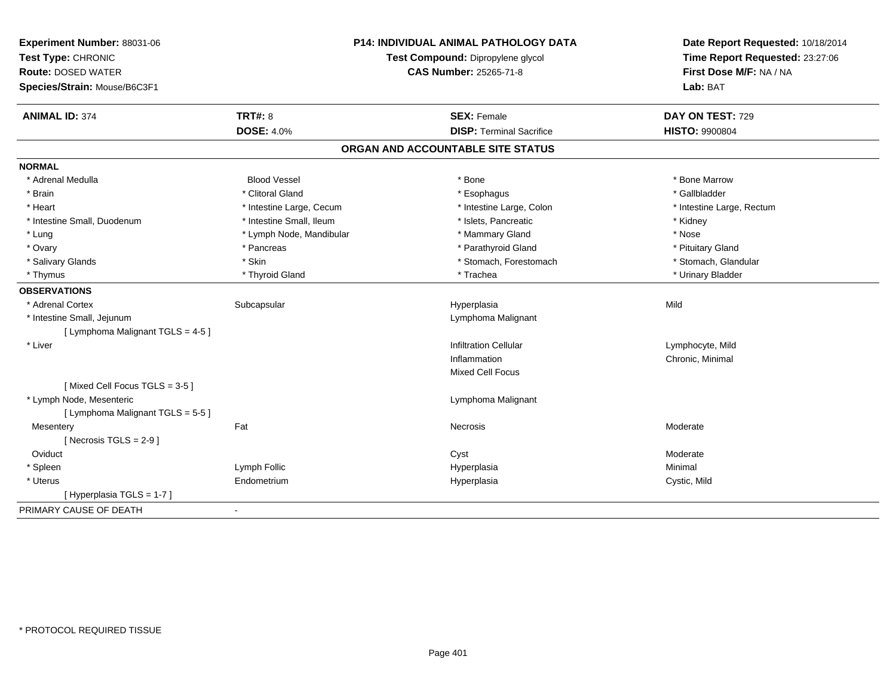| Experiment Number: 88031-06<br>Test Type: CHRONIC         |                          | <b>P14: INDIVIDUAL ANIMAL PATHOLOGY DATA</b><br>Test Compound: Dipropylene glycol | Date Report Requested: 10/18/2014<br>Time Report Requested: 23:27:06 |
|-----------------------------------------------------------|--------------------------|-----------------------------------------------------------------------------------|----------------------------------------------------------------------|
| <b>Route: DOSED WATER</b><br>Species/Strain: Mouse/B6C3F1 |                          | CAS Number: 25265-71-8                                                            | First Dose M/F: NA / NA<br>Lab: BAT                                  |
| <b>ANIMAL ID: 374</b>                                     | <b>TRT#: 8</b>           | <b>SEX: Female</b>                                                                | DAY ON TEST: 729                                                     |
|                                                           | <b>DOSE: 4.0%</b>        | <b>DISP: Terminal Sacrifice</b>                                                   | <b>HISTO: 9900804</b>                                                |
|                                                           |                          | ORGAN AND ACCOUNTABLE SITE STATUS                                                 |                                                                      |
| <b>NORMAL</b>                                             |                          |                                                                                   |                                                                      |
| * Adrenal Medulla                                         | <b>Blood Vessel</b>      | * Bone                                                                            | * Bone Marrow                                                        |
| * Brain                                                   | * Clitoral Gland         | * Esophagus                                                                       | * Gallbladder                                                        |
| * Heart                                                   | * Intestine Large, Cecum | * Intestine Large, Colon                                                          | * Intestine Large, Rectum                                            |
| * Intestine Small, Duodenum                               | * Intestine Small, Ileum | * Islets, Pancreatic                                                              | * Kidney                                                             |
| * Lung                                                    | * Lymph Node, Mandibular | * Mammary Gland                                                                   | * Nose                                                               |
| * Ovary                                                   | * Pancreas               | * Parathyroid Gland                                                               | * Pituitary Gland                                                    |
| * Salivary Glands                                         | * Skin                   | * Stomach, Forestomach                                                            | * Stomach, Glandular                                                 |
| * Thymus                                                  | * Thyroid Gland          | * Trachea                                                                         | * Urinary Bladder                                                    |
| <b>OBSERVATIONS</b>                                       |                          |                                                                                   |                                                                      |
| * Adrenal Cortex                                          | Subcapsular              | Hyperplasia                                                                       | Mild                                                                 |
| * Intestine Small, Jejunum                                |                          | Lymphoma Malignant                                                                |                                                                      |
| [ Lymphoma Malignant TGLS = 4-5 ]                         |                          |                                                                                   |                                                                      |
| * Liver                                                   |                          | <b>Infiltration Cellular</b>                                                      | Lymphocyte, Mild                                                     |
|                                                           |                          | Inflammation                                                                      | Chronic, Minimal                                                     |
|                                                           |                          | <b>Mixed Cell Focus</b>                                                           |                                                                      |
| [Mixed Cell Focus TGLS = 3-5]                             |                          |                                                                                   |                                                                      |
| * Lymph Node, Mesenteric                                  |                          | Lymphoma Malignant                                                                |                                                                      |
| [ Lymphoma Malignant TGLS = 5-5 ]                         |                          |                                                                                   |                                                                      |
| Mesentery                                                 | Fat                      | Necrosis                                                                          | Moderate                                                             |
| [Necrosis TGLS = $2-9$ ]                                  |                          |                                                                                   |                                                                      |
| Oviduct                                                   |                          | Cyst                                                                              | Moderate                                                             |
| * Spleen                                                  | Lymph Follic             | Hyperplasia                                                                       | Minimal                                                              |
| * Uterus                                                  | Endometrium              | Hyperplasia                                                                       | Cystic, Mild                                                         |
| [Hyperplasia TGLS = 1-7]                                  |                          |                                                                                   |                                                                      |
| PRIMARY CAUSE OF DEATH                                    | $\blacksquare$           |                                                                                   |                                                                      |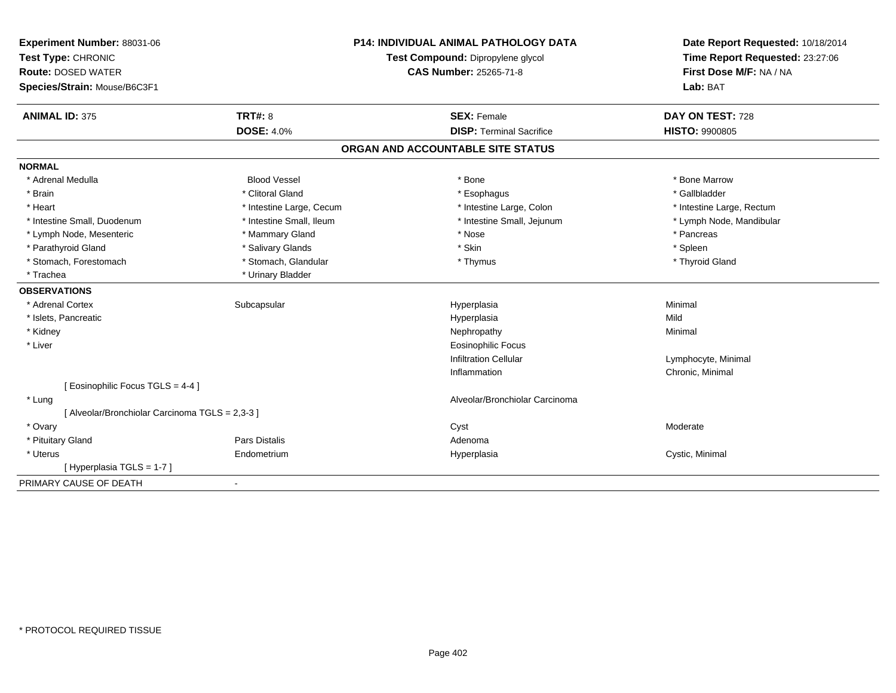| Experiment Number: 88031-06<br>Test Type: CHRONIC |                               | <b>P14: INDIVIDUAL ANIMAL PATHOLOGY DATA</b><br>Test Compound: Dipropylene glycol | Date Report Requested: 10/18/2014<br>Time Report Requested: 23:27:06 |
|---------------------------------------------------|-------------------------------|-----------------------------------------------------------------------------------|----------------------------------------------------------------------|
| <b>Route: DOSED WATER</b>                         | <b>CAS Number: 25265-71-8</b> |                                                                                   | First Dose M/F: NA / NA                                              |
| Species/Strain: Mouse/B6C3F1                      |                               |                                                                                   | Lab: BAT                                                             |
| <b>ANIMAL ID: 375</b>                             | <b>TRT#: 8</b>                | <b>SEX: Female</b>                                                                | DAY ON TEST: 728                                                     |
|                                                   | <b>DOSE: 4.0%</b>             | <b>DISP: Terminal Sacrifice</b>                                                   | <b>HISTO: 9900805</b>                                                |
|                                                   |                               | ORGAN AND ACCOUNTABLE SITE STATUS                                                 |                                                                      |
| <b>NORMAL</b>                                     |                               |                                                                                   |                                                                      |
| * Adrenal Medulla                                 | <b>Blood Vessel</b>           | * Bone                                                                            | * Bone Marrow                                                        |
| * Brain                                           | * Clitoral Gland              | * Esophagus                                                                       | * Gallbladder                                                        |
| * Heart                                           | * Intestine Large, Cecum      | * Intestine Large, Colon                                                          | * Intestine Large, Rectum                                            |
| * Intestine Small, Duodenum                       | * Intestine Small, Ileum      | * Intestine Small, Jejunum                                                        | * Lymph Node, Mandibular                                             |
| * Lymph Node, Mesenteric                          | * Mammary Gland               | * Nose                                                                            | * Pancreas                                                           |
| * Parathyroid Gland                               | * Salivary Glands             | * Skin                                                                            | * Spleen                                                             |
| * Stomach, Forestomach                            | * Stomach, Glandular          | * Thymus                                                                          | * Thyroid Gland                                                      |
| * Trachea                                         | * Urinary Bladder             |                                                                                   |                                                                      |
| <b>OBSERVATIONS</b>                               |                               |                                                                                   |                                                                      |
| * Adrenal Cortex                                  | Subcapsular                   | Hyperplasia                                                                       | Minimal                                                              |
| * Islets, Pancreatic                              |                               | Hyperplasia                                                                       | Mild                                                                 |
| * Kidney                                          |                               | Nephropathy                                                                       | Minimal                                                              |
| * Liver                                           |                               | <b>Eosinophilic Focus</b>                                                         |                                                                      |
|                                                   |                               | <b>Infiltration Cellular</b>                                                      | Lymphocyte, Minimal                                                  |
|                                                   |                               | Inflammation                                                                      | Chronic, Minimal                                                     |
| [ Eosinophilic Focus TGLS = 4-4 ]                 |                               |                                                                                   |                                                                      |
| * Lung                                            |                               | Alveolar/Bronchiolar Carcinoma                                                    |                                                                      |
| [ Alveolar/Bronchiolar Carcinoma TGLS = 2,3-3 ]   |                               |                                                                                   |                                                                      |
| * Ovary                                           |                               | Cyst                                                                              | Moderate                                                             |
| * Pituitary Gland                                 | <b>Pars Distalis</b>          | Adenoma                                                                           |                                                                      |
| * Uterus                                          | Endometrium                   | Hyperplasia                                                                       | Cystic, Minimal                                                      |
| [Hyperplasia TGLS = 1-7]                          |                               |                                                                                   |                                                                      |
| PRIMARY CAUSE OF DEATH                            | $\blacksquare$                |                                                                                   |                                                                      |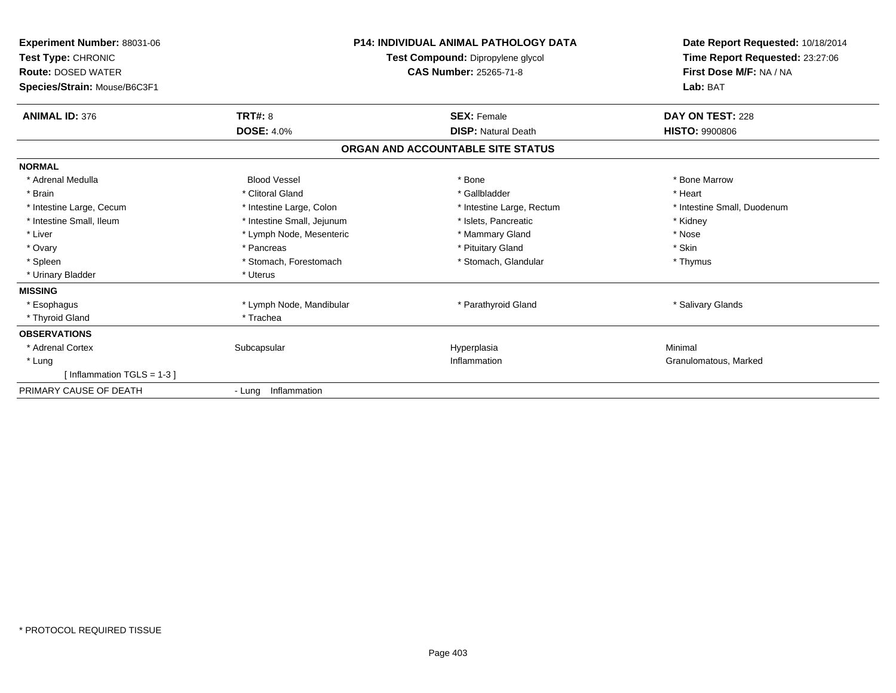| Experiment Number: 88031-06<br>Test Type: CHRONIC<br><b>Route: DOSED WATER</b><br>Species/Strain: Mouse/B6C3F1 |                            | <b>P14: INDIVIDUAL ANIMAL PATHOLOGY DATA</b><br>Test Compound: Dipropylene glycol<br><b>CAS Number: 25265-71-8</b> | Date Report Requested: 10/18/2014<br>Time Report Requested: 23:27:06<br>First Dose M/F: NA / NA<br>Lab: BAT |
|----------------------------------------------------------------------------------------------------------------|----------------------------|--------------------------------------------------------------------------------------------------------------------|-------------------------------------------------------------------------------------------------------------|
| <b>ANIMAL ID: 376</b>                                                                                          | <b>TRT#: 8</b>             | <b>SEX: Female</b>                                                                                                 | DAY ON TEST: 228                                                                                            |
|                                                                                                                | <b>DOSE: 4.0%</b>          | <b>DISP: Natural Death</b>                                                                                         | <b>HISTO: 9900806</b>                                                                                       |
|                                                                                                                |                            | ORGAN AND ACCOUNTABLE SITE STATUS                                                                                  |                                                                                                             |
| <b>NORMAL</b>                                                                                                  |                            |                                                                                                                    |                                                                                                             |
| * Adrenal Medulla                                                                                              | <b>Blood Vessel</b>        | * Bone                                                                                                             | * Bone Marrow                                                                                               |
| * Brain                                                                                                        | * Clitoral Gland           | * Gallbladder                                                                                                      | * Heart                                                                                                     |
| * Intestine Large, Cecum                                                                                       | * Intestine Large, Colon   | * Intestine Large, Rectum                                                                                          | * Intestine Small, Duodenum                                                                                 |
| * Intestine Small, Ileum                                                                                       | * Intestine Small, Jejunum | * Islets, Pancreatic                                                                                               | * Kidney                                                                                                    |
| * Liver                                                                                                        | * Lymph Node, Mesenteric   | * Mammary Gland                                                                                                    | * Nose                                                                                                      |
| * Ovary                                                                                                        | * Pancreas                 | * Pituitary Gland                                                                                                  | * Skin                                                                                                      |
| * Spleen                                                                                                       | * Stomach, Forestomach     | * Stomach, Glandular                                                                                               | * Thymus                                                                                                    |
| * Urinary Bladder                                                                                              | * Uterus                   |                                                                                                                    |                                                                                                             |
| <b>MISSING</b>                                                                                                 |                            |                                                                                                                    |                                                                                                             |
| * Esophagus                                                                                                    | * Lymph Node, Mandibular   | * Parathyroid Gland                                                                                                | * Salivary Glands                                                                                           |
| * Thyroid Gland                                                                                                | * Trachea                  |                                                                                                                    |                                                                                                             |
| <b>OBSERVATIONS</b>                                                                                            |                            |                                                                                                                    |                                                                                                             |
| * Adrenal Cortex                                                                                               | Subcapsular                | Hyperplasia                                                                                                        | Minimal                                                                                                     |
| * Lung                                                                                                         |                            | Inflammation                                                                                                       | Granulomatous, Marked                                                                                       |
| [Inflammation TGLS = $1-3$ ]                                                                                   |                            |                                                                                                                    |                                                                                                             |
| PRIMARY CAUSE OF DEATH                                                                                         | - Lung Inflammation        |                                                                                                                    |                                                                                                             |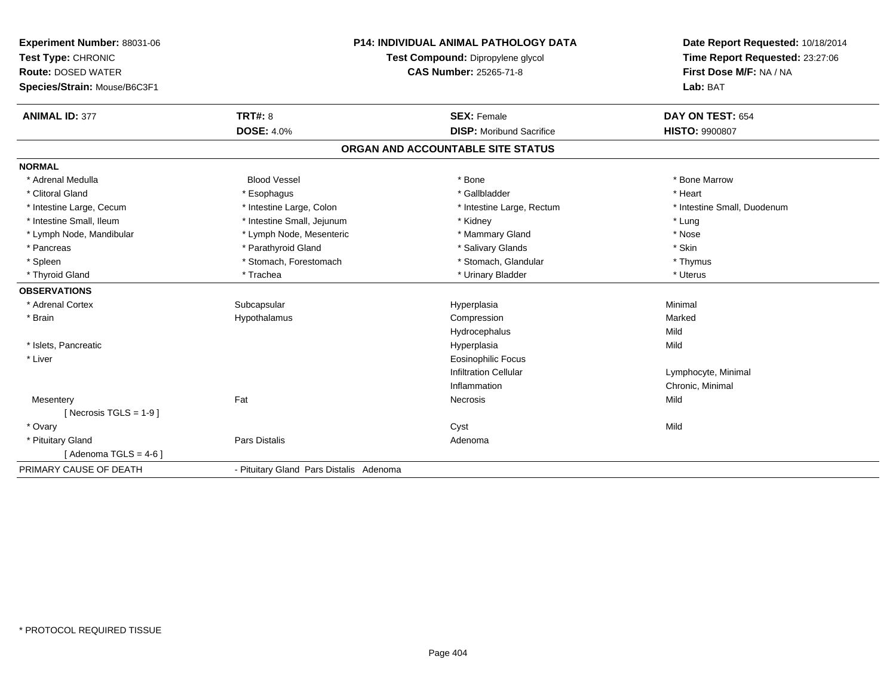| Experiment Number: 88031-06  | <b>P14: INDIVIDUAL ANIMAL PATHOLOGY DATA</b> |                                   | Date Report Requested: 10/18/2014 |
|------------------------------|----------------------------------------------|-----------------------------------|-----------------------------------|
| Test Type: CHRONIC           |                                              | Test Compound: Dipropylene glycol | Time Report Requested: 23:27:06   |
| <b>Route: DOSED WATER</b>    |                                              | <b>CAS Number: 25265-71-8</b>     | First Dose M/F: NA / NA           |
| Species/Strain: Mouse/B6C3F1 |                                              |                                   | Lab: BAT                          |
| <b>ANIMAL ID: 377</b>        | <b>TRT#: 8</b>                               | <b>SEX: Female</b>                | DAY ON TEST: 654                  |
|                              | <b>DOSE: 4.0%</b>                            | <b>DISP:</b> Moribund Sacrifice   | <b>HISTO: 9900807</b>             |
|                              |                                              | ORGAN AND ACCOUNTABLE SITE STATUS |                                   |
| <b>NORMAL</b>                |                                              |                                   |                                   |
| * Adrenal Medulla            | <b>Blood Vessel</b>                          | * Bone                            | * Bone Marrow                     |
| * Clitoral Gland             | * Esophagus                                  | * Gallbladder                     | * Heart                           |
| * Intestine Large, Cecum     | * Intestine Large, Colon                     | * Intestine Large, Rectum         | * Intestine Small, Duodenum       |
| * Intestine Small. Ileum     | * Intestine Small, Jejunum                   | * Kidney                          | * Lung                            |
| * Lymph Node, Mandibular     | * Lymph Node, Mesenteric                     | * Mammary Gland                   | * Nose                            |
| * Pancreas                   | * Parathyroid Gland                          | * Salivary Glands                 | * Skin                            |
| * Spleen                     | * Stomach, Forestomach                       | * Stomach, Glandular              | * Thymus                          |
| * Thyroid Gland              | * Trachea                                    | * Urinary Bladder                 | * Uterus                          |
| <b>OBSERVATIONS</b>          |                                              |                                   |                                   |
| * Adrenal Cortex             | Subcapsular                                  | Hyperplasia                       | Minimal                           |
| * Brain                      | Hypothalamus                                 | Compression                       | Marked                            |
|                              |                                              | Hydrocephalus                     | Mild                              |
| * Islets, Pancreatic         |                                              | Hyperplasia                       | Mild                              |
| * Liver                      |                                              | <b>Eosinophilic Focus</b>         |                                   |
|                              |                                              | <b>Infiltration Cellular</b>      | Lymphocyte, Minimal               |
|                              |                                              | Inflammation                      | Chronic, Minimal                  |
| Mesentery                    | Fat                                          | Necrosis                          | Mild                              |
| [ Necrosis $TGLS = 1-9$ ]    |                                              |                                   |                                   |
| * Ovary                      |                                              | Cyst                              | Mild                              |
| * Pituitary Gland            | <b>Pars Distalis</b>                         | Adenoma                           |                                   |
| [Adenoma TGLS = $4-6$ ]      |                                              |                                   |                                   |
| PRIMARY CAUSE OF DEATH       | - Pituitary Gland Pars Distalis Adenoma      |                                   |                                   |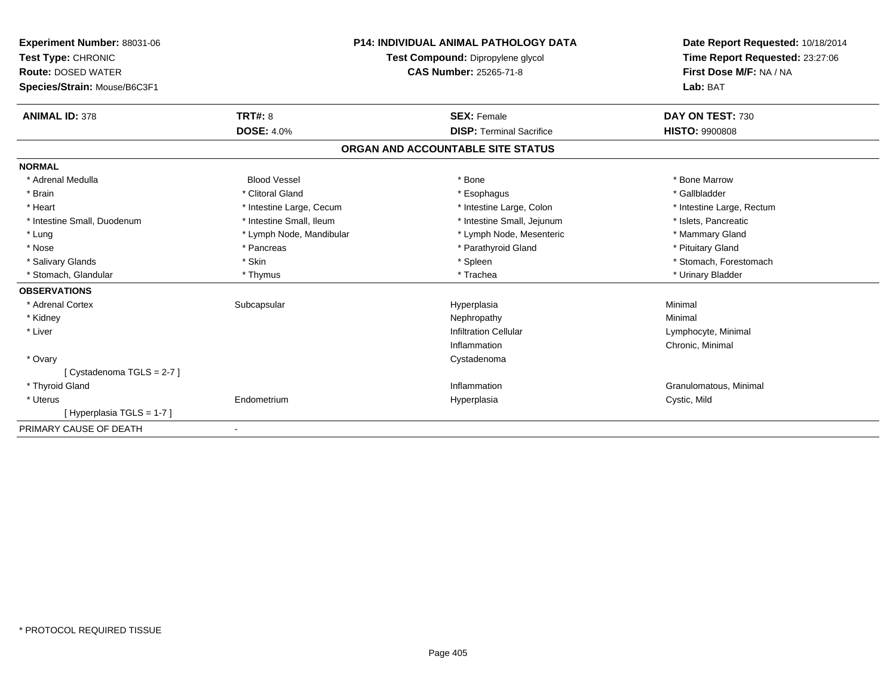| Experiment Number: 88031-06<br>Test Type: CHRONIC<br><b>Route: DOSED WATER</b><br>Species/Strain: Mouse/B6C3F1 |                          | <b>P14: INDIVIDUAL ANIMAL PATHOLOGY DATA</b><br>Test Compound: Dipropylene glycol<br><b>CAS Number: 25265-71-8</b> | Date Report Requested: 10/18/2014<br>Time Report Requested: 23:27:06<br>First Dose M/F: NA / NA<br>Lab: BAT |
|----------------------------------------------------------------------------------------------------------------|--------------------------|--------------------------------------------------------------------------------------------------------------------|-------------------------------------------------------------------------------------------------------------|
| <b>ANIMAL ID: 378</b>                                                                                          | TRT#: 8                  | <b>SEX: Female</b>                                                                                                 | DAY ON TEST: 730                                                                                            |
|                                                                                                                | <b>DOSE: 4.0%</b>        | <b>DISP: Terminal Sacrifice</b>                                                                                    | <b>HISTO: 9900808</b>                                                                                       |
|                                                                                                                |                          | ORGAN AND ACCOUNTABLE SITE STATUS                                                                                  |                                                                                                             |
| <b>NORMAL</b>                                                                                                  |                          |                                                                                                                    |                                                                                                             |
| * Adrenal Medulla                                                                                              | <b>Blood Vessel</b>      | * Bone                                                                                                             | * Bone Marrow                                                                                               |
| * Brain                                                                                                        | * Clitoral Gland         | * Esophagus                                                                                                        | * Gallbladder                                                                                               |
| * Heart                                                                                                        | * Intestine Large, Cecum | * Intestine Large, Colon                                                                                           | * Intestine Large, Rectum                                                                                   |
| * Intestine Small, Duodenum                                                                                    | * Intestine Small, Ileum | * Intestine Small, Jejunum                                                                                         | * Islets, Pancreatic                                                                                        |
| * Lung                                                                                                         | * Lymph Node, Mandibular | * Lymph Node, Mesenteric                                                                                           | * Mammary Gland                                                                                             |
| * Nose                                                                                                         | * Pancreas               | * Parathyroid Gland                                                                                                | * Pituitary Gland                                                                                           |
| * Salivary Glands                                                                                              | * Skin                   | * Spleen                                                                                                           | * Stomach, Forestomach                                                                                      |
| * Stomach, Glandular                                                                                           | * Thymus                 | * Trachea                                                                                                          | * Urinary Bladder                                                                                           |
| <b>OBSERVATIONS</b>                                                                                            |                          |                                                                                                                    |                                                                                                             |
| * Adrenal Cortex                                                                                               | Subcapsular              | Hyperplasia                                                                                                        | Minimal                                                                                                     |
| * Kidney                                                                                                       |                          | Nephropathy                                                                                                        | Minimal                                                                                                     |
| * Liver                                                                                                        |                          | <b>Infiltration Cellular</b>                                                                                       | Lymphocyte, Minimal                                                                                         |
|                                                                                                                |                          | Inflammation                                                                                                       | Chronic, Minimal                                                                                            |
| * Ovary                                                                                                        |                          | Cystadenoma                                                                                                        |                                                                                                             |
| [Cystadenoma TGLS = 2-7]                                                                                       |                          |                                                                                                                    |                                                                                                             |
| * Thyroid Gland                                                                                                |                          | Inflammation                                                                                                       | Granulomatous, Minimal                                                                                      |
| * Uterus                                                                                                       | Endometrium              | Hyperplasia                                                                                                        | Cystic, Mild                                                                                                |
| [Hyperplasia TGLS = 1-7]                                                                                       |                          |                                                                                                                    |                                                                                                             |
| PRIMARY CAUSE OF DEATH                                                                                         | $\overline{\phantom{a}}$ |                                                                                                                    |                                                                                                             |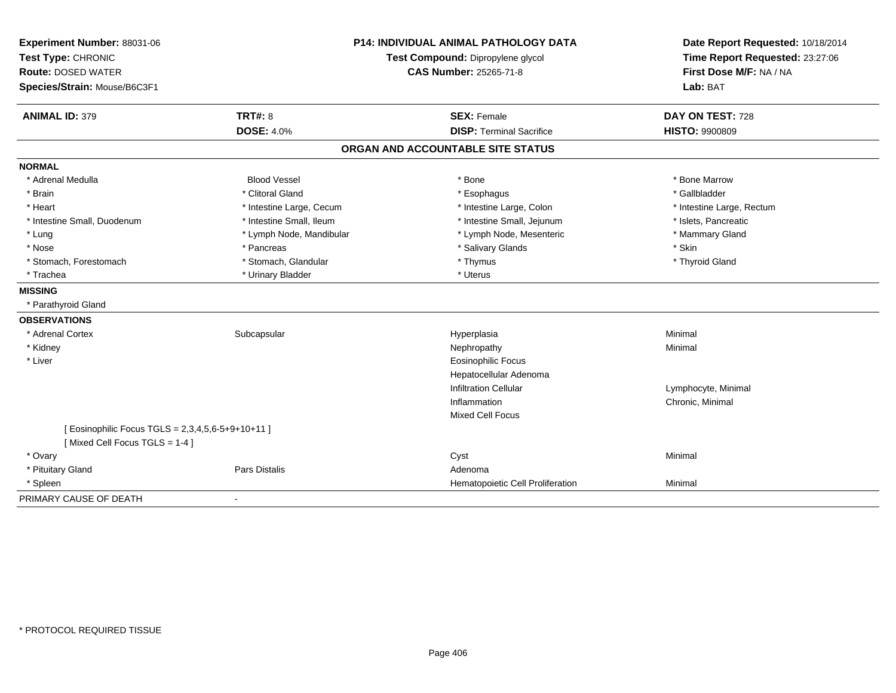| Experiment Number: 88031-06                       | <b>P14: INDIVIDUAL ANIMAL PATHOLOGY DATA</b> |                                   | Date Report Requested: 10/18/2014                          |
|---------------------------------------------------|----------------------------------------------|-----------------------------------|------------------------------------------------------------|
| Test Type: CHRONIC                                |                                              | Test Compound: Dipropylene glycol | Time Report Requested: 23:27:06<br>First Dose M/F: NA / NA |
| <b>Route: DOSED WATER</b>                         |                                              | <b>CAS Number: 25265-71-8</b>     |                                                            |
| Species/Strain: Mouse/B6C3F1                      |                                              |                                   | Lab: BAT                                                   |
| <b>ANIMAL ID: 379</b>                             | <b>TRT#: 8</b>                               | <b>SEX: Female</b>                | DAY ON TEST: 728                                           |
|                                                   | <b>DOSE: 4.0%</b>                            | <b>DISP: Terminal Sacrifice</b>   | <b>HISTO: 9900809</b>                                      |
|                                                   |                                              | ORGAN AND ACCOUNTABLE SITE STATUS |                                                            |
| <b>NORMAL</b>                                     |                                              |                                   |                                                            |
| * Adrenal Medulla                                 | <b>Blood Vessel</b>                          | * Bone                            | * Bone Marrow                                              |
| * Brain                                           | * Clitoral Gland                             | * Esophagus                       | * Gallbladder                                              |
| * Heart                                           | * Intestine Large, Cecum                     | * Intestine Large, Colon          | * Intestine Large, Rectum                                  |
| * Intestine Small, Duodenum                       | * Intestine Small, Ileum                     | * Intestine Small, Jejunum        | * Islets, Pancreatic                                       |
| $*$ Lung                                          | * Lymph Node, Mandibular                     | * Lymph Node, Mesenteric          | * Mammary Gland                                            |
| * Nose                                            | * Pancreas                                   | * Salivary Glands                 | * Skin                                                     |
| * Stomach, Forestomach                            | * Stomach, Glandular                         | * Thymus                          | * Thyroid Gland                                            |
| * Trachea                                         | * Urinary Bladder                            | * Uterus                          |                                                            |
| <b>MISSING</b>                                    |                                              |                                   |                                                            |
| * Parathyroid Gland                               |                                              |                                   |                                                            |
| <b>OBSERVATIONS</b>                               |                                              |                                   |                                                            |
| * Adrenal Cortex                                  | Subcapsular                                  | Hyperplasia                       | Minimal                                                    |
| * Kidney                                          |                                              | Nephropathy                       | Minimal                                                    |
| * Liver                                           |                                              | <b>Eosinophilic Focus</b>         |                                                            |
|                                                   |                                              | Hepatocellular Adenoma            |                                                            |
|                                                   |                                              | <b>Infiltration Cellular</b>      | Lymphocyte, Minimal                                        |
|                                                   |                                              | Inflammation                      | Chronic, Minimal                                           |
|                                                   |                                              | <b>Mixed Cell Focus</b>           |                                                            |
| [ Eosinophilic Focus TGLS = 2,3,4,5,6-5+9+10+11 ] |                                              |                                   |                                                            |
| [Mixed Cell Focus TGLS = 1-4]                     |                                              |                                   |                                                            |
| * Ovary                                           |                                              | Cyst                              | Minimal                                                    |
| * Pituitary Gland                                 | Pars Distalis                                | Adenoma                           |                                                            |
| * Spleen                                          |                                              | Hematopoietic Cell Proliferation  | Minimal                                                    |
| PRIMARY CAUSE OF DEATH                            |                                              |                                   |                                                            |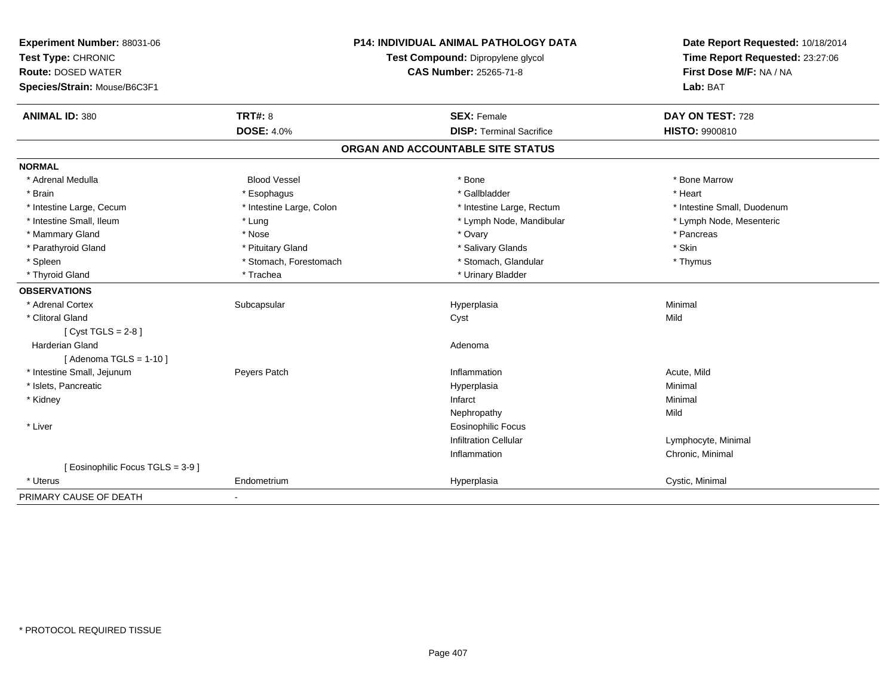| Experiment Number: 88031-06       | <b>P14: INDIVIDUAL ANIMAL PATHOLOGY DATA</b><br>Test Compound: Dipropylene glycol |                                   | Date Report Requested: 10/18/2014 |
|-----------------------------------|-----------------------------------------------------------------------------------|-----------------------------------|-----------------------------------|
| Test Type: CHRONIC                |                                                                                   |                                   | Time Report Requested: 23:27:06   |
| <b>Route: DOSED WATER</b>         |                                                                                   | <b>CAS Number: 25265-71-8</b>     | First Dose M/F: NA / NA           |
| Species/Strain: Mouse/B6C3F1      |                                                                                   |                                   | Lab: BAT                          |
| <b>ANIMAL ID: 380</b>             | <b>TRT#: 8</b>                                                                    | <b>SEX: Female</b>                | DAY ON TEST: 728                  |
|                                   | <b>DOSE: 4.0%</b>                                                                 | <b>DISP: Terminal Sacrifice</b>   | HISTO: 9900810                    |
|                                   |                                                                                   | ORGAN AND ACCOUNTABLE SITE STATUS |                                   |
| <b>NORMAL</b>                     |                                                                                   |                                   |                                   |
| * Adrenal Medulla                 | <b>Blood Vessel</b>                                                               | * Bone                            | * Bone Marrow                     |
| * Brain                           | * Esophagus                                                                       | * Gallbladder                     | * Heart                           |
| * Intestine Large, Cecum          | * Intestine Large, Colon                                                          | * Intestine Large, Rectum         | * Intestine Small, Duodenum       |
| * Intestine Small, Ileum          | * Lung                                                                            | * Lymph Node, Mandibular          | * Lymph Node, Mesenteric          |
| * Mammary Gland                   | * Nose                                                                            | * Ovary                           | * Pancreas                        |
| * Parathyroid Gland               | * Pituitary Gland                                                                 | * Salivary Glands                 | * Skin                            |
| * Spleen                          | * Stomach, Forestomach                                                            | * Stomach, Glandular              | * Thymus                          |
| * Thyroid Gland                   | * Trachea                                                                         | * Urinary Bladder                 |                                   |
| <b>OBSERVATIONS</b>               |                                                                                   |                                   |                                   |
| * Adrenal Cortex                  | Subcapsular                                                                       | Hyperplasia                       | Minimal                           |
| * Clitoral Gland                  |                                                                                   | Cyst                              | Mild                              |
| [ $Cyst TGLS = 2-8$ ]             |                                                                                   |                                   |                                   |
| Harderian Gland                   |                                                                                   | Adenoma                           |                                   |
| [Adenoma TGLS = $1-10$ ]          |                                                                                   |                                   |                                   |
| * Intestine Small, Jejunum        | Peyers Patch                                                                      | Inflammation                      | Acute, Mild                       |
| * Islets, Pancreatic              |                                                                                   | Hyperplasia                       | Minimal                           |
| * Kidney                          |                                                                                   | Infarct                           | Minimal                           |
|                                   |                                                                                   | Nephropathy                       | Mild                              |
| * Liver                           |                                                                                   | <b>Eosinophilic Focus</b>         |                                   |
|                                   |                                                                                   | <b>Infiltration Cellular</b>      | Lymphocyte, Minimal               |
|                                   |                                                                                   | Inflammation                      | Chronic, Minimal                  |
| [ Eosinophilic Focus TGLS = 3-9 ] |                                                                                   |                                   |                                   |
| * Uterus                          | Endometrium                                                                       | Hyperplasia                       | Cystic, Minimal                   |
| PRIMARY CAUSE OF DEATH            |                                                                                   |                                   |                                   |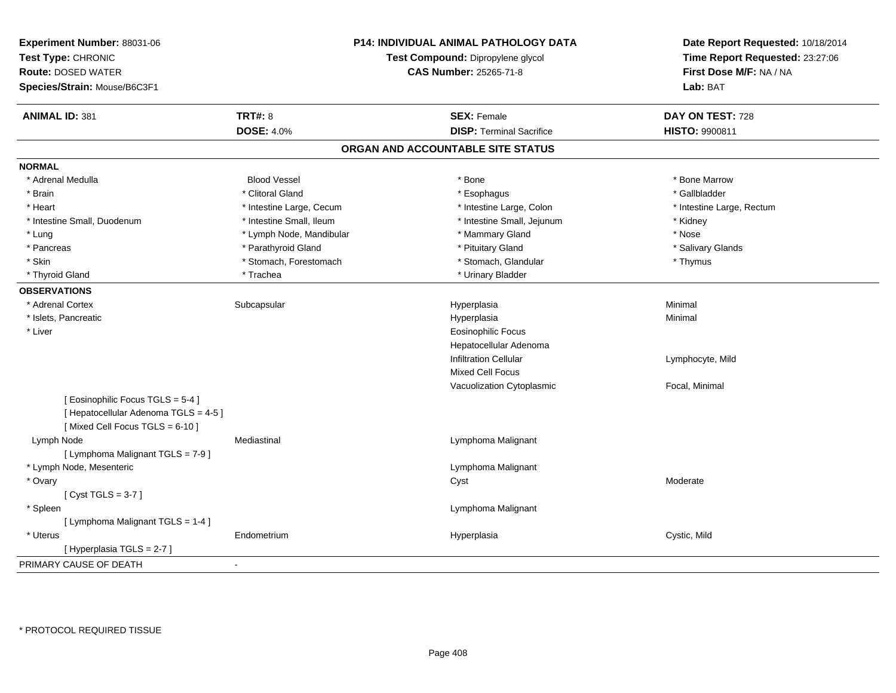| Experiment Number: 88031-06<br>Test Type: CHRONIC<br><b>Route: DOSED WATER</b><br>Species/Strain: Mouse/B6C3F1 |                          | P14: INDIVIDUAL ANIMAL PATHOLOGY DATA<br>Test Compound: Dipropylene glycol<br><b>CAS Number: 25265-71-8</b> | Date Report Requested: 10/18/2014<br>Time Report Requested: 23:27:06<br>First Dose M/F: NA / NA<br>Lab: BAT |
|----------------------------------------------------------------------------------------------------------------|--------------------------|-------------------------------------------------------------------------------------------------------------|-------------------------------------------------------------------------------------------------------------|
| <b>ANIMAL ID: 381</b>                                                                                          | <b>TRT#: 8</b>           | <b>SEX: Female</b>                                                                                          | DAY ON TEST: 728                                                                                            |
|                                                                                                                | <b>DOSE: 4.0%</b>        | <b>DISP: Terminal Sacrifice</b>                                                                             | HISTO: 9900811                                                                                              |
|                                                                                                                |                          | ORGAN AND ACCOUNTABLE SITE STATUS                                                                           |                                                                                                             |
| <b>NORMAL</b>                                                                                                  |                          |                                                                                                             |                                                                                                             |
| * Adrenal Medulla                                                                                              | <b>Blood Vessel</b>      | * Bone                                                                                                      | * Bone Marrow                                                                                               |
| * Brain                                                                                                        | * Clitoral Gland         | * Esophagus                                                                                                 | * Gallbladder                                                                                               |
| * Heart                                                                                                        | * Intestine Large, Cecum | * Intestine Large, Colon                                                                                    | * Intestine Large, Rectum                                                                                   |
| * Intestine Small, Duodenum                                                                                    | * Intestine Small, Ileum | * Intestine Small, Jejunum                                                                                  | * Kidney                                                                                                    |
| * Lung                                                                                                         | * Lymph Node, Mandibular | * Mammary Gland                                                                                             | * Nose                                                                                                      |
| * Pancreas                                                                                                     | * Parathyroid Gland      | * Pituitary Gland                                                                                           | * Salivary Glands                                                                                           |
| * Skin                                                                                                         | * Stomach, Forestomach   | * Stomach, Glandular                                                                                        | * Thymus                                                                                                    |
| * Thyroid Gland                                                                                                | * Trachea                | * Urinary Bladder                                                                                           |                                                                                                             |
| <b>OBSERVATIONS</b>                                                                                            |                          |                                                                                                             |                                                                                                             |
| * Adrenal Cortex                                                                                               | Subcapsular              | Hyperplasia                                                                                                 | Minimal                                                                                                     |
| * Islets, Pancreatic                                                                                           |                          | Hyperplasia                                                                                                 | Minimal                                                                                                     |
| * Liver                                                                                                        |                          | <b>Eosinophilic Focus</b>                                                                                   |                                                                                                             |
|                                                                                                                |                          | Hepatocellular Adenoma                                                                                      |                                                                                                             |
|                                                                                                                |                          | <b>Infiltration Cellular</b>                                                                                | Lymphocyte, Mild                                                                                            |
|                                                                                                                |                          | <b>Mixed Cell Focus</b>                                                                                     |                                                                                                             |
|                                                                                                                |                          | Vacuolization Cytoplasmic                                                                                   | Focal, Minimal                                                                                              |
| [Eosinophilic Focus TGLS = 5-4]<br>[ Hepatocellular Adenoma TGLS = 4-5 ]<br>[Mixed Cell Focus TGLS = 6-10]     |                          |                                                                                                             |                                                                                                             |
| Lymph Node                                                                                                     | Mediastinal              | Lymphoma Malignant                                                                                          |                                                                                                             |
| [ Lymphoma Malignant TGLS = 7-9 ]                                                                              |                          |                                                                                                             |                                                                                                             |
| * Lymph Node, Mesenteric                                                                                       |                          | Lymphoma Malignant                                                                                          |                                                                                                             |
| * Ovary                                                                                                        |                          | Cyst                                                                                                        | Moderate                                                                                                    |
| [Cyst TGLS = $3-7$ ]                                                                                           |                          |                                                                                                             |                                                                                                             |
| * Spleen                                                                                                       |                          | Lymphoma Malignant                                                                                          |                                                                                                             |
| [ Lymphoma Malignant TGLS = 1-4 ]                                                                              |                          |                                                                                                             |                                                                                                             |
| * Uterus                                                                                                       | Endometrium              | Hyperplasia                                                                                                 | Cystic, Mild                                                                                                |
| [Hyperplasia TGLS = 2-7 ]                                                                                      |                          |                                                                                                             |                                                                                                             |
| PRIMARY CAUSE OF DEATH                                                                                         |                          |                                                                                                             |                                                                                                             |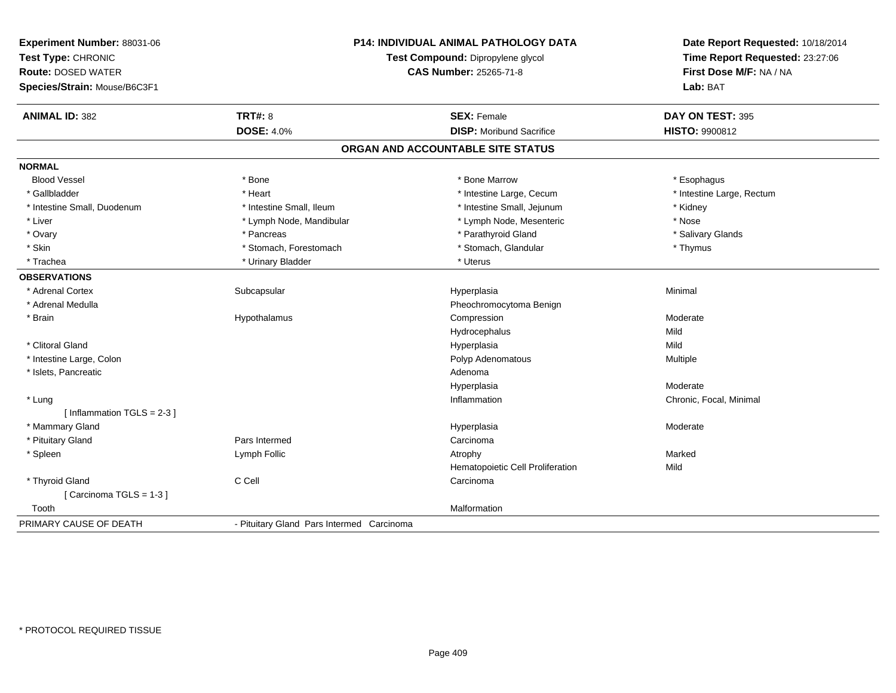| Experiment Number: 88031-06<br>Test Type: CHRONIC<br><b>Route: DOSED WATER</b><br>Species/Strain: Mouse/B6C3F1 |                                           | P14: INDIVIDUAL ANIMAL PATHOLOGY DATA<br>Test Compound: Dipropylene glycol<br>CAS Number: 25265-71-8 | Date Report Requested: 10/18/2014<br>Time Report Requested: 23:27:06<br>First Dose M/F: NA / NA<br>Lab: BAT |
|----------------------------------------------------------------------------------------------------------------|-------------------------------------------|------------------------------------------------------------------------------------------------------|-------------------------------------------------------------------------------------------------------------|
| <b>ANIMAL ID: 382</b>                                                                                          | <b>TRT#: 8</b>                            | <b>SEX: Female</b>                                                                                   | DAY ON TEST: 395                                                                                            |
|                                                                                                                | <b>DOSE: 4.0%</b>                         | <b>DISP:</b> Moribund Sacrifice                                                                      | HISTO: 9900812                                                                                              |
|                                                                                                                |                                           | ORGAN AND ACCOUNTABLE SITE STATUS                                                                    |                                                                                                             |
| <b>NORMAL</b>                                                                                                  |                                           |                                                                                                      |                                                                                                             |
| <b>Blood Vessel</b>                                                                                            | * Bone                                    | * Bone Marrow                                                                                        | * Esophagus                                                                                                 |
| * Gallbladder                                                                                                  | * Heart                                   | * Intestine Large, Cecum                                                                             | * Intestine Large, Rectum                                                                                   |
| * Intestine Small, Duodenum                                                                                    | * Intestine Small, Ileum                  | * Intestine Small, Jejunum                                                                           | * Kidney                                                                                                    |
| * Liver                                                                                                        | * Lymph Node, Mandibular                  | * Lymph Node, Mesenteric                                                                             | * Nose                                                                                                      |
| * Ovary                                                                                                        | * Pancreas                                | * Parathyroid Gland                                                                                  | * Salivary Glands                                                                                           |
| * Skin                                                                                                         | * Stomach, Forestomach                    | * Stomach, Glandular                                                                                 | * Thymus                                                                                                    |
| * Trachea                                                                                                      | * Urinary Bladder                         | * Uterus                                                                                             |                                                                                                             |
| <b>OBSERVATIONS</b>                                                                                            |                                           |                                                                                                      |                                                                                                             |
| * Adrenal Cortex                                                                                               | Subcapsular                               | Hyperplasia                                                                                          | Minimal                                                                                                     |
| * Adrenal Medulla                                                                                              |                                           | Pheochromocytoma Benign                                                                              |                                                                                                             |
| * Brain                                                                                                        | Hypothalamus                              | Compression                                                                                          | Moderate                                                                                                    |
|                                                                                                                |                                           | Hydrocephalus                                                                                        | Mild                                                                                                        |
| * Clitoral Gland                                                                                               |                                           | Hyperplasia                                                                                          | Mild                                                                                                        |
| * Intestine Large, Colon                                                                                       |                                           | Polyp Adenomatous                                                                                    | Multiple                                                                                                    |
| * Islets, Pancreatic                                                                                           |                                           | Adenoma                                                                                              |                                                                                                             |
|                                                                                                                |                                           | Hyperplasia                                                                                          | Moderate                                                                                                    |
| * Lung<br>[Inflammation TGLS = $2-3$ ]                                                                         |                                           | Inflammation                                                                                         | Chronic, Focal, Minimal                                                                                     |
| * Mammary Gland                                                                                                |                                           | Hyperplasia                                                                                          | Moderate                                                                                                    |
| * Pituitary Gland                                                                                              | Pars Intermed                             | Carcinoma                                                                                            |                                                                                                             |
| * Spleen                                                                                                       | Lymph Follic                              | Atrophy                                                                                              | Marked                                                                                                      |
|                                                                                                                |                                           | Hematopoietic Cell Proliferation                                                                     | Mild                                                                                                        |
| * Thyroid Gland                                                                                                | C Cell                                    | Carcinoma                                                                                            |                                                                                                             |
| [Carcinoma TGLS = 1-3]                                                                                         |                                           |                                                                                                      |                                                                                                             |
| Tooth                                                                                                          |                                           | Malformation                                                                                         |                                                                                                             |
| PRIMARY CAUSE OF DEATH                                                                                         | - Pituitary Gland Pars Intermed Carcinoma |                                                                                                      |                                                                                                             |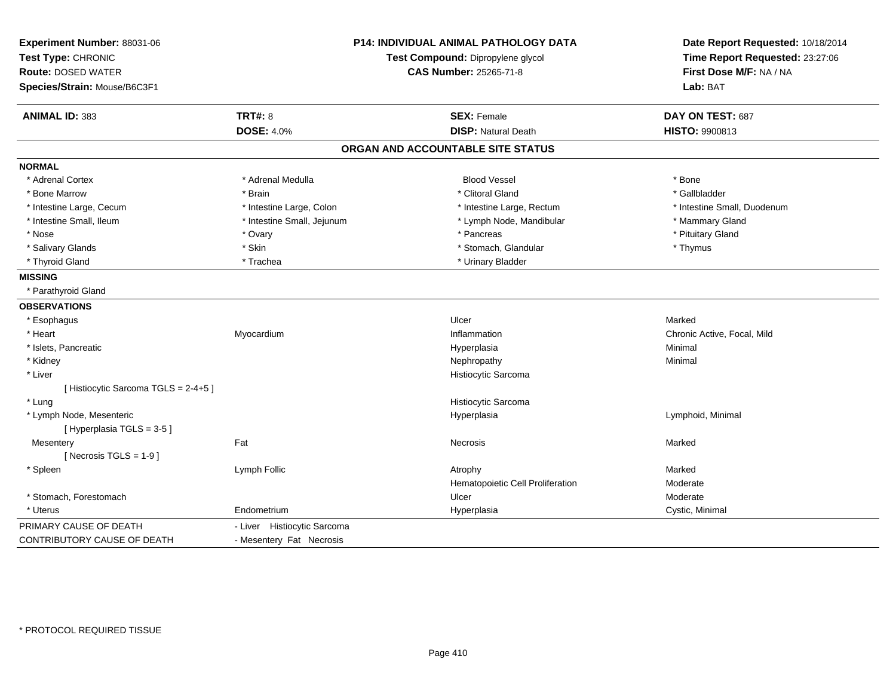| <b>P14: INDIVIDUAL ANIMAL PATHOLOGY DATA</b><br>Experiment Number: 88031-06<br>Test Type: CHRONIC<br>Test Compound: Dipropylene glycol<br><b>Route: DOSED WATER</b><br><b>CAS Number: 25265-71-8</b><br>Species/Strain: Mouse/B6C3F1 |                             | Date Report Requested: 10/18/2014<br>Time Report Requested: 23:27:06<br>First Dose M/F: NA / NA<br>Lab: BAT |                             |
|--------------------------------------------------------------------------------------------------------------------------------------------------------------------------------------------------------------------------------------|-----------------------------|-------------------------------------------------------------------------------------------------------------|-----------------------------|
| <b>ANIMAL ID: 383</b>                                                                                                                                                                                                                | <b>TRT#: 8</b>              | <b>SEX: Female</b>                                                                                          | DAY ON TEST: 687            |
|                                                                                                                                                                                                                                      | <b>DOSE: 4.0%</b>           | <b>DISP: Natural Death</b>                                                                                  | HISTO: 9900813              |
|                                                                                                                                                                                                                                      |                             | ORGAN AND ACCOUNTABLE SITE STATUS                                                                           |                             |
| <b>NORMAL</b>                                                                                                                                                                                                                        |                             |                                                                                                             |                             |
| * Adrenal Cortex                                                                                                                                                                                                                     | * Adrenal Medulla           | <b>Blood Vessel</b>                                                                                         | * Bone                      |
| * Bone Marrow                                                                                                                                                                                                                        | * Brain                     | * Clitoral Gland                                                                                            | * Gallbladder               |
| * Intestine Large, Cecum                                                                                                                                                                                                             | * Intestine Large, Colon    | * Intestine Large, Rectum                                                                                   | * Intestine Small, Duodenum |
| * Intestine Small, Ileum                                                                                                                                                                                                             | * Intestine Small, Jejunum  | * Lymph Node, Mandibular                                                                                    | * Mammary Gland             |
| * Nose                                                                                                                                                                                                                               | * Ovary                     | * Pancreas                                                                                                  | * Pituitary Gland           |
| * Salivary Glands                                                                                                                                                                                                                    | * Skin                      | * Stomach, Glandular                                                                                        | * Thymus                    |
| * Thyroid Gland                                                                                                                                                                                                                      | * Trachea                   | * Urinary Bladder                                                                                           |                             |
| <b>MISSING</b>                                                                                                                                                                                                                       |                             |                                                                                                             |                             |
| * Parathyroid Gland                                                                                                                                                                                                                  |                             |                                                                                                             |                             |
| <b>OBSERVATIONS</b>                                                                                                                                                                                                                  |                             |                                                                                                             |                             |
| * Esophagus                                                                                                                                                                                                                          |                             | Ulcer                                                                                                       | Marked                      |
| * Heart                                                                                                                                                                                                                              | Myocardium                  | Inflammation                                                                                                | Chronic Active, Focal, Mild |
| * Islets, Pancreatic                                                                                                                                                                                                                 |                             | Hyperplasia                                                                                                 | Minimal                     |
| * Kidney                                                                                                                                                                                                                             |                             | Nephropathy                                                                                                 | Minimal                     |
| * Liver                                                                                                                                                                                                                              |                             | Histiocytic Sarcoma                                                                                         |                             |
| [Histiocytic Sarcoma TGLS = 2-4+5]                                                                                                                                                                                                   |                             |                                                                                                             |                             |
| * Lung                                                                                                                                                                                                                               |                             | Histiocytic Sarcoma                                                                                         |                             |
| * Lymph Node, Mesenteric                                                                                                                                                                                                             |                             | Hyperplasia                                                                                                 | Lymphoid, Minimal           |
| [Hyperplasia TGLS = 3-5]                                                                                                                                                                                                             |                             |                                                                                                             |                             |
| Mesentery                                                                                                                                                                                                                            | Fat                         | <b>Necrosis</b>                                                                                             | Marked                      |
| [ Necrosis $TGLS = 1-9$ ]                                                                                                                                                                                                            |                             |                                                                                                             |                             |
| * Spleen                                                                                                                                                                                                                             | Lymph Follic                | Atrophy                                                                                                     | Marked                      |
|                                                                                                                                                                                                                                      |                             | Hematopoietic Cell Proliferation                                                                            | Moderate                    |
| * Stomach, Forestomach                                                                                                                                                                                                               |                             | Ulcer                                                                                                       | Moderate                    |
| * Uterus                                                                                                                                                                                                                             | Endometrium                 | Hyperplasia                                                                                                 | Cystic, Minimal             |
| PRIMARY CAUSE OF DEATH                                                                                                                                                                                                               | - Liver Histiocytic Sarcoma |                                                                                                             |                             |
| CONTRIBUTORY CAUSE OF DEATH                                                                                                                                                                                                          | - Mesentery Fat Necrosis    |                                                                                                             |                             |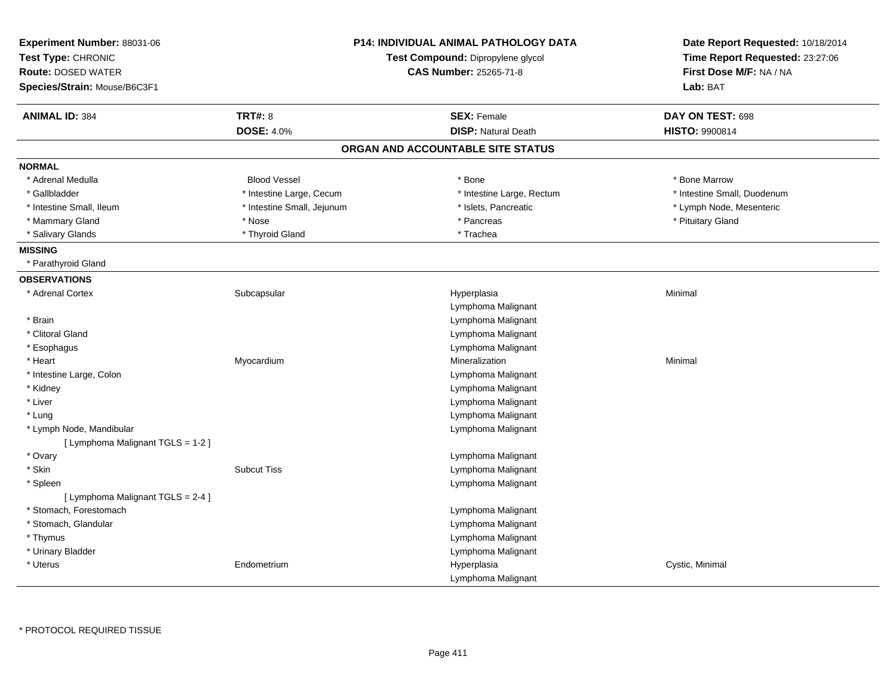| Experiment Number: 88031-06<br>Test Type: CHRONIC<br><b>Route: DOSED WATER</b><br>Species/Strain: Mouse/B6C3F1 |                            | <b>P14: INDIVIDUAL ANIMAL PATHOLOGY DATA</b><br>Test Compound: Dipropylene glycol<br><b>CAS Number: 25265-71-8</b> | Date Report Requested: 10/18/2014<br>Time Report Requested: 23:27:06<br>First Dose M/F: NA / NA<br>Lab: BAT |
|----------------------------------------------------------------------------------------------------------------|----------------------------|--------------------------------------------------------------------------------------------------------------------|-------------------------------------------------------------------------------------------------------------|
| <b>ANIMAL ID: 384</b>                                                                                          | <b>TRT#: 8</b>             | <b>SEX: Female</b>                                                                                                 | DAY ON TEST: 698                                                                                            |
|                                                                                                                | <b>DOSE: 4.0%</b>          | <b>DISP: Natural Death</b>                                                                                         | HISTO: 9900814                                                                                              |
|                                                                                                                |                            | ORGAN AND ACCOUNTABLE SITE STATUS                                                                                  |                                                                                                             |
| <b>NORMAL</b>                                                                                                  |                            |                                                                                                                    |                                                                                                             |
| * Adrenal Medulla                                                                                              | <b>Blood Vessel</b>        | * Bone                                                                                                             | * Bone Marrow                                                                                               |
| * Gallbladder                                                                                                  | * Intestine Large, Cecum   | * Intestine Large, Rectum                                                                                          | * Intestine Small, Duodenum                                                                                 |
| * Intestine Small, Ileum                                                                                       | * Intestine Small, Jejunum | * Islets, Pancreatic                                                                                               | * Lymph Node, Mesenteric                                                                                    |
| * Mammary Gland                                                                                                | * Nose                     | * Pancreas                                                                                                         | * Pituitary Gland                                                                                           |
| * Salivary Glands                                                                                              | * Thyroid Gland            | * Trachea                                                                                                          |                                                                                                             |
| <b>MISSING</b>                                                                                                 |                            |                                                                                                                    |                                                                                                             |
| * Parathyroid Gland                                                                                            |                            |                                                                                                                    |                                                                                                             |
| <b>OBSERVATIONS</b>                                                                                            |                            |                                                                                                                    |                                                                                                             |
| * Adrenal Cortex                                                                                               | Subcapsular                | Hyperplasia                                                                                                        | Minimal                                                                                                     |
|                                                                                                                |                            | Lymphoma Malignant                                                                                                 |                                                                                                             |
| * Brain                                                                                                        |                            | Lymphoma Malignant                                                                                                 |                                                                                                             |
| * Clitoral Gland                                                                                               |                            | Lymphoma Malignant                                                                                                 |                                                                                                             |
| * Esophagus                                                                                                    |                            | Lymphoma Malignant                                                                                                 |                                                                                                             |
| * Heart                                                                                                        | Myocardium                 | Mineralization                                                                                                     | Minimal                                                                                                     |
| * Intestine Large, Colon                                                                                       |                            | Lymphoma Malignant                                                                                                 |                                                                                                             |
| * Kidney                                                                                                       |                            | Lymphoma Malignant                                                                                                 |                                                                                                             |
| * Liver                                                                                                        |                            | Lymphoma Malignant                                                                                                 |                                                                                                             |
| * Lung                                                                                                         |                            | Lymphoma Malignant                                                                                                 |                                                                                                             |
| * Lymph Node, Mandibular                                                                                       |                            | Lymphoma Malignant                                                                                                 |                                                                                                             |
| [ Lymphoma Malignant TGLS = 1-2 ]                                                                              |                            |                                                                                                                    |                                                                                                             |
| * Ovary                                                                                                        |                            | Lymphoma Malignant                                                                                                 |                                                                                                             |
| * Skin                                                                                                         | <b>Subcut Tiss</b>         | Lymphoma Malignant                                                                                                 |                                                                                                             |
| * Spleen                                                                                                       |                            | Lymphoma Malignant                                                                                                 |                                                                                                             |
| [ Lymphoma Malignant TGLS = 2-4 ]                                                                              |                            |                                                                                                                    |                                                                                                             |
| * Stomach, Forestomach                                                                                         |                            | Lymphoma Malignant                                                                                                 |                                                                                                             |
| * Stomach, Glandular                                                                                           |                            | Lymphoma Malignant                                                                                                 |                                                                                                             |
| * Thymus                                                                                                       |                            | Lymphoma Malignant                                                                                                 |                                                                                                             |
| * Urinary Bladder                                                                                              |                            | Lymphoma Malignant                                                                                                 |                                                                                                             |
| * Uterus                                                                                                       | Endometrium                | Hyperplasia                                                                                                        | Cystic, Minimal                                                                                             |
|                                                                                                                |                            | Lymphoma Malignant                                                                                                 |                                                                                                             |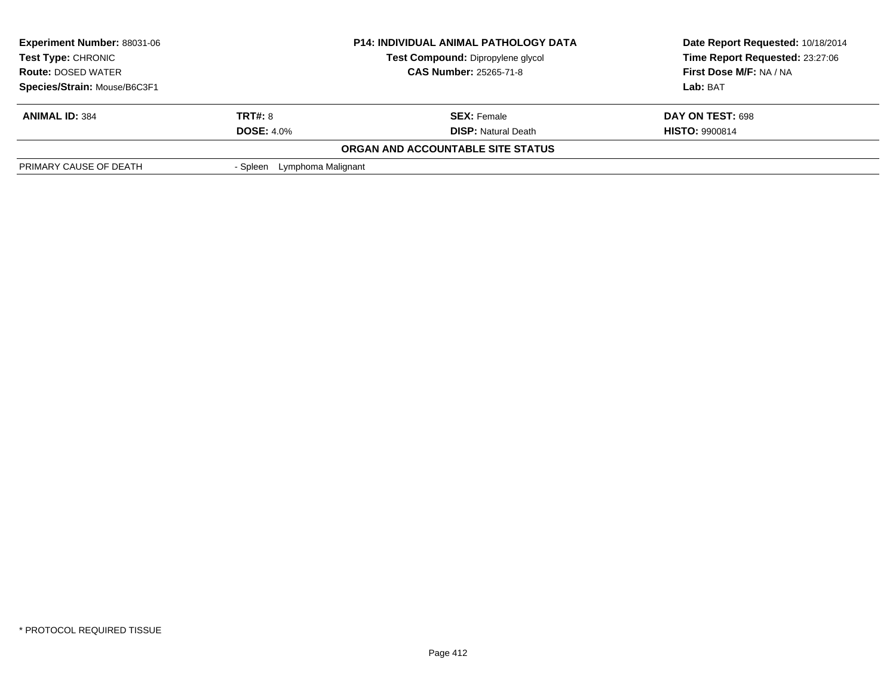| <b>Experiment Number: 88031-06</b><br><b>Test Type: CHRONIC</b><br><b>Route: DOSED WATER</b><br>Species/Strain: Mouse/B6C3F1 |                                     | <b>P14: INDIVIDUAL ANIMAL PATHOLOGY DATA</b><br><b>Test Compound: Dipropylene glycol</b><br><b>CAS Number: 25265-71-8</b> | Date Report Requested: 10/18/2014<br>Time Report Requested: 23:27:06<br>First Dose M/F: NA / NA<br>Lab: BAT |
|------------------------------------------------------------------------------------------------------------------------------|-------------------------------------|---------------------------------------------------------------------------------------------------------------------------|-------------------------------------------------------------------------------------------------------------|
|                                                                                                                              |                                     |                                                                                                                           |                                                                                                             |
| <b>ANIMAL ID: 384</b>                                                                                                        | <b>TRT#: 8</b><br><b>DOSE: 4.0%</b> | <b>SEX:</b> Female<br><b>DISP:</b> Natural Death                                                                          | DAY ON TEST: 698<br><b>HISTO: 9900814</b>                                                                   |
| PRIMARY CAUSE OF DEATH                                                                                                       | Lymphoma Malignant<br>- Spleen      | ORGAN AND ACCOUNTABLE SITE STATUS                                                                                         |                                                                                                             |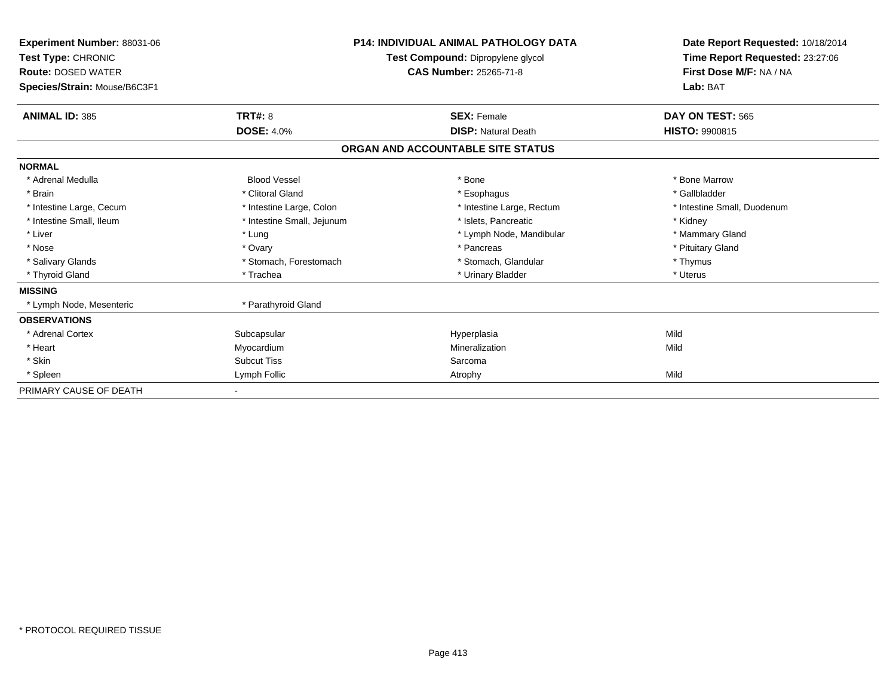| Experiment Number: 88031-06<br>Test Type: CHRONIC<br><b>Route: DOSED WATER</b><br>Species/Strain: Mouse/B6C3F1 |                            | <b>P14: INDIVIDUAL ANIMAL PATHOLOGY DATA</b><br>Test Compound: Dipropylene glycol<br><b>CAS Number: 25265-71-8</b> | Date Report Requested: 10/18/2014<br>Time Report Requested: 23:27:06<br>First Dose M/F: NA / NA<br>Lab: BAT |
|----------------------------------------------------------------------------------------------------------------|----------------------------|--------------------------------------------------------------------------------------------------------------------|-------------------------------------------------------------------------------------------------------------|
| <b>ANIMAL ID: 385</b>                                                                                          | TRT#: 8                    | <b>SEX: Female</b>                                                                                                 | DAY ON TEST: 565                                                                                            |
|                                                                                                                | <b>DOSE: 4.0%</b>          | <b>DISP: Natural Death</b>                                                                                         | <b>HISTO: 9900815</b>                                                                                       |
|                                                                                                                |                            | ORGAN AND ACCOUNTABLE SITE STATUS                                                                                  |                                                                                                             |
| <b>NORMAL</b>                                                                                                  |                            |                                                                                                                    |                                                                                                             |
| * Adrenal Medulla                                                                                              | <b>Blood Vessel</b>        | * Bone                                                                                                             | * Bone Marrow                                                                                               |
| * Brain                                                                                                        | * Clitoral Gland           | * Esophagus                                                                                                        | * Gallbladder                                                                                               |
| * Intestine Large, Cecum                                                                                       | * Intestine Large, Colon   | * Intestine Large, Rectum                                                                                          | * Intestine Small, Duodenum                                                                                 |
| * Intestine Small, Ileum                                                                                       | * Intestine Small, Jejunum | * Islets, Pancreatic                                                                                               | * Kidney                                                                                                    |
| * Liver                                                                                                        | * Lung                     | * Lymph Node, Mandibular                                                                                           | * Mammary Gland                                                                                             |
| * Nose                                                                                                         | * Ovary                    | * Pancreas                                                                                                         | * Pituitary Gland                                                                                           |
| * Salivary Glands                                                                                              | * Stomach, Forestomach     | * Stomach, Glandular                                                                                               | * Thymus                                                                                                    |
| * Thyroid Gland                                                                                                | * Trachea                  | * Urinary Bladder                                                                                                  | * Uterus                                                                                                    |
| <b>MISSING</b>                                                                                                 |                            |                                                                                                                    |                                                                                                             |
| * Lymph Node, Mesenteric                                                                                       | * Parathyroid Gland        |                                                                                                                    |                                                                                                             |
| <b>OBSERVATIONS</b>                                                                                            |                            |                                                                                                                    |                                                                                                             |
| * Adrenal Cortex                                                                                               | Subcapsular                | Hyperplasia                                                                                                        | Mild                                                                                                        |
| * Heart                                                                                                        | Myocardium                 | Mineralization                                                                                                     | Mild                                                                                                        |
| * Skin                                                                                                         | <b>Subcut Tiss</b>         | Sarcoma                                                                                                            |                                                                                                             |
| * Spleen                                                                                                       | Lymph Follic               | Atrophy                                                                                                            | Mild                                                                                                        |
| PRIMARY CAUSE OF DEATH                                                                                         |                            |                                                                                                                    |                                                                                                             |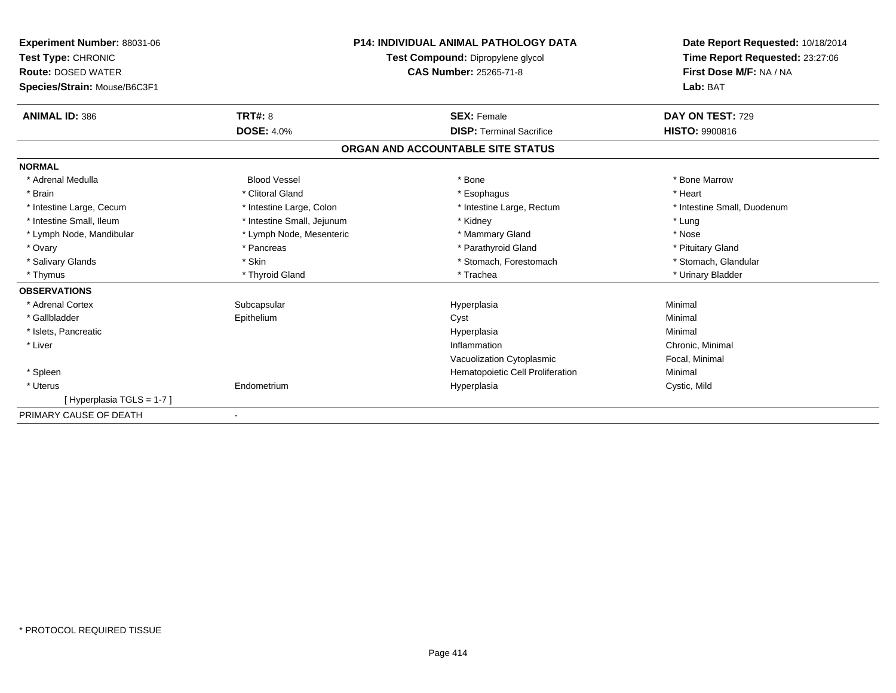| Experiment Number: 88031-06<br>Test Type: CHRONIC<br><b>Route: DOSED WATER</b><br>Species/Strain: Mouse/B6C3F1 | <b>P14: INDIVIDUAL ANIMAL PATHOLOGY DATA</b><br>Test Compound: Dipropylene glycol<br><b>CAS Number: 25265-71-8</b> |                                   | Date Report Requested: 10/18/2014<br>Time Report Requested: 23:27:06<br>First Dose M/F: NA / NA<br>Lab: BAT |
|----------------------------------------------------------------------------------------------------------------|--------------------------------------------------------------------------------------------------------------------|-----------------------------------|-------------------------------------------------------------------------------------------------------------|
| <b>ANIMAL ID: 386</b>                                                                                          | TRT#: 8                                                                                                            | <b>SEX: Female</b>                | DAY ON TEST: 729                                                                                            |
|                                                                                                                | <b>DOSE: 4.0%</b>                                                                                                  | <b>DISP: Terminal Sacrifice</b>   | <b>HISTO: 9900816</b>                                                                                       |
|                                                                                                                |                                                                                                                    | ORGAN AND ACCOUNTABLE SITE STATUS |                                                                                                             |
| <b>NORMAL</b>                                                                                                  |                                                                                                                    |                                   |                                                                                                             |
| * Adrenal Medulla                                                                                              | <b>Blood Vessel</b>                                                                                                | * Bone                            | * Bone Marrow                                                                                               |
| * Brain                                                                                                        | * Clitoral Gland                                                                                                   | * Esophagus                       | * Heart                                                                                                     |
| * Intestine Large, Cecum                                                                                       | * Intestine Large, Colon                                                                                           | * Intestine Large, Rectum         | * Intestine Small, Duodenum                                                                                 |
| * Intestine Small, Ileum                                                                                       | * Intestine Small, Jejunum                                                                                         | * Kidney                          | * Lung                                                                                                      |
| * Lymph Node, Mandibular                                                                                       | * Lymph Node, Mesenteric                                                                                           | * Mammary Gland                   | * Nose                                                                                                      |
| * Ovary                                                                                                        | * Pancreas                                                                                                         | * Parathyroid Gland               | * Pituitary Gland                                                                                           |
| * Salivary Glands                                                                                              | * Skin                                                                                                             | * Stomach, Forestomach            | * Stomach, Glandular                                                                                        |
| * Thymus                                                                                                       | * Thyroid Gland                                                                                                    | * Trachea                         | * Urinary Bladder                                                                                           |
| <b>OBSERVATIONS</b>                                                                                            |                                                                                                                    |                                   |                                                                                                             |
| * Adrenal Cortex                                                                                               | Subcapsular                                                                                                        | Hyperplasia                       | Minimal                                                                                                     |
| * Gallbladder                                                                                                  | Epithelium                                                                                                         | Cyst                              | Minimal                                                                                                     |
| * Islets, Pancreatic                                                                                           |                                                                                                                    | Hyperplasia                       | Minimal                                                                                                     |
| * Liver                                                                                                        |                                                                                                                    | Inflammation                      | Chronic, Minimal                                                                                            |
|                                                                                                                |                                                                                                                    | Vacuolization Cytoplasmic         | Focal, Minimal                                                                                              |
| * Spleen                                                                                                       |                                                                                                                    | Hematopoietic Cell Proliferation  | Minimal                                                                                                     |
| * Uterus                                                                                                       | Endometrium                                                                                                        | Hyperplasia                       | Cystic, Mild                                                                                                |
| [Hyperplasia TGLS = 1-7]                                                                                       |                                                                                                                    |                                   |                                                                                                             |
| PRIMARY CAUSE OF DEATH                                                                                         |                                                                                                                    |                                   |                                                                                                             |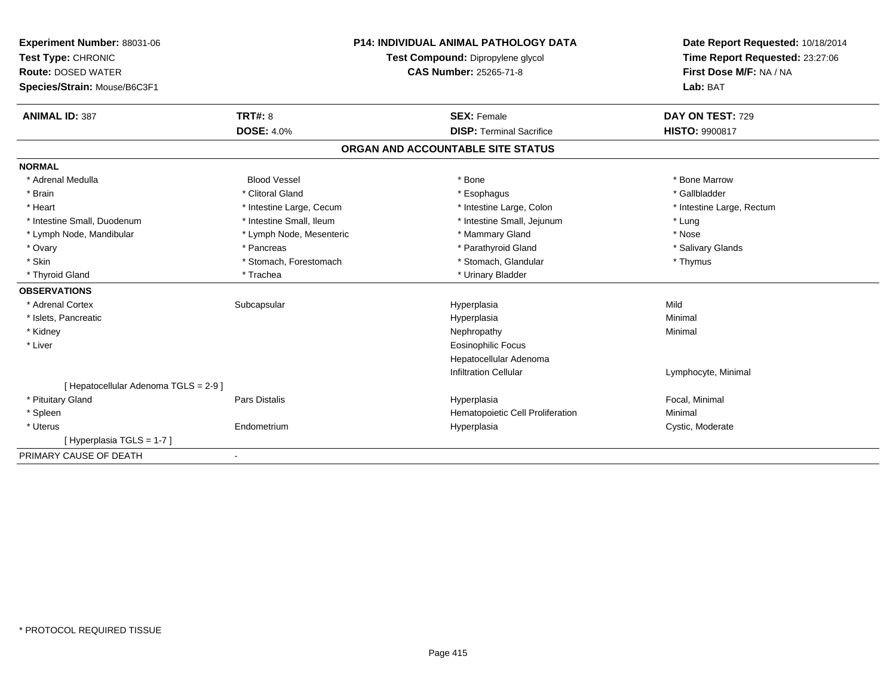| Experiment Number: 88031-06<br>Test Type: CHRONIC<br><b>Route: DOSED WATER</b><br>Species/Strain: Mouse/B6C3F1<br><b>ANIMAL ID: 387</b> | <b>TRT#: 8</b>           | <b>P14: INDIVIDUAL ANIMAL PATHOLOGY DATA</b><br>Test Compound: Dipropylene glycol<br>CAS Number: 25265-71-8<br><b>SEX: Female</b> |                                  | Date Report Requested: 10/18/2014<br>Time Report Requested: 23:27:06<br>First Dose M/F: NA / NA<br>Lab: BAT<br>DAY ON TEST: 729 |
|-----------------------------------------------------------------------------------------------------------------------------------------|--------------------------|-----------------------------------------------------------------------------------------------------------------------------------|----------------------------------|---------------------------------------------------------------------------------------------------------------------------------|
|                                                                                                                                         | <b>DOSE: 4.0%</b>        |                                                                                                                                   | <b>DISP: Terminal Sacrifice</b>  | <b>HISTO: 9900817</b>                                                                                                           |
|                                                                                                                                         |                          | ORGAN AND ACCOUNTABLE SITE STATUS                                                                                                 |                                  |                                                                                                                                 |
| <b>NORMAL</b>                                                                                                                           |                          |                                                                                                                                   |                                  |                                                                                                                                 |
| * Adrenal Medulla                                                                                                                       | <b>Blood Vessel</b>      | * Bone                                                                                                                            |                                  | * Bone Marrow                                                                                                                   |
| * Brain                                                                                                                                 | * Clitoral Gland         | * Esophagus                                                                                                                       |                                  | * Gallbladder                                                                                                                   |
| * Heart                                                                                                                                 | * Intestine Large, Cecum |                                                                                                                                   | * Intestine Large, Colon         | * Intestine Large, Rectum                                                                                                       |
| * Intestine Small, Duodenum                                                                                                             | * Intestine Small, Ileum |                                                                                                                                   | * Intestine Small, Jejunum       | * Lung                                                                                                                          |
| * Lymph Node, Mandibular                                                                                                                | * Lymph Node, Mesenteric | * Mammary Gland                                                                                                                   |                                  | * Nose                                                                                                                          |
| * Ovary                                                                                                                                 | * Pancreas               | * Parathyroid Gland                                                                                                               |                                  | * Salivary Glands                                                                                                               |
| * Skin                                                                                                                                  | * Stomach, Forestomach   |                                                                                                                                   | * Stomach, Glandular             | * Thymus                                                                                                                        |
| * Thyroid Gland                                                                                                                         | * Trachea                | * Urinary Bladder                                                                                                                 |                                  |                                                                                                                                 |
| <b>OBSERVATIONS</b>                                                                                                                     |                          |                                                                                                                                   |                                  |                                                                                                                                 |
| * Adrenal Cortex                                                                                                                        | Subcapsular              | Hyperplasia                                                                                                                       |                                  | Mild                                                                                                                            |
| * Islets, Pancreatic                                                                                                                    |                          | Hyperplasia                                                                                                                       |                                  | Minimal                                                                                                                         |
| * Kidney                                                                                                                                |                          | Nephropathy                                                                                                                       |                                  | Minimal                                                                                                                         |
| * Liver                                                                                                                                 |                          | <b>Eosinophilic Focus</b>                                                                                                         |                                  |                                                                                                                                 |
|                                                                                                                                         |                          |                                                                                                                                   | Hepatocellular Adenoma           |                                                                                                                                 |
|                                                                                                                                         |                          | <b>Infiltration Cellular</b>                                                                                                      |                                  | Lymphocyte, Minimal                                                                                                             |
| [ Hepatocellular Adenoma TGLS = 2-9 ]                                                                                                   |                          |                                                                                                                                   |                                  |                                                                                                                                 |
| * Pituitary Gland                                                                                                                       | <b>Pars Distalis</b>     | Hyperplasia                                                                                                                       |                                  | Focal, Minimal                                                                                                                  |
| * Spleen                                                                                                                                |                          |                                                                                                                                   | Hematopoietic Cell Proliferation | Minimal                                                                                                                         |
| * Uterus                                                                                                                                | Endometrium              | Hyperplasia                                                                                                                       |                                  | Cystic, Moderate                                                                                                                |
| [Hyperplasia TGLS = 1-7]                                                                                                                |                          |                                                                                                                                   |                                  |                                                                                                                                 |
| PRIMARY CAUSE OF DEATH                                                                                                                  | $\blacksquare$           |                                                                                                                                   |                                  |                                                                                                                                 |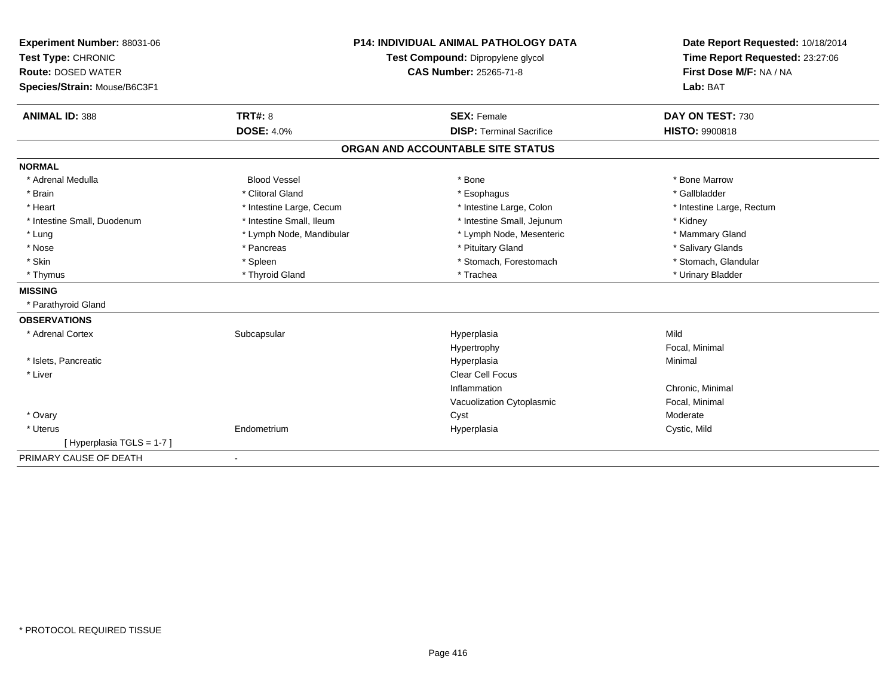| Experiment Number: 88031-06  | <b>P14: INDIVIDUAL ANIMAL PATHOLOGY DATA</b><br>Test Compound: Dipropylene glycol |                                   | Date Report Requested: 10/18/2014 |
|------------------------------|-----------------------------------------------------------------------------------|-----------------------------------|-----------------------------------|
| Test Type: CHRONIC           |                                                                                   |                                   | Time Report Requested: 23:27:06   |
| <b>Route: DOSED WATER</b>    |                                                                                   | <b>CAS Number: 25265-71-8</b>     | First Dose M/F: NA / NA           |
| Species/Strain: Mouse/B6C3F1 |                                                                                   |                                   | Lab: BAT                          |
|                              |                                                                                   |                                   |                                   |
| <b>ANIMAL ID: 388</b>        | <b>TRT#: 8</b>                                                                    | <b>SEX: Female</b>                | DAY ON TEST: 730                  |
|                              | <b>DOSE: 4.0%</b>                                                                 | <b>DISP: Terminal Sacrifice</b>   | <b>HISTO: 9900818</b>             |
|                              |                                                                                   | ORGAN AND ACCOUNTABLE SITE STATUS |                                   |
| <b>NORMAL</b>                |                                                                                   |                                   |                                   |
| * Adrenal Medulla            | <b>Blood Vessel</b>                                                               | * Bone                            | * Bone Marrow                     |
| * Brain                      | * Clitoral Gland                                                                  | * Esophagus                       | * Gallbladder                     |
| * Heart                      | * Intestine Large, Cecum                                                          | * Intestine Large, Colon          | * Intestine Large, Rectum         |
| * Intestine Small, Duodenum  | * Intestine Small, Ileum                                                          | * Intestine Small, Jejunum        | * Kidney                          |
| * Lung                       | * Lymph Node, Mandibular                                                          | * Lymph Node, Mesenteric          | * Mammary Gland                   |
| * Nose                       | * Pancreas                                                                        | * Pituitary Gland                 | * Salivary Glands                 |
| * Skin                       | * Spleen                                                                          | * Stomach, Forestomach            | * Stomach, Glandular              |
| * Thymus                     | * Thyroid Gland                                                                   | * Trachea                         | * Urinary Bladder                 |
| <b>MISSING</b>               |                                                                                   |                                   |                                   |
| * Parathyroid Gland          |                                                                                   |                                   |                                   |
| <b>OBSERVATIONS</b>          |                                                                                   |                                   |                                   |
| * Adrenal Cortex             | Subcapsular                                                                       | Hyperplasia                       | Mild                              |
|                              |                                                                                   | Hypertrophy                       | Focal, Minimal                    |
| * Islets, Pancreatic         |                                                                                   | Hyperplasia                       | Minimal                           |
| * Liver                      |                                                                                   | <b>Clear Cell Focus</b>           |                                   |
|                              |                                                                                   | Inflammation                      | Chronic, Minimal                  |
|                              |                                                                                   | Vacuolization Cytoplasmic         | Focal, Minimal                    |
| * Ovary                      |                                                                                   | Cyst                              | Moderate                          |
| * Uterus                     | Endometrium                                                                       | Hyperplasia                       | Cystic, Mild                      |
| [Hyperplasia TGLS = 1-7]     |                                                                                   |                                   |                                   |
| PRIMARY CAUSE OF DEATH       |                                                                                   |                                   |                                   |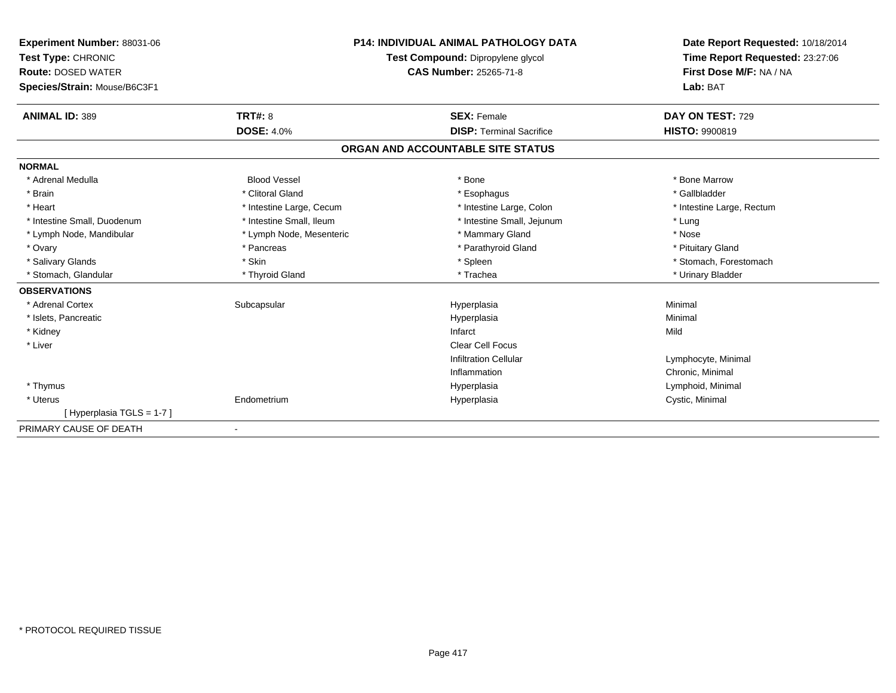| Experiment Number: 88031-06<br>Test Type: CHRONIC<br><b>Route: DOSED WATER</b><br>Species/Strain: Mouse/B6C3F1 |                          | <b>P14: INDIVIDUAL ANIMAL PATHOLOGY DATA</b><br>Test Compound: Dipropylene glycol<br><b>CAS Number: 25265-71-8</b> | Date Report Requested: 10/18/2014<br>Time Report Requested: 23:27:06<br>First Dose M/F: NA / NA<br>Lab: BAT |
|----------------------------------------------------------------------------------------------------------------|--------------------------|--------------------------------------------------------------------------------------------------------------------|-------------------------------------------------------------------------------------------------------------|
| <b>ANIMAL ID: 389</b>                                                                                          | <b>TRT#: 8</b>           | <b>SEX: Female</b>                                                                                                 | DAY ON TEST: 729                                                                                            |
|                                                                                                                | <b>DOSE: 4.0%</b>        | <b>DISP: Terminal Sacrifice</b>                                                                                    | <b>HISTO: 9900819</b>                                                                                       |
|                                                                                                                |                          | ORGAN AND ACCOUNTABLE SITE STATUS                                                                                  |                                                                                                             |
| <b>NORMAL</b>                                                                                                  |                          |                                                                                                                    |                                                                                                             |
| * Adrenal Medulla                                                                                              | <b>Blood Vessel</b>      | * Bone                                                                                                             | * Bone Marrow                                                                                               |
| * Brain                                                                                                        | * Clitoral Gland         | * Esophagus                                                                                                        | * Gallbladder                                                                                               |
| * Heart                                                                                                        | * Intestine Large, Cecum | * Intestine Large, Colon                                                                                           | * Intestine Large, Rectum                                                                                   |
| * Intestine Small, Duodenum                                                                                    | * Intestine Small, Ileum | * Intestine Small, Jejunum                                                                                         | * Lung                                                                                                      |
| * Lymph Node, Mandibular                                                                                       | * Lymph Node, Mesenteric | * Mammary Gland                                                                                                    | * Nose                                                                                                      |
| * Ovary                                                                                                        | * Pancreas               | * Parathyroid Gland                                                                                                | * Pituitary Gland                                                                                           |
| * Salivary Glands                                                                                              | * Skin                   | * Spleen                                                                                                           | * Stomach, Forestomach                                                                                      |
| * Stomach, Glandular                                                                                           | * Thyroid Gland          | * Trachea                                                                                                          | * Urinary Bladder                                                                                           |
| <b>OBSERVATIONS</b>                                                                                            |                          |                                                                                                                    |                                                                                                             |
| * Adrenal Cortex                                                                                               | Subcapsular              | Hyperplasia                                                                                                        | Minimal                                                                                                     |
| * Islets, Pancreatic                                                                                           |                          | Hyperplasia                                                                                                        | Minimal                                                                                                     |
| * Kidney                                                                                                       |                          | Infarct                                                                                                            | Mild                                                                                                        |
| * Liver                                                                                                        |                          | Clear Cell Focus                                                                                                   |                                                                                                             |
|                                                                                                                |                          | <b>Infiltration Cellular</b>                                                                                       | Lymphocyte, Minimal                                                                                         |
|                                                                                                                |                          | Inflammation                                                                                                       | Chronic, Minimal                                                                                            |
| * Thymus                                                                                                       |                          | Hyperplasia                                                                                                        | Lymphoid, Minimal                                                                                           |
| * Uterus                                                                                                       | Endometrium              | Hyperplasia                                                                                                        | Cystic, Minimal                                                                                             |
| [Hyperplasia TGLS = 1-7]                                                                                       |                          |                                                                                                                    |                                                                                                             |
| PRIMARY CAUSE OF DEATH                                                                                         | $\blacksquare$           |                                                                                                                    |                                                                                                             |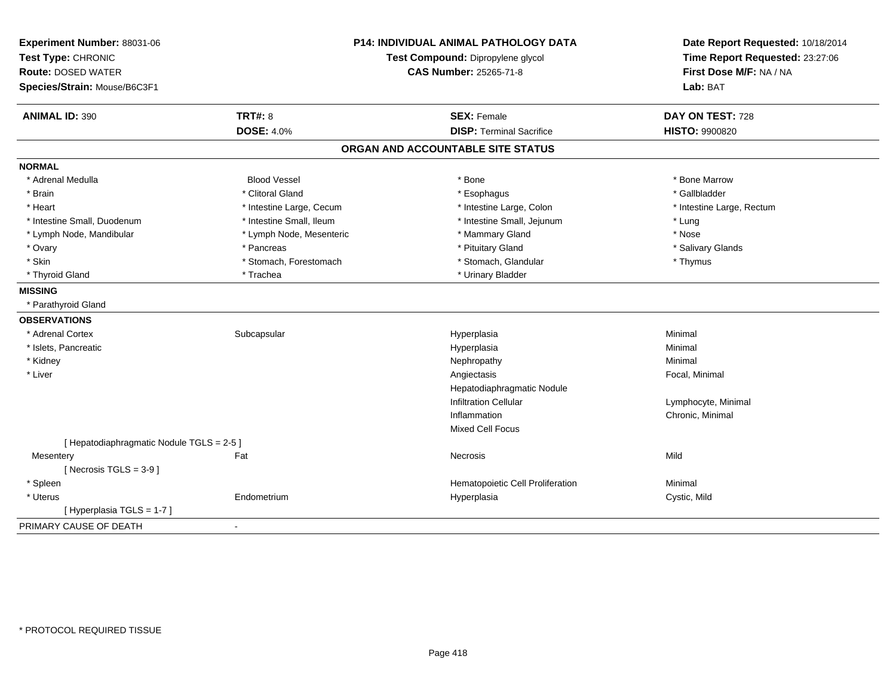| Experiment Number: 88031-06<br>Test Type: CHRONIC<br><b>Route: DOSED WATER</b><br>Species/Strain: Mouse/B6C3F1 | <b>P14: INDIVIDUAL ANIMAL PATHOLOGY DATA</b><br>Test Compound: Dipropylene glycol<br><b>CAS Number: 25265-71-8</b> |                                   | Date Report Requested: 10/18/2014<br>Time Report Requested: 23:27:06<br>First Dose M/F: NA / NA<br>Lab: BAT |
|----------------------------------------------------------------------------------------------------------------|--------------------------------------------------------------------------------------------------------------------|-----------------------------------|-------------------------------------------------------------------------------------------------------------|
| <b>ANIMAL ID: 390</b>                                                                                          | <b>TRT#: 8</b>                                                                                                     | <b>SEX: Female</b>                | DAY ON TEST: 728                                                                                            |
|                                                                                                                | <b>DOSE: 4.0%</b>                                                                                                  | <b>DISP: Terminal Sacrifice</b>   | HISTO: 9900820                                                                                              |
|                                                                                                                |                                                                                                                    | ORGAN AND ACCOUNTABLE SITE STATUS |                                                                                                             |
| <b>NORMAL</b>                                                                                                  |                                                                                                                    |                                   |                                                                                                             |
| * Adrenal Medulla                                                                                              | <b>Blood Vessel</b>                                                                                                | * Bone                            | * Bone Marrow                                                                                               |
| * Brain                                                                                                        | * Clitoral Gland                                                                                                   | * Esophagus                       | * Gallbladder                                                                                               |
| * Heart                                                                                                        | * Intestine Large, Cecum                                                                                           | * Intestine Large, Colon          | * Intestine Large, Rectum                                                                                   |
| * Intestine Small, Duodenum                                                                                    | * Intestine Small, Ileum                                                                                           | * Intestine Small, Jejunum        | * Lung                                                                                                      |
| * Lymph Node, Mandibular                                                                                       | * Lymph Node, Mesenteric                                                                                           | * Mammary Gland                   | * Nose                                                                                                      |
| * Ovary                                                                                                        | * Pancreas                                                                                                         | * Pituitary Gland                 | * Salivary Glands                                                                                           |
| * Skin                                                                                                         | * Stomach, Forestomach                                                                                             | * Stomach, Glandular              | * Thymus                                                                                                    |
| * Thyroid Gland                                                                                                | * Trachea                                                                                                          | * Urinary Bladder                 |                                                                                                             |
| <b>MISSING</b>                                                                                                 |                                                                                                                    |                                   |                                                                                                             |
| * Parathyroid Gland                                                                                            |                                                                                                                    |                                   |                                                                                                             |
| <b>OBSERVATIONS</b>                                                                                            |                                                                                                                    |                                   |                                                                                                             |
| * Adrenal Cortex                                                                                               | Subcapsular                                                                                                        | Hyperplasia                       | Minimal                                                                                                     |
| * Islets, Pancreatic                                                                                           |                                                                                                                    | Hyperplasia                       | Minimal                                                                                                     |
| * Kidney                                                                                                       |                                                                                                                    | Nephropathy                       | Minimal                                                                                                     |
| * Liver                                                                                                        |                                                                                                                    | Angiectasis                       | Focal, Minimal                                                                                              |
|                                                                                                                |                                                                                                                    | Hepatodiaphragmatic Nodule        |                                                                                                             |
|                                                                                                                |                                                                                                                    | <b>Infiltration Cellular</b>      | Lymphocyte, Minimal                                                                                         |
|                                                                                                                |                                                                                                                    | Inflammation                      | Chronic, Minimal                                                                                            |
|                                                                                                                |                                                                                                                    | <b>Mixed Cell Focus</b>           |                                                                                                             |
| [Hepatodiaphragmatic Nodule TGLS = 2-5]                                                                        |                                                                                                                    |                                   |                                                                                                             |
| Mesentery                                                                                                      | Fat                                                                                                                | Necrosis                          | Mild                                                                                                        |
| [Necrosis TGLS = $3-9$ ]                                                                                       |                                                                                                                    |                                   |                                                                                                             |
| * Spleen                                                                                                       |                                                                                                                    | Hematopoietic Cell Proliferation  | Minimal                                                                                                     |
| * Uterus                                                                                                       | Endometrium                                                                                                        | Hyperplasia                       | Cystic, Mild                                                                                                |
| [Hyperplasia TGLS = 1-7]                                                                                       |                                                                                                                    |                                   |                                                                                                             |
| PRIMARY CAUSE OF DEATH                                                                                         | $\blacksquare$                                                                                                     |                                   |                                                                                                             |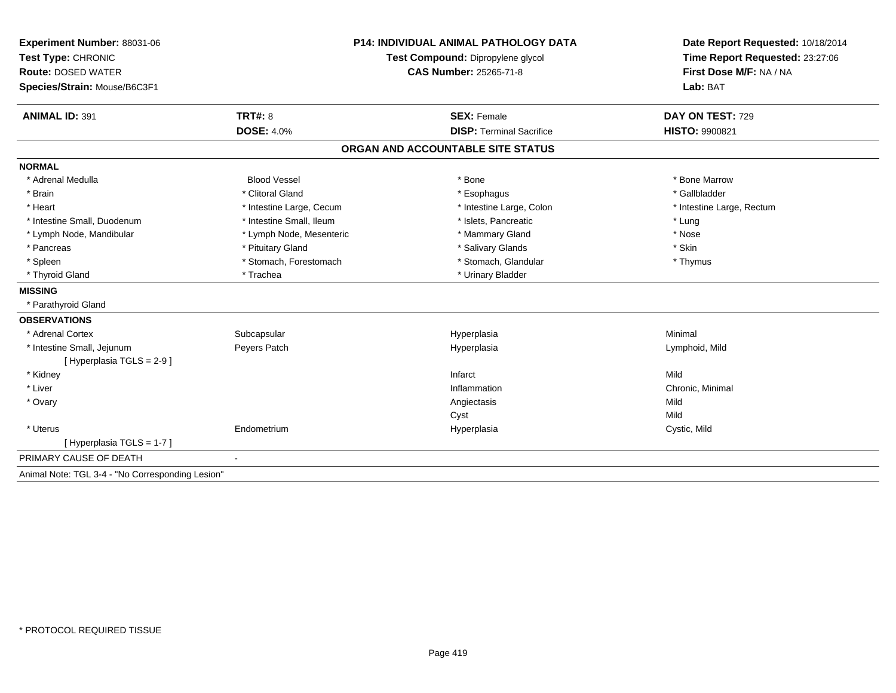| Experiment Number: 88031-06                      | <b>P14: INDIVIDUAL ANIMAL PATHOLOGY DATA</b> |                                   | Date Report Requested: 10/18/2014                          |  |
|--------------------------------------------------|----------------------------------------------|-----------------------------------|------------------------------------------------------------|--|
| Test Type: CHRONIC                               |                                              | Test Compound: Dipropylene glycol | Time Report Requested: 23:27:06<br>First Dose M/F: NA / NA |  |
| <b>Route: DOSED WATER</b>                        |                                              | <b>CAS Number: 25265-71-8</b>     |                                                            |  |
| Species/Strain: Mouse/B6C3F1                     |                                              |                                   | Lab: BAT                                                   |  |
| <b>ANIMAL ID: 391</b>                            | <b>TRT#: 8</b>                               | <b>SEX: Female</b>                | DAY ON TEST: 729                                           |  |
|                                                  | <b>DOSE: 4.0%</b>                            | <b>DISP: Terminal Sacrifice</b>   | <b>HISTO: 9900821</b>                                      |  |
|                                                  |                                              | ORGAN AND ACCOUNTABLE SITE STATUS |                                                            |  |
| <b>NORMAL</b>                                    |                                              |                                   |                                                            |  |
| * Adrenal Medulla                                | <b>Blood Vessel</b>                          | * Bone                            | * Bone Marrow                                              |  |
| * Brain                                          | * Clitoral Gland                             | * Esophagus                       | * Gallbladder                                              |  |
| * Heart                                          | * Intestine Large, Cecum                     | * Intestine Large, Colon          | * Intestine Large, Rectum                                  |  |
| * Intestine Small, Duodenum                      | * Intestine Small, Ileum                     | * Islets, Pancreatic              | * Lung                                                     |  |
| * Lymph Node, Mandibular                         | * Lymph Node, Mesenteric                     | * Mammary Gland                   | * Nose                                                     |  |
| * Pancreas                                       | * Pituitary Gland                            | * Salivary Glands                 | * Skin                                                     |  |
| * Spleen                                         | * Stomach, Forestomach                       | * Stomach, Glandular              | * Thymus                                                   |  |
| * Thyroid Gland                                  | * Trachea                                    | * Urinary Bladder                 |                                                            |  |
| <b>MISSING</b>                                   |                                              |                                   |                                                            |  |
| * Parathyroid Gland                              |                                              |                                   |                                                            |  |
| <b>OBSERVATIONS</b>                              |                                              |                                   |                                                            |  |
| * Adrenal Cortex                                 | Subcapsular                                  | Hyperplasia                       | Minimal                                                    |  |
| * Intestine Small, Jejunum                       | Peyers Patch                                 | Hyperplasia                       | Lymphoid, Mild                                             |  |
| [Hyperplasia TGLS = 2-9]                         |                                              |                                   |                                                            |  |
| * Kidney                                         |                                              | Infarct                           | Mild                                                       |  |
| * Liver                                          |                                              | Inflammation                      | Chronic, Minimal                                           |  |
| * Ovary                                          |                                              | Angiectasis                       | Mild                                                       |  |
|                                                  |                                              | Cyst                              | Mild                                                       |  |
| * Uterus                                         | Endometrium                                  | Hyperplasia                       | Cystic, Mild                                               |  |
| [Hyperplasia TGLS = 1-7]                         |                                              |                                   |                                                            |  |
| PRIMARY CAUSE OF DEATH                           | $\blacksquare$                               |                                   |                                                            |  |
| Animal Note: TGL 3-4 - "No Corresponding Lesion" |                                              |                                   |                                                            |  |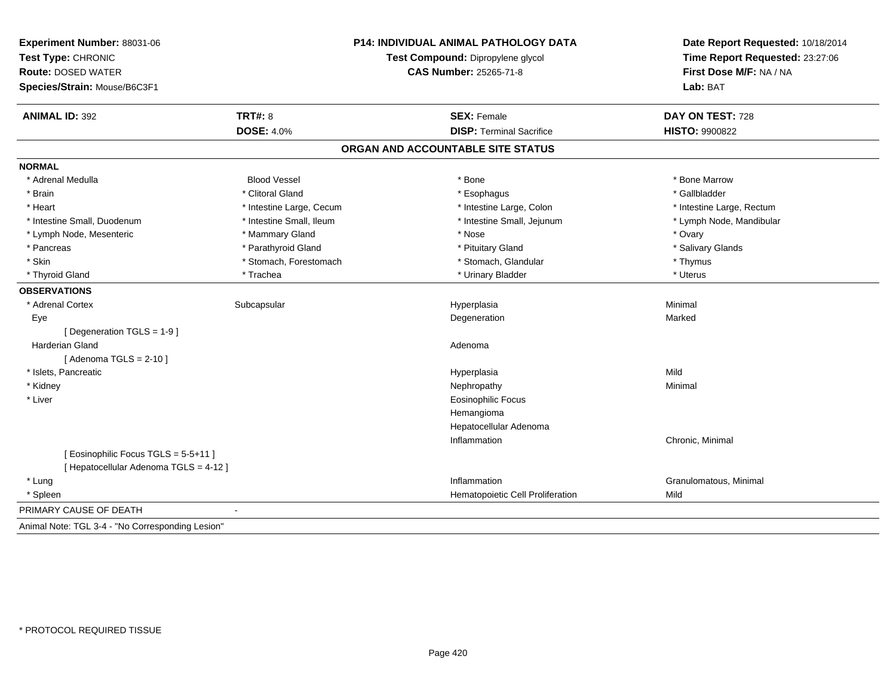| Experiment Number: 88031-06<br>Test Type: CHRONIC<br><b>Route: DOSED WATER</b><br>Species/Strain: Mouse/B6C3F1 |                          | P14: INDIVIDUAL ANIMAL PATHOLOGY DATA<br>Test Compound: Dipropylene glycol<br><b>CAS Number: 25265-71-8</b> | Date Report Requested: 10/18/2014<br>Time Report Requested: 23:27:06<br>First Dose M/F: NA / NA<br>Lab: BAT |
|----------------------------------------------------------------------------------------------------------------|--------------------------|-------------------------------------------------------------------------------------------------------------|-------------------------------------------------------------------------------------------------------------|
| <b>ANIMAL ID: 392</b>                                                                                          | <b>TRT#: 8</b>           | <b>SEX: Female</b>                                                                                          | DAY ON TEST: 728                                                                                            |
|                                                                                                                | <b>DOSE: 4.0%</b>        | <b>DISP: Terminal Sacrifice</b>                                                                             | <b>HISTO: 9900822</b>                                                                                       |
|                                                                                                                |                          | ORGAN AND ACCOUNTABLE SITE STATUS                                                                           |                                                                                                             |
| <b>NORMAL</b>                                                                                                  |                          |                                                                                                             |                                                                                                             |
| * Adrenal Medulla                                                                                              | <b>Blood Vessel</b>      | * Bone                                                                                                      | * Bone Marrow                                                                                               |
| * Brain                                                                                                        | * Clitoral Gland         | * Esophagus                                                                                                 | * Gallbladder                                                                                               |
| * Heart                                                                                                        | * Intestine Large, Cecum | * Intestine Large, Colon                                                                                    | * Intestine Large, Rectum                                                                                   |
| * Intestine Small, Duodenum                                                                                    | * Intestine Small, Ileum | * Intestine Small, Jejunum                                                                                  | * Lymph Node, Mandibular                                                                                    |
| * Lymph Node, Mesenteric                                                                                       | * Mammary Gland          | * Nose                                                                                                      | * Ovary                                                                                                     |
| * Pancreas                                                                                                     | * Parathyroid Gland      | * Pituitary Gland                                                                                           | * Salivary Glands                                                                                           |
| * Skin                                                                                                         | * Stomach, Forestomach   | * Stomach, Glandular                                                                                        | * Thymus                                                                                                    |
| * Thyroid Gland                                                                                                | * Trachea                | * Urinary Bladder                                                                                           | * Uterus                                                                                                    |
| <b>OBSERVATIONS</b>                                                                                            |                          |                                                                                                             |                                                                                                             |
| * Adrenal Cortex                                                                                               | Subcapsular              | Hyperplasia                                                                                                 | Minimal                                                                                                     |
| Eye                                                                                                            |                          | Degeneration                                                                                                | Marked                                                                                                      |
| [ Degeneration TGLS = 1-9 ]                                                                                    |                          |                                                                                                             |                                                                                                             |
| Harderian Gland                                                                                                |                          | Adenoma                                                                                                     |                                                                                                             |
| [Adenoma TGLS = $2-10$ ]                                                                                       |                          |                                                                                                             |                                                                                                             |
| * Islets, Pancreatic                                                                                           |                          | Hyperplasia                                                                                                 | Mild                                                                                                        |
| * Kidney                                                                                                       |                          | Nephropathy                                                                                                 | Minimal                                                                                                     |
| * Liver                                                                                                        |                          | <b>Eosinophilic Focus</b>                                                                                   |                                                                                                             |
|                                                                                                                |                          | Hemangioma                                                                                                  |                                                                                                             |
|                                                                                                                |                          | Hepatocellular Adenoma                                                                                      |                                                                                                             |
|                                                                                                                |                          | Inflammation                                                                                                | Chronic, Minimal                                                                                            |
| [ Eosinophilic Focus TGLS = 5-5+11 ]                                                                           |                          |                                                                                                             |                                                                                                             |
| [ Hepatocellular Adenoma TGLS = 4-12 ]                                                                         |                          |                                                                                                             |                                                                                                             |
| * Lung                                                                                                         |                          | Inflammation                                                                                                | Granulomatous, Minimal                                                                                      |
| * Spleen                                                                                                       |                          | Hematopoietic Cell Proliferation                                                                            | Mild                                                                                                        |
| PRIMARY CAUSE OF DEATH                                                                                         |                          |                                                                                                             |                                                                                                             |
| Animal Note: TGL 3-4 - "No Corresponding Lesion"                                                               |                          |                                                                                                             |                                                                                                             |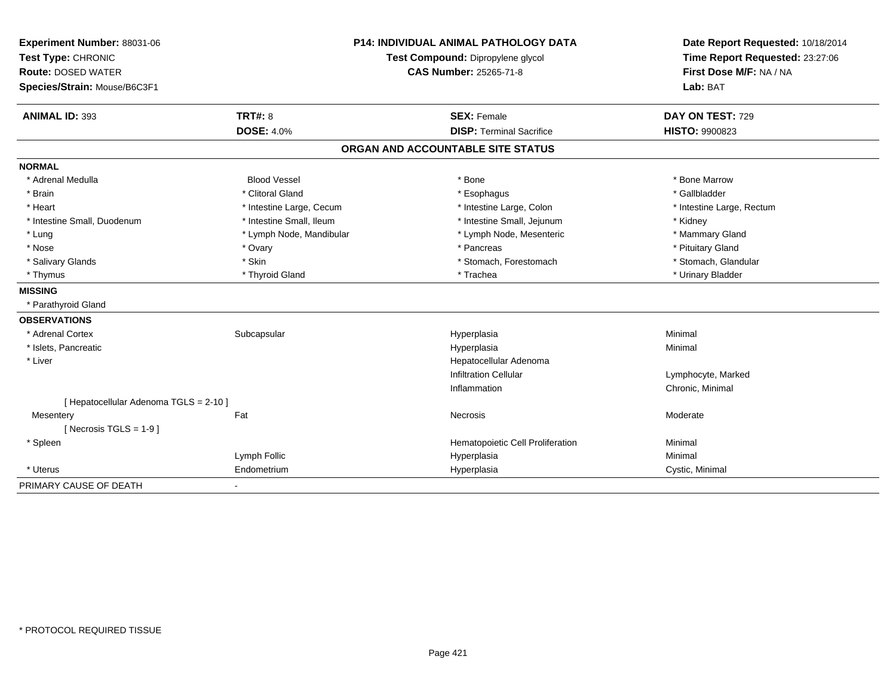| Experiment Number: 88031-06            | <b>P14: INDIVIDUAL ANIMAL PATHOLOGY DATA</b> |                                   | Date Report Requested: 10/18/2014 |  |  |
|----------------------------------------|----------------------------------------------|-----------------------------------|-----------------------------------|--|--|
| Test Type: CHRONIC                     |                                              | Test Compound: Dipropylene glycol | Time Report Requested: 23:27:06   |  |  |
| <b>Route: DOSED WATER</b>              |                                              | <b>CAS Number: 25265-71-8</b>     | First Dose M/F: NA / NA           |  |  |
| Species/Strain: Mouse/B6C3F1           |                                              |                                   | Lab: BAT                          |  |  |
| <b>ANIMAL ID: 393</b>                  | <b>TRT#: 8</b>                               | <b>SEX: Female</b>                | DAY ON TEST: 729                  |  |  |
|                                        | <b>DOSE: 4.0%</b>                            | <b>DISP: Terminal Sacrifice</b>   | <b>HISTO: 9900823</b>             |  |  |
|                                        |                                              | ORGAN AND ACCOUNTABLE SITE STATUS |                                   |  |  |
| <b>NORMAL</b>                          |                                              |                                   |                                   |  |  |
| * Adrenal Medulla                      | <b>Blood Vessel</b>                          | * Bone                            | * Bone Marrow                     |  |  |
| * Brain                                | * Clitoral Gland                             | * Esophagus                       | * Gallbladder                     |  |  |
| * Heart                                | * Intestine Large, Cecum                     | * Intestine Large, Colon          | * Intestine Large, Rectum         |  |  |
| * Intestine Small, Duodenum            | * Intestine Small, Ileum                     | * Intestine Small, Jejunum        | * Kidney                          |  |  |
| * Lung                                 | * Lymph Node, Mandibular                     | * Lymph Node, Mesenteric          | * Mammary Gland                   |  |  |
| * Nose                                 | * Ovary                                      | * Pancreas                        | * Pituitary Gland                 |  |  |
| * Salivary Glands                      | * Skin                                       | * Stomach, Forestomach            | * Stomach, Glandular              |  |  |
| * Thymus                               | * Thyroid Gland                              | * Trachea                         | * Urinary Bladder                 |  |  |
| <b>MISSING</b>                         |                                              |                                   |                                   |  |  |
| * Parathyroid Gland                    |                                              |                                   |                                   |  |  |
| <b>OBSERVATIONS</b>                    |                                              |                                   |                                   |  |  |
| * Adrenal Cortex                       | Subcapsular                                  | Hyperplasia                       | Minimal                           |  |  |
| * Islets, Pancreatic                   |                                              | Hyperplasia                       | Minimal                           |  |  |
| * Liver                                |                                              | Hepatocellular Adenoma            |                                   |  |  |
|                                        |                                              | <b>Infiltration Cellular</b>      | Lymphocyte, Marked                |  |  |
|                                        |                                              | Inflammation                      | Chronic, Minimal                  |  |  |
| [ Hepatocellular Adenoma TGLS = 2-10 ] |                                              |                                   |                                   |  |  |
| Mesentery                              | Fat                                          | Necrosis                          | Moderate                          |  |  |
| [Necrosis TGLS = $1-9$ ]               |                                              |                                   |                                   |  |  |
| * Spleen                               |                                              | Hematopoietic Cell Proliferation  | Minimal                           |  |  |
|                                        | Lymph Follic                                 | Hyperplasia                       | Minimal                           |  |  |
| * Uterus                               | Endometrium                                  | Hyperplasia                       | Cystic, Minimal                   |  |  |
| PRIMARY CAUSE OF DEATH                 | ٠                                            |                                   |                                   |  |  |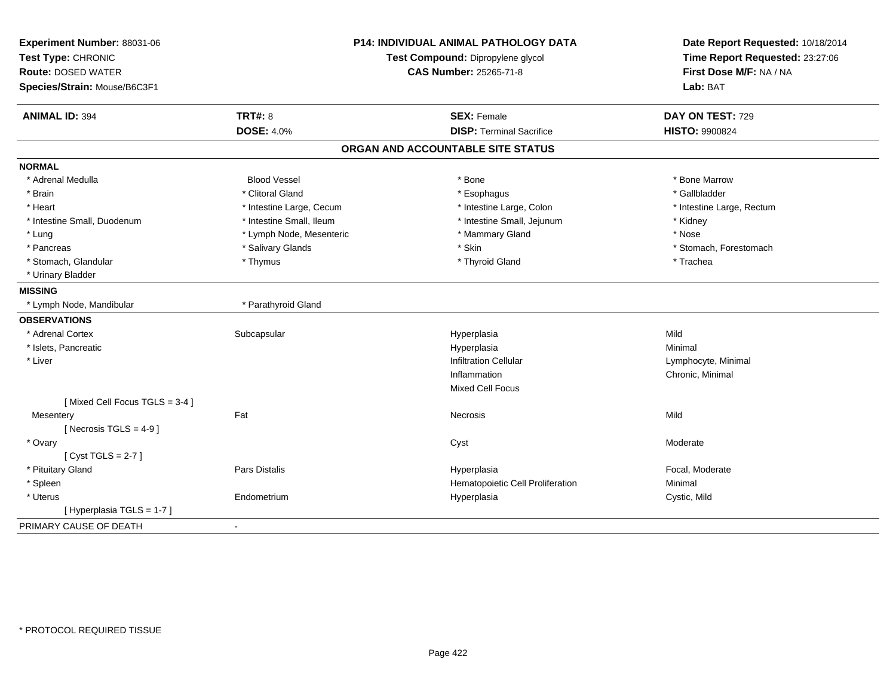| Experiment Number: 88031-06<br>Test Type: CHRONIC<br><b>Route: DOSED WATER</b><br>Species/Strain: Mouse/B6C3F1 |                          | <b>P14: INDIVIDUAL ANIMAL PATHOLOGY DATA</b><br>Test Compound: Dipropylene glycol<br><b>CAS Number: 25265-71-8</b> | Date Report Requested: 10/18/2014<br>Time Report Requested: 23:27:06<br>First Dose M/F: NA / NA<br>Lab: BAT |  |
|----------------------------------------------------------------------------------------------------------------|--------------------------|--------------------------------------------------------------------------------------------------------------------|-------------------------------------------------------------------------------------------------------------|--|
| <b>ANIMAL ID: 394</b>                                                                                          | <b>TRT#: 8</b>           | <b>SEX: Female</b>                                                                                                 | DAY ON TEST: 729                                                                                            |  |
|                                                                                                                | <b>DOSE: 4.0%</b>        | <b>DISP: Terminal Sacrifice</b>                                                                                    | HISTO: 9900824                                                                                              |  |
|                                                                                                                |                          | ORGAN AND ACCOUNTABLE SITE STATUS                                                                                  |                                                                                                             |  |
| <b>NORMAL</b>                                                                                                  |                          |                                                                                                                    |                                                                                                             |  |
| * Adrenal Medulla                                                                                              | <b>Blood Vessel</b>      | * Bone                                                                                                             | * Bone Marrow                                                                                               |  |
| * Brain                                                                                                        | * Clitoral Gland         | * Esophagus                                                                                                        | * Gallbladder                                                                                               |  |
| * Heart                                                                                                        | * Intestine Large, Cecum | * Intestine Large, Colon                                                                                           | * Intestine Large, Rectum                                                                                   |  |
| * Intestine Small, Duodenum                                                                                    | * Intestine Small, Ileum | * Intestine Small, Jejunum                                                                                         | * Kidney                                                                                                    |  |
| * Lung                                                                                                         | * Lymph Node, Mesenteric | * Mammary Gland                                                                                                    | * Nose                                                                                                      |  |
| * Pancreas                                                                                                     | * Salivary Glands        | * Skin                                                                                                             | * Stomach, Forestomach                                                                                      |  |
| * Stomach, Glandular                                                                                           | * Thymus                 | * Thyroid Gland                                                                                                    | * Trachea                                                                                                   |  |
| * Urinary Bladder                                                                                              |                          |                                                                                                                    |                                                                                                             |  |
| <b>MISSING</b>                                                                                                 |                          |                                                                                                                    |                                                                                                             |  |
| * Lymph Node, Mandibular                                                                                       | * Parathyroid Gland      |                                                                                                                    |                                                                                                             |  |
| <b>OBSERVATIONS</b>                                                                                            |                          |                                                                                                                    |                                                                                                             |  |
| * Adrenal Cortex                                                                                               | Subcapsular              | Hyperplasia                                                                                                        | Mild                                                                                                        |  |
| * Islets, Pancreatic                                                                                           |                          | Hyperplasia                                                                                                        | Minimal                                                                                                     |  |
| * Liver                                                                                                        |                          | <b>Infiltration Cellular</b>                                                                                       | Lymphocyte, Minimal                                                                                         |  |
|                                                                                                                |                          | Inflammation                                                                                                       | Chronic, Minimal                                                                                            |  |
|                                                                                                                |                          | <b>Mixed Cell Focus</b>                                                                                            |                                                                                                             |  |
| [Mixed Cell Focus TGLS = 3-4]                                                                                  |                          |                                                                                                                    |                                                                                                             |  |
| Mesentery                                                                                                      | Fat                      | Necrosis                                                                                                           | Mild                                                                                                        |  |
| [Necrosis TGLS = $4-9$ ]                                                                                       |                          |                                                                                                                    |                                                                                                             |  |
| * Ovary                                                                                                        |                          | Cyst                                                                                                               | Moderate                                                                                                    |  |
| [Cyst TGLS = $2-7$ ]                                                                                           |                          |                                                                                                                    |                                                                                                             |  |
| * Pituitary Gland                                                                                              | Pars Distalis            | Hyperplasia                                                                                                        | Focal, Moderate                                                                                             |  |
| * Spleen                                                                                                       |                          | Hematopoietic Cell Proliferation                                                                                   | Minimal                                                                                                     |  |
| * Uterus                                                                                                       | Endometrium              | Hyperplasia                                                                                                        | Cystic, Mild                                                                                                |  |
| [Hyperplasia TGLS = 1-7]                                                                                       |                          |                                                                                                                    |                                                                                                             |  |
| PRIMARY CAUSE OF DEATH                                                                                         | $\mathbf{r}$             |                                                                                                                    |                                                                                                             |  |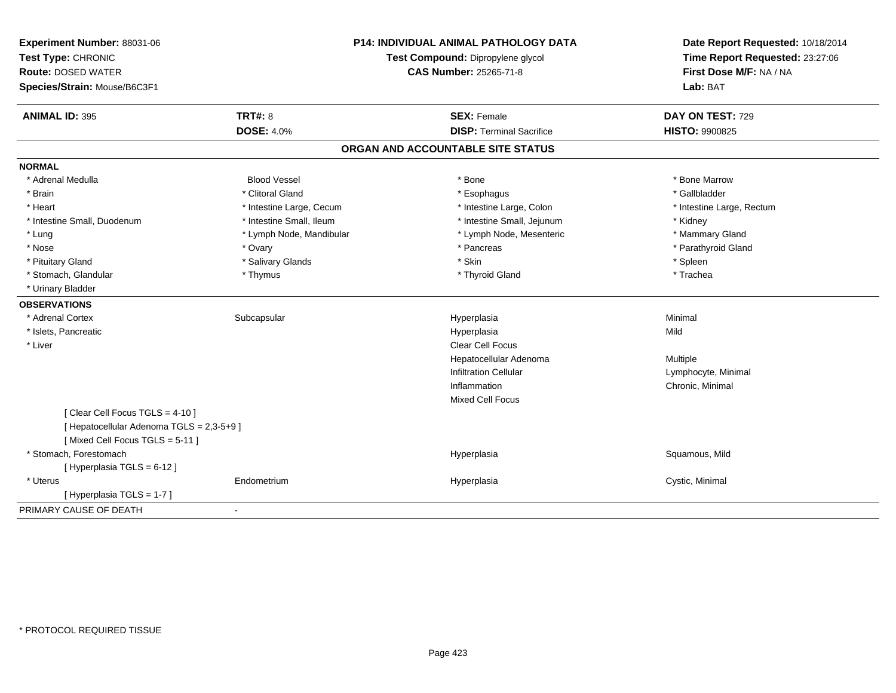| Experiment Number: 88031-06<br>Test Type: CHRONIC<br><b>Route: DOSED WATER</b><br>Species/Strain: Mouse/B6C3F1 | <b>P14: INDIVIDUAL ANIMAL PATHOLOGY DATA</b><br>Test Compound: Dipropylene glycol<br>CAS Number: 25265-71-8 |                                                       | Date Report Requested: 10/18/2014<br>Time Report Requested: 23:27:06<br>First Dose M/F: NA / NA<br>Lab: BAT |  |
|----------------------------------------------------------------------------------------------------------------|-------------------------------------------------------------------------------------------------------------|-------------------------------------------------------|-------------------------------------------------------------------------------------------------------------|--|
| <b>ANIMAL ID: 395</b>                                                                                          | <b>TRT#: 8</b><br><b>DOSE: 4.0%</b>                                                                         | <b>SEX: Female</b><br><b>DISP: Terminal Sacrifice</b> | DAY ON TEST: 729<br>HISTO: 9900825                                                                          |  |
|                                                                                                                |                                                                                                             |                                                       |                                                                                                             |  |
|                                                                                                                |                                                                                                             | ORGAN AND ACCOUNTABLE SITE STATUS                     |                                                                                                             |  |
| <b>NORMAL</b>                                                                                                  |                                                                                                             |                                                       |                                                                                                             |  |
| * Adrenal Medulla                                                                                              | <b>Blood Vessel</b>                                                                                         | * Bone                                                | * Bone Marrow                                                                                               |  |
| * Brain                                                                                                        | * Clitoral Gland                                                                                            | * Esophagus                                           | * Gallbladder                                                                                               |  |
| * Heart                                                                                                        | * Intestine Large, Cecum                                                                                    | * Intestine Large, Colon                              | * Intestine Large, Rectum                                                                                   |  |
| * Intestine Small, Duodenum                                                                                    | * Intestine Small, Ileum                                                                                    | * Intestine Small, Jejunum                            | * Kidney                                                                                                    |  |
| * Lung                                                                                                         | * Lymph Node, Mandibular                                                                                    | * Lymph Node, Mesenteric                              | * Mammary Gland                                                                                             |  |
| * Nose                                                                                                         | * Ovary                                                                                                     | * Pancreas                                            | * Parathyroid Gland                                                                                         |  |
| * Pituitary Gland                                                                                              | * Salivary Glands                                                                                           | * Skin                                                | * Spleen                                                                                                    |  |
| * Stomach, Glandular                                                                                           | * Thymus                                                                                                    | * Thyroid Gland                                       | * Trachea                                                                                                   |  |
| * Urinary Bladder                                                                                              |                                                                                                             |                                                       |                                                                                                             |  |
| <b>OBSERVATIONS</b>                                                                                            |                                                                                                             |                                                       |                                                                                                             |  |
| * Adrenal Cortex                                                                                               | Subcapsular                                                                                                 | Hyperplasia                                           | Minimal                                                                                                     |  |
| * Islets, Pancreatic                                                                                           |                                                                                                             | Hyperplasia                                           | Mild                                                                                                        |  |
| * Liver                                                                                                        |                                                                                                             | Clear Cell Focus                                      |                                                                                                             |  |
|                                                                                                                |                                                                                                             | Hepatocellular Adenoma                                | Multiple                                                                                                    |  |
|                                                                                                                |                                                                                                             | <b>Infiltration Cellular</b>                          | Lymphocyte, Minimal                                                                                         |  |
|                                                                                                                |                                                                                                             | Inflammation                                          | Chronic, Minimal                                                                                            |  |
|                                                                                                                |                                                                                                             | <b>Mixed Cell Focus</b>                               |                                                                                                             |  |
| [ Clear Cell Focus TGLS = 4-10 ]                                                                               |                                                                                                             |                                                       |                                                                                                             |  |
| [ Hepatocellular Adenoma TGLS = 2,3-5+9 ]                                                                      |                                                                                                             |                                                       |                                                                                                             |  |
| [Mixed Cell Focus TGLS = 5-11]                                                                                 |                                                                                                             |                                                       |                                                                                                             |  |
| * Stomach, Forestomach                                                                                         |                                                                                                             | Hyperplasia                                           | Squamous, Mild                                                                                              |  |
| [Hyperplasia TGLS = 6-12]                                                                                      |                                                                                                             |                                                       |                                                                                                             |  |
| * Uterus                                                                                                       | Endometrium                                                                                                 | Hyperplasia                                           | Cystic, Minimal                                                                                             |  |
| [Hyperplasia TGLS = 1-7]                                                                                       |                                                                                                             |                                                       |                                                                                                             |  |
| PRIMARY CAUSE OF DEATH                                                                                         |                                                                                                             |                                                       |                                                                                                             |  |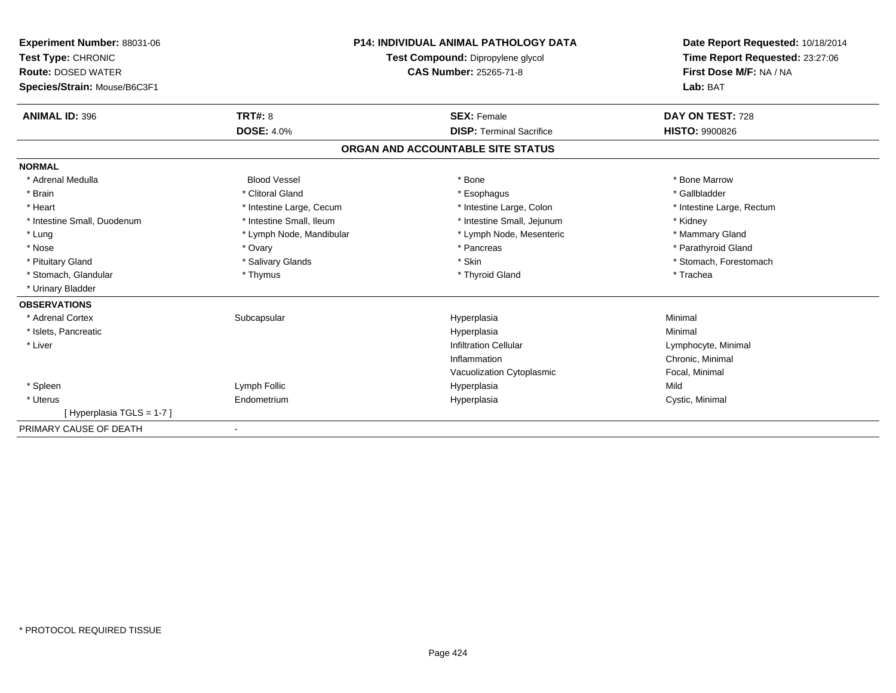| Experiment Number: 88031-06<br>Test Type: CHRONIC<br><b>Route: DOSED WATER</b><br>Species/Strain: Mouse/B6C3F1 |                          | <b>P14: INDIVIDUAL ANIMAL PATHOLOGY DATA</b><br>Test Compound: Dipropylene glycol<br><b>CAS Number: 25265-71-8</b> | Date Report Requested: 10/18/2014<br>Time Report Requested: 23:27:06<br>First Dose M/F: NA / NA<br>Lab: BAT |  |
|----------------------------------------------------------------------------------------------------------------|--------------------------|--------------------------------------------------------------------------------------------------------------------|-------------------------------------------------------------------------------------------------------------|--|
| <b>ANIMAL ID: 396</b>                                                                                          | TRT#: 8                  | <b>SEX: Female</b>                                                                                                 | DAY ON TEST: 728                                                                                            |  |
|                                                                                                                | <b>DOSE: 4.0%</b>        | <b>DISP: Terminal Sacrifice</b>                                                                                    | <b>HISTO: 9900826</b>                                                                                       |  |
|                                                                                                                |                          | ORGAN AND ACCOUNTABLE SITE STATUS                                                                                  |                                                                                                             |  |
| <b>NORMAL</b>                                                                                                  |                          |                                                                                                                    |                                                                                                             |  |
| * Adrenal Medulla                                                                                              | <b>Blood Vessel</b>      | * Bone                                                                                                             | * Bone Marrow                                                                                               |  |
| * Brain                                                                                                        | * Clitoral Gland         | * Esophagus                                                                                                        | * Gallbladder                                                                                               |  |
| * Heart                                                                                                        | * Intestine Large, Cecum | * Intestine Large, Colon                                                                                           | * Intestine Large, Rectum                                                                                   |  |
| * Intestine Small, Duodenum                                                                                    | * Intestine Small, Ileum | * Intestine Small, Jejunum                                                                                         | * Kidney                                                                                                    |  |
| * Lung                                                                                                         | * Lymph Node, Mandibular | * Lymph Node, Mesenteric                                                                                           | * Mammary Gland                                                                                             |  |
| * Nose                                                                                                         | * Ovary                  | * Pancreas                                                                                                         | * Parathyroid Gland                                                                                         |  |
| * Pituitary Gland                                                                                              | * Salivary Glands        | * Skin                                                                                                             | * Stomach, Forestomach                                                                                      |  |
| * Stomach, Glandular                                                                                           | * Thymus                 | * Thyroid Gland                                                                                                    | * Trachea                                                                                                   |  |
| * Urinary Bladder                                                                                              |                          |                                                                                                                    |                                                                                                             |  |
| <b>OBSERVATIONS</b>                                                                                            |                          |                                                                                                                    |                                                                                                             |  |
| * Adrenal Cortex                                                                                               | Subcapsular              | Hyperplasia                                                                                                        | Minimal                                                                                                     |  |
| * Islets, Pancreatic                                                                                           |                          | Hyperplasia                                                                                                        | Minimal                                                                                                     |  |
| * Liver                                                                                                        |                          | <b>Infiltration Cellular</b>                                                                                       | Lymphocyte, Minimal                                                                                         |  |
|                                                                                                                |                          | Inflammation                                                                                                       | Chronic, Minimal                                                                                            |  |
|                                                                                                                |                          | Vacuolization Cytoplasmic                                                                                          | Focal, Minimal                                                                                              |  |
| * Spleen                                                                                                       | Lymph Follic             | Hyperplasia                                                                                                        | Mild                                                                                                        |  |
| * Uterus                                                                                                       | Endometrium              | Hyperplasia                                                                                                        | Cystic, Minimal                                                                                             |  |
| [Hyperplasia TGLS = 1-7]                                                                                       |                          |                                                                                                                    |                                                                                                             |  |
| PRIMARY CAUSE OF DEATH                                                                                         |                          |                                                                                                                    |                                                                                                             |  |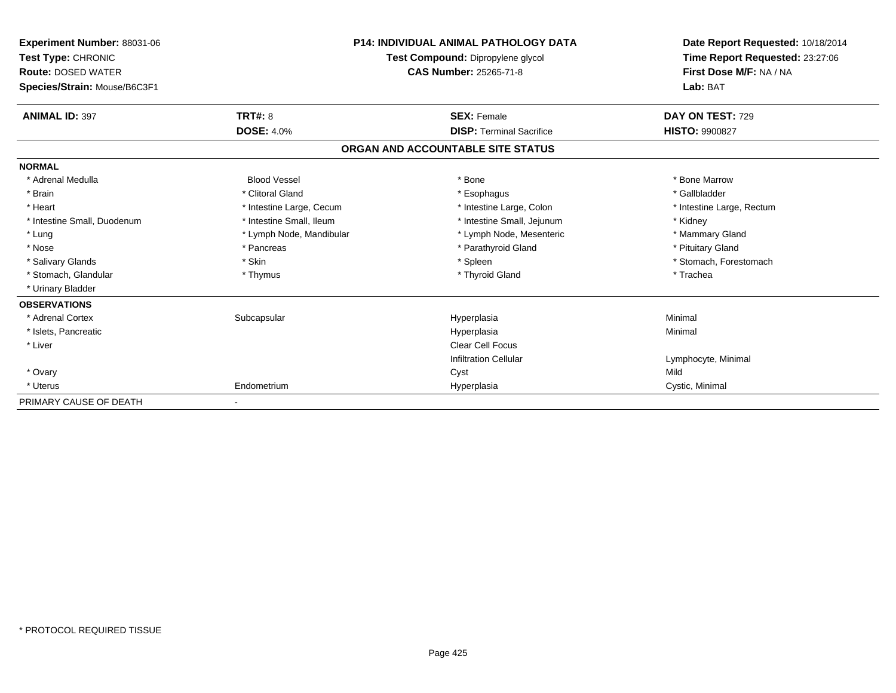| Experiment Number: 88031-06<br>Test Type: CHRONIC<br><b>Route: DOSED WATER</b><br>Species/Strain: Mouse/B6C3F1 |                          | <b>P14: INDIVIDUAL ANIMAL PATHOLOGY DATA</b><br>Test Compound: Dipropylene glycol<br><b>CAS Number: 25265-71-8</b> | Date Report Requested: 10/18/2014<br>Time Report Requested: 23:27:06<br>First Dose M/F: NA / NA<br>Lab: BAT |  |
|----------------------------------------------------------------------------------------------------------------|--------------------------|--------------------------------------------------------------------------------------------------------------------|-------------------------------------------------------------------------------------------------------------|--|
| <b>ANIMAL ID: 397</b>                                                                                          | <b>TRT#: 8</b>           | <b>SEX: Female</b>                                                                                                 | DAY ON TEST: 729                                                                                            |  |
|                                                                                                                | <b>DOSE: 4.0%</b>        | <b>DISP: Terminal Sacrifice</b>                                                                                    | <b>HISTO: 9900827</b>                                                                                       |  |
|                                                                                                                |                          | ORGAN AND ACCOUNTABLE SITE STATUS                                                                                  |                                                                                                             |  |
| <b>NORMAL</b>                                                                                                  |                          |                                                                                                                    |                                                                                                             |  |
| * Adrenal Medulla                                                                                              | <b>Blood Vessel</b>      | * Bone                                                                                                             | * Bone Marrow                                                                                               |  |
| * Brain                                                                                                        | * Clitoral Gland         | * Esophagus                                                                                                        | * Gallbladder                                                                                               |  |
| * Heart                                                                                                        | * Intestine Large, Cecum | * Intestine Large, Colon                                                                                           | * Intestine Large, Rectum                                                                                   |  |
| * Intestine Small, Duodenum                                                                                    | * Intestine Small, Ileum | * Intestine Small, Jejunum                                                                                         | * Kidney                                                                                                    |  |
| * Lung                                                                                                         | * Lymph Node, Mandibular | * Lymph Node, Mesenteric                                                                                           | * Mammary Gland                                                                                             |  |
| * Nose                                                                                                         | * Pancreas               | * Parathyroid Gland                                                                                                | * Pituitary Gland                                                                                           |  |
| * Salivary Glands                                                                                              | * Skin                   | * Spleen                                                                                                           | * Stomach, Forestomach                                                                                      |  |
| * Stomach, Glandular                                                                                           | * Thymus                 | * Thyroid Gland                                                                                                    | * Trachea                                                                                                   |  |
| * Urinary Bladder                                                                                              |                          |                                                                                                                    |                                                                                                             |  |
| <b>OBSERVATIONS</b>                                                                                            |                          |                                                                                                                    |                                                                                                             |  |
| * Adrenal Cortex                                                                                               | Subcapsular              | Hyperplasia                                                                                                        | Minimal                                                                                                     |  |
| * Islets, Pancreatic                                                                                           |                          | Hyperplasia                                                                                                        | Minimal                                                                                                     |  |
| * Liver                                                                                                        |                          | <b>Clear Cell Focus</b>                                                                                            |                                                                                                             |  |
|                                                                                                                |                          | <b>Infiltration Cellular</b>                                                                                       | Lymphocyte, Minimal                                                                                         |  |
| * Ovary                                                                                                        |                          | Cyst                                                                                                               | Mild                                                                                                        |  |
| * Uterus                                                                                                       | Endometrium              | Hyperplasia                                                                                                        | Cystic, Minimal                                                                                             |  |
| PRIMARY CAUSE OF DEATH                                                                                         |                          |                                                                                                                    |                                                                                                             |  |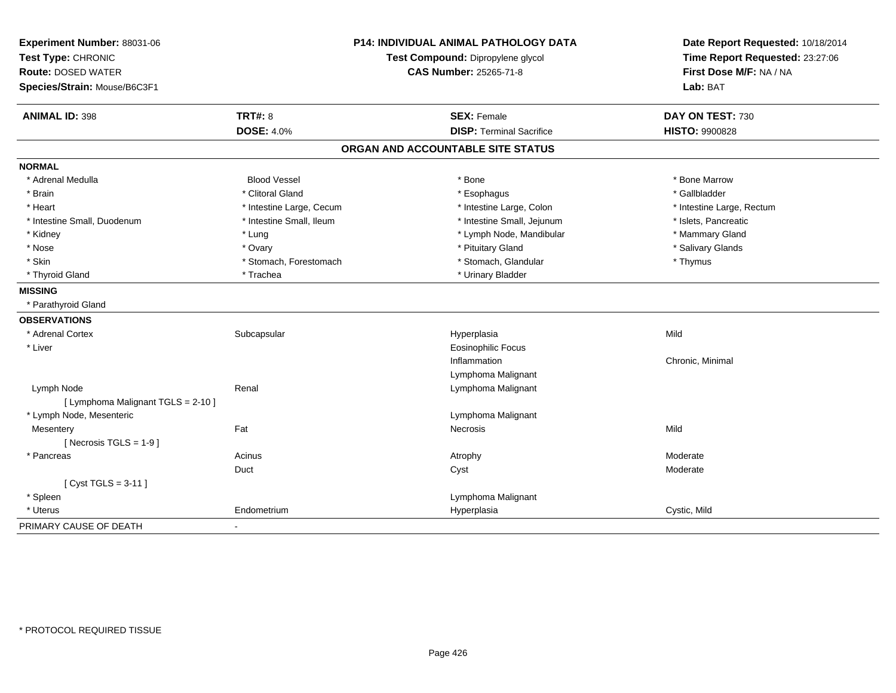| Experiment Number: 88031-06<br>Test Type: CHRONIC<br><b>Route: DOSED WATER</b><br>Species/Strain: Mouse/B6C3F1 | P14: INDIVIDUAL ANIMAL PATHOLOGY DATA<br>Test Compound: Dipropylene glycol<br>CAS Number: 25265-71-8 |                                   | Date Report Requested: 10/18/2014<br>Time Report Requested: 23:27:06<br>First Dose M/F: NA / NA<br>Lab: BAT |  |
|----------------------------------------------------------------------------------------------------------------|------------------------------------------------------------------------------------------------------|-----------------------------------|-------------------------------------------------------------------------------------------------------------|--|
| <b>ANIMAL ID: 398</b>                                                                                          | <b>TRT#: 8</b>                                                                                       | <b>SEX: Female</b>                | DAY ON TEST: 730                                                                                            |  |
|                                                                                                                | <b>DOSE: 4.0%</b>                                                                                    | <b>DISP: Terminal Sacrifice</b>   | <b>HISTO: 9900828</b>                                                                                       |  |
|                                                                                                                |                                                                                                      | ORGAN AND ACCOUNTABLE SITE STATUS |                                                                                                             |  |
| <b>NORMAL</b>                                                                                                  |                                                                                                      |                                   |                                                                                                             |  |
| * Adrenal Medulla                                                                                              | <b>Blood Vessel</b>                                                                                  | * Bone                            | * Bone Marrow                                                                                               |  |
| * Brain                                                                                                        | * Clitoral Gland                                                                                     | * Esophagus                       | * Gallbladder                                                                                               |  |
| * Heart                                                                                                        | * Intestine Large, Cecum                                                                             | * Intestine Large, Colon          | * Intestine Large, Rectum                                                                                   |  |
| * Intestine Small, Duodenum                                                                                    | * Intestine Small, Ileum                                                                             | * Intestine Small, Jejunum        | * Islets, Pancreatic                                                                                        |  |
| * Kidney                                                                                                       | * Lung                                                                                               | * Lymph Node, Mandibular          | * Mammary Gland                                                                                             |  |
| * Nose                                                                                                         | * Ovary                                                                                              | * Pituitary Gland                 | * Salivary Glands                                                                                           |  |
| * Skin                                                                                                         | * Stomach, Forestomach                                                                               | * Stomach, Glandular              | * Thymus                                                                                                    |  |
| * Thyroid Gland                                                                                                | * Trachea                                                                                            | * Urinary Bladder                 |                                                                                                             |  |
| <b>MISSING</b>                                                                                                 |                                                                                                      |                                   |                                                                                                             |  |
| * Parathyroid Gland                                                                                            |                                                                                                      |                                   |                                                                                                             |  |
| <b>OBSERVATIONS</b>                                                                                            |                                                                                                      |                                   |                                                                                                             |  |
| * Adrenal Cortex                                                                                               | Subcapsular                                                                                          | Hyperplasia                       | Mild                                                                                                        |  |
| * Liver                                                                                                        |                                                                                                      | Eosinophilic Focus                |                                                                                                             |  |
|                                                                                                                |                                                                                                      | Inflammation                      | Chronic, Minimal                                                                                            |  |
|                                                                                                                |                                                                                                      | Lymphoma Malignant                |                                                                                                             |  |
| Lymph Node                                                                                                     | Renal                                                                                                | Lymphoma Malignant                |                                                                                                             |  |
| [ Lymphoma Malignant TGLS = 2-10 ]                                                                             |                                                                                                      |                                   |                                                                                                             |  |
| * Lymph Node, Mesenteric                                                                                       |                                                                                                      | Lymphoma Malignant                |                                                                                                             |  |
| Mesentery                                                                                                      | Fat                                                                                                  | <b>Necrosis</b>                   | Mild                                                                                                        |  |
| [ Necrosis $TGLS = 1-9$ ]                                                                                      |                                                                                                      |                                   |                                                                                                             |  |
| * Pancreas                                                                                                     | Acinus                                                                                               | Atrophy                           | Moderate                                                                                                    |  |
|                                                                                                                | Duct                                                                                                 | Cyst                              | Moderate                                                                                                    |  |
| [ $Cyst TGLS = 3-11$ ]                                                                                         |                                                                                                      |                                   |                                                                                                             |  |
| * Spleen                                                                                                       |                                                                                                      | Lymphoma Malignant                |                                                                                                             |  |
| * Uterus                                                                                                       | Endometrium                                                                                          | Hyperplasia                       | Cystic, Mild                                                                                                |  |
| PRIMARY CAUSE OF DEATH                                                                                         | ٠                                                                                                    |                                   |                                                                                                             |  |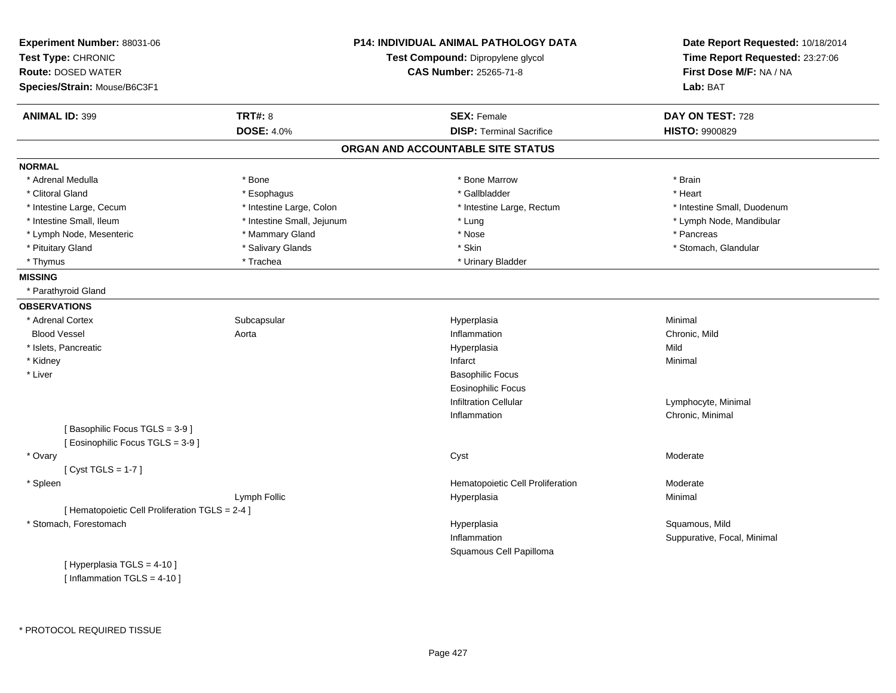| Experiment Number: 88031-06<br>Test Type: CHRONIC<br><b>Route: DOSED WATER</b><br>Species/Strain: Mouse/B6C3F1 |                            | <b>P14: INDIVIDUAL ANIMAL PATHOLOGY DATA</b><br>Test Compound: Dipropylene glycol<br><b>CAS Number: 25265-71-8</b> | Date Report Requested: 10/18/2014<br>Time Report Requested: 23:27:06<br>First Dose M/F: NA / NA<br>Lab: BAT |
|----------------------------------------------------------------------------------------------------------------|----------------------------|--------------------------------------------------------------------------------------------------------------------|-------------------------------------------------------------------------------------------------------------|
| <b>ANIMAL ID: 399</b>                                                                                          | <b>TRT#: 8</b>             | <b>SEX: Female</b>                                                                                                 | DAY ON TEST: 728                                                                                            |
|                                                                                                                | <b>DOSE: 4.0%</b>          | <b>DISP: Terminal Sacrifice</b>                                                                                    | <b>HISTO: 9900829</b>                                                                                       |
|                                                                                                                |                            | ORGAN AND ACCOUNTABLE SITE STATUS                                                                                  |                                                                                                             |
| <b>NORMAL</b>                                                                                                  |                            |                                                                                                                    |                                                                                                             |
| * Adrenal Medulla                                                                                              | * Bone                     | * Bone Marrow                                                                                                      | * Brain                                                                                                     |
| * Clitoral Gland                                                                                               | * Esophagus                | * Gallbladder                                                                                                      | * Heart                                                                                                     |
| * Intestine Large, Cecum                                                                                       | * Intestine Large, Colon   | * Intestine Large, Rectum                                                                                          | * Intestine Small, Duodenum                                                                                 |
| * Intestine Small, Ileum                                                                                       | * Intestine Small, Jejunum | * Lung                                                                                                             | * Lymph Node, Mandibular                                                                                    |
| * Lymph Node, Mesenteric                                                                                       | * Mammary Gland            | * Nose                                                                                                             | * Pancreas                                                                                                  |
| * Pituitary Gland                                                                                              | * Salivary Glands          | * Skin                                                                                                             | * Stomach, Glandular                                                                                        |
| * Thymus                                                                                                       | * Trachea                  | * Urinary Bladder                                                                                                  |                                                                                                             |
| <b>MISSING</b>                                                                                                 |                            |                                                                                                                    |                                                                                                             |
| * Parathyroid Gland                                                                                            |                            |                                                                                                                    |                                                                                                             |
| <b>OBSERVATIONS</b>                                                                                            |                            |                                                                                                                    |                                                                                                             |
| * Adrenal Cortex                                                                                               | Subcapsular                | Hyperplasia                                                                                                        | Minimal                                                                                                     |
| <b>Blood Vessel</b>                                                                                            | Aorta                      | Inflammation                                                                                                       | Chronic, Mild                                                                                               |
| * Islets, Pancreatic                                                                                           |                            | Hyperplasia                                                                                                        | Mild                                                                                                        |
| * Kidney                                                                                                       |                            | Infarct                                                                                                            | Minimal                                                                                                     |
| * Liver                                                                                                        |                            | <b>Basophilic Focus</b>                                                                                            |                                                                                                             |
|                                                                                                                |                            | <b>Eosinophilic Focus</b>                                                                                          |                                                                                                             |
|                                                                                                                |                            | <b>Infiltration Cellular</b>                                                                                       | Lymphocyte, Minimal                                                                                         |
|                                                                                                                |                            | Inflammation                                                                                                       | Chronic, Minimal                                                                                            |
| [Basophilic Focus TGLS = 3-9]<br>[ Eosinophilic Focus TGLS = 3-9 ]                                             |                            |                                                                                                                    |                                                                                                             |
| * Ovary                                                                                                        |                            | Cyst                                                                                                               | Moderate                                                                                                    |
| [Cyst TGLS = $1-7$ ]                                                                                           |                            |                                                                                                                    |                                                                                                             |
| * Spleen                                                                                                       |                            | Hematopoietic Cell Proliferation                                                                                   | Moderate                                                                                                    |
|                                                                                                                | Lymph Follic               | Hyperplasia                                                                                                        | Minimal                                                                                                     |
| [ Hematopoietic Cell Proliferation TGLS = 2-4 ]                                                                |                            |                                                                                                                    |                                                                                                             |
| * Stomach, Forestomach                                                                                         |                            | Hyperplasia                                                                                                        | Squamous, Mild                                                                                              |
|                                                                                                                |                            | Inflammation                                                                                                       | Suppurative, Focal, Minimal                                                                                 |
|                                                                                                                |                            | Squamous Cell Papilloma                                                                                            |                                                                                                             |
| [ Hyperplasia TGLS = 4-10 ]                                                                                    |                            |                                                                                                                    |                                                                                                             |
| [ Inflammation TGLS = $4-10$ ]                                                                                 |                            |                                                                                                                    |                                                                                                             |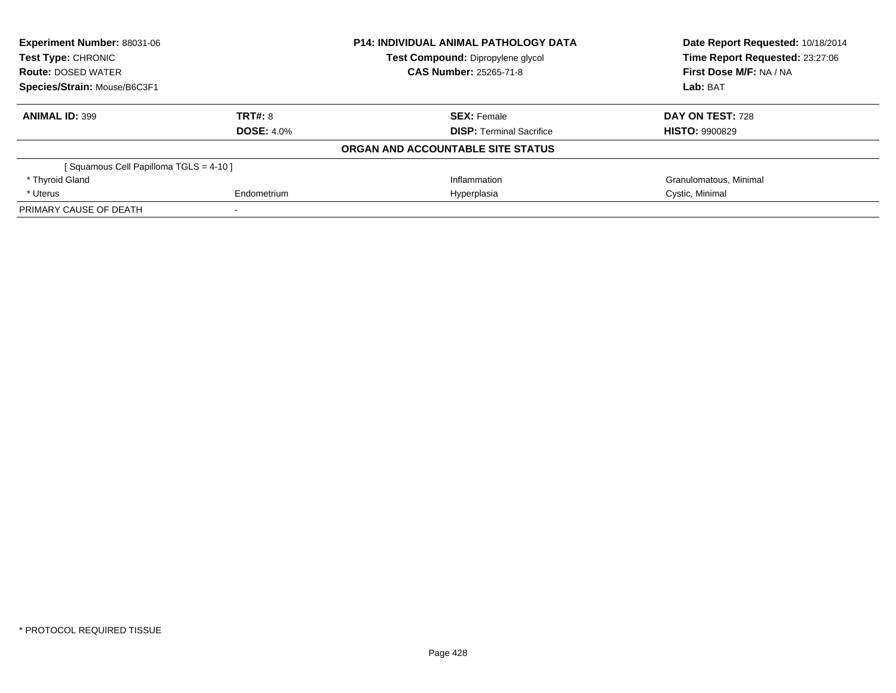| <b>Experiment Number: 88031-06</b><br>Test Type: CHRONIC |                   | <b>P14: INDIVIDUAL ANIMAL PATHOLOGY DATA</b> | Date Report Requested: 10/18/2014<br>Time Report Requested: 23:27:06 |  |
|----------------------------------------------------------|-------------------|----------------------------------------------|----------------------------------------------------------------------|--|
|                                                          |                   | Test Compound: Dipropylene glycol            |                                                                      |  |
| <b>Route: DOSED WATER</b>                                |                   | <b>CAS Number: 25265-71-8</b>                | First Dose M/F: NA / NA                                              |  |
| Species/Strain: Mouse/B6C3F1                             |                   |                                              | Lab: BAT                                                             |  |
| <b>ANIMAL ID: 399</b>                                    | <b>TRT#: 8</b>    | <b>SEX: Female</b>                           | DAY ON TEST: 728                                                     |  |
|                                                          | <b>DOSE: 4.0%</b> | <b>DISP:</b> Terminal Sacrifice              | <b>HISTO: 9900829</b>                                                |  |
|                                                          |                   | ORGAN AND ACCOUNTABLE SITE STATUS            |                                                                      |  |
| [Squamous Cell Papilloma TGLS = 4-10]                    |                   |                                              |                                                                      |  |
| * Thyroid Gland                                          |                   | Inflammation                                 | Granulomatous, Minimal                                               |  |
| * Uterus                                                 | Endometrium       | Hyperplasia                                  | Cystic, Minimal                                                      |  |
| PRIMARY CAUSE OF DEATH                                   |                   |                                              |                                                                      |  |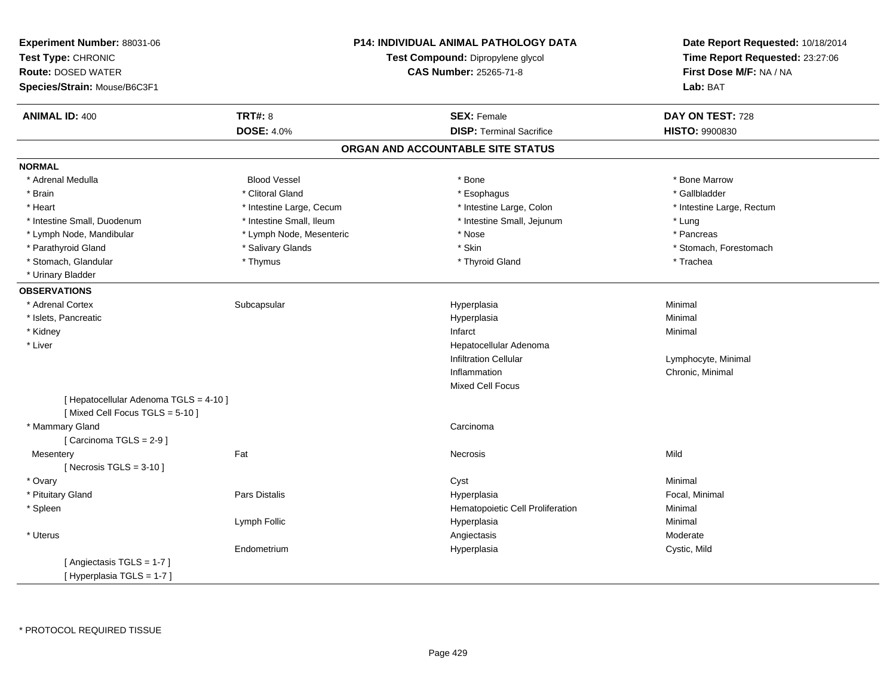| Experiment Number: 88031-06<br>Test Type: CHRONIC<br><b>Route: DOSED WATER</b><br>Species/Strain: Mouse/B6C3F1 | <b>P14: INDIVIDUAL ANIMAL PATHOLOGY DATA</b><br>Test Compound: Dipropylene glycol<br><b>CAS Number: 25265-71-8</b> |  | Date Report Requested: 10/18/2014<br>Time Report Requested: 23:27:06<br>First Dose M/F: NA / NA<br>Lab: BAT |                           |
|----------------------------------------------------------------------------------------------------------------|--------------------------------------------------------------------------------------------------------------------|--|-------------------------------------------------------------------------------------------------------------|---------------------------|
| <b>ANIMAL ID: 400</b>                                                                                          | <b>TRT#: 8</b>                                                                                                     |  | <b>SEX: Female</b>                                                                                          | DAY ON TEST: 728          |
|                                                                                                                | <b>DOSE: 4.0%</b>                                                                                                  |  | <b>DISP: Terminal Sacrifice</b>                                                                             | HISTO: 9900830            |
|                                                                                                                |                                                                                                                    |  | ORGAN AND ACCOUNTABLE SITE STATUS                                                                           |                           |
| <b>NORMAL</b>                                                                                                  |                                                                                                                    |  |                                                                                                             |                           |
| * Adrenal Medulla                                                                                              | <b>Blood Vessel</b>                                                                                                |  | * Bone                                                                                                      | * Bone Marrow             |
| * Brain                                                                                                        | * Clitoral Gland                                                                                                   |  | * Esophagus                                                                                                 | * Gallbladder             |
| * Heart                                                                                                        | * Intestine Large, Cecum                                                                                           |  | * Intestine Large, Colon                                                                                    | * Intestine Large, Rectum |
| * Intestine Small, Duodenum                                                                                    | * Intestine Small, Ileum                                                                                           |  | * Intestine Small, Jejunum                                                                                  | * Lung                    |
| * Lymph Node, Mandibular                                                                                       | * Lymph Node, Mesenteric                                                                                           |  | * Nose                                                                                                      | * Pancreas                |
| * Parathyroid Gland                                                                                            | * Salivary Glands                                                                                                  |  | * Skin                                                                                                      | * Stomach, Forestomach    |
| * Stomach, Glandular                                                                                           | * Thymus                                                                                                           |  | * Thyroid Gland                                                                                             | * Trachea                 |
| * Urinary Bladder                                                                                              |                                                                                                                    |  |                                                                                                             |                           |
| <b>OBSERVATIONS</b>                                                                                            |                                                                                                                    |  |                                                                                                             |                           |
| * Adrenal Cortex                                                                                               | Subcapsular                                                                                                        |  | Hyperplasia                                                                                                 | Minimal                   |
| * Islets, Pancreatic                                                                                           |                                                                                                                    |  | Hyperplasia                                                                                                 | Minimal                   |
| * Kidney                                                                                                       |                                                                                                                    |  | Infarct                                                                                                     | Minimal                   |
| * Liver                                                                                                        |                                                                                                                    |  | Hepatocellular Adenoma                                                                                      |                           |
|                                                                                                                |                                                                                                                    |  | <b>Infiltration Cellular</b>                                                                                | Lymphocyte, Minimal       |
|                                                                                                                |                                                                                                                    |  | Inflammation                                                                                                | Chronic, Minimal          |
|                                                                                                                |                                                                                                                    |  | <b>Mixed Cell Focus</b>                                                                                     |                           |
| [ Hepatocellular Adenoma TGLS = 4-10 ]<br>[Mixed Cell Focus TGLS = 5-10]                                       |                                                                                                                    |  |                                                                                                             |                           |
| * Mammary Gland                                                                                                |                                                                                                                    |  | Carcinoma                                                                                                   |                           |
| [Carcinoma TGLS = 2-9]                                                                                         |                                                                                                                    |  |                                                                                                             |                           |
| Mesentery                                                                                                      | Fat                                                                                                                |  | Necrosis                                                                                                    | Mild                      |
| [Necrosis TGLS = $3-10$ ]                                                                                      |                                                                                                                    |  |                                                                                                             |                           |
| * Ovary                                                                                                        |                                                                                                                    |  | Cyst                                                                                                        | Minimal                   |
| * Pituitary Gland                                                                                              | Pars Distalis                                                                                                      |  | Hyperplasia                                                                                                 | Focal, Minimal            |
| * Spleen                                                                                                       |                                                                                                                    |  | Hematopoietic Cell Proliferation                                                                            | Minimal                   |
|                                                                                                                | Lymph Follic                                                                                                       |  | Hyperplasia                                                                                                 | Minimal                   |
| * Uterus                                                                                                       |                                                                                                                    |  | Angiectasis                                                                                                 | Moderate                  |
|                                                                                                                | Endometrium                                                                                                        |  | Hyperplasia                                                                                                 | Cystic, Mild              |
| [Angiectasis TGLS = 1-7]                                                                                       |                                                                                                                    |  |                                                                                                             |                           |
| [ Hyperplasia TGLS = 1-7 ]                                                                                     |                                                                                                                    |  |                                                                                                             |                           |